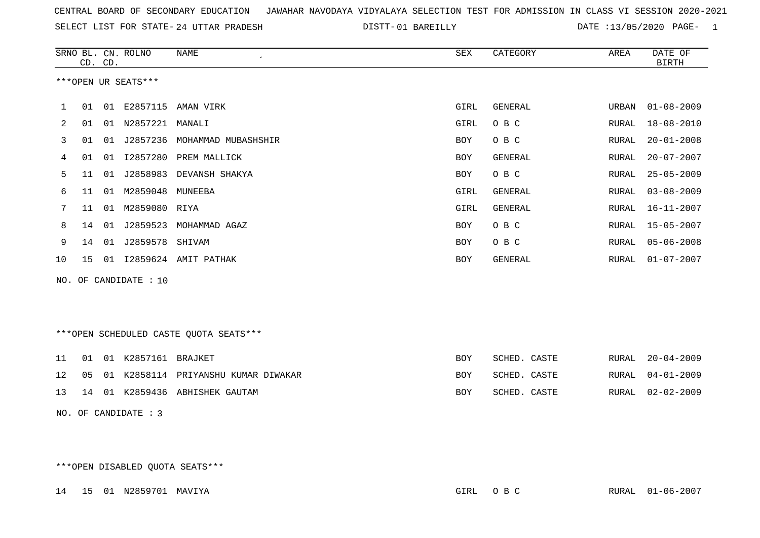SELECT LIST FOR STATE- DISTT- 24 UTTAR PRADESH

01 BAREILLY DATE :13/05/2020 PAGE- 1

|                       |                     | CD. CD. | SRNO BL. CN. ROLNO | NAME                 | SEX        | CATEGORY | AREA  | DATE OF<br>BIRTH |  |  |  |
|-----------------------|---------------------|---------|--------------------|----------------------|------------|----------|-------|------------------|--|--|--|
|                       | ***OPEN UR SEATS*** |         |                    |                      |            |          |       |                  |  |  |  |
|                       | 01                  | 01      | E2857115           | AMAN VIRK            | GIRL       | GENERAL  | URBAN | $01 - 08 - 2009$ |  |  |  |
| 2                     | 01                  | 01      | N2857221           | MANALI               | GIRL       | O B C    | RURAL | $18 - 08 - 2010$ |  |  |  |
| 3                     | 01                  | 01      | J2857236           | MOHAMMAD MUBASHSHIR  | BOY        | O B C    | RURAL | $20 - 01 - 2008$ |  |  |  |
| 4                     | 01                  | 01      | I2857280           | PREM MALLICK         | BOY        | GENERAL  | RURAL | $20 - 07 - 2007$ |  |  |  |
| 5                     | 11                  | 01      | J2858983           | DEVANSH SHAKYA       | BOY        | O B C    | RURAL | $25 - 05 - 2009$ |  |  |  |
| 6                     | 11                  | 01      | M2859048           | MUNEEBA              | GIRL       | GENERAL  | RURAL | $03 - 08 - 2009$ |  |  |  |
|                       | 11                  | 01      | M2859080 RIYA      |                      | GIRL       | GENERAL  | RURAL | $16 - 11 - 2007$ |  |  |  |
| 8                     | 14                  | 01      | J2859523           | MOHAMMAD AGAZ        | BOY        | O B C    | RURAL | $15 - 05 - 2007$ |  |  |  |
| 9                     | 14                  | 01      | J2859578 SHIVAM    |                      | <b>BOY</b> | O B C    | RURAL | $05 - 06 - 2008$ |  |  |  |
| 10                    | 15                  | 01      |                    | 12859624 AMIT PATHAK | BOY        | GENERAL  | RURAL | $01 - 07 - 2007$ |  |  |  |
| NO. OF CANDIDATE : 10 |                     |         |                    |                      |            |          |       |                  |  |  |  |

\*\*\*OPEN SCHEDULED CASTE QUOTA SEATS\*\*\*

|  | 11 01 01 K2857161 BRAJKET |                                           | BOY        | SCHED. CASTE | RURAL 20-04-2009 |
|--|---------------------------|-------------------------------------------|------------|--------------|------------------|
|  |                           | 12 05 01 K2858114 PRIYANSHU KUMAR DIWAKAR | <b>BOY</b> | SCHED. CASTE | RURAL 04-01-2009 |
|  |                           | 13 14 01 K2859436 ABHISHEK GAUTAM         | <b>BOY</b> | SCHED. CASTE | RURAL 02-02-2009 |

NO. OF CANDIDATE : 3

\*\*\*OPEN DISABLED QUOTA SEATS\*\*\*

14 15 01 N2859701 MAVIYA GIRL O B C RURAL 01-06-2007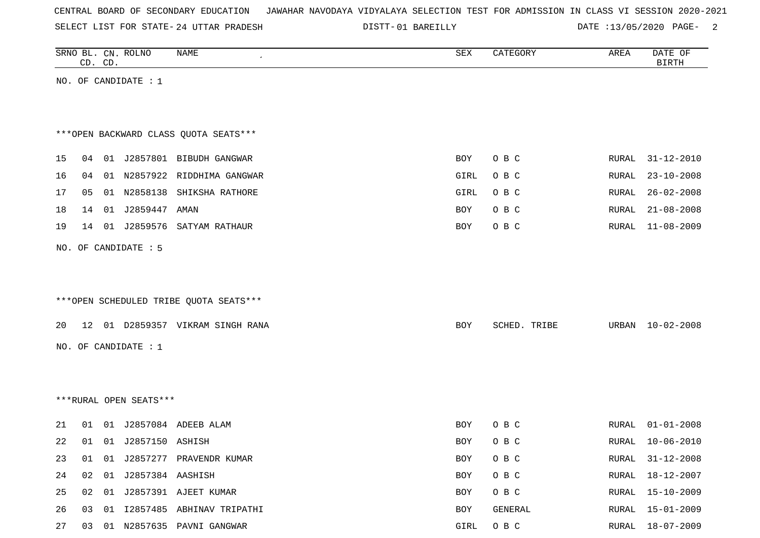| CENTRAL BOARD OF SECONDARY EDUCATION – JAWAHAR NAVODAYA VIDYALAYA SELECTION TEST FOR ADMISSION IN CLASS VI SESSION 2020-2021 |  |  |  |  |
|------------------------------------------------------------------------------------------------------------------------------|--|--|--|--|
|------------------------------------------------------------------------------------------------------------------------------|--|--|--|--|

SELECT LIST FOR STATE- DISTT- 24 UTTAR PRADESH

01 BAREILLY DATE :13/05/2020 PAGE- 2

|    |    | CD. CD. | SRNO BL. CN. ROLNO     | NAME                                   | SEX        | CATEGORY     | AREA          | DATE OF<br><b>BIRTH</b> |
|----|----|---------|------------------------|----------------------------------------|------------|--------------|---------------|-------------------------|
|    |    |         | NO. OF CANDIDATE : $1$ |                                        |            |              |               |                         |
|    |    |         |                        |                                        |            |              |               |                         |
|    |    |         |                        |                                        |            |              |               |                         |
|    |    |         |                        | *** OPEN BACKWARD CLASS QUOTA SEATS*** |            |              |               |                         |
| 15 | 04 |         |                        | 01 J2857801 BIBUDH GANGWAR             | BOY        | O B C        | RURAL         | $31 - 12 - 2010$        |
| 16 | 04 |         |                        | 01 N2857922 RIDDHIMA GANGWAR           | GIRL       | O B C        | RURAL         | $23 - 10 - 2008$        |
| 17 | 05 |         |                        | 01 N2858138 SHIKSHA RATHORE            | GIRL       | O B C        | RURAL         | $26 - 02 - 2008$        |
| 18 | 14 |         | 01 J2859447            | AMAN                                   | BOY        | O B C        | ${\tt RURAL}$ | $21 - 08 - 2008$        |
| 19 | 14 |         |                        | 01 J2859576 SATYAM RATHAUR             | BOY        | O B C        | RURAL         | $11 - 08 - 2009$        |
|    |    |         | NO. OF CANDIDATE : 5   |                                        |            |              |               |                         |
|    |    |         |                        |                                        |            |              |               |                         |
|    |    |         |                        |                                        |            |              |               |                         |
|    |    |         |                        | ***OPEN SCHEDULED TRIBE QUOTA SEATS*** |            |              |               |                         |
| 20 |    |         |                        | 12 01 D2859357 VIKRAM SINGH RANA       | BOY        | SCHED. TRIBE | URBAN         | $10 - 02 - 2008$        |
|    |    |         | NO. OF CANDIDATE : $1$ |                                        |            |              |               |                         |
|    |    |         |                        |                                        |            |              |               |                         |
|    |    |         |                        |                                        |            |              |               |                         |
|    |    |         | ***RURAL OPEN SEATS*** |                                        |            |              |               |                         |
|    |    |         |                        |                                        |            |              |               |                         |
| 21 | 01 |         |                        | 01 J2857084 ADEEB ALAM                 | BOY        | O B C        | RURAL         | $01 - 01 - 2008$        |
| 22 | 01 |         | 01 J2857150 ASHISH     |                                        | <b>BOY</b> | O B C        | RURAL         | $10 - 06 - 2010$        |
| 23 | 01 |         |                        | 01 J2857277 PRAVENDR KUMAR             | BOY        | O B C        | RURAL         | $31 - 12 - 2008$        |
| 24 | 02 |         | 01 J2857384 AASHISH    |                                        | BOY        | O B C        | RURAL         | 18-12-2007              |
| 25 | 02 |         |                        | 01 J2857391 AJEET KUMAR                | BOY        | O B C        | RURAL         | $15 - 10 - 2009$        |
| 26 |    |         |                        | 03 01 I2857485 ABHINAV TRIPATHI        | BOY        | GENERAL      | RURAL         | $15 - 01 - 2009$        |
| 27 |    |         |                        | 03 01 N2857635 PAVNI GANGWAR           | GIRL       | O B C        |               | RURAL 18-07-2009        |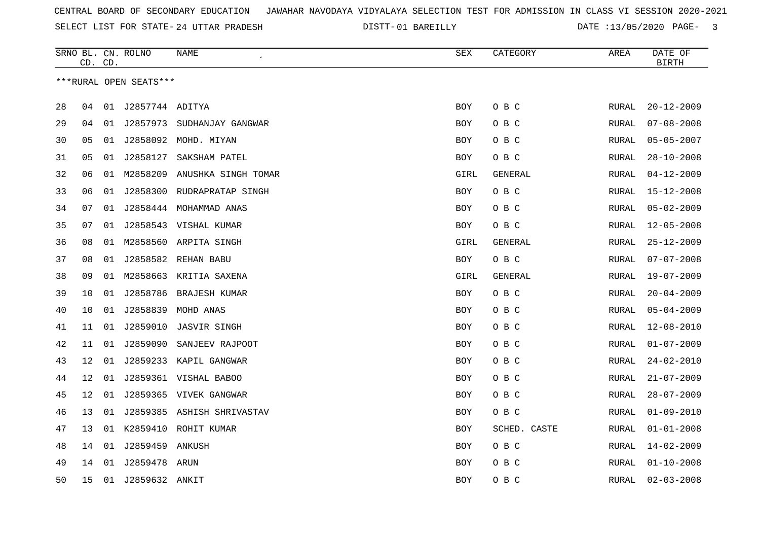SELECT LIST FOR STATE- DISTT- 24 UTTAR PRADESH

01 BAREILLY DATE :13/05/2020 PAGE- 3

|    | CD. CD. |    | SRNO BL. CN. ROLNO     | NAME<br>$\epsilon$         | <b>SEX</b> | CATEGORY     | AREA         | DATE OF<br><b>BIRTH</b> |
|----|---------|----|------------------------|----------------------------|------------|--------------|--------------|-------------------------|
|    |         |    | ***RURAL OPEN SEATS*** |                            |            |              |              |                         |
|    |         |    |                        |                            |            |              |              |                         |
| 28 | 04      |    | 01 J2857744 ADITYA     |                            | <b>BOY</b> | O B C        | RURAL        | $20 - 12 - 2009$        |
| 29 | 04      | 01 |                        | J2857973 SUDHANJAY GANGWAR | BOY        | O B C        | RURAL        | $07 - 08 - 2008$        |
| 30 | 05      | 01 |                        | J2858092 MOHD. MIYAN       | BOY        | O B C        | RURAL        | $05 - 05 - 2007$        |
| 31 | 05      | 01 | J2858127               | SAKSHAM PATEL              | BOY        | O B C        | RURAL        | $28 - 10 - 2008$        |
| 32 | 06      | 01 | M2858209               | ANUSHKA SINGH TOMAR        | GIRL       | GENERAL      | RURAL        | $04 - 12 - 2009$        |
| 33 | 06      | 01 | J2858300               | RUDRAPRATAP SINGH          | BOY        | O B C        | RURAL        | $15 - 12 - 2008$        |
| 34 | 07      | 01 |                        | J2858444 MOHAMMAD ANAS     | BOY        | O B C        | RURAL        | $05 - 02 - 2009$        |
| 35 | 07      | 01 |                        | J2858543 VISHAL KUMAR      | <b>BOY</b> | O B C        | RURAL        | $12 - 05 - 2008$        |
| 36 | 08      | 01 |                        | M2858560 ARPITA SINGH      | GIRL       | GENERAL      | RURAL        | $25 - 12 - 2009$        |
| 37 | 08      | 01 | J2858582               | REHAN BABU                 | BOY        | O B C        | RURAL        | $07 - 07 - 2008$        |
| 38 | 09      | 01 |                        | M2858663 KRITIA SAXENA     | GIRL       | GENERAL      | RURAL        | 19-07-2009              |
| 39 | 10      | 01 | J2858786               | BRAJESH KUMAR              | <b>BOY</b> | O B C        | RURAL        | $20 - 04 - 2009$        |
| 40 | 10      | 01 | J2858839               | MOHD ANAS                  | BOY        | O B C        | RURAL        | $05 - 04 - 2009$        |
| 41 | 11      | 01 | J2859010               | <b>JASVIR SINGH</b>        | BOY        | O B C        | <b>RURAL</b> | $12 - 08 - 2010$        |
| 42 | 11      | 01 | J2859090               | SANJEEV RAJPOOT            | BOY        | O B C        | RURAL        | $01 - 07 - 2009$        |
| 43 | 12      | 01 | J2859233               | KAPIL GANGWAR              | <b>BOY</b> | O B C        | RURAL        | $24 - 02 - 2010$        |
| 44 | 12      | 01 |                        | J2859361 VISHAL BABOO      | <b>BOY</b> | O B C        | <b>RURAL</b> | $21 - 07 - 2009$        |
| 45 | 12      | 01 |                        | J2859365 VIVEK GANGWAR     | BOY        | O B C        | RURAL        | $28 - 07 - 2009$        |
| 46 | 13      | 01 |                        | J2859385 ASHISH SHRIVASTAV | BOY        | O B C        | RURAL        | $01 - 09 - 2010$        |
| 47 | 13      | 01 | K2859410               | ROHIT KUMAR                | <b>BOY</b> | SCHED. CASTE | RURAL        | $01 - 01 - 2008$        |
| 48 | 14      | 01 | J2859459               | ANKUSH                     | BOY        | O B C        | RURAL        | $14 - 02 - 2009$        |
| 49 | 14      | 01 | J2859478               | ARUN                       | BOY        | O B C        | RURAL        | $01 - 10 - 2008$        |
| 50 | 15      |    | 01 J2859632 ANKIT      |                            | BOY        | O B C        | RURAL        | $02 - 03 - 2008$        |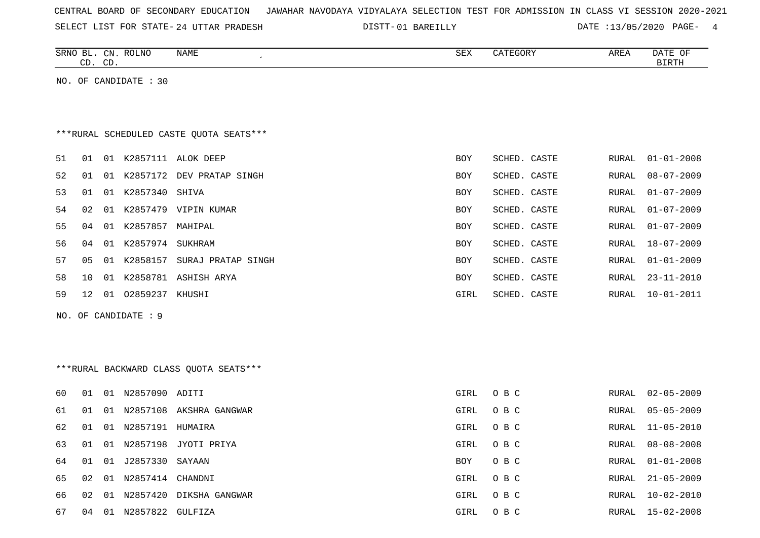| CENTRAL BOARD OF SECONDARY EDUCATION – JAWAHAR NAVODAYA VIDYALAYA SELECTION TEST FOR ADMISSION IN CLASS VI SESSION 2020-2021 |  |  |  |  |  |
|------------------------------------------------------------------------------------------------------------------------------|--|--|--|--|--|
|------------------------------------------------------------------------------------------------------------------------------|--|--|--|--|--|

SELECT LIST FOR STATE- DISTT- 24 UTTAR PRADESH 01 BAREILLY DATE :13/05/2020 PAGE- 4

|    |    | CD. CD. | SRNO BL. CN. ROLNO      | NAME                                    | <b>SEX</b> | CATEGORY     | AREA         | DATE OF<br><b>BIRTH</b> |
|----|----|---------|-------------------------|-----------------------------------------|------------|--------------|--------------|-------------------------|
|    |    |         | NO. OF CANDIDATE : 30   |                                         |            |              |              |                         |
|    |    |         |                         |                                         |            |              |              |                         |
|    |    |         |                         |                                         |            |              |              |                         |
|    |    |         |                         | ***RURAL SCHEDULED CASTE QUOTA SEATS*** |            |              |              |                         |
| 51 | 01 |         |                         | 01 K2857111 ALOK DEEP                   | BOY        | SCHED. CASTE | RURAL        | $01 - 01 - 2008$        |
| 52 | 01 |         |                         | 01 K2857172 DEV PRATAP SINGH            | BOY        | SCHED. CASTE | RURAL        | $08 - 07 - 2009$        |
| 53 | 01 |         | 01 K2857340 SHIVA       |                                         | <b>BOY</b> | SCHED. CASTE | RURAL        | $01 - 07 - 2009$        |
| 54 | 02 |         |                         | 01 K2857479 VIPIN KUMAR                 | <b>BOY</b> | SCHED. CASTE | RURAL        | $01 - 07 - 2009$        |
| 55 | 04 |         | 01 K2857857 MAHIPAL     |                                         | BOY        | SCHED. CASTE | RURAL        | $01 - 07 - 2009$        |
| 56 | 04 |         | 01 K2857974 SUKHRAM     |                                         | <b>BOY</b> | SCHED. CASTE | RURAL        | $18 - 07 - 2009$        |
| 57 | 05 |         |                         | 01 K2858157 SURAJ PRATAP SINGH          | BOY        | SCHED. CASTE | RURAL        | $01 - 01 - 2009$        |
| 58 | 10 |         |                         | 01 K2858781 ASHISH ARYA                 | BOY        | SCHED. CASTE | RURAL        | $23 - 11 - 2010$        |
| 59 | 12 |         | 01 02859237 KHUSHI      |                                         | GIRL       | SCHED. CASTE | RURAL        | $10 - 01 - 2011$        |
|    |    |         | NO. OF CANDIDATE : 9    |                                         |            |              |              |                         |
|    |    |         |                         |                                         |            |              |              |                         |
|    |    |         |                         |                                         |            |              |              |                         |
|    |    |         |                         | ***RURAL BACKWARD CLASS QUOTA SEATS***  |            |              |              |                         |
|    |    |         |                         |                                         |            |              |              |                         |
| 60 |    |         | 01  01  N2857090  ADITI |                                         | GIRL       | O B C        | RURAL        | $02 - 05 - 2009$        |
| 61 | 01 |         |                         | 01 N2857108 AKSHRA GANGWAR              | GIRL       | O B C        | RURAL        | $05 - 05 - 2009$        |
| 62 | 01 |         | 01 N2857191 HUMAIRA     |                                         | GIRL       | O B C        | RURAL        | $11 - 05 - 2010$        |
| 63 | 01 |         |                         | 01 N2857198 JYOTI PRIYA                 | GIRL       | O B C        | <b>RURAL</b> | $08 - 08 - 2008$        |
| 64 | 01 | 01      | J2857330                | SAYAAN                                  | BOY        | O B C        | RURAL        | $01 - 01 - 2008$        |
| 65 | 02 |         | 01 N2857414 CHANDNI     |                                         | GIRL       | O B C        | RURAL        | $21 - 05 - 2009$        |
| 66 | 02 |         |                         | 01 N2857420 DIKSHA GANGWAR              | GIRL       | O B C        | RURAL        | $10 - 02 - 2010$        |
| 67 | 04 |         | 01 N2857822 GULFIZA     |                                         | GIRL       | O B C        |              | RURAL 15-02-2008        |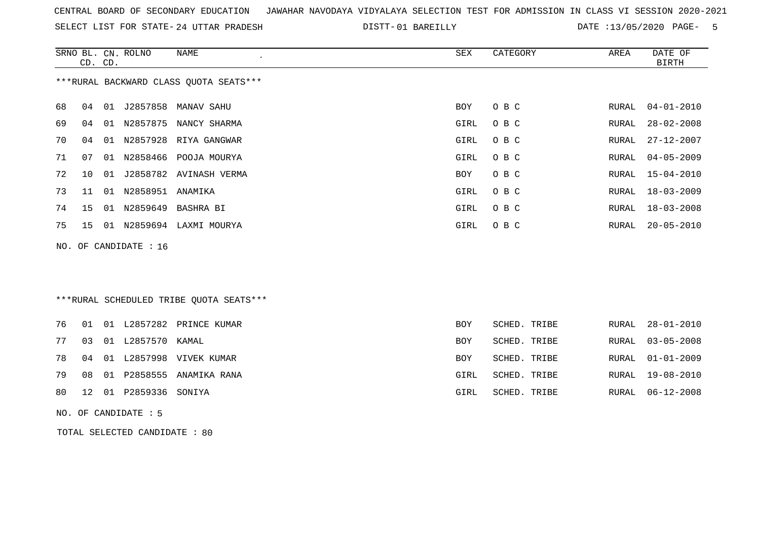| CENTRAL BOARD OF SECONDARY EDUCATION – JAWAHAR NAVODAYA VIDYALAYA SELECTION TEST FOR ADMISSION IN CLASS VI SESSION 2020-2021 |  |
|------------------------------------------------------------------------------------------------------------------------------|--|
|------------------------------------------------------------------------------------------------------------------------------|--|

SELECT LIST FOR STATE- 24 UTTAR PRADESH

24 UTTAR PRADESH 01 BAREILLY DATE :13/05/2020 PAGE- 5

|     |    | CD. CD. | SRNO BL. CN. ROLNO   | <b>NAME</b>                             | SEX         | CATEGORY     | AREA  | DATE OF<br><b>BIRTH</b> |
|-----|----|---------|----------------------|-----------------------------------------|-------------|--------------|-------|-------------------------|
|     |    |         |                      | *** RURAL BACKWARD CLASS QUOTA SEATS*** |             |              |       |                         |
| 68  | 04 | 01      | J2857858             | MANAV SAHU                              | <b>BOY</b>  | O B C        | RURAL | $04 - 01 - 2010$        |
| 69  | 04 | 01      | N2857875             | NANCY SHARMA                            | <b>GIRL</b> | O B C        | RURAL | $28 - 02 - 2008$        |
| 70  | 04 |         |                      | 01 N2857928 RIYA GANGWAR                | <b>GIRL</b> | O B C        | RURAL | $27 - 12 - 2007$        |
| 71  | 07 | 01      | N2858466             | POOJA MOURYA                            | GIRL        | O B C        | RURAL | $04 - 05 - 2009$        |
| 72  | 10 | 01      | J2858782             | AVINASH VERMA                           | BOY         | O B C        | RURAL | $15 - 04 - 2010$        |
| 73  | 11 | 01      | N2858951 ANAMIKA     |                                         | <b>GIRL</b> | O B C        | RURAL | $18 - 03 - 2009$        |
| 74  | 15 |         | 01 N2859649          | BASHRA BI                               | GIRL        | O B C        | RURAL | $18 - 03 - 2008$        |
| 75  | 15 |         |                      | 01 N2859694 LAXMI MOURYA                | GIRL        | O B C        | RURAL | $20 - 05 - 2010$        |
| NO. |    |         | OF CANDIDATE : 16    |                                         |             |              |       |                         |
|     |    |         |                      |                                         |             |              |       |                         |
|     |    |         |                      |                                         |             |              |       |                         |
|     |    |         |                      | ***RURAL SCHEDULED TRIBE QUOTA SEATS*** |             |              |       |                         |
| 76  | 01 |         | 01 L2857282          | PRINCE KUMAR                            | BOY         | SCHED. TRIBE | RURAL | $28 - 01 - 2010$        |
| 77  | 03 |         | 01 L2857570          | KAMAL                                   | <b>BOY</b>  | SCHED. TRIBE | RURAL | $03 - 05 - 2008$        |
| 78  | 04 | 01      |                      | L2857998 VIVEK KUMAR                    | BOY         | SCHED. TRIBE | RURAL | $01 - 01 - 2009$        |
| 79  | 08 |         | 01 P2858555          | ANAMIKA RANA                            | <b>GIRL</b> | SCHED. TRIBE | RURAL | 19-08-2010              |
| 80  | 12 |         | 01 P2859336          | SONIYA                                  | <b>GIRL</b> | SCHED. TRIBE | RURAL | $06 - 12 - 2008$        |
|     |    |         | NO. OF CANDIDATE : 5 |                                         |             |              |       |                         |

TOTAL SELECTED CANDIDATE : 80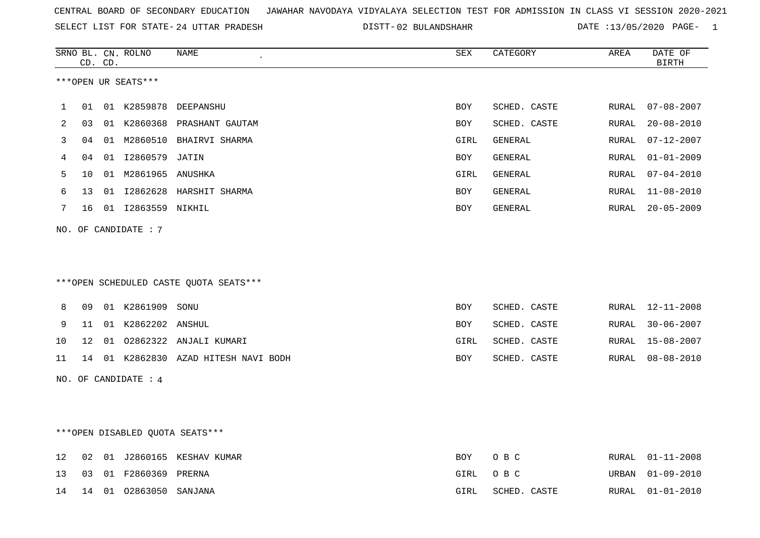SELECT LIST FOR STATE- DISTT- 24 UTTAR PRADESH

02 BULANDSHAHR DATE :13/05/2020 PAGE- 1

|    |    | CD. CD. | SRNO BL. CN. ROLNO              | NAME                                   | <b>SEX</b> | CATEGORY       | AREA  | DATE OF<br><b>BIRTH</b> |
|----|----|---------|---------------------------------|----------------------------------------|------------|----------------|-------|-------------------------|
|    |    |         | ***OPEN UR SEATS***             |                                        |            |                |       |                         |
| 1  | 01 |         |                                 | 01 K2859878 DEEPANSHU                  | <b>BOY</b> | SCHED. CASTE   | RURAL | $07 - 08 - 2007$        |
| 2  | 03 |         |                                 | 01 K2860368 PRASHANT GAUTAM            | BOY        | SCHED. CASTE   | RURAL | $20 - 08 - 2010$        |
| 3  | 04 |         |                                 | 01 M2860510 BHAIRVI SHARMA             | GIRL       | GENERAL        | RURAL | $07 - 12 - 2007$        |
| 4  | 04 |         | 01 I2860579                     | JATIN                                  | BOY        | GENERAL        | RURAL | $01 - 01 - 2009$        |
| 5  | 10 |         | 01 M2861965 ANUSHKA             |                                        | GIRL       | GENERAL        | RURAL | $07 - 04 - 2010$        |
| 6  | 13 |         |                                 | 01 I2862628 HARSHIT SHARMA             | <b>BOY</b> | <b>GENERAL</b> | RURAL | $11 - 08 - 2010$        |
| 7  | 16 |         | 01 I2863559 NIKHIL              |                                        | BOY        | GENERAL        | RURAL | $20 - 05 - 2009$        |
|    |    |         | NO. OF CANDIDATE : 7            |                                        |            |                |       |                         |
|    |    |         |                                 |                                        |            |                |       |                         |
|    |    |         |                                 |                                        |            |                |       |                         |
|    |    |         |                                 | ***OPEN SCHEDULED CASTE QUOTA SEATS*** |            |                |       |                         |
|    |    |         |                                 |                                        |            |                |       |                         |
| 8  | 09 |         | 01 K2861909 SONU                |                                        | <b>BOY</b> | SCHED. CASTE   | RURAL | 12-11-2008              |
| 9  | 11 |         | 01 K2862202 ANSHUL              |                                        | <b>BOY</b> | SCHED. CASTE   | RURAL | $30 - 06 - 2007$        |
| 10 | 12 |         |                                 | 01 02862322 ANJALI KUMARI              | GIRL       | SCHED. CASTE   | RURAL | $15 - 08 - 2007$        |
| 11 |    |         |                                 | 14 01 K2862830 AZAD HITESH NAVI BODH   | BOY        | SCHED. CASTE   | RURAL | $08 - 08 - 2010$        |
|    |    |         | NO. OF CANDIDATE : 4            |                                        |            |                |       |                         |
|    |    |         |                                 |                                        |            |                |       |                         |
|    |    |         |                                 |                                        |            |                |       |                         |
|    |    |         | ***OPEN DISABLED QUOTA SEATS*** |                                        |            |                |       |                         |
|    |    |         |                                 |                                        |            |                |       |                         |
| 12 | 02 |         |                                 | 01 J2860165 KESHAV KUMAR               | BOY        | O B C          | RURAL | $01 - 11 - 2008$        |
| 13 | 03 |         | 01 F2860369 PRERNA              |                                        | GIRL       | O B C          | URBAN | $01 - 09 - 2010$        |
| 14 | 14 | 01      | 02863050 SANJANA                |                                        | GIRL       | SCHED. CASTE   | RURAL | $01 - 01 - 2010$        |
|    |    |         |                                 |                                        |            |                |       |                         |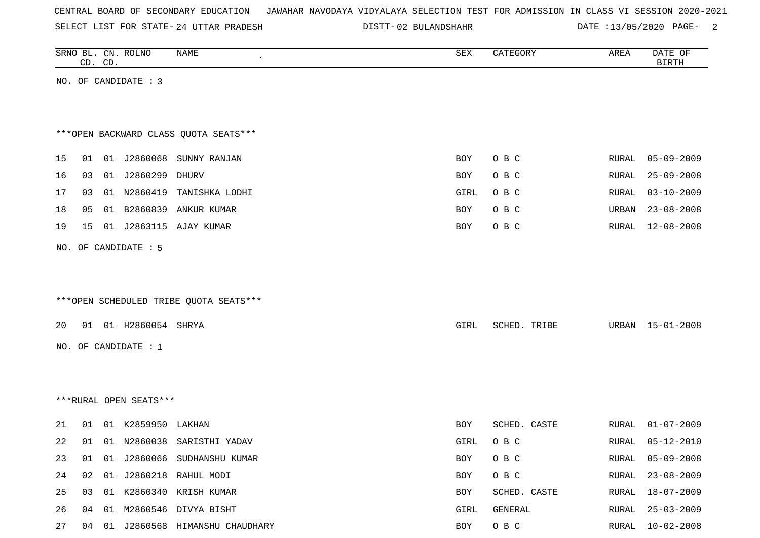SELECT LIST FOR STATE- DISTT- 24 UTTAR PRADESH

02 BULANDSHAHR DATE :13/05/2020 PAGE- 2

|    |    | CD. CD. | SRNO BL. CN. ROLNO     | <b>NAME</b>                            | SEX  | CATEGORY     | AREA  | DATE OF<br><b>BIRTH</b> |
|----|----|---------|------------------------|----------------------------------------|------|--------------|-------|-------------------------|
|    |    |         | NO. OF CANDIDATE : 3   |                                        |      |              |       |                         |
|    |    |         |                        |                                        |      |              |       |                         |
|    |    |         |                        |                                        |      |              |       |                         |
|    |    |         |                        | *** OPEN BACKWARD CLASS QUOTA SEATS*** |      |              |       |                         |
| 15 | 01 |         | 01 J2860068            | SUNNY RANJAN                           | BOY  | O B C        | RURAL | $05 - 09 - 2009$        |
| 16 | 03 |         | 01 J2860299            | DHURV                                  | BOY  | O B C        | RURAL | $25 - 09 - 2008$        |
| 17 | 03 |         |                        | 01 N2860419 TANISHKA LODHI             | GIRL | O B C        | RURAL | $03 - 10 - 2009$        |
| 18 | 05 | 01      | B2860839               | ANKUR KUMAR                            | BOY  | O B C        | URBAN | $23 - 08 - 2008$        |
| 19 | 15 | 01      | J2863115               | AJAY KUMAR                             | BOY  | O B C        | RURAL | $12 - 08 - 2008$        |
|    |    |         | NO. OF CANDIDATE : 5   |                                        |      |              |       |                         |
|    |    |         |                        |                                        |      |              |       |                         |
|    |    |         |                        |                                        |      |              |       |                         |
|    |    |         |                        | ***OPEN SCHEDULED TRIBE QUOTA SEATS*** |      |              |       |                         |
| 20 |    |         | 01 01 H2860054 SHRYA   |                                        | GIRL | SCHED. TRIBE |       | URBAN 15-01-2008        |
|    |    |         |                        |                                        |      |              |       |                         |
|    |    |         | NO. OF CANDIDATE : 1   |                                        |      |              |       |                         |
|    |    |         |                        |                                        |      |              |       |                         |
|    |    |         |                        |                                        |      |              |       |                         |
|    |    |         | ***RURAL OPEN SEATS*** |                                        |      |              |       |                         |
| 21 | 01 |         | 01 K2859950            | LAKHAN                                 | BOY  | SCHED. CASTE | RURAL | $01 - 07 - 2009$        |
| 22 | 01 |         |                        | 01 N2860038 SARISTHI YADAV             | GIRL | O B C        | RURAL | $05 - 12 - 2010$        |
| 23 | 01 |         |                        | 01 J2860066 SUDHANSHU KUMAR            | BOY  | O B C        |       | RURAL 05-09-2008        |
| 24 | 02 |         |                        | 01 J2860218 RAHUL MODI                 | BOY  | O B C        | RURAL | $23 - 08 - 2009$        |
| 25 | 03 |         |                        | 01 K2860340 KRISH KUMAR                | BOY  | SCHED. CASTE | RURAL | 18-07-2009              |
| 26 |    |         |                        | 04 01 M2860546 DIVYA BISHT             | GIRL | GENERAL      | RURAL | 25-03-2009              |
| 27 |    |         |                        | 04 01 J2860568 HIMANSHU CHAUDHARY      | BOY  | O B C        |       | RURAL 10-02-2008        |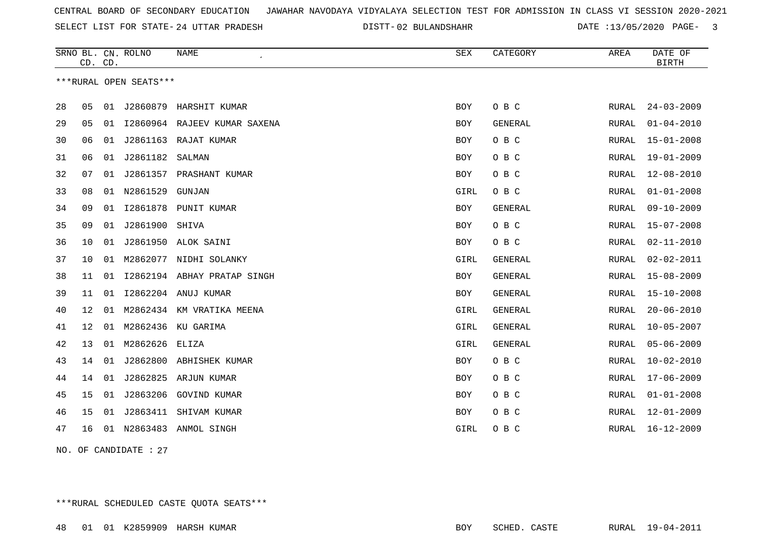SELECT LIST FOR STATE- DISTT- 24 UTTAR PRADESH

DISTT-02 BULANDSHAHR DATE :13/05/2020 PAGE- 3

|    | CD. CD. |    | SRNO BL. CN. ROLNO     | <b>NAME</b>                  | <b>SEX</b> | CATEGORY       | AREA  | DATE OF<br><b>BIRTH</b> |
|----|---------|----|------------------------|------------------------------|------------|----------------|-------|-------------------------|
|    |         |    | ***RURAL OPEN SEATS*** |                              |            |                |       |                         |
| 28 | 05      |    |                        | 01 J2860879 HARSHIT KUMAR    | <b>BOY</b> | O B C          | RURAL | $24 - 03 - 2009$        |
| 29 | 05      | 01 |                        | 12860964 RAJEEV KUMAR SAXENA | BOY        | GENERAL        | RURAL | $01 - 04 - 2010$        |
| 30 | 06      | 01 | J2861163               | RAJAT KUMAR                  | BOY        | O B C          | RURAL | $15 - 01 - 2008$        |
| 31 | 06      | 01 | J2861182               | SALMAN                       | <b>BOY</b> | O B C          | RURAL | 19-01-2009              |
| 32 | 07      | 01 | J2861357               | PRASHANT KUMAR               | BOY        | O B C          | RURAL | $12 - 08 - 2010$        |
| 33 | 08      | 01 | N2861529               | GUNJAN                       | GIRL       | O B C          | RURAL | $01 - 01 - 2008$        |
| 34 | 09      | 01 | I2861878               | PUNIT KUMAR                  | <b>BOY</b> | <b>GENERAL</b> | RURAL | $09 - 10 - 2009$        |
| 35 | 09      | 01 | J2861900               | SHIVA                        | <b>BOY</b> | O B C          | RURAL | $15 - 07 - 2008$        |
| 36 | 10      | 01 | J2861950               | ALOK SAINI                   | <b>BOY</b> | O B C          | RURAL | $02 - 11 - 2010$        |
| 37 | 10      | 01 | M2862077               | NIDHI SOLANKY                | GIRL       | GENERAL        | RURAL | $02 - 02 - 2011$        |
| 38 | 11      | 01 |                        | 12862194 ABHAY PRATAP SINGH  | BOY        | GENERAL        | RURAL | $15 - 08 - 2009$        |
| 39 | 11      | 01 |                        | 12862204 ANUJ KUMAR          | BOY        | GENERAL        | RURAL | $15 - 10 - 2008$        |
| 40 | 12      | 01 |                        | M2862434 KM VRATIKA MEENA    | GIRL       | <b>GENERAL</b> | RURAL | $20 - 06 - 2010$        |
| 41 | 12      | 01 | M2862436               | KU GARIMA                    | GIRL       | GENERAL        | RURAL | $10 - 05 - 2007$        |
| 42 | 13      | 01 | M2862626               | ELIZA                        | GIRL       | <b>GENERAL</b> | RURAL | $05 - 06 - 2009$        |
| 43 | 14      | 01 | J2862800               | ABHISHEK KUMAR               | BOY        | O B C          | RURAL | $10 - 02 - 2010$        |
| 44 | 14      | 01 | J2862825               | ARJUN KUMAR                  | <b>BOY</b> | O B C          | RURAL | $17 - 06 - 2009$        |
| 45 | 15      | 01 | J2863206               | GOVIND KUMAR                 | <b>BOY</b> | O B C          | RURAL | $01 - 01 - 2008$        |
| 46 | 15      | 01 | J2863411               | SHIVAM KUMAR                 | <b>BOY</b> | O B C          | RURAL | $12 - 01 - 2009$        |
| 47 | 16      | 01 | N2863483               | ANMOL SINGH                  | GIRL       | O B C          | RURAL | $16 - 12 - 2009$        |
|    |         |    |                        |                              |            |                |       |                         |

NO. OF CANDIDATE : 27

\*\*\*RURAL SCHEDULED CASTE QUOTA SEATS\*\*\*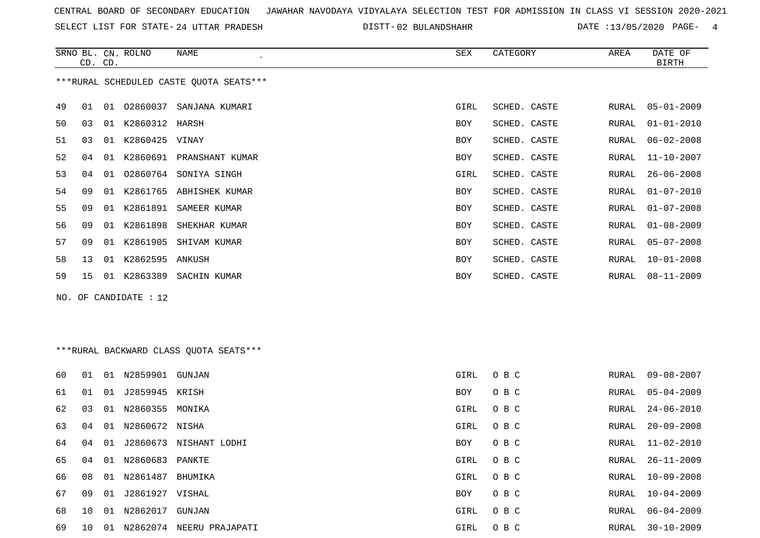SELECT LIST FOR STATE- DISTT- 24 UTTAR PRADESH

02 BULANDSHAHR DATE :13/05/2020 PAGE- 4

|    | CD. CD. |    | SRNO BL. CN. ROLNO      | NAME<br>$\pmb{\cdot}$                   | SEX        | CATEGORY     | AREA  | DATE OF<br>BIRTH |
|----|---------|----|-------------------------|-----------------------------------------|------------|--------------|-------|------------------|
|    |         |    |                         | ***RURAL SCHEDULED CASTE QUOTA SEATS*** |            |              |       |                  |
| 49 | 01      | 01 | 02860037                | SANJANA KUMARI                          | GIRL       | SCHED. CASTE | RURAL | $05 - 01 - 2009$ |
| 50 | 03      | 01 | K2860312 HARSH          |                                         | <b>BOY</b> | SCHED. CASTE | RURAL | $01 - 01 - 2010$ |
| 51 | 03      | 01 | K2860425                | VINAY                                   | <b>BOY</b> | SCHED. CASTE | RURAL | $06 - 02 - 2008$ |
| 52 | 04      | 01 | K2860691                | PRANSHANT KUMAR                         | BOY        | SCHED. CASTE | RURAL | $11 - 10 - 2007$ |
| 53 | 04      | 01 | 02860764                | SONIYA SINGH                            | GIRL       | SCHED. CASTE | RURAL | $26 - 06 - 2008$ |
| 54 | 09      | 01 | K2861765                | ABHISHEK KUMAR                          | <b>BOY</b> | SCHED. CASTE | RURAL | $01 - 07 - 2010$ |
| 55 | 09      | 01 | K2861891                | SAMEER KUMAR                            | <b>BOY</b> | SCHED. CASTE | RURAL | $01 - 07 - 2008$ |
| 56 | 09      | 01 | K2861898                | SHEKHAR KUMAR                           | <b>BOY</b> | SCHED. CASTE | RURAL | $01 - 08 - 2009$ |
| 57 | 09      | 01 | K2861905                | SHIVAM KUMAR                            | <b>BOY</b> | SCHED. CASTE | RURAL | $05 - 07 - 2008$ |
| 58 | 13      | 01 | K2862595                | ANKUSH                                  | <b>BOY</b> | SCHED. CASTE | RURAL | $10 - 01 - 2008$ |
| 59 | 15      | 01 | K2863389                | SACHIN KUMAR                            | <b>BOY</b> | SCHED. CASTE | RURAL | $08 - 11 - 2009$ |
|    |         |    | NO. OF CANDIDATE : $12$ |                                         |            |              |       |                  |

\*\*\*RURAL BACKWARD CLASS QUOTA SEATS\*\*\*

| 60 | 01 | 01 | N2859901          | GUNJAN                 | GIRL       | O B C | RURAL | 09-08-2007       |
|----|----|----|-------------------|------------------------|------------|-------|-------|------------------|
| 61 | 01 | 01 | J2859945 KRISH    |                        | <b>BOY</b> | O B C |       | RURAL 05-04-2009 |
| 62 | 03 | 01 | N2860355          | MONIKA                 | GIRL       | O B C | RURAL | 24-06-2010       |
| 63 | 04 |    | 01 N2860672 NISHA |                        | GIRL       | O B C | RURAL | 20-09-2008       |
| 64 | 04 | 01 |                   | J2860673 NISHANT LODHI | <b>BOY</b> | O B C | RURAL | 11-02-2010       |
| 65 | 04 | 01 | N2860683 PANKTE   |                        | GIRL       | O B C | RURAL | 26-11-2009       |
| 66 | 08 |    | 01 N2861487       | BHUMIKA                | GIRL       | O B C | RURAL | $10 - 09 - 2008$ |
| 67 | 09 | 01 | J2861927 VISHAL   |                        | <b>BOY</b> | O B C | RURAL | $10 - 04 - 2009$ |
| 68 | 10 | 01 | N2862017          | GUNJAN                 | GIRL       | O B C | RURAL | 06-04-2009       |
| 69 | 10 | 01 | N2862074          | NEERU PRAJAPATI        | GIRL       | O B C | RURAL | $30 - 10 - 2009$ |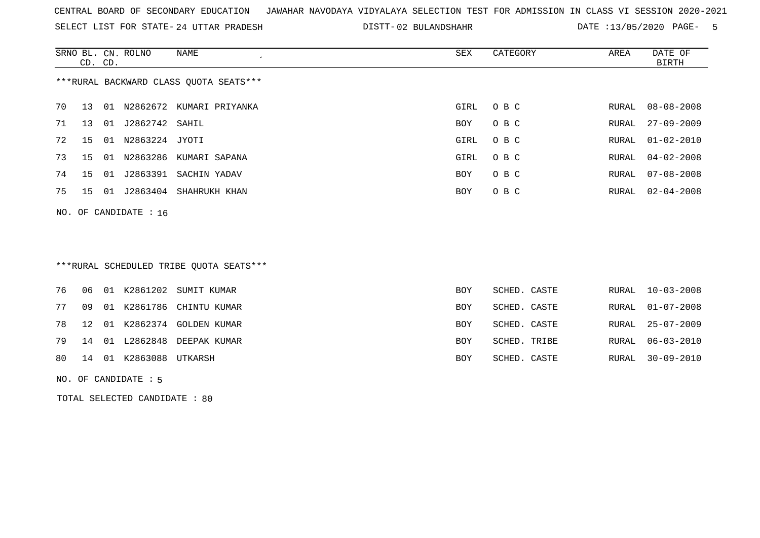SELECT LIST FOR STATE- DISTT- 24 UTTAR PRADESH

DISTT-02 BULANDSHAHR DATE :13/05/2020 PAGE- 5

|                                        | CD. CD.         |     | SRNO BL. CN. ROLNO | NAME<br>$\cdot$          | SEX        | CATEGORY | AREA  | DATE OF<br>BIRTH |  |
|----------------------------------------|-----------------|-----|--------------------|--------------------------|------------|----------|-------|------------------|--|
| ***RURAL BACKWARD CLASS QUOTA SEATS*** |                 |     |                    |                          |            |          |       |                  |  |
| 70                                     | 13              | O 1 |                    | N2862672 KUMARI PRIYANKA | GIRL       | O B C    |       | RURAL 08-08-2008 |  |
| 71                                     | 13 <sup>°</sup> | 01  | J2862742 SAHIL     |                          | <b>BOY</b> | O B C    | RURAL | $27 - 09 - 2009$ |  |
| 72                                     | 15              | 01  | N2863224           | JYOTI                    | GIRL       | O B C    |       | RURAL 01-02-2010 |  |
| 73                                     | 15              | 01  | N2863286           | KUMARI SAPANA            | GIRL       | O B C    | RURAL | $04 - 02 - 2008$ |  |
| 74                                     | 15              | 01  | J2863391           | SACHIN YADAV             | BOY        | O B C    | RURAL | $07 - 08 - 2008$ |  |
| 75                                     | 15              | 01  | J2863404           | SHAHRUKH KHAN            | <b>BOY</b> | O B C    | RURAL | $02 - 04 - 2008$ |  |
| NO. OF CANDIDATE : $16$                |                 |     |                    |                          |            |          |       |                  |  |

# \*\*\*RURAL SCHEDULED TRIBE QUOTA SEATS\*\*\*

|    |  |                           | 76 06 01 K2861202 SUMIT KUMAR  | <b>BOY</b> | SCHED. CASTE | RURAL 10-03-2008 |
|----|--|---------------------------|--------------------------------|------------|--------------|------------------|
| 77 |  |                           | 09 01 K2861786 CHINTU KUMAR    | <b>BOY</b> | SCHED. CASTE | RURAL 01-07-2008 |
|    |  |                           | 78 12 01 K2862374 GOLDEN KUMAR | <b>BOY</b> | SCHED. CASTE | RURAL 25-07-2009 |
|    |  |                           | 79 14 01 L2862848 DEEPAK KUMAR | BOY        | SCHED. TRIBE | RURAL 06-03-2010 |
|    |  | 80 14 01 K2863088 UTKARSH |                                | BOY        | SCHED. CASTE | RURAL 30-09-2010 |
|    |  |                           |                                |            |              |                  |

#### NO. OF CANDIDATE : 5

TOTAL SELECTED CANDIDATE : 80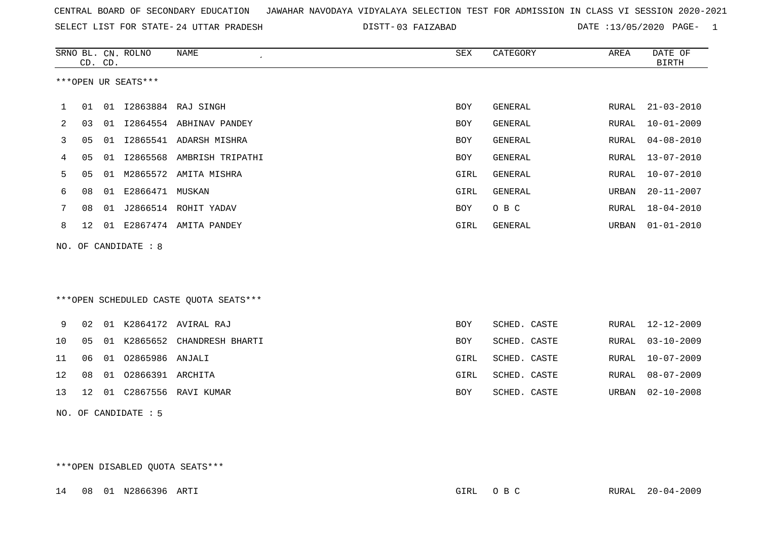| CENTRAL BOARD OF SECONDARY EDUCATION GUNAHAR NAVODAYA VIDYALAYA SELECTION TEST FOR ADMISSION IN CLASS VI SESSION 2020-2021 |  |  |  |
|----------------------------------------------------------------------------------------------------------------------------|--|--|--|
|----------------------------------------------------------------------------------------------------------------------------|--|--|--|

SELECT LIST FOR STATE- DISTT- 24 UTTAR PRADESH 03 FAIZABAD DATE :13/05/2020 PAGE- 1

|             |                      | CD. CD. | SRNO BL. CN. ROLNO   | <b>NAME</b>                            | SEX        | CATEGORY       | AREA         | DATE OF<br><b>BIRTH</b> |  |  |
|-------------|----------------------|---------|----------------------|----------------------------------------|------------|----------------|--------------|-------------------------|--|--|
|             |                      |         | ***OPEN UR SEATS***  |                                        |            |                |              |                         |  |  |
| $\mathbf 1$ | 01                   |         |                      | 01 I2863884 RAJ SINGH                  | <b>BOY</b> | GENERAL        | RURAL        | $21 - 03 - 2010$        |  |  |
| 2           | 03                   |         |                      | 01 I2864554 ABHINAV PANDEY             | <b>BOY</b> | GENERAL        | RURAL        | $10 - 01 - 2009$        |  |  |
| 3           | 05                   |         |                      | 01 I2865541 ADARSH MISHRA              | <b>BOY</b> | GENERAL        | RURAL        | $04 - 08 - 2010$        |  |  |
| 4           | 05                   | 01      |                      | 12865568 AMBRISH TRIPATHI              | <b>BOY</b> | <b>GENERAL</b> | RURAL        | $13 - 07 - 2010$        |  |  |
| 5           | 05                   |         |                      | 01 M2865572 AMITA MISHRA               | GIRL       | <b>GENERAL</b> | <b>RURAL</b> | $10 - 07 - 2010$        |  |  |
| 6           | 08                   |         | 01 E2866471 MUSKAN   |                                        | GIRL       | <b>GENERAL</b> | URBAN        | $20 - 11 - 2007$        |  |  |
| 7           | 08                   |         |                      | 01 J2866514 ROHIT YADAV                | <b>BOY</b> | O B C          | <b>RURAL</b> | $18 - 04 - 2010$        |  |  |
| 8           | 12                   |         |                      | 01 E2867474 AMITA PANDEY               | GIRL       | GENERAL        | URBAN        | $01 - 01 - 2010$        |  |  |
|             |                      |         | NO. OF CANDIDATE : 8 |                                        |            |                |              |                         |  |  |
|             |                      |         |                      |                                        |            |                |              |                         |  |  |
|             |                      |         |                      | ***OPEN SCHEDULED CASTE QUOTA SEATS*** |            |                |              |                         |  |  |
| 9           | 02                   |         |                      | 01 K2864172 AVIRAL RAJ                 | <b>BOY</b> | SCHED. CASTE   | RURAL        | $12 - 12 - 2009$        |  |  |
| 10          | 05                   |         |                      | 01 K2865652 CHANDRESH BHARTI           | <b>BOY</b> | SCHED. CASTE   | <b>RURAL</b> | $03 - 10 - 2009$        |  |  |
| 11          | 06                   |         | 01 02865986 ANJALI   |                                        | GIRL       | SCHED. CASTE   | RURAL        | $10 - 07 - 2009$        |  |  |
| 12          | 08                   |         | 01 02866391 ARCHITA  |                                        | GIRL       | SCHED. CASTE   | RURAL        | $08 - 07 - 2009$        |  |  |
| 13          | 12                   |         |                      | 01 C2867556 RAVI KUMAR                 | BOY        | SCHED. CASTE   | URBAN        | $02 - 10 - 2008$        |  |  |
|             | NO. OF CANDIDATE : 5 |         |                      |                                        |            |                |              |                         |  |  |

\*\*\*OPEN DISABLED QUOTA SEATS\*\*\*

14 08 01 N2866396 ARTI GIRL O B C RURAL 20-04-2009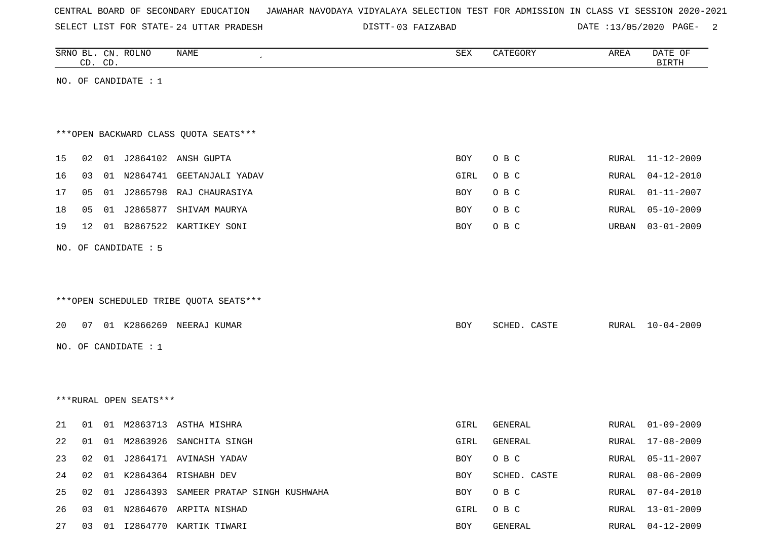SELECT LIST FOR STATE- DISTT- 24 UTTAR PRADESH

03 FAIZABAD DATE :13/05/2020 PAGE- 2

|    |    | CD. CD. | SRNO BL. CN. ROLNO     | NAME                                     | ${\tt SEX}$ | CATEGORY     | AREA         | DATE OF<br><b>BIRTH</b> |
|----|----|---------|------------------------|------------------------------------------|-------------|--------------|--------------|-------------------------|
|    |    |         | NO. OF CANDIDATE : 1   |                                          |             |              |              |                         |
|    |    |         |                        |                                          |             |              |              |                         |
|    |    |         |                        |                                          |             |              |              |                         |
|    |    |         |                        | *** OPEN BACKWARD CLASS QUOTA SEATS***   |             |              |              |                         |
|    |    |         |                        |                                          |             |              |              |                         |
| 15 | 02 |         |                        | 01 J2864102 ANSH GUPTA                   | BOY         | O B C        | RURAL        | 11-12-2009              |
| 16 | 03 |         | 01 N2864741            | GEETANJALI YADAV                         | GIRL        | O B C        | RURAL        | $04 - 12 - 2010$        |
| 17 | 05 |         |                        | 01 J2865798 RAJ CHAURASIYA               | BOY         | O B C        | <b>RURAL</b> | $01 - 11 - 2007$        |
| 18 | 05 |         | 01 J2865877            | SHIVAM MAURYA                            | BOY         | O B C        | <b>RURAL</b> | $05 - 10 - 2009$        |
| 19 | 12 |         |                        | 01 B2867522 KARTIKEY SONI                | BOY         | O B C        | URBAN        | $03 - 01 - 2009$        |
|    |    |         | NO. OF CANDIDATE : 5   |                                          |             |              |              |                         |
|    |    |         |                        |                                          |             |              |              |                         |
|    |    |         |                        |                                          |             |              |              |                         |
|    |    |         |                        | ***OPEN SCHEDULED TRIBE QUOTA SEATS***   |             |              |              |                         |
|    |    |         |                        |                                          |             |              |              |                         |
| 20 |    |         |                        | 07 01 K2866269 NEERAJ KUMAR              | BOY         | SCHED. CASTE | RURAL        | $10 - 04 - 2009$        |
|    |    |         | NO. OF CANDIDATE : 1   |                                          |             |              |              |                         |
|    |    |         |                        |                                          |             |              |              |                         |
|    |    |         |                        |                                          |             |              |              |                         |
|    |    |         | ***RURAL OPEN SEATS*** |                                          |             |              |              |                         |
|    |    |         |                        |                                          |             |              |              |                         |
| 21 | 01 |         |                        | 01 M2863713 ASTHA MISHRA                 | GIRL        | GENERAL      | RURAL        | $01 - 09 - 2009$        |
| 22 | 01 |         |                        | 01 M2863926 SANCHITA SINGH               | GIRL        | GENERAL      | RURAL        | $17 - 08 - 2009$        |
| 23 | 02 |         |                        | 01 J2864171 AVINASH YADAV                | BOY         | O B C        | RURAL        | $05 - 11 - 2007$        |
| 24 | 02 |         |                        | 01 K2864364 RISHABH DEV                  | BOY         | SCHED. CASTE | RURAL        | $08 - 06 - 2009$        |
| 25 | 02 |         |                        | 01 J2864393 SAMEER PRATAP SINGH KUSHWAHA | BOY         | O B C        | RURAL        | $07 - 04 - 2010$        |
| 26 | 03 |         |                        | 01 N2864670 ARPITA NISHAD                | GIRL        | O B C        | RURAL        | $13 - 01 - 2009$        |
| 27 |    |         |                        | 03 01 I2864770 KARTIK TIWARI             | BOY         | GENERAL      | RURAL        | $04 - 12 - 2009$        |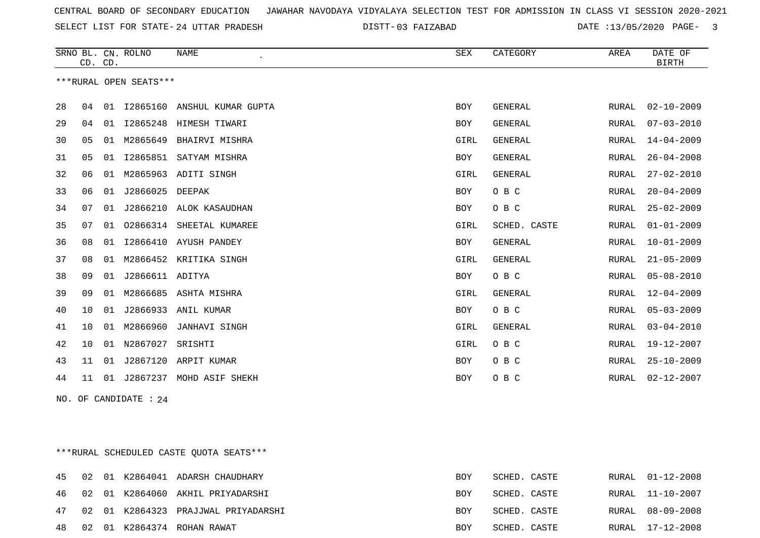SELECT LIST FOR STATE- DISTT- 24 UTTAR PRADESH

03 FAIZABAD DATE :13/05/2020 PAGE- 3

|                        | CD. CD. |    | SRNO BL. CN. ROLNO | <b>NAME</b><br>$\epsilon$   | ${\tt SEX}$ | CATEGORY       | AREA  | DATE OF<br><b>BIRTH</b> |
|------------------------|---------|----|--------------------|-----------------------------|-------------|----------------|-------|-------------------------|
| ***RURAL OPEN SEATS*** |         |    |                    |                             |             |                |       |                         |
| 28                     | 04      | 01 |                    | 12865160 ANSHUL KUMAR GUPTA | <b>BOY</b>  | <b>GENERAL</b> | RURAL | $02 - 10 - 2009$        |
| 29                     | 04      | 01 | I2865248           | HIMESH TIWARI               | <b>BOY</b>  | <b>GENERAL</b> | RURAL | $07 - 03 - 2010$        |
| 30                     | 05      | 01 | M2865649           | BHAIRVI MISHRA              | GIRL        | GENERAL        | RURAL | $14 - 04 - 2009$        |
| 31                     | 05      | 01 | I2865851           | SATYAM MISHRA               | <b>BOY</b>  | <b>GENERAL</b> | RURAL | $26 - 04 - 2008$        |
| 32                     | 06      | 01 | M2865963           | ADITI SINGH                 | GIRL        | GENERAL        | RURAL | $27 - 02 - 2010$        |
| 33                     | 06      | 01 | J2866025           | DEEPAK                      | <b>BOY</b>  | O B C          | RURAL | $20 - 04 - 2009$        |
| 34                     | 07      | 01 |                    | J2866210 ALOK KASAUDHAN     | <b>BOY</b>  | O B C          | RURAL | $25 - 02 - 2009$        |
| 35                     | 07      | 01 | 02866314           | SHEETAL KUMAREE             | GIRL        | SCHED. CASTE   | RURAL | $01 - 01 - 2009$        |
| 36                     | 08      | 01 | I2866410           | AYUSH PANDEY                | <b>BOY</b>  | <b>GENERAL</b> | RURAL | $10 - 01 - 2009$        |
| 37                     | 08      | 01 | M2866452           | KRITIKA SINGH               | GIRL        | <b>GENERAL</b> | RURAL | $21 - 05 - 2009$        |
| 38                     | 09      | 01 | J2866611 ADITYA    |                             | BOY         | O B C          | RURAL | $05 - 08 - 2010$        |
| 39                     | 09      | 01 | M2866685           | ASHTA MISHRA                | GIRL        | GENERAL        | RURAL | $12 - 04 - 2009$        |
| 40                     | 10      | 01 | J2866933           | ANIL KUMAR                  | BOY         | O B C          | RURAL | $05 - 03 - 2009$        |
| 41                     | 10      | 01 | M2866960           | <b>JANHAVI SINGH</b>        | GIRL        | GENERAL        | RURAL | $03 - 04 - 2010$        |
| 42                     | 10      | 01 | N2867027           | SRISHTI                     | GIRL        | O B C          | RURAL | $19 - 12 - 2007$        |
| 43                     | 11      | 01 | J2867120           | ARPIT KUMAR                 | BOY         | O B C          | RURAL | $25 - 10 - 2009$        |
| 44                     | 11      | 01 | J2867237           | MOHD ASIF SHEKH             | <b>BOY</b>  | O B C          | RURAL | $02 - 12 - 2007$        |

NO. OF CANDIDATE : 24

\*\*\*RURAL SCHEDULED CASTE QUOTA SEATS\*\*\*

| 45 |  | 02 01 K2864041 ADARSH CHAUDHARY        | BOY | SCHED. CASTE | RURAL 01-12-2008 |
|----|--|----------------------------------------|-----|--------------|------------------|
|    |  | 46 02 01 K2864060 AKHIL PRIYADARSHI    | BOY | SCHED. CASTE | RURAL 11-10-2007 |
|    |  | 47 02 01 K2864323 PRAJJWAL PRIYADARSHI | BOY | SCHED. CASTE | RURAL 08-09-2008 |
| 48 |  | 02 01 K2864374 ROHAN RAWAT             | BOY | SCHED. CASTE | RURAL 17-12-2008 |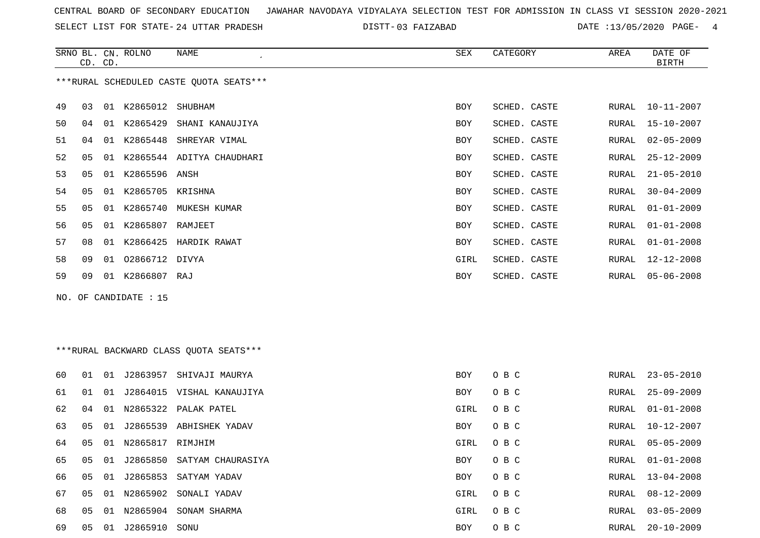SELECT LIST FOR STATE- DISTT- 24 UTTAR PRADESH

03 FAIZABAD DATE :13/05/2020 PAGE- 4

|    | CD. CD.                                 |    | SRNO BL. CN. ROLNO | NAME<br>$\cdot$           | SEX        | CATEGORY     | AREA  | DATE OF<br><b>BIRTH</b> |  |  |  |
|----|-----------------------------------------|----|--------------------|---------------------------|------------|--------------|-------|-------------------------|--|--|--|
|    | ***RURAL SCHEDULED CASTE QUOTA SEATS*** |    |                    |                           |            |              |       |                         |  |  |  |
| 49 | 03                                      | 01 | K2865012           | SHUBHAM                   | BOY        | SCHED. CASTE | RURAL | 10-11-2007              |  |  |  |
| 50 | 04                                      | 01 | K2865429           | SHANI KANAUJIYA           | <b>BOY</b> | SCHED. CASTE | RURAL | 15-10-2007              |  |  |  |
| 51 | 04                                      | 01 | K2865448           | SHREYAR VIMAL             | BOY        | SCHED. CASTE | RURAL | $02 - 05 - 2009$        |  |  |  |
| 52 | 05                                      | 01 |                    | K2865544 ADITYA CHAUDHARI | BOY        | SCHED. CASTE | RURAL | $25 - 12 - 2009$        |  |  |  |
| 53 | 05                                      | 01 | K2865596 ANSH      |                           | BOY        | SCHED. CASTE | RURAL | $21 - 05 - 2010$        |  |  |  |
| 54 | 05                                      | 01 | K2865705 KRISHNA   |                           | BOY        | SCHED. CASTE | RURAL | $30 - 04 - 2009$        |  |  |  |
| 55 | 05                                      | 01 |                    | K2865740 MUKESH KUMAR     | <b>BOY</b> | SCHED. CASTE | RURAL | $01 - 01 - 2009$        |  |  |  |
| 56 | 05                                      | 01 | K2865807           | RAMJEET                   | BOY        | SCHED. CASTE | RURAL | $01 - 01 - 2008$        |  |  |  |
| 57 | 08                                      | 01 | K2866425           | HARDIK RAWAT              | BOY        | SCHED. CASTE | RURAL | $01 - 01 - 2008$        |  |  |  |
| 58 | 09                                      | 01 | 02866712 DIVYA     |                           | GIRL       | SCHED. CASTE | RURAL | 12-12-2008              |  |  |  |
| 59 | 09                                      | 01 | K2866807 RAJ       |                           | BOY        | SCHED. CASTE | RURAL | $05 - 06 - 2008$        |  |  |  |
|    |                                         |    |                    |                           |            |              |       |                         |  |  |  |

NO. OF CANDIDATE : 15

# \*\*\*RURAL BACKWARD CLASS QUOTA SEATS\*\*\*

| 60. | 01 | 01 | J2863957         | SHIVAJI MAURYA       | BOY  | O B C | RURAL | 23-05-2010       |
|-----|----|----|------------------|----------------------|------|-------|-------|------------------|
| 61  | 01 | 01 | J2864015         | VISHAL KANAUJIYA     | BOY  | O B C | RURAL | $25 - 09 - 2009$ |
| 62  | 04 | 01 |                  | N2865322 PALAK PATEL | GIRL | O B C | RURAL | $01 - 01 - 2008$ |
| 63  | 05 | 01 | J2865539         | ABHISHEK YADAV       | BOY  | O B C | RURAL | 10-12-2007       |
| 64  | 05 | 01 | N2865817 RIMJHIM |                      | GIRL | O B C | RURAL | 05-05-2009       |
| 65  | 05 | 01 | J2865850         | SATYAM CHAURASIYA    | BOY  | O B C | RURAL | 01-01-2008       |
| 66. | 05 | 01 | J2865853         | SATYAM YADAV         | BOY  | O B C | RURAL | $13 - 04 - 2008$ |
| 67  | 05 | 01 | N2865902         | SONALI YADAV         | GIRL | O B C | RURAL | $08 - 12 - 2009$ |
| 68  | 05 | 01 | N2865904         | SONAM SHARMA         | GIRL | O B C | RURAL | $03 - 05 - 2009$ |
| 69  | 05 | 01 | J2865910         | SONU                 | BOY  | O B C | RURAL | $20 - 10 - 2009$ |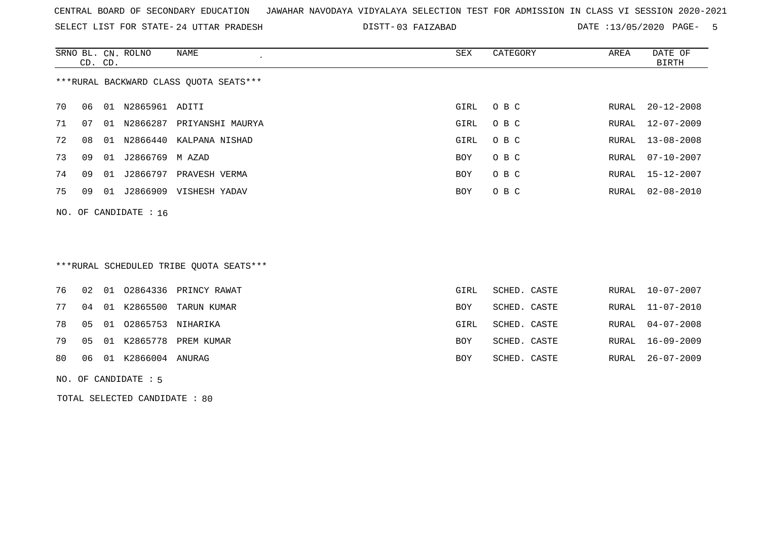SELECT LIST FOR STATE- DISTT- 24 UTTAR PRADESH

03 FAIZABAD DATE :13/05/2020 PAGE- 5

|                                        | CD. CD. |    | SRNO BL. CN. ROLNO | NAME                       | SEX        | CATEGORY | AREA  | DATE OF<br>BIRTH |  |  |  |
|----------------------------------------|---------|----|--------------------|----------------------------|------------|----------|-------|------------------|--|--|--|
| ***RURAL BACKWARD CLASS OUOTA SEATS*** |         |    |                    |                            |            |          |       |                  |  |  |  |
| 70                                     | 06      | 01 | N2865961 ADITI     |                            | GIRL       | O B C    | RURAL | $20 - 12 - 2008$ |  |  |  |
| 71                                     | 07      | 01 | N2866287           | PRIYANSHI MAURYA           | GIRL       | O B C    |       | RURAL 12-07-2009 |  |  |  |
| 72                                     | 08      |    |                    | 01 N2866440 KALPANA NISHAD | GIRL       | O B C    |       | RURAL 13-08-2008 |  |  |  |
| 73                                     | 09      | 01 | J2866769 M AZAD    |                            | <b>BOY</b> | O B C    | RURAL | $07 - 10 - 2007$ |  |  |  |
| 74                                     | 09      | 01 | J2866797           | PRAVESH VERMA              | BOY        | O B C    | RURAL | 15-12-2007       |  |  |  |
| 75                                     | 09      | 01 | J2866909           | VISHESH YADAV              | <b>BOY</b> | O B C    | RURAL | $02 - 08 - 2010$ |  |  |  |
| NO. OF CANDIDATE : $16$                |         |    |                    |                            |            |          |       |                  |  |  |  |

# \*\*\*RURAL SCHEDULED TRIBE QUOTA SEATS\*\*\*

|  |                            | 76 02 01 02864336 PRINCY RAWAT | GIRL       | SCHED. CASTE |  | RURAL 10-07-2007 |
|--|----------------------------|--------------------------------|------------|--------------|--|------------------|
|  |                            | 77 04 01 K2865500 TARUN KUMAR  | <b>BOY</b> | SCHED. CASTE |  | RURAL 11-07-2010 |
|  | 78 05 01 02865753 NIHARIKA |                                | GIRL       | SCHED. CASTE |  | RURAL 04-07-2008 |
|  |                            | 79 05 01 K2865778 PREM KUMAR   | <b>BOY</b> | SCHED. CASTE |  | RURAL 16-09-2009 |
|  | 80 06 01 K2866004 ANURAG   |                                | <b>BOY</b> | SCHED. CASTE |  | RURAL 26-07-2009 |
|  |                            |                                |            |              |  |                  |

### NO. OF CANDIDATE : 5

TOTAL SELECTED CANDIDATE : 80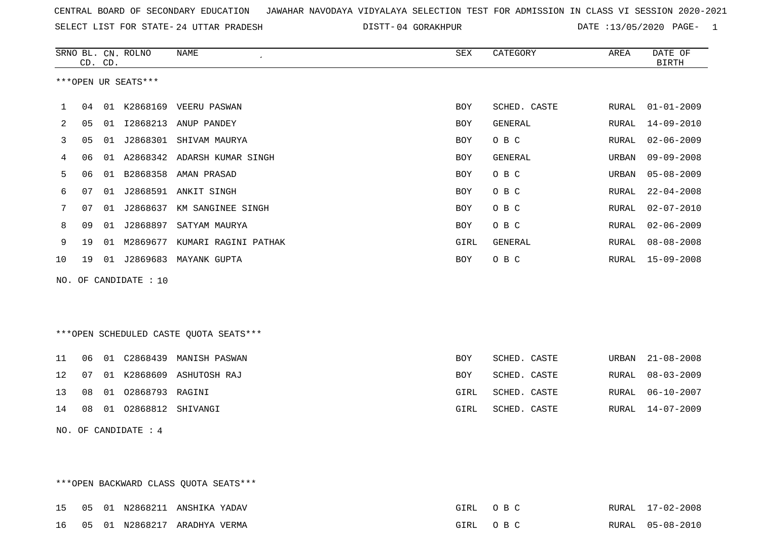SELECT LIST FOR STATE- DISTT- 24 UTTAR PRADESH

DISTT-04 GORAKHPUR DATE :13/05/2020 PAGE- 1

|                |    | CD. CD. | SRNO BL. CN. ROLNO  | NAME<br>$\epsilon$            | SEX        | CATEGORY     | AREA  | DATE OF<br><b>BIRTH</b> |
|----------------|----|---------|---------------------|-------------------------------|------------|--------------|-------|-------------------------|
|                |    |         | ***OPEN UR SEATS*** |                               |            |              |       |                         |
| 1              | 04 | 01      |                     | K2868169 VEERU PASWAN         | <b>BOY</b> | SCHED. CASTE | RURAL | $01 - 01 - 2009$        |
| $\overline{2}$ | 05 | 01      |                     | I2868213 ANUP PANDEY          | <b>BOY</b> | GENERAL      | RURAL | 14-09-2010              |
| 3              | 05 | 01      | J2868301            | SHIVAM MAURYA                 | <b>BOY</b> | O B C        | RURAL | $02 - 06 - 2009$        |
| 4              | 06 | 01      |                     | A2868342 ADARSH KUMAR SINGH   | <b>BOY</b> | GENERAL      | URBAN | $09 - 09 - 2008$        |
| 5              | 06 | 01      |                     | B2868358 AMAN PRASAD          | BOY        | O B C        | URBAN | $05 - 08 - 2009$        |
| 6              | 07 | 01      |                     | J2868591 ANKIT SINGH          | <b>BOY</b> | O B C        | RURAL | $22 - 04 - 2008$        |
| 7              | 07 | 01      | J2868637            | KM SANGINEE SINGH             | BOY        | O B C        | RURAL | $02 - 07 - 2010$        |
| 8              | 09 | 01      | J2868897            | SATYAM MAURYA                 | BOY        | O B C        | RURAL | $02 - 06 - 2009$        |
| 9              | 19 | 01      |                     | M2869677 KUMARI RAGINI PATHAK | GIRL       | GENERAL      | RURAL | $08 - 08 - 2008$        |
| 10             | 19 | 01      | J2869683            | MAYANK GUPTA                  | <b>BOY</b> | O B C        | RURAL | $15 - 09 - 2008$        |
| NO.            |    |         | OF CANDIDATE : 10   |                               |            |              |       |                         |
|                |    |         |                     |                               |            |              |       |                         |

\*\*\*OPEN SCHEDULED CASTE QUOTA SEATS\*\*\*

|  |                            |                                | BOY  | SCHED. CASTE |  | URBAN 21-08-2008 |
|--|----------------------------|--------------------------------|------|--------------|--|------------------|
|  |                            | 12 07 01 K2868609 ASHUTOSH RAJ | BOY  | SCHED. CASTE |  | RURAL 08-03-2009 |
|  | 13 08 01 02868793 RAGINI   |                                | GIRL | SCHED. CASTE |  | RURAL 06-10-2007 |
|  | 14 08 01 02868812 SHIVANGI |                                | GIRL | SCHED. CASTE |  | RURAL 14-07-2009 |

NO. OF CANDIDATE : 4

|  |  | ***OPEN BACKWARD CLASS OUOTA SEATS*** |          |                  |
|--|--|---------------------------------------|----------|------------------|
|  |  | 15 05 01 N2868211 ANSHIKA YADAV       | GIRL OBC | RURAL 17-02-2008 |
|  |  | 16  05  01  N2868217  ARADHYA  VERMA  | GIRL OBC | RURAL 05-08-2010 |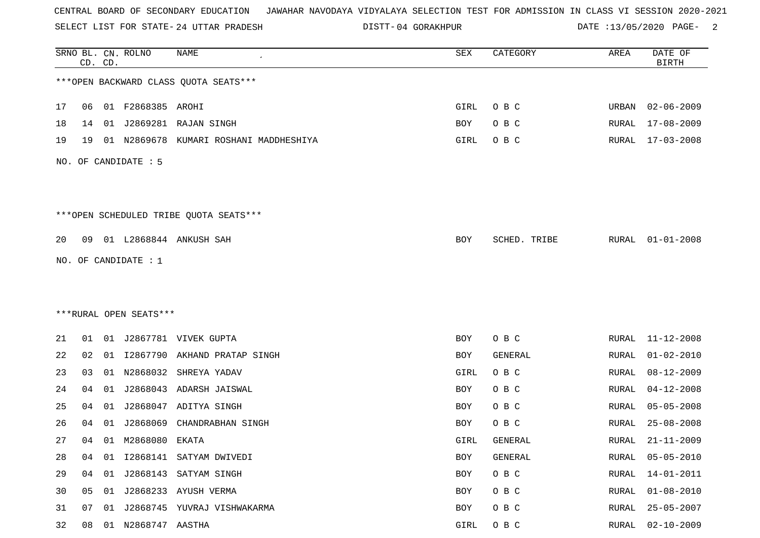SELECT LIST FOR STATE- DISTT- 24 UTTAR PRADESH

04 GORAKHPUR DATE :13/05/2020 PAGE- 2

|    |    | CD. CD. | SRNO BL. CN. ROLNO     | NAME                                    | SEX  | CATEGORY     | AREA          | DATE OF<br><b>BIRTH</b> |
|----|----|---------|------------------------|-----------------------------------------|------|--------------|---------------|-------------------------|
|    |    |         |                        | *** OPEN BACKWARD CLASS QUOTA SEATS***  |      |              |               |                         |
| 17 | 06 |         | 01 F2868385 AROHI      |                                         | GIRL | O B C        | URBAN         | $02 - 06 - 2009$        |
| 18 | 14 | 01      |                        | J2869281 RAJAN SINGH                    | BOY  | O B C        | RURAL         | $17 - 08 - 2009$        |
| 19 | 19 |         |                        | 01 N2869678 KUMARI ROSHANI MADDHESHIYA  | GIRL | O B C        | RURAL         | $17 - 03 - 2008$        |
|    |    |         | NO. OF CANDIDATE : 5   |                                         |      |              |               |                         |
|    |    |         |                        | *** OPEN SCHEDULED TRIBE QUOTA SEATS*** |      |              |               |                         |
| 20 | 09 |         |                        | 01 L2868844 ANKUSH SAH                  | BOY  | SCHED. TRIBE | RURAL         | $01 - 01 - 2008$        |
|    |    |         | NO. OF CANDIDATE : 1   |                                         |      |              |               |                         |
|    |    |         |                        |                                         |      |              |               |                         |
|    |    |         |                        |                                         |      |              |               |                         |
|    |    |         | ***RURAL OPEN SEATS*** |                                         |      |              |               |                         |
| 21 | 01 |         |                        | 01 J2867781 VIVEK GUPTA                 | BOY  | O B C        | RURAL         | $11 - 12 - 2008$        |
| 22 | 02 |         |                        | 01 I2867790 AKHAND PRATAP SINGH         | BOY  | GENERAL      | RURAL         | $01 - 02 - 2010$        |
| 23 | 03 | 01      |                        | N2868032 SHREYA YADAV                   | GIRL | O B C        | RURAL         | $08 - 12 - 2009$        |
| 24 | 04 | 01      | J2868043               | ADARSH JAISWAL                          | BOY  | O B C        | RURAL         | $04 - 12 - 2008$        |
| 25 | 04 | 01      |                        | J2868047 ADITYA SINGH                   | BOY  | O B C        | <b>RURAL</b>  | $05 - 05 - 2008$        |
| 26 | 04 | 01      | J2868069               | CHANDRABHAN SINGH                       | BOY  | O B C        | RURAL         | $25 - 08 - 2008$        |
| 27 | 04 |         | 01 M2868080 EKATA      |                                         | GIRL | GENERAL      | RURAL         | $21 - 11 - 2009$        |
| 28 | 04 | 01      |                        | I2868141 SATYAM DWIVEDI                 | BOY  | GENERAL      | <b>RURAL</b>  | $05 - 05 - 2010$        |
| 29 | 04 | 01      |                        | J2868143 SATYAM SINGH                   | BOY  | O B C        | RURAL         | $14 - 01 - 2011$        |
| 30 | 05 |         |                        | 01 J2868233 AYUSH VERMA                 | BOY  | O B C        | RURAL         | $01 - 08 - 2010$        |
| 31 | 07 | 01      |                        | J2868745 YUVRAJ VISHWAKARMA             | BOY  | O B C        | RURAL         | $25 - 05 - 2007$        |
| 32 | 08 |         | 01 N2868747 AASTHA     |                                         | GIRL | O B C        | ${\tt RURAL}$ | $02 - 10 - 2009$        |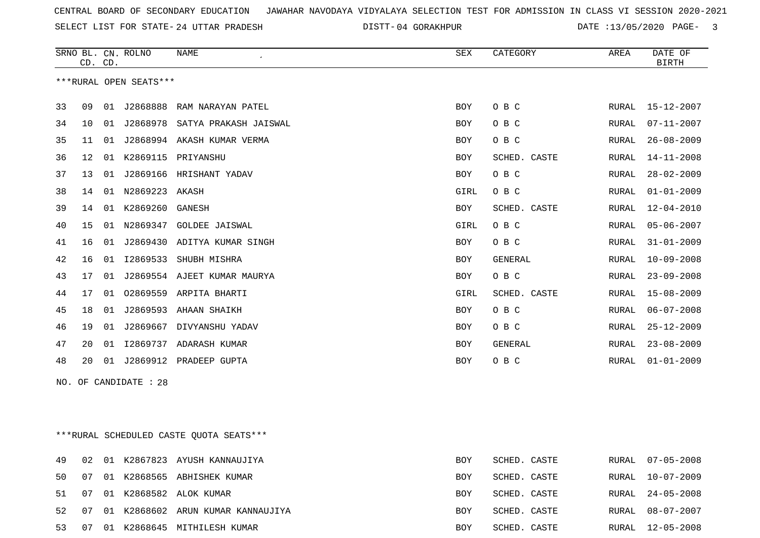SELECT LIST FOR STATE- DISTT- 24 UTTAR PRADESH

DISTT-04 GORAKHPUR DATE :13/05/2020 PAGE- 3

|    | CD. CD. |    | SRNO BL. CN. ROLNO     | <b>NAME</b>                             | SEX        | CATEGORY     | AREA          | DATE OF<br><b>BIRTH</b> |
|----|---------|----|------------------------|-----------------------------------------|------------|--------------|---------------|-------------------------|
|    |         |    | ***RURAL OPEN SEATS*** |                                         |            |              |               |                         |
| 33 | 09      |    | 01 J2868888            | RAM NARAYAN PATEL                       | BOY        | O B C        | RURAL         | 15-12-2007              |
| 34 | 10      |    |                        | 01 J2868978 SATYA PRAKASH JAISWAL       | BOY        | O B C        | RURAL         | $07 - 11 - 2007$        |
| 35 | 11      |    |                        | 01 J2868994 AKASH KUMAR VERMA           | <b>BOY</b> | O B C        | RURAL         | $26 - 08 - 2009$        |
| 36 | 12      |    |                        | 01 K2869115 PRIYANSHU                   | <b>BOY</b> | SCHED. CASTE | RURAL         | $14 - 11 - 2008$        |
| 37 | 13      | 01 |                        | J2869166 HRISHANT YADAV                 | BOY        | O B C        | RURAL         | $28 - 02 - 2009$        |
| 38 | 14      |    | 01 N2869223 AKASH      |                                         | GIRL       | O B C        | RURAL         | $01 - 01 - 2009$        |
| 39 | 14      |    | 01 K2869260            | GANESH                                  | <b>BOY</b> | SCHED. CASTE | RURAL         | $12 - 04 - 2010$        |
| 40 | 15      |    |                        | 01 N2869347 GOLDEE JAISWAL              | GIRL       | O B C        | RURAL         | $05 - 06 - 2007$        |
| 41 | 16      |    |                        | 01 J2869430 ADITYA KUMAR SINGH          | <b>BOY</b> | O B C        | ${\tt RURAL}$ | $31 - 01 - 2009$        |
| 42 | 16      |    |                        | 01 I2869533 SHUBH MISHRA                | BOY        | GENERAL      | RURAL         | $10 - 09 - 2008$        |
| 43 | 17      |    |                        | 01 J2869554 AJEET KUMAR MAURYA          | <b>BOY</b> | O B C        | RURAL         | $23 - 09 - 2008$        |
| 44 | 17      | 01 |                        | 02869559 ARPITA BHARTI                  | GIRL       | SCHED. CASTE | RURAL         | $15 - 08 - 2009$        |
| 45 | 18      | 01 |                        | J2869593 AHAAN SHAIKH                   | <b>BOY</b> | O B C        | RURAL         | $06 - 07 - 2008$        |
| 46 | 19      | 01 |                        | J2869667 DIVYANSHU YADAV                | <b>BOY</b> | O B C        | RURAL         | $25 - 12 - 2009$        |
| 47 | 20      |    |                        | 01 I2869737 ADARASH KUMAR               | BOY        | GENERAL      | RURAL         | $23 - 08 - 2009$        |
| 48 | 20      |    |                        | 01 J2869912 PRADEEP GUPTA               | <b>BOY</b> | O B C        | RURAL         | $01 - 01 - 2009$        |
|    |         |    | NO. OF CANDIDATE : 28  |                                         |            |              |               |                         |
|    |         |    |                        |                                         |            |              |               |                         |
|    |         |    |                        |                                         |            |              |               |                         |
|    |         |    |                        | ***RURAL SCHEDULED CASTE QUOTA SEATS*** |            |              |               |                         |
| 49 | 02      |    |                        | 01 K2867823 AYUSH KANNAUJIYA            | <b>BOY</b> | SCHED. CASTE | RURAL         | $07 - 05 - 2008$        |
| 50 | 07      |    |                        | 01 K2868565 ABHISHEK KUMAR              | BOY        | SCHED. CASTE | RURAL         | $10 - 07 - 2009$        |

51 07 01 K2868582 ALOK KUMAR BOY SCHED. CASTE RURAL 24-05-2008 52 07 01 K2868602 ARUN KUMAR KANNAUJIYA BOY SCHED. CASTE BOY SCHED. CASTE RURAL 08-07-2007 53 07 01 K2868645 MITHILESH KUMAR BOY SCHED. CASTE RURAL 12-05-2008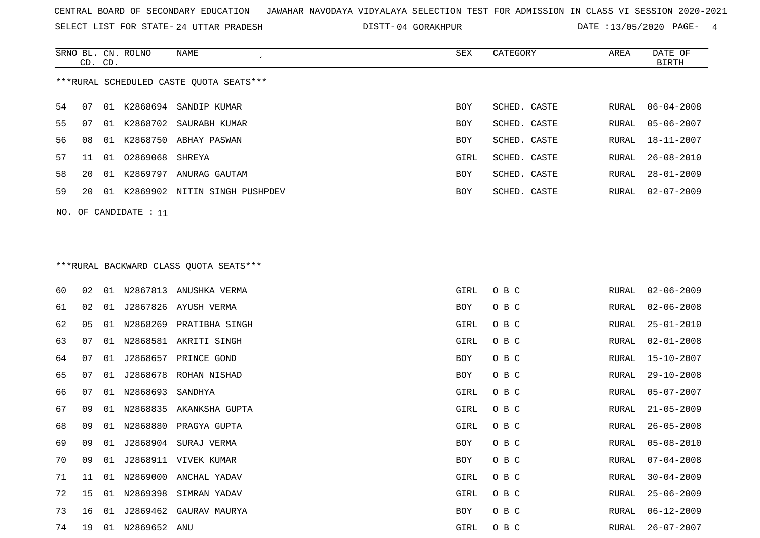SELECT LIST FOR STATE- DISTT- 24 UTTAR PRADESH

04 GORAKHPUR DATE :13/05/2020 PAGE- 4

|                                         | CD. CD. |    | SRNO BL. CN. ROLNO | NAME                          | SEX        | CATEGORY     | AREA  | DATE OF<br>BIRTH |  |
|-----------------------------------------|---------|----|--------------------|-------------------------------|------------|--------------|-------|------------------|--|
| ***RURAL SCHEDULED CASTE OUOTA SEATS*** |         |    |                    |                               |            |              |       |                  |  |
| 54                                      | 07      | 01 |                    | K2868694 SANDIP KUMAR         | BOY        | SCHED. CASTE | RURAL | $06 - 04 - 2008$ |  |
| 55                                      | 07      | 01 |                    | K2868702 SAURABH KUMAR        | <b>BOY</b> | SCHED. CASTE |       | RURAL 05-06-2007 |  |
| 56                                      | 08      | 01 |                    | K2868750 ABHAY PASWAN         | <b>BOY</b> | SCHED. CASTE |       | RURAL 18-11-2007 |  |
| 57                                      | 11      | 01 | 02869068 SHREYA    |                               | GIRL       | SCHED, CASTE | RURAL | $26 - 08 - 2010$ |  |
| 58                                      | 20      | 01 | K2869797           | ANURAG GAUTAM                 | <b>BOY</b> | SCHED. CASTE | RURAL | $28 - 01 - 2009$ |  |
| 59                                      | 20      | 01 |                    | K2869902 NITIN SINGH PUSHPDEV | <b>BOY</b> | SCHED. CASTE |       | RURAL 02-07-2009 |  |
|                                         |         |    |                    |                               |            |              |       |                  |  |

NO. OF CANDIDATE : 11

# \*\*\*RURAL BACKWARD CLASS QUOTA SEATS\*\*\*

| 60 | 02 | 01 |              | N2867813 ANUSHKA VERMA  | GIRL       | O B C | RURAL | $02 - 06 - 2009$ |
|----|----|----|--------------|-------------------------|------------|-------|-------|------------------|
| 61 | 02 | 01 |              | J2867826 AYUSH VERMA    | BOY        | O B C | RURAL | $02 - 06 - 2008$ |
| 62 | 05 | 01 |              | N2868269 PRATIBHA SINGH | GIRL       | O B C | RURAL | $25 - 01 - 2010$ |
| 63 | 07 | 01 |              | N2868581 AKRITI SINGH   | GIRL       | O B C | RURAL | $02 - 01 - 2008$ |
| 64 | 07 | 01 |              | J2868657 PRINCE GOND    | <b>BOY</b> | O B C | RURAL | $15 - 10 - 2007$ |
| 65 | 07 | 01 |              | J2868678 ROHAN NISHAD   | BOY        | O B C | RURAL | $29 - 10 - 2008$ |
| 66 | 07 | 01 | N2868693     | SANDHYA                 | GIRL       | O B C | RURAL | $05 - 07 - 2007$ |
| 67 | 09 | 01 |              | N2868835 AKANKSHA GUPTA | GIRL       | O B C | RURAL | $21 - 05 - 2009$ |
| 68 | 09 | 01 | N2868880     | PRAGYA GUPTA            | GIRL       | O B C | RURAL | $26 - 05 - 2008$ |
| 69 | 09 | 01 |              | J2868904 SURAJ VERMA    | BOY        | O B C | RURAL | $05 - 08 - 2010$ |
| 70 | 09 | 01 |              | J2868911 VIVEK KUMAR    | BOY        | O B C | RURAL | $07 - 04 - 2008$ |
| 71 | 11 | 01 |              | N2869000 ANCHAL YADAV   | GIRL       | O B C | RURAL | $30 - 04 - 2009$ |
| 72 | 15 | 01 | N2869398     | SIMRAN YADAV            | GIRL       | O B C | RURAL | $25 - 06 - 2009$ |
| 73 | 16 | 01 |              | J2869462 GAURAV MAURYA  | BOY        | O B C | RURAL | $06 - 12 - 2009$ |
| 74 | 19 | 01 | N2869652 ANU |                         | GIRL       | O B C | RURAL | $26 - 07 - 2007$ |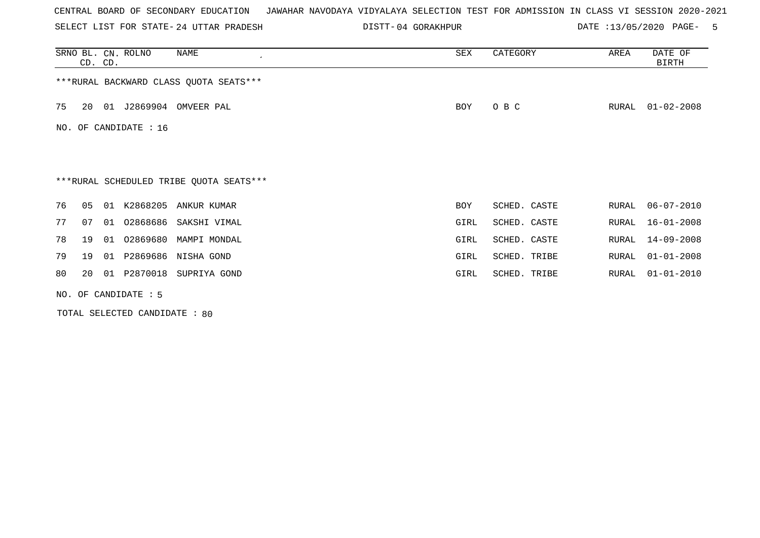SELECT LIST FOR STATE- DISTT- 24 UTTAR PRADESH

04 GORAKHPUR DATE :13/05/2020 PAGE- 5

|    | CD. CD.        |    | SRNO BL. CN. ROLNO    | NAME<br>$\cdot$                         | SEX        | CATEGORY     | AREA  | DATE OF<br>BIRTH |
|----|----------------|----|-----------------------|-----------------------------------------|------------|--------------|-------|------------------|
|    |                |    |                       | ***RURAL BACKWARD CLASS QUOTA SEATS***  |            |              |       |                  |
| 75 | 20             |    | 01 J2869904           | OMVEER PAL                              | BOY        | O B C        | RURAL | $01 - 02 - 2008$ |
|    |                |    | NO. OF CANDIDATE : 16 |                                         |            |              |       |                  |
|    |                |    |                       |                                         |            |              |       |                  |
|    |                |    |                       | ***RURAL SCHEDULED TRIBE QUOTA SEATS*** |            |              |       |                  |
| 76 | 0 <sub>5</sub> | 01 |                       | K2868205 ANKUR KUMAR                    | <b>BOY</b> | SCHED. CASTE | RURAL | $06 - 07 - 2010$ |
| 77 | 07             | 01 | 02868686              | SAKSHI VIMAL                            | GIRL       | SCHED. CASTE | RURAL | $16 - 01 - 2008$ |
| 78 | 19             | 01 |                       | 02869680 MAMPI MONDAL                   | GIRL       | SCHED. CASTE | RURAL | $14 - 09 - 2008$ |
| 79 | 19             | 01 |                       | P2869686 NISHA GOND                     | GIRL       | SCHED. TRIBE | RURAL | $01 - 01 - 2008$ |
| 80 | 20             | 01 |                       | P2870018 SUPRIYA GOND                   | GIRL       | SCHED. TRIBE | RURAL | $01 - 01 - 2010$ |
|    |                |    | NO. OF CANDIDATE : 5  |                                         |            |              |       |                  |

TOTAL SELECTED CANDIDATE : 80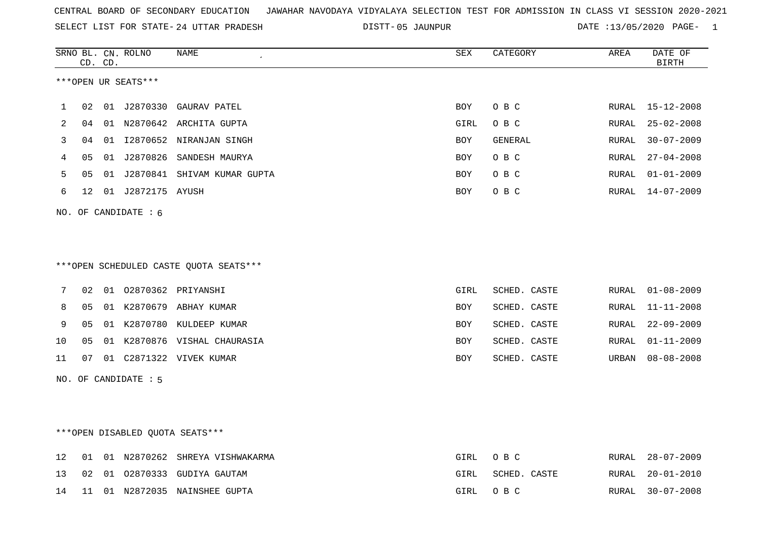|  |  |  |  | CENTRAL BOARD OF SECONDARY EDUCATION GJAWAHAR NAVODAYA VIDYALAYA SELECTION TEST FOR ADMISSION IN CLASS VI SESSION 2020-2021 |  |  |  |  |  |  |  |  |  |  |  |
|--|--|--|--|-----------------------------------------------------------------------------------------------------------------------------|--|--|--|--|--|--|--|--|--|--|--|
|--|--|--|--|-----------------------------------------------------------------------------------------------------------------------------|--|--|--|--|--|--|--|--|--|--|--|

SELECT LIST FOR STATE- DISTT- 24 UTTAR PRADESH 05 JAUNPUR DATE :13/05/2020 PAGE- 1

|    |                 | CD. CD. | SRNO BL. CN. ROLNO     | <b>NAME</b>                             | SEX        | CATEGORY     | AREA  | DATE OF<br><b>BIRTH</b> |
|----|-----------------|---------|------------------------|-----------------------------------------|------------|--------------|-------|-------------------------|
|    |                 |         | ***OPEN UR SEATS***    |                                         |            |              |       |                         |
|    |                 |         |                        |                                         |            |              |       |                         |
| 1  | 02              |         |                        | 01 J2870330 GAURAV PATEL                | BOY        | O B C        | RURAL | $15 - 12 - 2008$        |
| 2  | 04              |         |                        | 01 N2870642 ARCHITA GUPTA               | GIRL       | O B C        | RURAL | $25 - 02 - 2008$        |
| 3  | 04              |         |                        | 01 I2870652 NIRANJAN SINGH              | <b>BOY</b> | GENERAL      | RURAL | $30 - 07 - 2009$        |
| 4  | 05              |         |                        | 01 J2870826 SANDESH MAURYA              | BOY        | O B C        | RURAL | $27 - 04 - 2008$        |
| 5  | 05              | 01      |                        | J2870841 SHIVAM KUMAR GUPTA             | BOY        | O B C        | RURAL | $01 - 01 - 2009$        |
| 6  | 12 <sup>°</sup> |         | 01 J2872175 AYUSH      |                                         | BOY        | O B C        | RURAL | $14 - 07 - 2009$        |
|    |                 |         | NO. OF CANDIDATE : $6$ |                                         |            |              |       |                         |
|    |                 |         |                        |                                         |            |              |       |                         |
|    |                 |         |                        |                                         |            |              |       |                         |
|    |                 |         |                        | *** OPEN SCHEDULED CASTE QUOTA SEATS*** |            |              |       |                         |
|    |                 |         |                        |                                         |            |              |       |                         |
| 7  | 02              |         |                        | 01  02870362  PRIYANSHI                 | GIRL       | SCHED. CASTE | RURAL | $01 - 08 - 2009$        |
| 8  | 05              |         |                        | 01 K2870679 ABHAY KUMAR                 | BOY        | SCHED. CASTE | RURAL | $11 - 11 - 2008$        |
| 9  | 05              |         |                        | 01 K2870780 KULDEEP KUMAR               | <b>BOY</b> | SCHED. CASTE | RURAL | $22 - 09 - 2009$        |
| 10 | 05              |         |                        | 01 K2870876 VISHAL CHAURASIA            | BOY        | SCHED. CASTE | RURAL | $01 - 11 - 2009$        |
| 11 | 07              |         |                        | 01 C2871322 VIVEK KUMAR                 | BOY        | SCHED. CASTE | URBAN | $08 - 08 - 2008$        |
|    |                 |         | NO. OF CANDIDATE : 5   |                                         |            |              |       |                         |
|    |                 |         |                        |                                         |            |              |       |                         |
|    |                 |         |                        |                                         |            |              |       |                         |
|    |                 |         |                        |                                         |            |              |       |                         |
|    |                 |         |                        | ***OPEN DISABLED QUOTA SEATS***         |            |              |       |                         |

|  |  | 12 01 01 N2870262 SHREYA VISHWAKARMA | GIRL OBC |              | RURAL 28-07-2009 |
|--|--|--------------------------------------|----------|--------------|------------------|
|  |  | 13 02 01 02870333 GUDIYA GAUTAM      | GIRL     | SCHED. CASTE | RURAL 20-01-2010 |
|  |  | 14 11 01 N2872035 NAINSHEE GUPTA     | GIRL OBC |              | RURAL 30-07-2008 |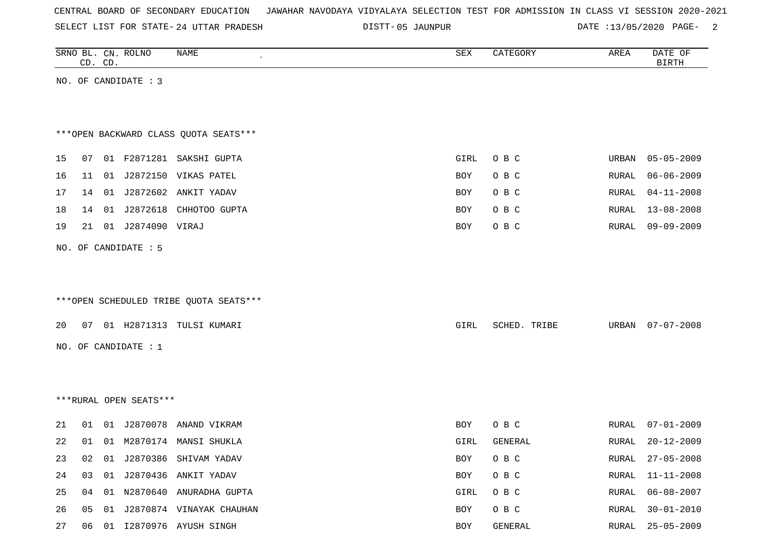|  |  | CENTRAL BOARD OF SECONDARY EDUCATION – JAWAHAR NAVODAYA VIDYALAYA SELECTION TEST FOR ADMISSION IN CLASS VI SESSION 2020-2021 |  |  |  |  |  |  |  |  |  |  |  |  |  |
|--|--|------------------------------------------------------------------------------------------------------------------------------|--|--|--|--|--|--|--|--|--|--|--|--|--|
|--|--|------------------------------------------------------------------------------------------------------------------------------|--|--|--|--|--|--|--|--|--|--|--|--|--|

SELECT LIST FOR STATE- DISTT- 24 UTTAR PRADESH

DISTT-05 JAUNPUR DATE :13/05/2020 PAGE- 2

|    | CD. CD. | SRNO BL. CN. ROLNO     | <b>NAME</b>                            | ${\tt SEX}$ | CATEGORY     | AREA          | DATE OF<br><b>BIRTH</b> |
|----|---------|------------------------|----------------------------------------|-------------|--------------|---------------|-------------------------|
|    |         | NO. OF CANDIDATE : 3   |                                        |             |              |               |                         |
|    |         |                        |                                        |             |              |               |                         |
|    |         |                        |                                        |             |              |               |                         |
|    |         |                        | *** OPEN BACKWARD CLASS QUOTA SEATS*** |             |              |               |                         |
| 15 | 07      |                        | 01 F2871281 SAKSHI GUPTA               | GIRL        | O B C        | URBAN         | $05 - 05 - 2009$        |
| 16 | 11      |                        | 01 J2872150 VIKAS PATEL                | BOY         | O B C        | RURAL         | $06 - 06 - 2009$        |
| 17 |         |                        | 14 01 J2872602 ANKIT YADAV             | BOY         | O B C        | RURAL         | $04 - 11 - 2008$        |
| 18 | 14      |                        | 01 J2872618 CHHOTOO GUPTA              | BOY         | O B C        | RURAL         | $13 - 08 - 2008$        |
| 19 | 21      | 01 J2874090 VIRAJ      |                                        | BOY         | O B C        | ${\tt RURAL}$ | $09 - 09 - 2009$        |
|    |         | NO. OF CANDIDATE : 5   |                                        |             |              |               |                         |
|    |         |                        |                                        |             |              |               |                         |
|    |         |                        |                                        |             |              |               |                         |
|    |         |                        | ***OPEN SCHEDULED TRIBE QUOTA SEATS*** |             |              |               |                         |
| 20 |         |                        | 07 01 H2871313 TULSI KUMARI            | GIRL        | SCHED. TRIBE | URBAN         | $07 - 07 - 2008$        |
|    |         | NO. OF CANDIDATE $: 1$ |                                        |             |              |               |                         |
|    |         |                        |                                        |             |              |               |                         |
|    |         |                        |                                        |             |              |               |                         |
|    |         | ***RURAL OPEN SEATS*** |                                        |             |              |               |                         |
|    |         |                        |                                        |             |              |               |                         |
| 21 | 01      | 01 J2870078            | ANAND VIKRAM                           | BOY         | O B C        | RURAL         | $07 - 01 - 2009$        |
| 22 |         |                        | 01 01 M2870174 MANSI SHUKLA            | GIRL        | GENERAL      | RURAL         | $20 - 12 - 2009$        |
| 23 | 02      |                        | 01 J2870386 SHIVAM YADAV               | BOY         | O B C        | RURAL         | $27 - 05 - 2008$        |
| 24 | 03      |                        | 01 J2870436 ANKIT YADAV                | BOY         | O B C        | <b>RURAL</b>  | $11 - 11 - 2008$        |
| 25 | 04      |                        | 01 N2870640 ANURADHA GUPTA             | GIRL        | O B C        | <b>RURAL</b>  | $06 - 08 - 2007$        |
| 26 | 05      |                        | 01 J2870874 VINAYAK CHAUHAN            | BOY         | O B C        | RURAL         | $30 - 01 - 2010$        |

27 06 01 12870976 AYUSH SINGH BOY GENERAL BOY GENERAL RURAL 25-05-2009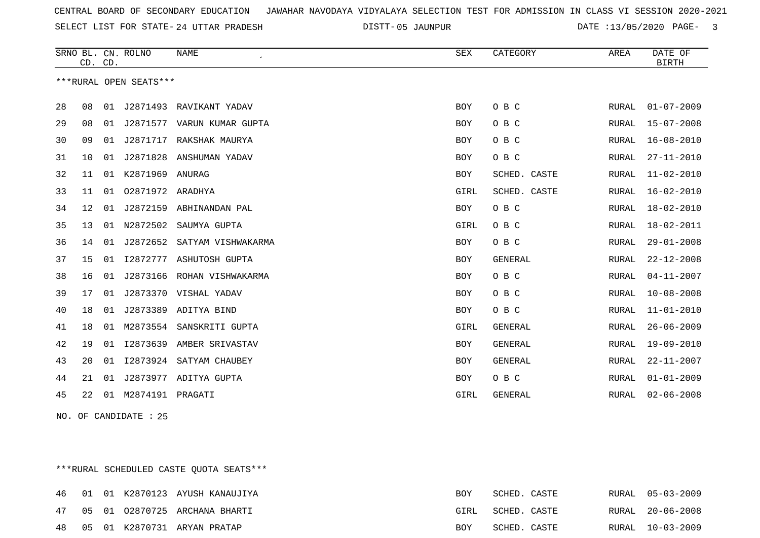SELECT LIST FOR STATE- DISTT- 24 UTTAR PRADESH

05 JAUNPUR DATE :13/05/2020 PAGE- 3

|    | CD. CD. |    | SRNO BL. CN. ROLNO     | <b>NAME</b>        | <b>SEX</b> | CATEGORY       | AREA  | DATE OF<br><b>BIRTH</b> |
|----|---------|----|------------------------|--------------------|------------|----------------|-------|-------------------------|
|    |         |    | ***RURAL OPEN SEATS*** |                    |            |                |       |                         |
| 28 | 08      | 01 | J2871493               | RAVIKANT YADAV     | <b>BOY</b> | O B C          | RURAL | $01 - 07 - 2009$        |
| 29 | 08      | 01 | J2871577               | VARUN KUMAR GUPTA  | BOY        | O B C          | RURAL | $15 - 07 - 2008$        |
| 30 | 09      | 01 | J2871717               | RAKSHAK MAURYA     | <b>BOY</b> | O B C          | RURAL | $16 - 08 - 2010$        |
| 31 | 10      | 01 | J2871828               | ANSHUMAN YADAV     | <b>BOY</b> | O B C          | RURAL | $27 - 11 - 2010$        |
| 32 | 11      | 01 | K2871969 ANURAG        |                    | BOY        | SCHED. CASTE   | RURAL | $11 - 02 - 2010$        |
| 33 | 11      | 01 | 02871972 ARADHYA       |                    | GIRL       | SCHED. CASTE   | RURAL | $16 - 02 - 2010$        |
| 34 | 12      | 01 | J2872159               | ABHINANDAN PAL     | <b>BOY</b> | O B C          | RURAL | $18 - 02 - 2010$        |
| 35 | 13      | 01 | N2872502               | SAUMYA GUPTA       | GIRL       | O B C          | RURAL | 18-02-2011              |
| 36 | 14      | 01 | J2872652               | SATYAM VISHWAKARMA | <b>BOY</b> | O B C          | RURAL | $29 - 01 - 2008$        |
| 37 | 15      | 01 | I2872777               | ASHUTOSH GUPTA     | <b>BOY</b> | <b>GENERAL</b> | RURAL | $22 - 12 - 2008$        |
| 38 | 16      | 01 | J2873166               | ROHAN VISHWAKARMA  | <b>BOY</b> | O B C          | RURAL | $04 - 11 - 2007$        |
| 39 | 17      | 01 | J2873370               | VISHAL YADAV       | <b>BOY</b> | O B C          | RURAL | $10 - 08 - 2008$        |
| 40 | 18      | 01 | J2873389               | ADITYA BIND        | BOY        | O B C          | RURAL | $11 - 01 - 2010$        |
| 41 | 18      | 01 | M2873554               | SANSKRITI GUPTA    | GIRL       | <b>GENERAL</b> | RURAL | $26 - 06 - 2009$        |
| 42 | 19      | 01 | I2873639               | AMBER SRIVASTAV    | <b>BOY</b> | GENERAL        | RURAL | $19 - 09 - 2010$        |
| 43 | 20      | 01 | I2873924               | SATYAM CHAUBEY     | <b>BOY</b> | <b>GENERAL</b> | RURAL | $22 - 11 - 2007$        |
| 44 | 21      | 01 | J2873977               | ADITYA GUPTA       | BOY        | O B C          | RURAL | $01 - 01 - 2009$        |
| 45 | 22      | 01 | M2874191 PRAGATI       |                    | GIRL       | <b>GENERAL</b> | RURAL | $02 - 06 - 2008$        |

NO. OF CANDIDATE : 25

\*\*\*RURAL SCHEDULED CASTE QUOTA SEATS\*\*\*

|    |  | 46 01 01 K2870123 AYUSH KANAUJIYA | <b>BOY</b> | SCHED. CASTE |  | RURAL 05-03-2009 |
|----|--|-----------------------------------|------------|--------------|--|------------------|
|    |  | 47 05 01 02870725 ARCHANA BHARTI  | GIRL       | SCHED. CASTE |  | RURAL 20-06-2008 |
| 48 |  | 05 01 K2870731 ARYAN PRATAP       | BOY        | SCHED. CASTE |  | RURAL 10-03-2009 |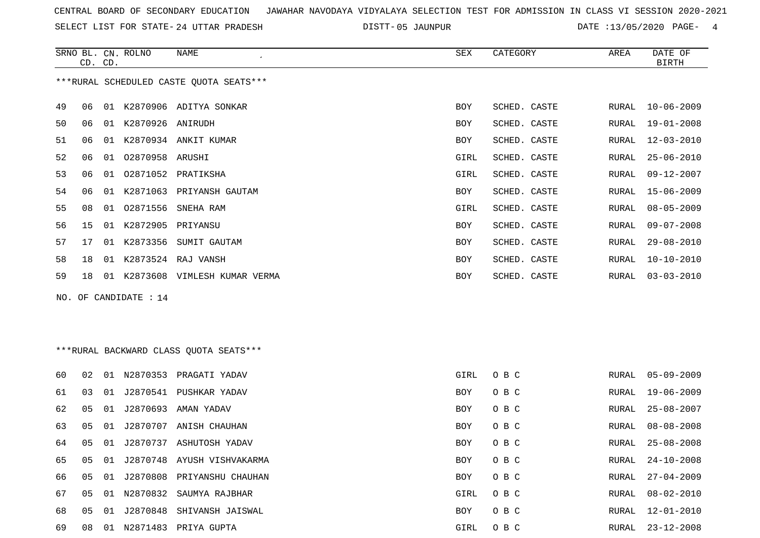SELECT LIST FOR STATE- DISTT- 24 UTTAR PRADESH

05 JAUNPUR DATE :13/05/2020 PAGE- 4

|    | CD. CD. |    | SRNO BL. CN. ROLNO    | <b>NAME</b>                             | <b>SEX</b>  | CATEGORY     | AREA  | DATE OF<br><b>BIRTH</b> |
|----|---------|----|-----------------------|-----------------------------------------|-------------|--------------|-------|-------------------------|
|    |         |    |                       | ***RURAL SCHEDULED CASTE QUOTA SEATS*** |             |              |       |                         |
| 49 | 06      |    |                       | 01 K2870906 ADITYA SONKAR               | BOY         | SCHED. CASTE | RURAL | $10 - 06 - 2009$        |
| 50 | 06      |    | 01 K2870926 ANIRUDH   |                                         | BOY         | SCHED. CASTE | RURAL | $19 - 01 - 2008$        |
| 51 | 06      |    |                       | 01 K2870934 ANKIT KUMAR                 | BOY         | SCHED. CASTE | RURAL | $12 - 03 - 2010$        |
| 52 | 06      |    | 01 02870958 ARUSHI    |                                         | GIRL        | SCHED. CASTE | RURAL | $25 - 06 - 2010$        |
| 53 | 06      | 01 |                       | 02871052 PRATIKSHA                      | GIRL        | SCHED. CASTE | RURAL | $09 - 12 - 2007$        |
| 54 | 06      |    |                       | 01 K2871063 PRIYANSH GAUTAM             | BOY         | SCHED. CASTE | RURAL | $15 - 06 - 2009$        |
| 55 | 08      | 01 | 02871556              | SNEHA RAM                               | GIRL        | SCHED. CASTE | RURAL | $08 - 05 - 2009$        |
| 56 | 15      |    | 01 K2872905 PRIYANSU  |                                         | <b>BOY</b>  | SCHED. CASTE | RURAL | $09 - 07 - 2008$        |
| 57 | 17      |    | 01 K2873356           | SUMIT GAUTAM                            | BOY         | SCHED. CASTE | RURAL | $29 - 08 - 2010$        |
| 58 | 18      |    |                       | 01 K2873524 RAJ VANSH                   | BOY         | SCHED. CASTE | RURAL | $10 - 10 - 2010$        |
| 59 | 18      |    |                       | 01 K2873608 VIMLESH KUMAR VERMA         | <b>BOY</b>  | SCHED. CASTE | RURAL | $03 - 03 - 2010$        |
|    |         |    | NO. OF CANDIDATE : 14 |                                         |             |              |       |                         |
|    |         |    |                       |                                         |             |              |       |                         |
|    |         |    |                       |                                         |             |              |       |                         |
|    |         |    |                       | *** RURAL BACKWARD CLASS QUOTA SEATS*** |             |              |       |                         |
| 60 | 02      |    |                       | 01 N2870353 PRAGATI YADAV               | <b>GIRL</b> | O B C        | RURAL | $05 - 09 - 2009$        |
| 61 | 03      | 01 |                       | J2870541 PUSHKAR YADAV                  | <b>BOY</b>  | O B C        | RURAL | $19 - 06 - 2009$        |
| 62 | 05      | 01 |                       | J2870693 AMAN YADAV                     | BOY         | O B C        | RURAL | $25 - 08 - 2007$        |
| 63 | 05      | 01 |                       | J2870707 ANISH CHAUHAN                  | BOY         | O B C        | RURAL | $08 - 08 - 2008$        |
| 64 | 05      |    |                       | 01 J2870737 ASHUTOSH YADAV              | BOY         | O B C        | RURAL | $25 - 08 - 2008$        |

08 01 N2871483 PRIYA GUPTA GIRL O B C RURAL 23-12-2008

05 01 J2870748 AYUSH VISHVAKARMA BOY O B C RURAL 24-10-2008

05 01 J2870808 PRIYANSHU CHAUHAN BOY O B C RURAL 27-04-2009

 05 01 N2870832 SAUMYA RAJBHAR GIRL O B C RURAL 08-02-2010 05 01 J2870848 SHIVANSH JAISWAL BOY O B C RURAL 12-01-2010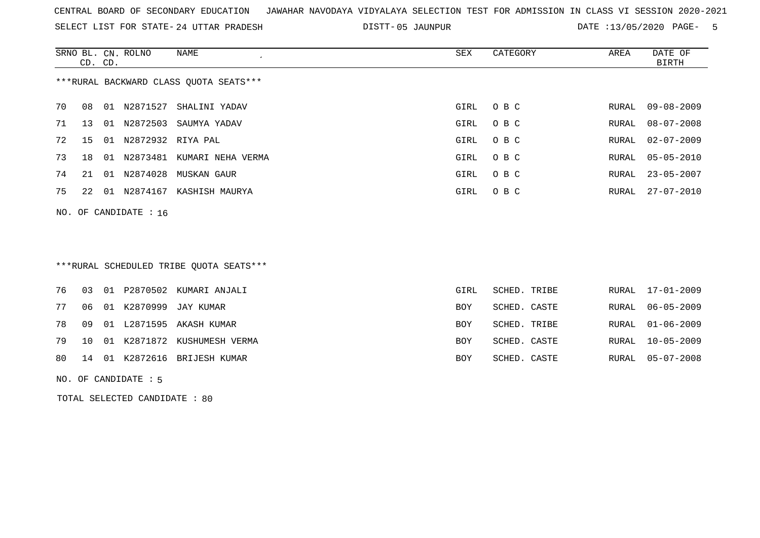SELECT LIST FOR STATE- DISTT- 24 UTTAR PRADESH

05 JAUNPUR DATE :13/05/2020 PAGE- 5

|    | CD. CD. |    | SRNO BL. CN. ROLNO      | NAME                                   | SEX  | CATEGORY | AREA  | DATE OF<br>BIRTH |
|----|---------|----|-------------------------|----------------------------------------|------|----------|-------|------------------|
|    |         |    |                         | ***RURAL BACKWARD CLASS OUOTA SEATS*** |      |          |       |                  |
| 70 | 08      |    | 01 N2871527             | SHALINI YADAV                          | GIRL | O B C    | RURAL | 09-08-2009       |
| 71 | 13      | 01 | N2872503                | SAUMYA YADAV                           | GIRL | O B C    | RURAL | 08-07-2008       |
| 72 | 15      | 01 | N2872932 RIYA PAL       |                                        | GIRL | O B C    | RURAL | $02 - 07 - 2009$ |
| 73 | 18      | 01 | N2873481                | KUMARI NEHA VERMA                      | GIRL | O B C    | RURAL | $05 - 05 - 2010$ |
| 74 | 21      | 01 | N2874028                | MUSKAN GAUR                            | GIRL | O B C    | RURAL | $23 - 05 - 2007$ |
| 75 | 22      |    | 01 N2874167             | KASHISH MAURYA                         | GIRL | O B C    | RURAL | $27 - 07 - 2010$ |
|    |         |    | NO. OF CANDIDATE : $16$ |                                        |      |          |       |                  |

# \*\*\*RURAL SCHEDULED TRIBE QUOTA SEATS\*\*\*

|  |  | 76 03 01 P2870502 KUMARI ANJALI   | GIRL       | SCHED. TRIBE | RURAL 17-01-2009 |
|--|--|-----------------------------------|------------|--------------|------------------|
|  |  | 77 06 01 K2870999 JAY KUMAR       | BOY        | SCHED. CASTE | RURAL 06-05-2009 |
|  |  | 78 09 01 L2871595 AKASH KUMAR     | BOY        | SCHED. TRIBE | RURAL 01-06-2009 |
|  |  | 79 10 01 K2871872 KUSHUMESH VERMA | <b>BOY</b> | SCHED. CASTE | RURAL 10-05-2009 |
|  |  | 80 14 01 K2872616 BRIJESH KUMAR   | BOY        | SCHED. CASTE | RURAL 05-07-2008 |
|  |  |                                   |            |              |                  |

#### NO. OF CANDIDATE : 5

TOTAL SELECTED CANDIDATE : 80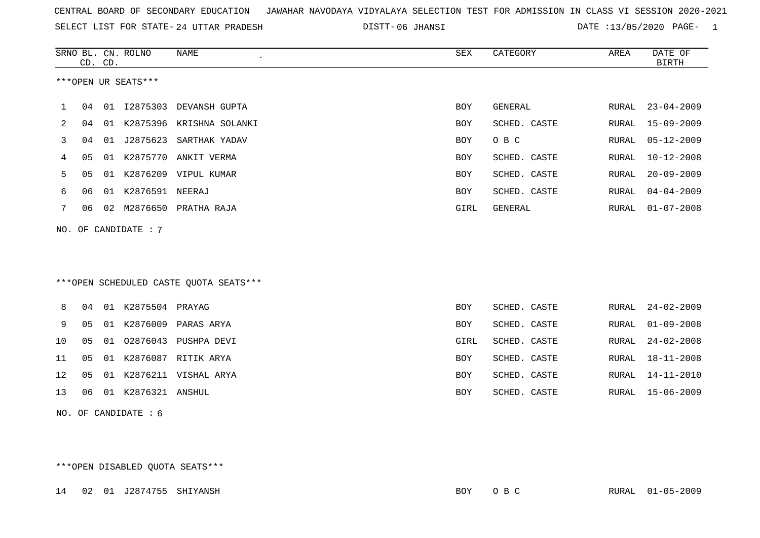|  |  |  |  | CENTRAL BOARD OF SECONDARY EDUCATION GJAWAHAR NAVODAYA VIDYALAYA SELECTION TEST FOR ADMISSION IN CLASS VI SESSION 2020-2021 |  |  |  |  |  |  |  |  |  |  |  |
|--|--|--|--|-----------------------------------------------------------------------------------------------------------------------------|--|--|--|--|--|--|--|--|--|--|--|
|--|--|--|--|-----------------------------------------------------------------------------------------------------------------------------|--|--|--|--|--|--|--|--|--|--|--|

SELECT LIST FOR STATE- 24 UTTAR PRADESH

24 UTTAR PRADESH 06 JHANSI DATE :13/05/2020 PAGE- 1

|    |    | CD. CD. | SRNO BL. CN. ROLNO   | NAME<br>$\epsilon$                     | SEX        | CATEGORY     | AREA  | DATE OF<br><b>BIRTH</b> |
|----|----|---------|----------------------|----------------------------------------|------------|--------------|-------|-------------------------|
|    |    |         | ***OPEN UR SEATS***  |                                        |            |              |       |                         |
| 1  | 04 |         |                      | 01 I2875303 DEVANSH GUPTA              | BOY        | GENERAL      | RURAL | $23 - 04 - 2009$        |
| 2  | 04 |         |                      | 01 K2875396 KRISHNA SOLANKI            | BOY        | SCHED. CASTE | RURAL | $15 - 09 - 2009$        |
| 3  | 04 |         |                      | 01 J2875623 SARTHAK YADAV              | <b>BOY</b> | O B C        | RURAL | $05 - 12 - 2009$        |
| 4  | 05 |         |                      | 01 K2875770 ANKIT VERMA                | BOY        | SCHED. CASTE | RURAL | $10 - 12 - 2008$        |
| 5  | 05 |         |                      | 01 K2876209 VIPUL KUMAR                | BOY        | SCHED. CASTE | RURAL | $20 - 09 - 2009$        |
| 6  | 06 |         | 01 K2876591 NEERAJ   |                                        | BOY        | SCHED. CASTE | RURAL | $04 - 04 - 2009$        |
| 7  | 06 |         |                      | 02 M2876650 PRATHA RAJA                | GIRL       | GENERAL      | RURAL | $01 - 07 - 2008$        |
|    |    |         | NO. OF CANDIDATE : 7 |                                        |            |              |       |                         |
|    |    |         |                      |                                        |            |              |       |                         |
|    |    |         |                      |                                        |            |              |       |                         |
|    |    |         |                      | ***OPEN SCHEDULED CASTE QUOTA SEATS*** |            |              |       |                         |
| 8  | 04 |         | 01 K2875504 PRAYAG   |                                        | BOY        | SCHED. CASTE | RURAL | $24 - 02 - 2009$        |
| 9  | 05 |         |                      | 01 K2876009 PARAS ARYA                 | BOY        | SCHED. CASTE | RURAL | $01 - 09 - 2008$        |
| 10 | 05 |         |                      | 01 02876043 PUSHPA DEVI                | GIRL       | SCHED. CASTE | RURAL | $24 - 02 - 2008$        |
| 11 | 05 |         |                      | 01 K2876087 RITIK ARYA                 | BOY        | SCHED. CASTE | RURAL | $18 - 11 - 2008$        |
| 12 | 05 |         |                      | 01 K2876211 VISHAL ARYA                | BOY        | SCHED. CASTE | RURAL | 14-11-2010              |
| 13 | 06 |         | 01 K2876321 ANSHUL   |                                        | BOY        | SCHED. CASTE | RURAL | $15 - 06 - 2009$        |
|    |    |         | NO. OF CANDIDATE : 6 |                                        |            |              |       |                         |
|    |    |         |                      |                                        |            |              |       |                         |
|    |    |         |                      |                                        |            |              |       |                         |

\*\*\*OPEN DISABLED QUOTA SEATS\*\*\*

14 02 01 J2874755 SHIYANSH BOY O B C RURAL 01-05-2009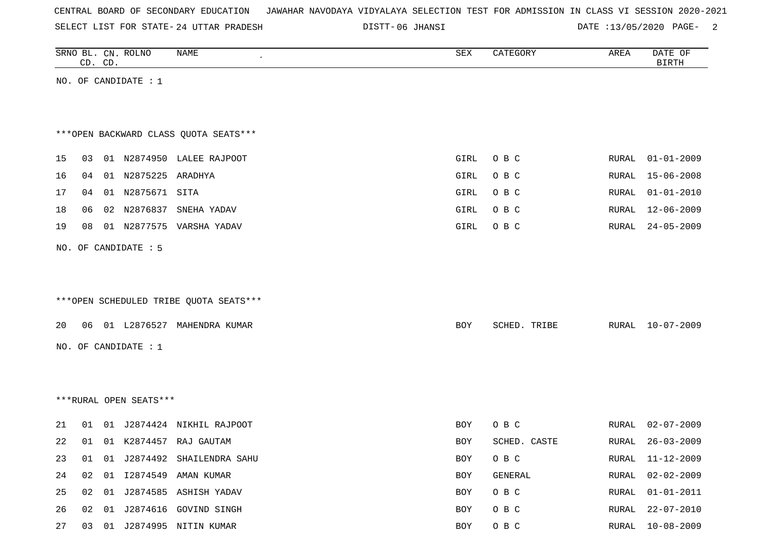| CENTRAL BOARD OF SECONDARY EDUCATION – JAWAHAR NAVODAYA VIDYALAYA SELECTION TEST FOR ADMISSION IN CLASS VI SESSION 2020-2021 |  |  |  |  |
|------------------------------------------------------------------------------------------------------------------------------|--|--|--|--|
|------------------------------------------------------------------------------------------------------------------------------|--|--|--|--|

SELECT LIST FOR STATE- DISTT- 24 UTTAR PRADESH

DISTT-06 JHANSI 2000 DATE :13/05/2020 PAGE-

|    | CD. CD. | SRNO BL. CN. ROLNO     | NAME                                   | SEX  | CATEGORY     | AREA         | DATE OF<br><b>BIRTH</b> |
|----|---------|------------------------|----------------------------------------|------|--------------|--------------|-------------------------|
|    |         | NO. OF CANDIDATE : 1   |                                        |      |              |              |                         |
|    |         |                        |                                        |      |              |              |                         |
|    |         |                        |                                        |      |              |              |                         |
|    |         |                        | *** OPEN BACKWARD CLASS QUOTA SEATS*** |      |              |              |                         |
| 15 | 03      |                        | 01 N2874950 LALEE RAJPOOT              | GIRL | O B C        | RURAL        | $01 - 01 - 2009$        |
| 16 | 04      | 01 N2875225 ARADHYA    |                                        | GIRL | O B C        | RURAL        | $15 - 06 - 2008$        |
| 17 | 04      | 01 N2875671 SITA       |                                        | GIRL | O B C        | RURAL        | $01 - 01 - 2010$        |
| 18 | 06      | 02 N2876837            | SNEHA YADAV                            | GIRL | O B C        | RURAL        | $12 - 06 - 2009$        |
| 19 | 08      |                        | 01 N2877575 VARSHA YADAV               | GIRL | O B C        | RURAL        | $24 - 05 - 2009$        |
|    |         | NO. OF CANDIDATE : 5   |                                        |      |              |              |                         |
|    |         |                        |                                        |      |              |              |                         |
|    |         |                        |                                        |      |              |              |                         |
|    |         |                        | ***OPEN SCHEDULED TRIBE QUOTA SEATS*** |      |              |              |                         |
| 20 |         |                        | 06 01 L2876527 MAHENDRA KUMAR          | BOY  | SCHED. TRIBE | RURAL        | 10-07-2009              |
|    |         | NO. OF CANDIDATE : 1   |                                        |      |              |              |                         |
|    |         |                        |                                        |      |              |              |                         |
|    |         |                        |                                        |      |              |              |                         |
|    |         | ***RURAL OPEN SEATS*** |                                        |      |              |              |                         |
|    |         |                        |                                        |      |              |              |                         |
| 21 | 01      |                        | 01 J2874424 NIKHIL RAJPOOT             | BOY  | O B C        | RURAL        | $02 - 07 - 2009$        |
| 22 | 01      |                        | 01 K2874457 RAJ GAUTAM                 | BOY  | SCHED. CASTE | RURAL        | $26 - 03 - 2009$        |
| 23 | 01      |                        | 01 J2874492 SHAILENDRA SAHU            | BOY  | O B C        | RURAL        | 11-12-2009              |
| 24 | 02      |                        | 01 I2874549 AMAN KUMAR                 | BOY  | GENERAL      | <b>RURAL</b> | $02 - 02 - 2009$        |
| 25 | 02      |                        | 01 J2874585 ASHISH YADAV               | BOY  | O B C        | RURAL        | $01 - 01 - 2011$        |
| 26 | 02      |                        | 01 J2874616 GOVIND SINGH               | BOY  | O B C        | RURAL        | $22 - 07 - 2010$        |
| 27 |         |                        | 03 01 J2874995 NITIN KUMAR             | BOY  | O B C        | RURAL        | $10 - 08 - 2009$        |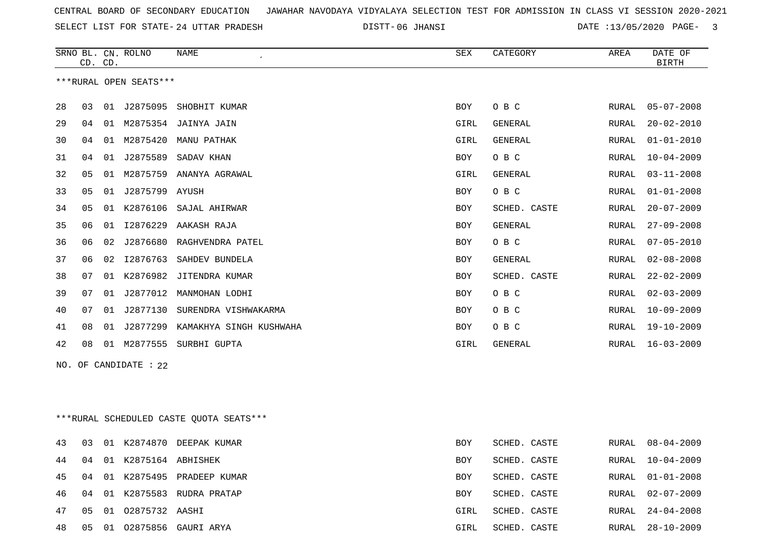SELECT LIST FOR STATE- DISTT- 24 UTTAR PRADESH

06 JHANSI DATE :13/05/2020 PAGE- 3

|    |    | CD. CD. | SRNO BL. CN. ROLNO     | <b>NAME</b>             | <b>SEX</b> | CATEGORY       | AREA  | DATE OF<br><b>BIRTH</b> |
|----|----|---------|------------------------|-------------------------|------------|----------------|-------|-------------------------|
|    |    |         | ***RURAL OPEN SEATS*** |                         |            |                |       |                         |
| 28 | 03 | 01      | J2875095               | SHOBHIT KUMAR           | <b>BOY</b> | O B C          | RURAL | $05 - 07 - 2008$        |
| 29 | 04 | 01      |                        | M2875354 JAINYA JAIN    | GIRL       | <b>GENERAL</b> | RURAL | $20 - 02 - 2010$        |
| 30 | 04 | 01      | M2875420               | MANU PATHAK             | GIRL       | <b>GENERAL</b> | RURAL | $01 - 01 - 2010$        |
| 31 | 04 | 01      | J2875589               | SADAV KHAN              | <b>BOY</b> | O B C          | RURAL | $10 - 04 - 2009$        |
| 32 | 05 | 01      | M2875759               | ANANYA AGRAWAL          | GIRL       | GENERAL        | RURAL | $03 - 11 - 2008$        |
| 33 | 05 | 01      | J2875799 AYUSH         |                         | <b>BOY</b> | O B C          | RURAL | $01 - 01 - 2008$        |
| 34 | 05 | 01      | K2876106               | SAJAL AHIRWAR           | <b>BOY</b> | SCHED. CASTE   | RURAL | $20 - 07 - 2009$        |
| 35 | 06 | 01      | I2876229               | AAKASH RAJA             | <b>BOY</b> | <b>GENERAL</b> | RURAL | $27 - 09 - 2008$        |
| 36 | 06 | 02      | J2876680               | RAGHVENDRA PATEL        | <b>BOY</b> | O B C          | RURAL | $07 - 05 - 2010$        |
| 37 | 06 | 02      | I2876763               | SAHDEV BUNDELA          | <b>BOY</b> | <b>GENERAL</b> | RURAL | $02 - 08 - 2008$        |
| 38 | 07 | 01      | K2876982               | JITENDRA KUMAR          | <b>BOY</b> | SCHED. CASTE   | RURAL | $22 - 02 - 2009$        |
| 39 | 07 | 01      | J2877012               | MANMOHAN LODHI          | <b>BOY</b> | O B C          | RURAL | $02 - 03 - 2009$        |
| 40 | 07 | 01      | J2877130               | SURENDRA VISHWAKARMA    | <b>BOY</b> | O B C          | RURAL | $10 - 09 - 2009$        |
| 41 | 08 | 01      | J2877299               | KAMAKHYA SINGH KUSHWAHA | <b>BOY</b> | O B C          | RURAL | $19 - 10 - 2009$        |
| 42 | 08 | 01      | M2877555               | SURBHI GUPTA            | GIRL       | GENERAL        | RURAL | $16 - 03 - 2009$        |
|    |    |         |                        |                         |            |                |       |                         |

NO. OF CANDIDATE : 22

\*\*\*RURAL SCHEDULED CASTE QUOTA SEATS\*\*\*

| 43 | 03 |      |                      | 01 K2874870 DEEPAK KUMAR  | BOY  | SCHED. CASTE |       | RURAL 08-04-2009 |
|----|----|------|----------------------|---------------------------|------|--------------|-------|------------------|
| 44 | 04 |      | 01 K2875164 ABHISHEK |                           | BOY  | SCHED. CASTE | RURAL | 10-04-2009       |
| 45 | 04 |      |                      | 01 K2875495 PRADEEP KUMAR | BOY  | SCHED. CASTE |       | RURAL 01-01-2008 |
| 46 | 04 | 01   | K2875583             | RUDRA PRATAP              | BOY  | SCHED. CASTE |       | RURAL 02-07-2009 |
| 47 | 05 | 01   | 02875732 AASHI       |                           | GIRL | SCHED. CASTE | RURAL | 24-04-2008       |
| 48 | 05 | - 01 |                      | 02875856 GAURI ARYA       | GIRL | SCHED. CASTE | RURAL | 28-10-2009       |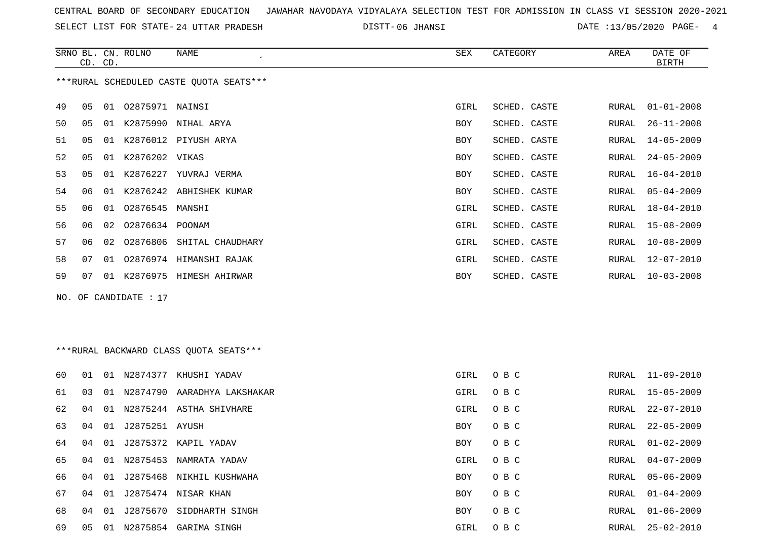SELECT LIST FOR STATE- DISTT- 24 UTTAR PRADESH

06 JHANSI DATE :13/05/2020 PAGE- 4

|    | CD. CD. |    | SRNO BL. CN. ROLNO      | NAME                                    | SEX        | CATEGORY     | AREA  | DATE OF<br><b>BIRTH</b> |
|----|---------|----|-------------------------|-----------------------------------------|------------|--------------|-------|-------------------------|
|    |         |    |                         | ***RURAL SCHEDULED CASTE QUOTA SEATS*** |            |              |       |                         |
| 49 | 05      |    | 01  02875971  NAINSI    |                                         | GIRL       | SCHED. CASTE | RURAL | $01 - 01 - 2008$        |
| 50 | 05      |    |                         | 01 K2875990 NIHAL ARYA                  | <b>BOY</b> | SCHED. CASTE | RURAL | $26 - 11 - 2008$        |
| 51 | 05      |    |                         | 01 K2876012 PIYUSH ARYA                 | BOY        | SCHED. CASTE | RURAL | $14 - 05 - 2009$        |
| 52 | 05      |    | 01 K2876202 VIKAS       |                                         | <b>BOY</b> | SCHED. CASTE | RURAL | $24 - 05 - 2009$        |
| 53 | 05      |    |                         | 01 K2876227 YUVRAJ VERMA                | BOY        | SCHED. CASTE | RURAL | $16 - 04 - 2010$        |
| 54 | 06      | 01 |                         | K2876242 ABHISHEK KUMAR                 | BOY        | SCHED. CASTE | RURAL | $05 - 04 - 2009$        |
| 55 | 06      |    | 01 02876545 MANSHI      |                                         | GIRL       | SCHED. CASTE | RURAL | $18 - 04 - 2010$        |
| 56 | 06      | 02 | 02876634 POONAM         |                                         | GIRL       | SCHED. CASTE | RURAL | $15 - 08 - 2009$        |
| 57 | 06      |    |                         | 02 02876806 SHITAL CHAUDHARY            | GIRL       | SCHED. CASTE | RURAL | $10 - 08 - 2009$        |
| 58 | 07      |    |                         | 01 02876974 HIMANSHI RAJAK              | GIRL       | SCHED. CASTE | RURAL | $12 - 07 - 2010$        |
| 59 | 07      |    |                         | 01 K2876975 HIMESH AHIRWAR              | BOY        | SCHED. CASTE | RURAL | 10-03-2008              |
|    |         |    | NO. OF CANDIDATE : $17$ |                                         |            |              |       |                         |
|    |         |    |                         |                                         |            |              |       |                         |
|    |         |    |                         |                                         |            |              |       |                         |
|    |         |    |                         | ***RURAL BACKWARD CLASS QUOTA SEATS***  |            |              |       |                         |
|    |         |    |                         |                                         |            |              |       |                         |
| 60 | 01      |    |                         | 01 N2874377 KHUSHI YADAV                | GIRL       | O B C        |       | RURAL 11-09-2010        |
| 61 | 03      |    |                         | 01 N2874790 AARADHYA LAKSHAKAR          | GIRL       | O B C        | RURAL | $15 - 05 - 2009$        |
| 62 | 04      |    |                         | 01 N2875244 ASTHA SHIVHARE              | GIRL       | O B C        | RURAL | $22 - 07 - 2010$        |
| 63 | 04      |    | 01 J2875251 AYUSH       |                                         | BOY        | O B C        | RURAL | $22 - 05 - 2009$        |
| 64 | 04      |    |                         | 01 J2875372 KAPIL YADAV                 | <b>BOY</b> | O B C        | RURAL | $01 - 02 - 2009$        |
| 65 |         |    |                         | 04 01 N2875453 NAMRATA YADAV            | GIRL       | O B C        | RURAL | $04 - 07 - 2009$        |

66 04 01 J2875468 NIKHIL KUSHWAHA BOY O B C RURAL 05-06-2009

67 04 01 J2875474 NISAR KHAN BOY O B C 68 04 01 J2875670 SIDDHARTH SINGH BOY O B C

69 05 01 N2875854 GARIMA SINGH GIRL O B C RURAL 25-02-2010

RURAL 01-04-2009 RURAL 01-06-2009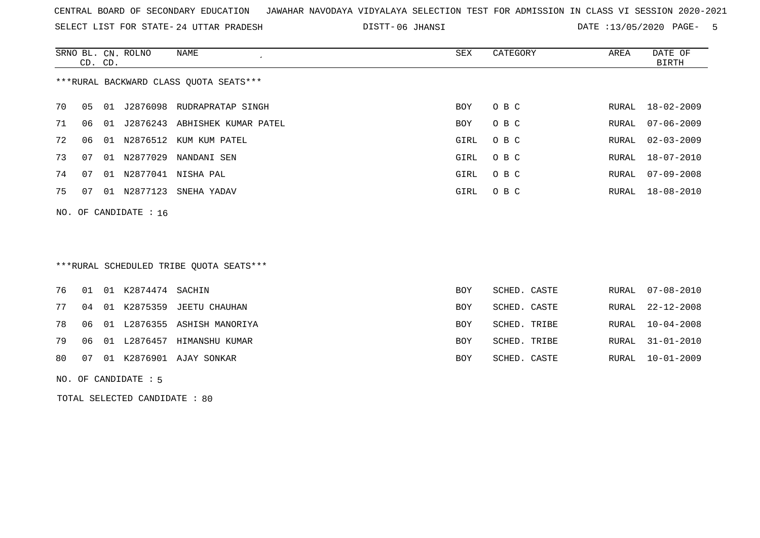SELECT LIST FOR STATE- DISTT- 24 UTTAR PRADESH

06 JHANSI DATE :13/05/2020 PAGE- 5

|                                        | CD. CD.                 |    | SRNO BL. CN. ROLNO | NAME                       | SEX        | CATEGORY | AREA  | DATE OF<br>BIRTH |  |  |
|----------------------------------------|-------------------------|----|--------------------|----------------------------|------------|----------|-------|------------------|--|--|
| ***RURAL BACKWARD CLASS OUOTA SEATS*** |                         |    |                    |                            |            |          |       |                  |  |  |
| 70                                     | 05                      | 01 |                    | J2876098 RUDRAPRATAP SINGH | BOY        | O B C    | RURAL | 18-02-2009       |  |  |
| 71                                     | 06                      | 01 | J2876243           | ABHISHEK KUMAR PATEL       | <b>BOY</b> | O B C    | RURAL | $07 - 06 - 2009$ |  |  |
| 72                                     | 06                      |    |                    | 01 N2876512 KUM KUM PATEL  | GIRL       | O B C    |       | RURAL 02-03-2009 |  |  |
| 73                                     | 07                      |    | 01 N2877029        | NANDANI SEN                | GIRL       | O B C    |       | RURAL 18-07-2010 |  |  |
| 74                                     | 07                      |    | 01 N2877041        | NISHA PAL                  | GIRL       | O B C    | RURAL | $07 - 09 - 2008$ |  |  |
| 75                                     | 07                      |    | 01 N2877123        | SNEHA YADAV                | GIRL       | O B C    |       | RURAL 18-08-2010 |  |  |
|                                        | NO. OF CANDIDATE : $16$ |    |                    |                            |            |          |       |                  |  |  |

## \*\*\*RURAL SCHEDULED TRIBE QUOTA SEATS\*\*\*

|  | 76 01 01 K2874474 SACHIN |                                   | BOY        | SCHED. CASTE | RURAL 07-08-2010 |
|--|--------------------------|-----------------------------------|------------|--------------|------------------|
|  |                          | 77 04 01 K2875359 JEETU CHAUHAN   | BOY        | SCHED. CASTE | RURAL 22-12-2008 |
|  |                          | 78 06 01 L2876355 ASHISH MANORIYA | BOY        | SCHED. TRIBE | RURAL 10-04-2008 |
|  |                          | 79 06 01 L2876457 HIMANSHU KUMAR  | <b>BOY</b> | SCHED. TRIBE | RURAL 31-01-2010 |
|  |                          | 80 07 01 K2876901 AJAY SONKAR     | <b>BOY</b> | SCHED. CASTE | RURAL 10-01-2009 |

#### NO. OF CANDIDATE : 5

TOTAL SELECTED CANDIDATE : 80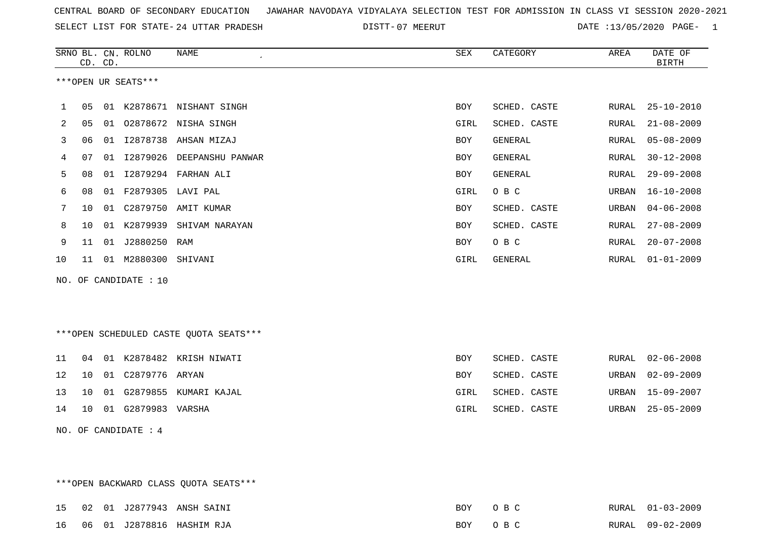SELECT LIST FOR STATE- DISTT- 24 UTTAR PRADESH

07 MEERUT DATE :13/05/2020 PAGE- 1

|                     |    | CD. CD. | SRNO BL. CN. ROLNO    | NAME<br>$\overline{\phantom{a}}$ | SEX        | CATEGORY     | AREA  | DATE OF<br><b>BIRTH</b> |  |  |
|---------------------|----|---------|-----------------------|----------------------------------|------------|--------------|-------|-------------------------|--|--|
| ***OPEN UR SEATS*** |    |         |                       |                                  |            |              |       |                         |  |  |
| $\mathbf{1}$        | 05 | 01      |                       | K2878671 NISHANT SINGH           | <b>BOY</b> | SCHED. CASTE | RURAL | 25-10-2010              |  |  |
| 2                   | 05 | 01      |                       | 02878672 NISHA SINGH             | GIRL       | SCHED. CASTE | RURAL | $21 - 08 - 2009$        |  |  |
| 3                   | 06 | 01      |                       | I2878738 AHSAN MIZAJ             | BOY        | GENERAL      | RURAL | $05 - 08 - 2009$        |  |  |
| 4                   | 07 | 01      | I2879026              | DEEPANSHU PANWAR                 | BOY        | GENERAL      | RURAL | $30 - 12 - 2008$        |  |  |
| 5                   | 08 | 01      |                       | I2879294 FARHAN ALI              | <b>BOY</b> | GENERAL      | RURAL | $29 - 09 - 2008$        |  |  |
| 6                   | 08 | 01      | F2879305 LAVI PAL     |                                  | GIRL       | O B C        | URBAN | 16-10-2008              |  |  |
|                     | 10 |         |                       | 01 C2879750 AMIT KUMAR           | <b>BOY</b> | SCHED. CASTE | URBAN | $04 - 06 - 2008$        |  |  |
| 8                   | 10 | 01      | K2879939              | SHIVAM NARAYAN                   | <b>BOY</b> | SCHED. CASTE | RURAL | $27 - 08 - 2009$        |  |  |
| 9                   | 11 | 01      | J2880250 RAM          |                                  | BOY        | O B C        | RURAL | $20 - 07 - 2008$        |  |  |
| 10                  | 11 | 01      | M2880300 SHIVANI      |                                  | GIRL       | GENERAL      | RURAL | $01 - 01 - 2009$        |  |  |
|                     |    |         | NO. OF CANDIDATE : 10 |                                  |            |              |       |                         |  |  |

\*\*\*OPEN SCHEDULED CASTE QUOTA SEATS\*\*\*

\*\*\*OPEN BACKWARD CLASS QUOTA SEATS\*\*\*

|  |                          | 11 04 01 K2878482 KRISH_NIWATI | BOY        | SCHED. CASTE |  | RURAL 02-06-2008 |
|--|--------------------------|--------------------------------|------------|--------------|--|------------------|
|  | 12 10 01 C2879776 ARYAN  |                                | <b>BOY</b> | SCHED. CASTE |  | URBAN 02-09-2009 |
|  |                          | 13 10 01 G2879855 KUMARI KAJAL | GIRL       | SCHED. CASTE |  | URBAN 15-09-2007 |
|  | 14 10 01 G2879983 VARSHA |                                | GIRL       | SCHED. CASTE |  | URBAN 25-05-2009 |

NO. OF CANDIDATE : 4

15 02 01 J2877943 ANSH SAINI BOY O B C RURAL 01-03-2009RURAL 01-03-2009 16 06 01 J2878816 HASHIM RJA BOY O B C RURAL 09-02-2009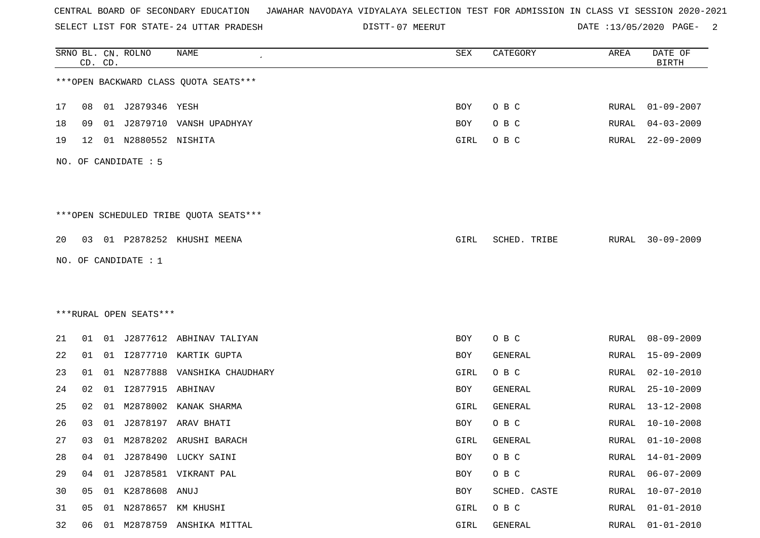SELECT LIST FOR STATE- DISTT- 24 UTTAR PRADESH

07 MEERUT DATE :13/05/2020 PAGE- 2

|    |    | CD. CD. | SRNO BL. CN. ROLNO     | <b>NAME</b>                            | SEX  | CATEGORY     | AREA         | DATE OF<br><b>BIRTH</b> |
|----|----|---------|------------------------|----------------------------------------|------|--------------|--------------|-------------------------|
|    |    |         |                        | *** OPEN BACKWARD CLASS QUOTA SEATS*** |      |              |              |                         |
| 17 | 08 |         | 01 J2879346 YESH       |                                        | BOY  | O B C        |              | RURAL 01-09-2007        |
| 18 | 09 |         |                        | 01 J2879710 VANSH UPADHYAY             | BOY  | O B C        | RURAL        | $04 - 03 - 2009$        |
| 19 | 12 |         | 01 N2880552 NISHITA    |                                        | GIRL | O B C        | RURAL        | $22 - 09 - 2009$        |
|    |    |         | NO. OF CANDIDATE : 5   |                                        |      |              |              |                         |
|    |    |         |                        | ***OPEN SCHEDULED TRIBE QUOTA SEATS*** |      |              |              |                         |
| 20 |    |         |                        | 03 01 P2878252 KHUSHI MEENA            | GIRL | SCHED. TRIBE | RURAL        | $30 - 09 - 2009$        |
|    |    |         | NO. OF CANDIDATE : $1$ |                                        |      |              |              |                         |
|    |    |         |                        |                                        |      |              |              |                         |
|    |    |         |                        |                                        |      |              |              |                         |
|    |    |         | ***RURAL OPEN SEATS*** |                                        |      |              |              |                         |
| 21 | 01 |         |                        | 01 J2877612 ABHINAV TALIYAN            | BOY  | O B C        | RURAL        | $08 - 09 - 2009$        |
| 22 | 01 |         |                        | 01 I2877710 KARTIK GUPTA               | BOY  | GENERAL      | RURAL        | $15 - 09 - 2009$        |
| 23 | 01 |         |                        | 01 N2877888 VANSHIKA CHAUDHARY         | GIRL | O B C        | RURAL        | $02 - 10 - 2010$        |
| 24 | 02 | 01      | 12877915 ABHINAV       |                                        | BOY  | GENERAL      | RURAL        | $25 - 10 - 2009$        |
| 25 | 02 | 01      |                        | M2878002 KANAK SHARMA                  | GIRL | GENERAL      | RURAL        | 13-12-2008              |
| 26 | 03 | 01      |                        | J2878197 ARAV BHATI                    | BOY  | O B C        | RURAL        | $10 - 10 - 2008$        |
| 27 |    |         |                        | 03 01 M2878202 ARUSHI BARACH           | GIRL | GENERAL      | RURAL        | $01 - 10 - 2008$        |
| 28 | 04 |         |                        | 01 J2878490 LUCKY SAINI                | BOY  | O B C        | RURAL        | $14 - 01 - 2009$        |
| 29 | 04 | 01      |                        | J2878581 VIKRANT PAL                   | BOY  | O B C        | RURAL        | $06 - 07 - 2009$        |
| 30 | 05 |         | 01 K2878608 ANUJ       |                                        | BOY  | SCHED. CASTE | RURAL        | $10 - 07 - 2010$        |
| 31 | 05 | 01      |                        | N2878657 KM KHUSHI                     | GIRL | O B C        | RURAL        | $01 - 01 - 2010$        |
| 32 | 06 |         |                        | 01 M2878759 ANSHIKA MITTAL             | GIRL | GENERAL      | <b>RURAL</b> | $01 - 01 - 2010$        |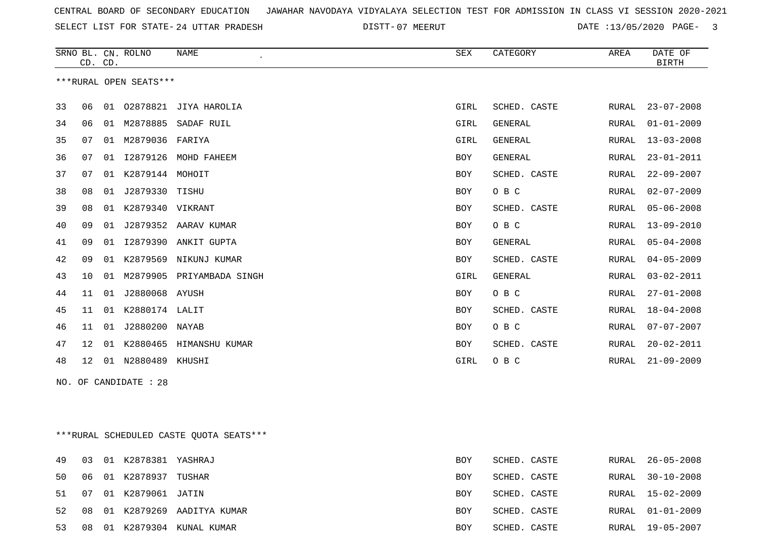SELECT LIST FOR STATE- DISTT- 24 UTTAR PRADESH

07 MEERUT DATE :13/05/2020 PAGE- 3

|    |         |    | SRNO BL. CN. ROLNO     | NAME                       | <b>SEX</b> | CATEGORY       | AREA         | DATE OF<br><b>BIRTH</b> |
|----|---------|----|------------------------|----------------------------|------------|----------------|--------------|-------------------------|
|    | CD. CD. |    |                        |                            |            |                |              |                         |
|    |         |    | ***RURAL OPEN SEATS*** |                            |            |                |              |                         |
| 33 | 06      | 01 |                        | 02878821 JIYA HAROLIA      | GIRL       | SCHED. CASTE   | RURAL        | $23 - 07 - 2008$        |
| 34 | 06      | 01 | M2878885               | SADAF RUIL                 | GIRL       | <b>GENERAL</b> | RURAL        | $01 - 01 - 2009$        |
| 35 | 07      | 01 | M2879036 FARIYA        |                            | GIRL       | <b>GENERAL</b> | RURAL        | $13 - 03 - 2008$        |
| 36 | 07      | 01 |                        | I2879126 MOHD FAHEEM       | <b>BOY</b> | <b>GENERAL</b> | RURAL        | $23 - 01 - 2011$        |
| 37 | 07      | 01 | K2879144 MOHOIT        |                            | <b>BOY</b> | SCHED. CASTE   | RURAL        | $22 - 09 - 2007$        |
| 38 | 08      | 01 | J2879330               | TISHU                      | <b>BOY</b> | O B C          | RURAL        | $02 - 07 - 2009$        |
| 39 | 08      |    | 01 K2879340 VIKRANT    |                            | <b>BOY</b> | SCHED. CASTE   | RURAL        | $05 - 06 - 2008$        |
| 40 | 09      | 01 |                        | J2879352 AARAV KUMAR       | <b>BOY</b> | O B C          | RURAL        | $13 - 09 - 2010$        |
| 41 | 09      | 01 |                        | 12879390 ANKIT GUPTA       | <b>BOY</b> | GENERAL        | RURAL        | $05 - 04 - 2008$        |
| 42 | 09      | 01 | K2879569               | NIKUNJ KUMAR               | <b>BOY</b> | SCHED. CASTE   | <b>RURAL</b> | $04 - 05 - 2009$        |
| 43 | 10      | 01 |                        | M2879905 PRIYAMBADA SINGH  | GIRL       | <b>GENERAL</b> | RURAL        | $03 - 02 - 2011$        |
| 44 | 11      | 01 | J2880068 AYUSH         |                            | <b>BOY</b> | O B C          | RURAL        | $27 - 01 - 2008$        |
| 45 | 11      | 01 | K2880174 LALIT         |                            | <b>BOY</b> | SCHED. CASTE   | RURAL        | $18 - 04 - 2008$        |
| 46 | 11      | 01 | J2880200 NAYAB         |                            | <b>BOY</b> | O B C          | RURAL        | $07 - 07 - 2007$        |
| 47 | 12      |    |                        | 01 K2880465 HIMANSHU KUMAR | <b>BOY</b> | SCHED. CASTE   | RURAL        | $20 - 02 - 2011$        |
| 48 | 12      |    | 01 N2880489 KHUSHI     |                            | GIRL       | O B C          | RURAL        | $21 - 09 - 2009$        |
|    |         |    | NO. OF CANDIDATE : 28  |                            |            |                |              |                         |

\*\*\*RURAL SCHEDULED CASTE QUOTA SEATS\*\*\*

| 49  | 03 |    | 01 K2878381 YASHRAJ |                           | BOY        | SCHED. CASTE | RURAL | 26-05-2008       |
|-----|----|----|---------------------|---------------------------|------------|--------------|-------|------------------|
| 50. | 06 |    | 01 K2878937 TUSHAR  |                           | BOY        | SCHED. CASTE | RURAL | $30 - 10 - 2008$ |
| 51  | 07 |    | 01 K2879061 JATIN   |                           | BOY        | SCHED. CASTE | RURAL | 15-02-2009       |
| 52. | 08 |    |                     | 01 K2879269 AADITYA KUMAR | BOY        | SCHED. CASTE |       | RURAL 01-01-2009 |
| 53  | 08 | 01 |                     | K2879304 KUNAL KUMAR      | <b>BOY</b> | SCHED. CASTE | RURAL | 19-05-2007       |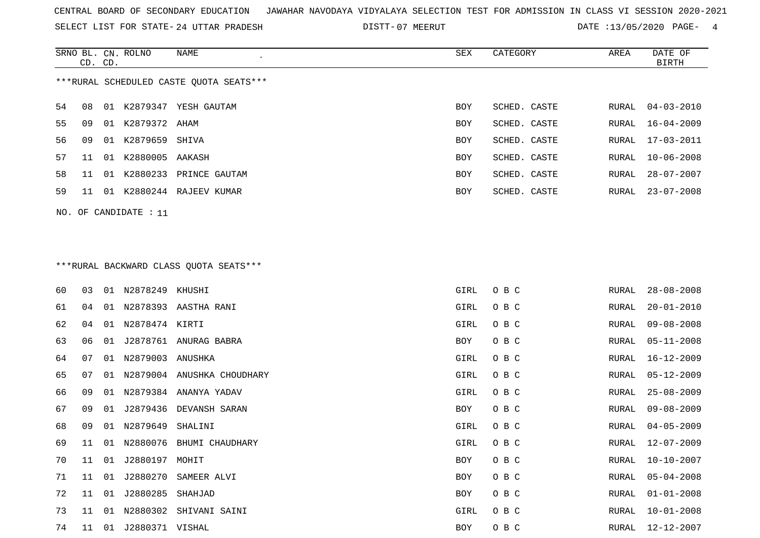SELECT LIST FOR STATE- DISTT- 24 UTTAR PRADESH

DISTT-07 MEERUT 13/05/2020 PAGE- 4

|                                         | CD. CD. |    | SRNO BL. CN. ROLNO | NAME                  | SEX        | CATEGORY     | AREA  | DATE OF<br>BIRTH |  |  |
|-----------------------------------------|---------|----|--------------------|-----------------------|------------|--------------|-------|------------------|--|--|
| ***RURAL SCHEDULED CASTE QUOTA SEATS*** |         |    |                    |                       |            |              |       |                  |  |  |
| 54                                      | 08      |    | 01 K2879347        | YESH GAUTAM           | BOY        | SCHED. CASTE | RURAL | 04-03-2010       |  |  |
| 55                                      | 09      | 01 | K2879372 AHAM      |                       | BOY        | SCHED. CASTE | RURAL | $16 - 04 - 2009$ |  |  |
| 56.                                     | 09      | 01 | K2879659 SHIVA     |                       | <b>BOY</b> | SCHED. CASTE |       | RURAL 17-03-2011 |  |  |
| 57                                      | 11      | 01 | K2880005 AAKASH    |                       | <b>BOY</b> | SCHED. CASTE | RURAL | $10 - 06 - 2008$ |  |  |
| 58                                      | 11      | 01 | K2880233           | PRINCE GAUTAM         | BOY        | SCHED. CASTE | RURAL | 28-07-2007       |  |  |
| 59                                      | 11      | 01 |                    | K2880244 RAJEEV KUMAR | <b>BOY</b> | SCHED. CASTE | RURAL | 23-07-2008       |  |  |
|                                         |         |    |                    |                       |            |              |       |                  |  |  |

NO. OF CANDIDATE : 11

# \*\*\*RURAL BACKWARD CLASS QUOTA SEATS\*\*\*

| 60 | 03 |    | 01 N2878249 KHUSHI  |                               | GIRL | O B C | RURAL | $28 - 08 - 2008$ |
|----|----|----|---------------------|-------------------------------|------|-------|-------|------------------|
| 61 | 04 | 01 |                     | N2878393 AASTHA RANI          | GIRL | O B C | RURAL | $20 - 01 - 2010$ |
| 62 | 04 | 01 | N2878474 KIRTI      |                               | GIRL | O B C | RURAL | $09 - 08 - 2008$ |
| 63 | 06 | 01 |                     | J2878761 ANURAG BABRA         | BOY  | O B C | RURAL | $05 - 11 - 2008$ |
| 64 | 07 |    | 01 N2879003 ANUSHKA |                               | GIRL | O B C | RURAL | 16-12-2009       |
| 65 | 07 |    |                     | 01 N2879004 ANUSHKA CHOUDHARY | GIRL | O B C | RURAL | $05 - 12 - 2009$ |
| 66 | 09 |    |                     | 01 N2879384 ANANYA YADAV      | GIRL | O B C | RURAL | $25 - 08 - 2009$ |
| 67 | 09 | 01 |                     | J2879436 DEVANSH SARAN        | BOY  | O B C | RURAL | $09 - 08 - 2009$ |
| 68 | 09 |    | 01 N2879649         | SHALINI                       | GIRL | O B C | RURAL | $04 - 05 - 2009$ |
| 69 | 11 |    |                     | 01 N2880076 BHUMI CHAUDHARY   | GIRL | O B C | RURAL | 12-07-2009       |
| 70 | 11 | 01 | J2880197 MOHIT      |                               | BOY  | O B C | RURAL | $10 - 10 - 2007$ |
| 71 | 11 | 01 | J2880270            | SAMEER ALVI                   | BOY  | O B C | RURAL | $05 - 04 - 2008$ |
| 72 | 11 | 01 | J2880285            | SHAHJAD                       | BOY  | O B C | RURAL | $01 - 01 - 2008$ |
| 73 | 11 | 01 | N2880302            | SHIVANI SAINI                 | GIRL | O B C | RURAL | $10 - 01 - 2008$ |
| 74 | 11 | 01 | J2880371 VISHAL     |                               | BOY  | O B C | RURAL | 12-12-2007       |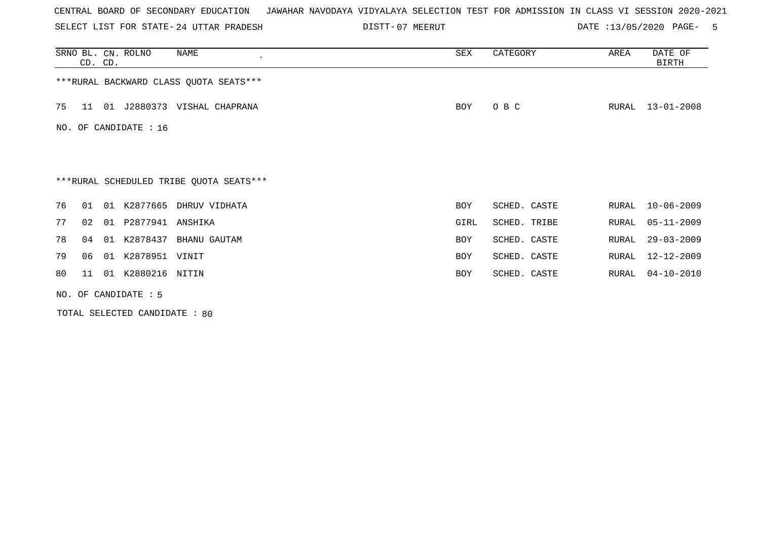SELECT LIST FOR STATE- DISTT- 24 UTTAR PRADESH

07 MEERUT DATE :13/05/2020 PAGE- 5

|    | CD. CD.               |  | SRNO BL. CN. ROLNO  | NAME                                    | SEX        | CATEGORY     | AREA  | DATE OF<br>BIRTH |  |  |  |
|----|-----------------------|--|---------------------|-----------------------------------------|------------|--------------|-------|------------------|--|--|--|
|    |                       |  |                     | ***RURAL BACKWARD CLASS QUOTA SEATS***  |            |              |       |                  |  |  |  |
| 75 | -11-                  |  |                     | 01 J2880373 VISHAL CHAPRANA             | BOY        | O B C        | RURAL | 13-01-2008       |  |  |  |
|    | NO. OF CANDIDATE : 16 |  |                     |                                         |            |              |       |                  |  |  |  |
|    |                       |  |                     |                                         |            |              |       |                  |  |  |  |
|    |                       |  |                     | ***RURAL SCHEDULED TRIBE QUOTA SEATS*** |            |              |       |                  |  |  |  |
| 76 | O 1                   |  |                     | 01 K2877665 DHRUV VIDHATA               | <b>BOY</b> | SCHED. CASTE | RURAL | $10 - 06 - 2009$ |  |  |  |
| 77 | 02                    |  | 01 P2877941 ANSHIKA |                                         | GIRL       | SCHED. TRIBE | RURAL | $05 - 11 - 2009$ |  |  |  |
| 78 | 04                    |  |                     | 01 K2878437 BHANU GAUTAM                | <b>BOY</b> | SCHED. CASTE | RURAL | $29 - 03 - 2009$ |  |  |  |
| 79 | 06                    |  | 01 K2878951 VINIT   |                                         | <b>BOY</b> | SCHED. CASTE | RURAL | 12-12-2009       |  |  |  |
| 80 | 11                    |  | 01 K2880216 NITIN   |                                         | <b>BOY</b> | SCHED. CASTE | RURAL | $04 - 10 - 2010$ |  |  |  |
|    | NO. OF CANDIDATE : 5  |  |                     |                                         |            |              |       |                  |  |  |  |

TOTAL SELECTED CANDIDATE : 80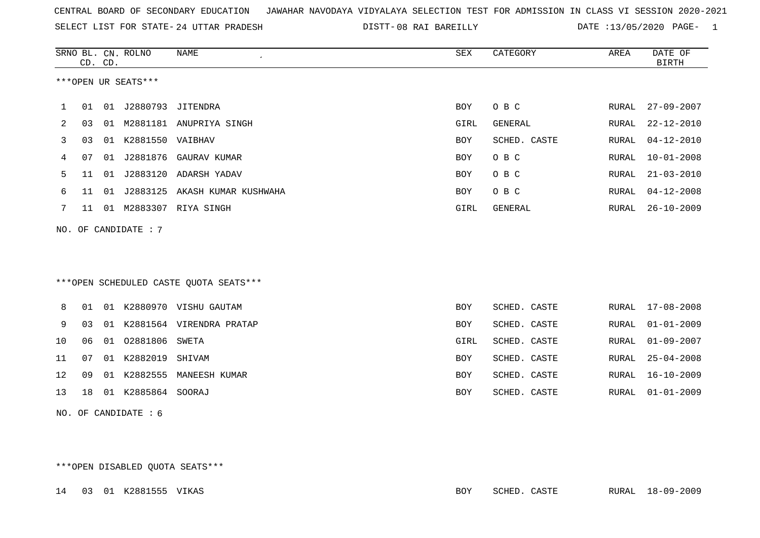SELECT LIST FOR STATE- DISTT- 24 UTTAR PRADESH

08 RAI BAREILLY DATE :13/05/2020 PAGE- 1

|                                        |    | CD. CD. | SRNO BL. CN. ROLNO   | NAME                             | SEX        | CATEGORY     | AREA  | DATE OF<br><b>BIRTH</b> |  |  |  |  |
|----------------------------------------|----|---------|----------------------|----------------------------------|------------|--------------|-------|-------------------------|--|--|--|--|
| ***OPEN UR SEATS***                    |    |         |                      |                                  |            |              |       |                         |  |  |  |  |
| 1                                      | 01 |         | 01 J2880793 JITENDRA |                                  | BOY        | O B C        | RURAL | $27 - 09 - 2007$        |  |  |  |  |
| 2                                      | 03 |         |                      | 01 M2881181 ANUPRIYA SINGH       | GIRL       | GENERAL      | RURAL | $22 - 12 - 2010$        |  |  |  |  |
| 3                                      | 03 |         | 01 K2881550 VAIBHAV  |                                  | BOY        | SCHED. CASTE | RURAL | $04 - 12 - 2010$        |  |  |  |  |
| 4                                      | 07 |         |                      | 01 J2881876 GAURAV KUMAR         | BOY        | O B C        | RURAL | $10 - 01 - 2008$        |  |  |  |  |
| 5                                      | 11 | 01      |                      | J2883120 ADARSH YADAV            | BOY        | O B C        | RURAL | $21 - 03 - 2010$        |  |  |  |  |
| 6                                      | 11 |         |                      | 01 J2883125 AKASH KUMAR KUSHWAHA | BOY        | O B C        | RURAL | $04 - 12 - 2008$        |  |  |  |  |
| 7                                      | 11 |         |                      |                                  | GIRL       | GENERAL      | RURAL | $26 - 10 - 2009$        |  |  |  |  |
| 01 M2883307 RIYA SINGH                 |    |         |                      |                                  |            |              |       |                         |  |  |  |  |
| NO. OF CANDIDATE : 7                   |    |         |                      |                                  |            |              |       |                         |  |  |  |  |
|                                        |    |         |                      |                                  |            |              |       |                         |  |  |  |  |
|                                        |    |         |                      |                                  |            |              |       |                         |  |  |  |  |
| ***OPEN SCHEDULED CASTE QUOTA SEATS*** |    |         |                      |                                  |            |              |       |                         |  |  |  |  |
| 8                                      | 01 |         |                      | 01 K2880970 VISHU GAUTAM         | <b>BOY</b> | SCHED. CASTE |       | RURAL 17-08-2008        |  |  |  |  |
| 9                                      | 03 |         |                      | 01 K2881564 VIRENDRA PRATAP      | BOY        | SCHED. CASTE | RURAL | $01 - 01 - 2009$        |  |  |  |  |
| 10                                     | 06 |         | 01 02881806          | SWETA                            | GIRL       | SCHED. CASTE | RURAL | $01 - 09 - 2007$        |  |  |  |  |
| 11                                     | 07 |         | 01 K2882019          | SHIVAM                           | BOY        | SCHED. CASTE | RURAL | $25 - 04 - 2008$        |  |  |  |  |
| 12                                     | 09 |         |                      | 01 K2882555 MANEESH KUMAR        | BOY        | SCHED. CASTE | RURAL | $16 - 10 - 2009$        |  |  |  |  |
| 13                                     | 18 |         | 01 K2885864 SOORAJ   |                                  | BOY        | SCHED. CASTE | RURAL | $01 - 01 - 2009$        |  |  |  |  |
| NO. OF CANDIDATE $: 6$                 |    |         |                      |                                  |            |              |       |                         |  |  |  |  |
|                                        |    |         |                      |                                  |            |              |       |                         |  |  |  |  |
|                                        |    |         |                      |                                  |            |              |       |                         |  |  |  |  |

\*\*\*OPEN DISABLED QUOTA SEATS\*\*\*

|  |  |  | 14 03 01 K2881555 VIKAS |  | BOY | SCHED. CASTE |  | RURAL 18-09-2009 |
|--|--|--|-------------------------|--|-----|--------------|--|------------------|
|--|--|--|-------------------------|--|-----|--------------|--|------------------|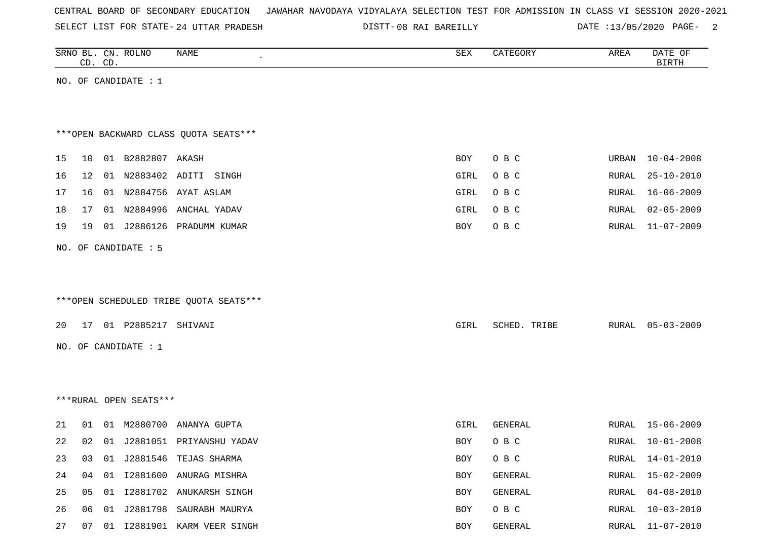| CENTRAL BOARD OF SECONDARY EDUCATION – JAWAHAR NAVODAYA VIDYALAYA SELECTION TEST FOR ADMISSION IN CLASS VI SESSION 2020-2021 |  |  |  |  |  |  |
|------------------------------------------------------------------------------------------------------------------------------|--|--|--|--|--|--|
|------------------------------------------------------------------------------------------------------------------------------|--|--|--|--|--|--|

SELECT LIST FOR STATE- DISTT- 24 UTTAR PRADESH 08 RAI BAREILLY DATE :13/05/2020 PAGE- 2

|    |    | CD. CD. | SRNO BL. CN. ROLNO     | NAME                                   | SEX        | CATEGORY     | AREA         | DATE OF<br><b>BIRTH</b> |
|----|----|---------|------------------------|----------------------------------------|------------|--------------|--------------|-------------------------|
|    |    |         | NO. OF CANDIDATE : $1$ |                                        |            |              |              |                         |
|    |    |         |                        |                                        |            |              |              |                         |
|    |    |         |                        |                                        |            |              |              |                         |
|    |    |         |                        | *** OPEN BACKWARD CLASS QUOTA SEATS*** |            |              |              |                         |
| 15 | 10 |         | 01 B2882807 AKASH      |                                        | BOY        | O B C        | URBAN        | $10 - 04 - 2008$        |
| 16 | 12 |         |                        | 01 N2883402 ADITI SINGH                | GIRL       | O B C        | RURAL        | $25 - 10 - 2010$        |
| 17 | 16 |         |                        | 01 N2884756 AYAT ASLAM                 | GIRL       | O B C        | RURAL        | $16 - 06 - 2009$        |
| 18 | 17 |         |                        | 01 N2884996 ANCHAL YADAV               | GIRL       | O B C        | RURAL        | $02 - 05 - 2009$        |
| 19 | 19 |         |                        | 01 J2886126 PRADUMM KUMAR              | BOY        | O B C        | RURAL        | $11 - 07 - 2009$        |
|    |    |         | NO. OF CANDIDATE : 5   |                                        |            |              |              |                         |
|    |    |         |                        |                                        |            |              |              |                         |
|    |    |         |                        |                                        |            |              |              |                         |
|    |    |         |                        | ***OPEN SCHEDULED TRIBE QUOTA SEATS*** |            |              |              |                         |
| 20 |    |         | 17 01 P2885217 SHIVANI |                                        | GIRL       | SCHED. TRIBE | RURAL        | $05 - 03 - 2009$        |
|    |    |         | NO. OF CANDIDATE : 1   |                                        |            |              |              |                         |
|    |    |         |                        |                                        |            |              |              |                         |
|    |    |         |                        |                                        |            |              |              |                         |
|    |    |         | ***RURAL OPEN SEATS*** |                                        |            |              |              |                         |
|    |    |         |                        |                                        |            |              |              |                         |
| 21 | 01 |         |                        | 01 M2880700 ANANYA GUPTA               | GIRL       | GENERAL      | RURAL        | 15-06-2009              |
| 22 | 02 |         |                        | 01 J2881051 PRIYANSHU YADAV            | <b>BOY</b> | O B C        | RURAL        | $10 - 01 - 2008$        |
| 23 | 03 |         |                        | 01 J2881546 TEJAS SHARMA               | BOY        | O B C        | RURAL        | $14 - 01 - 2010$        |
| 24 | 04 | 01      |                        | I2881600 ANURAG MISHRA                 | BOY        | GENERAL      | <b>RURAL</b> | $15 - 02 - 2009$        |
| 25 | 05 | 01      |                        | I2881702 ANUKARSH SINGH                | BOY        | GENERAL      | RURAL        | $04 - 08 - 2010$        |
| 26 | 06 | 01      |                        | J2881798 SAURABH MAURYA                | BOY        | O B C        | RURAL        | $10 - 03 - 2010$        |
| 27 |    |         |                        | 07 01 I2881901 KARM VEER SINGH         | BOY        | GENERAL      | RURAL        | $11 - 07 - 2010$        |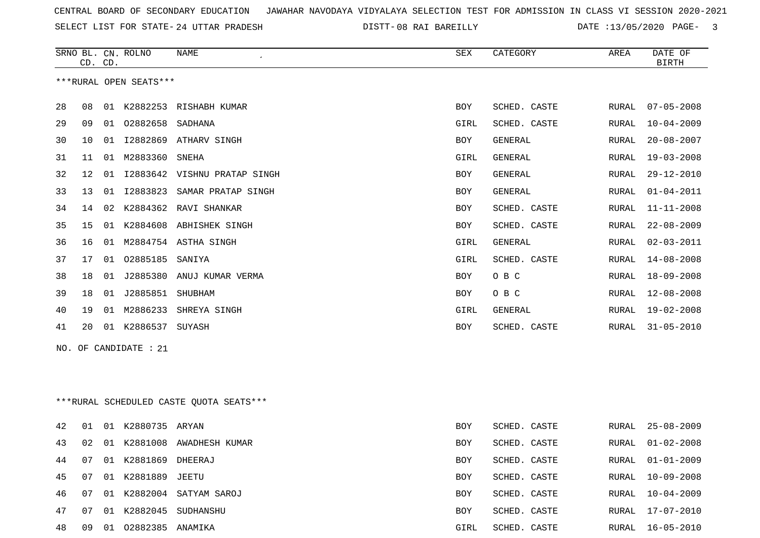SELECT LIST FOR STATE- DISTT- 24 UTTAR PRADESH

08 RAI BAREILLY DATE :13/05/2020 PAGE- 3

|    |    | CD. CD. | SRNO BL. CN. ROLNO     | <b>NAME</b>                             | ${\tt SEX}$ | CATEGORY     | AREA  | DATE OF<br><b>BIRTH</b> |
|----|----|---------|------------------------|-----------------------------------------|-------------|--------------|-------|-------------------------|
|    |    |         | ***RURAL OPEN SEATS*** |                                         |             |              |       |                         |
| 28 | 08 |         |                        | 01 K2882253 RISHABH KUMAR               | BOY         | SCHED. CASTE | RURAL | $07 - 05 - 2008$        |
| 29 | 09 | 01      | 02882658               | SADHANA                                 | GIRL        | SCHED. CASTE | RURAL | $10 - 04 - 2009$        |
| 30 | 10 | 01      |                        | 12882869 ATHARV SINGH                   | BOY         | GENERAL      | RURAL | $20 - 08 - 2007$        |
| 31 | 11 |         | 01 M2883360            | SNEHA                                   | GIRL        | GENERAL      | RURAL | $19 - 03 - 2008$        |
| 32 | 12 | 01      |                        | 12883642 VISHNU PRATAP SINGH            | BOY         | GENERAL      | RURAL | $29 - 12 - 2010$        |
| 33 | 13 |         | 01 12883823            | SAMAR PRATAP SINGH                      | BOY         | GENERAL      | RURAL | $01 - 04 - 2011$        |
| 34 | 14 | 02      | K2884362               | RAVI SHANKAR                            | <b>BOY</b>  | SCHED. CASTE | RURAL | $11 - 11 - 2008$        |
| 35 | 15 | 01      |                        | K2884608 ABHISHEK SINGH                 | BOY         | SCHED. CASTE | RURAL | $22 - 08 - 2009$        |
| 36 | 16 | 01      |                        | M2884754 ASTHA SINGH                    | GIRL        | GENERAL      | RURAL | $02 - 03 - 2011$        |
| 37 | 17 | 01      | 02885185               | SANIYA                                  | GIRL        | SCHED. CASTE | RURAL | $14 - 08 - 2008$        |
| 38 | 18 | 01      |                        | J2885380 ANUJ KUMAR VERMA               | BOY         | O B C        | RURAL | $18 - 09 - 2008$        |
| 39 | 18 | 01      | J2885851               | SHUBHAM                                 | BOY         | O B C        | RURAL | $12 - 08 - 2008$        |
| 40 | 19 |         | 01 M2886233            | SHREYA SINGH                            | GIRL        | GENERAL      | RURAL | $19 - 02 - 2008$        |
| 41 | 20 |         | 01 K2886537            | SUYASH                                  | BOY         | SCHED. CASTE | RURAL | $31 - 05 - 2010$        |
|    |    |         | NO. OF CANDIDATE : 21  |                                         |             |              |       |                         |
|    |    |         |                        |                                         |             |              |       |                         |
|    |    |         |                        |                                         |             |              |       |                         |
|    |    |         |                        | ***RURAL SCHEDULED CASTE QUOTA SEATS*** |             |              |       |                         |
| 42 | 01 |         | 01 K2880735 ARYAN      |                                         | BOY         | SCHED. CASTE | RURAL | $25 - 08 - 2009$        |
| 43 | 02 |         |                        | 01 K2881008 AWADHESH KUMAR              | BOY         | SCHED. CASTE | RURAL | $01 - 02 - 2008$        |
| 44 | 07 |         | 01 K2881869 DHEERAJ    |                                         | BOY         | SCHED. CASTE | RURAL | $01 - 01 - 2009$        |
| 45 | 07 |         | 01 K2881889 JEETU      |                                         | BOY         | SCHED. CASTE | RURAL | $10 - 09 - 2008$        |
| 46 | 07 |         |                        | 01 K2882004 SATYAM SAROJ                | BOY         | SCHED. CASTE | RURAL | $10 - 04 - 2009$        |
| 47 | 07 |         |                        | 01 K2882045 SUDHANSHU                   | BOY         | SCHED. CASTE | RURAL | 17-07-2010              |
| 48 | 09 | 01      | 02882385 ANAMIKA       |                                         | GIRL        | SCHED. CASTE | RURAL | $16 - 05 - 2010$        |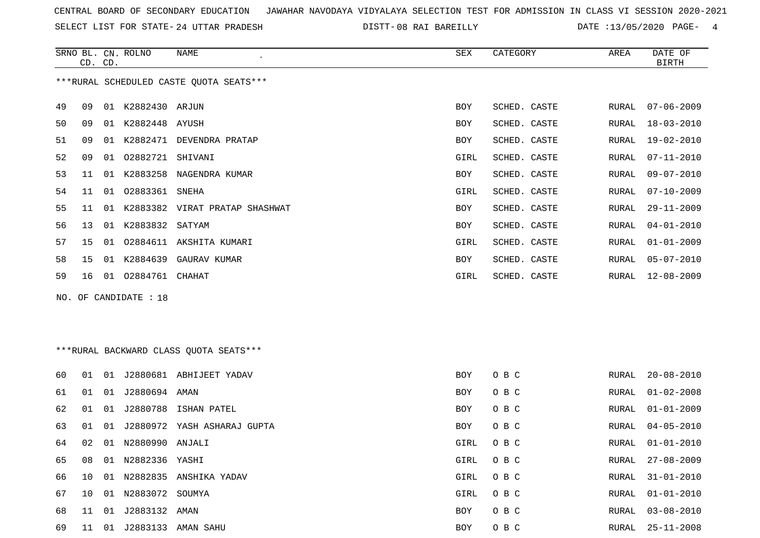SELECT LIST FOR STATE- DISTT- 24 UTTAR PRADESH

08 RAI BAREILLY DATE :13/05/2020 PAGE- 4

|    | CD. CD. |    | SRNO BL. CN. ROLNO    | NAME                                    | SEX  | CATEGORY     | AREA  | DATE OF<br><b>BIRTH</b> |
|----|---------|----|-----------------------|-----------------------------------------|------|--------------|-------|-------------------------|
|    |         |    |                       | ***RURAL SCHEDULED CASTE QUOTA SEATS*** |      |              |       |                         |
| 49 | 09      | 01 | K2882430 ARJUN        |                                         | BOY  | SCHED. CASTE | RURAL | $07 - 06 - 2009$        |
| 50 | 09      | 01 | K2882448 AYUSH        |                                         | BOY  | SCHED. CASTE | RURAL | $18 - 03 - 2010$        |
| 51 | 09      | 01 | K2882471              | DEVENDRA PRATAP                         | BOY  | SCHED. CASTE | RURAL | 19-02-2010              |
| 52 | 09      | 01 | 02882721              | SHIVANI                                 | GIRL | SCHED. CASTE | RURAL | $07 - 11 - 2010$        |
| 53 | 11      | 01 | K2883258              | NAGENDRA KUMAR                          | BOY  | SCHED. CASTE | RURAL | $09 - 07 - 2010$        |
| 54 | 11      | 01 | 02883361 SNEHA        |                                         | GIRL | SCHED. CASTE | RURAL | $07 - 10 - 2009$        |
| 55 | 11      | 01 |                       | K2883382 VIRAT PRATAP SHASHWAT          | BOY  | SCHED. CASTE | RURAL | $29 - 11 - 2009$        |
| 56 | 13      | 01 | K2883832 SATYAM       |                                         | BOY  | SCHED. CASTE | RURAL | $04 - 01 - 2010$        |
| 57 | 15      | 01 |                       | 02884611 AKSHITA KUMARI                 | GIRL | SCHED. CASTE | RURAL | $01 - 01 - 2009$        |
| 58 | 15      | 01 | K2884639              | GAURAV KUMAR                            | BOY  | SCHED. CASTE | RURAL | $05 - 07 - 2010$        |
| 59 | 16      |    | 01 02884761 CHAHAT    |                                         | GIRL | SCHED. CASTE | RURAL | $12 - 08 - 2009$        |
|    |         |    | NO. OF CANDIDATE : 18 |                                         |      |              |       |                         |

## \*\*\*RURAL BACKWARD CLASS QUOTA SEATS\*\*\*

| 60 | O 1 | 01 |                    | J2880681 ABHIJEET YADAV     | <b>BOY</b> | O B C | RURAL | $20 - 08 - 2010$ |
|----|-----|----|--------------------|-----------------------------|------------|-------|-------|------------------|
| 61 | 01  |    | 01 J2880694 AMAN   |                             | <b>BOY</b> | O B C | RURAL | $01 - 02 - 2008$ |
| 62 | 01  |    | 01 J2880788        | ISHAN PATEL                 | BOY        | O B C | RURAL | $01 - 01 - 2009$ |
| 63 | 01  | 01 |                    | J2880972 YASH ASHARAJ GUPTA | BOY        | O B C | RURAL | $04 - 05 - 2010$ |
| 64 | 02  |    | 01 N2880990 ANJALI |                             | GIRL       | O B C | RURAL | 01-01-2010       |
| 65 | 08  |    | 01 N2882336 YASHI  |                             | GIRL       | O B C | RURAL | 27-08-2009       |
| 66 | 1 O |    | 01 N2882835        | ANSHIKA YADAV               | GIRL       | O B C | RURAL | 31-01-2010       |
| 67 | 10  |    | 01 N2883072 SOUMYA |                             | GIRL       | O B C | RURAL | 01-01-2010       |
| 68 | 11  | 01 | J2883132 AMAN      |                             | <b>BOY</b> | O B C | RURAL | 03-08-2010       |
| 69 | 11  | 01 | J2883133           | AMAN SAHU                   | <b>BOY</b> | O B C | RURAL | $25 - 11 - 2008$ |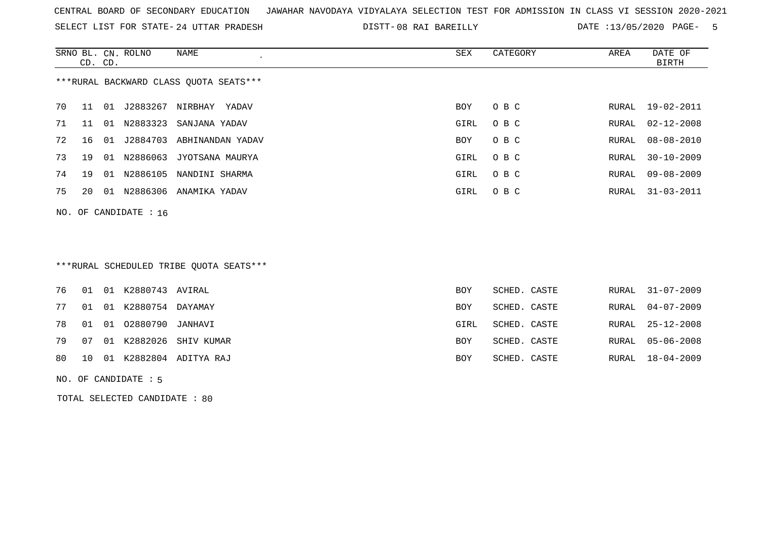SELECT LIST FOR STATE- DISTT- 24 UTTAR PRADESH

DISTT-08 RAI BAREILLY **DATE** :13/05/2020 PAGE- 5

|    |                                        |    | SRNO BL. CN. ROLNO      | NAME             | SEX  | CATEGORY | AREA  | DATE OF          |  |
|----|----------------------------------------|----|-------------------------|------------------|------|----------|-------|------------------|--|
|    | CD. CD.                                |    |                         |                  |      |          |       | BIRTH            |  |
|    | ***RURAL BACKWARD CLASS QUOTA SEATS*** |    |                         |                  |      |          |       |                  |  |
| 70 | 11                                     | 01 | J2883267                | NIRBHAY<br>YADAV | BOY  | O B C    | RURAL | 19-02-2011       |  |
| 71 | 11                                     | 01 | N2883323                | SANJANA YADAV    | GIRL | O B C    | RURAL | $02 - 12 - 2008$ |  |
| 72 | 16                                     | 01 | J2884703                | ABHINANDAN YADAV | BOY  | O B C    | RURAL | 08-08-2010       |  |
| 73 | 19                                     | 01 | N2886063                | JYOTSANA MAURYA  | GIRL | O B C    | RURAL | $30 - 10 - 2009$ |  |
| 74 | 19                                     | 01 | N2886105                | NANDINI SHARMA   | GIRL | O B C    | RURAL | $09 - 08 - 2009$ |  |
| 75 | 20                                     | 01 | N2886306                | ANAMIKA YADAV    | GIRL | O B C    | RURAL | $31 - 03 - 2011$ |  |
|    |                                        |    | NO. OF CANDIDATE : $16$ |                  |      |          |       |                  |  |

# \*\*\*RURAL SCHEDULED TRIBE QUOTA SEATS\*\*\*

|  | 76  01  01  K2880743  AVIRAL     |                              | <b>BOY</b> | SCHED. CASTE | RURAL 31-07-2009 |
|--|----------------------------------|------------------------------|------------|--------------|------------------|
|  | 77 01 01 K2880754 DAYAMAY        |                              | BOY        | SCHED. CASTE | RURAL 04-07-2009 |
|  | 78   01   01   02880790  JANHAVI |                              | GIRL       | SCHED. CASTE | RURAL 25-12-2008 |
|  |                                  | 79 07 01 K2882026 SHIV KUMAR | <b>BOY</b> | SCHED. CASTE | RURAL 05-06-2008 |
|  |                                  | 80 10 01 K2882804 ADITYA RAJ | BOY        | SCHED. CASTE | RURAL 18-04-2009 |
|  |                                  |                              |            |              |                  |

#### NO. OF CANDIDATE : 5

TOTAL SELECTED CANDIDATE : 80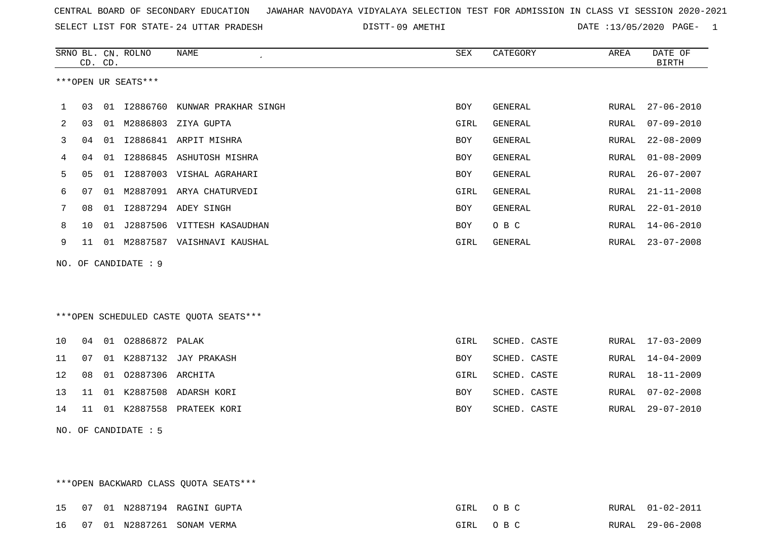| CENTRAL BOARD OF SECONDARY EDUCATION GUNAHAR NAVODAYA VIDYALAYA SELECTION TEST FOR ADMISSION IN CLASS VI SESSION 2020-2021 |  |  |  |
|----------------------------------------------------------------------------------------------------------------------------|--|--|--|
|----------------------------------------------------------------------------------------------------------------------------|--|--|--|

09 AMETHI DATE :13/05/2020 PAGE- 1

|    | CD. CD. | SRNO BL. CN. ROLNO   | NAME                                   | SEX         | CATEGORY       | AREA  | DATE OF<br><b>BIRTH</b> |
|----|---------|----------------------|----------------------------------------|-------------|----------------|-------|-------------------------|
|    |         | ***OPEN UR SEATS***  |                                        |             |                |       |                         |
| 1  | 03      |                      | 01 I2886760 KUNWAR PRAKHAR SINGH       | BOY         | GENERAL        | RURAL | $27 - 06 - 2010$        |
| 2  | 03      |                      | 01 M2886803 ZIYA GUPTA                 | GIRL        | GENERAL        | RURAL | $07 - 09 - 2010$        |
| 3  | 04      |                      | 01 I2886841 ARPIT MISHRA               | <b>BOY</b>  | GENERAL        | RURAL | $22 - 08 - 2009$        |
| 4  | 04      |                      | 01 I2886845 ASHUTOSH MISHRA            | <b>BOY</b>  | <b>GENERAL</b> | RURAL | $01 - 08 - 2009$        |
| 5  | 05      |                      | 01 I2887003 VISHAL AGRAHARI            | <b>BOY</b>  | <b>GENERAL</b> | RURAL | $26 - 07 - 2007$        |
| 6  | 07      |                      | 01 M2887091 ARYA CHATURVEDI            | GIRL        | GENERAL        | RURAL | $21 - 11 - 2008$        |
| 7  | 08      |                      | 01 I2887294 ADEY SINGH                 | BOY         | GENERAL        | RURAL | $22 - 01 - 2010$        |
| 8  | 10      |                      | 01 J2887506 VITTESH KASAUDHAN          | <b>BOY</b>  | O B C          | RURAL | $14 - 06 - 2010$        |
| 9  | 11      |                      | 01 M2887587 VAISHNAVI KAUSHAL          | GIRL        | GENERAL        | RURAL | $23 - 07 - 2008$        |
|    |         | NO. OF CANDIDATE : 9 |                                        |             |                |       |                         |
|    |         |                      |                                        |             |                |       |                         |
|    |         |                      |                                        |             |                |       |                         |
|    |         |                      | ***OPEN SCHEDULED CASTE QUOTA SEATS*** |             |                |       |                         |
| 10 |         | 04 01 02886872 PALAK |                                        | <b>GIRL</b> | SCHED. CASTE   |       | RURAL 17-03-2009        |
| 11 | 07      |                      | 01 K2887132 JAY PRAKASH                | <b>BOY</b>  | SCHED. CASTE   | RURAL | $14 - 04 - 2009$        |
| 12 | 08      | 01 02887306 ARCHITA  |                                        | GIRL        | SCHED. CASTE   | RURAL | $18 - 11 - 2009$        |
| 13 | 11      |                      | 01 K2887508 ADARSH KORI                | <b>BOY</b>  | SCHED. CASTE   | RURAL | $07 - 02 - 2008$        |
| 14 | 11      |                      | 01 K2887558 PRATEEK KORI               | <b>BOY</b>  | SCHED. CASTE   | RURAL | $29 - 07 - 2010$        |
|    |         | NO. OF CANDIDATE : 5 |                                        |             |                |       |                         |

\*\*\*OPEN BACKWARD CLASS QUOTA SEATS\*\*\* 15 07 01 N2887194 RAGINI GUPTA GIRL O B C RURAL 01-02-2011 16 07 01 N2887261 SONAM VERMA GIRL O B C RURAL 29-06-2008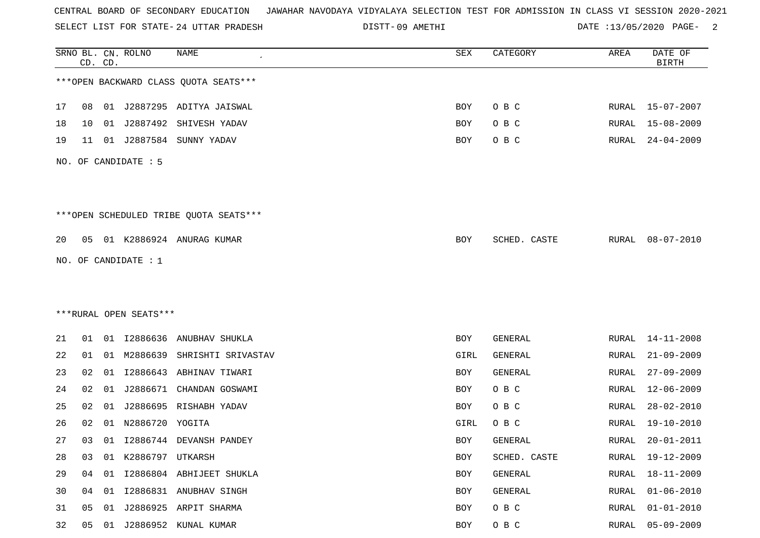SELECT LIST FOR STATE- DISTT- 24 UTTAR PRADESH

DISTT-09 AMETHI 2000 CATE :13/05/2020 PAGE- 2

|    |    | CD. CD. | SRNO BL. CN. ROLNO     | <b>NAME</b>                            | SEX        | CATEGORY     | AREA  | DATE OF<br><b>BIRTH</b> |
|----|----|---------|------------------------|----------------------------------------|------------|--------------|-------|-------------------------|
|    |    |         |                        | *** OPEN BACKWARD CLASS QUOTA SEATS*** |            |              |       |                         |
| 17 | 08 |         |                        | 01 J2887295 ADITYA JAISWAL             | <b>BOY</b> | O B C        | RURAL | 15-07-2007              |
| 18 | 10 | 01      | J2887492               | SHIVESH YADAV                          | BOY        | O B C        | RURAL | $15 - 08 - 2009$        |
| 19 | 11 |         |                        | 01 J2887584 SUNNY YADAV                | <b>BOY</b> | O B C        | RURAL | $24 - 04 - 2009$        |
|    |    |         | NO. OF CANDIDATE : 5   |                                        |            |              |       |                         |
|    |    |         |                        | ***OPEN SCHEDULED TRIBE QUOTA SEATS*** |            |              |       |                         |
| 20 | 05 |         |                        | 01 K2886924 ANURAG KUMAR               | <b>BOY</b> | SCHED. CASTE | RURAL | $08 - 07 - 2010$        |
|    |    |         | NO. OF CANDIDATE : $1$ |                                        |            |              |       |                         |
|    |    |         |                        |                                        |            |              |       |                         |
|    |    |         |                        |                                        |            |              |       |                         |
|    |    |         | ***RURAL OPEN SEATS*** |                                        |            |              |       |                         |
| 21 | 01 |         | 01 12886636            | ANUBHAV SHUKLA                         | <b>BOY</b> | GENERAL      | RURAL | $14 - 11 - 2008$        |
| 22 | 01 | 01      | M2886639               | SHRISHTI SRIVASTAV                     | GIRL       | GENERAL      | RURAL | $21 - 09 - 2009$        |
| 23 | 02 | 01      | I2886643               | ABHINAV TIWARI                         | BOY        | GENERAL      | RURAL | $27 - 09 - 2009$        |
| 24 | 02 | 01      | J2886671               | CHANDAN GOSWAMI                        | BOY        | O B C        | RURAL | $12 - 06 - 2009$        |
| 25 | 02 | 01      |                        | J2886695 RISHABH YADAV                 | BOY        | O B C        | RURAL | $28 - 02 - 2010$        |
| 26 | 02 | 01      | N2886720               | YOGITA                                 | GIRL       | O B C        | RURAL | 19-10-2010              |
| 27 | 03 | 01      |                        | I2886744 DEVANSH PANDEY                | <b>BOY</b> | GENERAL      | RURAL | $20 - 01 - 2011$        |
| 28 | 03 |         | 01 K2886797 UTKARSH    |                                        | <b>BOY</b> | SCHED. CASTE | RURAL | $19 - 12 - 2009$        |
| 29 | 04 |         |                        | 01 I2886804 ABHIJEET SHUKLA            | BOY        | GENERAL      | RURAL | $18 - 11 - 2009$        |
| 30 | 04 |         |                        | 01 I2886831 ANUBHAV SINGH              | BOY        | GENERAL      | RURAL | $01 - 06 - 2010$        |
| 31 | 05 | 01      |                        | J2886925 ARPIT SHARMA                  | BOY        | O B C        | RURAL | $01 - 01 - 2010$        |
| 32 | 05 | 01      |                        | J2886952 KUNAL KUMAR                   | BOY        | O B C        | RURAL | $05 - 09 - 2009$        |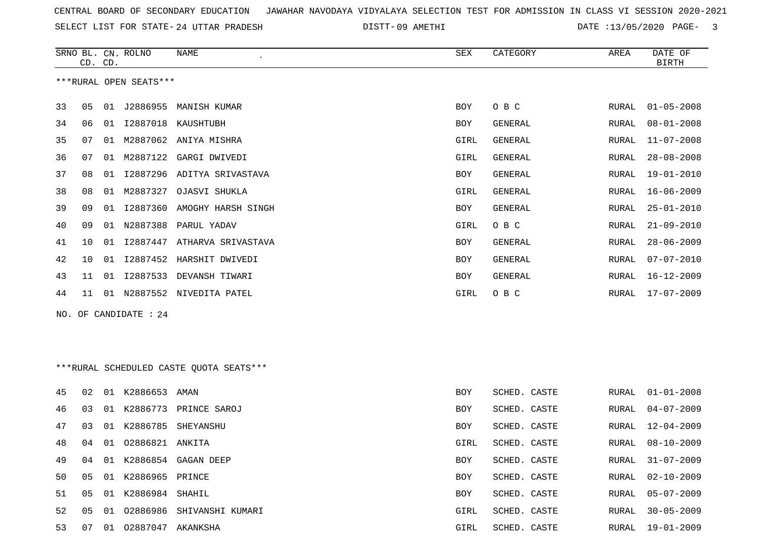| CENTRAL BOARD OF SECONDARY EDUCATION – JAWAHAR NAVODAYA VIDYALAYA SELECTION TEST FOR ADMISSION IN CLASS VI SESSION 2020-2021 |  |
|------------------------------------------------------------------------------------------------------------------------------|--|
|------------------------------------------------------------------------------------------------------------------------------|--|

09 AMETHI DATE :13/05/2020 PAGE- 3

|     | CD. CD. |    | SRNO BL. CN. ROLNO     | NAME                                    | SEX        | CATEGORY       | AREA  | DATE OF<br><b>BIRTH</b> |
|-----|---------|----|------------------------|-----------------------------------------|------------|----------------|-------|-------------------------|
|     |         |    | ***RURAL OPEN SEATS*** |                                         |            |                |       |                         |
| 33  | 05      |    |                        | 01 J2886955 MANISH KUMAR                | BOY        | O B C          | RURAL | $01 - 05 - 2008$        |
| 34  | 06      |    |                        | 01 I2887018 KAUSHTUBH                   | BOY        | GENERAL        | RURAL | $08 - 01 - 2008$        |
| 35  | 07      | 01 |                        | M2887062 ANIYA MISHRA                   | GIRL       | GENERAL        | RURAL | $11 - 07 - 2008$        |
| 36  | 07      | 01 | M2887122               | GARGI DWIVEDI                           | GIRL       | <b>GENERAL</b> | RURAL | $28 - 08 - 2008$        |
| 37  | 08      | 01 | I2887296               | ADITYA SRIVASTAVA                       | BOY        | GENERAL        | RURAL | $19 - 01 - 2010$        |
| 38  | 08      | 01 | M2887327               | OJASVI SHUKLA                           | GIRL       | GENERAL        | RURAL | $16 - 06 - 2009$        |
| 39  | 09      | 01 | I2887360               | AMOGHY HARSH SINGH                      | BOY        | GENERAL        | RURAL | $25 - 01 - 2010$        |
| 40  | 09      | 01 | N2887388               | PARUL YADAV                             | GIRL       | O B C          | RURAL | $21 - 09 - 2010$        |
| 41  | 10      | 01 |                        | 12887447 ATHARVA SRIVASTAVA             | BOY        | GENERAL        | RURAL | $28 - 06 - 2009$        |
| 42  | 10      | 01 |                        | I2887452 HARSHIT DWIVEDI                | BOY        | <b>GENERAL</b> | RURAL | $07 - 07 - 2010$        |
| 43  | 11      | 01 |                        | I2887533 DEVANSH TIWARI                 | BOY        | <b>GENERAL</b> | RURAL | $16 - 12 - 2009$        |
| 44  | 11      |    |                        | 01 N2887552 NIVEDITA PATEL              | GIRL       | O B C          | RURAL | $17 - 07 - 2009$        |
| NO. |         |    | OF CANDIDATE : 24      |                                         |            |                |       |                         |
|     |         |    |                        |                                         |            |                |       |                         |
|     |         |    |                        |                                         |            |                |       |                         |
|     |         |    |                        | ***RURAL SCHEDULED CASTE QUOTA SEATS*** |            |                |       |                         |
| 45  | 02      |    | 01 K2886653 AMAN       |                                         | BOY        | SCHED. CASTE   | RURAL | $01 - 01 - 2008$        |
| 46  | 03      | 01 | K2886773               | PRINCE SAROJ                            | BOY        | SCHED. CASTE   | RURAL | $04 - 07 - 2009$        |
| 47  | 03      | 01 |                        | K2886785 SHEYANSHU                      | <b>BOY</b> | SCHED. CASTE   | RURAL | $12 - 04 - 2009$        |
| 48  | 04      |    | 01  02886821  ANKITA   |                                         | GIRL       | SCHED. CASTE   | RURAL | $08 - 10 - 2009$        |
| 49  | 04      |    |                        | 01 K2886854 GAGAN DEEP                  | BOY        | SCHED. CASTE   | RURAL | $31 - 07 - 2009$        |
| 50  | 05      |    | 01 K2886965 PRINCE     |                                         | BOY        | SCHED. CASTE   | RURAL | $02 - 10 - 2009$        |
| 51  | 05      |    | 01 K2886984 SHAHIL     |                                         | BOY        | SCHED. CASTE   | RURAL | $05 - 07 - 2009$        |
| 52  | 05      |    |                        | 01 02886986 SHIVANSHI KUMARI            | GIRL       | SCHED. CASTE   | RURAL | $30 - 05 - 2009$        |
| 53  | 07      |    | 01 02887047 AKANKSHA   |                                         | GIRL       | SCHED. CASTE   | RURAL | 19-01-2009              |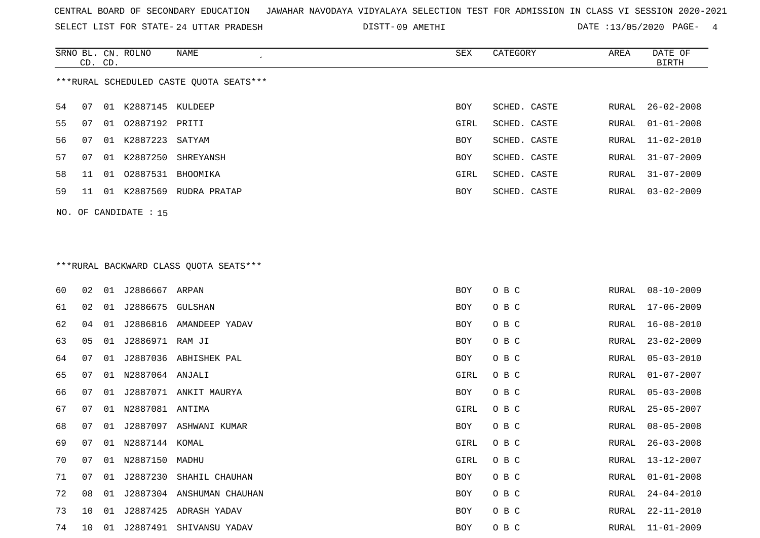SELECT LIST FOR STATE- DISTT- 24 UTTAR PRADESH

09 AMETHI DATE :13/05/2020 PAGE- 4

|    | CD. CD.                                 |  | SRNO BL. CN. ROLNO      | NAME<br>$\epsilon$       | SEX        | CATEGORY     | AREA  | DATE OF<br><b>BIRTH</b> |  |  |  |
|----|-----------------------------------------|--|-------------------------|--------------------------|------------|--------------|-------|-------------------------|--|--|--|
|    | ***RURAL SCHEDULED CASTE QUOTA SEATS*** |  |                         |                          |            |              |       |                         |  |  |  |
| 54 | 07                                      |  | 01 K2887145 KULDEEP     |                          | BOY        | SCHED. CASTE |       | RURAL 26-02-2008        |  |  |  |
| 55 | 07                                      |  | 01 02887192 PRITI       |                          | GIRL       | SCHED. CASTE | RURAL | $01 - 01 - 2008$        |  |  |  |
| 56 | 07                                      |  | 01 K2887223 SATYAM      |                          | BOY        | SCHED. CASTE | RURAL | 11-02-2010              |  |  |  |
| 57 | 07                                      |  |                         | 01 K2887250 SHREYANSH    | <b>BOY</b> | SCHED. CASTE | RURAL | $31 - 07 - 2009$        |  |  |  |
| 58 | 11                                      |  | 01 02887531 BHOOMIKA    |                          | GIRL       | SCHED. CASTE | RURAL | 31-07-2009              |  |  |  |
| 59 | 11                                      |  |                         | 01 K2887569 RUDRA PRATAP | BOY        | SCHED. CASTE | RURAL | $03 - 02 - 2009$        |  |  |  |
|    |                                         |  | NO. OF CANDIDATE : $15$ |                          |            |              |       |                         |  |  |  |
|    |                                         |  |                         |                          |            |              |       |                         |  |  |  |

# \*\*\*RURAL BACKWARD CLASS QUOTA SEATS\*\*\*

| 60 | 02              | 01 | J2886667 ARPAN   |                           | BOY  | O B C | RURAL | $08 - 10 - 2009$ |
|----|-----------------|----|------------------|---------------------------|------|-------|-------|------------------|
| 61 | 02              | 01 | J2886675 GULSHAN |                           | BOY  | O B C | RURAL | 17-06-2009       |
| 62 | 04              | 01 | J2886816         | AMANDEEP YADAV            | BOY  | O B C | RURAL | 16-08-2010       |
| 63 | 05              | 01 | J2886971 RAM JI  |                           | BOY  | O B C | RURAL | $23 - 02 - 2009$ |
| 64 | 07              | 01 |                  | J2887036 ABHISHEK PAL     | BOY  | O B C | RURAL | $05 - 03 - 2010$ |
| 65 | 07              | 01 | N2887064 ANJALI  |                           | GIRL | O B C | RURAL | $01 - 07 - 2007$ |
| 66 | 07              | 01 |                  | J2887071 ANKIT MAURYA     | BOY  | O B C | RURAL | $05 - 03 - 2008$ |
| 67 | 07              | 01 | N2887081 ANTIMA  |                           | GIRL | O B C | RURAL | $25 - 05 - 2007$ |
| 68 | 07              | 01 |                  | J2887097 ASHWANI KUMAR    | BOY  | O B C | RURAL | $08 - 05 - 2008$ |
| 69 | 07              | 01 | N2887144 KOMAL   |                           | GIRL | O B C | RURAL | $26 - 03 - 2008$ |
| 70 | 07              | 01 | N2887150 MADHU   |                           | GIRL | O B C | RURAL | 13-12-2007       |
| 71 | 07              | 01 | J2887230         | SHAHIL CHAUHAN            | BOY  | O B C | RURAL | $01 - 01 - 2008$ |
| 72 | 08              | 01 |                  | J2887304 ANSHUMAN CHAUHAN | BOY  | O B C | RURAL | $24 - 04 - 2010$ |
| 73 | 10 <sup>°</sup> | 01 | J2887425         | ADRASH YADAV              | BOY  | O B C | RURAL | $22 - 11 - 2010$ |
| 74 | 10              | 01 | J2887491         | SHIVANSU YADAV            | BOY  | O B C | RURAL | 11-01-2009       |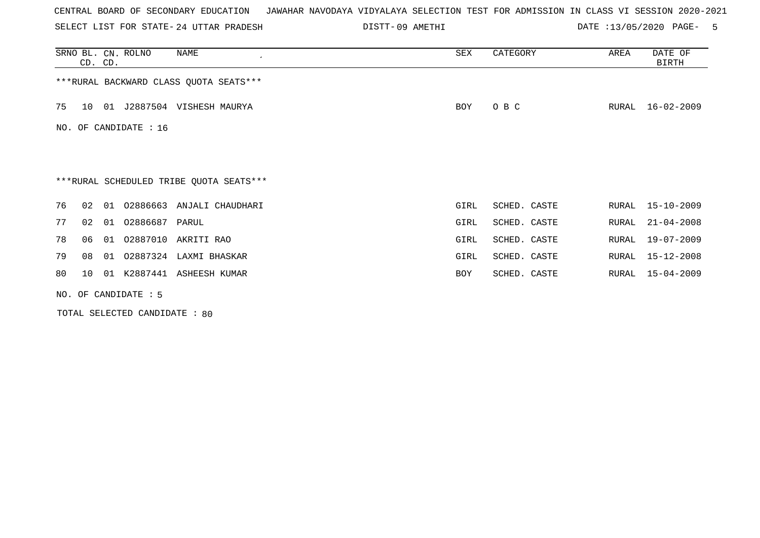SELECT LIST FOR STATE- DISTT- 24 UTTAR PRADESH

09 AMETHI DATE :13/05/2020 PAGE- 5

|    | CD. CD.                                 |    | SRNO BL. CN. ROLNO     | NAME                                    | SEX        | CATEGORY     | AREA  | DATE OF<br>BIRTH |  |  |  |  |
|----|-----------------------------------------|----|------------------------|-----------------------------------------|------------|--------------|-------|------------------|--|--|--|--|
|    | *** RURAL BACKWARD CLASS QUOTA SEATS*** |    |                        |                                         |            |              |       |                  |  |  |  |  |
| 75 | 10                                      | 01 |                        | J2887504 VISHESH MAURYA                 | BOY        | O B C        |       | RURAL 16-02-2009 |  |  |  |  |
|    |                                         |    | NO. OF CANDIDATE : 16  |                                         |            |              |       |                  |  |  |  |  |
|    |                                         |    |                        |                                         |            |              |       |                  |  |  |  |  |
|    |                                         |    |                        | ***RURAL SCHEDULED TRIBE QUOTA SEATS*** |            |              |       |                  |  |  |  |  |
| 76 | 02                                      | 01 | 02886663               | ANJALI CHAUDHARI                        | GIRL       | SCHED. CASTE |       | RURAL 15-10-2009 |  |  |  |  |
| 77 | 02                                      |    | 01 02886687 PARUL      |                                         | GIRL       | SCHED. CASTE | RURAL | $21 - 04 - 2008$ |  |  |  |  |
| 78 | 06                                      | 01 | 02887010               | AKRITI RAO                              | GIRL       | SCHED. CASTE | RURAL | 19-07-2009       |  |  |  |  |
| 79 | 08                                      | 01 |                        | 02887324 LAXMI BHASKAR                  | GIRL       | SCHED. CASTE | RURAL | 15-12-2008       |  |  |  |  |
| 80 | 10                                      | 01 | K2887441               | ASHEESH KUMAR                           | <b>BOY</b> | SCHED. CASTE | RURAL | $15 - 04 - 2009$ |  |  |  |  |
|    |                                         |    | NO. OF CANDIDATE $: 5$ |                                         |            |              |       |                  |  |  |  |  |

TOTAL SELECTED CANDIDATE : 80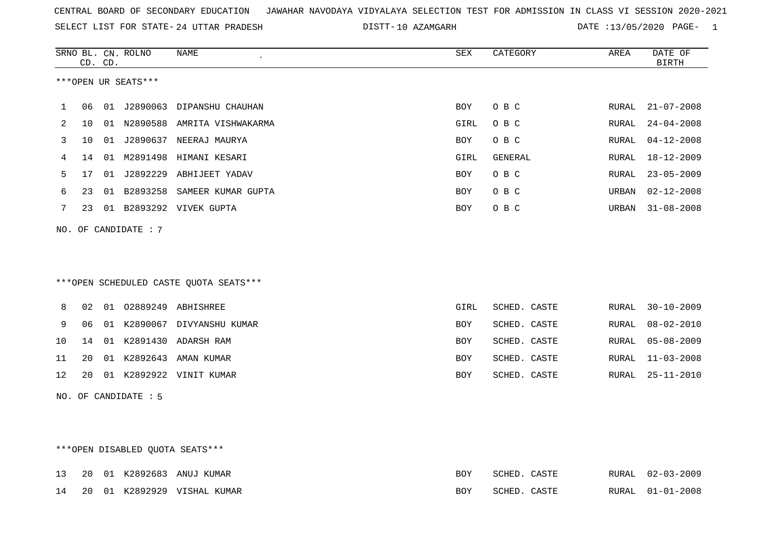10 AZAMGARH DATE :13/05/2020 PAGE- 1

| DATE OF<br><b>BIRTH</b> |
|-------------------------|
|                         |
| $21 - 07 - 2008$        |
| $24 - 04 - 2008$        |
| $04 - 12 - 2008$        |
| $18 - 12 - 2009$        |
| $23 - 05 - 2009$        |
| $02 - 12 - 2008$        |
| $31 - 08 - 2008$        |
|                         |
|                         |
|                         |
|                         |
| $30 - 10 - 2009$        |
| $08 - 02 - 2010$        |
| $05 - 08 - 2009$        |
| $11 - 03 - 2008$        |
|                         |
| $25 - 11 - 2010$        |
|                         |
|                         |
|                         |

## \*\*\*OPEN DISABLED QUOTA SEATS\*\*\*

|  |  | 13 20 01 K2892683 ANUJ KUMAR   | BOY | SCHED. CASTE |  | RURAL 02-03-2009 |
|--|--|--------------------------------|-----|--------------|--|------------------|
|  |  | 14 20 01 K2892929 VISHAL KUMAR | BOY | SCHED. CASTE |  | RURAL 01-01-2008 |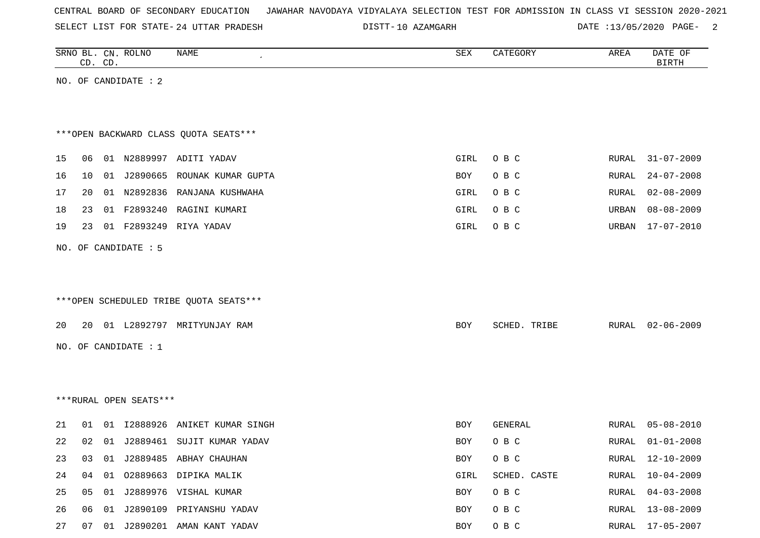| CENTRAL BOARD OF SECONDARY EDUCATION – JAWAHAR NAVODAYA VIDYALAYA SELECTION TEST FOR ADMISSION IN CLASS VI SESSION 2020-2021 |  |  |  |  |
|------------------------------------------------------------------------------------------------------------------------------|--|--|--|--|
|------------------------------------------------------------------------------------------------------------------------------|--|--|--|--|

DISTT-10 AZAMGARH DATE :13/05/2020 PAGE- 2

|    |    | CD. CD. | SRNO BL. CN. ROLNO     | NAME                                   | ${\tt SEX}$ | CATEGORY     | AREA  | DATE OF<br><b>BIRTH</b> |
|----|----|---------|------------------------|----------------------------------------|-------------|--------------|-------|-------------------------|
|    |    |         | NO. OF CANDIDATE : 2   |                                        |             |              |       |                         |
|    |    |         |                        |                                        |             |              |       |                         |
|    |    |         |                        |                                        |             |              |       |                         |
|    |    |         |                        | *** OPEN BACKWARD CLASS QUOTA SEATS*** |             |              |       |                         |
| 15 | 06 |         |                        | 01 N2889997 ADITI YADAV                | GIRL        | O B C        | RURAL | $31 - 07 - 2009$        |
| 16 | 10 |         | 01 J2890665            | ROUNAK KUMAR GUPTA                     | BOY         | O B C        | RURAL | $24 - 07 - 2008$        |
| 17 | 20 |         | 01 N2892836            | RANJANA KUSHWAHA                       | GIRL        | O B C        | RURAL | $02 - 08 - 2009$        |
| 18 | 23 |         | 01 F2893240            | RAGINI KUMARI                          | GIRL        | O B C        | URBAN | $08 - 08 - 2009$        |
| 19 | 23 |         | 01 F2893249            | RIYA YADAV                             | GIRL        | O B C        | URBAN | $17 - 07 - 2010$        |
|    |    |         | NO. OF CANDIDATE : 5   |                                        |             |              |       |                         |
|    |    |         |                        |                                        |             |              |       |                         |
|    |    |         |                        |                                        |             |              |       |                         |
|    |    |         |                        | ***OPEN SCHEDULED TRIBE QUOTA SEATS*** |             |              |       |                         |
| 20 | 20 |         |                        | 01 L2892797 MRITYUNJAY RAM             | BOY         | SCHED. TRIBE | RURAL | $02 - 06 - 2009$        |
|    |    |         | NO. OF CANDIDATE : 1   |                                        |             |              |       |                         |
|    |    |         |                        |                                        |             |              |       |                         |
|    |    |         |                        |                                        |             |              |       |                         |
|    |    |         | ***RURAL OPEN SEATS*** |                                        |             |              |       |                         |
|    |    |         |                        |                                        |             |              |       |                         |
| 21 | 01 |         | 01 12888926            | ANIKET KUMAR SINGH                     | BOY         | GENERAL      | RURAL | $05 - 08 - 2010$        |
| 22 | 02 |         |                        | 01 J2889461 SUJIT KUMAR YADAV          | BOY         | O B C        | RURAL | $01 - 01 - 2008$        |
| 23 |    |         |                        | 03 01 J2889485 ABHAY CHAUHAN           | BOY         | O B C        | RURAL | 12-10-2009              |
| 24 |    |         |                        | 04 01 02889663 DIPIKA MALIK            | GIRL        | SCHED. CASTE | RURAL | $10 - 04 - 2009$        |
| 25 |    |         |                        | 05 01 J2889976 VISHAL KUMAR            | BOY         | O B C        | RURAL | $04 - 03 - 2008$        |
| 26 |    |         |                        | 06  01  J2890109  PRIYANSHU YADAV      | BOY         | O B C        | RURAL | $13 - 08 - 2009$        |
| 27 |    |         |                        | 07 01 J2890201 AMAN KANT YADAV         | <b>BOY</b>  | O B C        | RURAL | $17 - 05 - 2007$        |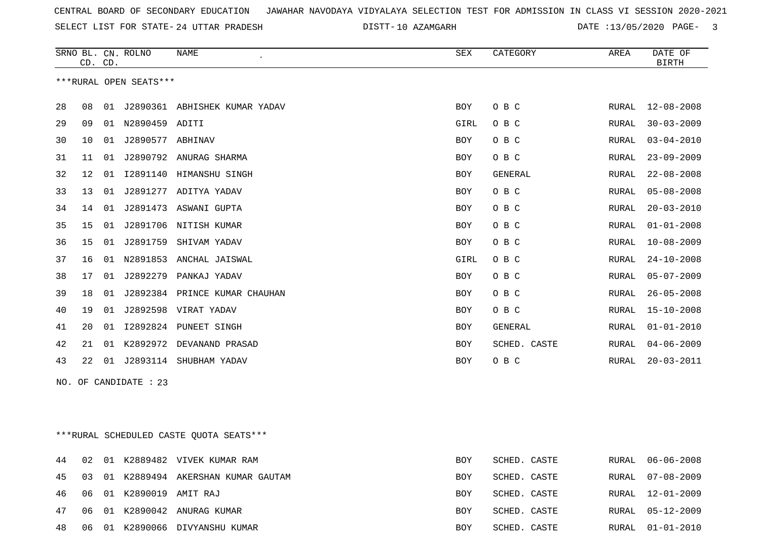SELECT LIST FOR STATE- DISTT- 24 UTTAR PRADESH

10 AZAMGARH DATE :13/05/2020 PAGE- 3

|    | CD. CD.                                          |    | SRNO BL. CN. ROLNO     | <b>NAME</b>                   | <b>SEX</b> | CATEGORY     | AREA         | DATE OF<br><b>BIRTH</b> |  |  |
|----|--------------------------------------------------|----|------------------------|-------------------------------|------------|--------------|--------------|-------------------------|--|--|
|    |                                                  |    | ***RURAL OPEN SEATS*** |                               |            |              |              |                         |  |  |
|    |                                                  |    |                        |                               |            |              |              |                         |  |  |
| 28 | 08                                               | 01 |                        | J2890361 ABHISHEK KUMAR YADAV | <b>BOY</b> | O B C        | RURAL        | $12 - 08 - 2008$        |  |  |
| 29 | 09                                               | 01 | N2890459 ADITI         |                               | GIRL       | O B C        | RURAL        | $30 - 03 - 2009$        |  |  |
| 30 | 10                                               | 01 | J2890577 ABHINAV       |                               | BOY        | O B C        | <b>RURAL</b> | $03 - 04 - 2010$        |  |  |
| 31 | 11                                               | 01 |                        | J2890792 ANURAG SHARMA        | BOY        | O B C        | RURAL        | $23 - 09 - 2009$        |  |  |
| 32 | $12 \,$                                          | 01 | I2891140               | HIMANSHU SINGH                | BOY        | GENERAL      | RURAL        | $22 - 08 - 2008$        |  |  |
| 33 | 13                                               | 01 |                        | J2891277 ADITYA YADAV         | BOY        | O B C        | RURAL        | $05 - 08 - 2008$        |  |  |
| 34 | 14                                               | 01 |                        | J2891473 ASWANI GUPTA         | BOY        | O B C        | RURAL        | $20 - 03 - 2010$        |  |  |
| 35 | 15                                               | 01 |                        | J2891706 NITISH KUMAR         | <b>BOY</b> | O B C        | <b>RURAL</b> | $01 - 01 - 2008$        |  |  |
| 36 | 15                                               | 01 | J2891759               | SHIVAM YADAV                  | <b>BOY</b> | O B C        | <b>RURAL</b> | $10 - 08 - 2009$        |  |  |
| 37 | 16                                               | 01 |                        | N2891853 ANCHAL JAISWAL       | GIRL       | O B C        | RURAL        | $24 - 10 - 2008$        |  |  |
| 38 | 17                                               |    | 01 J2892279            | PANKAJ YADAV                  | BOY        | O B C        | RURAL        | $05 - 07 - 2009$        |  |  |
| 39 | 18                                               | 01 |                        | J2892384 PRINCE KUMAR CHAUHAN | BOY        | O B C        | RURAL        | $26 - 05 - 2008$        |  |  |
| 40 | 19                                               | 01 |                        | J2892598 VIRAT YADAV          | BOY        | O B C        | RURAL        | $15 - 10 - 2008$        |  |  |
| 41 | 20                                               | 01 |                        | 12892824 PUNEET SINGH         | BOY        | GENERAL      | RURAL        | $01 - 01 - 2010$        |  |  |
| 42 | 21                                               | 01 |                        | K2892972 DEVANAND PRASAD      | BOY        | SCHED. CASTE | RURAL        | $04 - 06 - 2009$        |  |  |
| 43 | 22                                               |    |                        | 01 J2893114 SHUBHAM YADAV     | BOY        | O B C        | RURAL        | $20 - 03 - 2011$        |  |  |
|    |                                                  |    | NO. OF CANDIDATE : 23  |                               |            |              |              |                         |  |  |
|    |                                                  |    |                        |                               |            |              |              |                         |  |  |
|    |                                                  |    |                        |                               |            |              |              |                         |  |  |
|    | $***$ TION I COURDIII RD CACTR OUOTA CRATC $***$ |    |                        |                               |            |              |              |                         |  |  |

| ""RURAL SCHEDULED CASIE QUOIA SEAIS"" |  |  |
|---------------------------------------|--|--|
|                                       |  |  |

|  |                            | 44 02 01 K2889482 VIVEK KUMAR RAM       | BOY | SCHED. CASTE | RURAL 06-06-2008 |
|--|----------------------------|-----------------------------------------|-----|--------------|------------------|
|  |                            | 45 03 01 K2889494 AKERSHAN KUMAR GAUTAM | BOY | SCHED. CASTE | RURAL 07-08-2009 |
|  | 46 06 01 K2890019 AMIT RAJ |                                         | BOY | SCHED. CASTE | RURAL 12-01-2009 |
|  |                            | 47 06 01 K2890042 ANURAG KUMAR          | BOY | SCHED. CASTE | RURAL 05-12-2009 |
|  |                            | 48 06 01 K2890066 DIVYANSHU KUMAR       | BOY | SCHED. CASTE | RURAL 01-01-2010 |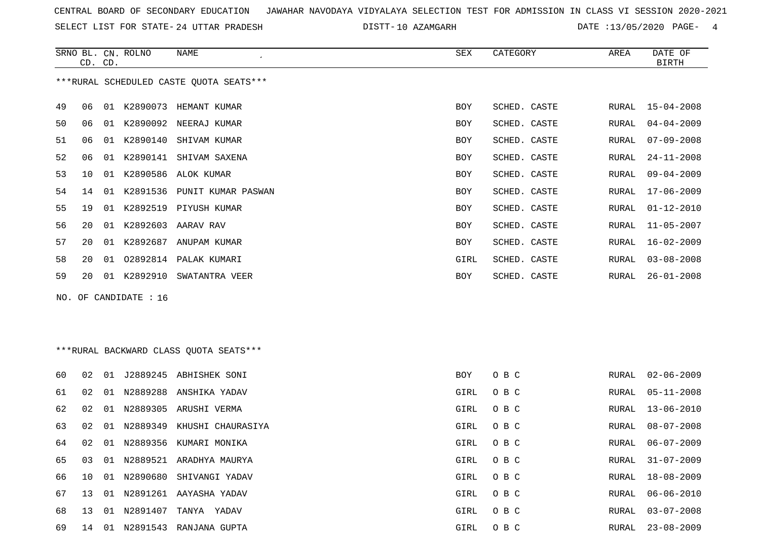SELECT LIST FOR STATE- DISTT- 24 UTTAR PRADESH

DISTT-10 AZAMGARH DATE :13/05/2020 PAGE- 4

|    | CD. CD. |    | SRNO BL. CN. ROLNO    | NAME                                    | SEX        | CATEGORY                    | AREA  | DATE OF<br><b>BIRTH</b> |
|----|---------|----|-----------------------|-----------------------------------------|------------|-----------------------------|-------|-------------------------|
|    |         |    |                       | ***RURAL SCHEDULED CASTE QUOTA SEATS*** |            |                             |       |                         |
| 49 | 06      |    |                       | 01 K2890073 HEMANT KUMAR                | <b>BOY</b> | SCHED. CASTE                | RURAL | $15 - 04 - 2008$        |
| 50 | 06      |    |                       | 01 K2890092 NEERAJ KUMAR                | <b>BOY</b> | SCHED. CASTE                | RURAL | $04 - 04 - 2009$        |
| 51 | 06      |    |                       | 01 K2890140 SHIVAM KUMAR                | <b>BOY</b> | SCHED. CASTE                | RURAL | $07 - 09 - 2008$        |
| 52 | 06      |    |                       | 01 K2890141 SHIVAM SAXENA               | <b>BOY</b> | SCHED. CASTE                | RURAL | $24 - 11 - 2008$        |
| 53 | 10      | 01 |                       | K2890586 ALOK KUMAR                     | <b>BOY</b> | SCHED. CASTE                | RURAL | $09 - 04 - 2009$        |
| 54 | 14      | 01 |                       | K2891536 PUNIT KUMAR PASWAN             | <b>BOY</b> | SCHED. CASTE                | RURAL | $17 - 06 - 2009$        |
| 55 | 19      | 01 | K2892519              | PIYUSH KUMAR                            | <b>BOY</b> | SCHED. CASTE                | RURAL | $01 - 12 - 2010$        |
| 56 | 20      | 01 |                       | K2892603 AARAV RAV                      | <b>BOY</b> | SCHED. CASTE                | RURAL | $11 - 05 - 2007$        |
| 57 | 20      | 01 | K2892687              | ANUPAM KUMAR                            | BOY        | SCHED. CASTE                | RURAL | $16 - 02 - 2009$        |
| 58 | 20      | 01 | 02892814              | PALAK KUMARI                            | GIRL       | SCHED. CASTE                | RURAL | $03 - 08 - 2008$        |
| 59 | 20      |    | 01 K2892910           | SWATANTRA VEER                          | BOY        | SCHED. CASTE                | RURAL | $26 - 01 - 2008$        |
|    |         |    | NO. OF CANDIDATE : 16 |                                         |            |                             |       |                         |
|    |         |    |                       |                                         |            |                             |       |                         |
|    |         |    |                       |                                         |            |                             |       |                         |
|    |         |    |                       | ***RURAL BACKWARD CLASS OUOTA SEATS***  |            |                             |       |                         |
|    |         |    |                       | 60 02 01 TORROOLE ARHICHEK CONT         |            | $P\cap V$ $\cap$ $P$ $\cap$ |       | $DTIPAT. 02-06-2009$    |

| UU. | UZ. | – U⊥ |          | NNC <i>Ab</i> iida CPAGOOSU | DU 1 | U D U | <b>RURAL</b> | <b>UZ-UU-ZUU-</b> |
|-----|-----|------|----------|-----------------------------|------|-------|--------------|-------------------|
| 61  | 02  | -01  | N2889288 | ANSHIKA YADAV               | GIRL | O B C |              | RURAL 05-11-2008  |
| 62  | 02  | 01   | N2889305 | ARUSHI VERMA                | GIRL | O B C | RURAL        | 13-06-2010        |
| 63  | 02  | 01   | N2889349 | KHUSHI CHAURASIYA           | GIRL | O B C | RURAL        | 08-07-2008        |
| 64  | 02  | 01   | N2889356 | KUMARI MONIKA               | GIRL | O B C | RURAL        | 06-07-2009        |
| 65  | 03  | 01   | N2889521 | ARADHYA MAURYA              | GIRL | O B C | RURAL        | 31-07-2009        |
| 66  | 10  | 01   | N2890680 | SHIVANGI YADAV              | GIRL | O B C | RURAL        | 18-08-2009        |
| 67  | 13  | O 1  | N2891261 | AAYASHA YADAV               | GIRL | O B C | RURAL        | 06-06-2010        |
| 68  | 13  | 01   | N2891407 | TANYA<br>YADAV              | GIRL | O B C | RURAL        | $03 - 07 - 2008$  |
| 69  | 14  | -01  | N2891543 | RANJANA GUPTA               | GIRL | O B C | RURAL        | $23 - 08 - 2009$  |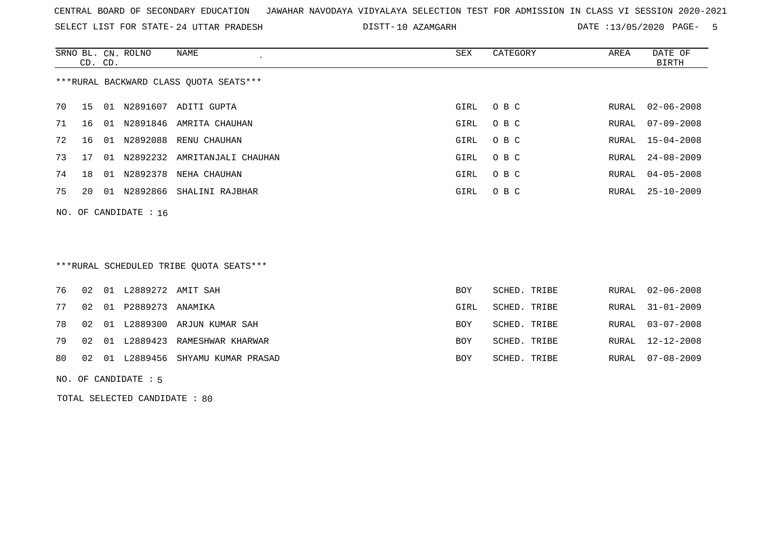SELECT LIST FOR STATE- DISTT- 24 UTTAR PRADESH

10 AZAMGARH DATE :13/05/2020 PAGE- 5

|                                        | CD. CD. |      | SRNO BL. CN. ROLNO      | NAME                         | SEX  | CATEGORY | AREA  | DATE OF<br>BIRTH |
|----------------------------------------|---------|------|-------------------------|------------------------------|------|----------|-------|------------------|
| ***RURAL BACKWARD CLASS OUOTA SEATS*** |         |      |                         |                              |      |          |       |                  |
| 70                                     | 15      | 01   |                         | N2891607 ADITI GUPTA         | GIRL | O B C    | RURAL | 02-06-2008       |
| 71                                     | 16      | 01   | N2891846                | AMRITA CHAUHAN               | GIRL | O B C    | RURAL | 07-09-2008       |
| 72                                     | 16      | 01   | N2892088                | RENU CHAUHAN                 | GIRL | O B C    |       | RURAL 15-04-2008 |
| 73                                     | 17      | 01   |                         | N2892232 AMRITANJALI CHAUHAN | GIRL | O B C    |       | RURAL 24-08-2009 |
| 74                                     | 18      | - 01 | N2892378                | NEHA CHAUHAN                 | GIRL | O B C    | RURAL | $04 - 05 - 2008$ |
| 75                                     | 20      | 01   |                         | N2892866 SHALINI RAJBHAR     | GIRL | O B C    |       | RURAL 25-10-2009 |
|                                        |         |      | NO. OF CANDIDATE : $16$ |                              |      |          |       |                  |

# \*\*\*RURAL SCHEDULED TRIBE QUOTA SEATS\*\*\*

|  | <b>BOY</b>                                                                                                                                     | SCHED. TRIBE |                                                              | RURAL 02-06-2008 |
|--|------------------------------------------------------------------------------------------------------------------------------------------------|--------------|--------------------------------------------------------------|------------------|
|  | GIRL                                                                                                                                           |              |                                                              | RURAL 31-01-2009 |
|  | <b>BOY</b>                                                                                                                                     |              |                                                              | RURAL 03-07-2008 |
|  | BOY                                                                                                                                            |              |                                                              | RURAL 12-12-2008 |
|  | BOY                                                                                                                                            |              |                                                              | RURAL 07-08-2009 |
|  | 77 02 01 P2889273 ANAMIKA<br>78 02 01 L2889300 ARJUN KUMAR SAH<br>79 02 01 L2889423 RAMESHWAR KHARWAR<br>80 02 01 L2889456 SHYAMU KUMAR PRASAD |              | SCHED. TRIBE<br>SCHED. TRIBE<br>SCHED. TRIBE<br>SCHED. TRIBE |                  |

NO. OF CANDIDATE : 5

TOTAL SELECTED CANDIDATE : 80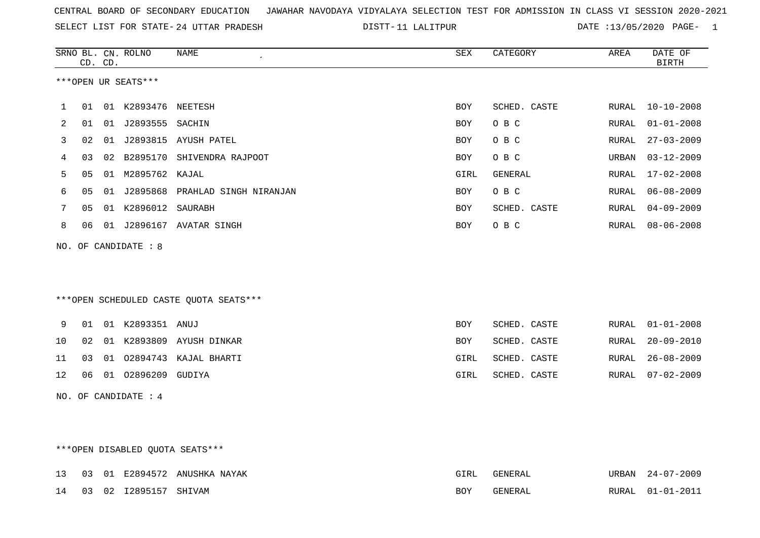|  |  |  |  | CENTRAL BOARD OF SECONDARY EDUCATION GJAWAHAR NAVODAYA VIDYALAYA SELECTION TEST FOR ADMISSION IN CLASS VI SESSION 2020-2021 |  |  |  |  |  |  |  |  |  |  |  |
|--|--|--|--|-----------------------------------------------------------------------------------------------------------------------------|--|--|--|--|--|--|--|--|--|--|--|
|--|--|--|--|-----------------------------------------------------------------------------------------------------------------------------|--|--|--|--|--|--|--|--|--|--|--|

SELECT LIST FOR STATE- DISTT- 24 UTTAR PRADESH 11 LALITPUR DATE :13/05/2020 PAGE- 1

|    |    | CD. CD. | SRNO BL. CN. ROLNO   | NAME                                   | SEX        | CATEGORY     | AREA  | DATE OF<br><b>BIRTH</b> |
|----|----|---------|----------------------|----------------------------------------|------------|--------------|-------|-------------------------|
|    |    |         | ***OPEN UR SEATS***  |                                        |            |              |       |                         |
| 1  | 01 |         | 01 K2893476 NEETESH  |                                        | <b>BOY</b> | SCHED. CASTE |       | RURAL 10-10-2008        |
| 2  | 01 |         | 01 J2893555 SACHIN   |                                        | BOY        | O B C        | RURAL | $01 - 01 - 2008$        |
| 3  | 02 |         |                      | 01 J2893815 AYUSH PATEL                | BOY        | O B C        | RURAL | $27 - 03 - 2009$        |
| 4  | 03 |         |                      | 02 B2895170 SHIVENDRA RAJPOOT          | <b>BOY</b> | O B C        | URBAN | $03 - 12 - 2009$        |
| 5  | 05 |         | 01 M2895762 KAJAL    |                                        | GIRL       | GENERAL      | RURAL | $17 - 02 - 2008$        |
| 6  | 05 |         |                      | 01 J2895868 PRAHLAD SINGH NIRANJAN     | BOY        | O B C        | RURAL | $06 - 08 - 2009$        |
| 7  | 05 |         | 01 K2896012 SAURABH  |                                        | BOY        | SCHED. CASTE | RURAL | $04 - 09 - 2009$        |
| 8  | 06 |         |                      | 01 J2896167 AVATAR SINGH               | BOY        | O B C        | RURAL | $08 - 06 - 2008$        |
|    |    |         | NO. OF CANDIDATE : 8 |                                        |            |              |       |                         |
|    |    |         |                      |                                        |            |              |       |                         |
|    |    |         |                      |                                        |            |              |       |                         |
|    |    |         |                      | ***OPEN SCHEDULED CASTE QUOTA SEATS*** |            |              |       |                         |
|    |    |         |                      |                                        |            |              |       |                         |
| 9  | 01 |         | 01 K2893351 ANUJ     |                                        | BOY        | SCHED. CASTE | RURAL | $01 - 01 - 2008$        |
| 10 | 02 |         |                      | 01 K2893809 AYUSH DINKAR               | BOY        | SCHED. CASTE | RURAL | $20 - 09 - 2010$        |
| 11 | 03 |         |                      | 01 02894743 KAJAL BHARTI               | GIRL       | SCHED. CASTE | RURAL | $26 - 08 - 2009$        |
| 12 | 06 |         | 01 02896209 GUDIYA   |                                        | GIRL       | SCHED. CASTE | RURAL | $07 - 02 - 2009$        |
|    |    |         | NO. OF CANDIDATE : 4 |                                        |            |              |       |                         |
|    |    |         |                      |                                        |            |              |       |                         |
|    |    |         |                      |                                        |            |              |       |                         |
|    |    |         |                      | *** OPEN DISABLED QUOTA SEATS***       |            |              |       |                         |

|  |                          | 13 03 01 E2894572 ANUSHKA NAYAK |     | GENERAL | URBAN 24-07-2009 |
|--|--------------------------|---------------------------------|-----|---------|------------------|
|  | 14 03 02 12895157 SHIVAM |                                 | BOY | GENERAL | RURAL 01-01-2011 |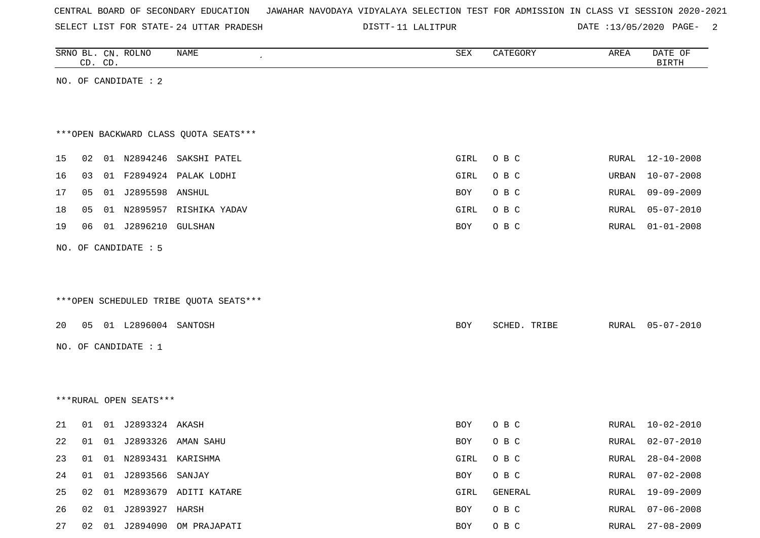| CENTRAL BOARD OF SECONDARY EDUCATION – JAWAHAR NAVODAYA VIDYALAYA SELECTION TEST FOR ADMISSION IN CLASS VI SESSION 2020-2021 |  |  |  |  |
|------------------------------------------------------------------------------------------------------------------------------|--|--|--|--|
|------------------------------------------------------------------------------------------------------------------------------|--|--|--|--|

DISTT-11 LALITPUR DATE :13/05/2020 PAGE- 2

|          |    | CD. CD. | SRNO BL. CN. ROLNO       | NAME                                   | SEX               | CATEGORY       | AREA           | DATE OF<br><b>BIRTH</b>              |
|----------|----|---------|--------------------------|----------------------------------------|-------------------|----------------|----------------|--------------------------------------|
|          |    |         | NO. OF CANDIDATE : 2     |                                        |                   |                |                |                                      |
|          |    |         |                          |                                        |                   |                |                |                                      |
|          |    |         |                          |                                        |                   |                |                |                                      |
|          |    |         |                          | *** OPEN BACKWARD CLASS QUOTA SEATS*** |                   |                |                |                                      |
| 15       | 02 |         |                          | 01 N2894246 SAKSHI PATEL               | GIRL              | O B C          | RURAL          | $12 - 10 - 2008$                     |
| 16       | 03 |         |                          | 01 F2894924 PALAK LODHI                | GIRL              | O B C          | URBAN          | $10 - 07 - 2008$                     |
| 17       | 05 |         | 01 J2895598 ANSHUL       |                                        | BOY               | O B C          | RURAL          | $09 - 09 - 2009$                     |
| 18       | 05 |         |                          | 01 N2895957 RISHIKA YADAV              | GIRL              | O B C          | RURAL          | $05 - 07 - 2010$                     |
| 19       | 06 |         | 01 J2896210 GULSHAN      |                                        | BOY               | O B C          | RURAL          | $01 - 01 - 2008$                     |
|          |    |         | NO. OF CANDIDATE : 5     |                                        |                   |                |                |                                      |
|          |    |         |                          |                                        |                   |                |                |                                      |
|          |    |         |                          |                                        |                   |                |                |                                      |
|          |    |         |                          | ***OPEN SCHEDULED TRIBE QUOTA SEATS*** |                   |                |                |                                      |
| 20       |    |         | 05 01 L2896004 SANTOSH   |                                        | BOY               | SCHED. TRIBE   | RURAL          | $05 - 07 - 2010$                     |
|          |    |         | NO. OF CANDIDATE : 1     |                                        |                   |                |                |                                      |
|          |    |         |                          |                                        |                   |                |                |                                      |
|          |    |         |                          |                                        |                   |                |                |                                      |
|          |    |         | ***RURAL OPEN SEATS***   |                                        |                   |                |                |                                      |
|          |    |         | 01 01 J2893324 AKASH     |                                        |                   |                |                |                                      |
| 21<br>22 |    |         |                          | 01 01 J2893326 AMAN SAHU               | BOY<br><b>BOY</b> | O B C<br>O B C | RURAL<br>RURAL | $10 - 02 - 2010$<br>$02 - 07 - 2010$ |
| 23       | 01 |         | 01 N2893431 KARISHMA     |                                        | GIRL              | O B C          | RURAL          | $28 - 04 - 2008$                     |
| 24       |    |         | 01  01  J2893566  SANJAY |                                        | BOY               | O B C          | RURAL          | $07 - 02 - 2008$                     |
| 25       |    |         |                          | 02 01 M2893679 ADITI KATARE            | GIRL              | GENERAL        | RURAL          | 19-09-2009                           |
| 26       |    |         | 02 01 J2893927 HARSH     |                                        | BOY               | O B C          | RURAL          | $07 - 06 - 2008$                     |
|          |    |         |                          | 02 01 J2894090 OM PRAJAPATI            | BOY               | $O$ B $C$      |                | RURAL 27-08-2009                     |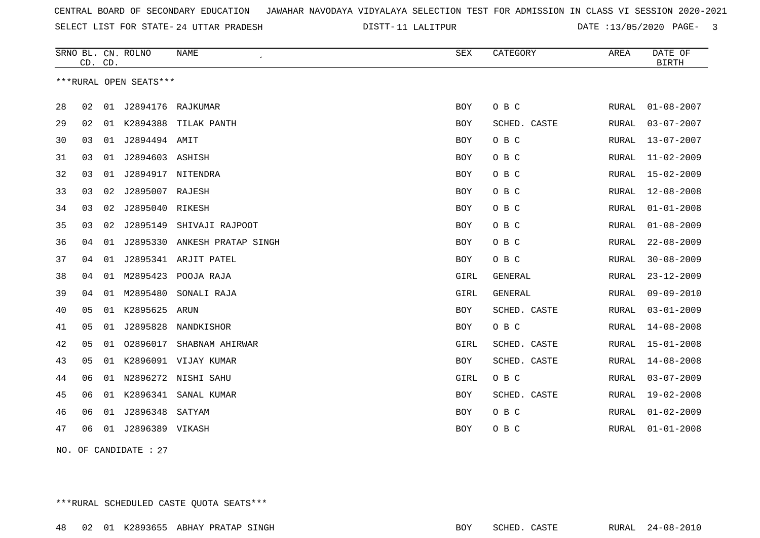SELECT LIST FOR STATE- DISTT- 24 UTTAR PRADESH

DISTT-11 LALITPUR DATE :13/05/2020 PAGE- 3

|    | CD. CD. |    | SRNO BL. CN. ROLNO     | <b>NAME</b>          | <b>SEX</b> | CATEGORY       | AREA  | DATE OF<br><b>BIRTH</b> |
|----|---------|----|------------------------|----------------------|------------|----------------|-------|-------------------------|
|    |         |    | ***RURAL OPEN SEATS*** |                      |            |                |       |                         |
| 28 | 02      |    | 01 J2894176 RAJKUMAR   |                      | <b>BOY</b> | O B C          | RURAL | $01 - 08 - 2007$        |
| 29 | 02      | 01 | K2894388               | TILAK PANTH          | <b>BOY</b> | SCHED. CASTE   | RURAL | $03 - 07 - 2007$        |
| 30 | 03      | 01 | J2894494 AMIT          |                      | BOY        | O B C          | RURAL | $13 - 07 - 2007$        |
| 31 | 03      | 01 | J2894603 ASHISH        |                      | BOY        | O B C          | RURAL | $11 - 02 - 2009$        |
| 32 | 03      | 01 | J2894917               | NITENDRA             | BOY        | O B C          | RURAL | $15 - 02 - 2009$        |
| 33 | 03      | 02 | J2895007 RAJESH        |                      | <b>BOY</b> | O B C          | RURAL | $12 - 08 - 2008$        |
| 34 | 03      | 02 | J2895040               | RIKESH               | <b>BOY</b> | O B C          | RURAL | $01 - 01 - 2008$        |
| 35 | 03      | 02 | J2895149               | SHIVAJI RAJPOOT      | BOY        | O B C          | RURAL | $01 - 08 - 2009$        |
| 36 | 04      | 01 | J2895330               | ANKESH PRATAP SINGH  | BOY        | O B C          | RURAL | $22 - 08 - 2009$        |
| 37 | 04      | 01 |                        | J2895341 ARJIT PATEL | <b>BOY</b> | O B C          | RURAL | $30 - 08 - 2009$        |
| 38 | 04      | 01 | M2895423               | POOJA RAJA           | GIRL       | <b>GENERAL</b> | RURAL | $23 - 12 - 2009$        |
| 39 | 04      | 01 | M2895480               | SONALI RAJA          | GIRL       | <b>GENERAL</b> | RURAL | $09 - 09 - 2010$        |
| 40 | 05      | 01 | K2895625               | ARUN                 | <b>BOY</b> | SCHED. CASTE   | RURAL | $03 - 01 - 2009$        |
| 41 | 05      | 01 | J2895828               | NANDKISHOR           | BOY        | O B C          | RURAL | $14 - 08 - 2008$        |
| 42 | 05      | 01 | 02896017               | SHABNAM AHIRWAR      | GIRL       | SCHED. CASTE   | RURAL | $15 - 01 - 2008$        |
| 43 | 05      | 01 |                        | K2896091 VIJAY KUMAR | <b>BOY</b> | SCHED. CASTE   | RURAL | $14 - 08 - 2008$        |
| 44 | 06      | 01 | N2896272               | NISHI SAHU           | GIRL       | O B C          | RURAL | $03 - 07 - 2009$        |
| 45 | 06      | 01 | K2896341               | SANAL KUMAR          | BOY        | SCHED. CASTE   | RURAL | $19 - 02 - 2008$        |
| 46 | 06      | 01 | J2896348               | SATYAM               | <b>BOY</b> | O B C          | RURAL | $01 - 02 - 2009$        |
| 47 | 06      | 01 | J2896389 VIKASH        |                      | BOY        | O B C          | RURAL | $01 - 01 - 2008$        |

NO. OF CANDIDATE : 27

\*\*\*RURAL SCHEDULED CASTE QUOTA SEATS\*\*\*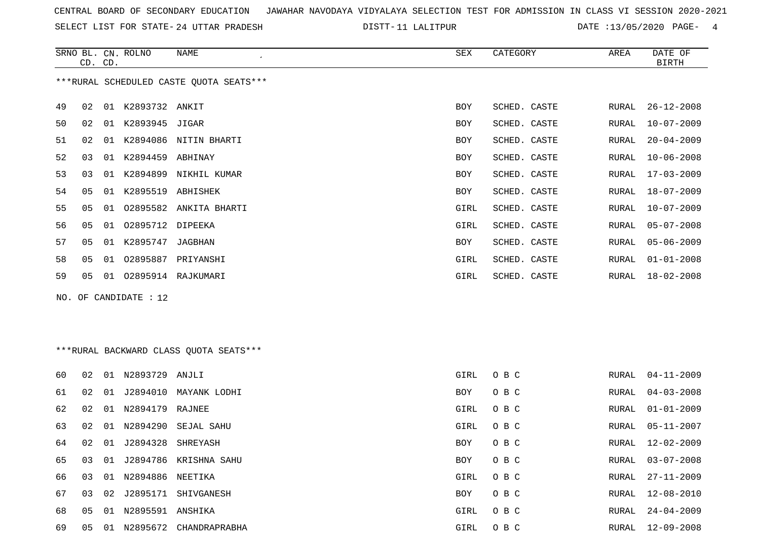SELECT LIST FOR STATE- DISTT- 24 UTTAR PRADESH

DISTT-11 LALITPUR DATE :13/05/2020 PAGE- 4

|    |                                         | CD. CD. | SRNO BL. CN. ROLNO      | NAME                     | SEX        | CATEGORY     | AREA  | DATE OF<br>BIRTH |  |  |  |  |
|----|-----------------------------------------|---------|-------------------------|--------------------------|------------|--------------|-------|------------------|--|--|--|--|
|    | ***RURAL SCHEDULED CASTE QUOTA SEATS*** |         |                         |                          |            |              |       |                  |  |  |  |  |
| 49 | 02                                      |         | 01 K2893732 ANKIT       |                          | <b>BOY</b> | SCHED. CASTE | RURAL | $26 - 12 - 2008$ |  |  |  |  |
| 50 | 02                                      |         | 01 K2893945 JIGAR       |                          | <b>BOY</b> | SCHED. CASTE | RURAL | $10 - 07 - 2009$ |  |  |  |  |
| 51 | 02                                      |         |                         | 01 K2894086 NITIN BHARTI | <b>BOY</b> | SCHED. CASTE | RURAL | $20 - 04 - 2009$ |  |  |  |  |
| 52 | 03                                      |         | 01 K2894459 ABHINAY     |                          | BOY        | SCHED. CASTE | RURAL | $10 - 06 - 2008$ |  |  |  |  |
| 53 | 03                                      |         |                         | 01 K2894899 NIKHIL KUMAR | BOY        | SCHED. CASTE | RURAL | $17 - 03 - 2009$ |  |  |  |  |
| 54 | 05                                      |         | 01 K2895519             | ABHISHEK                 | <b>BOY</b> | SCHED. CASTE | RURAL | $18 - 07 - 2009$ |  |  |  |  |
| 55 | 05                                      | 01      |                         | 02895582 ANKITA BHARTI   | GIRL       | SCHED. CASTE | RURAL | $10 - 07 - 2009$ |  |  |  |  |
| 56 | 05                                      | 01      | 02895712                | DIPEEKA                  | GIRL       | SCHED. CASTE | RURAL | $05 - 07 - 2008$ |  |  |  |  |
| 57 | 05                                      |         | 01 K2895747             | JAGBHAN                  | <b>BOY</b> | SCHED. CASTE | RURAL | $05 - 06 - 2009$ |  |  |  |  |
| 58 | 05                                      | 01      | 02895887                | PRIYANSHI                | GIRL       | SCHED. CASTE | RURAL | $01 - 01 - 2008$ |  |  |  |  |
| 59 | 05                                      |         |                         | 01  02895914  RAJKUMARI  | GIRL       | SCHED. CASTE | RURAL | $18 - 02 - 2008$ |  |  |  |  |
|    |                                         |         | NO. OF CANDIDATE : $12$ |                          |            |              |       |                  |  |  |  |  |

## \*\*\*RURAL BACKWARD CLASS QUOTA SEATS\*\*\*

| 60 | 02 | 01  | N2893729            | ANJLI                 | GIRL       | O B C | RURAL | 04-11-2009       |
|----|----|-----|---------------------|-----------------------|------------|-------|-------|------------------|
| 61 | 02 | 01  | J2894010            | MAYANK LODHI          | BOY        | O B C | RURAL | 04-03-2008       |
| 62 | 02 | 01  | N2894179 RAJNEE     |                       | GIRL       | O B C |       | RURAL 01-01-2009 |
| 63 | 02 | 01  | N2894290            | SEJAL SAHU            | GIRL       | O B C |       | RURAL 05-11-2007 |
| 64 | 02 | 01  | J2894328            | SHREYASH              | BOY        | O B C | RURAL | 12-02-2009       |
| 65 | 03 | 01  |                     | J2894786 KRISHNA SAHU | <b>BOY</b> | O B C | RURAL | 03-07-2008       |
| 66 | 03 |     | 01 N2894886         | NEETIKA               | GIRL       | O B C | RURAL | $27 - 11 - 2009$ |
| 67 | 03 | 02  | J2895171            | SHIVGANESH            | <b>BOY</b> | O B C | RURAL | $12 - 08 - 2010$ |
| 68 | 05 |     | 01 N2895591 ANSHIKA |                       | GIRL       | O B C | RURAL | 24-04-2009       |
| 69 | 05 | -01 | N2895672            | CHANDRAPRABHA         | GIRL       | O B C | RURAL | $12 - 09 - 2008$ |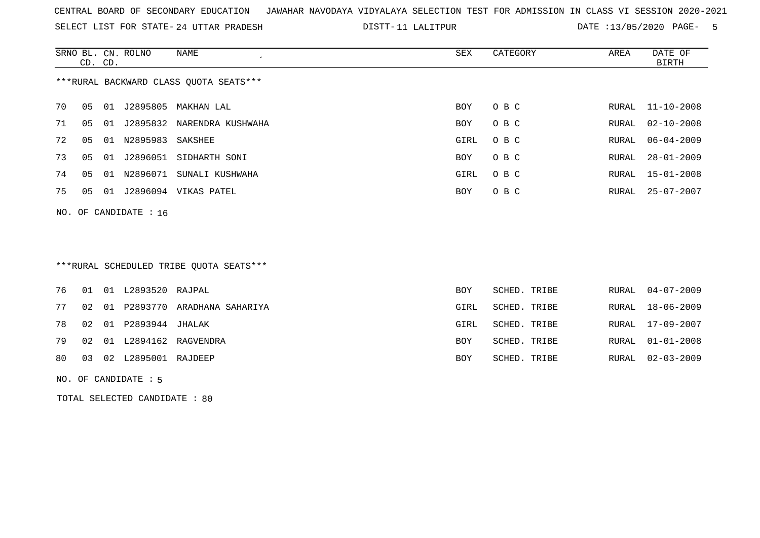SELECT LIST FOR STATE- DISTT- 24 UTTAR PRADESH

DISTT-11 LALITPUR DATE :13/05/2020 PAGE- 5

|    | CD. CD.                 |    | SRNO BL. CN. ROLNO | NAME                                   | SEX  | CATEGORY | AREA  | DATE OF<br>BIRTH |  |  |  |
|----|-------------------------|----|--------------------|----------------------------------------|------|----------|-------|------------------|--|--|--|
|    |                         |    |                    | ***RURAL BACKWARD CLASS OUOTA SEATS*** |      |          |       |                  |  |  |  |
| 70 | 05                      | 01 |                    | J2895805 MAKHAN LAL                    | BOY  | O B C    |       | RURAL 11-10-2008 |  |  |  |
| 71 | 05                      | 01 |                    | J2895832 NARENDRA KUSHWAHA             | BOY  | O B C    | RURAL | 02-10-2008       |  |  |  |
| 72 | 05                      | 01 | N2895983           | SAKSHEE                                | GIRL | O B C    | RURAL | 06-04-2009       |  |  |  |
| 73 | 05                      | 01 | J2896051           | SIDHARTH SONI                          | BOY  | O B C    | RURAL | $28 - 01 - 2009$ |  |  |  |
| 74 | 05                      | 01 | N2896071           | SUNALI KUSHWAHA                        | GIRL | O B C    | RURAL | 15-01-2008       |  |  |  |
| 75 | 05                      | 01 |                    | J2896094 VIKAS PATEL                   | BOY  | O B C    |       | RURAL 25-07-2007 |  |  |  |
|    | NO. OF CANDIDATE : $16$ |    |                    |                                        |      |          |       |                  |  |  |  |

# \*\*\*RURAL SCHEDULED TRIBE QUOTA SEATS\*\*\*

|  | 76 01 01 L2893520 RAJPAL  |                                     | <b>BOY</b> | SCHED. TRIBE |  | RURAL 04-07-2009 |
|--|---------------------------|-------------------------------------|------------|--------------|--|------------------|
|  |                           | 77 02 01 P2893770 ARADHANA SAHARIYA | GIRL       | SCHED. TRIBE |  | RURAL 18-06-2009 |
|  | 78 02 01 P2893944 JHALAK  |                                     | GIRL       | SCHED. TRIBE |  | RURAL 17-09-2007 |
|  |                           | 79 02 01 L2894162 RAGVENDRA         | BOY        | SCHED. TRIBE |  | RURAL 01-01-2008 |
|  | 80 03 02 L2895001 RAJDEEP |                                     | BOY        | SCHED. TRIBE |  | RURAL 02-03-2009 |
|  |                           |                                     |            |              |  |                  |

#### NO. OF CANDIDATE : 5

TOTAL SELECTED CANDIDATE : 80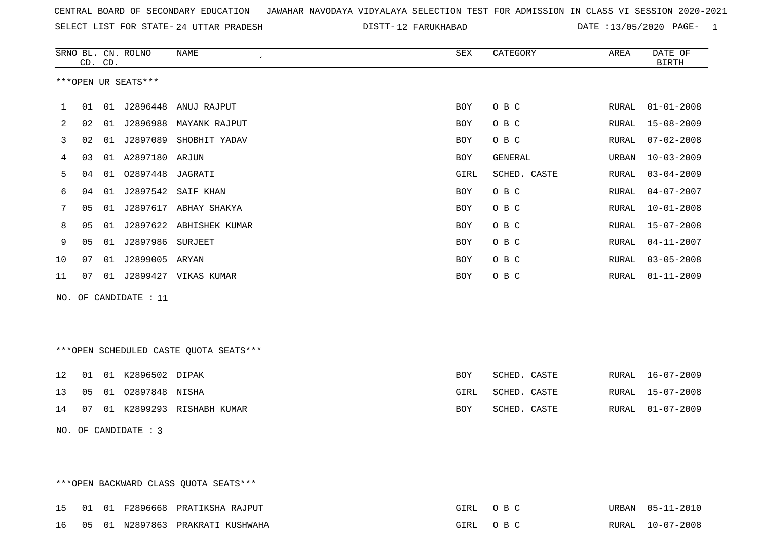SELECT LIST FOR STATE- DISTT- 24 UTTAR PRADESH

DISTT-12 FARUKHABAD DATE :13/05/2020 PAGE- 1

|    |    | CD. CD. | SRNO BL. CN. ROLNO    | <b>NAME</b>                            | SEX        | CATEGORY     | AREA          | DATE OF<br><b>BIRTH</b> |
|----|----|---------|-----------------------|----------------------------------------|------------|--------------|---------------|-------------------------|
|    |    |         | ***OPEN UR SEATS***   |                                        |            |              |               |                         |
| 1  | 01 |         | 01 J2896448           | ANUJ RAJPUT                            | BOY        | O B C        | RURAL         | $01 - 01 - 2008$        |
| 2  | 02 | 01      | J2896988              | MAYANK RAJPUT                          | BOY        | O B C        | RURAL         | $15 - 08 - 2009$        |
| 3  | 02 |         |                       | 01 J2897089 SHOBHIT YADAV              | BOY        | O B C        | RURAL         | $07 - 02 - 2008$        |
| 4  | 03 |         | 01 A2897180 ARJUN     |                                        | BOY        | GENERAL      | URBAN         | $10 - 03 - 2009$        |
| 5  | 04 |         | 01  02897448  JAGRATI |                                        | GIRL       | SCHED. CASTE | RURAL         | $03 - 04 - 2009$        |
| 6  | 04 | 01      | J2897542              | SAIF KHAN                              | BOY        | O B C        | RURAL         | $04 - 07 - 2007$        |
| 7  | 05 | 01      |                       | J2897617 ABHAY SHAKYA                  | BOY        | O B C        | RURAL         | $10 - 01 - 2008$        |
| 8  | 05 | 01      |                       | J2897622 ABHISHEK KUMAR                | <b>BOY</b> | O B C        | RURAL         | $15 - 07 - 2008$        |
| 9  | 05 | 01      | J2897986 SURJEET      |                                        | BOY        | O B C        | <b>RURAL</b>  | $04 - 11 - 2007$        |
| 10 | 07 | 01      | J2899005 ARYAN        |                                        | BOY        | O B C        | RURAL         | $03 - 05 - 2008$        |
| 11 | 07 |         |                       | 01 J2899427 VIKAS KUMAR                | <b>BOY</b> | O B C        | <b>RURAL</b>  | $01 - 11 - 2009$        |
|    |    |         | NO. OF CANDIDATE : 11 |                                        |            |              |               |                         |
|    |    |         |                       |                                        |            |              |               |                         |
|    |    |         |                       |                                        |            |              |               |                         |
|    |    |         |                       | ***OPEN SCHEDULED CASTE QUOTA SEATS*** |            |              |               |                         |
| 12 | 01 |         | 01 K2896502 DIPAK     |                                        | <b>BOY</b> | SCHED. CASTE | RURAL         | $16 - 07 - 2009$        |
| 13 | 05 |         | 01 02897848 NISHA     |                                        | GIRL       | SCHED. CASTE | RURAL         | $15 - 07 - 2008$        |
| 14 | 07 |         |                       | 01 K2899293 RISHABH KUMAR              | BOY        | SCHED. CASTE | ${\tt RURAL}$ | $01 - 07 - 2009$        |
|    |    |         | NO. OF CANDIDATE : 3  |                                        |            |              |               |                         |

\*\*\*OPEN BACKWARD CLASS QUOTA SEATS\*\*\*

|  |  | 15 01 01 F2896668 PRATIKSHA RAJPUT  | GIRL OBC | URBAN 05-11-2010 |
|--|--|-------------------------------------|----------|------------------|
|  |  | 16 05 01 N2897863 PRAKRATI KUSHWAHA | GIRL OBC | RURAL 10-07-2008 |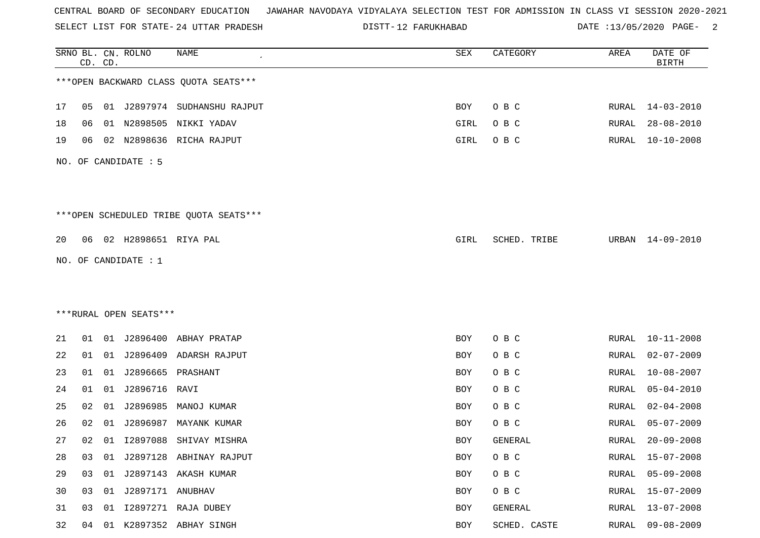SELECT LIST FOR STATE- DISTT- 24 UTTAR PRADESH

DISTT-12 FARUKHABAD DATE :13/05/2020 PAGE- 2

|    |    | CD. CD. | SRNO BL. CN. ROLNO      | <b>NAME</b>                            | SEX  | CATEGORY     | AREA  | DATE OF<br><b>BIRTH</b> |
|----|----|---------|-------------------------|----------------------------------------|------|--------------|-------|-------------------------|
|    |    |         |                         | *** OPEN BACKWARD CLASS QUOTA SEATS*** |      |              |       |                         |
| 17 | 05 |         |                         | 01 J2897974 SUDHANSHU RAJPUT           | BOY  | O B C        | RURAL | 14-03-2010              |
| 18 | 06 |         |                         | 01 N2898505 NIKKI YADAV                | GIRL | O B C        | RURAL | $28 - 08 - 2010$        |
| 19 | 06 |         |                         | 02 N2898636 RICHA RAJPUT               | GIRL | O B C        | RURAL | $10 - 10 - 2008$        |
|    |    |         | NO. OF CANDIDATE : 5    |                                        |      |              |       |                         |
|    |    |         |                         | ***OPEN SCHEDULED TRIBE QUOTA SEATS*** |      |              |       |                         |
| 20 |    |         | 06 02 H2898651 RIYA PAL |                                        | GIRL | SCHED. TRIBE |       | URBAN 14-09-2010        |
|    |    |         | NO. OF CANDIDATE : 1    |                                        |      |              |       |                         |
|    |    |         |                         |                                        |      |              |       |                         |
|    |    |         |                         |                                        |      |              |       |                         |
|    |    |         | ***RURAL OPEN SEATS***  |                                        |      |              |       |                         |
| 21 | 01 |         |                         | 01 J2896400 ABHAY PRATAP               | BOY  | O B C        | RURAL | $10 - 11 - 2008$        |
| 22 | 01 |         |                         | 01 J2896409 ADARSH RAJPUT              | BOY  | O B C        | RURAL | $02 - 07 - 2009$        |
| 23 | 01 |         | 01 J2896665 PRASHANT    |                                        | BOY  | O B C        | RURAL | $10 - 08 - 2007$        |
| 24 | 01 |         | 01 J2896716             | RAVI                                   | BOY  | O B C        | RURAL | $05 - 04 - 2010$        |
| 25 | 02 |         |                         | 01 J2896985 MANOJ KUMAR                | BOY  | O B C        | RURAL | $02 - 04 - 2008$        |
| 26 | 02 | 01      | J2896987                | MAYANK KUMAR                           | BOY  | O B C        | RURAL | $05 - 07 - 2009$        |
| 27 | 02 |         |                         | 01 I2897088 SHIVAY MISHRA              | BOY  | GENERAL      | RURAL | $20 - 09 - 2008$        |
| 28 | 03 |         |                         | 01 J2897128 ABHINAY RAJPUT             | BOY  | O B C        | RURAL | $15 - 07 - 2008$        |
| 29 | 03 |         |                         | 01 J2897143 AKASH KUMAR                | BOY  | O B C        | RURAL | $05 - 09 - 2008$        |
| 30 | 03 |         | 01 J2897171 ANUBHAV     |                                        | BOY  | O B C        | RURAL | $15 - 07 - 2009$        |
| 31 | 03 | 01      |                         | 12897271 RAJA DUBEY                    | BOY  | GENERAL      | RURAL | $13 - 07 - 2008$        |
| 32 |    |         |                         | 04 01 K2897352 ABHAY SINGH             | BOY  | SCHED. CASTE | RURAL | 09-08-2009              |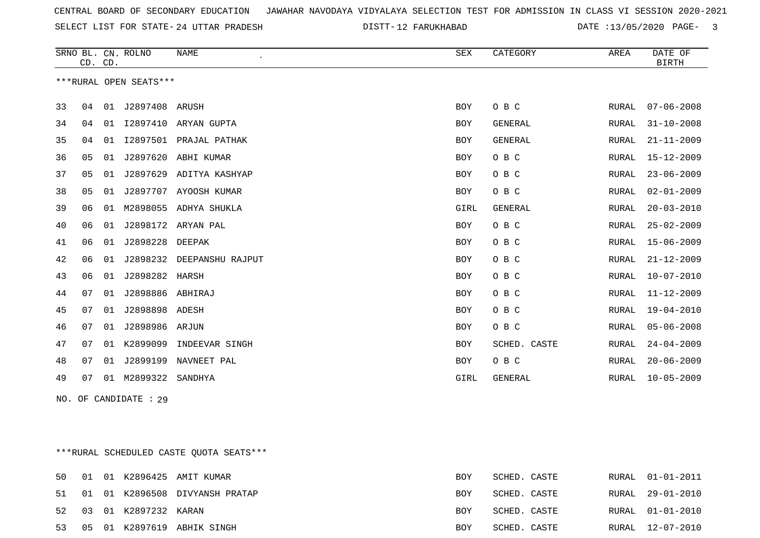SELECT LIST FOR STATE- DISTT- 24 UTTAR PRADESH

DISTT-12 FARUKHABAD DATE :13/05/2020 PAGE- 3

|    | CD. CD. |    | SRNO BL. CN. ROLNO     | <b>NAME</b>           | <b>SEX</b> | CATEGORY       | AREA         | DATE OF<br><b>BIRTH</b> |
|----|---------|----|------------------------|-----------------------|------------|----------------|--------------|-------------------------|
|    |         |    | ***RURAL OPEN SEATS*** |                       |            |                |              |                         |
| 33 | 04      | 01 | J2897408 ARUSH         |                       | <b>BOY</b> | O B C          | RURAL        | $07 - 06 - 2008$        |
| 34 | 04      | 01 | I2897410               | ARYAN GUPTA           | <b>BOY</b> | <b>GENERAL</b> | RURAL        | $31 - 10 - 2008$        |
| 35 | 04      | 01 | I2897501               | PRAJAL PATHAK         | <b>BOY</b> | <b>GENERAL</b> | RURAL        | $21 - 11 - 2009$        |
| 36 | 05      | 01 | J2897620               | ABHI KUMAR            | <b>BOY</b> | O B C          | RURAL        | $15 - 12 - 2009$        |
| 37 | 05      | 01 | J2897629               | ADITYA KASHYAP        | <b>BOY</b> | O B C          | RURAL        | $23 - 06 - 2009$        |
| 38 | 05      | 01 |                        | J2897707 AYOOSH KUMAR | <b>BOY</b> | O B C          | RURAL        | $02 - 01 - 2009$        |
| 39 | 06      | 01 |                        | M2898055 ADHYA SHUKLA | GIRL       | <b>GENERAL</b> | RURAL        | $20 - 03 - 2010$        |
| 40 | 06      | 01 |                        | J2898172 ARYAN PAL    | <b>BOY</b> | O B C          | RURAL        | $25 - 02 - 2009$        |
| 41 | 06      | 01 | J2898228               | DEEPAK                | <b>BOY</b> | O B C          | <b>RURAL</b> | $15 - 06 - 2009$        |
| 42 | 06      | 01 | J2898232               | DEEPANSHU RAJPUT      | <b>BOY</b> | O B C          | RURAL        | $21 - 12 - 2009$        |
| 43 | 06      | 01 | J2898282               | HARSH                 | <b>BOY</b> | O B C          | RURAL        | $10 - 07 - 2010$        |
| 44 | 07      | 01 | J2898886               | ABHIRAJ               | <b>BOY</b> | O B C          | RURAL        | $11 - 12 - 2009$        |
| 45 | 07      | 01 | J2898898 ADESH         |                       | <b>BOY</b> | O B C          | <b>RURAL</b> | $19 - 04 - 2010$        |
| 46 | 07      |    | 01 J2898986 ARJUN      |                       | <b>BOY</b> | O B C          | RURAL        | $05 - 06 - 2008$        |
| 47 | 07      | 01 | K2899099               | INDEEVAR SINGH        | <b>BOY</b> | SCHED. CASTE   | RURAL        | $24 - 04 - 2009$        |
| 48 | 07      | 01 | J2899199               | NAVNEET PAL           | <b>BOY</b> | O B C          | <b>RURAL</b> | $20 - 06 - 2009$        |
| 49 | 07      |    | 01 M2899322            | SANDHYA               | GIRL       | <b>GENERAL</b> | RURAL        | $10 - 05 - 2009$        |

NO. OF CANDIDATE : 29

\*\*\*RURAL SCHEDULED CASTE QUOTA SEATS\*\*\*

| 50 |  |                         | 01 01 K2896425 AMIT KUMAR         | BOY        | SCHED. CASTE | RURAL 01-01-2011 |
|----|--|-------------------------|-----------------------------------|------------|--------------|------------------|
|    |  |                         | 51 01 01 K2896508 DIVYANSH PRATAP | <b>BOY</b> | SCHED. CASTE | RURAL 29-01-2010 |
|    |  | 52 03 01 K2897232 KARAN |                                   | <b>BOY</b> | SCHED. CASTE | RURAL 01-01-2010 |
|    |  |                         | 53 05 01 K2897619 ABHIK SINGH     | BOY        | SCHED. CASTE | RURAL 12-07-2010 |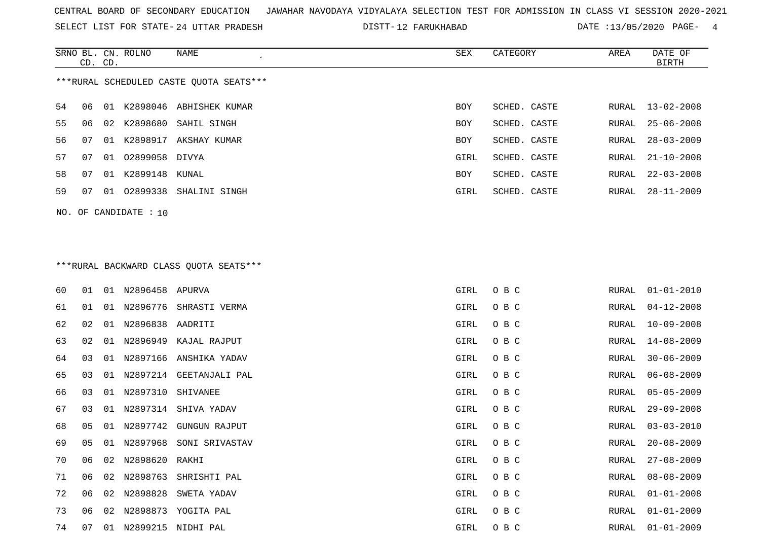SELECT LIST FOR STATE- DISTT- 24 UTTAR PRADESH

DISTT-12 FARUKHABAD DATE :13/05/2020 PAGE- 4

|                                         | CD. CD. |     | SRNO BL. CN. ROLNO | NAME           | SEX        | CATEGORY     | AREA  | DATE OF<br>BIRTH |  |  |
|-----------------------------------------|---------|-----|--------------------|----------------|------------|--------------|-------|------------------|--|--|
| ***RURAL SCHEDULED CASTE OUOTA SEATS*** |         |     |                    |                |            |              |       |                  |  |  |
| 54                                      | 06      | 01  | K2898046           | ABHISHEK KUMAR | <b>BOY</b> | SCHED. CASTE |       | RURAL 13-02-2008 |  |  |
| 55                                      | 06      | 02  | K2898680           | SAHIL SINGH    | <b>BOY</b> | SCHED. CASTE | RURAL | $25 - 06 - 2008$ |  |  |
| 56                                      | 07      | O 1 | K2898917           | AKSHAY KUMAR   | <b>BOY</b> | SCHED. CASTE | RURAL | $28 - 03 - 2009$ |  |  |
| 57                                      | 07      | 01  | 02899058 DIVYA     |                | GIRL       | SCHED. CASTE | RURAL | $21 - 10 - 2008$ |  |  |
| 58                                      | 07      | 01  | K2899148           | KUNAL          | <b>BOY</b> | SCHED. CASTE | RURAL | $22 - 03 - 2008$ |  |  |
| 59                                      | 07      | 01  | 02899338           | SHALINI SINGH  | GIRL       | SCHED. CASTE | RURAL | $28 - 11 - 2009$ |  |  |
|                                         |         |     |                    |                |            |              |       |                  |  |  |

NO. OF CANDIDATE : 10

# \*\*\*RURAL BACKWARD CLASS QUOTA SEATS\*\*\*

| 60 | 01 |    | 01 N2896458 APURVA   |                            | GIRL | O B C | RURAL | $01 - 01 - 2010$ |
|----|----|----|----------------------|----------------------------|------|-------|-------|------------------|
| 61 | 01 | 01 |                      | N2896776 SHRASTI VERMA     | GIRL | O B C | RURAL | $04 - 12 - 2008$ |
| 62 | 02 | 01 | N2896838 AADRITI     |                            | GIRL | O B C | RURAL | $10 - 09 - 2008$ |
| 63 | 02 | 01 |                      | N2896949 KAJAL RAJPUT      | GIRL | O B C | RURAL | 14-08-2009       |
| 64 | 03 | 01 |                      | N2897166 ANSHIKA YADAV     | GIRL | O B C | RURAL | $30 - 06 - 2009$ |
| 65 | 03 |    |                      | 01 N2897214 GEETANJALI PAL | GIRL | O B C | RURAL | $06 - 08 - 2009$ |
| 66 | 03 |    | 01 N2897310 SHIVANEE |                            | GIRL | O B C | RURAL | $05 - 05 - 2009$ |
| 67 | 03 |    |                      | 01 N2897314 SHIVA YADAV    | GIRL | O B C | RURAL | $29 - 09 - 2008$ |
| 68 | 05 | 01 | N2897742             | GUNGUN RAJPUT              | GIRL | O B C | RURAL | $03 - 03 - 2010$ |
| 69 | 05 |    |                      | 01 N2897968 SONI SRIVASTAV | GIRL | O B C | RURAL | $20 - 08 - 2009$ |
| 70 | 06 | 02 | N2898620 RAKHI       |                            | GIRL | O B C | RURAL | $27 - 08 - 2009$ |
| 71 | 06 |    |                      | 02 N2898763 SHRISHTI PAL   | GIRL | O B C | RURAL | $08 - 08 - 2009$ |
| 72 | 06 | 02 | N2898828             | SWETA YADAV                | GIRL | O B C | RURAL | $01 - 01 - 2008$ |
| 73 | 06 | 02 |                      | N2898873 YOGITA PAL        | GIRL | O B C | RURAL | $01 - 01 - 2009$ |
| 74 | 07 | 01 |                      | N2899215 NIDHI PAL         | GIRL | O B C | RURAL | $01 - 01 - 2009$ |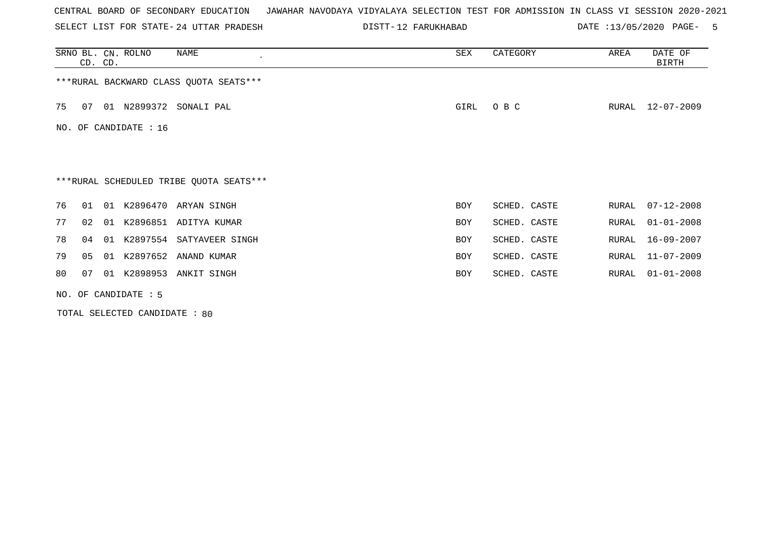SELECT LIST FOR STATE- DISTT- 24 UTTAR PRADESH

DISTT-12 FARUKHABAD DATE :13/05/2020 PAGE- 5

|    | CD. CD.                 |    | SRNO BL. CN. ROLNO   | NAME<br>$\cdot$                         | SEX        | CATEGORY     | AREA  | DATE OF<br><b>BIRTH</b> |  |  |
|----|-------------------------|----|----------------------|-----------------------------------------|------------|--------------|-------|-------------------------|--|--|
|    |                         |    |                      | *** RURAL BACKWARD CLASS QUOTA SEATS*** |            |              |       |                         |  |  |
| 75 | 07                      |    |                      | 01 N2899372 SONALI PAL                  | GIRL       | O B C        | RURAL | 12-07-2009              |  |  |
|    | NO. OF CANDIDATE : $16$ |    |                      |                                         |            |              |       |                         |  |  |
|    |                         |    |                      |                                         |            |              |       |                         |  |  |
|    |                         |    |                      | ***RURAL SCHEDULED TRIBE QUOTA SEATS*** |            |              |       |                         |  |  |
| 76 | 01                      | 01 |                      | K2896470 ARYAN SINGH                    | <b>BOY</b> | SCHED. CASTE | RURAL | $07 - 12 - 2008$        |  |  |
| 77 | 02                      | 01 |                      | K2896851 ADITYA KUMAR                   | <b>BOY</b> | SCHED. CASTE | RURAL | $01 - 01 - 2008$        |  |  |
| 78 | 04                      | 01 |                      | K2897554 SATYAVEER SINGH                | <b>BOY</b> | SCHED. CASTE | RURAL | $16 - 09 - 2007$        |  |  |
| 79 | 05                      | 01 |                      | K2897652 ANAND KUMAR                    | <b>BOY</b> | SCHED. CASTE | RURAL | $11 - 07 - 2009$        |  |  |
| 80 | 07                      | 01 | K2898953             | ANKIT SINGH                             | BOY        | SCHED. CASTE | RURAL | $01 - 01 - 2008$        |  |  |
|    |                         |    | NO. OF CANDIDATE : 5 |                                         |            |              |       |                         |  |  |

TOTAL SELECTED CANDIDATE : 80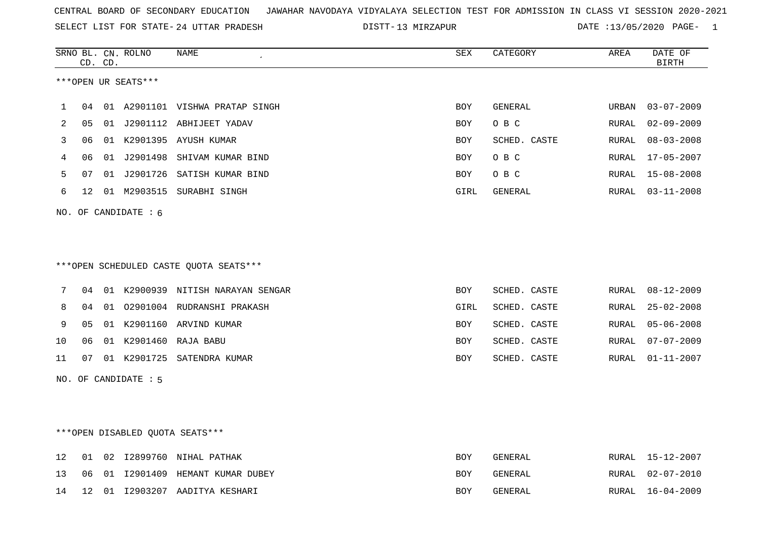SELECT LIST FOR STATE- DISTT- 24 UTTAR PRADESH

13 MIRZAPUR DATE :13/05/2020 PAGE- 1

|    |    | CD. CD. | SRNO BL. CN. ROLNO     | NAME                                   | SEX        | CATEGORY     | AREA         | DATE OF<br>BIRTH |
|----|----|---------|------------------------|----------------------------------------|------------|--------------|--------------|------------------|
|    |    |         | ***OPEN UR SEATS***    |                                        |            |              |              |                  |
|    |    |         |                        |                                        |            |              |              |                  |
| 1  | 04 |         |                        | 01 A2901101 VISHWA PRATAP SINGH        | <b>BOY</b> | GENERAL      | URBAN        | $03 - 07 - 2009$ |
| 2  | 05 |         |                        | 01 J2901112 ABHIJEET YADAV             | BOY        | O B C        | RURAL        | $02 - 09 - 2009$ |
| 3  | 06 |         |                        | 01 K2901395 AYUSH KUMAR                | BOY        | SCHED. CASTE | RURAL        | $08 - 03 - 2008$ |
| 4  | 06 |         |                        | 01 J2901498 SHIVAM KUMAR BIND          | <b>BOY</b> | O B C        | <b>RURAL</b> | $17 - 05 - 2007$ |
| 5  | 07 |         |                        | 01 J2901726 SATISH KUMAR BIND          | <b>BOY</b> | O B C        | <b>RURAL</b> | $15 - 08 - 2008$ |
| 6  | 12 |         |                        | 01 M2903515 SURABHI SINGH              | GIRL       | GENERAL      | RURAL        | $03 - 11 - 2008$ |
|    |    |         | NO. OF CANDIDATE : $6$ |                                        |            |              |              |                  |
|    |    |         |                        |                                        |            |              |              |                  |
|    |    |         |                        |                                        |            |              |              |                  |
|    |    |         |                        | ***OPEN SCHEDULED CASTE QUOTA SEATS*** |            |              |              |                  |
| 7  | 04 |         |                        | 01 K2900939 NITISH NARAYAN SENGAR      | <b>BOY</b> | SCHED. CASTE | RURAL        | $08 - 12 - 2009$ |
| 8  | 04 |         |                        | 01 02901004 RUDRANSHI PRAKASH          | GIRL       | SCHED. CASTE | RURAL        | $25 - 02 - 2008$ |
| 9  | 05 |         |                        | 01 K2901160 ARVIND KUMAR               | BOY        | SCHED. CASTE | RURAL        | $05 - 06 - 2008$ |
| 10 | 06 |         |                        | 01 K2901460 RAJA BABU                  | <b>BOY</b> | SCHED. CASTE | <b>RURAL</b> | $07 - 07 - 2009$ |
| 11 | 07 |         |                        | 01 K2901725 SATENDRA KUMAR             | <b>BOY</b> | SCHED. CASTE | RURAL        | $01 - 11 - 2007$ |
|    |    |         | NO. OF CANDIDATE : 5   |                                        |            |              |              |                  |
|    |    |         |                        |                                        |            |              |              |                  |
|    |    |         |                        |                                        |            |              |              |                  |
|    |    |         |                        | ***OPEN DISABLED QUOTA SEATS***        |            |              |              |                  |
| 12 | 01 |         |                        | 02 12899760 NIHAL PATHAK               | <b>BOY</b> | GENERAL      | RURAL        | $15 - 12 - 2007$ |
| 13 | 06 |         |                        | 01 I2901409 HEMANT KUMAR DUBEY         | BOY        | GENERAL      | RURAL        | $02 - 07 - 2010$ |
| 14 | 12 |         |                        | 01 I2903207 AADITYA KESHARI            | BOY        | GENERAL      | RURAL        | $16 - 04 - 2009$ |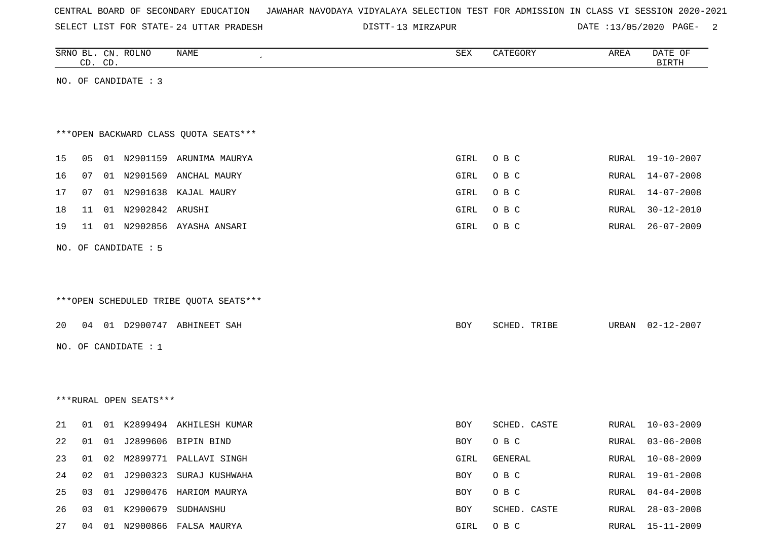| CENTRAL BOARD OF SECONDARY EDUCATION – JAWAHAR NAVODAYA VIDYALAYA SELECTION TEST FOR ADMISSION IN CLASS VI SESSION 2020-2021 |  |  |  |  |
|------------------------------------------------------------------------------------------------------------------------------|--|--|--|--|
|------------------------------------------------------------------------------------------------------------------------------|--|--|--|--|

24 UTTAR PRADESH 13 MIRZAPUR DATE :13/05/2020 PAGE- 2

|    |    | CD. CD. | SRNO BL. CN. ROLNO     | <b>NAME</b>                            | SEX  | CATEGORY     | AREA  | DATE OF<br><b>BIRTH</b> |
|----|----|---------|------------------------|----------------------------------------|------|--------------|-------|-------------------------|
|    |    |         | NO. OF CANDIDATE : 3   |                                        |      |              |       |                         |
|    |    |         |                        |                                        |      |              |       |                         |
|    |    |         |                        |                                        |      |              |       |                         |
|    |    |         |                        | *** OPEN BACKWARD CLASS QUOTA SEATS*** |      |              |       |                         |
| 15 | 05 |         |                        | 01 N2901159 ARUNIMA MAURYA             | GIRL | O B C        | RURAL | 19-10-2007              |
| 16 | 07 |         | 01 N2901569            | ANCHAL MAURY                           | GIRL | O B C        | RURAL | $14 - 07 - 2008$        |
| 17 | 07 |         |                        | 01 N2901638 KAJAL MAURY                | GIRL | O B C        | RURAL | $14 - 07 - 2008$        |
| 18 | 11 |         | 01 N2902842 ARUSHI     |                                        | GIRL | O B C        | RURAL | $30 - 12 - 2010$        |
| 19 | 11 |         |                        | 01 N2902856 AYASHA ANSARI              | GIRL | O B C        | RURAL | $26 - 07 - 2009$        |
|    |    |         |                        |                                        |      |              |       |                         |
|    |    |         | NO. OF CANDIDATE : 5   |                                        |      |              |       |                         |
|    |    |         |                        |                                        |      |              |       |                         |
|    |    |         |                        | ***OPEN SCHEDULED TRIBE QUOTA SEATS*** |      |              |       |                         |
|    |    |         |                        |                                        |      |              |       |                         |
| 20 |    |         |                        | 04 01 D2900747 ABHINEET SAH            | BOY  | SCHED. TRIBE | URBAN | $02 - 12 - 2007$        |
|    |    |         | NO. OF CANDIDATE : 1   |                                        |      |              |       |                         |
|    |    |         |                        |                                        |      |              |       |                         |
|    |    |         |                        |                                        |      |              |       |                         |
|    |    |         | ***RURAL OPEN SEATS*** |                                        |      |              |       |                         |
|    |    |         |                        |                                        |      |              |       |                         |
| 21 | 01 |         |                        | 01 K2899494 AKHILESH KUMAR             | BOY  | SCHED. CASTE | RURAL | $10 - 03 - 2009$        |
| 22 | 01 |         |                        | 01 J2899606 BIPIN BIND                 | BOY  | O B C        | RURAL | $03 - 06 - 2008$        |
| 23 | 01 |         |                        | 02 M2899771 PALLAVI SINGH              | GIRL | GENERAL      | RURAL | $10 - 08 - 2009$        |
| 24 | 02 | 01      |                        | J2900323 SURAJ KUSHWAHA                | BOY  | O B C        | RURAL | $19 - 01 - 2008$        |
| 25 | 03 |         |                        | 01 J2900476 HARIOM MAURYA              | BOY  | O B C        | RURAL | $04 - 04 - 2008$        |
| 26 | 03 |         |                        | 01 K2900679 SUDHANSHU                  | BOY  | SCHED. CASTE | RURAL | $28 - 03 - 2008$        |
| 27 |    |         |                        | 04 01 N2900866 FALSA MAURYA            | GIRL | O B C        |       | RURAL 15-11-2009        |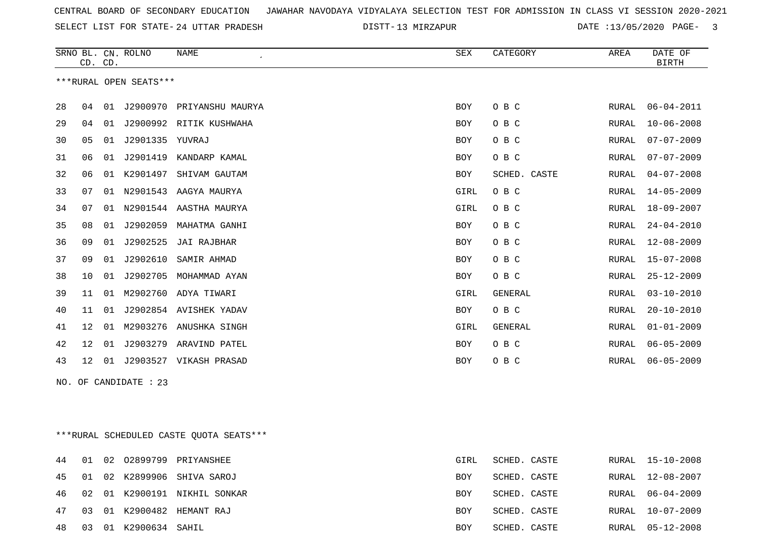SELECT LIST FOR STATE- DISTT- 24 UTTAR PRADESH

DISTT-13 MIRZAPUR **13/05/2020 PAGE-** 3

|    | CD. CD.         |    | SRNO BL. CN. ROLNO     | <b>NAME</b>                             | <b>SEX</b> | CATEGORY       | AREA         | DATE OF<br><b>BIRTH</b> |
|----|-----------------|----|------------------------|-----------------------------------------|------------|----------------|--------------|-------------------------|
|    |                 |    | ***RURAL OPEN SEATS*** |                                         |            |                |              |                         |
| 28 | 04              | 01 |                        | J2900970 PRIYANSHU MAURYA               | <b>BOY</b> | O B C          | RURAL        | $06 - 04 - 2011$        |
| 29 | 04              | 01 |                        | J2900992 RITIK KUSHWAHA                 | BOY        | O B C          | RURAL        | $10 - 06 - 2008$        |
| 30 | 05              | 01 | J2901335 YUVRAJ        |                                         | BOY        | O B C          | RURAL        | $07 - 07 - 2009$        |
| 31 | 06              | 01 |                        | J2901419 KANDARP KAMAL                  | <b>BOY</b> | O B C          | <b>RURAL</b> | $07 - 07 - 2009$        |
| 32 | 06              |    | 01 K2901497            | SHIVAM GAUTAM                           | BOY        | SCHED. CASTE   | RURAL        | $04 - 07 - 2008$        |
| 33 | 07              |    |                        | 01 N2901543 AAGYA MAURYA                | GIRL       | O B C          | RURAL        | $14 - 05 - 2009$        |
| 34 | 07              | 01 |                        | N2901544 AASTHA MAURYA                  | GIRL       | O B C          | RURAL        | 18-09-2007              |
| 35 | 08              | 01 |                        | J2902059 MAHATMA GANHI                  | BOY        | O B C          | RURAL        | $24 - 04 - 2010$        |
| 36 | 09              | 01 | J2902525               | JAI RAJBHAR                             | <b>BOY</b> | O B C          | RURAL        | $12 - 08 - 2009$        |
| 37 | 09              | 01 | J2902610               | SAMIR AHMAD                             | BOY        | O B C          | RURAL        | $15 - 07 - 2008$        |
| 38 | 10              | 01 | J2902705               | MOHAMMAD AYAN                           | BOY        | O B C          | <b>RURAL</b> | $25 - 12 - 2009$        |
| 39 | 11              |    |                        | 01 M2902760 ADYA TIWARI                 | GIRL       | GENERAL        | RURAL        | $03 - 10 - 2010$        |
| 40 | 11              | 01 |                        | J2902854 AVISHEK YADAV                  | BOY        | O B C          | RURAL        | $20 - 10 - 2010$        |
| 41 | 12 <sup>°</sup> |    |                        | 01 M2903276 ANUSHKA SINGH               | GIRL       | <b>GENERAL</b> | RURAL        | $01 - 01 - 2009$        |
| 42 | 12              | 01 |                        | J2903279 ARAVIND PATEL                  | BOY        | O B C          | RURAL        | $06 - 05 - 2009$        |
| 43 | 12              |    |                        | 01 J2903527 VIKASH PRASAD               | BOY        | O B C          | RURAL        | $06 - 05 - 2009$        |
|    |                 |    | NO. OF CANDIDATE : 23  |                                         |            |                |              |                         |
|    |                 |    |                        |                                         |            |                |              |                         |
|    |                 |    |                        |                                         |            |                |              |                         |
|    |                 |    |                        | ***RURAL SCHEDULED CASTE QUOTA SEATS*** |            |                |              |                         |
| 44 | 01              | 02 |                        | 02899799 PRIYANSHEE                     | GIRL       | SCHED. CASTE   | RURAL        | $15 - 10 - 2008$        |
| 45 | 01              |    | 02 K2899906            | SHIVA SAROJ                             | BOY        | SCHED. CASTE   | RURAL        | $12 - 08 - 2007$        |

 02 01 K2900191 NIKHIL SONKAR BOY SCHED. CASTE RURAL 06-04-2009 03 01 K2900482 HEMANT RAJ BOY SCHED. CASTE RURAL 10-07-2009 03 01 K2900634 SAHIL BOY SCHED. CASTE RURAL 05-12-2008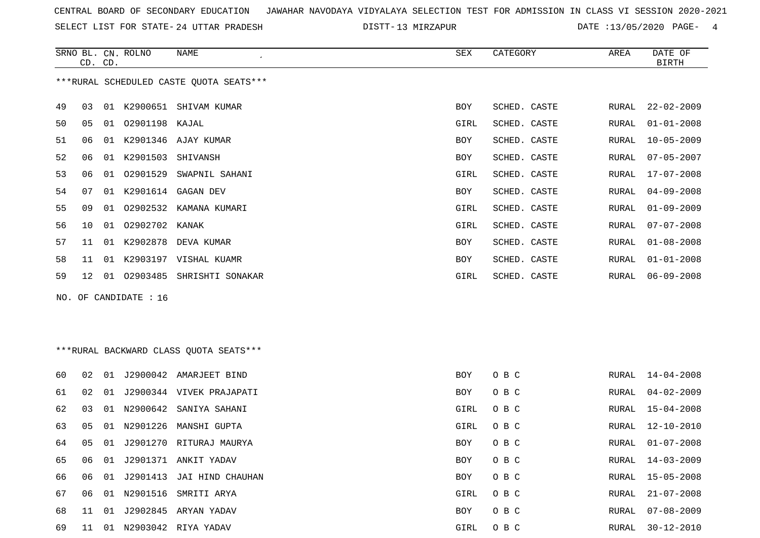SELECT LIST FOR STATE- DISTT- 24 UTTAR PRADESH

DISTT-13 MIRZAPUR 13 MORTE :13/05/2020 PAGE- 4

|    | CD. CD. |    | SRNO BL. CN. ROLNO    | NAME<br>$\cdot$                         | SEX        | CATEGORY     | AREA  | DATE OF<br><b>BIRTH</b> |
|----|---------|----|-----------------------|-----------------------------------------|------------|--------------|-------|-------------------------|
|    |         |    |                       | ***RURAL SCHEDULED CASTE QUOTA SEATS*** |            |              |       |                         |
| 49 | 03      |    |                       | 01 K2900651 SHIVAM KUMAR                | <b>BOY</b> | SCHED. CASTE | RURAL | $22 - 02 - 2009$        |
| 50 | 05      |    | 01 02901198 KAJAL     |                                         | GIRL       | SCHED. CASTE | RURAL | $01 - 01 - 2008$        |
| 51 | 06      |    |                       | 01 K2901346 AJAY KUMAR                  | <b>BOY</b> | SCHED. CASTE | RURAL | $10 - 05 - 2009$        |
| 52 | 06      |    | 01 K2901503 SHIVANSH  |                                         | <b>BOY</b> | SCHED. CASTE | RURAL | $07 - 05 - 2007$        |
| 53 | 06      |    |                       | 01 02901529 SWAPNIL SAHANI              | GIRL       | SCHED. CASTE | RURAL | $17 - 07 - 2008$        |
| 54 | 07      |    |                       | 01 K2901614 GAGAN DEV                   | <b>BOY</b> | SCHED. CASTE | RURAL | $04 - 09 - 2008$        |
| 55 | 09      | 01 |                       | 02902532 KAMANA KUMARI                  | GIRL       | SCHED. CASTE | RURAL | $01 - 09 - 2009$        |
| 56 | 10      |    | 01 02902702 KANAK     |                                         | GIRL       | SCHED. CASTE | RURAL | $07 - 07 - 2008$        |
| 57 | 11      |    |                       | 01 K2902878 DEVA KUMAR                  | <b>BOY</b> | SCHED. CASTE | RURAL | $01 - 08 - 2008$        |
| 58 | 11      |    |                       | 01 K2903197 VISHAL KUAMR                | <b>BOY</b> | SCHED. CASTE | RURAL | $01 - 01 - 2008$        |
| 59 | 12      |    |                       | 01 02903485 SHRISHTI SONAKAR            | GIRL       | SCHED. CASTE | RURAL | $06 - 09 - 2008$        |
|    |         |    | NO. OF CANDIDATE : 16 |                                         |            |              |       |                         |
|    |         |    |                       |                                         |            |              |       |                         |
|    |         |    |                       |                                         |            |              |       |                         |
|    |         |    |                       | ***RURAL BACKWARD CLASS QUOTA SEATS***  |            |              |       |                         |
| 60 | 02      |    |                       | 01 J2900042 AMARJEET BIND               | BOY        | O B C        | RURAL | $14 - 04 - 2008$        |
| 61 | 02      |    |                       | 01 J2900344 VIVEK PRAJAPATI             | <b>BOY</b> | O B C        | RURAL | $04 - 02 - 2009$        |
| 62 | 03      |    |                       | 01 N2900642 SANIYA SAHANI               | GIRL       | O B C        | RURAL | $15 - 04 - 2008$        |
| 63 | 05      |    |                       | 01 N2901226 MANSHI GUPTA                | GIRL       | O B C        | RURAL | $12 - 10 - 2010$        |
| 64 | 05      | 01 |                       | J2901270 RITURAJ MAURYA                 | BOY        | O B C        | RURAL | $01 - 07 - 2008$        |
| 65 | 06      | 01 |                       | J2901371 ANKIT YADAV                    | BOY        | O B C        | RURAL | $14 - 03 - 2009$        |
| 66 | 06      | 01 |                       | J2901413 JAI HIND CHAUHAN               | <b>BOY</b> | O B C        | RURAL | $15 - 05 - 2008$        |
| 67 | 06      |    |                       | 01 N2901516 SMRITI ARYA                 | GIRL       | O B C        | RURAL | $21 - 07 - 2008$        |

 11 01 J2902845 ARYAN YADAV BOY O B C RURAL 07-08-2009 11 01 N2903042 RIYA YADAV GIRL O B C RURAL 30-12-2010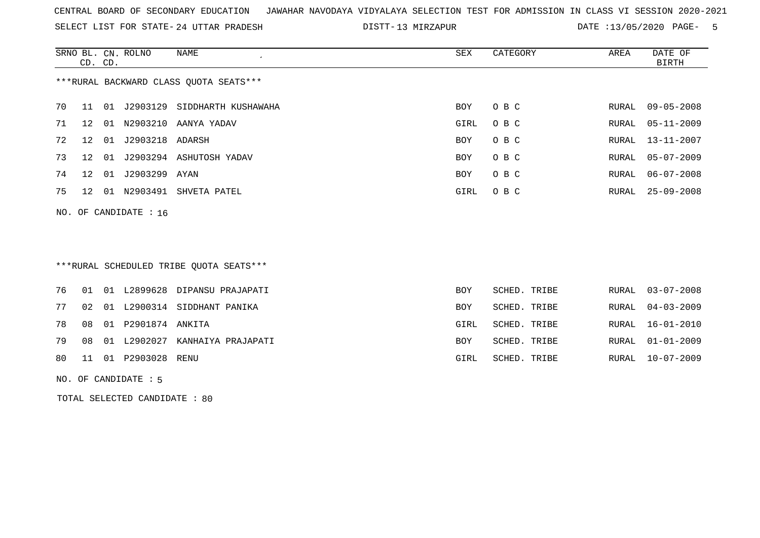SELECT LIST FOR STATE- DISTT- 24 UTTAR PRADESH

DISTT-13 MIRZAPUR **DATE** :13/05/2020 PAGE- 5

|                                        | CD. CD.         |    | SRNO BL. CN. ROLNO    | NAME<br>$\cdot$              | SEX  | CATEGORY | AREA  | DATE OF<br>BIRTH |  |  |
|----------------------------------------|-----------------|----|-----------------------|------------------------------|------|----------|-------|------------------|--|--|
| ***RURAL BACKWARD CLASS QUOTA SEATS*** |                 |    |                       |                              |      |          |       |                  |  |  |
| 70                                     | 11              | 01 |                       | J2903129 SIDDHARTH KUSHAWAHA | BOY  | O B C    | RURAL | $09 - 05 - 2008$ |  |  |
| 71                                     | 12              | 01 |                       | N2903210 AANYA YADAV         | GIRL | O B C    | RURAL | 05-11-2009       |  |  |
| 72                                     | 12              | 01 | J2903218 ADARSH       |                              | BOY  | O B C    |       | RURAL 13-11-2007 |  |  |
| 73                                     | 12              | 01 |                       | J2903294 ASHUTOSH YADAV      | BOY  | O B C    |       | RURAL 05-07-2009 |  |  |
| 74                                     | 12 <sup>°</sup> | 01 | J2903299 AYAN         |                              | BOY  | O B C    | RURAL | $06 - 07 - 2008$ |  |  |
| 75                                     | 12              | 01 | N2903491              | SHVETA PATEL                 | GIRL | O B C    | RURAL | $25 - 09 - 2008$ |  |  |
|                                        |                 |    | NO. OF CANDIDATE : 16 |                              |      |          |       |                  |  |  |

### \*\*\*RURAL SCHEDULED TRIBE QUOTA SEATS\*\*\*

|  |                          | 76 01 01 L2899628 DIPANSU PRAJAPATI  | BOY        | SCHED. TRIBE |  | RURAL 03-07-2008 |
|--|--------------------------|--------------------------------------|------------|--------------|--|------------------|
|  |                          | 77 02 01 L2900314 SIDDHANT PANIKA    | <b>BOY</b> | SCHED. TRIBE |  | RURAL 04-03-2009 |
|  | 78 08 01 P2901874 ANKITA |                                      | GIRL       | SCHED. TRIBE |  | RURAL 16-01-2010 |
|  |                          | 79 08 01 L2902027 KANHAIYA PRAJAPATI | <b>BOY</b> | SCHED. TRIBE |  | RURAL 01-01-2009 |
|  | 80 11 01 P2903028 RENU   |                                      | GIRL       | SCHED. TRIBE |  | RURAL 10-07-2009 |
|  |                          |                                      |            |              |  |                  |

#### NO. OF CANDIDATE : 5

TOTAL SELECTED CANDIDATE : 80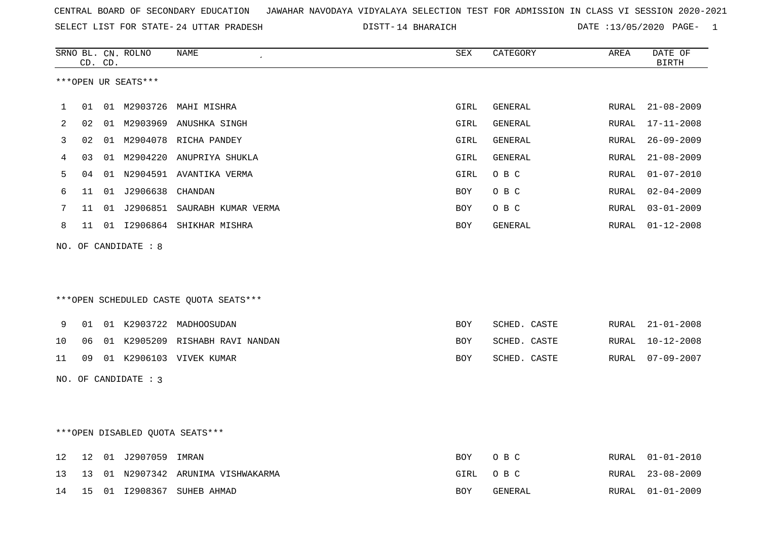|  |  |  |  | CENTRAL BOARD OF SECONDARY EDUCATION GJAWAHAR NAVODAYA VIDYALAYA SELECTION TEST FOR ADMISSION IN CLASS VI SESSION 2020-2021 |  |  |  |  |  |  |  |  |  |  |  |
|--|--|--|--|-----------------------------------------------------------------------------------------------------------------------------|--|--|--|--|--|--|--|--|--|--|--|
|--|--|--|--|-----------------------------------------------------------------------------------------------------------------------------|--|--|--|--|--|--|--|--|--|--|--|

DISTT-14 BHARAICH DATE :13/05/2020 PAGE- 1

|    |    | CD. CD. | SRNO BL. CN. ROLNO   | NAME                                   | SEX  | CATEGORY     | AREA  | DATE OF<br><b>BIRTH</b> |
|----|----|---------|----------------------|----------------------------------------|------|--------------|-------|-------------------------|
|    |    |         | ***OPEN UR SEATS***  |                                        |      |              |       |                         |
| 1  | 01 |         | 01 M2903726          | MAHI MISHRA                            | GIRL | GENERAL      |       | RURAL 21-08-2009        |
| 2  | 02 |         |                      | 01 M2903969 ANUSHKA SINGH              | GIRL | GENERAL      | RURAL | 17-11-2008              |
| 3  | 02 |         |                      | 01 M2904078 RICHA PANDEY               | GIRL | GENERAL      | RURAL | $26 - 09 - 2009$        |
| 4  | 03 |         |                      | 01 M2904220 ANUPRIYA SHUKLA            | GIRL | GENERAL      | RURAL | $21 - 08 - 2009$        |
| 5  | 04 |         |                      | 01 N2904591 AVANTIKA VERMA             | GIRL | O B C        | RURAL | $01 - 07 - 2010$        |
| 6  | 11 |         | 01 J2906638 CHANDAN  |                                        | BOY  | O B C        | RURAL | $02 - 04 - 2009$        |
| 7  |    |         |                      | 11 01 J2906851 SAURABH KUMAR VERMA     | BOY  | O B C        |       | RURAL 03-01-2009        |
| 8  |    |         |                      | 11 01 12906864 SHIKHAR MISHRA          | BOY  | GENERAL      |       | RURAL 01-12-2008        |
|    |    |         | NO. OF CANDIDATE : 8 | ***OPEN SCHEDULED CASTE QUOTA SEATS*** |      |              |       |                         |
| 9  | 01 |         |                      | 01 K2903722 MADHOOSUDAN                | BOY  | SCHED. CASTE |       | RURAL 21-01-2008        |
| 10 | 06 |         |                      | 01 K2905209 RISHABH RAVI NANDAN        | BOY  | SCHED. CASTE | RURAL | 10-12-2008              |
| 11 |    |         |                      | 09 01 K2906103 VIVEK KUMAR             | BOY  | SCHED. CASTE |       | RURAL 07-09-2007        |
|    |    |         | NO. OF CANDIDATE : 3 |                                        |      |              |       |                         |
|    |    |         |                      | ***OPEN DISABLED QUOTA SEATS***        |      |              |       |                         |
| 12 | 12 |         | 01 J2907059 IMRAN    |                                        | BOY  | O B C        |       | RURAL 01-01-2010        |
| 13 | 13 |         |                      | 01 N2907342 ARUNIMA VISHWAKARMA        | GIRL | O B C        | RURAL | $23 - 08 - 2009$        |
| 14 |    |         |                      | 15 01 I2908367 SUHEB AHMAD             | BOY  | GENERAL      | RURAL | $01 - 01 - 2009$        |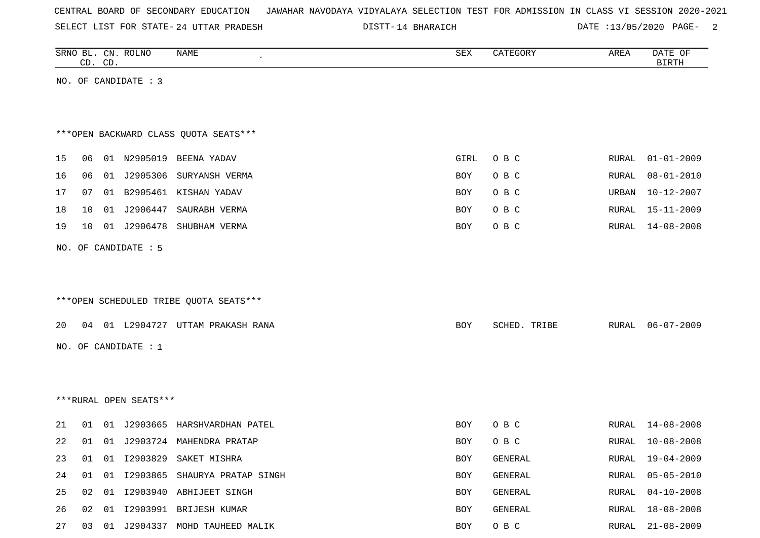| CENTRAL BOARD OF SECONDARY EDUCATION – JAWAHAR NAVODAYA VIDYALAYA SELECTION TEST FOR ADMISSION IN CLASS VI SESSION 2020-2021 |  |  |  |  |
|------------------------------------------------------------------------------------------------------------------------------|--|--|--|--|
|------------------------------------------------------------------------------------------------------------------------------|--|--|--|--|

DISTT-14 BHARAICH DATE :13/05/2020 PAGE- 2

|    | CD. CD. | SRNO BL. CN. ROLNO     | NAME                                    | ${\tt SEX}$ | CATEGORY     | AREA  | DATE OF<br><b>BIRTH</b> |
|----|---------|------------------------|-----------------------------------------|-------------|--------------|-------|-------------------------|
|    |         | NO. OF CANDIDATE : 3   |                                         |             |              |       |                         |
|    |         |                        |                                         |             |              |       |                         |
|    |         |                        |                                         |             |              |       |                         |
|    |         |                        | *** OPEN BACKWARD CLASS QUOTA SEATS***  |             |              |       |                         |
| 15 |         |                        | 06  01  N2905019  BEENA  YADAV          | GIRL        | O B C        | RURAL | $01 - 01 - 2009$        |
| 16 | 06      |                        | 01 J2905306 SURYANSH VERMA              | BOY         | O B C        | RURAL | $08 - 01 - 2010$        |
| 17 | 07      |                        | 01 B2905461 KISHAN YADAV                | <b>BOY</b>  | O B C        | URBAN | $10 - 12 - 2007$        |
| 18 | 10      | 01 J2906447            | SAURABH VERMA                           | BOY         | O B C        | RURAL | $15 - 11 - 2009$        |
| 19 | 10      |                        | 01 J2906478 SHUBHAM VERMA               | BOY         | O B C        | RURAL | 14-08-2008              |
|    |         | NO. OF CANDIDATE : 5   |                                         |             |              |       |                         |
|    |         |                        |                                         |             |              |       |                         |
|    |         |                        |                                         |             |              |       |                         |
|    |         |                        | *** OPEN SCHEDULED TRIBE QUOTA SEATS*** |             |              |       |                         |
| 20 |         |                        | 04 01 L2904727 UTTAM PRAKASH RANA       | BOY         | SCHED. TRIBE | RURAL | 06-07-2009              |
|    |         |                        |                                         |             |              |       |                         |
|    |         | NO. OF CANDIDATE : 1   |                                         |             |              |       |                         |
|    |         |                        |                                         |             |              |       |                         |
|    |         |                        |                                         |             |              |       |                         |
|    |         | ***RURAL OPEN SEATS*** |                                         |             |              |       |                         |
| 21 |         |                        | 01 01 J2903665 HARSHVARDHAN PATEL       | BOY         | O B C        | RURAL | 14-08-2008              |
| 22 | 01      |                        | 01 J2903724 MAHENDRA PRATAP             | <b>BOY</b>  | O B C        | RURAL | $10 - 08 - 2008$        |
| 23 | 01      |                        | 01 12903829 SAKET MISHRA                | BOY         | GENERAL      | RURAL | 19-04-2009              |
| 24 | 01      |                        | 01 I2903865 SHAURYA PRATAP SINGH        | BOY         | GENERAL      | RURAL | $05 - 05 - 2010$        |
| 25 |         |                        | 02 01 12903940 ABHIJEET SINGH           | BOY         | GENERAL      | RURAL | $04 - 10 - 2008$        |
| 26 |         |                        | 02 01 I2903991 BRIJESH KUMAR            | BOY         | GENERAL      | RURAL | $18 - 08 - 2008$        |
| 27 |         |                        | 03 01 J2904337 MOHD TAUHEED MALIK       | BOY         | O B C        | RURAL | $21 - 08 - 2009$        |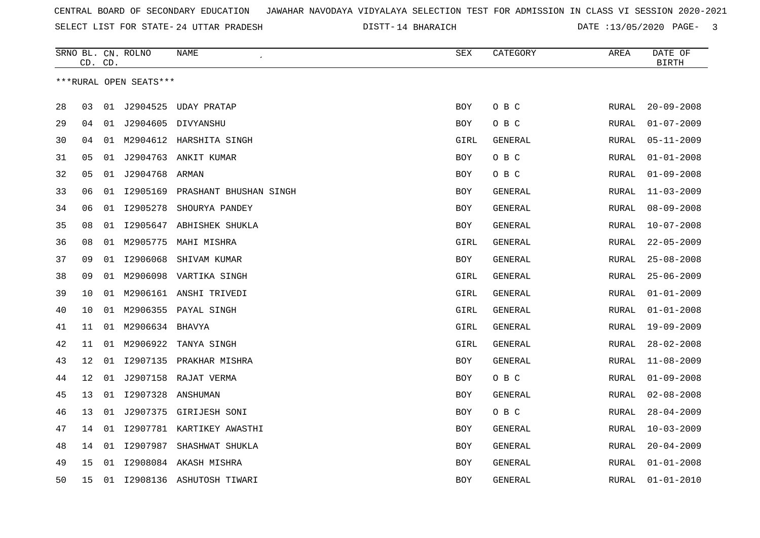14 BHARAICH DATE :13/05/2020 PAGE- 3

|    | CD. CD.         |    | SRNO BL. CN. ROLNO     | NAME                            | SEX        | CATEGORY       | AREA         | DATE OF<br><b>BIRTH</b> |
|----|-----------------|----|------------------------|---------------------------------|------------|----------------|--------------|-------------------------|
|    |                 |    | ***RURAL OPEN SEATS*** |                                 |            |                |              |                         |
|    |                 |    |                        |                                 |            |                |              |                         |
| 28 | 03              |    | 01 J2904525            | UDAY PRATAP                     | <b>BOY</b> | O B C          | RURAL        | $20 - 09 - 2008$        |
| 29 | 04              |    |                        | 01 J2904605 DIVYANSHU           | BOY        | O B C          | RURAL        | $01 - 07 - 2009$        |
| 30 | 04              | 01 |                        | M2904612 HARSHITA SINGH         | GIRL       | GENERAL        | RURAL        | $05 - 11 - 2009$        |
| 31 | 05              |    |                        | 01 J2904763 ANKIT KUMAR         | <b>BOY</b> | O B C          | RURAL        | $01 - 01 - 2008$        |
| 32 | 05              | 01 | J2904768               | ARMAN                           | BOY        | O B C          | RURAL        | $01 - 09 - 2008$        |
| 33 | 06              | 01 |                        | 12905169 PRASHANT BHUSHAN SINGH | <b>BOY</b> | GENERAL        | RURAL        | $11 - 03 - 2009$        |
| 34 | 06              |    | 01 12905278            | SHOURYA PANDEY                  | BOY        | GENERAL        | RURAL        | $08 - 09 - 2008$        |
| 35 | 08              |    | 01 12905647            | ABHISHEK SHUKLA                 | BOY        | <b>GENERAL</b> | RURAL        | $10 - 07 - 2008$        |
| 36 | 08              |    | 01 M2905775            | MAHI MISHRA                     | GIRL       | <b>GENERAL</b> | RURAL        | $22 - 05 - 2009$        |
| 37 | 09              | 01 | I2906068               | SHIVAM KUMAR                    | <b>BOY</b> | GENERAL        | RURAL        | $25 - 08 - 2008$        |
| 38 | 09              | 01 |                        | M2906098 VARTIKA SINGH          | GIRL       | GENERAL        | RURAL        | $25 - 06 - 2009$        |
| 39 | 10              | 01 |                        | M2906161 ANSHI TRIVEDI          | GIRL       | GENERAL        | RURAL        | $01 - 01 - 2009$        |
| 40 | 10              | 01 |                        | M2906355 PAYAL SINGH            | GIRL       | GENERAL        | RURAL        | $01 - 01 - 2008$        |
| 41 | 11              | 01 | M2906634 BHAVYA        |                                 | GIRL       | <b>GENERAL</b> | RURAL        | $19 - 09 - 2009$        |
| 42 | 11              | 01 | M2906922               | TANYA SINGH                     | GIRL       | <b>GENERAL</b> | RURAL        | $28 - 02 - 2008$        |
| 43 | 12              | 01 |                        | 12907135 PRAKHAR MISHRA         | <b>BOY</b> | <b>GENERAL</b> | RURAL        | $11 - 08 - 2009$        |
| 44 | 12 <sup>°</sup> |    |                        | 01 J2907158 RAJAT VERMA         | BOY        | O B C          | RURAL        | $01 - 09 - 2008$        |
| 45 | 13              |    | 01 12907328            | ANSHUMAN                        | <b>BOY</b> | <b>GENERAL</b> | RURAL        | $02 - 08 - 2008$        |
| 46 | 13              | 01 | J2907375               | GIRIJESH SONI                   | BOY        | O B C          | RURAL        | $28 - 04 - 2009$        |
| 47 | 14              | 01 |                        | 12907781 KARTIKEY AWASTHI       | <b>BOY</b> | GENERAL        | RURAL        | $10 - 03 - 2009$        |
| 48 | 14              | 01 | I2907987               | SHASHWAT SHUKLA                 | <b>BOY</b> | <b>GENERAL</b> | RURAL        | $20 - 04 - 2009$        |
| 49 | 15              | 01 |                        | 12908084 AKASH MISHRA           | <b>BOY</b> | <b>GENERAL</b> | RURAL        | $01 - 01 - 2008$        |
| 50 | 15              | 01 |                        | 12908136 ASHUTOSH TIWARI        | <b>BOY</b> | GENERAL        | <b>RURAL</b> | $01 - 01 - 2010$        |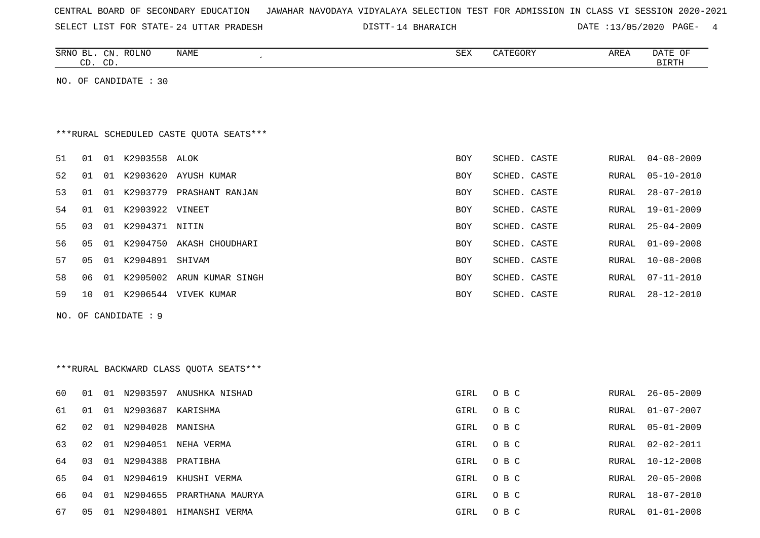| CENTRAL BOARD OF SECONDARY EDUCATION – JAWAHAR NAVODAYA VIDYALAYA SELECTION TEST FOR ADMISSION IN CLASS VI SESSION 2020-2021 |  |  |  |  |
|------------------------------------------------------------------------------------------------------------------------------|--|--|--|--|
|------------------------------------------------------------------------------------------------------------------------------|--|--|--|--|

SELECT LIST FOR STATE- DISTT- 24 UTTAR PRADESH 14 BHARAICH DATE :13/05/2020 PAGE- 4

|    |    | CD. CD. | SRNO BL. CN. ROLNO    | NAME                                    | SEX        | CATEGORY     | AREA         | DATE OF<br>BIRTH |
|----|----|---------|-----------------------|-----------------------------------------|------------|--------------|--------------|------------------|
|    |    |         | NO. OF CANDIDATE : 30 |                                         |            |              |              |                  |
|    |    |         |                       |                                         |            |              |              |                  |
|    |    |         |                       |                                         |            |              |              |                  |
|    |    |         |                       | ***RURAL SCHEDULED CASTE QUOTA SEATS*** |            |              |              |                  |
| 51 | 01 |         | 01 K2903558 ALOK      |                                         | <b>BOY</b> | SCHED. CASTE | RURAL        | $04 - 08 - 2009$ |
| 52 | 01 |         |                       | 01 K2903620 AYUSH KUMAR                 | BOY        | SCHED. CASTE | RURAL        | $05 - 10 - 2010$ |
| 53 | 01 |         |                       | 01 K2903779 PRASHANT RANJAN             | BOY        | SCHED. CASTE | RURAL        | $28 - 07 - 2010$ |
| 54 | 01 |         | 01 K2903922 VINEET    |                                         | <b>BOY</b> | SCHED. CASTE | <b>RURAL</b> | $19 - 01 - 2009$ |
| 55 | 03 |         | 01 K2904371 NITIN     |                                         | BOY        | SCHED. CASTE | RURAL        | $25 - 04 - 2009$ |
| 56 | 05 |         |                       | 01 K2904750 AKASH CHOUDHARI             | BOY        | SCHED. CASTE | RURAL        | $01 - 09 - 2008$ |
| 57 | 05 |         | 01 K2904891 SHIVAM    |                                         | BOY        | SCHED. CASTE | RURAL        | $10 - 08 - 2008$ |
| 58 | 06 |         |                       | 01 K2905002 ARUN KUMAR SINGH            | BOY        | SCHED. CASTE | RURAL        | $07 - 11 - 2010$ |
| 59 | 10 |         |                       | 01 K2906544 VIVEK KUMAR                 | BOY        | SCHED. CASTE | RURAL        | $28 - 12 - 2010$ |
|    |    |         | NO. OF CANDIDATE : 9  |                                         |            |              |              |                  |
|    |    |         |                       |                                         |            |              |              |                  |
|    |    |         |                       |                                         |            |              |              |                  |
|    |    |         |                       | *** RURAL BACKWARD CLASS QUOTA SEATS*** |            |              |              |                  |
| 60 | 01 |         |                       | 01 N2903597 ANUSHKA NISHAD              | GIRL       | O B C        | <b>RURAL</b> | $26 - 05 - 2009$ |
| 61 | 01 |         | 01 N2903687 KARISHMA  |                                         | GIRL       | O B C        | RURAL        | $01 - 07 - 2007$ |
| 62 | 02 |         | 01 N2904028           | MANISHA                                 | GIRL       | O B C        | RURAL        | $05 - 01 - 2009$ |
| 63 | 02 |         |                       | 01 N2904051 NEHA VERMA                  | GIRL       | O B C        | RURAL        | $02 - 02 - 2011$ |
| 64 | 03 |         | 01 N2904388           | PRATIBHA                                | GIRL       | O B C        | RURAL        | $10 - 12 - 2008$ |
| 65 | 04 |         |                       | 01 N2904619 KHUSHI VERMA                | GIRL       | O B C        | RURAL        | $20 - 05 - 2008$ |
| 66 | 04 |         |                       | 01 N2904655 PRARTHANA MAURYA            | GIRL       | O B C        | RURAL        | $18 - 07 - 2010$ |
| 67 | 05 |         |                       | 01 N2904801 HIMANSHI VERMA              | GIRL       | O B C        | RURAL        | $01 - 01 - 2008$ |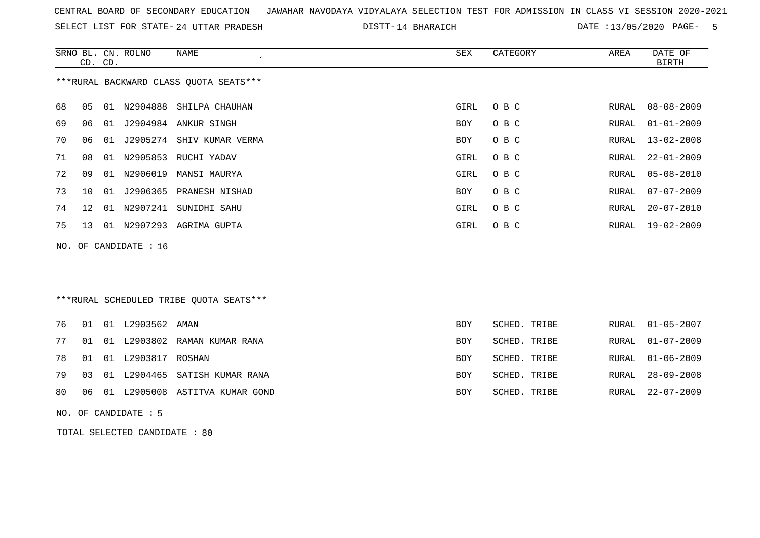SELECT LIST FOR STATE- DISTT- 24 UTTAR PRADESH

14 BHARAICH DATE :13/05/2020 PAGE- 5

|    | CD. CD. |    | SRNO BL. CN. ROLNO    | NAME                                    | <b>SEX</b> | CATEGORY     | AREA  | DATE OF<br><b>BIRTH</b> |
|----|---------|----|-----------------------|-----------------------------------------|------------|--------------|-------|-------------------------|
|    |         |    |                       | *** RURAL BACKWARD CLASS QUOTA SEATS*** |            |              |       |                         |
| 68 | 05      |    |                       | 01 N2904888 SHILPA CHAUHAN              | GIRL       | O B C        | RURAL | $08 - 08 - 2009$        |
| 69 | 06      |    |                       | 01 J2904984 ANKUR SINGH                 | BOY        | O B C        | RURAL | $01 - 01 - 2009$        |
| 70 | 06      | 01 |                       | J2905274 SHIV KUMAR VERMA               | BOY        | O B C        | RURAL | $13 - 02 - 2008$        |
| 71 | 08      | 01 | N2905853              | RUCHI YADAV                             | GIRL       | O B C        | RURAL | $22 - 01 - 2009$        |
| 72 | 09      | 01 |                       | N2906019 MANSI MAURYA                   | GIRL       | O B C        | RURAL | $05 - 08 - 2010$        |
| 73 | 10      | 01 | J2906365              | PRANESH NISHAD                          | BOY        | O B C        | RURAL | $07 - 07 - 2009$        |
| 74 | 12      | 01 |                       | N2907241 SUNIDHI SAHU                   | GIRL       | O B C        | RURAL | $20 - 07 - 2010$        |
| 75 | 13      |    |                       | 01 N2907293 AGRIMA GUPTA                | GIRL       | O B C        | RURAL | $19 - 02 - 2009$        |
|    |         |    | NO. OF CANDIDATE : 16 |                                         |            |              |       |                         |
|    |         |    |                       |                                         |            |              |       |                         |
|    |         |    |                       |                                         |            |              |       |                         |
|    |         |    |                       | ***RURAL SCHEDULED TRIBE OUOTA SEATS*** |            |              |       |                         |
| 76 | 01      |    | 01 L2903562 AMAN      |                                         | BOY        | SCHED. TRIBE | RURAL | $01 - 05 - 2007$        |
| 77 | 01      | 01 | L2903802              | RAMAN KUMAR RANA                        | <b>BOY</b> | SCHED. TRIBE | RURAL | $01 - 07 - 2009$        |
| 78 | 01      |    | 01 L2903817           | ROSHAN                                  | BOY        | SCHED. TRIBE | RURAL | $01 - 06 - 2009$        |
| 79 | 03      |    |                       | 01 L2904465 SATISH KUMAR RANA           | <b>BOY</b> | SCHED. TRIBE | RURAL | $28 - 09 - 2008$        |
| 80 | 06      |    | 01 L2905008           | ASTITVA KUMAR GOND                      | BOY        | SCHED. TRIBE | RURAL | $22 - 07 - 2009$        |
|    |         |    | NO. OF CANDIDATE : 5  |                                         |            |              |       |                         |

TOTAL SELECTED CANDIDATE : 80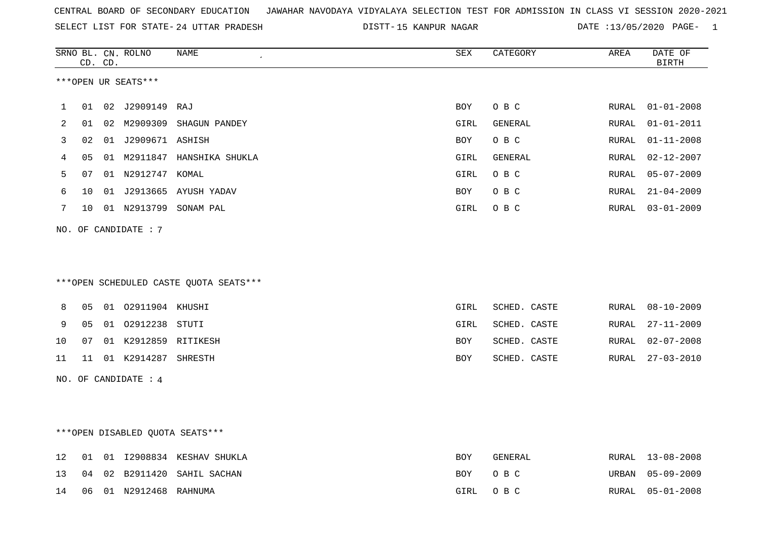SELECT LIST FOR STATE- DISTT- 24 UTTAR PRADESH

DISTT-15 KANPUR NAGAR DATE :13/05/2020 PAGE- 1

|    |    | CD. CD. | SRNO BL. CN. ROLNO   | NAME                                   | SEX        | CATEGORY     | AREA  | DATE OF<br>$\operatorname{BIRTH}$ |
|----|----|---------|----------------------|----------------------------------------|------------|--------------|-------|-----------------------------------|
|    |    |         | ***OPEN UR SEATS***  |                                        |            |              |       |                                   |
| 1  | 01 |         | 02 J2909149          | RAJ                                    | BOY        | O B C        | RURAL | $01 - 01 - 2008$                  |
| 2  | 01 |         |                      | 02 M2909309 SHAGUN PANDEY              | GIRL       | GENERAL      | RURAL | $01 - 01 - 2011$                  |
| 3  | 02 |         | 01 J2909671 ASHISH   |                                        | <b>BOY</b> | O B C        | RURAL | $01 - 11 - 2008$                  |
| 4  | 05 |         |                      | 01 M2911847 HANSHIKA SHUKLA            | GIRL       | GENERAL      | RURAL | $02 - 12 - 2007$                  |
| 5  | 07 |         | 01 N2912747 KOMAL    |                                        | GIRL       | O B C        | RURAL | $05 - 07 - 2009$                  |
| 6  | 10 |         |                      | 01 J2913665 AYUSH YADAV                | BOY        | O B C        | RURAL | $21 - 04 - 2009$                  |
| 7  | 10 |         |                      | 01 N2913799 SONAM PAL                  | GIRL       | O B C        | RURAL | $03 - 01 - 2009$                  |
|    |    |         | NO. OF CANDIDATE : 7 |                                        |            |              |       |                                   |
|    |    |         |                      |                                        |            |              |       |                                   |
|    |    |         |                      |                                        |            |              |       |                                   |
|    |    |         |                      | ***OPEN SCHEDULED CASTE QUOTA SEATS*** |            |              |       |                                   |
| 8  | 05 |         | 01 02911904 KHUSHI   |                                        | GIRL       | SCHED. CASTE | RURAL | $08 - 10 - 2009$                  |
| 9  | 05 |         | 01 02912238 STUTI    |                                        | GIRL       | SCHED. CASTE | RURAL | $27 - 11 - 2009$                  |
| 10 | 07 |         | 01 K2912859 RITIKESH |                                        | BOY        | SCHED. CASTE | RURAL | $02 - 07 - 2008$                  |
| 11 | 11 |         | 01 K2914287 SHRESTH  |                                        | BOY        | SCHED. CASTE | RURAL | $27 - 03 - 2010$                  |
|    |    |         | NO. OF CANDIDATE : 4 |                                        |            |              |       |                                   |
|    |    |         |                      |                                        |            |              |       |                                   |
|    |    |         |                      |                                        |            |              |       |                                   |
|    |    |         |                      | ***OPEN DISABLED QUOTA SEATS***        |            |              |       |                                   |
| 12 | 01 |         |                      | 01 I2908834 KESHAV SHUKLA              | BOY        | GENERAL      | RURAL | $13 - 08 - 2008$                  |
| 13 | 04 |         |                      | 02 B2911420 SAHIL SACHAN               | <b>BOY</b> | O B C        | URBAN | $05 - 09 - 2009$                  |
| 14 | 06 |         | 01 N2912468 RAHNUMA  |                                        | GIRL       | O B C        | RURAL | $05 - 01 - 2008$                  |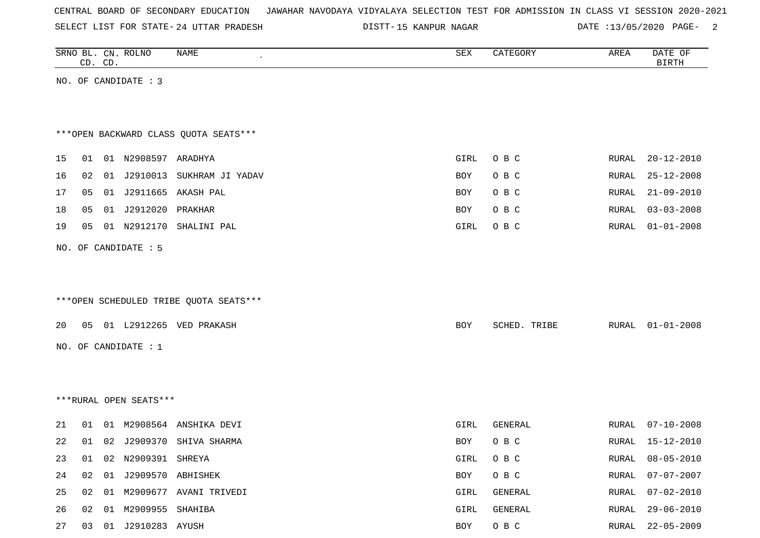SELECT LIST FOR STATE- DISTT- 24 UTTAR PRADESH

DISTT-15 KANPUR NAGAR DATE :13/05/2020 PAGE- 2

|                                        |    | CD. CD. | SRNO BL. CN. ROLNO    | NAME                         | SEX  | CATEGORY     | AREA         | DATE OF<br><b>BIRTH</b> |
|----------------------------------------|----|---------|-----------------------|------------------------------|------|--------------|--------------|-------------------------|
|                                        |    |         | NO. OF CANDIDATE : 3  |                              |      |              |              |                         |
|                                        |    |         |                       |                              |      |              |              |                         |
|                                        |    |         |                       |                              |      |              |              |                         |
| *** OPEN BACKWARD CLASS QUOTA SEATS*** |    |         |                       |                              |      |              |              |                         |
| 15                                     | 01 |         | 01 N2908597 ARADHYA   |                              | GIRL | O B C        | RURAL        | $20 - 12 - 2010$        |
| 16                                     | 02 |         |                       | 01 J2910013 SUKHRAM JI YADAV | BOY  | O B C        | RURAL        | $25 - 12 - 2008$        |
| 17                                     | 05 |         |                       | 01 J2911665 AKASH PAL        | BOY  | O B C        | RURAL        | $21 - 09 - 2010$        |
| 18                                     | 05 |         | 01 J2912020           | PRAKHAR                      | BOY  | O B C        | <b>RURAL</b> | $03 - 03 - 2008$        |
| 19                                     | 05 |         | 01 N2912170           | SHALINI PAL                  | GIRL | O B C        | RURAL        | $01 - 01 - 2008$        |
| NO. OF CANDIDATE : 5                   |    |         |                       |                              |      |              |              |                         |
|                                        |    |         |                       |                              |      |              |              |                         |
|                                        |    |         |                       |                              |      |              |              |                         |
| ***OPEN SCHEDULED TRIBE QUOTA SEATS*** |    |         |                       |                              |      |              |              |                         |
| 20                                     |    |         |                       | 05 01 L2912265 VED PRAKASH   | BOY  | SCHED. TRIBE | RURAL        | $01 - 01 - 2008$        |
| NO. OF CANDIDATE : 1                   |    |         |                       |                              |      |              |              |                         |
|                                        |    |         |                       |                              |      |              |              |                         |
|                                        |    |         |                       |                              |      |              |              |                         |
| ***RURAL OPEN SEATS***                 |    |         |                       |                              |      |              |              |                         |
|                                        |    |         |                       |                              |      |              |              |                         |
| 21                                     | 01 |         |                       | 01 M2908564 ANSHIKA DEVI     | GIRL | GENERAL      | RURAL        | $07 - 10 - 2008$        |
| 22                                     |    |         |                       | 01 02 J2909370 SHIVA SHARMA  | BOY  | O B C        | RURAL        | 15-12-2010              |
| 23                                     |    |         | 01 02 N2909391 SHREYA |                              | GIRL | O B C        | RURAL        | $08 - 05 - 2010$        |
| 24                                     | 02 | 01      | J2909570 ABHISHEK     |                              | BOY  | O B C        | RURAL        | $07 - 07 - 2007$        |
| 25                                     | 02 |         |                       | 01 M2909677 AVANI TRIVEDI    | GIRL | GENERAL      | <b>RURAL</b> | $07 - 02 - 2010$        |
| 26                                     | 02 |         | 01 M2909955 SHAHIBA   |                              | GIRL | GENERAL      | RURAL        | $29 - 06 - 2010$        |
| 27                                     |    |         | 03 01 J2910283 AYUSH  |                              | BOY  | O B C        | RURAL        | $22 - 05 - 2009$        |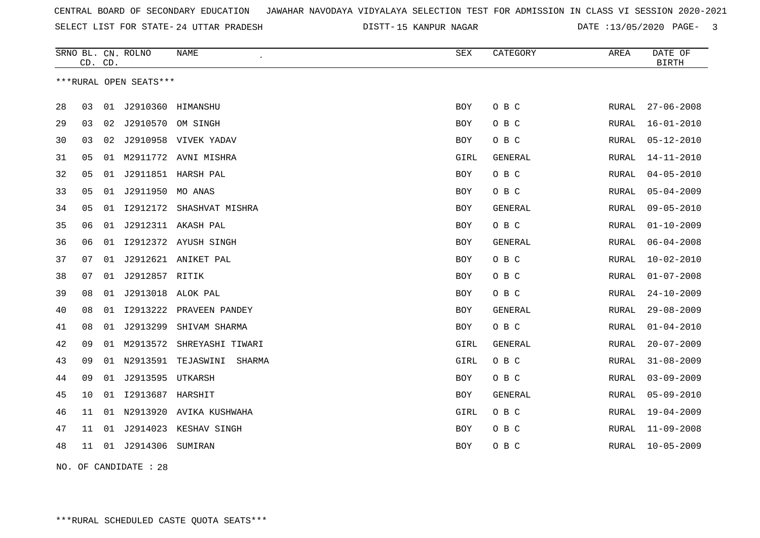SELECT LIST FOR STATE- DISTT- 24 UTTAR PRADESH

15 KANPUR NAGAR DATE :13/05/2020 PAGE- 3

| ***RURAL OPEN SEATS***<br>J2910360 HIMANSHU<br>28<br>03<br>01<br><b>BOY</b><br>O B C<br>RURAL<br>J2910570<br>29<br>03<br>02<br>OM SINGH<br>O B C<br>RURAL<br>BOY<br>30<br>J2910958 VIVEK YADAV<br>O B C<br>03<br>02<br>RURAL<br>BOY<br>05<br>M2911772 AVNI MISHRA<br>31<br>01<br>GIRL<br>GENERAL<br>RURAL<br>01 J2911851 HARSH PAL<br>O B C<br>32<br>05<br><b>BOY</b><br>RURAL<br>01 J2911950 MO ANAS<br>33<br>05<br>O B C<br>BOY<br>RURAL<br>34<br>01 I2912172 SHASHVAT MISHRA<br>05<br>BOY<br>GENERAL<br>RURAL<br>35<br>J2912311 AKASH PAL<br>O B C<br>06<br>01<br>BOY<br>RURAL<br>36<br>I2912372 AYUSH SINGH<br>GENERAL<br>06<br>01<br><b>BOY</b><br>RURAL<br>J2912621 ANIKET PAL<br>O B C<br>37<br>07<br>01<br><b>BOY</b><br>RURAL<br>J2912857 RITIK<br>O B C<br>38<br>07<br>01<br><b>BOY</b><br>RURAL<br>39<br>J2913018 ALOK PAL<br>O B C<br>08<br>01<br>BOY<br>RURAL<br>12913222 PRAVEEN PANDEY<br>40<br>08<br>01<br>BOY<br>GENERAL<br>RURAL<br>J2913299<br>O B C<br>41<br>08<br>01<br>SHIVAM SHARMA<br><b>BOY</b><br>RURAL<br>42<br>09<br>M2913572<br>GIRL<br>01<br>SHREYASHI TIWARI<br><b>GENERAL</b><br>RURAL<br>43<br>09<br>N2913591 TEJASWINI<br>GIRL<br>O B C<br>01<br>SHARMA<br>RURAL<br>09<br>J2913595<br>O B C<br>44<br>01<br>UTKARSH<br>BOY<br>RURAL |    | CD. CD. |    | SRNO BL. CN. ROLNO | NAME | SEX        | CATEGORY | AREA  | DATE OF<br><b>BIRTH</b> |
|----------------------------------------------------------------------------------------------------------------------------------------------------------------------------------------------------------------------------------------------------------------------------------------------------------------------------------------------------------------------------------------------------------------------------------------------------------------------------------------------------------------------------------------------------------------------------------------------------------------------------------------------------------------------------------------------------------------------------------------------------------------------------------------------------------------------------------------------------------------------------------------------------------------------------------------------------------------------------------------------------------------------------------------------------------------------------------------------------------------------------------------------------------------------------------------------------------------------------------------------------------------------|----|---------|----|--------------------|------|------------|----------|-------|-------------------------|
|                                                                                                                                                                                                                                                                                                                                                                                                                                                                                                                                                                                                                                                                                                                                                                                                                                                                                                                                                                                                                                                                                                                                                                                                                                                                      |    |         |    |                    |      |            |          |       |                         |
|                                                                                                                                                                                                                                                                                                                                                                                                                                                                                                                                                                                                                                                                                                                                                                                                                                                                                                                                                                                                                                                                                                                                                                                                                                                                      |    |         |    |                    |      |            |          |       | $27 - 06 - 2008$        |
|                                                                                                                                                                                                                                                                                                                                                                                                                                                                                                                                                                                                                                                                                                                                                                                                                                                                                                                                                                                                                                                                                                                                                                                                                                                                      |    |         |    |                    |      |            |          |       | $16 - 01 - 2010$        |
|                                                                                                                                                                                                                                                                                                                                                                                                                                                                                                                                                                                                                                                                                                                                                                                                                                                                                                                                                                                                                                                                                                                                                                                                                                                                      |    |         |    |                    |      |            |          |       | $05 - 12 - 2010$        |
|                                                                                                                                                                                                                                                                                                                                                                                                                                                                                                                                                                                                                                                                                                                                                                                                                                                                                                                                                                                                                                                                                                                                                                                                                                                                      |    |         |    |                    |      |            |          |       | $14 - 11 - 2010$        |
|                                                                                                                                                                                                                                                                                                                                                                                                                                                                                                                                                                                                                                                                                                                                                                                                                                                                                                                                                                                                                                                                                                                                                                                                                                                                      |    |         |    |                    |      |            |          |       | $04 - 05 - 2010$        |
|                                                                                                                                                                                                                                                                                                                                                                                                                                                                                                                                                                                                                                                                                                                                                                                                                                                                                                                                                                                                                                                                                                                                                                                                                                                                      |    |         |    |                    |      |            |          |       | $05 - 04 - 2009$        |
|                                                                                                                                                                                                                                                                                                                                                                                                                                                                                                                                                                                                                                                                                                                                                                                                                                                                                                                                                                                                                                                                                                                                                                                                                                                                      |    |         |    |                    |      |            |          |       | $09 - 05 - 2010$        |
|                                                                                                                                                                                                                                                                                                                                                                                                                                                                                                                                                                                                                                                                                                                                                                                                                                                                                                                                                                                                                                                                                                                                                                                                                                                                      |    |         |    |                    |      |            |          |       | $01 - 10 - 2009$        |
|                                                                                                                                                                                                                                                                                                                                                                                                                                                                                                                                                                                                                                                                                                                                                                                                                                                                                                                                                                                                                                                                                                                                                                                                                                                                      |    |         |    |                    |      |            |          |       | $06 - 04 - 2008$        |
|                                                                                                                                                                                                                                                                                                                                                                                                                                                                                                                                                                                                                                                                                                                                                                                                                                                                                                                                                                                                                                                                                                                                                                                                                                                                      |    |         |    |                    |      |            |          |       | $10 - 02 - 2010$        |
|                                                                                                                                                                                                                                                                                                                                                                                                                                                                                                                                                                                                                                                                                                                                                                                                                                                                                                                                                                                                                                                                                                                                                                                                                                                                      |    |         |    |                    |      |            |          |       | $01 - 07 - 2008$        |
|                                                                                                                                                                                                                                                                                                                                                                                                                                                                                                                                                                                                                                                                                                                                                                                                                                                                                                                                                                                                                                                                                                                                                                                                                                                                      |    |         |    |                    |      |            |          |       | $24 - 10 - 2009$        |
|                                                                                                                                                                                                                                                                                                                                                                                                                                                                                                                                                                                                                                                                                                                                                                                                                                                                                                                                                                                                                                                                                                                                                                                                                                                                      |    |         |    |                    |      |            |          |       | $29 - 08 - 2009$        |
|                                                                                                                                                                                                                                                                                                                                                                                                                                                                                                                                                                                                                                                                                                                                                                                                                                                                                                                                                                                                                                                                                                                                                                                                                                                                      |    |         |    |                    |      |            |          |       | $01 - 04 - 2010$        |
|                                                                                                                                                                                                                                                                                                                                                                                                                                                                                                                                                                                                                                                                                                                                                                                                                                                                                                                                                                                                                                                                                                                                                                                                                                                                      |    |         |    |                    |      |            |          |       | $20 - 07 - 2009$        |
|                                                                                                                                                                                                                                                                                                                                                                                                                                                                                                                                                                                                                                                                                                                                                                                                                                                                                                                                                                                                                                                                                                                                                                                                                                                                      |    |         |    |                    |      |            |          |       | $31 - 08 - 2009$        |
|                                                                                                                                                                                                                                                                                                                                                                                                                                                                                                                                                                                                                                                                                                                                                                                                                                                                                                                                                                                                                                                                                                                                                                                                                                                                      |    |         |    |                    |      |            |          |       | $03 - 09 - 2009$        |
| I2913687 HARSHIT                                                                                                                                                                                                                                                                                                                                                                                                                                                                                                                                                                                                                                                                                                                                                                                                                                                                                                                                                                                                                                                                                                                                                                                                                                                     | 45 | 10      | 01 |                    |      | <b>BOY</b> | GENERAL  | RURAL | $05 - 09 - 2010$        |
| 46<br>01<br>N2913920 AVIKA KUSHWAHA<br>GIRL<br>O B C<br>11<br>RURAL                                                                                                                                                                                                                                                                                                                                                                                                                                                                                                                                                                                                                                                                                                                                                                                                                                                                                                                                                                                                                                                                                                                                                                                                  |    |         |    |                    |      |            |          |       | $19 - 04 - 2009$        |
| 47<br>01<br>J2914023 KESHAV SINGH<br>O B C<br>11<br>BOY<br>RURAL                                                                                                                                                                                                                                                                                                                                                                                                                                                                                                                                                                                                                                                                                                                                                                                                                                                                                                                                                                                                                                                                                                                                                                                                     |    |         |    |                    |      |            |          |       | $11 - 09 - 2008$        |
| 48<br>01 J2914306 SUMIRAN<br>O B C<br>11<br>BOY<br>RURAL                                                                                                                                                                                                                                                                                                                                                                                                                                                                                                                                                                                                                                                                                                                                                                                                                                                                                                                                                                                                                                                                                                                                                                                                             |    |         |    |                    |      |            |          |       | $10 - 05 - 2009$        |

NO. OF CANDIDATE : 28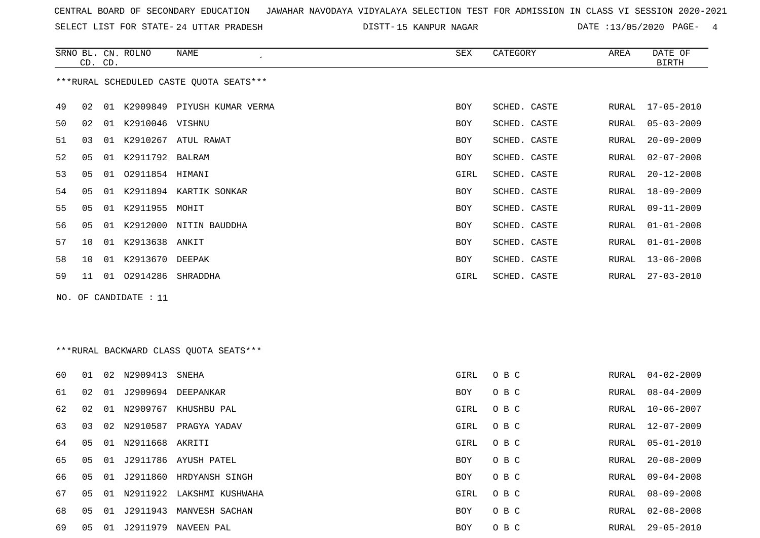SELECT LIST FOR STATE- DISTT- 24 UTTAR PRADESH

15 KANPUR NAGAR DATE :13/05/2020 PAGE- 4

|    | CD. CD.        |    | SRNO BL. CN. ROLNO | NAME<br>$\cdot$                         | SEX  | CATEGORY     | AREA  | DATE OF<br><b>BIRTH</b> |
|----|----------------|----|--------------------|-----------------------------------------|------|--------------|-------|-------------------------|
|    |                |    |                    | ***RURAL SCHEDULED CASTE QUOTA SEATS*** |      |              |       |                         |
| 49 | 02             | 01 |                    | K2909849 PIYUSH KUMAR VERMA             | BOY  | SCHED. CASTE | RURAL | 17-05-2010              |
| 50 | 02             | 01 | K2910046 VISHNU    |                                         | BOY  | SCHED. CASTE | RURAL | $05 - 03 - 2009$        |
| 51 | 03             | 01 | K2910267           | ATUL RAWAT                              | BOY  | SCHED. CASTE | RURAL | $20 - 09 - 2009$        |
| 52 | 05             | 01 | K2911792 BALRAM    |                                         | BOY  | SCHED. CASTE | RURAL | $02 - 07 - 2008$        |
| 53 | 05             | 01 | 02911854 HIMANI    |                                         | GIRL | SCHED. CASTE | RURAL | $20 - 12 - 2008$        |
| 54 | 05             | 01 |                    | K2911894 KARTIK SONKAR                  | BOY  | SCHED. CASTE | RURAL | $18 - 09 - 2009$        |
| 55 | 05             | 01 | K2911955 MOHIT     |                                         | BOY  | SCHED. CASTE | RURAL | $09 - 11 - 2009$        |
| 56 | 0 <sub>5</sub> | 01 | K2912000           | NITIN BAUDDHA                           | BOY  | SCHED. CASTE | RURAL | $01 - 01 - 2008$        |
| 57 | 10             | 01 | K2913638 ANKIT     |                                         | BOY  | SCHED. CASTE | RURAL | $01 - 01 - 2008$        |
| 58 | 10             | 01 | K2913670 DEEPAK    |                                         | BOY  | SCHED. CASTE | RURAL | $13 - 06 - 2008$        |
| 59 | 11             | 01 | 02914286           | SHRADDHA                                | GIRL | SCHED. CASTE | RURAL | $27 - 03 - 2010$        |

NO. OF CANDIDATE : 11

# \*\*\*RURAL BACKWARD CLASS QUOTA SEATS\*\*\*

| 60 | 01 | 02 | N2909413        | SNEHA                     | GIRL       | O B C | RURAL | $04 - 02 - 2009$ |
|----|----|----|-----------------|---------------------------|------------|-------|-------|------------------|
| 61 | 02 | 01 | J2909694        | DEEPANKAR                 | <b>BOY</b> | O B C | RURAL | $08 - 04 - 2009$ |
| 62 | 02 | 01 | N2909767        | KHUSHBU PAL               | GIRL       | O B C | RURAL | $10 - 06 - 2007$ |
| 63 | 03 |    | 02 N2910587     | PRAGYA YADAV              | GIRL       | O B C | RURAL | $12 - 07 - 2009$ |
| 64 | 05 | 01 | N2911668 AKRITI |                           | GIRL       | O B C | RURAL | 05-01-2010       |
| 65 | 05 | 01 |                 | J2911786 AYUSH PATEL      | <b>BOY</b> | O B C | RURAL | $20 - 08 - 2009$ |
| 66 | 05 | 01 | J2911860        | HRDYANSH SINGH            | <b>BOY</b> | O B C | RURAL | $09 - 04 - 2008$ |
| 67 | 05 | 01 |                 | N2911922 LAKSHMI KUSHWAHA | GIRL       | O B C | RURAL | 08-09-2008       |
| 68 | 05 | 01 | J2911943        | MANVESH SACHAN            | <b>BOY</b> | O B C | RURAL | 02-08-2008       |
| 69 | 05 | 01 | J2911979        | NAVEEN PAL                | BOY        | O B C | RURAL | 29-05-2010       |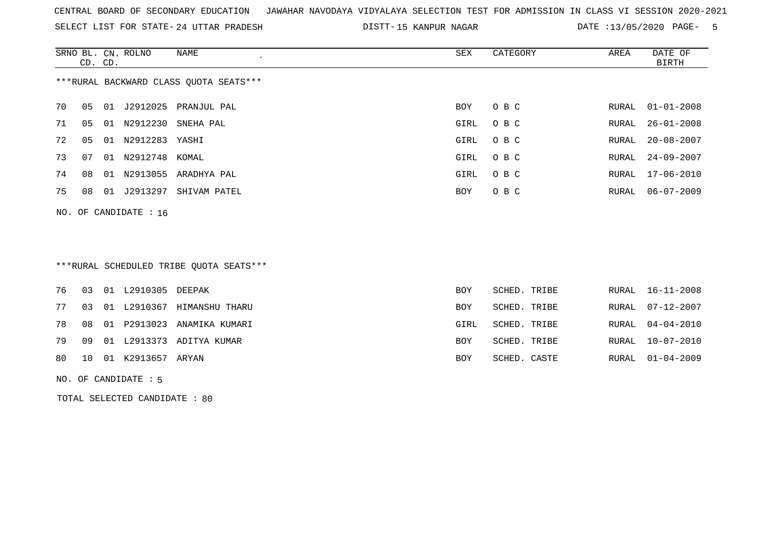SELECT LIST FOR STATE- DISTT- 24 UTTAR PRADESH

DISTT-15 KANPUR NAGAR DATE :13/05/2020 PAGE- 5

|    | CD. CD. |    | SRNO BL. CN. ROLNO      | NAME<br>$\cdot$                        | SEX        | CATEGORY | AREA  | DATE OF<br>BIRTH |
|----|---------|----|-------------------------|----------------------------------------|------------|----------|-------|------------------|
|    |         |    |                         | ***RURAL BACKWARD CLASS QUOTA SEATS*** |            |          |       |                  |
| 70 | 05      | 01 | J2912025                | PRANJUL PAL                            | BOY        | O B C    |       | RURAL 01-01-2008 |
| 71 | 05      | 01 | N2912230                | SNEHA PAL                              | GIRL       | O B C    | RURAL | $26 - 01 - 2008$ |
| 72 | 05      | 01 | N2912283 YASHI          |                                        | GIRL       | O B C    | RURAL | $20 - 08 - 2007$ |
| 73 | 07      | 01 | N2912748                | KOMAL                                  | GIRL       | O B C    | RURAL | 24-09-2007       |
| 74 | 08      | 01 | N2913055                | ARADHYA PAL                            | GIRL       | O B C    |       | RURAL 17-06-2010 |
| 75 | 08      | 01 | J2913297                | SHIVAM PATEL                           | <b>BOY</b> | O B C    | RURAL | 06-07-2009       |
|    |         |    | NO. OF CANDIDATE : $16$ |                                        |            |          |       |                  |

### \*\*\*RURAL SCHEDULED TRIBE QUOTA SEATS\*\*\*

|  | 76 03 01 L2910305 DEEPAK |                                  | <b>BOY</b> | SCHED. TRIBE |  | RURAL 16-11-2008 |
|--|--------------------------|----------------------------------|------------|--------------|--|------------------|
|  |                          | 77 03 01 L2910367 HIMANSHU THARU | BOY        | SCHED. TRIBE |  | RURAL 07-12-2007 |
|  |                          | 78 08 01 P2913023 ANAMIKA KUMARI | GIRL       | SCHED. TRIBE |  | RURAL 04-04-2010 |
|  |                          | 79 09 01 L2913373 ADITYA KUMAR   | <b>BOY</b> | SCHED. TRIBE |  | RURAL 10-07-2010 |
|  | 80 10 01 K2913657 ARYAN  |                                  | <b>BOY</b> | SCHED. CASTE |  | RURAL 01-04-2009 |
|  |                          |                                  |            |              |  |                  |

#### NO. OF CANDIDATE : 5

TOTAL SELECTED CANDIDATE : 80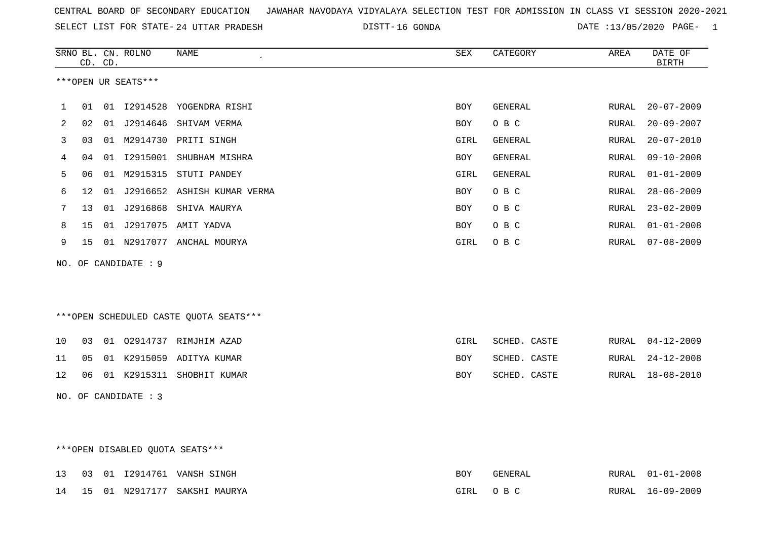|  |  |  |  | CENTRAL BOARD OF SECONDARY EDUCATION GJAWAHAR NAVODAYA VIDYALAYA SELECTION TEST FOR ADMISSION IN CLASS VI SESSION 2020-2021 |  |  |  |  |  |  |  |  |  |  |  |
|--|--|--|--|-----------------------------------------------------------------------------------------------------------------------------|--|--|--|--|--|--|--|--|--|--|--|
|--|--|--|--|-----------------------------------------------------------------------------------------------------------------------------|--|--|--|--|--|--|--|--|--|--|--|

SELECT LIST FOR STATE- DISTT- 24 UTTAR PRADESH 16 GONDA DATE :13/05/2020 PAGE- 1

|     |    | CD. CD. | SRNO BL. CN. ROLNO   | <b>NAME</b>                            | ${\tt SEX}$ | CATEGORY       | AREA  | DATE OF<br>BIRTH |
|-----|----|---------|----------------------|----------------------------------------|-------------|----------------|-------|------------------|
|     |    |         | ***OPEN UR SEATS***  |                                        |             |                |       |                  |
| 1   | 01 |         |                      | 01 I2914528 YOGENDRA RISHI             | BOY         | <b>GENERAL</b> | RURAL | $20 - 07 - 2009$ |
| 2   | 02 |         |                      | 01 J2914646 SHIVAM VERMA               | BOY         | O B C          | RURAL | $20 - 09 - 2007$ |
| 3   | 03 |         |                      | 01 M2914730 PRITI SINGH                | GIRL        | GENERAL        | RURAL | $20 - 07 - 2010$ |
| 4   | 04 |         |                      | 01 I2915001 SHUBHAM MISHRA             | <b>BOY</b>  | <b>GENERAL</b> | RURAL | $09 - 10 - 2008$ |
| 5   | 06 |         |                      | 01 M2915315 STUTI PANDEY               | GIRL        | <b>GENERAL</b> | RURAL | $01 - 01 - 2009$ |
| 6   | 12 | 01      |                      | J2916652 ASHISH KUMAR VERMA            | BOY         | O B C          | RURAL | $28 - 06 - 2009$ |
| 7   | 13 |         |                      | 01 J2916868 SHIVA MAURYA               | BOY         | O B C          | RURAL | $23 - 02 - 2009$ |
| 8   | 15 |         |                      | 01 J2917075 AMIT YADVA                 | BOY         | O B C          | RURAL | $01 - 01 - 2008$ |
| 9   | 15 |         |                      | 01 N2917077 ANCHAL MOURYA              | GIRL        | O B C          | RURAL | $07 - 08 - 2009$ |
|     |    |         | NO. OF CANDIDATE : 9 |                                        |             |                |       |                  |
|     |    |         |                      |                                        |             |                |       |                  |
|     |    |         |                      |                                        |             |                |       |                  |
|     |    |         |                      | ***OPEN SCHEDULED CASTE QUOTA SEATS*** |             |                |       |                  |
| 10  | 03 |         |                      | 01 02914737 RIMJHIM AZAD               | GIRL        | SCHED. CASTE   | RURAL | $04 - 12 - 2009$ |
| 11  | 05 |         |                      | 01 K2915059 ADITYA KUMAR               | BOY         | SCHED. CASTE   | RURAL | $24 - 12 - 2008$ |
| 12  | 06 |         |                      | 01 K2915311 SHOBHIT KUMAR              | BOY         | SCHED. CASTE   | RURAL | $18 - 08 - 2010$ |
| NO. |    |         | OF CANDIDATE : 3     |                                        |             |                |       |                  |
|     |    |         |                      |                                        |             |                |       |                  |
|     |    |         |                      |                                        |             |                |       |                  |

# \*\*\*OPEN DISABLED QUOTA SEATS\*\*\*

|  |  | 13 03 01 12914761 VANSH SINGH   | BOY      | GENERAL | RURAL 01-01-2008 |
|--|--|---------------------------------|----------|---------|------------------|
|  |  | 14 15 01 N2917177 SAKSHI MAURYA | GIRL OBC |         | RURAL 16-09-2009 |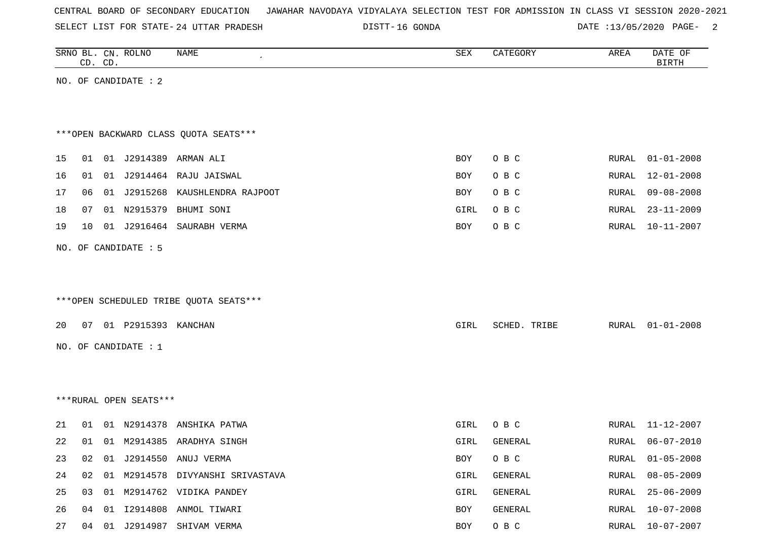|  |  | CENTRAL BOARD OF SECONDARY EDUCATION – JAWAHAR NAVODAYA VIDYALAYA SELECTION TEST FOR ADMISSION IN CLASS VI SESSION 2020-2021 |  |  |  |  |  |  |  |  |  |  |  |  |  |
|--|--|------------------------------------------------------------------------------------------------------------------------------|--|--|--|--|--|--|--|--|--|--|--|--|--|
|--|--|------------------------------------------------------------------------------------------------------------------------------|--|--|--|--|--|--|--|--|--|--|--|--|--|

24 UTTAR PRADESH 16 GONDA DATE :13/05/2020 PAGE- 2

|    | CD. CD. |    | SRNO BL. CN. ROLNO     | <b>NAME</b>                            | SEX        | CATEGORY     | AREA  | DATE OF<br><b>BIRTH</b> |
|----|---------|----|------------------------|----------------------------------------|------------|--------------|-------|-------------------------|
|    |         |    | NO. OF CANDIDATE : 2   |                                        |            |              |       |                         |
|    |         |    |                        |                                        |            |              |       |                         |
|    |         |    |                        |                                        |            |              |       |                         |
|    |         |    |                        | *** OPEN BACKWARD CLASS QUOTA SEATS*** |            |              |       |                         |
| 15 | 01      |    |                        | 01 J2914389 ARMAN ALI                  | <b>BOY</b> | O B C        | RURAL | $01 - 01 - 2008$        |
| 16 | 01      |    |                        | 01 J2914464 RAJU JAISWAL               | BOY        | O B C        | RURAL | $12 - 01 - 2008$        |
| 17 | 06      |    |                        | 01 J2915268 KAUSHLENDRA RAJPOOT        | BOY        | O B C        | RURAL | $09 - 08 - 2008$        |
| 18 | 07      |    | 01 N2915379            | BHUMI SONI                             | GIRL       | O B C        | RURAL | $23 - 11 - 2009$        |
| 19 | 10      |    |                        | 01 J2916464 SAURABH VERMA              | BOY        | $O$ B $C$    | RURAL | $10 - 11 - 2007$        |
|    |         |    | NO. OF CANDIDATE : 5   |                                        |            |              |       |                         |
|    |         |    |                        |                                        |            |              |       |                         |
|    |         |    |                        |                                        |            |              |       |                         |
|    |         |    |                        | ***OPEN SCHEDULED TRIBE QUOTA SEATS*** |            |              |       |                         |
| 20 | 07      |    | 01 P2915393 KANCHAN    |                                        | GIRL       | SCHED. TRIBE | RURAL | $01 - 01 - 2008$        |
|    |         |    | NO. OF CANDIDATE : $1$ |                                        |            |              |       |                         |
|    |         |    |                        |                                        |            |              |       |                         |
|    |         |    |                        |                                        |            |              |       |                         |
|    |         |    | ***RURAL OPEN SEATS*** |                                        |            |              |       |                         |
|    |         |    |                        |                                        |            |              |       |                         |
| 21 | 01      |    |                        | 01 N2914378 ANSHIKA PATWA              | GIRL       | O B C        | RURAL | $11 - 12 - 2007$        |
| 22 | 01      |    |                        | 01 M2914385 ARADHYA SINGH              | GIRL       | GENERAL      | RURAL | $06 - 07 - 2010$        |
| 23 | 02      |    |                        | 01 J2914550 ANUJ VERMA                 | BOY        | O B C        | RURAL | $01 - 05 - 2008$        |
| 24 | 02      | 01 |                        | M2914578 DIVYANSHI SRIVASTAVA          | GIRL       | GENERAL      | RURAL | $08 - 05 - 2009$        |
| 25 | 03      |    |                        | 01 M2914762 VIDIKA PANDEY              | GIRL       | GENERAL      | RURAL | $25 - 06 - 2009$        |
| 26 | 04      |    |                        | 01 I2914808 ANMOL TIWARI               | BOY        | GENERAL      | RURAL | $10 - 07 - 2008$        |

27 04 01 J2914987 SHIVAM VERMA **BOY O B C** RURAL 10-07-2007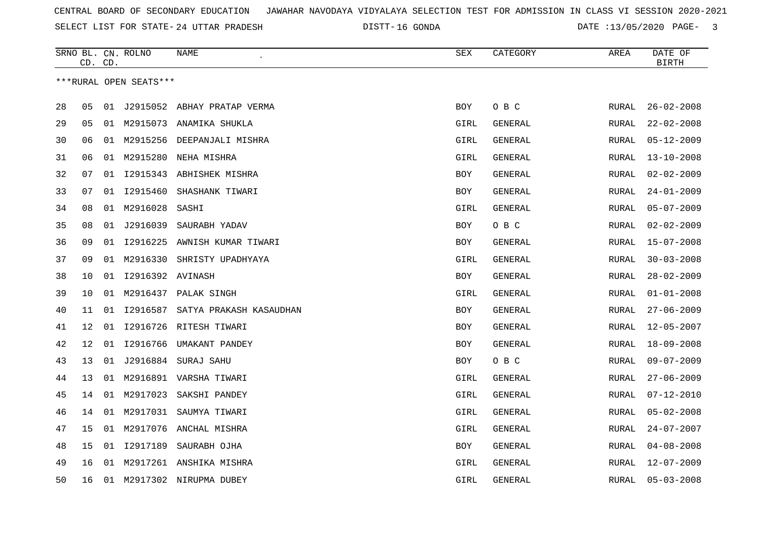DISTT-16 GONDA 2020 DATE :13/05/2020 PAGE- 3

|    | CD. CD. |    | SRNO BL. CN. ROLNO     | NAME                            | SEX        | CATEGORY | AREA         | DATE OF<br><b>BIRTH</b> |
|----|---------|----|------------------------|---------------------------------|------------|----------|--------------|-------------------------|
|    |         |    | ***RURAL OPEN SEATS*** |                                 |            |          |              |                         |
|    |         |    |                        |                                 |            |          |              |                         |
| 28 | 05      | 01 |                        | J2915052 ABHAY PRATAP VERMA     | <b>BOY</b> | O B C    | RURAL        | $26 - 02 - 2008$        |
| 29 | 05      |    |                        | 01 M2915073 ANAMIKA SHUKLA      | GIRL       | GENERAL  | RURAL        | $22 - 02 - 2008$        |
| 30 | 06      | 01 | M2915256               | DEEPANJALI MISHRA               | GIRL       | GENERAL  | RURAL        | $05 - 12 - 2009$        |
| 31 | 06      |    | 01 M2915280            | NEHA MISHRA                     | GIRL       | GENERAL  | RURAL        | $13 - 10 - 2008$        |
| 32 | 07      | 01 |                        | 12915343 ABHISHEK MISHRA        | BOY        | GENERAL  | RURAL        | $02 - 02 - 2009$        |
| 33 | 07      | 01 | I2915460               | SHASHANK TIWARI                 | BOY        | GENERAL  | RURAL        | $24 - 01 - 2009$        |
| 34 | 08      |    | 01 M2916028            | SASHI                           | GIRL       | GENERAL  | RURAL        | $05 - 07 - 2009$        |
| 35 | 08      |    | 01 J2916039            | SAURABH YADAV                   | BOY        | O B C    | <b>RURAL</b> | $02 - 02 - 2009$        |
| 36 | 09      |    |                        | 01 I2916225 AWNISH KUMAR TIWARI | <b>BOY</b> | GENERAL  | <b>RURAL</b> | $15 - 07 - 2008$        |
| 37 | 09      | 01 | M2916330               | SHRISTY UPADHYAYA               | GIRL       | GENERAL  | RURAL        | $30 - 03 - 2008$        |
| 38 | 10      | 01 | 12916392 AVINASH       |                                 | BOY        | GENERAL  | RURAL        | $28 - 02 - 2009$        |
| 39 | 10      |    | 01 M2916437            | PALAK SINGH                     | GIRL       | GENERAL  | <b>RURAL</b> | $01 - 01 - 2008$        |
| 40 | 11      | 01 | I2916587               | SATYA PRAKASH KASAUDHAN         | BOY        | GENERAL  | RURAL        | $27 - 06 - 2009$        |
| 41 | 12      | 01 |                        | 12916726 RITESH TIWARI          | BOY        | GENERAL  | RURAL        | $12 - 05 - 2007$        |
| 42 | 12      | 01 | I2916766               | UMAKANT PANDEY                  | BOY        | GENERAL  | RURAL        | $18 - 09 - 2008$        |
| 43 | 13      | 01 |                        | J2916884 SURAJ SAHU             | <b>BOY</b> | O B C    | <b>RURAL</b> | $09 - 07 - 2009$        |
| 44 | 13      |    |                        | 01 M2916891 VARSHA TIWARI       | GIRL       | GENERAL  | <b>RURAL</b> | $27 - 06 - 2009$        |
| 45 | 14      |    | 01 M2917023            | SAKSHI PANDEY                   | GIRL       | GENERAL  | RURAL        | $07 - 12 - 2010$        |
| 46 | 14      |    | 01 M2917031            | SAUMYA TIWARI                   | GIRL       | GENERAL  | RURAL        | $05 - 02 - 2008$        |
| 47 | 15      |    |                        | 01 M2917076 ANCHAL MISHRA       | GIRL       | GENERAL  | RURAL        | $24 - 07 - 2007$        |
| 48 | 15      | 01 | I2917189               | SAURABH OJHA                    | <b>BOY</b> | GENERAL  | <b>RURAL</b> | $04 - 08 - 2008$        |
| 49 | 16      |    |                        | 01 M2917261 ANSHIKA MISHRA      | GIRL       | GENERAL  | RURAL        | 12-07-2009              |
| 50 | 16      |    |                        | 01 M2917302 NIRUPMA DUBEY       | GIRL       | GENERAL  | RURAL        | $05 - 03 - 2008$        |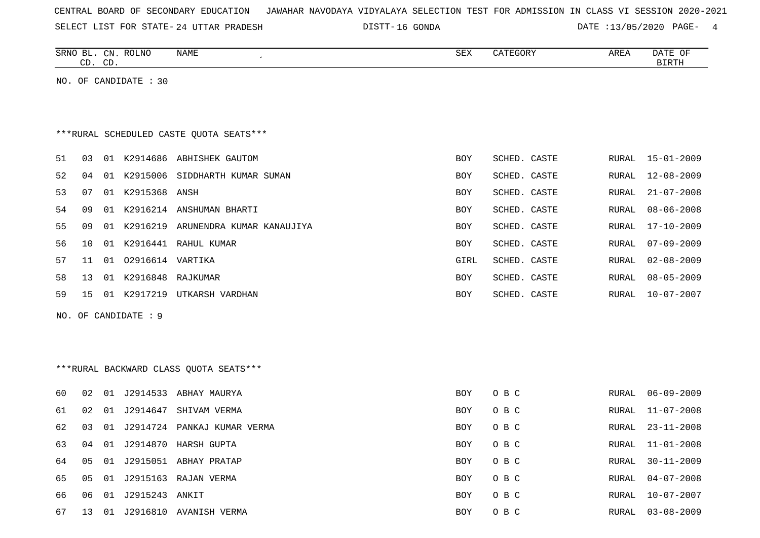| CENTRAL BOARD OF SECONDARY EDUCATION – JAWAHAR NAVODAYA VIDYALAYA SELECTION TEST FOR ADMISSION IN CLASS VI SESSION 2020-2021 |  |
|------------------------------------------------------------------------------------------------------------------------------|--|
|------------------------------------------------------------------------------------------------------------------------------|--|

24 UTTAR PRADESH 16 GONDA DATE :13/05/2020 PAGE- 4

|    |    | CD. CD. | SRNO BL. CN. ROLNO    | NAME                                     | SEX        | CATEGORY     | AREA         | DATE OF<br><b>BIRTH</b> |
|----|----|---------|-----------------------|------------------------------------------|------------|--------------|--------------|-------------------------|
|    |    |         | NO. OF CANDIDATE : 30 |                                          |            |              |              |                         |
|    |    |         |                       |                                          |            |              |              |                         |
|    |    |         |                       |                                          |            |              |              |                         |
|    |    |         |                       | *** RURAL SCHEDULED CASTE QUOTA SEATS*** |            |              |              |                         |
| 51 | 03 |         |                       | 01 K2914686 ABHISHEK GAUTOM              | BOY        | SCHED. CASTE | RURAL        | $15 - 01 - 2009$        |
| 52 | 04 |         |                       | 01 K2915006 SIDDHARTH KUMAR SUMAN        | <b>BOY</b> | SCHED. CASTE | RURAL        | $12 - 08 - 2009$        |
| 53 | 07 |         | 01 K2915368 ANSH      |                                          | BOY        | SCHED. CASTE | RURAL        | $21 - 07 - 2008$        |
| 54 | 09 |         |                       | 01 K2916214 ANSHUMAN BHARTI              | BOY        | SCHED. CASTE | <b>RURAL</b> | $08 - 06 - 2008$        |
| 55 | 09 |         |                       | 01 K2916219 ARUNENDRA KUMAR KANAUJIYA    | <b>BOY</b> | SCHED. CASTE | RURAL        | 17-10-2009              |
| 56 | 10 |         |                       | 01 K2916441 RAHUL KUMAR                  | BOY        | SCHED. CASTE | RURAL        | $07 - 09 - 2009$        |
| 57 | 11 |         | 01 02916614 VARTIKA   |                                          | GIRL       | SCHED. CASTE | RURAL        | $02 - 08 - 2009$        |
| 58 | 13 |         | 01 K2916848 RAJKUMAR  |                                          | BOY        | SCHED. CASTE | RURAL        | $08 - 05 - 2009$        |
| 59 | 15 |         |                       | 01 K2917219 UTKARSH VARDHAN              | BOY        | SCHED. CASTE | RURAL        | $10 - 07 - 2007$        |
|    |    |         | NO. OF CANDIDATE : 9  |                                          |            |              |              |                         |
|    |    |         |                       |                                          |            |              |              |                         |
|    |    |         |                       |                                          |            |              |              |                         |
|    |    |         |                       | *** RURAL BACKWARD CLASS QUOTA SEATS***  |            |              |              |                         |
|    |    |         |                       |                                          |            |              |              |                         |
| 60 | 02 |         |                       | 01 J2914533 ABHAY MAURYA                 | BOY        | O B C        | RURAL        | $06 - 09 - 2009$        |
| 61 | 02 |         |                       | 01 J2914647 SHIVAM VERMA                 | BOY        | O B C        | RURAL        | $11 - 07 - 2008$        |
| 62 | 03 |         |                       | 01 J2914724 PANKAJ KUMAR VERMA           | <b>BOY</b> | O B C        | RURAL        | $23 - 11 - 2008$        |
| 63 | 04 |         |                       | 01 J2914870 HARSH GUPTA                  | BOY        | O B C        | RURAL        | $11 - 01 - 2008$        |
| 64 | 05 |         |                       | 01 J2915051 ABHAY PRATAP                 | BOY        | O B C        | RURAL        | $30 - 11 - 2009$        |
| 65 | 05 |         |                       | 01 J2915163 RAJAN VERMA                  | BOY        | O B C        | RURAL        | $04 - 07 - 2008$        |
| 66 | 06 |         | 01 J2915243 ANKIT     |                                          | <b>BOY</b> | O B C        | RURAL        | $10 - 07 - 2007$        |
| 67 |    |         |                       | 13 01 J2916810 AVANISH VERMA             | <b>BOY</b> | O B C        | RURAL        | $03 - 08 - 2009$        |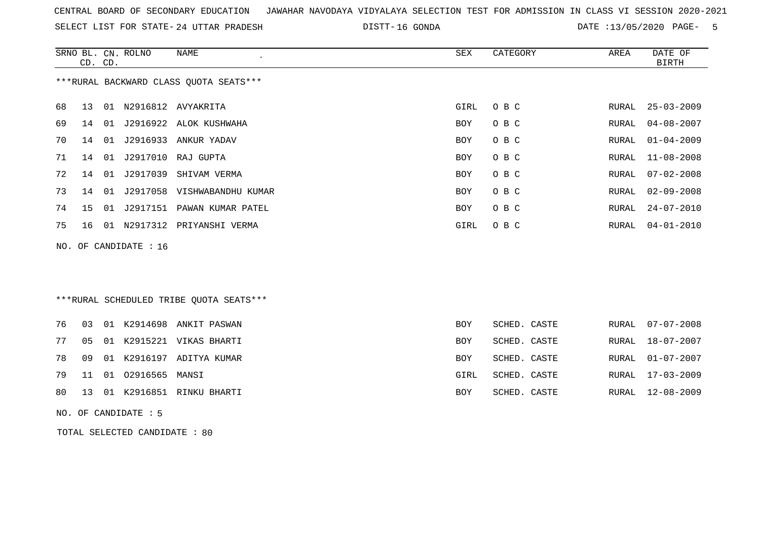| CENTRAL BOARD OF SECONDARY EDUCATION – JAWAHAR NAVODAYA VIDYALAYA SELECTION TEST FOR ADMISSION IN CLASS VI SESSION 2020-2021 |  |
|------------------------------------------------------------------------------------------------------------------------------|--|
|------------------------------------------------------------------------------------------------------------------------------|--|

24 UTTAR PRADESH 16 GONDA DATE :13/05/2020 PAGE- 5

|    |    | CD. CD. | SRNO BL. CN. ROLNO    | <b>NAME</b>                             | <b>SEX</b> | CATEGORY     | AREA  | DATE OF<br><b>BIRTH</b> |
|----|----|---------|-----------------------|-----------------------------------------|------------|--------------|-------|-------------------------|
|    |    |         |                       | *** RURAL BACKWARD CLASS QUOTA SEATS*** |            |              |       |                         |
| 68 | 13 |         |                       | 01 N2916812 AVYAKRITA                   | GIRL       | O B C        | RURAL | $25 - 03 - 2009$        |
| 69 | 14 | 01      |                       | J2916922 ALOK KUSHWAHA                  | BOY        | O B C        | RURAL | $04 - 08 - 2007$        |
| 70 | 14 | 01      | J2916933              | ANKUR YADAV                             | BOY        | O B C        | RURAL | $01 - 04 - 2009$        |
| 71 | 14 | 01      | J2917010              | RAJ GUPTA                               | BOY        | O B C        | RURAL | $11 - 08 - 2008$        |
| 72 | 14 | 01      | J2917039              | SHIVAM VERMA                            | BOY        | O B C        | RURAL | $07 - 02 - 2008$        |
| 73 | 14 | 01      |                       | J2917058 VISHWABANDHU KUMAR             | <b>BOY</b> | O B C        | RURAL | $02 - 09 - 2008$        |
| 74 | 15 | 01      |                       | J2917151 PAWAN KUMAR PATEL              | <b>BOY</b> | O B C        | RURAL | $24 - 07 - 2010$        |
| 75 | 16 |         |                       | 01 N2917312 PRIYANSHI VERMA             | GIRL       | O B C        | RURAL | $04 - 01 - 2010$        |
|    |    |         | NO. OF CANDIDATE : 16 |                                         |            |              |       |                         |
|    |    |         |                       |                                         |            |              |       |                         |
|    |    |         |                       |                                         |            |              |       |                         |
|    |    |         |                       | ***RURAL SCHEDULED TRIBE QUOTA SEATS*** |            |              |       |                         |
| 76 | 03 |         |                       | 01 K2914698 ANKIT PASWAN                | <b>BOY</b> | SCHED. CASTE | RURAL | $07 - 07 - 2008$        |
| 77 | 05 | 01      |                       | K2915221 VIKAS BHARTI                   | <b>BOY</b> | SCHED. CASTE | RURAL | $18 - 07 - 2007$        |
| 78 | 09 | 01      |                       | K2916197 ADITYA KUMAR                   | <b>BOY</b> | SCHED. CASTE | RURAL | $01 - 07 - 2007$        |
| 79 | 11 | 01      | 02916565 MANSI        |                                         | GIRL       | SCHED. CASTE | RURAL | $17 - 03 - 2009$        |

80 13 01 K2916851 RINKU BHARTI BOY SCHED. CASTE RURAL 12-08-2009

NO. OF CANDIDATE : 5

TOTAL SELECTED CANDIDATE : 80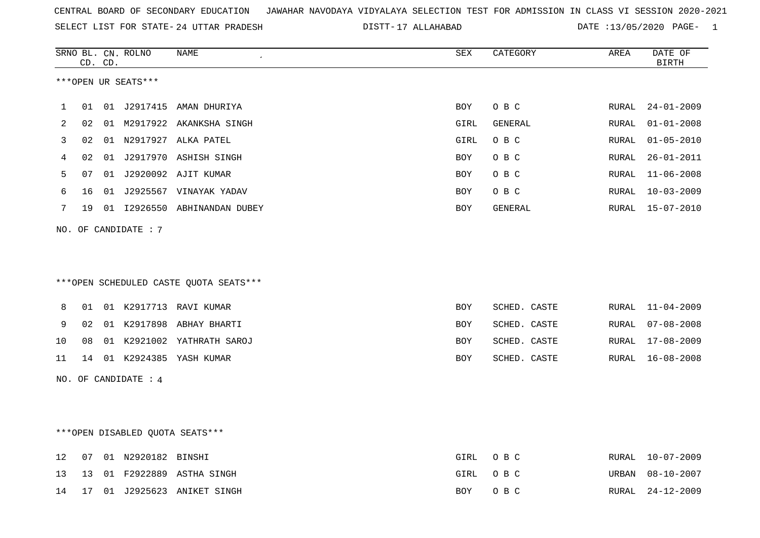|  |  |  |  | CENTRAL BOARD OF SECONDARY EDUCATION GJAWAHAR NAVODAYA VIDYALAYA SELECTION TEST FOR ADMISSION IN CLASS VI SESSION 2020-2021 |  |  |  |  |  |  |  |  |  |  |  |
|--|--|--|--|-----------------------------------------------------------------------------------------------------------------------------|--|--|--|--|--|--|--|--|--|--|--|
|--|--|--|--|-----------------------------------------------------------------------------------------------------------------------------|--|--|--|--|--|--|--|--|--|--|--|

SELECT LIST FOR STATE- DISTT- 24 UTTAR PRADESH 17 ALLAHABAD DATE :13/05/2020 PAGE- 1

|     |    | CD. CD. | SRNO BL. CN. ROLNO               | NAME                                   | SEX        | CATEGORY     | AREA  | DATE OF<br><b>BIRTH</b> |
|-----|----|---------|----------------------------------|----------------------------------------|------------|--------------|-------|-------------------------|
|     |    |         | ***OPEN UR SEATS***              |                                        |            |              |       |                         |
|     |    |         |                                  |                                        |            |              |       |                         |
| 1   | 01 |         |                                  | 01 J2917415 AMAN DHURIYA               | BOY        | O B C        | RURAL | $24 - 01 - 2009$        |
| 2   | 02 |         |                                  | 01 M2917922 AKANKSHA SINGH             | GIRL       | GENERAL      | RURAL | $01 - 01 - 2008$        |
| 3   | 02 |         |                                  | 01 N2917927 ALKA PATEL                 | GIRL       | O B C        | RURAL | $01 - 05 - 2010$        |
| 4   | 02 |         |                                  | 01 J2917970 ASHISH SINGH               | BOY        | O B C        | RURAL | $26 - 01 - 2011$        |
| 5   | 07 |         |                                  | 01 J2920092 AJIT KUMAR                 | BOY        | O B C        | RURAL | $11 - 06 - 2008$        |
| 6   | 16 |         |                                  | 01 J2925567 VINAYAK YADAV              | BOY        | O B C        | RURAL | $10 - 03 - 2009$        |
| 7   | 19 |         |                                  | 01 I2926550 ABHINANDAN DUBEY           | BOY        | GENERAL      |       | RURAL 15-07-2010        |
| NO. |    |         | OF CANDIDATE : 7                 |                                        |            |              |       |                         |
|     |    |         |                                  |                                        |            |              |       |                         |
|     |    |         |                                  |                                        |            |              |       |                         |
|     |    |         |                                  | ***OPEN SCHEDULED CASTE QUOTA SEATS*** |            |              |       |                         |
| 8   | 01 |         |                                  | 01 K2917713 RAVI KUMAR                 | <b>BOY</b> | SCHED. CASTE | RURAL | $11 - 04 - 2009$        |
| 9   | 02 |         |                                  | 01 K2917898 ABHAY BHARTI               | <b>BOY</b> | SCHED. CASTE | RURAL | $07 - 08 - 2008$        |
| 10  | 08 |         |                                  | 01 K2921002 YATHRATH SAROJ             | <b>BOY</b> | SCHED. CASTE | RURAL | $17 - 08 - 2009$        |
| 11  | 14 |         |                                  | 01 K2924385 YASH KUMAR                 | BOY        | SCHED. CASTE | RURAL | $16 - 08 - 2008$        |
|     |    |         | NO. OF CANDIDATE : 4             |                                        |            |              |       |                         |
|     |    |         |                                  |                                        |            |              |       |                         |
|     |    |         |                                  |                                        |            |              |       |                         |
|     |    |         | *** OPEN DISABLED QUOTA SEATS*** |                                        |            |              |       |                         |
| 12  | 07 |         | 01 N2920182 BINSHI               |                                        | GIRL       | O B C        | RURAL | $10 - 07 - 2009$        |
| 13  | 13 |         |                                  | 01 F2922889 ASTHA SINGH                | GIRL       | O B C        | URBAN | $08 - 10 - 2007$        |
| 14  | 17 |         |                                  | 01 J2925623 ANIKET SINGH               | BOY        | O B C        | RURAL | $24 - 12 - 2009$        |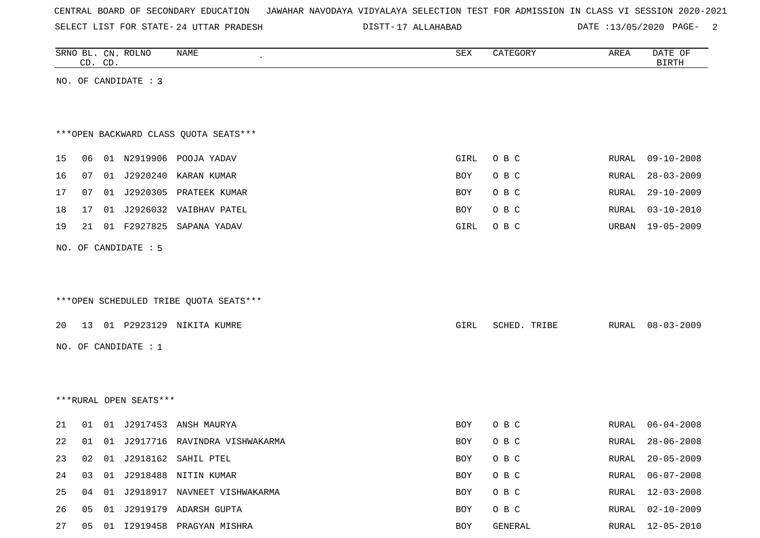|  |  | CENTRAL BOARD OF SECONDARY EDUCATION – JAWAHAR NAVODAYA VIDYALAYA SELECTION TEST FOR ADMISSION IN CLASS VI SESSION 2020-2021 |  |  |  |  |  |  |  |  |  |  |  |  |  |
|--|--|------------------------------------------------------------------------------------------------------------------------------|--|--|--|--|--|--|--|--|--|--|--|--|--|
|--|--|------------------------------------------------------------------------------------------------------------------------------|--|--|--|--|--|--|--|--|--|--|--|--|--|

DISTT-17 ALLAHABAD DATE :13/05/2020 PAGE- 2

|    | CD. CD. | SRNO BL. CN. ROLNO     | NAME<br>$\pmb{\cdot}$                  | ${\tt SEX}$         | AREA<br>CATEGORY | DATE OF<br><b>BIRTH</b> |
|----|---------|------------------------|----------------------------------------|---------------------|------------------|-------------------------|
|    |         | NO. OF CANDIDATE : 3   |                                        |                     |                  |                         |
|    |         |                        |                                        |                     |                  |                         |
|    |         |                        | *** OPEN BACKWARD CLASS QUOTA SEATS*** |                     |                  |                         |
| 15 | 06      |                        | 01 N2919906 POOJA YADAV                | O B C<br>GIRL       | RURAL            | $09 - 10 - 2008$        |
| 16 | 07      | 01 J2920240            | KARAN KUMAR                            | O B C<br>BOY        | RURAL            | $28 - 03 - 2009$        |
| 17 | 07      |                        | 01 J2920305 PRATEEK KUMAR              | O B C<br>BOY        | RURAL            | $29 - 10 - 2009$        |
| 18 | 17      |                        | 01 J2926032 VAIBHAV PATEL              | O B C<br>BOY        | RURAL            | $03 - 10 - 2010$        |
| 19 | 21      |                        | 01 F2927825 SAPANA YADAV               | O B C<br>GIRL       | URBAN            | $19 - 05 - 2009$        |
|    |         | NO. OF CANDIDATE : 5   |                                        |                     |                  |                         |
|    |         |                        |                                        |                     |                  |                         |
|    |         |                        |                                        |                     |                  |                         |
|    |         |                        | ***OPEN SCHEDULED TRIBE QUOTA SEATS*** |                     |                  |                         |
| 20 |         |                        | 13 01 P2923129 NIKITA KUMRE            | GIRL                | SCHED. TRIBE     | RURAL 08-03-2009        |
|    |         | NO. OF CANDIDATE : 1   |                                        |                     |                  |                         |
|    |         |                        |                                        |                     |                  |                         |
|    |         |                        |                                        |                     |                  |                         |
|    |         | ***RURAL OPEN SEATS*** |                                        |                     |                  |                         |
| 21 | 01      |                        | 01 J2917453 ANSH MAURYA                | <b>BOY</b><br>O B C | RURAL            | 06-04-2008              |
| 22 | 01      |                        | 01 J2917716 RAVINDRA VISHWAKARMA       | BOY<br>O B C        | RURAL            | $28 - 06 - 2008$        |
| 23 |         |                        | 02 01 J2918162 SAHIL PTEL              | BOY<br>O B C        | RURAL            | 20-05-2009              |
| 24 |         |                        | 03 01 J2918488 NITIN KUMAR             | O B C<br>BOY        | RURAL            | $06 - 07 - 2008$        |
| 25 |         |                        | 04 01 J2918917 NAVNEET VISHWAKARMA     | O B C<br>BOY        | RURAL            | $12 - 03 - 2008$        |
| 26 |         |                        | 05 01 J2919179 ADARSH GUPTA            | O B C<br>BOY        | RURAL            | $02 - 10 - 2009$        |
| 27 |         |                        | 05 01 I2919458 PRAGYAN MISHRA          | BOY                 | GENERAL<br>RURAL | $12 - 05 - 2010$        |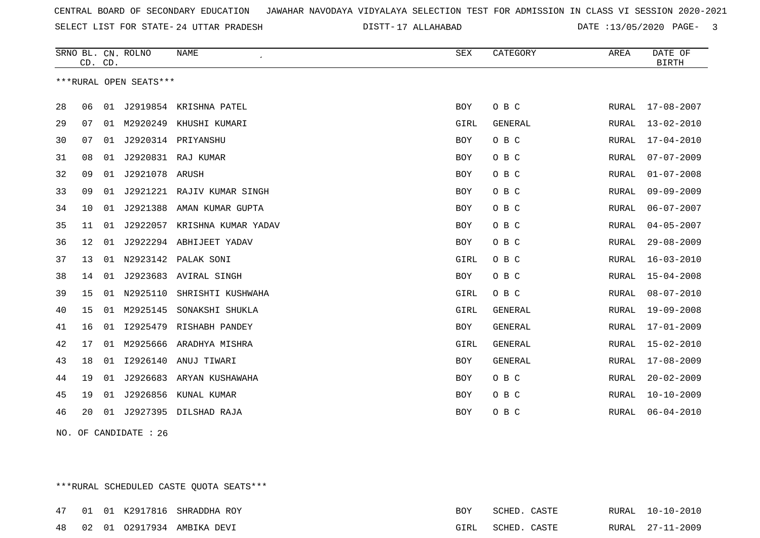SELECT LIST FOR STATE- DISTT- 24 UTTAR PRADESH

17 ALLAHABAD DATE :13/05/2020 PAGE- 3

| ***RURAL OPEN SEATS***<br>J2919854 KRISHNA PATEL<br>O B C<br>-28<br>06<br>01<br>BOY<br>RURAL<br>17-08-2007<br>29<br>01 M2920249 KHUSHI KUMARI<br>GIRL<br><b>GENERAL</b><br>$13 - 02 - 2010$<br>07<br>RURAL<br>30<br>J2920314 PRIYANSHU<br>O B C<br>$17 - 04 - 2010$<br>07<br>01<br>BOY<br>RURAL<br>J2920831 RAJ KUMAR<br>O B C<br>$07 - 07 - 2009$<br>31<br>08<br>01<br>BOY<br>RURAL<br>32<br>09<br>J2921078 ARUSH<br>O B C<br>$01 - 07 - 2008$<br>01<br><b>BOY</b><br>RURAL<br>33<br>09<br>J2921221 RAJIV KUMAR SINGH<br>O B C<br>$09 - 09 - 2009$<br>01<br>BOY<br>RURAL<br>J2921388<br>O B C<br>34<br>10<br>01<br>AMAN KUMAR GUPTA<br>RURAL<br>$06 - 07 - 2007$<br>BOY<br>35<br>J2922057 KRISHNA KUMAR YADAV<br>O B C<br>$04 - 05 - 2007$<br>11<br>01<br><b>BOY</b><br>RURAL<br>J2922294 ABHIJEET YADAV<br>36<br>12<br>01<br>BOY<br>O B C<br>$29 - 08 - 2009$<br>RURAL<br>N2923142 PALAK SONI<br>O B C<br>37<br>13<br>01<br>GIRL<br>$16 - 03 - 2010$<br>RURAL<br>38<br>J2923683 AVIRAL SINGH<br>O B C<br>$15 - 04 - 2008$<br>14<br>01<br>BOY<br>RURAL<br>N2925110<br>O B C<br>39<br>SHRISHTI KUSHWAHA<br>GIRL<br>$08 - 07 - 2010$<br>15<br>01<br>RURAL<br>M2925145<br>15<br>01<br>SONAKSHI SHUKLA<br>GIRL<br><b>GENERAL</b><br>$19 - 09 - 2008$<br>40<br>RURAL<br>12925479 RISHABH PANDEY<br><b>GENERAL</b><br>$17 - 01 - 2009$<br>41<br>16<br>01<br>BOY<br>RURAL<br>42<br>17<br>M2925666 ARADHYA MISHRA<br>GIRL<br><b>GENERAL</b><br>$15 - 02 - 2010$<br>01<br>RURAL<br>18<br>01<br>I2926140<br>ANUJ TIWARI<br><b>GENERAL</b><br>$17 - 08 - 2009$<br>43<br>BOY<br>RURAL<br>19<br>J2926683<br>O B C<br>$20 - 02 - 2009$<br>44<br>01<br>ARYAN KUSHAWAHA<br><b>BOY</b><br>RURAL<br>J2926856<br>O B C<br>$10 - 10 - 2009$<br>45<br>19<br>01<br>KUNAL KUMAR<br>BOY<br>RURAL<br>20<br>J2927395 DILSHAD RAJA<br>O B C<br>$06 - 04 - 2010$<br>46<br>01<br>BOY<br>RURAL | CD. CD. | SRNO BL. CN. ROLNO | <b>NAME</b> | ${\tt SEX}$ | CATEGORY | AREA | DATE OF<br><b>BIRTH</b> |
|-------------------------------------------------------------------------------------------------------------------------------------------------------------------------------------------------------------------------------------------------------------------------------------------------------------------------------------------------------------------------------------------------------------------------------------------------------------------------------------------------------------------------------------------------------------------------------------------------------------------------------------------------------------------------------------------------------------------------------------------------------------------------------------------------------------------------------------------------------------------------------------------------------------------------------------------------------------------------------------------------------------------------------------------------------------------------------------------------------------------------------------------------------------------------------------------------------------------------------------------------------------------------------------------------------------------------------------------------------------------------------------------------------------------------------------------------------------------------------------------------------------------------------------------------------------------------------------------------------------------------------------------------------------------------------------------------------------------------------------------------------------------------------------------------------------------------------------------------------------------|---------|--------------------|-------------|-------------|----------|------|-------------------------|
|                                                                                                                                                                                                                                                                                                                                                                                                                                                                                                                                                                                                                                                                                                                                                                                                                                                                                                                                                                                                                                                                                                                                                                                                                                                                                                                                                                                                                                                                                                                                                                                                                                                                                                                                                                                                                                                                   |         |                    |             |             |          |      |                         |
|                                                                                                                                                                                                                                                                                                                                                                                                                                                                                                                                                                                                                                                                                                                                                                                                                                                                                                                                                                                                                                                                                                                                                                                                                                                                                                                                                                                                                                                                                                                                                                                                                                                                                                                                                                                                                                                                   |         |                    |             |             |          |      |                         |
|                                                                                                                                                                                                                                                                                                                                                                                                                                                                                                                                                                                                                                                                                                                                                                                                                                                                                                                                                                                                                                                                                                                                                                                                                                                                                                                                                                                                                                                                                                                                                                                                                                                                                                                                                                                                                                                                   |         |                    |             |             |          |      |                         |
|                                                                                                                                                                                                                                                                                                                                                                                                                                                                                                                                                                                                                                                                                                                                                                                                                                                                                                                                                                                                                                                                                                                                                                                                                                                                                                                                                                                                                                                                                                                                                                                                                                                                                                                                                                                                                                                                   |         |                    |             |             |          |      |                         |
|                                                                                                                                                                                                                                                                                                                                                                                                                                                                                                                                                                                                                                                                                                                                                                                                                                                                                                                                                                                                                                                                                                                                                                                                                                                                                                                                                                                                                                                                                                                                                                                                                                                                                                                                                                                                                                                                   |         |                    |             |             |          |      |                         |
|                                                                                                                                                                                                                                                                                                                                                                                                                                                                                                                                                                                                                                                                                                                                                                                                                                                                                                                                                                                                                                                                                                                                                                                                                                                                                                                                                                                                                                                                                                                                                                                                                                                                                                                                                                                                                                                                   |         |                    |             |             |          |      |                         |
|                                                                                                                                                                                                                                                                                                                                                                                                                                                                                                                                                                                                                                                                                                                                                                                                                                                                                                                                                                                                                                                                                                                                                                                                                                                                                                                                                                                                                                                                                                                                                                                                                                                                                                                                                                                                                                                                   |         |                    |             |             |          |      |                         |
|                                                                                                                                                                                                                                                                                                                                                                                                                                                                                                                                                                                                                                                                                                                                                                                                                                                                                                                                                                                                                                                                                                                                                                                                                                                                                                                                                                                                                                                                                                                                                                                                                                                                                                                                                                                                                                                                   |         |                    |             |             |          |      |                         |
|                                                                                                                                                                                                                                                                                                                                                                                                                                                                                                                                                                                                                                                                                                                                                                                                                                                                                                                                                                                                                                                                                                                                                                                                                                                                                                                                                                                                                                                                                                                                                                                                                                                                                                                                                                                                                                                                   |         |                    |             |             |          |      |                         |
|                                                                                                                                                                                                                                                                                                                                                                                                                                                                                                                                                                                                                                                                                                                                                                                                                                                                                                                                                                                                                                                                                                                                                                                                                                                                                                                                                                                                                                                                                                                                                                                                                                                                                                                                                                                                                                                                   |         |                    |             |             |          |      |                         |
|                                                                                                                                                                                                                                                                                                                                                                                                                                                                                                                                                                                                                                                                                                                                                                                                                                                                                                                                                                                                                                                                                                                                                                                                                                                                                                                                                                                                                                                                                                                                                                                                                                                                                                                                                                                                                                                                   |         |                    |             |             |          |      |                         |
|                                                                                                                                                                                                                                                                                                                                                                                                                                                                                                                                                                                                                                                                                                                                                                                                                                                                                                                                                                                                                                                                                                                                                                                                                                                                                                                                                                                                                                                                                                                                                                                                                                                                                                                                                                                                                                                                   |         |                    |             |             |          |      |                         |
|                                                                                                                                                                                                                                                                                                                                                                                                                                                                                                                                                                                                                                                                                                                                                                                                                                                                                                                                                                                                                                                                                                                                                                                                                                                                                                                                                                                                                                                                                                                                                                                                                                                                                                                                                                                                                                                                   |         |                    |             |             |          |      |                         |
|                                                                                                                                                                                                                                                                                                                                                                                                                                                                                                                                                                                                                                                                                                                                                                                                                                                                                                                                                                                                                                                                                                                                                                                                                                                                                                                                                                                                                                                                                                                                                                                                                                                                                                                                                                                                                                                                   |         |                    |             |             |          |      |                         |
|                                                                                                                                                                                                                                                                                                                                                                                                                                                                                                                                                                                                                                                                                                                                                                                                                                                                                                                                                                                                                                                                                                                                                                                                                                                                                                                                                                                                                                                                                                                                                                                                                                                                                                                                                                                                                                                                   |         |                    |             |             |          |      |                         |
|                                                                                                                                                                                                                                                                                                                                                                                                                                                                                                                                                                                                                                                                                                                                                                                                                                                                                                                                                                                                                                                                                                                                                                                                                                                                                                                                                                                                                                                                                                                                                                                                                                                                                                                                                                                                                                                                   |         |                    |             |             |          |      |                         |
|                                                                                                                                                                                                                                                                                                                                                                                                                                                                                                                                                                                                                                                                                                                                                                                                                                                                                                                                                                                                                                                                                                                                                                                                                                                                                                                                                                                                                                                                                                                                                                                                                                                                                                                                                                                                                                                                   |         |                    |             |             |          |      |                         |
|                                                                                                                                                                                                                                                                                                                                                                                                                                                                                                                                                                                                                                                                                                                                                                                                                                                                                                                                                                                                                                                                                                                                                                                                                                                                                                                                                                                                                                                                                                                                                                                                                                                                                                                                                                                                                                                                   |         |                    |             |             |          |      |                         |
|                                                                                                                                                                                                                                                                                                                                                                                                                                                                                                                                                                                                                                                                                                                                                                                                                                                                                                                                                                                                                                                                                                                                                                                                                                                                                                                                                                                                                                                                                                                                                                                                                                                                                                                                                                                                                                                                   |         |                    |             |             |          |      |                         |
|                                                                                                                                                                                                                                                                                                                                                                                                                                                                                                                                                                                                                                                                                                                                                                                                                                                                                                                                                                                                                                                                                                                                                                                                                                                                                                                                                                                                                                                                                                                                                                                                                                                                                                                                                                                                                                                                   |         |                    |             |             |          |      |                         |

NO. OF CANDIDATE : 26

\*\*\*RURAL SCHEDULED CASTE QUOTA SEATS\*\*\*

|  |  | 47 01 01 K2917816 SHRADDHA ROY | BOY  | SCHED. CASTE |  | RURAL 10-10-2010 |
|--|--|--------------------------------|------|--------------|--|------------------|
|  |  | 48 02 01 02917934 AMBIKA DEVI  | GIRL | SCHED. CASTE |  | RURAL 27-11-2009 |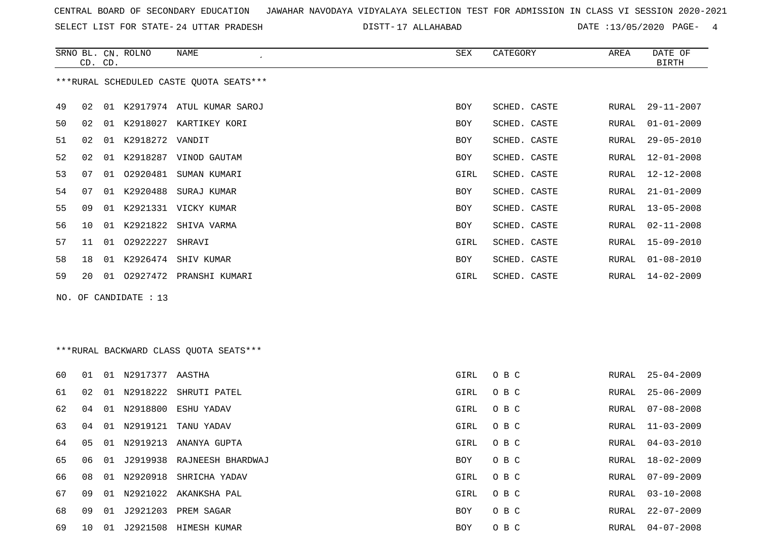SELECT LIST FOR STATE- DISTT- 24 UTTAR PRADESH

17 ALLAHABAD DATE :13/05/2020 PAGE- 4

|    | CD. CD. |    | SRNO BL. CN. ROLNO    | <b>NAME</b>                              | <b>SEX</b>  | CATEGORY     | AREA  | DATE OF<br><b>BIRTH</b> |
|----|---------|----|-----------------------|------------------------------------------|-------------|--------------|-------|-------------------------|
|    |         |    |                       | *** RURAL SCHEDULED CASTE QUOTA SEATS*** |             |              |       |                         |
| 49 | 02      |    |                       | 01 K2917974 ATUL KUMAR SAROJ             | <b>BOY</b>  | SCHED. CASTE | RURAL | $29 - 11 - 2007$        |
| 50 | 02      |    |                       | 01 K2918027 KARTIKEY KORI                | <b>BOY</b>  | SCHED. CASTE | RURAL | $01 - 01 - 2009$        |
| 51 | 02      |    | 01 K2918272 VANDIT    |                                          | BOY         | SCHED. CASTE | RURAL | $29 - 05 - 2010$        |
| 52 | 02      |    |                       | 01 K2918287 VINOD GAUTAM                 | BOY         | SCHED. CASTE | RURAL | $12 - 01 - 2008$        |
| 53 | 07      |    |                       | 01 02920481 SUMAN KUMARI                 | GIRL        | SCHED. CASTE | RURAL | $12 - 12 - 2008$        |
| 54 | 07      |    | 01 K2920488           | SURAJ KUMAR                              | <b>BOY</b>  | SCHED. CASTE | RURAL | $21 - 01 - 2009$        |
| 55 | 09      |    |                       | 01 K2921331 VICKY KUMAR                  | <b>BOY</b>  | SCHED. CASTE | RURAL | $13 - 05 - 2008$        |
| 56 | 10      |    | 01 K2921822           | SHIVA VARMA                              | BOY         | SCHED. CASTE | RURAL | $02 - 11 - 2008$        |
| 57 | 11      |    | 01 02922227           | SHRAVI                                   | GIRL        | SCHED. CASTE | RURAL | 15-09-2010              |
| 58 | 18      |    |                       | 01 K2926474 SHIV KUMAR                   | BOY         | SCHED. CASTE | RURAL | $01 - 08 - 2010$        |
| 59 | 20      |    |                       | 01 02927472 PRANSHI KUMARI               | <b>GIRL</b> | SCHED. CASTE | RURAL | $14 - 02 - 2009$        |
|    |         |    | NO. OF CANDIDATE : 13 |                                          |             |              |       |                         |
|    |         |    |                       |                                          |             |              |       |                         |
|    |         |    |                       |                                          |             |              |       |                         |
|    |         |    |                       | *** RURAL BACKWARD CLASS QUOTA SEATS***  |             |              |       |                         |
| 60 | 01      |    | 01 N2917377 AASTHA    |                                          | GIRL        | O B C        | RURAL | $25 - 04 - 2009$        |
| 61 | 02      |    |                       | 01 N2918222 SHRUTI PATEL                 | GIRL        | O B C        | RURAL | $25 - 06 - 2009$        |
| 62 | 04      |    | 01 N2918800           | ESHU YADAV                               | <b>GIRL</b> | O B C        | RURAL | $07 - 08 - 2008$        |
| 63 | 04      |    |                       | 01 N2919121 TANU YADAV                   | GIRL        | O B C        | RURAL | $11 - 03 - 2009$        |
| 64 | 05      |    |                       | 01 N2919213 ANANYA GUPTA                 | GIRL        | O B C        | RURAL | $04 - 03 - 2010$        |
| 65 | 06      | 01 |                       | J2919938 RAJNEESH BHARDWAJ               | BOY         | O B C        | RURAL | 18-02-2009              |
| 66 | 08      |    |                       | 01 N2920918 SHRICHA YADAV                | GIRL        | O B C        | RURAL | $07 - 09 - 2009$        |
| 67 | 09      |    |                       | 01 N2921022 AKANKSHA PAL                 | GIRL        | O B C        | RURAL | $03 - 10 - 2008$        |

09 01 J2921203 PREM SAGAR BOY O B C RURAL 22-07-2009

10 01 J2921508 HIMESH KUMAR BOY O B C RURAL 04-07-2008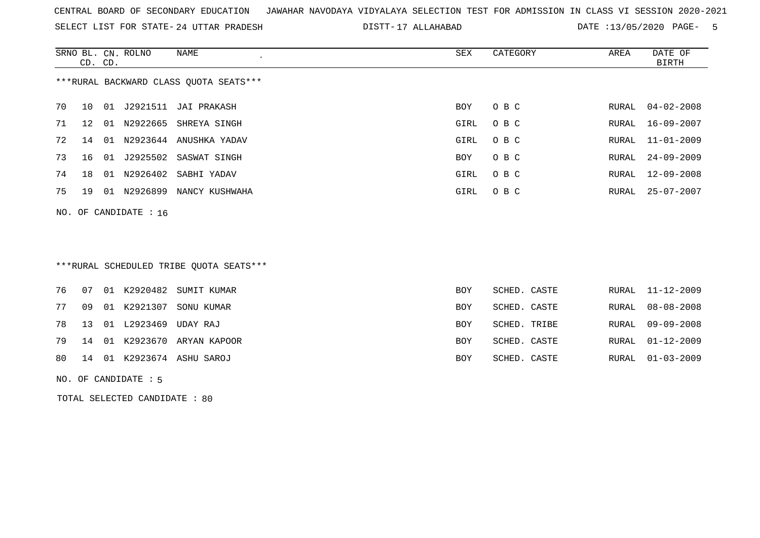SELECT LIST FOR STATE- DISTT- 24 UTTAR PRADESH

17 ALLAHABAD DATE :13/05/2020 PAGE- 5

|    |                                        | CD. CD. | SRNO BL. CN. ROLNO   | NAME<br>$\epsilon$        | SEX  | CATEGORY | AREA  | DATE OF<br>BIRTH |  |  |  |  |  |
|----|----------------------------------------|---------|----------------------|---------------------------|------|----------|-------|------------------|--|--|--|--|--|
|    | ***RURAL BACKWARD CLASS QUOTA SEATS*** |         |                      |                           |      |          |       |                  |  |  |  |  |  |
| 70 | 10                                     |         |                      | 01 J2921511 JAI PRAKASH   | BOY  | O B C    | RURAL | 04-02-2008       |  |  |  |  |  |
| 71 | 12                                     |         |                      | 01 N2922665 SHREYA SINGH  | GIRL | O B C    | RURAL | 16-09-2007       |  |  |  |  |  |
| 72 | 14                                     |         |                      | 01 N2923644 ANUSHKA YADAV | GIRL | O B C    | RURAL | 11-01-2009       |  |  |  |  |  |
| 73 | 16                                     |         |                      | 01 J2925502 SASWAT SINGH  | BOY  | O B C    | RURAL | $24 - 09 - 2009$ |  |  |  |  |  |
| 74 | 18                                     |         |                      | 01 N2926402 SABHI YADAV   | GIRL | O B C    | RURAL | 12-09-2008       |  |  |  |  |  |
| 75 | 19                                     | 01      | N2926899             | NANCY KUSHWAHA            | GIRL | O B C    | RURAL | $25 - 07 - 2007$ |  |  |  |  |  |
|    |                                        |         | NO. OF CANDIDATE: 16 |                           |      |          |       |                  |  |  |  |  |  |
|    |                                        |         |                      |                           |      |          |       |                  |  |  |  |  |  |

\*\*\*RURAL SCHEDULED TRIBE QUOTA SEATS\*\*\*

|  |                            | 76 07 01 K2920482 SUMIT KUMAR  | BOY        | SCHED. CASTE | RURAL 11-12-2009 |
|--|----------------------------|--------------------------------|------------|--------------|------------------|
|  |                            | 77 09 01 K2921307 SONU KUMAR   | BOY        | SCHED. CASTE | RURAL 08-08-2008 |
|  | 78 13 01 L2923469 UDAY RAJ |                                | BOY        | SCHED. TRIBE | RURAL 09-09-2008 |
|  |                            | 79 14 01 K2923670 ARYAN KAPOOR | <b>BOY</b> | SCHED. CASTE | RURAL 01-12-2009 |
|  |                            | 80 14 01 K2923674 ASHU SAROJ   | BOY        | SCHED. CASTE | RURAL 01-03-2009 |
|  |                            |                                |            |              |                  |

NO. OF CANDIDATE : 5

TOTAL SELECTED CANDIDATE : 80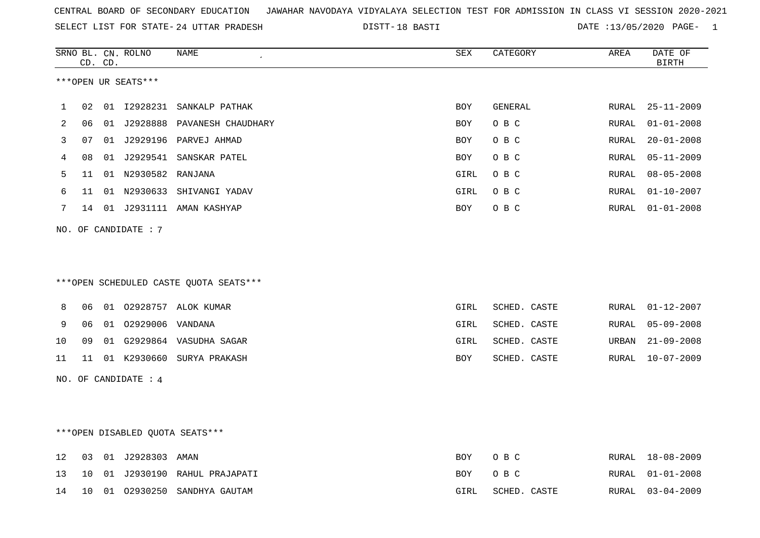18 BASTI DATE :13/05/2020 PAGE- 1

|    |    | CD. CD. | SRNO BL. CN. ROLNO     | NAME                                   | SEX        | CATEGORY     | AREA         | DATE OF<br><b>BIRTH</b> |
|----|----|---------|------------------------|----------------------------------------|------------|--------------|--------------|-------------------------|
|    |    |         | ***OPEN UR SEATS***    |                                        |            |              |              |                         |
|    |    |         |                        |                                        |            |              |              |                         |
| 1  | 02 |         |                        | 01 I2928231 SANKALP PATHAK             | BOY        | GENERAL      | RURAL        | $25 - 11 - 2009$        |
| 2  | 06 |         |                        | 01 J2928888 PAVANESH CHAUDHARY         | <b>BOY</b> | O B C        | RURAL        | $01 - 01 - 2008$        |
| 3  | 07 |         |                        | 01 J2929196 PARVEJ AHMAD               | <b>BOY</b> | O B C        | RURAL        | $20 - 01 - 2008$        |
| 4  | 08 |         |                        | 01 J2929541 SANSKAR PATEL              | <b>BOY</b> | O B C        | <b>RURAL</b> | $05 - 11 - 2009$        |
| 5  | 11 |         | 01 N2930582 RANJANA    |                                        | GIRL       | O B C        | RURAL        | $08 - 05 - 2008$        |
| 6  | 11 |         |                        | 01 N2930633 SHIVANGI YADAV             | GIRL       | O B C        | RURAL        | $01 - 10 - 2007$        |
| 7  | 14 |         |                        | 01 J2931111 AMAN KASHYAP               | BOY        | O B C        | RURAL        | $01 - 01 - 2008$        |
|    |    |         | NO. OF CANDIDATE : $7$ |                                        |            |              |              |                         |
|    |    |         |                        |                                        |            |              |              |                         |
|    |    |         |                        |                                        |            |              |              |                         |
|    |    |         |                        | ***OPEN SCHEDULED CASTE QUOTA SEATS*** |            |              |              |                         |
| 8  | 06 |         |                        | 01 02928757 ALOK KUMAR                 | GIRL       | SCHED. CASTE | RURAL        | $01 - 12 - 2007$        |
| 9  | 06 |         | 01 02929006 VANDANA    |                                        | GIRL       | SCHED. CASTE | RURAL        | $05 - 09 - 2008$        |
| 10 | 09 |         |                        | 01 G2929864 VASUDHA SAGAR              | GIRL       | SCHED. CASTE | URBAN        | $21 - 09 - 2008$        |
| 11 | 11 |         |                        | 01 K2930660 SURYA PRAKASH              | BOY        | SCHED. CASTE | RURAL        | $10 - 07 - 2009$        |
|    |    |         | NO. OF CANDIDATE : 4   |                                        |            |              |              |                         |
|    |    |         |                        |                                        |            |              |              |                         |
|    |    |         |                        |                                        |            |              |              |                         |
|    |    |         |                        | *** OPEN DISABLED QUOTA SEATS***       |            |              |              |                         |
| 12 | 03 |         | 01 J2928303 AMAN       |                                        | <b>BOY</b> | O B C        | RURAL        | $18 - 08 - 2009$        |
| 13 | 10 |         |                        | 01 J2930190 RAHUL PRAJAPATI            | <b>BOY</b> | O B C        | RURAL        | $01 - 01 - 2008$        |
| 14 | 10 | 01      | 02930250               | SANDHYA GAUTAM                         | GIRL       | SCHED. CASTE | RURAL        | $03 - 04 - 2009$        |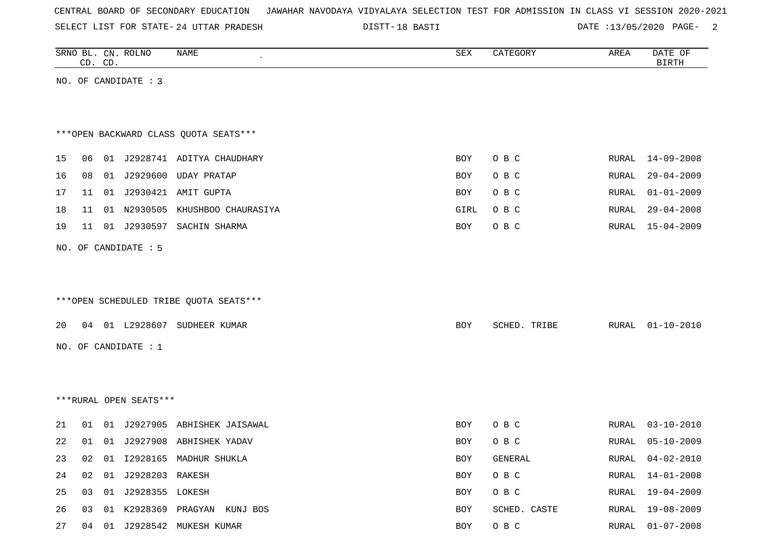|  |  | CENTRAL BOARD OF SECONDARY EDUCATION – JAWAHAR NAVODAYA VIDYALAYA SELECTION TEST FOR ADMISSION IN CLASS VI SESSION 2020-2021 |  |  |  |  |  |  |  |  |  |  |  |  |  |
|--|--|------------------------------------------------------------------------------------------------------------------------------|--|--|--|--|--|--|--|--|--|--|--|--|--|
|--|--|------------------------------------------------------------------------------------------------------------------------------|--|--|--|--|--|--|--|--|--|--|--|--|--|

DISTT-18 BASTI 2001 2002 DATE :13/05/2020 PAGE-

|    |    | CD. CD. | SRNO BL. CN. ROLNO     | NAME                                   | SEX        | CATEGORY     | AREA         | DATE OF<br><b>BIRTH</b> |
|----|----|---------|------------------------|----------------------------------------|------------|--------------|--------------|-------------------------|
|    |    |         | NO. OF CANDIDATE : 3   |                                        |            |              |              |                         |
|    |    |         |                        |                                        |            |              |              |                         |
|    |    |         |                        |                                        |            |              |              |                         |
|    |    |         |                        | *** OPEN BACKWARD CLASS QUOTA SEATS*** |            |              |              |                         |
| 15 | 06 |         |                        | 01 J2928741 ADITYA CHAUDHARY           | <b>BOY</b> | O B C        | RURAL        | $14 - 09 - 2008$        |
| 16 | 08 |         |                        | 01 J2929600 UDAY PRATAP                | BOY        | O B C        | <b>RURAL</b> | $29 - 04 - 2009$        |
| 17 | 11 |         |                        | 01 J2930421 AMIT GUPTA                 | BOY        | O B C        | <b>RURAL</b> | $01 - 01 - 2009$        |
| 18 | 11 |         |                        | 01 N2930505 KHUSHBOO CHAURASIYA        | GIRL       | O B C        | <b>RURAL</b> | $29 - 04 - 2008$        |
| 19 | 11 |         |                        | 01 J2930597 SACHIN SHARMA              | BOY        | O B C        | <b>RURAL</b> | $15 - 04 - 2009$        |
|    |    |         | NO. OF CANDIDATE : 5   |                                        |            |              |              |                         |
|    |    |         |                        |                                        |            |              |              |                         |
|    |    |         |                        |                                        |            |              |              |                         |
|    |    |         |                        | ***OPEN SCHEDULED TRIBE QUOTA SEATS*** |            |              |              |                         |
| 20 | 04 |         |                        | 01 L2928607 SUDHEER KUMAR              | BOY        | SCHED. TRIBE | RURAL        | $01 - 10 - 2010$        |
|    |    |         | NO. OF CANDIDATE : 1   |                                        |            |              |              |                         |
|    |    |         |                        |                                        |            |              |              |                         |
|    |    |         |                        |                                        |            |              |              |                         |
|    |    |         |                        |                                        |            |              |              |                         |
|    |    |         | ***RURAL OPEN SEATS*** |                                        |            |              |              |                         |
| 21 | 01 |         |                        | 01 J2927905 ABHISHEK JAISAWAL          | BOY        | O B C        | RURAL        | $03 - 10 - 2010$        |
| 22 | 01 |         |                        | 01 J2927908 ABHISHEK YADAV             | <b>BOY</b> | O B C        | RURAL        | $05 - 10 - 2009$        |
| 23 | 02 |         |                        | 01 I2928165 MADHUR SHUKLA              | BOY        | GENERAL      | RURAL        | $04 - 02 - 2010$        |
| 24 | 02 |         | 01 J2928203 RAKESH     |                                        | BOY        | $O$ B $C$    | <b>RURAL</b> | $14 - 01 - 2008$        |
| 25 | 03 |         | 01 J2928355 LOKESH     |                                        | BOY        | O B C        | RURAL        | $19 - 04 - 2009$        |
| 26 | 03 |         |                        | 01 K2928369 PRAGYAN KUNJ BOS           | BOY        | SCHED. CASTE | RURAL        | $19 - 08 - 2009$        |
| 27 |    |         |                        | 04 01 J2928542 MUKESH KUMAR            | BOY        | $O$ B $C$    | RURAL        | $01 - 07 - 2008$        |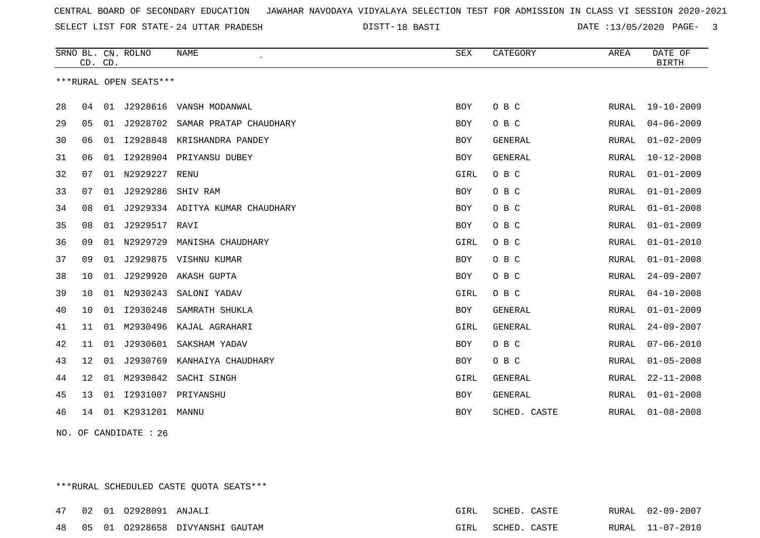18 BASTI DATE :13/05/2020 PAGE- 3

|    | CD. CD. |    | SRNO BL. CN. ROLNO     | NAME                       | <b>SEX</b> | CATEGORY       | AREA         | DATE OF<br><b>BIRTH</b> |
|----|---------|----|------------------------|----------------------------|------------|----------------|--------------|-------------------------|
|    |         |    | ***RURAL OPEN SEATS*** |                            |            |                |              |                         |
|    |         |    |                        |                            |            |                |              |                         |
| 28 | 04      |    |                        | 01 J2928616 VANSH MODANWAL | BOY        | O B C          | RURAL        | 19-10-2009              |
| 29 | 05      |    | 01 J2928702            | SAMAR PRATAP CHAUDHARY     | <b>BOY</b> | O B C          | RURAL        | $04 - 06 - 2009$        |
| 30 | 06      | 01 | I2928848               | KRISHANDRA PANDEY          | BOY        | <b>GENERAL</b> | RURAL        | $01 - 02 - 2009$        |
| 31 | 06      | 01 | I2928904               | PRIYANSU DUBEY             | BOY        | <b>GENERAL</b> | RURAL        | $10 - 12 - 2008$        |
| 32 | 07      | 01 | N2929227               | RENU                       | GIRL       | O B C          | RURAL        | $01 - 01 - 2009$        |
| 33 | 07      | 01 | J2929286               | SHIV RAM                   | BOY        | O B C          | RURAL        | $01 - 01 - 2009$        |
| 34 | 08      | 01 | J2929334               | ADITYA KUMAR CHAUDHARY     | BOY        | O B C          | <b>RURAL</b> | $01 - 01 - 2008$        |
| 35 | 08      | 01 | J2929517               | RAVI                       | <b>BOY</b> | O B C          | RURAL        | $01 - 01 - 2009$        |
| 36 | 09      | 01 | N2929729               | MANISHA CHAUDHARY          | GIRL       | O B C          | RURAL        | $01 - 01 - 2010$        |
| 37 | 09      | 01 | J2929875               | VISHNU KUMAR               | BOY        | O B C          | RURAL        | $01 - 01 - 2008$        |
| 38 | 10      | 01 | J2929920               | AKASH GUPTA                | BOY        | O B C          | RURAL        | $24 - 09 - 2007$        |
| 39 | 10      |    | 01 N2930243            | SALONI YADAV               | GIRL       | O B C          | RURAL        | $04 - 10 - 2008$        |
| 40 | 10      | 01 | I2930248               | SAMRATH SHUKLA             | BOY        | <b>GENERAL</b> | RURAL        | $01 - 01 - 2009$        |
| 41 | 11      | 01 | M2930496               | KAJAL AGRAHARI             | GIRL       | <b>GENERAL</b> | RURAL        | $24 - 09 - 2007$        |
| 42 | 11      | 01 | J2930601               | SAKSHAM YADAV              | <b>BOY</b> | O B C          | RURAL        | $07 - 06 - 2010$        |
| 43 | 12      | 01 | J2930769               | KANHAIYA CHAUDHARY         | BOY        | O B C          | RURAL        | $01 - 05 - 2008$        |
| 44 | 12      | 01 | M2930842               | SACHI SINGH                | GIRL       | <b>GENERAL</b> | RURAL        | $22 - 11 - 2008$        |
| 45 | 13      | 01 | I2931007               | PRIYANSHU                  | BOY        | <b>GENERAL</b> | RURAL        | $01 - 01 - 2008$        |
| 46 | 14      |    | 01 K2931201            | MANNU                      | <b>BOY</b> | SCHED. CASTE   | RURAL        | $01 - 08 - 2008$        |

NO. OF CANDIDATE : 26

\*\*\*RURAL SCHEDULED CASTE QUOTA SEATS\*\*\*

|  | 47 02 01 02928091 ANJALI |                                    | GIRL SCHED. CASTE |  | RURAL 02-09-2007 |
|--|--------------------------|------------------------------------|-------------------|--|------------------|
|  |                          | 48 05 01 02928658 DIVYANSHI GAUTAM | GIRL SCHED. CASTE |  | RURAL 11-07-2010 |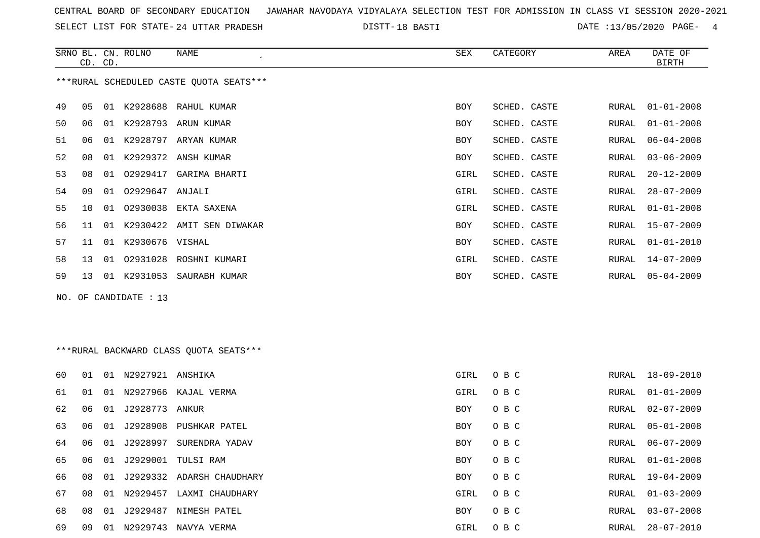SELECT LIST FOR STATE- DISTT- 24 UTTAR PRADESH

18 BASTI DATE :13/05/2020 PAGE- 4

|    | CD. CD. |    | SRNO BL. CN. ROLNO    | NAME                                    | SEX        | CATEGORY     | AREA  | DATE OF<br><b>BIRTH</b> |
|----|---------|----|-----------------------|-----------------------------------------|------------|--------------|-------|-------------------------|
|    |         |    |                       | ***RURAL SCHEDULED CASTE QUOTA SEATS*** |            |              |       |                         |
| 49 | 05      | 01 |                       | K2928688 RAHUL KUMAR                    | <b>BOY</b> | SCHED. CASTE | RURAL | $01 - 01 - 2008$        |
| 50 | 06      |    |                       | 01 K2928793 ARUN KUMAR                  | <b>BOY</b> | SCHED. CASTE | RURAL | $01 - 01 - 2008$        |
| 51 | 06      | 01 | K2928797              | ARYAN KUMAR                             | <b>BOY</b> | SCHED. CASTE | RURAL | $06 - 04 - 2008$        |
| 52 | 08      |    |                       | 01 K2929372 ANSH KUMAR                  | <b>BOY</b> | SCHED. CASTE | RURAL | $03 - 06 - 2009$        |
| 53 | 08      | 01 | 02929417              | GARIMA BHARTI                           | GIRL       | SCHED. CASTE | RURAL | $20 - 12 - 2009$        |
| 54 | 09      |    | 01 02929647 ANJALI    |                                         | GIRL       | SCHED. CASTE | RURAL | $28 - 07 - 2009$        |
| 55 | 10      | 01 |                       | 02930038 EKTA SAXENA                    | GIRL       | SCHED. CASTE | RURAL | $01 - 01 - 2008$        |
| 56 | 11      |    |                       | 01 K2930422 AMIT SEN DIWAKAR            | BOY        | SCHED. CASTE | RURAL | $15 - 07 - 2009$        |
| 57 | 11      | 01 | K2930676 VISHAL       |                                         | <b>BOY</b> | SCHED. CASTE | RURAL | $01 - 01 - 2010$        |
| 58 | 13      | 01 |                       | 02931028 ROSHNI KUMARI                  | GIRL       | SCHED. CASTE | RURAL | $14 - 07 - 2009$        |
| 59 | 13      |    | 01 K2931053           | SAURABH KUMAR                           | <b>BOY</b> | SCHED. CASTE | RURAL | $05 - 04 - 2009$        |
|    |         |    | NO. OF CANDIDATE : 13 |                                         |            |              |       |                         |

# \*\*\*RURAL BACKWARD CLASS QUOTA SEATS\*\*\*

| 60 | 01 | 01    | N2927921       | ANSHIKA                   | GIRL       | O B C | RURAL | 18-09-2010       |
|----|----|-------|----------------|---------------------------|------------|-------|-------|------------------|
| 61 | 01 | . O 1 | N2927966       | KAJAL VERMA               | GIRL       | O B C | RURAL | $01 - 01 - 2009$ |
| 62 | 06 | 01    | J2928773 ANKUR |                           | BOY        | O B C | RURAL | 02-07-2009       |
| 63 | 06 | 01    |                | J2928908 PUSHKAR PATEL    | BOY        | O B C | RURAL | $05 - 01 - 2008$ |
| 64 | 06 | 01    | J2928997       | SURENDRA YADAV            | BOY        | O B C | RURAL | 06-07-2009       |
| 65 | 06 | 01    |                | J2929001 TULSI RAM        | BOY        | O B C | RURAL | $01 - 01 - 2008$ |
| 66 | 08 | 01    |                | J2929332 ADARSH CHAUDHARY | BOY        | O B C | RURAL | 19-04-2009       |
| 67 | 08 | 01    | N2929457       | LAXMI CHAUDHARY           | GIRL       | O B C | RURAL | $01 - 03 - 2009$ |
| 68 | 08 | 01    | J2929487       | NIMESH PATEL              | <b>BOY</b> | O B C | RURAL | $03 - 07 - 2008$ |
| 69 | 09 | -01   | N2929743       | NAVYA VERMA               | GIRL       | O B C | RURAL | 28-07-2010       |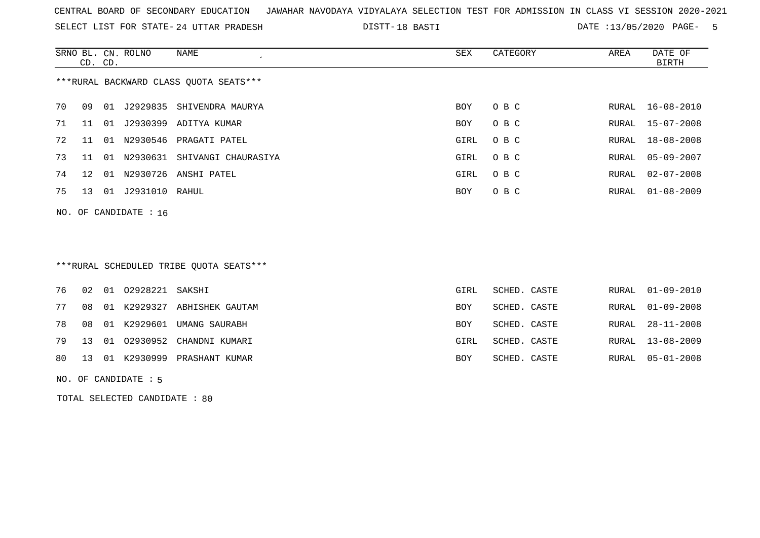SELECT LIST FOR STATE- DISTT- 24 UTTAR PRADESH

18 BASTI DATE :13/05/2020 PAGE- 5

|    | CD. CD.      |    | SRNO BL. CN. ROLNO | NAME<br>$\cdot$                        | SEX        | CATEGORY | AREA  | DATE OF<br>BIRTH |
|----|--------------|----|--------------------|----------------------------------------|------------|----------|-------|------------------|
|    |              |    |                    | ***RURAL BACKWARD CLASS OUOTA SEATS*** |            |          |       |                  |
| 70 | 09           | 01 | J2929835           | SHIVENDRA MAURYA                       | BOY        | O B C    | RURAL | 16-08-2010       |
| 71 | 11           | 01 | J2930399           | ADITYA KUMAR                           | <b>BOY</b> | O B C    | RURAL | $15 - 07 - 2008$ |
| 72 | 11           | 01 | N2930546           | PRAGATI PATEL                          | GIRL       | O B C    | RURAL | $18 - 08 - 2008$ |
| 73 | 11           | 01 | N2930631           | SHIVANGI CHAURASIYA                    | GIRL       | O B C    | RURAL | 05-09-2007       |
| 74 | $12^{\circ}$ | 01 | N2930726           | ANSHI PATEL                            | GIRL       | O B C    | RURAL | $02 - 07 - 2008$ |
| 75 | 13           | 01 | J2931010           | RAHUL                                  | BOY        | O B C    | RURAL | $01 - 08 - 2009$ |

NO. OF CANDIDATE : 16

### \*\*\*RURAL SCHEDULED TRIBE QUOTA SEATS\*\*\*

|    |  | 76 02 01 02928221 SAKSHI |                                  | GIRL       | SCHED. CASTE | RURAL 01-09-2010 |
|----|--|--------------------------|----------------------------------|------------|--------------|------------------|
| 77 |  |                          | 08 01 K2929327 ABHISHEK GAUTAM   | <b>BOY</b> | SCHED. CASTE | RURAL 01-09-2008 |
| 78 |  |                          | 08 01 K2929601 UMANG SAURABH     | <b>BOY</b> | SCHED. CASTE | RURAL 28-11-2008 |
|    |  |                          | 79 13 01 02930952 CHANDNI KUMARI | GIRL       | SCHED. CASTE | RURAL 13-08-2009 |
|    |  |                          | 80 13 01 K2930999 PRASHANT KUMAR | BOY        | SCHED. CASTE | RURAL 05-01-2008 |
|    |  |                          |                                  |            |              |                  |

NO. OF CANDIDATE : 5

TOTAL SELECTED CANDIDATE : 80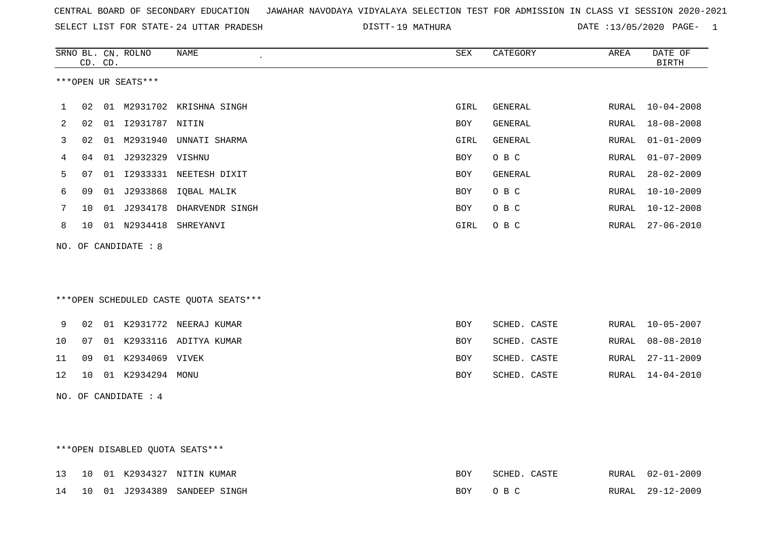|  |  |  |  | CENTRAL BOARD OF SECONDARY EDUCATION GJAWAHAR NAVODAYA VIDYALAYA SELECTION TEST FOR ADMISSION IN CLASS VI SESSION 2020-2021 |  |  |  |  |  |  |  |  |  |  |  |
|--|--|--|--|-----------------------------------------------------------------------------------------------------------------------------|--|--|--|--|--|--|--|--|--|--|--|
|--|--|--|--|-----------------------------------------------------------------------------------------------------------------------------|--|--|--|--|--|--|--|--|--|--|--|

SELECT LIST FOR STATE- DISTT- 24 UTTAR PRADESH 19 MATHURA DATE :13/05/2020 PAGE- 1

|    |    | CD. CD. | SRNO BL. CN. ROLNO   | NAME                                   | ${\tt SEX}$ | CATEGORY       | AREA  | DATE OF<br><b>BIRTH</b> |
|----|----|---------|----------------------|----------------------------------------|-------------|----------------|-------|-------------------------|
|    |    |         | ***OPEN UR SEATS***  |                                        |             |                |       |                         |
| 1  | 02 |         |                      | 01 M2931702 KRISHNA SINGH              | GIRL        | GENERAL        | RURAL | $10 - 04 - 2008$        |
| 2  | 02 |         | 01 I2931787 NITIN    |                                        | BOY         | GENERAL        | RURAL | $18 - 08 - 2008$        |
| 3  | 02 |         |                      | 01 M2931940 UNNATI SHARMA              | GIRL        | <b>GENERAL</b> | RURAL | $01 - 01 - 2009$        |
| 4  | 04 |         | 01 J2932329 VISHNU   |                                        | BOY         | O B C          | RURAL | $01 - 07 - 2009$        |
| 5  | 07 |         |                      | 01 I2933331 NEETESH DIXIT              | BOY         | GENERAL        | RURAL | $28 - 02 - 2009$        |
| 6  | 09 |         |                      | 01 J2933868 IQBAL MALIK                | BOY         | O B C          | RURAL | $10 - 10 - 2009$        |
| 7  | 10 |         |                      | 01 J2934178 DHARVENDR SINGH            | BOY         | O B C          | RURAL | $10 - 12 - 2008$        |
| 8  | 10 |         |                      | 01 N2934418 SHREYANVI                  | GIRL        | O B C          | RURAL | $27 - 06 - 2010$        |
|    |    |         | NO. OF CANDIDATE : 8 |                                        |             |                |       |                         |
|    |    |         |                      |                                        |             |                |       |                         |
|    |    |         |                      |                                        |             |                |       |                         |
|    |    |         |                      | ***OPEN SCHEDULED CASTE QUOTA SEATS*** |             |                |       |                         |
|    |    |         |                      |                                        |             |                |       |                         |
| 9  | 02 |         |                      | 01 K2931772 NEERAJ KUMAR               | BOY         | SCHED. CASTE   | RURAL | $10 - 05 - 2007$        |
| 10 | 07 |         |                      | 01 K2933116 ADITYA KUMAR               | BOY         | SCHED. CASTE   | RURAL | $08 - 08 - 2010$        |
| 11 | 09 |         | 01 K2934069 VIVEK    |                                        | BOY         | SCHED. CASTE   | RURAL | $27 - 11 - 2009$        |
| 12 | 10 |         | 01 K2934294 MONU     |                                        | BOY         | SCHED. CASTE   | RURAL | $14 - 04 - 2010$        |
|    |    |         | NO. OF CANDIDATE : 4 |                                        |             |                |       |                         |
|    |    |         |                      |                                        |             |                |       |                         |
|    |    |         |                      |                                        |             |                |       |                         |
|    |    |         |                      | ***OPEN DISABLED OUOTA SEATS***        |             |                |       |                         |

|  |  | 13 10 01 K2934327 NITIN KUMAR           | BOY     | SCHED. CASTE | RURAL 02-01-2009 |
|--|--|-----------------------------------------|---------|--------------|------------------|
|  |  | 14   10   01   J2934389   SANDEEP SINGH | BOY OBC |              | RURAL 29-12-2009 |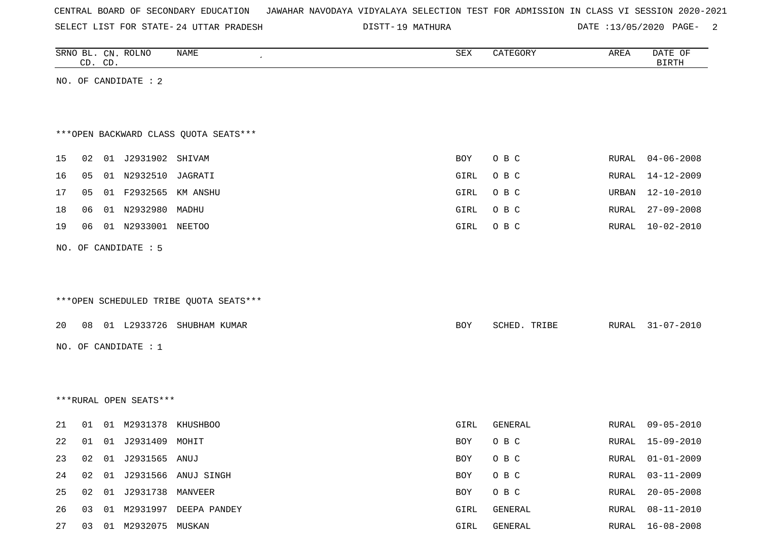| CENTRAL BOARD OF SECONDARY EDUCATION – JAWAHAR NAVODAYA VIDYALAYA SELECTION TEST FOR ADMISSION IN CLASS VI SESSION 2020-2021 |  |  |  |  |
|------------------------------------------------------------------------------------------------------------------------------|--|--|--|--|
|------------------------------------------------------------------------------------------------------------------------------|--|--|--|--|

19 MATHURA DATE :13/05/2020 PAGE- 2

|    | CD. CD. | SRNO BL. CN. ROLNO     | NAME                                   | ${\tt SEX}$ | CATEGORY     | AREA          | DATE OF<br><b>BIRTH</b> |
|----|---------|------------------------|----------------------------------------|-------------|--------------|---------------|-------------------------|
|    |         | NO. OF CANDIDATE : 2   |                                        |             |              |               |                         |
|    |         |                        |                                        |             |              |               |                         |
|    |         |                        |                                        |             |              |               |                         |
|    |         |                        | *** OPEN BACKWARD CLASS QUOTA SEATS*** |             |              |               |                         |
| 15 | 02      | 01 J2931902 SHIVAM     |                                        | BOY         | O B C        | RURAL         | $04 - 06 - 2008$        |
| 16 | 05      | 01 N2932510            | JAGRATI                                | GIRL        | O B C        | RURAL         | $14 - 12 - 2009$        |
| 17 | 05      | 01 F2932565 KM ANSHU   |                                        | GIRL        | O B C        | URBAN         | $12 - 10 - 2010$        |
| 18 | 06      | 01 N2932980 MADHU      |                                        | GIRL        | O B C        | RURAL         | $27 - 09 - 2008$        |
| 19 | 06      | 01 N2933001 NEETOO     |                                        | GIRL        | O B C        | ${\tt RURAL}$ | $10 - 02 - 2010$        |
|    |         | NO. OF CANDIDATE : 5   |                                        |             |              |               |                         |
|    |         |                        |                                        |             |              |               |                         |
|    |         |                        |                                        |             |              |               |                         |
|    |         |                        | ***OPEN SCHEDULED TRIBE QUOTA SEATS*** |             |              |               |                         |
| 20 | 08      |                        | 01 L2933726 SHUBHAM KUMAR              | BOY         | SCHED. TRIBE | RURAL         | $31 - 07 - 2010$        |
|    |         | NO. OF CANDIDATE $: 1$ |                                        |             |              |               |                         |
|    |         |                        |                                        |             |              |               |                         |
|    |         |                        |                                        |             |              |               |                         |
|    |         | ***RURAL OPEN SEATS*** |                                        |             |              |               |                         |
|    |         |                        |                                        |             |              |               |                         |
| 21 | 01      | 01 M2931378 KHUSHBOO   |                                        | GIRL        | GENERAL      | RURAL         | $09 - 05 - 2010$        |
| 22 | 01      | 01 J2931409 MOHIT      |                                        | BOY         | O B C        | RURAL         | 15-09-2010              |
| 23 | 02      | 01 J2931565 ANUJ       |                                        | BOY         | O B C        | RURAL         | $01 - 01 - 2009$        |
| 24 | 02      |                        | 01 J2931566 ANUJ SINGH                 | BOY         | O B C        | RURAL         | $03 - 11 - 2009$        |
| 25 | 02      | 01 J2931738 MANVEER    |                                        | BOY         | O B C        | RURAL         | $20 - 05 - 2008$        |
| 26 | 03      |                        | 01 M2931997 DEEPA PANDEY               | GIRL        | GENERAL      | RURAL         | $08 - 11 - 2010$        |
| 27 | 03      | 01 M2932075 MUSKAN     |                                        | $\tt GIRL$  | GENERAL      | RURAL         | $16 - 08 - 2008$        |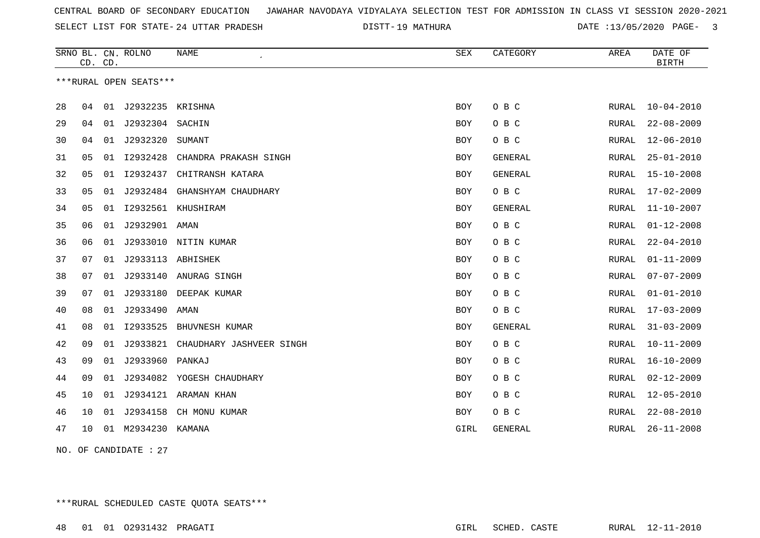19 MATHURA DATE :13/05/2020 PAGE- 3

|    | CD. CD. |    | SRNO BL. CN. ROLNO     | <b>NAME</b><br>$\bullet$ | <b>SEX</b> | CATEGORY       | AREA         | DATE OF<br><b>BIRTH</b> |
|----|---------|----|------------------------|--------------------------|------------|----------------|--------------|-------------------------|
|    |         |    | ***RURAL OPEN SEATS*** |                          |            |                |              |                         |
| 28 | 04      | 01 | J2932235               | KRISHNA                  | <b>BOY</b> | O B C          | RURAL        | $10 - 04 - 2010$        |
| 29 | 04      | 01 | J2932304 SACHIN        |                          | <b>BOY</b> | O B C          | <b>RURAL</b> | $22 - 08 - 2009$        |
| 30 | 04      | 01 | J2932320               | SUMANT                   | <b>BOY</b> | O B C          | RURAL        | $12 - 06 - 2010$        |
| 31 | 05      | 01 | I2932428               | CHANDRA PRAKASH SINGH    | <b>BOY</b> | GENERAL        | RURAL        | $25 - 01 - 2010$        |
| 32 | 05      | 01 | I2932437               | CHITRANSH KATARA         | BOY        | GENERAL        | RURAL        | $15 - 10 - 2008$        |
| 33 | 05      | 01 | J2932484               | GHANSHYAM CHAUDHARY      | BOY        | O B C          | RURAL        | $17 - 02 - 2009$        |
| 34 | 05      | 01 | I2932561               | KHUSHIRAM                | <b>BOY</b> | <b>GENERAL</b> | RURAL        | $11 - 10 - 2007$        |
| 35 | 06      | 01 | J2932901               | AMAN                     | <b>BOY</b> | O B C          | RURAL        | $01 - 12 - 2008$        |
| 36 | 06      | 01 | J2933010               | NITIN KUMAR              | BOY        | O B C          | RURAL        | $22 - 04 - 2010$        |
| 37 | 07      | 01 | J2933113               | ABHISHEK                 | <b>BOY</b> | O B C          | RURAL        | $01 - 11 - 2009$        |
| 38 | 07      | 01 | J2933140               | ANURAG SINGH             | <b>BOY</b> | O B C          | RURAL        | $07 - 07 - 2009$        |
| 39 | 07      | 01 | J2933180               | DEEPAK KUMAR             | <b>BOY</b> | O B C          | <b>RURAL</b> | $01 - 01 - 2010$        |
| 40 | 08      | 01 | J2933490               | AMAN                     | <b>BOY</b> | O B C          | RURAL        | $17 - 03 - 2009$        |
| 41 | 08      | 01 | I2933525               | BHUVNESH KUMAR           | <b>BOY</b> | GENERAL        | RURAL        | $31 - 03 - 2009$        |
| 42 | 09      | 01 | J2933821               | CHAUDHARY JASHVEER SINGH | BOY        | O B C          | RURAL        | $10 - 11 - 2009$        |
| 43 | 09      | 01 | J2933960               | PANKAJ                   | BOY        | O B C          | RURAL        | $16 - 10 - 2009$        |
| 44 | 09      | 01 | J2934082               | YOGESH CHAUDHARY         | <b>BOY</b> | O B C          | RURAL        | $02 - 12 - 2009$        |
| 45 | 10      | 01 | J2934121               | ARAMAN KHAN              | BOY        | O B C          | RURAL        | $12 - 05 - 2010$        |
| 46 | 10      | 01 | J2934158               | CH MONU KUMAR            | <b>BOY</b> | O B C          | RURAL        | $22 - 08 - 2010$        |
| 47 | 10      | 01 | M2934230               | KAMANA                   | GIRL       | GENERAL        | RURAL        | $26 - 11 - 2008$        |

NO. OF CANDIDATE : 27

\*\*\*RURAL SCHEDULED CASTE QUOTA SEATS\*\*\*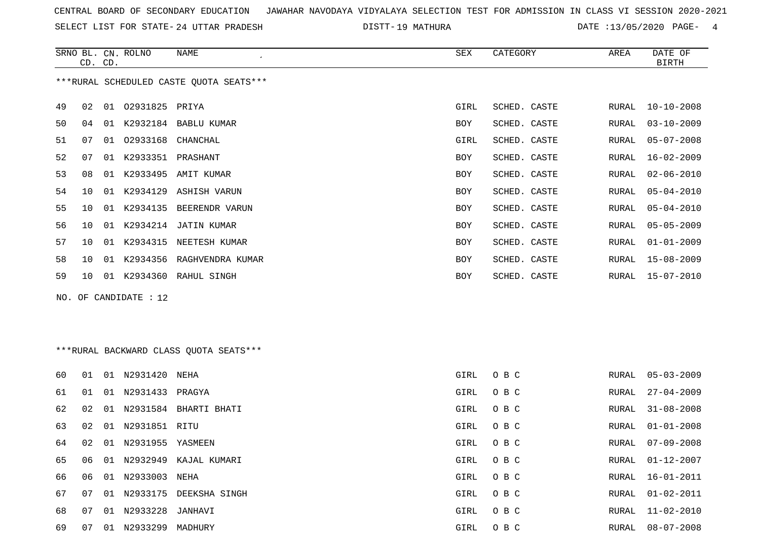SELECT LIST FOR STATE- DISTT- 24 UTTAR PRADESH

19 MATHURA DATE :13/05/2020 PAGE- 4

|    | CD. CD.         |    | SRNO BL. CN. ROLNO | NAME                                    | SEX        | CATEGORY     | AREA  | DATE OF<br><b>BIRTH</b> |
|----|-----------------|----|--------------------|-----------------------------------------|------------|--------------|-------|-------------------------|
|    |                 |    |                    | ***RURAL SCHEDULED CASTE QUOTA SEATS*** |            |              |       |                         |
| 49 | 02              | 01 | 02931825 PRIYA     |                                         | GIRL       | SCHED. CASTE | RURAL | $10 - 10 - 2008$        |
| 50 | 04              | 01 |                    | K2932184 BABLU KUMAR                    | BOY        | SCHED. CASTE | RURAL | $03 - 10 - 2009$        |
| 51 | 07              | 01 | 02933168           | CHANCHAL                                | GIRL       | SCHED. CASTE | RURAL | $05 - 07 - 2008$        |
| 52 | 07              | 01 | K2933351 PRASHANT  |                                         | <b>BOY</b> | SCHED. CASTE | RURAL | 16-02-2009              |
| 53 | 08              | 01 |                    | K2933495 AMIT KUMAR                     | <b>BOY</b> | SCHED. CASTE | RURAL | $02 - 06 - 2010$        |
| 54 | 10              | 01 | K2934129           | ASHISH VARUN                            | <b>BOY</b> | SCHED. CASTE | RURAL | $05 - 04 - 2010$        |
| 55 | 10              | 01 | K2934135           | BEERENDR VARUN                          | BOY        | SCHED. CASTE | RURAL | $05 - 04 - 2010$        |
| 56 | 10              | 01 |                    | K2934214 JATIN KUMAR                    | <b>BOY</b> | SCHED. CASTE | RURAL | $05 - 05 - 2009$        |
| 57 | 10              | 01 | K2934315           | NEETESH KUMAR                           | <b>BOY</b> | SCHED. CASTE | RURAL | $01 - 01 - 2009$        |
| 58 | 10 <sup>°</sup> | 01 |                    | K2934356 RAGHVENDRA KUMAR               | BOY        | SCHED. CASTE | RURAL | 15-08-2009              |
| 59 | 10 <sup>°</sup> | 01 |                    | K2934360 RAHUL SINGH                    | <b>BOY</b> | SCHED. CASTE | RURAL | 15-07-2010              |
|    |                 |    |                    |                                         |            |              |       |                         |

NO. OF CANDIDATE : 12

# \*\*\*RURAL BACKWARD CLASS QUOTA SEATS\*\*\*

| 60 | 01 |    | 01 N2931420         | NEHA          | GIRL | O B C | RURAL | 05-03-2009       |
|----|----|----|---------------------|---------------|------|-------|-------|------------------|
| 61 | 01 |    | 01 N2931433         | PRAGYA        | GIRL | O B C | RURAL | $27 - 04 - 2009$ |
| 62 | 02 | 01 | N2931584            | BHARTI BHATI  | GIRL | O B C | RURAL | 31-08-2008       |
| 63 | 02 |    | 01 N2931851 RITU    |               | GIRL | O B C | RURAL | 01-01-2008       |
| 64 | 02 |    | 01 N2931955 YASMEEN |               | GIRL | O B C | RURAL | 07-09-2008       |
| 65 | 06 |    | 01 N2932949         | KAJAL KUMARI  | GIRL | O B C | RURAL | $01 - 12 - 2007$ |
| 66 | 06 |    | 01 N2933003         | NEHA          | GIRL | O B C | RURAL | 16-01-2011       |
| 67 | 07 |    | 01 N2933175         | DEEKSHA SINGH | GIRL | O B C | RURAL | $01 - 02 - 2011$ |
| 68 | 07 |    | 01 N2933228 JANHAVI |               | GIRL | O B C |       | RURAL 11-02-2010 |
| 69 | 07 | 01 | N2933299            | MADHURY       | GIRL | O B C | RURAL | 08-07-2008       |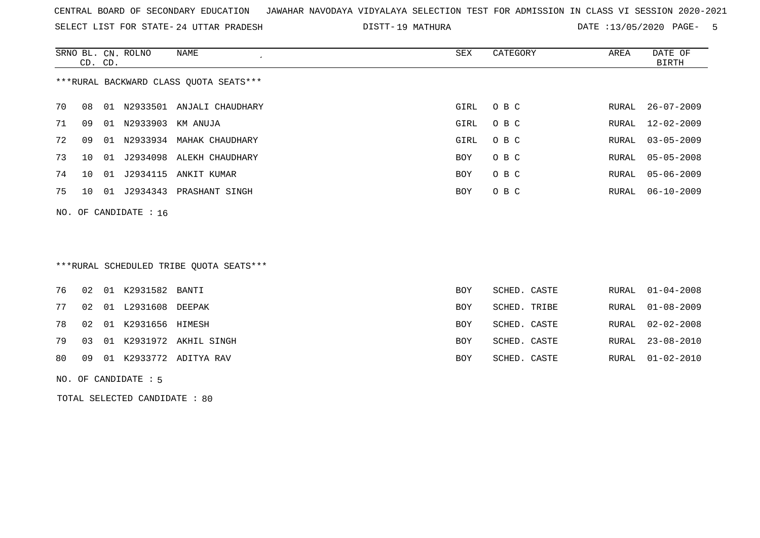SELECT LIST FOR STATE- DISTT- 24 UTTAR PRADESH

19 MATHURA DATE :13/05/2020 PAGE- 5

|    | CD. CD.                                |    | SRNO BL. CN. ROLNO      | NAME                         | SEX        | CATEGORY | AREA  | DATE OF<br>BIRTH |
|----|----------------------------------------|----|-------------------------|------------------------------|------------|----------|-------|------------------|
|    | ***RURAL BACKWARD CLASS OUOTA SEATS*** |    |                         |                              |            |          |       |                  |
| 70 | 08.                                    |    |                         | 01 N2933501 ANJALI CHAUDHARY | GIRL       | O B C    |       | RURAL 26-07-2009 |
| 71 | 09                                     | 01 | N2933903 KM ANUJA       |                              | GIRL       | O B C    | RURAL | 12-02-2009       |
| 72 | 09                                     | 01 |                         | N2933934 MAHAK CHAUDHARY     | GIRL       | O B C    | RURAL | $03 - 05 - 2009$ |
| 73 | 10                                     | 01 |                         | J2934098 ALEKH CHAUDHARY     | <b>BOY</b> | O B C    | RURAL | 05-05-2008       |
| 74 | 10                                     |    | 01 J2934115             | ANKIT KUMAR                  | <b>BOY</b> | O B C    | RURAL | $05 - 06 - 2009$ |
| 75 | 10                                     |    | 01 J2934343             | PRASHANT SINGH               | <b>BOY</b> | O B C    | RURAL | $06 - 10 - 2009$ |
|    |                                        |    | NO. OF CANDIDATE : $16$ |                              |            |          |       |                  |

### \*\*\*RURAL SCHEDULED TRIBE QUOTA SEATS\*\*\*

| 77 02 01 L2931608 DEEPAK<br>SCHED. TRIBE<br>BOY<br>78 02 01 K2931656 HIMESH<br>SCHED. CASTE<br>BOY<br>79 03 01 K2931972 AKHIL SINGH<br>SCHED. CASTE<br><b>BOY</b><br>80 09 01 K2933772 ADITYA RAV<br>SCHED. CASTE<br><b>BOY</b> | RURAL 01-04-2008 |
|---------------------------------------------------------------------------------------------------------------------------------------------------------------------------------------------------------------------------------|------------------|
|                                                                                                                                                                                                                                 | RURAL 01-08-2009 |
|                                                                                                                                                                                                                                 | RURAL 02-02-2008 |
|                                                                                                                                                                                                                                 | RURAL 23-08-2010 |
|                                                                                                                                                                                                                                 | RURAL 01-02-2010 |

#### NO. OF CANDIDATE : 5

TOTAL SELECTED CANDIDATE : 80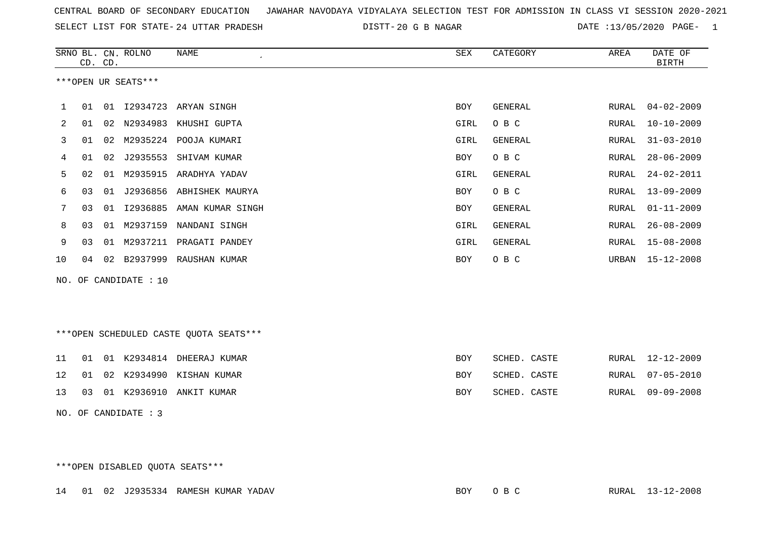| CENTRAL BOARD OF SECONDARY EDUCATION GUNAHAR NAVODAYA VIDYALAYA SELECTION TEST FOR ADMISSION IN CLASS VI SESSION 2020-2021 |  |  |  |
|----------------------------------------------------------------------------------------------------------------------------|--|--|--|
|----------------------------------------------------------------------------------------------------------------------------|--|--|--|

24 UTTAR PRADESH 20 G B NAGAR DATE :13/05/2020 PAGE- 1

|    |                | CD. CD. | SRNO BL. CN. ROLNO    | <b>NAME</b>                             | ${\tt SEX}$ | CATEGORY       | AREA         | DATE OF<br><b>BIRTH</b> |
|----|----------------|---------|-----------------------|-----------------------------------------|-------------|----------------|--------------|-------------------------|
|    |                |         | ***OPEN UR SEATS***   |                                         |             |                |              |                         |
| 1  | 01             |         |                       | 01 12934723 ARYAN SINGH                 | <b>BOY</b>  | GENERAL        | RURAL        | $04 - 02 - 2009$        |
| 2  | 01             | 02      | N2934983              | KHUSHI GUPTA                            | GIRL        | O B C          | <b>RURAL</b> | $10 - 10 - 2009$        |
| 3  | 01             | 02      |                       | M2935224 POOJA KUMARI                   | GIRL        | GENERAL        | RURAL        | $31 - 03 - 2010$        |
| 4  | 01             | 02      | J2935553              | SHIVAM KUMAR                            | BOY         | O B C          | RURAL        | $28 - 06 - 2009$        |
| 5  | 02             | 01      | M2935915              | ARADHYA YADAV                           | GIRL        | GENERAL        | RURAL        | $24 - 02 - 2011$        |
| 6  | 03             | 01      |                       | J2936856 ABHISHEK MAURYA                | <b>BOY</b>  | O B C          | RURAL        | $13 - 09 - 2009$        |
| 7  | 0 <sub>3</sub> | 01      | I2936885              | AMAN KUMAR SINGH                        | BOY         | <b>GENERAL</b> | RURAL        | $01 - 11 - 2009$        |
| 8  | 03             | 01      | M2937159              | NANDANI SINGH                           | GIRL        | <b>GENERAL</b> | RURAL        | $26 - 08 - 2009$        |
| 9  | 03             | 01      | M2937211              | PRAGATI PANDEY                          | GIRL        | <b>GENERAL</b> | RURAL        | $15 - 08 - 2008$        |
| 10 | 04             | 02      |                       | B2937999 RAUSHAN KUMAR                  | BOY         | O B C          | URBAN        | $15 - 12 - 2008$        |
|    |                |         | NO. OF CANDIDATE : 10 |                                         |             |                |              |                         |
|    |                |         |                       |                                         |             |                |              |                         |
|    |                |         |                       |                                         |             |                |              |                         |
|    |                |         |                       | *** OPEN SCHEDULED CASTE QUOTA SEATS*** |             |                |              |                         |
| 11 | 01             |         |                       | 01 K2934814 DHEERAJ KUMAR               | <b>BOY</b>  | SCHED. CASTE   | RURAL        | $12 - 12 - 2009$        |
| 12 | 01             |         |                       | 02 K2934990 KISHAN KUMAR                | BOY         | SCHED. CASTE   | RURAL        | $07 - 05 - 2010$        |
| 13 | 03             |         | 01 K2936910           | ANKIT KUMAR                             | <b>BOY</b>  | SCHED. CASTE   | RURAL        | $09 - 09 - 2008$        |
|    |                |         | NO. OF CANDIDATE : 3  |                                         |             |                |              |                         |

\*\*\*OPEN DISABLED QUOTA SEATS\*\*\*

14 01 02 J2935334 RAMESH KUMAR YADAV BOY O B C RURAL 13-12-2008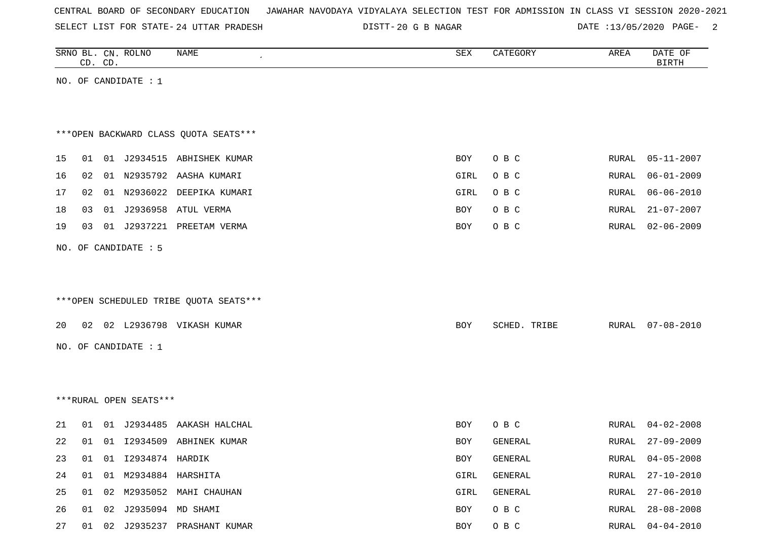| CENTRAL BOARD OF SECONDARY EDUCATION – JAWAHAR NAVODAYA VIDYALAYA SELECTION TEST FOR ADMISSION IN CLASS VI SESSION 2020-2021 |  |  |  |  |
|------------------------------------------------------------------------------------------------------------------------------|--|--|--|--|
|------------------------------------------------------------------------------------------------------------------------------|--|--|--|--|

DISTT-20 G B NAGAR DATE :13/05/2020 PAGE- 2

|    | CD. CD. | SRNO BL. CN. ROLNO      | NAME                                   | SEX        | CATEGORY     | AREA  | DATE OF<br><b>BIRTH</b> |
|----|---------|-------------------------|----------------------------------------|------------|--------------|-------|-------------------------|
|    |         | NO. OF CANDIDATE $: 1$  |                                        |            |              |       |                         |
|    |         |                         |                                        |            |              |       |                         |
|    |         |                         |                                        |            |              |       |                         |
|    |         |                         | *** OPEN BACKWARD CLASS QUOTA SEATS*** |            |              |       |                         |
| 15 | 01      |                         | 01 J2934515 ABHISHEK KUMAR             | BOY        | O B C        | RURAL | $05 - 11 - 2007$        |
| 16 | 02      |                         | 01 N2935792 AASHA KUMARI               | GIRL       | O B C        | RURAL | $06 - 01 - 2009$        |
| 17 | 02      |                         | 01 N2936022 DEEPIKA KUMARI             | GIRL       | O B C        | RURAL | $06 - 06 - 2010$        |
| 18 | 03      |                         | 01 J2936958 ATUL VERMA                 | BOY        | O B C        | RURAL | $21 - 07 - 2007$        |
| 19 | 03      |                         | 01 J2937221 PREETAM VERMA              | BOY        | O B C        | RURAL | $02 - 06 - 2009$        |
|    |         | NO. OF CANDIDATE : 5    |                                        |            |              |       |                         |
|    |         |                         |                                        |            |              |       |                         |
|    |         |                         |                                        |            |              |       |                         |
|    |         |                         | ***OPEN SCHEDULED TRIBE QUOTA SEATS*** |            |              |       |                         |
| 20 |         |                         | 02 02 L2936798 VIKASH KUMAR            | BOY        | SCHED. TRIBE | RURAL | $07 - 08 - 2010$        |
|    |         |                         |                                        |            |              |       |                         |
|    |         | NO. OF CANDIDATE : 1    |                                        |            |              |       |                         |
|    |         |                         |                                        |            |              |       |                         |
|    |         |                         |                                        |            |              |       |                         |
|    |         | ***RURAL OPEN SEATS***  |                                        |            |              |       |                         |
| 21 | 01      |                         | 01 J2934485 AAKASH HALCHAL             | BOY        | O B C        | RURAL | $04 - 02 - 2008$        |
| 22 | 01      |                         | 01 I2934509 ABHINEK KUMAR              | <b>BOY</b> | GENERAL      | RURAL | $27 - 09 - 2009$        |
| 23 | 01      | 01 I2934874 HARDIK      |                                        | BOY        | GENERAL      | RURAL | $04 - 05 - 2008$        |
| 24 | 01      |                         | 01 M2934884 HARSHITA                   | GIRL       | GENERAL      | RURAL | $27 - 10 - 2010$        |
| 25 | 01      |                         | 02 M2935052 MAHI CHAUHAN               | GIRL       | GENERAL      | RURAL | $27 - 06 - 2010$        |
| 26 |         | 01 02 J2935094 MD SHAMI |                                        | BOY        | O B C        | RURAL | $28 - 08 - 2008$        |
| 27 | 01      |                         | 02 J2935237 PRASHANT KUMAR             | BOY        | O B C        | RURAL | $04 - 04 - 2010$        |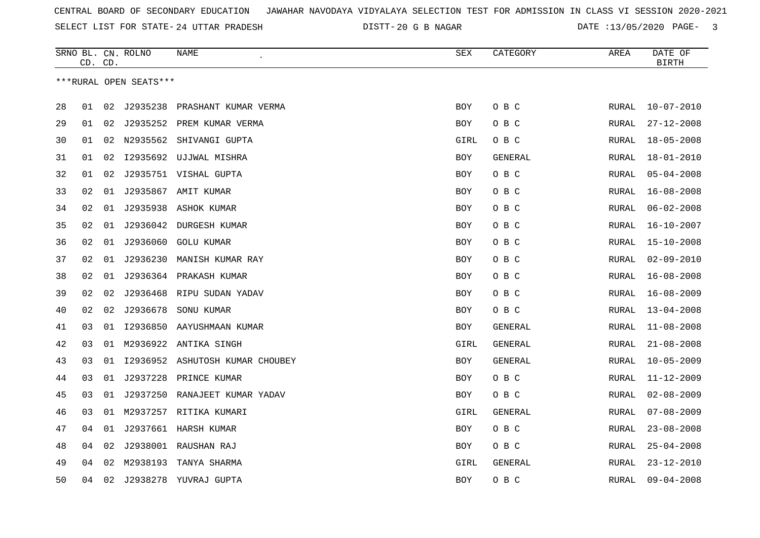DISTT-20 G B NAGAR **DATE** :13/05/2020 PAGE- 3

|    | CD. CD. |    | SRNO BL. CN. ROLNO     | NAME<br>$\epsilon$               | SEX        | CATEGORY       | AREA  | DATE OF<br><b>BIRTH</b> |
|----|---------|----|------------------------|----------------------------------|------------|----------------|-------|-------------------------|
|    |         |    | ***RURAL OPEN SEATS*** |                                  |            |                |       |                         |
|    |         |    |                        |                                  |            |                |       |                         |
| 28 | 01      | 02 |                        | J2935238 PRASHANT KUMAR VERMA    | BOY        | O B C          | RURAL | $10 - 07 - 2010$        |
| 29 | 01      | 02 |                        | J2935252 PREM KUMAR VERMA        | <b>BOY</b> | O B C          | RURAL | $27 - 12 - 2008$        |
| 30 | 01      |    |                        | 02 N2935562 SHIVANGI GUPTA       | GIRL       | O B C          | RURAL | $18 - 05 - 2008$        |
| 31 | 01      | 02 | I2935692               | UJJWAL MISHRA                    | BOY        | GENERAL        | RURAL | $18 - 01 - 2010$        |
| 32 | 01      | 02 |                        | J2935751 VISHAL GUPTA            | BOY        | O B C          | RURAL | $05 - 04 - 2008$        |
| 33 | 02      | 01 |                        | J2935867 AMIT KUMAR              | <b>BOY</b> | O B C          | RURAL | $16 - 08 - 2008$        |
| 34 | 02      |    |                        | 01 J2935938 ASHOK KUMAR          | <b>BOY</b> | O B C          | RURAL | $06 - 02 - 2008$        |
| 35 | 02      | 01 | J2936042               | <b>DURGESH KUMAR</b>             | <b>BOY</b> | O B C          | RURAL | $16 - 10 - 2007$        |
| 36 | 02      | 01 | J2936060               | GOLU KUMAR                       | BOY        | O B C          | RURAL | $15 - 10 - 2008$        |
| 37 | 02      | 01 | J2936230               | MANISH KUMAR RAY                 | BOY        | O B C          | RURAL | $02 - 09 - 2010$        |
| 38 | 02      | 01 |                        | J2936364 PRAKASH KUMAR           | <b>BOY</b> | O B C          | RURAL | $16 - 08 - 2008$        |
| 39 | 02      | 02 | J2936468               | RIPU SUDAN YADAV                 | BOY        | O B C          | RURAL | $16 - 08 - 2009$        |
| 40 | 02      | 02 | J2936678               | SONU KUMAR                       | <b>BOY</b> | O B C          | RURAL | $13 - 04 - 2008$        |
| 41 | 03      | 01 |                        | 12936850 AAYUSHMAAN KUMAR        | BOY        | GENERAL        | RURAL | $11 - 08 - 2008$        |
| 42 | 03      | 01 | M2936922               | ANTIKA SINGH                     | GIRL       | GENERAL        | RURAL | $21 - 08 - 2008$        |
| 43 | 03      | 01 |                        | I2936952 ASHUTOSH KUMAR CHOUBEY  | BOY        | GENERAL        | RURAL | $10 - 05 - 2009$        |
| 44 | 03      | 01 | J2937228               | PRINCE KUMAR                     | <b>BOY</b> | O B C          | RURAL | $11 - 12 - 2009$        |
| 45 | 03      |    |                        | 01 J2937250 RANAJEET KUMAR YADAV | <b>BOY</b> | O B C          | RURAL | $02 - 08 - 2009$        |
| 46 | 03      |    |                        | 01 M2937257 RITIKA KUMARI        | GIRL       | <b>GENERAL</b> | RURAL | $07 - 08 - 2009$        |
| 47 | 04      | 01 |                        | J2937661 HARSH KUMAR             | BOY        | O B C          | RURAL | $23 - 08 - 2008$        |
| 48 | 04      | 02 | J2938001               | RAUSHAN RAJ                      | BOY        | овс            | RURAL | $25 - 04 - 2008$        |
| 49 | 04      | 02 | M2938193               | TANYA SHARMA                     | GIRL       | GENERAL        | RURAL | $23 - 12 - 2010$        |
| 50 | 04      | 02 | J2938278               | YUVRAJ GUPTA                     | <b>BOY</b> | O B C          | RURAL | $09 - 04 - 2008$        |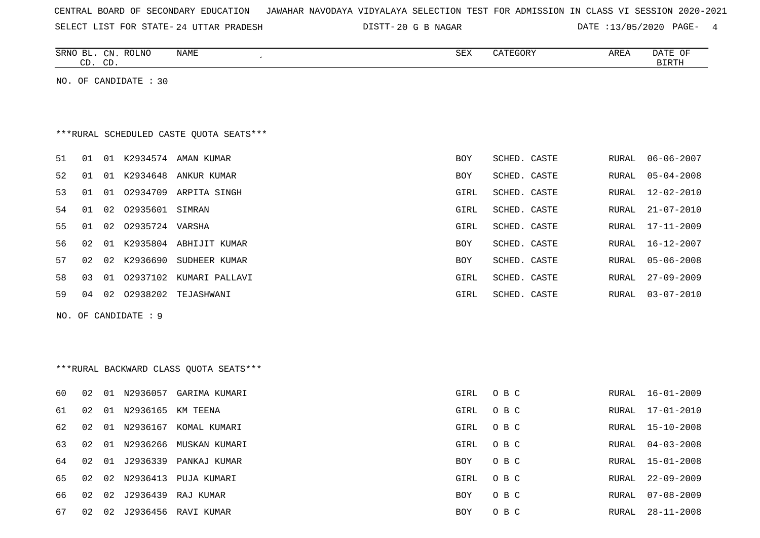|  |  |  | CENTRAL BOARD OF SECONDARY EDUCATION – JAWAHAR NAVODAYA VIDYALAYA SELECTION TEST FOR ADMISSION IN CLASS VI SESSION 2020-2021 |  |  |  |  |  |  |  |  |  |  |  |  |  |  |  |
|--|--|--|------------------------------------------------------------------------------------------------------------------------------|--|--|--|--|--|--|--|--|--|--|--|--|--|--|--|
|--|--|--|------------------------------------------------------------------------------------------------------------------------------|--|--|--|--|--|--|--|--|--|--|--|--|--|--|--|

SELECT LIST FOR STATE- DISTT- 24 UTTAR PRADESH 20 G B NAGAR DATE :13/05/2020 PAGE- 4

|     | CD. CD. |    | SRNO BL. CN. ROLNO    | NAME                                     | <b>SEX</b> | CATEGORY     | AREA  | DATE OF<br><b>BIRTH</b> |
|-----|---------|----|-----------------------|------------------------------------------|------------|--------------|-------|-------------------------|
|     |         |    | NO. OF CANDIDATE : 30 |                                          |            |              |       |                         |
|     |         |    |                       |                                          |            |              |       |                         |
|     |         |    |                       |                                          |            |              |       |                         |
|     |         |    |                       | *** RURAL SCHEDULED CASTE QUOTA SEATS*** |            |              |       |                         |
| 51  | 01      |    |                       | 01 K2934574 AMAN KUMAR                   | BOY        | SCHED. CASTE | RURAL | $06 - 06 - 2007$        |
| 52  | 01      |    |                       | 01 K2934648 ANKUR KUMAR                  | BOY        | SCHED. CASTE | RURAL | $05 - 04 - 2008$        |
| 53  | 01      | 01 |                       | 02934709 ARPITA SINGH                    | GIRL       | SCHED. CASTE | RURAL | $12 - 02 - 2010$        |
| 54  | 01      | 02 | 02935601 SIMRAN       |                                          | GIRL       | SCHED. CASTE | RURAL | $21 - 07 - 2010$        |
| 55  | 01      | 02 | 02935724 VARSHA       |                                          | GIRL       | SCHED. CASTE | RURAL | $17 - 11 - 2009$        |
| 56  | 02      |    |                       | 01 K2935804 ABHIJIT KUMAR                | BOY        | SCHED. CASTE | RURAL | 16-12-2007              |
| 57  | 02      | 02 |                       | K2936690 SUDHEER KUMAR                   | BOY        | SCHED. CASTE | RURAL | $05 - 06 - 2008$        |
| 58  | 03      | 01 |                       | 02937102 KUMARI PALLAVI                  | GIRL       | SCHED. CASTE | RURAL | $27 - 09 - 2009$        |
| 59  | 04      |    | 02 02938202           | TEJASHWANI                               | GIRL       | SCHED. CASTE | RURAL | $03 - 07 - 2010$        |
| NO. |         |    | OF CANDIDATE : 9      |                                          |            |              |       |                         |
|     |         |    |                       |                                          |            |              |       |                         |
|     |         |    |                       |                                          |            |              |       |                         |
|     |         |    |                       | *** RURAL BACKWARD CLASS QUOTA SEATS***  |            |              |       |                         |
|     |         |    |                       |                                          |            |              |       |                         |
| 60  | 02      |    |                       | 01 N2936057 GARIMA KUMARI                | GIRL       | O B C        | RURAL | $16 - 01 - 2009$        |
| 61  | 02      |    | 01 N2936165           | KM TEENA                                 | GIRL       | O B C        | RURAL | $17 - 01 - 2010$        |
| 62  | 02      |    |                       | 01 N2936167 KOMAL KUMARI                 | GIRL       | O B C        | RURAL | $15 - 10 - 2008$        |
| 63  | 02      |    |                       | 01 N2936266 MUSKAN KUMARI                | GIRL       | O B C        | RURAL | $04 - 03 - 2008$        |
| 64  | 02      | 01 | J2936339              | PANKAJ KUMAR                             | BOY        | O B C        | RURAL | $15 - 01 - 2008$        |
| 65  | 02      |    |                       | 02 N2936413 PUJA KUMARI                  | GIRL       | O B C        | RURAL | $22 - 09 - 2009$        |
| 66  | 02      | 02 | J2936439              | RAJ KUMAR                                | <b>BOY</b> | O B C        | RURAL | $07 - 08 - 2009$        |

67 02 02 J2936456 RAVI KUMAR 67 SERIES AND BOY O B C RURAL 28-11-2008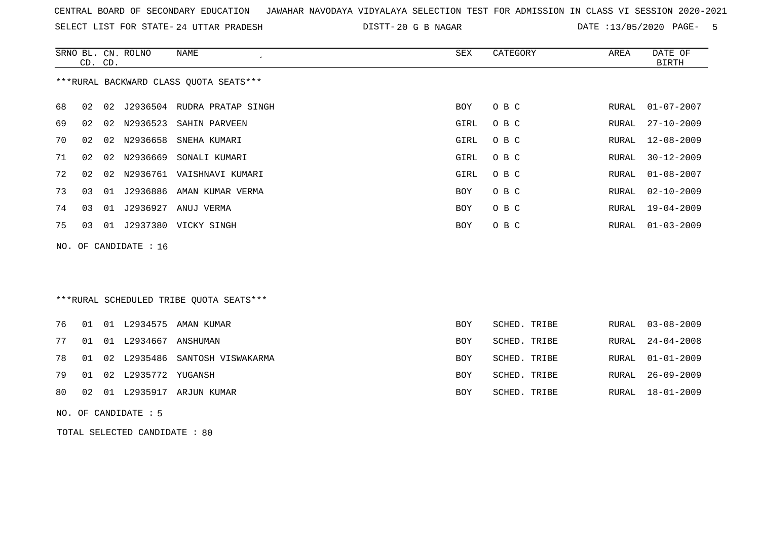SELECT LIST FOR STATE- DISTT- 24 UTTAR PRADESH

20 G B NAGAR DATE :13/05/2020 PAGE- 5

|    | CD. CD. |    | SRNO BL. CN. ROLNO    | <b>NAME</b>                             | <b>SEX</b> | CATEGORY     | AREA  | DATE OF<br><b>BIRTH</b> |
|----|---------|----|-----------------------|-----------------------------------------|------------|--------------|-------|-------------------------|
|    |         |    |                       | ***RURAL BACKWARD CLASS QUOTA SEATS***  |            |              |       |                         |
| 68 | 02      |    |                       | 02 J2936504 RUDRA PRATAP SINGH          | BOY        | O B C        | RURAL | $01 - 07 - 2007$        |
| 69 | 02      | 02 | N2936523              | SAHIN PARVEEN                           | GIRL       | O B C        | RURAL | $27 - 10 - 2009$        |
| 70 | 02      | 02 | N2936658              | SNEHA KUMARI                            | GIRL       | O B C        | RURAL | $12 - 08 - 2009$        |
| 71 | 02      | 02 | N2936669              | SONALI KUMARI                           | GIRL       | O B C        | RURAL | $30 - 12 - 2009$        |
| 72 | 02      | 02 |                       | N2936761 VAISHNAVI KUMARI               | GIRL       | O B C        | RURAL | $01 - 08 - 2007$        |
| 73 | 03      | 01 |                       | J2936886 AMAN KUMAR VERMA               | <b>BOY</b> | O B C        | RURAL | $02 - 10 - 2009$        |
| 74 | 03      |    |                       | 01 J2936927 ANUJ VERMA                  | <b>BOY</b> | O B C        | RURAL | $19 - 04 - 2009$        |
| 75 | 03      |    |                       | 01 J2937380 VICKY SINGH                 | <b>BOY</b> | O B C        | RURAL | $01 - 03 - 2009$        |
|    |         |    | NO. OF CANDIDATE : 16 |                                         |            |              |       |                         |
|    |         |    |                       |                                         |            |              |       |                         |
|    |         |    |                       |                                         |            |              |       |                         |
|    |         |    |                       | ***RURAL SCHEDULED TRIBE QUOTA SEATS*** |            |              |       |                         |
| 76 | 01      |    |                       | 01 L2934575 AMAN KUMAR                  | BOY        | SCHED. TRIBE | RURAL | $03 - 08 - 2009$        |
| 77 | 01      |    | 01 L2934667 ANSHUMAN  |                                         | <b>BOY</b> | SCHED. TRIBE | RURAL | $24 - 04 - 2008$        |
| 78 | 01      |    | 02 L2935486           | SANTOSH VISWAKARMA                      | <b>BOY</b> | SCHED. TRIBE | RURAL | $01 - 01 - 2009$        |
| 79 | 01      |    | 02 L2935772 YUGANSH   |                                         | <b>BOY</b> | SCHED. TRIBE | RURAL | $26 - 09 - 2009$        |
| 80 | 02      |    |                       | 01 L2935917 ARJUN KUMAR                 | <b>BOY</b> | SCHED. TRIBE | RURAL | $18 - 01 - 2009$        |
|    |         |    | NO. OF CANDIDATE : 5  |                                         |            |              |       |                         |

TOTAL SELECTED CANDIDATE : 80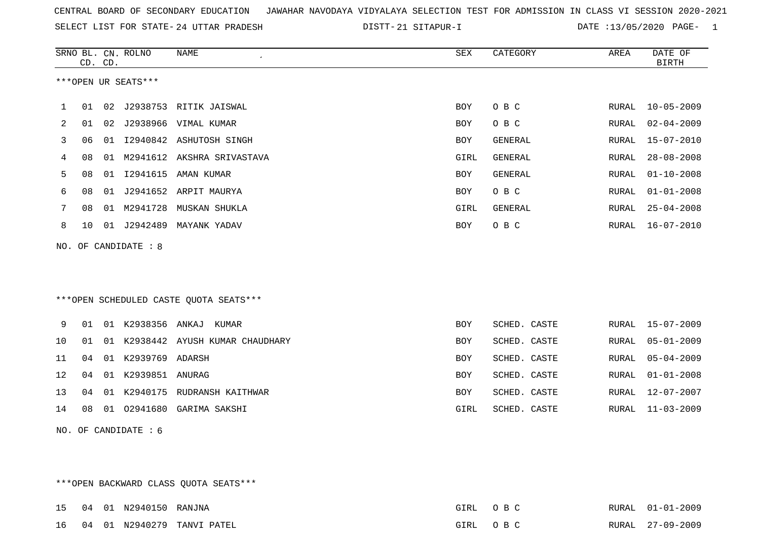SELECT LIST FOR STATE- DISTT- 24 UTTAR PRADESH

21 SITAPUR-I DATE :13/05/2020 PAGE- 1

|     | CD. CD. |    | SRNO BL. CN. ROLNO     | NAME                                    | SEX        | CATEGORY     | AREA         | DATE OF<br><b>BIRTH</b> |
|-----|---------|----|------------------------|-----------------------------------------|------------|--------------|--------------|-------------------------|
|     |         |    | ***OPEN UR SEATS***    |                                         |            |              |              |                         |
| 1   | 01      |    |                        | 02 J2938753 RITIK JAISWAL               | <b>BOY</b> | O B C        | RURAL        | $10 - 05 - 2009$        |
| 2   | 01      |    |                        | 02 J2938966 VIMAL KUMAR                 | BOY        | O B C        | RURAL        | $02 - 04 - 2009$        |
| 3   | 06      |    |                        | 01 I2940842 ASHUTOSH SINGH              | <b>BOY</b> | GENERAL      | RURAL        | $15 - 07 - 2010$        |
| 4   | 08      |    |                        | 01 M2941612 AKSHRA SRIVASTAVA           | GIRL       | GENERAL      | RURAL        | $28 - 08 - 2008$        |
| 5   | 08      | 01 | I2941615               | AMAN KUMAR                              | <b>BOY</b> | GENERAL      | RURAL        | $01 - 10 - 2008$        |
| 6   | 08      |    |                        | 01 J2941652 ARPIT MAURYA                | <b>BOY</b> | O B C        | RURAL        | $01 - 01 - 2008$        |
| 7   | 08      |    |                        | 01 M2941728 MUSKAN SHUKLA               | GIRL       | GENERAL      | RURAL        | $25 - 04 - 2008$        |
| 8   | 10      |    |                        | 01 J2942489 MAYANK YADAV                | BOY        | O B C        | RURAL        | $16 - 07 - 2010$        |
| NO. |         |    | OF CANDIDATE : 8       |                                         |            |              |              |                         |
|     |         |    |                        |                                         |            |              |              |                         |
|     |         |    |                        |                                         |            |              |              |                         |
|     |         |    |                        | *** OPEN SCHEDULED CASTE QUOTA SEATS*** |            |              |              |                         |
| 9   | 01      |    |                        | 01 K2938356 ANKAJ KUMAR                 | <b>BOY</b> | SCHED. CASTE | RURAL        | $15 - 07 - 2009$        |
| 10  | 01      |    |                        | 01 K2938442 AYUSH KUMAR CHAUDHARY       | <b>BOY</b> | SCHED. CASTE | RURAL        | $05 - 01 - 2009$        |
| 11  | 04      |    | 01 K2939769 ADARSH     |                                         | <b>BOY</b> | SCHED. CASTE | RURAL        | $05 - 04 - 2009$        |
| 12  | 04      |    | 01 K2939851 ANURAG     |                                         | <b>BOY</b> | SCHED. CASTE | <b>RURAL</b> | $01 - 01 - 2008$        |
| 13  | 04      |    | 01 K2940175            | RUDRANSH KAITHWAR                       | <b>BOY</b> | SCHED. CASTE | RURAL        | $12 - 07 - 2007$        |
| 14  | 08      |    |                        | 01 02941680 GARIMA SAKSHI               | GIRL       | SCHED. CASTE | RURAL        | $11 - 03 - 2009$        |
|     |         |    | NO. OF CANDIDATE $: 6$ |                                         |            |              |              |                         |

\*\*\*OPEN BACKWARD CLASS QUOTA SEATS\*\*\*

|  | 15 04 01 N2940150 RANJNA |                               | GIRL OBC | RURAL 01-01-2009 |
|--|--------------------------|-------------------------------|----------|------------------|
|  |                          | 16 04 01 N2940279 TANVI PATEL | GIRL OBC | RURAL 27-09-2009 |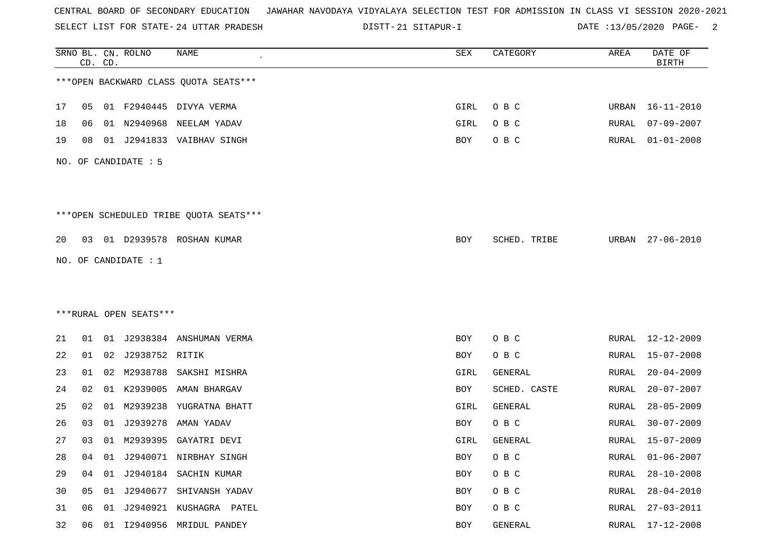SELECT LIST FOR STATE- DISTT- 24 UTTAR PRADESH

21 SITAPUR-I DATE :13/05/2020 PAGE- 2

|    |    | CD. CD. | SRNO BL. CN. ROLNO     | NAME                                   | SEX  | CATEGORY     | AREA  | DATE OF<br><b>BIRTH</b> |
|----|----|---------|------------------------|----------------------------------------|------|--------------|-------|-------------------------|
|    |    |         |                        | *** OPEN BACKWARD CLASS QUOTA SEATS*** |      |              |       |                         |
| 17 |    |         |                        | 05 01 F2940445 DIVYA VERMA             | GIRL | O B C        | URBAN | $16 - 11 - 2010$        |
| 18 | 06 |         |                        | 01 N2940968 NEELAM YADAV               | GIRL | O B C        | RURAL | $07 - 09 - 2007$        |
| 19 | 08 |         |                        | 01 J2941833 VAIBHAV SINGH              | BOY  | O B C        | RURAL | $01 - 01 - 2008$        |
|    |    |         | NO. OF CANDIDATE : 5   |                                        |      |              |       |                         |
|    |    |         |                        | ***OPEN SCHEDULED TRIBE QUOTA SEATS*** |      |              |       |                         |
| 20 |    |         |                        | 03 01 D2939578 ROSHAN KUMAR            | BOY  | SCHED. TRIBE |       | URBAN 27-06-2010        |
|    |    |         | NO. OF CANDIDATE : $1$ |                                        |      |              |       |                         |
|    |    |         |                        |                                        |      |              |       |                         |
|    |    |         |                        |                                        |      |              |       |                         |
|    |    |         | ***RURAL OPEN SEATS*** |                                        |      |              |       |                         |
| 21 |    |         |                        | 01 01 J2938384 ANSHUMAN VERMA          | BOY  | O B C        |       | RURAL 12-12-2009        |
| 22 | 01 | 02      | J2938752 RITIK         |                                        | BOY  | O B C        | RURAL | $15 - 07 - 2008$        |
| 23 | 01 |         |                        | 02 M2938788 SAKSHI MISHRA              | GIRL | GENERAL      | RURAL | $20 - 04 - 2009$        |
| 24 | 02 | 01      | K2939005               | AMAN BHARGAV                           | BOY  | SCHED. CASTE | RURAL | $20 - 07 - 2007$        |
| 25 | 02 |         |                        | 01 M2939238 YUGRATNA BHATT             | GIRL | GENERAL      | RURAL | $28 - 05 - 2009$        |
| 26 | 03 |         |                        | 01 J2939278 AMAN YADAV                 | BOY  | O B C        | RURAL | $30 - 07 - 2009$        |
| 27 |    |         |                        | 03 01 M2939395 GAYATRI DEVI            | GIRL | GENERAL      |       | RURAL 15-07-2009        |
| 28 | 04 | 01      |                        | J2940071 NIRBHAY SINGH                 | BOY  | O B C        | RURAL | $01 - 06 - 2007$        |
| 29 | 04 | 01      |                        | J2940184 SACHIN KUMAR                  | BOY  | O B C        | RURAL | $28 - 10 - 2008$        |
| 30 | 05 | 01      |                        | J2940677 SHIVANSH YADAV                | BOY  | O B C        | RURAL | $28 - 04 - 2010$        |
| 31 | 06 | 01      |                        | J2940921 KUSHAGRA PATEL                | BOY  | O B C        | RURAL | $27 - 03 - 2011$        |
| 32 | 06 |         |                        | 01 I2940956 MRIDUL PANDEY              | BOY  | GENERAL      |       | RURAL 17-12-2008        |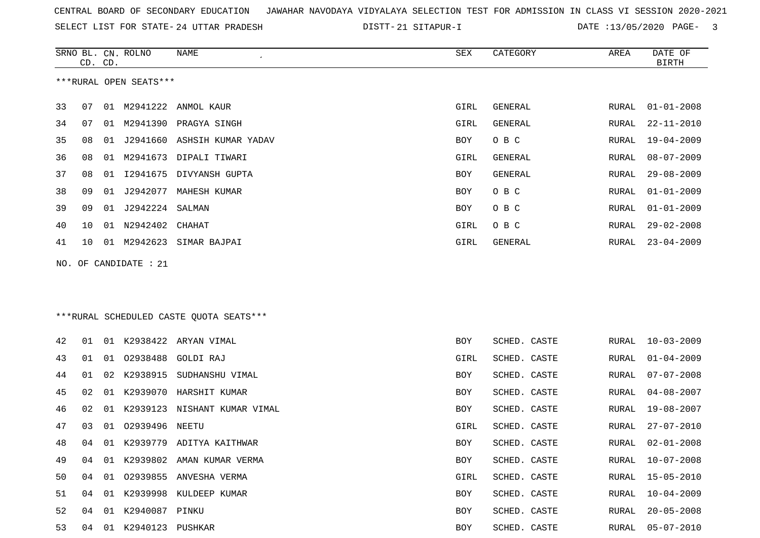SRNO BL. CN. ROLNO NAME SEX CATEGORY AREA DATE OF

SELECT LIST FOR STATE- DISTT- 24 UTTAR PRADESH

21 SITAPUR-I DATE :13/05/2020 PAGE- 3

<u>an</u>

|    | CD. CD. |    |                        |                                          |      |                |       | <b>BIRTH</b>     |
|----|---------|----|------------------------|------------------------------------------|------|----------------|-------|------------------|
|    |         |    | ***RURAL OPEN SEATS*** |                                          |      |                |       |                  |
| 33 | 07      |    | 01 M2941222            | ANMOL KAUR                               | GIRL | GENERAL        | RURAL | $01 - 01 - 2008$ |
| 34 | 07      |    | 01 M2941390            | PRAGYA SINGH                             | GIRL | <b>GENERAL</b> | RURAL | $22 - 11 - 2010$ |
| 35 | 08      | 01 |                        | J2941660 ASHSIH KUMAR YADAV              | BOY  | O B C          | RURAL | 19-04-2009       |
| 36 | 08      | 01 |                        | M2941673 DIPALI TIWARI                   | GIRL | GENERAL        | RURAL | $08 - 07 - 2009$ |
| 37 | 08      | 01 |                        | I2941675 DIVYANSH GUPTA                  | BOY  | GENERAL        | RURAL | $29 - 08 - 2009$ |
| 38 | 09      | 01 | J2942077               | MAHESH KUMAR                             | BOY  | O B C          | RURAL | $01 - 01 - 2009$ |
| 39 | 09      | 01 | J2942224 SALMAN        |                                          | BOY  | O B C          | RURAL | $01 - 01 - 2009$ |
| 40 | 10      | 01 | N2942402               | CHAHAT                                   | GIRL | O B C          | RURAL | $29 - 02 - 2008$ |
| 41 | 10      |    |                        | 01 M2942623 SIMAR BAJPAI                 | GIRL | GENERAL        | RURAL | $23 - 04 - 2009$ |
|    |         |    | NO. OF CANDIDATE : 21  | *** RURAL SCHEDULED CASTE QUOTA SEATS*** |      |                |       |                  |
| 42 | 01      |    |                        | 01 K2938422 ARYAN VIMAL                  | BOY  | SCHED. CASTE   | RURAL | $10 - 03 - 2009$ |
| 43 | 01      | 01 | 02938488               | GOLDI RAJ                                | GIRL | SCHED. CASTE   | RURAL | $01 - 04 - 2009$ |
| 44 | 01      |    | 02 K2938915            | SUDHANSHU VIMAL                          | BOY  | SCHED. CASTE   | RURAL | $07 - 07 - 2008$ |
| 45 | 02      |    |                        | 01 K2939070 HARSHIT KUMAR                | BOY  | SCHED. CASTE   | RURAL | $04 - 08 - 2007$ |
| 46 | 02      | 01 |                        | K2939123 NISHANT KUMAR VIMAL             | BOY  | SCHED. CASTE   | RURAL | $19 - 08 - 2007$ |
| 47 | 03      | 01 | 02939496               | NEETU                                    | GIRL | SCHED. CASTE   | RURAL | $27 - 07 - 2010$ |
| 48 | 04      |    |                        | 01 K2939779 ADITYA KAITHWAR              | BOY  | SCHED. CASTE   | RURAL | $02 - 01 - 2008$ |
| 49 | 04      |    |                        | 01 K2939802 AMAN KUMAR VERMA             | BOY  | SCHED. CASTE   | RURAL | $10 - 07 - 2008$ |
| 50 |         |    |                        | 04 01 02939855 ANVESHA VERMA             | GIRL | SCHED. CASTE   |       | RURAL 15-05-2010 |
| 51 | 04      |    |                        | 01 K2939998 KULDEEP KUMAR                | BOY  | SCHED. CASTE   | RURAL | $10 - 04 - 2009$ |
| 52 | 04      |    | 01 K2940087 PINKU      |                                          | BOY  | SCHED. CASTE   | RURAL | $20 - 05 - 2008$ |
| 53 | 04      |    | 01 K2940123 PUSHKAR    |                                          | BOY  | SCHED. CASTE   | RURAL | $05 - 07 - 2010$ |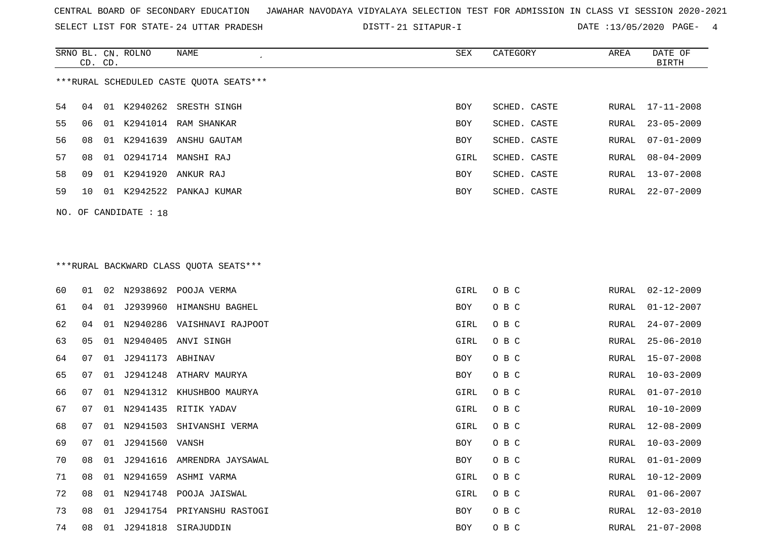SELECT LIST FOR STATE- DISTT- 24 UTTAR PRADESH

21 SITAPUR-I DATE :13/05/2020 PAGE- 4

|    | CD. CD. |    | SRNO BL. CN. ROLNO    | <b>NAME</b><br>$\epsilon$                | <b>SEX</b> | CATEGORY     | AREA  | DATE OF<br><b>BIRTH</b> |
|----|---------|----|-----------------------|------------------------------------------|------------|--------------|-------|-------------------------|
|    |         |    |                       | *** RURAL SCHEDULED CASTE QUOTA SEATS*** |            |              |       |                         |
| 54 | 04      | 01 | K2940262              | SRESTH SINGH                             | <b>BOY</b> | SCHED. CASTE | RURAL | $17 - 11 - 2008$        |
| 55 | 06      |    |                       | 01 K2941014 RAM SHANKAR                  | <b>BOY</b> | SCHED. CASTE | RURAL | $23 - 05 - 2009$        |
| 56 | 08      |    |                       | 01 K2941639 ANSHU GAUTAM                 | BOY        | SCHED. CASTE | RURAL | $07 - 01 - 2009$        |
| 57 | 08      | 01 |                       | 02941714 MANSHI RAJ                      | GIRL       | SCHED. CASTE | RURAL | $08 - 04 - 2009$        |
| 58 | 09      | 01 | K2941920              | ANKUR RAJ                                | <b>BOY</b> | SCHED. CASTE | RURAL | $13 - 07 - 2008$        |
| 59 | 10      | 01 | K2942522              | PANKAJ KUMAR                             | <b>BOY</b> | SCHED. CASTE | RURAL | $22 - 07 - 2009$        |
|    |         |    | NO. OF CANDIDATE : 18 |                                          |            |              |       |                         |
|    |         |    |                       |                                          |            |              |       |                         |
|    |         |    |                       | ***RURAL BACKWARD CLASS QUOTA SEATS***   |            |              |       |                         |
| 60 | 01      | 02 |                       | N2938692 POOJA VERMA                     | GIRL       | O B C        | RURAL | $02 - 12 - 2009$        |
| 61 | 04      |    |                       | 01 J2939960 HIMANSHU BAGHEL              | <b>BOY</b> | O B C        | RURAL | $01 - 12 - 2007$        |

| 60 | 01 | 02 | N2938692         | POOJA VERMA                | GIRL       | O B C | RURAL | 02-12-2009       |
|----|----|----|------------------|----------------------------|------------|-------|-------|------------------|
| 61 | 04 | 01 |                  | J2939960 HIMANSHU BAGHEL   | BOY        | O B C | RURAL | $01 - 12 - 2007$ |
| 62 | 04 | 01 |                  | N2940286 VAISHNAVI RAJPOOT | GIRL       | O B C | RURAL | $24 - 07 - 2009$ |
| 63 | 05 | 01 | N2940405         | ANVI SINGH                 | GIRL       | O B C | RURAL | $25 - 06 - 2010$ |
| 64 | 07 | 01 | J2941173 ABHINAV |                            | BOY        | O B C | RURAL | $15 - 07 - 2008$ |
| 65 | 07 | 01 |                  | J2941248 ATHARV MAURYA     | <b>BOY</b> | O B C | RURAL | $10 - 03 - 2009$ |
| 66 | 07 | 01 |                  | N2941312 KHUSHBOO MAURYA   | GIRL       | O B C | RURAL | $01 - 07 - 2010$ |
| 67 | 07 | 01 |                  | N2941435 RITIK YADAV       | GIRL       | O B C | RURAL | $10 - 10 - 2009$ |
| 68 | 07 | 01 | N2941503         | SHIVANSHI VERMA            | GIRL       | O B C | RURAL | $12 - 08 - 2009$ |
| 69 | 07 | 01 | J2941560         | VANSH                      | BOY        | O B C | RURAL | $10 - 03 - 2009$ |
| 70 | 08 | 01 | J2941616         | AMRENDRA JAYSAWAL          | BOY        | O B C | RURAL | $01 - 01 - 2009$ |
| 71 | 08 |    | 01 N2941659      | ASHMI VARMA                | GIRL       | O B C | RURAL | $10 - 12 - 2009$ |
| 72 | 08 | 01 | N2941748         | POOJA JAISWAL              | GIRL       | O B C | RURAL | $01 - 06 - 2007$ |
| 73 | 08 | 01 | J2941754         | PRIYANSHU RASTOGI          | BOY        | O B C | RURAL | $12 - 03 - 2010$ |
| 74 | 08 | 01 | J2941818         | SIRAJUDDIN                 | BOY        | O B C | RURAL | $21 - 07 - 2008$ |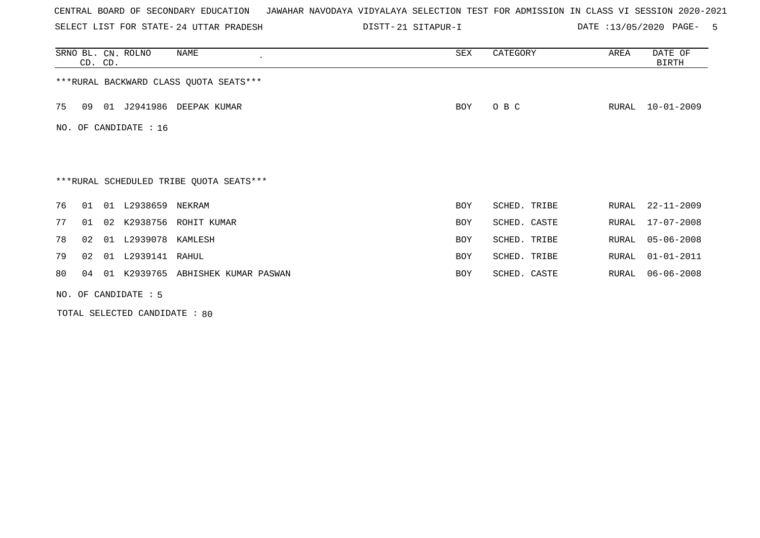SELECT LIST FOR STATE- DISTT- 24 UTTAR PRADESH

21 SITAPUR-I DATE :13/05/2020 PAGE- 5

|                                         | CD. CD.                                 |    | SRNO BL. CN. ROLNO   | NAME                  | SEX        | CATEGORY     | AREA  | DATE OF<br>BIRTH |  |  |  |
|-----------------------------------------|-----------------------------------------|----|----------------------|-----------------------|------------|--------------|-------|------------------|--|--|--|
| *** RURAL BACKWARD CLASS QUOTA SEATS*** |                                         |    |                      |                       |            |              |       |                  |  |  |  |
| 75                                      | 09                                      |    | 01 J2941986          | DEEPAK KUMAR          | BOY        | O B C        | RURAL | 10-01-2009       |  |  |  |
|                                         | NO. OF CANDIDATE : 16                   |    |                      |                       |            |              |       |                  |  |  |  |
|                                         |                                         |    |                      |                       |            |              |       |                  |  |  |  |
|                                         | ***RURAL SCHEDULED TRIBE QUOTA SEATS*** |    |                      |                       |            |              |       |                  |  |  |  |
| 76                                      | 01                                      |    | 01 L2938659 NEKRAM   |                       | <b>BOY</b> | SCHED. TRIBE | RURAL | $22 - 11 - 2009$ |  |  |  |
| 77                                      | 01                                      | 02 | K2938756             | ROHIT KUMAR           | <b>BOY</b> | SCHED. CASTE | RURAL | $17 - 07 - 2008$ |  |  |  |
| 78                                      | 02                                      | 01 | L2939078 KAMLESH     |                       | <b>BOY</b> | SCHED. TRIBE | RURAL | $05 - 06 - 2008$ |  |  |  |
| 79                                      | 02 <sub>o</sub>                         | 01 | L2939141             | RAHUL                 | <b>BOY</b> | SCHED. TRIBE | RURAL | $01 - 01 - 2011$ |  |  |  |
| 80                                      | 04                                      |    | 01 K2939765          | ABHISHEK KUMAR PASWAN | <b>BOY</b> | SCHED. CASTE | RURAL | $06 - 06 - 2008$ |  |  |  |
|                                         |                                         |    | NO. OF CANDIDATE : 5 |                       |            |              |       |                  |  |  |  |

TOTAL SELECTED CANDIDATE : 80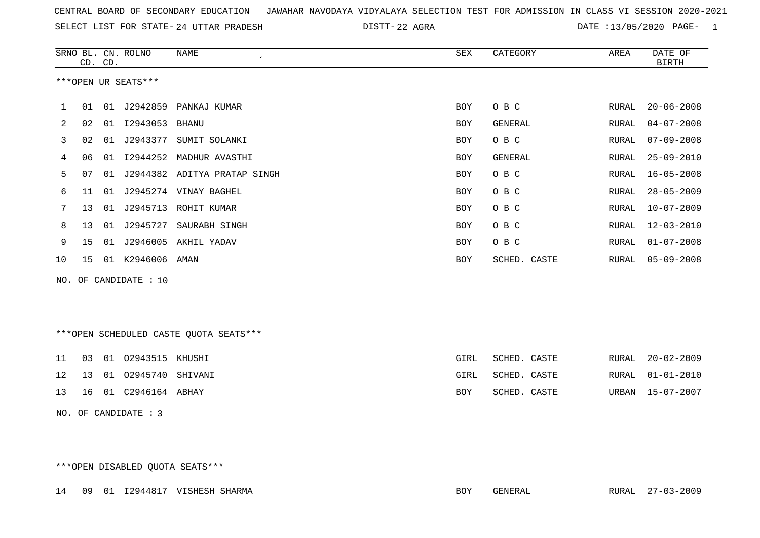| CENTRAL BOARD OF SECONDARY EDUCATION – JAWAHAR NAVODAYA VIDYALAYA SELECTION TEST FOR ADMISSION IN CLASS VI SESSION 2020-2021 |  |
|------------------------------------------------------------------------------------------------------------------------------|--|
|------------------------------------------------------------------------------------------------------------------------------|--|

22 AGRA DATE :13/05/2020 PAGE- 1

| SRNO BL. | CD. CD.             |    | CN. ROLNO | NAME                  | SEX        | CATEGORY     | AREA  | DATE OF<br><b>BIRTH</b> |  |
|----------|---------------------|----|-----------|-----------------------|------------|--------------|-------|-------------------------|--|
|          | ***OPEN UR SEATS*** |    |           |                       |            |              |       |                         |  |
| 1        | 01                  | 01 | J2942859  | PANKAJ KUMAR          | <b>BOY</b> | O B C        | RURAL | $20 - 06 - 2008$        |  |
| 2        | 02                  | 01 | I2943053  | BHANU                 | <b>BOY</b> | GENERAL      | RURAL | $04 - 07 - 2008$        |  |
| 3        | 02                  | 01 | J2943377  | SUMIT SOLANKI         | <b>BOY</b> | O B C        | RURAL | $07 - 09 - 2008$        |  |
| 4        | 06                  | 01 | I2944252  | MADHUR AVASTHI        | BOY        | GENERAL      | RURAL | $25 - 09 - 2010$        |  |
| 5        | 07                  | 01 | J2944382  | ADITYA PRATAP SINGH   | BOY        | O B C        | RURAL | $16 - 05 - 2008$        |  |
| 6        | 11                  | 01 |           | J2945274 VINAY BAGHEL | <b>BOY</b> | O B C        | RURAL | $28 - 05 - 2009$        |  |
| 7        | 13                  | 01 | J2945713  | ROHIT KUMAR           | BOY        | O B C        | RURAL | $10 - 07 - 2009$        |  |
| 8        | 13 <sup>°</sup>     | 01 | J2945727  | SAURABH SINGH         | <b>BOY</b> | O B C        | RURAL | $12 - 03 - 2010$        |  |
| 9        | 15                  | 01 | J2946005  | AKHIL YADAV           | <b>BOY</b> | O B C        | RURAL | $01 - 07 - 2008$        |  |
| 10       | 15                  | 01 | K2946006  | AMAN                  | BOY        | SCHED. CASTE | RURAL | $05 - 09 - 2008$        |  |
|          |                     |    |           |                       |            |              |       |                         |  |

NO. OF CANDIDATE : 10

\*\*\*OPEN SCHEDULED CASTE QUOTA SEATS\*\*\*

|  | 11 03 01 02943515 KHUSHI      | GIRL | SCHED. CASTE |  | RURAL 20-02-2009 |
|--|-------------------------------|------|--------------|--|------------------|
|  | 12  13  01  02945740  SHIVANI | GIRL | SCHED. CASTE |  | RURAL 01-01-2010 |
|  | 13  16  01  C2946164  ABHAY   | BOY  | SCHED. CASTE |  | URBAN 15-07-2007 |

NO. OF CANDIDATE : 3

\*\*\*OPEN DISABLED QUOTA SEATS\*\*\*

14 09 01 I2944817 VISHESH SHARMA BOY GENERAL RURAL 27-03-2009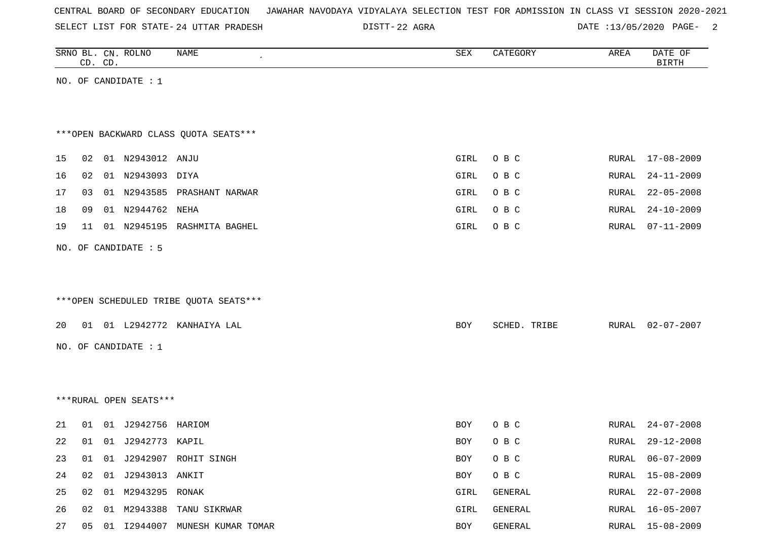| CENTRAL BOARD OF SECONDARY EDUCATION – JAWAHAR NAVODAYA VIDYALAYA SELECTION TEST FOR ADMISSION IN CLASS VI SESSION 2020-2021 |  |
|------------------------------------------------------------------------------------------------------------------------------|--|
|------------------------------------------------------------------------------------------------------------------------------|--|

DISTT-22 AGRA 20020 DATE :13/05/2020 PAGE-

|    |    | CD. CD. | SRNO BL. CN. ROLNO     | <b>NAME</b>                            | SEX  | CATEGORY     | AREA  | DATE OF<br><b>BIRTH</b> |
|----|----|---------|------------------------|----------------------------------------|------|--------------|-------|-------------------------|
|    |    |         | NO. OF CANDIDATE : 1   |                                        |      |              |       |                         |
|    |    |         |                        |                                        |      |              |       |                         |
|    |    |         |                        |                                        |      |              |       |                         |
|    |    |         |                        | *** OPEN BACKWARD CLASS QUOTA SEATS*** |      |              |       |                         |
| 15 | 02 |         | 01 N2943012 ANJU       |                                        | GIRL | O B C        | RURAL | 17-08-2009              |
| 16 | 02 |         | 01 N2943093 DIYA       |                                        | GIRL | O B C        | RURAL | $24 - 11 - 2009$        |
| 17 | 03 |         |                        | 01 N2943585 PRASHANT NARWAR            | GIRL | O B C        | RURAL | $22 - 05 - 2008$        |
| 18 | 09 |         | 01 N2944762 NEHA       |                                        | GIRL | O B C        | RURAL | $24 - 10 - 2009$        |
| 19 |    |         |                        | 11 01 N2945195 RASHMITA BAGHEL         | GIRL | O B C        | RURAL | $07 - 11 - 2009$        |
|    |    |         | NO. OF CANDIDATE : 5   |                                        |      |              |       |                         |
|    |    |         |                        |                                        |      |              |       |                         |
|    |    |         |                        |                                        |      |              |       |                         |
|    |    |         |                        | ***OPEN SCHEDULED TRIBE QUOTA SEATS*** |      |              |       |                         |
| 20 |    |         |                        | 01 01 L2942772 KANHAIYA LAL            | BOY  | SCHED. TRIBE | RURAL | $02 - 07 - 2007$        |
|    |    |         | NO. OF CANDIDATE : 1   |                                        |      |              |       |                         |
|    |    |         |                        |                                        |      |              |       |                         |
|    |    |         |                        |                                        |      |              |       |                         |
|    |    |         | ***RURAL OPEN SEATS*** |                                        |      |              |       |                         |
| 21 | 01 |         | 01 J2942756 HARIOM     |                                        | BOY  | O B C        | RURAL | $24 - 07 - 2008$        |
| 22 | 01 |         | 01 J2942773 KAPIL      |                                        | BOY  | O B C        | RURAL | $29 - 12 - 2008$        |
| 23 | 01 |         |                        | 01 J2942907 ROHIT SINGH                | BOY  | O B C        | RURAL | $06 - 07 - 2009$        |
| 24 | 02 |         | 01 J2943013 ANKIT      |                                        | BOY  | O B C        | RURAL | $15 - 08 - 2009$        |
| 25 | 02 |         | 01 M2943295 RONAK      |                                        | GIRL | GENERAL      | RURAL | $22 - 07 - 2008$        |
| 26 | 02 |         |                        | 01 M2943388 TANU SIKRWAR               | GIRL | GENERAL      | RURAL | $16 - 05 - 2007$        |
| 27 |    |         |                        | 05 01 I2944007 MUNESH KUMAR TOMAR      | BOY  | GENERAL      | RURAL | $15 - 08 - 2009$        |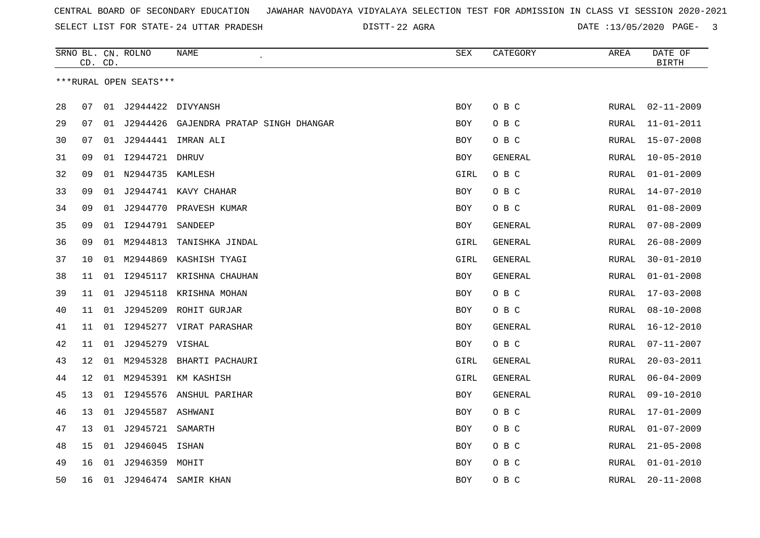22 AGRA DATE :13/05/2020 PAGE- 3

|                        | CD. CD.           |    | SRNO BL. CN. ROLNO | NAME<br>$\epsilon$            | SEX        | CATEGORY | AREA         | DATE OF<br><b>BIRTH</b> |  |
|------------------------|-------------------|----|--------------------|-------------------------------|------------|----------|--------------|-------------------------|--|
| ***RURAL OPEN SEATS*** |                   |    |                    |                               |            |          |              |                         |  |
|                        |                   |    |                    |                               |            |          |              |                         |  |
| 28                     | 07                | 01 | J2944422 DIVYANSH  |                               | <b>BOY</b> | O B C    | RURAL        | $02 - 11 - 2009$        |  |
| 29                     | 07                | 01 | J2944426           | GAJENDRA PRATAP SINGH DHANGAR | <b>BOY</b> | O B C    | RURAL        | $11 - 01 - 2011$        |  |
| 30                     | 07                | 01 | J2944441           | IMRAN ALI                     | <b>BOY</b> | O B C    | RURAL        | $15 - 07 - 2008$        |  |
| 31                     | 09                | 01 | 12944721 DHRUV     |                               | BOY        | GENERAL  | RURAL        | $10 - 05 - 2010$        |  |
| 32                     | 09                | 01 | N2944735 KAMLESH   |                               | GIRL       | O B C    | RURAL        | $01 - 01 - 2009$        |  |
| 33                     | 09                | 01 |                    | J2944741 KAVY CHAHAR          | <b>BOY</b> | O B C    | RURAL        | $14 - 07 - 2010$        |  |
| 34                     | 09                | 01 |                    | J2944770 PRAVESH KUMAR        | <b>BOY</b> | O B C    | <b>RURAL</b> | $01 - 08 - 2009$        |  |
| 35                     | 09                |    | 01 12944791        | SANDEEP                       | <b>BOY</b> | GENERAL  | <b>RURAL</b> | $07 - 08 - 2009$        |  |
| 36                     | 09                |    | 01 M2944813        | TANISHKA JINDAL               | GIRL       | GENERAL  | RURAL        | $26 - 08 - 2009$        |  |
| 37                     | 10                | 01 | M2944869           | KASHISH TYAGI                 | GIRL       | GENERAL  | RURAL        | $30 - 01 - 2010$        |  |
| 38                     | 11                | 01 |                    | 12945117 KRISHNA CHAUHAN      | <b>BOY</b> | GENERAL  | <b>RURAL</b> | $01 - 01 - 2008$        |  |
| 39                     | 11                | 01 | J2945118           | KRISHNA MOHAN                 | BOY        | O B C    | RURAL        | $17 - 03 - 2008$        |  |
| 40                     | 11                | 01 |                    | J2945209 ROHIT GURJAR         | <b>BOY</b> | O B C    | RURAL        | $08 - 10 - 2008$        |  |
| 41                     | 11                | 01 |                    | 12945277 VIRAT PARASHAR       | <b>BOY</b> | GENERAL  | <b>RURAL</b> | $16 - 12 - 2010$        |  |
| 42                     | 11                | 01 | J2945279 VISHAL    |                               | BOY        | O B C    | RURAL        | $07 - 11 - 2007$        |  |
| 43                     | $12 \overline{ }$ | 01 |                    | M2945328 BHARTI PACHAURI      | GIRL       | GENERAL  | RURAL        | $20 - 03 - 2011$        |  |
| 44                     | 12                | 01 |                    | M2945391 KM KASHISH           | GIRL       | GENERAL  | RURAL        | $06 - 04 - 2009$        |  |
| 45                     | 13                |    |                    | 01 I2945576 ANSHUL PARIHAR    | BOY        | GENERAL  | RURAL        | $09 - 10 - 2010$        |  |
| 46                     | 13                | 01 | J2945587 ASHWANI   |                               | <b>BOY</b> | O B C    | RURAL        | $17 - 01 - 2009$        |  |
| 47                     | 13                | 01 | J2945721           | SAMARTH                       | BOY        | O B C    | RURAL        | $01 - 07 - 2009$        |  |
| 48                     | 15                | 01 | J2946045           | ISHAN                         | <b>BOY</b> | O B C    | RURAL        | $21 - 05 - 2008$        |  |
| 49                     | 16                | 01 | J2946359 MOHIT     |                               | <b>BOY</b> | O B C    | RURAL        | $01 - 01 - 2010$        |  |
| 50                     | 16                | 01 | J2946474           | SAMIR KHAN                    | <b>BOY</b> | O B C    | RURAL        | $20 - 11 - 2008$        |  |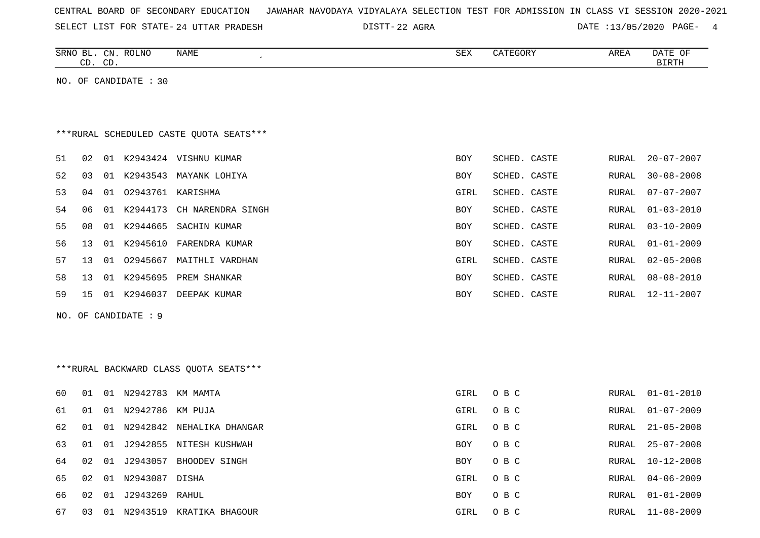| CENTRAL BOARD OF SECONDARY EDUCATION – JAWAHAR NAVODAYA VIDYALAYA SELECTION TEST FOR ADMISSION IN CLASS VI SESSION 2020-2021 |  |  |  |
|------------------------------------------------------------------------------------------------------------------------------|--|--|--|
|------------------------------------------------------------------------------------------------------------------------------|--|--|--|

SELECT LIST FOR STATE- DISTT- 24 UTTAR PRADESH 22 AGRA DATE :13/05/2020 PAGE- 4

|    | SRNO BL. CN. ROLNO<br>CD.<br>CD.         |                       | NAME                                    | <b>SEX</b>  | CATEGORY     | AREA         | DATE OF<br>BIRTH |  |  |  |  |  |
|----|------------------------------------------|-----------------------|-----------------------------------------|-------------|--------------|--------------|------------------|--|--|--|--|--|
|    |                                          | NO. OF CANDIDATE : 30 |                                         |             |              |              |                  |  |  |  |  |  |
|    |                                          |                       |                                         |             |              |              |                  |  |  |  |  |  |
|    |                                          |                       |                                         |             |              |              |                  |  |  |  |  |  |
|    | *** RURAL SCHEDULED CASTE QUOTA SEATS*** |                       |                                         |             |              |              |                  |  |  |  |  |  |
| 51 | 02                                       |                       | 01 K2943424 VISHNU KUMAR                | BOY         | SCHED. CASTE | RURAL        | $20 - 07 - 2007$ |  |  |  |  |  |
| 52 | 03<br>01                                 |                       | K2943543 MAYANK LOHIYA                  | <b>BOY</b>  | SCHED. CASTE | RURAL        | $30 - 08 - 2008$ |  |  |  |  |  |
| 53 | 04<br>01                                 |                       | 02943761 KARISHMA                       | GIRL        | SCHED. CASTE | RURAL        | $07 - 07 - 2007$ |  |  |  |  |  |
| 54 | 06<br>01                                 | K2944173              | CH NARENDRA SINGH                       | BOY         | SCHED. CASTE | RURAL        | $01 - 03 - 2010$ |  |  |  |  |  |
| 55 | 08                                       | 01 K2944665           | SACHIN KUMAR                            | <b>BOY</b>  | SCHED. CASTE | <b>RURAL</b> | $03 - 10 - 2009$ |  |  |  |  |  |
| 56 | 13<br>01                                 | K2945610              | FARENDRA KUMAR                          | BOY         | SCHED. CASTE | RURAL        | $01 - 01 - 2009$ |  |  |  |  |  |
| 57 | 13                                       | 01 02945667           | MAITHLI VARDHAN                         | GIRL        | SCHED. CASTE | <b>RURAL</b> | $02 - 05 - 2008$ |  |  |  |  |  |
| 58 | 13<br>01                                 | K2945695              | PREM SHANKAR                            | BOY         | SCHED. CASTE | RURAL        | $08 - 08 - 2010$ |  |  |  |  |  |
| 59 | 15                                       |                       | 01 K2946037 DEEPAK KUMAR                | BOY         | SCHED. CASTE | <b>RURAL</b> | $12 - 11 - 2007$ |  |  |  |  |  |
|    |                                          | NO. OF CANDIDATE : 9  |                                         |             |              |              |                  |  |  |  |  |  |
|    |                                          |                       |                                         |             |              |              |                  |  |  |  |  |  |
|    |                                          |                       |                                         |             |              |              |                  |  |  |  |  |  |
|    |                                          |                       | *** RURAL BACKWARD CLASS QUOTA SEATS*** |             |              |              |                  |  |  |  |  |  |
|    |                                          |                       |                                         |             |              |              |                  |  |  |  |  |  |
| 60 | 01                                       | 01 N2942783 KM MAMTA  |                                         | GIRL        | O B C        | RURAL        | $01 - 01 - 2010$ |  |  |  |  |  |
| 61 | 01<br>01                                 | N2942786              | KM PUJA                                 | <b>GIRL</b> | O B C        | RURAL        | $01 - 07 - 2009$ |  |  |  |  |  |
| 62 | 01                                       |                       | 01 N2942842 NEHALIKA DHANGAR            | GIRL        | O B C        | <b>RURAL</b> | $21 - 05 - 2008$ |  |  |  |  |  |
| 63 | 01<br>01                                 | J2942855              | NITESH KUSHWAH                          | BOY         | O B C        | <b>RURAL</b> | $25 - 07 - 2008$ |  |  |  |  |  |
| 64 | 02<br>01                                 | J2943057              | BHOODEV SINGH                           | BOY         | O B C        | RURAL        | $10 - 12 - 2008$ |  |  |  |  |  |
| 65 | 02                                       | 01 N2943087 DISHA     |                                         | GIRL        | O B C        | <b>RURAL</b> | $04 - 06 - 2009$ |  |  |  |  |  |

66 02 01 J2943269 RAHUL BOY O B C RURAL 01-01-2009 67 03 01 N2943519 KRATIKA BHAGOUR GIRL O B C RURAL 11-08-2009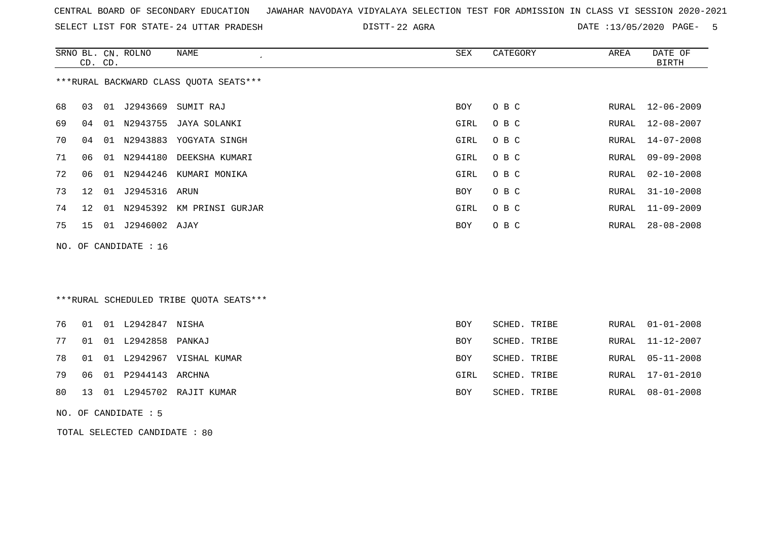| CENTRAL BOARD OF SECONDARY EDUCATION – JAWAHAR NAVODAYA VIDYALAYA SELECTION TEST FOR ADMISSION IN CLASS VI SESSION 2020-2021 |  |
|------------------------------------------------------------------------------------------------------------------------------|--|
|------------------------------------------------------------------------------------------------------------------------------|--|

SELECT LIST FOR STATE- DISTT- 24 UTTAR PRADESH 22 AGRA DATE :13/05/2020 PAGE- 5

|    | CD. CD.                                 |    | SRNO BL. CN. ROLNO    | <b>NAME</b>                             | <b>SEX</b>  | CATEGORY     | AREA         | DATE OF<br><b>BIRTH</b> |  |  |  |
|----|-----------------------------------------|----|-----------------------|-----------------------------------------|-------------|--------------|--------------|-------------------------|--|--|--|
|    | *** RURAL BACKWARD CLASS QUOTA SEATS*** |    |                       |                                         |             |              |              |                         |  |  |  |
| 68 | 03                                      | 01 | J2943669              | SUMIT RAJ                               | <b>BOY</b>  | O B C        | RURAL        | $12 - 06 - 2009$        |  |  |  |
| 69 | 04                                      | 01 | N2943755              | JAYA SOLANKI                            | <b>GIRL</b> | O B C        | <b>RURAL</b> | $12 - 08 - 2007$        |  |  |  |
| 70 | 04                                      | 01 | N2943883              | YOGYATA SINGH                           | GIRL        | O B C        | RURAL        | $14 - 07 - 2008$        |  |  |  |
| 71 | 06                                      |    | 01 N2944180           | DEEKSHA KUMARI                          | GIRL        | O B C        | <b>RURAL</b> | $09 - 09 - 2008$        |  |  |  |
| 72 | 06                                      |    |                       | 01 N2944246 KUMARI MONIKA               | GIRL        | O B C        | RURAL        | $02 - 10 - 2008$        |  |  |  |
| 73 | 12                                      | 01 | J2945316              | ARUN                                    | BOY         | O B C        | RURAL        | $31 - 10 - 2008$        |  |  |  |
| 74 | $12 \,$                                 | 01 | N2945392              | KM PRINSI GURJAR                        | <b>GIRL</b> | O B C        | RURAL        | $11 - 09 - 2009$        |  |  |  |
| 75 | 15                                      |    | 01 J2946002 AJAY      |                                         | BOY         | O B C        | RURAL        | $28 - 08 - 2008$        |  |  |  |
|    |                                         |    | NO. OF CANDIDATE : 16 |                                         |             |              |              |                         |  |  |  |
|    |                                         |    |                       |                                         |             |              |              |                         |  |  |  |
|    |                                         |    |                       |                                         |             |              |              |                         |  |  |  |
|    |                                         |    |                       | ***RURAL SCHEDULED TRIBE OUOTA SEATS*** |             |              |              |                         |  |  |  |
|    |                                         |    |                       |                                         |             |              |              |                         |  |  |  |
| 76 | 01                                      |    | 01 L2942847 NISHA     |                                         | <b>BOY</b>  | SCHED. TRIBE | RURAL        | $01 - 01 - 2008$        |  |  |  |
| 77 | 01                                      |    | 01 L2942858           | PANKAJ                                  | <b>BOY</b>  | SCHED. TRIBE | RURAL        | $11 - 12 - 2007$        |  |  |  |
| 78 | 01                                      | 01 |                       | L2942967 VISHAL KUMAR                   | <b>BOY</b>  | SCHED. TRIBE | RURAL        | $05 - 11 - 2008$        |  |  |  |
| 79 | 06                                      | 01 | P2944143              | ARCHNA                                  | GIRL        | SCHED. TRIBE | RURAL        | $17 - 01 - 2010$        |  |  |  |
| 80 | 13                                      |    |                       | 01 L2945702 RAJIT KUMAR                 | <b>BOY</b>  | SCHED. TRIBE | RURAL        | $08 - 01 - 2008$        |  |  |  |

NO. OF CANDIDATE : 5

TOTAL SELECTED CANDIDATE : 80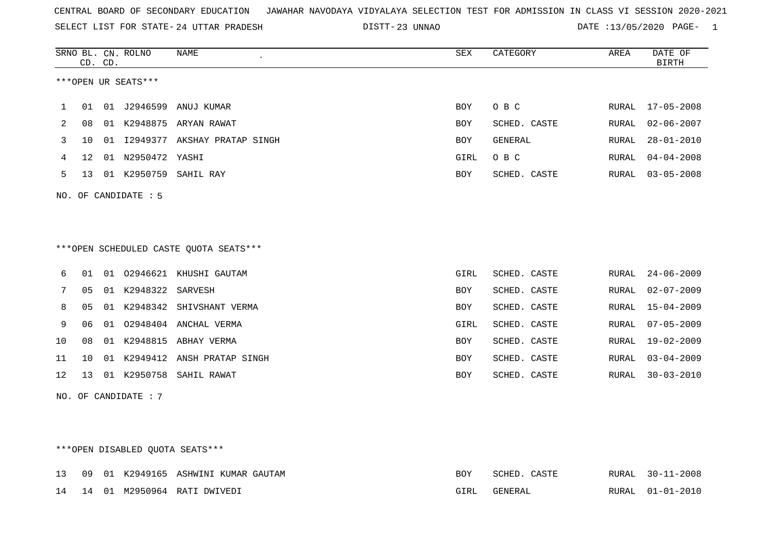SELECT LIST FOR STATE- DISTT- 24 UTTAR PRADESH

23 UNNAO DATE :13/05/2020 PAGE- 1

|    |    | CD. CD. | SRNO BL. CN. ROLNO   | <b>NAME</b>                            | <b>SEX</b> | CATEGORY       | AREA         | DATE OF<br><b>BIRTH</b> |
|----|----|---------|----------------------|----------------------------------------|------------|----------------|--------------|-------------------------|
|    |    |         | ***OPEN UR SEATS***  |                                        |            |                |              |                         |
| 1  | 01 |         |                      | 01 J2946599 ANUJ KUMAR                 | <b>BOY</b> | O B C          | RURAL        | $17 - 05 - 2008$        |
| 2  | 08 |         | 01 K2948875          | ARYAN RAWAT                            | <b>BOY</b> | SCHED. CASTE   | RURAL        | $02 - 06 - 2007$        |
| 3  | 10 | 01      | I2949377             | AKSHAY PRATAP SINGH                    | <b>BOY</b> | <b>GENERAL</b> | RURAL        | $28 - 01 - 2010$        |
| 4  | 12 |         | 01 N2950472 YASHI    |                                        | GIRL       | O B C          | <b>RURAL</b> | $04 - 04 - 2008$        |
| 5  | 13 |         |                      | 01 K2950759 SAHIL RAY                  | BOY        | SCHED. CASTE   | RURAL        | $03 - 05 - 2008$        |
|    |    |         | NO. OF CANDIDATE : 5 | ***OPEN SCHEDULED CASTE QUOTA SEATS*** |            |                |              |                         |
|    |    |         |                      |                                        |            |                |              |                         |
| 6  | 01 |         |                      | 01 02946621 KHUSHI GAUTAM              | GIRL       | SCHED. CASTE   | RURAL        | $24 - 06 - 2009$        |
| 7  | 05 |         | 01 K2948322          | SARVESH                                | <b>BOY</b> | SCHED. CASTE   | RURAL        | $02 - 07 - 2009$        |
| 8  | 05 |         |                      | 01 K2948342 SHIVSHANT VERMA            | <b>BOY</b> | SCHED. CASTE   | RURAL        | $15 - 04 - 2009$        |
| 9  | 06 | 01      |                      | 02948404 ANCHAL VERMA                  | GIRL       | SCHED. CASTE   | <b>RURAL</b> | $07 - 05 - 2009$        |
| 10 | 08 |         | 01 K2948815          | ABHAY VERMA                            | <b>BOY</b> | SCHED. CASTE   | <b>RURAL</b> | $19 - 02 - 2009$        |
| 11 | 10 | 01      | K2949412             | ANSH PRATAP SINGH                      | BOY        | SCHED. CASTE   | RURAL        | $03 - 04 - 2009$        |
| 12 | 13 |         |                      | 01 K2950758 SAHIL RAWAT                | <b>BOY</b> | SCHED. CASTE   | RURAL        | $30 - 03 - 2010$        |
|    |    |         | NO. OF CANDIDATE: 7  |                                        |            |                |              |                         |

\*\*\*OPEN DISABLED QUOTA SEATS\*\*\*

|  |  | 13 09 01 K2949165 ASHWINI KUMAR GAUTAM | BOY  | SCHED. CASTE | RURAL 30-11-2008 |
|--|--|----------------------------------------|------|--------------|------------------|
|  |  | 14 14 01 M2950964 RATI DWIVEDI         | GIRL | GENERAL      | RURAL 01-01-2010 |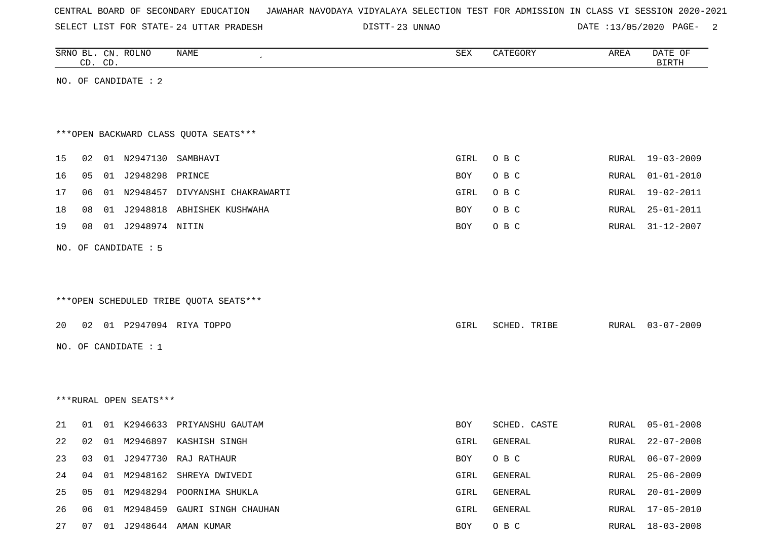| CENTRAL BOARD OF SECONDARY EDUCATION – JAWAHAR NAVODAYA VIDYALAYA SELECTION TEST FOR ADMISSION IN CLASS VI SESSION 2020-2021 |  |  |  |  |
|------------------------------------------------------------------------------------------------------------------------------|--|--|--|--|
|------------------------------------------------------------------------------------------------------------------------------|--|--|--|--|

DISTT-23 UNNAO 2007 DATE :13/05/2020 PAGE- 2

|    |                      | CD. CD. | SRNO BL. CN. ROLNO     | NAME                                   | SEX  | CATEGORY     | AREA  | DATE OF<br><b>BIRTH</b> |  |  |
|----|----------------------|---------|------------------------|----------------------------------------|------|--------------|-------|-------------------------|--|--|
|    | NO. OF CANDIDATE : 2 |         |                        |                                        |      |              |       |                         |  |  |
|    |                      |         |                        |                                        |      |              |       |                         |  |  |
|    |                      |         |                        |                                        |      |              |       |                         |  |  |
|    |                      |         |                        | *** OPEN BACKWARD CLASS QUOTA SEATS*** |      |              |       |                         |  |  |
| 15 | 02                   |         | 01 N2947130 SAMBHAVI   |                                        | GIRL | O B C        | RURAL | $19 - 03 - 2009$        |  |  |
| 16 | 05                   |         | 01 J2948298 PRINCE     |                                        | BOY  | O B C        | RURAL | $01 - 01 - 2010$        |  |  |
| 17 | 06                   |         |                        | 01 N2948457 DIVYANSHI CHAKRAWARTI      | GIRL | O B C        | RURAL | $19 - 02 - 2011$        |  |  |
| 18 | 08                   |         |                        | 01 J2948818 ABHISHEK KUSHWAHA          | BOY  | O B C        | RURAL | $25 - 01 - 2011$        |  |  |
| 19 | 08                   |         | 01 J2948974 NITIN      |                                        | BOY  | O B C        | RURAL | $31 - 12 - 2007$        |  |  |
|    |                      |         | NO. OF CANDIDATE : 5   |                                        |      |              |       |                         |  |  |
|    |                      |         |                        |                                        |      |              |       |                         |  |  |
|    |                      |         |                        |                                        |      |              |       |                         |  |  |
|    |                      |         |                        | ***OPEN SCHEDULED TRIBE QUOTA SEATS*** |      |              |       |                         |  |  |
| 20 |                      |         |                        | 02 01 P2947094 RIYA TOPPO              | GIRL | SCHED. TRIBE | RURAL | $03 - 07 - 2009$        |  |  |
|    |                      |         |                        |                                        |      |              |       |                         |  |  |
|    |                      |         | NO. OF CANDIDATE : $1$ |                                        |      |              |       |                         |  |  |
|    |                      |         |                        |                                        |      |              |       |                         |  |  |
|    |                      |         |                        |                                        |      |              |       |                         |  |  |
|    |                      |         | ***RURAL OPEN SEATS*** |                                        |      |              |       |                         |  |  |
| 21 | 01                   |         |                        | 01 K2946633 PRIYANSHU GAUTAM           | BOY  | SCHED. CASTE | RURAL | $05 - 01 - 2008$        |  |  |
| 22 | 02                   |         |                        | 01 M2946897 KASHISH SINGH              | GIRL | GENERAL      | RURAL | $22 - 07 - 2008$        |  |  |
| 23 | 03                   |         |                        | 01 J2947730 RAJ RATHAUR                | BOY  | O B C        | RURAL | $06 - 07 - 2009$        |  |  |
| 24 | 04                   |         |                        | 01 M2948162 SHREYA DWIVEDI             | GIRL | GENERAL      | RURAL | $25 - 06 - 2009$        |  |  |
| 25 | 05                   |         |                        | 01 M2948294 POORNIMA SHUKLA            | GIRL | GENERAL      | RURAL | $20 - 01 - 2009$        |  |  |
| 26 | 06                   |         |                        | 01 M2948459 GAURI SINGH CHAUHAN        | GIRL | GENERAL      | RURAL | $17 - 05 - 2010$        |  |  |

27 07 01 J2948644 AMAN KUMAR BOY O B C RURAL 18-03-2008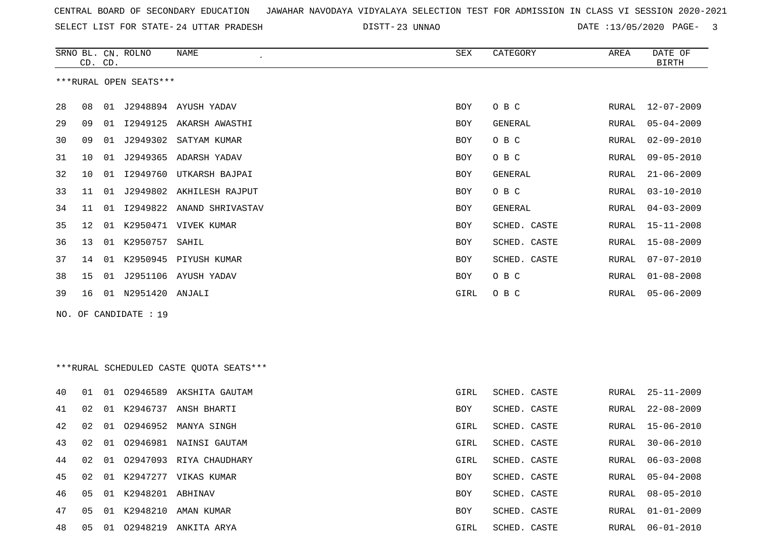| CENTRAL BOARD OF SECONDARY EDUCATION – JAWAHAR NAVODAYA VIDYALAYA SELECTION TEST FOR ADMISSION IN CLASS VI SESSION 2020-2021 |  |
|------------------------------------------------------------------------------------------------------------------------------|--|
|------------------------------------------------------------------------------------------------------------------------------|--|

DISTT-23 UNNAO DATE :13/05/2020 PAGE- 3

|     | CD. CD.                |    | SRNO BL. CN. ROLNO  | NAME                                     | SEX  | CATEGORY     | AREA  | DATE OF<br><b>BIRTH</b> |  |  |
|-----|------------------------|----|---------------------|------------------------------------------|------|--------------|-------|-------------------------|--|--|
|     | ***RURAL OPEN SEATS*** |    |                     |                                          |      |              |       |                         |  |  |
| 28  | 08                     |    |                     | 01 J2948894 AYUSH YADAV                  | BOY  | O B C        | RURAL | $12 - 07 - 2009$        |  |  |
| 29  | 09                     |    |                     | 01 I2949125 AKARSH AWASTHI               | BOY  | GENERAL      | RURAL | $05 - 04 - 2009$        |  |  |
| 30  | 09                     | 01 |                     | J2949302 SATYAM KUMAR                    | BOY  | O B C        | RURAL | $02 - 09 - 2010$        |  |  |
| 31  | 10                     | 01 |                     | J2949365 ADARSH YADAV                    | BOY  | O B C        | RURAL | $09 - 05 - 2010$        |  |  |
| 32  | 10                     | 01 | I2949760            | UTKARSH BAJPAI                           | BOY  | GENERAL      | RURAL | $21 - 06 - 2009$        |  |  |
| 33  | 11                     | 01 |                     | J2949802 AKHILESH RAJPUT                 | BOY  | O B C        | RURAL | $03 - 10 - 2010$        |  |  |
| 34  | 11                     | 01 |                     | 12949822 ANAND SHRIVASTAV                | BOY  | GENERAL      | RURAL | $04 - 03 - 2009$        |  |  |
| 35  | 12                     | 01 |                     | K2950471 VIVEK KUMAR                     | BOY  | SCHED. CASTE | RURAL | $15 - 11 - 2008$        |  |  |
| 36  | 13                     |    | 01 K2950757         | SAHIL                                    | BOY  | SCHED. CASTE | RURAL | 15-08-2009              |  |  |
| 37  | 14                     |    |                     | 01 K2950945 PIYUSH KUMAR                 | BOY  | SCHED. CASTE | RURAL | $07 - 07 - 2010$        |  |  |
| 38  | 15                     | 01 |                     | J2951106 AYUSH YADAV                     | BOY  | O B C        | RURAL | $01 - 08 - 2008$        |  |  |
| 39  | 16                     |    | 01 N2951420 ANJALI  |                                          | GIRL | O B C        | RURAL | $05 - 06 - 2009$        |  |  |
| NO. |                        |    | OF CANDIDATE : 19   |                                          |      |              |       |                         |  |  |
|     |                        |    |                     |                                          |      |              |       |                         |  |  |
|     |                        |    |                     |                                          |      |              |       |                         |  |  |
|     |                        |    |                     | *** RURAL SCHEDULED CASTE QUOTA SEATS*** |      |              |       |                         |  |  |
| 40  | 01                     |    |                     | 01 02946589 AKSHITA GAUTAM               | GIRL | SCHED. CASTE | RURAL | $25 - 11 - 2009$        |  |  |
| 41  | 02                     | 01 | K2946737            | ANSH BHARTI                              | BOY  | SCHED. CASTE | RURAL | $22 - 08 - 2009$        |  |  |
| 42  | 02                     | 01 |                     | 02946952 MANYA SINGH                     | GIRL | SCHED. CASTE | RURAL | $15 - 06 - 2010$        |  |  |
| 43  | 02                     | 01 |                     | 02946981 NAINSI GAUTAM                   | GIRL | SCHED. CASTE | RURAL | $30 - 06 - 2010$        |  |  |
| 44  | 02                     |    |                     | 01 02947093 RIYA CHAUDHARY               | GIRL | SCHED. CASTE | RURAL | $06 - 03 - 2008$        |  |  |
| 45  | 02                     |    |                     | 01 K2947277 VIKAS KUMAR                  | BOY  | SCHED. CASTE | RURAL | $05 - 04 - 2008$        |  |  |
| 46  | 05                     |    | 01 K2948201 ABHINAV |                                          | BOY  | SCHED. CASTE | RURAL | $08 - 05 - 2010$        |  |  |
| 47  | 05                     |    |                     | 01 K2948210 AMAN KUMAR                   | BOY  | SCHED. CASTE | RURAL | $01 - 01 - 2009$        |  |  |
| 48  | 05                     |    |                     | 01 02948219 ANKITA ARYA                  | GIRL | SCHED. CASTE | RURAL | $06 - 01 - 2010$        |  |  |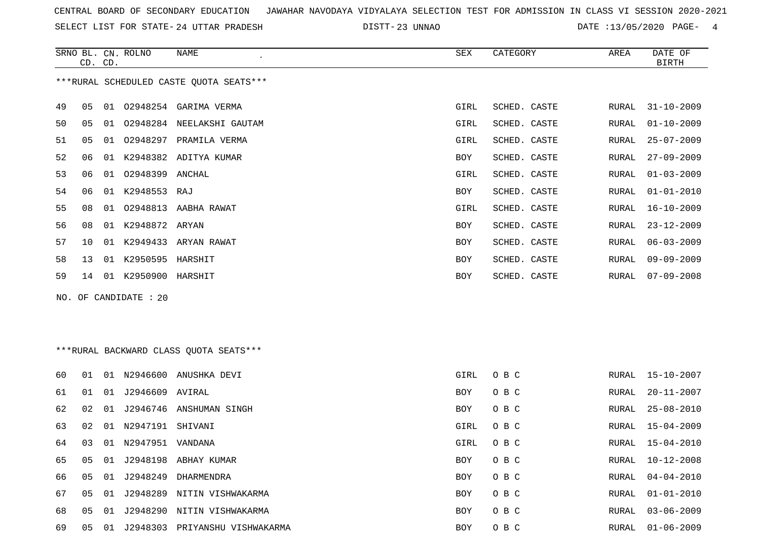SELECT LIST FOR STATE- DISTT- 24 UTTAR PRADESH

23 UNNAO DATE :13/05/2020 PAGE- 4

|    | CD. CD.                                 |    | SRNO BL. CN. ROLNO  | NAME                      | SEX        | CATEGORY     | AREA  | DATE OF<br><b>BIRTH</b> |  |  |
|----|-----------------------------------------|----|---------------------|---------------------------|------------|--------------|-------|-------------------------|--|--|
|    | ***RURAL SCHEDULED CASTE QUOTA SEATS*** |    |                     |                           |            |              |       |                         |  |  |
| 49 | 05                                      | 01 |                     | 02948254 GARIMA VERMA     | GIRL       | SCHED. CASTE | RURAL | $31 - 10 - 2009$        |  |  |
| 50 | 05                                      | 01 |                     | 02948284 NEELAKSHI GAUTAM | GIRL       | SCHED. CASTE | RURAL | $01 - 10 - 2009$        |  |  |
| 51 | 05                                      | 01 | 02948297            | PRAMILA VERMA             | GIRL       | SCHED. CASTE | RURAL | $25 - 07 - 2009$        |  |  |
| 52 | 06                                      | 01 |                     | K2948382 ADITYA KUMAR     | <b>BOY</b> | SCHED. CASTE | RURAL | $27 - 09 - 2009$        |  |  |
| 53 | 06                                      | 01 | 02948399 ANCHAL     |                           | GIRL       | SCHED. CASTE | RURAL | $01 - 03 - 2009$        |  |  |
| 54 | 06                                      |    | 01 K2948553 RAJ     |                           | <b>BOY</b> | SCHED. CASTE | RURAL | $01 - 01 - 2010$        |  |  |
| 55 | 08                                      | 01 |                     | 02948813 AABHA RAWAT      | GIRL       | SCHED. CASTE | RURAL | $16 - 10 - 2009$        |  |  |
| 56 | 08                                      |    | 01 K2948872 ARYAN   |                           | <b>BOY</b> | SCHED. CASTE | RURAL | $23 - 12 - 2009$        |  |  |
| 57 | 10                                      | 01 |                     | K2949433 ARYAN RAWAT      | BOY        | SCHED. CASTE | RURAL | $06 - 03 - 2009$        |  |  |
| 58 | 13                                      | 01 | K2950595            | HARSHIT                   | BOY        | SCHED. CASTE | RURAL | $09 - 09 - 2009$        |  |  |
| 59 | 14                                      |    | 01 K2950900 HARSHIT |                           | <b>BOY</b> | SCHED. CASTE | RURAL | $07 - 09 - 2008$        |  |  |
|    | NO. OF CANDIDATE : $20$                 |    |                     |                           |            |              |       |                         |  |  |

## \*\*\*RURAL BACKWARD CLASS QUOTA SEATS\*\*\*

| 60 | 01 | 01 | N2946600 | ANUSHKA DEVI          | GIRL | O B C | RURAL | 15-10-2007       |
|----|----|----|----------|-----------------------|------|-------|-------|------------------|
| 61 | 01 | 01 | J2946609 | AVIRAL                | BOY  | O B C | RURAL | $20 - 11 - 2007$ |
| 62 | 02 | 01 | J2946746 | ANSHUMAN SINGH        | BOY  | O B C | RURAL | 25-08-2010       |
| 63 | 02 | 01 | N2947191 | SHIVANI               | GIRL | O B C | RURAL | 15-04-2009       |
| 64 | 03 | 01 | N2947951 | VANDANA               | GIRL | O B C | RURAL | 15-04-2010       |
| 65 | 05 | 01 | J2948198 | ABHAY KUMAR           | BOY  | O B C | RURAL | $10 - 12 - 2008$ |
| 66 | 05 | 01 | J2948249 | DHARMENDRA            | BOY  | O B C | RURAL | $04 - 04 - 2010$ |
| 67 | 05 | 01 | J2948289 | NITIN VISHWAKARMA     | BOY  | O B C | RURAL | $01 - 01 - 2010$ |
| 68 | 05 | 01 | J2948290 | NITIN VISHWAKARMA     | BOY  | O B C | RURAL | $03 - 06 - 2009$ |
| 69 | 05 | 01 | J2948303 | PRIYANSHU VISHWAKARMA | BOY  | O B C | RURAL | $01 - 06 - 2009$ |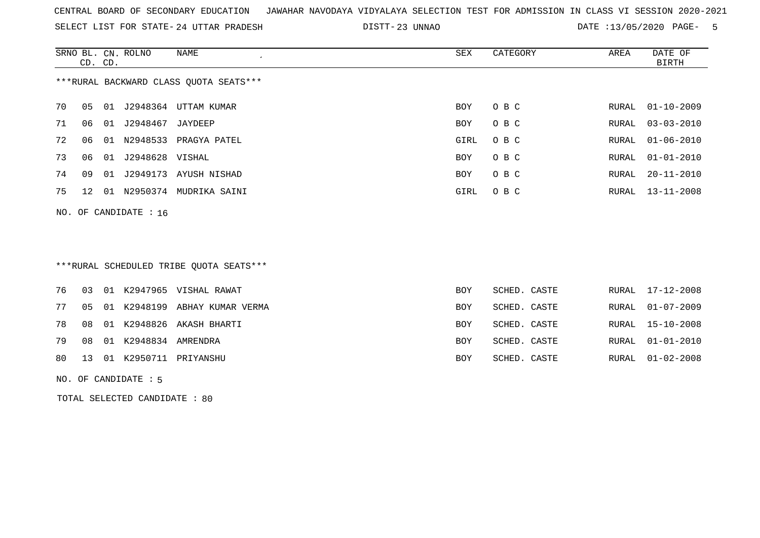SELECT LIST FOR STATE- DISTT- 24 UTTAR PRADESH

23 UNNAO DATE :13/05/2020 PAGE- 5

|    | CD. CD. | SRNO BL. CN. ROLNO    | NAME<br>$\epsilon$                      | SEX        | CATEGORY | AREA  | DATE OF<br>BIRTH |
|----|---------|-----------------------|-----------------------------------------|------------|----------|-------|------------------|
|    |         |                       | *** RURAL BACKWARD CLASS QUOTA SEATS*** |            |          |       |                  |
| 70 | 05      |                       | 01 J2948364 UTTAM KUMAR                 | <b>BOY</b> | O B C    | RURAL | 01-10-2009       |
| 71 | 06      | 01 J2948467 JAYDEEP   |                                         | BOY        | O B C    | RURAL | $03 - 03 - 2010$ |
| 72 | 06      |                       | 01 N2948533 PRAGYA PATEL                | GIRL       | O B C    | RURAL | $01 - 06 - 2010$ |
| 73 | 06      | 01 J2948628 VISHAL    |                                         | <b>BOY</b> | O B C    | RURAL | $01 - 01 - 2010$ |
| 74 | 09      |                       | 01 J2949173 AYUSH NISHAD                | BOY        | O B C    | RURAL | $20 - 11 - 2010$ |
| 75 | 12      |                       | 01 N2950374 MUDRIKA SAINI               | GIRL       | O B C    | RURAL | 13-11-2008       |
|    |         | NO. OF CANDIDATE : 16 |                                         |            |          |       |                  |
|    |         |                       | ***RURAL SCHEDULED TRIBE QUOTA SEATS*** |            |          |       |                  |

|  |                            | 76 03 01 K2947965 VISHAL RAWAT      | BOY        | SCHED. CASTE |  | RURAL 17-12-2008 |
|--|----------------------------|-------------------------------------|------------|--------------|--|------------------|
|  |                            | 77 05 01 K2948199 ABHAY KUMAR VERMA | BOY        | SCHED. CASTE |  | RURAL 01-07-2009 |
|  |                            | 78 08 01 K2948826 AKASH BHARTI      | <b>BOY</b> | SCHED. CASTE |  | RURAL 15-10-2008 |
|  | 79 08 01 K2948834 AMRENDRA |                                     | <b>BOY</b> | SCHED. CASTE |  | RURAL 01-01-2010 |
|  |                            | 80 13 01 K2950711 PRIYANSHU         | BOY        | SCHED. CASTE |  | RURAL 01-02-2008 |

NO. OF CANDIDATE : 5

TOTAL SELECTED CANDIDATE : 80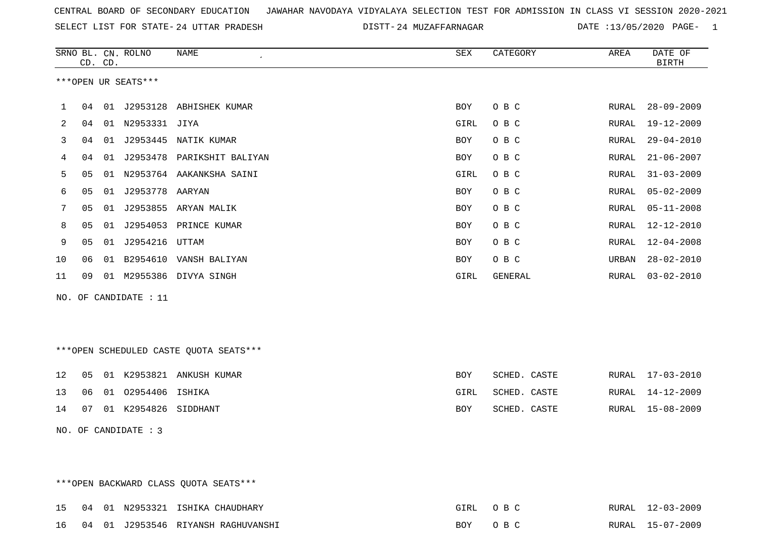SELECT LIST FOR STATE- DISTT- 24 UTTAR PRADESH

24 MUZAFFARNAGAR DATE :13/05/2020 PAGE- 1

|     |    | CD. CD. | SRNO BL. CN. ROLNO   | <b>NAME</b>                            | SEX        | CATEGORY     | AREA  | DATE OF<br><b>BIRTH</b> |
|-----|----|---------|----------------------|----------------------------------------|------------|--------------|-------|-------------------------|
|     |    |         | ***OPEN UR SEATS***  |                                        |            |              |       |                         |
| 1   | 04 |         |                      | 01 J2953128 ABHISHEK KUMAR             | <b>BOY</b> | O B C        | RURAL | $28 - 09 - 2009$        |
| 2   | 04 |         | 01 N2953331 JIYA     |                                        | GIRL       | O B C        | RURAL | $19 - 12 - 2009$        |
| 3   | 04 |         |                      | 01 J2953445 NATIK KUMAR                | BOY        | O B C        | RURAL | $29 - 04 - 2010$        |
| 4   | 04 | 01      |                      | J2953478 PARIKSHIT BALIYAN             | <b>BOY</b> | $O$ B $C$    | RURAL | $21 - 06 - 2007$        |
| 5   | 05 |         |                      | 01 N2953764 AAKANKSHA SAINI            | GIRL       | O B C        | RURAL | $31 - 03 - 2009$        |
| 6   | 05 | 01      | J2953778 AARYAN      |                                        | BOY        | O B C        | RURAL | $05 - 02 - 2009$        |
| 7   | 05 |         |                      | 01 J2953855 ARYAN MALIK                | <b>BOY</b> | O B C        | RURAL | $05 - 11 - 2008$        |
| 8   | 05 | 01      |                      | J2954053 PRINCE KUMAR                  | BOY        | O B C        | RURAL | 12-12-2010              |
| 9   | 05 |         | 01 J2954216 UTTAM    |                                        | BOY        | O B C        | RURAL | $12 - 04 - 2008$        |
| 10  | 06 | 01      |                      | B2954610 VANSH BALIYAN                 | BOY        | O B C        | URBAN | $28 - 02 - 2010$        |
| 11  | 09 |         |                      | 01 M2955386 DIVYA SINGH                | GIRL       | GENERAL      | RURAL | $03 - 02 - 2010$        |
| NO. |    |         | OF CANDIDATE : 11    |                                        |            |              |       |                         |
|     |    |         |                      |                                        |            |              |       |                         |
|     |    |         |                      |                                        |            |              |       |                         |
|     |    |         |                      | ***OPEN SCHEDULED CASTE QUOTA SEATS*** |            |              |       |                         |
| 12  | 05 |         |                      | 01 K2953821 ANKUSH KUMAR               | <b>BOY</b> | SCHED. CASTE | RURAL | $17 - 03 - 2010$        |
| 13  | 06 |         | 01 02954406 ISHIKA   |                                        | GIRL       | SCHED. CASTE | RURAL | $14 - 12 - 2009$        |
| 14  | 07 |         | 01 K2954826 SIDDHANT |                                        | BOY        | SCHED. CASTE | RURAL | $15 - 08 - 2009$        |
|     |    |         | NO. OF CANDIDATE : 3 |                                        |            |              |       |                         |
|     |    |         |                      |                                        |            |              |       |                         |
|     |    |         |                      |                                        |            |              |       |                         |

\*\*\*OPEN BACKWARD CLASS QUOTA SEATS\*\*\*

|  |  | 15 04 01 N2953321 ISHIKA CHAUDHARY    | GIRL OBC | RURAL 12-03-2009 |
|--|--|---------------------------------------|----------|------------------|
|  |  | 16 04 01 J2953546 RIYANSH RAGHUVANSHI | BOY OBC  | RURAL 15-07-2009 |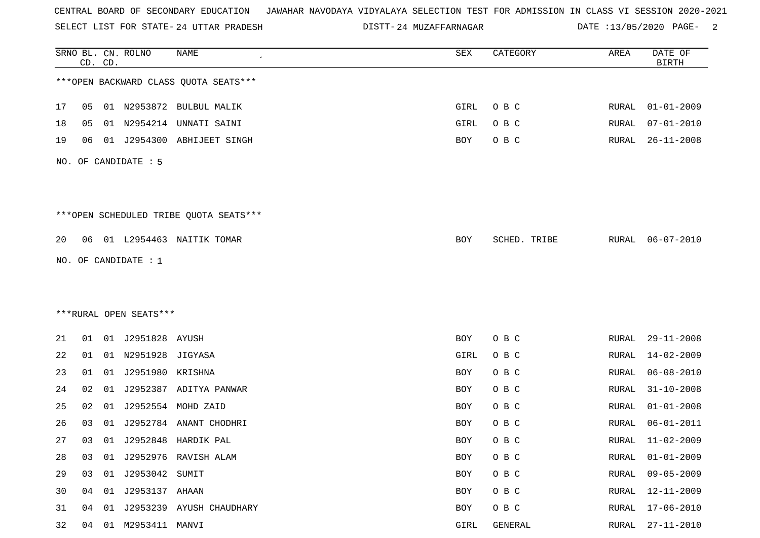SELECT LIST FOR STATE- DISTT- 24 UTTAR PRADESH

24 MUZAFFARNAGAR DATE :13/05/2020 PAGE- 2

|    |    | CD. CD. | SRNO BL. CN. ROLNO     | <b>NAME</b>                            | SEX  | CATEGORY     | AREA  | DATE OF<br><b>BIRTH</b> |
|----|----|---------|------------------------|----------------------------------------|------|--------------|-------|-------------------------|
|    |    |         |                        | *** OPEN BACKWARD CLASS QUOTA SEATS*** |      |              |       |                         |
| 17 | 05 |         |                        | 01 N2953872 BULBUL MALIK               | GIRL | O B C        | RURAL | $01 - 01 - 2009$        |
| 18 | 05 | 01      | N2954214               | UNNATI SAINI                           | GIRL | O B C        | RURAL | $07 - 01 - 2010$        |
| 19 | 06 |         | 01 J2954300            | ABHIJEET SINGH                         | BOY  | O B C        | RURAL | $26 - 11 - 2008$        |
|    |    |         | NO. OF CANDIDATE : 5   |                                        |      |              |       |                         |
|    |    |         |                        | ***OPEN SCHEDULED TRIBE QUOTA SEATS*** |      |              |       |                         |
| 20 | 06 |         |                        | 01 L2954463 NAITIK TOMAR               | BOY  | SCHED. TRIBE | RURAL | $06 - 07 - 2010$        |
|    |    |         | NO. OF CANDIDATE : $1$ |                                        |      |              |       |                         |
|    |    |         |                        |                                        |      |              |       |                         |
|    |    |         | ***RURAL OPEN SEATS*** |                                        |      |              |       |                         |
| 21 | 01 |         | 01 J2951828 AYUSH      |                                        | BOY  | O B C        | RURAL | $29 - 11 - 2008$        |
| 22 | 01 |         | 01 N2951928 JIGYASA    |                                        | GIRL | O B C        | RURAL | $14 - 02 - 2009$        |
| 23 | 01 | 01      | J2951980 KRISHNA       |                                        | BOY  | O B C        | RURAL | $06 - 08 - 2010$        |
| 24 | 02 | 01      |                        | J2952387 ADITYA PANWAR                 | BOY  | O B C        | RURAL | $31 - 10 - 2008$        |
| 25 | 02 | 01      |                        | J2952554 MOHD ZAID                     | BOY  | O B C        | RURAL | $01 - 01 - 2008$        |
| 26 | 03 | 01      | J2952784               | ANANT CHODHRI                          | BOY  | O B C        | RURAL | $06 - 01 - 2011$        |
| 27 | 03 |         |                        | 01 J2952848 HARDIK PAL                 | BOY  | O B C        | RURAL | $11 - 02 - 2009$        |
| 28 | 03 |         |                        | 01 J2952976 RAVISH ALAM                | BOY  | O B C        | RURAL | $01 - 01 - 2009$        |
| 29 | 03 |         | 01 J2953042 SUMIT      |                                        | BOY  | O B C        | RURAL | $09 - 05 - 2009$        |
| 30 | 04 |         | 01 J2953137 AHAAN      |                                        | BOY  | O B C        | RURAL | 12-11-2009              |
| 31 | 04 |         |                        | 01 J2953239 AYUSH CHAUDHARY            | BOY  | O B C        | RURAL | $17 - 06 - 2010$        |
| 32 | 04 |         | 01 M2953411 MANVI      |                                        | GIRL | GENERAL      | RURAL | $27 - 11 - 2010$        |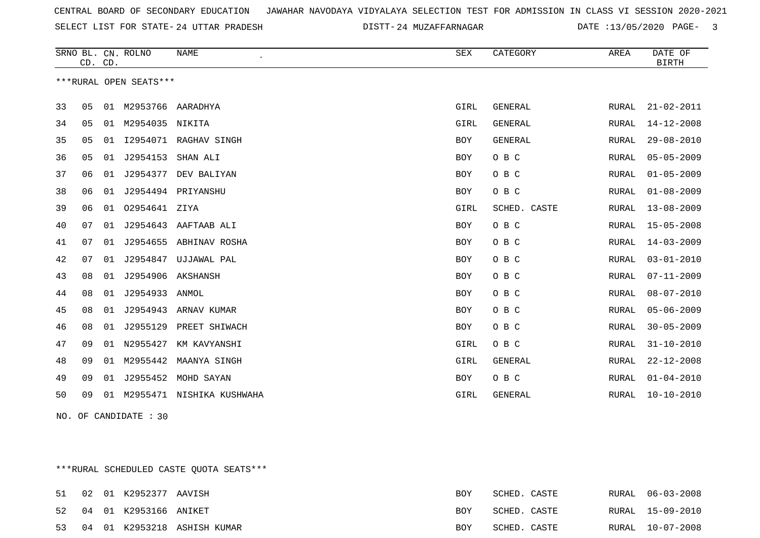SELECT LIST FOR STATE- DISTT- 24 UTTAR PRADESH

24 MUZAFFARNAGAR DATE :13/05/2020 PAGE- 3

|    | CD. CD. |    | SRNO BL. CN. ROLNO     | <b>NAME</b>           | <b>SEX</b> | CATEGORY     | AREA  | DATE OF<br><b>BIRTH</b> |
|----|---------|----|------------------------|-----------------------|------------|--------------|-------|-------------------------|
|    |         |    | ***RURAL OPEN SEATS*** |                       |            |              |       |                         |
| 33 | 05      | 01 | M2953766               | AARADHYA              | GIRL       | GENERAL      | RURAL | $21 - 02 - 2011$        |
| 34 | 05      | 01 | M2954035               | NIKITA                | GIRL       | GENERAL      | RURAL | $14 - 12 - 2008$        |
| 35 | 05      | 01 |                        | I2954071 RAGHAV SINGH | <b>BOY</b> | GENERAL      | RURAL | $29 - 08 - 2010$        |
| 36 | 05      | 01 | J2954153               | SHAN ALI              | <b>BOY</b> | O B C        | RURAL | $05 - 05 - 2009$        |
| 37 | 06      | 01 | J2954377               | DEV BALIYAN           | BOY        | O B C        | RURAL | $01 - 05 - 2009$        |
| 38 | 06      | 01 |                        | J2954494 PRIYANSHU    | BOY        | O B C        | RURAL | $01 - 08 - 2009$        |
| 39 | 06      | 01 | 02954641 ZIYA          |                       | GIRL       | SCHED. CASTE | RURAL | $13 - 08 - 2009$        |
| 40 | 07      | 01 | J2954643               | AAFTAAB ALI           | BOY        | O B C        | RURAL | $15 - 05 - 2008$        |
| 41 | 07      | 01 | J2954655               | ABHINAV ROSHA         | BOY        | O B C        | RURAL | $14 - 03 - 2009$        |
| 42 | 07      | 01 | J2954847               | UJJAWAL PAL           | <b>BOY</b> | O B C        | RURAL | $03 - 01 - 2010$        |
| 43 | 08      | 01 | J2954906               | AKSHANSH              | BOY        | O B C        | RURAL | $07 - 11 - 2009$        |
| 44 | 08      | 01 | J2954933               | ANMOL                 | BOY        | O B C        | RURAL | $08 - 07 - 2010$        |
| 45 | 08      | 01 | J2954943               | ARNAV KUMAR           | <b>BOY</b> | O B C        | RURAL | $05 - 06 - 2009$        |
| 46 | 08      | 01 | J2955129               | PREET SHIWACH         | BOY        | O B C        | RURAL | $30 - 05 - 2009$        |
| 47 | 09      | 01 | N2955427               | KM KAVYANSHI          | GIRL       | O B C        | RURAL | $31 - 10 - 2010$        |
| 48 | 09      | 01 | M2955442               | MAANYA SINGH          | GIRL       | GENERAL      | RURAL | $22 - 12 - 2008$        |
| 49 | 09      | 01 | J2955452               | MOHD SAYAN            | <b>BOY</b> | O B C        | RURAL | $01 - 04 - 2010$        |
| 50 | 09      | 01 | M2955471               | NISHIKA KUSHWAHA      | GIRL       | GENERAL      | RURAL | $10 - 10 - 2010$        |

NO. OF CANDIDATE : 30

\*\*\*RURAL SCHEDULED CASTE QUOTA SEATS\*\*\*

|  | 51 02 01 K2952377 AAVISH |                                | BOY        | SCHED. CASTE |  | RURAL 06-03-2008 |
|--|--------------------------|--------------------------------|------------|--------------|--|------------------|
|  | 52 04 01 K2953166 ANIKET |                                | <b>BOY</b> | SCHED. CASTE |  | RURAL 15-09-2010 |
|  |                          | 53 04 01 K2953218 ASHISH KUMAR | <b>BOY</b> | SCHED. CASTE |  | RURAL 10-07-2008 |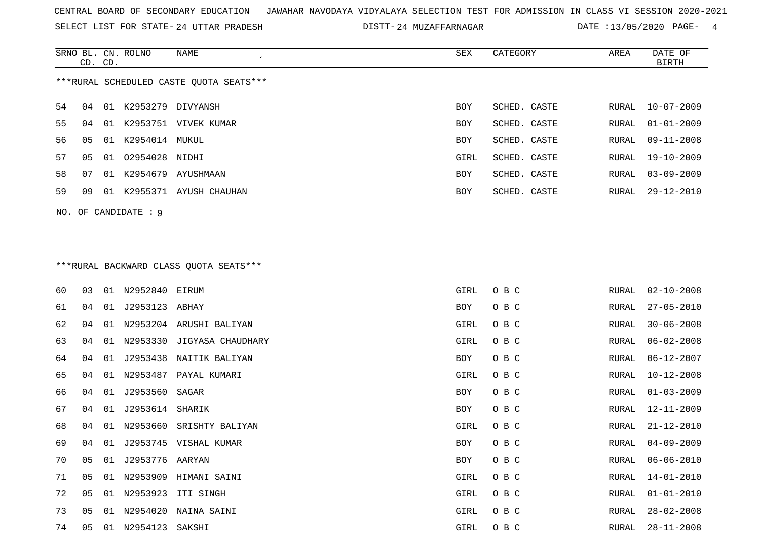SELECT LIST FOR STATE- DISTT- 24 UTTAR PRADESH

24 MUZAFFARNAGAR DATE :13/05/2020 PAGE- 4

|     | CD. CD. |    | SRNO BL. CN. ROLNO | NAME                                    | SEX        | CATEGORY     | AREA  | DATE OF<br>BIRTH |
|-----|---------|----|--------------------|-----------------------------------------|------------|--------------|-------|------------------|
|     |         |    |                    | ***RURAL SCHEDULED CASTE OUOTA SEATS*** |            |              |       |                  |
| 54  | 04      | 01 | K2953279 DIVYANSH  |                                         | <b>BOY</b> | SCHED. CASTE | RURAL | $10 - 07 - 2009$ |
| 55  | 04      | 01 | K2953751           | VIVEK KUMAR                             | <b>BOY</b> | SCHED. CASTE | RURAL | $01 - 01 - 2009$ |
| 56. | 05      | 01 | K2954014 MUKUL     |                                         | BOY        | SCHED. CASTE | RURAL | $09 - 11 - 2008$ |
| 57  | 05      | 01 | 02954028 NIDHI     |                                         | GIRL       | SCHED. CASTE | RURAL | 19-10-2009       |
| 58  | 07      | 01 | K2954679           | AYUSHMAAN                               | <b>BOY</b> | SCHED. CASTE | RURAL | $03 - 09 - 2009$ |
| 59  | 09      | 01 | K2955371           | AYUSH CHAUHAN                           | <b>BOY</b> | SCHED. CASTE | RURAL | 29-12-2010       |
|     |         |    |                    |                                         |            |              |       |                  |

# \*\*\*RURAL BACKWARD CLASS QUOTA SEATS\*\*\*

NO. OF CANDIDATE : 9

| 60 | 03             | 01 | N2952840 EIRUM  |                         | GIRL | O B C | RURAL | $02 - 10 - 2008$ |
|----|----------------|----|-----------------|-------------------------|------|-------|-------|------------------|
| 61 | 04             | 01 | J2953123 ABHAY  |                         | BOY  | O B C | RURAL | $27 - 05 - 2010$ |
| 62 | 04             | 01 |                 | N2953204 ARUSHI BALIYAN | GIRL | O B C | RURAL | $30 - 06 - 2008$ |
| 63 | 04             | 01 | N2953330        | JIGYASA CHAUDHARY       | GIRL | O B C | RURAL | $06 - 02 - 2008$ |
| 64 | 04             | 01 | J2953438        | NAITIK BALIYAN          | BOY  | O B C | RURAL | $06 - 12 - 2007$ |
| 65 | 04             | 01 | N2953487        | PAYAL KUMARI            | GIRL | O B C | RURAL | $10 - 12 - 2008$ |
| 66 | 04             | 01 | J2953560        | SAGAR                   | BOY  | O B C | RURAL | $01 - 03 - 2009$ |
| 67 | 04             | 01 | J2953614 SHARIK |                         | BOY  | O B C | RURAL | 12-11-2009       |
| 68 | 04             | 01 | N2953660        | SRISHTY BALIYAN         | GIRL | O B C | RURAL | $21 - 12 - 2010$ |
| 69 | 04             | 01 |                 | J2953745 VISHAL KUMAR   | BOY  | O B C | RURAL | $04 - 09 - 2009$ |
| 70 | 0 <sub>5</sub> | 01 | J2953776 AARYAN |                         | BOY  | O B C | RURAL | $06 - 06 - 2010$ |
| 71 | 0 <sub>5</sub> | 01 |                 | N2953909 HIMANI SAINI   | GIRL | O B C | RURAL | $14 - 01 - 2010$ |
| 72 | 0 <sub>5</sub> | 01 |                 | N2953923 ITI SINGH      | GIRL | O B C | RURAL | $01 - 01 - 2010$ |
| 73 | 05             | 01 | N2954020        | NAINA SAINI             | GIRL | O B C | RURAL | $28 - 02 - 2008$ |
| 74 | 05             | 01 | N2954123        | SAKSHI                  | GIRL | O B C | RURAL | $28 - 11 - 2008$ |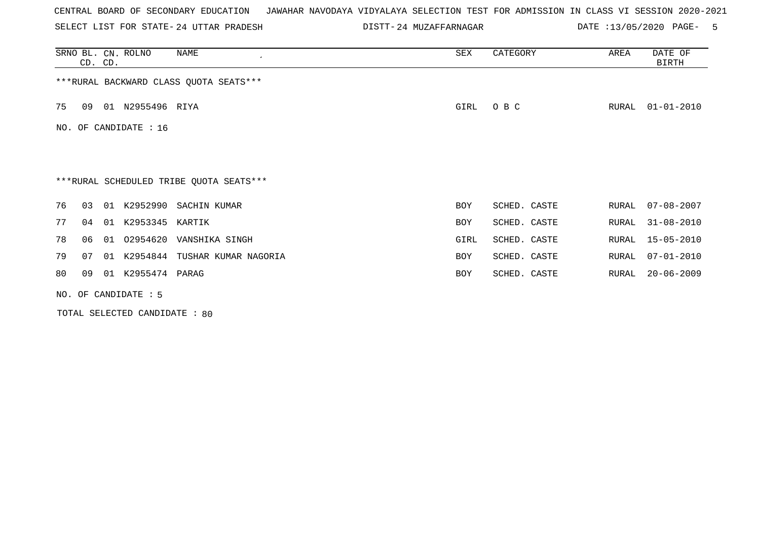SELECT LIST FOR STATE- DISTT- 24 UTTAR PRADESH

24 MUZAFFARNAGAR DATE :13/05/2020 PAGE- 5

|    | CD. CD. |    | SRNO BL. CN. ROLNO    | NAME                                    | SEX  | CATEGORY     | AREA  | DATE OF<br>BIRTH |
|----|---------|----|-----------------------|-----------------------------------------|------|--------------|-------|------------------|
|    |         |    |                       | *** RURAL BACKWARD CLASS QUOTA SEATS*** |      |              |       |                  |
| 75 | 09      |    | 01 N2955496 RIYA      |                                         | GIRL | O B C        | RURAL | $01 - 01 - 2010$ |
|    |         |    | NO. OF CANDIDATE : 16 |                                         |      |              |       |                  |
|    |         |    |                       |                                         |      |              |       |                  |
|    |         |    |                       | ***RURAL SCHEDULED TRIBE QUOTA SEATS*** |      |              |       |                  |
| 76 | 03      | 01 | K2952990              | SACHIN KUMAR                            | BOY  | SCHED. CASTE | RURAL | $07 - 08 - 2007$ |
| 77 | 04      | 01 | K2953345 KARTIK       |                                         | BOY  | SCHED. CASTE | RURAL | $31 - 08 - 2010$ |
| 78 | 06      | 01 | 02954620              | VANSHIKA SINGH                          | GIRL | SCHED. CASTE | RURAL | $15 - 05 - 2010$ |
| 79 | 07      | 01 |                       | K2954844 TUSHAR KUMAR NAGORIA           | BOY  | SCHED. CASTE | RURAL | $07 - 01 - 2010$ |
| 80 | 09      | 01 | K2955474 PARAG        |                                         | BOY  | SCHED. CASTE | RURAL | $20 - 06 - 2009$ |
|    |         |    | NO. OF CANDIDATE : 5  |                                         |      |              |       |                  |

TOTAL SELECTED CANDIDATE : 80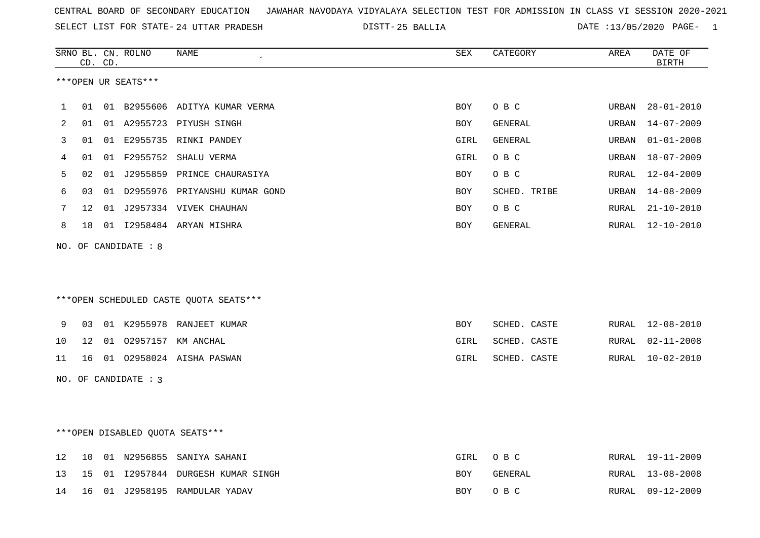|  |  |  |  | CENTRAL BOARD OF SECONDARY EDUCATION GJAWAHAR NAVODAYA VIDYALAYA SELECTION TEST FOR ADMISSION IN CLASS VI SESSION 2020-2021 |  |  |  |  |  |  |  |  |  |  |  |
|--|--|--|--|-----------------------------------------------------------------------------------------------------------------------------|--|--|--|--|--|--|--|--|--|--|--|
|--|--|--|--|-----------------------------------------------------------------------------------------------------------------------------|--|--|--|--|--|--|--|--|--|--|--|

24 UTTAR PRADESH 25 BALLIA DATE :13/05/2020 PAGE- 1

|    |    | CD. CD. | SRNO BL. CN. ROLNO   | NAME                                   | <b>SEX</b> | CATEGORY     | AREA         | DATE OF<br><b>BIRTH</b> |
|----|----|---------|----------------------|----------------------------------------|------------|--------------|--------------|-------------------------|
|    |    |         | ***OPEN UR SEATS***  |                                        |            |              |              |                         |
| 1  | 01 |         |                      | 01 B2955606 ADITYA KUMAR VERMA         | <b>BOY</b> | O B C        | <b>URBAN</b> | $28 - 01 - 2010$        |
| 2  | 01 |         |                      | 01 A2955723 PIYUSH SINGH               | BOY        | GENERAL      | URBAN        | $14 - 07 - 2009$        |
| 3  | 01 |         |                      | 01 E2955735 RINKI PANDEY               | GIRL       | GENERAL      | URBAN        | $01 - 01 - 2008$        |
| 4  | 01 |         |                      | 01 F2955752 SHALU VERMA                | GIRL       | O B C        | URBAN        | $18 - 07 - 2009$        |
| 5  | 02 |         |                      | 01 J2955859 PRINCE CHAURASIYA          | <b>BOY</b> | O B C        | RURAL        | $12 - 04 - 2009$        |
| 6  | 03 |         |                      | 01 D2955976 PRIYANSHU KUMAR GOND       | BOY        | SCHED. TRIBE | URBAN        | $14 - 08 - 2009$        |
| 7  | 12 |         |                      | 01 J2957334 VIVEK CHAUHAN              | BOY        | O B C        | RURAL        | $21 - 10 - 2010$        |
| 8  | 18 |         |                      | 01 I2958484 ARYAN MISHRA               | BOY        | GENERAL      | RURAL        | 12-10-2010              |
|    |    |         |                      | ***OPEN SCHEDULED CASTE QUOTA SEATS*** |            |              |              |                         |
| 9  | 03 |         |                      | 01 K2955978 RANJEET KUMAR              | <b>BOY</b> | SCHED. CASTE | RURAL        | $12 - 08 - 2010$        |
| 10 | 12 |         |                      | 01 02957157 KM ANCHAL                  | GIRL       | SCHED. CASTE | RURAL        | $02 - 11 - 2008$        |
| 11 | 16 |         |                      | 01 02958024 AISHA PASWAN               | GIRL       | SCHED. CASTE | RURAL        | $10 - 02 - 2010$        |
|    |    |         | NO. OF CANDIDATE : 3 |                                        |            |              |              |                         |
|    |    |         |                      | ***OPEN DISABLED QUOTA SEATS***        |            |              |              |                         |
| 12 | 10 |         |                      | 01 N2956855 SANIYA SAHANI              | GIRL       | O B C        | RURAL        | 19-11-2009              |
| 13 | 15 |         |                      | 01 I2957844 DURGESH KUMAR SINGH        | <b>BOY</b> | GENERAL      | RURAL        | $13 - 08 - 2008$        |
| 14 | 16 |         |                      | 01 J2958195 RAMDULAR YADAV             | <b>BOY</b> | O B C        | RURAL        | $09 - 12 - 2009$        |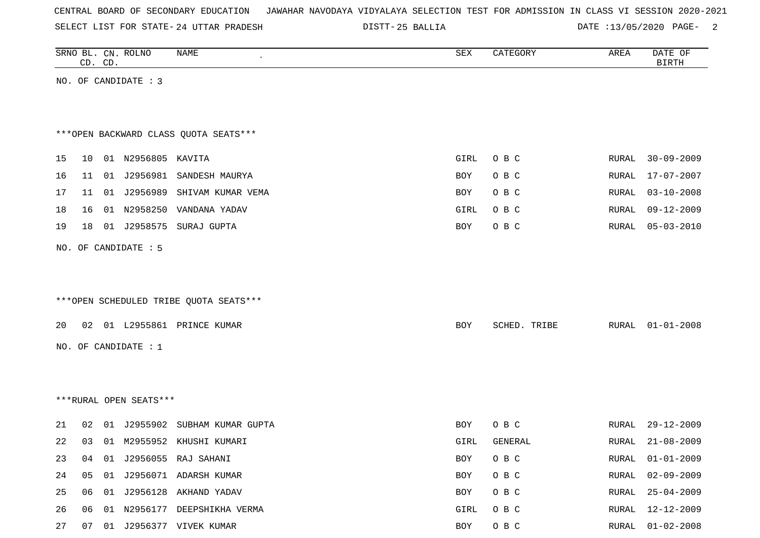| CENTRAL BOARD OF SECONDARY EDUCATION – JAWAHAR NAVODAYA VIDYALAYA SELECTION TEST FOR ADMISSION IN CLASS VI SESSION 2020-2021 |  |  |  |  |
|------------------------------------------------------------------------------------------------------------------------------|--|--|--|--|
|------------------------------------------------------------------------------------------------------------------------------|--|--|--|--|

DISTT-25 BALLIA 2000 DATE :13/05/2020 PAGE-

|    | CD. CD. | SRNO BL. CN. ROLNO     | NAME                                   | ${\tt SEX}$ | CATEGORY     | AREA  | DATE OF<br><b>BIRTH</b> |
|----|---------|------------------------|----------------------------------------|-------------|--------------|-------|-------------------------|
|    |         | NO. OF CANDIDATE : 3   |                                        |             |              |       |                         |
|    |         |                        |                                        |             |              |       |                         |
|    |         |                        |                                        |             |              |       |                         |
|    |         |                        | *** OPEN BACKWARD CLASS QUOTA SEATS*** |             |              |       |                         |
| 15 | 10      | 01 N2956805 KAVITA     |                                        | GIRL        | O B C        | RURAL | $30 - 09 - 2009$        |
| 16 | 11      | 01 J2956981            | SANDESH MAURYA                         | BOY         | O B C        | RURAL | 17-07-2007              |
| 17 | 11      |                        | 01 J2956989 SHIVAM KUMAR VEMA          | BOY         | O B C        | RURAL | $03 - 10 - 2008$        |
| 18 | 16      | 01 N2958250            | VANDANA YADAV                          | GIRL        | O B C        | RURAL | $09 - 12 - 2009$        |
| 19 | 18      | 01 J2958575            | SURAJ GUPTA                            | BOY         | O B C        | RURAL | $05 - 03 - 2010$        |
|    |         | NO. OF CANDIDATE : 5   |                                        |             |              |       |                         |
|    |         |                        |                                        |             |              |       |                         |
|    |         |                        |                                        |             |              |       |                         |
|    |         |                        | ***OPEN SCHEDULED TRIBE QUOTA SEATS*** |             |              |       |                         |
| 20 |         |                        | 02 01 L2955861 PRINCE KUMAR            | BOY         | SCHED. TRIBE | RURAL | $01 - 01 - 2008$        |
|    |         |                        |                                        |             |              |       |                         |
|    |         | NO. OF CANDIDATE : 1   |                                        |             |              |       |                         |
|    |         |                        |                                        |             |              |       |                         |
|    |         |                        |                                        |             |              |       |                         |
|    |         | ***RURAL OPEN SEATS*** |                                        |             |              |       |                         |
| 21 | 02      |                        | 01 J2955902 SUBHAM KUMAR GUPTA         | BOY         | O B C        | RURAL | $29 - 12 - 2009$        |
| 22 | 03      |                        | 01 M2955952 KHUSHI KUMARI              | GIRL        | GENERAL      | RURAL | $21 - 08 - 2009$        |
| 23 | 04      |                        | 01 J2956055 RAJ SAHANI                 | BOY         | O B C        | RURAL | $01 - 01 - 2009$        |
| 24 | 05      |                        | 01 J2956071 ADARSH KUMAR               | BOY         | O B C        | RURAL | $02 - 09 - 2009$        |
| 25 | 06      |                        | 01 J2956128 AKHAND YADAV               | BOY         | O B C        | RURAL | $25 - 04 - 2009$        |
| 26 | 06      |                        | 01 N2956177 DEEPSHIKHA VERMA           | GIRL        | O B C        | RURAL | $12 - 12 - 2009$        |
| 27 | 07      |                        | 01 J2956377 VIVEK KUMAR                | BOY         | $O$ B $C$    | RURAL | $01 - 02 - 2008$        |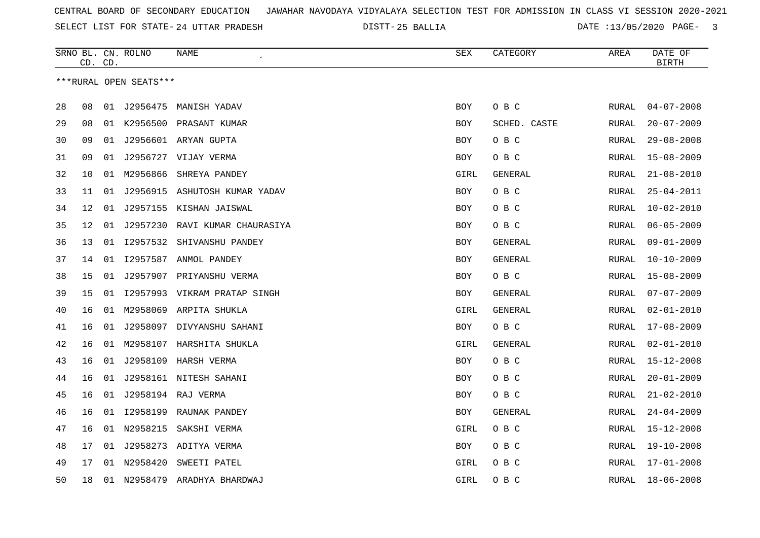25 BALLIA DATE :13/05/2020 PAGE- 3

|    | CD. CD. |    | SRNO BL. CN. ROLNO     | NAME                              | SEX        | CATEGORY     | AREA          | DATE OF<br><b>BIRTH</b> |
|----|---------|----|------------------------|-----------------------------------|------------|--------------|---------------|-------------------------|
|    |         |    | ***RURAL OPEN SEATS*** |                                   |            |              |               |                         |
|    |         |    |                        |                                   |            |              |               |                         |
| 28 | 08      |    |                        | 01 J2956475 MANISH YADAV          | <b>BOY</b> | O B C        | RURAL         | $04 - 07 - 2008$        |
| 29 | 08      |    |                        | 01 K2956500 PRASANT KUMAR         | <b>BOY</b> | SCHED. CASTE | RURAL         | $20 - 07 - 2009$        |
| 30 | 09      | 01 |                        | J2956601 ARYAN GUPTA              | BOY        | O B C        | <b>RURAL</b>  | $29 - 08 - 2008$        |
| 31 | 09      | 01 |                        | J2956727 VIJAY VERMA              | BOY        | O B C        | RURAL         | $15 - 08 - 2009$        |
| 32 | 10      | 01 | M2956866               | SHREYA PANDEY                     | GIRL       | GENERAL      | <b>RURAL</b>  | $21 - 08 - 2010$        |
| 33 | 11      | 01 | J2956915               | ASHUTOSH KUMAR YADAV              | BOY        | O B C        | RURAL         | $25 - 04 - 2011$        |
| 34 | 12      | 01 |                        | J2957155 KISHAN JAISWAL           | BOY        | O B C        | RURAL         | $10 - 02 - 2010$        |
| 35 | 12      |    |                        | 01 J2957230 RAVI KUMAR CHAURASIYA | BOY        | O B C        | RURAL         | $06 - 05 - 2009$        |
| 36 | 13      |    |                        | 01 I2957532 SHIVANSHU PANDEY      | BOY        | GENERAL      | RURAL         | $09 - 01 - 2009$        |
| 37 | 14      | 01 |                        | I2957587 ANMOL PANDEY             | BOY        | GENERAL      | RURAL         | $10 - 10 - 2009$        |
| 38 | 15      | 01 |                        | J2957907 PRIYANSHU VERMA          | <b>BOY</b> | O B C        | ${\tt RURAL}$ | $15 - 08 - 2009$        |
| 39 | 15      | 01 |                        | 12957993 VIKRAM PRATAP SINGH      | BOY        | GENERAL      | RURAL         | $07 - 07 - 2009$        |
| 40 | 16      | 01 |                        | M2958069 ARPITA SHUKLA            | GIRL       | GENERAL      | RURAL         | $02 - 01 - 2010$        |
| 41 | 16      | 01 |                        | J2958097 DIVYANSHU SAHANI         | <b>BOY</b> | O B C        | <b>RURAL</b>  | $17 - 08 - 2009$        |
| 42 | 16      | 01 |                        | M2958107 HARSHITA SHUKLA          | GIRL       | GENERAL      | RURAL         | $02 - 01 - 2010$        |
| 43 | 16      |    |                        | 01 J2958109 HARSH VERMA           | <b>BOY</b> | O B C        | RURAL         | $15 - 12 - 2008$        |
| 44 | 16      |    |                        | 01 J2958161 NITESH SAHANI         | BOY        | O B C        | RURAL         | $20 - 01 - 2009$        |
| 45 | 16      |    |                        | 01 J2958194 RAJ VERMA             | <b>BOY</b> | O B C        | RURAL         | $21 - 02 - 2010$        |
| 46 | 16      | 01 | I2958199               | RAUNAK PANDEY                     | <b>BOY</b> | GENERAL      | RURAL         | $24 - 04 - 2009$        |
| 47 | 16      | 01 | N2958215               | SAKSHI VERMA                      | GIRL       | O B C        | RURAL         | $15 - 12 - 2008$        |
| 48 | 17      | 01 | J2958273               | ADITYA VERMA                      | <b>BOY</b> | O B C        | RURAL         | $19 - 10 - 2008$        |
| 49 | 17      | 01 | N2958420               | SWEETI PATEL                      | GIRL       | O B C        | RURAL         | 17-01-2008              |
| 50 | 18      |    | 01 N2958479            | ARADHYA BHARDWAJ                  | GIRL       | O B C        | <b>RURAL</b>  | $18 - 06 - 2008$        |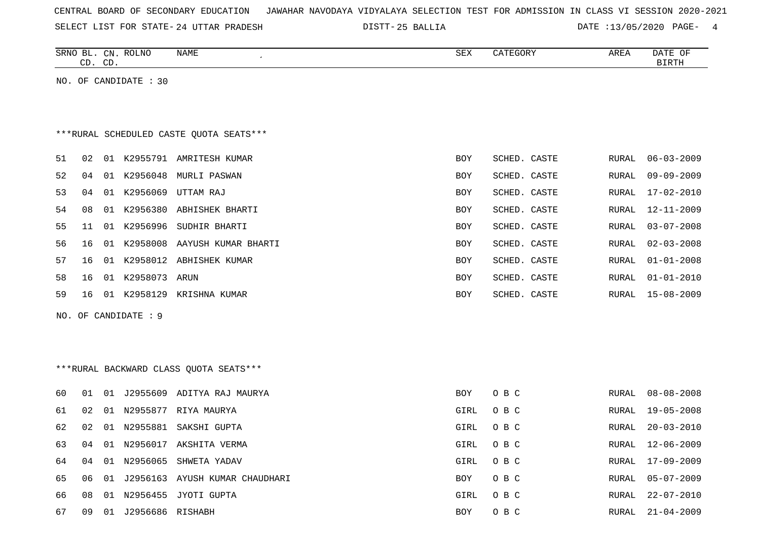| CENTRAL BOARD OF SECONDARY EDUCATION – JAWAHAR NAVODAYA VIDYALAYA SELECTION TEST FOR ADMISSION IN CLASS VI SESSION 2020-2021 |  |  |  |  |
|------------------------------------------------------------------------------------------------------------------------------|--|--|--|--|
|------------------------------------------------------------------------------------------------------------------------------|--|--|--|--|

SELECT LIST FOR STATE- DISTT- 24 UTTAR PRADESH 25 BALLIA DATE :13/05/2020 PAGE- 4

|    |    | CD. CD. | SRNO BL. CN. ROLNO    | NAME                                    | SEX        | CATEGORY     | AREA  | DATE OF<br><b>BIRTH</b> |
|----|----|---------|-----------------------|-----------------------------------------|------------|--------------|-------|-------------------------|
|    |    |         | NO. OF CANDIDATE : 30 |                                         |            |              |       |                         |
|    |    |         |                       |                                         |            |              |       |                         |
|    |    |         |                       |                                         |            |              |       |                         |
|    |    |         |                       | ***RURAL SCHEDULED CASTE QUOTA SEATS*** |            |              |       |                         |
| 51 | 02 |         |                       | 01 K2955791 AMRITESH KUMAR              | <b>BOY</b> | SCHED. CASTE | RURAL | $06 - 03 - 2009$        |
| 52 | 04 |         | 01 K2956048           | MURLI PASWAN                            | <b>BOY</b> | SCHED. CASTE | RURAL | $09 - 09 - 2009$        |
| 53 | 04 | 01      | K2956069              | UTTAM RAJ                               | <b>BOY</b> | SCHED. CASTE | RURAL | $17 - 02 - 2010$        |
| 54 | 08 |         | 01 K2956380           | ABHISHEK BHARTI                         | BOY        | SCHED. CASTE | RURAL | $12 - 11 - 2009$        |
| 55 | 11 |         |                       | 01 K2956996 SUDHIR BHARTI               | BOY        | SCHED. CASTE | RURAL | $03 - 07 - 2008$        |
| 56 | 16 | 01      | K2958008              | AAYUSH KUMAR BHARTI                     | BOY        | SCHED. CASTE | RURAL | $02 - 03 - 2008$        |
| 57 | 16 |         |                       | 01 K2958012 ABHISHEK KUMAR              | BOY        | SCHED. CASTE | RURAL | $01 - 01 - 2008$        |
| 58 | 16 |         | 01 K2958073 ARUN      |                                         | BOY        | SCHED. CASTE | RURAL | $01 - 01 - 2010$        |
| 59 | 16 |         |                       | 01 K2958129 KRISHNA KUMAR               | <b>BOY</b> | SCHED. CASTE | RURAL | $15 - 08 - 2009$        |
|    |    |         | NO. OF CANDIDATE : 9  |                                         |            |              |       |                         |
|    |    |         |                       |                                         |            |              |       |                         |
|    |    |         |                       |                                         |            |              |       |                         |
|    |    |         |                       | ***RURAL BACKWARD CLASS OUOTA SEATS***  |            |              |       |                         |
| 60 | 01 |         |                       | 01 J2955609 ADITYA RAJ MAURYA           | BOY        | O B C        | RURAL | $08 - 08 - 2008$        |
| 61 | 02 | 01      |                       | N2955877 RIYA MAURYA                    | GIRL       | O B C        | RURAL | $19 - 05 - 2008$        |
| 62 | 02 |         |                       | 01 N2955881 SAKSHI GUPTA                | GIRL       | O B C        | RURAL | $20 - 03 - 2010$        |
| 63 | 04 |         |                       | 01 N2956017 AKSHITA VERMA               | GIRL       | O B C        | RURAL | $12 - 06 - 2009$        |
| 64 | 04 | 01      | N2956065              | SHWETA YADAV                            | GIRL       | O B C        | RURAL | $17 - 09 - 2009$        |
| 65 | 06 |         |                       | 01 J2956163 AYUSH KUMAR CHAUDHARI       | BOY        | O B C        | RURAL | $05 - 07 - 2009$        |
| 66 | 08 |         |                       | 01 N2956455 JYOTI GUPTA                 | GIRL       | O B C        | RURAL | $22 - 07 - 2010$        |
| 67 | 09 |         | 01 J2956686 RISHABH   |                                         | <b>BOY</b> | O B C        | RURAL | $21 - 04 - 2009$        |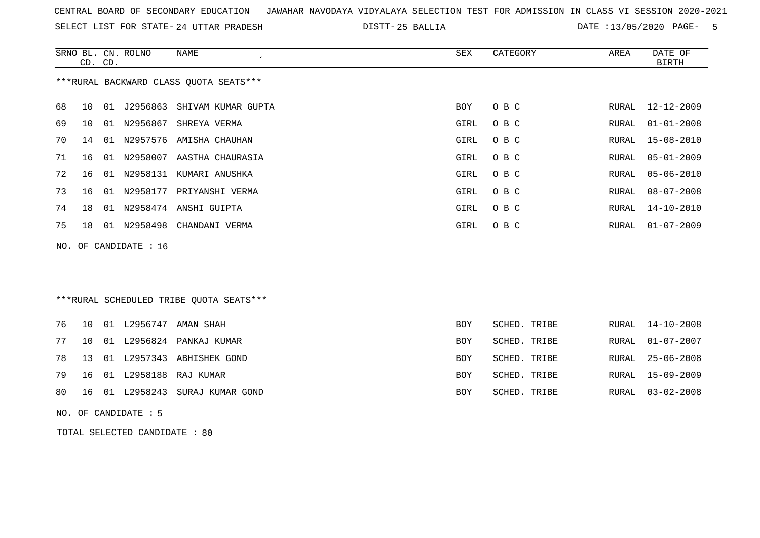SELECT LIST FOR STATE- DISTT- 24 UTTAR PRADESH

25 BALLIA DATE :13/05/2020 PAGE- 5

|    | CD. CD. |    | SRNO BL. CN. ROLNO    | <b>NAME</b>                             | <b>SEX</b> | CATEGORY     | AREA  | DATE OF<br><b>BIRTH</b> |
|----|---------|----|-----------------------|-----------------------------------------|------------|--------------|-------|-------------------------|
|    |         |    |                       | ***RURAL BACKWARD CLASS OUOTA SEATS***  |            |              |       |                         |
| 68 | 10      | 01 | J2956863              | SHIVAM KUMAR GUPTA                      | BOY        | O B C        | RURAL | $12 - 12 - 2009$        |
| 69 | 10      | 01 |                       | N2956867 SHREYA VERMA                   | GIRL       | O B C        | RURAL | $01 - 01 - 2008$        |
| 70 | 14      | 01 |                       | N2957576 AMISHA CHAUHAN                 | GIRL       | O B C        | RURAL | $15 - 08 - 2010$        |
| 71 | 16      | 01 |                       | N2958007 AASTHA CHAURASIA               | GIRL       | O B C        | RURAL | $05 - 01 - 2009$        |
| 72 | 16      | 01 |                       | N2958131 KUMARI ANUSHKA                 | GIRL       | O B C        | RURAL | $05 - 06 - 2010$        |
| 73 | 16      | 01 | N2958177              | PRIYANSHI VERMA                         | GIRL       | O B C        | RURAL | $08 - 07 - 2008$        |
| 74 | 18      |    |                       | 01 N2958474 ANSHI GUIPTA                | GIRL       | O B C        | RURAL | $14 - 10 - 2010$        |
| 75 | 18      |    | 01 N2958498           | CHANDANI VERMA                          | GIRL       | O B C        | RURAL | $01 - 07 - 2009$        |
|    |         |    | NO. OF CANDIDATE : 16 |                                         |            |              |       |                         |
|    |         |    |                       |                                         |            |              |       |                         |
|    |         |    |                       |                                         |            |              |       |                         |
|    |         |    |                       | ***RURAL SCHEDULED TRIBE QUOTA SEATS*** |            |              |       |                         |
| 76 | 10      |    |                       | 01 L2956747 AMAN SHAH                   | <b>BOY</b> | SCHED. TRIBE | RURAL | $14 - 10 - 2008$        |
| 77 | 10      | 01 |                       | L2956824 PANKAJ KUMAR                   | BOY        | SCHED. TRIBE | RURAL | $01 - 07 - 2007$        |
| 78 | 13      | 01 | L2957343              | ABHISHEK GOND                           | <b>BOY</b> | SCHED. TRIBE | RURAL | $25 - 06 - 2008$        |
| 79 | 16      |    |                       | 01 L2958188 RAJ KUMAR                   | BOY        | SCHED. TRIBE | RURAL | $15 - 09 - 2009$        |
| 80 | 16      |    | 01 L2958243           | SURAJ KUMAR GOND                        | BOY        | SCHED. TRIBE | RURAL | $03 - 02 - 2008$        |
|    |         |    | NO. OF CANDIDATE : 5  |                                         |            |              |       |                         |

TOTAL SELECTED CANDIDATE : 80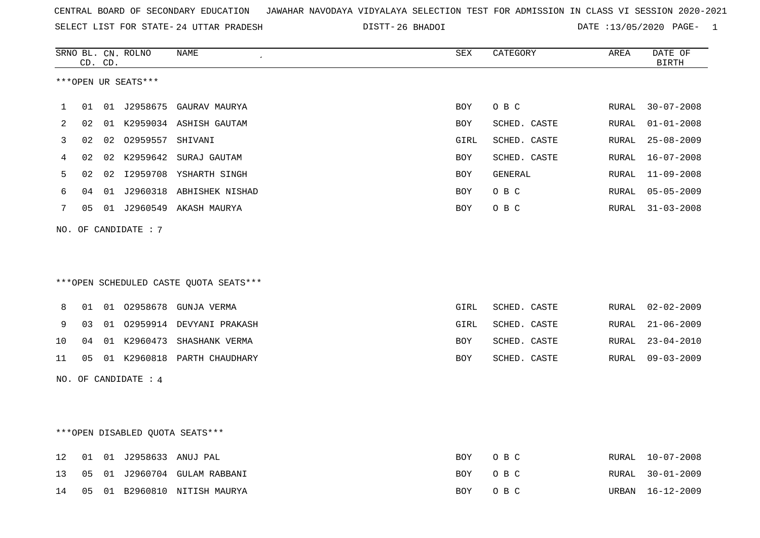|  |  |  |  | CENTRAL BOARD OF SECONDARY EDUCATION GJAWAHAR NAVODAYA VIDYALAYA SELECTION TEST FOR ADMISSION IN CLASS VI SESSION 2020-2021 |  |  |  |  |  |  |  |  |  |  |  |
|--|--|--|--|-----------------------------------------------------------------------------------------------------------------------------|--|--|--|--|--|--|--|--|--|--|--|
|--|--|--|--|-----------------------------------------------------------------------------------------------------------------------------|--|--|--|--|--|--|--|--|--|--|--|

SELECT LIST FOR STATE- DISTT- 24 UTTAR PRADESH 26 BHADOI DATE :13/05/2020 PAGE- 1

|    |    | CD. CD. | SRNO BL. CN. ROLNO   | <b>NAME</b>                            | <b>SEX</b> | CATEGORY     | AREA  | DATE OF<br><b>BIRTH</b> |
|----|----|---------|----------------------|----------------------------------------|------------|--------------|-------|-------------------------|
|    |    |         | ***OPEN UR SEATS***  |                                        |            |              |       |                         |
| 1  | 01 |         |                      | 01 J2958675 GAURAV MAURYA              | <b>BOY</b> | O B C        | RURAL | $30 - 07 - 2008$        |
| 2  | 02 |         |                      | 01 K2959034 ASHISH GAUTAM              | <b>BOY</b> | SCHED. CASTE | RURAL | $01 - 01 - 2008$        |
| 3  | 02 |         | 02 02959557 SHIVANI  |                                        | GIRL       | SCHED. CASTE | RURAL | $25 - 08 - 2009$        |
| 4  | 02 | 02      | K2959642             | SURAJ GAUTAM                           | BOY        | SCHED. CASTE | RURAL | $16 - 07 - 2008$        |
| 5  | 02 |         |                      | 02 I2959708 YSHARTH SINGH              | <b>BOY</b> | GENERAL      | RURAL | $11 - 09 - 2008$        |
| 6  | 04 |         |                      | 01 J2960318 ABHISHEK NISHAD            | <b>BOY</b> | O B C        | RURAL | $05 - 05 - 2009$        |
| 7  | 05 |         |                      | 01 J2960549 AKASH MAURYA               | BOY        | O B C        | RURAL | $31 - 03 - 2008$        |
|    |    |         | NO. OF CANDIDATE: 7  |                                        |            |              |       |                         |
|    |    |         |                      |                                        |            |              |       |                         |
|    |    |         |                      |                                        |            |              |       |                         |
|    |    |         |                      | ***OPEN SCHEDULED CASTE QUOTA SEATS*** |            |              |       |                         |
|    |    |         |                      |                                        |            |              |       |                         |
| 8  | 01 |         | 01 02958678          | GUNJA VERMA                            | GIRL       | SCHED. CASTE | RURAL | $02 - 02 - 2009$        |
| 9  | 03 |         |                      | 01 02959914 DEVYANI PRAKASH            | GIRL       | SCHED. CASTE | RURAL | $21 - 06 - 2009$        |
| 10 | 04 |         |                      | 01 K2960473 SHASHANK VERMA             | BOY        | SCHED. CASTE | RURAL | $23 - 04 - 2010$        |
| 11 | 05 |         |                      | 01 K2960818 PARTH CHAUDHARY            | <b>BOY</b> | SCHED. CASTE | RURAL | $09 - 03 - 2009$        |
|    |    |         | NO. OF CANDIDATE : 4 |                                        |            |              |       |                         |
|    |    |         |                      |                                        |            |              |       |                         |
|    |    |         |                      |                                        |            |              |       |                         |
|    |    |         |                      | ***OPEN DISABLED QUOTA SEATS***        |            |              |       |                         |
|    |    |         |                      |                                        |            |              |       |                         |
| 12 | 01 |         | 01 J2958633 ANUJ PAL |                                        | BOY        | O B C        | RURAL | $10 - 07 - 2008$        |
| 13 | 05 |         |                      | 01 J2960704 GULAM RABBANI              | BOY        | O B C        | RURAL | $30 - 01 - 2009$        |
| 14 | 05 |         |                      | 01 B2960810 NITISH MAURYA              | BOY        | O B C        | URBAN | $16 - 12 - 2009$        |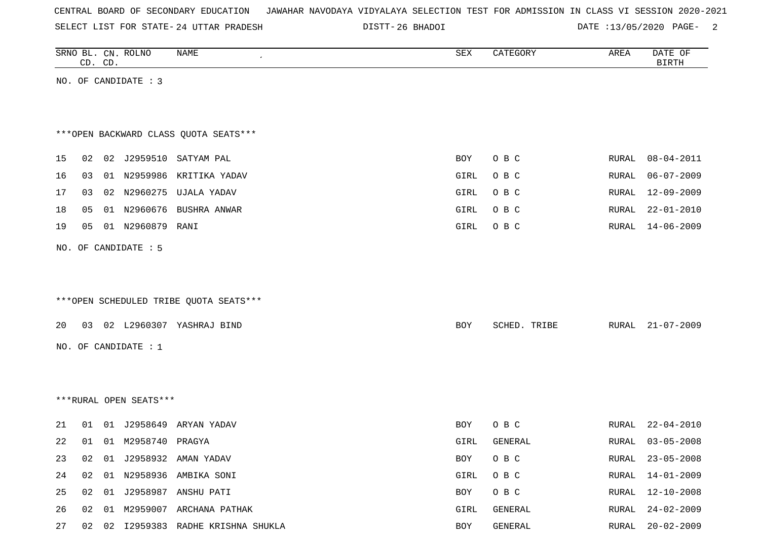| CENTRAL BOARD OF SECONDARY EDUCATION – JAWAHAR NAVODAYA VIDYALAYA SELECTION TEST FOR ADMISSION IN CLASS VI SESSION 2020-2021 |  |  |  |  |
|------------------------------------------------------------------------------------------------------------------------------|--|--|--|--|
|------------------------------------------------------------------------------------------------------------------------------|--|--|--|--|

DISTT-26 BHADOI 2000 DATE :13/05/2020 PAGE-

|    |    | CD. CD. | SRNO BL. CN. ROLNO     | NAME                                   | SEX        | CATEGORY     | AREA  | DATE OF<br><b>BIRTH</b> |
|----|----|---------|------------------------|----------------------------------------|------------|--------------|-------|-------------------------|
|    |    |         | NO. OF CANDIDATE : 3   |                                        |            |              |       |                         |
|    |    |         |                        |                                        |            |              |       |                         |
|    |    |         |                        |                                        |            |              |       |                         |
|    |    |         |                        | *** OPEN BACKWARD CLASS QUOTA SEATS*** |            |              |       |                         |
| 15 | 02 |         |                        | 02 J2959510 SATYAM PAL                 | <b>BOY</b> | O B C        | RURAL | $08 - 04 - 2011$        |
| 16 | 03 |         |                        | 01 N2959986 KRITIKA YADAV              | GIRL       | O B C        | RURAL | $06 - 07 - 2009$        |
| 17 | 03 |         | 02 N2960275            | UJALA YADAV                            | GIRL       | O B C        | RURAL | 12-09-2009              |
| 18 | 05 |         | 01 N2960676            | BUSHRA ANWAR                           | GIRL       | O B C        | RURAL | $22 - 01 - 2010$        |
| 19 | 05 |         | 01 N2960879            | RANI                                   | GIRL       | O B C        | RURAL | 14-06-2009              |
|    |    |         | NO. OF CANDIDATE : 5   |                                        |            |              |       |                         |
|    |    |         |                        |                                        |            |              |       |                         |
|    |    |         |                        |                                        |            |              |       |                         |
|    |    |         |                        | ***OPEN SCHEDULED TRIBE QUOTA SEATS*** |            |              |       |                         |
| 20 | 03 |         |                        | 02 L2960307 YASHRAJ BIND               |            |              |       | $21 - 07 - 2009$        |
|    |    |         |                        |                                        | <b>BOY</b> | SCHED. TRIBE | RURAL |                         |
|    |    |         | NO. OF CANDIDATE : $1$ |                                        |            |              |       |                         |
|    |    |         |                        |                                        |            |              |       |                         |
|    |    |         |                        |                                        |            |              |       |                         |
|    |    |         | ***RURAL OPEN SEATS*** |                                        |            |              |       |                         |
| 21 | 01 |         | 01 J2958649            | ARYAN YADAV                            | BOY        | O B C        | RURAL | $22 - 04 - 2010$        |
| 22 | 01 |         | 01 M2958740 PRAGYA     |                                        | GIRL       | GENERAL      | RURAL | $03 - 05 - 2008$        |
| 23 | 02 |         |                        | 01 J2958932 AMAN YADAV                 | BOY        | O B C        | RURAL | $23 - 05 - 2008$        |
| 24 | 02 |         |                        | 01 N2958936 AMBIKA SONI                | GIRL       | O B C        | RURAL | $14 - 01 - 2009$        |
| 25 | 02 |         |                        | 01 J2958987 ANSHU PATI                 | BOY        | O B C        | RURAL | $12 - 10 - 2008$        |
| 26 | 02 |         |                        | 01 M2959007 ARCHANA PATHAK             | GIRL       | GENERAL      | RURAL | $24 - 02 - 2009$        |
| 27 |    |         |                        | 02 02 I2959383 RADHE KRISHNA SHUKLA    | BOY        | GENERAL      | RURAL | $20 - 02 - 2009$        |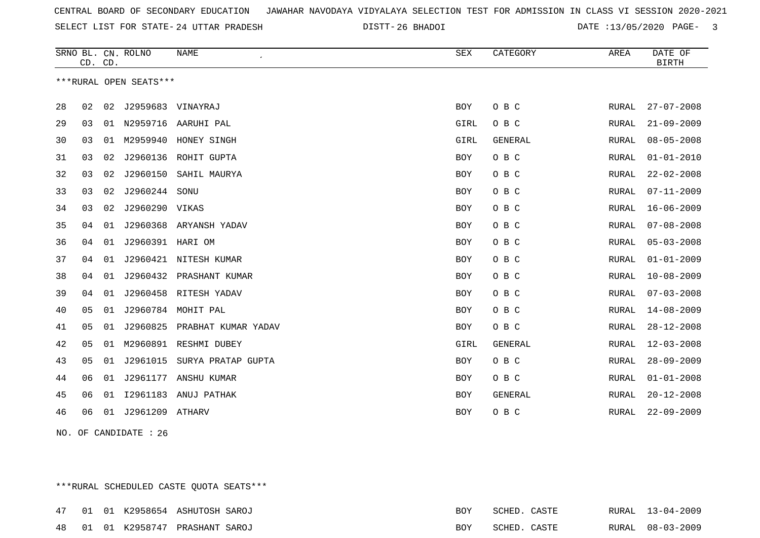26 BHADOI DATE :13/05/2020 PAGE- 3

|    | CD. CD. |    | SRNO BL. CN. ROLNO     | <b>NAME</b>           | SEX        | CATEGORY       | AREA  | DATE OF<br><b>BIRTH</b> |
|----|---------|----|------------------------|-----------------------|------------|----------------|-------|-------------------------|
|    |         |    | ***RURAL OPEN SEATS*** |                       |            |                |       |                         |
| 28 | 02      |    | 02 J2959683 VINAYRAJ   |                       | <b>BOY</b> | O B C          | RURAL | $27 - 07 - 2008$        |
| 29 | 03      | 01 |                        | N2959716 AARUHI PAL   | GIRL       | O B C          | RURAL | $21 - 09 - 2009$        |
| 30 | 03      | 01 |                        | M2959940 HONEY SINGH  | GIRL       | GENERAL        | RURAL | $08 - 05 - 2008$        |
| 31 | 03      | 02 | J2960136               | ROHIT GUPTA           | <b>BOY</b> | O B C          | RURAL | $01 - 01 - 2010$        |
| 32 | 03      | 02 | J2960150               | SAHIL MAURYA          | <b>BOY</b> | O B C          | RURAL | $22 - 02 - 2008$        |
| 33 | 03      | 02 | J2960244               | SONU                  | <b>BOY</b> | O B C          | RURAL | $07 - 11 - 2009$        |
| 34 | 03      | 02 | J2960290 VIKAS         |                       | <b>BOY</b> | O B C          | RURAL | $16 - 06 - 2009$        |
| 35 | 04      | 01 | J2960368               | ARYANSH YADAV         | <b>BOY</b> | O B C          | RURAL | $07 - 08 - 2008$        |
| 36 | 04      | 01 | J2960391 HARI OM       |                       | <b>BOY</b> | O B C          | RURAL | $05 - 03 - 2008$        |
| 37 | 04      | 01 |                        | J2960421 NITESH KUMAR | <b>BOY</b> | O B C          | RURAL | $01 - 01 - 2009$        |
| 38 | 04      | 01 | J2960432               | PRASHANT KUMAR        | <b>BOY</b> | O B C          | RURAL | $10 - 08 - 2009$        |
| 39 | 04      | 01 |                        | J2960458 RITESH YADAV | <b>BOY</b> | O B C          | RURAL | $07 - 03 - 2008$        |
| 40 | 05      | 01 |                        | J2960784 MOHIT PAL    | <b>BOY</b> | O B C          | RURAL | $14 - 08 - 2009$        |
| 41 | 05      | 01 | J2960825               | PRABHAT KUMAR YADAV   | <b>BOY</b> | O B C          | RURAL | $28 - 12 - 2008$        |
| 42 | 05      | 01 |                        | M2960891 RESHMI DUBEY | GIRL       | <b>GENERAL</b> | RURAL | $12 - 03 - 2008$        |
| 43 | 05      | 01 | J2961015               | SURYA PRATAP GUPTA    | BOY        | O B C          | RURAL | $28 - 09 - 2009$        |
| 44 | 06      | 01 | J2961177               | ANSHU KUMAR           | BOY        | O B C          | RURAL | $01 - 01 - 2008$        |
| 45 | 06      | 01 |                        | 12961183 ANUJ PATHAK  | <b>BOY</b> | <b>GENERAL</b> | RURAL | $20 - 12 - 2008$        |
| 46 | 06      |    | 01 J2961209 ATHARV     |                       | <b>BOY</b> | O B C          | RURAL | $22 - 09 - 2009$        |

NO. OF CANDIDATE : 26

\*\*\*RURAL SCHEDULED CASTE QUOTA SEATS\*\*\*

|  |  | 47 01 01 K2958654 ASHUTOSH SAROJ | BOY | SCHED. CASTE | RURAL 13-04-2009 |
|--|--|----------------------------------|-----|--------------|------------------|
|  |  | 48 01 01 K2958747 PRASHANT SAROJ | BOY | SCHED. CASTE | RURAL 08-03-2009 |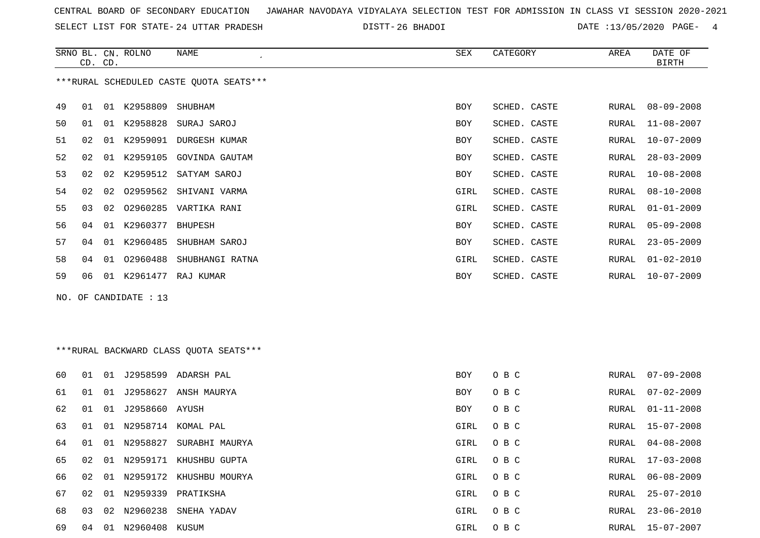SELECT LIST FOR STATE- DISTT- 24 UTTAR PRADESH

26 BHADOI DATE :13/05/2020 PAGE- 4

|    |    | CD. CD. | SRNO BL. CN. ROLNO | NAME<br>$\epsilon$                      | SEX        | CATEGORY     | AREA  | DATE OF<br><b>BIRTH</b> |
|----|----|---------|--------------------|-----------------------------------------|------------|--------------|-------|-------------------------|
|    |    |         |                    | ***RURAL SCHEDULED CASTE QUOTA SEATS*** |            |              |       |                         |
| 49 | 01 | 01      | K2958809           | SHUBHAM                                 | BOY        | SCHED. CASTE | RURAL | $08 - 09 - 2008$        |
| 50 | 01 | 01      |                    | K2958828 SURAJ SAROJ                    | <b>BOY</b> | SCHED. CASTE | RURAL | $11 - 08 - 2007$        |
| 51 | 02 | 01      | K2959091           | DURGESH KUMAR                           | <b>BOY</b> | SCHED. CASTE | RURAL | $10 - 07 - 2009$        |
| 52 | 02 |         |                    | 01 K2959105 GOVINDA GAUTAM              | BOY        | SCHED. CASTE | RURAL | $28 - 03 - 2009$        |
| 53 | 02 | 02      |                    | K2959512 SATYAM SAROJ                   | <b>BOY</b> | SCHED. CASTE | RURAL | $10 - 08 - 2008$        |
| 54 | 02 | 02      | 02959562           | SHIVANI VARMA                           | GIRL       | SCHED. CASTE | RURAL | $08 - 10 - 2008$        |
| 55 | 03 | 02      |                    | 02960285 VARTIKA RANI                   | GIRL       | SCHED. CASTE | RURAL | $01 - 01 - 2009$        |
| 56 | 04 | 01      | K2960377           | <b>BHUPESH</b>                          | <b>BOY</b> | SCHED. CASTE | RURAL | $05 - 09 - 2008$        |
| 57 | 04 | 01      | K2960485           | SHUBHAM SAROJ                           | BOY        | SCHED. CASTE | RURAL | $23 - 05 - 2009$        |
| 58 | 04 | 01      | 02960488           | SHUBHANGI RATNA                         | GIRL       | SCHED. CASTE | RURAL | $01 - 02 - 2010$        |
| 59 | 06 | 01      | K2961477           | RAJ KUMAR                               | BOY        | SCHED. CASTE | RURAL | $10 - 07 - 2009$        |

NO. OF CANDIDATE : 13

## \*\*\*RURAL BACKWARD CLASS QUOTA SEATS\*\*\*

| 60 | 01 | 01 | J2958599       | ADARSH PAL              | BOY        | O B C | RURAL | $07 - 09 - 2008$ |
|----|----|----|----------------|-------------------------|------------|-------|-------|------------------|
| 61 | 01 | 01 | J2958627       | ANSH MAURYA             | <b>BOY</b> | O B C | RURAL | $07 - 02 - 2009$ |
| 62 | 01 | 01 | J2958660 AYUSH |                         | <b>BOY</b> | O B C | RURAL | 01-11-2008       |
| 63 | 01 | 01 |                | N2958714 KOMAL PAL      | GIRL       | O B C | RURAL | $15 - 07 - 2008$ |
| 64 | 01 | 01 | N2958827       | SURABHI MAURYA          | GIRL       | O B C | RURAL | 04-08-2008       |
| 65 | 02 | 01 |                | N2959171 KHUSHBU GUPTA  | GIRL       | O B C | RURAL | 17-03-2008       |
| 66 | 02 | 01 |                | N2959172 KHUSHBU MOURYA | GIRL       | O B C | RURAL | 06-08-2009       |
| 67 | 02 | 01 | N2959339       | PRATIKSHA               | GIRL       | O B C | RURAL | $25 - 07 - 2010$ |
| 68 | 03 | 02 | N2960238       | SNEHA YADAV             | GIRL       | O B C | RURAL | $23 - 06 - 2010$ |
| 69 | 04 | 01 | N2960408       | KUSUM                   | GIRL       | O B C | RURAL | 15-07-2007       |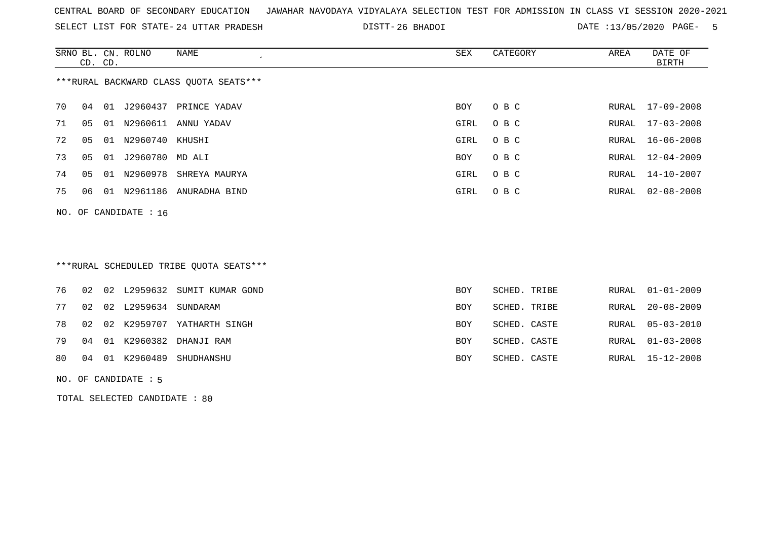SELECT LIST FOR STATE- DISTT- 24 UTTAR PRADESH

26 BHADOI DATE :13/05/2020 PAGE- 5

|    |    | CD. CD. | SRNO BL. CN. ROLNO      | NAME<br>$\cdot$                        | SEX  | CATEGORY | AREA  | DATE OF<br>BIRTH |
|----|----|---------|-------------------------|----------------------------------------|------|----------|-------|------------------|
|    |    |         |                         | ***RURAL BACKWARD CLASS QUOTA SEATS*** |      |          |       |                  |
| 70 | 04 |         |                         | 01 J2960437 PRINCE YADAV               | BOY  | O B C    | RURAL | 17-09-2008       |
| 71 | 05 | 01      |                         | N2960611 ANNU YADAV                    | GIRL | O B C    | RURAL | $17 - 03 - 2008$ |
| 72 | 05 | 01      | N2960740 KHUSHI         |                                        | GIRL | O B C    | RURAL | $16 - 06 - 2008$ |
| 73 | 05 | 01      | J2960780 MD ALI         |                                        | BOY  | O B C    | RURAL | $12 - 04 - 2009$ |
| 74 | 05 | 01      |                         | N2960978 SHREYA MAURYA                 | GIRL | O B C    | RURAL | 14-10-2007       |
| 75 | 06 |         |                         | 01 N2961186 ANURADHA BIND              | GIRL | O B C    | RURAL | $02 - 08 - 2008$ |
|    |    |         | NO. OF CANDIDATE : $16$ |                                        |      |          |       |                  |
|    |    |         |                         |                                        |      |          |       |                  |

# \*\*\*RURAL SCHEDULED TRIBE QUOTA SEATS\*\*\*

|  |                            | 76 02 02 L2959632 SUMIT KUMAR GOND | <b>BOY</b> | SCHED. TRIBE | RURAL 01-01-2009 |
|--|----------------------------|------------------------------------|------------|--------------|------------------|
|  | 77 02 02 L2959634 SUNDARAM |                                    | <b>BOY</b> | SCHED. TRIBE | RURAL 20-08-2009 |
|  |                            | 78 02 02 K2959707 YATHARTH SINGH   | BOY        | SCHED. CASTE | RURAL 05-03-2010 |
|  |                            | 79 04 01 K2960382 DHANJI RAM       | <b>BOY</b> | SCHED. CASTE | RURAL 01-03-2008 |
|  | 80 04 01 K2960489          | SHUDHANSHU                         | BOY        | SCHED. CASTE | RURAL 15-12-2008 |
|  |                            |                                    |            |              |                  |

NO. OF CANDIDATE : 5

TOTAL SELECTED CANDIDATE : 80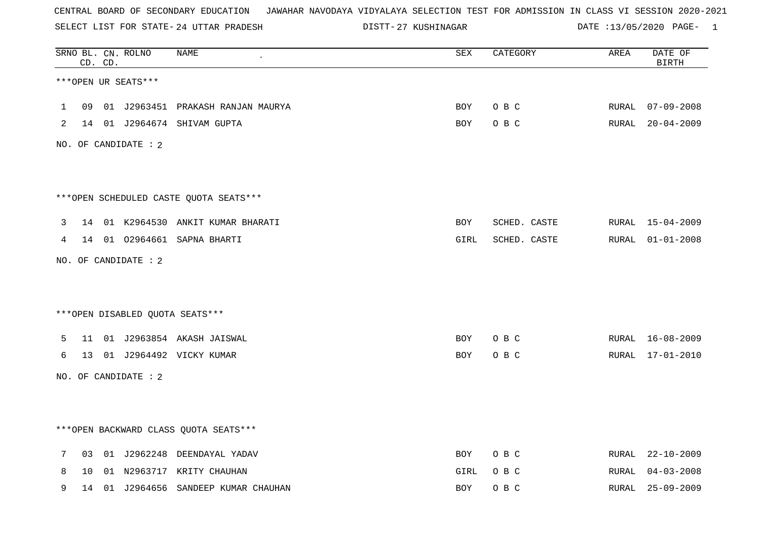SELECT LIST FOR STATE- DISTT- 24 UTTAR PRADESH

27 KUSHINAGAR DATE :13/05/2020 PAGE- 1

|   |                 | CD. CD. | SRNO BL. CN. ROLNO     | <b>NAME</b>                            | ${\tt SEX}$ | CATEGORY     | AREA  | DATE OF<br><b>BIRTH</b> |
|---|-----------------|---------|------------------------|----------------------------------------|-------------|--------------|-------|-------------------------|
|   |                 |         | ***OPEN UR SEATS***    |                                        |             |              |       |                         |
| 1 |                 |         |                        | 09 01 J2963451 PRAKASH RANJAN MAURYA   | BOY         | O B C        | RURAL | $07 - 09 - 2008$        |
| 2 |                 |         |                        | 14 01 J2964674 SHIVAM GUPTA            | BOY         | O B C        |       | RURAL 20-04-2009        |
|   |                 |         | NO. OF CANDIDATE : $2$ |                                        |             |              |       |                         |
|   |                 |         |                        | ***OPEN SCHEDULED CASTE QUOTA SEATS*** |             |              |       |                         |
| 3 |                 |         |                        | 14 01 K2964530 ANKIT KUMAR BHARATI     | BOY         | SCHED. CASTE |       | RURAL 15-04-2009        |
| 4 |                 |         |                        | 14 01 02964661 SAPNA BHARTI            | GIRL        | SCHED. CASTE |       | RURAL 01-01-2008        |
|   |                 |         | NO. OF CANDIDATE : 2   |                                        |             |              |       |                         |
|   |                 |         |                        | ***OPEN DISABLED QUOTA SEATS***        |             |              |       |                         |
| 5 | 11              |         |                        | 01 J2963854 AKASH JAISWAL              | BOY         | O B C        |       | RURAL 16-08-2009        |
| 6 | 13 <sup>7</sup> |         |                        | 01 J2964492 VICKY KUMAR                | BOY         | O B C        | RURAL | 17-01-2010              |
|   |                 |         | NO. OF CANDIDATE : 2   |                                        |             |              |       |                         |
|   |                 |         |                        | *** OPEN BACKWARD CLASS QUOTA SEATS*** |             |              |       |                         |
| 7 | 03              |         |                        | 01 J2962248 DEENDAYAL YADAV            | <b>BOY</b>  | O B C        | RURAL | $22 - 10 - 2009$        |
| 8 | 10              |         |                        | 01 N2963717 KRITY CHAUHAN              | GIRL        | O B C        | RURAL | $04 - 03 - 2008$        |
| 9 |                 |         |                        | 14 01 J2964656 SANDEEP KUMAR CHAUHAN   | <b>BOY</b>  | O B C        | RURAL | $25 - 09 - 2009$        |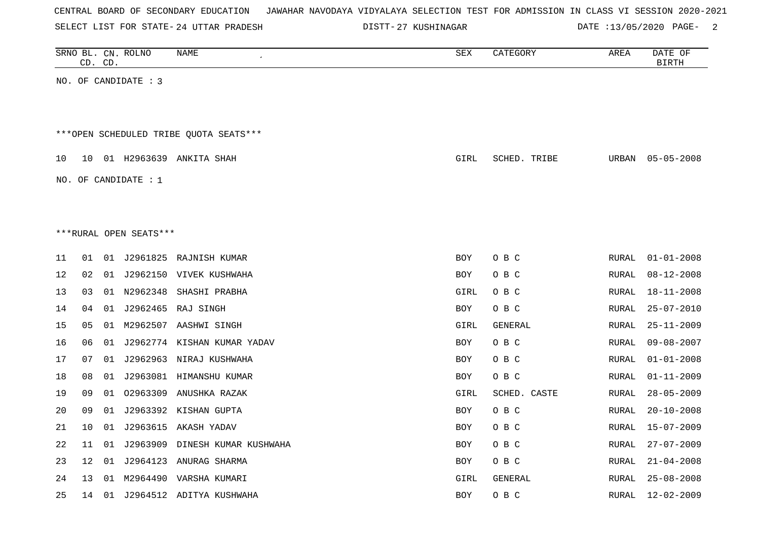|  |  | CENTRAL BOARD OF SECONDARY EDUCATION – JAWAHAR NAVODAYA VIDYALAYA SELECTION TEST FOR ADMISSION IN CLASS VI SESSION 2020-2021 |  |  |  |  |  |  |  |
|--|--|------------------------------------------------------------------------------------------------------------------------------|--|--|--|--|--|--|--|
|  |  |                                                                                                                              |  |  |  |  |  |  |  |

24 UTTAR PRADESH 27 KUSHINAGAR DATE :13/05/2020 PAGE- 2

|    | CD. CD. |    | SRNO BL. CN. ROLNO     | NAME<br>$\epsilon$                     | SEX         | CATEGORY       | AREA  | DATE OF<br><b>BIRTH</b> |
|----|---------|----|------------------------|----------------------------------------|-------------|----------------|-------|-------------------------|
|    |         |    | NO. OF CANDIDATE : 3   |                                        |             |                |       |                         |
|    |         |    |                        |                                        |             |                |       |                         |
|    |         |    |                        |                                        |             |                |       |                         |
|    |         |    |                        | ***OPEN SCHEDULED TRIBE OUOTA SEATS*** |             |                |       |                         |
| 10 |         |    |                        | 10 01 H2963639 ANKITA SHAH             | GIRL        | SCHED. TRIBE   | URBAN | $05 - 05 - 2008$        |
|    |         |    |                        |                                        |             |                |       |                         |
|    |         |    | NO. OF CANDIDATE : $1$ |                                        |             |                |       |                         |
|    |         |    |                        |                                        |             |                |       |                         |
|    |         |    |                        |                                        |             |                |       |                         |
|    |         |    | ***RURAL OPEN SEATS*** |                                        |             |                |       |                         |
| 11 | 01      |    |                        | 01 J2961825 RAJNISH KUMAR              | <b>BOY</b>  | O B C          | RURAL | $01 - 01 - 2008$        |
| 12 | 02      |    |                        | 01 J2962150 VIVEK KUSHWAHA             | BOY         | O B C          | RURAL | $08 - 12 - 2008$        |
| 13 | 03      |    |                        | 01 N2962348 SHASHI PRABHA              | <b>GIRL</b> | O B C          | RURAL | $18 - 11 - 2008$        |
| 14 | 04      |    |                        | 01 J2962465 RAJ SINGH                  | <b>BOY</b>  | O B C          | RURAL | $25 - 07 - 2010$        |
| 15 | 05      |    |                        | 01 M2962507 AASHWI SINGH               | GIRL        | <b>GENERAL</b> | RURAL | $25 - 11 - 2009$        |
| 16 | 06      |    |                        | 01 J2962774 KISHAN KUMAR YADAV         | BOY         | O B C          | RURAL | $09 - 08 - 2007$        |
| 17 | 07      |    |                        | 01 J2962963 NIRAJ KUSHWAHA             | <b>BOY</b>  | O B C          | RURAL | $01 - 01 - 2008$        |
| 18 | 08      |    |                        | 01 J2963081 HIMANSHU KUMAR             | <b>BOY</b>  | O B C          | RURAL | $01 - 11 - 2009$        |
| 19 | 09      |    |                        | 01 02963309 ANUSHKA RAZAK              | GIRL        | SCHED. CASTE   | RURAL | $28 - 05 - 2009$        |
| 20 | 09      |    |                        | 01 J2963392 KISHAN GUPTA               | <b>BOY</b>  | O B C          | RURAL | $20 - 10 - 2008$        |
| 21 | 10      |    |                        | 01 J2963615 AKASH YADAV                | BOY         | O B C          | RURAL | $15 - 07 - 2009$        |
| 22 | 11      |    |                        | 01 J2963909 DINESH KUMAR KUSHWAHA      | <b>BOY</b>  | O B C          | RURAL | $27 - 07 - 2009$        |
| 23 | 12      |    |                        | 01 J2964123 ANURAG SHARMA              | <b>BOY</b>  | O B C          | RURAL | $21 - 04 - 2008$        |
| 24 | 13      | 01 |                        | M2964490 VARSHA KUMARI                 | GIRL        | GENERAL        | RURAL | $25 - 08 - 2008$        |
| 25 | 14      |    |                        | 01 J2964512 ADITYA KUSHWAHA            | <b>BOY</b>  | O B C          | RURAL | $12 - 02 - 2009$        |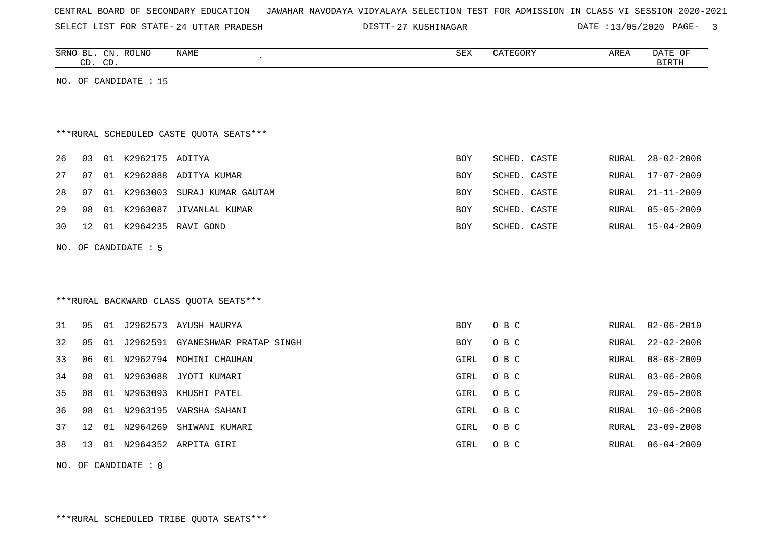| CENTRAL BOARD OF SECONDARY EDUCATION – JAWAHAR NAVODAYA VIDYALAYA SELECTION TEST FOR ADMISSION IN CLASS VI SESSION 2020-2021 |  |  |  |  |
|------------------------------------------------------------------------------------------------------------------------------|--|--|--|--|
|------------------------------------------------------------------------------------------------------------------------------|--|--|--|--|

24 UTTAR PRADESH 27 KUSHINAGAR DATE :13/05/2020 PAGE- 3

|    | CD. CD. |    | SRNO BL. CN. ROLNO    | NAME                                    | SEX        | CATEGORY     | AREA          | DATE OF<br><b>BIRTH</b> |
|----|---------|----|-----------------------|-----------------------------------------|------------|--------------|---------------|-------------------------|
|    |         |    | NO. OF CANDIDATE : 15 |                                         |            |              |               |                         |
|    |         |    |                       |                                         |            |              |               |                         |
|    |         |    |                       | ***RURAL SCHEDULED CASTE QUOTA SEATS*** |            |              |               |                         |
| 26 | 03      |    | 01 K2962175 ADITYA    |                                         | BOY        | SCHED. CASTE | RURAL         | $28 - 02 - 2008$        |
| 27 | 07      |    |                       | 01 K2962888 ADITYA KUMAR                | BOY        | SCHED. CASTE | RURAL         | $17 - 07 - 2009$        |
| 28 | 07      |    | 01 K2963003           | SURAJ KUMAR GAUTAM                      | BOY        | SCHED. CASTE | RURAL         | $21 - 11 - 2009$        |
| 29 | 08      | 01 | K2963087              | JIVANLAL KUMAR                          | <b>BOY</b> | SCHED. CASTE | RURAL         | $05 - 05 - 2009$        |
| 30 | 12      |    |                       | 01 K2964235 RAVI GOND                   | <b>BOY</b> | SCHED. CASTE | RURAL         | $15 - 04 - 2009$        |
|    |         |    | NO. OF CANDIDATE : 5  |                                         |            |              |               |                         |
|    |         |    |                       |                                         |            |              |               |                         |
|    |         |    |                       |                                         |            |              |               |                         |
|    |         |    |                       | *** RURAL BACKWARD CLASS QUOTA SEATS*** |            |              |               |                         |
| 31 | 05      |    |                       | 01 J2962573 AYUSH MAURYA                | BOY        | O B C        | RURAL         | $02 - 06 - 2010$        |
| 32 | 05      | 01 |                       | J2962591 GYANESHWAR PRATAP SINGH        | BOY        | O B C        | RURAL         | $22 - 02 - 2008$        |
| 33 | 06      | 01 | N2962794              | MOHINI CHAUHAN                          | GIRL       | O B C        | RURAL         | $08 - 08 - 2009$        |
| 34 | 08      |    | 01 N2963088           | JYOTI KUMARI                            | GIRL       | O B C        | RURAL         | $03 - 06 - 2008$        |
| 35 | 08      | 01 | N2963093              | KHUSHI PATEL                            | GIRL       | O B C        | ${\tt RURAL}$ | $29 - 05 - 2008$        |
| 36 | 08      | 01 |                       | N2963195 VARSHA SAHANI                  | GIRL       | O B C        | RURAL         | $10 - 06 - 2008$        |
| 37 | 12      | 01 | N2964269              | SHIWANI KUMARI                          | GIRL       | O B C        | RURAL         | $23 - 09 - 2008$        |
| 38 | 13      |    |                       | 01 N2964352 ARPITA GIRI                 | GIRL       | O B C        | RURAL         | $06 - 04 - 2009$        |

NO. OF CANDIDATE : 8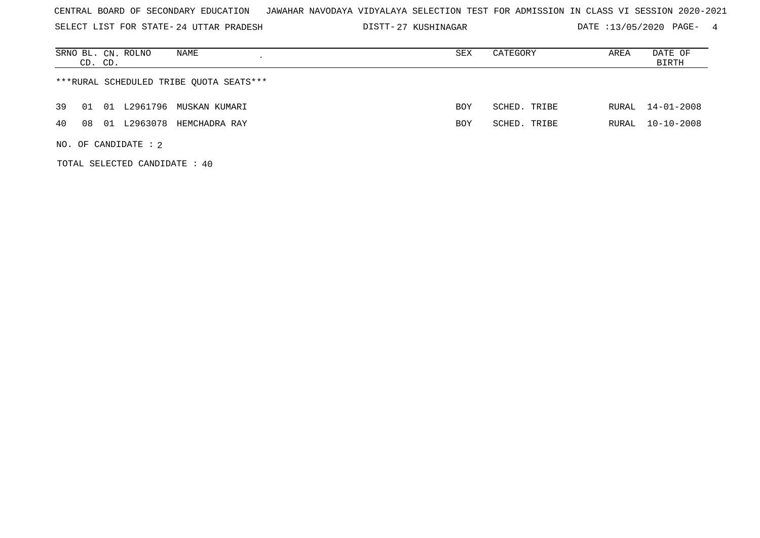SELECT LIST FOR STATE- DISTT- 24 UTTAR PRADESH

TOTAL SELECTED CANDIDATE : 40

DISTT-27 KUSHINAGAR DATE :13/05/2020 PAGE- 4

| NAME<br>SRNO BL. CN. ROLNO<br>CD. CD.       | SEX | CATEGORY     | AREA  | DATE OF<br>BIRTH |
|---------------------------------------------|-----|--------------|-------|------------------|
| ***RURAL SCHEDULED TRIBE OUOTA SEATS***     |     |              |       |                  |
| 39<br>L2961796 MUSKAN KUMARI<br>01<br>01    | BOY | SCHED. TRIBE | RURAL | $14 - 01 - 2008$ |
| L2963078<br>40<br>08<br>01<br>HEMCHADRA RAY | BOY | SCHED. TRIBE | RURAL | $10 - 10 - 2008$ |
| NO. OF CANDIDATE : $2$                      |     |              |       |                  |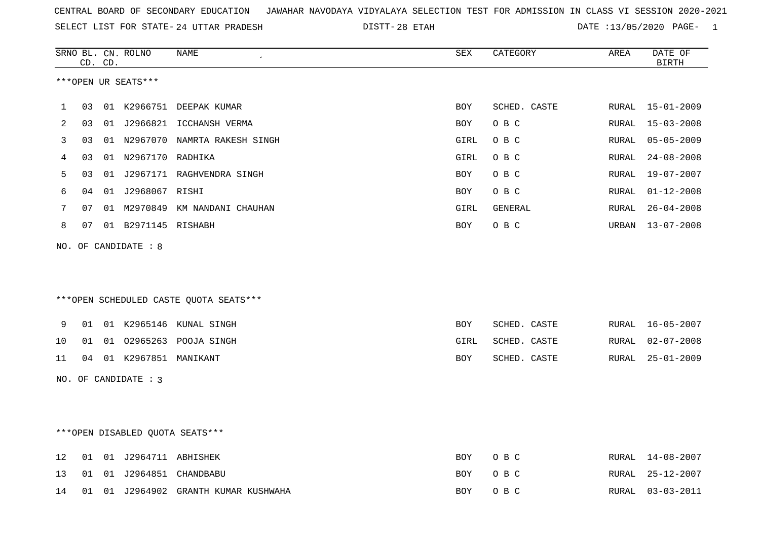28 ETAH DATE :13/05/2020 PAGE- 1

|    |    | CD. CD. | SRNO BL. CN. ROLNO      | <b>NAME</b>                            | <b>SEX</b> | CATEGORY     | AREA  | DATE OF<br><b>BIRTH</b> |
|----|----|---------|-------------------------|----------------------------------------|------------|--------------|-------|-------------------------|
|    |    |         | ***OPEN UR SEATS***     |                                        |            |              |       |                         |
| 1  | 03 |         |                         | 01 K2966751 DEEPAK KUMAR               | BOY        | SCHED. CASTE | RURAL | 15-01-2009              |
| 2  | 03 |         |                         | 01 J2966821 ICCHANSH VERMA             | BOY        | O B C        | RURAL | $15 - 03 - 2008$        |
| 3  | 03 |         |                         | 01 N2967070 NAMRTA RAKESH SINGH        | GIRL       | O B C        | RURAL | $05 - 05 - 2009$        |
| 4  | 03 |         | 01 N2967170 RADHIKA     |                                        | GIRL       | O B C        | RURAL | $24 - 08 - 2008$        |
| 5  | 03 |         |                         | 01 J2967171 RAGHVENDRA SINGH           | BOY        | O B C        | RURAL | $19 - 07 - 2007$        |
| 6  | 04 |         | 01 J2968067 RISHI       |                                        | BOY        | O B C        | RURAL | $01 - 12 - 2008$        |
| 7  | 07 |         |                         | 01 M2970849 KM NANDANI CHAUHAN         | GIRL       | GENERAL      | RURAL | $26 - 04 - 2008$        |
| 8  | 07 |         | 01 B2971145 RISHABH     |                                        | BOY        | O B C        | URBAN | $13 - 07 - 2008$        |
|    |    |         | NO. OF CANDIDATE : 8    |                                        |            |              |       |                         |
|    |    |         |                         |                                        |            |              |       |                         |
|    |    |         |                         | ***OPEN SCHEDULED CASTE QUOTA SEATS*** |            |              |       |                         |
| 9  |    |         |                         | 01 01 K2965146 KUNAL SINGH             | <b>BOY</b> | SCHED. CASTE | RURAL | $16 - 05 - 2007$        |
| 10 | 01 |         |                         | 01 02965263 POOJA SINGH                | GIRL       | SCHED. CASTE | RURAL | $02 - 07 - 2008$        |
| 11 |    |         | 04 01 K2967851 MANIKANT |                                        | BOY        | SCHED. CASTE | RURAL | $25 - 01 - 2009$        |
|    |    |         | NO. OF CANDIDATE : 3    |                                        |            |              |       |                         |
|    |    |         |                         |                                        |            |              |       |                         |
|    |    |         |                         | ***OPEN DISABLED OUOTA SEATS***        |            |              |       |                         |
| 12 | 01 |         | 01 J2964711 ABHISHEK    |                                        | <b>BOY</b> | O B C        | RURAL | $14 - 08 - 2007$        |
| 13 | 01 |         |                         | 01 J2964851 CHANDBABU                  | BOY        | O B C        | RURAL | $25 - 12 - 2007$        |
| 14 |    |         |                         | 01 01 J2964902 GRANTH KUMAR KUSHWAHA   | BOY        | O B C        | RURAL | $03 - 03 - 2011$        |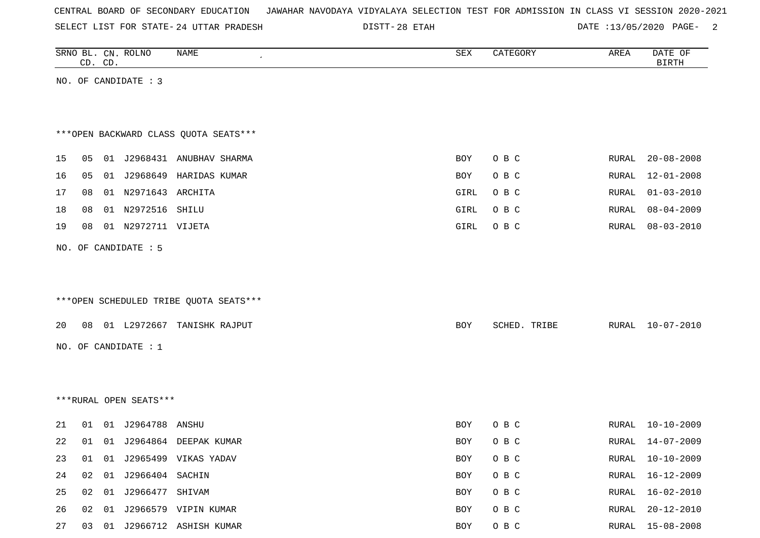| CENTRAL BOARD OF SECONDARY EDUCATION – JAWAHAR NAVODAYA VIDYALAYA SELECTION TEST FOR ADMISSION IN CLASS VI SESSION 2020-2021 |  |
|------------------------------------------------------------------------------------------------------------------------------|--|
|------------------------------------------------------------------------------------------------------------------------------|--|

DISTT-28 ETAH 2000 2000 2000 DATE :13/05/2020 PAGE-

|    | CD. CD. | SRNO BL. CN. ROLNO     | NAME                                   | SEX        | CATEGORY     | AREA  | DATE OF<br><b>BIRTH</b> |
|----|---------|------------------------|----------------------------------------|------------|--------------|-------|-------------------------|
|    |         | NO. OF CANDIDATE : 3   |                                        |            |              |       |                         |
|    |         |                        |                                        |            |              |       |                         |
|    |         |                        |                                        |            |              |       |                         |
|    |         |                        | *** OPEN BACKWARD CLASS QUOTA SEATS*** |            |              |       |                         |
| 15 | 05      |                        | 01 J2968431 ANUBHAV SHARMA             | <b>BOY</b> | O B C        | RURAL | $20 - 08 - 2008$        |
| 16 | 05      |                        | 01 J2968649 HARIDAS KUMAR              | BOY        | O B C        | RURAL | $12 - 01 - 2008$        |
| 17 | 08      | 01 N2971643 ARCHITA    |                                        | GIRL       | O B C        | RURAL | $01 - 03 - 2010$        |
| 18 | 08      | 01 N2972516 SHILU      |                                        | GIRL       | O B C        | RURAL | $08 - 04 - 2009$        |
| 19 | 08      | 01 N2972711 VIJETA     |                                        | GIRL       | O B C        | RURAL | $08 - 03 - 2010$        |
|    |         | NO. OF CANDIDATE : 5   |                                        |            |              |       |                         |
|    |         |                        |                                        |            |              |       |                         |
|    |         |                        |                                        |            |              |       |                         |
|    |         |                        | ***OPEN SCHEDULED TRIBE QUOTA SEATS*** |            |              |       |                         |
| 20 | 08      |                        | 01 L2972667 TANISHK RAJPUT             | BOY        | SCHED. TRIBE | RURAL | $10 - 07 - 2010$        |
|    |         | NO. OF CANDIDATE : $1$ |                                        |            |              |       |                         |
|    |         |                        |                                        |            |              |       |                         |
|    |         |                        |                                        |            |              |       |                         |
|    |         | ***RURAL OPEN SEATS*** |                                        |            |              |       |                         |
|    |         |                        |                                        |            |              |       |                         |
| 21 | 01      | 01 J2964788 ANSHU      |                                        | BOY        | O B C        | RURAL | $10 - 10 - 2009$        |
| 22 | 01      |                        | 01 J2964864 DEEPAK KUMAR               | BOY        | O B C        | RURAL | 14-07-2009              |
| 23 | 01      |                        | 01 J2965499 VIKAS YADAV                | BOY        | O B C        | RURAL | $10 - 10 - 2009$        |
| 24 | 02      | 01 J2966404 SACHIN     |                                        | BOY        | O B C        | RURAL | $16 - 12 - 2009$        |
| 25 | 02      | 01 J2966477 SHIVAM     |                                        | BOY        | O B C        | RURAL | $16 - 02 - 2010$        |
| 26 | 02      |                        | 01 J2966579 VIPIN KUMAR                | BOY        | O B C        | RURAL | $20 - 12 - 2010$        |

27 03 01 J2966712 ASHISH KUMAR **BOY O B C** RURAL 15-08-2008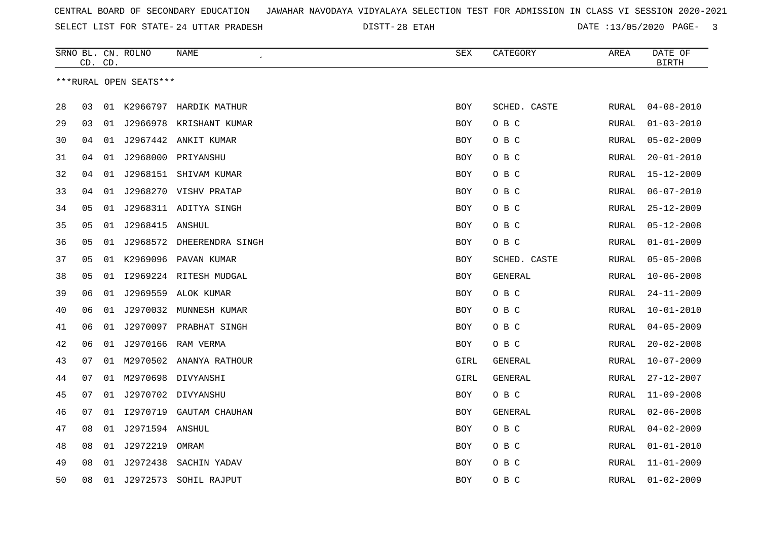28 ETAH DATE :13/05/2020 PAGE- 3

|    |    | CD. CD. | SRNO BL. CN. ROLNO     | NAME<br>$\epsilon$         | SEX        | CATEGORY     | AREA  | DATE OF<br><b>BIRTH</b> |
|----|----|---------|------------------------|----------------------------|------------|--------------|-------|-------------------------|
|    |    |         | ***RURAL OPEN SEATS*** |                            |            |              |       |                         |
|    |    |         |                        |                            |            |              |       |                         |
| 28 | 03 |         |                        | 01 K2966797 HARDIK MATHUR  | BOY        | SCHED. CASTE | RURAL | $04 - 08 - 2010$        |
| 29 | 03 | 01      | J2966978               | KRISHANT KUMAR             | BOY        | O B C        | RURAL | $01 - 03 - 2010$        |
| 30 | 04 | 01      |                        | J2967442 ANKIT KUMAR       | <b>BOY</b> | O B C        | RURAL | $05 - 02 - 2009$        |
| 31 | 04 | 01      | J2968000               | PRIYANSHU                  | <b>BOY</b> | O B C        | RURAL | $20 - 01 - 2010$        |
| 32 | 04 | 01      | J2968151               | SHIVAM KUMAR               | BOY        | O B C        | RURAL | $15 - 12 - 2009$        |
| 33 | 04 | 01      |                        | J2968270 VISHV PRATAP      | <b>BOY</b> | O B C        | RURAL | $06 - 07 - 2010$        |
| 34 | 05 | 01      |                        | J2968311 ADITYA SINGH      | BOY        | O B C        | RURAL | $25 - 12 - 2009$        |
| 35 | 05 | 01      | J2968415 ANSHUL        |                            | <b>BOY</b> | O B C        | RURAL | $05 - 12 - 2008$        |
| 36 | 05 | 01      |                        | J2968572 DHEERENDRA SINGH  | BOY        | O B C        | RURAL | $01 - 01 - 2009$        |
| 37 | 05 | 01      | K2969096               | PAVAN KUMAR                | BOY        | SCHED. CASTE | RURAL | $05 - 05 - 2008$        |
| 38 | 05 | 01      |                        | 12969224 RITESH MUDGAL     | <b>BOY</b> | GENERAL      | RURAL | $10 - 06 - 2008$        |
| 39 | 06 | 01      | J2969559               | ALOK KUMAR                 | BOY        | O B C        | RURAL | $24 - 11 - 2009$        |
| 40 | 06 | 01      |                        | J2970032 MUNNESH KUMAR     | BOY        | O B C        | RURAL | $10 - 01 - 2010$        |
| 41 | 06 | 01      |                        | J2970097 PRABHAT SINGH     | <b>BOY</b> | O B C        | RURAL | $04 - 05 - 2009$        |
| 42 | 06 | 01      | J2970166               | RAM VERMA                  | BOY        | O B C        | RURAL | $20 - 02 - 2008$        |
| 43 | 07 |         |                        | 01 M2970502 ANANYA RATHOUR | GIRL       | GENERAL      | RURAL | $10 - 07 - 2009$        |
| 44 | 07 |         | 01 M2970698            | DIVYANSHI                  | GIRL       | GENERAL      | RURAL | $27 - 12 - 2007$        |
| 45 | 07 | 01      |                        | J2970702 DIVYANSHU         | <b>BOY</b> | O B C        | RURAL | $11 - 09 - 2008$        |
| 46 | 07 | 01      | I2970719               | GAUTAM CHAUHAN             | BOY        | GENERAL      | RURAL | $02 - 06 - 2008$        |
| 47 | 08 | 01      | J2971594 ANSHUL        |                            | <b>BOY</b> | O B C        | RURAL | $04 - 02 - 2009$        |
| 48 | 08 | 01      | J2972219               | OMRAM                      | <b>BOY</b> | O B C        | RURAL | $01 - 01 - 2010$        |
| 49 | 08 | 01      | J2972438               | SACHIN YADAV               | <b>BOY</b> | O B C        | RURAL | $11 - 01 - 2009$        |
| 50 | 08 | 01      | J2972573               | SOHIL RAJPUT               | <b>BOY</b> | O B C        | RURAL | $01 - 02 - 2009$        |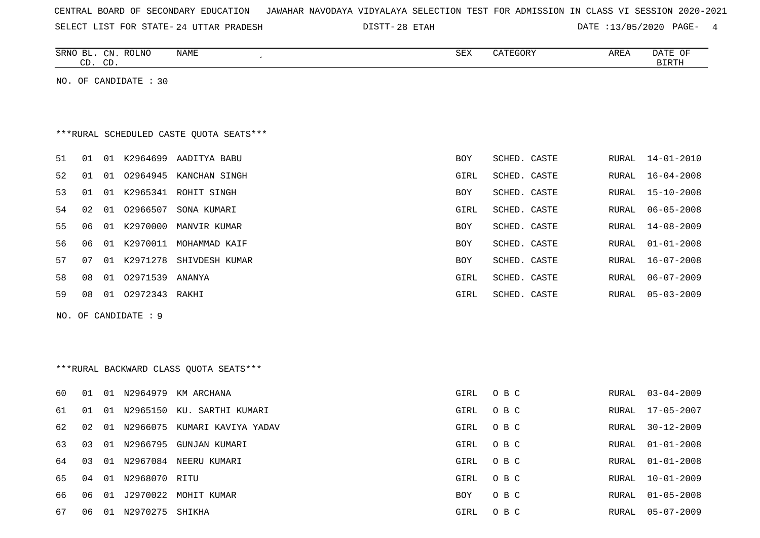| CENTRAL BOARD OF SECONDARY EDUCATION – JAWAHAR NAVODAYA VIDYALAYA SELECTION TEST FOR ADMISSION IN CLASS VI SESSION 2020-2021 |  |  |  |
|------------------------------------------------------------------------------------------------------------------------------|--|--|--|
|------------------------------------------------------------------------------------------------------------------------------|--|--|--|

SELECT LIST FOR STATE- DISTT- 24 UTTAR PRADESH 28 ETAH DATE :13/05/2020 PAGE- 4

|    |    | CD. CD. | SRNO BL. CN. ROLNO    | NAME<br>$\pmb{\cdot}$                   | <b>SEX</b>  | CATEGORY     | AREA  | DATE OF<br><b>BIRTH</b> |
|----|----|---------|-----------------------|-----------------------------------------|-------------|--------------|-------|-------------------------|
|    |    |         | NO. OF CANDIDATE : 30 |                                         |             |              |       |                         |
|    |    |         |                       |                                         |             |              |       |                         |
|    |    |         |                       |                                         |             |              |       |                         |
|    |    |         |                       | ***RURAL SCHEDULED CASTE QUOTA SEATS*** |             |              |       |                         |
| 51 | 01 |         |                       | 01 K2964699 AADITYA BABU                | <b>BOY</b>  | SCHED. CASTE | RURAL | 14-01-2010              |
| 52 | 01 |         | 01 02964945           | KANCHAN SINGH                           | GIRL        | SCHED. CASTE | RURAL | $16 - 04 - 2008$        |
| 53 | 01 | 01      | K2965341              | ROHIT SINGH                             | BOY         | SCHED. CASTE | RURAL | $15 - 10 - 2008$        |
| 54 | 02 | 01      | 02966507              | SONA KUMARI                             | GIRL        | SCHED. CASTE | RURAL | $06 - 05 - 2008$        |
| 55 | 06 |         | 01 K2970000           | MANVIR KUMAR                            | <b>BOY</b>  | SCHED. CASTE | RURAL | $14 - 08 - 2009$        |
| 56 | 06 | 01      | K2970011              | MOHAMMAD KAIF                           | <b>BOY</b>  | SCHED. CASTE | RURAL | $01 - 01 - 2008$        |
| 57 | 07 | 01      | K2971278              | SHIVDESH KUMAR                          | <b>BOY</b>  | SCHED. CASTE | RURAL | $16 - 07 - 2008$        |
| 58 | 08 |         | 01 02971539           | ANANYA                                  | GIRL        | SCHED. CASTE | RURAL | $06 - 07 - 2009$        |
| 59 | 08 |         | 01 02972343 RAKHI     |                                         | <b>GIRL</b> | SCHED. CASTE | RURAL | $05 - 03 - 2009$        |
|    |    |         | NO. OF CANDIDATE : 9  |                                         |             |              |       |                         |
|    |    |         |                       |                                         |             |              |       |                         |
|    |    |         |                       |                                         |             |              |       |                         |
|    |    |         |                       | *** RURAL BACKWARD CLASS QUOTA SEATS*** |             |              |       |                         |
| 60 | 01 |         |                       | 01 N2964979 KM ARCHANA                  | <b>GIRL</b> | O B C        |       | RURAL 03-04-2009        |
| 61 | 01 |         | 01 N2965150           | KU. SARTHI KUMARI                       | GIRL        | O B C        | RURAL | $17 - 05 - 2007$        |
| 62 | 02 |         | 01 N2966075           | KUMARI KAVIYA YADAV                     | GIRL        | O B C        | RURAL | $30 - 12 - 2009$        |
| 63 | 03 | 01      | N2966795              | <b>GUNJAN KUMARI</b>                    | GIRL        | O B C        | RURAL | $01 - 01 - 2008$        |
| 64 | 03 | 01      |                       | N2967084 NEERU KUMARI                   | <b>GIRL</b> | O B C        | RURAL | $01 - 01 - 2008$        |
| 65 | 04 |         | 01 N2968070 RITU      |                                         | GIRL        | O B C        | RURAL | $10 - 01 - 2009$        |

66 06 01 J2970022 MOHIT KUMAR BOY O B C RURAL 01-05-2008 67 06 01 N2970275 SHIKHA GIRL O B C RURAL 05-07-2009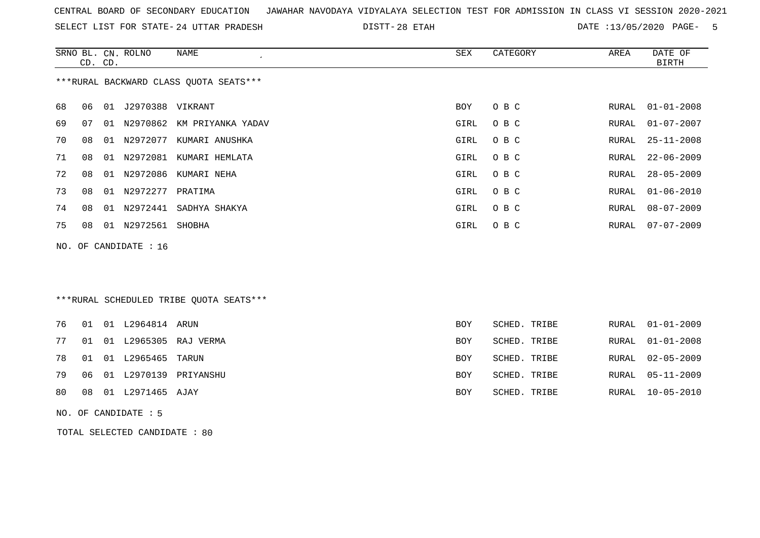|  |  |  |  |  | CENTRAL BOARD OF SECONDARY EDUCATION – JAWAHAR NAVODAYA VIDYALAYA SELECTION TEST FOR ADMISSION IN CLASS VI SESSION 2020-2021 |  |  |  |  |  |  |  |  |  |  |  |  |  |
|--|--|--|--|--|------------------------------------------------------------------------------------------------------------------------------|--|--|--|--|--|--|--|--|--|--|--|--|--|
|--|--|--|--|--|------------------------------------------------------------------------------------------------------------------------------|--|--|--|--|--|--|--|--|--|--|--|--|--|

24 UTTAR PRADESH 28 ETAH DATE :13/05/2020 PAGE- 5

|    |    | CD. CD. | SRNO BL. CN. ROLNO    | <b>NAME</b>                             | <b>SEX</b> | CATEGORY     | AREA         | DATE OF<br><b>BIRTH</b> |
|----|----|---------|-----------------------|-----------------------------------------|------------|--------------|--------------|-------------------------|
|    |    |         |                       | *** RURAL BACKWARD CLASS QUOTA SEATS*** |            |              |              |                         |
| 68 | 06 | 01      | J2970388              | VIKRANT                                 | <b>BOY</b> | O B C        | RURAL        | $01 - 01 - 2008$        |
| 69 | 07 | 01      | N2970862              | KM PRIYANKA YADAV                       | GIRL       | O B C        | <b>RURAL</b> | $01 - 07 - 2007$        |
| 70 | 08 | 01      | N2972077              | KUMARI ANUSHKA                          | GIRL       | O B C        | <b>RURAL</b> | $25 - 11 - 2008$        |
| 71 | 08 | 01      | N2972081              | KUMARI HEMLATA                          | GIRL       | O B C        | RURAL        | $22 - 06 - 2009$        |
| 72 | 08 | 01      | N2972086              | KUMARI NEHA                             | GIRL       | O B C        | RURAL        | $28 - 05 - 2009$        |
| 73 | 08 | 01      | N2972277              | PRATIMA                                 | GIRL       | O B C        | RURAL        | $01 - 06 - 2010$        |
| 74 | 08 | 01      | N2972441              | SADHYA SHAKYA                           | GIRL       | O B C        | RURAL        | $08 - 07 - 2009$        |
| 75 | 08 | 01      | N2972561              | SHOBHA                                  | GIRL       | O B C        | RURAL        | $07 - 07 - 2009$        |
|    |    |         | NO. OF CANDIDATE : 16 |                                         |            |              |              |                         |
|    |    |         |                       |                                         |            |              |              |                         |
|    |    |         |                       |                                         |            |              |              |                         |
|    |    |         |                       | ***RURAL SCHEDULED TRIBE QUOTA SEATS*** |            |              |              |                         |
| 76 | 01 |         | 01 L2964814           | ARUN                                    | <b>BOY</b> | SCHED. TRIBE | <b>RURAL</b> | $01 - 01 - 2009$        |
| 77 | 01 |         |                       | 01 L2965305 RAJ VERMA                   | <b>BOY</b> | SCHED. TRIBE | RURAL        | $01 - 01 - 2008$        |
| 78 | 01 | 01      | L2965465              | TARUN                                   | <b>BOY</b> | SCHED. TRIBE | RURAL        | $02 - 05 - 2009$        |
| 79 | 06 | 01      | L2970139              | PRIYANSHU                               | <b>BOY</b> | SCHED. TRIBE | RURAL        | $05 - 11 - 2009$        |
| 80 | 08 |         | 01 L2971465           | AJAY                                    | <b>BOY</b> | SCHED. TRIBE | RURAL        | $10 - 05 - 2010$        |

NO. OF CANDIDATE : 5

TOTAL SELECTED CANDIDATE : 80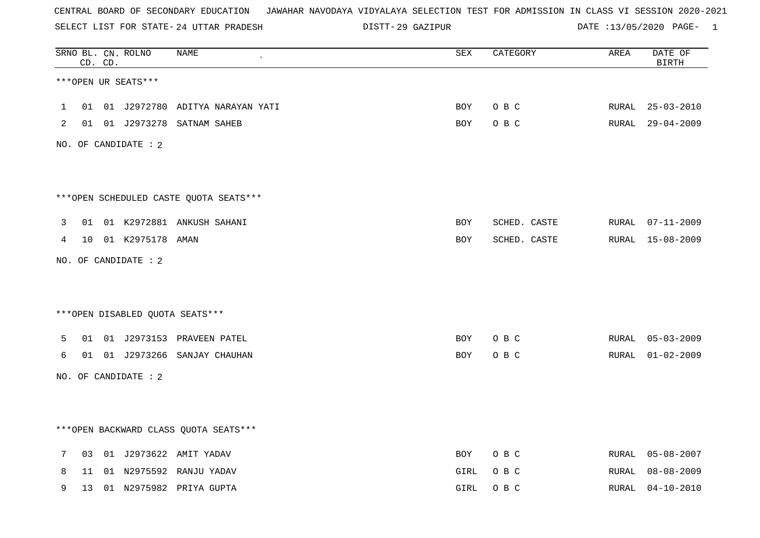SELECT LIST FOR STATE- DISTT- 24 UTTAR PRADESH

29 GAZIPUR DATE :13/05/2020 PAGE- 1

|             |    | CD. CD. | SRNO BL. CN. ROLNO   | <b>NAME</b>                            | $\operatorname{SEX}$ | CATEGORY     | AREA  | DATE OF<br><b>BIRTH</b> |
|-------------|----|---------|----------------------|----------------------------------------|----------------------|--------------|-------|-------------------------|
|             |    |         | ***OPEN UR SEATS***  |                                        |                      |              |       |                         |
| $\mathbf 1$ |    |         |                      | 01 01 J2972780 ADITYA NARAYAN YATI     | <b>BOY</b>           | O B C        | RURAL | $25 - 03 - 2010$        |
| 2           |    |         |                      | 01 01 J2973278 SATNAM SAHEB            | BOY                  | O B C        |       | RURAL 29-04-2009        |
|             |    |         | NO. OF CANDIDATE : 2 |                                        |                      |              |       |                         |
|             |    |         |                      | ***OPEN SCHEDULED CASTE QUOTA SEATS*** |                      |              |       |                         |
| 3           |    |         |                      | 01 01 K2972881 ANKUSH SAHANI           | <b>BOY</b>           | SCHED. CASTE |       | RURAL 07-11-2009        |
| 4           |    |         | 10 01 K2975178 AMAN  |                                        | BOY                  | SCHED. CASTE |       | RURAL 15-08-2009        |
|             |    |         | NO. OF CANDIDATE : 2 |                                        |                      |              |       |                         |
|             |    |         |                      |                                        |                      |              |       |                         |
|             |    |         |                      | ***OPEN DISABLED QUOTA SEATS***        |                      |              |       |                         |
| 5           |    |         |                      | 01 01 J2973153 PRAVEEN PATEL           | <b>BOY</b>           | O B C        |       | RURAL 05-03-2009        |
| 6           | 01 |         |                      | 01 J2973266 SANJAY CHAUHAN             | BOY                  | O B C        | RURAL | $01 - 02 - 2009$        |
|             |    |         | NO. OF CANDIDATE : 2 |                                        |                      |              |       |                         |
|             |    |         |                      |                                        |                      |              |       |                         |
|             |    |         |                      | *** OPEN BACKWARD CLASS QUOTA SEATS*** |                      |              |       |                         |
| 7           | 03 |         |                      | 01 J2973622 AMIT YADAV                 | BOY                  | O B C        | RURAL | $05 - 08 - 2007$        |
| 8           | 11 |         |                      | 01 N2975592 RANJU YADAV                | GIRL                 | O B C        | RURAL | $08 - 08 - 2009$        |
| 9           | 13 |         |                      | 01 N2975982 PRIYA GUPTA                | GIRL                 | O B C        | RURAL | $04 - 10 - 2010$        |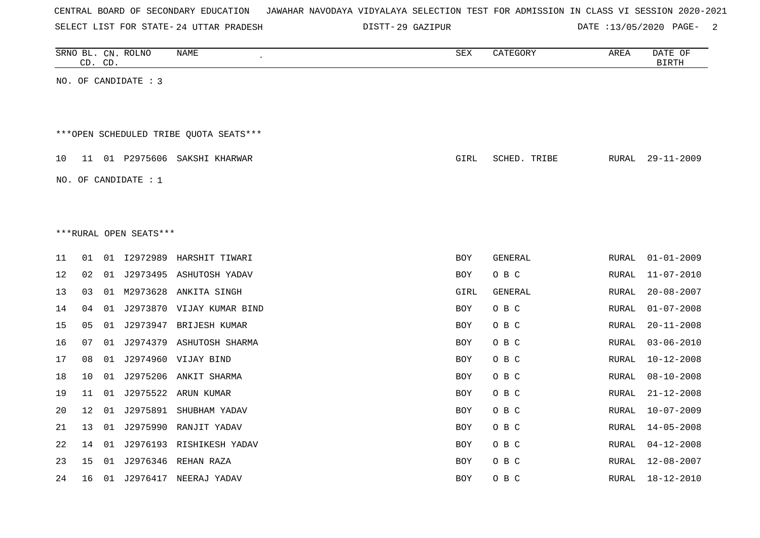|  |  | CENTRAL BOARD OF SECONDARY EDUCATION – JAWAHAR NAVODAYA VIDYALAYA SELECTION TEST FOR ADMISSION IN CLASS VI SESSION 2020-2021 |  |  |  |  |  |  |  |
|--|--|------------------------------------------------------------------------------------------------------------------------------|--|--|--|--|--|--|--|
|  |  |                                                                                                                              |  |  |  |  |  |  |  |

29 GAZIPUR DATE :13/05/2020 PAGE- 2

|    |    | CD. CD. | SRNO BL. CN. ROLNO     | NAME                                    | SEX        | CATEGORY       | AREA         | DATE OF<br><b>BIRTH</b> |
|----|----|---------|------------------------|-----------------------------------------|------------|----------------|--------------|-------------------------|
|    |    |         | NO. OF CANDIDATE : 3   |                                         |            |                |              |                         |
|    |    |         |                        |                                         |            |                |              |                         |
|    |    |         |                        | *** OPEN SCHEDULED TRIBE QUOTA SEATS*** |            |                |              |                         |
| 10 | 11 |         |                        | 01 P2975606 SAKSHI KHARWAR              | GIRL       | SCHED. TRIBE   | RURAL        | $29 - 11 - 2009$        |
|    |    |         | NO. OF CANDIDATE : 1   |                                         |            |                |              |                         |
|    |    |         |                        |                                         |            |                |              |                         |
|    |    |         |                        |                                         |            |                |              |                         |
|    |    |         | ***RURAL OPEN SEATS*** |                                         |            |                |              |                         |
| 11 | 01 |         |                        | 01 I2972989 HARSHIT TIWARI              | <b>BOY</b> | <b>GENERAL</b> | RURAL        | $01 - 01 - 2009$        |
| 12 | 02 |         |                        | 01 J2973495 ASHUTOSH YADAV              | <b>BOY</b> | O B C          | RURAL        | $11 - 07 - 2010$        |
| 13 | 03 | 01      |                        | M2973628 ANKITA SINGH                   | GIRL       | GENERAL        | RURAL        | $20 - 08 - 2007$        |
| 14 | 04 | 01      |                        | J2973870 VIJAY KUMAR BIND               | <b>BOY</b> | O B C          | <b>RURAL</b> | $01 - 07 - 2008$        |
| 15 | 05 |         |                        | 01 J2973947 BRIJESH KUMAR               | <b>BOY</b> | O B C          | RURAL        | $20 - 11 - 2008$        |
| 16 | 07 |         |                        | 01 J2974379 ASHUTOSH SHARMA             | <b>BOY</b> | O B C          | RURAL        | $03 - 06 - 2010$        |
| 17 | 08 |         |                        | 01 J2974960 VIJAY BIND                  | <b>BOY</b> | O B C          | RURAL        | $10 - 12 - 2008$        |
| 18 | 10 |         |                        | 01 J2975206 ANKIT SHARMA                | <b>BOY</b> | O B C          | RURAL        | $08 - 10 - 2008$        |
| 19 | 11 |         |                        | 01 J2975522 ARUN KUMAR                  | <b>BOY</b> | O B C          | RURAL        | $21 - 12 - 2008$        |
| 20 | 12 | 01      | J2975891               | SHUBHAM YADAV                           | <b>BOY</b> | O B C          | RURAL        | $10 - 07 - 2009$        |
| 21 | 13 | 01      |                        | J2975990 RANJIT YADAV                   | <b>BOY</b> | O B C          | RURAL        | $14 - 05 - 2008$        |
| 22 | 14 | 01      |                        | J2976193 RISHIKESH YADAV                | <b>BOY</b> | O B C          | RURAL        | $04 - 12 - 2008$        |
| 23 | 15 | 01      |                        | J2976346 REHAN RAZA                     | BOY        | O B C          | RURAL        | $12 - 08 - 2007$        |
| 24 | 16 |         |                        | 01 J2976417 NEERAJ YADAV                | <b>BOY</b> | O B C          | RURAL        | $18 - 12 - 2010$        |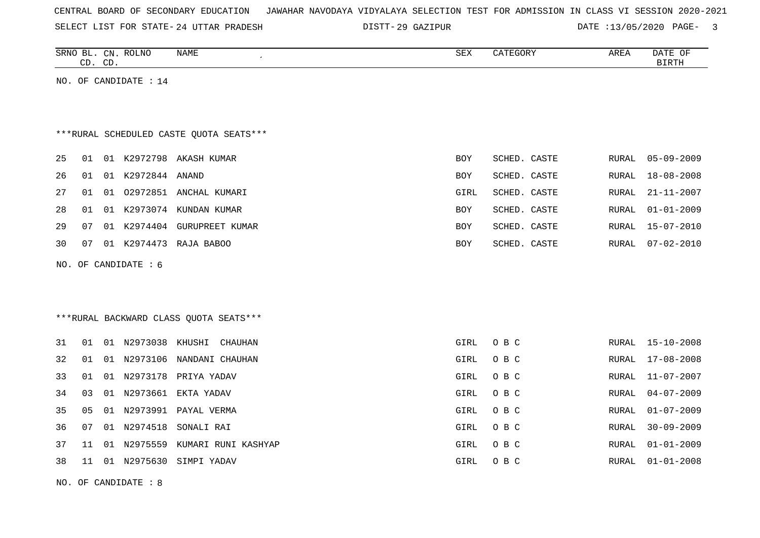| CENTRAL BOARD OF SECONDARY EDUCATION – JAWAHAR NAVODAYA VIDYALAYA SELECTION TEST FOR ADMISSION IN CLASS VI SESSION 2020-2021 |  |  |  |  |  |
|------------------------------------------------------------------------------------------------------------------------------|--|--|--|--|--|
|------------------------------------------------------------------------------------------------------------------------------|--|--|--|--|--|

SELECT LIST FOR STATE- DISTT- 24 UTTAR PRADESH 29 GAZIPUR DATE :13/05/2020 PAGE- 3

|     | CD. CD. |    | SRNO BL. CN. ROLNO    | NAME<br>$\pmb{\cdot}$                   | SEX        | CATEGORY     | AREA         | DATE OF<br><b>BIRTH</b> |
|-----|---------|----|-----------------------|-----------------------------------------|------------|--------------|--------------|-------------------------|
|     |         |    | NO. OF CANDIDATE : 14 |                                         |            |              |              |                         |
|     |         |    |                       |                                         |            |              |              |                         |
|     |         |    |                       | ***RURAL SCHEDULED CASTE QUOTA SEATS*** |            |              |              |                         |
| 25  | 01      |    |                       | 01 K2972798 AKASH KUMAR                 | <b>BOY</b> | SCHED. CASTE | RURAL        | $05 - 09 - 2009$        |
| 26  | 01      |    | 01 K2972844 ANAND     |                                         | BOY        | SCHED. CASTE | RURAL        | $18 - 08 - 2008$        |
| 27  | 01      |    |                       | 01 02972851 ANCHAL KUMARI               | GIRL       | SCHED. CASTE | RURAL        | $21 - 11 - 2007$        |
| 28  | 01      |    |                       | 01 K2973074 KUNDAN KUMAR                | BOY        | SCHED. CASTE | <b>RURAL</b> | $01 - 01 - 2009$        |
| 29  | 07      |    | 01 K2974404           | <b>GURUPREET KUMAR</b>                  | <b>BOY</b> | SCHED. CASTE | <b>RURAL</b> | $15 - 07 - 2010$        |
| 30  | 07      |    | 01 K2974473           | RAJA BABOO                              | BOY        | SCHED. CASTE | RURAL        | $07 - 02 - 2010$        |
| NO. |         |    | OF CANDIDATE : 6      |                                         |            |              |              |                         |
|     |         |    |                       |                                         |            |              |              |                         |
|     |         |    |                       |                                         |            |              |              |                         |
|     |         |    |                       | *** RURAL BACKWARD CLASS QUOTA SEATS*** |            |              |              |                         |
| 31  | 01      |    | 01 N2973038 KHUSHI    | CHAUHAN                                 | GIRL       | O B C        | RURAL        | $15 - 10 - 2008$        |
| 32  | 01      | 01 | N2973106              | NANDANI CHAUHAN                         | GIRL       | O B C        | RURAL        | $17 - 08 - 2008$        |
| 33  | 01      |    | 01 N2973178           | PRIYA YADAV                             | GIRL       | O B C        | RURAL        | $11 - 07 - 2007$        |
| 34  | 03      |    | 01 N2973661           | EKTA YADAV                              | GIRL       | O B C        | RURAL        | $04 - 07 - 2009$        |
| 35  | 05      | 01 |                       | N2973991 PAYAL VERMA                    | GIRL       | O B C        | RURAL        | $01 - 07 - 2009$        |
| 36  | 07      | 01 | N2974518              | SONALI RAI                              | GIRL       | O B C        | <b>RURAL</b> | $30 - 09 - 2009$        |
| 37  | 11      | 01 | N2975559              | KUMARI RUNI KASHYAP                     | GIRL       | O B C        | <b>RURAL</b> | $01 - 01 - 2009$        |

38 11 01 N2975630 SIMPI YADAV GIRL O B C RURAL 01-01-2008

NO. OF CANDIDATE : 8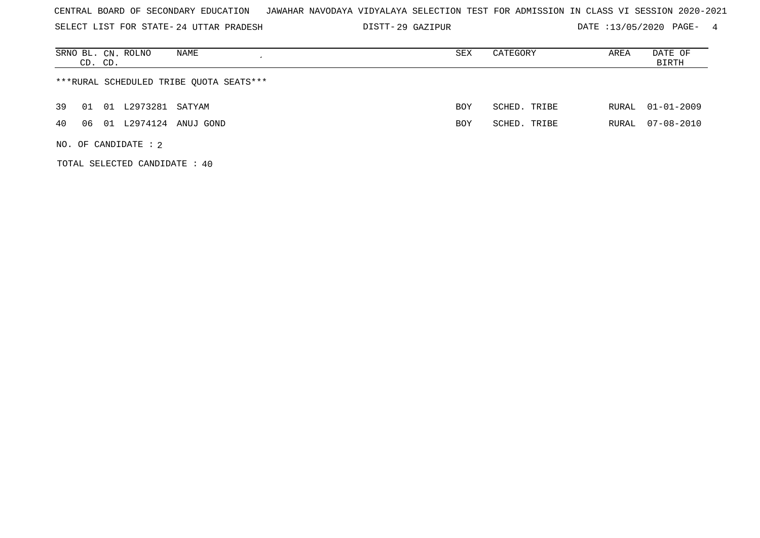SELECT LIST FOR STATE- DISTT- 24 UTTAR PRADESH

29 GAZIPUR DATE :13/05/2020 PAGE- 4

| SRNO BL. CN. ROLNO<br>NAME<br>CD. CD.   | SEX | CATEGORY     | AREA  | DATE OF<br>BIRTH |
|-----------------------------------------|-----|--------------|-------|------------------|
| ***RURAL SCHEDULED TRIBE QUOTA SEATS*** |     |              |       |                  |
| 01 L2973281 SATYAM<br>39<br>01          | BOY | SCHED. TRIBE | RURAL | 01-01-2009       |
| 01 L2974124 ANUJ GOND<br>40<br>06       | BOY | SCHED. TRIBE | RURAL | 07-08-2010       |
| NO. OF CANDIDATE : $2$                  |     |              |       |                  |

TOTAL SELECTED CANDIDATE : 40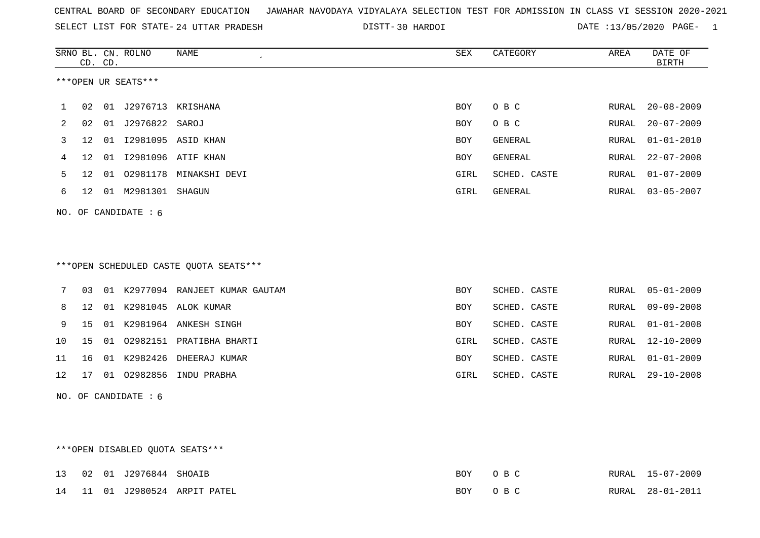SELECT LIST FOR STATE- DISTT- 24 UTTAR PRADESH

30 HARDOI DATE :13/05/2020 PAGE- 1

|                                        |                   | CD. CD. | SRNO BL. CN. ROLNO  | <b>NAME</b>                   | <b>SEX</b> | CATEGORY       | AREA  | DATE OF<br><b>BIRTH</b> |  |
|----------------------------------------|-------------------|---------|---------------------|-------------------------------|------------|----------------|-------|-------------------------|--|
|                                        |                   |         | ***OPEN UR SEATS*** |                               |            |                |       |                         |  |
| 1                                      | 02                | 01      | J2976713            | KRISHANA                      | BOY        | O B C          | RURAL | $20 - 08 - 2009$        |  |
| 2                                      | 02                |         | 01 J2976822 SAROJ   |                               | BOY        | O B C          | RURAL | $20 - 07 - 2009$        |  |
| 3                                      | $12 \overline{ }$ | 01      |                     | I2981095 ASID KHAN            | <b>BOY</b> | <b>GENERAL</b> | RURAL | $01 - 01 - 2010$        |  |
| 4                                      | $12 \overline{ }$ | 01      |                     | 12981096 ATIF KHAN            | <b>BOY</b> | GENERAL        | RURAL | $22 - 07 - 2008$        |  |
| 5                                      | $12 \overline{ }$ | 01      | 02981178            | MINAKSHI DEVI                 | GIRL       | SCHED. CASTE   | RURAL | $01 - 07 - 2009$        |  |
| 6                                      | 12                | 01      | M2981301            | SHAGUN                        | GIRL       | GENERAL        | RURAL | $03 - 05 - 2007$        |  |
| OF CANDIDATE: 6<br>NO.                 |                   |         |                     |                               |            |                |       |                         |  |
|                                        |                   |         |                     |                               |            |                |       |                         |  |
|                                        |                   |         |                     |                               |            |                |       |                         |  |
| ***OPEN SCHEDULED CASTE QUOTA SEATS*** |                   |         |                     |                               |            |                |       |                         |  |
| 7                                      | 03                | 01      |                     | K2977094 RANJEET KUMAR GAUTAM | BOY        | SCHED. CASTE   | RURAL | $05 - 01 - 2009$        |  |
| 8                                      | 12                | 01      | K2981045            | ALOK KUMAR                    | BOY        | SCHED. CASTE   | RURAL | $09 - 09 - 2008$        |  |
| 9                                      | 15                | 01      |                     | K2981964 ANKESH SINGH         | BOY        | SCHED. CASTE   | RURAL | $01 - 01 - 2008$        |  |
| 10                                     | 15                | 01      | 02982151            | PRATIBHA BHARTI               | GIRL       | SCHED. CASTE   | RURAL | $12 - 10 - 2009$        |  |

|  |  | 11 16 01 K2982426 DHEERAJ KUMAR    | BOY  | SCHED. CASTE |  | RURAL 01-01-2009 |
|--|--|------------------------------------|------|--------------|--|------------------|
|  |  | 12  17  01  02982856  INDU  PRABHA | GIRL | SCHED. CASTE |  | RURAL 29-10-2008 |

NO. OF CANDIDATE : 6

# \*\*\*OPEN DISABLED QUOTA SEATS\*\*\*

|  | 13 02 01 J2976844 SHOAIB |                                       | BOY OBC |  | RURAL 15-07-2009 |
|--|--------------------------|---------------------------------------|---------|--|------------------|
|  |                          | 14   11   01   J2980524   ARPIT PATEL | BOY OBC |  | RURAL 28-01-2011 |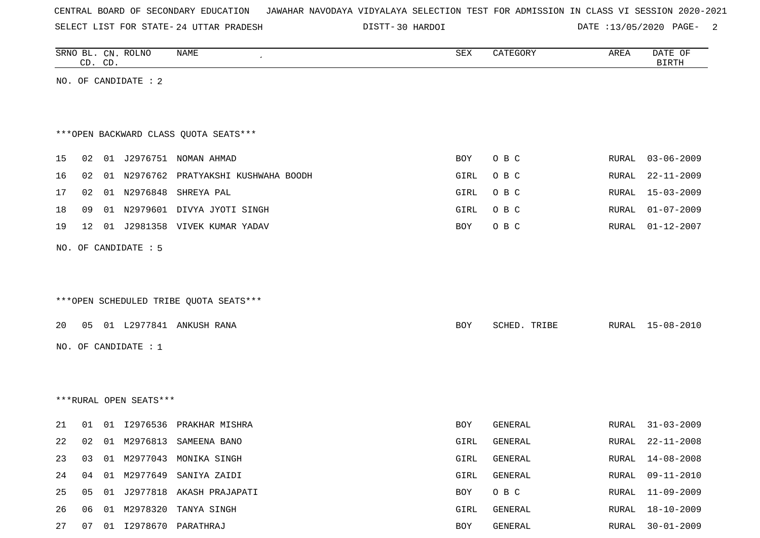SELECT LIST FOR STATE- DISTT- 24 UTTAR PRADESH

30 HARDOI DATE :13/05/2020 PAGE- 2

|    |    | CD. CD. | SRNO BL. CN. ROLNO     | <b>NAME</b>                            | SEX  | CATEGORY     | AREA  | DATE OF<br><b>BIRTH</b> |
|----|----|---------|------------------------|----------------------------------------|------|--------------|-------|-------------------------|
|    |    |         | NO. OF CANDIDATE : 2   |                                        |      |              |       |                         |
|    |    |         |                        |                                        |      |              |       |                         |
|    |    |         |                        |                                        |      |              |       |                         |
|    |    |         |                        | *** OPEN BACKWARD CLASS QUOTA SEATS*** |      |              |       |                         |
| 15 | 02 | 01      |                        | J2976751 NOMAN AHMAD                   | BOY  | O B C        | RURAL | $03 - 06 - 2009$        |
| 16 | 02 |         |                        | 01 N2976762 PRATYAKSHI KUSHWAHA BOODH  | GIRL | O B C        | RURAL | $22 - 11 - 2009$        |
| 17 | 02 |         | 01 N2976848            | SHREYA PAL                             | GIRL | O B C        | RURAL | $15 - 03 - 2009$        |
| 18 | 09 | 01      | N2979601               | DIVYA JYOTI SINGH                      | GIRL | O B C        | RURAL | $01 - 07 - 2009$        |
| 19 | 12 | 01      |                        | J2981358 VIVEK KUMAR YADAV             | BOY  | O B C        | RURAL | $01 - 12 - 2007$        |
|    |    |         | NO. OF CANDIDATE : 5   |                                        |      |              |       |                         |
|    |    |         |                        |                                        |      |              |       |                         |
|    |    |         |                        |                                        |      |              |       |                         |
|    |    |         |                        | ***OPEN SCHEDULED TRIBE QUOTA SEATS*** |      |              |       |                         |
| 20 | 05 |         |                        | 01 L2977841 ANKUSH RANA                |      |              |       | $15 - 08 - 2010$        |
|    |    |         |                        |                                        | BOY  | SCHED. TRIBE | RURAL |                         |
|    |    |         | NO. OF CANDIDATE : 1   |                                        |      |              |       |                         |
|    |    |         |                        |                                        |      |              |       |                         |
|    |    |         |                        |                                        |      |              |       |                         |
|    |    |         | ***RURAL OPEN SEATS*** |                                        |      |              |       |                         |
| 21 | 01 |         | 01 12976536            | PRAKHAR MISHRA                         | BOY  | GENERAL      | RURAL | $31 - 03 - 2009$        |
| 22 | 02 |         | 01 M2976813            | SAMEENA BANO                           | GIRL | GENERAL      | RURAL | $22 - 11 - 2008$        |
| 23 | 03 |         |                        | 01 M2977043 MONIKA SINGH               | GIRL | GENERAL      |       | RURAL 14-08-2008        |
| 24 | 04 | 01      | M2977649               | SANIYA ZAIDI                           | GIRL | GENERAL      | RURAL | $09 - 11 - 2010$        |
| 25 | 05 | 01      |                        | J2977818 AKASH PRAJAPATI               | BOY  | O B C        | RURAL | $11 - 09 - 2009$        |
| 26 | 06 |         |                        | 01 M2978320 TANYA SINGH                | GIRL | GENERAL      | RURAL | 18-10-2009              |
| 27 | 07 |         |                        | 01  12978670  PARATHRAJ                | BOY  | GENERAL      |       | RURAL 30-01-2009        |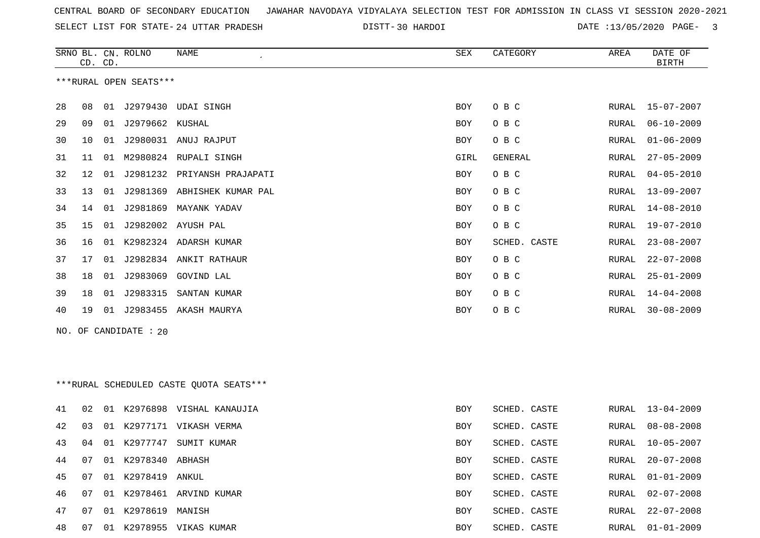SELECT LIST FOR STATE- DISTT- 24 UTTAR PRADESH

30 HARDOI DATE :13/05/2020 PAGE- 3

|    | CD. CD. |    | SRNO BL. CN. ROLNO     | NAME<br>$\epsilon$                      | SEX  | CATEGORY       | AREA         | DATE OF<br><b>BIRTH</b> |
|----|---------|----|------------------------|-----------------------------------------|------|----------------|--------------|-------------------------|
|    |         |    | ***RURAL OPEN SEATS*** |                                         |      |                |              |                         |
| 28 | 08      | 01 | J2979430               | UDAI SINGH                              | BOY  | O B C          | RURAL        | $15 - 07 - 2007$        |
| 29 | 09      | 01 | J2979662               | KUSHAL                                  | BOY  | O B C          | RURAL        | $06 - 10 - 2009$        |
| 30 | 10      | 01 |                        | J2980031 ANUJ RAJPUT                    | BOY  | O B C          | RURAL        | $01 - 06 - 2009$        |
| 31 | 11      | 01 |                        | M2980824 RUPALI SINGH                   | GIRL | <b>GENERAL</b> | RURAL        | $27 - 05 - 2009$        |
| 32 | 12      | 01 |                        | J2981232 PRIYANSH PRAJAPATI             | BOY  | O B C          | RURAL        | $04 - 05 - 2010$        |
| 33 | 13      | 01 | J2981369               | ABHISHEK KUMAR PAL                      | BOY  | O B C          | RURAL        | $13 - 09 - 2007$        |
| 34 | 14      | 01 | J2981869               | MAYANK YADAV                            | BOY  | O B C          | RURAL        | $14 - 08 - 2010$        |
| 35 | 15      | 01 | J2982002               | AYUSH PAL                               | BOY  | O B C          | RURAL        | $19 - 07 - 2010$        |
| 36 | 16      | 01 | K2982324               | ADARSH KUMAR                            | BOY  | SCHED. CASTE   | RURAL        | $23 - 08 - 2007$        |
| 37 | 17      | 01 |                        | J2982834 ANKIT RATHAUR                  | BOY  | O B C          | RURAL        | $22 - 07 - 2008$        |
| 38 | 18      | 01 | J2983069               | GOVIND LAL                              | BOY  | O B C          | RURAL        | $25 - 01 - 2009$        |
| 39 | 18      | 01 | J2983315               | SANTAN KUMAR                            | BOY  | O B C          | RURAL        | $14 - 04 - 2008$        |
| 40 | 19      |    |                        | 01 J2983455 AKASH MAURYA                | BOY  | O B C          | RURAL        | $30 - 08 - 2009$        |
|    |         |    | NO. OF CANDIDATE : 20  |                                         |      |                |              |                         |
|    |         |    |                        |                                         |      |                |              |                         |
|    |         |    |                        |                                         |      |                |              |                         |
|    |         |    |                        | ***RURAL SCHEDULED CASTE QUOTA SEATS*** |      |                |              |                         |
| 41 | 02      |    |                        | 01 K2976898 VISHAL KANAUJIA             | BOY  | SCHED. CASTE   | <b>RURAL</b> | $13 - 04 - 2009$        |
| 42 | 03      | 01 | K2977171               | VIKASH VERMA                            | BOY  | SCHED. CASTE   | RURAL        | $08 - 08 - 2008$        |
| 43 | 04      | 01 |                        | K2977747 SUMIT KUMAR                    | BOY  | SCHED. CASTE   | RURAL        | $10 - 05 - 2007$        |
| 44 | 07      |    | 01 K2978340 ABHASH     |                                         | BOY  | SCHED. CASTE   | RURAL        | $20 - 07 - 2008$        |
| 45 | 07      |    | 01 K2978419 ANKUL      |                                         | BOY  | SCHED. CASTE   | RURAL        | $01 - 01 - 2009$        |
| 46 | 07      |    |                        | 01 K2978461 ARVIND KUMAR                | BOY  | SCHED. CASTE   | RURAL        | $02 - 07 - 2008$        |
| 47 | 07      |    | 01 K2978619 MANISH     |                                         | BOY  | SCHED. CASTE   | RURAL        | $22 - 07 - 2008$        |
| 48 | 07      |    |                        | 01 K2978955 VIKAS KUMAR                 | BOY  | SCHED. CASTE   | RURAL        | $01 - 01 - 2009$        |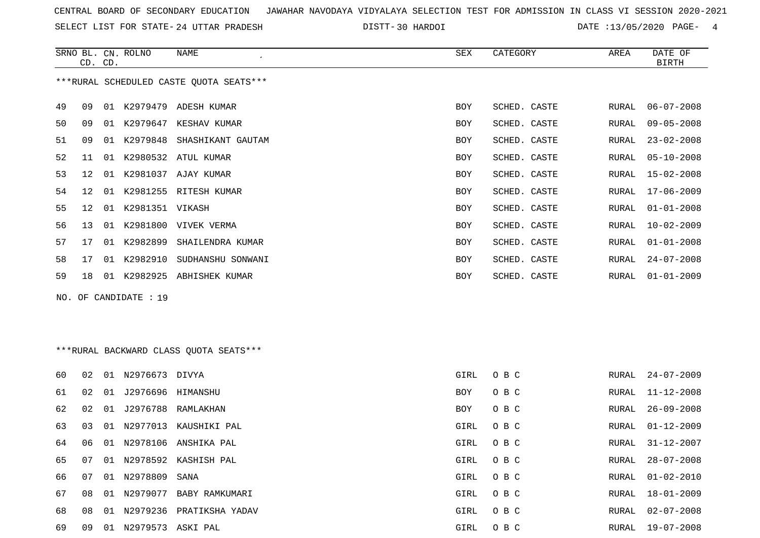SELECT LIST FOR STATE- DISTT- 24 UTTAR PRADESH

30 HARDOI DATE :13/05/2020 PAGE- 4

|                                         |     | CD. CD. | SRNO BL. CN. ROLNO   | NAME                          | SEX        | CATEGORY     | AREA  | DATE OF<br><b>BIRTH</b> |  |  |
|-----------------------------------------|-----|---------|----------------------|-------------------------------|------------|--------------|-------|-------------------------|--|--|
| ***RURAL SCHEDULED CASTE QUOTA SEATS*** |     |         |                      |                               |            |              |       |                         |  |  |
| 49                                      | 09  |         |                      | 01 K2979479 ADESH KUMAR       | <b>BOY</b> | SCHED. CASTE | RURAL | $06 - 07 - 2008$        |  |  |
| 50                                      | 09  |         | 01 K2979647          | KESHAV KUMAR                  | <b>BOY</b> | SCHED. CASTE | RURAL | $09 - 05 - 2008$        |  |  |
| 51                                      | 09  |         |                      | 01 K2979848 SHASHIKANT GAUTAM | <b>BOY</b> | SCHED. CASTE | RURAL | $23 - 02 - 2008$        |  |  |
| 52                                      | 11  |         |                      | 01 K2980532 ATUL KUMAR        | <b>BOY</b> | SCHED. CASTE | RURAL | $05 - 10 - 2008$        |  |  |
| 53                                      | 12. |         |                      | 01 K2981037 AJAY KUMAR        | <b>BOY</b> | SCHED. CASTE | RURAL | $15 - 02 - 2008$        |  |  |
| 54                                      | 12  |         |                      | 01 K2981255 RITESH KUMAR      | <b>BOY</b> | SCHED. CASTE | RURAL | $17 - 06 - 2009$        |  |  |
| 55                                      | 12  |         | 01 K2981351 VIKASH   |                               | <b>BOY</b> | SCHED. CASTE | RURAL | $01 - 01 - 2008$        |  |  |
| 56                                      | 13  | 01      |                      | K2981800 VIVEK VERMA          | <b>BOY</b> | SCHED. CASTE | RURAL | $10 - 02 - 2009$        |  |  |
| 57                                      | 17  | 01      | K2982899             | SHAILENDRA KUMAR              | <b>BOY</b> | SCHED. CASTE | RURAL | $01 - 01 - 2008$        |  |  |
| 58                                      | 17  | 01      | K2982910             | SUDHANSHU SONWANI             | <b>BOY</b> | SCHED. CASTE | RURAL | $24 - 07 - 2008$        |  |  |
| 59                                      | 18  |         |                      | 01 K2982925 ABHISHEK KUMAR    | <b>BOY</b> | SCHED. CASTE | RURAL | $01 - 01 - 2009$        |  |  |
|                                         |     |         | NO. OF CANDIDATE: 19 |                               |            |              |       |                         |  |  |

\*\*\*RURAL BACKWARD CLASS QUOTA SEATS\*\*\*

| 60 | 02    | 01 | N2976673 DIVYA    |                          | GIRL | O B C | RURAL | $24 - 07 - 2009$ |
|----|-------|----|-------------------|--------------------------|------|-------|-------|------------------|
| 61 | 02    | 01 | J2976696 HIMANSHU |                          | BOY  | O B C | RURAL | 11-12-2008       |
| 62 | 02    | 01 |                   | J2976788 RAMLAKHAN       | BOY  | O B C | RURAL | 26-09-2008       |
| 63 | 03    |    |                   | 01 N2977013 KAUSHIKI PAL | GIRL | O B C | RURAL | 01-12-2009       |
| 64 | 06.   | 01 |                   | N2978106 ANSHIKA PAL     | GIRL | O B C | RURAL | 31-12-2007       |
| 65 | . በ 7 |    |                   | 01 N2978592 KASHISH PAL  | GIRL | O B C | RURAL | $28 - 07 - 2008$ |
| 66 | 07    |    | 01 N2978809       | SANA                     | GIRL | O B C | RURAL | 01-02-2010       |
| 67 | 0.8   | 01 | N2979077          | BABY RAMKUMARI           | GIRL | O B C | RURAL | 18-01-2009       |
| 68 | 08    |    | 01 N2979236       | PRATIKSHA YADAV          | GIRL | O B C | RURAL | $02 - 07 - 2008$ |
| 69 | 09    | 01 | N2979573 ASKI PAL |                          | GIRL | O B C | RURAL | 19-07-2008       |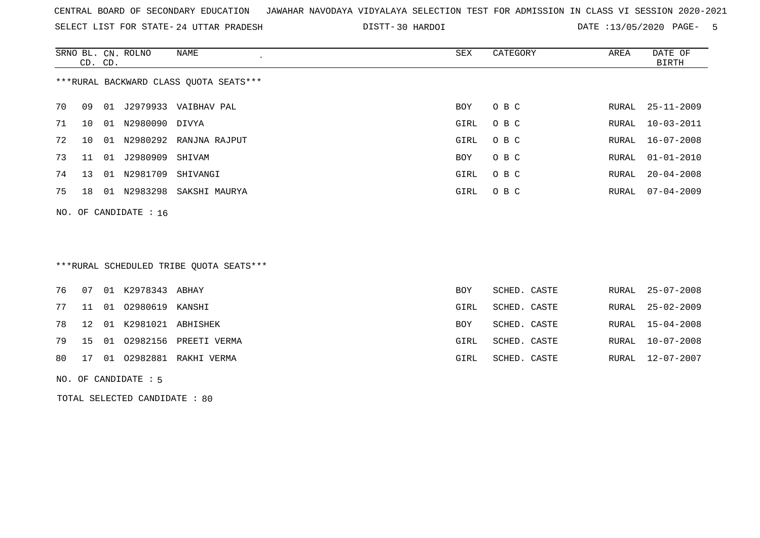SELECT LIST FOR STATE- DISTT- 24 UTTAR PRADESH

30 HARDOI DATE :13/05/2020 PAGE- 5

|                                        | CD. CD. |    | SRNO BL. CN. ROLNO      | NAME<br>$\cdot$        | SEX  | CATEGORY | AREA  | DATE OF<br>BIRTH |  |
|----------------------------------------|---------|----|-------------------------|------------------------|------|----------|-------|------------------|--|
| ***RURAL BACKWARD CLASS OUOTA SEATS*** |         |    |                         |                        |      |          |       |                  |  |
| 70                                     | 09      | 01 | J2979933                | VAIBHAV PAL            | BOY  | O B C    |       | RURAL 25-11-2009 |  |
| 71                                     | 1 O     | 01 | N2980090                | DIVYA                  | GIRL | O B C    |       | RURAL 10-03-2011 |  |
| 72                                     | 1 O     | 01 |                         | N2980292 RANJNA RAJPUT | GIRL | O B C    |       | RURAL 16-07-2008 |  |
| 73                                     | 11      | 01 | J2980909                | SHIVAM                 | BOY  | O B C    |       | RURAL 01-01-2010 |  |
| 74                                     | 13      | 01 | N2981709                | SHIVANGI               | GIRL | O B C    | RURAL | $20 - 04 - 2008$ |  |
| 75                                     | 18      | 01 | N2983298                | SAKSHI MAURYA          | GIRL | O B C    |       | RURAL 07-04-2009 |  |
|                                        |         |    | NO. OF CANDIDATE : $16$ |                        |      |          |       |                  |  |

# \*\*\*RURAL SCHEDULED TRIBE QUOTA SEATS\*\*\*

|  | 76  07  01  K2978343  ABHAY |                                | <b>BOY</b> | SCHED. CASTE |  | RURAL 25-07-2008 |
|--|-----------------------------|--------------------------------|------------|--------------|--|------------------|
|  | 77 11 01 02980619 KANSHI    |                                | GIRL       | SCHED. CASTE |  | RURAL 25-02-2009 |
|  | 78 12 01 K2981021 ABHISHEK  |                                | <b>BOY</b> | SCHED. CASTE |  | RURAL 15-04-2008 |
|  |                             | 79 15 01 02982156 PREETI VERMA | GIRL       | SCHED. CASTE |  | RURAL 10-07-2008 |
|  |                             | 80 17 01 02982881 RAKHI VERMA  | GIRL       | SCHED. CASTE |  | RURAL 12-07-2007 |
|  |                             |                                |            |              |  |                  |

#### NO. OF CANDIDATE : 5

TOTAL SELECTED CANDIDATE : 80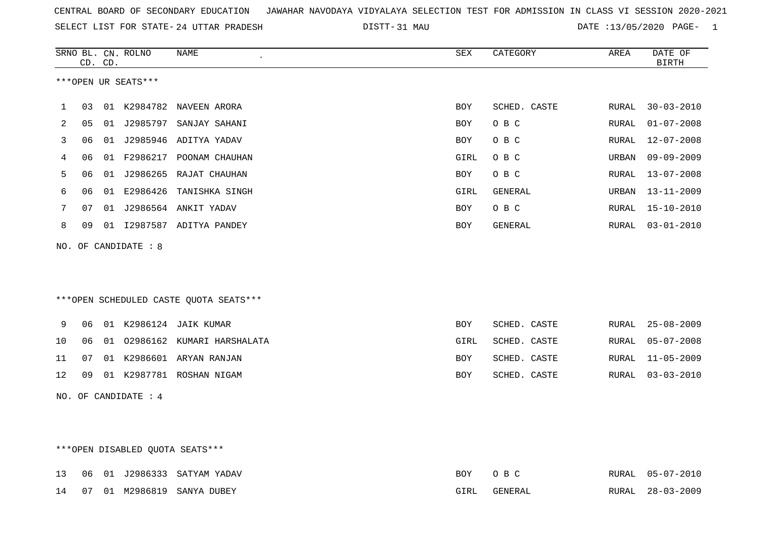|  |  |  |  | CENTRAL BOARD OF SECONDARY EDUCATION GJAWAHAR NAVODAYA VIDYALAYA SELECTION TEST FOR ADMISSION IN CLASS VI SESSION 2020-2021 |  |  |  |  |  |  |  |  |  |  |  |
|--|--|--|--|-----------------------------------------------------------------------------------------------------------------------------|--|--|--|--|--|--|--|--|--|--|--|
|--|--|--|--|-----------------------------------------------------------------------------------------------------------------------------|--|--|--|--|--|--|--|--|--|--|--|

SELECT LIST FOR STATE- DISTT- 24 UTTAR PRADESH 31 MAU DATE :13/05/2020 PAGE- 1

|    |    | CD. CD. | SRNO BL. CN. ROLNO   | <b>NAME</b><br>$\epsilon$              | SEX        | CATEGORY     | AREA  | DATE OF<br><b>BIRTH</b> |
|----|----|---------|----------------------|----------------------------------------|------------|--------------|-------|-------------------------|
|    |    |         | ***OPEN UR SEATS***  |                                        |            |              |       |                         |
| 1  | 03 |         |                      | 01 K2984782 NAVEEN ARORA               | BOY        | SCHED. CASTE | RURAL | $30 - 03 - 2010$        |
| 2  | 05 |         |                      | 01 J2985797 SANJAY SAHANI              | <b>BOY</b> | O B C        | RURAL | $01 - 07 - 2008$        |
| 3  | 06 |         |                      | 01 J2985946 ADITYA YADAV               | BOY        | O B C        | RURAL | $12 - 07 - 2008$        |
| 4  | 06 |         |                      | 01 F2986217 POONAM CHAUHAN             | GIRL       | O B C        | URBAN | $09 - 09 - 2009$        |
| 5  | 06 |         |                      | 01 J2986265 RAJAT CHAUHAN              | BOY        | O B C        | RURAL | $13 - 07 - 2008$        |
| 6  | 06 | 01      | E2986426             | TANISHKA SINGH                         | GIRL       | GENERAL      | URBAN | $13 - 11 - 2009$        |
| 7  | 07 |         |                      | 01 J2986564 ANKIT YADAV                | BOY        | O B C        | RURAL | $15 - 10 - 2010$        |
| 8  | 09 |         |                      | 01 I2987587 ADITYA PANDEY              | BOY        | GENERAL      | RURAL | $03 - 01 - 2010$        |
|    |    |         | NO. OF CANDIDATE : 8 |                                        |            |              |       |                         |
|    |    |         |                      |                                        |            |              |       |                         |
|    |    |         |                      | ***OPEN SCHEDULED CASTE QUOTA SEATS*** |            |              |       |                         |
| 9  | 06 |         |                      | 01 K2986124 JAIK KUMAR                 | BOY        | SCHED. CASTE | RURAL | $25 - 08 - 2009$        |
| 10 | 06 |         |                      | 01 02986162 KUMARI HARSHALATA          | GIRL       | SCHED. CASTE | RURAL | $05 - 07 - 2008$        |
| 11 | 07 |         |                      | 01 K2986601 ARYAN RANJAN               | BOY        | SCHED. CASTE | RURAL | $11 - 05 - 2009$        |
| 12 | 09 |         |                      | 01 K2987781 ROSHAN NIGAM               | BOY        | SCHED. CASTE | RURAL | $03 - 03 - 2010$        |
|    |    |         | NO. OF CANDIDATE : 4 |                                        |            |              |       |                         |
|    |    |         |                      |                                        |            |              |       |                         |
|    |    |         |                      |                                        |            |              |       |                         |

# \*\*\*OPEN DISABLED QUOTA SEATS\*\*\*

|  |  | 13 06 01 J2986333 SATYAM YADAV | BOY OBC |         | RURAL 05-07-2010 |
|--|--|--------------------------------|---------|---------|------------------|
|  |  | 14 07 01 M2986819 SANYA DUBEY  | GIRL    | GENERAL | RURAL 28-03-2009 |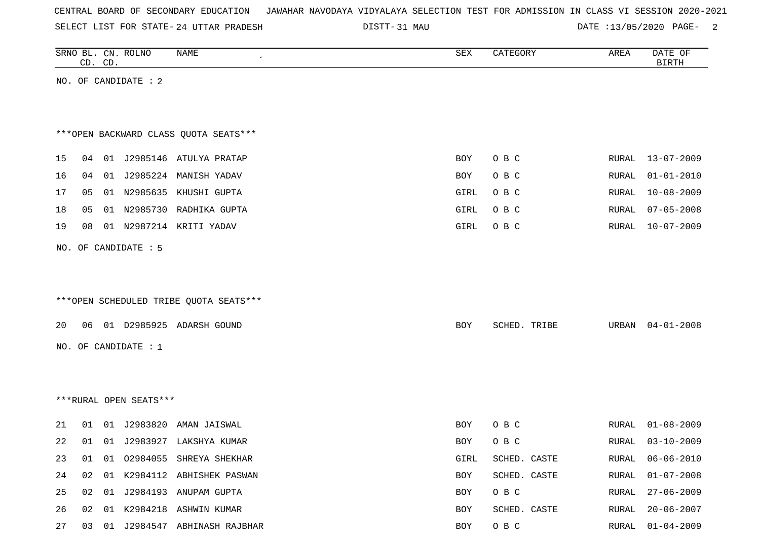| CENTRAL BOARD OF SECONDARY EDUCATION – JAWAHAR NAVODAYA VIDYALAYA SELECTION TEST FOR ADMISSION IN CLASS VI SESSION 2020-2021 |  |  |  |  |
|------------------------------------------------------------------------------------------------------------------------------|--|--|--|--|
|------------------------------------------------------------------------------------------------------------------------------|--|--|--|--|

SELECT LIST FOR STATE- DISTT- 24 UTTAR PRADESH

DISTT-31 MAU 2012 13/05/2020 PAGE- 2

|    | CD. CD. | SRNO BL. CN. ROLNO     | NAME                                   | ${\tt SEX}$ | CATEGORY     | AREA         | DATE OF<br><b>BIRTH</b> |
|----|---------|------------------------|----------------------------------------|-------------|--------------|--------------|-------------------------|
|    |         | NO. OF CANDIDATE : 2   |                                        |             |              |              |                         |
|    |         |                        |                                        |             |              |              |                         |
|    |         |                        |                                        |             |              |              |                         |
|    |         |                        | *** OPEN BACKWARD CLASS QUOTA SEATS*** |             |              |              |                         |
| 15 | 04      |                        | 01 J2985146 ATULYA PRATAP              | BOY         | O B C        | RURAL        | $13 - 07 - 2009$        |
| 16 | 04      |                        | 01 J2985224 MANISH YADAV               | BOY         | O B C        | <b>RURAL</b> | $01 - 01 - 2010$        |
| 17 | 05      |                        | 01 N2985635 KHUSHI GUPTA               | GIRL        | O B C        | RURAL        | $10 - 08 - 2009$        |
| 18 | 05      |                        | 01 N2985730 RADHIKA GUPTA              | GIRL        | O B C        | RURAL        | $07 - 05 - 2008$        |
| 19 | 08      |                        | 01 N2987214 KRITI YADAV                | GIRL        | O B C        | RURAL        | $10 - 07 - 2009$        |
|    |         | NO. OF CANDIDATE : 5   |                                        |             |              |              |                         |
|    |         |                        |                                        |             |              |              |                         |
|    |         |                        |                                        |             |              |              |                         |
|    |         |                        | ***OPEN SCHEDULED TRIBE QUOTA SEATS*** |             |              |              |                         |
| 20 | 06      |                        | 01 D2985925 ADARSH GOUND               | BOY         | SCHED. TRIBE | URBAN        | $04 - 01 - 2008$        |
|    |         | NO. OF CANDIDATE : $1$ |                                        |             |              |              |                         |
|    |         |                        |                                        |             |              |              |                         |
|    |         |                        |                                        |             |              |              |                         |
|    |         | ***RURAL OPEN SEATS*** |                                        |             |              |              |                         |
|    |         |                        |                                        |             |              |              |                         |
| 21 | 01      |                        | 01 J2983820 AMAN JAISWAL               | BOY         | O B C        | RURAL        | $01 - 08 - 2009$        |
| 22 | 01      |                        | 01 J2983927 LAKSHYA KUMAR              | <b>BOY</b>  | O B C        | RURAL        | $03 - 10 - 2009$        |
| 23 | 01      |                        | 01 02984055 SHREYA SHEKHAR             | GIRL        | SCHED. CASTE | RURAL        | $06 - 06 - 2010$        |
| 24 | 02      |                        | 01 K2984112 ABHISHEK PASWAN            | BOY         | SCHED. CASTE | <b>RURAL</b> | $01 - 07 - 2008$        |
| 25 | 02      |                        | 01 J2984193 ANUPAM GUPTA               | BOY         | O B C        | RURAL        | $27 - 06 - 2009$        |
| 26 | 02      |                        | 01 K2984218 ASHWIN KUMAR               | BOY         | SCHED. CASTE | RURAL        | $20 - 06 - 2007$        |

27 03 01 J2984547 ABHINASH RAJBHAR **BOY O B C** RURAL 01-04-2009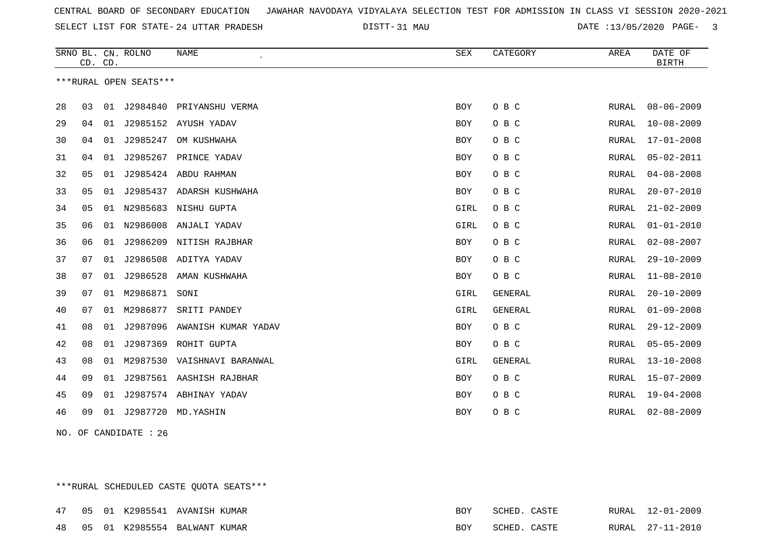SELECT LIST FOR STATE- DISTT- 24 UTTAR PRADESH

31 MAU DATE :13/05/2020 PAGE- 3

|    | CD. | CD. | SRNO BL. CN. ROLNO     | <b>NAME</b>            | <b>SEX</b> | CATEGORY       | AREA         | DATE OF<br><b>BIRTH</b> |
|----|-----|-----|------------------------|------------------------|------------|----------------|--------------|-------------------------|
|    |     |     | ***RURAL OPEN SEATS*** |                        |            |                |              |                         |
| 28 | 03  | 01  | J2984840               | PRIYANSHU VERMA        | BOY        | O B C          | RURAL        | $08 - 06 - 2009$        |
| 29 | 04  | 01  |                        | J2985152 AYUSH YADAV   | <b>BOY</b> | O B C          | RURAL        | $10 - 08 - 2009$        |
| 30 | 04  | 01  | J2985247               | OM KUSHWAHA            | BOY        | O B C          | RURAL        | $17 - 01 - 2008$        |
| 31 | 04  | 01  | J2985267               | PRINCE YADAV           | BOY        | O B C          | RURAL        | $05 - 02 - 2011$        |
| 32 | 05  | 01  |                        | J2985424 ABDU RAHMAN   | <b>BOY</b> | O B C          | RURAL        | $04 - 08 - 2008$        |
| 33 | 05  | 01  | J2985437               | ADARSH KUSHWAHA        | <b>BOY</b> | O B C          | RURAL        | $20 - 07 - 2010$        |
| 34 | 05  | 01  | N2985683               | NISHU GUPTA            | GIRL       | O B C          | RURAL        | $21 - 02 - 2009$        |
| 35 | 06  | 01  | N2986008               | ANJALI YADAV           | GIRL       | O B C          | RURAL        | $01 - 01 - 2010$        |
| 36 | 06  | 01  | J2986209               | NITISH RAJBHAR         | BOY        | O B C          | RURAL        | $02 - 08 - 2007$        |
| 37 | 07  | 01  | J2986508               | ADITYA YADAV           | <b>BOY</b> | O B C          | RURAL        | $29 - 10 - 2009$        |
| 38 | 07  | 01  | J2986528               | AMAN KUSHWAHA          | BOY        | O B C          | RURAL        | $11 - 08 - 2010$        |
| 39 | 07  | 01  | M2986871 SONI          |                        | GIRL       | GENERAL        | RURAL        | $20 - 10 - 2009$        |
| 40 | 07  | 01  | M2986877               | SRITI PANDEY           | GIRL       | <b>GENERAL</b> | RURAL        | $01 - 09 - 2008$        |
| 41 | 08  | 01  | J2987096               | AWANISH KUMAR YADAV    | BOY        | O B C          | RURAL        | $29 - 12 - 2009$        |
| 42 | 08  | 01  | J2987369               | ROHIT GUPTA            | BOY        | O B C          | RURAL        | $05 - 05 - 2009$        |
| 43 | 08  | 01  | M2987530               | VAISHNAVI BARANWAL     | GIRL       | GENERAL        | <b>RURAL</b> | $13 - 10 - 2008$        |
| 44 | 09  | 01  | J2987561               | AASHISH RAJBHAR        | BOY        | O B C          | RURAL        | $15 - 07 - 2009$        |
| 45 | 09  | 01  |                        | J2987574 ABHINAY YADAV | <b>BOY</b> | O B C          | RURAL        | $19 - 04 - 2008$        |
| 46 | 09  | 01  | J2987720               | MD.YASHIN              | BOY        | O B C          | RURAL        | $02 - 08 - 2009$        |

NO. OF CANDIDATE : 26

\*\*\*RURAL SCHEDULED CASTE QUOTA SEATS\*\*\*

|  |  | 47 05 01 K2985541 AVANISH KUMAR | BOY | SCHED. CASTE | RURAL 12-01-2009 |
|--|--|---------------------------------|-----|--------------|------------------|
|  |  | 48 05 01 K2985554 BALWANT KUMAR | BOY | SCHED. CASTE | RURAL 27-11-2010 |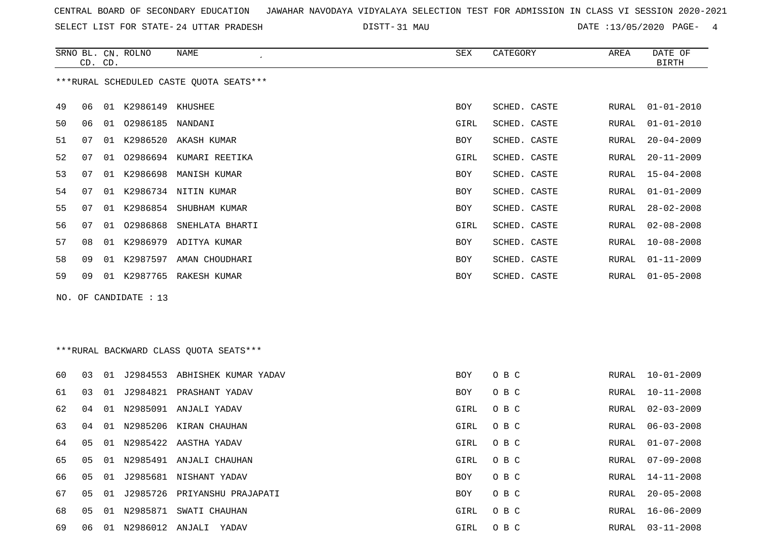SELECT LIST FOR STATE- DISTT- 24 UTTAR PRADESH

DISTT-31 MAU 2020 DATE :13/05/2020 PAGE- 4

|     |    | CD. CD. | SRNO BL. CN. ROLNO  | <b>NAME</b>                             | <b>SEX</b> | CATEGORY     | AREA  | DATE OF<br><b>BIRTH</b> |
|-----|----|---------|---------------------|-----------------------------------------|------------|--------------|-------|-------------------------|
|     |    |         |                     | ***RURAL SCHEDULED CASTE OUOTA SEATS*** |            |              |       |                         |
| 49  | 06 |         | 01 K2986149 KHUSHEE |                                         | BOY        | SCHED. CASTE | RURAL | $01 - 01 - 2010$        |
| 50  | 06 | 01      | 02986185 NANDANI    |                                         | GIRL       | SCHED. CASTE | RURAL | $01 - 01 - 2010$        |
| 51  | 07 |         |                     | 01 K2986520 AKASH KUMAR                 | BOY        | SCHED. CASTE | RURAL | $20 - 04 - 2009$        |
| 52  | 07 | 01      |                     | 02986694 KUMARI REETIKA                 | GIRL       | SCHED. CASTE | RURAL | $20 - 11 - 2009$        |
| 53  | 07 | 01      |                     | K2986698 MANISH KUMAR                   | BOY        | SCHED. CASTE | RURAL | $15 - 04 - 2008$        |
| 54  | 07 |         |                     | 01 K2986734 NITIN KUMAR                 | <b>BOY</b> | SCHED. CASTE | RURAL | $01 - 01 - 2009$        |
| 55  | 07 | 01      | K2986854            | SHUBHAM KUMAR                           | <b>BOY</b> | SCHED. CASTE | RURAL | $28 - 02 - 2008$        |
| 56  | 07 | 01      | 02986868            | SNEHLATA BHARTI                         | GIRL       | SCHED. CASTE | RURAL | $02 - 08 - 2008$        |
| 57  | 08 |         |                     | 01 K2986979 ADITYA KUMAR                | BOY        | SCHED. CASTE | RURAL | $10 - 08 - 2008$        |
| 58  | 09 | 01      |                     | K2987597 AMAN CHOUDHARI                 | BOY        | SCHED. CASTE | RURAL | $01 - 11 - 2009$        |
| 59  | 09 |         |                     | 01 K2987765 RAKESH KUMAR                | <b>BOY</b> | SCHED. CASTE | RURAL | $01 - 05 - 2008$        |
| NO. |    |         | OF CANDIDATE : 13   |                                         |            |              |       |                         |
|     |    |         |                     |                                         |            |              |       |                         |
|     |    |         |                     |                                         |            |              |       |                         |
|     |    |         |                     | *** RURAL BACKWARD CLASS QUOTA SEATS*** |            |              |       |                         |
| 60  | 03 |         |                     | 01 J2984553 ABHISHEK KUMAR YADAV        | BOY        | O B C        | RURAL | $10 - 01 - 2009$        |
| 61  | 03 |         |                     | 01 J2984821 PRASHANT YADAV              | BOY        | O B C        | RURAL | $10 - 11 - 2008$        |
| 62  | 04 |         |                     | 01 N2985091 ANJALI YADAV                | GIRL       | O B C        | RURAL | $02 - 03 - 2009$        |

| 60 | 03 |     |          | 01 J2984553 ABHISHEK KUMAR YADAV | <b>BOY</b> | O B C | RURAL | 10-01-2009       |
|----|----|-----|----------|----------------------------------|------------|-------|-------|------------------|
| 61 | 03 | 01  |          | J2984821 PRASHANT YADAV          | BOY        | O B C | RURAL | $10 - 11 - 2008$ |
| 62 | 04 | 01  |          | N2985091 ANJALI YADAV            | GIRL       | O B C | RURAL | 02-03-2009       |
| 63 | 04 | 01  |          | N2985206 KIRAN CHAUHAN           | GIRL       | O B C | RURAL | 06-03-2008       |
| 64 | 05 | 01  |          | N2985422 AASTHA YADAV            | GIRL       | O B C | RURAL | $01 - 07 - 2008$ |
| 65 | 05 | O 1 | N2985491 | ANJALI CHAUHAN                   | GIRL       | O B C | RURAL | $07 - 09 - 2008$ |
| 66 | 05 |     |          | 01 J2985681 NISHANT YADAV        | BOY        | O B C | RURAL | 14-11-2008       |
| 67 | 05 |     |          | 01 J2985726 PRIYANSHU PRAJAPATI  | BOY        | O B C | RURAL | $20 - 05 - 2008$ |
| 68 | 05 | 01  | N2985871 | SWATI CHAUHAN                    | GIRL       | O B C | RURAL | 16-06-2009       |
| 69 | 06 | 01  | N2986012 | ANJALI<br>YADAV                  | GIRL       | O B C | RURAL | 03-11-2008       |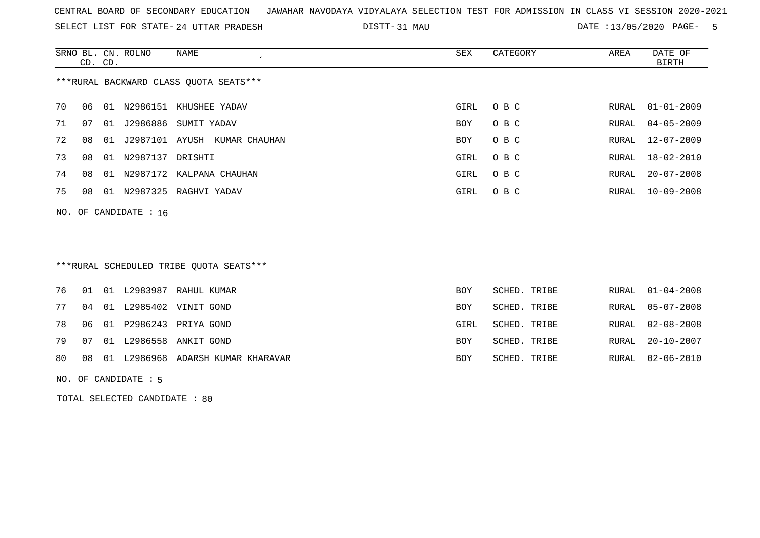SELECT LIST FOR STATE- DISTT- 24 UTTAR PRADESH

31 MAU DATE :13/05/2020 PAGE- 5

|    | CD. CD.                                |    | SRNO BL. CN. ROLNO      | NAME                            | SEX        | CATEGORY | AREA  | DATE OF<br>BIRTH |  |  |
|----|----------------------------------------|----|-------------------------|---------------------------------|------------|----------|-------|------------------|--|--|
|    | ***RURAL BACKWARD CLASS OUOTA SEATS*** |    |                         |                                 |            |          |       |                  |  |  |
| 70 | 06                                     |    |                         | 01 N2986151 KHUSHEE YADAV       | GIRL       | O B C    | RURAL | $01 - 01 - 2009$ |  |  |
| 71 | 07                                     | 01 |                         | J2986886 SUMIT YADAV            | <b>BOY</b> | O B C    |       | RURAL 04-05-2009 |  |  |
| 72 | 08                                     |    |                         | 01 J2987101 AYUSH KUMAR CHAUHAN | BOY        | O B C    |       | RURAL 12-07-2009 |  |  |
| 73 | 08                                     |    | 01 N2987137 DRISHTI     |                                 | GIRL       | O B C    |       | RURAL 18-02-2010 |  |  |
| 74 | 08                                     |    |                         | 01 N2987172 KALPANA CHAUHAN     | GIRL       | O B C    | RURAL | $20 - 07 - 2008$ |  |  |
| 75 | 08                                     |    |                         | 01 N2987325 RAGHVI YADAV        | GIRL       | O B C    | RURAL | 10-09-2008       |  |  |
|    |                                        |    | NO. OF CANDIDATE : $16$ |                                 |            |          |       |                  |  |  |

# \*\*\*RURAL SCHEDULED TRIBE QUOTA SEATS\*\*\*

|  |  | 76 01 01 L2983987 RAHUL KUMAR           | <b>BOY</b> | SCHED. TRIBE | RURAL 01-04-2008 |
|--|--|-----------------------------------------|------------|--------------|------------------|
|  |  | 77 04 01 L2985402 VINIT GOND            | BOY        | SCHED. TRIBE | RURAL 05-07-2008 |
|  |  | 78 06 01 P2986243 PRIYA GOND            | GIRL       | SCHED. TRIBE | RURAL 02-08-2008 |
|  |  | 79 07 01 L2986558 ANKIT GOND            | BOY        | SCHED. TRIBE | RURAL 20-10-2007 |
|  |  | 80 08 01 L2986968 ADARSH KUMAR KHARAVAR | BOY        | SCHED. TRIBE | RURAL 02-06-2010 |

#### NO. OF CANDIDATE : 5

TOTAL SELECTED CANDIDATE : 80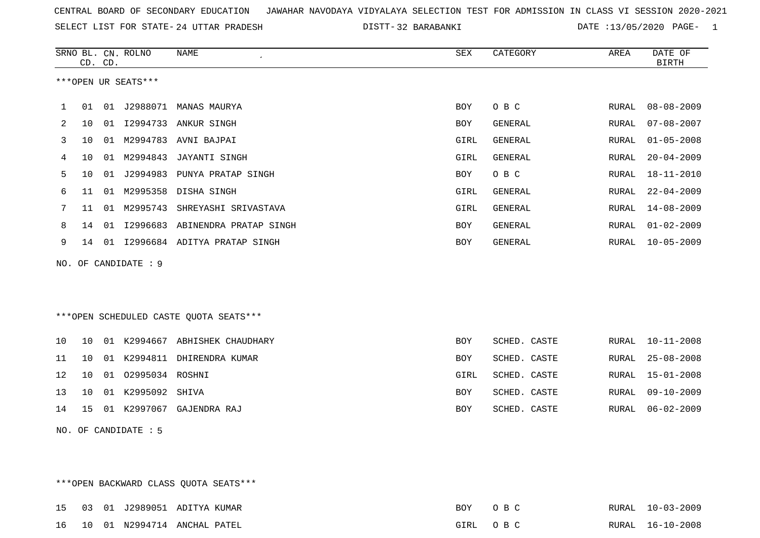SELECT LIST FOR STATE- DISTT- 24 UTTAR PRADESH

32 BARABANKI DATE :13/05/2020 PAGE- 1

|    |    | CD. CD. | SRNO BL. CN. ROLNO   | <b>NAME</b>                            | ${\tt SEX}$ | CATEGORY       | AREA  | DATE OF<br><b>BIRTH</b> |
|----|----|---------|----------------------|----------------------------------------|-------------|----------------|-------|-------------------------|
|    |    |         | ***OPEN UR SEATS***  |                                        |             |                |       |                         |
| 1  | 01 |         |                      | 01 J2988071 MANAS MAURYA               | BOY         | O B C          | RURAL | $08 - 08 - 2009$        |
| 2  | 10 | 01      | I2994733             | ANKUR SINGH                            | <b>BOY</b>  | GENERAL        | RURAL | $07 - 08 - 2007$        |
| 3  | 10 | 01      | M2994783             | AVNI BAJPAI                            | GIRL        | <b>GENERAL</b> | RURAL | $01 - 05 - 2008$        |
| 4  | 10 |         | 01 M2994843          | JAYANTI SINGH                          | GIRL        | <b>GENERAL</b> | RURAL | $20 - 04 - 2009$        |
| 5  | 10 | 01      | J2994983             | PUNYA PRATAP SINGH                     | BOY         | O B C          | RURAL | $18 - 11 - 2010$        |
| 6  | 11 | 01      | M2995358             | DISHA SINGH                            | GIRL        | <b>GENERAL</b> | RURAL | $22 - 04 - 2009$        |
| 7  | 11 | 01      | M2995743             | SHREYASHI SRIVASTAVA                   | GIRL        | GENERAL        | RURAL | $14 - 08 - 2009$        |
| 8  | 14 |         |                      | 01 I2996683 ABINENDRA PRATAP SINGH     | BOY         | GENERAL        | RURAL | $01 - 02 - 2009$        |
| 9  | 14 |         |                      | 01 I2996684 ADITYA PRATAP SINGH        | BOY         | GENERAL        | RURAL | $10 - 05 - 2009$        |
|    |    |         | NO. OF CANDIDATE : 9 |                                        |             |                |       |                         |
|    |    |         |                      |                                        |             |                |       |                         |
|    |    |         |                      |                                        |             |                |       |                         |
|    |    |         |                      | ***OPEN SCHEDULED CASTE QUOTA SEATS*** |             |                |       |                         |
| 10 | 10 |         |                      | 01 K2994667 ABHISHEK CHAUDHARY         | BOY         | SCHED. CASTE   | RURAL | $10 - 11 - 2008$        |
| 11 | 10 |         |                      | 01 K2994811 DHIRENDRA KUMAR            | BOY         | SCHED. CASTE   | RURAL | $25 - 08 - 2008$        |
| 12 | 10 |         | 01 02995034 ROSHNI   |                                        | GIRL        | SCHED. CASTE   | RURAL | $15 - 01 - 2008$        |
| 13 | 10 | 01      | K2995092             | SHIVA                                  | BOY         | SCHED. CASTE   | RURAL | $09 - 10 - 2009$        |
| 14 | 15 |         |                      | 01 K2997067 GAJENDRA RAJ               | BOY         | SCHED. CASTE   | RURAL | $06 - 02 - 2009$        |
|    |    |         | NO. OF CANDIDATE : 5 |                                        |             |                |       |                         |

\*\*\*OPEN BACKWARD CLASS QUOTA SEATS\*\*\* 15 03 01 J2989051 ADITYA KUMAR BOY O B C RURAL 10-03-2009 16 10 01 N2994714 ANCHAL PATEL GIRL O B C RURAL 16-10-2008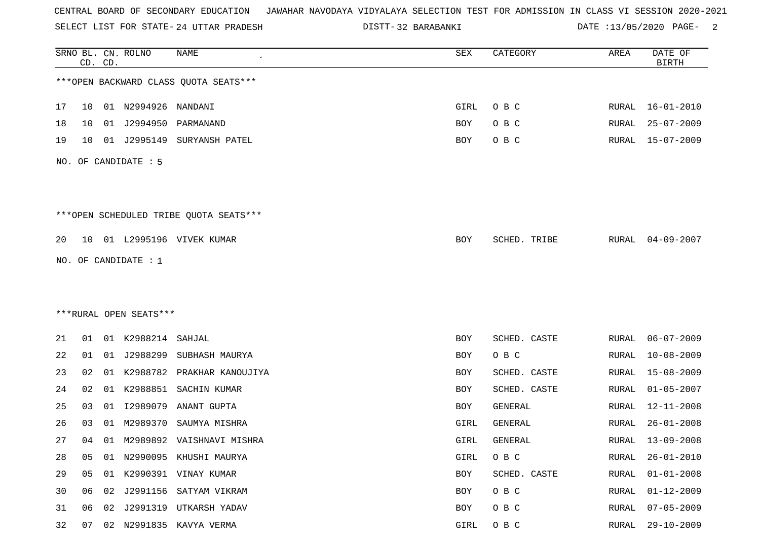SELECT LIST FOR STATE- DISTT- 24 UTTAR PRADESH

32 BARABANKI DATE :13/05/2020 PAGE- 2

|    |    | CD. CD. | SRNO BL. CN. ROLNO     | <b>NAME</b>                            | SEX  | CATEGORY     | AREA  | DATE OF<br><b>BIRTH</b> |
|----|----|---------|------------------------|----------------------------------------|------|--------------|-------|-------------------------|
|    |    |         |                        | *** OPEN BACKWARD CLASS QUOTA SEATS*** |      |              |       |                         |
| 17 | 10 |         | 01 N2994926 NANDANI    |                                        | GIRL | O B C        | RURAL | $16 - 01 - 2010$        |
| 18 | 10 | 01      | J2994950               | PARMANAND                              | BOY  | O B C        | RURAL | $25 - 07 - 2009$        |
| 19 | 10 | 01      | J2995149               | SURYANSH PATEL                         | BOY  | O B C        | RURAL | $15 - 07 - 2009$        |
|    |    |         | NO. OF CANDIDATE : 5   |                                        |      |              |       |                         |
|    |    |         |                        | ***OPEN SCHEDULED TRIBE QUOTA SEATS*** |      |              |       |                         |
| 20 | 10 |         |                        | 01 L2995196 VIVEK KUMAR                | BOY  | SCHED. TRIBE | RURAL | $04 - 09 - 2007$        |
|    |    |         | NO. OF CANDIDATE : $1$ |                                        |      |              |       |                         |
|    |    |         |                        |                                        |      |              |       |                         |
|    |    |         |                        |                                        |      |              |       |                         |
|    |    |         | ***RURAL OPEN SEATS*** |                                        |      |              |       |                         |
| 21 | 01 |         | 01 K2988214            | SAHJAL                                 | BOY  | SCHED. CASTE | RURAL | $06 - 07 - 2009$        |
| 22 | 01 |         | 01 J2988299            | SUBHASH MAURYA                         | BOY  | O B C        | RURAL | $10 - 08 - 2009$        |
| 23 | 02 | 01      | K2988782               | PRAKHAR KANOUJIYA                      | BOY  | SCHED. CASTE | RURAL | $15 - 08 - 2009$        |
| 24 | 02 | 01      | K2988851               | SACHIN KUMAR                           | BOY  | SCHED. CASTE | RURAL | $01 - 05 - 2007$        |
| 25 | 03 | 01      | I2989079               | ANANT GUPTA                            | BOY  | GENERAL      | RURAL | $12 - 11 - 2008$        |
| 26 | 03 | 01      | M2989370               | SAUMYA MISHRA                          | GIRL | GENERAL      | RURAL | $26 - 01 - 2008$        |
| 27 | 04 | 01      |                        | M2989892 VAISHNAVI MISHRA              | GIRL | GENERAL      | RURAL | $13 - 09 - 2008$        |
| 28 | 05 |         |                        | 01 N2990095 KHUSHI MAURYA              | GIRL | O B C        | RURAL | $26 - 01 - 2010$        |
| 29 | 05 |         |                        | 01 K2990391 VINAY KUMAR                | BOY  | SCHED. CASTE | RURAL | $01 - 01 - 2008$        |
| 30 | 06 |         |                        | 02 J2991156 SATYAM VIKRAM              | BOY  | O B C        | RURAL | $01 - 12 - 2009$        |
| 31 | 06 | 02      |                        | J2991319 UTKARSH YADAV                 | BOY  | O B C        | RURAL | $07 - 05 - 2009$        |
| 32 | 07 |         |                        | 02 N2991835 KAVYA VERMA                | GIRL | O B C        | RURAL | 29-10-2009              |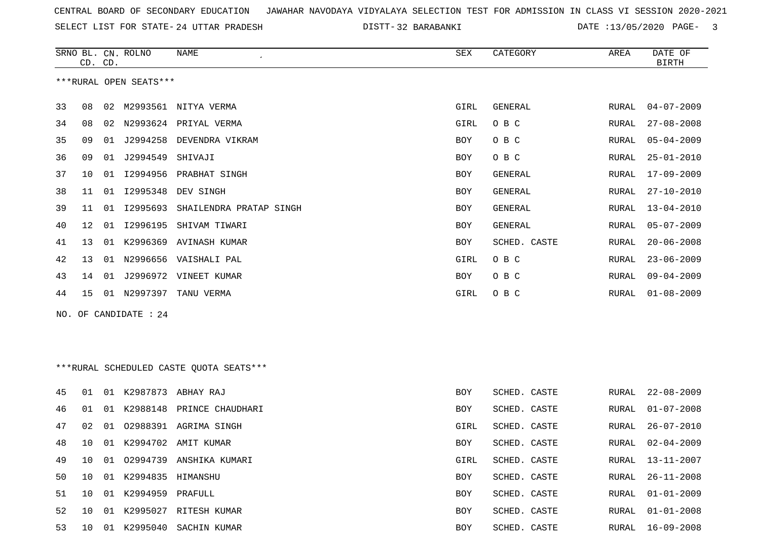SELECT LIST FOR STATE- DISTT- 24 UTTAR PRADESH

32 BARABANKI DATE :13/05/2020 PAGE- 3

|    | CD. CD. |    | SRNO BL. CN. ROLNO     | NAME                                    | SEX  | CATEGORY       | AREA         | DATE OF<br><b>BIRTH</b> |
|----|---------|----|------------------------|-----------------------------------------|------|----------------|--------------|-------------------------|
|    |         |    | ***RURAL OPEN SEATS*** |                                         |      |                |              |                         |
| 33 | 08      | 02 |                        | M2993561 NITYA VERMA                    | GIRL | <b>GENERAL</b> | RURAL        | $04 - 07 - 2009$        |
| 34 | 08      |    |                        | 02 N2993624 PRIYAL VERMA                | GIRL | O B C          | RURAL        | $27 - 08 - 2008$        |
| 35 | 09      | 01 | J2994258               | DEVENDRA VIKRAM                         | BOY  | O B C          | RURAL        | $05 - 04 - 2009$        |
| 36 | 09      | 01 | J2994549               | SHIVAJI                                 | BOY  | O B C          | RURAL        | $25 - 01 - 2010$        |
| 37 | 10      | 01 | I2994956               | PRABHAT SINGH                           | BOY  | <b>GENERAL</b> | <b>RURAL</b> | $17 - 09 - 2009$        |
| 38 | 11      | 01 | I2995348               | DEV SINGH                               | BOY  | <b>GENERAL</b> | RURAL        | $27 - 10 - 2010$        |
| 39 | 11      | 01 | I2995693               | SHAILENDRA PRATAP SINGH                 | BOY  | <b>GENERAL</b> | RURAL        | $13 - 04 - 2010$        |
| 40 | 12      | 01 | I2996195               | SHIVAM TIWARI                           | BOY  | GENERAL        | RURAL        | $05 - 07 - 2009$        |
| 41 | 13      |    |                        | 01 K2996369 AVINASH KUMAR               | BOY  | SCHED. CASTE   | RURAL        | $20 - 06 - 2008$        |
| 42 | 13      |    |                        | 01 N2996656 VAISHALI PAL                | GIRL | O B C          | RURAL        | $23 - 06 - 2009$        |
| 43 | 14      | 01 |                        | J2996972 VINEET KUMAR                   | BOY  | O B C          | RURAL        | $09 - 04 - 2009$        |
| 44 | 15      | 01 | N2997397               | TANU VERMA                              | GIRL | O B C          | RURAL        | $01 - 08 - 2009$        |
|    |         |    | NO. OF CANDIDATE : 24  |                                         |      |                |              |                         |
|    |         |    |                        |                                         |      |                |              |                         |
|    |         |    |                        |                                         |      |                |              |                         |
|    |         |    |                        | ***RURAL SCHEDULED CASTE QUOTA SEATS*** |      |                |              |                         |
| 45 | 01      |    |                        | 01 K2987873 ABHAY RAJ                   | BOY  | SCHED. CASTE   | RURAL        | $22 - 08 - 2009$        |
| 46 | 01      | 01 |                        | K2988148 PRINCE CHAUDHARI               | BOY  | SCHED. CASTE   | RURAL        | $01 - 07 - 2008$        |
| 47 | 02      | 01 |                        | 02988391 AGRIMA SINGH                   | GIRL | SCHED. CASTE   | RURAL        | $26 - 07 - 2010$        |
| 48 | 10      |    |                        | 01 K2994702 AMIT KUMAR                  | BOY  | SCHED. CASTE   | RURAL        | $02 - 04 - 2009$        |
| 49 | 10      | 01 |                        | 02994739 ANSHIKA KUMARI                 | GIRL | SCHED. CASTE   | RURAL        | $13 - 11 - 2007$        |
| 50 | 10      | 01 | K2994835 HIMANSHU      |                                         | BOY  | SCHED. CASTE   | RURAL        | $26 - 11 - 2008$        |
| 51 | 10      | 01 | K2994959               | PRAFULL                                 | BOY  | SCHED. CASTE   | RURAL        | $01 - 01 - 2009$        |
| 52 | 10      |    |                        | 01 K2995027 RITESH KUMAR                | BOY  | SCHED. CASTE   | RURAL        | $01 - 01 - 2008$        |
| 53 | 10      |    |                        | 01 K2995040 SACHIN KUMAR                | BOY  | SCHED. CASTE   | RURAL        | $16 - 09 - 2008$        |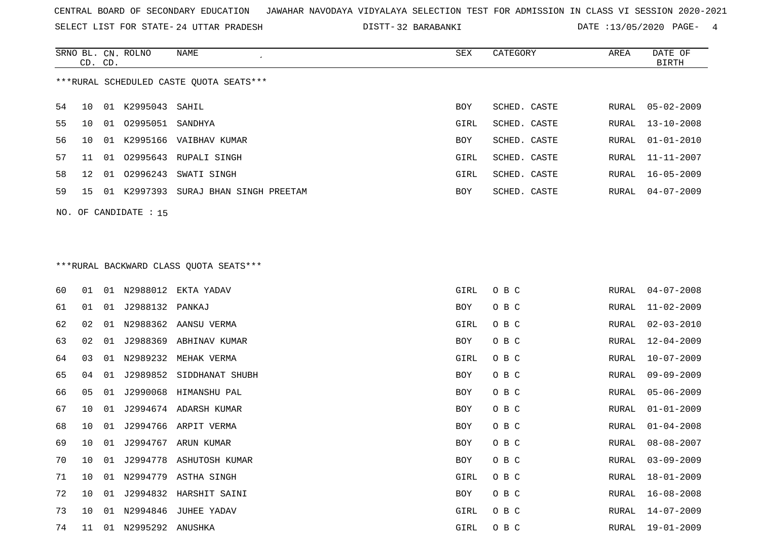SELECT LIST FOR STATE- DISTT- 24 UTTAR PRADESH

32 BARABANKI DATE :13/05/2020 PAGE- 4

|    |                 |       | SRNO BL. CN. ROLNO | NAME                                    | SEX  | CATEGORY     | AREA  | DATE OF          |
|----|-----------------|-------|--------------------|-----------------------------------------|------|--------------|-------|------------------|
|    | CD. CD.         |       |                    |                                         |      |              |       | BIRTH            |
|    |                 |       |                    | ***RURAL SCHEDULED CASTE OUOTA SEATS*** |      |              |       |                  |
|    |                 |       |                    |                                         |      |              |       |                  |
| 54 | 10              | 01    | K2995043           | SAHIL                                   | BOY  | SCHED. CASTE | RURAL | 05-02-2009       |
| 55 | 10              | 01    | 02995051           | SANDHYA                                 | GIRL | SCHED. CASTE | RURAL | 13-10-2008       |
| 56 | 10 <sup>°</sup> | 01    | K2995166           | VAIBHAV KUMAR                           | BOY  | SCHED. CASTE | RURAL | $01 - 01 - 2010$ |
| 57 | 11              | 01    | 02995643           | RUPALI SINGH                            | GIRL | SCHED. CASTE | RURAL | 11-11-2007       |
| 58 | 12 <sup>°</sup> | 01    | 02996243           | SWATI SINGH                             | GIRL | SCHED. CASTE | RURAL | $16 - 05 - 2009$ |
| 59 | 15              | . N 1 | K2997393           | SURAJ BHAN SINGH PREETAM                | BOY  | SCHED. CASTE | RURAL | 04-07-2009       |
|    |                 |       |                    |                                         |      |              |       |                  |

\*\*\*RURAL BACKWARD CLASS QUOTA SEATS\*\*\*

NO. OF CANDIDATE : 15

| 60 | 01 | 01 |                     | N2988012 EKTA YADAV      | GIRL | O B C | RURAL | $04 - 07 - 2008$ |
|----|----|----|---------------------|--------------------------|------|-------|-------|------------------|
| 61 | 01 | 01 | J2988132 PANKAJ     |                          | BOY  | O B C | RURAL | $11 - 02 - 2009$ |
| 62 | 02 | 01 |                     | N2988362 AANSU VERMA     | GIRL | O B C | RURAL | $02 - 03 - 2010$ |
| 63 | 02 | 01 |                     | J2988369 ABHINAV KUMAR   | BOY  | O B C | RURAL | 12-04-2009       |
| 64 | 03 | 01 | N2989232            | MEHAK VERMA              | GIRL | O B C | RURAL | $10 - 07 - 2009$ |
| 65 | 04 | 01 |                     | J2989852 SIDDHANAT SHUBH | BOY  | O B C | RURAL | 09-09-2009       |
| 66 | 05 | 01 |                     | J2990068 HIMANSHU PAL    | BOY  | O B C | RURAL | $05 - 06 - 2009$ |
| 67 | 10 | 01 |                     | J2994674 ADARSH KUMAR    | BOY  | O B C | RURAL | $01 - 01 - 2009$ |
| 68 | 10 | 01 |                     | J2994766 ARPIT VERMA     | BOY  | O B C | RURAL | $01 - 04 - 2008$ |
| 69 | 10 | 01 | J2994767            | ARUN KUMAR               | BOY  | O B C | RURAL | $08 - 08 - 2007$ |
| 70 | 10 | 01 |                     | J2994778 ASHUTOSH KUMAR  | BOY  | O B C | RURAL | $03 - 09 - 2009$ |
| 71 | 10 |    |                     | 01 N2994779 ASTHA SINGH  | GIRL | O B C | RURAL | $18 - 01 - 2009$ |
| 72 | 10 | 01 |                     | J2994832 HARSHIT SAINI   | BOY  | O B C | RURAL | 16-08-2008       |
| 73 | 10 | 01 | N2994846            | JUHEE YADAV              | GIRL | O B C | RURAL | 14-07-2009       |
| 74 | 11 |    | 01 N2995292 ANUSHKA |                          | GIRL | O B C | RURAL | 19-01-2009       |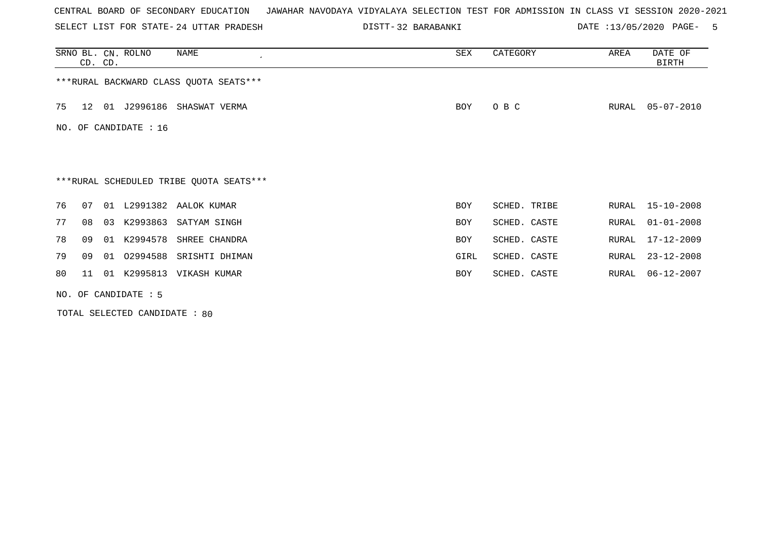SELECT LIST FOR STATE- DISTT- 24 UTTAR PRADESH

32 BARABANKI DATE :13/05/2020 PAGE- 5

|    |                                         | CD. CD. | SRNO BL. CN. ROLNO    | NAME                                   | <b>SEX</b> | CATEGORY     | AREA  | DATE OF<br>BIRTH |  |  |
|----|-----------------------------------------|---------|-----------------------|----------------------------------------|------------|--------------|-------|------------------|--|--|
|    |                                         |         |                       | ***RURAL BACKWARD CLASS QUOTA SEATS*** |            |              |       |                  |  |  |
| 75 | 12                                      |         |                       | 01 J2996186 SHASWAT VERMA              | BOY        | O B C        | RURAL | $05 - 07 - 2010$ |  |  |
|    |                                         |         | NO. OF CANDIDATE : 16 |                                        |            |              |       |                  |  |  |
|    |                                         |         |                       |                                        |            |              |       |                  |  |  |
|    | ***RURAL SCHEDULED TRIBE QUOTA SEATS*** |         |                       |                                        |            |              |       |                  |  |  |
| 76 | 07                                      |         |                       | 01 L2991382 AALOK KUMAR                | <b>BOY</b> | SCHED. TRIBE | RURAL | $15 - 10 - 2008$ |  |  |
| 77 | 08                                      |         | 03 K2993863           | SATYAM SINGH                           | <b>BOY</b> | SCHED. CASTE | RURAL | $01 - 01 - 2008$ |  |  |
| 78 | 09                                      |         | 01 K2994578           | SHREE CHANDRA                          | <b>BOY</b> | SCHED. CASTE | RURAL | 17-12-2009       |  |  |
| 79 | 09                                      |         |                       | 01 02994588 SRISHTI DHIMAN             | GIRL       | SCHED. CASTE | RURAL | $23 - 12 - 2008$ |  |  |
| 80 | 11                                      |         | 01 K2995813           | VIKASH KUMAR                           | <b>BOY</b> | SCHED. CASTE | RURAL | $06 - 12 - 2007$ |  |  |
|    |                                         |         | NO. OF CANDIDATE : 5  |                                        |            |              |       |                  |  |  |

TOTAL SELECTED CANDIDATE : 80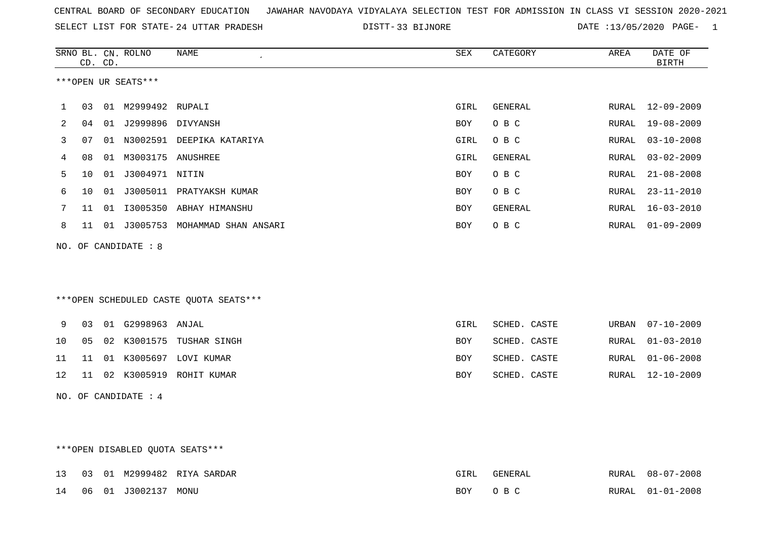| CENTRAL BOARD OF SECONDARY EDUCATION GUNAHAR NAVODAYA VIDYALAYA SELECTION TEST FOR ADMISSION IN CLASS VI SESSION 2020-2021 |  |  |  |
|----------------------------------------------------------------------------------------------------------------------------|--|--|--|
|----------------------------------------------------------------------------------------------------------------------------|--|--|--|

SELECT LIST FOR STATE- DISTT- 24 UTTAR PRADESH 33 BIJNORE DATE :13/05/2020 PAGE- 1

|              |    | CD. CD. | SRNO BL. CN. ROLNO   | NAME                                   | SEX        | CATEGORY     | AREA  | DATE OF<br><b>BIRTH</b> |
|--------------|----|---------|----------------------|----------------------------------------|------------|--------------|-------|-------------------------|
|              |    |         | ***OPEN UR SEATS***  |                                        |            |              |       |                         |
| $\mathbf{1}$ | 03 |         | 01 M2999492 RUPALI   |                                        | GIRL       | GENERAL      |       | RURAL 12-09-2009        |
| 2            | 04 | 01      | J2999896 DIVYANSH    |                                        | <b>BOY</b> | O B C        | RURAL | $19 - 08 - 2009$        |
| 3            | 07 |         |                      | 01 N3002591 DEEPIKA KATARIYA           | GIRL       | O B C        | RURAL | $03 - 10 - 2008$        |
| 4            | 08 | 01      | M3003175 ANUSHREE    |                                        | GIRL       | GENERAL      | RURAL | $03 - 02 - 2009$        |
| 5            | 10 |         | 01 J3004971 NITIN    |                                        | <b>BOY</b> | O B C        | RURAL | $21 - 08 - 2008$        |
| 6            | 10 | 01      |                      | J3005011 PRATYAKSH KUMAR               | <b>BOY</b> | O B C        | RURAL | $23 - 11 - 2010$        |
| 7            | 11 | 01      | I3005350             | ABHAY HIMANSHU                         | <b>BOY</b> | GENERAL      | RURAL | $16 - 03 - 2010$        |
| 8            | 11 |         |                      | 01 J3005753 MOHAMMAD SHAN ANSARI       | <b>BOY</b> | O B C        | RURAL | $01 - 09 - 2009$        |
| NO.          |    |         | OF CANDIDATE : 8     |                                        |            |              |       |                         |
|              |    |         |                      |                                        |            |              |       |                         |
|              |    |         |                      | ***OPEN SCHEDULED CASTE QUOTA SEATS*** |            |              |       |                         |
| 9            | 03 |         | 01 G2998963          | ANJAL                                  | GIRL       | SCHED. CASTE | URBAN | $07 - 10 - 2009$        |
| 10           | 05 | 02      | K3001575             | TUSHAR SINGH                           | <b>BOY</b> | SCHED. CASTE | RURAL | $01 - 03 - 2010$        |
| 11           | 11 | 01      |                      | K3005697 LOVI KUMAR                    | <b>BOY</b> | SCHED. CASTE | RURAL | $01 - 06 - 2008$        |
| 12           | 11 | 02      | K3005919             | ROHIT KUMAR                            | <b>BOY</b> | SCHED. CASTE | RURAL | $12 - 10 - 2009$        |
|              |    |         | NO. OF CANDIDATE : 4 |                                        |            |              |       |                         |

## \*\*\*OPEN DISABLED QUOTA SEATS\*\*\*

|  |                        | 13 03 01 M2999482 RIYA SARDAR |     | FENERAL | <b>RURAL</b> | 08-07-2008       |
|--|------------------------|-------------------------------|-----|---------|--------------|------------------|
|  | 14 06 01 J3002137 MONU |                               | BOY |         |              | RURAL 01-01-2008 |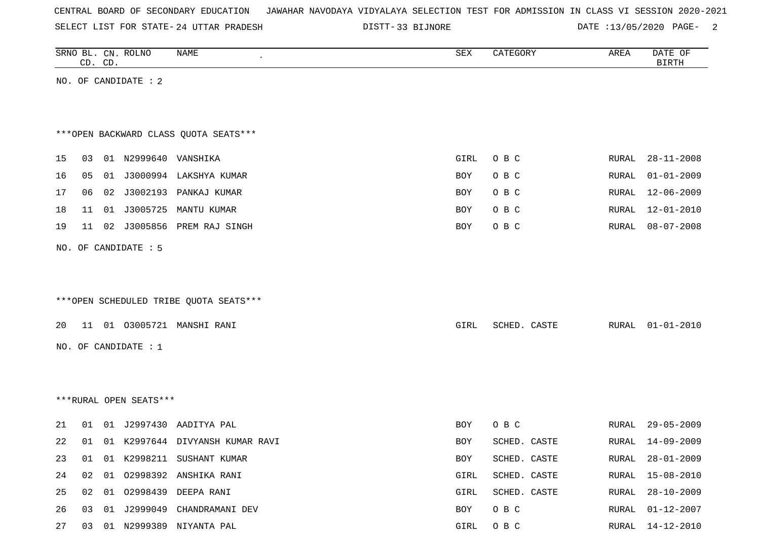|  |  |  |  | CENTRAL BOARD OF SECONDARY EDUCATION – JAWAHAR NAVODAYA VIDYALAYA SELECTION TEST FOR ADMISSION IN CLASS VI SESSION 2020-2021 |  |  |  |  |  |  |  |  |  |  |  |  |  |  |
|--|--|--|--|------------------------------------------------------------------------------------------------------------------------------|--|--|--|--|--|--|--|--|--|--|--|--|--|--|
|--|--|--|--|------------------------------------------------------------------------------------------------------------------------------|--|--|--|--|--|--|--|--|--|--|--|--|--|--|

SELECT LIST FOR STATE- DISTT- 24 UTTAR PRADESH

DISTT-33 BIJNORE DATE :13/05/2020 PAGE- 2

|    |    | CD. CD. | SRNO BL. CN. ROLNO     | NAME                                   | ${\tt SEX}$ | CATEGORY     | AREA  | DATE OF<br><b>BIRTH</b> |
|----|----|---------|------------------------|----------------------------------------|-------------|--------------|-------|-------------------------|
|    |    |         | NO. OF CANDIDATE : 2   |                                        |             |              |       |                         |
|    |    |         |                        |                                        |             |              |       |                         |
|    |    |         |                        |                                        |             |              |       |                         |
|    |    |         |                        | *** OPEN BACKWARD CLASS QUOTA SEATS*** |             |              |       |                         |
| 15 | 03 |         | 01 N2999640 VANSHIKA   |                                        | GIRL        | O B C        | RURAL | $28 - 11 - 2008$        |
| 16 | 05 |         |                        | 01 J3000994 LAKSHYA KUMAR              | BOY         | O B C        | RURAL | $01 - 01 - 2009$        |
| 17 | 06 |         |                        | 02 J3002193 PANKAJ KUMAR               | BOY         | O B C        | RURAL | $12 - 06 - 2009$        |
| 18 | 11 |         | 01 J3005725            | MANTU KUMAR                            | BOY         | O B C        | RURAL | $12 - 01 - 2010$        |
| 19 | 11 |         |                        | 02 J3005856 PREM RAJ SINGH             | BOY         | O B C        | RURAL | $08 - 07 - 2008$        |
|    |    |         |                        |                                        |             |              |       |                         |
|    |    |         | NO. OF CANDIDATE : 5   |                                        |             |              |       |                         |
|    |    |         |                        |                                        |             |              |       |                         |
|    |    |         |                        |                                        |             |              |       |                         |
|    |    |         |                        | ***OPEN SCHEDULED TRIBE QUOTA SEATS*** |             |              |       |                         |
| 20 |    |         |                        | 11 01 03005721 MANSHI RANI             | GIRL        | SCHED. CASTE | RURAL | $01 - 01 - 2010$        |
|    |    |         | NO. OF CANDIDATE : 1   |                                        |             |              |       |                         |
|    |    |         |                        |                                        |             |              |       |                         |
|    |    |         |                        |                                        |             |              |       |                         |
|    |    |         | ***RURAL OPEN SEATS*** |                                        |             |              |       |                         |
|    |    |         |                        |                                        |             |              |       |                         |
| 21 | 01 |         |                        | 01 J2997430 AADITYA PAL                | BOY         | O B C        | RURAL | $29 - 05 - 2009$        |
| 22 |    |         |                        | 01 01 K2997644 DIVYANSH KUMAR RAVI     | BOY         | SCHED. CASTE | RURAL | 14-09-2009              |
| 23 | 01 |         |                        | 01 K2998211 SUSHANT KUMAR              | BOY         | SCHED. CASTE | RURAL | $28 - 01 - 2009$        |
| 24 | 02 | 01      |                        | 02998392 ANSHIKA RANI                  | GIRL        | SCHED. CASTE | RURAL | $15 - 08 - 2010$        |
| 25 | 02 |         |                        | 01 02998439 DEEPA RANI                 | GIRL        | SCHED. CASTE | RURAL | $28 - 10 - 2009$        |
| 26 | 03 |         |                        | 01 J2999049 CHANDRAMANI DEV            | BOY         | O B C        | RURAL | $01 - 12 - 2007$        |
| 27 |    |         |                        | 03 01 N2999389 NIYANTA PAL             | GIRL        | O B C        | RURAL | 14-12-2010              |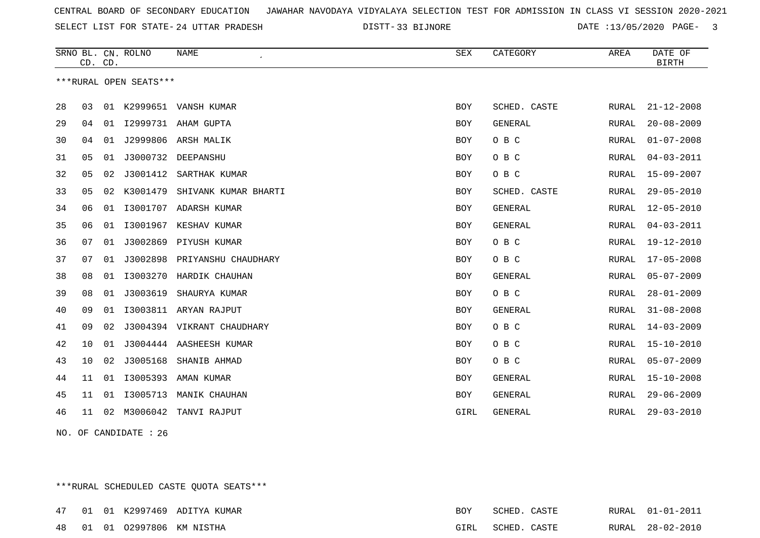SELECT LIST FOR STATE- DISTT- 24 UTTAR PRADESH

33 BIJNORE DATE :13/05/2020 PAGE- 3

|    | CD. CD. |    | SRNO BL. CN. ROLNO     | <b>NAME</b>                | SEX        | CATEGORY       | AREA         | DATE OF<br><b>BIRTH</b> |
|----|---------|----|------------------------|----------------------------|------------|----------------|--------------|-------------------------|
|    |         |    | ***RURAL OPEN SEATS*** |                            |            |                |              |                         |
| 28 | 03      |    |                        | 01 K2999651 VANSH KUMAR    | <b>BOY</b> | SCHED. CASTE   | RURAL        | $21 - 12 - 2008$        |
| 29 | 04      |    |                        | 01 I2999731 AHAM GUPTA     | <b>BOY</b> | <b>GENERAL</b> | RURAL        | $20 - 08 - 2009$        |
| 30 | 04      | 01 | J2999806               | ARSH MALIK                 | <b>BOY</b> | O B C          | RURAL        | $01 - 07 - 2008$        |
| 31 | 05      | 01 | J3000732               | DEEPANSHU                  | BOY        | O B C          | RURAL        | $04 - 03 - 2011$        |
| 32 | 05      | 02 | J3001412               | SARTHAK KUMAR              | <b>BOY</b> | O B C          | RURAL        | $15 - 09 - 2007$        |
| 33 | 05      | 02 | K3001479               | SHIVANK KUMAR BHARTI       | <b>BOY</b> | SCHED. CASTE   | RURAL        | $29 - 05 - 2010$        |
| 34 | 06      | 01 | I3001707               | ADARSH KUMAR               | <b>BOY</b> | GENERAL        | <b>RURAL</b> | $12 - 05 - 2010$        |
| 35 | 06      | 01 |                        | I3001967 KESHAV KUMAR      | <b>BOY</b> | GENERAL        | RURAL        | $04 - 03 - 2011$        |
| 36 | 07      | 01 | J3002869               | PIYUSH KUMAR               | <b>BOY</b> | O B C          | RURAL        | 19-12-2010              |
| 37 | 07      | 01 | J3002898               | PRIYANSHU CHAUDHARY        | <b>BOY</b> | O B C          | RURAL        | $17 - 05 - 2008$        |
| 38 | 08      | 01 | I3003270               | HARDIK CHAUHAN             | <b>BOY</b> | <b>GENERAL</b> | RURAL        | $05 - 07 - 2009$        |
| 39 | 08      | 01 | J3003619               | SHAURYA KUMAR              | BOY        | O B C          | RURAL        | $28 - 01 - 2009$        |
| 40 | 09      | 01 |                        | I3003811 ARYAN RAJPUT      | <b>BOY</b> | <b>GENERAL</b> | RURAL        | $31 - 08 - 2008$        |
| 41 | 09      | 02 |                        | J3004394 VIKRANT CHAUDHARY | <b>BOY</b> | O B C          | RURAL        | $14 - 03 - 2009$        |
| 42 | 10      | 01 |                        | J3004444 AASHEESH KUMAR    | <b>BOY</b> | O B C          | RURAL        | $15 - 10 - 2010$        |
| 43 | 10      | 02 | J3005168               | SHANIB AHMAD               | <b>BOY</b> | O B C          | RURAL        | $05 - 07 - 2009$        |
| 44 | 11      | 01 | I3005393               | AMAN KUMAR                 | <b>BOY</b> | <b>GENERAL</b> | RURAL        | $15 - 10 - 2008$        |
| 45 | 11      | 01 | I3005713               | MANIK CHAUHAN              | <b>BOY</b> | <b>GENERAL</b> | RURAL        | $29 - 06 - 2009$        |
| 46 | 11      | 02 | M3006042               | TANVI RAJPUT               | GIRL       | GENERAL        | RURAL        | $29 - 03 - 2010$        |

NO. OF CANDIDATE : 26

\*\*\*RURAL SCHEDULED CASTE QUOTA SEATS\*\*\*

|  |  | 47 01 01 K2997469 ADITYA KUMAR | BOY | SCHED. CASTE      |  | RURAL 01-01-2011 |
|--|--|--------------------------------|-----|-------------------|--|------------------|
|  |  | 48 01 01 02997806 KM NISTHA    |     | GIRL SCHED. CASTE |  | RURAL 28-02-2010 |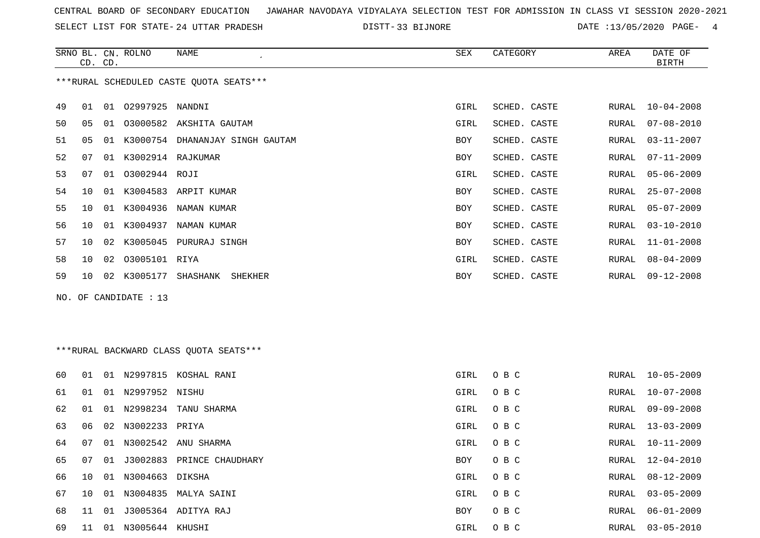SELECT LIST FOR STATE- DISTT- 24 UTTAR PRADESH

33 BIJNORE DATE :13/05/2020 PAGE- 4

|    | CD. CD. |    | SRNO BL. CN. ROLNO    | NAME                                    | SEX        | CATEGORY     | AREA  | DATE OF<br><b>BIRTH</b> |
|----|---------|----|-----------------------|-----------------------------------------|------------|--------------|-------|-------------------------|
|    |         |    |                       | ***RURAL SCHEDULED CASTE OUOTA SEATS*** |            |              |       |                         |
| 49 | 01      |    | 01 02997925 NANDNI    |                                         | GIRL       | SCHED. CASTE | RURAL | $10 - 04 - 2008$        |
| 50 | 05      | 01 |                       | 03000582 AKSHITA GAUTAM                 | GIRL       | SCHED. CASTE | RURAL | $07 - 08 - 2010$        |
| 51 | 05      |    |                       | 01 K3000754 DHANANJAY SINGH GAUTAM      | BOY        | SCHED. CASTE | RURAL | $03 - 11 - 2007$        |
| 52 | 07      |    | 01 K3002914 RAJKUMAR  |                                         | BOY        | SCHED. CASTE | RURAL | $07 - 11 - 2009$        |
| 53 | 07      |    | 01 03002944 ROJI      |                                         | GIRL       | SCHED. CASTE | RURAL | $05 - 06 - 2009$        |
| 54 | 10      |    |                       | 01 K3004583 ARPIT KUMAR                 | <b>BOY</b> | SCHED. CASTE | RURAL | $25 - 07 - 2008$        |
| 55 | 10      |    |                       | 01 K3004936 NAMAN KUMAR                 | BOY        | SCHED. CASTE | RURAL | $05 - 07 - 2009$        |
| 56 | 10      |    |                       | 01 K3004937 NAMAN KUMAR                 | BOY        | SCHED. CASTE | RURAL | $03 - 10 - 2010$        |
| 57 | 10      |    |                       | 02 K3005045 PURURAJ SINGH               | BOY        | SCHED. CASTE | RURAL | $11 - 01 - 2008$        |
| 58 | 10      | 02 | 03005101 RIYA         |                                         | GIRL       | SCHED. CASTE | RURAL | $08 - 04 - 2009$        |
| 59 | 10      |    | 02 K3005177 SHASHANK  | SHEKHER                                 | BOY        | SCHED. CASTE | RURAL | $09 - 12 - 2008$        |
|    |         |    | NO. OF CANDIDATE : 13 |                                         |            |              |       |                         |
|    |         |    |                       |                                         |            |              |       |                         |
|    |         |    |                       |                                         |            |              |       |                         |
|    |         |    |                       | *** RURAL BACKWARD CLASS QUOTA SEATS*** |            |              |       |                         |
| 60 | 01      |    |                       | 01 N2997815 KOSHAL RANI                 | GIRL       | O B C        | RURAL | $10 - 05 - 2009$        |
| 61 | 01      |    | 01 N2997952 NISHU     |                                         | GIRL       | O B C        | RURAL | $10 - 07 - 2008$        |
| 62 | 01      |    |                       | 01 N2998234 TANU SHARMA                 | GIRL       | O B C        | RURAL | $09 - 09 - 2008$        |
| 63 | 06      |    | 02 N3002233 PRIYA     |                                         | GIRL       | O B C        | RURAL | $13 - 03 - 2009$        |
| 64 | 07      |    |                       | 01 N3002542 ANU SHARMA                  | GIRL       | O B C        | RURAL | $10 - 11 - 2009$        |
| 65 | 07      |    |                       | 01 J3002883 PRINCE CHAUDHARY            | BOY        | O B C        | RURAL | 12-04-2010              |
|    |         |    |                       |                                         |            |              |       |                         |

66 10 01 N3004663 DIKSHA GIRL O B C RURAL 08-12-2009

67 10 01 N3004835 MALYA SAINI GIRL O B C 68 11 01 J3005364 ADITYA RAJ BOY O B C

69 11 01 N3005644 KHUSHI GIRL O B C RURAL 03-05-2010

RURAL 03-05-2009

RURAL 06-01-2009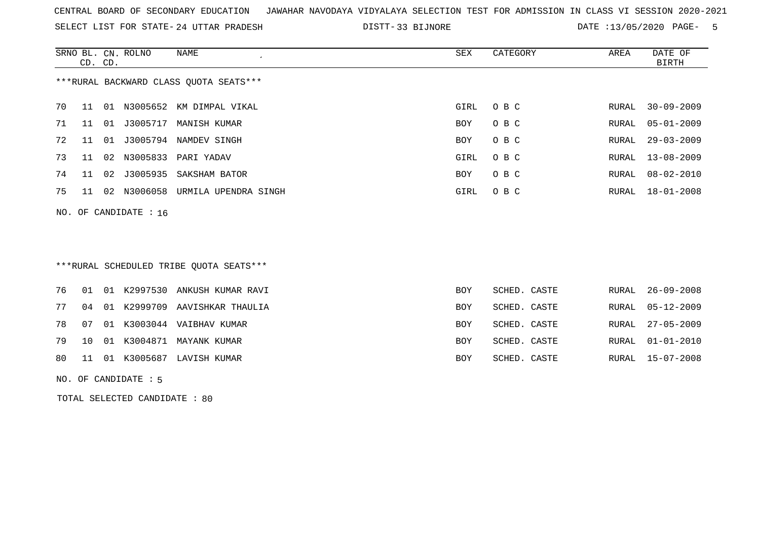SELECT LIST FOR STATE- DISTT- 24 UTTAR PRADESH

33 BIJNORE DATE :13/05/2020 PAGE- 5

|    | CD. CD. |    | SRNO BL. CN. ROLNO      | NAME                                   | SEX        | CATEGORY | AREA  | DATE OF<br>BIRTH |
|----|---------|----|-------------------------|----------------------------------------|------------|----------|-------|------------------|
|    |         |    |                         | ***RURAL BACKWARD CLASS QUOTA SEATS*** |            |          |       |                  |
| 70 | 11      |    |                         | 01 N3005652 KM DIMPAL VIKAL            | GIRL       | O B C    | RURAL | $30 - 09 - 2009$ |
| 71 | 11      | 01 | J3005717                | MANISH KUMAR                           | BOY        | O B C    | RURAL | $05 - 01 - 2009$ |
| 72 | -11     | 01 |                         | J3005794 NAMDEV SINGH                  | <b>BOY</b> | O B C    | RURAL | $29 - 03 - 2009$ |
| 73 | 11      |    |                         | 02 N3005833 PARI YADAV                 | GIRL       | O B C    | RURAL | 13-08-2009       |
| 74 | 11      | 02 |                         | J3005935 SAKSHAM BATOR                 | <b>BOY</b> | O B C    | RURAL | $08 - 02 - 2010$ |
| 75 | 11      |    |                         | 02 N3006058 URMILA UPENDRA SINGH       | GIRL       | O B C    | RURAL | 18-01-2008       |
|    |         |    | NO. OF CANDIDATE : $16$ |                                        |            |          |       |                  |

## \*\*\*RURAL SCHEDULED TRIBE QUOTA SEATS\*\*\*

|  |  | 76 01 01 K2997530 ANKUSH KUMAR RAVI | BOY        | SCHED. CASTE | RURAL 26-09-2008 |
|--|--|-------------------------------------|------------|--------------|------------------|
|  |  | 77 04 01 K2999709 AAVISHKAR THAULIA | BOY        | SCHED. CASTE | RURAL 05-12-2009 |
|  |  | 78  07  01  K3003044  VAIBHAV KUMAR | BOY        | SCHED. CASTE | RURAL 27-05-2009 |
|  |  | 79 10 01 K3004871 MAYANK KUMAR      | <b>BOY</b> | SCHED. CASTE | RURAL 01-01-2010 |
|  |  | 80 11 01 K3005687 LAVISH KUMAR      | BOY        | SCHED. CASTE | RURAL 15-07-2008 |
|  |  |                                     |            |              |                  |

NO. OF CANDIDATE : 5

TOTAL SELECTED CANDIDATE : 80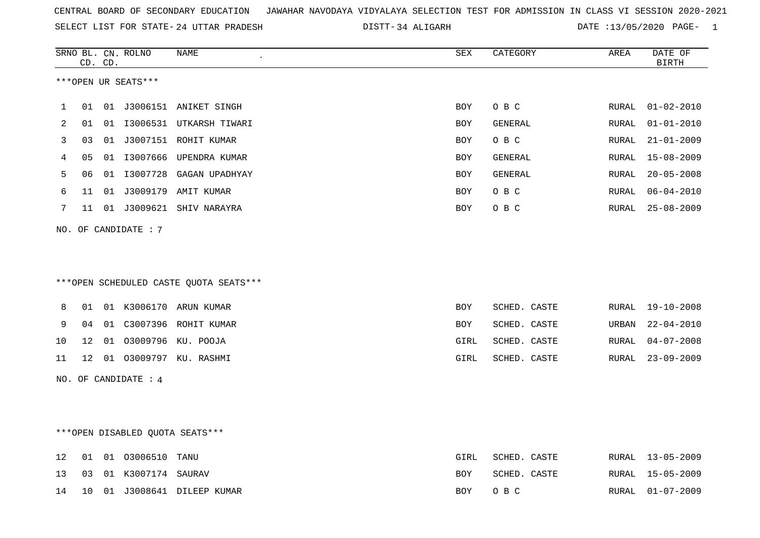|  |  |  |  | CENTRAL BOARD OF SECONDARY EDUCATION GJAWAHAR NAVODAYA VIDYALAYA SELECTION TEST FOR ADMISSION IN CLASS VI SESSION 2020-2021 |  |  |  |  |  |  |  |  |  |  |  |
|--|--|--|--|-----------------------------------------------------------------------------------------------------------------------------|--|--|--|--|--|--|--|--|--|--|--|
|--|--|--|--|-----------------------------------------------------------------------------------------------------------------------------|--|--|--|--|--|--|--|--|--|--|--|

SELECT LIST FOR STATE- DISTT- 24 UTTAR PRADESH 34 ALIGARH DATE :13/05/2020 PAGE- 1

|    |    | CD. CD. | SRNO BL. CN. ROLNO   | NAME<br>$\cdot$                        | SEX        | CATEGORY       | AREA          | DATE OF<br><b>BIRTH</b> |
|----|----|---------|----------------------|----------------------------------------|------------|----------------|---------------|-------------------------|
|    |    |         | ***OPEN UR SEATS***  |                                        |            |                |               |                         |
| 1  | 01 |         |                      | 01 J3006151 ANIKET SINGH               | <b>BOY</b> | O B C          | RURAL         | $01 - 02 - 2010$        |
| 2  | 01 |         |                      | 01 I3006531 UTKARSH TIWARI             | <b>BOY</b> | GENERAL        | ${\tt RURAL}$ | $01 - 01 - 2010$        |
| 3  | 03 |         |                      | 01 J3007151 ROHIT KUMAR                | BOY        | O B C          | RURAL         | $21 - 01 - 2009$        |
| 4  | 05 |         |                      | 01 I3007666 UPENDRA KUMAR              | <b>BOY</b> | GENERAL        | RURAL         | $15 - 08 - 2009$        |
| 5  | 06 |         |                      | 01 I3007728 GAGAN UPADHYAY             | <b>BOY</b> | <b>GENERAL</b> | RURAL         | $20 - 05 - 2008$        |
| 6  | 11 | 01      |                      | J3009179 AMIT KUMAR                    | BOY        | O B C          | ${\tt RURAL}$ | $06 - 04 - 2010$        |
| 7  | 11 |         |                      | 01 J3009621 SHIV NARAYRA               | BOY        | O B C          | RURAL         | $25 - 08 - 2009$        |
|    |    |         | NO. OF CANDIDATE : 7 |                                        |            |                |               |                         |
|    |    |         |                      |                                        |            |                |               |                         |
|    |    |         |                      |                                        |            |                |               |                         |
|    |    |         |                      | ***OPEN SCHEDULED CASTE QUOTA SEATS*** |            |                |               |                         |
| 8  | 01 |         |                      | 01 K3006170 ARUN KUMAR                 | <b>BOY</b> | SCHED. CASTE   | RURAL         | 19-10-2008              |
| 9  | 04 |         |                      | 01 C3007396 ROHIT KUMAR                | BOY        | SCHED. CASTE   | URBAN         | $22 - 04 - 2010$        |
| 10 | 12 |         |                      | 01 03009796 KU. POOJA                  | GIRL       | SCHED. CASTE   | RURAL         | $04 - 07 - 2008$        |
| 11 | 12 |         |                      | 01 03009797 KU. RASHMI                 | GIRL       | SCHED. CASTE   | RURAL         | $23 - 09 - 2009$        |
|    |    |         | NO. OF CANDIDATE : 4 |                                        |            |                |               |                         |
|    |    |         |                      |                                        |            |                |               |                         |
|    |    |         |                      |                                        |            |                |               |                         |
|    |    |         |                      | *** OPEN DISABLED QUOTA SEATS***       |            |                |               |                         |
| 12 | 01 |         | 01 03006510          | TANU                                   | GIRL       | SCHED. CASTE   | RURAL         | $13 - 05 - 2009$        |
| 13 | 03 |         | 01 K3007174 SAURAV   |                                        | BOY        | SCHED. CASTE   | RURAL         | $15 - 05 - 2009$        |
| 14 | 10 |         |                      | 01 J3008641 DILEEP KUMAR               | BOY        | O B C          | RURAL         | $01 - 07 - 2009$        |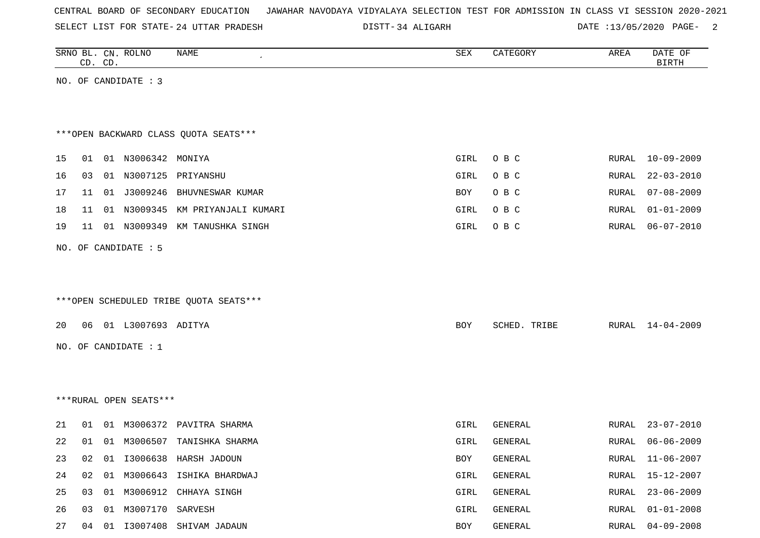|  |  |  |  | CENTRAL BOARD OF SECONDARY EDUCATION – JAWAHAR NAVODAYA VIDYALAYA SELECTION TEST FOR ADMISSION IN CLASS VI SESSION 2020-2021 |  |  |  |  |  |  |  |  |  |  |  |  |  |
|--|--|--|--|------------------------------------------------------------------------------------------------------------------------------|--|--|--|--|--|--|--|--|--|--|--|--|--|
|--|--|--|--|------------------------------------------------------------------------------------------------------------------------------|--|--|--|--|--|--|--|--|--|--|--|--|--|

SELECT LIST FOR STATE- DISTT- 24 UTTAR PRADESH 34 ALIGARH DATE :13/05/2020 PAGE- 2

|    |    | CD. CD. | SRNO BL. CN. ROLNO     | <b>NAME</b>                            | SEX  | CATEGORY     | AREA         | DATE OF<br><b>BIRTH</b> |
|----|----|---------|------------------------|----------------------------------------|------|--------------|--------------|-------------------------|
|    |    |         | NO. OF CANDIDATE : 3   |                                        |      |              |              |                         |
|    |    |         |                        |                                        |      |              |              |                         |
|    |    |         |                        |                                        |      |              |              |                         |
|    |    |         |                        | *** OPEN BACKWARD CLASS QUOTA SEATS*** |      |              |              |                         |
| 15 | 01 |         | 01 N3006342 MONIYA     |                                        | GIRL | O B C        | RURAL        | $10 - 09 - 2009$        |
| 16 | 03 |         | 01 N3007125            | PRIYANSHU                              | GIRL | O B C        | <b>RURAL</b> | $22 - 03 - 2010$        |
| 17 | 11 |         | 01 J3009246            | BHUVNESWAR KUMAR                       | BOY  | O B C        | RURAL        | $07 - 08 - 2009$        |
| 18 | 11 |         | 01 N3009345            | KM PRIYANJALI KUMARI                   | GIRL | O B C        | RURAL        | $01 - 01 - 2009$        |
| 19 | 11 |         | 01 N3009349            | KM TANUSHKA SINGH                      | GIRL | O B C        | RURAL        | $06 - 07 - 2010$        |
|    |    |         | NO. OF CANDIDATE : 5   |                                        |      |              |              |                         |
|    |    |         |                        |                                        |      |              |              |                         |
|    |    |         |                        |                                        |      |              |              |                         |
|    |    |         |                        | ***OPEN SCHEDULED TRIBE QUOTA SEATS*** |      |              |              |                         |
| 20 |    |         | 06 01 L3007693 ADITYA  |                                        | BOY  | SCHED. TRIBE | RURAL        | 14-04-2009              |
|    |    |         |                        |                                        |      |              |              |                         |
|    |    |         | NO. OF CANDIDATE : $1$ |                                        |      |              |              |                         |
|    |    |         |                        |                                        |      |              |              |                         |
|    |    |         |                        |                                        |      |              |              |                         |
|    |    |         | ***RURAL OPEN SEATS*** |                                        |      |              |              |                         |
| 21 | 01 |         | 01 M3006372            | PAVITRA SHARMA                         | GIRL | GENERAL      | RURAL        | $23 - 07 - 2010$        |
| 22 | 01 |         |                        | 01 M3006507 TANISHKA SHARMA            | GIRL | GENERAL      | RURAL        | $06 - 06 - 2009$        |
| 23 | 02 |         |                        | 01 I3006638 HARSH JADOUN               | BOY  | GENERAL      | RURAL        | $11 - 06 - 2007$        |
| 24 | 02 | 01      |                        | M3006643 ISHIKA BHARDWAJ               | GIRL | GENERAL      | RURAL        | $15 - 12 - 2007$        |
| 25 | 03 | 01      | M3006912               | CHHAYA SINGH                           | GIRL | GENERAL      | <b>RURAL</b> | $23 - 06 - 2009$        |
| 26 | 03 | 01      | M3007170 SARVESH       |                                        | GIRL | GENERAL      | RURAL        | $01 - 01 - 2008$        |
| 27 | 04 |         |                        | 01 I3007408 SHIVAM JADAUN              | BOY  | GENERAL      | RURAL        | $04 - 09 - 2008$        |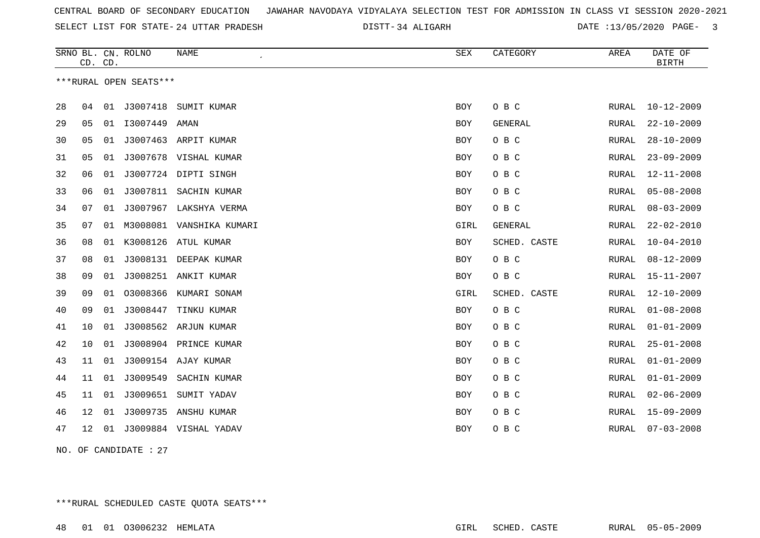SELECT LIST FOR STATE- DISTT- 24 UTTAR PRADESH

34 ALIGARH DATE :13/05/2020 PAGE- 3

|    | CD. CD. |    | SRNO BL. CN. ROLNO     | <b>NAME</b>              | <b>SEX</b> | CATEGORY       | AREA         | DATE OF<br><b>BIRTH</b> |
|----|---------|----|------------------------|--------------------------|------------|----------------|--------------|-------------------------|
|    |         |    | ***RURAL OPEN SEATS*** |                          |            |                |              |                         |
|    |         |    |                        |                          |            |                |              |                         |
| 28 | 04      |    |                        | 01 J3007418 SUMIT KUMAR  | BOY        | O B C          | RURAL        | $10 - 12 - 2009$        |
| 29 | 05      | 01 | I3007449               | AMAN                     | <b>BOY</b> | <b>GENERAL</b> | RURAL        | $22 - 10 - 2009$        |
| 30 | 05      | 01 |                        | J3007463 ARPIT KUMAR     | <b>BOY</b> | O B C          | <b>RURAL</b> | $28 - 10 - 2009$        |
| 31 | 05      | 01 |                        | J3007678 VISHAL KUMAR    | BOY        | O B C          | RURAL        | $23 - 09 - 2009$        |
| 32 | 06      | 01 |                        | J3007724 DIPTI SINGH     | <b>BOY</b> | O B C          | RURAL        | $12 - 11 - 2008$        |
| 33 | 06      | 01 |                        | J3007811 SACHIN KUMAR    | <b>BOY</b> | O B C          | RURAL        | $05 - 08 - 2008$        |
| 34 | 07      | 01 | J3007967               | LAKSHYA VERMA            | <b>BOY</b> | O B C          | RURAL        | $08 - 03 - 2009$        |
| 35 | 07      | 01 |                        | M3008081 VANSHIKA KUMARI | GIRL       | <b>GENERAL</b> | RURAL        | $22 - 02 - 2010$        |
| 36 | 08      | 01 |                        | K3008126 ATUL KUMAR      | <b>BOY</b> | SCHED. CASTE   | RURAL        | $10 - 04 - 2010$        |
| 37 | 08      | 01 |                        | J3008131 DEEPAK KUMAR    | <b>BOY</b> | O B C          | RURAL        | $08 - 12 - 2009$        |
| 38 | 09      | 01 |                        | J3008251 ANKIT KUMAR     | <b>BOY</b> | O B C          | RURAL        | 15-11-2007              |
| 39 | 09      | 01 | 03008366               | KUMARI SONAM             | GIRL       | SCHED. CASTE   | RURAL        | $12 - 10 - 2009$        |
| 40 | 09      | 01 | J3008447               | TINKU KUMAR              | BOY        | O B C          | RURAL        | $01 - 08 - 2008$        |
| 41 | 10      | 01 |                        | J3008562 ARJUN KUMAR     | BOY        | O B C          | RURAL        | $01 - 01 - 2009$        |
| 42 | 10      | 01 |                        | J3008904 PRINCE KUMAR    | <b>BOY</b> | O B C          | RURAL        | $25 - 01 - 2008$        |
| 43 | 11      | 01 |                        | J3009154 AJAY KUMAR      | <b>BOY</b> | O B C          | RURAL        | $01 - 01 - 2009$        |
| 44 | 11      | 01 | J3009549               | SACHIN KUMAR             | <b>BOY</b> | O B C          | <b>RURAL</b> | $01 - 01 - 2009$        |
| 45 | 11      | 01 |                        | J3009651 SUMIT YADAV     | BOY        | O B C          | RURAL        | $02 - 06 - 2009$        |
| 46 | 12      | 01 | J3009735               | ANSHU KUMAR              | BOY        | O B C          | RURAL        | $15 - 09 - 2009$        |
| 47 | 12      | 01 |                        | J3009884 VISHAL YADAV    | <b>BOY</b> | O B C          | RURAL        | $07 - 03 - 2008$        |
|    |         |    |                        |                          |            |                |              |                         |

NO. OF CANDIDATE : 27

\*\*\*RURAL SCHEDULED CASTE QUOTA SEATS\*\*\*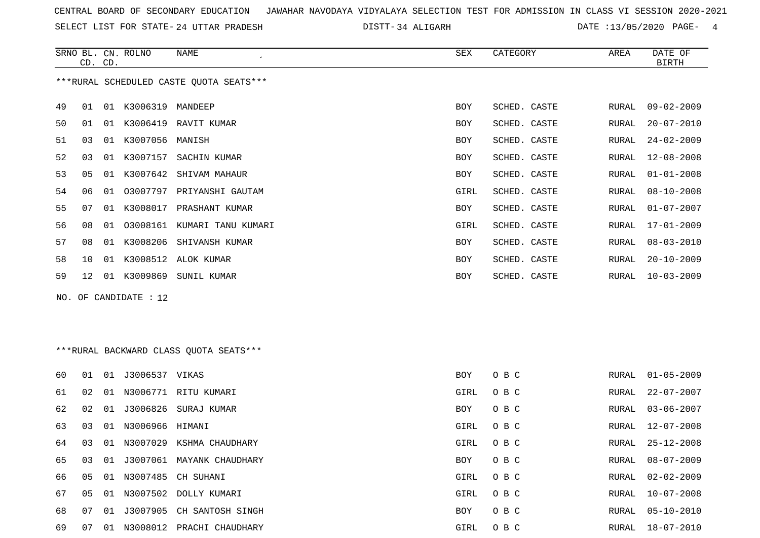SELECT LIST FOR STATE- DISTT- 24 UTTAR PRADESH

34 ALIGARH DATE :13/05/2020 PAGE- 4

|    | CD. CD.        |    | SRNO BL. CN. ROLNO  | NAME                                    | SEX        | CATEGORY     | AREA  | DATE OF<br><b>BIRTH</b> |
|----|----------------|----|---------------------|-----------------------------------------|------------|--------------|-------|-------------------------|
|    |                |    |                     | ***RURAL SCHEDULED CASTE QUOTA SEATS*** |            |              |       |                         |
| 49 | 01             |    | 01 K3006319 MANDEEP |                                         | BOY        | SCHED. CASTE | RURAL | 09-02-2009              |
| 50 | 01             | 01 |                     | K3006419 RAVIT KUMAR                    | <b>BOY</b> | SCHED. CASTE | RURAL | $20 - 07 - 2010$        |
| 51 | 03             | 01 | K3007056            | MANISH                                  | <b>BOY</b> | SCHED. CASTE | RURAL | $24 - 02 - 2009$        |
| 52 | 03             |    | 01 K3007157         | SACHIN KUMAR                            | BOY        | SCHED. CASTE | RURAL | 12-08-2008              |
| 53 | 0 <sub>5</sub> |    |                     | 01 K3007642 SHIVAM MAHAUR               | <b>BOY</b> | SCHED. CASTE | RURAL | $01 - 01 - 2008$        |
| 54 | 06             | 01 | 03007797            | PRIYANSHI GAUTAM                        | GIRL       | SCHED. CASTE | RURAL | $08 - 10 - 2008$        |
| 55 | 07             | 01 | K3008017            | PRASHANT KUMAR                          | BOY        | SCHED. CASTE | RURAL | $01 - 07 - 2007$        |
| 56 | 08             | 01 |                     | 03008161 KUMARI TANU KUMARI             | GIRL       | SCHED. CASTE | RURAL | $17 - 01 - 2009$        |
| 57 | 08             |    | 01 K3008206         | SHIVANSH KUMAR                          | BOY        | SCHED. CASTE | RURAL | $08 - 03 - 2010$        |
| 58 | 10             | 01 |                     | K3008512 ALOK KUMAR                     | BOY        | SCHED. CASTE | RURAL | $20 - 10 - 2009$        |
| 59 | 12             | 01 | K3009869            | SUNIL KUMAR                             | BOY        | SCHED. CASTE | RURAL | $10 - 03 - 2009$        |
|    |                |    |                     |                                         |            |              |       |                         |

NO. OF CANDIDATE : 12

# \*\*\*RURAL BACKWARD CLASS QUOTA SEATS\*\*\*

| 60 | 01  | 01 | J3006537 VIKAS     |                              | BOY  | O B C | RURAL | $01 - 05 - 2009$ |
|----|-----|----|--------------------|------------------------------|------|-------|-------|------------------|
| 61 | 02  | 01 | N3006771           | RITU KUMARI                  | GIRL | O B C | RURAL | $22 - 07 - 2007$ |
| 62 | 02  | 01 |                    | J3006826 SURAJ KUMAR         | BOY  | O B C | RURAL | $03 - 06 - 2007$ |
| 63 | 03  |    | 01 N3006966 HIMANI |                              | GIRL | O B C | RURAL | 12-07-2008       |
| 64 | 03  | 01 | N3007029           | KSHMA CHAUDHARY              | GIRL | O B C | RURAL | $25 - 12 - 2008$ |
| 65 | 03  | 01 |                    | J3007061 MAYANK CHAUDHARY    | BOY  | O B C | RURAL | 08-07-2009       |
| 66 | 05  |    |                    | 01 N3007485 CH SUHANI        | GIRL | O B C | RURAL | $02 - 02 - 2009$ |
| 67 | 05  | 01 |                    | N3007502 DOLLY KUMARI        | GIRL | O B C | RURAL | $10 - 07 - 2008$ |
| 68 | 07  |    |                    | 01 J3007905 CH SANTOSH SINGH | BOY  | O B C | RURAL | 05-10-2010       |
| 69 | -07 | 01 | N3008012           | PRACHI CHAUDHARY             | GIRL | O B C | RURAL | 18-07-2010       |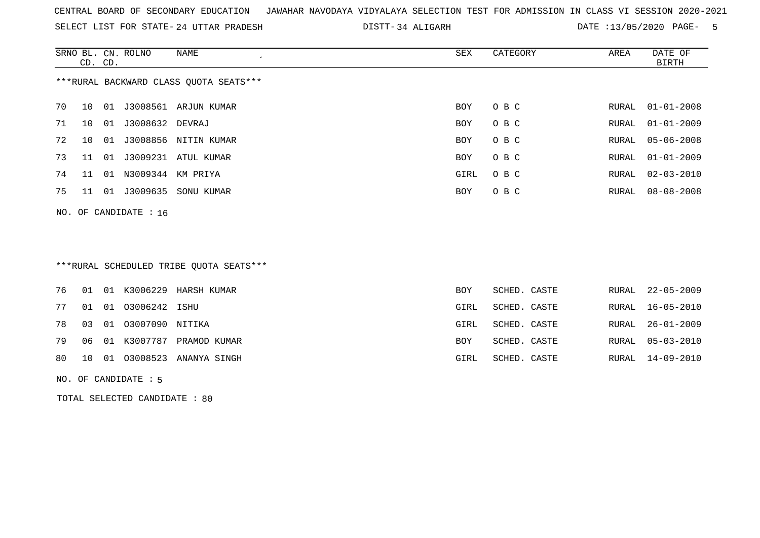SELECT LIST FOR STATE- DISTT- 24 UTTAR PRADESH

34 ALIGARH DATE :13/05/2020 PAGE- 5

|    | CD. CD. |    | SRNO BL. CN. ROLNO      | NAME                                   | SEX        | CATEGORY | AREA  | DATE OF<br>BIRTH |
|----|---------|----|-------------------------|----------------------------------------|------------|----------|-------|------------------|
|    |         |    |                         | ***RURAL BACKWARD CLASS OUOTA SEATS*** |            |          |       |                  |
| 70 | 10      | 01 |                         | J3008561 ARJUN KUMAR                   | <b>BOY</b> | O B C    | RURAL | $01 - 01 - 2008$ |
| 71 | 10      | 01 | J3008632 DEVRAJ         |                                        | <b>BOY</b> | O B C    | RURAL | $01 - 01 - 2009$ |
| 72 | 10      | 01 |                         | J3008856 NITIN KUMAR                   | <b>BOY</b> | O B C    | RURAL | 05-06-2008       |
| 73 | 11      | 01 | J3009231                | ATUL KUMAR                             | BOY        | O B C    | RURAL | $01 - 01 - 2009$ |
| 74 | 11      | 01 | N3009344                | KM PRIYA                               | GIRL       | O B C    | RURAL | $02 - 03 - 2010$ |
| 75 | 11      | 01 | J3009635                | SONU KUMAR                             | <b>BOY</b> | O B C    | RURAL | $08 - 08 - 2008$ |
|    |         |    | NO. OF CANDIDATE : $16$ |                                        |            |          |       |                  |

# \*\*\*RURAL SCHEDULED TRIBE QUOTA SEATS\*\*\*

|  |                                | 76 01 01 K3006229 HARSH KUMAR  | <b>BOY</b> | SCHED. CASTE |  | RURAL 22-05-2009 |
|--|--------------------------------|--------------------------------|------------|--------------|--|------------------|
|  | 77   01   01   03006242   ISHU |                                | GIRL       | SCHED. CASTE |  | RURAL 16-05-2010 |
|  | 78 03 01 03007090 NITIKA       |                                | GIRL       | SCHED. CASTE |  | RURAL 26-01-2009 |
|  |                                | 79 06 01 K3007787 PRAMOD KUMAR | BOY        | SCHED. CASTE |  | RURAL 05-03-2010 |
|  |                                | 80 10 01 03008523 ANANYA SINGH | GIRL       | SCHED. CASTE |  | RURAL 14-09-2010 |
|  |                                |                                |            |              |  |                  |

NO. OF CANDIDATE : 5

TOTAL SELECTED CANDIDATE : 80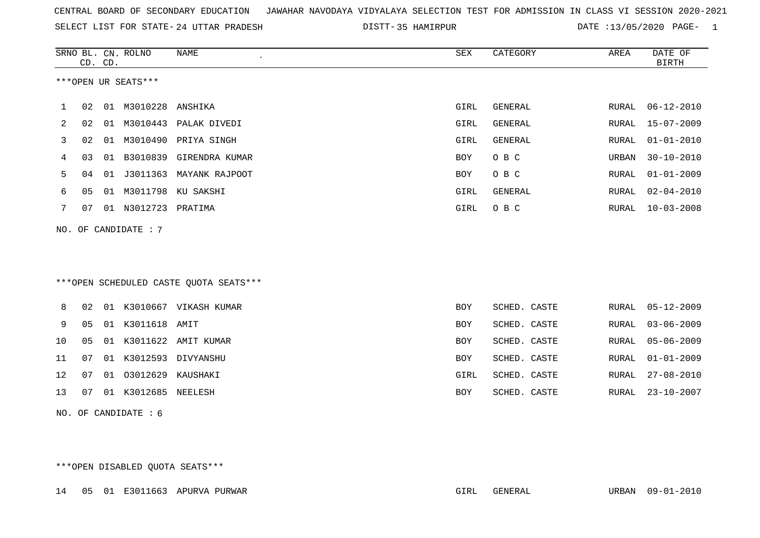|  |  |  |  | CENTRAL BOARD OF SECONDARY EDUCATION GJAWAHAR NAVODAYA VIDYALAYA SELECTION TEST FOR ADMISSION IN CLASS VI SESSION 2020-2021 |  |  |  |  |  |  |  |  |  |  |  |
|--|--|--|--|-----------------------------------------------------------------------------------------------------------------------------|--|--|--|--|--|--|--|--|--|--|--|
|--|--|--|--|-----------------------------------------------------------------------------------------------------------------------------|--|--|--|--|--|--|--|--|--|--|--|

SELECT LIST FOR STATE- 24 UTTAR PRADESH

24 UTTAR PRADESH 35 HAMIRPUR DATE :13/05/2020 PAGE- 1

|     |    | CD. CD. | SRNO BL. CN. ROLNO     | <b>NAME</b><br>$\pmb{\cdot}$           | SEX        | CATEGORY     | AREA         | DATE OF<br><b>BIRTH</b> |
|-----|----|---------|------------------------|----------------------------------------|------------|--------------|--------------|-------------------------|
|     |    |         | ***OPEN UR SEATS***    |                                        |            |              |              |                         |
| 1   | 02 |         | 01 M3010228            | ANSHIKA                                | GIRL       | GENERAL      | RURAL        | $06 - 12 - 2010$        |
| 2   | 02 |         |                        | 01 M3010443 PALAK DIVEDI               | GIRL       | GENERAL      | RURAL        | $15 - 07 - 2009$        |
| 3   | 02 | 01      | M3010490               | PRIYA SINGH                            | GIRL       | GENERAL      | RURAL        | $01 - 01 - 2010$        |
| 4   | 03 | 01      | B3010839               | GIRENDRA KUMAR                         | <b>BOY</b> | O B C        | URBAN        | $30 - 10 - 2010$        |
| 5   | 04 |         |                        | 01 J3011363 MAYANK RAJPOOT             | BOY        | O B C        | RURAL        | $01 - 01 - 2009$        |
| 6   | 05 | 01      |                        | M3011798 KU SAKSHI                     | GIRL       | GENERAL      | RURAL        | $02 - 04 - 2010$        |
| 7   | 07 | 01      | N3012723               | PRATIMA                                | GIRL       | O B C        | RURAL        | $10 - 03 - 2008$        |
| NO. |    |         | OF CANDIDATE : 7       |                                        |            |              |              |                         |
|     |    |         |                        |                                        |            |              |              |                         |
|     |    |         |                        |                                        |            |              |              |                         |
|     |    |         |                        | ***OPEN SCHEDULED CASTE QUOTA SEATS*** |            |              |              |                         |
|     |    |         |                        |                                        |            |              |              |                         |
| 8   | 02 |         |                        | 01 K3010667 VIKASH KUMAR               | <b>BOY</b> | SCHED. CASTE | RURAL        | $05 - 12 - 2009$        |
| 9   | 05 |         | 01 K3011618 AMIT       |                                        | <b>BOY</b> | SCHED. CASTE | <b>RURAL</b> | $03 - 06 - 2009$        |
| 10  | 05 |         |                        | 01 K3011622 AMIT KUMAR                 | <b>BOY</b> | SCHED. CASTE | <b>RURAL</b> | $05 - 06 - 2009$        |
| 11  | 07 | 01      | K3012593               | DIVYANSHU                              | <b>BOY</b> | SCHED. CASTE | RURAL        | $01 - 01 - 2009$        |
| 12  | 07 | 01      | 03012629 KAUSHAKI      |                                        | GIRL       | SCHED. CASTE | RURAL        | $27 - 08 - 2010$        |
| 13  | 07 |         | 01 K3012685            | NEELESH                                | <b>BOY</b> | SCHED. CASTE | RURAL        | $23 - 10 - 2007$        |
|     |    |         | NO. OF CANDIDATE : $6$ |                                        |            |              |              |                         |

\*\*\*OPEN DISABLED QUOTA SEATS\*\*\*

14 05 01 E3011663 APURVA PURWAR GIRL GENERAL URBAN 09-01-2010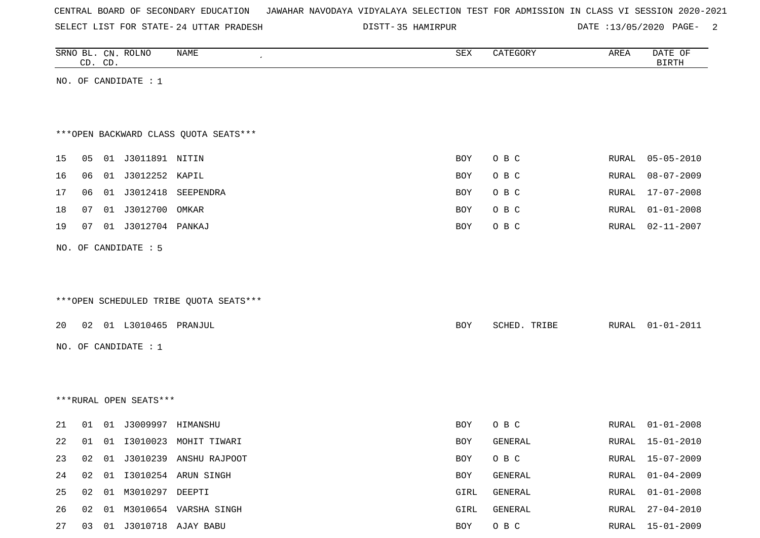SELECT LIST FOR STATE- DISTT- 24 UTTAR PRADESH

DISTT-35 HAMIRPUR **DATE** :13/05/2020 PAGE- 2

|    |    | CD. CD. | SRNO BL. CN. ROLNO     | NAME                                   | SEX        | CATEGORY     | AREA          | DATE OF<br><b>BIRTH</b> |
|----|----|---------|------------------------|----------------------------------------|------------|--------------|---------------|-------------------------|
|    |    |         | NO. OF CANDIDATE : 1   |                                        |            |              |               |                         |
|    |    |         |                        |                                        |            |              |               |                         |
|    |    |         |                        |                                        |            |              |               |                         |
|    |    |         |                        | *** OPEN BACKWARD CLASS QUOTA SEATS*** |            |              |               |                         |
| 15 | 05 |         | 01 J3011891 NITIN      |                                        | BOY        | O B C        | RURAL         | $05 - 05 - 2010$        |
| 16 | 06 |         | 01 J3012252 KAPIL      |                                        | BOY        | O B C        | ${\tt RURAL}$ | $08 - 07 - 2009$        |
| 17 | 06 |         |                        | 01 J3012418 SEEPENDRA                  | BOY        | O B C        | RURAL         | $17 - 07 - 2008$        |
| 18 | 07 |         | 01 J3012700            | OMKAR                                  | BOY        | O B C        | RURAL         | $01 - 01 - 2008$        |
| 19 | 07 |         |                        |                                        | <b>BOY</b> | O B C        | RURAL         | $02 - 11 - 2007$        |
|    |    |         | NO. OF CANDIDATE : 5   |                                        |            |              |               |                         |
|    |    |         |                        |                                        |            |              |               |                         |
|    |    |         |                        |                                        |            |              |               |                         |
|    |    |         |                        | ***OPEN SCHEDULED TRIBE QUOTA SEATS*** |            |              |               |                         |
| 20 |    |         | 02 01 L3010465 PRANJUL |                                        | BOY        | SCHED. TRIBE | RURAL         | $01 - 01 - 2011$        |
|    |    |         | NO. OF CANDIDATE : 1   |                                        |            |              |               |                         |
|    |    |         |                        |                                        |            |              |               |                         |
|    |    |         |                        |                                        |            |              |               |                         |
|    |    |         | ***RURAL OPEN SEATS*** |                                        |            |              |               |                         |
|    |    |         |                        |                                        |            |              |               |                         |
| 21 | 01 |         |                        |                                        | BOY        | O B C        | RURAL         | $01 - 01 - 2008$        |
| 22 | 01 |         |                        | 01 I3010023 MOHIT TIWARI               | BOY        | GENERAL      | RURAL         | $15 - 01 - 2010$        |
| 23 | 02 |         |                        | 01 J3010239 ANSHU RAJPOOT              | BOY        | O B C        |               | RURAL 15-07-2009        |
| 24 | 02 |         |                        | 01  13010254  ARUN SINGH               | BOY        | GENERAL      | RURAL         | $01 - 04 - 2009$        |
| 25 | 02 |         | 01 M3010297 DEEPTI     |                                        | GIRL       | GENERAL      | RURAL         | $01 - 01 - 2008$        |
| 26 | 02 |         |                        | 01 M3010654 VARSHA SINGH               | GIRL       | GENERAL      | RURAL         | $27 - 04 - 2010$        |
| 27 | 03 |         |                        | 01 J3010718 AJAY BABU                  | BOY        | $O$ B $C$    |               | RURAL 15-01-2009        |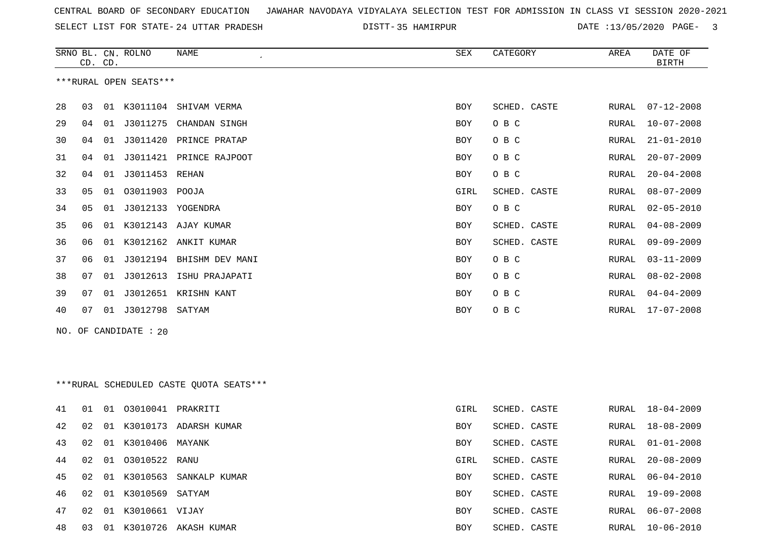SELECT LIST FOR STATE- DISTT- 24 UTTAR PRADESH

35 HAMIRPUR DATE :13/05/2020 PAGE- 3

|    | CD. CD. |    | SRNO BL. CN. ROLNO     | NAME                                    | SEX  | CATEGORY     | AREA  | DATE OF<br><b>BIRTH</b> |
|----|---------|----|------------------------|-----------------------------------------|------|--------------|-------|-------------------------|
|    |         |    | ***RURAL OPEN SEATS*** |                                         |      |              |       |                         |
| 28 | 03      |    |                        | 01 K3011104 SHIVAM VERMA                | BOY  | SCHED. CASTE | RURAL | $07 - 12 - 2008$        |
| 29 | 04      | 01 | J3011275               | CHANDAN SINGH                           | BOY  | O B C        | RURAL | $10 - 07 - 2008$        |
| 30 | 04      |    | 01 J3011420            | PRINCE PRATAP                           | BOY  | O B C        | RURAL | $21 - 01 - 2010$        |
| 31 | 04      |    |                        | 01 J3011421 PRINCE RAJPOOT              | BOY  | O B C        | RURAL | $20 - 07 - 2009$        |
| 32 | 04      | 01 | J3011453 REHAN         |                                         | BOY  | O B C        | RURAL | $20 - 04 - 2008$        |
| 33 | 05      |    | 01 03011903 POOJA      |                                         | GIRL | SCHED. CASTE | RURAL | $08 - 07 - 2009$        |
| 34 | 05      |    | 01 J3012133 YOGENDRA   |                                         | BOY  | O B C        | RURAL | $02 - 05 - 2010$        |
| 35 | 06      |    |                        | 01 K3012143 AJAY KUMAR                  | BOY  | SCHED. CASTE | RURAL | $04 - 08 - 2009$        |
| 36 | 06      |    |                        | 01 K3012162 ANKIT KUMAR                 | BOY  | SCHED. CASTE | RURAL | $09 - 09 - 2009$        |
| 37 | 06      | 01 | J3012194               | BHISHM DEV MANI                         | BOY  | O B C        | RURAL | $03 - 11 - 2009$        |
| 38 | 07      |    | 01 J3012613            | ISHU PRAJAPATI                          | BOY  | O B C        | RURAL | $08 - 02 - 2008$        |
| 39 | 07      | 01 | J3012651               | KRISHN KANT                             | BOY  | O B C        | RURAL | $04 - 04 - 2009$        |
| 40 | 07      |    | 01 J3012798 SATYAM     |                                         | BOY  | O B C        | RURAL | $17 - 07 - 2008$        |
|    |         |    | NO. OF CANDIDATE : 20  |                                         |      |              |       |                         |
|    |         |    |                        |                                         |      |              |       |                         |
|    |         |    |                        |                                         |      |              |       |                         |
|    |         |    |                        | ***RURAL SCHEDULED CASTE QUOTA SEATS*** |      |              |       |                         |
| 41 | 01      | 01 | 03010041 PRAKRITI      |                                         | GIRL | SCHED. CASTE | RURAL | $18 - 04 - 2009$        |
| 42 | 02      |    |                        | 01 K3010173 ADARSH KUMAR                | BOY  | SCHED. CASTE | RURAL | 18-08-2009              |
| 43 | 02      |    | 01 K3010406 MAYANK     |                                         | BOY  | SCHED. CASTE | RURAL | $01 - 01 - 2008$        |
| 44 | 02      |    | 01 03010522 RANU       |                                         | GIRL | SCHED. CASTE | RURAL | $20 - 08 - 2009$        |
| 45 | 02      |    |                        | 01 K3010563 SANKALP KUMAR               | BOY  | SCHED. CASTE | RURAL | $06 - 04 - 2010$        |
| 46 | 02      |    | 01 K3010569 SATYAM     |                                         | BOY  | SCHED. CASTE | RURAL | 19-09-2008              |
| 47 | 02      |    | 01 K3010661 VIJAY      |                                         | BOY  | SCHED. CASTE | RURAL | $06 - 07 - 2008$        |
| 48 | 03      |    |                        | 01 K3010726 AKASH KUMAR                 | BOY  | SCHED. CASTE | RURAL | $10 - 06 - 2010$        |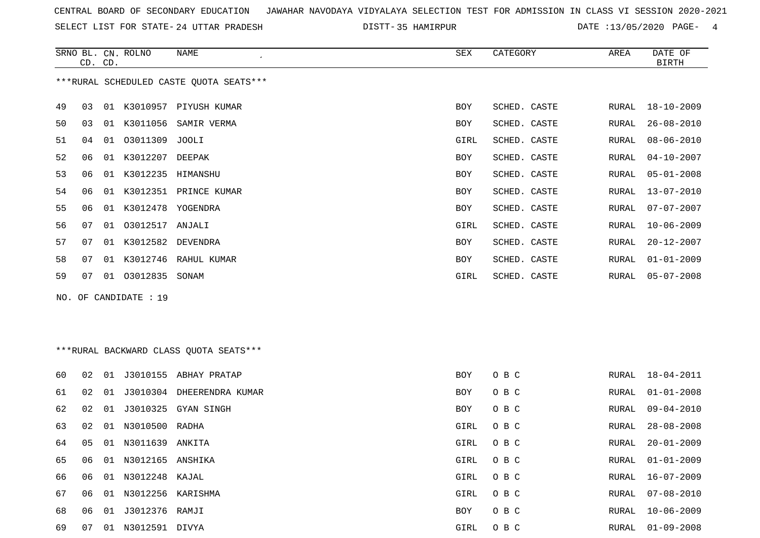SELECT LIST FOR STATE- DISTT- 24 UTTAR PRADESH

DISTT-35 HAMIRPUR **DATE** :13/05/2020 PAGE- 4

|    | CD. CD. |    | SRNO BL. CN. ROLNO    | NAME                                    | SEX        | CATEGORY     | AREA  | DATE OF<br>BIRTH |
|----|---------|----|-----------------------|-----------------------------------------|------------|--------------|-------|------------------|
|    |         |    |                       | ***RURAL SCHEDULED CASTE QUOTA SEATS*** |            |              |       |                  |
| 49 | 03      | 01 |                       | K3010957 PIYUSH KUMAR                   | <b>BOY</b> | SCHED. CASTE | RURAL | $18 - 10 - 2009$ |
| 50 | 03      |    |                       | 01 K3011056 SAMIR VERMA                 | BOY        | SCHED. CASTE | RURAL | 26-08-2010       |
| 51 | 04      | 01 | 03011309 JOOLI        |                                         | GIRL       | SCHED. CASTE | RURAL | $08 - 06 - 2010$ |
| 52 | 06      |    | 01 K3012207 DEEPAK    |                                         | BOY        | SCHED. CASTE | RURAL | $04 - 10 - 2007$ |
| 53 | 06      | 01 | K3012235              | HIMANSHU                                | <b>BOY</b> | SCHED. CASTE | RURAL | $05 - 01 - 2008$ |
| 54 | 06      |    |                       | 01 K3012351 PRINCE KUMAR                | BOY        | SCHED. CASTE | RURAL | $13 - 07 - 2010$ |
| 55 | 06      | 01 |                       | K3012478 YOGENDRA                       | BOY        | SCHED. CASTE | RURAL | $07 - 07 - 2007$ |
| 56 | 07      |    | 01  03012517  ANJALI  |                                         | GIRL       | SCHED. CASTE | RURAL | $10 - 06 - 2009$ |
| 57 | 07      | 01 | K3012582 DEVENDRA     |                                         | BOY        | SCHED. CASTE | RURAL | $20 - 12 - 2007$ |
| 58 | 07      |    |                       | 01 K3012746 RAHUL KUMAR                 | BOY        | SCHED. CASTE | RURAL | $01 - 01 - 2009$ |
| 59 | 07      | 01 | 03012835              | SONAM                                   | GIRL       | SCHED. CASTE | RURAL | $05 - 07 - 2008$ |
|    |         |    | NO. OF CANDIDATE : 19 |                                         |            |              |       |                  |

# \*\*\*RURAL BACKWARD CLASS QUOTA SEATS\*\*\*

| 60 | 02 | 01 |                      | J3010155 ABHAY PRATAP  | <b>BOY</b> | O B C |       | RURAL 18-04-2011 |
|----|----|----|----------------------|------------------------|------------|-------|-------|------------------|
| 61 | 02 |    | 01 J3010304          | DHEERENDRA KUMAR       | BOY        | O B C |       | RURAL 01-01-2008 |
| 62 | 02 |    |                      | 01 J3010325 GYAN SINGH | BOY        | O B C |       | RURAL 09-04-2010 |
| 63 | 02 |    | 01 N3010500 RADHA    |                        | GIRL       | O B C |       | RURAL 28-08-2008 |
| 64 | 05 |    | 01 N3011639 ANKITA   |                        | GIRL       | O B C | RURAL | 20-01-2009       |
| 65 | 06 |    | 01 N3012165 ANSHIKA  |                        | GIRL       | O B C |       | RURAL 01-01-2009 |
| 66 | 06 |    | 01 N3012248 KAJAL    |                        | GIRL       | O B C |       | RURAL 16-07-2009 |
| 67 | 06 |    | 01 N3012256 KARISHMA |                        | GIRL       | O B C | RURAL | 07-08-2010       |
| 68 | 06 |    | 01 J3012376 RAMJI    |                        | <b>BOY</b> | O B C | RURAL | 10-06-2009       |
| 69 | 07 | 01 | N3012591 DIVYA       |                        | GIRL       | O B C |       | RURAL 01-09-2008 |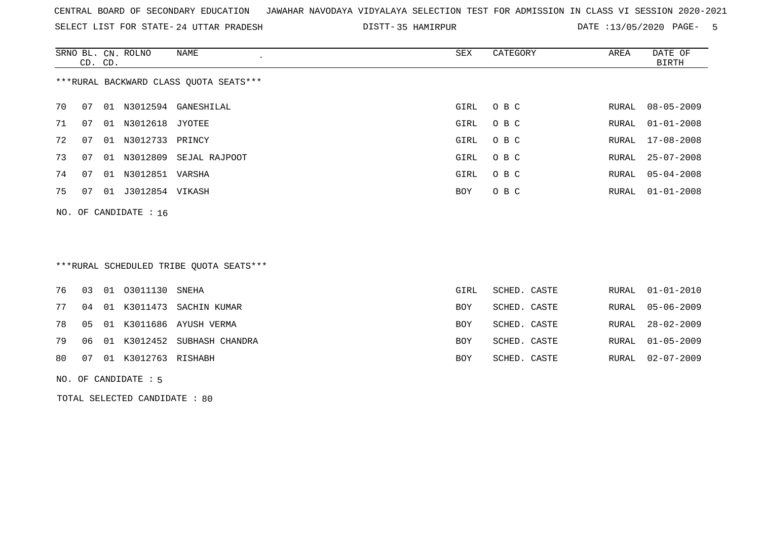SELECT LIST FOR STATE- DISTT- 24 UTTAR PRADESH

35 HAMIRPUR DATE :13/05/2020 PAGE- 5

|    | CD. CD.                 |    | SRNO BL. CN. ROLNO | NAME                                   | SEX  | CATEGORY | AREA  | DATE OF<br>BIRTH |  |  |  |
|----|-------------------------|----|--------------------|----------------------------------------|------|----------|-------|------------------|--|--|--|
|    |                         |    |                    | ***RURAL BACKWARD CLASS OUOTA SEATS*** |      |          |       |                  |  |  |  |
| 70 | 07                      |    |                    | 01 N3012594 GANESHILAL                 | GIRL | O B C    | RURAL | 08-05-2009       |  |  |  |
| 71 | 07                      | 01 | N3012618 JYOTEE    |                                        | GIRL | O B C    | RURAL | $01 - 01 - 2008$ |  |  |  |
| 72 | 07                      |    | 01 N3012733 PRINCY |                                        | GIRL | O B C    |       | RURAL 17-08-2008 |  |  |  |
| 73 | 07                      | 01 | N3012809           | SEJAL RAJPOOT                          | GIRL | O B C    | RURAL | $25 - 07 - 2008$ |  |  |  |
| 74 | 07                      |    | 01 N3012851 VARSHA |                                        | GIRL | O B C    |       | RURAL 05-04-2008 |  |  |  |
| 75 | 07                      | 01 | J3012854 VIKASH    |                                        | BOY  | O B C    | RURAL | $01 - 01 - 2008$ |  |  |  |
|    | NO. OF CANDIDATE : $16$ |    |                    |                                        |      |          |       |                  |  |  |  |

# \*\*\*RURAL SCHEDULED TRIBE QUOTA SEATS\*\*\*

|  | 76 03 01 03011130 SNEHA   |                                    | GIRL       | SCHED. CASTE | RURAL 01-01-2010 |
|--|---------------------------|------------------------------------|------------|--------------|------------------|
|  |                           | 77 04 01 K3011473 SACHIN KUMAR     | <b>BOY</b> | SCHED. CASTE | RURAL 05-06-2009 |
|  |                           | 78  05  01  K3011686  AYUSH  VERMA | <b>BOY</b> | SCHED. CASTE | RURAL 28-02-2009 |
|  |                           | 79 06 01 K3012452 SUBHASH CHANDRA  | <b>BOY</b> | SCHED. CASTE | RURAL 01-05-2009 |
|  | 80 07 01 K3012763 RISHABH |                                    | <b>BOY</b> | SCHED. CASTE | RURAL 02-07-2009 |
|  |                           |                                    |            |              |                  |

#### NO. OF CANDIDATE : 5

TOTAL SELECTED CANDIDATE : 80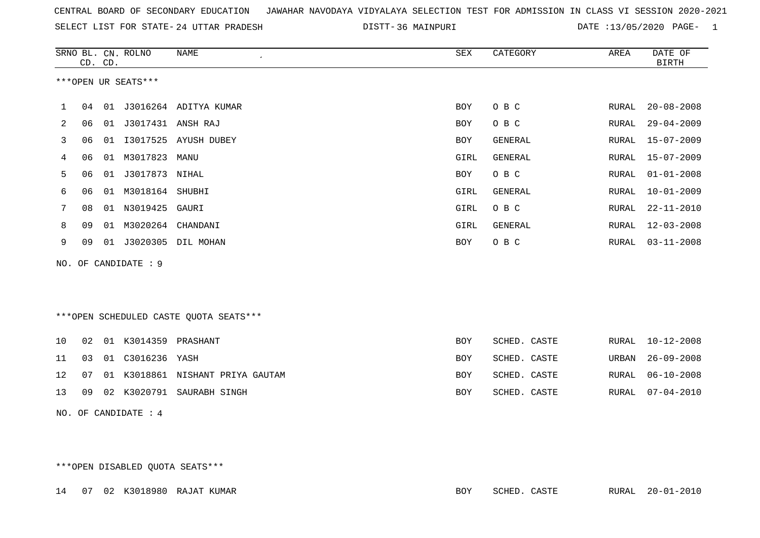| CENTRAL BOARD OF SECONDARY EDUCATION GUNAHAR NAVODAYA VIDYALAYA SELECTION TEST FOR ADMISSION IN CLASS VI SESSION 2020-2021 |  |  |  |
|----------------------------------------------------------------------------------------------------------------------------|--|--|--|
|----------------------------------------------------------------------------------------------------------------------------|--|--|--|

SELECT LIST FOR STATE- 24 UTTAR PRADESH

24 UTTAR PRADESH 36 MAINPURI DATE :13/05/2020 PAGE- 1

|    |    | CD. CD. | SRNO BL. CN. ROLNO   | NAME                                   | SEX        | CATEGORY       | AREA  | DATE OF<br><b>BIRTH</b> |
|----|----|---------|----------------------|----------------------------------------|------------|----------------|-------|-------------------------|
|    |    |         | ***OPEN UR SEATS***  |                                        |            |                |       |                         |
| ı. | 04 |         |                      | 01 J3016264 ADITYA KUMAR               | BOY        | O B C          | RURAL | $20 - 08 - 2008$        |
| 2  | 06 |         | 01 J3017431 ANSH RAJ |                                        | <b>BOY</b> | O B C          | RURAL | $29 - 04 - 2009$        |
| 3  | 06 | 01      | I3017525             | AYUSH DUBEY                            | BOY        | <b>GENERAL</b> | RURAL | $15 - 07 - 2009$        |
| 4  | 06 | 01      | M3017823             | MANU                                   | GIRL       | GENERAL        | RURAL | $15 - 07 - 2009$        |
| 5  | 06 | 01      | J3017873 NIHAL       |                                        | <b>BOY</b> | O B C          | RURAL | $01 - 01 - 2008$        |
| 6  | 06 | 01      | M3018164 SHUBHI      |                                        | GIRL       | GENERAL        | RURAL | $10 - 01 - 2009$        |
| 7  | 08 |         | 01 N3019425          | GAURI                                  | GIRL       | O B C          | RURAL | $22 - 11 - 2010$        |
| 8  | 09 | 01      | M3020264             | CHANDANI                               | GIRL       | GENERAL        | RURAL | $12 - 03 - 2008$        |
| 9  | 09 | 01      |                      | J3020305 DIL MOHAN                     | BOY        | O B C          | RURAL | $03 - 11 - 2008$        |
|    |    |         | NO. OF CANDIDATE : 9 |                                        |            |                |       |                         |
|    |    |         |                      |                                        |            |                |       |                         |
|    |    |         |                      | ***OPEN SCHEDULED CASTE QUOTA SEATS*** |            |                |       |                         |
| 10 | 02 | 01      | K3014359 PRASHANT    |                                        | BOY        | SCHED. CASTE   | RURAL | $10 - 12 - 2008$        |
| 11 | 03 |         | 01 C3016236 YASH     |                                        | BOY        | SCHED. CASTE   | URBAN | $26 - 09 - 2008$        |
| 12 | 07 | 01      |                      | K3018861 NISHANT PRIYA GAUTAM          | BOY        | SCHED. CASTE   | RURAL | $06 - 10 - 2008$        |
| 13 | 09 |         |                      | 02 K3020791 SAURABH SINGH              | BOY        | SCHED. CASTE   | RURAL | $07 - 04 - 2010$        |
|    |    |         | NO. OF CANDIDATE : 4 |                                        |            |                |       |                         |

\*\*\*OPEN DISABLED QUOTA SEATS\*\*\*

|  |  | 14 07 02 K3018980 RAJAT KUMAR | SCHED. CASTE<br>BOY | RURAL 20-01-2010 |
|--|--|-------------------------------|---------------------|------------------|
|  |  |                               |                     |                  |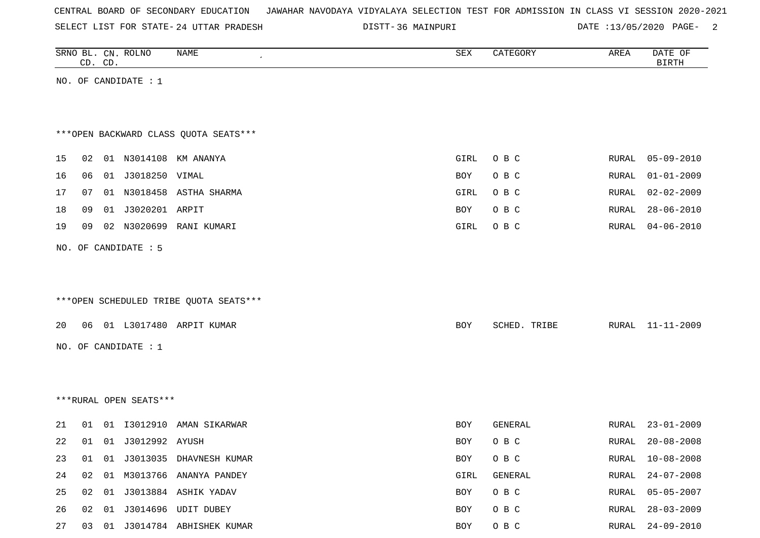| CENTRAL BOARD OF SECONDARY EDUCATION – JAWAHAR NAVODAYA VIDYALAYA SELECTION TEST FOR ADMISSION IN CLASS VI SESSION 2020-2021 |  |  |  |  |
|------------------------------------------------------------------------------------------------------------------------------|--|--|--|--|
|------------------------------------------------------------------------------------------------------------------------------|--|--|--|--|

SELECT LIST FOR STATE- 24 UTTAR PRADESH

24 UTTAR PRADESH 36 MAINPURI DATE :13/05/2020 PAGE- 2

|    |    | CD. CD. | SRNO BL. CN. ROLNO     | NAME                                   | ${\tt SEX}$ | CATEGORY     | AREA  | DATE OF<br><b>BIRTH</b> |
|----|----|---------|------------------------|----------------------------------------|-------------|--------------|-------|-------------------------|
|    |    |         | NO. OF CANDIDATE : 1   |                                        |             |              |       |                         |
|    |    |         |                        |                                        |             |              |       |                         |
|    |    |         |                        |                                        |             |              |       |                         |
|    |    |         |                        | *** OPEN BACKWARD CLASS QUOTA SEATS*** |             |              |       |                         |
| 15 | 02 |         |                        | 01 N3014108 KM ANANYA                  | GIRL        | O B C        | RURAL | $05 - 09 - 2010$        |
| 16 | 06 |         | 01 J3018250 VIMAL      |                                        | BOY         | O B C        | RURAL | $01 - 01 - 2009$        |
| 17 | 07 |         |                        | 01 N3018458 ASTHA SHARMA               | GIRL        | O B C        | RURAL | $02 - 02 - 2009$        |
| 18 | 09 |         | 01 J3020201 ARPIT      |                                        | BOY         | O B C        | RURAL | $28 - 06 - 2010$        |
| 19 | 09 |         | 02 N3020699            | RANI KUMARI                            | GIRL        | O B C        | RURAL | $04 - 06 - 2010$        |
|    |    |         | NO. OF CANDIDATE : 5   |                                        |             |              |       |                         |
|    |    |         |                        |                                        |             |              |       |                         |
|    |    |         |                        |                                        |             |              |       |                         |
|    |    |         |                        | ***OPEN SCHEDULED TRIBE QUOTA SEATS*** |             |              |       |                         |
| 20 | 06 |         |                        | 01 L3017480 ARPIT KUMAR                | BOY         | SCHED. TRIBE | RURAL | 11-11-2009              |
|    |    |         |                        |                                        |             |              |       |                         |
|    |    |         | NO. OF CANDIDATE : 1   |                                        |             |              |       |                         |
|    |    |         |                        |                                        |             |              |       |                         |
|    |    |         |                        |                                        |             |              |       |                         |
|    |    |         | ***RURAL OPEN SEATS*** |                                        |             |              |       |                         |
| 21 | 01 |         |                        | 01  13012910  AMAN SIKARWAR            | BOY         | GENERAL      | RURAL | $23 - 01 - 2009$        |
| 22 | 01 |         | 01 J3012992 AYUSH      |                                        | BOY         | O B C        | RURAL | $20 - 08 - 2008$        |
| 23 |    |         |                        | 01 01 J3013035 DHAVNESH KUMAR          | BOY         | O B C        | RURAL | $10 - 08 - 2008$        |
| 24 |    |         |                        | 02 01 M3013766 ANANYA PANDEY           | GIRL        | GENERAL      | RURAL | $24 - 07 - 2008$        |
| 25 |    |         |                        | 02 01 J3013884 ASHIK YADAV             | BOY         | O B C        | RURAL | $05 - 05 - 2007$        |
| 26 |    |         |                        | 02 01 J3014696 UDIT DUBEY              | BOY         | O B C        | RURAL | $28 - 03 - 2009$        |
| 27 |    |         |                        | 03 01 J3014784 ABHISHEK KUMAR          | BOY         | O B C        |       | RURAL 24-09-2010        |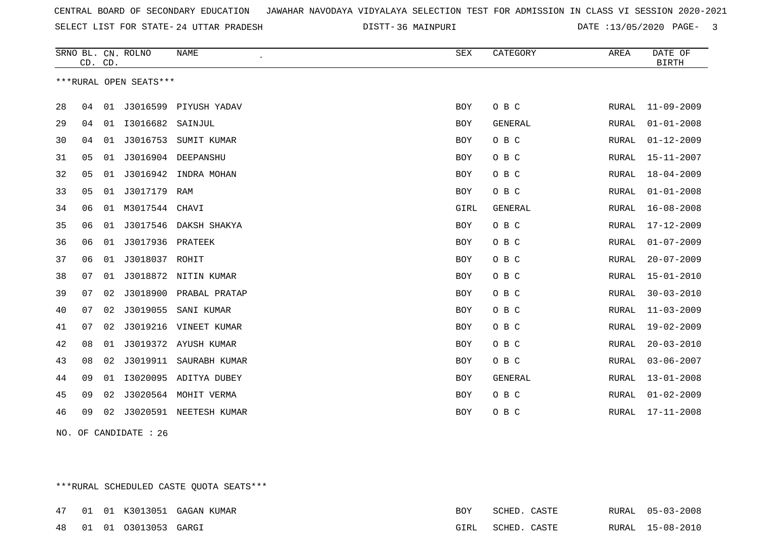SELECT LIST FOR STATE- DISTT- 24 UTTAR PRADESH

36 MAINPURI DATE :13/05/2020 PAGE- 3

|    | CD. CD. |    | SRNO BL. CN. ROLNO     | <b>NAME</b>              | SEX        | CATEGORY       | AREA         | DATE OF<br><b>BIRTH</b> |
|----|---------|----|------------------------|--------------------------|------------|----------------|--------------|-------------------------|
|    |         |    | ***RURAL OPEN SEATS*** |                          |            |                |              |                         |
| 28 | 04      |    |                        | 01 J3016599 PIYUSH YADAV | BOY        | O B C          | RURAL        | $11 - 09 - 2009$        |
| 29 | 04      |    | 01  13016682  SAINJUL  |                          | <b>BOY</b> | <b>GENERAL</b> | RURAL        | $01 - 01 - 2008$        |
| 30 | 04      | 01 | J3016753               | SUMIT KUMAR              | BOY        | O B C          | RURAL        | $01 - 12 - 2009$        |
| 31 | 05      | 01 | J3016904               | DEEPANSHU                | <b>BOY</b> | O B C          | <b>RURAL</b> | $15 - 11 - 2007$        |
| 32 | 05      |    |                        | 01 J3016942 INDRA MOHAN  | BOY        | O B C          | RURAL        | $18 - 04 - 2009$        |
| 33 | 05      | 01 | J3017179               | RAM                      | BOY        | O B C          | RURAL        | $01 - 01 - 2008$        |
| 34 | 06      | 01 | M3017544 CHAVI         |                          | GIRL       | GENERAL        | RURAL        | $16 - 08 - 2008$        |
| 35 | 06      |    |                        | 01 J3017546 DAKSH SHAKYA | <b>BOY</b> | O B C          | RURAL        | $17 - 12 - 2009$        |
| 36 | 06      | 01 | J3017936               | PRATEEK                  | <b>BOY</b> | O B C          | RURAL        | $01 - 07 - 2009$        |
| 37 | 06      | 01 | J3018037 ROHIT         |                          | BOY        | O B C          | RURAL        | $20 - 07 - 2009$        |
| 38 | 07      |    |                        | 01 J3018872 NITIN KUMAR  | <b>BOY</b> | O B C          | RURAL        | $15 - 01 - 2010$        |
| 39 | 07      | 02 | J3018900               | PRABAL PRATAP            | <b>BOY</b> | O B C          | RURAL        | $30 - 03 - 2010$        |
| 40 | 07      | 02 | J3019055               | SANI KUMAR               | BOY        | O B C          | <b>RURAL</b> | $11 - 03 - 2009$        |
| 41 | 07      | 02 |                        | J3019216 VINEET KUMAR    | <b>BOY</b> | O B C          | RURAL        | $19 - 02 - 2009$        |
| 42 | 08      | 01 |                        | J3019372 AYUSH KUMAR     | <b>BOY</b> | O B C          | RURAL        | $20 - 03 - 2010$        |
| 43 | 08      | 02 | J3019911               | SAURABH KUMAR            | <b>BOY</b> | O B C          | RURAL        | $03 - 06 - 2007$        |
| 44 | 09      | 01 |                        | I3020095 ADITYA DUBEY    | <b>BOY</b> | <b>GENERAL</b> | RURAL        | $13 - 01 - 2008$        |
| 45 | 09      | 02 |                        | J3020564 MOHIT VERMA     | BOY        | O B C          | RURAL        | $01 - 02 - 2009$        |
| 46 | 09      | 02 |                        | J3020591 NEETESH KUMAR   | BOY        | O B C          | RURAL        | $17 - 11 - 2008$        |

NO. OF CANDIDATE : 26

\*\*\*RURAL SCHEDULED CASTE QUOTA SEATS\*\*\*

|  |                             | 47 01 01 K3013051 GAGAN KUMAR | <b>BOY</b> | SCHED. CASTE      |  | RURAL 05-03-2008 |
|--|-----------------------------|-------------------------------|------------|-------------------|--|------------------|
|  | 48  01  01  03013053  GARGI |                               |            | GIRL SCHED. CASTE |  | RURAL 15-08-2010 |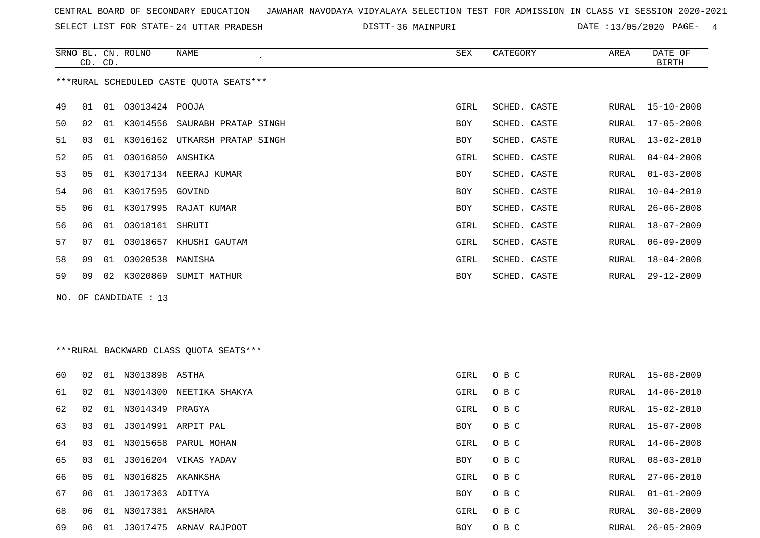SELECT LIST FOR STATE- DISTT- 24 UTTAR PRADESH

36 MAINPURI DATE :13/05/2020 PAGE- 4

|    |                                         | CD. CD. | SRNO BL. CN. ROLNO   | NAME                             | SEX        | CATEGORY     | AREA  | DATE OF<br>BIRTH |  |  |  |
|----|-----------------------------------------|---------|----------------------|----------------------------------|------------|--------------|-------|------------------|--|--|--|
|    | ***RURAL SCHEDULED CASTE QUOTA SEATS*** |         |                      |                                  |            |              |       |                  |  |  |  |
| 49 | 01                                      | 01      | 03013424 POOJA       |                                  | GIRL       | SCHED. CASTE | RURAL | 15-10-2008       |  |  |  |
| 50 | 02                                      |         |                      | 01 K3014556 SAURABH PRATAP SINGH | <b>BOY</b> | SCHED. CASTE | RURAL | 17-05-2008       |  |  |  |
| 51 | 0 <sub>3</sub>                          | 01      |                      | K3016162 UTKARSH PRATAP SINGH    | <b>BOY</b> | SCHED. CASTE | RURAL | $13 - 02 - 2010$ |  |  |  |
| 52 | 05                                      |         | 01 03016850 ANSHIKA  |                                  | GIRL       | SCHED. CASTE | RURAL | 04-04-2008       |  |  |  |
| 53 | 05                                      | 01      |                      | K3017134 NEERAJ KUMAR            | <b>BOY</b> | SCHED. CASTE | RURAL | $01 - 03 - 2008$ |  |  |  |
| 54 | 06                                      |         | 01 K3017595 GOVIND   |                                  | <b>BOY</b> | SCHED. CASTE | RURAL | $10 - 04 - 2010$ |  |  |  |
| 55 | 06                                      | 01      |                      | K3017995 RAJAT KUMAR             | <b>BOY</b> | SCHED. CASTE | RURAL | $26 - 06 - 2008$ |  |  |  |
| 56 | 06                                      |         | 01  03018161  SHRUTI |                                  | GIRL       | SCHED. CASTE | RURAL | $18 - 07 - 2009$ |  |  |  |
| 57 | 07                                      | 01      | 03018657             | KHUSHI GAUTAM                    | GIRL       | SCHED. CASTE | RURAL | $06 - 09 - 2009$ |  |  |  |
| 58 | 09                                      | 01      | 03020538 MANISHA     |                                  | GIRL       | SCHED. CASTE | RURAL | $18 - 04 - 2008$ |  |  |  |
| 59 | 09                                      |         | 02 K3020869          | SUMIT MATHUR                     | <b>BOY</b> | SCHED. CASTE | RURAL | $29 - 12 - 2009$ |  |  |  |
|    | NO. OF CANDIDATE : 13                   |         |                      |                                  |            |              |       |                  |  |  |  |

# \*\*\*RURAL BACKWARD CLASS QUOTA SEATS\*\*\*

| 60 | 02 | 01 | N3013898 ASTHA       |                            | GIRL       | O B C |       | RURAL 15-08-2009 |
|----|----|----|----------------------|----------------------------|------------|-------|-------|------------------|
| 61 | 02 |    |                      | 01 N3014300 NEETIKA SHAKYA | GIRL       | O B C | RURAL | 14-06-2010       |
| 62 | 02 |    | 01 N3014349 PRAGYA   |                            | GIRL       | O B C |       | RURAL 15-02-2010 |
| 63 | 03 |    |                      | 01 J3014991 ARPIT PAL      | BOY        | O B C |       | RURAL 15-07-2008 |
| 64 | 03 |    |                      | 01 N3015658 PARUL MOHAN    | GIRL       | O B C | RURAL | 14-06-2008       |
| 65 | 03 | 01 |                      | J3016204 VIKAS YADAV       | BOY        | O B C | RURAL | 08-03-2010       |
| 66 | 05 |    | 01 N3016825 AKANKSHA |                            | GIRL       | O B C | RURAL | 27-06-2010       |
| 67 | 06 | 01 | J3017363 ADITYA      |                            | BOY        | O B C | RURAL | $01 - 01 - 2009$ |
| 68 | 06 |    | 01 N3017381 AKSHARA  |                            | GIRL       | O B C | RURAL | $30 - 08 - 2009$ |
| 69 | 06 | 01 |                      | J3017475 ARNAV RAJPOOT     | <b>BOY</b> | O B C | RURAL | 26-05-2009       |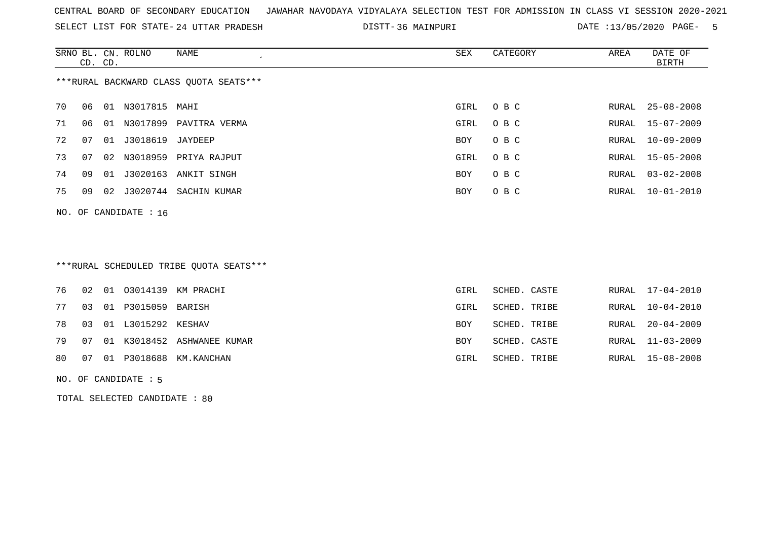SELECT LIST FOR STATE- DISTT- 24 UTTAR PRADESH

36 MAINPURI DATE :13/05/2020 PAGE- 5

|    | CD. CD.                 |    | SRNO BL. CN. ROLNO  | NAME                                   | SEX  | CATEGORY | AREA  | DATE OF<br>BIRTH |  |  |
|----|-------------------------|----|---------------------|----------------------------------------|------|----------|-------|------------------|--|--|
|    |                         |    |                     | ***RURAL BACKWARD CLASS QUOTA SEATS*** |      |          |       |                  |  |  |
| 70 | 06                      | 01 | N3017815            | MAHI                                   | GIRL | O B C    | RURAL | $25 - 08 - 2008$ |  |  |
| 71 | 06                      |    |                     | 01 N3017899 PAVITRA VERMA              | GIRL | O B C    |       | RURAL 15-07-2009 |  |  |
| 72 | 07                      |    | 01 J3018619 JAYDEEP |                                        | BOY  | O B C    | RURAL | 10-09-2009       |  |  |
| 73 | 07                      |    |                     | 02 N3018959 PRIYA RAJPUT               | GIRL | O B C    |       | RURAL 15-05-2008 |  |  |
| 74 | 09                      | 01 |                     | J3020163 ANKIT SINGH                   | BOY  | O B C    | RURAL | $03 - 02 - 2008$ |  |  |
| 75 | 09                      |    | 02 J3020744         | SACHIN KUMAR                           | BOY  | O B C    |       | RURAL 10-01-2010 |  |  |
|    | NO. OF CANDIDATE : $16$ |    |                     |                                        |      |          |       |                  |  |  |

# \*\*\*RURAL SCHEDULED TRIBE QUOTA SEATS\*\*\*

|  |                          | 76 02 01 03014139 KM PRACHI      | GIRL       | SCHED. CASTE | RURAL 17-04-2010 |
|--|--------------------------|----------------------------------|------------|--------------|------------------|
|  | 77 03 01 P3015059 BARISH |                                  | GIRL       | SCHED. TRIBE | RURAL 10-04-2010 |
|  | 78 03 01 L3015292 KESHAV |                                  | <b>BOY</b> | SCHED. TRIBE | RURAL 20-04-2009 |
|  |                          | 79 07 01 K3018452 ASHWANEE KUMAR | <b>BOY</b> | SCHED. CASTE | RURAL 11-03-2009 |
|  |                          | 80 07 01 P3018688 KM. KANCHAN    | GIRL       | SCHED. TRIBE | RURAL 15-08-2008 |
|  |                          |                                  |            |              |                  |

#### NO. OF CANDIDATE : 5

TOTAL SELECTED CANDIDATE : 80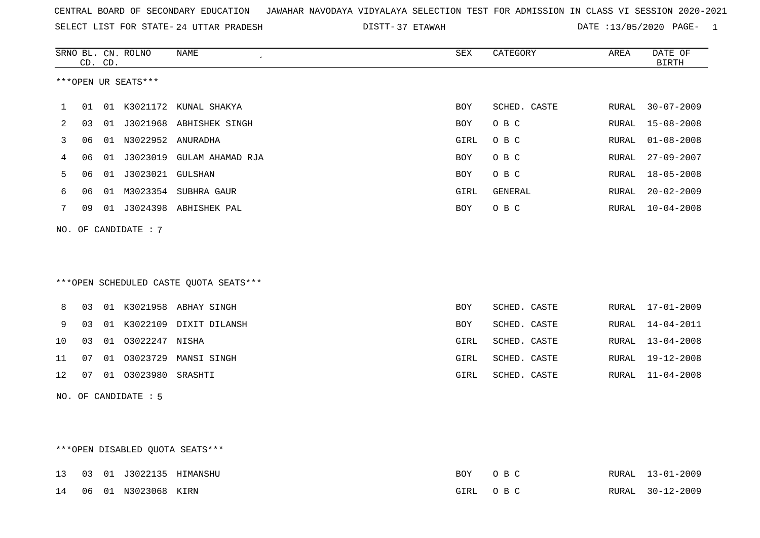|  |  |  |  | CENTRAL BOARD OF SECONDARY EDUCATION GJAWAHAR NAVODAYA VIDYALAYA SELECTION TEST FOR ADMISSION IN CLASS VI SESSION 2020-2021 |  |  |  |  |  |  |  |  |  |  |  |
|--|--|--|--|-----------------------------------------------------------------------------------------------------------------------------|--|--|--|--|--|--|--|--|--|--|--|
|--|--|--|--|-----------------------------------------------------------------------------------------------------------------------------|--|--|--|--|--|--|--|--|--|--|--|

SELECT LIST FOR STATE- DISTT- 24 UTTAR PRADESH 37 ETAWAH DATE :13/05/2020 PAGE- 1

|    |    | CD. CD. | SRNO BL. CN. ROLNO   | <b>NAME</b><br>$\cdot$                 | ${\tt SEX}$ | CATEGORY     | AREA  | DATE OF<br><b>BIRTH</b> |
|----|----|---------|----------------------|----------------------------------------|-------------|--------------|-------|-------------------------|
|    |    |         | ***OPEN UR SEATS***  |                                        |             |              |       |                         |
| 1  | 01 |         |                      | 01 K3021172 KUNAL SHAKYA               | <b>BOY</b>  | SCHED. CASTE | RURAL | $30 - 07 - 2009$        |
| 2  | 03 |         |                      | 01 J3021968 ABHISHEK SINGH             | <b>BOY</b>  | O B C        | RURAL | $15 - 08 - 2008$        |
| 3  | 06 |         | 01 N3022952 ANURADHA |                                        | GIRL        | O B C        | RURAL | $01 - 08 - 2008$        |
| 4  | 06 | 01      |                      | J3023019 GULAM AHAMAD RJA              | BOY         | O B C        | RURAL | $27 - 09 - 2007$        |
| 5  | 06 |         | 01 J3023021 GULSHAN  |                                        | BOY         | O B C        | RURAL | $18 - 05 - 2008$        |
| 6  | 06 | 01      |                      | M3023354 SUBHRA GAUR                   | GIRL        | GENERAL      | RURAL | $20 - 02 - 2009$        |
| 7  | 09 |         |                      | 01 J3024398 ABHISHEK PAL               | <b>BOY</b>  | O B C        | RURAL | $10 - 04 - 2008$        |
|    |    |         | NO. OF CANDIDATE : 7 |                                        |             |              |       |                         |
|    |    |         |                      | ***OPEN SCHEDULED CASTE OUOTA SEATS*** |             |              |       |                         |
| 8  | 03 |         |                      | 01 K3021958 ABHAY SINGH                | <b>BOY</b>  | SCHED. CASTE | RURAL | 17-01-2009              |
| 9  | 03 |         |                      | 01 K3022109 DIXIT DILANSH              | <b>BOY</b>  | SCHED. CASTE | RURAL | $14 - 04 - 2011$        |
| 10 | 03 | 01      | 03022247 NISHA       |                                        | GIRL        | SCHED. CASTE | RURAL | $13 - 04 - 2008$        |
| 11 | 07 |         |                      | 01 03023729 MANSI SINGH                | GIRL        | SCHED. CASTE | RURAL | $19 - 12 - 2008$        |
| 12 | 07 |         | 01 03023980          | SRASHTI                                | GIRL        | SCHED. CASTE | RURAL | $11 - 04 - 2008$        |
|    |    |         | NO. OF CANDIDATE : 5 |                                        |             |              |       |                         |

## \*\*\*OPEN DISABLED QUOTA SEATS\*\*\*

|  |                        | 13  03  01  J3022135  HIMANSHU | BOY. | OR C     | RURAL 13-01-2009 |
|--|------------------------|--------------------------------|------|----------|------------------|
|  | 14 06 01 N3023068 KIRN |                                |      | GIRL OBC | RURAL 30-12-2009 |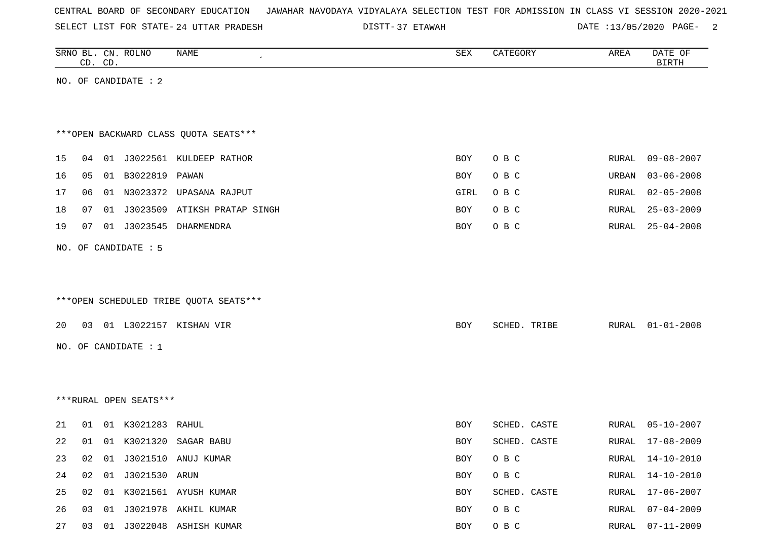| CENTRAL BOARD OF SECONDARY EDUCATION – JAWAHAR NAVODAYA VIDYALAYA SELECTION TEST FOR ADMISSION IN CLASS VI SESSION 2020-2021 |  |  |  |  |
|------------------------------------------------------------------------------------------------------------------------------|--|--|--|--|
|------------------------------------------------------------------------------------------------------------------------------|--|--|--|--|

SELECT LIST FOR STATE- DISTT- 24 UTTAR PRADESH

DISTT-37 ETAWAH 2000 CONTE :13/05/2020 PAGE- 2

|    |    | CD. CD. | SRNO BL. CN. ROLNO     | NAME                                   | SEX        | CATEGORY     | AREA  | DATE OF<br><b>BIRTH</b> |
|----|----|---------|------------------------|----------------------------------------|------------|--------------|-------|-------------------------|
|    |    |         | NO. OF CANDIDATE : 2   |                                        |            |              |       |                         |
|    |    |         |                        |                                        |            |              |       |                         |
|    |    |         |                        |                                        |            |              |       |                         |
|    |    |         |                        | *** OPEN BACKWARD CLASS QUOTA SEATS*** |            |              |       |                         |
| 15 | 04 |         |                        | 01 J3022561 KULDEEP RATHOR             | BOY        | O B C        | RURAL | $09 - 08 - 2007$        |
| 16 | 05 |         | 01 B3022819 PAWAN      |                                        | <b>BOY</b> | O B C        | URBAN | $03 - 06 - 2008$        |
| 17 | 06 |         |                        | 01 N3023372 UPASANA RAJPUT             | GIRL       | O B C        | RURAL | $02 - 05 - 2008$        |
| 18 | 07 |         |                        | 01 J3023509 ATIKSH PRATAP SINGH        | BOY        | O B C        | RURAL | $25 - 03 - 2009$        |
| 19 | 07 |         |                        |                                        | BOY        | O B C        | RURAL | $25 - 04 - 2008$        |
|    |    |         | NO. OF CANDIDATE : 5   |                                        |            |              |       |                         |
|    |    |         |                        |                                        |            |              |       |                         |
|    |    |         |                        |                                        |            |              |       |                         |
|    |    |         |                        | ***OPEN SCHEDULED TRIBE QUOTA SEATS*** |            |              |       |                         |
| 20 |    |         |                        | 03 01 L3022157 KISHAN VIR              | BOY        | SCHED. TRIBE | RURAL | $01 - 01 - 2008$        |
|    |    |         | NO. OF CANDIDATE : 1   |                                        |            |              |       |                         |
|    |    |         |                        |                                        |            |              |       |                         |
|    |    |         |                        |                                        |            |              |       |                         |
|    |    |         | ***RURAL OPEN SEATS*** |                                        |            |              |       |                         |
| 21 |    |         | 01 01 K3021283 RAHUL   |                                        | BOY        | SCHED. CASTE | RURAL | $05 - 10 - 2007$        |
| 22 |    |         |                        | 01 01 K3021320 SAGAR BABU              | BOY        | SCHED. CASTE | RURAL | 17-08-2009              |
| 23 | 02 |         |                        | 01 J3021510 ANUJ KUMAR                 | BOY        | O B C        | RURAL | $14 - 10 - 2010$        |
| 24 | 02 |         |                        |                                        | BOY        | O B C        | RURAL | $14 - 10 - 2010$        |
| 25 | 02 |         |                        | 01 K3021561 AYUSH KUMAR                | BOY        | SCHED. CASTE | RURAL | 17-06-2007              |
| 26 | 03 |         |                        | 01 J3021978 AKHIL KUMAR                | BOY        | $O$ B $C$    | RURAL | $07 - 04 - 2009$        |
| 27 |    |         |                        | 03 01 J3022048 ASHISH KUMAR            | BOY        | $O$ B $C$    | RURAL | $07 - 11 - 2009$        |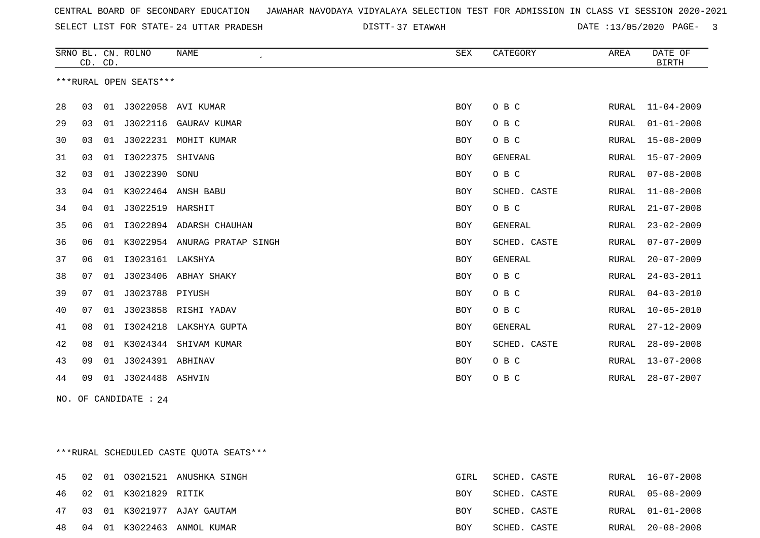SELECT LIST FOR STATE- DISTT- 24 UTTAR PRADESH

37 ETAWAH DATE :13/05/2020 PAGE- 3

|    |         |    | SRNO BL. CN. ROLNO     | <b>NAME</b>           | SEX        | CATEGORY       | AREA         | DATE OF          |
|----|---------|----|------------------------|-----------------------|------------|----------------|--------------|------------------|
|    | CD. CD. |    |                        |                       |            |                |              | <b>BIRTH</b>     |
|    |         |    | ***RURAL OPEN SEATS*** |                       |            |                |              |                  |
|    |         |    |                        |                       |            |                |              |                  |
| 28 | 03      | 01 | J3022058               | AVI KUMAR             | <b>BOY</b> | O B C          | RURAL        | $11 - 04 - 2009$ |
| 29 | 03      | 01 | J3022116               | GAURAV KUMAR          | <b>BOY</b> | O B C          | RURAL        | $01 - 01 - 2008$ |
| 30 | 03      | 01 | J3022231               | MOHIT KUMAR           | BOY        | O B C          | RURAL        | $15 - 08 - 2009$ |
| 31 | 03      | 01 | I3022375               | SHIVANG               | <b>BOY</b> | <b>GENERAL</b> | RURAL        | $15 - 07 - 2009$ |
| 32 | 03      | 01 | J3022390               | SONU                  | <b>BOY</b> | O B C          | RURAL        | $07 - 08 - 2008$ |
| 33 | 04      |    |                        | 01 K3022464 ANSH BABU | <b>BOY</b> | SCHED. CASTE   | RURAL        | $11 - 08 - 2008$ |
| 34 | 04      | 01 | J3022519 HARSHIT       |                       | <b>BOY</b> | O B C          | RURAL        | $21 - 07 - 2008$ |
| 35 | 06      | 01 | I3022894               | ADARSH CHAUHAN        | <b>BOY</b> | <b>GENERAL</b> | RURAL        | $23 - 02 - 2009$ |
| 36 | 06      | 01 | K3022954               | ANURAG PRATAP SINGH   | <b>BOY</b> | SCHED. CASTE   | RURAL        | $07 - 07 - 2009$ |
| 37 | 06      | 01 | I3023161 LAKSHYA       |                       | <b>BOY</b> | <b>GENERAL</b> | RURAL        | $20 - 07 - 2009$ |
| 38 | 07      | 01 | J3023406               | ABHAY SHAKY           | <b>BOY</b> | O B C          | RURAL        | $24 - 03 - 2011$ |
| 39 | 07      | 01 | J3023788 PIYUSH        |                       | <b>BOY</b> | O B C          | RURAL        | $04 - 03 - 2010$ |
| 40 | 07      | 01 |                        | J3023858 RISHI YADAV  | <b>BOY</b> | O B C          | RURAL        | $10 - 05 - 2010$ |
| 41 | 08      | 01 | I3024218               | LAKSHYA GUPTA         | <b>BOY</b> | <b>GENERAL</b> | RURAL        | $27 - 12 - 2009$ |
| 42 | 08      | 01 | K3024344               | SHIVAM KUMAR          | <b>BOY</b> | SCHED. CASTE   | RURAL        | $28 - 09 - 2008$ |
| 43 | 09      | 01 | J3024391 ABHINAV       |                       | <b>BOY</b> | O B C          | <b>RURAL</b> | $13 - 07 - 2008$ |
| 44 | 09      | 01 | J3024488               | ASHVIN                | <b>BOY</b> | O B C          | <b>RURAL</b> | $28 - 07 - 2007$ |
|    |         |    |                        |                       |            |                |              |                  |

NO. OF CANDIDATE : 24

\*\*\*RURAL SCHEDULED CASTE QUOTA SEATS\*\*\*

|  |                         | 45 02 01 03021521 ANUSHKA SINGH   | GIRL       | SCHED. CASTE | RURAL 16-07-2008 |
|--|-------------------------|-----------------------------------|------------|--------------|------------------|
|  | 46 02 01 K3021829 RITIK |                                   | BOY        | SCHED. CASTE | RURAL 05-08-2009 |
|  |                         | 47 03 01 K3021977 AJAY GAUTAM     | <b>BOY</b> | SCHED. CASTE | RURAL 01-01-2008 |
|  |                         | 48  04  01  K3022463  ANMOL KUMAR | BOY        | SCHED. CASTE | RURAL 20-08-2008 |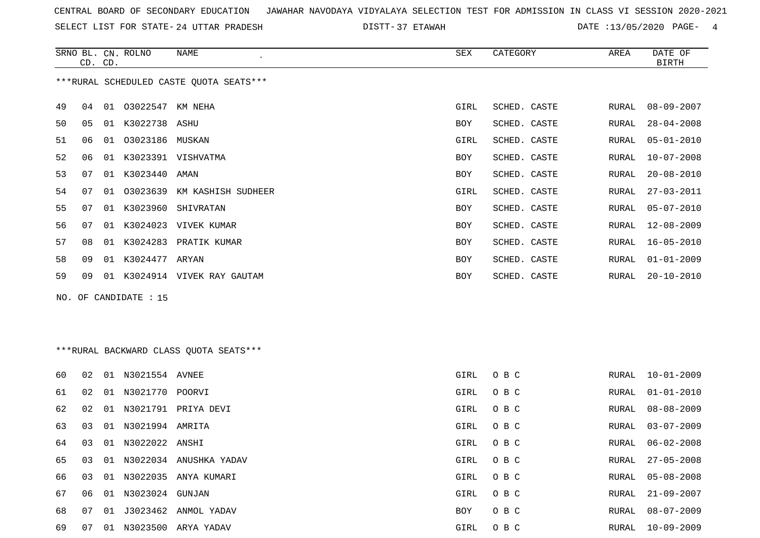SELECT LIST FOR STATE- DISTT- 24 UTTAR PRADESH

DISTT-37 ETAWAH 2000 DATE :13/05/2020 PAGE- 4

|    | CD. CD. |    | SRNO BL. CN. ROLNO    | NAME                                    | <b>SEX</b> | CATEGORY     | AREA  | DATE OF<br><b>BIRTH</b> |
|----|---------|----|-----------------------|-----------------------------------------|------------|--------------|-------|-------------------------|
|    |         |    |                       | ***RURAL SCHEDULED CASTE QUOTA SEATS*** |            |              |       |                         |
| 49 | 04      |    | 01 03022547 KM NEHA   |                                         | GIRL       | SCHED. CASTE | RURAL | $08 - 09 - 2007$        |
| 50 | 05      |    | 01 K3022738 ASHU      |                                         | BOY        | SCHED. CASTE | RURAL | $28 - 04 - 2008$        |
| 51 | 06      | 01 | 03023186 MUSKAN       |                                         | GIRL       | SCHED. CASTE | RURAL | $05 - 01 - 2010$        |
| 52 | 06      |    |                       | 01 K3023391 VISHVATMA                   | BOY        | SCHED. CASTE | RURAL | $10 - 07 - 2008$        |
| 53 | 07      |    | 01 K3023440 AMAN      |                                         | BOY        | SCHED. CASTE | RURAL | $20 - 08 - 2010$        |
| 54 | 07      | 01 |                       | 03023639 KM KASHISH SUDHEER             | GIRL       | SCHED. CASTE | RURAL | $27 - 03 - 2011$        |
| 55 | 07      |    | 01 K3023960           | SHIVRATAN                               | <b>BOY</b> | SCHED. CASTE | RURAL | $05 - 07 - 2010$        |
| 56 | 07      |    |                       | 01 K3024023 VIVEK KUMAR                 | BOY        | SCHED. CASTE | RURAL | $12 - 08 - 2009$        |
| 57 | 08      |    |                       | 01 K3024283 PRATIK KUMAR                | BOY        | SCHED. CASTE | RURAL | $16 - 05 - 2010$        |
| 58 | 09      |    | 01 K3024477 ARYAN     |                                         | BOY        | SCHED. CASTE | RURAL | $01 - 01 - 2009$        |
| 59 | 09      |    |                       | 01 K3024914 VIVEK RAY GAUTAM            | BOY        | SCHED. CASTE | RURAL | $20 - 10 - 2010$        |
|    |         |    | NO. OF CANDIDATE : 15 |                                         |            |              |       |                         |
|    |         |    |                       | *** RURAL BACKWARD CLASS QUOTA SEATS*** |            |              |       |                         |
|    |         |    |                       |                                         |            |              |       |                         |
| 60 | 02      |    | 01 N3021554 AVNEE     |                                         | GIRL       | O B C        | RURAL | $10 - 01 - 2009$        |
| 61 | 02      |    | 01 N3021770 POORVI    |                                         | GIRL       | O B C        | RURAL | $01 - 01 - 2010$        |
| 62 | 02      |    |                       | 01 N3021791 PRIYA DEVI                  | GIRL       | O B C        | RURAL | $08 - 08 - 2009$        |
| 63 | 03      |    | 01 N3021994 AMRITA    |                                         | GIRL       | O B C        | RURAL | $03 - 07 - 2009$        |

64 03 01 N3022022 ANSHI GIRL O B C RURAL 06-02-2008

65 03 01 N3022034 ANUSHKA YADAV GIRL O B C RURAL 27-05-2008

66 03 01 N3022035 ANYA KUMARI GIRL O B C

67 06 01 N3023024 GUNJAN GIRL O B C

68 07 01 J3023462 ANMOL YADAV BOY O BC

69 07 01 N3023500 ARYA YADAV GIRL O B C RURAL 10-09-2009

RURAL 03-07-2009 RURAL 06-02-2008 RURAL 05-08-2008 RURAL 21-09-2007

RURAL 08-07-2009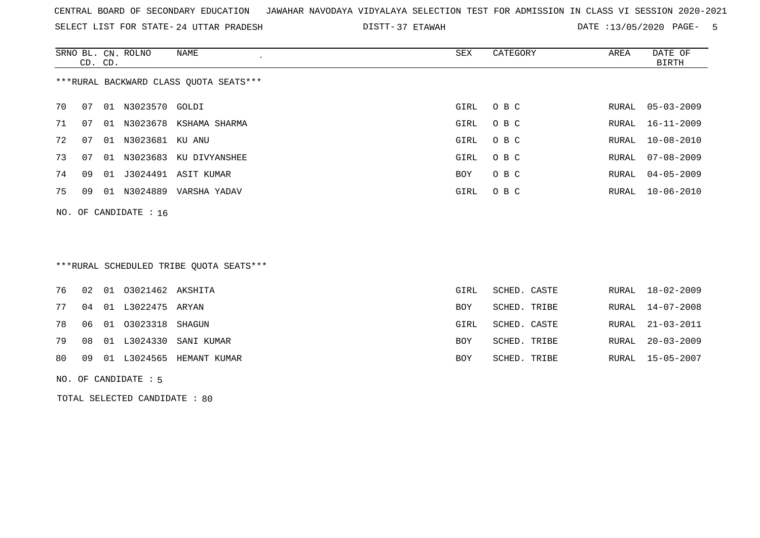SELECT LIST FOR STATE- DISTT- 24 UTTAR PRADESH

37 ETAWAH DATE :13/05/2020 PAGE- 5

|                                        | CD. CD. |    | SRNO BL. CN. ROLNO | NAME<br>$\cdot$ | SEX  | CATEGORY | AREA  | DATE OF<br>BIRTH |  |
|----------------------------------------|---------|----|--------------------|-----------------|------|----------|-------|------------------|--|
| ***RURAL BACKWARD CLASS QUOTA SEATS*** |         |    |                    |                 |      |          |       |                  |  |
| 70                                     | 07      | 01 | N3023570 GOLDI     |                 | GIRL | O B C    |       | RURAL 05-03-2009 |  |
| 71                                     | 07      | 01 | N3023678           | KSHAMA SHARMA   | GIRL | O B C    | RURAL | $16 - 11 - 2009$ |  |
| 72                                     | 07      | 01 | N3023681 KU ANU    |                 | GIRL | O B C    | RURAL | $10 - 08 - 2010$ |  |
| 73                                     | 07      | 01 | N3023683           | KU DIVYANSHEE   | GIRL | O B C    |       | RURAL 07-08-2009 |  |
| 74                                     | 09      | 01 | J3024491           | ASIT KUMAR      | BOY  | O B C    | RURAL | $04 - 05 - 2009$ |  |
| 75                                     | 09      | 01 | N3024889           | VARSHA YADAV    | GIRL | O B C    |       | RURAL 10-06-2010 |  |
| NO. OF CANDIDATE : $16$                |         |    |                    |                 |      |          |       |                  |  |

## \*\*\*RURAL SCHEDULED TRIBE QUOTA SEATS\*\*\*

|  | 76 02 01 03021462 AKSHITA |                                | GIRL | SCHED. CASTE | RURAL 18-02-2009 |
|--|---------------------------|--------------------------------|------|--------------|------------------|
|  | 77 04 01 L3022475 ARYAN   |                                | BOY  | SCHED. TRIBE | RURAL 14-07-2008 |
|  | 78 06 01 03023318 SHAGUN  |                                | GIRL | SCHED. CASTE | RURAL 21-03-2011 |
|  |                           | 79 08 01 L3024330 SANI KUMAR   | BOY  | SCHED. TRIBE | RURAL 20-03-2009 |
|  |                           | 80 09 01 L3024565 HEMANT KUMAR | BOY  | SCHED. TRIBE | RURAL 15-05-2007 |
|  |                           |                                |      |              |                  |

NO. OF CANDIDATE : 5

TOTAL SELECTED CANDIDATE : 80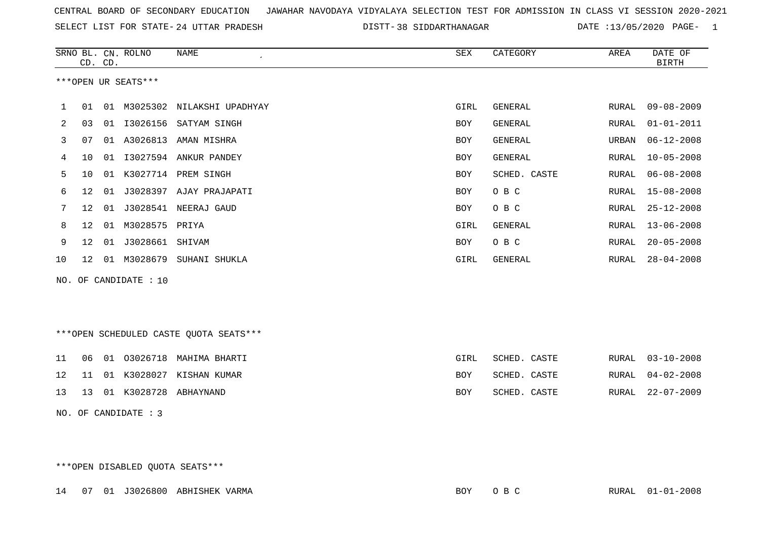SELECT LIST FOR STATE- DISTT- 24 UTTAR PRADESH

DISTT-38 SIDDARTHANAGAR DATE :13/05/2020 PAGE- 1

|    |                     | CD. CD. | SRNO BL. CN. ROLNO    | NAME<br>$\mathcal{L}_{\mathcal{A}}$ | SEX        | CATEGORY     | AREA  | DATE OF<br><b>BIRTH</b> |  |  |  |
|----|---------------------|---------|-----------------------|-------------------------------------|------------|--------------|-------|-------------------------|--|--|--|
|    | ***OPEN UR SEATS*** |         |                       |                                     |            |              |       |                         |  |  |  |
|    | 01                  | 01      |                       | M3025302 NILAKSHI UPADHYAY          | GIRL       | GENERAL      | RURAL | $09 - 08 - 2009$        |  |  |  |
| 2  | 03                  | 01      | I3026156              | SATYAM SINGH                        | <b>BOY</b> | GENERAL      | RURAL | $01 - 01 - 2011$        |  |  |  |
| 3  | 07                  | 01      | A3026813              | AMAN MISHRA                         | <b>BOY</b> | GENERAL      | URBAN | $06 - 12 - 2008$        |  |  |  |
| 4  | 10                  | 01      |                       | I3027594 ANKUR PANDEY               | BOY        | GENERAL      | RURAL | $10 - 05 - 2008$        |  |  |  |
| 5  | 10                  | 01      | K3027714              | PREM SINGH                          | <b>BOY</b> | SCHED. CASTE | RURAL | $06 - 08 - 2008$        |  |  |  |
| 6  | $12 \overline{ }$   | 01      |                       | J3028397 AJAY PRAJAPATI             | BOY        | O B C        | RURAL | 15-08-2008              |  |  |  |
| 7  | $12 \overline{ }$   | 01      | J3028541              | NEERAJ GAUD                         | BOY        | O B C        | RURAL | $25 - 12 - 2008$        |  |  |  |
| 8  | $12 \,$             | 01      | M3028575 PRIYA        |                                     | GIRL       | GENERAL      | RURAL | $13 - 06 - 2008$        |  |  |  |
| 9  | $12 \,$             | 01      | J3028661              | SHIVAM                              | <b>BOY</b> | O B C        | RURAL | $20 - 05 - 2008$        |  |  |  |
| 10 | 12                  | 01      | M3028679              | SUHANI SHUKLA                       | GIRL       | GENERAL      | RURAL | $28 - 04 - 2008$        |  |  |  |
|    |                     |         | NO. OF CANDIDATE : 10 |                                     |            |              |       |                         |  |  |  |

\*\*\*OPEN SCHEDULED CASTE QUOTA SEATS\*\*\*

|  |  | 11    06    01    03026718    MAHIMA    BHARTI | GIRL | SCHED. CASTE |  | RURAL 03-10-2008 |
|--|--|------------------------------------------------|------|--------------|--|------------------|
|  |  | 12 11 01 K3028027 KISHAN KUMAR                 | BOY  | SCHED. CASTE |  | RURAL 04-02-2008 |
|  |  | 13   13   01   K3028728   ABHAYNAND            | BOY  | SCHED. CASTE |  | RURAL 22-07-2009 |

NO. OF CANDIDATE : 3

\*\*\*OPEN DISABLED QUOTA SEATS\*\*\*

14 07 01 J3026800 ABHISHEK VARMA BOY O B C RURAL 01-01-2008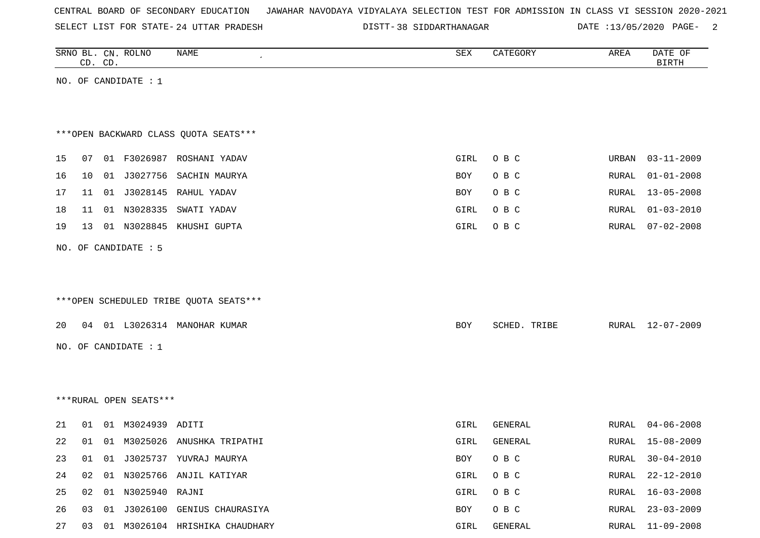SELECT LIST FOR STATE- DISTT- 24 UTTAR PRADESH

38 SIDDARTHANAGAR DATE :13/05/2020 PAGE- 2

|    |    | CD. CD. | SRNO BL. CN. ROLNO     | <b>NAME</b>                            | ${\tt SEX}$ | CATEGORY     | AREA         | DATE OF<br><b>BIRTH</b> |
|----|----|---------|------------------------|----------------------------------------|-------------|--------------|--------------|-------------------------|
|    |    |         | NO. OF CANDIDATE : 1   |                                        |             |              |              |                         |
|    |    |         |                        |                                        |             |              |              |                         |
|    |    |         |                        |                                        |             |              |              |                         |
|    |    |         |                        | *** OPEN BACKWARD CLASS QUOTA SEATS*** |             |              |              |                         |
| 15 | 07 |         |                        | 01 F3026987 ROSHANI YADAV              | GIRL        | O B C        | URBAN        | $03 - 11 - 2009$        |
| 16 | 10 |         |                        | 01 J3027756 SACHIN MAURYA              | BOY         | O B C        | RURAL        | $01 - 01 - 2008$        |
| 17 | 11 |         |                        | 01 J3028145 RAHUL YADAV                | BOY         | O B C        | RURAL        | $13 - 05 - 2008$        |
| 18 | 11 |         | 01 N3028335            | SWATI YADAV                            | GIRL        | O B C        | RURAL        | $01 - 03 - 2010$        |
| 19 | 13 |         |                        | 01 N3028845 KHUSHI GUPTA               | GIRL        | O B C        | RURAL        | $07 - 02 - 2008$        |
|    |    |         | NO. OF CANDIDATE : 5   |                                        |             |              |              |                         |
|    |    |         |                        |                                        |             |              |              |                         |
|    |    |         |                        |                                        |             |              |              |                         |
|    |    |         |                        | ***OPEN SCHEDULED TRIBE QUOTA SEATS*** |             |              |              |                         |
| 20 |    |         |                        | 04 01 L3026314 MANOHAR KUMAR           | BOY         | SCHED. TRIBE | RURAL        | $12 - 07 - 2009$        |
|    |    |         | NO. OF CANDIDATE $: 1$ |                                        |             |              |              |                         |
|    |    |         |                        |                                        |             |              |              |                         |
|    |    |         |                        |                                        |             |              |              |                         |
|    |    |         | ***RURAL OPEN SEATS*** |                                        |             |              |              |                         |
|    |    |         |                        |                                        |             |              |              |                         |
| 21 | 01 |         | 01 M3024939 ADITI      |                                        | GIRL        | GENERAL      | RURAL        | $04 - 06 - 2008$        |
| 22 | 01 |         |                        | 01 M3025026 ANUSHKA TRIPATHI           | GIRL        | GENERAL      | <b>RURAL</b> | $15 - 08 - 2009$        |
| 23 | 01 |         |                        | 01 J3025737 YUVRAJ MAURYA              | BOY         | O B C        | RURAL        | $30 - 04 - 2010$        |
| 24 | 02 |         |                        | 01 N3025766 ANJIL KATIYAR              | GIRL        | O B C        | RURAL        | $22 - 12 - 2010$        |
| 25 | 02 |         | 01 N3025940 RAJNI      |                                        | GIRL        | O B C        | RURAL        | $16 - 03 - 2008$        |
| 26 | 03 |         |                        | 01 J3026100 GENIUS CHAURASIYA          | BOY         | O B C        | RURAL        | $23 - 03 - 2009$        |
| 27 | 03 |         |                        | 01 M3026104 HRISHIKA CHAUDHARY         | GIRL        | GENERAL      | RURAL        | $11 - 09 - 2008$        |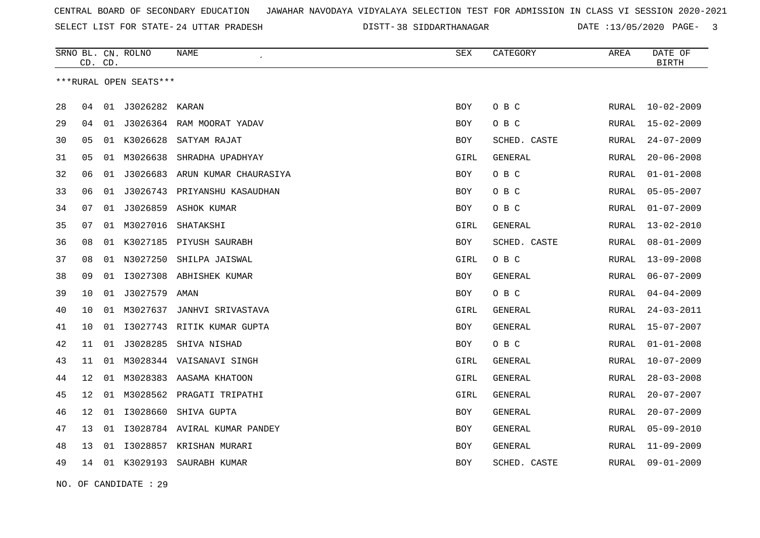SELECT LIST FOR STATE- DISTT- 24 UTTAR PRADESH

38 SIDDARTHANAGAR DATE :13/05/2020 PAGE- 3

|    | CD. CD.         |    | SRNO BL. CN. ROLNO     | <b>NAME</b>                  | SEX        | CATEGORY       | AREA         | DATE OF<br><b>BIRTH</b> |
|----|-----------------|----|------------------------|------------------------------|------------|----------------|--------------|-------------------------|
|    |                 |    | ***RURAL OPEN SEATS*** |                              |            |                |              |                         |
| 28 | 04              | 01 | J3026282               | KARAN                        | <b>BOY</b> | O B C          | RURAL        | $10 - 02 - 2009$        |
| 29 | 04              | 01 |                        | J3026364 RAM MOORAT YADAV    | <b>BOY</b> | O B C          | <b>RURAL</b> | $15 - 02 - 2009$        |
| 30 | 05              | 01 | K3026628               | SATYAM RAJAT                 | <b>BOY</b> | SCHED. CASTE   | <b>RURAL</b> | $24 - 07 - 2009$        |
| 31 | 05              | 01 | M3026638               | SHRADHA UPADHYAY             | GIRL       | <b>GENERAL</b> | RURAL        | $20 - 06 - 2008$        |
| 32 | 06              | 01 | J3026683               | ARUN KUMAR CHAURASIYA        | BOY        | O B C          | RURAL        | $01 - 01 - 2008$        |
| 33 | 06              | 01 | J3026743               | PRIYANSHU KASAUDHAN          | BOY        | O B C          | RURAL        | $05 - 05 - 2007$        |
| 34 | 07              | 01 | J3026859               | ASHOK KUMAR                  | BOY        | O B C          | <b>RURAL</b> | $01 - 07 - 2009$        |
| 35 | 07              | 01 | M3027016               | SHATAKSHI                    | GIRL       | <b>GENERAL</b> | RURAL        | $13 - 02 - 2010$        |
| 36 | 08              | 01 | K3027185               | PIYUSH SAURABH               | BOY        | SCHED. CASTE   | RURAL        | $08 - 01 - 2009$        |
| 37 | 08              | 01 | N3027250               | SHILPA JAISWAL               | GIRL       | O B C          | <b>RURAL</b> | $13 - 09 - 2008$        |
| 38 | 09              | 01 | I3027308               | ABHISHEK KUMAR               | BOY        | <b>GENERAL</b> | RURAL        | $06 - 07 - 2009$        |
| 39 | 10              | 01 | J3027579 AMAN          |                              | <b>BOY</b> | O B C          | RURAL        | $04 - 04 - 2009$        |
| 40 | 10              | 01 | M3027637               | JANHVI SRIVASTAVA            | GIRL       | <b>GENERAL</b> | <b>RURAL</b> | $24 - 03 - 2011$        |
| 41 | 10              | 01 |                        | 13027743 RITIK KUMAR GUPTA   | BOY        | GENERAL        | RURAL        | $15 - 07 - 2007$        |
| 42 | 11              | 01 | J3028285               | SHIVA NISHAD                 | BOY        | O B C          | <b>RURAL</b> | $01 - 01 - 2008$        |
| 43 | 11              |    |                        | 01 M3028344 VAISANAVI SINGH  | GIRL       | GENERAL        | <b>RURAL</b> | $10 - 07 - 2009$        |
| 44 | 12              | 01 |                        | M3028383 AASAMA KHATOON      | GIRL       | GENERAL        | RURAL        | $28 - 03 - 2008$        |
| 45 | 12 <sup>°</sup> | 01 |                        | M3028562 PRAGATI TRIPATHI    | GIRL       | <b>GENERAL</b> | <b>RURAL</b> | $20 - 07 - 2007$        |
| 46 | 12              | 01 | I3028660               | SHIVA GUPTA                  | BOY        | GENERAL        | RURAL        | $20 - 07 - 2009$        |
| 47 | 13              | 01 |                        | 13028784 AVIRAL KUMAR PANDEY | <b>BOY</b> | <b>GENERAL</b> | <b>RURAL</b> | $05 - 09 - 2010$        |
| 48 | 13              | 01 | I3028857               | KRISHAN MURARI               | BOY        | <b>GENERAL</b> | RURAL        | $11 - 09 - 2009$        |
| 49 | 14              |    |                        | 01 K3029193 SAURABH KUMAR    | <b>BOY</b> | SCHED. CASTE   | RURAL        | $09 - 01 - 2009$        |

NO. OF CANDIDATE : 29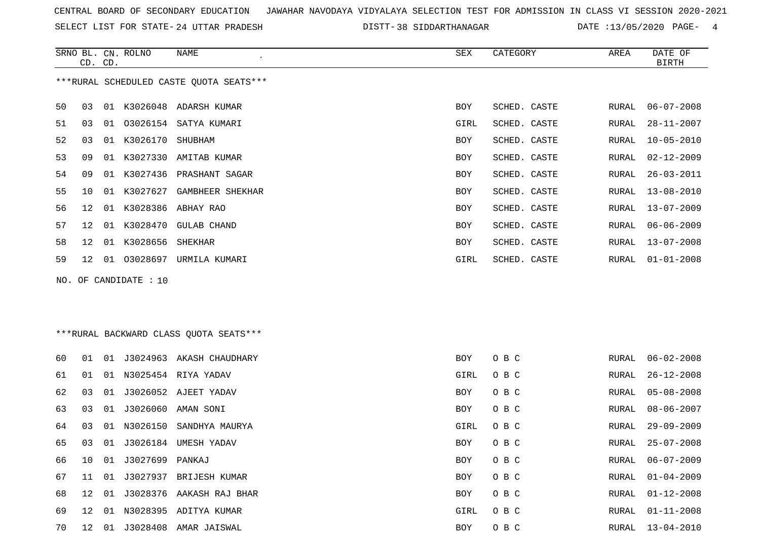SELECT LIST FOR STATE- DISTT- 24 UTTAR PRADESH

38 SIDDARTHANAGAR DATE :13/05/2020 PAGE- 4

|    | CD. CD.                                 |    | SRNO BL. CN. ROLNO | NAME<br>$\cdot$         | SEX        | CATEGORY     | AREA  | DATE OF<br>BIRTH |  |  |  |
|----|-----------------------------------------|----|--------------------|-------------------------|------------|--------------|-------|------------------|--|--|--|
|    | ***RURAL SCHEDULED CASTE QUOTA SEATS*** |    |                    |                         |            |              |       |                  |  |  |  |
| 50 | 03                                      | 01 | K3026048           | ADARSH KUMAR            | <b>BOY</b> | SCHED. CASTE | RURAL | $06 - 07 - 2008$ |  |  |  |
| 51 | 03                                      | 01 |                    | 03026154 SATYA KUMARI   | GIRL       | SCHED. CASTE | RURAL | $28 - 11 - 2007$ |  |  |  |
| 52 | 03                                      | 01 | K3026170           | SHUBHAM                 | BOY        | SCHED. CASTE | RURAL | $10 - 05 - 2010$ |  |  |  |
| 53 | 09                                      | 01 | K3027330           | AMITAB KUMAR            | BOY        | SCHED. CASTE | RURAL | $02 - 12 - 2009$ |  |  |  |
| 54 | 09                                      | 01 |                    | K3027436 PRASHANT SAGAR | BOY        | SCHED. CASTE | RURAL | $26 - 03 - 2011$ |  |  |  |
| 55 | 10                                      | 01 | K3027627           | GAMBHEER SHEKHAR        | BOY        | SCHED. CASTE | RURAL | $13 - 08 - 2010$ |  |  |  |
| 56 | 12                                      | 01 | K3028386           | ABHAY RAO               | BOY        | SCHED. CASTE | RURAL | $13 - 07 - 2009$ |  |  |  |
| 57 | 12                                      | 01 | K3028470           | <b>GULAB CHAND</b>      | BOY        | SCHED. CASTE | RURAL | $06 - 06 - 2009$ |  |  |  |
| 58 | 12 <sup>°</sup>                         | 01 | K3028656           | SHEKHAR                 | BOY        | SCHED. CASTE | RURAL | $13 - 07 - 2008$ |  |  |  |
| 59 | 12 <sup>°</sup>                         | 01 | 03028697           | URMILA KUMARI           | GIRL       | SCHED. CASTE | RURAL | $01 - 01 - 2008$ |  |  |  |
|    |                                         |    |                    |                         |            |              |       |                  |  |  |  |

\*\*\*RURAL BACKWARD CLASS QUOTA SEATS\*\*\*

NO. OF CANDIDATE : 10

| 60 | O 1             |    |                    | 01 J3024963 AKASH CHAUDHARY | <b>BOY</b> | O B C |       | RURAL 06-02-2008 |
|----|-----------------|----|--------------------|-----------------------------|------------|-------|-------|------------------|
| 61 | . N 1           |    |                    | 01 N3025454 RIYA YADAV      | GIRL       | O B C |       | RURAL 26-12-2008 |
| 62 | 03              |    |                    | 01 J3026052 AJEET YADAV     | BOY        | O B C |       | RURAL 05-08-2008 |
| 63 | 03              |    |                    | 01 J3026060 AMAN SONI       | BOY        | O B C | RURAL | 08-06-2007       |
| 64 | 03              |    |                    | 01 N3026150 SANDHYA MAURYA  | GIRL       | O B C | RURAL | 29-09-2009       |
| 65 | 03              | 01 | J3026184           | UMESH YADAV                 | BOY        | O B C | RURAL | $25 - 07 - 2008$ |
| 66 | 10              |    | 01 J3027699 PANKAJ |                             | BOY        | O B C | RURAL | 06-07-2009       |
| 67 | 11              |    | 01 J3027937        | BRIJESH KUMAR               | <b>BOY</b> | O B C | RURAL | 01-04-2009       |
| 68 | 12              | 01 |                    | J3028376 AAKASH RAJ BHAR    | <b>BOY</b> | O B C |       | RURAL 01-12-2008 |
| 69 | 12 <sup>°</sup> | 01 |                    | N3028395 ADITYA KUMAR       | GIRL       | O B C | RURAL | $01 - 11 - 2008$ |
| 70 | 12              | 01 |                    | J3028408 AMAR JAISWAL       | BOY        | O B C | RURAL | 13-04-2010       |
|    |                 |    |                    |                             |            |       |       |                  |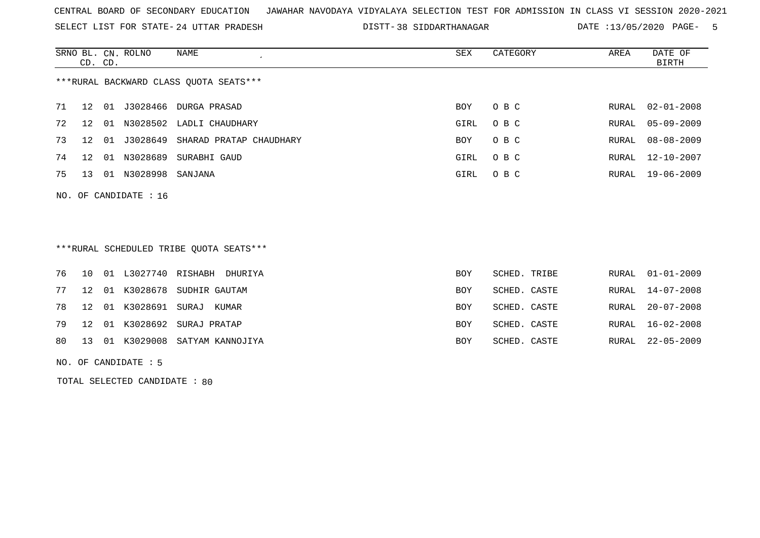SELECT LIST FOR STATE- DISTT- 24 UTTAR PRADESH

38 SIDDARTHANAGAR DATE :13/05/2020 PAGE- 5

|    | CD. CD.              |    | SRNO BL. CN. ROLNO | NAME<br>$\cdot$                        | SEX        | CATEGORY | AREA  | DATE OF<br>BIRTH |  |  |
|----|----------------------|----|--------------------|----------------------------------------|------------|----------|-------|------------------|--|--|
|    |                      |    |                    | ***RURAL BACKWARD CLASS OUOTA SEATS*** |            |          |       |                  |  |  |
| 71 | 12 <sup>°</sup>      | 01 | J3028466           | DURGA PRASAD                           | <b>BOY</b> | O B C    | RURAL | $02 - 01 - 2008$ |  |  |
| 72 | 12 <sup>°</sup>      | 01 | N3028502           | LADLI CHAUDHARY                        | GIRL       | O B C    | RURAL | $05 - 09 - 2009$ |  |  |
| 73 | 12.                  | 01 | J3028649           | SHARAD PRATAP CHAUDHARY                | <b>BOY</b> | O B C    | RURAL | $08 - 08 - 2009$ |  |  |
| 74 | 12 <sup>°</sup>      | 01 | N3028689           | SURABHI GAUD                           | GIRL       | O B C    | RURAL | $12 - 10 - 2007$ |  |  |
| 75 | 13                   | 01 | N3028998           | SANJANA                                | GIRL       | O B C    | RURAL | $19 - 06 - 2009$ |  |  |
|    | NO. OF CANDIDATE: 16 |    |                    |                                        |            |          |       |                  |  |  |

## \*\*\*RURAL SCHEDULED TRIBE QUOTA SEATS\*\*\*

|  |  | 76 10 01 L3027740 RISHABH DHURIYA  | BOY        | SCHED. TRIBE | RURAL 01-01-2009 |
|--|--|------------------------------------|------------|--------------|------------------|
|  |  | 77 12 01 K3028678 SUDHIR GAUTAM    | BOY        | SCHED. CASTE | RURAL 14-07-2008 |
|  |  | 78 12 01 K3028691 SURAJ KUMAR      | BOY        | SCHED. CASTE | RURAL 20-07-2008 |
|  |  | 79 12 01 K3028692 SURAJ PRATAP     | BOY        | SCHED. CASTE | RURAL 16-02-2008 |
|  |  | 80 13 01 K3029008 SATYAM KANNOJIYA | <b>BOY</b> | SCHED. CASTE | RURAL 22-05-2009 |

NO. OF CANDIDATE : 5

TOTAL SELECTED CANDIDATE : 80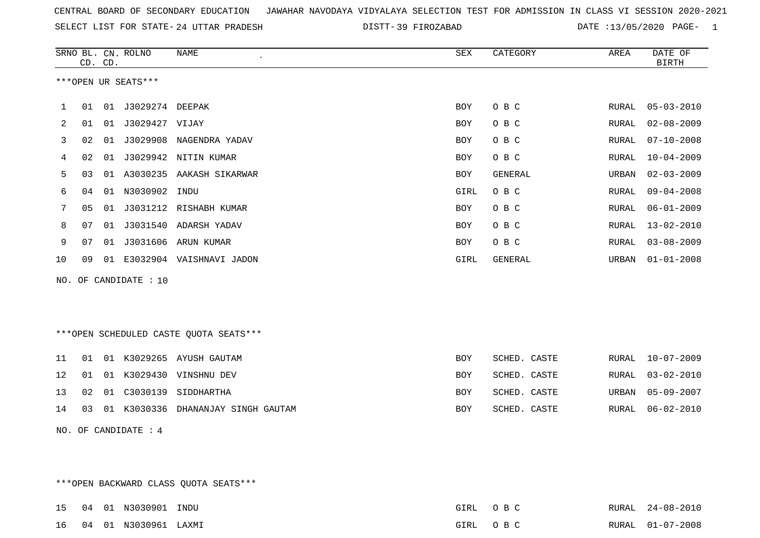SELECT LIST FOR STATE- DISTT- 24 UTTAR PRADESH

39 FIROZABAD DATE :13/05/2020 PAGE- 1

|    |    | CD. CD. | SRNO BL. CN. ROLNO     | NAME                                   | ${\tt SEX}$ | CATEGORY     | AREA  | DATE OF<br><b>BIRTH</b> |
|----|----|---------|------------------------|----------------------------------------|-------------|--------------|-------|-------------------------|
|    |    |         | ***OPEN UR SEATS***    |                                        |             |              |       |                         |
| 1  | 01 |         | 01 J3029274 DEEPAK     |                                        | <b>BOY</b>  | O B C        | RURAL | $05 - 03 - 2010$        |
| 2  | 01 | 01      | J3029427 VIJAY         |                                        | <b>BOY</b>  | O B C        | RURAL | $02 - 08 - 2009$        |
| 3  | 02 |         |                        | 01 J3029908 NAGENDRA YADAV             | BOY         | O B C        | RURAL | $07 - 10 - 2008$        |
| 4  | 02 |         |                        | 01 J3029942 NITIN KUMAR                | <b>BOY</b>  | O B C        | RURAL | $10 - 04 - 2009$        |
| 5  | 03 |         |                        | 01 A3030235 AAKASH SIKARWAR            | BOY         | GENERAL      | URBAN | $02 - 03 - 2009$        |
| 6  | 04 |         | 01 N3030902 INDU       |                                        | GIRL        | O B C        | RURAL | $09 - 04 - 2008$        |
| 7  | 05 |         |                        | 01 J3031212 RISHABH KUMAR              | <b>BOY</b>  | O B C        | RURAL | $06 - 01 - 2009$        |
| 8  | 07 |         |                        | 01 J3031540 ADARSH YADAV               | <b>BOY</b>  | O B C        | RURAL | $13 - 02 - 2010$        |
| 9  | 07 |         |                        | 01 J3031606 ARUN KUMAR                 | BOY         | O B C        | RURAL | $03 - 08 - 2009$        |
| 10 | 09 |         |                        | 01 E3032904 VAISHNAVI JADON            | GIRL        | GENERAL      | URBAN | $01 - 01 - 2008$        |
|    |    |         | NO. OF CANDIDATE : 10  |                                        |             |              |       |                         |
|    |    |         |                        | ***OPEN SCHEDULED CASTE QUOTA SEATS*** |             |              |       |                         |
| 11 | 01 |         |                        | 01 K3029265 AYUSH GAUTAM               | <b>BOY</b>  | SCHED. CASTE | RURAL | $10 - 07 - 2009$        |
| 12 | 01 |         |                        | 01 K3029430 VINSHNU DEV                | BOY         | SCHED. CASTE | RURAL | $03 - 02 - 2010$        |
| 13 | 02 | 01      | C3030139               | SIDDHARTHA                             | BOY         | SCHED. CASTE | URBAN | $05 - 09 - 2007$        |
| 14 | 03 |         |                        | 01 K3030336 DHANANJAY SINGH GAUTAM     | BOY         | SCHED. CASTE | RURAL | $06 - 02 - 2010$        |
|    |    |         | NO. OF CANDIDATE : $4$ |                                        |             |              |       |                         |

\*\*\*OPEN BACKWARD CLASS QUOTA SEATS\*\*\*

|  | 15  04  01  N3030901  INDU  | GIRL | O R C | RURAL 24-08-2010 |
|--|-----------------------------|------|-------|------------------|
|  | 16  04  01  N3030961  LAXMI | GIRL | O R C | RURAL 01-07-2008 |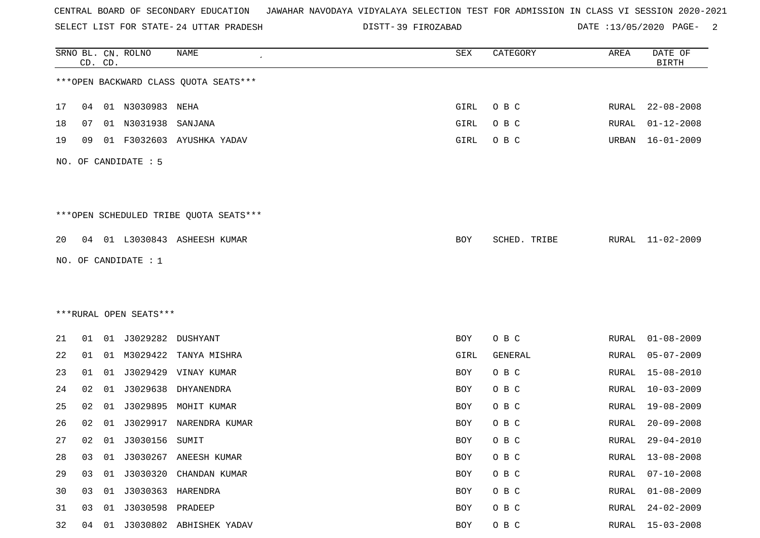SELECT LIST FOR STATE- DISTT- 24 UTTAR PRADESH

39 FIROZABAD DATE :13/05/2020 PAGE- 2

|    |    | CD. CD. | SRNO BL. CN. ROLNO     | NAME                                   | SEX        | CATEGORY     | AREA         | DATE OF<br><b>BIRTH</b> |
|----|----|---------|------------------------|----------------------------------------|------------|--------------|--------------|-------------------------|
|    |    |         |                        | *** OPEN BACKWARD CLASS QUOTA SEATS*** |            |              |              |                         |
| 17 | 04 |         | 01 N3030983 NEHA       |                                        | GIRL       | O B C        | RURAL        | $22 - 08 - 2008$        |
| 18 | 07 |         | 01 N3031938            | SANJANA                                | GIRL       | O B C        | RURAL        | $01 - 12 - 2008$        |
| 19 | 09 |         |                        | 01 F3032603 AYUSHKA YADAV              | GIRL       | O B C        | URBAN        | $16 - 01 - 2009$        |
|    |    |         | NO. OF CANDIDATE : 5   |                                        |            |              |              |                         |
|    |    |         |                        | ***OPEN SCHEDULED TRIBE QUOTA SEATS*** |            |              |              |                         |
| 20 |    |         |                        | 04 01 L3030843 ASHEESH KUMAR           | BOY        | SCHED. TRIBE |              | RURAL 11-02-2009        |
|    |    |         | NO. OF CANDIDATE : 1   |                                        |            |              |              |                         |
|    |    |         |                        |                                        |            |              |              |                         |
|    |    |         |                        |                                        |            |              |              |                         |
|    |    |         | ***RURAL OPEN SEATS*** |                                        |            |              |              |                         |
| 21 | 01 |         | 01 J3029282 DUSHYANT   |                                        | BOY        | O B C        | RURAL        | $01 - 08 - 2009$        |
| 22 | 01 |         |                        | 01 M3029422 TANYA MISHRA               | GIRL       | GENERAL      | RURAL        | $05 - 07 - 2009$        |
| 23 | 01 | 01      |                        | J3029429 VINAY KUMAR                   | BOY        | O B C        | <b>RURAL</b> | $15 - 08 - 2010$        |
| 24 | 02 | 01      | J3029638               | DHYANENDRA                             | BOY        | O B C        | <b>RURAL</b> | $10 - 03 - 2009$        |
| 25 | 02 | 01      | J3029895               | MOHIT KUMAR                            | BOY        | O B C        | RURAL        | $19 - 08 - 2009$        |
| 26 | 02 | 01      | J3029917               | NARENDRA KUMAR                         | BOY        | O B C        | RURAL        | $20 - 09 - 2008$        |
| 27 | 02 |         | 01 J3030156 SUMIT      |                                        | <b>BOY</b> | O B C        | RURAL        | $29 - 04 - 2010$        |
| 28 | 03 |         |                        | 01 J3030267 ANEESH KUMAR               | <b>BOY</b> | O B C        | <b>RURAL</b> | $13 - 08 - 2008$        |
| 29 | 03 |         |                        | 01 J3030320 CHANDAN KUMAR              | BOY        | O B C        | <b>RURAL</b> | $07 - 10 - 2008$        |
| 30 | 03 |         |                        |                                        | BOY        | O B C        | RURAL        | $01 - 08 - 2009$        |
| 31 | 03 | 01      | J3030598 PRADEEP       |                                        | BOY        | O B C        | <b>RURAL</b> | $24 - 02 - 2009$        |
| 32 | 04 |         |                        | 01 J3030802 ABHISHEK YADAV             | BOY        | O B C        | RURAL        | $15 - 03 - 2008$        |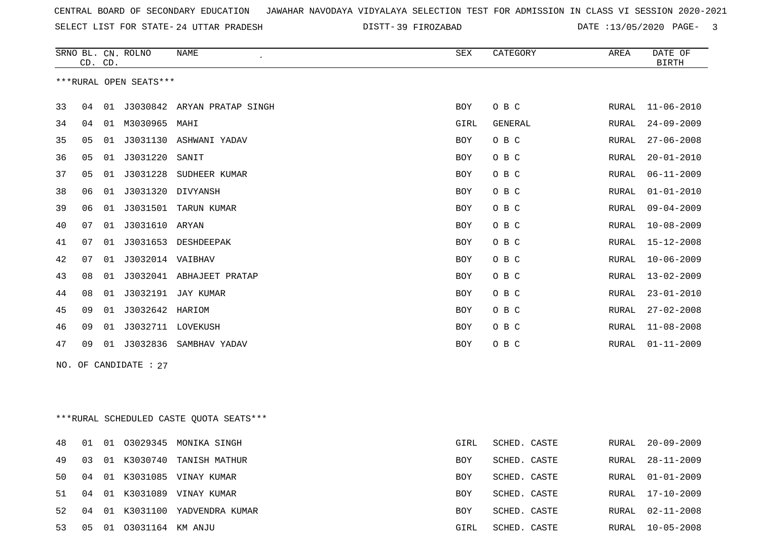SELECT LIST FOR STATE- DISTT- 24 UTTAR PRADESH

39 FIROZABAD DATE :13/05/2020 PAGE- 3

|                        |    |         | SRNO BL. CN. ROLNO    | <b>NAME</b>                 | <b>SEX</b> | CATEGORY       | AREA  | DATE OF          |  |  |
|------------------------|----|---------|-----------------------|-----------------------------|------------|----------------|-------|------------------|--|--|
|                        |    | CD. CD. |                       |                             |            |                |       | <b>BIRTH</b>     |  |  |
| ***RURAL OPEN SEATS*** |    |         |                       |                             |            |                |       |                  |  |  |
|                        |    |         |                       |                             |            |                |       |                  |  |  |
| 33                     | 04 | 01      |                       | J3030842 ARYAN PRATAP SINGH | BOY        | O B C          | RURAL | $11 - 06 - 2010$ |  |  |
| 34                     | 04 | 01      | M3030965              | MAHI                        | GIRL       | <b>GENERAL</b> | RURAL | $24 - 09 - 2009$ |  |  |
| 35                     | 05 | 01      |                       | J3031130 ASHWANI YADAV      | <b>BOY</b> | O B C          | RURAL | $27 - 06 - 2008$ |  |  |
| 36                     | 05 | 01      | J3031220              | SANIT                       | BOY        | O B C          | RURAL | $20 - 01 - 2010$ |  |  |
| 37                     | 05 | 01      | J3031228              | SUDHEER KUMAR               | BOY        | O B C          | RURAL | $06 - 11 - 2009$ |  |  |
| 38                     | 06 | 01      | J3031320 DIVYANSH     |                             | BOY        | O B C          | RURAL | $01 - 01 - 2010$ |  |  |
| 39                     | 06 | 01      |                       | J3031501 TARUN KUMAR        | BOY        | O B C          | RURAL | $09 - 04 - 2009$ |  |  |
| 40                     | 07 | 01      | J3031610 ARYAN        |                             | <b>BOY</b> | O B C          | RURAL | $10 - 08 - 2009$ |  |  |
| 41                     | 07 | 01      | J3031653              | DESHDEEPAK                  | BOY        | O B C          | RURAL | $15 - 12 - 2008$ |  |  |
| 42                     | 07 | 01      | J3032014 VAIBHAV      |                             | BOY        | O B C          | RURAL | $10 - 06 - 2009$ |  |  |
| 43                     | 08 | 01      | J3032041              | ABHAJEET PRATAP             | BOY        | O B C          | RURAL | $13 - 02 - 2009$ |  |  |
| 44                     | 08 | 01      | J3032191              | JAY KUMAR                   | BOY        | O B C          | RURAL | $23 - 01 - 2010$ |  |  |
| 45                     | 09 | 01      | J3032642              | HARIOM                      | BOY        | O B C          | RURAL | $27 - 02 - 2008$ |  |  |
| 46                     | 09 | 01      | J3032711              | LOVEKUSH                    | BOY        | O B C          | RURAL | $11 - 08 - 2008$ |  |  |
| 47                     | 09 | 01      | J3032836              | SAMBHAV YADAV               | <b>BOY</b> | O B C          | RURAL | $01 - 11 - 2009$ |  |  |
|                        |    |         | NO. OF CANDIDATE : 27 |                             |            |                |       |                  |  |  |

\*\*\*RURAL SCHEDULED CASTE QUOTA SEATS\*\*\*

| 48  | -01 | 01 |                  | 03029345 MONIKA SINGH       | GIRL       | SCHED. CASTE | RURAL | 20-09-2009       |
|-----|-----|----|------------------|-----------------------------|------------|--------------|-------|------------------|
| 49  | 03  |    |                  | 01 K3030740 TANISH MATHUR   | BOY        | SCHED. CASTE | RURAL | 28-11-2009       |
| 50. | 04  |    |                  | 01 K3031085 VINAY KUMAR     | BOY        | SCHED. CASTE |       | RURAL 01-01-2009 |
| 51  | 04  |    |                  | 01 K3031089 VINAY KUMAR     | <b>BOY</b> | SCHED, CASTE |       | RURAL 17-10-2009 |
| 52. | 04  |    |                  | 01 K3031100 YADVENDRA KUMAR | <b>BOY</b> | SCHED. CASTE | RURAL | 02-11-2008       |
| 53  | 05  | 01 | 03031164 KM ANJU |                             | GIRL       | SCHED. CASTE | RURAL | $10 - 05 - 2008$ |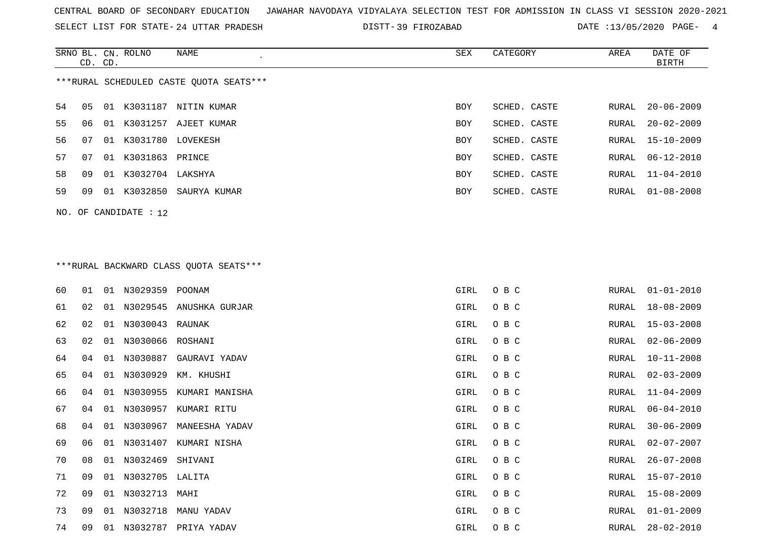SELECT LIST FOR STATE- DISTT- 24 UTTAR PRADESH

39 FIROZABAD DATE :13/05/2020 PAGE- 4

|                                         | CD. CD. |     | SRNO BL. CN. ROLNO | NAME         | SEX        | CATEGORY     | AREA  | DATE OF<br>BIRTH |  |  |
|-----------------------------------------|---------|-----|--------------------|--------------|------------|--------------|-------|------------------|--|--|
| ***RURAL SCHEDULED CASTE QUOTA SEATS*** |         |     |                    |              |            |              |       |                  |  |  |
| 54                                      | 05      | -01 | K3031187           | NITIN KUMAR  | <b>BOY</b> | SCHED. CASTE | RURAL | $20 - 06 - 2009$ |  |  |
| 55                                      | 06      | -01 | K3031257           | AJEET KUMAR  | <b>BOY</b> | SCHED. CASTE | RURAL | $20 - 02 - 2009$ |  |  |
| 56                                      | 07      | O 1 | K3031780 LOVEKESH  |              | <b>BOY</b> | SCHED. CASTE |       | RURAL 15-10-2009 |  |  |
| 57                                      | 07      | 01  | K3031863 PRINCE    |              | <b>BOY</b> | SCHED. CASTE |       | RURAL 06-12-2010 |  |  |
| 58                                      | 09      | 01  | K3032704           | LAKSHYA      | <b>BOY</b> | SCHED. CASTE |       | RURAL 11-04-2010 |  |  |
| 59                                      | 09      | 01  | K3032850           | SAURYA KUMAR | BOY        | SCHED. CASTE |       | RURAL 01-08-2008 |  |  |
|                                         |         |     |                    |              |            |              |       |                  |  |  |

# \*\*\*RURAL BACKWARD CLASS QUOTA SEATS\*\*\*

NO. OF CANDIDATE : 12

| 60 | 01 | 01 | N3029359 POONAM  |                         | GIRL | O B C | RURAL | $01 - 01 - 2010$ |
|----|----|----|------------------|-------------------------|------|-------|-------|------------------|
| 61 | 02 | 01 |                  | N3029545 ANUSHKA GURJAR | GIRL | O B C | RURAL | 18-08-2009       |
| 62 | 02 | 01 | N3030043 RAUNAK  |                         | GIRL | O B C | RURAL | $15 - 03 - 2008$ |
| 63 | 02 | 01 | N3030066 ROSHANI |                         | GIRL | O B C | RURAL | $02 - 06 - 2009$ |
| 64 | 04 | 01 | N3030887         | GAURAVI YADAV           | GIRL | O B C | RURAL | $10 - 11 - 2008$ |
| 65 | 04 | 01 | N3030929         | KM. KHUSHI              | GIRL | O B C | RURAL | $02 - 03 - 2009$ |
| 66 | 04 | 01 | N3030955         | KUMARI MANISHA          | GIRL | O B C | RURAL | $11 - 04 - 2009$ |
| 67 | 04 | 01 | N3030957         | KUMARI RITU             | GIRL | O B C | RURAL | $06 - 04 - 2010$ |
| 68 | 04 | 01 | N3030967         | MANEESHA YADAV          | GIRL | O B C | RURAL | $30 - 06 - 2009$ |
| 69 | 06 | 01 | N3031407         | KUMARI NISHA            | GIRL | O B C | RURAL | $02 - 07 - 2007$ |
| 70 | 08 | 01 | N3032469         | SHIVANI                 | GIRL | O B C | RURAL | $26 - 07 - 2008$ |
| 71 | 09 | 01 | N3032705 LALITA  |                         | GIRL | O B C | RURAL | $15 - 07 - 2010$ |
| 72 | 09 | 01 | N3032713         | MAHI                    | GIRL | O B C | RURAL | $15 - 08 - 2009$ |
| 73 | 09 | 01 | N3032718         | MANU YADAV              | GIRL | O B C | RURAL | $01 - 01 - 2009$ |
| 74 | 09 | 01 |                  | N3032787 PRIYA YADAV    | GIRL | O B C | RURAL | $28 - 02 - 2010$ |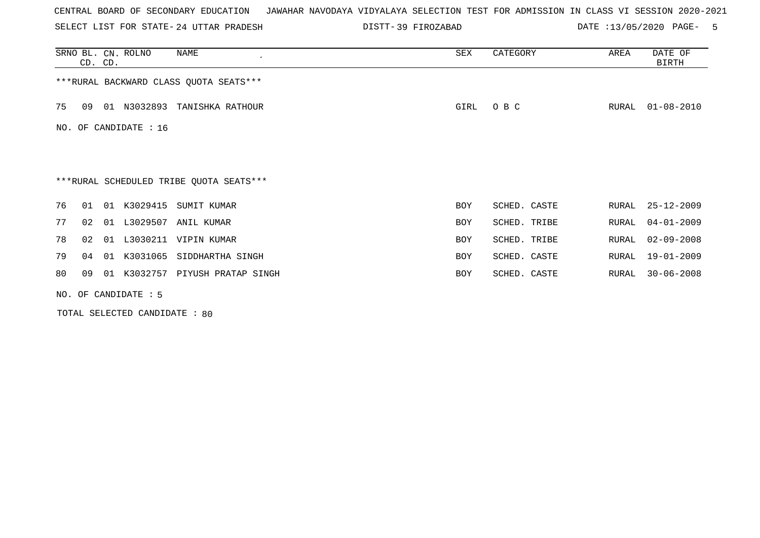SELECT LIST FOR STATE- DISTT- 24 UTTAR PRADESH

39 FIROZABAD DATE :13/05/2020 PAGE- 5

|    |                       | CD. CD. | SRNO BL. CN. ROLNO | NAME                                    | <b>SEX</b> | CATEGORY     | AREA  | DATE OF<br>BIRTH |  |  |
|----|-----------------------|---------|--------------------|-----------------------------------------|------------|--------------|-------|------------------|--|--|
|    |                       |         |                    | *** RURAL BACKWARD CLASS QUOTA SEATS*** |            |              |       |                  |  |  |
| 75 | 09                    |         |                    | 01 N3032893 TANISHKA RATHOUR            | GIRL       | O B C        | RURAL | $01 - 08 - 2010$ |  |  |
|    | NO. OF CANDIDATE : 16 |         |                    |                                         |            |              |       |                  |  |  |
|    |                       |         |                    |                                         |            |              |       |                  |  |  |
|    |                       |         |                    | ***RURAL SCHEDULED TRIBE QUOTA SEATS*** |            |              |       |                  |  |  |
| 76 | 01                    | 01      | K3029415           | SUMIT KUMAR                             | <b>BOY</b> | SCHED. CASTE | RURAL | $25 - 12 - 2009$ |  |  |
| 77 | 02                    | 01      | L3029507           | ANIL KUMAR                              | <b>BOY</b> | SCHED. TRIBE | RURAL | $04 - 01 - 2009$ |  |  |
| 78 | 02                    | 01      |                    | L3030211 VIPIN KUMAR                    | <b>BOY</b> | SCHED. TRIBE | RURAL | $02 - 09 - 2008$ |  |  |
| 79 | 04                    | 01      | K3031065           | SIDDHARTHA SINGH                        | <b>BOY</b> | SCHED. CASTE | RURAL | $19 - 01 - 2009$ |  |  |
| 80 | 09                    | 01      |                    | K3032757 PIYUSH PRATAP SINGH            | <b>BOY</b> | SCHED. CASTE | RURAL | $30 - 06 - 2008$ |  |  |
|    | NO. OF CANDIDATE : 5  |         |                    |                                         |            |              |       |                  |  |  |

TOTAL SELECTED CANDIDATE : 80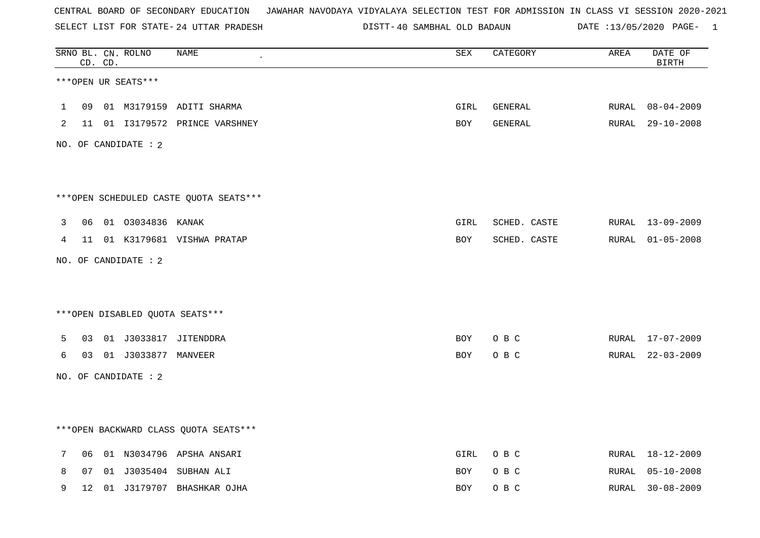SELECT LIST FOR STATE- DISTT- 24 UTTAR PRADESH

40 SAMBHAL OLD BADAUN DATE :13/05/2020 PAGE- 1

|             |    | CD. CD. | SRNO BL. CN. ROLNO     | <b>NAME</b>                             | SEX         | CATEGORY     | AREA  | DATE OF<br><b>BIRTH</b> |
|-------------|----|---------|------------------------|-----------------------------------------|-------------|--------------|-------|-------------------------|
|             |    |         | ***OPEN UR SEATS***    |                                         |             |              |       |                         |
| $\mathbf 1$ | 09 |         |                        | 01 M3179159 ADITI SHARMA                | GIRL        | GENERAL      | RURAL | 08-04-2009              |
| 2           |    |         |                        | 11 01  13179572  PRINCE VARSHNEY        | BOY         | GENERAL      |       | RURAL 29-10-2008        |
|             |    |         | NO. OF CANDIDATE : 2   |                                         |             |              |       |                         |
|             |    |         |                        |                                         |             |              |       |                         |
|             |    |         |                        | ***OPEN SCHEDULED CASTE QUOTA SEATS***  |             |              |       |                         |
| 3           |    |         | 06 01 03034836 KANAK   |                                         | GIRL        | SCHED. CASTE |       | RURAL 13-09-2009        |
| 4           |    |         |                        | 11 01 K3179681 VISHWA PRATAP            | BOY         | SCHED. CASTE |       | RURAL 01-05-2008        |
|             |    |         | NO. OF CANDIDATE : 2   |                                         |             |              |       |                         |
|             |    |         |                        |                                         |             |              |       |                         |
|             |    |         |                        | ***OPEN DISABLED QUOTA SEATS***         |             |              |       |                         |
| 5.          | 03 |         |                        | 01 J3033817 JITENDDRA                   | BOY         | O B C        |       | RURAL 17-07-2009        |
| 6           |    |         | 03 01 J3033877 MANVEER |                                         | BOY         | O B C        |       | RURAL 22-03-2009        |
|             |    |         | NO. OF CANDIDATE : 2   |                                         |             |              |       |                         |
|             |    |         |                        |                                         |             |              |       |                         |
|             |    |         |                        | *** OPEN BACKWARD CLASS QUOTA SEATS *** |             |              |       |                         |
| 7           | 06 |         |                        | 01 N3034796 APSHA ANSARI                | <b>GIRL</b> | O B C        |       | RURAL 18-12-2009        |
| 8           | 07 |         |                        | 01 J3035404 SUBHAN ALI                  | <b>BOY</b>  | O B C        | RURAL | $05 - 10 - 2008$        |
| 9           | 12 |         |                        | 01 J3179707 BHASHKAR OJHA               | <b>BOY</b>  | O B C        | RURAL | $30 - 08 - 2009$        |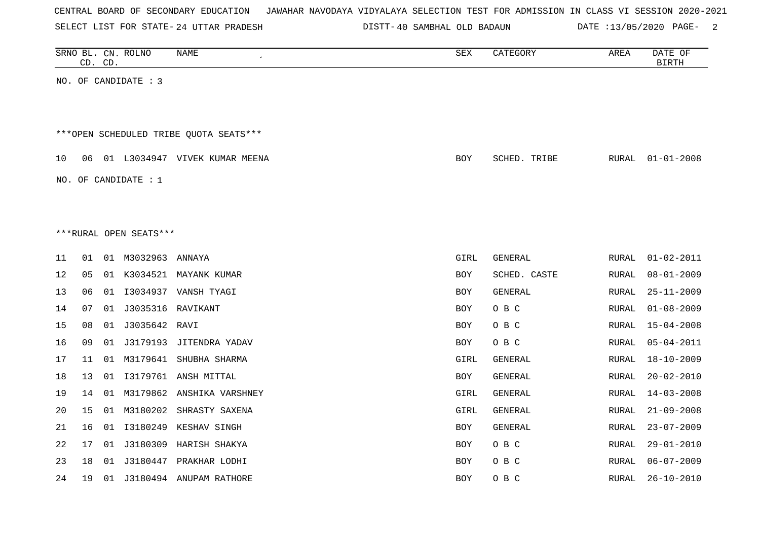| CENTRAL BOARD OF SECONDARY EDUCATION – JAWAHAR NAVODAYA VIDYALAYA SELECTION TEST FOR ADMISSION IN CLASS VI SESSION 2020-2021 |  |  |  |
|------------------------------------------------------------------------------------------------------------------------------|--|--|--|
|------------------------------------------------------------------------------------------------------------------------------|--|--|--|

SELECT LIST FOR STATE- DISTT- 24 UTTAR PRADESH

DISTT-40 SAMBHAL OLD BADAUN DATE :13/05/2020 PAGE- 2

|                                                                                               |    | CD. CD. | SRNO BL. CN. ROLNO     | NAME                       | SEX        | CATEGORY       | AREA  | DATE OF<br><b>BIRTH</b> |  |  |
|-----------------------------------------------------------------------------------------------|----|---------|------------------------|----------------------------|------------|----------------|-------|-------------------------|--|--|
|                                                                                               |    |         | NO. OF CANDIDATE : 3   |                            |            |                |       |                         |  |  |
|                                                                                               |    |         |                        |                            |            |                |       |                         |  |  |
|                                                                                               |    |         |                        |                            |            |                |       |                         |  |  |
| ***OPEN SCHEDULED TRIBE QUOTA SEATS***                                                        |    |         |                        |                            |            |                |       |                         |  |  |
| 10<br>06<br>01 L3034947 VIVEK KUMAR MEENA<br>BOY<br>SCHED. TRIBE<br>RURAL<br>$01 - 01 - 2008$ |    |         |                        |                            |            |                |       |                         |  |  |
|                                                                                               |    |         | NO. OF CANDIDATE : $1$ |                            |            |                |       |                         |  |  |
|                                                                                               |    |         |                        |                            |            |                |       |                         |  |  |
|                                                                                               |    |         |                        |                            |            |                |       |                         |  |  |
|                                                                                               |    |         | ***RURAL OPEN SEATS*** |                            |            |                |       |                         |  |  |
| 11                                                                                            | 01 |         | 01 M3032963 ANNAYA     |                            | GIRL       | GENERAL        | RURAL | $01 - 02 - 2011$        |  |  |
| 12                                                                                            | 05 |         |                        | 01 K3034521 MAYANK KUMAR   | BOY        | SCHED. CASTE   | RURAL | $08 - 01 - 2009$        |  |  |
| 13                                                                                            | 06 | 01      |                        | I3034937 VANSH TYAGI       | <b>BOY</b> | <b>GENERAL</b> | RURAL | $25 - 11 - 2009$        |  |  |
| 14                                                                                            | 07 | 01      | J3035316               | RAVIKANT                   | <b>BOY</b> | O B C          | RURAL | $01 - 08 - 2009$        |  |  |
| 15                                                                                            | 08 | 01      | J3035642 RAVI          |                            | <b>BOY</b> | O B C          | RURAL | $15 - 04 - 2008$        |  |  |
| 16                                                                                            | 09 | 01      | J3179193               | JITENDRA YADAV             | <b>BOY</b> | O B C          | RURAL | $05 - 04 - 2011$        |  |  |
| $17$                                                                                          | 11 | 01      |                        | M3179641 SHUBHA SHARMA     | GIRL       | GENERAL        | RURAL | $18 - 10 - 2009$        |  |  |
| 18                                                                                            | 13 | 01      |                        | I3179761 ANSH MITTAL       | BOY        | GENERAL        | RURAL | $20 - 02 - 2010$        |  |  |
| 19                                                                                            | 14 | 01      |                        | M3179862 ANSHIKA VARSHNEY  | GIRL       | GENERAL        | RURAL | $14 - 03 - 2008$        |  |  |
| 20                                                                                            | 15 |         |                        | 01 M3180202 SHRASTY SAXENA | GIRL       | GENERAL        | RURAL | $21 - 09 - 2008$        |  |  |
| 21                                                                                            | 16 | 01      |                        | I3180249 KESHAV SINGH      | <b>BOY</b> | <b>GENERAL</b> | RURAL | $23 - 07 - 2009$        |  |  |
| 22                                                                                            | 17 | 01      | J3180309               | HARISH SHAKYA              | <b>BOY</b> | O B C          | RURAL | $29 - 01 - 2010$        |  |  |
| 23                                                                                            | 18 | 01      |                        | J3180447 PRAKHAR LODHI     | BOY        | O B C          | RURAL | $06 - 07 - 2009$        |  |  |
| 24                                                                                            | 19 |         |                        | 01 J3180494 ANUPAM RATHORE | <b>BOY</b> | O B C          | RURAL | $26 - 10 - 2010$        |  |  |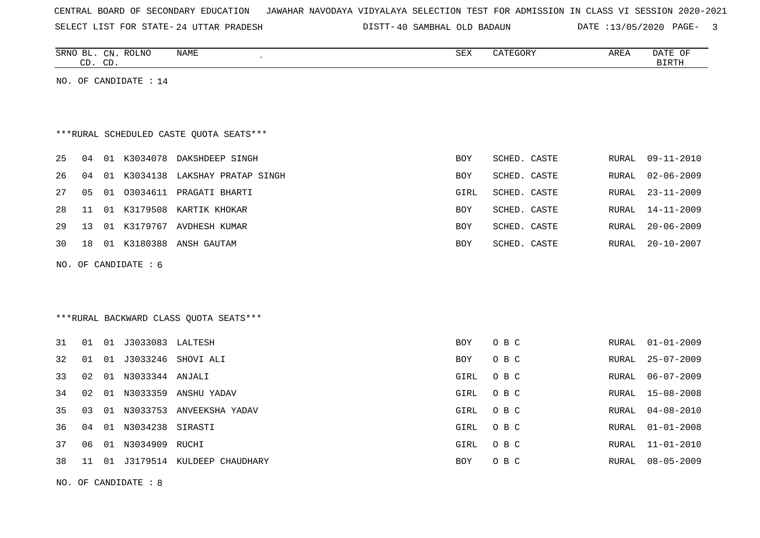| CENTRAL BOARD OF SECONDARY EDUCATION – JAWAHAR NAVODAYA VIDYALAYA SELECTION TEST FOR ADMISSION IN CLASS VI SESSION 2020-2021 |  |  |  |  |
|------------------------------------------------------------------------------------------------------------------------------|--|--|--|--|
|------------------------------------------------------------------------------------------------------------------------------|--|--|--|--|

SELECT LIST FOR STATE- 24 UTTAR PRADESH

24 UTTAR PRADESH 40 SAMBHAL OLD BADAUN DATE :13/05/2020 PAGE- 3

|    | CD. CD. |    | SRNO BL. CN. ROLNO      | NAME                                    | SEX        | CATEGORY     | AREA         | DATE OF<br><b>BIRTH</b> |
|----|---------|----|-------------------------|-----------------------------------------|------------|--------------|--------------|-------------------------|
|    |         |    | NO. OF CANDIDATE : $14$ |                                         |            |              |              |                         |
|    |         |    |                         |                                         |            |              |              |                         |
|    |         |    |                         |                                         |            |              |              |                         |
|    |         |    |                         | ***RURAL SCHEDULED CASTE QUOTA SEATS*** |            |              |              |                         |
| 25 | 04      |    |                         | 01 K3034078 DAKSHDEEP SINGH             | <b>BOY</b> | SCHED. CASTE | RURAL        | $09 - 11 - 2010$        |
| 26 | 04      |    |                         | 01 K3034138 LAKSHAY PRATAP SINGH        | <b>BOY</b> | SCHED. CASTE | <b>RURAL</b> | $02 - 06 - 2009$        |
| 27 | 05      |    |                         | 01 03034611 PRAGATI BHARTI              | GIRL       | SCHED. CASTE | <b>RURAL</b> | $23 - 11 - 2009$        |
| 28 | 11      |    |                         | 01 K3179508 KARTIK KHOKAR               | BOY        | SCHED. CASTE | <b>RURAL</b> | $14 - 11 - 2009$        |
| 29 | 13      |    |                         | 01 K3179767 AVDHESH KUMAR               | BOY        | SCHED. CASTE | RURAL        | $20 - 06 - 2009$        |
| 30 | 18      |    |                         | 01 K3180388 ANSH GAUTAM                 | BOY        | SCHED. CASTE | RURAL        | $20 - 10 - 2007$        |
|    |         |    | NO. OF CANDIDATE : 6    |                                         |            |              |              |                         |
|    |         |    |                         |                                         |            |              |              |                         |
|    |         |    |                         |                                         |            |              |              |                         |
|    |         |    |                         | *** RURAL BACKWARD CLASS QUOTA SEATS*** |            |              |              |                         |
| 31 | 01      |    | 01 J3033083 LALTESH     |                                         | BOY        | O B C        | RURAL        | $01 - 01 - 2009$        |
| 32 | 01      |    |                         | 01 J3033246 SHOVI ALI                   | <b>BOY</b> | O B C        | RURAL        | $25 - 07 - 2009$        |
| 33 | 02      |    | 01 N3033344 ANJALI      |                                         | GIRL       | O B C        | <b>RURAL</b> | $06 - 07 - 2009$        |
| 34 | 02      |    |                         | 01 N3033359 ANSHU YADAV                 | GIRL       | O B C        | <b>RURAL</b> | $15 - 08 - 2008$        |
| 35 | 03      | 01 | N3033753                | ANVEEKSHA YADAV                         | GIRL       | O B C        | <b>RURAL</b> | $04 - 08 - 2010$        |
| 36 | 04      |    | 01 N3034238 SIRASTI     |                                         | GIRL       | O B C        | RURAL        | $01 - 01 - 2008$        |
| 37 | 06      | 01 | N3034909                | RUCHI                                   | GIRL       | O B C        | RURAL        | $11 - 01 - 2010$        |
| 38 | 11      | 01 |                         | J3179514 KULDEEP CHAUDHARY              | <b>BOY</b> | O B C        | RURAL        | $08 - 05 - 2009$        |
|    |         |    |                         |                                         |            |              |              |                         |

NO. OF CANDIDATE : 8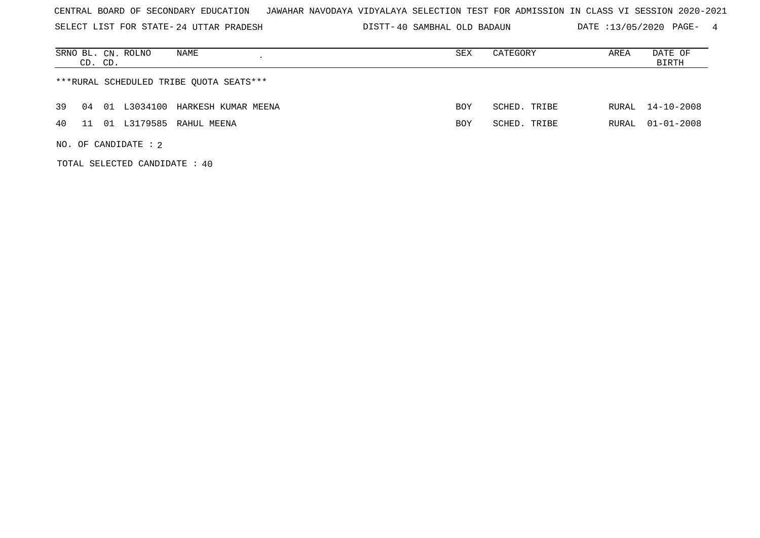SELECT LIST FOR STATE- DISTT- 24 UTTAR PRADESH

TOTAL SELECTED CANDIDATE : 40

40 SAMBHAL OLD BADAUN DATE :13/05/2020 PAGE- 4

|    | CD. CD. | NAME<br>SRNO BL. CN. ROLNO              | SEX        | CATEGORY     | AREA  | DATE OF<br>BIRTH |
|----|---------|-----------------------------------------|------------|--------------|-------|------------------|
|    |         | ***RURAL SCHEDULED TRIBE QUOTA SEATS*** |            |              |       |                  |
| 39 | 04      | 01 L3034100 HARKESH KUMAR MEENA         | <b>BOY</b> | SCHED. TRIBE |       | RURAL 14-10-2008 |
| 40 | 11      | 01 L3179585 RAHUL MEENA                 | <b>BOY</b> | SCHED, TRIBE | RURAL | $01 - 01 - 2008$ |
|    |         | NO. OF CANDIDATE : $2$                  |            |              |       |                  |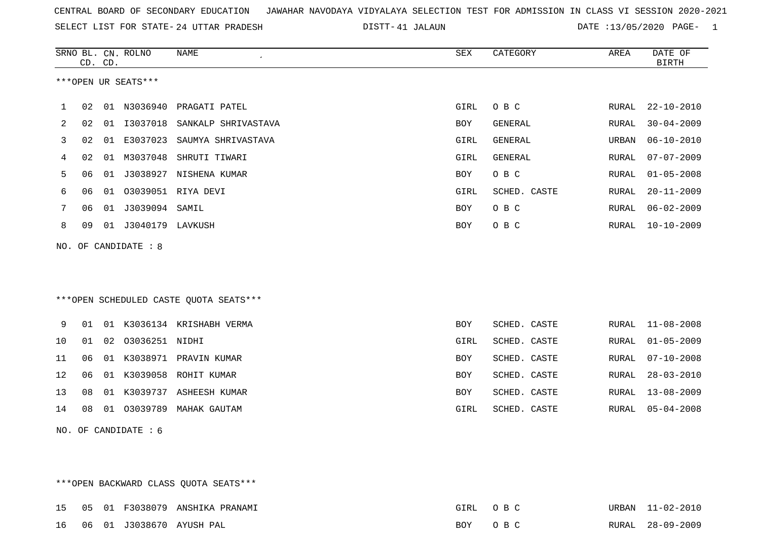SELECT LIST FOR STATE- DISTT- 24 UTTAR PRADESH

41 JALAUN DATE :13/05/2020 PAGE- 1

|     | CD. CD. |    | SRNO BL. CN. ROLNO  | <b>NAME</b>                            | <b>SEX</b> | CATEGORY     | AREA         | DATE OF<br><b>BIRTH</b> |
|-----|---------|----|---------------------|----------------------------------------|------------|--------------|--------------|-------------------------|
|     |         |    | ***OPEN UR SEATS*** |                                        |            |              |              |                         |
| 1   | 02      |    | 01 N3036940         | PRAGATI PATEL                          | GIRL       | O B C        | RURAL        | $22 - 10 - 2010$        |
| 2   | 02      | 01 | I3037018            | SANKALP SHRIVASTAVA                    | <b>BOY</b> | GENERAL      | RURAL        | $30 - 04 - 2009$        |
| 3   | 02      | 01 | E3037023            | SAUMYA SHRIVASTAVA                     | GIRL       | GENERAL      | URBAN        | $06 - 10 - 2010$        |
| 4   | 02      |    | 01 M3037048         | SHRUTI TIWARI                          | GIRL       | GENERAL      | RURAL        | $07 - 07 - 2009$        |
| 5   | 06      | 01 | J3038927            | NISHENA KUMAR                          | <b>BOY</b> | $O$ B $C$    | RURAL        | $01 - 05 - 2008$        |
| 6   | 06      | 01 |                     | 03039051 RIYA DEVI                     | GIRL       | SCHED. CASTE | <b>RURAL</b> | $20 - 11 - 2009$        |
| 7   | 06      | 01 | J3039094            | SAMIL                                  | BOY        | O B C        | RURAL        | $06 - 02 - 2009$        |
| 8   | 09      |    | 01 J3040179 LAVKUSH |                                        | <b>BOY</b> | O B C        | RURAL        | $10 - 10 - 2009$        |
| NO. |         |    | OF CANDIDATE : 8    |                                        |            |              |              |                         |
|     |         |    |                     |                                        |            |              |              |                         |
|     |         |    |                     |                                        |            |              |              |                         |
|     |         |    |                     | ***OPEN SCHEDULED CASTE QUOTA SEATS*** |            |              |              |                         |
| 9   | 01      |    |                     | 01 K3036134 KRISHABH VERMA             | <b>BOY</b> | SCHED. CASTE | RURAL        | $11 - 08 - 2008$        |
| 10  | 01      |    | 02 03036251 NIDHI   |                                        | GIRL       | SCHED. CASTE | RURAL        | $01 - 05 - 2009$        |
| 11  | 06      |    |                     | 01 K3038971 PRAVIN KUMAR               | <b>BOY</b> | SCHED. CASTE | <b>RURAL</b> | $07 - 10 - 2008$        |
| 12  | 06      |    | 01 K3039058         | ROHIT KUMAR                            | <b>BOY</b> | SCHED. CASTE | <b>RURAL</b> | $28 - 03 - 2010$        |
| 13  | 08      |    | 01 K3039737         | ASHEESH KUMAR                          | BOY        | SCHED. CASTE | RURAL        | $13 - 08 - 2009$        |
| 14  | 08      |    |                     | 01 03039789 MAHAK GAUTAM               | GIRL       | SCHED. CASTE | RURAL        | $05 - 04 - 2008$        |
| NO. |         |    | OF CANDIDATE : 6    |                                        |            |              |              |                         |
|     |         |    |                     |                                        |            |              |              |                         |
|     |         |    |                     |                                        |            |              |              |                         |

|  |  | ***OPEN BACKWARD CLASS OUOTA SEATS*** |          |                  |
|--|--|---------------------------------------|----------|------------------|
|  |  | 15 05 01 F3038079 ANSHIKA PRANAMI     | GIRL OBC | URBAN 11-02-2010 |
|  |  | 16 06 01 J3038670 AYUSH PAL           | BOY OBC  | RURAL 28-09-2009 |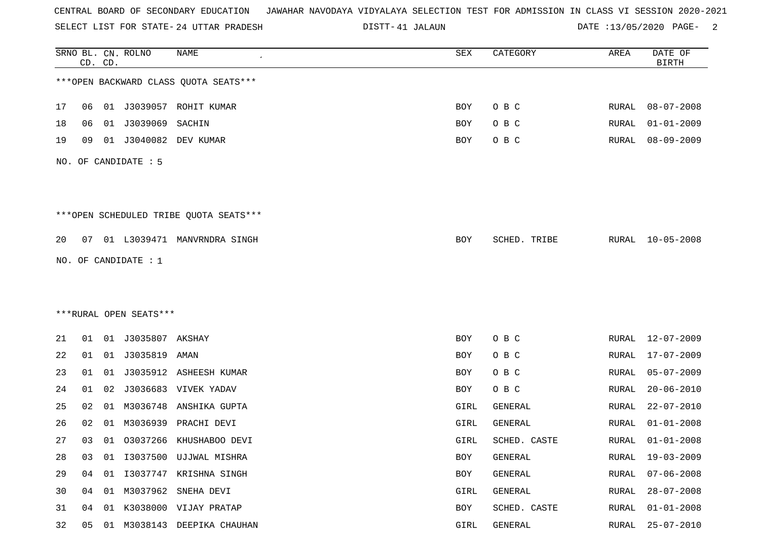SELECT LIST FOR STATE- DISTT- 24 UTTAR PRADESH

41 JALAUN DATE :13/05/2020 PAGE- 2

|    |    | CD. CD. | SRNO BL. CN. ROLNO     | <b>NAME</b>                            | SEX        | CATEGORY     | AREA         | DATE OF<br><b>BIRTH</b> |
|----|----|---------|------------------------|----------------------------------------|------------|--------------|--------------|-------------------------|
|    |    |         |                        | *** OPEN BACKWARD CLASS QUOTA SEATS*** |            |              |              |                         |
| 17 | 06 |         |                        | 01 J3039057 ROHIT KUMAR                | BOY        | O B C        | RURAL        | $08 - 07 - 2008$        |
| 18 | 06 |         | 01 J3039069 SACHIN     |                                        | BOY        | O B C        | RURAL        | $01 - 01 - 2009$        |
| 19 | 09 |         |                        | 01 J3040082 DEV KUMAR                  | BOY        | O B C        | RURAL        | $08 - 09 - 2009$        |
|    |    |         | NO. OF CANDIDATE : 5   |                                        |            |              |              |                         |
|    |    |         |                        | ***OPEN SCHEDULED TRIBE QUOTA SEATS*** |            |              |              |                         |
| 20 |    |         |                        | 07 01 L3039471 MANVRNDRA SINGH         | BOY        | SCHED. TRIBE | RURAL        | $10 - 05 - 2008$        |
|    |    |         | NO. OF CANDIDATE : 1   |                                        |            |              |              |                         |
|    |    |         |                        |                                        |            |              |              |                         |
|    |    |         |                        |                                        |            |              |              |                         |
|    |    |         | ***RURAL OPEN SEATS*** |                                        |            |              |              |                         |
| 21 | 01 |         |                        |                                        | <b>BOY</b> | O B C        | RURAL        | 12-07-2009              |
| 22 | 01 |         | 01 J3035819 AMAN       |                                        | BOY        | O B C        | RURAL        | $17 - 07 - 2009$        |
| 23 | 01 |         |                        | 01 J3035912 ASHEESH KUMAR              | BOY        | O B C        | RURAL        | $05 - 07 - 2009$        |
| 24 | 01 |         |                        | 02 J3036683 VIVEK YADAV                | BOY        | O B C        | RURAL        | $20 - 06 - 2010$        |
| 25 | 02 |         |                        | 01 M3036748 ANSHIKA GUPTA              | GIRL       | GENERAL      | <b>RURAL</b> | $22 - 07 - 2010$        |
| 26 | 02 |         |                        | 01 M3036939 PRACHI DEVI                | GIRL       | GENERAL      | RURAL        | $01 - 01 - 2008$        |
| 27 |    |         |                        | 03 01 03037266 KHUSHABOO DEVI          | GIRL       | SCHED. CASTE | RURAL        | $01 - 01 - 2008$        |
| 28 | 03 |         |                        | 01 I3037500 UJJWAL MISHRA              | BOY        | GENERAL      |              | RURAL 19-03-2009        |
| 29 | 04 |         |                        | 01 I3037747 KRISHNA SINGH              | BOY        | GENERAL      | RURAL        | $07 - 06 - 2008$        |
| 30 | 04 |         |                        | 01 M3037962 SNEHA DEVI                 | GIRL       | GENERAL      | RURAL        | $28 - 07 - 2008$        |
| 31 |    |         |                        | 04 01 K3038000 VIJAY PRATAP            | BOY        | SCHED. CASTE | RURAL        | $01 - 01 - 2008$        |
| 32 |    |         |                        | 05 01 M3038143 DEEPIKA CHAUHAN         | GIRL       | GENERAL      |              | RURAL 25-07-2010        |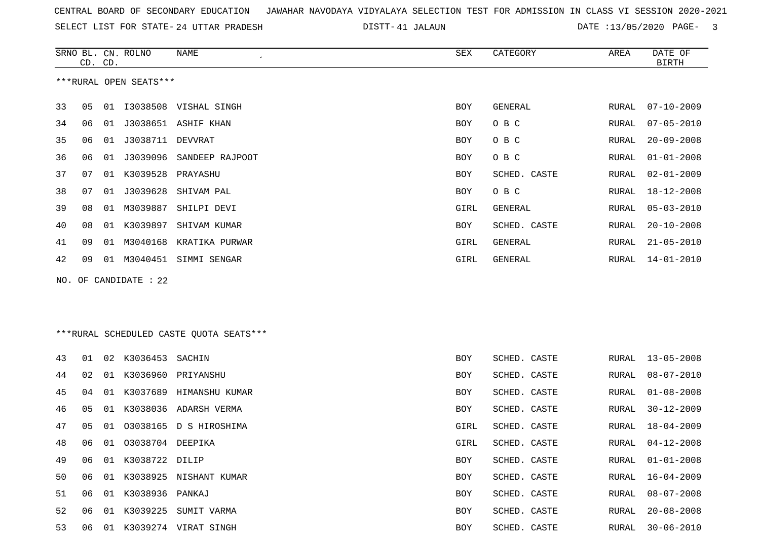SELECT LIST FOR STATE- DISTT- 24 UTTAR PRADESH

41 JALAUN DATE :13/05/2020 PAGE- 3

|    | CD. CD. |    | SRNO BL. CN. ROLNO     | NAME                                    | SEX  | CATEGORY     | AREA  | DATE OF<br><b>BIRTH</b> |
|----|---------|----|------------------------|-----------------------------------------|------|--------------|-------|-------------------------|
|    |         |    | ***RURAL OPEN SEATS*** |                                         |      |              |       |                         |
| 33 | 05      |    |                        | 01 I3038508 VISHAL SINGH                | BOY  | GENERAL      | RURAL | $07 - 10 - 2009$        |
| 34 | 06      |    |                        | 01 J3038651 ASHIF KHAN                  | BOY  | O B C        | RURAL | $07 - 05 - 2010$        |
| 35 | 06      | 01 | J3038711 DEVVRAT       |                                         | BOY  | O B C        | RURAL | $20 - 09 - 2008$        |
| 36 | 06      | 01 | J3039096               | SANDEEP RAJPOOT                         | BOY  | O B C        | RURAL | $01 - 01 - 2008$        |
| 37 | 07      | 01 | K3039528               | PRAYASHU                                | BOY  | SCHED. CASTE | RURAL | $02 - 01 - 2009$        |
| 38 | 07      | 01 | J3039628               | SHIVAM PAL                              | BOY  | O B C        | RURAL | $18 - 12 - 2008$        |
| 39 | 08      | 01 | M3039887               | SHILPI DEVI                             | GIRL | GENERAL      | RURAL | $05 - 03 - 2010$        |
| 40 | 08      | 01 | K3039897               | SHIVAM KUMAR                            | BOY  | SCHED. CASTE | RURAL | $20 - 10 - 2008$        |
| 41 | 09      |    |                        | 01 M3040168 KRATIKA PURWAR              | GIRL | GENERAL      | RURAL | $21 - 05 - 2010$        |
| 42 | 09      |    |                        | 01 M3040451 SIMMI SENGAR                | GIRL | GENERAL      | RURAL | $14 - 01 - 2010$        |
|    |         |    | NO. OF CANDIDATE : 22  |                                         |      |              |       |                         |
|    |         |    |                        |                                         |      |              |       |                         |
|    |         |    |                        |                                         |      |              |       |                         |
|    |         |    |                        | ***RURAL SCHEDULED CASTE QUOTA SEATS*** |      |              |       |                         |
| 43 | 01      |    | 02 K3036453 SACHIN     |                                         | BOY  | SCHED. CASTE | RURAL | $13 - 05 - 2008$        |
| 44 | 02      | 01 | K3036960               | PRIYANSHU                               | BOY  | SCHED. CASTE | RURAL | $08 - 07 - 2010$        |
| 45 | 04      | 01 |                        | K3037689 HIMANSHU KUMAR                 | BOY  | SCHED. CASTE | RURAL | $01 - 08 - 2008$        |
| 46 | 05      | 01 |                        | K3038036 ADARSH VERMA                   | BOY  | SCHED. CASTE | RURAL | $30 - 12 - 2009$        |
| 47 | 05      | 01 |                        | 03038165 D S HIROSHIMA                  | GIRL | SCHED. CASTE | RURAL | $18 - 04 - 2009$        |
| 48 | 06      | 01 | 03038704 DEEPIKA       |                                         | GIRL | SCHED. CASTE | RURAL | $04 - 12 - 2008$        |
| 49 | 06      |    | 01 K3038722 DILIP      |                                         | BOY  | SCHED. CASTE | RURAL | $01 - 01 - 2008$        |
| 50 | 06      |    |                        | 01 K3038925 NISHANT KUMAR               | BOY  | SCHED. CASTE | RURAL | $16 - 04 - 2009$        |
| 51 | 06      |    | 01 K3038936 PANKAJ     |                                         | BOY  | SCHED. CASTE | RURAL | $08 - 07 - 2008$        |
| 52 | 06      |    |                        | 01 K3039225 SUMIT VARMA                 | BOY  | SCHED. CASTE | RURAL | $20 - 08 - 2008$        |
| 53 | 06      |    |                        | 01 K3039274 VIRAT SINGH                 | BOY  | SCHED. CASTE | RURAL | $30 - 06 - 2010$        |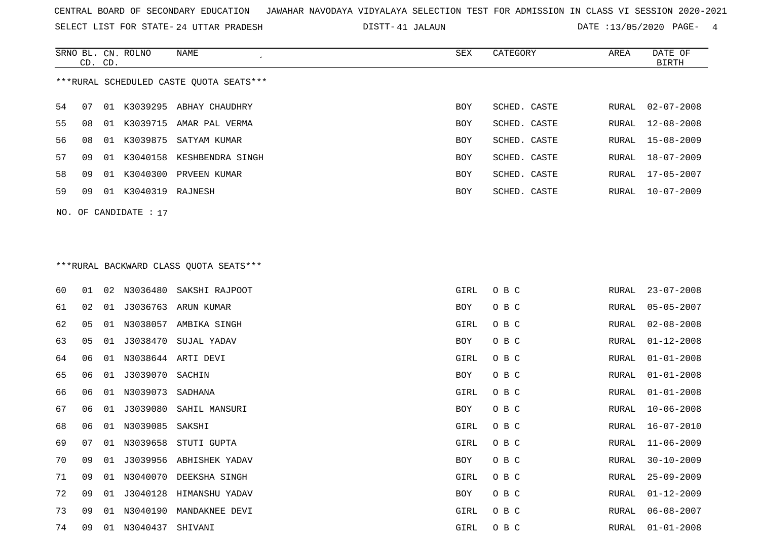SELECT LIST FOR STATE- DISTT- 24 UTTAR PRADESH

41 JALAUN DATE :13/05/2020 PAGE- 4

|    | CD. CD. |     | SRNO BL. CN. ROLNO | NAME                                    | SEX        | CATEGORY     | AREA  | DATE OF<br>BIRTH |
|----|---------|-----|--------------------|-----------------------------------------|------------|--------------|-------|------------------|
|    |         |     |                    | ***RURAL SCHEDULED CASTE OUOTA SEATS*** |            |              |       |                  |
| 54 | 07      |     |                    | 01 K3039295 ABHAY CHAUDHRY              | <b>BOY</b> | SCHED, CASTE | RURAL | $02 - 07 - 2008$ |
| 55 | 08      | O 1 | K3039715           | AMAR PAL VERMA                          | <b>BOY</b> | SCHED. CASTE |       | RURAL 12-08-2008 |
| 56 | 08      |     |                    | 01 K3039875 SATYAM KUMAR                | <b>BOY</b> | SCHED. CASTE |       | RURAL 15-08-2009 |
| 57 | O 9     |     |                    | 01 K3040158 KESHBENDRA SINGH            | <b>BOY</b> | SCHED. CASTE |       | RURAL 18-07-2009 |
| 58 | 09      |     | 01 K3040300        | PRVEEN KUMAR                            | <b>BOY</b> | SCHED. CASTE |       | RURAL 17-05-2007 |
| 59 | 09      | 01  | K3040319 RAJNESH   |                                         | <b>BOY</b> | SCHED. CASTE | RURAL | 10-07-2009       |
|    |         |     |                    |                                         |            |              |       |                  |

## \*\*\*RURAL BACKWARD CLASS QUOTA SEATS\*\*\*

NO. OF CANDIDATE : 17

| 60 | 01 | 02 |                 | N3036480 SAKSHI RAJPOOT | GIRL | O B C | RURAL | $23 - 07 - 2008$ |
|----|----|----|-----------------|-------------------------|------|-------|-------|------------------|
| 61 | 02 | 01 |                 | J3036763 ARUN KUMAR     | BOY  | O B C | RURAL | $05 - 05 - 2007$ |
| 62 | 05 | 01 |                 | N3038057 AMBIKA SINGH   | GIRL | O B C | RURAL | $02 - 08 - 2008$ |
| 63 | 05 | 01 | J3038470        | SUJAL YADAV             | BOY  | O B C | RURAL | $01 - 12 - 2008$ |
| 64 | 06 | 01 |                 | N3038644 ARTI DEVI      | GIRL | O B C | RURAL | $01 - 01 - 2008$ |
| 65 | 06 | 01 | J3039070 SACHIN |                         | BOY  | O B C | RURAL | $01 - 01 - 2008$ |
| 66 | 06 | 01 | N3039073        | SADHANA                 | GIRL | O B C | RURAL | $01 - 01 - 2008$ |
| 67 | 06 | 01 |                 | J3039080 SAHIL MANSURI  | BOY  | O B C | RURAL | $10 - 06 - 2008$ |
| 68 | 06 | 01 | N3039085 SAKSHI |                         | GIRL | O B C | RURAL | $16 - 07 - 2010$ |
| 69 | 07 | 01 |                 | N3039658 STUTI GUPTA    | GIRL | O B C | RURAL | $11 - 06 - 2009$ |
| 70 | 09 | 01 |                 | J3039956 ABHISHEK YADAV | BOY  | O B C | RURAL | $30 - 10 - 2009$ |
| 71 | 09 | 01 |                 | N3040070 DEEKSHA SINGH  | GIRL | O B C | RURAL | $25 - 09 - 2009$ |
| 72 | 09 | 01 | J3040128        | HIMANSHU YADAV          | BOY  | O B C | RURAL | $01 - 12 - 2009$ |
| 73 | 09 | 01 |                 | N3040190 MANDAKNEE DEVI | GIRL | O B C | RURAL | $06 - 08 - 2007$ |
| 74 | 09 | 01 | N3040437        | SHIVANI                 | GIRL | O B C | RURAL | $01 - 01 - 2008$ |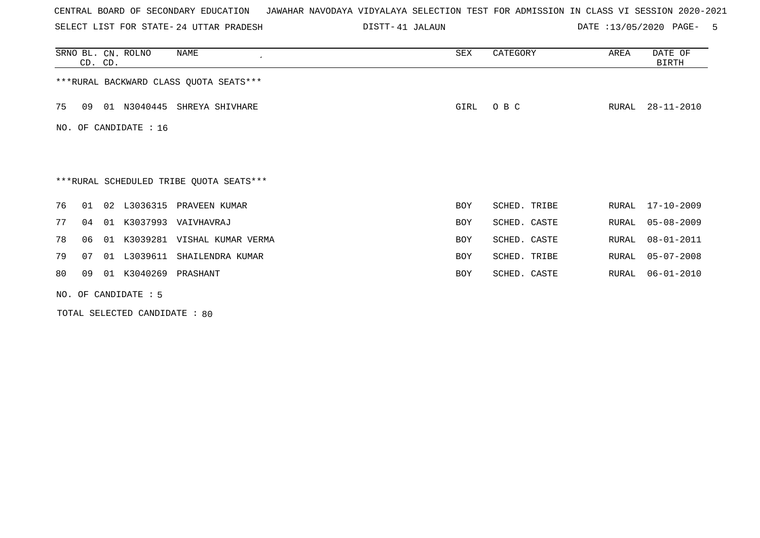SELECT LIST FOR STATE- DISTT- 24 UTTAR PRADESH

41 JALAUN DATE :13/05/2020 PAGE- 5

|     | CD. CD. |    | SRNO BL. CN. ROLNO     | NAME                                    | SEX        | CATEGORY     | AREA  | DATE OF<br>BIRTH |
|-----|---------|----|------------------------|-----------------------------------------|------------|--------------|-------|------------------|
|     |         |    |                        | *** RURAL BACKWARD CLASS QUOTA SEATS*** |            |              |       |                  |
| 75  | 09      |    | 01 N3040445            | SHREYA SHIVHARE                         | GIRL       | O B C        | RURAL | $28 - 11 - 2010$ |
| NO. |         |    | OF CANDIDATE : 16      |                                         |            |              |       |                  |
|     |         |    |                        |                                         |            |              |       |                  |
|     |         |    |                        | ***RURAL SCHEDULED TRIBE QUOTA SEATS*** |            |              |       |                  |
| 76  | 01      | 02 |                        | L3036315 PRAVEEN KUMAR                  | <b>BOY</b> | SCHED. TRIBE |       | RURAL 17-10-2009 |
| 77  | 04      | 01 |                        | K3037993 VAIVHAVRAJ                     | BOY        | SCHED. CASTE | RURAL | $05 - 08 - 2009$ |
| 78  | 06      | 01 |                        | K3039281 VISHAL KUMAR VERMA             | <b>BOY</b> | SCHED. CASTE | RURAL | $08 - 01 - 2011$ |
| 79  | 07      |    | 01 L3039611            | SHAILENDRA KUMAR                        | <b>BOY</b> | SCHED. TRIBE | RURAL | $05 - 07 - 2008$ |
| 80  | 09      |    | 01 K3040269 PRASHANT   |                                         | <b>BOY</b> | SCHED. CASTE | RURAL | $06 - 01 - 2010$ |
|     |         |    | NO. OF CANDIDATE $: 5$ |                                         |            |              |       |                  |

TOTAL SELECTED CANDIDATE : 80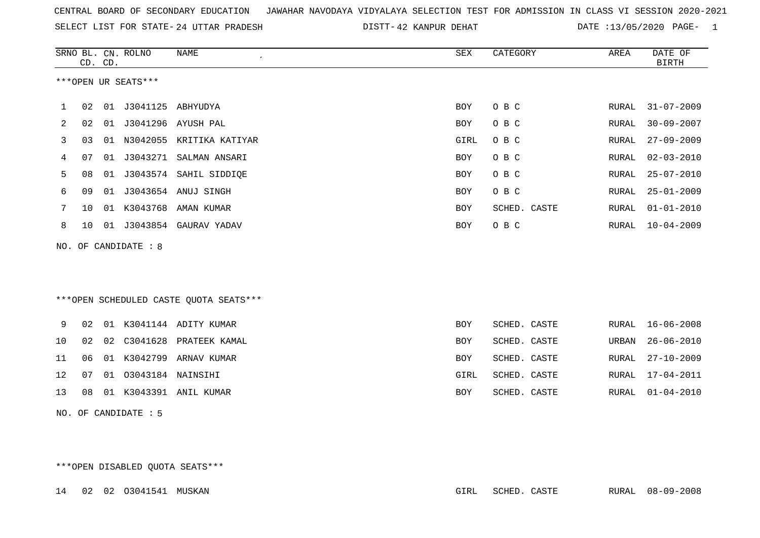|  |  |  |  |  | CENTRAL BOARD OF SECONDARY EDUCATION GJAWAHAR NAVODAYA VIDYALAYA SELECTION TEST FOR ADMISSION IN CLASS VI SESSION 2020-2021 |  |  |  |  |  |  |  |  |  |  |  |  |
|--|--|--|--|--|-----------------------------------------------------------------------------------------------------------------------------|--|--|--|--|--|--|--|--|--|--|--|--|
|--|--|--|--|--|-----------------------------------------------------------------------------------------------------------------------------|--|--|--|--|--|--|--|--|--|--|--|--|

SELECT LIST FOR STATE- DISTT- 24 UTTAR PRADESH 42 KANPUR DEHAT DATE :13/05/2020 PAGE- 1

|    |    | CD. CD. | SRNO BL. CN. ROLNO   | <b>NAME</b>                            | ${\tt SEX}$ | CATEGORY     | AREA  | DATE OF<br><b>BIRTH</b> |
|----|----|---------|----------------------|----------------------------------------|-------------|--------------|-------|-------------------------|
|    |    |         | ***OPEN UR SEATS***  |                                        |             |              |       |                         |
| ı  | 02 | 01      | J3041125 ABHYUDYA    |                                        | BOY         | O B C        | RURAL | $31 - 07 - 2009$        |
| 2  | 02 | 01      |                      | J3041296 AYUSH PAL                     | <b>BOY</b>  | O B C        | RURAL | $30 - 09 - 2007$        |
| 3  | 03 | 01      |                      | N3042055 KRITIKA KATIYAR               | GIRL        | O B C        | RURAL | $27 - 09 - 2009$        |
| 4  | 07 | 01      | J3043271             | SALMAN ANSARI                          | <b>BOY</b>  | O B C        | RURAL | $02 - 03 - 2010$        |
| 5  | 08 | 01      |                      | J3043574 SAHIL SIDDIQE                 | <b>BOY</b>  | O B C        | RURAL | $25 - 07 - 2010$        |
| 6  | 09 | 01      |                      | J3043654 ANUJ SINGH                    | <b>BOY</b>  | O B C        | RURAL | $25 - 01 - 2009$        |
| 7  | 10 | 01      | K3043768             | AMAN KUMAR                             | <b>BOY</b>  | SCHED. CASTE | RURAL | $01 - 01 - 2010$        |
| 8  | 10 |         | 01 J3043854          | GAURAV YADAV                           | <b>BOY</b>  | O B C        | RURAL | $10 - 04 - 2009$        |
|    |    |         | NO. OF CANDIDATE : 8 |                                        |             |              |       |                         |
|    |    |         |                      | ***OPEN SCHEDULED CASTE QUOTA SEATS*** |             |              |       |                         |
| 9  | 02 |         |                      | 01 K3041144 ADITY KUMAR                | <b>BOY</b>  | SCHED. CASTE | RURAL | $16 - 06 - 2008$        |
| 10 | 02 | 02      |                      | C3041628 PRATEEK KAMAL                 | <b>BOY</b>  | SCHED. CASTE | URBAN | $26 - 06 - 2010$        |
| 11 | 06 | 01      |                      | K3042799 ARNAV KUMAR                   | <b>BOY</b>  | SCHED. CASTE | RURAL | $27 - 10 - 2009$        |
| 12 | 07 | 01      | 03043184 NAINSIHI    |                                        | GIRL        | SCHED. CASTE | RURAL | $17 - 04 - 2011$        |
| 13 | 08 | 01      |                      | K3043391 ANIL KUMAR                    | BOY         | SCHED. CASTE | RURAL | $01 - 04 - 2010$        |
|    |    |         | NO. OF CANDIDATE : 5 |                                        |             |              |       |                         |

\*\*\*OPEN DISABLED QUOTA SEATS\*\*\*

14 02 02 O3041541 MUSKAN GIRL SCHED. CASTE RURAL 08-09-2008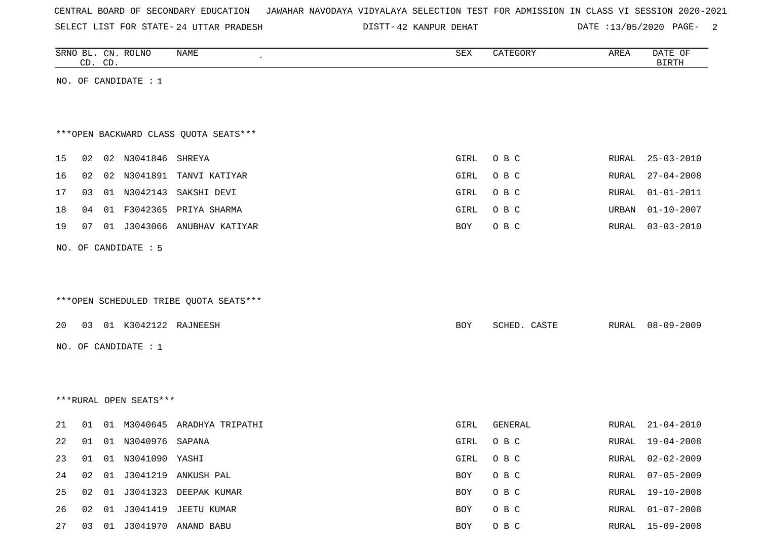| CENTRAL BOARD OF SECONDARY EDUCATION – JAWAHAR NAVODAYA VIDYALAYA SELECTION TEST FOR ADMISSION IN CLASS VI SESSION 2020-2021 |  |  |  |  |
|------------------------------------------------------------------------------------------------------------------------------|--|--|--|--|
|------------------------------------------------------------------------------------------------------------------------------|--|--|--|--|

SELECT LIST FOR STATE- 24 UTTAR PRADESH

24 UTTAR PRADESH 42 KANPUR DEHAT DATE :13/05/2020 PAGE- 2

| SRNO BL. CN. ROLNO<br>CD. CD. |                         | NAME<br>$\pmb{\cdot}$                  | ${\tt SEX}$ | CATEGORY     | AREA  | DATE OF<br><b>BIRTH</b> |
|-------------------------------|-------------------------|----------------------------------------|-------------|--------------|-------|-------------------------|
|                               | NO. OF CANDIDATE : 1    |                                        |             |              |       |                         |
|                               |                         |                                        |             |              |       |                         |
|                               |                         |                                        |             |              |       |                         |
|                               |                         | *** OPEN BACKWARD CLASS QUOTA SEATS*** |             |              |       |                         |
| 15<br>02                      | 02 N3041846 SHREYA      |                                        | GIRL        | O B C        | RURAL | $25 - 03 - 2010$        |
| 16<br>02                      |                         | 02 N3041891 TANVI KATIYAR              | GIRL        | O B C        | RURAL | $27 - 04 - 2008$        |
| 17<br>03                      |                         | 01 N3042143 SAKSHI DEVI                | GIRL        | O B C        | RURAL | $01 - 01 - 2011$        |
| 18<br>04                      |                         | 01 F3042365 PRIYA SHARMA               | GIRL        | O B C        | URBAN | $01 - 10 - 2007$        |
| 19<br>07                      |                         | 01 J3043066 ANUBHAV KATIYAR            | <b>BOY</b>  | O B C        | RURAL | $03 - 03 - 2010$        |
|                               | NO. OF CANDIDATE : 5    |                                        |             |              |       |                         |
|                               |                         |                                        |             |              |       |                         |
|                               |                         |                                        |             |              |       |                         |
|                               |                         | ***OPEN SCHEDULED TRIBE QUOTA SEATS*** |             |              |       |                         |
|                               |                         |                                        |             |              |       |                         |
| 20                            | 03 01 K3042122 RAJNEESH |                                        | <b>BOY</b>  | SCHED. CASTE | RURAL | $08 - 09 - 2009$        |
|                               | NO. OF CANDIDATE : $1$  |                                        |             |              |       |                         |
|                               |                         |                                        |             |              |       |                         |
|                               |                         |                                        |             |              |       |                         |
|                               | ***RURAL OPEN SEATS***  |                                        |             |              |       |                         |
| 21<br>01                      |                         | 01 M3040645 ARADHYA TRIPATHI           | GIRL        | GENERAL      | RURAL | $21 - 04 - 2010$        |
| 22<br>01                      | 01 N3040976 SAPANA      |                                        | GIRL        | O B C        | RURAL | $19 - 04 - 2008$        |
| 23<br>01                      | 01 N3041090 YASHI       |                                        | GIRL        | O B C        | RURAL | $02 - 02 - 2009$        |
| 24<br>02                      |                         | 01 J3041219 ANKUSH PAL                 | BOY         | O B C        | RURAL | $07 - 05 - 2009$        |
| 25<br>02                      |                         | 01 J3041323 DEEPAK KUMAR               | BOY         | O B C        | RURAL | $19 - 10 - 2008$        |
| 26<br>02                      |                         | 01 J3041419 JEETU KUMAR                | BOY         | O B C        | RURAL | $01 - 07 - 2008$        |
| 27<br>03                      |                         | 01 J3041970 ANAND BABU                 | BOY         | O B C        | RURAL | $15 - 09 - 2008$        |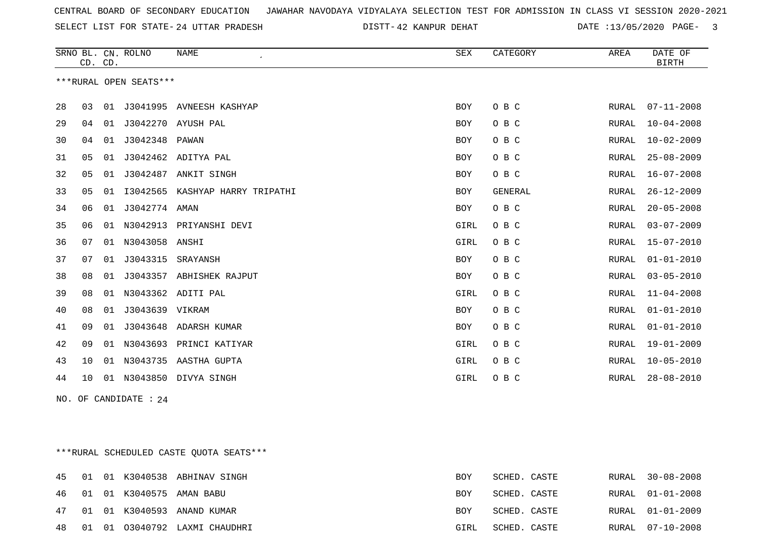SELECT LIST FOR STATE- DISTT- 24 UTTAR PRADESH

DISTT-42 KANPUR DEHAT DATE :13/05/2020 PAGE- 3

|    | CD. CD. |    | SRNO BL. CN. ROLNO     | <b>NAME</b><br>$\pmb{\cdot}$ | SEX        | CATEGORY       | AREA         | DATE OF<br><b>BIRTH</b> |
|----|---------|----|------------------------|------------------------------|------------|----------------|--------------|-------------------------|
|    |         |    | ***RURAL OPEN SEATS*** |                              |            |                |              |                         |
| 28 | 03      | 01 | J3041995               | AVNEESH KASHYAP              | BOY        | O B C          | RURAL        | $07 - 11 - 2008$        |
| 29 | 04      | 01 | J3042270               | AYUSH PAL                    | BOY        | O B C          | RURAL        | $10 - 04 - 2008$        |
| 30 | 04      | 01 | J3042348               | PAWAN                        | BOY        | O B C          | RURAL        | $10 - 02 - 2009$        |
| 31 | 05      | 01 | J3042462               | ADITYA PAL                   | BOY        | O B C          | RURAL        | $25 - 08 - 2009$        |
| 32 | 05      | 01 | J3042487               | ANKIT SINGH                  | BOY        | O B C          | <b>RURAL</b> | $16 - 07 - 2008$        |
| 33 | 05      | 01 | I3042565               | KASHYAP HARRY TRIPATHI       | <b>BOY</b> | <b>GENERAL</b> | RURAL        | $26 - 12 - 2009$        |
| 34 | 06      | 01 | J3042774 AMAN          |                              | BOY        | O B C          | RURAL        | $20 - 05 - 2008$        |
| 35 | 06      | 01 | N3042913               | PRIYANSHI DEVI               | GIRL       | O B C          | RURAL        | $03 - 07 - 2009$        |
| 36 | 07      | 01 | N3043058               | ANSHI                        | GIRL       | O B C          | <b>RURAL</b> | $15 - 07 - 2010$        |
| 37 | 07      | 01 | J3043315               | SRAYANSH                     | BOY        | O B C          | RURAL        | $01 - 01 - 2010$        |
| 38 | 08      | 01 | J3043357               | ABHISHEK RAJPUT              | BOY        | O B C          | <b>RURAL</b> | $03 - 05 - 2010$        |
| 39 | 08      | 01 | N3043362               | ADITI PAL                    | GIRL       | O B C          | RURAL        | $11 - 04 - 2008$        |
| 40 | 08      | 01 | J3043639               | VIKRAM                       | BOY        | O B C          | RURAL        | $01 - 01 - 2010$        |
| 41 | 09      | 01 | J3043648               | ADARSH KUMAR                 | BOY        | O B C          | <b>RURAL</b> | $01 - 01 - 2010$        |
| 42 | 09      | 01 | N3043693               | PRINCI KATIYAR               | GIRL       | O B C          | <b>RURAL</b> | $19 - 01 - 2009$        |
| 43 | 10      | 01 | N3043735               | AASTHA GUPTA                 | GIRL       | O B C          | <b>RURAL</b> | $10 - 05 - 2010$        |
| 44 | 10      | 01 | N3043850               | DIVYA SINGH                  | GIRL       | O B C          | RURAL        | $28 - 08 - 2010$        |

NO. OF CANDIDATE : 24

\*\*\*RURAL SCHEDULED CASTE QUOTA SEATS\*\*\*

|  |  | 45 01 01 K3040538 ABHINAV SINGH       | BOY        | SCHED. CASTE | RURAL 30-08-2008 |
|--|--|---------------------------------------|------------|--------------|------------------|
|  |  | 46   01   01   K3040575   AMAN   BABU | BOY        | SCHED. CASTE | RURAL 01-01-2008 |
|  |  | 47 01 01 K3040593 ANAND KUMAR         | <b>BOY</b> | SCHED. CASTE | RURAL 01-01-2009 |
|  |  | 48 01 01 03040792 LAXMI CHAUDHRI      | GIRL       | SCHED. CASTE | RURAL 07-10-2008 |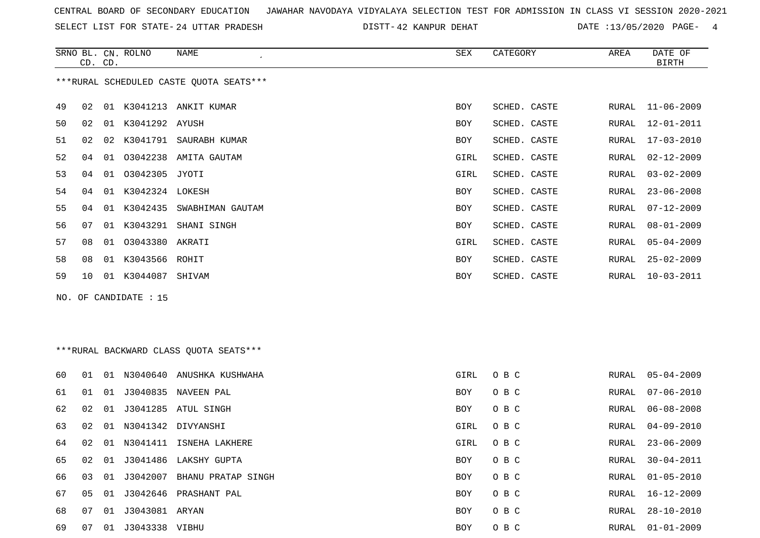SELECT LIST FOR STATE- DISTT- 24 UTTAR PRADESH

DISTT-42 KANPUR DEHAT DATE :13/05/2020 PAGE- 4

|                                         | CD. CD. |    | SRNO BL. CN. ROLNO | NAME<br>$\cdot$  | SEX  | CATEGORY     | AREA  | DATE OF<br><b>BIRTH</b> |
|-----------------------------------------|---------|----|--------------------|------------------|------|--------------|-------|-------------------------|
| ***RURAL SCHEDULED CASTE QUOTA SEATS*** |         |    |                    |                  |      |              |       |                         |
| 49                                      | 02      | 01 | K3041213           | ANKIT KUMAR      | BOY  | SCHED. CASTE | RURAL | $11 - 06 - 2009$        |
| 50                                      | 02      | 01 | K3041292 AYUSH     |                  | BOY  | SCHED. CASTE | RURAL | $12 - 01 - 2011$        |
| 51                                      | 02      | 02 | K3041791           | SAURABH KUMAR    | BOY  | SCHED. CASTE | RURAL | $17 - 03 - 2010$        |
| 52                                      | 04      | 01 | 03042238           | AMITA GAUTAM     | GIRL | SCHED. CASTE | RURAL | $02 - 12 - 2009$        |
| 53                                      | 04      | 01 | 03042305 JYOTI     |                  | GIRL | SCHED. CASTE | RURAL | $03 - 02 - 2009$        |
| 54                                      | 04      | 01 | K3042324 LOKESH    |                  | BOY  | SCHED. CASTE | RURAL | $23 - 06 - 2008$        |
| 55                                      | 04      | 01 | K3042435           | SWABHIMAN GAUTAM | BOY  | SCHED. CASTE | RURAL | $07 - 12 - 2009$        |
| 56                                      | 07      | 01 | K3043291           | SHANI SINGH      | BOY  | SCHED. CASTE | RURAL | $08 - 01 - 2009$        |
| 57                                      | 08      | 01 | 03043380           | AKRATI           | GIRL | SCHED. CASTE | RURAL | $05 - 04 - 2009$        |
| 58                                      | 08      | 01 | K3043566 ROHIT     |                  | BOY  | SCHED. CASTE | RURAL | $25 - 02 - 2009$        |
| 59                                      | 10      | 01 | K3044087           | SHIVAM           | BOY  | SCHED. CASTE | RURAL | $10 - 03 - 2011$        |

NO. OF CANDIDATE : 15

# \*\*\*RURAL BACKWARD CLASS QUOTA SEATS\*\*\*

| 60. | 01 | . N 1 | N3040640       | ANUSHKA KUSHWAHA   | GIRL       | O B C | RURAL | $05 - 04 - 2009$ |
|-----|----|-------|----------------|--------------------|------------|-------|-------|------------------|
| 61  | 01 | 01    | J3040835       | NAVEEN PAL         | <b>BOY</b> | O B C | RURAL | $07 - 06 - 2010$ |
| 62  | 02 | 01    | J3041285       | ATUL SINGH         | BOY        | O B C | RURAL | $06 - 08 - 2008$ |
| 63  | 02 | 01    |                | N3041342 DIVYANSHI | GIRL       | O B C | RURAL | 04-09-2010       |
| 64  | 02 | 01    | N3041411       | ISNEHA LAKHERE     | GIRL       | O B C | RURAL | $23 - 06 - 2009$ |
| 65  | 02 | 01    | J3041486       | LAKSHY GUPTA       | <b>BOY</b> | O B C | RURAL | 30-04-2011       |
| 66  | 03 | 01    | J3042007       | BHANU PRATAP SINGH | <b>BOY</b> | O B C | RURAL | $01 - 05 - 2010$ |
| 67  | 05 | 01    | J3042646       | PRASHANT PAL       | <b>BOY</b> | O B C | RURAL | $16 - 12 - 2009$ |
| 68  | 07 | 01    | J3043081 ARYAN |                    | <b>BOY</b> | O B C | RURAL | 28-10-2010       |
| 69  | 07 | 01    | J3043338       | VIBHU              | <b>BOY</b> | O B C | RURAL | $01 - 01 - 2009$ |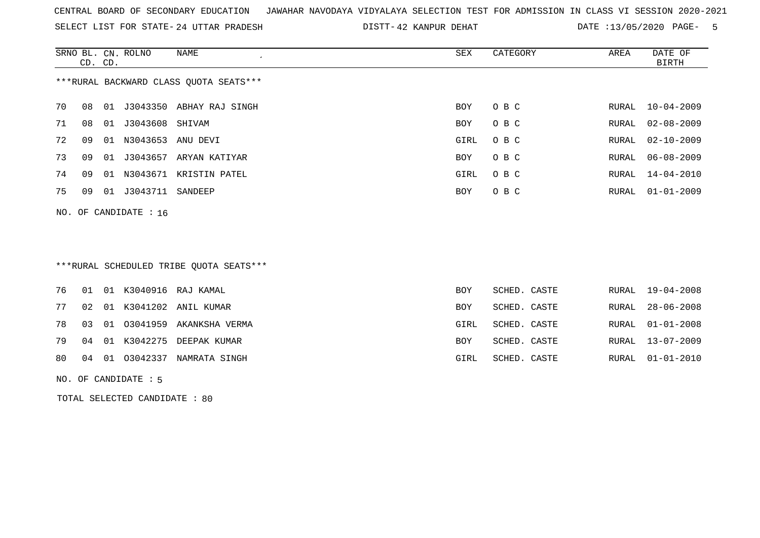SELECT LIST FOR STATE- DISTT- 24 UTTAR PRADESH

DISTT-42 KANPUR DEHAT DATE :13/05/2020 PAGE- 5

|                                        | CD. CD. |    | SRNO BL. CN. ROLNO      | NAME                   | SEX        | CATEGORY | AREA  | DATE OF<br>BIRTH |
|----------------------------------------|---------|----|-------------------------|------------------------|------------|----------|-------|------------------|
| ***RURAL BACKWARD CLASS OUOTA SEATS*** |         |    |                         |                        |            |          |       |                  |
| 70                                     | 08      | 01 | J3043350                | ABHAY RAJ SINGH        | BOY        | O B C    | RURAL | 10-04-2009       |
| 71                                     | 08      | 01 | J3043608                | SHIVAM                 | <b>BOY</b> | O B C    | RURAL | $02 - 08 - 2009$ |
| 72                                     | 09      | 01 | N3043653                | ANU DEVI               | GIRL       | O B C    |       | RURAL 02-10-2009 |
| 73                                     | 09      | 01 |                         | J3043657 ARYAN KATIYAR | <b>BOY</b> | O B C    |       | RURAL 06-08-2009 |
| 74                                     | 09      | 01 | N3043671                | KRISTIN PATEL          | GIRL       | O B C    | RURAL | 14-04-2010       |
| 75                                     | 09      | 01 | J3043711                | SANDEEP                | <b>BOY</b> | O B C    | RURAL | $01 - 01 - 2009$ |
|                                        |         |    | NO. OF CANDIDATE : $16$ |                        |            |          |       |                  |

## \*\*\*RURAL SCHEDULED TRIBE QUOTA SEATS\*\*\*

|  |  | 76 01 01 K3040916 RAJ KAMAL      | <b>BOY</b> | SCHED. CASTE |  | RURAL 19-04-2008 |
|--|--|----------------------------------|------------|--------------|--|------------------|
|  |  | 77 02 01 K3041202 ANIL KUMAR     | BOY        | SCHED. CASTE |  | RURAL 28-06-2008 |
|  |  | 78 03 01 03041959 AKANKSHA VERMA | GIRL       | SCHED. CASTE |  | RURAL 01-01-2008 |
|  |  | 79 04 01 K3042275 DEEPAK KUMAR   | BOY        | SCHED. CASTE |  | RURAL 13-07-2009 |
|  |  | 80 04 01 03042337 NAMRATA SINGH  | GIRL       | SCHED. CASTE |  | RURAL 01-01-2010 |
|  |  |                                  |            |              |  |                  |

NO. OF CANDIDATE : 5

TOTAL SELECTED CANDIDATE : 80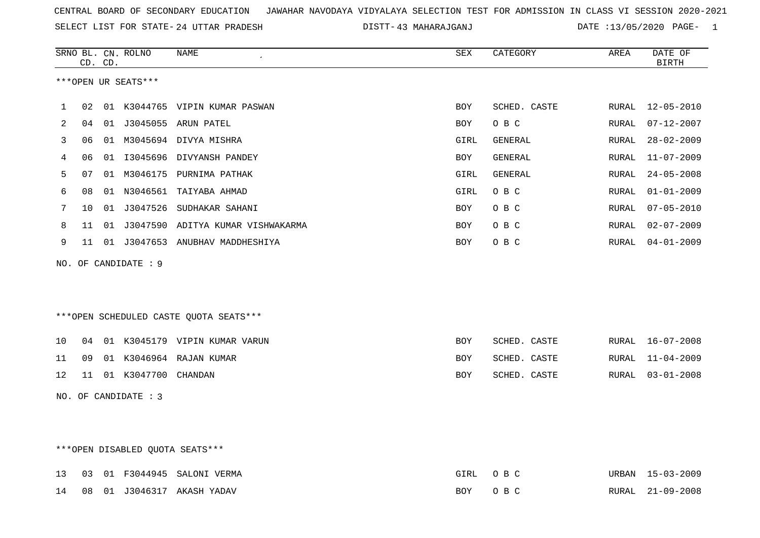SELECT LIST FOR STATE- DISTT- 24 UTTAR PRADESH

|    |    | CD. CD. | SRNO BL. CN. ROLNO   | <b>NAME</b>                              | SEX        | CATEGORY     | AREA         | DATE OF<br><b>BIRTH</b> |
|----|----|---------|----------------------|------------------------------------------|------------|--------------|--------------|-------------------------|
|    |    |         | ***OPEN UR SEATS***  |                                          |            |              |              |                         |
| 1  | 02 |         |                      | 01 K3044765 VIPIN KUMAR PASWAN           | <b>BOY</b> | SCHED. CASTE | RURAL        | $12 - 05 - 2010$        |
| 2  | 04 | 01      |                      | J3045055 ARUN PATEL                      | <b>BOY</b> | O B C        | <b>RURAL</b> | $07 - 12 - 2007$        |
| 3  | 06 |         |                      | 01 M3045694 DIVYA MISHRA                 | GIRL       | GENERAL      | RURAL        | $28 - 02 - 2009$        |
| 4  | 06 | 01      |                      | I3045696 DIVYANSH PANDEY                 | BOY        | GENERAL      | RURAL        | $11 - 07 - 2009$        |
| 5  | 07 |         |                      | 01 M3046175 PURNIMA PATHAK               | GIRL       | GENERAL      | RURAL        | $24 - 05 - 2008$        |
| 6  | 08 |         |                      | 01 N3046561 TAIYABA AHMAD                | GIRL       | O B C        | RURAL        | $01 - 01 - 2009$        |
| 7  | 10 |         |                      | 01 J3047526 SUDHAKAR SAHANI              | <b>BOY</b> | O B C        | RURAL        | $07 - 05 - 2010$        |
| 8  | 11 | 01      |                      | J3047590 ADITYA KUMAR VISHWAKARMA        | <b>BOY</b> | O B C        | RURAL        | $02 - 07 - 2009$        |
| 9  | 11 |         |                      | 01 J3047653 ANUBHAV MADDHESHIYA          | <b>BOY</b> | O B C        | RURAL        | $04 - 01 - 2009$        |
|    |    |         | NO. OF CANDIDATE : 9 |                                          |            |              |              |                         |
|    |    |         |                      |                                          |            |              |              |                         |
|    |    |         |                      |                                          |            |              |              |                         |
|    |    |         |                      | *** OPEN SCHEDULED CASTE QUOTA SEATS *** |            |              |              |                         |
| 10 | 04 |         |                      | 01 K3045179 VIPIN KUMAR VARUN            | <b>BOY</b> | SCHED. CASTE | RURAL        | $16 - 07 - 2008$        |
| 11 | 09 |         |                      | 01 K3046964 RAJAN KUMAR                  | <b>BOY</b> | SCHED. CASTE | RURAL        | $11 - 04 - 2009$        |
| 12 | 11 |         | 01 K3047700 CHANDAN  |                                          | BOY        | SCHED. CASTE | RURAL        | $03 - 01 - 2008$        |
|    |    |         | NO. OF CANDIDATE : 3 |                                          |            |              |              |                         |
|    |    |         |                      |                                          |            |              |              |                         |
|    |    |         |                      |                                          |            |              |              |                         |
|    |    |         |                      | ***OPEN DISABLED QUOTA SEATS***          |            |              |              |                         |

|  |  | 13 03 01 F3044945 SALONI VERMA | GIRL OBC |  | URBAN 15-03-2009 |
|--|--|--------------------------------|----------|--|------------------|
|  |  | 14 08 01 J3046317 AKASH YADAV  | BOY OBC  |  | RURAL 21-09-2008 |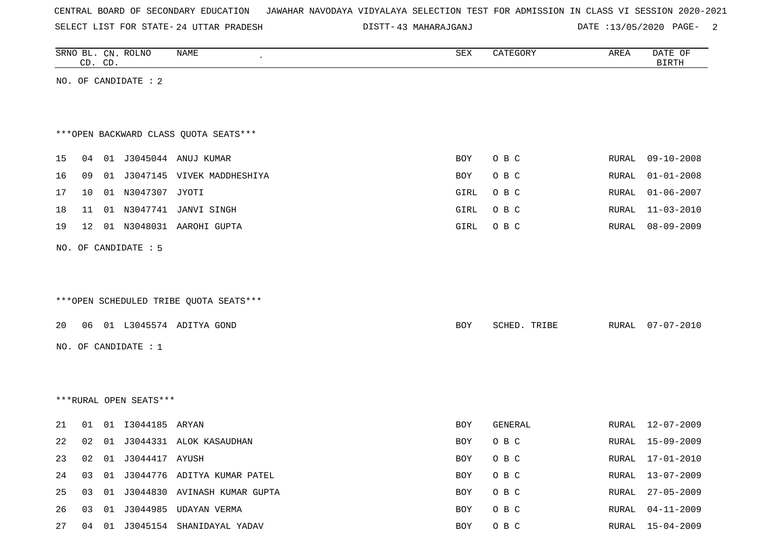SELECT LIST FOR STATE- DISTT- 24 UTTAR PRADESH

|    |    | CD. CD. | SRNO BL. CN. ROLNO     | <b>NAME</b>                            | ${\tt SEX}$ | CATEGORY     | AREA  | DATE OF<br><b>BIRTH</b> |
|----|----|---------|------------------------|----------------------------------------|-------------|--------------|-------|-------------------------|
|    |    |         | NO. OF CANDIDATE : 2   |                                        |             |              |       |                         |
|    |    |         |                        |                                        |             |              |       |                         |
|    |    |         |                        |                                        |             |              |       |                         |
|    |    |         |                        | *** OPEN BACKWARD CLASS QUOTA SEATS*** |             |              |       |                         |
|    |    |         |                        |                                        |             |              |       |                         |
| 15 |    |         |                        | 04 01 J3045044 ANUJ KUMAR              | BOY         | O B C        | RURAL | $09 - 10 - 2008$        |
| 16 | 09 |         |                        | 01 J3047145 VIVEK MADDHESHIYA          | BOY         | O B C        | RURAL | $01 - 01 - 2008$        |
| 17 | 10 |         | 01 N3047307 JYOTI      |                                        | GIRL        | O B C        | RURAL | $01 - 06 - 2007$        |
| 18 | 11 |         | 01 N3047741            | JANVI SINGH                            | GIRL        | O B C        | RURAL | $11 - 03 - 2010$        |
| 19 | 12 |         |                        | 01 N3048031 AAROHI GUPTA               | GIRL        | O B C        | RURAL | $08 - 09 - 2009$        |
|    |    |         | NO. OF CANDIDATE : 5   |                                        |             |              |       |                         |
|    |    |         |                        |                                        |             |              |       |                         |
|    |    |         |                        |                                        |             |              |       |                         |
|    |    |         |                        | ***OPEN SCHEDULED TRIBE QUOTA SEATS*** |             |              |       |                         |
| 20 |    |         |                        | 06 01 L3045574 ADITYA GOND             | BOY         | SCHED. TRIBE | RURAL | $07 - 07 - 2010$        |
|    |    |         | NO. OF CANDIDATE : $1$ |                                        |             |              |       |                         |
|    |    |         |                        |                                        |             |              |       |                         |
|    |    |         |                        |                                        |             |              |       |                         |
|    |    |         |                        |                                        |             |              |       |                         |
|    |    |         | ***RURAL OPEN SEATS*** |                                        |             |              |       |                         |
| 21 | 01 |         | 01 I3044185 ARYAN      |                                        | BOY         | GENERAL      | RURAL | 12-07-2009              |
| 22 | 02 |         |                        | 01 J3044331 ALOK KASAUDHAN             | BOY         | O B C        |       | RURAL 15-09-2009        |
| 23 | 02 | 01      | J3044417 AYUSH         |                                        | BOY         | O B C        |       | RURAL 17-01-2010        |
| 24 | 03 | 01      |                        | J3044776 ADITYA KUMAR PATEL            | BOY         | O B C        | RURAL | $13 - 07 - 2009$        |
| 25 | 03 | 01      |                        | J3044830 AVINASH KUMAR GUPTA           | BOY         | O B C        | RURAL | $27 - 05 - 2009$        |
| 26 | 03 | 01      |                        | J3044985 UDAYAN VERMA                  | BOY         | O B C        | RURAL | $04 - 11 - 2009$        |
| 27 |    | 04 01   |                        | J3045154 SHANIDAYAL YADAV              | BOY         | O B C        | RURAL | $15 - 04 - 2009$        |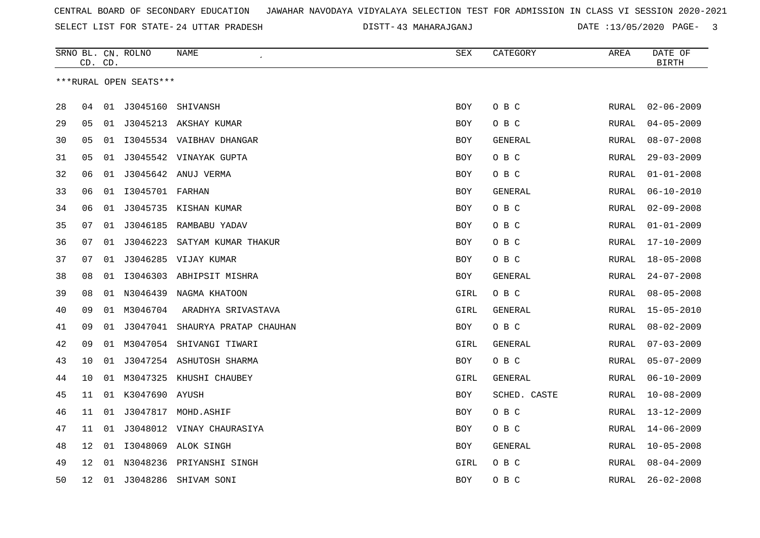SELECT LIST FOR STATE- DISTT- 24 UTTAR PRADESH

|    | CD. CD. |    | SRNO BL. CN. ROLNO     | <b>NAME</b>                     | <b>SEX</b> | CATEGORY     | AREA         | DATE OF<br>BIRTH |
|----|---------|----|------------------------|---------------------------------|------------|--------------|--------------|------------------|
|    |         |    | ***RURAL OPEN SEATS*** |                                 |            |              |              |                  |
|    |         |    |                        |                                 |            |              |              |                  |
| 28 | 04      |    | 01 J3045160 SHIVANSH   |                                 | BOY        | O B C        | RURAL        | $02 - 06 - 2009$ |
| 29 | 05      |    |                        | 01 J3045213 AKSHAY KUMAR        | <b>BOY</b> | O B C        | <b>RURAL</b> | $04 - 05 - 2009$ |
| 30 | 05      | 01 |                        | 13045534 VAIBHAV DHANGAR        | <b>BOY</b> | GENERAL      | <b>RURAL</b> | $08 - 07 - 2008$ |
| 31 | 05      | 01 |                        | J3045542 VINAYAK GUPTA          | BOY        | O B C        | RURAL        | $29 - 03 - 2009$ |
| 32 | 06      | 01 |                        | J3045642 ANUJ VERMA             | <b>BOY</b> | O B C        | RURAL        | $01 - 01 - 2008$ |
| 33 | 06      | 01 | 13045701 FARHAN        |                                 | BOY        | GENERAL      | RURAL        | $06 - 10 - 2010$ |
| 34 | 06      | 01 |                        | J3045735 KISHAN KUMAR           | <b>BOY</b> | O B C        | <b>RURAL</b> | $02 - 09 - 2008$ |
| 35 | 07      | 01 |                        | J3046185 RAMBABU YADAV          | <b>BOY</b> | O B C        | <b>RURAL</b> | $01 - 01 - 2009$ |
| 36 | 07      |    |                        | 01 J3046223 SATYAM KUMAR THAKUR | <b>BOY</b> | O B C        | <b>RURAL</b> | $17 - 10 - 2009$ |
| 37 | 07      | 01 |                        | J3046285 VIJAY KUMAR            | BOY        | O B C        | RURAL        | $18 - 05 - 2008$ |
| 38 | 08      | 01 |                        | 13046303 ABHIPSIT MISHRA        | BOY        | GENERAL      | RURAL        | $24 - 07 - 2008$ |
| 39 | 08      | 01 | N3046439               | NAGMA KHATOON                   | GIRL       | O B C        | RURAL        | $08 - 05 - 2008$ |
| 40 | 09      | 01 | M3046704               | ARADHYA SRIVASTAVA              | GIRL       | GENERAL      | RURAL        | $15 - 05 - 2010$ |
| 41 | 09      | 01 | J3047041               | SHAURYA PRATAP CHAUHAN          | BOY        | O B C        | RURAL        | $08 - 02 - 2009$ |
| 42 | 09      | 01 | M3047054               | SHIVANGI TIWARI                 | GIRL       | GENERAL      | RURAL        | $07 - 03 - 2009$ |
| 43 | 10      | 01 |                        | J3047254 ASHUTOSH SHARMA        | BOY        | O B C        | RURAL        | $05 - 07 - 2009$ |
| 44 | 10      |    |                        | 01 M3047325 KHUSHI CHAUBEY      | GIRL       | GENERAL      | RURAL        | $06 - 10 - 2009$ |
| 45 | 11      |    | 01 K3047690 AYUSH      |                                 | BOY        | SCHED. CASTE | <b>RURAL</b> | $10 - 08 - 2009$ |
| 46 | 11      | 01 |                        | J3047817 MOHD.ASHIF             | BOY        | O B C        | RURAL        | $13 - 12 - 2009$ |
| 47 | 11      | 01 |                        | J3048012 VINAY CHAURASIYA       | BOY        | O B C        | RURAL        | $14 - 06 - 2009$ |
| 48 | 12      | 01 |                        | I3048069 ALOK SINGH             | <b>BOY</b> | GENERAL      | <b>RURAL</b> | $10 - 05 - 2008$ |
| 49 | 12      | 01 |                        | N3048236 PRIYANSHI SINGH        | GIRL       | O B C        | RURAL        | $08 - 04 - 2009$ |
| 50 | 12      | 01 | J3048286               | SHIVAM SONI                     | BOY        | O B C        | RURAL        | $26 - 02 - 2008$ |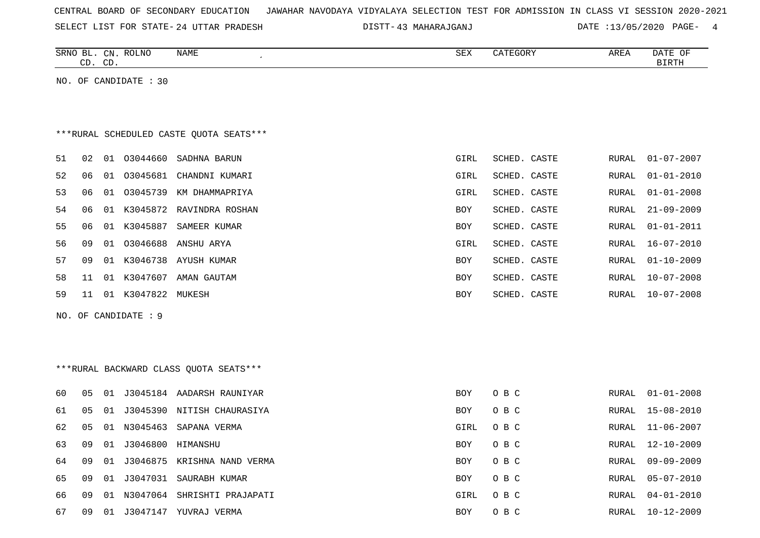| CENTRAL BOARD OF SECONDARY EDUCATION – JAWAHAR NAVODAYA VIDYALAYA SELECTION TEST FOR ADMISSION IN CLASS VI SESSION 2020-2021 |  |  |  |  |  |
|------------------------------------------------------------------------------------------------------------------------------|--|--|--|--|--|
|------------------------------------------------------------------------------------------------------------------------------|--|--|--|--|--|

SELECT LIST FOR STATE- DISTT- 24 UTTAR PRADESH 43 MAHARAJGANJ DATE :13/05/2020 PAGE- 4

|    |    | CD. CD. | SRNO BL. CN. ROLNO    | NAME                                    | SEX        | CATEGORY     | AREA         | DATE OF<br><b>BIRTH</b> |
|----|----|---------|-----------------------|-----------------------------------------|------------|--------------|--------------|-------------------------|
|    |    |         | NO. OF CANDIDATE : 30 |                                         |            |              |              |                         |
|    |    |         |                       |                                         |            |              |              |                         |
|    |    |         |                       |                                         |            |              |              |                         |
|    |    |         |                       | ***RURAL SCHEDULED CASTE QUOTA SEATS*** |            |              |              |                         |
| 51 | 02 |         | 01 03044660           | SADHNA BARUN                            | GIRL       | SCHED. CASTE | RURAL        | $01 - 07 - 2007$        |
| 52 | 06 |         |                       | 01 03045681 CHANDNI KUMARI              | GIRL       | SCHED. CASTE | <b>RURAL</b> | $01 - 01 - 2010$        |
| 53 | 06 |         | 01 03045739           | KM DHAMMAPRIYA                          | GIRL       | SCHED. CASTE | <b>RURAL</b> | $01 - 01 - 2008$        |
| 54 | 06 |         |                       | 01 K3045872 RAVINDRA ROSHAN             | <b>BOY</b> | SCHED. CASTE | <b>RURAL</b> | $21 - 09 - 2009$        |
| 55 | 06 |         | 01 K3045887           | SAMEER KUMAR                            | BOY        | SCHED. CASTE | RURAL        | $01 - 01 - 2011$        |
| 56 | 09 |         | 01 03046688           | ANSHU ARYA                              | GIRL       | SCHED. CASTE | RURAL        | $16 - 07 - 2010$        |
| 57 | 09 |         |                       | 01 K3046738 AYUSH KUMAR                 | <b>BOY</b> | SCHED. CASTE | <b>RURAL</b> | $01 - 10 - 2009$        |
| 58 | 11 |         |                       | 01 K3047607 AMAN GAUTAM                 | <b>BOY</b> | SCHED. CASTE | RURAL        | $10 - 07 - 2008$        |
| 59 | 11 |         | 01 K3047822 MUKESH    |                                         | <b>BOY</b> | SCHED. CASTE | RURAL        | $10 - 07 - 2008$        |
|    |    |         | NO. OF CANDIDATE : 9  |                                         |            |              |              |                         |
|    |    |         |                       |                                         |            |              |              |                         |
|    |    |         |                       |                                         |            |              |              |                         |
|    |    |         |                       | *** RURAL BACKWARD CLASS QUOTA SEATS*** |            |              |              |                         |
| 60 | 05 |         |                       | 01 J3045184 AADARSH RAUNIYAR            | <b>BOY</b> | O B C        | RURAL        | $01 - 01 - 2008$        |
| 61 | 05 |         |                       | 01 J3045390 NITISH CHAURASIYA           | <b>BOY</b> | O B C        | RURAL        | $15 - 08 - 2010$        |
| 62 | 05 |         |                       | 01 N3045463 SAPANA VERMA                | GIRL       | O B C        | RURAL        | $11 - 06 - 2007$        |
| 63 | 09 |         | 01 J3046800 HIMANSHU  |                                         | <b>BOY</b> | O B C        | RURAL        | $12 - 10 - 2009$        |
| 64 | 09 |         |                       | 01 J3046875 KRISHNA NAND VERMA          | <b>BOY</b> | O B C        | RURAL        | $09 - 09 - 2009$        |
| 65 | 09 |         |                       | 01 J3047031 SAURABH KUMAR               | <b>BOY</b> | O B C        | RURAL        | $05 - 07 - 2010$        |

66 09 01 N3047064 SHRISHTI PRAJAPATI GIRL O B C RURAL 04-01-2010 67 09 01 J3047147 YUVRAJ VERMA BOY O BOY O B C RURAL 10-12-2009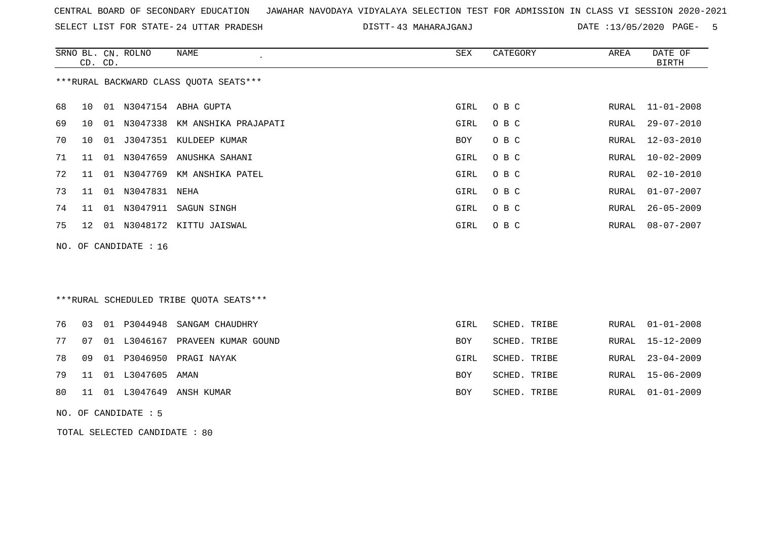SELECT LIST FOR STATE- DISTT- 24 UTTAR PRADESH

|    | CD. CD. | SRNO BL. CN. ROLNO            | <b>NAME</b><br>$\epsilon$               | <b>SEX</b>  | CATEGORY     | AREA          | DATE OF<br><b>BIRTH</b> |
|----|---------|-------------------------------|-----------------------------------------|-------------|--------------|---------------|-------------------------|
|    |         |                               | *** RURAL BACKWARD CLASS QUOTA SEATS*** |             |              |               |                         |
| 68 | 10      |                               | 01 N3047154 ABHA GUPTA                  | GIRL        | O B C        | RURAL         | $11 - 01 - 2008$        |
| 69 | 10      |                               | 01 N3047338 KM ANSHIKA PRAJAPATI        | <b>GIRL</b> | O B C        | RURAL         | $29 - 07 - 2010$        |
| 70 | 10      |                               | 01 J3047351 KULDEEP KUMAR               | <b>BOY</b>  | O B C        | RURAL         | $12 - 03 - 2010$        |
| 71 | 11      |                               | 01 N3047659 ANUSHKA SAHANI              | GIRL        | O B C        | RURAL         | $10 - 02 - 2009$        |
| 72 | 11      |                               | 01 N3047769 KM ANSHIKA PATEL            | GIRL        | O B C        | RURAL         | $02 - 10 - 2010$        |
| 73 | 11      | 01 N3047831 NEHA              |                                         | GIRL        | O B C        | RURAL         | $01 - 07 - 2007$        |
| 74 | 11      |                               | 01 N3047911 SAGUN SINGH                 | GIRL        | O B C        | RURAL         | $26 - 05 - 2009$        |
| 75 | 12      |                               | 01 N3048172 KITTU JAISWAL               | GIRL        | O B C        | RURAL         | $08 - 07 - 2007$        |
|    |         | NO. OF CANDIDATE : 16         |                                         |             |              |               |                         |
|    |         |                               |                                         |             |              |               |                         |
|    |         |                               |                                         |             |              |               |                         |
|    |         |                               | ***RURAL SCHEDULED TRIBE QUOTA SEATS*** |             |              |               |                         |
| 76 | 03      | 01 P3044948                   | SANGAM CHAUDHRY                         | GIRL        | SCHED. TRIBE |               | RURAL 01-01-2008        |
| 77 | 07      | 01 L3046167                   | PRAVEEN KUMAR GOUND                     | BOY         | SCHED. TRIBE | RURAL         | $15 - 12 - 2009$        |
| 78 | 09      | 01 P3046950                   | PRAGI NAYAK                             | GIRL        | SCHED. TRIBE | RURAL         | $23 - 04 - 2009$        |
| 79 | 11      | 01 L3047605                   | AMAN                                    | BOY         | SCHED. TRIBE | ${\tt RURAL}$ | $15 - 06 - 2009$        |
| 80 | 11      |                               | 01 L3047649 ANSH KUMAR                  | BOY         | SCHED. TRIBE | RURAL         | $01 - 01 - 2009$        |
|    |         | NO. OF CANDIDATE : 5          |                                         |             |              |               |                         |
|    |         | TOTAL SELECTED CANDIDATE : 80 |                                         |             |              |               |                         |
|    |         |                               |                                         |             |              |               |                         |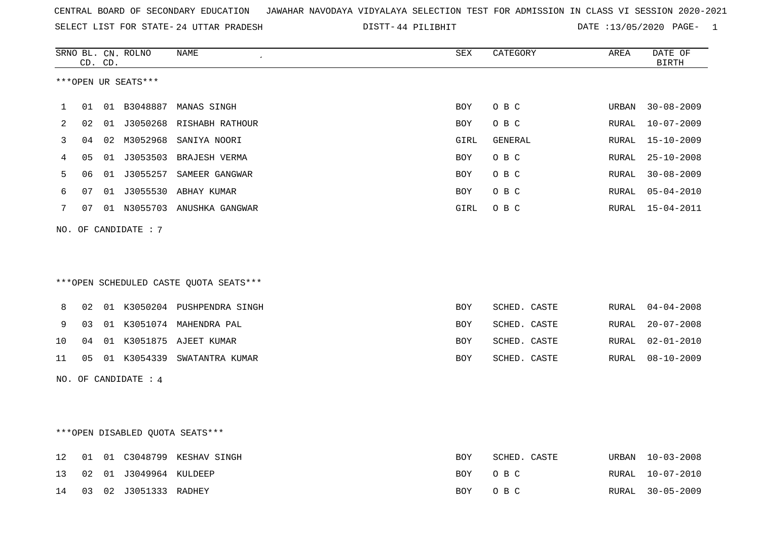|  |  |  |  | CENTRAL BOARD OF SECONDARY EDUCATION GJAWAHAR NAVODAYA VIDYALAYA SELECTION TEST FOR ADMISSION IN CLASS VI SESSION 2020-2021 |  |  |  |  |  |  |  |  |  |  |  |
|--|--|--|--|-----------------------------------------------------------------------------------------------------------------------------|--|--|--|--|--|--|--|--|--|--|--|
|--|--|--|--|-----------------------------------------------------------------------------------------------------------------------------|--|--|--|--|--|--|--|--|--|--|--|

SELECT LIST FOR STATE- DISTT- 24 UTTAR PRADESH 44 PILIBHIT DATE :13/05/2020 PAGE- 1

|     |    | CD. CD. | SRNO BL. CN. ROLNO               | NAME                                   | ${\tt SEX}$ | CATEGORY     | AREA          | DATE OF<br>$\operatorname{BIRTH}$ |
|-----|----|---------|----------------------------------|----------------------------------------|-------------|--------------|---------------|-----------------------------------|
|     |    |         | ***OPEN UR SEATS***              |                                        |             |              |               |                                   |
| 1   | 01 |         |                                  | 01 B3048887 MANAS SINGH                | BOY         | O B C        | URBAN         | $30 - 08 - 2009$                  |
| 2   | 02 |         |                                  | 01 J3050268 RISHABH RATHOUR            | BOY         | O B C        | RURAL         | $10 - 07 - 2009$                  |
| 3   | 04 |         | 02 M3052968                      | SANIYA NOORI                           | GIRL        | GENERAL      | RURAL         | $15 - 10 - 2009$                  |
| 4   | 05 |         |                                  | 01 J3053503 BRAJESH VERMA              | <b>BOY</b>  | O B C        | RURAL         | $25 - 10 - 2008$                  |
| 5   | 06 |         |                                  | 01 J3055257 SAMEER GANGWAR             | <b>BOY</b>  | O B C        | RURAL         | $30 - 08 - 2009$                  |
| 6   | 07 |         |                                  | 01 J3055530 ABHAY KUMAR                | <b>BOY</b>  | O B C        | ${\tt RURAL}$ | $05 - 04 - 2010$                  |
| 7   | 07 |         |                                  | 01 N3055703 ANUSHKA GANGWAR            | GIRL        | O B C        | RURAL         | 15-04-2011                        |
| NO. |    |         | OF CANDIDATE : 7                 |                                        |             |              |               |                                   |
|     |    |         |                                  |                                        |             |              |               |                                   |
|     |    |         |                                  | ***OPEN SCHEDULED CASTE QUOTA SEATS*** |             |              |               |                                   |
| 8   | 02 |         |                                  | 01 K3050204 PUSHPENDRA SINGH           | BOY         | SCHED. CASTE | RURAL         | $04 - 04 - 2008$                  |
| 9   | 03 |         |                                  | 01 K3051074 MAHENDRA PAL               | BOY         | SCHED. CASTE | RURAL         | $20 - 07 - 2008$                  |
| 10  | 04 |         |                                  | 01 K3051875 AJEET KUMAR                | BOY         | SCHED. CASTE | RURAL         | $02 - 01 - 2010$                  |
| 11  | 05 |         | 01 K3054339                      | SWATANTRA KUMAR                        | BOY         | SCHED. CASTE | RURAL         | $08 - 10 - 2009$                  |
|     |    |         | NO. OF CANDIDATE : 4             |                                        |             |              |               |                                   |
|     |    |         |                                  |                                        |             |              |               |                                   |
|     |    |         |                                  |                                        |             |              |               |                                   |
|     |    |         | *** OPEN DISABLED QUOTA SEATS*** |                                        |             |              |               |                                   |
| 12  | 01 |         |                                  | 01 C3048799 KESHAV SINGH               | BOY         | SCHED. CASTE | URBAN         | $10 - 03 - 2008$                  |
| 13  | 02 |         | 01 J3049964 KULDEEP              |                                        | <b>BOY</b>  | O B C        | <b>RURAL</b>  | $10 - 07 - 2010$                  |
| 14  | 03 | 02      | J3051333 RADHEY                  |                                        | <b>BOY</b>  | O B C        | RURAL         | $30 - 05 - 2009$                  |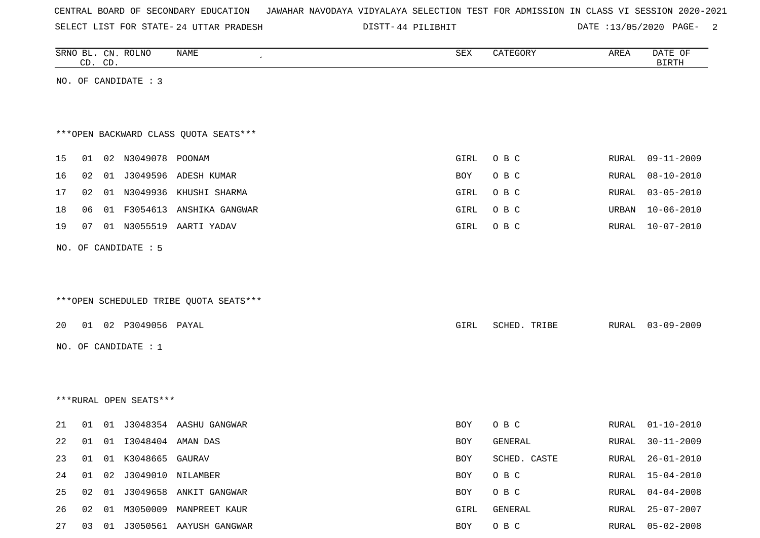SELECT LIST FOR STATE- DISTT- 24 UTTAR PRADESH

44 PILIBHIT DATE :13/05/2020 PAGE- 2

|    |    | CD. CD. | SRNO BL. CN. ROLNO      | NAME                                   | SEX        | CATEGORY     | AREA  | DATE OF<br>$\operatorname{BIRTH}$ |
|----|----|---------|-------------------------|----------------------------------------|------------|--------------|-------|-----------------------------------|
|    |    |         | NO. OF CANDIDATE : 3    |                                        |            |              |       |                                   |
|    |    |         |                         |                                        |            |              |       |                                   |
|    |    |         |                         |                                        |            |              |       |                                   |
|    |    |         |                         | *** OPEN BACKWARD CLASS QUOTA SEATS*** |            |              |       |                                   |
| 15 |    |         | 01 02 N3049078 POONAM   |                                        | GIRL       | O B C        | RURAL | $09 - 11 - 2009$                  |
| 16 | 02 |         |                         | 01 J3049596 ADESH KUMAR                | <b>BOY</b> | O B C        | RURAL | $08 - 10 - 2010$                  |
| 17 | 02 |         |                         | 01 N3049936 KHUSHI SHARMA              | GIRL       | O B C        | RURAL | $03 - 05 - 2010$                  |
| 18 | 06 |         |                         | 01 F3054613 ANSHIKA GANGWAR            | GIRL       | O B C        | URBAN | $10 - 06 - 2010$                  |
| 19 | 07 |         |                         | 01 N3055519 AARTI YADAV                | GIRL       | O B C        | RURAL | $10 - 07 - 2010$                  |
|    |    |         | NO. OF CANDIDATE : 5    |                                        |            |              |       |                                   |
|    |    |         |                         |                                        |            |              |       |                                   |
|    |    |         |                         |                                        |            |              |       |                                   |
|    |    |         |                         | ***OPEN SCHEDULED TRIBE QUOTA SEATS*** |            |              |       |                                   |
| 20 |    |         | 01 02 P3049056 PAYAL    |                                        | GIRL       | SCHED. TRIBE | RURAL | $03 - 09 - 2009$                  |
|    |    |         | NO. OF CANDIDATE : 1    |                                        |            |              |       |                                   |
|    |    |         |                         |                                        |            |              |       |                                   |
|    |    |         |                         |                                        |            |              |       |                                   |
|    |    |         | ***RURAL OPEN SEATS***  |                                        |            |              |       |                                   |
|    |    |         |                         |                                        |            |              |       |                                   |
| 21 |    |         |                         | 01 01 J3048354 AASHU GANGWAR           | BOY        | O B C        | RURAL | $01 - 10 - 2010$                  |
| 22 | 01 |         | 01 I3048404 AMAN DAS    |                                        | BOY        | GENERAL      | RURAL | $30 - 11 - 2009$                  |
| 23 | 01 |         | 01 K3048665 GAURAV      |                                        | BOY        | SCHED. CASTE | RURAL | 26-01-2010                        |
| 24 |    |         | 01 02 J3049010 NILAMBER |                                        | BOY        | $O$ B $C$    | RURAL | $15 - 04 - 2010$                  |
| 25 |    |         |                         | 02 01 J3049658 ANKIT GANGWAR           | BOY        | O B C        | RURAL | $04 - 04 - 2008$                  |
| 26 |    |         |                         | 02 01 M3050009 MANPREET KAUR           | GIRL       | GENERAL      | RURAL | $25 - 07 - 2007$                  |
| 27 |    |         |                         | 03 01 J3050561 AAYUSH GANGWAR          | BOY        | O B C        | RURAL | $05 - 02 - 2008$                  |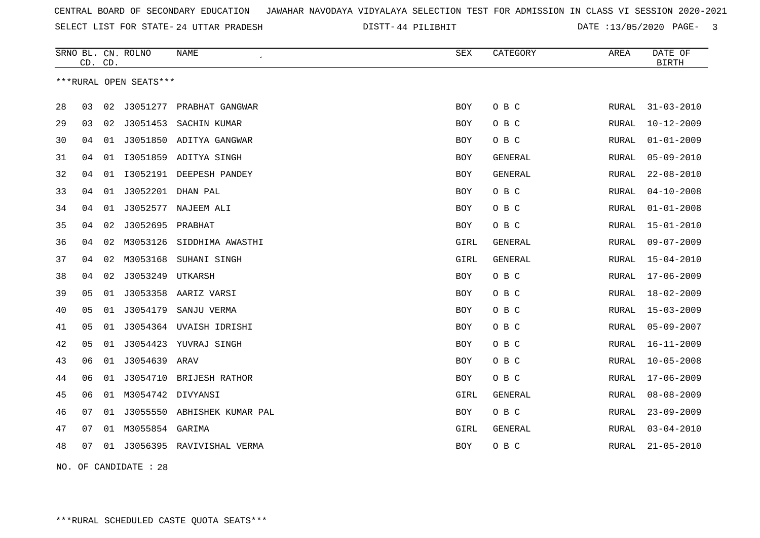SELECT LIST FOR STATE- DISTT- 24 UTTAR PRADESH

44 PILIBHIT DATE :13/05/2020 PAGE- 3

|    |    | CD. CD. | SRNO BL. CN. ROLNO     | NAME                        | SEX        | CATEGORY       | AREA         | DATE OF<br><b>BIRTH</b> |
|----|----|---------|------------------------|-----------------------------|------------|----------------|--------------|-------------------------|
|    |    |         | ***RURAL OPEN SEATS*** |                             |            |                |              |                         |
| 28 | 03 | 02      | J3051277               | PRABHAT GANGWAR             | <b>BOY</b> | O B C          | <b>RURAL</b> | $31 - 03 - 2010$        |
| 29 | 03 | 02      | J3051453               | SACHIN KUMAR                | BOY        | O B C          | RURAL        | $10 - 12 - 2009$        |
| 30 | 04 | 01      |                        | J3051850 ADITYA GANGWAR     | BOY        | O B C          | RURAL        | $01 - 01 - 2009$        |
| 31 | 04 | 01      |                        | I3051859 ADITYA SINGH       | <b>BOY</b> | <b>GENERAL</b> | <b>RURAL</b> | $05 - 09 - 2010$        |
| 32 | 04 | 01      |                        | I3052191 DEEPESH PANDEY     | BOY        | GENERAL        | RURAL        | $22 - 08 - 2010$        |
| 33 | 04 | 01      | J3052201               | DHAN PAL                    | BOY        | O B C          | <b>RURAL</b> | $04 - 10 - 2008$        |
| 34 | 04 | 01      |                        | J3052577 NAJEEM ALI         | BOY        | O B C          | RURAL        | $01 - 01 - 2008$        |
| 35 | 04 | 02      | J3052695 PRABHAT       |                             | BOY        | O B C          | RURAL        | $15 - 01 - 2010$        |
| 36 | 04 | 02      | M3053126               | SIDDHIMA AWASTHI            | GIRL       | GENERAL        | RURAL        | $09 - 07 - 2009$        |
| 37 | 04 | 02      | M3053168               | SUHANI SINGH                | GIRL       | GENERAL        | RURAL        | $15 - 04 - 2010$        |
| 38 | 04 | 02      | J3053249               | UTKARSH                     | <b>BOY</b> | O B C          | <b>RURAL</b> | $17 - 06 - 2009$        |
| 39 | 05 | 01      | J3053358               | AARIZ VARSI                 | BOY        | O B C          | RURAL        | $18 - 02 - 2009$        |
| 40 | 05 | 01      | J3054179               | SANJU VERMA                 | <b>BOY</b> | O B C          | RURAL        | $15 - 03 - 2009$        |
| 41 | 05 | 01      | J3054364               | UVAISH IDRISHI              | BOY        | O B C          | <b>RURAL</b> | $05 - 09 - 2007$        |
| 42 | 05 | 01      | J3054423               | YUVRAJ SINGH                | BOY        | O B C          | RURAL        | $16 - 11 - 2009$        |
| 43 | 06 | 01      | J3054639 ARAV          |                             | BOY        | O B C          | RURAL        | $10 - 05 - 2008$        |
| 44 | 06 | 01      |                        | J3054710 BRIJESH RATHOR     | BOY        | O B C          | RURAL        | $17 - 06 - 2009$        |
| 45 | 06 | 01      | M3054742 DIVYANSI      |                             | GIRL       | GENERAL        | RURAL        | $08 - 08 - 2009$        |
| 46 | 07 | 01      |                        | J3055550 ABHISHEK KUMAR PAL | <b>BOY</b> | O B C          | <b>RURAL</b> | $23 - 09 - 2009$        |
| 47 | 07 | 01      | M3055854               | GARIMA                      | GIRL       | <b>GENERAL</b> | RURAL        | $03 - 04 - 2010$        |
| 48 | 07 | 01      |                        | J3056395 RAVIVISHAL VERMA   | <b>BOY</b> | O B C          | RURAL        | $21 - 05 - 2010$        |
|    |    |         |                        |                             |            |                |              |                         |

NO. OF CANDIDATE : 28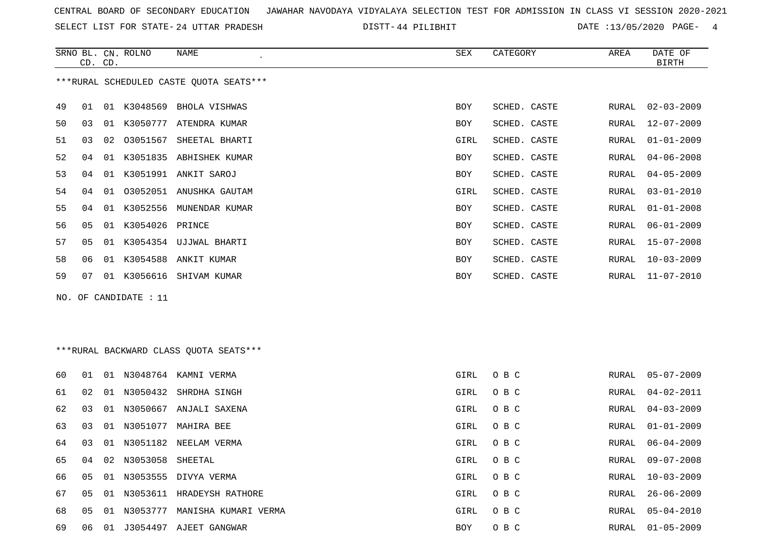SELECT LIST FOR STATE- DISTT- 24 UTTAR PRADESH

44 PILIBHIT DATE :13/05/2020 PAGE- 4

|    | CD. CD.  | SRNO BL. CN. ROLNO    | <b>NAME</b>                             | SEX        | CATEGORY     | AREA         | DATE OF<br><b>BIRTH</b> |
|----|----------|-----------------------|-----------------------------------------|------------|--------------|--------------|-------------------------|
|    |          |                       | ***RURAL SCHEDULED CASTE QUOTA SEATS*** |            |              |              |                         |
| 49 | 01       | 01 K3048569           | BHOLA VISHWAS                           | <b>BOY</b> | SCHED. CASTE | RURAL        | $02 - 03 - 2009$        |
| 50 | 03       |                       | 01 K3050777 ATENDRA KUMAR               | <b>BOY</b> | SCHED. CASTE | RURAL        | $12 - 07 - 2009$        |
| 51 | 03<br>02 |                       | 03051567 SHEETAL BHARTI                 | GIRL       | SCHED. CASTE | RURAL        | $01 - 01 - 2009$        |
| 52 | 04<br>01 |                       | K3051835 ABHISHEK KUMAR                 | <b>BOY</b> | SCHED. CASTE | <b>RURAL</b> | $04 - 06 - 2008$        |
| 53 | 04<br>01 |                       | K3051991 ANKIT SAROJ                    | BOY        | SCHED. CASTE | RURAL        | $04 - 05 - 2009$        |
| 54 | 04       |                       | 01 03052051 ANUSHKA GAUTAM              | GIRL       | SCHED. CASTE | RURAL        | $03 - 01 - 2010$        |
| 55 | 04<br>01 | K3052556              | MUNENDAR KUMAR                          | <b>BOY</b> | SCHED. CASTE | <b>RURAL</b> | $01 - 01 - 2008$        |
| 56 | 05       | 01 K3054026           | PRINCE                                  | BOY        | SCHED. CASTE | RURAL        | $06 - 01 - 2009$        |
| 57 | 05       |                       | 01 K3054354 UJJWAL BHARTI               | BOY        | SCHED. CASTE | RURAL        | $15 - 07 - 2008$        |
| 58 | 06       | 01 K3054588           | ANKIT KUMAR                             | BOY        | SCHED. CASTE | RURAL        | $10 - 03 - 2009$        |
| 59 | 07       | 01 K3056616           | SHIVAM KUMAR                            | <b>BOY</b> | SCHED. CASTE | RURAL        | $11 - 07 - 2010$        |
|    |          | NO. OF CANDIDATE : 11 |                                         |            |              |              |                         |
|    |          |                       |                                         |            |              |              |                         |
|    |          |                       |                                         |            |              |              |                         |
|    |          |                       | ***RURAL BACKWARD CLASS QUOTA SEATS***  |            |              |              |                         |
| 60 | 01       |                       | 01 N3048764 KAMNI VERMA                 | GIRL       | O B C        | RURAL        | $05 - 07 - 2009$        |
| 61 | 02       |                       | 01 N3050432 SHRDHA SINGH                | GIRL       | O B C        | RURAL        | $04 - 02 - 2011$        |
| 62 | 03       |                       | 01 N3050667 ANJALI SAXENA               | GIRL       | O B C        | RURAL        | $04 - 03 - 2009$        |

64 03 01 N3051182 NEELAM VERMA GIRL O B C GIRL O B C

65 04 02 N3053058 SHEETAL GIRL O B C RURAL 09-07-2008

66 05 01 N3053555 DIVYA VERMA GIRL O B C RURAL 10-03-2009

67 05 01 N3053611 HRADEYSH RATHORE GIRL O B C

68 05 01 N3053777 MANISHA KUMARI VERMA GARA GIRL O B C 69 06 01 J3054497 AJEET GANGWAR BOY O B C RURAL 01-05-2009

63 03 01 N3051077 MAHIRA BEE GIRL O B C RURAL 01-01-2009 RURAL 06-04-2009 RURAL 26-06-2009 RURAL 05-04-2010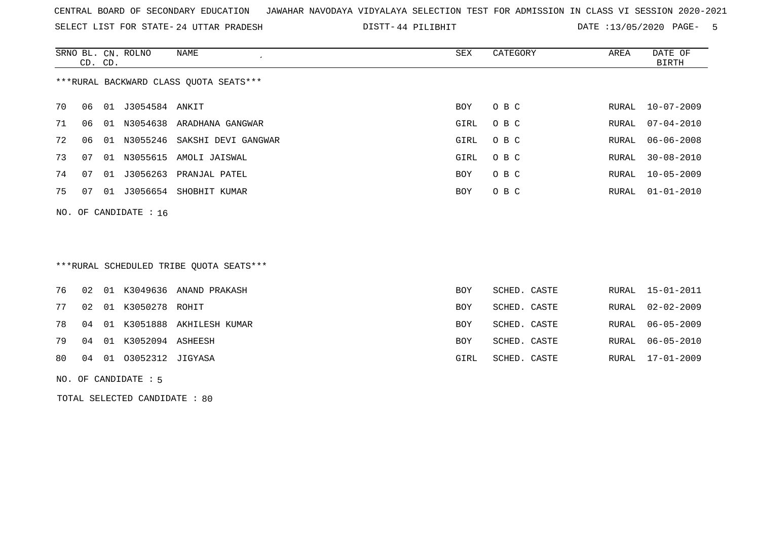SELECT LIST FOR STATE- DISTT- 24 UTTAR PRADESH

44 PILIBHIT DATE :13/05/2020 PAGE- 5

|    | CD. CD. |    | SRNO BL. CN. ROLNO      | NAME                                   | SEX  | CATEGORY | AREA  | DATE OF<br>BIRTH |
|----|---------|----|-------------------------|----------------------------------------|------|----------|-------|------------------|
|    |         |    |                         | ***RURAL BACKWARD CLASS OUOTA SEATS*** |      |          |       |                  |
| 70 | 06      |    | 01 J3054584 ANKIT       |                                        | BOY  | O B C    |       | RURAL 10-07-2009 |
| 71 | 06      | 01 |                         | N3054638 ARADHANA GANGWAR              | GIRL | O B C    | RURAL | $07 - 04 - 2010$ |
| 72 | 06      | 01 |                         | N3055246 SAKSHI DEVI GANGWAR           | GIRL | O B C    | RURAL | 06-06-2008       |
| 73 | 07      | 01 |                         | N3055615 AMOLI JAISWAL                 | GIRL | O B C    | RURAL | $30 - 08 - 2010$ |
| 74 | 07      | 01 |                         | J3056263 PRANJAL PATEL                 | BOY  | O B C    | RURAL | $10 - 05 - 2009$ |
| 75 | 07      |    |                         | 01 J3056654 SHOBHIT KUMAR              | BOY  | O B C    | RURAL | $01 - 01 - 2010$ |
|    |         |    | NO. OF CANDIDATE : $16$ |                                        |      |          |       |                  |
|    |         |    |                         |                                        |      |          |       |                  |
|    |         |    |                         |                                        |      |          |       |                  |

# \*\*\*RURAL SCHEDULED TRIBE QUOTA SEATS\*\*\*

|    |  |                           | 76 02 01 K3049636 ANAND PRAKASH  | <b>BOY</b> | SCHED. CASTE | RURAL 15-01-2011 |
|----|--|---------------------------|----------------------------------|------------|--------------|------------------|
|    |  | 77 02 01 K3050278 ROHIT   |                                  | BOY        | SCHED. CASTE | RURAL 02-02-2009 |
|    |  |                           | 78 04 01 K3051888 AKHILESH KUMAR | <b>BOY</b> | SCHED. CASTE | RURAL 06-05-2009 |
|    |  | 79 04 01 K3052094 ASHEESH |                                  | <b>BOY</b> | SCHED. CASTE | RURAL 06-05-2010 |
| 80 |  | 04 01 03052312 JIGYASA    |                                  | GIRL       | SCHED. CASTE | RURAL 17-01-2009 |
|    |  |                           |                                  |            |              |                  |

#### NO. OF CANDIDATE : 5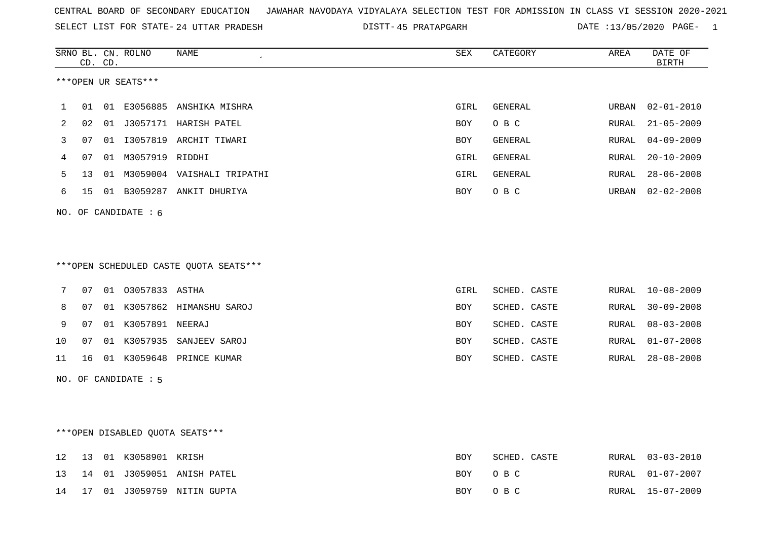|  |  |  |  | CENTRAL BOARD OF SECONDARY EDUCATION GJAWAHAR NAVODAYA VIDYALAYA SELECTION TEST FOR ADMISSION IN CLASS VI SESSION 2020-2021 |  |  |  |  |  |  |  |  |  |  |  |
|--|--|--|--|-----------------------------------------------------------------------------------------------------------------------------|--|--|--|--|--|--|--|--|--|--|--|
|--|--|--|--|-----------------------------------------------------------------------------------------------------------------------------|--|--|--|--|--|--|--|--|--|--|--|

SELECT LIST FOR STATE- DISTT- 24 UTTAR PRADESH

45 PRATAPGARH DATE :13/05/2020 PAGE- 1

|    |    | CD. CD. | SRNO BL. CN. ROLNO     | NAME                                   | <b>SEX</b>  | CATEGORY       | AREA  | DATE OF<br><b>BIRTH</b> |
|----|----|---------|------------------------|----------------------------------------|-------------|----------------|-------|-------------------------|
|    |    |         | ***OPEN UR SEATS***    |                                        |             |                |       |                         |
| 1  | 01 |         |                        | 01 E3056885 ANSHIKA MISHRA             | GIRL        | GENERAL        | URBAN | $02 - 01 - 2010$        |
| 2  | 02 |         |                        | 01 J3057171 HARISH PATEL               | BOY         | O B C          | RURAL | $21 - 05 - 2009$        |
| 3  | 07 |         |                        | 01 I3057819 ARCHIT TIWARI              | BOY         | GENERAL        | RURAL | $04 - 09 - 2009$        |
| 4  | 07 |         | 01 M3057919 RIDDHI     |                                        | GIRL        | <b>GENERAL</b> | RURAL | $20 - 10 - 2009$        |
| 5  | 13 |         |                        | 01 M3059004 VAISHALI TRIPATHI          | GIRL        | <b>GENERAL</b> | RURAL | $28 - 06 - 2008$        |
| 6  | 15 |         |                        | 01 B3059287 ANKIT DHURIYA              | BOY         | O B C          | URBAN | $02 - 02 - 2008$        |
|    |    |         | NO. OF CANDIDATE $: 6$ |                                        |             |                |       |                         |
|    |    |         |                        | ***OPEN SCHEDULED CASTE QUOTA SEATS*** |             |                |       |                         |
|    |    |         |                        |                                        |             |                |       |                         |
| 7  | 07 |         | 01 03057833 ASTHA      |                                        | <b>GIRL</b> | SCHED. CASTE   | RURAL | $10 - 08 - 2009$        |
| 8  | 07 |         |                        | 01 K3057862 HIMANSHU SAROJ             | BOY         | SCHED. CASTE   | RURAL | $30 - 09 - 2008$        |
| 9  | 07 |         | 01 K3057891 NEERAJ     |                                        | BOY         | SCHED. CASTE   | RURAL | $08 - 03 - 2008$        |
| 10 | 07 |         |                        | 01 K3057935 SANJEEV SAROJ              | BOY         | SCHED. CASTE   | RURAL | $01 - 07 - 2008$        |
| 11 | 16 |         |                        | 01 K3059648 PRINCE KUMAR               | BOY         | SCHED. CASTE   | RURAL | $28 - 08 - 2008$        |
|    |    |         | NO. OF CANDIDATE : 5   |                                        |             |                |       |                         |
|    |    |         |                        |                                        |             |                |       |                         |
|    |    |         |                        | *** OPEN DISABLED QUOTA SEATS***       |             |                |       |                         |
| 12 | 13 |         | 01 K3058901 KRISH      |                                        | BOY         | SCHED. CASTE   | RURAL | $03 - 03 - 2010$        |
| 13 | 14 |         |                        | 01 J3059051 ANISH PATEL                | BOY         | O B C          | RURAL | $01 - 07 - 2007$        |
| 14 | 17 |         |                        | 01 J3059759 NITIN GUPTA                | <b>BOY</b>  | O B C          | RURAL | $15 - 07 - 2009$        |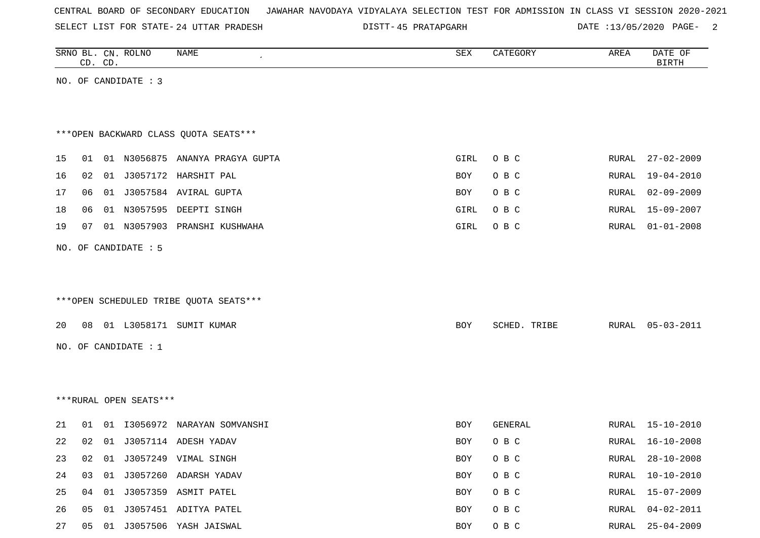SELECT LIST FOR STATE- DISTT- 24 UTTAR PRADESH

45 PRATAPGARH DATE :13/05/2020 PAGE- 2

|    |    | CD. CD. | SRNO BL. CN. ROLNO     | <b>NAME</b>                            | SEX        | CATEGORY     | AREA  | DATE OF<br><b>BIRTH</b> |
|----|----|---------|------------------------|----------------------------------------|------------|--------------|-------|-------------------------|
|    |    |         | NO. OF CANDIDATE : 3   |                                        |            |              |       |                         |
|    |    |         |                        |                                        |            |              |       |                         |
|    |    |         |                        |                                        |            |              |       |                         |
|    |    |         |                        | *** OPEN BACKWARD CLASS QUOTA SEATS*** |            |              |       |                         |
| 15 | 01 |         |                        | 01 N3056875 ANANYA PRAGYA GUPTA        | GIRL       | O B C        | RURAL | $27 - 02 - 2009$        |
| 16 | 02 |         |                        | 01 J3057172 HARSHIT PAL                | BOY        | O B C        | RURAL | 19-04-2010              |
| 17 | 06 |         |                        | 01 J3057584 AVIRAL GUPTA               | BOY        | O B C        | RURAL | $02 - 09 - 2009$        |
| 18 | 06 |         |                        | 01 N3057595 DEEPTI SINGH               | GIRL       | O B C        | RURAL | 15-09-2007              |
| 19 | 07 |         |                        | 01 N3057903 PRANSHI KUSHWAHA           | GIRL       | O B C        | RURAL | $01 - 01 - 2008$        |
|    |    |         | NO. OF CANDIDATE : 5   |                                        |            |              |       |                         |
|    |    |         |                        |                                        |            |              |       |                         |
|    |    |         |                        |                                        |            |              |       |                         |
|    |    |         |                        | ***OPEN SCHEDULED TRIBE QUOTA SEATS*** |            |              |       |                         |
|    |    |         |                        |                                        |            |              |       |                         |
| 20 | 08 |         |                        | 01 L3058171 SUMIT KUMAR                | BOY        | SCHED. TRIBE | RURAL | $05 - 03 - 2011$        |
|    |    |         | NO. OF CANDIDATE : $1$ |                                        |            |              |       |                         |
|    |    |         |                        |                                        |            |              |       |                         |
|    |    |         |                        |                                        |            |              |       |                         |
|    |    |         | ***RURAL OPEN SEATS*** |                                        |            |              |       |                         |
| 21 | 01 |         |                        | 01 I3056972 NARAYAN SOMVANSHI          | BOY        | GENERAL      | RURAL | $15 - 10 - 2010$        |
| 22 | 02 |         |                        | 01 J3057114 ADESH YADAV                | <b>BOY</b> | O B C        | RURAL | $16 - 10 - 2008$        |
| 23 | 02 |         |                        | 01 J3057249 VIMAL SINGH                | BOY        | O B C        | RURAL | $28 - 10 - 2008$        |
| 24 | 03 |         |                        | 01 J3057260 ADARSH YADAV               | BOY        | O B C        | RURAL | $10 - 10 - 2010$        |
| 25 | 04 |         |                        | 01 J3057359 ASMIT PATEL                | BOY        | O B C        | RURAL | $15 - 07 - 2009$        |
| 26 | 05 |         |                        | 01 J3057451 ADITYA PATEL               | BOY        | O B C        | RURAL | $04 - 02 - 2011$        |
| 27 |    |         |                        | 05 01 J3057506 YASH JAISWAL            | BOY        | O B C        |       | RURAL 25-04-2009        |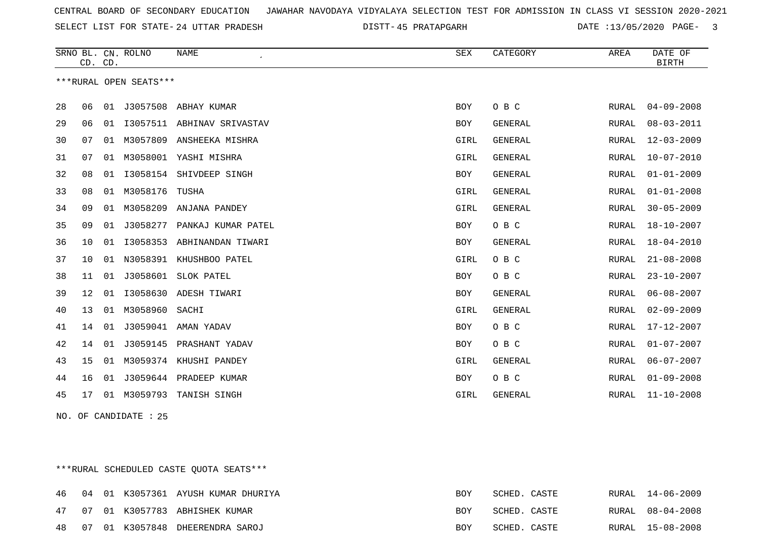SELECT LIST FOR STATE- DISTT- 24 UTTAR PRADESH

45 PRATAPGARH DATE :13/05/2020 PAGE- 3

|    | CD. CD. |    | SRNO BL. CN. ROLNO     | <b>NAME</b>            | SEX        | CATEGORY       | AREA         | DATE OF<br><b>BIRTH</b> |
|----|---------|----|------------------------|------------------------|------------|----------------|--------------|-------------------------|
|    |         |    | ***RURAL OPEN SEATS*** |                        |            |                |              |                         |
| 28 | 06      | 01 | J3057508               | ABHAY KUMAR            | <b>BOY</b> | O B C          | RURAL        | $04 - 09 - 2008$        |
| 29 | 06      | 01 | I3057511               | ABHINAV SRIVASTAV      | <b>BOY</b> | <b>GENERAL</b> | <b>RURAL</b> | $08 - 03 - 2011$        |
| 30 | 07      | 01 | M3057809               | ANSHEEKA MISHRA        | GIRL       | GENERAL        | RURAL        | $12 - 03 - 2009$        |
| 31 | 07      | 01 | M3058001               | YASHI MISHRA           | GIRL       | GENERAL        | RURAL        | $10 - 07 - 2010$        |
| 32 | 08      | 01 | I3058154               | SHIVDEEP SINGH         | BOY        | <b>GENERAL</b> | RURAL        | $01 - 01 - 2009$        |
| 33 | 08      | 01 | M3058176               | TUSHA                  | GIRL       | <b>GENERAL</b> | <b>RURAL</b> | $01 - 01 - 2008$        |
| 34 | 09      | 01 | M3058209               | ANJANA PANDEY          | GIRL       | GENERAL        | <b>RURAL</b> | $30 - 05 - 2009$        |
| 35 | 09      | 01 | J3058277               | PANKAJ KUMAR PATEL     | <b>BOY</b> | O B C          | RURAL        | $18 - 10 - 2007$        |
| 36 | 10      | 01 | I3058353               | ABHINANDAN TIWARI      | <b>BOY</b> | <b>GENERAL</b> | RURAL        | 18-04-2010              |
| 37 | 10      | 01 | N3058391               | KHUSHBOO PATEL         | GIRL       | O B C          | RURAL        | $21 - 08 - 2008$        |
| 38 | 11      | 01 | J3058601               | SLOK PATEL             | <b>BOY</b> | O B C          | <b>RURAL</b> | $23 - 10 - 2007$        |
| 39 | 12      | 01 | I3058630               | ADESH TIWARI           | <b>BOY</b> | <b>GENERAL</b> | RURAL        | $06 - 08 - 2007$        |
| 40 | 13      | 01 | M3058960               | SACHI                  | GIRL       | GENERAL        | <b>RURAL</b> | $02 - 09 - 2009$        |
| 41 | 14      | 01 | J3059041               | AMAN YADAV             | <b>BOY</b> | O B C          | <b>RURAL</b> | $17 - 12 - 2007$        |
| 42 | 14      | 01 | J3059145               | PRASHANT YADAV         | <b>BOY</b> | O B C          | RURAL        | $01 - 07 - 2007$        |
| 43 | 15      | 01 |                        | M3059374 KHUSHI PANDEY | GIRL       | GENERAL        | RURAL        | $06 - 07 - 2007$        |
| 44 | 16      | 01 | J3059644               | PRADEEP KUMAR          | <b>BOY</b> | O B C          | <b>RURAL</b> | $01 - 09 - 2008$        |
| 45 | 17      | 01 | M3059793               | TANISH SINGH           | GIRL       | <b>GENERAL</b> | RURAL        | $11 - 10 - 2008$        |

NO. OF CANDIDATE : 25

\*\*\*RURAL SCHEDULED CASTE QUOTA SEATS\*\*\*

|  |  | 46 04 01 K3057361 AYUSH KUMAR DHURIYA | BOY        | SCHED. CASTE |  | RURAL 14-06-2009 |
|--|--|---------------------------------------|------------|--------------|--|------------------|
|  |  | 47 07 01 K3057783 ABHISHEK KUMAR      | <b>BOY</b> | SCHED. CASTE |  | RURAL 08-04-2008 |
|  |  | 48 07 01 K3057848 DHEERENDRA SAROJ    | <b>BOY</b> | SCHED. CASTE |  | RURAL 15-08-2008 |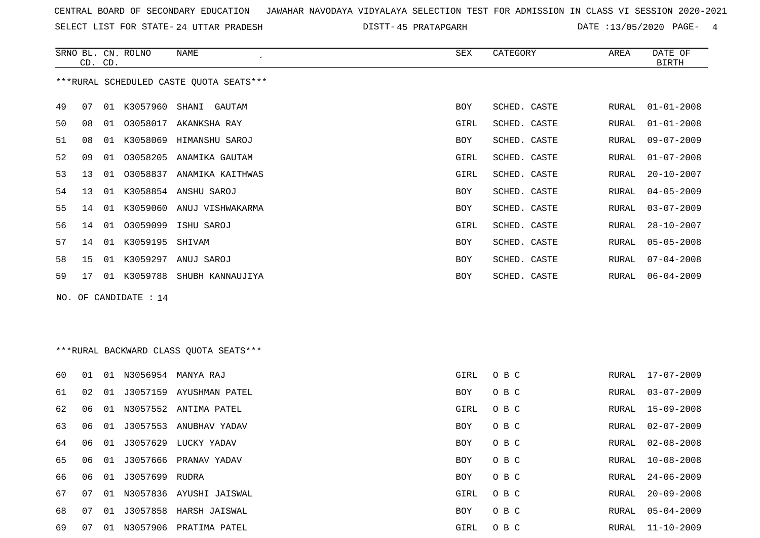SELECT LIST FOR STATE- DISTT- 24 UTTAR PRADESH

45 PRATAPGARH DATE :13/05/2020 PAGE- 4

|    | CD. CD. |    | SRNO BL. CN. ROLNO    | <b>NAME</b>                             | SEX        | CATEGORY     | AREA  | DATE OF<br><b>BIRTH</b> |
|----|---------|----|-----------------------|-----------------------------------------|------------|--------------|-------|-------------------------|
|    |         |    |                       | ***RURAL SCHEDULED CASTE QUOTA SEATS*** |            |              |       |                         |
| 49 | 07      |    |                       | 01 K3057960 SHANI GAUTAM                | <b>BOY</b> | SCHED. CASTE | RURAL | $01 - 01 - 2008$        |
| 50 | 08      |    | 01 03058017           | AKANKSHA RAY                            | GIRL       | SCHED. CASTE | RURAL | $01 - 01 - 2008$        |
| 51 | 08      |    |                       | 01 K3058069 HIMANSHU SAROJ              | <b>BOY</b> | SCHED. CASTE | RURAL | $09 - 07 - 2009$        |
| 52 | 09      | 01 |                       | 03058205 ANAMIKA GAUTAM                 | GIRL       | SCHED. CASTE | RURAL | $01 - 07 - 2008$        |
| 53 | 13      | 01 |                       | 03058837 ANAMIKA KAITHWAS               | GIRL       | SCHED. CASTE | RURAL | $20 - 10 - 2007$        |
| 54 | 13      |    |                       | 01 K3058854 ANSHU SAROJ                 | <b>BOY</b> | SCHED. CASTE | RURAL | $04 - 05 - 2009$        |
| 55 | 14      |    |                       | 01 K3059060 ANUJ VISHWAKARMA            | <b>BOY</b> | SCHED. CASTE | RURAL | $03 - 07 - 2009$        |
| 56 | 14      |    |                       | 01  03059099  ISHU SAROJ                | GIRL       | SCHED. CASTE | RURAL | $28 - 10 - 2007$        |
| 57 | 14      |    | 01 K3059195 SHIVAM    |                                         | <b>BOY</b> | SCHED. CASTE | RURAL | $05 - 05 - 2008$        |
| 58 | 15      |    |                       | 01 K3059297 ANUJ SAROJ                  | <b>BOY</b> | SCHED. CASTE | RURAL | $07 - 04 - 2008$        |
| 59 | 17      |    |                       | 01 K3059788 SHUBH KANNAUJIYA            | <b>BOY</b> | SCHED. CASTE | RURAL | $06 - 04 - 2009$        |
|    |         |    | NO. OF CANDIDATE : 14 |                                         |            |              |       |                         |
|    |         |    |                       | *** RURAL BACKWARD CLASS QUOTA SEATS*** |            |              |       |                         |

| 60 | 01 | 01 | N3056954          | MANYA RAJ                  | GIRL       | O B C |       | RURAL 17-07-2009 |
|----|----|----|-------------------|----------------------------|------------|-------|-------|------------------|
| 61 | 02 | 01 | J3057159          | AYUSHMAN PATEL             | <b>BOY</b> | O B C | RURAL | $03 - 07 - 2009$ |
| 62 | 06 |    |                   | 01 N3057552 ANTIMA PATEL   | GIRL       | O B C | RURAL | 15-09-2008       |
| 63 | 06 |    | 01 J3057553       | ANUBHAV YADAV              | <b>BOY</b> | O B C | RURAL | 02-07-2009       |
| 64 | 06 |    | 01 J3057629       | LUCKY YADAV                | <b>BOY</b> | O B C | RURAL | 02-08-2008       |
| 65 | 06 | 01 |                   | J3057666 PRANAV YADAV      | BOY        | O B C | RURAL | 10-08-2008       |
| 66 | 06 |    | 01 J3057699 RUDRA |                            | <b>BOY</b> | O B C | RURAL | 24-06-2009       |
| 67 | 07 |    |                   | 01 N3057836 AYUSHI JAISWAL | GIRL       | O B C | RURAL | $20 - 09 - 2008$ |
| 68 | 07 |    |                   | 01 J3057858 HARSH JAISWAL  | BOY        | O B C | RURAL | $05 - 04 - 2009$ |
| 69 | 07 | 01 | N3057906          | PRATIMA PATEL              | GIRL       | O B C | RURAL | $11 - 10 - 2009$ |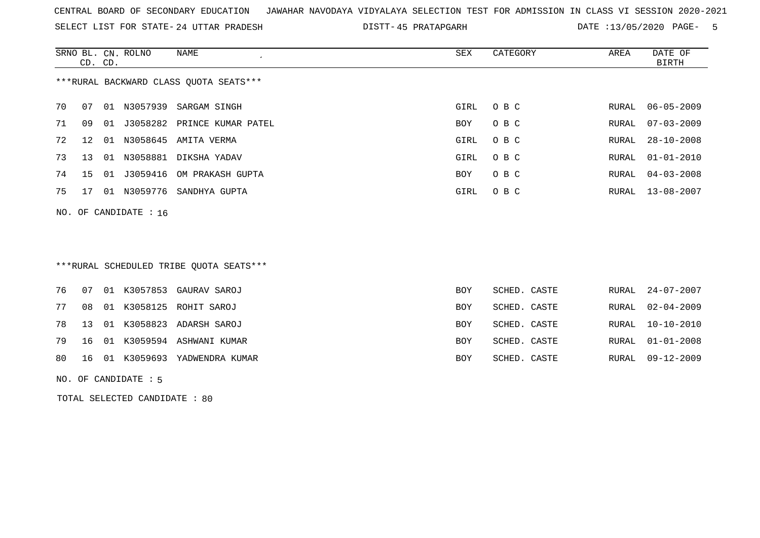SELECT LIST FOR STATE- DISTT- 24 UTTAR PRADESH

DISTT-45 PRATAPGARH DATE :13/05/2020 PAGE- 5

|    | CD. CD. |    | SRNO BL. CN. ROLNO      | NAME<br>$\cdot$                        | SEX  | CATEGORY | AREA  | DATE OF<br>BIRTH |
|----|---------|----|-------------------------|----------------------------------------|------|----------|-------|------------------|
|    |         |    |                         | ***RURAL BACKWARD CLASS OUOTA SEATS*** |      |          |       |                  |
| 70 | 07      | 01 | N3057939                | SARGAM SINGH                           | GIRL | O B C    | RURAL | $06 - 05 - 2009$ |
| 71 | 09      | 01 |                         | J3058282 PRINCE KUMAR PATEL            | BOY  | O B C    | RURAL | $07 - 03 - 2009$ |
| 72 | 12      | 01 | N3058645                | AMITA VERMA                            | GIRL | O B C    | RURAL | $28 - 10 - 2008$ |
| 73 | 13      | 01 |                         | N3058881 DIKSHA YADAV                  | GIRL | O B C    | RURAL | $01 - 01 - 2010$ |
| 74 | 15 01   |    |                         | J3059416 OM PRAKASH GUPTA              | BOY  | O B C    |       | RURAL 04-03-2008 |
| 75 | 17      | 01 | N3059776                | SANDHYA GUPTA                          | GIRL | O B C    |       | RURAL 13-08-2007 |
|    |         |    | NO. OF CANDIDATE : $16$ |                                        |      |          |       |                  |
|    |         |    |                         |                                        |      |          |       |                  |

# \*\*\*RURAL SCHEDULED TRIBE QUOTA SEATS\*\*\*

|  |  | 76  07  01  K3057853  GAURAV SAROJ | <b>BOY</b> | SCHED. CASTE |  | RURAL 24-07-2007 |
|--|--|------------------------------------|------------|--------------|--|------------------|
|  |  | 77 08 01 K3058125 ROHIT SAROJ      | BOY        | SCHED. CASTE |  | RURAL 02-04-2009 |
|  |  | 78 13 01 K3058823 ADARSH SAROJ     | BOY        | SCHED. CASTE |  | RURAL 10-10-2010 |
|  |  | 79 16 01 K3059594 ASHWANI KUMAR    | <b>BOY</b> | SCHED. CASTE |  | RURAL 01-01-2008 |
|  |  | 80 16 01 K3059693 YADWENDRA KUMAR  | <b>BOY</b> | SCHED. CASTE |  | RURAL 09-12-2009 |

NO. OF CANDIDATE : 5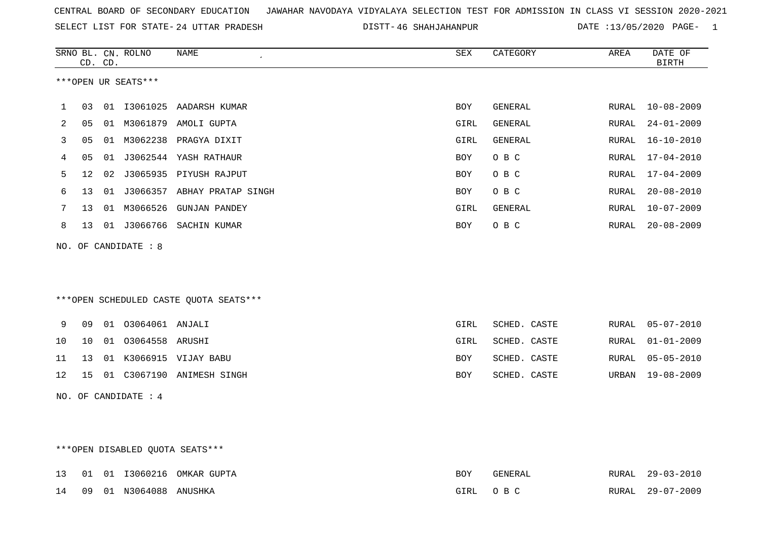| CENTRAL BOARD OF SECONDARY EDUCATION GUNAHAR NAVODAYA VIDYALAYA SELECTION TEST FOR ADMISSION IN CLASS VI SESSION 2020-2021 |  |  |  |
|----------------------------------------------------------------------------------------------------------------------------|--|--|--|
|----------------------------------------------------------------------------------------------------------------------------|--|--|--|

SELECT LIST FOR STATE- DISTT- 24 UTTAR PRADESH 46 SHAHJAHANPUR DATE :13/05/2020 PAGE- 1

|    |    | CD. CD. | SRNO BL. CN. ROLNO              | <b>NAME</b><br>$\epsilon$              | ${\tt SEX}$ | CATEGORY     | AREA  | DATE OF<br><b>BIRTH</b> |
|----|----|---------|---------------------------------|----------------------------------------|-------------|--------------|-------|-------------------------|
|    |    |         | ***OPEN UR SEATS***             |                                        |             |              |       |                         |
| 1  | 03 |         |                                 | 01 I3061025 AADARSH KUMAR              | BOY         | GENERAL      | RURAL | 10-08-2009              |
| 2  | 05 |         |                                 | 01 M3061879 AMOLI GUPTA                | GIRL        | GENERAL      | RURAL | $24 - 01 - 2009$        |
| 3  | 05 |         |                                 | 01 M3062238 PRAGYA DIXIT               | GIRL        | GENERAL      | RURAL | $16 - 10 - 2010$        |
| 4  | 05 |         |                                 | 01 J3062544 YASH RATHAUR               | BOY         | O B C        | RURAL | $17 - 04 - 2010$        |
| 5  | 12 | 02      |                                 | J3065935 PIYUSH RAJPUT                 | BOY         | O B C        | RURAL | $17 - 04 - 2009$        |
| 6  | 13 |         |                                 | 01 J3066357 ABHAY PRATAP SINGH         | BOY         | O B C        | RURAL | $20 - 08 - 2010$        |
| 7  | 13 |         |                                 | 01 M3066526 GUNJAN PANDEY              | GIRL        | GENERAL      | RURAL | $10 - 07 - 2009$        |
| 8  | 13 |         |                                 | 01 J3066766 SACHIN KUMAR               | BOY         | O B C        | RURAL | $20 - 08 - 2009$        |
|    |    |         | NO. OF CANDIDATE : 8            |                                        |             |              |       |                         |
|    |    |         |                                 |                                        |             |              |       |                         |
|    |    |         |                                 |                                        |             |              |       |                         |
|    |    |         |                                 | ***OPEN SCHEDULED CASTE QUOTA SEATS*** |             |              |       |                         |
|    |    |         |                                 |                                        |             |              |       |                         |
| 9  | 09 |         | 01 03064061 ANJALI              |                                        | GIRL        | SCHED. CASTE | RURAL | $05 - 07 - 2010$        |
| 10 | 10 |         | 01 03064558 ARUSHI              |                                        | GIRL        | SCHED. CASTE | RURAL | $01 - 01 - 2009$        |
| 11 | 13 |         |                                 | 01 K3066915 VIJAY BABU                 | BOY         | SCHED. CASTE | RURAL | $05 - 05 - 2010$        |
| 12 | 15 |         |                                 | 01 C3067190 ANIMESH SINGH              | BOY         | SCHED. CASTE | URBAN | 19-08-2009              |
|    |    |         | NO. OF CANDIDATE : 4            |                                        |             |              |       |                         |
|    |    |         |                                 |                                        |             |              |       |                         |
|    |    |         |                                 |                                        |             |              |       |                         |
|    |    |         | ***OPEN DISABLED QUOTA SEATS*** |                                        |             |              |       |                         |

|  |                           | 13 01 01 13060216 OMKAR GUPTA | BOY      | GENERAL | RURAL 29-03-2010 |
|--|---------------------------|-------------------------------|----------|---------|------------------|
|  | 14 09 01 N3064088 ANUSHKA |                               | GIRL OBC |         | RURAL 29-07-2009 |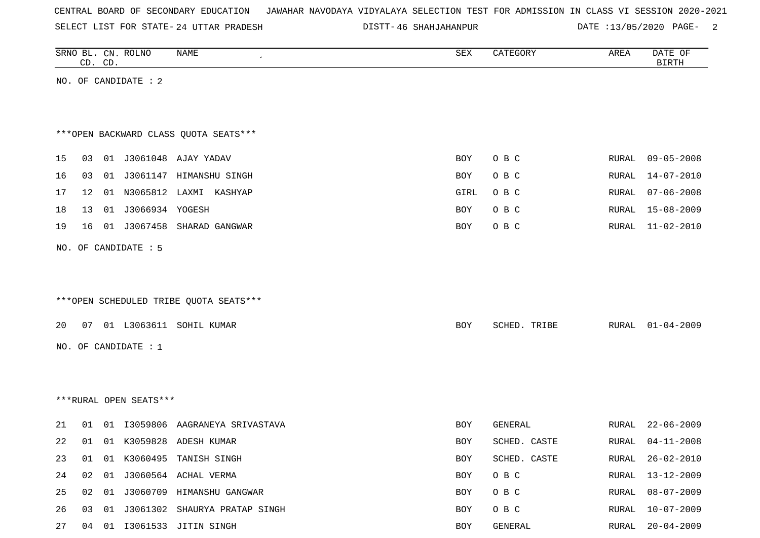SELECT LIST FOR STATE- DISTT- 24 UTTAR PRADESH

46 SHAHJAHANPUR DATE :13/05/2020 PAGE- 2

|    | CD. CD. | SRNO BL. CN. ROLNO     | NAME                                   | SEX        | CATEGORY     | AREA         | DATE OF<br><b>BIRTH</b> |
|----|---------|------------------------|----------------------------------------|------------|--------------|--------------|-------------------------|
|    |         | NO. OF CANDIDATE : 2   |                                        |            |              |              |                         |
|    |         |                        |                                        |            |              |              |                         |
|    |         |                        |                                        |            |              |              |                         |
|    |         |                        | *** OPEN BACKWARD CLASS QUOTA SEATS*** |            |              |              |                         |
| 15 |         |                        | 03 01 J3061048 AJAY YADAV              | BOY        | O B C        | RURAL        | $09 - 05 - 2008$        |
| 16 | 03      |                        | 01 J3061147 HIMANSHU SINGH             | BOY        | O B C        | RURAL        | $14 - 07 - 2010$        |
| 17 | 12      |                        | 01 N3065812 LAXMI KASHYAP              | GIRL       | O B C        | RURAL        | $07 - 06 - 2008$        |
| 18 | 13      | 01 J3066934 YOGESH     |                                        | BOY        | O B C        | RURAL        | 15-08-2009              |
| 19 | 16      |                        | 01 J3067458 SHARAD GANGWAR             | BOY        | O B C        | RURAL        | $11 - 02 - 2010$        |
|    |         | NO. OF CANDIDATE : 5   |                                        |            |              |              |                         |
|    |         |                        |                                        |            |              |              |                         |
|    |         |                        |                                        |            |              |              |                         |
|    |         |                        | ***OPEN SCHEDULED TRIBE QUOTA SEATS*** |            |              |              |                         |
| 20 |         |                        | 07 01 L3063611 SOHIL KUMAR             | BOY        | SCHED. TRIBE | RURAL        | $01 - 04 - 2009$        |
|    |         |                        |                                        |            |              |              |                         |
|    |         | NO. OF CANDIDATE : 1   |                                        |            |              |              |                         |
|    |         |                        |                                        |            |              |              |                         |
|    |         |                        |                                        |            |              |              |                         |
|    |         | ***RURAL OPEN SEATS*** |                                        |            |              |              |                         |
| 21 | 01      |                        | 01 I3059806 AAGRANEYA SRIVASTAVA       | BOY        | GENERAL      | RURAL        | $22 - 06 - 2009$        |
| 22 | 01      |                        | 01 K3059828 ADESH KUMAR                | <b>BOY</b> | SCHED. CASTE | RURAL        | $04 - 11 - 2008$        |
| 23 | 01      |                        | 01 K3060495 TANISH SINGH               | BOY        | SCHED. CASTE | RURAL        | $26 - 02 - 2010$        |
| 24 | 02      |                        | 01 J3060564 ACHAL VERMA                | BOY        | O B C        | RURAL        | $13 - 12 - 2009$        |
| 25 |         |                        | 02 01 J3060709 HIMANSHU GANGWAR        | BOY        | O B C        | RURAL        | $08 - 07 - 2009$        |
| 26 | 03      |                        | 01 J3061302 SHAURYA PRATAP SINGH       | BOY        | O B C        | <b>RURAL</b> | $10 - 07 - 2009$        |
| 27 |         |                        | 04 01 I3061533 JITIN SINGH             | BOY        | GENERAL      | <b>RURAL</b> | $20 - 04 - 2009$        |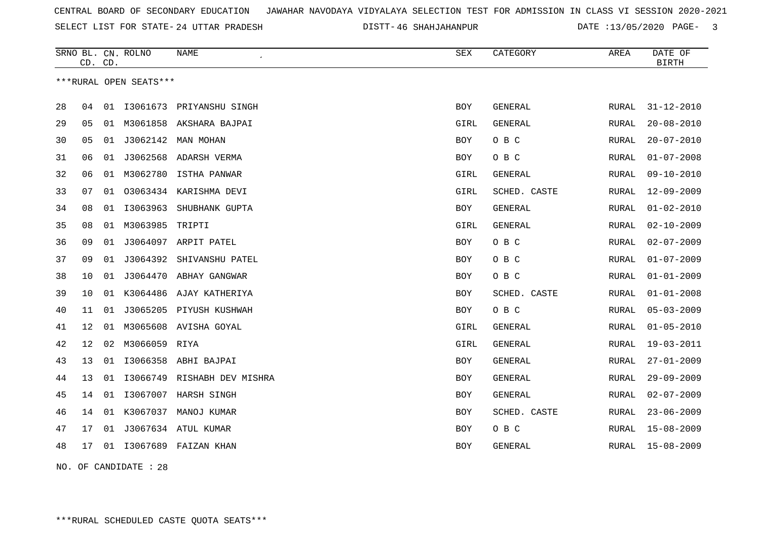SELECT LIST FOR STATE- DISTT- 24 UTTAR PRADESH

46 SHAHJAHANPUR DATE :13/05/2020 PAGE- 3

|    | CD. CD. |    | SRNO BL. CN. ROLNO     | <b>NAME</b>              | <b>SEX</b> | CATEGORY       | AREA          | DATE OF<br><b>BIRTH</b> |
|----|---------|----|------------------------|--------------------------|------------|----------------|---------------|-------------------------|
|    |         |    | ***RURAL OPEN SEATS*** |                          |            |                |               |                         |
| 28 | 04      | 01 |                        | I3061673 PRIYANSHU SINGH | <b>BOY</b> | <b>GENERAL</b> | <b>RURAL</b>  | $31 - 12 - 2010$        |
| 29 | 05      | 01 | M3061858               | AKSHARA BAJPAI           | GIRL       | GENERAL        | RURAL         | $20 - 08 - 2010$        |
| 30 | 05      | 01 |                        | J3062142 MAN MOHAN       | <b>BOY</b> | O B C          | RURAL         | $20 - 07 - 2010$        |
| 31 | 06      | 01 |                        | J3062568 ADARSH VERMA    | BOY        | O B C          | <b>RURAL</b>  | $01 - 07 - 2008$        |
| 32 | 06      |    |                        | 01 M3062780 ISTHA PANWAR | GIRL       | GENERAL        | RURAL         | $09 - 10 - 2010$        |
| 33 | 07      | 01 |                        | 03063434 KARISHMA DEVI   | GIRL       | SCHED. CASTE   | RURAL         | $12 - 09 - 2009$        |
| 34 | 08      | 01 | I3063963               | SHUBHANK GUPTA           | <b>BOY</b> | <b>GENERAL</b> | RURAL         | $01 - 02 - 2010$        |
| 35 | 08      | 01 | M3063985               | TRIPTI                   | GIRL       | GENERAL        | RURAL         | $02 - 10 - 2009$        |
| 36 | 09      | 01 |                        | J3064097 ARPIT PATEL     | BOY        | O B C          | RURAL         | $02 - 07 - 2009$        |
| 37 | 09      | 01 | J3064392               | SHIVANSHU PATEL          | BOY        | O B C          | RURAL         | $01 - 07 - 2009$        |
| 38 | 10      | 01 |                        | J3064470 ABHAY GANGWAR   | BOY        | O B C          | RURAL         | $01 - 01 - 2009$        |
| 39 | 10      | 01 |                        | K3064486 AJAY KATHERIYA  | BOY        | SCHED. CASTE   | RURAL         | $01 - 01 - 2008$        |
| 40 | 11      | 01 |                        | J3065205 PIYUSH KUSHWAH  | BOY        | O B C          | ${\tt RURAL}$ | $05 - 03 - 2009$        |
| 41 | 12      | 01 |                        | M3065608 AVISHA GOYAL    | GIRL       | GENERAL        | <b>RURAL</b>  | $01 - 05 - 2010$        |
| 42 | 12      | 02 | M3066059               | RIYA                     | GIRL       | GENERAL        | <b>RURAL</b>  | $19 - 03 - 2011$        |
| 43 | 13      | 01 |                        | I3066358 ABHI BAJPAI     | BOY        | <b>GENERAL</b> | RURAL         | $27 - 01 - 2009$        |
| 44 | 13      | 01 | I3066749               | RISHABH DEV MISHRA       | BOY        | <b>GENERAL</b> | RURAL         | $29 - 09 - 2009$        |
| 45 | 14      | 01 |                        | I3067007 HARSH SINGH     | BOY        | <b>GENERAL</b> | RURAL         | $02 - 07 - 2009$        |
| 46 | 14      | 01 |                        | K3067037 MANOJ KUMAR     | BOY        | SCHED. CASTE   | RURAL         | $23 - 06 - 2009$        |
| 47 | 17      | 01 |                        | J3067634 ATUL KUMAR      | BOY        | O B C          | RURAL         | $15 - 08 - 2009$        |
| 48 | 17      | 01 |                        | 13067689 FAIZAN KHAN     | BOY        | GENERAL        | RURAL         | $15 - 08 - 2009$        |
|    |         |    |                        |                          |            |                |               |                         |

NO. OF CANDIDATE : 28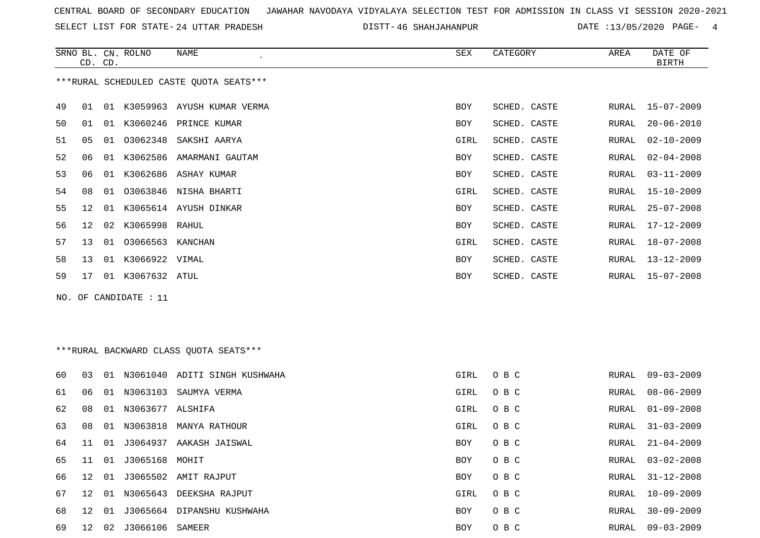SELECT LIST FOR STATE- DISTT- 24 UTTAR PRADESH

46 SHAHJAHANPUR DATE :13/05/2020 PAGE- 4

|    | CD. CD.         |    | SRNO BL. CN. ROLNO | NAME                                    | SEX        | CATEGORY     | AREA  | DATE OF<br>BIRTH |
|----|-----------------|----|--------------------|-----------------------------------------|------------|--------------|-------|------------------|
|    |                 |    |                    | ***RURAL SCHEDULED CASTE QUOTA SEATS*** |            |              |       |                  |
| 49 | 01              | 01 | K3059963           | AYUSH KUMAR VERMA                       | <b>BOY</b> | SCHED. CASTE | RURAL | 15-07-2009       |
| 50 | 01              | 01 | K3060246           | PRINCE KUMAR                            | <b>BOY</b> | SCHED. CASTE | RURAL | $20 - 06 - 2010$ |
| 51 | 05              | 01 | 03062348           | SAKSHI AARYA                            | GIRL       | SCHED. CASTE | RURAL | $02 - 10 - 2009$ |
| 52 | 06              | 01 | K3062586           | AMARMANI GAUTAM                         | <b>BOY</b> | SCHED. CASTE | RURAL | $02 - 04 - 2008$ |
| 53 | 06              | 01 | K3062686           | ASHAY KUMAR                             | <b>BOY</b> | SCHED. CASTE | RURAL | $03 - 11 - 2009$ |
| 54 | 08              | 01 | 03063846           | NISHA BHARTI                            | GIRL       | SCHED. CASTE | RURAL | $15 - 10 - 2009$ |
| 55 | 12 <sup>°</sup> | 01 |                    | K3065614 AYUSH DINKAR                   | BOY        | SCHED. CASTE | RURAL | $25 - 07 - 2008$ |
| 56 | 12 <sup>°</sup> | 02 | K3065998 RAHUL     |                                         | BOY        | SCHED. CASTE | RURAL | 17-12-2009       |
| 57 | 13              | 01 | 03066563           | KANCHAN                                 | GIRL       | SCHED. CASTE | RURAL | $18 - 07 - 2008$ |
| 58 | 13 <sup>°</sup> | 01 | K3066922 VIMAL     |                                         | <b>BOY</b> | SCHED. CASTE | RURAL | 13-12-2009       |
| 59 | 17              | 01 | K3067632 ATUL      |                                         | <b>BOY</b> | SCHED. CASTE | RURAL | 15-07-2008       |

NO. OF CANDIDATE : 11

# \*\*\*RURAL BACKWARD CLASS QUOTA SEATS\*\*\*

| 60 | 03              | 01  | N3061040         | ADITI SINGH KUSHWAHA       | GIRL       | O B C | RURAL | $09 - 03 - 2009$ |
|----|-----------------|-----|------------------|----------------------------|------------|-------|-------|------------------|
| 61 | 06              | 01  | N3063103         | SAUMYA VERMA               | GIRL       | O B C | RURAL | 08-06-2009       |
| 62 | 08              | 01  | N3063677 ALSHIFA |                            | GIRL       | O B C | RURAL | 01-09-2008       |
| 63 | 08              | 01  | N3063818         | MANYA RATHOUR              | GIRL       | O B C | RURAL | $31 - 03 - 2009$ |
| 64 | 11              | 01  | J3064937         | AAKASH JAISWAL             | BOY        | O B C | RURAL | $21 - 04 - 2009$ |
| 65 | 11              | 01  | J3065168 MOHIT   |                            | BOY        | O B C | RURAL | $03 - 02 - 2008$ |
| 66 | 12 <sup>°</sup> | 01  |                  | J3065502 AMIT RAJPUT       | BOY        | O B C | RURAL | $31 - 12 - 2008$ |
| 67 | 12 <sup>°</sup> | O 1 | N3065643         | DEEKSHA RAJPUT             | GIRL       | O B C | RURAL | $10 - 09 - 2009$ |
| 68 | $12^{\circ}$    | 01  |                  | J3065664 DIPANSHU KUSHWAHA | BOY        | O B C | RURAL | $30 - 09 - 2009$ |
| 69 | 12              | 02  | J3066106         | SAMEER                     | <b>BOY</b> | O B C | RURAL | 09-03-2009       |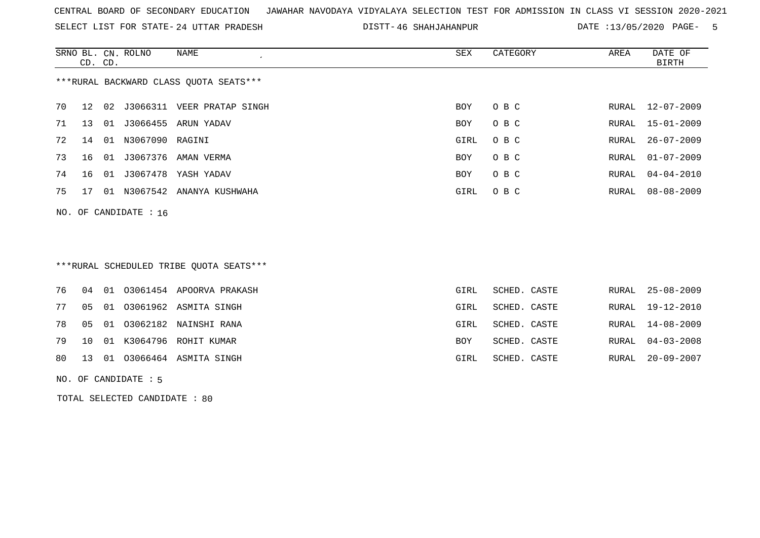SELECT LIST FOR STATE- DISTT- 24 UTTAR PRADESH

46 SHAHJAHANPUR DATE :13/05/2020 PAGE- 5

|    | CD. CD.                                |    | SRNO BL. CN. ROLNO | NAME              | SEX        | CATEGORY | AREA  | DATE OF<br>BIRTH |  |  |  |
|----|----------------------------------------|----|--------------------|-------------------|------------|----------|-------|------------------|--|--|--|
|    | ***RURAL BACKWARD CLASS OUOTA SEATS*** |    |                    |                   |            |          |       |                  |  |  |  |
| 70 | 12                                     |    | 02 J3066311        | VEER PRATAP SINGH | BOY        | O B C    | RURAL | $12 - 07 - 2009$ |  |  |  |
| 71 | 13                                     | 01 | J3066455           | ARUN YADAV        | <b>BOY</b> | O B C    | RURAL | 15-01-2009       |  |  |  |
| 72 | 14                                     | 01 | N3067090 RAGINI    |                   | GIRL       | O B C    | RURAL | 26-07-2009       |  |  |  |
| 73 | 16                                     | 01 | J3067376           | AMAN VERMA        | <b>BOY</b> | O B C    | RURAL | $01 - 07 - 2009$ |  |  |  |
| 74 | 16                                     | 01 | J3067478           | YASH YADAV        | <b>BOY</b> | O B C    | RURAL | 04-04-2010       |  |  |  |
| 75 | 17                                     | 01 | N3067542           | ANANYA KUSHWAHA   | GIRL       | O B C    | RURAL | 08-08-2009       |  |  |  |
|    |                                        |    |                    |                   |            |          |       |                  |  |  |  |

NO. OF CANDIDATE : 16

# \*\*\*RURAL SCHEDULED TRIBE QUOTA SEATS\*\*\*

|  |  | 76 04 01 03061454 APOORVA PRAKASH  | GIRL       | SCHED. CASTE | RURAL 25-08-2009 |
|--|--|------------------------------------|------------|--------------|------------------|
|  |  | 77 05 01 03061962 ASMITA SINGH     | GIRL       | SCHED. CASTE | RURAL 19-12-2010 |
|  |  | 78  05  01  03062182  NAINSHI RANA | GIRL       | SCHED. CASTE | RURAL 14-08-2009 |
|  |  | 79 10 01 K3064796 ROHIT KUMAR      | <b>BOY</b> | SCHED. CASTE | RURAL 04-03-2008 |
|  |  | 80 13 01 03066464 ASMITA SINGH     | GIRL       | SCHED. CASTE | RURAL 20-09-2007 |
|  |  |                                    |            |              |                  |

NO. OF CANDIDATE : 5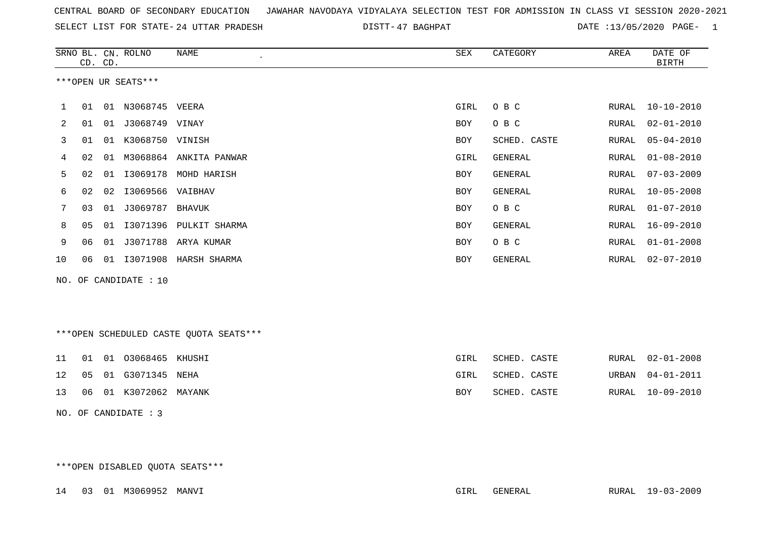|  |  |  |  |  | CENTRAL BOARD OF SECONDARY EDUCATION GJAWAHAR NAVODAYA VIDYALAYA SELECTION TEST FOR ADMISSION IN CLASS VI SESSION 2020-2021 |  |  |  |  |  |  |  |  |  |  |  |  |
|--|--|--|--|--|-----------------------------------------------------------------------------------------------------------------------------|--|--|--|--|--|--|--|--|--|--|--|--|
|--|--|--|--|--|-----------------------------------------------------------------------------------------------------------------------------|--|--|--|--|--|--|--|--|--|--|--|--|

SELECT LIST FOR STATE- 24 UTTAR PRADESH

24 UTTAR PRADESH 47 BAGHPAT DATE :13/05/2020 PAGE- 1

|              |    | CD. CD. | SRNO BL. CN. ROLNO  | NAME<br>$\epsilon$     | SEX        | CATEGORY     | AREA  | DATE OF<br><b>BIRTH</b> |
|--------------|----|---------|---------------------|------------------------|------------|--------------|-------|-------------------------|
|              |    |         | ***OPEN UR SEATS*** |                        |            |              |       |                         |
| $\mathbf{1}$ | 01 | 01      | N3068745 VEERA      |                        | GIRL       | O B C        | RURAL | $10 - 10 - 2010$        |
| 2            | 01 | 01      | J3068749 VINAY      |                        | BOY        | O B C        | RURAL | $02 - 01 - 2010$        |
| 3            | 01 | 01      | K3068750 VINISH     |                        | BOY        | SCHED. CASTE | RURAL | $05 - 04 - 2010$        |
| 4            | 02 | 01      |                     | M3068864 ANKITA PANWAR | GIRL       | GENERAL      | RURAL | $01 - 08 - 2010$        |
| 5            | 02 | 01      |                     | I3069178 MOHD HARISH   | <b>BOY</b> | GENERAL      | RURAL | $07 - 03 - 2009$        |
| 6            | 02 | 02      | I3069566 VAIBHAV    |                        | <b>BOY</b> | GENERAL      | RURAL | $10 - 05 - 2008$        |
| 7            | 03 | 01      | J3069787 BHAVUK     |                        | BOY        | O B C        | RURAL | $01 - 07 - 2010$        |
| 8            | 05 | 01      | I3071396            | PULKIT SHARMA          | <b>BOY</b> | GENERAL      | RURAL | $16 - 09 - 2010$        |
| 9            | 06 | 01      |                     | J3071788 ARYA KUMAR    | <b>BOY</b> | O B C        | RURAL | $01 - 01 - 2008$        |
| 10           | 06 | 01      | I3071908            | HARSH SHARMA           | <b>BOY</b> | GENERAL      | RURAL | $02 - 07 - 2010$        |
| NO.          |    |         | OF CANDIDATE : 10   |                        |            |              |       |                         |

\*\*\*OPEN SCHEDULED CASTE QUOTA SEATS\*\*\*

|  | 11   01   01   03068465   KHUSHI | GIRL | SCHED. CASTE |  | RURAL 02-01-2008 |
|--|----------------------------------|------|--------------|--|------------------|
|  | 12   05   01   G3071345   NEHA   | GIRL | SCHED. CASTE |  | URBAN 04-01-2011 |
|  | 13 06 01 K3072062 MAYANK         | BOY  | SCHED. CASTE |  | RURAL 10-09-2010 |

NO. OF CANDIDATE : 3

\*\*\*OPEN DISABLED QUOTA SEATS\*\*\*

14 03 01 M3069952 MANVI GIRL GENERAL RURAL 19-03-2009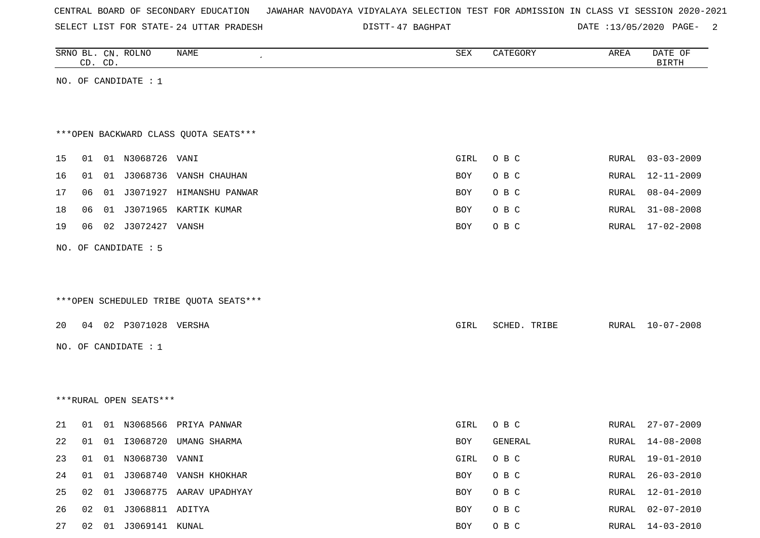| CENTRAL BOARD OF SECONDARY EDUCATION – JAWAHAR NAVODAYA VIDYALAYA SELECTION TEST FOR ADMISSION IN CLASS VI SESSION 2020-2021 |  |  |  |  |
|------------------------------------------------------------------------------------------------------------------------------|--|--|--|--|
|------------------------------------------------------------------------------------------------------------------------------|--|--|--|--|

SELECT LIST FOR STATE- 24 UTTAR PRADESH

24 UTTAR PRADESH 47 BAGHPAT DATE :13/05/2020 PAGE- 2

|    |    | CD. CD. | SRNO BL. CN. ROLNO     | NAME                                   | ${\tt SEX}$ | CATEGORY     | AREA         | DATE OF<br><b>BIRTH</b> |
|----|----|---------|------------------------|----------------------------------------|-------------|--------------|--------------|-------------------------|
|    |    |         | NO. OF CANDIDATE : $1$ |                                        |             |              |              |                         |
|    |    |         |                        |                                        |             |              |              |                         |
|    |    |         |                        |                                        |             |              |              |                         |
|    |    |         |                        | *** OPEN BACKWARD CLASS QUOTA SEATS*** |             |              |              |                         |
| 15 | 01 |         | 01 N3068726 VANI       |                                        | GIRL        | O B C        | RURAL        | $03 - 03 - 2009$        |
| 16 | 01 |         |                        | 01 J3068736 VANSH CHAUHAN              | BOY         | O B C        | RURAL        | 12-11-2009              |
| 17 | 06 |         |                        | 01 J3071927 HIMANSHU PANWAR            | BOY         | O B C        | RURAL        | $08 - 04 - 2009$        |
| 18 | 06 |         |                        | 01 J3071965 KARTIK KUMAR               | BOY         | O B C        | RURAL        | $31 - 08 - 2008$        |
| 19 | 06 |         | 02 J3072427 VANSH      |                                        | BOY         | O B C        | RURAL        | $17 - 02 - 2008$        |
|    |    |         | NO. OF CANDIDATE : 5   |                                        |             |              |              |                         |
|    |    |         |                        |                                        |             |              |              |                         |
|    |    |         |                        |                                        |             |              |              |                         |
|    |    |         |                        | ***OPEN SCHEDULED TRIBE QUOTA SEATS*** |             |              |              |                         |
| 20 |    |         | 04 02 P3071028 VERSHA  |                                        | GIRL        | SCHED. TRIBE | RURAL        | 10-07-2008              |
|    |    |         | NO. OF CANDIDATE : 1   |                                        |             |              |              |                         |
|    |    |         |                        |                                        |             |              |              |                         |
|    |    |         |                        |                                        |             |              |              |                         |
|    |    |         | ***RURAL OPEN SEATS*** |                                        |             |              |              |                         |
|    |    |         |                        |                                        |             |              |              |                         |
| 21 | 01 |         |                        | 01 N3068566 PRIYA PANWAR               | GIRL        | O B C        | RURAL        | $27 - 07 - 2009$        |
| 22 | 01 |         |                        | 01  13068720  UMANG SHARMA             | BOY         | GENERAL      | RURAL        | $14 - 08 - 2008$        |
| 23 | 01 |         | 01 N3068730 VANNI      |                                        | GIRL        | O B C        | RURAL        | $19 - 01 - 2010$        |
| 24 | 01 |         |                        | 01 J3068740 VANSH KHOKHAR              | BOY         | O B C        | <b>RURAL</b> | $26 - 03 - 2010$        |
| 25 | 02 |         |                        | 01 J3068775 AARAV UPADHYAY             | BOY         | O B C        | RURAL        | $12 - 01 - 2010$        |
| 26 | 02 |         | 01 J3068811 ADITYA     |                                        | BOY         | O B C        | RURAL        | $02 - 07 - 2010$        |
| 27 |    |         | 02 01 J3069141 KUNAL   |                                        | BOY         | O B C        | RURAL        | $14 - 03 - 2010$        |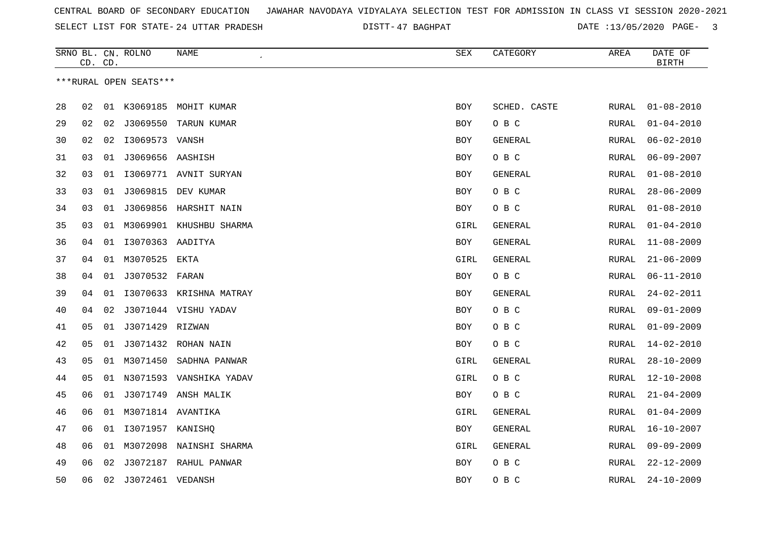| CENTRAL BOARD OF SECONDARY EDUCATION – JAWAHAR NAVODAYA VIDYALAYA SELECTION TEST FOR ADMISSION IN CLASS VI SESSION 2020-2021 |  |
|------------------------------------------------------------------------------------------------------------------------------|--|
|------------------------------------------------------------------------------------------------------------------------------|--|

SELECT LIST FOR STATE- DISTT- 24 UTTAR PRADESH 47 BAGHPAT DATE :13/05/2020 PAGE- 3

|    | CD. CD. |    | SRNO BL. CN. ROLNO     | NAME                    | SEX        | CATEGORY       | AREA         | DATE OF<br><b>BIRTH</b> |
|----|---------|----|------------------------|-------------------------|------------|----------------|--------------|-------------------------|
|    |         |    | ***RURAL OPEN SEATS*** |                         |            |                |              |                         |
| 28 | 02      |    |                        | 01 K3069185 MOHIT KUMAR | <b>BOY</b> | SCHED. CASTE   | RURAL        | $01 - 08 - 2010$        |
| 29 | 02      |    |                        | 02 J3069550 TARUN KUMAR | <b>BOY</b> | O B C          | RURAL        | $01 - 04 - 2010$        |
| 30 | 02      | 02 | I3069573 VANSH         |                         | BOY        | GENERAL        | RURAL        | $06 - 02 - 2010$        |
| 31 | 03      |    | 01 J3069656 AASHISH    |                         | <b>BOY</b> | O B C          | RURAL        | $06 - 09 - 2007$        |
| 32 | 03      | 01 |                        | I3069771 AVNIT SURYAN   | <b>BOY</b> | GENERAL        | RURAL        | $01 - 08 - 2010$        |
| 33 | 03      | 01 | J3069815               | DEV KUMAR               | <b>BOY</b> | O B C          | RURAL        | $28 - 06 - 2009$        |
| 34 | 03      | 01 |                        | J3069856 HARSHIT NAIN   | BOY        | O B C          | RURAL        | $01 - 08 - 2010$        |
| 35 | 03      | 01 |                        | M3069901 KHUSHBU SHARMA | GIRL       | GENERAL        | RURAL        | $01 - 04 - 2010$        |
| 36 | 04      |    | 01 I3070363 AADITYA    |                         | BOY        | GENERAL        | RURAL        | $11 - 08 - 2009$        |
| 37 | 04      |    | 01 M3070525            | EKTA                    | GIRL       | <b>GENERAL</b> | RURAL        | $21 - 06 - 2009$        |
| 38 | 04      |    | 01 J3070532 FARAN      |                         | <b>BOY</b> | O B C          | RURAL        | $06 - 11 - 2010$        |
| 39 | 04      | 01 |                        | 13070633 KRISHNA MATRAY | <b>BOY</b> | GENERAL        | RURAL        | $24 - 02 - 2011$        |
| 40 | 04      | 02 |                        | J3071044 VISHU YADAV    | <b>BOY</b> | O B C          | RURAL        | $09 - 01 - 2009$        |
| 41 | 05      | 01 | J3071429 RIZWAN        |                         | BOY        | O B C          | RURAL        | $01 - 09 - 2009$        |
| 42 | 05      | 01 |                        | J3071432 ROHAN NAIN     | BOY        | O B C          | RURAL        | $14 - 02 - 2010$        |
| 43 | 05      | 01 | M3071450               | SADHNA PANWAR           | GIRL       | GENERAL        | RURAL        | $28 - 10 - 2009$        |
| 44 | 05      | 01 | N3071593               | VANSHIKA YADAV          | GIRL       | O B C          | <b>RURAL</b> | $12 - 10 - 2008$        |
| 45 | 06      |    | 01 J3071749            | ANSH MALIK              | BOY        | O B C          | RURAL        | $21 - 04 - 2009$        |
| 46 | 06      |    | 01 M3071814 AVANTIKA   |                         | GIRL       | GENERAL        | RURAL        | $01 - 04 - 2009$        |
| 47 | 06      | 01 | I3071957 KANISHQ       |                         | BOY        | GENERAL        | RURAL        | $16 - 10 - 2007$        |
| 48 | 06      | 01 | M3072098               | NAINSHI SHARMA          | GIRL       | GENERAL        | RURAL        | $09 - 09 - 2009$        |
| 49 | 06      | 02 |                        | J3072187 RAHUL PANWAR   | BOY        | O B C          | RURAL        | $22 - 12 - 2009$        |
| 50 | 06      |    | 02 J3072461 VEDANSH    |                         | BOY        | овс            | RURAL        | $24 - 10 - 2009$        |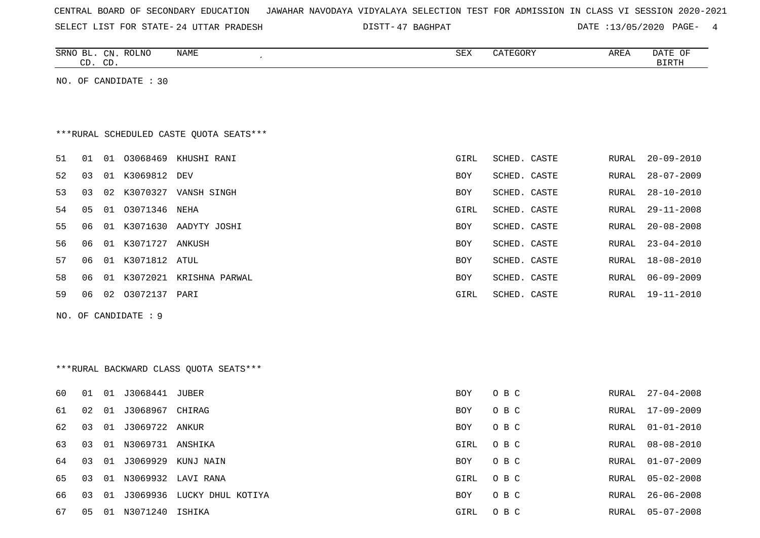| CENTRAL BOARD OF SECONDARY EDUCATION – JAWAHAR NAVODAYA VIDYALAYA SELECTION TEST FOR ADMISSION IN CLASS VI SESSION 2020-2021 |  |  |  |  |  |
|------------------------------------------------------------------------------------------------------------------------------|--|--|--|--|--|
|------------------------------------------------------------------------------------------------------------------------------|--|--|--|--|--|

SELECT LIST FOR STATE- DISTT- 24 UTTAR PRADESH

DISTT-47 BAGHPAT DATE :13/05/2020 PAGE- 4

|     | CD. CD. |    | SRNO BL. CN. ROLNO    | NAME                                    | SEX        | CATEGORY     | AREA         | DATE OF<br><b>BIRTH</b> |
|-----|---------|----|-----------------------|-----------------------------------------|------------|--------------|--------------|-------------------------|
|     |         |    | NO. OF CANDIDATE : 30 |                                         |            |              |              |                         |
|     |         |    |                       |                                         |            |              |              |                         |
|     |         |    |                       |                                         |            |              |              |                         |
|     |         |    |                       | ***RURAL SCHEDULED CASTE QUOTA SEATS*** |            |              |              |                         |
| 51  | 01      |    |                       | 01 03068469 KHUSHI RANI                 | GIRL       | SCHED. CASTE | RURAL        | $20 - 09 - 2010$        |
| 52  | 03      |    | 01 K3069812           | DEV                                     | <b>BOY</b> | SCHED. CASTE | RURAL        | $28 - 07 - 2009$        |
| 53  | 03      | 02 |                       | K3070327 VANSH SINGH                    | <b>BOY</b> | SCHED. CASTE | RURAL        | $28 - 10 - 2010$        |
| 54  | 05      | 01 | 03071346 NEHA         |                                         | GIRL       | SCHED. CASTE | RURAL        | $29 - 11 - 2008$        |
| 55  | 06      |    |                       | 01 K3071630 AADYTY JOSHI                | <b>BOY</b> | SCHED. CASTE | <b>RURAL</b> | $20 - 08 - 2008$        |
| 56  | 06      |    | 01 K3071727 ANKUSH    |                                         | <b>BOY</b> | SCHED. CASTE | RURAL        | $23 - 04 - 2010$        |
| 57  | 06      |    | 01 K3071812 ATUL      |                                         | BOY        | SCHED. CASTE | RURAL        | $18 - 08 - 2010$        |
| 58  | 06      |    |                       | 01 K3072021 KRISHNA PARWAL              | <b>BOY</b> | SCHED. CASTE | RURAL        | $06 - 09 - 2009$        |
| 59  | 06      |    | 02 03072137 PARI      |                                         | GIRL       | SCHED. CASTE | RURAL        | 19-11-2010              |
| NO. |         |    | OF CANDIDATE : 9      |                                         |            |              |              |                         |
|     |         |    |                       |                                         |            |              |              |                         |
|     |         |    |                       |                                         |            |              |              |                         |
|     |         |    |                       | ***RURAL BACKWARD CLASS OUOTA SEATS***  |            |              |              |                         |
| 60  | 01      |    |                       |                                         | <b>BOY</b> | O B C        | RURAL        | $27 - 04 - 2008$        |
| 61  | 02      | 01 | J3068967 CHIRAG       |                                         | <b>BOY</b> | O B C        | RURAL        | $17 - 09 - 2009$        |
| 62  | 03      | 01 | J3069722 ANKUR        |                                         | <b>BOY</b> | O B C        | RURAL        | $01 - 01 - 2010$        |
| 63  | 03      |    | 01 N3069731 ANSHIKA   |                                         | GIRL       | O B C        | RURAL        | $08 - 08 - 2010$        |
| 64  | 03      | 01 |                       | J3069929 KUNJ NAIN                      | BOY        | O B C        | RURAL        | $01 - 07 - 2009$        |
| 65  | 03      |    |                       | 01 N3069932 LAVI RANA                   | GIRL       | O B C        | RURAL        | $05 - 02 - 2008$        |
| 66  | 03      | 01 |                       | J3069936 LUCKY DHUL KOTIYA              | <b>BOY</b> | O B C        | RURAL        | $26 - 06 - 2008$        |
| 67  | 05      |    | 01 N3071240 ISHIKA    |                                         | GIRL       | O B C        | RURAL        | $05 - 07 - 2008$        |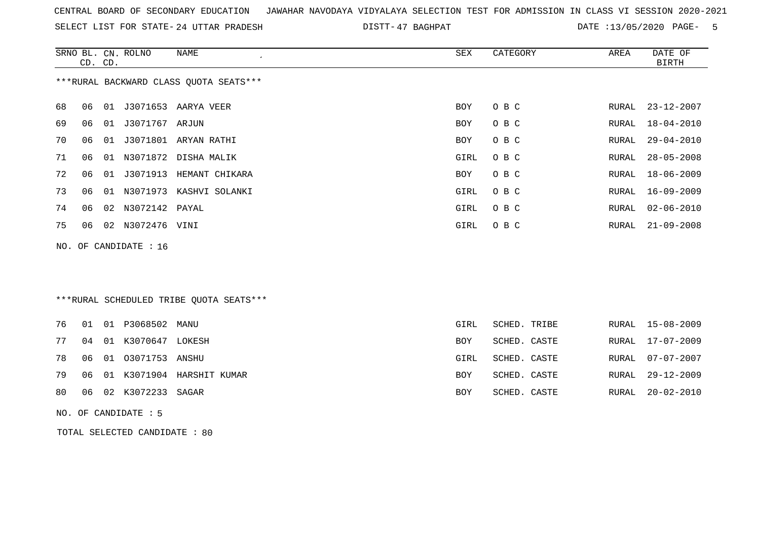| CENTRAL BOARD OF SECONDARY EDUCATION – JAWAHAR NAVODAYA VIDYALAYA SELECTION TEST FOR ADMISSION IN CLASS VI SESSION 2020-2021 |  |
|------------------------------------------------------------------------------------------------------------------------------|--|
|------------------------------------------------------------------------------------------------------------------------------|--|

SELECT LIST FOR STATE- 24 UTTAR PRADESH

24 UTTAR PRADESH 47 BAGHPAT DATE :13/05/2020 PAGE- 5

|     |    | CD. CD. | SRNO BL. CN. ROLNO   | <b>NAME</b>                             | SEX         | CATEGORY     | AREA  | DATE OF<br><b>BIRTH</b> |
|-----|----|---------|----------------------|-----------------------------------------|-------------|--------------|-------|-------------------------|
|     |    |         |                      | *** RURAL BACKWARD CLASS QUOTA SEATS*** |             |              |       |                         |
| 68  | 06 |         |                      | 01 J3071653 AARYA VEER                  | <b>BOY</b>  | O B C        | RURAL | $23 - 12 - 2007$        |
| 69  | 06 |         | 01 J3071767 ARJUN    |                                         | <b>BOY</b>  | O B C        | RURAL | $18 - 04 - 2010$        |
| 70  | 06 |         |                      | 01 J3071801 ARYAN RATHI                 | BOY         | O B C        | RURAL | $29 - 04 - 2010$        |
| 71  | 06 | 01      |                      | N3071872 DISHA MALIK                    | GIRL        | O B C        | RURAL | $28 - 05 - 2008$        |
| 72  | 06 | 01      | J3071913             | HEMANT CHIKARA                          | BOY         | O B C        | RURAL | $18 - 06 - 2009$        |
| 73  | 06 |         |                      | 01 N3071973 KASHVI SOLANKI              | <b>GIRL</b> | O B C        | RURAL | $16 - 09 - 2009$        |
| 74  | 06 | 02      | N3072142 PAYAL       |                                         | <b>GIRL</b> | O B C        | RURAL | $02 - 06 - 2010$        |
| 75  | 06 |         | 02 N3072476 VINI     |                                         | <b>GIRL</b> | O B C        | RURAL | $21 - 09 - 2008$        |
| NO. |    |         | OF CANDIDATE : 16    |                                         |             |              |       |                         |
|     |    |         |                      |                                         |             |              |       |                         |
|     |    |         |                      |                                         |             |              |       |                         |
|     |    |         |                      | ***RURAL SCHEDULED TRIBE QUOTA SEATS*** |             |              |       |                         |
| 76  | 01 |         | 01 P3068502          | MANU                                    | GIRL        | SCHED. TRIBE | RURAL | $15 - 08 - 2009$        |
| 77  | 04 | 01      | K3070647 LOKESH      |                                         | <b>BOY</b>  | SCHED. CASTE | RURAL | $17 - 07 - 2009$        |
| 78  | 06 |         | 01 03071753 ANSHU    |                                         | GIRL        | SCHED. CASTE | RURAL | $07 - 07 - 2007$        |
| 79  | 06 |         |                      | 01 K3071904 HARSHIT KUMAR               | BOY         | SCHED. CASTE | RURAL | $29 - 12 - 2009$        |
| 80  | 06 |         | 02 K3072233          | SAGAR                                   | BOY         | SCHED. CASTE | RURAL | $20 - 02 - 2010$        |
|     |    |         | NO. OF CANDIDATE : 5 |                                         |             |              |       |                         |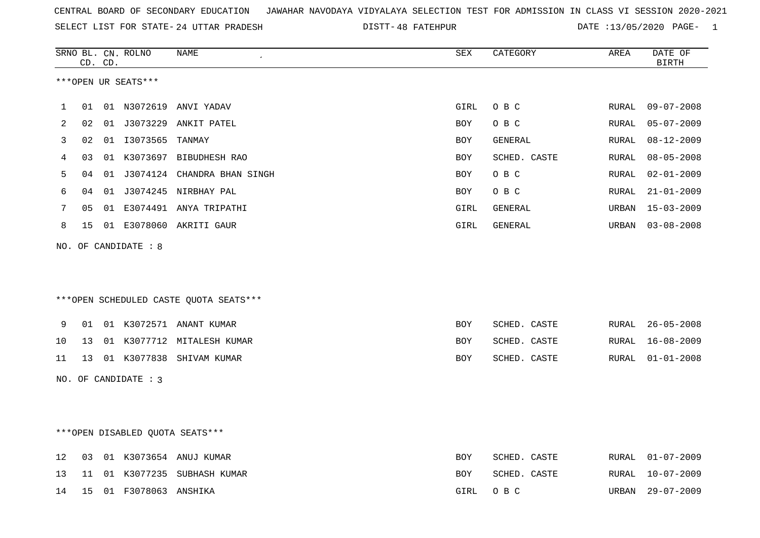|  |  |  |  | CENTRAL BOARD OF SECONDARY EDUCATION GJAWAHAR NAVODAYA VIDYALAYA SELECTION TEST FOR ADMISSION IN CLASS VI SESSION 2020-2021 |  |  |  |  |  |  |  |  |  |  |  |
|--|--|--|--|-----------------------------------------------------------------------------------------------------------------------------|--|--|--|--|--|--|--|--|--|--|--|
|--|--|--|--|-----------------------------------------------------------------------------------------------------------------------------|--|--|--|--|--|--|--|--|--|--|--|

SELECT LIST FOR STATE- DISTT- 24 UTTAR PRADESH 48 FATEHPUR DATE :13/05/2020 PAGE- 1

|    |    | CD. CD. | SRNO BL. CN. ROLNO   | <b>NAME</b>                            | ${\tt SEX}$ | CATEGORY     | AREA  | DATE OF<br><b>BIRTH</b> |
|----|----|---------|----------------------|----------------------------------------|-------------|--------------|-------|-------------------------|
|    |    |         | ***OPEN UR SEATS***  |                                        |             |              |       |                         |
| 1  | 01 |         |                      | 01 N3072619 ANVI YADAV                 | GIRL        | O B C        | RURAL | $09 - 07 - 2008$        |
| 2  | 02 |         |                      | 01 J3073229 ANKIT PATEL                | <b>BOY</b>  | O B C        | RURAL | $05 - 07 - 2009$        |
| 3  | 02 |         | 01  13073565  TANMAY |                                        | BOY         | GENERAL      | RURAL | $08 - 12 - 2009$        |
| 4  | 03 |         |                      | 01 K3073697 BIBUDHESH RAO              | <b>BOY</b>  | SCHED. CASTE | RURAL | $08 - 05 - 2008$        |
| 5  | 04 |         |                      | 01 J3074124 CHANDRA BHAN SINGH         | <b>BOY</b>  | O B C        | RURAL | $02 - 01 - 2009$        |
| 6  | 04 |         |                      | 01 J3074245 NIRBHAY PAL                | BOY         | O B C        | RURAL | $21 - 01 - 2009$        |
| 7  | 05 |         |                      | 01 E3074491 ANYA TRIPATHI              | GIRL        | GENERAL      | URBAN | $15 - 03 - 2009$        |
| 8  | 15 |         |                      | 01 E3078060 AKRITI GAUR                | GIRL        | GENERAL      | URBAN | $03 - 08 - 2008$        |
|    |    |         | NO. OF CANDIDATE : 8 |                                        |             |              |       |                         |
|    |    |         |                      | ***OPEN SCHEDULED CASTE QUOTA SEATS*** |             |              |       |                         |
| 9  | 01 |         |                      | 01 K3072571 ANANT KUMAR                | <b>BOY</b>  | SCHED. CASTE | RURAL | $26 - 05 - 2008$        |
| 10 | 13 |         |                      | 01 K3077712 MITALESH KUMAR             | BOY         | SCHED. CASTE | RURAL | $16 - 08 - 2009$        |
| 11 | 13 |         |                      | 01 K3077838 SHIVAM KUMAR               | <b>BOY</b>  | SCHED. CASTE | RURAL | $01 - 01 - 2008$        |
|    |    |         | NO. OF CANDIDATE : 3 |                                        |             |              |       |                         |
|    |    |         |                      |                                        |             |              |       |                         |
|    |    |         |                      | ***OPEN DISABLED QUOTA SEATS***        |             |              |       |                         |
| 12 | 03 |         |                      | 01 K3073654 ANUJ KUMAR                 | <b>BOY</b>  | SCHED. CASTE | RURAL | $01 - 07 - 2009$        |
| 13 | 11 |         |                      | 01 K3077235 SUBHASH KUMAR              | BOY         | SCHED. CASTE | RURAL | $10 - 07 - 2009$        |
| 14 | 15 |         | 01 F3078063 ANSHIKA  |                                        | GIRL        | O B C        | URBAN | $29 - 07 - 2009$        |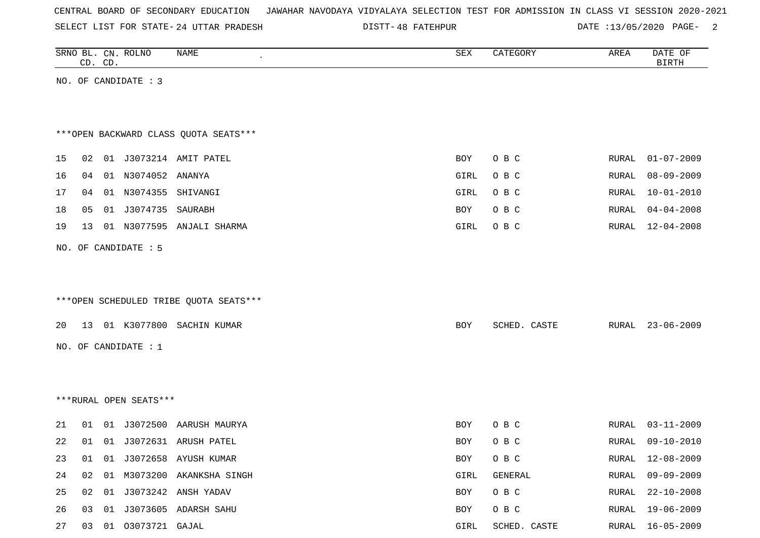|  |  | CENTRAL BOARD OF SECONDARY EDUCATION – JAWAHAR NAVODAYA VIDYALAYA SELECTION TEST FOR ADMISSION IN CLASS VI SESSION 2020-2021 |  |  |  |  |  |  |  |  |  |  |  |  |  |
|--|--|------------------------------------------------------------------------------------------------------------------------------|--|--|--|--|--|--|--|--|--|--|--|--|--|
|--|--|------------------------------------------------------------------------------------------------------------------------------|--|--|--|--|--|--|--|--|--|--|--|--|--|

SELECT LIST FOR STATE- 24 UTTAR PRADESH

24 UTTAR PRADESH 48 FATEHPUR DATE :13/05/2020 PAGE- 2

|    | CD. CD. | SRNO BL. CN. ROLNO      | NAME                                   | ${\tt SEX}$ | CATEGORY     | AREA         | DATE OF<br><b>BIRTH</b> |
|----|---------|-------------------------|----------------------------------------|-------------|--------------|--------------|-------------------------|
|    |         | NO. OF CANDIDATE : 3    |                                        |             |              |              |                         |
|    |         |                         |                                        |             |              |              |                         |
|    |         |                         |                                        |             |              |              |                         |
|    |         |                         | *** OPEN BACKWARD CLASS QUOTA SEATS*** |             |              |              |                         |
| 15 | 02      |                         | 01 J3073214 AMIT PATEL                 | BOY         | O B C        | RURAL        | $01 - 07 - 2009$        |
| 16 | 04      | 01 N3074052 ANANYA      |                                        | GIRL        | O B C        | RURAL        | $08 - 09 - 2009$        |
| 17 | 04      | 01 N3074355 SHIVANGI    |                                        | GIRL        | O B C        | RURAL        | $10 - 01 - 2010$        |
| 18 | 05      | 01 J3074735             | SAURABH                                | BOY         | O B C        | RURAL        | $04 - 04 - 2008$        |
| 19 | 13      |                         | 01 N3077595 ANJALI SHARMA              | GIRL        | O B C        | RURAL        | $12 - 04 - 2008$        |
|    |         | NO. OF CANDIDATE : 5    |                                        |             |              |              |                         |
|    |         |                         |                                        |             |              |              |                         |
|    |         |                         |                                        |             |              |              |                         |
|    |         |                         | ***OPEN SCHEDULED TRIBE QUOTA SEATS*** |             |              |              |                         |
| 20 |         |                         | 13 01 K3077800 SACHIN KUMAR            | BOY         | SCHED. CASTE | RURAL        | $23 - 06 - 2009$        |
|    |         |                         |                                        |             |              |              |                         |
|    |         | NO. OF CANDIDATE : 1    |                                        |             |              |              |                         |
|    |         |                         |                                        |             |              |              |                         |
|    |         |                         |                                        |             |              |              |                         |
|    |         | ***RURAL OPEN SEATS***  |                                        |             |              |              |                         |
| 21 | 01      |                         | 01 J3072500 AARUSH MAURYA              | BOY         | O B C        | RURAL        | $03 - 11 - 2009$        |
| 22 |         |                         | 01 01 J3072631 ARUSH PATEL             | BOY         | O B C        | RURAL        | $09 - 10 - 2010$        |
| 23 | 01      |                         | 01 J3072658 AYUSH KUMAR                | BOY         | O B C        | RURAL        | $12 - 08 - 2009$        |
| 24 |         |                         | 02 01 M3073200 AKANKSHA SINGH          | GIRL        | GENERAL      | RURAL        | $09 - 09 - 2009$        |
| 25 |         |                         | 02 01 J3073242 ANSH YADAV              | BOY         | O B C        | <b>RURAL</b> | $22 - 10 - 2008$        |
| 26 |         |                         | 03 01 J3073605 ADARSH SAHU             | BOY         | O B C        | RURAL        | 19-06-2009              |
| 27 |         | 03  01  03073721  GAJAL |                                        | GIRL        | SCHED. CASTE | RURAL        | $16 - 05 - 2009$        |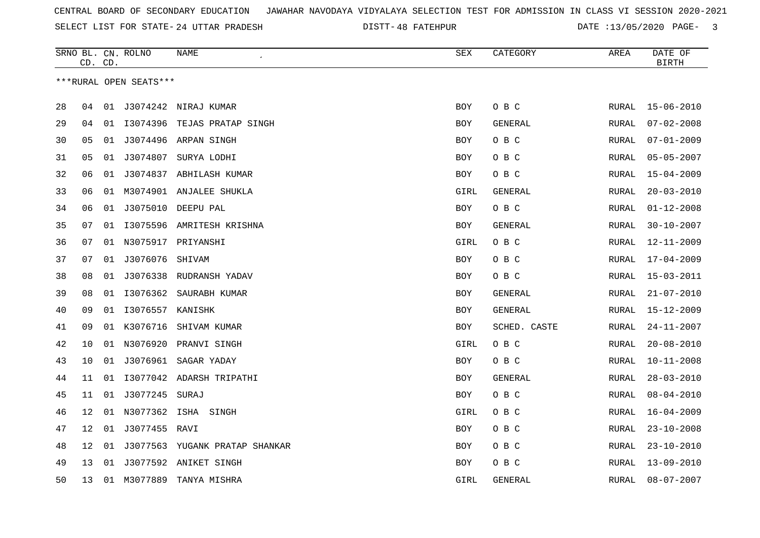SELECT LIST FOR STATE- DISTT- 24 UTTAR PRADESH

48 FATEHPUR DATE :13/05/2020 PAGE- 3

|    |                 | CD. CD. | SRNO BL. CN. ROLNO     | NAME                           | SEX        | CATEGORY       | AREA         | DATE OF<br><b>BIRTH</b> |
|----|-----------------|---------|------------------------|--------------------------------|------------|----------------|--------------|-------------------------|
|    |                 |         | ***RURAL OPEN SEATS*** |                                |            |                |              |                         |
| 28 | 04              |         |                        | 01 J3074242 NIRAJ KUMAR        | BOY        | O B C          | RURAL        | $15 - 06 - 2010$        |
| 29 | 04              |         |                        | 01 I3074396 TEJAS PRATAP SINGH | <b>BOY</b> | GENERAL        | RURAL        | $07 - 02 - 2008$        |
| 30 | 05              | 01      | J3074496               | ARPAN SINGH                    | BOY        | O B C          | RURAL        | $07 - 01 - 2009$        |
| 31 | 05              | 01      | J3074807               | SURYA LODHI                    | BOY        | O B C          | RURAL        | $05 - 05 - 2007$        |
| 32 | 06              |         |                        | 01 J3074837 ABHILASH KUMAR     | BOY        | O B C          | RURAL        | $15 - 04 - 2009$        |
| 33 | 06              |         |                        | 01 M3074901 ANJALEE SHUKLA     | GIRL       | <b>GENERAL</b> | RURAL        | $20 - 03 - 2010$        |
| 34 | 06              | 01      |                        | J3075010 DEEPU PAL             | BOY        | O B C          | <b>RURAL</b> | $01 - 12 - 2008$        |
| 35 | 07              | 01      |                        | 13075596 AMRITESH KRISHNA      | <b>BOY</b> | <b>GENERAL</b> | <b>RURAL</b> | $30 - 10 - 2007$        |
| 36 | 07              |         |                        | 01 N3075917 PRIYANSHI          | GIRL       | O B C          | RURAL        | $12 - 11 - 2009$        |
| 37 | 07              |         | 01 J3076076            | SHIVAM                         | BOY        | O B C          | RURAL        | 17-04-2009              |
| 38 | 08              |         |                        | 01 J3076338 RUDRANSH YADAV     | <b>BOY</b> | O B C          | RURAL        | $15 - 03 - 2011$        |
| 39 | 08              | 01      | I3076362               | SAURABH KUMAR                  | <b>BOY</b> | GENERAL        | RURAL        | $21 - 07 - 2010$        |
| 40 | 09              | 01      | I3076557 KANISHK       |                                | BOY        | GENERAL        | RURAL        | $15 - 12 - 2009$        |
| 41 | 09              | 01      | K3076716               | SHIVAM KUMAR                   | BOY        | SCHED. CASTE   | RURAL        | $24 - 11 - 2007$        |
| 42 | 10              |         |                        | 01 N3076920 PRANVI SINGH       | GIRL       | O B C          | RURAL        | $20 - 08 - 2010$        |
| 43 | 10              |         | 01 J3076961            | SAGAR YADAY                    | <b>BOY</b> | O B C          | RURAL        | $10 - 11 - 2008$        |
| 44 | 11              | 01      |                        | I3077042 ADARSH TRIPATHI       | <b>BOY</b> | GENERAL        | RURAL        | $28 - 03 - 2010$        |
| 45 | 11              |         | 01 J3077245 SURAJ      |                                | BOY        | O B C          | RURAL        | $08 - 04 - 2010$        |
| 46 | 12              |         |                        | 01 N3077362 ISHA SINGH         | GIRL       | O B C          | RURAL        | $16 - 04 - 2009$        |
| 47 | 12              |         | 01 J3077455 RAVI       |                                | <b>BOY</b> | O B C          | RURAL        | $23 - 10 - 2008$        |
| 48 | 12 <sub>1</sub> | 01      |                        | J3077563 YUGANK PRATAP SHANKAR | <b>BOY</b> | O B C          | RURAL        | $23 - 10 - 2010$        |
| 49 | 13              | 01      |                        | J3077592 ANIKET SINGH          | <b>BOY</b> | O B C          | RURAL        | $13 - 09 - 2010$        |
| 50 | 13              |         | 01 M3077889            | TANYA MISHRA                   | GIRL       | <b>GENERAL</b> | RURAL        | $08 - 07 - 2007$        |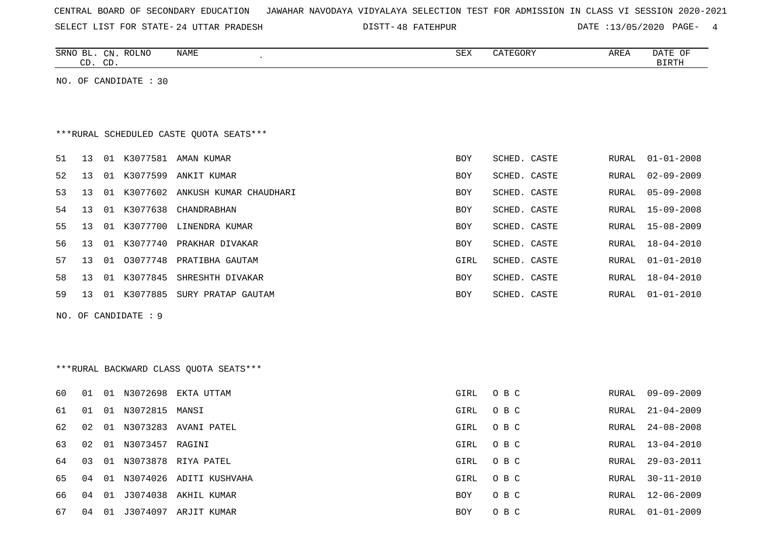| CENTRAL BOARD OF SECONDARY EDUCATION – JAWAHAR NAVODAYA VIDYALAYA SELECTION TEST FOR ADMISSION IN CLASS VI SESSION 2020-2021 |  |  |  |  |  |
|------------------------------------------------------------------------------------------------------------------------------|--|--|--|--|--|
|------------------------------------------------------------------------------------------------------------------------------|--|--|--|--|--|

SELECT LIST FOR STATE- 24 UTTAR PRADESH

24 UTTAR PRADESH 48 FATEHPUR DATE :13/05/2020 PAGE- 4

|     | CD. CD. | SRNO BL. CN. ROLNO    | NAME<br>$\epsilon$                       | SEX        | CATEGORY     | AREA  | DATE OF<br><b>BIRTH</b> |
|-----|---------|-----------------------|------------------------------------------|------------|--------------|-------|-------------------------|
|     |         | NO. OF CANDIDATE : 30 |                                          |            |              |       |                         |
|     |         |                       |                                          |            |              |       |                         |
|     |         |                       |                                          |            |              |       |                         |
|     |         |                       | *** RURAL SCHEDULED CASTE QUOTA SEATS*** |            |              |       |                         |
| 51  | 13      |                       | 01 K3077581 AMAN KUMAR                   | BOY        | SCHED. CASTE | RURAL | $01 - 01 - 2008$        |
| 52  | 13      | 01 K3077599           | ANKIT KUMAR                              | <b>BOY</b> | SCHED. CASTE | RURAL | $02 - 09 - 2009$        |
| 53  | 13      |                       | 01 K3077602 ANKUSH KUMAR CHAUDHARI       | <b>BOY</b> | SCHED. CASTE | RURAL | $05 - 09 - 2008$        |
| 54  | 13      | 01 K3077638           | CHANDRABHAN                              | <b>BOY</b> | SCHED. CASTE | RURAL | $15 - 09 - 2008$        |
| 55  | 13      |                       | 01 K3077700 LINENDRA KUMAR               | BOY        | SCHED. CASTE | RURAL | $15 - 08 - 2009$        |
| 56  | 13      |                       | 01 K3077740 PRAKHAR DIVAKAR              | BOY        | SCHED. CASTE | RURAL | $18 - 04 - 2010$        |
| 57  | 13      |                       | 01 03077748 PRATIBHA GAUTAM              | GIRL       | SCHED. CASTE | RURAL | $01 - 01 - 2010$        |
| 58  | 13      |                       | 01 K3077845 SHRESHTH DIVAKAR             | BOY        | SCHED. CASTE | RURAL | $18 - 04 - 2010$        |
| 59  | 13      |                       | 01 K3077885 SURY PRATAP GAUTAM           | BOY        | SCHED. CASTE | RURAL | $01 - 01 - 2010$        |
| NO. |         | OF CANDIDATE : 9      |                                          |            |              |       |                         |
|     |         |                       |                                          |            |              |       |                         |
|     |         |                       |                                          |            |              |       |                         |
|     |         |                       | *** RURAL BACKWARD CLASS QUOTA SEATS***  |            |              |       |                         |
|     |         |                       |                                          |            |              |       |                         |
| 60  | 01      | 01 N3072698           | EKTA UTTAM                               | GIRL       | O B C        | RURAL | $09 - 09 - 2009$        |
| 61  | 01      | 01 N3072815           | MANSI                                    | GIRL       | O B C        | RURAL | $21 - 04 - 2009$        |
| 62  | 02      |                       | 01 N3073283 AVANI PATEL                  | GIRL       | O B C        | RURAL | $24 - 08 - 2008$        |
| 63  | 02      | 01 N3073457 RAGINI    |                                          | GIRL       | O B C        | RURAL | $13 - 04 - 2010$        |
| 64  | 03      | 01 N3073878           | RIYA PATEL                               | GIRL       | O B C        | RURAL | $29 - 03 - 2011$        |
| 65  | 04      |                       | 01 N3074026 ADITI KUSHVAHA               | GIRL       | O B C        | RURAL | $30 - 11 - 2010$        |
| 66  | 04      |                       | 01 J3074038 AKHIL KUMAR                  | BOY        | O B C        | RURAL | $12 - 06 - 2009$        |
| 67  | 04      |                       | 01 J3074097 ARJIT KUMAR                  | <b>BOY</b> | O B C        | RURAL | $01 - 01 - 2009$        |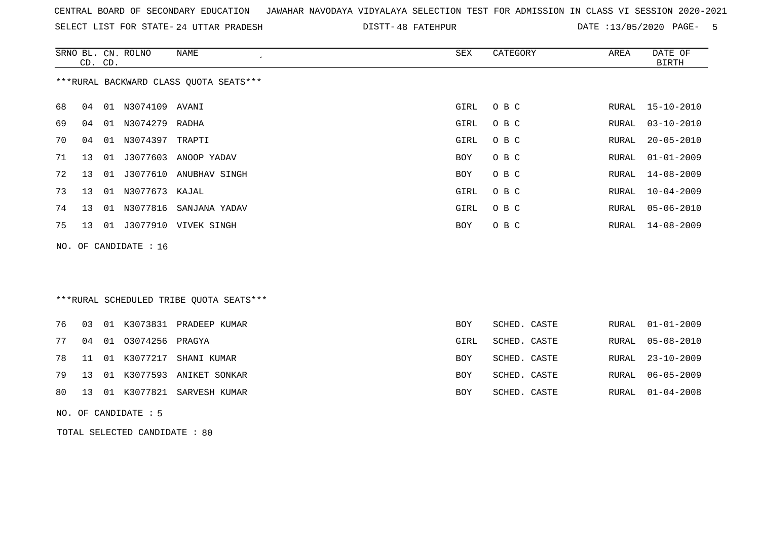|  | CENTRAL BOARD OF SECONDARY EDUCATION – JAWAHAR NAVODAYA VIDYALAYA SELECTION TEST FOR ADMISSION IN CLASS VI SESSION 2020-2021 |
|--|------------------------------------------------------------------------------------------------------------------------------|
|--|------------------------------------------------------------------------------------------------------------------------------|

SELECT LIST FOR STATE- 24 UTTAR PRADESH

24 UTTAR PRADESH 48 FATEHPUR DATE :13/05/2020 PAGE- 5

|     | CD. CD. |    | SRNO BL. CN. ROLNO   | <b>NAME</b>                              | ${\tt SEX}$ | CATEGORY     | AREA  | DATE OF<br><b>BIRTH</b> |
|-----|---------|----|----------------------|------------------------------------------|-------------|--------------|-------|-------------------------|
|     |         |    |                      | *** RURAL BACKWARD CLASS QUOTA SEATS***  |             |              |       |                         |
| 68  | 04      |    | 01 N3074109 AVANI    |                                          | GIRL        | O B C        |       | RURAL 15-10-2010        |
| 69  | 04      |    | 01 N3074279 RADHA    |                                          | GIRL        | O B C        | RURAL | $03 - 10 - 2010$        |
| 70  | 04      |    | 01 N3074397 TRAPTI   |                                          | GIRL        | O B C        | RURAL | $20 - 05 - 2010$        |
| 71  | 13      | 01 |                      | J3077603 ANOOP YADAV                     | BOY         | O B C        | RURAL | $01 - 01 - 2009$        |
| 72  | 13      | 01 |                      | J3077610 ANUBHAV SINGH                   | <b>BOY</b>  | O B C        | RURAL | $14 - 08 - 2009$        |
| 73  | 13      |    | 01 N3077673 KAJAL    |                                          | GIRL        | O B C        | RURAL | $10 - 04 - 2009$        |
| 74  | 13      |    | 01 N3077816          | SANJANA YADAV                            | GIRL        | O B C        | RURAL | $05 - 06 - 2010$        |
| 75  | 13      |    |                      | 01 J3077910 VIVEK SINGH                  | BOY         | O B C        | RURAL | $14 - 08 - 2009$        |
| NO. |         |    | OF CANDIDATE : 16    |                                          |             |              |       |                         |
|     |         |    |                      |                                          |             |              |       |                         |
|     |         |    |                      |                                          |             |              |       |                         |
|     |         |    |                      | *** RURAL SCHEDULED TRIBE QUOTA SEATS*** |             |              |       |                         |
| 76  | 03      |    |                      | 01 K3073831 PRADEEP KUMAR                | <b>BOY</b>  | SCHED. CASTE | RURAL | $01 - 01 - 2009$        |
| 77  | 04      |    | 01 03074256 PRAGYA   |                                          | GIRL        | SCHED. CASTE | RURAL | $05 - 08 - 2010$        |
| 78  | 11      |    | 01 K3077217          | SHANI KUMAR                              | <b>BOY</b>  | SCHED. CASTE | RURAL | $23 - 10 - 2009$        |
| 79  | 13      |    |                      | 01 K3077593 ANIKET SONKAR                | <b>BOY</b>  | SCHED. CASTE | RURAL | $06 - 05 - 2009$        |
| 80  | 13      |    | 01 K3077821          | SARVESH KUMAR                            | <b>BOY</b>  | SCHED. CASTE | RURAL | $01 - 04 - 2008$        |
|     |         |    | NO. OF CANDIDATE : 5 |                                          |             |              |       |                         |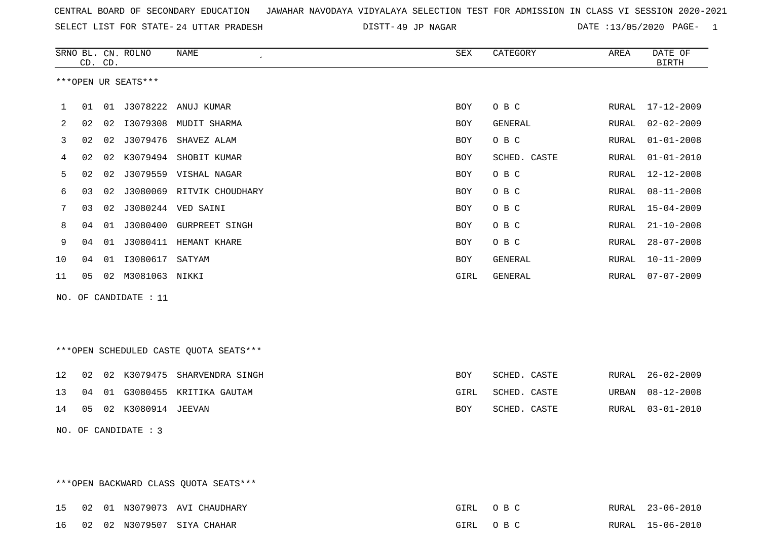| CENTRAL BOARD OF SECONDARY EDUCATION – JAWAHAR NAVODAYA VIDYALAYA SELECTION TEST FOR ADMISSION IN CLASS VI SESSION 2020-2021 |  |  |  |
|------------------------------------------------------------------------------------------------------------------------------|--|--|--|
|------------------------------------------------------------------------------------------------------------------------------|--|--|--|

SELECT LIST FOR STATE- DISTT- 24 UTTAR PRADESH

49 JP NAGAR DATE :13/05/2020 PAGE- 1

|     |    | CD. CD. | SRNO BL. CN. ROLNO  | <b>NAME</b>                            | SEX         | CATEGORY       | AREA  | DATE OF<br><b>BIRTH</b> |
|-----|----|---------|---------------------|----------------------------------------|-------------|----------------|-------|-------------------------|
|     |    |         | ***OPEN UR SEATS*** |                                        |             |                |       |                         |
|     |    |         |                     |                                        |             |                |       |                         |
| 1   | 01 | 01      | J3078222            | ANUJ KUMAR                             | <b>BOY</b>  | O B C          | RURAL | $17 - 12 - 2009$        |
| 2   | 02 | 02      | I3079308            | MUDIT SHARMA                           | <b>BOY</b>  | GENERAL        | RURAL | $02 - 02 - 2009$        |
| 3   | 02 | 02      | J3079476            | SHAVEZ ALAM                            | <b>BOY</b>  | O B C          | RURAL | $01 - 01 - 2008$        |
| 4   | 02 | 02      | K3079494            | SHOBIT KUMAR                           | <b>BOY</b>  | SCHED. CASTE   | RURAL | $01 - 01 - 2010$        |
| 5   | 02 | 02      |                     | J3079559 VISHAL NAGAR                  | <b>BOY</b>  | O B C          | RURAL | $12 - 12 - 2008$        |
| 6   | 03 | 02      |                     | J3080069 RITVIK CHOUDHARY              | <b>BOY</b>  | O B C          | RURAL | $08 - 11 - 2008$        |
| 7   | 03 | 02      | J3080244            | VED SAINI                              | <b>BOY</b>  | O B C          | RURAL | $15 - 04 - 2009$        |
| 8   | 04 | 01      | J3080400            | <b>GURPREET SINGH</b>                  | <b>BOY</b>  | O B C          | RURAL | $21 - 10 - 2008$        |
| 9   | 04 | 01      |                     | J3080411 HEMANT KHARE                  | <b>BOY</b>  | O B C          | RURAL | $28 - 07 - 2008$        |
| 10  | 04 | 01      | I3080617            | SATYAM                                 | <b>BOY</b>  | <b>GENERAL</b> | RURAL | $10 - 11 - 2009$        |
| 11  | 05 |         | 02 M3081063 NIKKI   |                                        | <b>GIRL</b> | GENERAL        | RURAL | $07 - 07 - 2009$        |
| NO. |    |         | OF CANDIDATE : 11   |                                        |             |                |       |                         |
|     |    |         |                     |                                        |             |                |       |                         |
|     |    |         |                     |                                        |             |                |       |                         |
|     |    |         |                     | ***OPEN SCHEDULED CASTE QUOTA SEATS*** |             |                |       |                         |
| 12  | 02 |         | 02 K3079475         | SHARVENDRA SINGH                       | <b>BOY</b>  | SCHED. CASTE   | RURAL | $26 - 02 - 2009$        |
|     |    |         |                     |                                        |             |                |       |                         |
| 13  | 04 | 01      |                     | G3080455 KRITIKA GAUTAM                | GIRL        | SCHED. CASTE   | URBAN | $08 - 12 - 2008$        |

14 05 02 K3080914 JEEVAN BOY SCHED. CASTE RURAL 03-01-2010

\*\*\*OPEN BACKWARD CLASS QUOTA SEATS\*\*\*

NO. OF CANDIDATE : 3

15 02 01 N3079073 AVI CHAUDHARY GIRL O B C RURAL 23-06-2010 16 02 02 N3079507 SIYA CHAHAR GIRL O B C RURAL 15-06-2010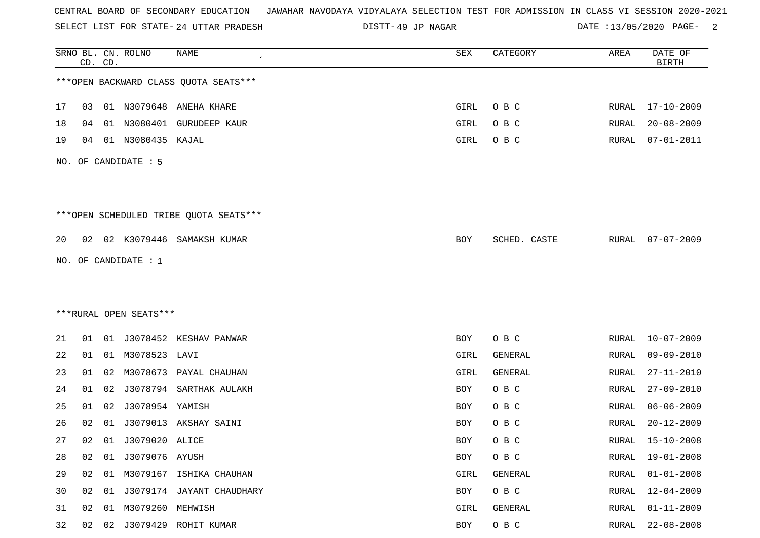SELECT LIST FOR STATE- DISTT- 24 UTTAR PRADESH

49 JP NAGAR DATE :13/05/2020 PAGE- 2

|    |    | CD. CD. | SRNO BL. CN. ROLNO     | NAME                                    | SEX  | CATEGORY     | AREA          | DATE OF<br><b>BIRTH</b> |
|----|----|---------|------------------------|-----------------------------------------|------|--------------|---------------|-------------------------|
|    |    |         |                        | *** OPEN BACKWARD CLASS QUOTA SEATS***  |      |              |               |                         |
| 17 | 03 |         |                        | 01 N3079648 ANEHA KHARE                 | GIRL | O B C        |               | RURAL 17-10-2009        |
| 18 | 04 |         | 01 N3080401            | <b>GURUDEEP KAUR</b>                    | GIRL | O B C        | RURAL         | $20 - 08 - 2009$        |
| 19 | 04 |         | 01 N3080435 KAJAL      |                                         | GIRL | O B C        | RURAL         | $07 - 01 - 2011$        |
|    |    |         | NO. OF CANDIDATE : 5   |                                         |      |              |               |                         |
|    |    |         |                        | *** OPEN SCHEDULED TRIBE QUOTA SEATS*** |      |              |               |                         |
| 20 |    |         |                        | 02 02 K3079446 SAMAKSH KUMAR            | BOY  | SCHED. CASTE | RURAL         | $07 - 07 - 2009$        |
|    |    |         | NO. OF CANDIDATE : 1   |                                         |      |              |               |                         |
|    |    |         |                        |                                         |      |              |               |                         |
|    |    |         |                        |                                         |      |              |               |                         |
|    |    |         | ***RURAL OPEN SEATS*** |                                         |      |              |               |                         |
| 21 | 01 |         |                        | 01 J3078452 KESHAV PANWAR               | BOY  | O B C        | RURAL         | $10 - 07 - 2009$        |
| 22 | 01 |         | 01 M3078523 LAVI       |                                         | GIRL | GENERAL      | RURAL         | $09 - 09 - 2010$        |
| 23 | 01 | 02      |                        | M3078673 PAYAL CHAUHAN                  | GIRL | GENERAL      | RURAL         | $27 - 11 - 2010$        |
| 24 | 01 | 02      |                        | J3078794 SARTHAK AULAKH                 | BOY  | O B C        | RURAL         | $27 - 09 - 2010$        |
| 25 | 01 | 02      | J3078954 YAMISH        |                                         | BOY  | O B C        | RURAL         | $06 - 06 - 2009$        |
| 26 | 02 | 01      |                        | J3079013 AKSHAY SAINI                   | BOY  | O B C        | RURAL         | $20 - 12 - 2009$        |
| 27 | 02 |         | 01 J3079020 ALICE      |                                         | BOY  | O B C        | RURAL         | $15 - 10 - 2008$        |
| 28 | 02 | 01      | J3079076 AYUSH         |                                         | BOY  | O B C        | RURAL         | $19 - 01 - 2008$        |
| 29 | 02 |         |                        | 01 M3079167 ISHIKA CHAUHAN              | GIRL | GENERAL      | RURAL         | $01 - 01 - 2008$        |
| 30 |    |         |                        | 02 01 J3079174 JAYANT CHAUDHARY         | BOY  | O B C        | RURAL         | 12-04-2009              |
| 31 | 02 | 01      | M3079260 MEHWISH       |                                         | GIRL | GENERAL      | <b>RURAL</b>  | $01 - 11 - 2009$        |
| 32 |    |         |                        | 02 02 J3079429 ROHIT KUMAR              | BOY  | $O$ B $C$    | ${\tt RURAL}$ | $22 - 08 - 2008$        |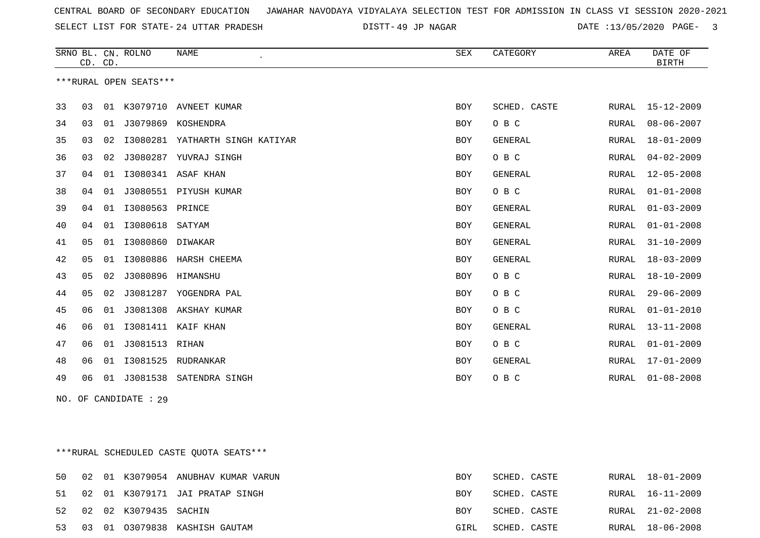SELECT LIST FOR STATE- DISTT- 24 UTTAR PRADESH

49 JP NAGAR DATE :13/05/2020 PAGE- 3

|    | CD. CD. |    | SRNO BL. CN. ROLNO     | <b>NAME</b><br>$\epsilon$ | <b>SEX</b> | CATEGORY       | AREA         | DATE OF<br><b>BIRTH</b> |
|----|---------|----|------------------------|---------------------------|------------|----------------|--------------|-------------------------|
|    |         |    | ***RURAL OPEN SEATS*** |                           |            |                |              |                         |
| 33 | 03      | 01 |                        | K3079710 AVNEET KUMAR     | BOY        | SCHED. CASTE   | RURAL        | 15-12-2009              |
| 34 | 03      | 01 | J3079869               | KOSHENDRA                 | <b>BOY</b> | O B C          | RURAL        | $08 - 06 - 2007$        |
| 35 | 03      | 02 | I3080281               | YATHARTH SINGH KATIYAR    | BOY        | <b>GENERAL</b> | RURAL        | $18 - 01 - 2009$        |
| 36 | 03      | 02 | J3080287               | YUVRAJ SINGH              | <b>BOY</b> | O B C          | RURAL        | $04 - 02 - 2009$        |
| 37 | 04      | 01 | I3080341               | ASAF KHAN                 | BOY        | GENERAL        | RURAL        | $12 - 05 - 2008$        |
| 38 | 04      | 01 | J3080551               | PIYUSH KUMAR              | <b>BOY</b> | O B C          | <b>RURAL</b> | $01 - 01 - 2008$        |
| 39 | 04      | 01 | I3080563               | PRINCE                    | <b>BOY</b> | <b>GENERAL</b> | RURAL        | $01 - 03 - 2009$        |
| 40 | 04      | 01 | I3080618               | SATYAM                    | <b>BOY</b> | GENERAL        | RURAL        | $01 - 01 - 2008$        |
| 41 | 05      | 01 | I3080860               | DIWAKAR                   | BOY        | <b>GENERAL</b> | RURAL        | $31 - 10 - 2009$        |
| 42 | 05      | 01 | I3080886               | HARSH CHEEMA              | BOY        | <b>GENERAL</b> | RURAL        | $18 - 03 - 2009$        |
| 43 | 05      | 02 | J3080896               | HIMANSHU                  | BOY        | O B C          | <b>RURAL</b> | $18 - 10 - 2009$        |
| 44 | 05      | 02 | J3081287               | YOGENDRA PAL              | BOY        | O B C          | RURAL        | $29 - 06 - 2009$        |
| 45 | 06      | 01 | J3081308               | AKSHAY KUMAR              | <b>BOY</b> | O B C          | <b>RURAL</b> | $01 - 01 - 2010$        |
| 46 | 06      | 01 | I3081411               | KAIF KHAN                 | <b>BOY</b> | <b>GENERAL</b> | RURAL        | $13 - 11 - 2008$        |
| 47 | 06      | 01 | J3081513               | RIHAN                     | BOY        | O B C          | RURAL        | $01 - 01 - 2009$        |
| 48 | 06      | 01 | I3081525               | RUDRANKAR                 | BOY        | GENERAL        | RURAL        | $17 - 01 - 2009$        |
| 49 | 06      | 01 | J3081538               | SATENDRA SINGH            | BOY        | O B C          | RURAL        | $01 - 08 - 2008$        |

NO. OF CANDIDATE : 29

\*\*\*RURAL SCHEDULED CASTE QUOTA SEATS\*\*\*

|  |                          | 50 02 01 K3079054 ANUBHAV KUMAR VARUN | BOY  | SCHED. CASTE |  | RURAL 18-01-2009 |
|--|--------------------------|---------------------------------------|------|--------------|--|------------------|
|  |                          | 51 02 01 K3079171 JAI PRATAP SINGH    | BOY  | SCHED. CASTE |  | RURAL 16-11-2009 |
|  | 52 02 02 K3079435 SACHIN |                                       | BOY  | SCHED. CASTE |  | RURAL 21-02-2008 |
|  |                          | 53 03 01 03079838 KASHISH GAUTAM      | GIRL | SCHED. CASTE |  | RURAL 18-06-2008 |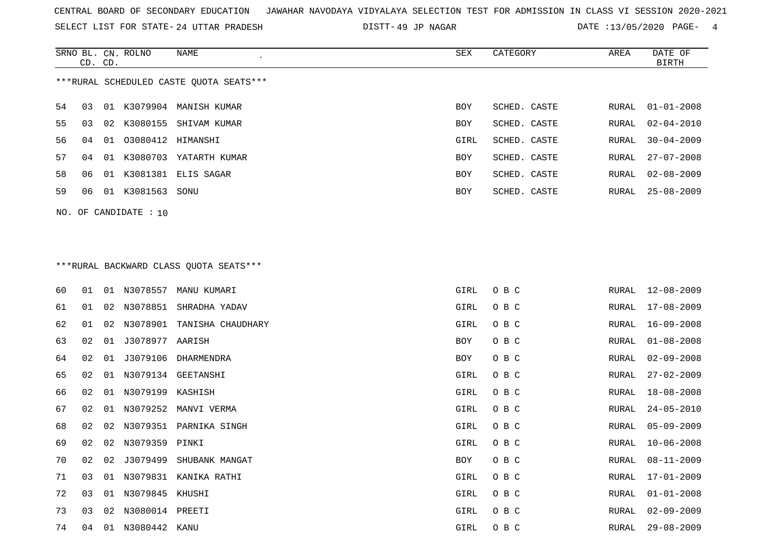SELECT LIST FOR STATE- DISTT- 24 UTTAR PRADESH

DISTT-49 JP NAGAR **DATE** :13/05/2020 PAGE- 4

|                                         | CD. CD. |                 | SRNO BL. CN. ROLNO | NAME                   | SEX        | CATEGORY     | AREA  | DATE OF<br>BIRTH       |  |  |  |
|-----------------------------------------|---------|-----------------|--------------------|------------------------|------------|--------------|-------|------------------------|--|--|--|
| ***RURAL SCHEDULED CASTE OUOTA SEATS*** |         |                 |                    |                        |            |              |       |                        |  |  |  |
| 54                                      | 03      |                 | 01 K3079904        | MANISH KUMAR           | BOY        | SCHED. CASTE | RURAL | $01 - 01 - 2008$       |  |  |  |
| 55                                      | 03      | 02 <sub>o</sub> |                    | K3080155 SHIVAM KUMAR  | <b>BOY</b> | SCHED. CASTE |       | RURAL $02 - 04 - 2010$ |  |  |  |
| 56.                                     | 04      | 01              | 03080412 HIMANSHI  |                        | GIRL       | SCHED. CASTE | RURAL | $30 - 04 - 2009$       |  |  |  |
| 57                                      | 04      | 01              | K3080703           | YATARTH KUMAR          | BOY        | SCHED. CASTE | RURAL | $27 - 07 - 2008$       |  |  |  |
| 58                                      | 06      |                 |                    | 01 K3081381 ELIS SAGAR | BOY        | SCHED. CASTE | RURAL | 02-08-2009             |  |  |  |
| 59                                      | 06      | 01              | K3081563           | SONU                   | <b>BOY</b> | SCHED. CASTE | RURAL | $25 - 08 - 2009$       |  |  |  |
|                                         |         |                 |                    |                        |            |              |       |                        |  |  |  |

NO. OF CANDIDATE : 10

# \*\*\*RURAL BACKWARD CLASS QUOTA SEATS\*\*\*

| 60 | 01 |    |                     | 01 N3078557 MANU KUMARI   | GIRL | O B C | RURAL | 12-08-2009       |
|----|----|----|---------------------|---------------------------|------|-------|-------|------------------|
| 61 | 01 |    | 02 N3078851         | SHRADHA YADAV             | GIRL | O B C | RURAL | 17-08-2009       |
| 62 | 01 |    | 02 N3078901         | TANISHA CHAUDHARY         | GIRL | O B C | RURAL | $16 - 09 - 2008$ |
| 63 | 02 | 01 | J3078977 AARISH     |                           | BOY  | O B C | RURAL | $01 - 08 - 2008$ |
| 64 | 02 | 01 | J3079106            | DHARMENDRA                | BOY  | O B C | RURAL | $02 - 09 - 2008$ |
| 65 | 02 |    |                     | 01 N3079134 GEETANSHI     | GIRL | O B C | RURAL | $27 - 02 - 2009$ |
| 66 | 02 |    | 01 N3079199 KASHISH |                           | GIRL | O B C | RURAL | $18 - 08 - 2008$ |
| 67 | 02 |    |                     | 01 N3079252 MANVI VERMA   | GIRL | O B C | RURAL | $24 - 05 - 2010$ |
| 68 | 02 |    |                     | 02 N3079351 PARNIKA SINGH | GIRL | O B C | RURAL | $05 - 09 - 2009$ |
| 69 | 02 |    | 02 N3079359 PINKI   |                           | GIRL | O B C | RURAL | $10 - 06 - 2008$ |
| 70 | 02 | 02 | J3079499            | SHUBANK MANGAT            | BOY  | O B C | RURAL | $08 - 11 - 2009$ |
| 71 | 03 |    |                     | 01 N3079831 KANIKA RATHI  | GIRL | O B C | RURAL | 17-01-2009       |
| 72 | 03 |    | 01 N3079845 KHUSHI  |                           | GIRL | O B C | RURAL | $01 - 01 - 2008$ |
| 73 | 03 | 02 | N3080014 PREETI     |                           | GIRL | O B C | RURAL | $02 - 09 - 2009$ |
| 74 | 04 |    | 01 N3080442 KANU    |                           | GIRL | O B C | RURAL | $29 - 08 - 2009$ |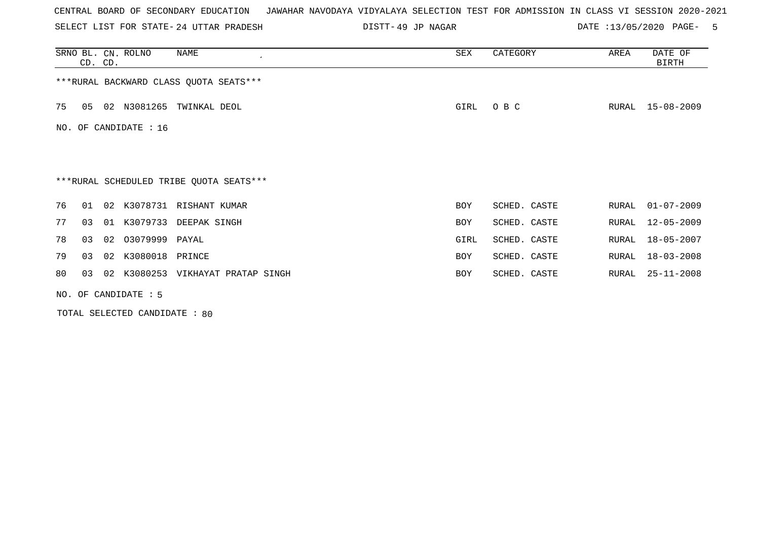SELECT LIST FOR STATE- DISTT- 24 UTTAR PRADESH

49 JP NAGAR DATE :13/05/2020 PAGE- 5

|     | CD. CD. |    | SRNO BL. CN. ROLNO     | NAME                                    | SEX        | CATEGORY     | AREA  | DATE OF<br><b>BIRTH</b> |
|-----|---------|----|------------------------|-----------------------------------------|------------|--------------|-------|-------------------------|
|     |         |    |                        | *** RURAL BACKWARD CLASS QUOTA SEATS*** |            |              |       |                         |
| 75  | 05      | 02 | N3081265               | TWINKAL DEOL                            | GIRL       | O B C        | RURAL | $15 - 08 - 2009$        |
| NO. |         |    | OF CANDIDATE : 16      |                                         |            |              |       |                         |
|     |         |    |                        |                                         |            |              |       |                         |
|     |         |    |                        | ***RURAL SCHEDULED TRIBE QUOTA SEATS*** |            |              |       |                         |
| 76  | 01      |    |                        | 02 K3078731 RISHANT KUMAR               | <b>BOY</b> | SCHED. CASTE | RURAL | $01 - 07 - 2009$        |
| 77  | 03      |    | 01 K3079733            | DEEPAK SINGH                            | <b>BOY</b> | SCHED. CASTE | RURAL | $12 - 05 - 2009$        |
| 78  | 03      |    | 02 03079999 PAYAL      |                                         | GIRL       | SCHED. CASTE | RURAL | $18 - 05 - 2007$        |
| 79  | 03      | 02 | K3080018               | PRINCE                                  | <b>BOY</b> | SCHED. CASTE | RURAL | $18 - 03 - 2008$        |
| 80  | 03      |    |                        | 02 K3080253 VIKHAYAT PRATAP SINGH       | BOY        | SCHED. CASTE | RURAL | $25 - 11 - 2008$        |
|     |         |    | NO. OF CANDIDATE $: 5$ |                                         |            |              |       |                         |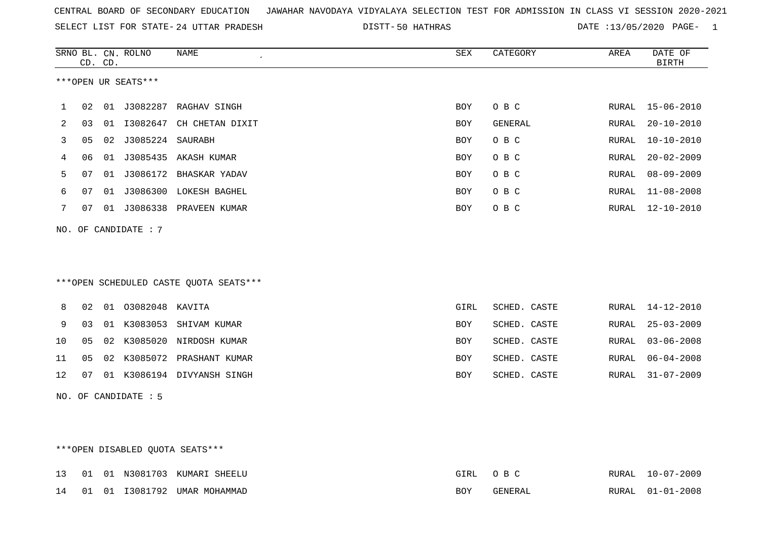| CENTRAL BOARD OF SECONDARY EDUCATION GUNAHAR NAVODAYA VIDYALAYA SELECTION TEST FOR ADMISSION IN CLASS VI SESSION 2020-2021 |  |  |  |
|----------------------------------------------------------------------------------------------------------------------------|--|--|--|
|----------------------------------------------------------------------------------------------------------------------------|--|--|--|

SELECT LIST FOR STATE- DISTT- 24 UTTAR PRADESH 50 HATHRAS DATE :13/05/2020 PAGE- 1

|    |    | CD. CD. | SRNO BL. CN. ROLNO   | <b>NAME</b><br>$\epsilon$              | <b>SEX</b> | CATEGORY       | AREA  | DATE OF<br><b>BIRTH</b> |
|----|----|---------|----------------------|----------------------------------------|------------|----------------|-------|-------------------------|
|    |    |         | ***OPEN UR SEATS***  |                                        |            |                |       |                         |
| 1  | 02 | 01      | J3082287             | RAGHAV SINGH                           | <b>BOY</b> | O B C          | RURAL | $15 - 06 - 2010$        |
| 2  | 03 | 01      | I3082647             | CH CHETAN DIXIT                        | <b>BOY</b> | <b>GENERAL</b> | RURAL | $20 - 10 - 2010$        |
| 3  | 05 | 02      | J3085224             | SAURABH                                | <b>BOY</b> | O B C          | RURAL | $10 - 10 - 2010$        |
| 4  | 06 | 01      |                      | J3085435 AKASH KUMAR                   | <b>BOY</b> | O B C          | RURAL | $20 - 02 - 2009$        |
| 5  | 07 | 01      |                      | J3086172 BHASKAR YADAV                 | <b>BOY</b> | O B C          | RURAL | $08 - 09 - 2009$        |
| 6  | 07 | 01      |                      | J3086300 LOKESH BAGHEL                 | <b>BOY</b> | O B C          | RURAL | $11 - 08 - 2008$        |
| 7  | 07 |         |                      | 01 J3086338 PRAVEEN KUMAR              | <b>BOY</b> | O B C          | RURAL | $12 - 10 - 2010$        |
|    |    |         | NO. OF CANDIDATE : 7 |                                        |            |                |       |                         |
|    |    |         |                      |                                        |            |                |       |                         |
|    |    |         |                      |                                        |            |                |       |                         |
|    |    |         |                      | ***OPEN SCHEDULED CASTE QUOTA SEATS*** |            |                |       |                         |
| 8  | 02 |         | 01 03082048 KAVITA   |                                        | GIRL       | SCHED. CASTE   | RURAL | $14 - 12 - 2010$        |
| 9  | 03 | 01      | K3083053             | SHIVAM KUMAR                           | <b>BOY</b> | SCHED. CASTE   | RURAL | $25 - 03 - 2009$        |
| 10 | 05 | 02      |                      | K3085020 NIRDOSH KUMAR                 | <b>BOY</b> | SCHED. CASTE   | RURAL | $03 - 06 - 2008$        |
| 11 | 05 | 02      | K3085072             | PRASHANT KUMAR                         | <b>BOY</b> | SCHED. CASTE   | RURAL | $06 - 04 - 2008$        |
| 12 | 07 |         |                      | 01 K3086194 DIVYANSH SINGH             | <b>BOY</b> | SCHED. CASTE   | RURAL | $31 - 07 - 2009$        |
|    |    |         | NO. OF CANDIDATE : 5 |                                        |            |                |       |                         |

## \*\*\*OPEN DISABLED QUOTA SEATS\*\*\*

|  |  | 13 01 01 N3081703 KUMARI SHEELU | GIRL OBC |         | RURAL 10-07-2009 |
|--|--|---------------------------------|----------|---------|------------------|
|  |  | 14 01 01 I3081792 UMAR MOHAMMAD | BOY.     | GENERAL | RURAL 01-01-2008 |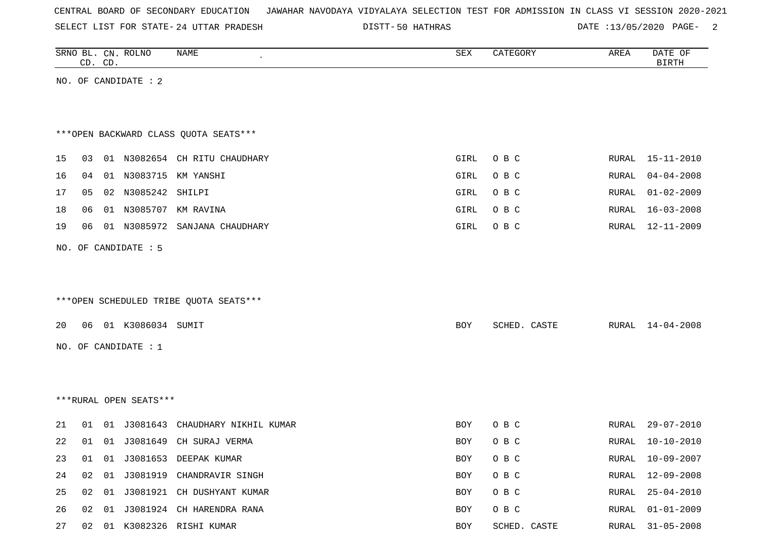|  |  | CENTRAL BOARD OF SECONDARY EDUCATION – JAWAHAR NAVODAYA VIDYALAYA SELECTION TEST FOR ADMISSION IN CLASS VI SESSION 2020-2021 |  |  |  |  |  |  |  |  |  |  |  |  |  |
|--|--|------------------------------------------------------------------------------------------------------------------------------|--|--|--|--|--|--|--|--|--|--|--|--|--|
|--|--|------------------------------------------------------------------------------------------------------------------------------|--|--|--|--|--|--|--|--|--|--|--|--|--|

SELECT LIST FOR STATE- DISTT- 24 UTTAR PRADESH

50 HATHRAS DATE :13/05/2020 PAGE- 2

|    | CD. CD. |       | SRNO BL. CN. ROLNO     | NAME<br>$\epsilon$                      | ${\tt SEX}$ | CATEGORY     | AREA  | DATE OF<br><b>BIRTH</b> |
|----|---------|-------|------------------------|-----------------------------------------|-------------|--------------|-------|-------------------------|
|    |         |       | NO. OF CANDIDATE : 2   |                                         |             |              |       |                         |
|    |         |       |                        |                                         |             |              |       |                         |
|    |         |       |                        | *** OPEN BACKWARD CLASS QUOTA SEATS***  |             |              |       |                         |
| 15 |         |       |                        | 03 01 N3082654 CH RITU CHAUDHARY        | GIRL        | O B C        | RURAL | $15 - 11 - 2010$        |
| 16 | 04      |       |                        | 01 N3083715 KM YANSHI                   | GIRL        | O B C        | RURAL | $04 - 04 - 2008$        |
| 17 | 05      |       | 02 N3085242 SHILPI     |                                         | GIRL        | O B C        | RURAL | $01 - 02 - 2009$        |
| 18 | 06      |       |                        | 01 N3085707 KM RAVINA                   | GIRL        | O B C        | RURAL | 16-03-2008              |
| 19 | 06      |       |                        | 01 N3085972 SANJANA CHAUDHARY           | GIRL        | O B C        | RURAL | $12 - 11 - 2009$        |
|    |         |       | NO. OF CANDIDATE : 5   |                                         |             |              |       |                         |
|    |         |       |                        |                                         |             |              |       |                         |
|    |         |       |                        |                                         |             |              |       |                         |
|    |         |       |                        | *** OPEN SCHEDULED TRIBE QUOTA SEATS*** |             |              |       |                         |
| 20 |         |       | 06 01 K3086034 SUMIT   |                                         | <b>BOY</b>  | SCHED. CASTE | RURAL | $14 - 04 - 2008$        |
|    |         |       | NO. OF CANDIDATE : 1   |                                         |             |              |       |                         |
|    |         |       |                        |                                         |             |              |       |                         |
|    |         |       |                        |                                         |             |              |       |                         |
|    |         |       | ***RURAL OPEN SEATS*** |                                         |             |              |       |                         |
|    |         |       |                        |                                         |             |              |       |                         |
| 21 | 01      |       |                        | 01 J3081643 CHAUDHARY NIKHIL KUMAR      | <b>BOY</b>  | O B C        | RURAL | 29-07-2010              |
| 22 | 01      |       | 01 J3081649            | CH SURAJ VERMA                          | <b>BOY</b>  | O B C        | RURAL | $10 - 10 - 2010$        |
| 23 |         |       |                        | 01 01 J3081653 DEEPAK KUMAR             | BOY         | O B C        | RURAL | $10 - 09 - 2007$        |
| 24 |         |       |                        | 02 01 J3081919 CHANDRAVIR SINGH         | BOY         | O B C        | RURAL | 12-09-2008              |
| 25 |         | 02 01 |                        | J3081921 CH DUSHYANT KUMAR              | BOY         | O B C        | RURAL | $25 - 04 - 2010$        |
| 26 |         |       |                        | 02 01 J3081924 CH HARENDRA RANA         | BOY         | O B C        | RURAL | $01 - 01 - 2009$        |
| 27 |         |       |                        | 02 01 K3082326 RISHI KUMAR              | BOY         | SCHED. CASTE | RURAL | $31 - 05 - 2008$        |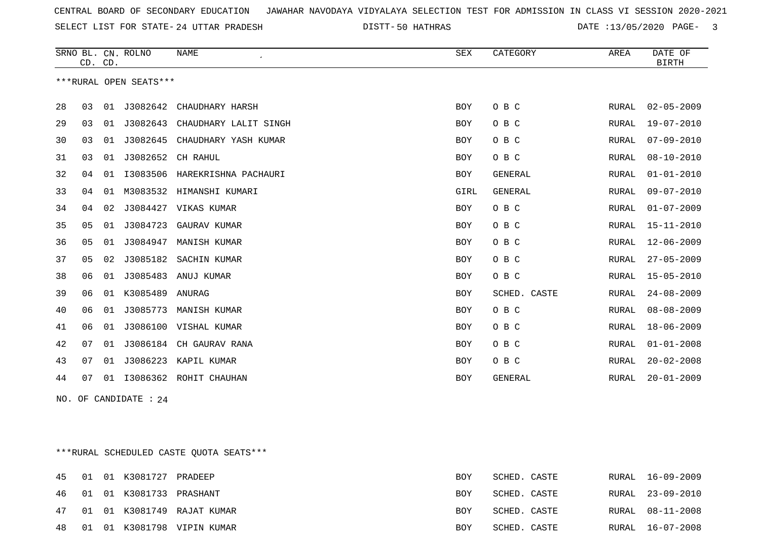SELECT LIST FOR STATE- DISTT- 24 UTTAR PRADESH

50 HATHRAS DATE :13/05/2020 PAGE- 3

|    | CD. CD. |    | SRNO BL. CN. ROLNO     | <b>NAME</b><br>$\epsilon$ | <b>SEX</b> | CATEGORY       | AREA         | DATE OF<br><b>BIRTH</b> |
|----|---------|----|------------------------|---------------------------|------------|----------------|--------------|-------------------------|
|    |         |    | ***RURAL OPEN SEATS*** |                           |            |                |              |                         |
| 28 | 03      | 01 | J3082642               | CHAUDHARY HARSH           | BOY        | O B C          | RURAL        | $02 - 05 - 2009$        |
| 29 | 03      | 01 | J3082643               | CHAUDHARY LALIT SINGH     | BOY        | O B C          | <b>RURAL</b> | $19 - 07 - 2010$        |
| 30 | 03      | 01 | J3082645               | CHAUDHARY YASH KUMAR      | BOY        | O B C          | RURAL        | $07 - 09 - 2010$        |
| 31 | 03      | 01 | J3082652               | CH RAHUL                  | BOY        | O B C          | <b>RURAL</b> | $08 - 10 - 2010$        |
| 32 | 04      | 01 | I3083506               | HAREKRISHNA PACHAURI      | BOY        | <b>GENERAL</b> | RURAL        | $01 - 01 - 2010$        |
| 33 | 04      | 01 | M3083532               | HIMANSHI KUMARI           | GIRL       | <b>GENERAL</b> | RURAL        | $09 - 07 - 2010$        |
| 34 | 04      | 02 | J3084427               | VIKAS KUMAR               | BOY        | O B C          | RURAL        | $01 - 07 - 2009$        |
| 35 | 05      | 01 | J3084723               | GAURAV KUMAR              | BOY        | O B C          | RURAL        | $15 - 11 - 2010$        |
| 36 | 05      | 01 | J3084947               | MANISH KUMAR              | BOY        | O B C          | <b>RURAL</b> | $12 - 06 - 2009$        |
| 37 | 05      | 02 | J3085182               | SACHIN KUMAR              | BOY        | O B C          | RURAL        | $27 - 05 - 2009$        |
| 38 | 06      | 01 | J3085483               | ANUJ KUMAR                | BOY        | O B C          | RURAL        | $15 - 05 - 2010$        |
| 39 | 06      | 01 | K3085489               | ANURAG                    | <b>BOY</b> | SCHED. CASTE   | <b>RURAL</b> | $24 - 08 - 2009$        |
| 40 | 06      | 01 | J3085773               | MANISH KUMAR              | BOY        | O B C          | RURAL        | $08 - 08 - 2009$        |
| 41 | 06      | 01 | J3086100               | VISHAL KUMAR              | BOY        | O B C          | RURAL        | $18 - 06 - 2009$        |
| 42 | 07      | 01 | J3086184               | CH GAURAV RANA            | BOY        | O B C          | RURAL        | $01 - 01 - 2008$        |
| 43 | 07      | 01 | J3086223               | KAPIL KUMAR               | BOY        | O B C          | <b>RURAL</b> | $20 - 02 - 2008$        |
| 44 | 07      | 01 | I3086362               | ROHIT CHAUHAN             | BOY        | <b>GENERAL</b> | <b>RURAL</b> | $20 - 01 - 2009$        |

NO. OF CANDIDATE : 24

\*\*\*RURAL SCHEDULED CASTE QUOTA SEATS\*\*\*

|  | 45 01 01 K3081727 PRADEEP      |                               | BOY        | SCHED. CASTE | RURAL 16-09-2009 |
|--|--------------------------------|-------------------------------|------------|--------------|------------------|
|  | 46  01  01  K3081733  PRASHANT |                               | <b>BOY</b> | SCHED. CASTE | RURAL 23-09-2010 |
|  |                                | 47 01 01 K3081749 RAJAT KUMAR | <b>BOY</b> | SCHED. CASTE | RURAL 08-11-2008 |
|  |                                | 48 01 01 K3081798 VIPIN KUMAR | BOY        | SCHED. CASTE | RURAL 16-07-2008 |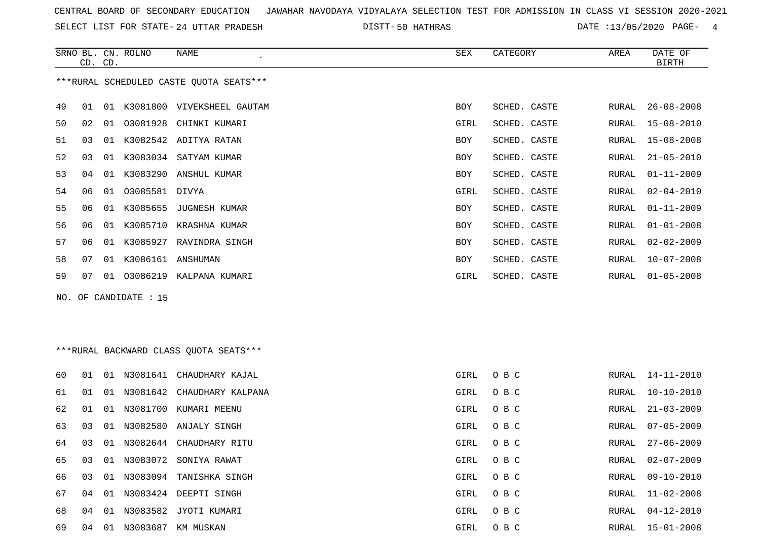SELECT LIST FOR STATE- DISTT- 24 UTTAR PRADESH

50 HATHRAS DATE :13/05/2020 PAGE- 4

|    |    | CD. CD. | SRNO BL. CN. ROLNO    | <b>NAME</b>                             | ${\tt SEX}$ | CATEGORY     | AREA  | DATE OF<br><b>BIRTH</b> |
|----|----|---------|-----------------------|-----------------------------------------|-------------|--------------|-------|-------------------------|
|    |    |         |                       | ***RURAL SCHEDULED CASTE QUOTA SEATS*** |             |              |       |                         |
| 49 | 01 |         |                       | 01 K3081800 VIVEKSHEEL GAUTAM           | <b>BOY</b>  | SCHED. CASTE | RURAL | $26 - 08 - 2008$        |
| 50 | 02 | 01      | 03081928              | CHINKI KUMARI                           | GIRL        | SCHED. CASTE | RURAL | $15 - 08 - 2010$        |
| 51 | 03 |         |                       | 01 K3082542 ADITYA RATAN                | <b>BOY</b>  | SCHED. CASTE | RURAL | $15 - 08 - 2008$        |
| 52 | 03 |         |                       | 01 K3083034 SATYAM KUMAR                | BOY         | SCHED. CASTE | RURAL | $21 - 05 - 2010$        |
| 53 | 04 |         |                       | 01 K3083290 ANSHUL KUMAR                | BOY         | SCHED. CASTE | RURAL | $01 - 11 - 2009$        |
| 54 | 06 |         | 01 03085581 DIVYA     |                                         | GIRL        | SCHED. CASTE | RURAL | $02 - 04 - 2010$        |
| 55 | 06 |         | 01 K3085655           | JUGNESH KUMAR                           | BOY         | SCHED. CASTE | RURAL | $01 - 11 - 2009$        |
| 56 | 06 |         |                       | 01 K3085710 KRASHNA KUMAR               | BOY         | SCHED. CASTE | RURAL | $01 - 01 - 2008$        |
| 57 | 06 |         |                       | 01 K3085927 RAVINDRA SINGH              | BOY         | SCHED. CASTE | RURAL | $02 - 02 - 2009$        |
| 58 | 07 |         | 01 K3086161 ANSHUMAN  |                                         | <b>BOY</b>  | SCHED. CASTE | RURAL | $10 - 07 - 2008$        |
| 59 | 07 |         |                       | 01 03086219 KALPANA KUMARI              | GIRL        | SCHED. CASTE | RURAL | $01 - 05 - 2008$        |
|    |    |         | NO. OF CANDIDATE : 15 |                                         |             |              |       |                         |
|    |    |         |                       |                                         |             |              |       |                         |
|    |    |         |                       |                                         |             |              |       |                         |
|    |    |         |                       | ***RURAL BACKWARD CLASS OUOTA SEATS***  |             |              |       |                         |
| 60 |    |         |                       | 01 01 N3081641 CHAUDHARY KAJAL          | GIRL        | O B C        | RURAL | $14 - 11 - 2010$        |
| 61 | 01 |         |                       | 01 N3081642 CHAUDHARY KALPANA           | GIRL        | O B C        | RURAL | $10 - 10 - 2010$        |
| 62 | 01 |         |                       | 01 N3081700 KUMARI MEENU                | GIRL        | O B C        | RURAL | $21 - 03 - 2009$        |
| 63 | 03 |         |                       | 01 N3082580 ANJALY SINGH                | GIRL        | O B C        | RURAL | $07 - 05 - 2009$        |
| 64 | 03 |         |                       | 01 N3082644 CHAUDHARY RITU              | GIRL        | O B C        | RURAL | $27 - 06 - 2009$        |
|    |    |         |                       |                                         |             |              |       |                         |

03 01 N3083072 SONIYA RAWAT GIRL O B C RURAL 02-07-2009

03 01 N3083094 TANISHKA SINGH GIRL O B C RURAL 09-10-2010

04 01 N3083582 JYOTI KUMARI GIRL O B C RURAL 04-12-2010

04 01 N3083687 KM MUSKAN GIRL O B C RURAL 15-01-2008

04 01 N3083424 DEEPTI SINGH GIRL O B C RURAL 11-02-2008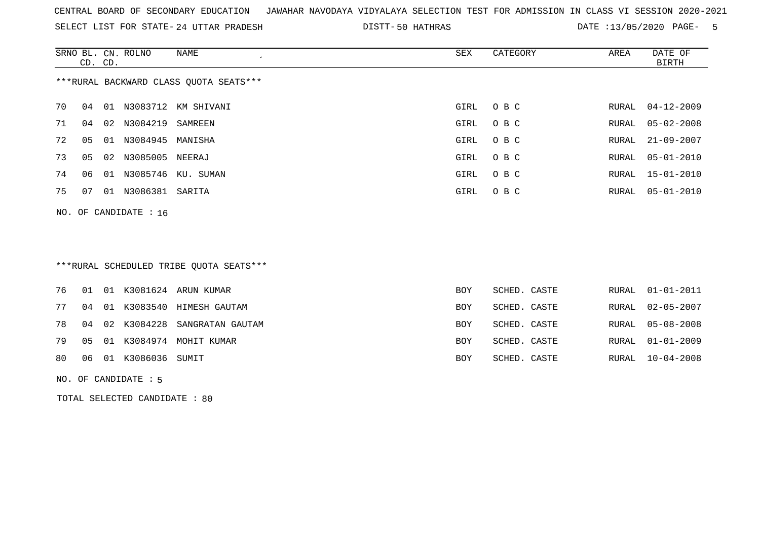SELECT LIST FOR STATE- DISTT- 24 UTTAR PRADESH

50 HATHRAS DATE :13/05/2020 PAGE- 5

|    | CD. CD. |    | SRNO BL. CN. ROLNO      | NAME                                   | SEX  | CATEGORY | AREA | DATE OF<br>BIRTH |
|----|---------|----|-------------------------|----------------------------------------|------|----------|------|------------------|
|    |         |    |                         | ***RURAL BACKWARD CLASS OUOTA SEATS*** |      |          |      |                  |
| 70 | 04      |    |                         | 01 N3083712 KM SHIVANI                 | GIRL | O B C    |      | RURAL 04-12-2009 |
| 71 | 04      |    | 02 N3084219             | SAMREEN                                | GIRL | O B C    |      | RURAL 05-02-2008 |
| 72 | 05      | 01 | N3084945 MANISHA        |                                        | GIRL | O B C    |      | RURAL 21-09-2007 |
| 73 | 05      |    | 02 N3085005             | NEERAJ                                 | GIRL | O B C    |      | RURAL 05-01-2010 |
| 74 | 06      |    |                         | 01 N3085746 KU. SUMAN                  | GIRL | O B C    |      | RURAL 15-01-2010 |
| 75 | 07      | 01 | N3086381 SARITA         |                                        | GIRL | O B C    |      | RURAL 05-01-2010 |
|    |         |    | NO. OF CANDIDATE : $16$ |                                        |      |          |      |                  |

# \*\*\*RURAL SCHEDULED TRIBE QUOTA SEATS\*\*\*

|  |                             | 76 01 01 K3081624 ARUN KUMAR       | <b>BOY</b> | SCHED. CASTE | RURAL 01-01-2011 |
|--|-----------------------------|------------------------------------|------------|--------------|------------------|
|  |                             | 77 04 01 K3083540 HIMESH GAUTAM    | <b>BOY</b> | SCHED. CASTE | RURAL 02-05-2007 |
|  |                             | 78 04 02 K3084228 SANGRATAN GAUTAM | BOY        | SCHED. CASTE | RURAL 05-08-2008 |
|  |                             | 79 05 01 K3084974 MOHIT KUMAR      | <b>BOY</b> | SCHED. CASTE | RURAL 01-01-2009 |
|  | 80  06  01  K3086036  SUMIT |                                    | BOY        | SCHED. CASTE | RURAL 10-04-2008 |
|  |                             |                                    |            |              |                  |

#### NO. OF CANDIDATE : 5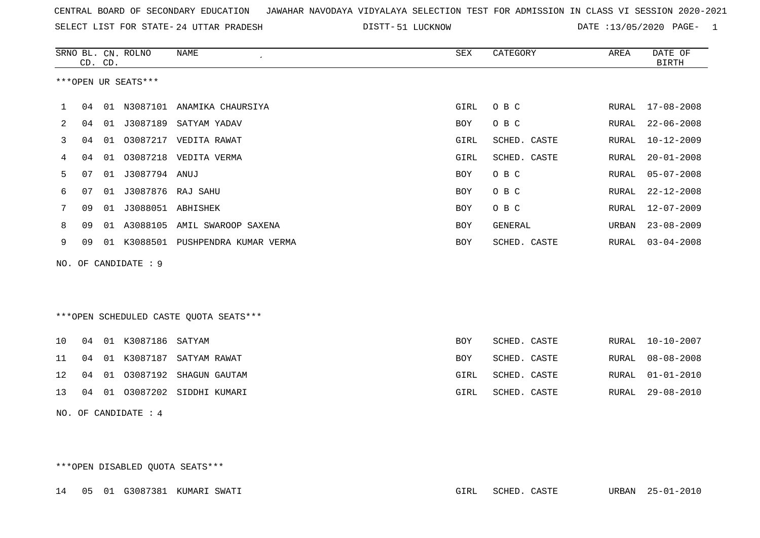|  |  |  |  | CENTRAL BOARD OF SECONDARY EDUCATION GJAWAHAR NAVODAYA VIDYALAYA SELECTION TEST FOR ADMISSION IN CLASS VI SESSION 2020-2021 |  |  |  |  |  |  |  |  |  |  |  |
|--|--|--|--|-----------------------------------------------------------------------------------------------------------------------------|--|--|--|--|--|--|--|--|--|--|--|
|--|--|--|--|-----------------------------------------------------------------------------------------------------------------------------|--|--|--|--|--|--|--|--|--|--|--|

SELECT LIST FOR STATE- DISTT- 24 UTTAR PRADESH 51 LUCKNOW DATE :13/05/2020 PAGE- 1

|     |    | CD. CD. | SRNO BL. CN. ROLNO   | <b>NAME</b>                             | <b>SEX</b> | CATEGORY       | AREA         | DATE OF<br><b>BIRTH</b> |
|-----|----|---------|----------------------|-----------------------------------------|------------|----------------|--------------|-------------------------|
|     |    |         | ***OPEN UR SEATS***  |                                         |            |                |              |                         |
| 1   | 04 |         |                      | 01 N3087101 ANAMIKA CHAURSIYA           | GIRL       | O B C          |              | RURAL 17-08-2008        |
| 2   | 04 |         |                      | 01 J3087189 SATYAM YADAV                | <b>BOY</b> | O B C          | RURAL        | $22 - 06 - 2008$        |
| 3   | 04 | 01      |                      | 03087217 VEDITA RAWAT                   | GIRL       | SCHED. CASTE   | RURAL        | $10 - 12 - 2009$        |
| 4   | 04 | 01      |                      | 03087218 VEDITA VERMA                   | GIRL       | SCHED. CASTE   | RURAL        | $20 - 01 - 2008$        |
| 5   | 07 | 01      | J3087794 ANUJ        |                                         | <b>BOY</b> | O B C          | RURAL        | $05 - 07 - 2008$        |
| 6   | 07 | 01      | J3087876 RAJ SAHU    |                                         | <b>BOY</b> | O B C          | RURAL        | $22 - 12 - 2008$        |
| 7   | 09 | 01      | J3088051 ABHISHEK    |                                         | <b>BOY</b> | O B C          | <b>RURAL</b> | $12 - 07 - 2009$        |
| 8   | 09 |         |                      | 01 A3088105 AMIL SWAROOP SAXENA         | <b>BOY</b> | <b>GENERAL</b> | URBAN        | $23 - 08 - 2009$        |
| 9   | 09 |         |                      | 01 K3088501 PUSHPENDRA KUMAR VERMA      | BOY        | SCHED. CASTE   | RURAL        | $03 - 04 - 2008$        |
| NO. |    |         | OF CANDIDATE : 9     |                                         |            |                |              |                         |
|     |    |         |                      |                                         |            |                |              |                         |
|     |    |         |                      |                                         |            |                |              |                         |
|     |    |         |                      | *** OPEN SCHEDULED CASTE QUOTA SEATS*** |            |                |              |                         |
| 10  | 04 |         | 01 K3087186 SATYAM   |                                         | <b>BOY</b> | SCHED. CASTE   | RURAL        | $10 - 10 - 2007$        |
| 11  | 04 |         | 01 K3087187          | SATYAM RAWAT                            | <b>BOY</b> | SCHED. CASTE   | RURAL        | $08 - 08 - 2008$        |
| 12  | 04 | 01      | 03087192             | SHAGUN GAUTAM                           | GIRL       | SCHED. CASTE   | RURAL        | $01 - 01 - 2010$        |
| 13  | 04 |         |                      | 01 03087202 SIDDHI KUMARI               | GIRL       | SCHED. CASTE   | RURAL        | $29 - 08 - 2010$        |
|     |    |         | NO. OF CANDIDATE : 4 |                                         |            |                |              |                         |

\*\*\*OPEN DISABLED QUOTA SEATS\*\*\*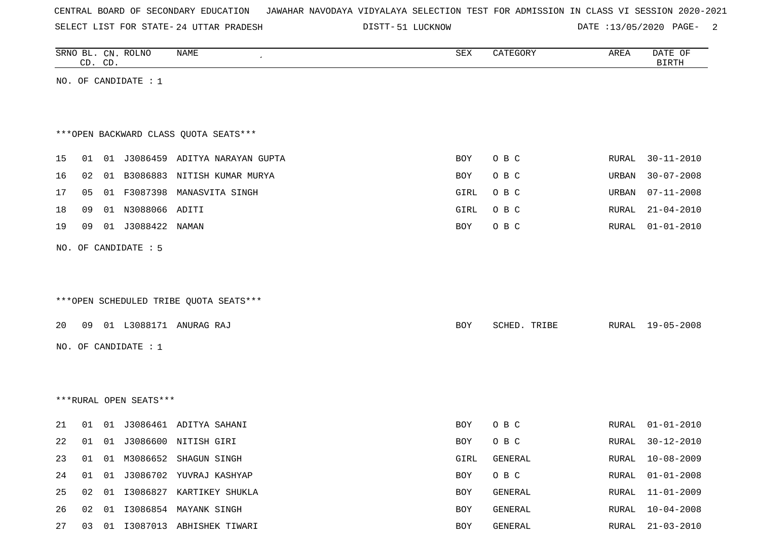| CENTRAL BOARD OF SECONDARY EDUCATION – JAWAHAR NAVODAYA VIDYALAYA SELECTION TEST FOR ADMISSION IN CLASS VI SESSION 2020-2021 |  |  |  |  |
|------------------------------------------------------------------------------------------------------------------------------|--|--|--|--|
|------------------------------------------------------------------------------------------------------------------------------|--|--|--|--|

SELECT LIST FOR STATE- DISTT- 24 UTTAR PRADESH

DISTT-51 LUCKNOW DATE :13/05/2020 PAGE- 2

|    |    | CD. CD. | SRNO BL. CN. ROLNO     | NAME<br>$\epsilon$                     | SEX        | CATEGORY     | AREA  | DATE OF<br><b>BIRTH</b> |
|----|----|---------|------------------------|----------------------------------------|------------|--------------|-------|-------------------------|
|    |    |         | NO. OF CANDIDATE : $1$ |                                        |            |              |       |                         |
|    |    |         |                        |                                        |            |              |       |                         |
|    |    |         |                        | *** OPEN BACKWARD CLASS QUOTA SEATS*** |            |              |       |                         |
| 15 | 01 |         |                        | 01 J3086459 ADITYA NARAYAN GUPTA       | BOY        | O B C        | RURAL | $30 - 11 - 2010$        |
| 16 | 02 |         |                        | 01 B3086883 NITISH KUMAR MURYA         | <b>BOY</b> | O B C        | URBAN | $30 - 07 - 2008$        |
| 17 | 05 |         |                        | 01 F3087398 MANASVITA SINGH            | GIRL       | O B C        | URBAN | $07 - 11 - 2008$        |
| 18 | 09 |         | 01 N3088066 ADITI      |                                        | GIRL       | O B C        | RURAL | $21 - 04 - 2010$        |
| 19 | 09 |         |                        |                                        | BOY        | O B C        | RURAL | $01 - 01 - 2010$        |
|    |    |         | NO. OF CANDIDATE : 5   |                                        |            |              |       |                         |
|    |    |         |                        |                                        |            |              |       |                         |
|    |    |         |                        |                                        |            |              |       |                         |
|    |    |         |                        | ***OPEN SCHEDULED TRIBE QUOTA SEATS*** |            |              |       |                         |
| 20 |    |         |                        | 09 01 L3088171 ANURAG RAJ              | BOY        | SCHED. TRIBE | RURAL | 19-05-2008              |
|    |    |         | NO. OF CANDIDATE : $1$ |                                        |            |              |       |                         |
|    |    |         |                        |                                        |            |              |       |                         |
|    |    |         |                        |                                        |            |              |       |                         |
|    |    |         | ***RURAL OPEN SEATS*** |                                        |            |              |       |                         |
| 21 | 01 |         |                        | 01 J3086461 ADITYA SAHANI              | <b>BOY</b> | O B C        | RURAL | $01 - 01 - 2010$        |
| 22 | 01 |         |                        | 01 J3086600 NITISH GIRI                | <b>BOY</b> | O B C        | RURAL | $30 - 12 - 2010$        |
| 23 | 01 |         |                        | 01 M3086652 SHAGUN SINGH               | GIRL       | GENERAL      | RURAL | 10-08-2009              |
| 24 | 01 |         |                        | 01 J3086702 YUVRAJ KASHYAP             | BOY        | O B C        | RURAL | $01 - 01 - 2008$        |
| 25 | 02 |         |                        | 01 I3086827 KARTIKEY SHUKLA            | BOY        | GENERAL      | RURAL | $11 - 01 - 2009$        |
| 26 | 02 |         |                        | 01 I3086854 MAYANK SINGH               | BOY        | GENERAL      | RURAL | $10 - 04 - 2008$        |
| 27 | 03 |         |                        | 01 I3087013 ABHISHEK TIWARI            | BOY        | GENERAL      |       | RURAL 21-03-2010        |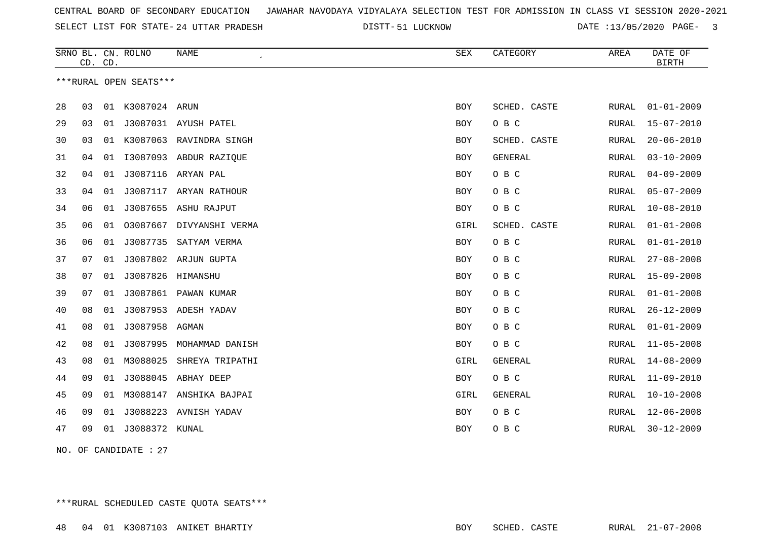SELECT LIST FOR STATE- DISTT- 24 UTTAR PRADESH

51 LUCKNOW DATE :13/05/2020 PAGE- 3

|    | CD. CD.                |    | SRNO BL. CN. ROLNO | <b>NAME</b>             | <b>SEX</b> | CATEGORY     | AREA         | DATE OF<br><b>BIRTH</b> |  |  |
|----|------------------------|----|--------------------|-------------------------|------------|--------------|--------------|-------------------------|--|--|
|    | ***RURAL OPEN SEATS*** |    |                    |                         |            |              |              |                         |  |  |
|    |                        |    |                    |                         |            |              |              |                         |  |  |
| 28 | 03                     |    | 01 K3087024 ARUN   |                         | <b>BOY</b> | SCHED. CASTE | RURAL        | $01 - 01 - 2009$        |  |  |
| 29 | 03                     | 01 |                    | J3087031 AYUSH PATEL    | BOY        | O B C        | RURAL        | $15 - 07 - 2010$        |  |  |
| 30 | 03                     | 01 |                    | K3087063 RAVINDRA SINGH | BOY        | SCHED. CASTE | RURAL        | $20 - 06 - 2010$        |  |  |
| 31 | 04                     | 01 |                    | I3087093 ABDUR RAZIQUE  | BOY        | GENERAL      | RURAL        | $03 - 10 - 2009$        |  |  |
| 32 | 04                     | 01 | J3087116           | ARYAN PAL               | BOY        | $O$ B $C$    | <b>RURAL</b> | $04 - 09 - 2009$        |  |  |
| 33 | 04                     | 01 |                    | J3087117 ARYAN RATHOUR  | <b>BOY</b> | O B C        | RURAL        | $05 - 07 - 2009$        |  |  |
| 34 | 06                     | 01 | J3087655           | ASHU RAJPUT             | BOY        | O B C        | RURAL        | $10 - 08 - 2010$        |  |  |
| 35 | 06                     | 01 | 03087667           | DIVYANSHI VERMA         | GIRL       | SCHED. CASTE | RURAL        | $01 - 01 - 2008$        |  |  |
| 36 | 06                     | 01 |                    | J3087735 SATYAM VERMA   | BOY        | O B C        | RURAL        | $01 - 01 - 2010$        |  |  |
| 37 | 07                     | 01 |                    | J3087802 ARJUN GUPTA    | <b>BOY</b> | O B C        | <b>RURAL</b> | $27 - 08 - 2008$        |  |  |
| 38 | 07                     | 01 | J3087826 HIMANSHU  |                         | <b>BOY</b> | O B C        | RURAL        | $15 - 09 - 2008$        |  |  |
| 39 | 07                     | 01 |                    | J3087861 PAWAN KUMAR    | BOY        | O B C        | RURAL        | $01 - 01 - 2008$        |  |  |
| 40 | 08                     | 01 | J3087953           | ADESH YADAV             | BOY        | O B C        | RURAL        | $26 - 12 - 2009$        |  |  |
| 41 | 08                     | 01 | J3087958           | AGMAN                   | <b>BOY</b> | O B C        | RURAL        | $01 - 01 - 2009$        |  |  |
| 42 | 08                     | 01 | J3087995           | MOHAMMAD DANISH         | <b>BOY</b> | O B C        | RURAL        | $11 - 05 - 2008$        |  |  |
| 43 | 08                     | 01 | M3088025           | SHREYA TRIPATHI         | GIRL       | GENERAL      | RURAL        | $14 - 08 - 2009$        |  |  |
| 44 | 09                     | 01 |                    | J3088045 ABHAY DEEP     | BOY        | O B C        | RURAL        | $11 - 09 - 2010$        |  |  |
| 45 | 09                     | 01 |                    | M3088147 ANSHIKA BAJPAI | GIRL       | GENERAL      | RURAL        | $10 - 10 - 2008$        |  |  |
| 46 | 09                     | 01 | J3088223           | AVNISH YADAV            | BOY        | O B C        | RURAL        | $12 - 06 - 2008$        |  |  |
| 47 | 09                     | 01 | J3088372 KUNAL     |                         | <b>BOY</b> | O B C        | RURAL        | $30 - 12 - 2009$        |  |  |
|    |                        |    |                    |                         |            |              |              |                         |  |  |

NO. OF CANDIDATE : 27

\*\*\*RURAL SCHEDULED CASTE QUOTA SEATS\*\*\*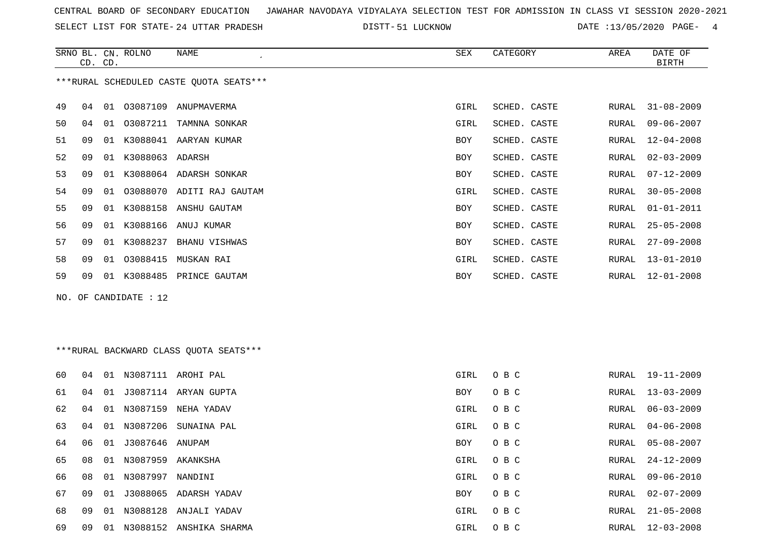SELECT LIST FOR STATE- DISTT- 24 UTTAR PRADESH

51 LUCKNOW DATE :13/05/2020 PAGE- 4

|    | CD. CD.                                 |    | SRNO BL. CN. ROLNO | NAME                      | SEX        | CATEGORY     | AREA  | DATE OF<br>BIRTH |  |  |  |
|----|-----------------------------------------|----|--------------------|---------------------------|------------|--------------|-------|------------------|--|--|--|
|    | ***RURAL SCHEDULED CASTE OUOTA SEATS*** |    |                    |                           |            |              |       |                  |  |  |  |
| 49 | 04                                      |    |                    | 01 03087109 ANUPMAVERMA   | GIRL       | SCHED. CASTE | RURAL | $31 - 08 - 2009$ |  |  |  |
| 50 | 04                                      | 01 | 03087211           | TAMNNA SONKAR             | GIRL       | SCHED. CASTE | RURAL | $09 - 06 - 2007$ |  |  |  |
| 51 | 09                                      | 01 |                    | K3088041 AARYAN KUMAR     | <b>BOY</b> | SCHED. CASTE | RURAL | $12 - 04 - 2008$ |  |  |  |
| 52 | 09                                      | 01 | K3088063 ADARSH    |                           | <b>BOY</b> | SCHED. CASTE | RURAL | $02 - 03 - 2009$ |  |  |  |
| 53 | 09                                      | 01 |                    | K3088064 ADARSH SONKAR    | <b>BOY</b> | SCHED. CASTE | RURAL | $07 - 12 - 2009$ |  |  |  |
| 54 | 09                                      | 01 |                    | 03088070 ADITI RAJ GAUTAM | GIRL       | SCHED. CASTE | RURAL | $30 - 05 - 2008$ |  |  |  |
| 55 | 09                                      | 01 |                    | K3088158 ANSHU GAUTAM     | <b>BOY</b> | SCHED. CASTE | RURAL | $01 - 01 - 2011$ |  |  |  |
| 56 | 09                                      | 01 |                    | K3088166 ANUJ KUMAR       | <b>BOY</b> | SCHED. CASTE | RURAL | $25 - 05 - 2008$ |  |  |  |
| 57 | 09                                      | 01 | K3088237           | BHANU VISHWAS             | <b>BOY</b> | SCHED. CASTE | RURAL | $27 - 09 - 2008$ |  |  |  |
| 58 | 09                                      | 01 | 03088415           | MUSKAN RAI                | GIRL       | SCHED. CASTE | RURAL | $13 - 01 - 2010$ |  |  |  |
| 59 | 09                                      | 01 |                    | K3088485 PRINCE GAUTAM    | <b>BOY</b> | SCHED. CASTE | RURAL | $12 - 01 - 2008$ |  |  |  |
|    |                                         |    |                    |                           |            |              |       |                  |  |  |  |

NO. OF CANDIDATE : 12

# \*\*\*RURAL BACKWARD CLASS QUOTA SEATS\*\*\*

| 60 | 04 | 01 |                    | N3087111 AROHI PAL      | GIRL | O B C | RURAL | 19-11-2009       |
|----|----|----|--------------------|-------------------------|------|-------|-------|------------------|
| 61 | 04 | 01 | J3087114           | ARYAN GUPTA             | BOY  | O B C | RURAL | $13 - 03 - 2009$ |
| 62 | 04 | 01 | N3087159           | NEHA YADAV              | GIRL | O B C | RURAL | 06-03-2009       |
| 63 | 04 | 01 | N3087206           | SUNAINA PAL             | GIRL | O B C | RURAL | 04-06-2008       |
| 64 | 06 |    | 01 J3087646 ANUPAM |                         | BOY  | O B C | RURAL | 05-08-2007       |
| 65 | 08 | 01 | N3087959           | AKANKSHA                | GIRL | O B C | RURAL | 24-12-2009       |
| 66 | 08 | 01 | N3087997           | NANDINI                 | GIRL | O B C | RURAL | $09 - 06 - 2010$ |
| 67 | 09 | 01 | J3088065           | ADARSH YADAV            | BOY  | O B C | RURAL | $02 - 07 - 2009$ |
| 68 | 09 | 01 | N3088128           | ANJALI YADAV            | GIRL | O B C | RURAL | $21 - 05 - 2008$ |
| 69 | 09 | 01 |                    | N3088152 ANSHIKA SHARMA | GIRL | O B C | RURAL | $12 - 03 - 2008$ |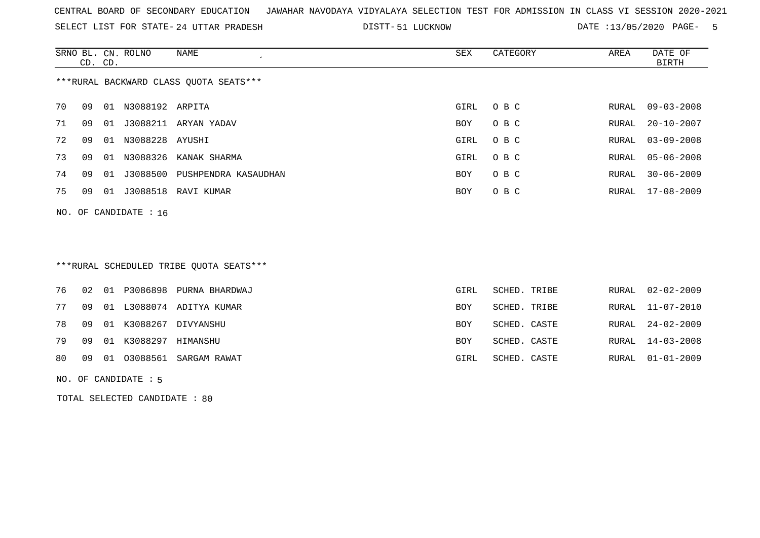SELECT LIST FOR STATE- DISTT- 24 UTTAR PRADESH

51 LUCKNOW DATE :13/05/2020 PAGE- 5

|                                        | CD. CD. |    | SRNO BL. CN. ROLNO      | NAME                 | SEX        | CATEGORY | AREA  | DATE OF<br>BIRTH |  |
|----------------------------------------|---------|----|-------------------------|----------------------|------------|----------|-------|------------------|--|
| ***RURAL BACKWARD CLASS QUOTA SEATS*** |         |    |                         |                      |            |          |       |                  |  |
| 70                                     | 09      | 01 | N3088192 ARPITA         |                      | GIRL       | O B C    | RURAL | $09 - 03 - 2008$ |  |
| 71                                     | 09      | 01 | J3088211                | ARYAN YADAV          | BOY        | O B C    | RURAL | $20 - 10 - 2007$ |  |
| 72                                     | 09      | 01 | N3088228                | AYUSHI               | GIRL       | O B C    | RURAL | $03 - 09 - 2008$ |  |
| 73                                     | 09      | 01 | N3088326                | KANAK SHARMA         | GIRL       | O B C    | RURAL | $05 - 06 - 2008$ |  |
| 74                                     | 09      | 01 | J3088500                | PUSHPENDRA KASAUDHAN | <b>BOY</b> | O B C    | RURAL | $30 - 06 - 2009$ |  |
| 75                                     | 09      | 01 | J3088518                | RAVI KUMAR           | BOY        | O B C    | RURAL | 17-08-2009       |  |
|                                        |         |    | NO. OF CANDIDATE : $16$ |                      |            |          |       |                  |  |

# \*\*\*RURAL SCHEDULED TRIBE QUOTA SEATS\*\*\*

|  |                            | 76 02 01 P3086898 PURNA BHARDWAJ | GIRL       | SCHED. TRIBE |  | RURAL 02-02-2009 |
|--|----------------------------|----------------------------------|------------|--------------|--|------------------|
|  |                            | 77 09 01 L3088074 ADITYA KUMAR   | BOY        | SCHED. TRIBE |  | RURAL 11-07-2010 |
|  |                            | 78 09 01 K3088267 DIVYANSHU      | <b>BOY</b> | SCHED. CASTE |  | RURAL 24-02-2009 |
|  | 79 09 01 K3088297 HIMANSHU |                                  | <b>BOY</b> | SCHED. CASTE |  | RURAL 14-03-2008 |
|  |                            | 80 09 01 03088561 SARGAM RAWAT   | GIRL       | SCHED. CASTE |  | RURAL 01-01-2009 |
|  |                            |                                  |            |              |  |                  |

#### NO. OF CANDIDATE : 5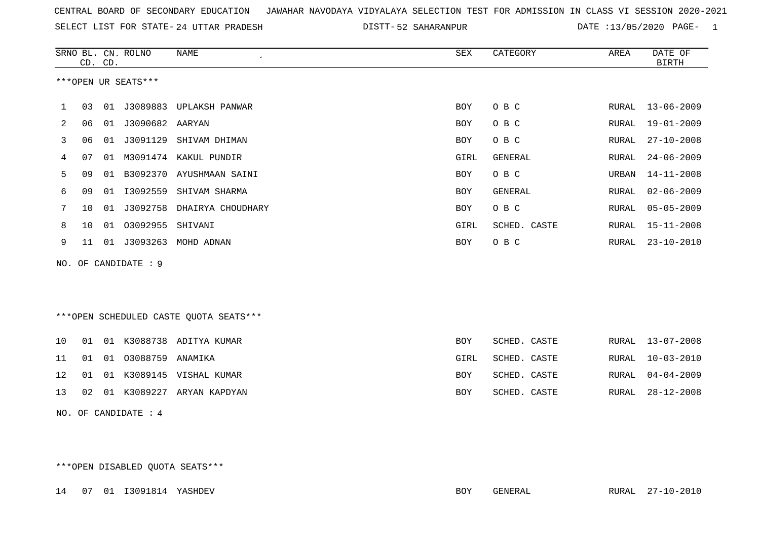| CENTRAL BOARD OF SECONDARY EDUCATION GUNAHAR NAVODAYA VIDYALAYA SELECTION TEST FOR ADMISSION IN CLASS VI SESSION 2020-2021 |  |  |  |
|----------------------------------------------------------------------------------------------------------------------------|--|--|--|
|----------------------------------------------------------------------------------------------------------------------------|--|--|--|

SELECT LIST FOR STATE- 24 UTTAR PRADESH

24 UTTAR PRADESH 52 SAHARANPUR DATE :13/05/2020 PAGE- 1

|     |    | CD. CD. | SRNO BL. CN. ROLNO   | <b>NAME</b>                             | <b>SEX</b> | CATEGORY     | AREA  | DATE OF<br><b>BIRTH</b> |
|-----|----|---------|----------------------|-----------------------------------------|------------|--------------|-------|-------------------------|
|     |    |         | ***OPEN UR SEATS***  |                                         |            |              |       |                         |
| 1   | 03 |         |                      | 01 J3089883 UPLAKSH PANWAR              | <b>BOY</b> | O B C        | RURAL | $13 - 06 - 2009$        |
| 2   | 06 |         | 01 J3090682 AARYAN   |                                         | BOY        | O B C        | RURAL | $19 - 01 - 2009$        |
| 3   | 06 |         |                      | 01 J3091129 SHIVAM DHIMAN               | BOY        | O B C        | RURAL | $27 - 10 - 2008$        |
| 4   | 07 |         | 01 M3091474          | KAKUL PUNDIR                            | GIRL       | GENERAL      | RURAL | $24 - 06 - 2009$        |
| 5   | 09 | 01      |                      | B3092370 AYUSHMAAN SAINI                | BOY        | O B C        | URBAN | $14 - 11 - 2008$        |
| 6   | 09 | 01      | I3092559             | SHIVAM SHARMA                           | BOY        | GENERAL      | RURAL | $02 - 06 - 2009$        |
| 7   | 10 | 01      | J3092758             | DHAIRYA CHOUDHARY                       | BOY        | O B C        | RURAL | $05 - 05 - 2009$        |
| 8   | 10 |         | 01 03092955          | SHIVANI                                 | GIRL       | SCHED. CASTE | RURAL | $15 - 11 - 2008$        |
| 9   | 11 |         |                      | 01 J3093263 MOHD ADNAN                  | <b>BOY</b> | O B C        | RURAL | $23 - 10 - 2010$        |
| NO. |    |         | OF CANDIDATE : 9     |                                         |            |              |       |                         |
|     |    |         |                      |                                         |            |              |       |                         |
|     |    |         |                      |                                         |            |              |       |                         |
|     |    |         |                      | *** OPEN SCHEDULED CASTE QUOTA SEATS*** |            |              |       |                         |
|     |    |         |                      |                                         |            |              |       |                         |
| 10  | 01 |         |                      | 01 K3088738 ADITYA KUMAR                | BOY        | SCHED. CASTE | RURAL | $13 - 07 - 2008$        |
| 11  | 01 | 01      | 03088759 ANAMIKA     |                                         | GIRL       | SCHED. CASTE | RURAL | $10 - 03 - 2010$        |
| 12  | 01 | 01      |                      | K3089145 VISHAL KUMAR                   | BOY        | SCHED. CASTE | RURAL | $04 - 04 - 2009$        |
| 13  | 02 |         |                      | 01 K3089227 ARYAN KAPDYAN               | BOY        | SCHED. CASTE | RURAL | $28 - 12 - 2008$        |
|     |    |         | NO. OF CANDIDATE : 4 |                                         |            |              |       |                         |

\*\*\*OPEN DISABLED QUOTA SEATS\*\*\*

14 07 01 I3091814 YASHDEV BOY GENERAL RURAL 27-10-2010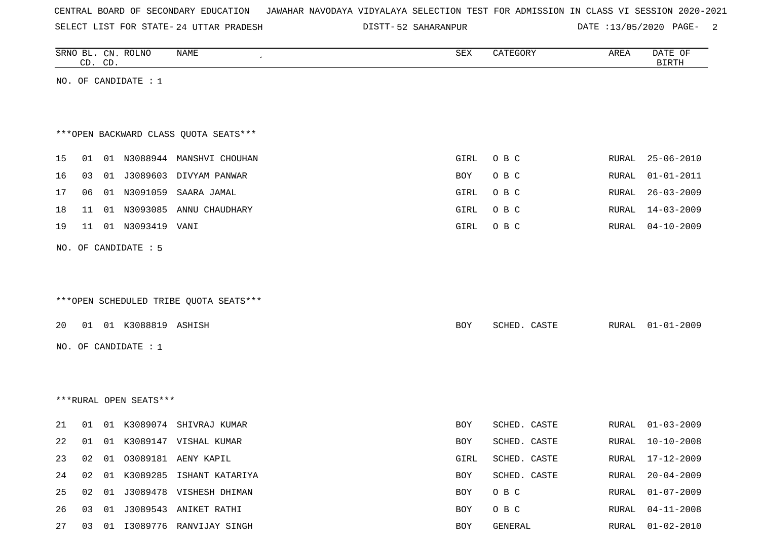|  |  |  |  | CENTRAL BOARD OF SECONDARY EDUCATION – JAWAHAR NAVODAYA VIDYALAYA SELECTION TEST FOR ADMISSION IN CLASS VI SESSION 2020-2021 |  |  |  |  |  |  |  |  |  |  |
|--|--|--|--|------------------------------------------------------------------------------------------------------------------------------|--|--|--|--|--|--|--|--|--|--|
|--|--|--|--|------------------------------------------------------------------------------------------------------------------------------|--|--|--|--|--|--|--|--|--|--|

SELECT LIST FOR STATE- DISTT- 24 UTTAR PRADESH 52 SAHARANPUR DATE :13/05/2020 PAGE- 2

|    | CD. CD. | SRNO BL. CN. ROLNO     | NAME                                   | SEX  | CATEGORY     | AREA         | DATE OF<br><b>BIRTH</b> |
|----|---------|------------------------|----------------------------------------|------|--------------|--------------|-------------------------|
|    |         | NO. OF CANDIDATE : $1$ |                                        |      |              |              |                         |
|    |         |                        |                                        |      |              |              |                         |
|    |         |                        | *** OPEN BACKWARD CLASS QUOTA SEATS*** |      |              |              |                         |
| 15 |         |                        | 01 01 N3088944 MANSHVI CHOUHAN         | GIRL | O B C        | RURAL        | $25 - 06 - 2010$        |
| 16 | 03      |                        | 01 J3089603 DIVYAM PANWAR              | BOY  | O B C        | RURAL        | $01 - 01 - 2011$        |
| 17 | 06      |                        | 01 N3091059 SAARA JAMAL                | GIRL | O B C        | RURAL        | $26 - 03 - 2009$        |
| 18 | 11      |                        | 01 N3093085 ANNU CHAUDHARY             | GIRL | O B C        | RURAL        | $14 - 03 - 2009$        |
| 19 |         | 11  01  N3093419  VANI |                                        | GIRL | O B C        | <b>RURAL</b> | $04 - 10 - 2009$        |
|    |         | NO. OF CANDIDATE : 5   |                                        |      |              |              |                         |
|    |         |                        |                                        |      |              |              |                         |
|    |         |                        |                                        |      |              |              |                         |
|    |         |                        | ***OPEN SCHEDULED TRIBE QUOTA SEATS*** |      |              |              |                         |
| 20 |         | 01 01 K3088819 ASHISH  |                                        | BOY  | SCHED. CASTE |              | RURAL 01-01-2009        |
|    |         | NO. OF CANDIDATE : 1   |                                        |      |              |              |                         |
|    |         |                        |                                        |      |              |              |                         |
|    |         |                        |                                        |      |              |              |                         |
|    |         | ***RURAL OPEN SEATS*** |                                        |      |              |              |                         |
| 21 | 01      |                        | 01 K3089074 SHIVRAJ KUMAR              | BOY  | SCHED. CASTE | RURAL        | $01 - 03 - 2009$        |
| 22 | 01      |                        | 01 K3089147 VISHAL KUMAR               | BOY  | SCHED. CASTE | RURAL        | $10 - 10 - 2008$        |
| 23 |         |                        | 02 01 03089181 AENY KAPIL              | GIRL | SCHED. CASTE |              | RURAL 17-12-2009        |
| 24 |         |                        | 02 01 K3089285 ISHANT KATARIYA         | BOY  | SCHED. CASTE | RURAL        | $20 - 04 - 2009$        |
| 25 |         |                        | 02 01 J3089478 VISHESH DHIMAN          | BOY  | O B C        | RURAL        | $01 - 07 - 2009$        |
| 26 |         |                        | 03 01 J3089543 ANIKET RATHI            | BOY  | $O$ B $C$    | RURAL        | $04 - 11 - 2008$        |
| 27 |         |                        | 03 01 I3089776 RANVIJAY SINGH          | BOY  | GENERAL      |              | RURAL 01-02-2010        |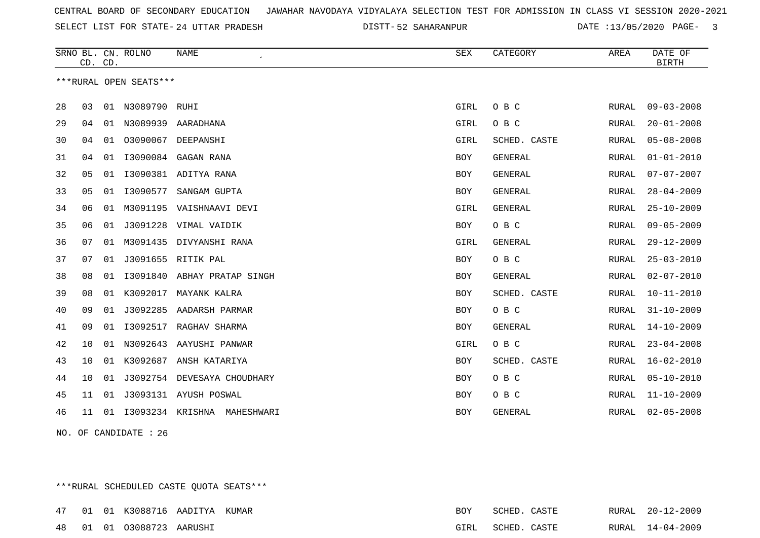SELECT LIST FOR STATE- DISTT- 24 UTTAR PRADESH

52 SAHARANPUR DATE :13/05/2020 PAGE- 3

|    | CD. CD. |    | SRNO BL. CN. ROLNO     | <b>NAME</b>                 | <b>SEX</b> | CATEGORY       | AREA  | DATE OF<br><b>BIRTH</b> |
|----|---------|----|------------------------|-----------------------------|------------|----------------|-------|-------------------------|
|    |         |    | ***RURAL OPEN SEATS*** |                             |            |                |       |                         |
| 28 | 03      |    | 01 N3089790 RUHI       |                             | GIRL       | O B C          | RURAL | $09 - 03 - 2008$        |
| 29 | 04      | 01 |                        | N3089939 AARADHANA          | GIRL       | O B C          | RURAL | $20 - 01 - 2008$        |
| 30 | 04      | 01 | 03090067               | DEEPANSHI                   | GIRL       | SCHED. CASTE   | RURAL | $05 - 08 - 2008$        |
| 31 | 04      | 01 | I3090084               | GAGAN RANA                  | <b>BOY</b> | <b>GENERAL</b> | RURAL | $01 - 01 - 2010$        |
| 32 | 05      | 01 |                        | I3090381 ADITYA RANA        | <b>BOY</b> | <b>GENERAL</b> | RURAL | $07 - 07 - 2007$        |
| 33 | 05      | 01 | I3090577               | SANGAM GUPTA                | <b>BOY</b> | <b>GENERAL</b> | RURAL | $28 - 04 - 2009$        |
| 34 | 06      | 01 |                        | M3091195 VAISHNAAVI DEVI    | GIRL       | GENERAL        | RURAL | $25 - 10 - 2009$        |
| 35 | 06      | 01 |                        | J3091228 VIMAL VAIDIK       | BOY        | O B C          | RURAL | $09 - 05 - 2009$        |
| 36 | 07      | 01 | M3091435               | DIVYANSHI RANA              | GIRL       | GENERAL        | RURAL | $29 - 12 - 2009$        |
| 37 | 07      | 01 |                        | J3091655 RITIK PAL          | <b>BOY</b> | O B C          | RURAL | $25 - 03 - 2010$        |
| 38 | 08      | 01 |                        | 13091840 ABHAY PRATAP SINGH | <b>BOY</b> | <b>GENERAL</b> | RURAL | $02 - 07 - 2010$        |
| 39 | 08      | 01 | K3092017               | MAYANK KALRA                | <b>BOY</b> | SCHED. CASTE   | RURAL | $10 - 11 - 2010$        |
| 40 | 09      | 01 | J3092285               | AADARSH PARMAR              | BOY        | O B C          | RURAL | $31 - 10 - 2009$        |
| 41 | 09      | 01 | I3092517               | RAGHAV SHARMA               | BOY        | GENERAL        | RURAL | $14 - 10 - 2009$        |
| 42 | 10      | 01 |                        | N3092643 AAYUSHI PANWAR     | GIRL       | O B C          | RURAL | $23 - 04 - 2008$        |
| 43 | 10      | 01 | K3092687               | ANSH KATARIYA               | <b>BOY</b> | SCHED. CASTE   | RURAL | $16 - 02 - 2010$        |
| 44 | 10      | 01 |                        | J3092754 DEVESAYA CHOUDHARY | BOY        | O B C          | RURAL | $05 - 10 - 2010$        |
| 45 | 11      |    |                        | 01 J3093131 AYUSH POSWAL    | <b>BOY</b> | O B C          | RURAL | $11 - 10 - 2009$        |
| 46 | 11      | 01 | 13093234 KRISHNA       | MAHESHWARI                  | <b>BOY</b> | GENERAL        | RURAL | $02 - 05 - 2008$        |
|    |         |    |                        |                             |            |                |       |                         |

NO. OF CANDIDATE : 26

\*\*\*RURAL SCHEDULED CASTE QUOTA SEATS\*\*\*

|  | 47 01 01 K3088716 AADITYA KUMAR   |  | BOY. | SCHED. CASTE      |  | RURAL 20-12-2009 |
|--|-----------------------------------|--|------|-------------------|--|------------------|
|  | 48   01   01   03088723   AARUSHI |  |      | GIRL SCHED. CASTE |  | RURAL 14-04-2009 |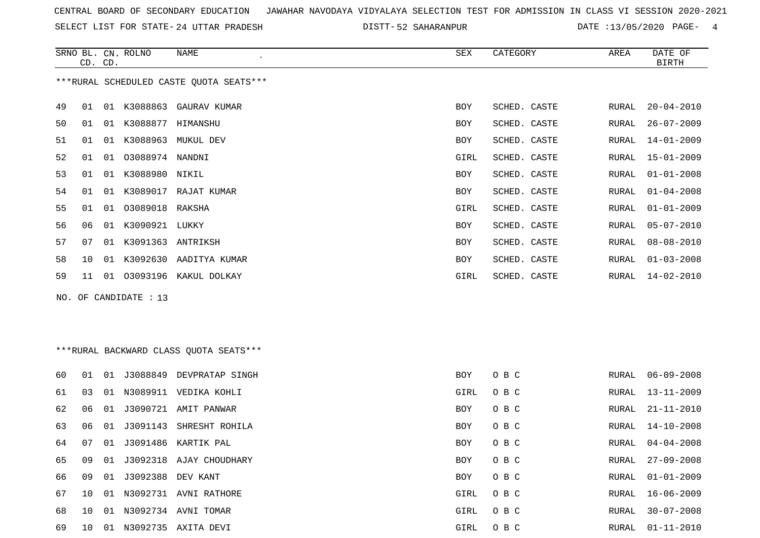SELECT LIST FOR STATE- DISTT- 24 UTTAR PRADESH

52 SAHARANPUR DATE :13/05/2020 PAGE- 4

|    | CD. CD. |    | SRNO BL. CN. ROLNO    | <b>NAME</b>                              | SEX        | CATEGORY     | AREA         | DATE OF<br><b>BIRTH</b> |
|----|---------|----|-----------------------|------------------------------------------|------------|--------------|--------------|-------------------------|
|    |         |    |                       | *** RURAL SCHEDULED CASTE QUOTA SEATS*** |            |              |              |                         |
| 49 | 01      |    |                       | 01 K3088863 GAURAV KUMAR                 | BOY        | SCHED. CASTE | RURAL        | $20 - 04 - 2010$        |
| 50 | 01      |    | 01 K3088877           | HIMANSHU                                 | BOY        | SCHED. CASTE | RURAL        | $26 - 07 - 2009$        |
| 51 | 01      |    |                       | 01 K3088963 MUKUL DEV                    | BOY        | SCHED. CASTE | RURAL        | $14 - 01 - 2009$        |
| 52 | 01      | 01 | 03088974 NANDNI       |                                          | GIRL       | SCHED. CASTE | RURAL        | $15 - 01 - 2009$        |
| 53 | 01      |    | 01 K3088980 NIKIL     |                                          | BOY        | SCHED. CASTE | RURAL        | $01 - 01 - 2008$        |
| 54 | 01      |    |                       | 01 K3089017 RAJAT KUMAR                  | <b>BOY</b> | SCHED. CASTE | RURAL        | $01 - 04 - 2008$        |
| 55 | 01      |    | 01 03089018 RAKSHA    |                                          | GIRL       | SCHED. CASTE | RURAL        | $01 - 01 - 2009$        |
| 56 | 06      | 01 | K3090921 LUKKY        |                                          | <b>BOY</b> | SCHED. CASTE | RURAL        | $05 - 07 - 2010$        |
| 57 | 07      |    | 01 K3091363 ANTRIKSH  |                                          | BOY        | SCHED. CASTE | RURAL        | $08 - 08 - 2010$        |
| 58 | 10      |    |                       | 01 K3092630 AADITYA KUMAR                | <b>BOY</b> | SCHED. CASTE | RURAL        | $01 - 03 - 2008$        |
| 59 | 11      |    |                       | 01 03093196 KAKUL DOLKAY                 | GIRL       | SCHED. CASTE | RURAL        | $14 - 02 - 2010$        |
|    |         |    | NO. OF CANDIDATE : 13 |                                          |            |              |              |                         |
|    |         |    |                       |                                          |            |              |              |                         |
|    |         |    |                       |                                          |            |              |              |                         |
|    |         |    |                       | *** RURAL BACKWARD CLASS QUOTA SEATS***  |            |              |              |                         |
|    |         |    |                       |                                          |            |              |              |                         |
| 60 | 01      |    |                       | 01 J3088849 DEVPRATAP SINGH              | <b>BOY</b> | O B C        | RURAL        | $06 - 09 - 2008$        |
| 61 | 03      |    |                       | 01 N3089911 VEDIKA KOHLI                 | GIRL       | O B C        | RURAL        | $13 - 11 - 2009$        |
| 62 | 06      | 01 |                       | J3090721 AMIT PANWAR                     | <b>BOY</b> | O B C        | RURAL        | $21 - 11 - 2010$        |
| 63 | 06      |    |                       | 01 J3091143 SHRESHT ROHILA               | <b>BOY</b> | O B C        | RURAL        | $14 - 10 - 2008$        |
| 64 | 07      |    |                       | 01 J3091486 KARTIK PAL                   | BOY        | O B C        | <b>RURAL</b> | $04 - 04 - 2008$        |
| 65 | 09      |    |                       | 01 J3092318 AJAY CHOUDHARY               | <b>BOY</b> | O B C        | RURAL        | $27 - 09 - 2008$        |
|    |         |    |                       |                                          |            |              |              |                         |

|  | 66 09 01 J3092388 DEV KANT |                                   | BOY OBC  | RURAL 01-01-2009 |
|--|----------------------------|-----------------------------------|----------|------------------|
|  |                            | 67 10 01 N3092731 AVNI RATHORE    | GIRL OBC | RURAL 16-06-2009 |
|  |                            | 68  10  01  N3092734  AVNI  TOMAR | GIRL OBC | RURAL 30-07-2008 |
|  |                            | 69 10 01 N3092735 AXITA DEVI      | GIRL OBC | RURAL 01-11-2010 |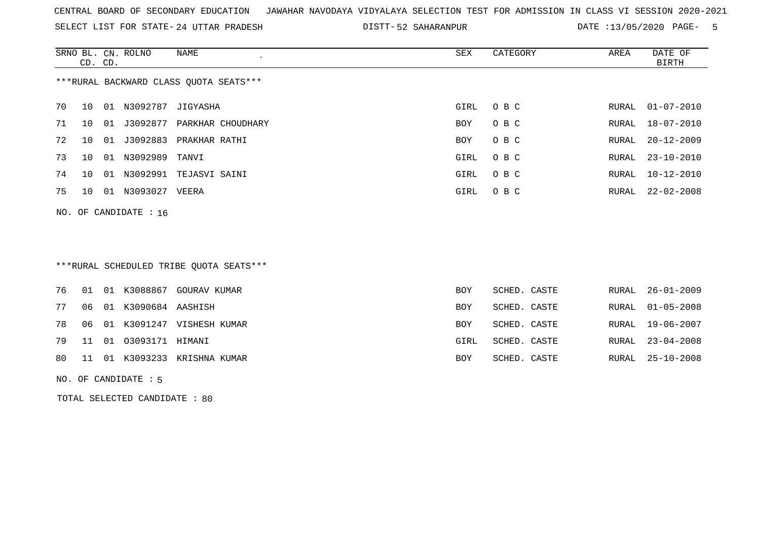SELECT LIST FOR STATE- DISTT- 24 UTTAR PRADESH

52 SAHARANPUR DATE :13/05/2020 PAGE- 5

|    | CD. CD. |    | SRNO BL. CN. ROLNO      | NAME                                   | SEX        | CATEGORY | AREA  | DATE OF<br>BIRTH |
|----|---------|----|-------------------------|----------------------------------------|------------|----------|-------|------------------|
|    |         |    |                         | ***RURAL BACKWARD CLASS OUOTA SEATS*** |            |          |       |                  |
| 70 | 10      | 01 | N3092787                | JIGYASHA                               | GIRL       | O B C    | RURAL | 01-07-2010       |
| 71 | 10      | 01 | J3092877                | PARKHAR CHOUDHARY                      | BOY        | O B C    |       | RURAL 18-07-2010 |
| 72 | 10      | 01 | J3092883                | PRAKHAR RATHI                          | <b>BOY</b> | O B C    | RURAL | 20-12-2009       |
| 73 | 1 O     | 01 | N3092989 TANVI          |                                        | GIRL       | O B C    |       | RURAL 23-10-2010 |
| 74 | 10      | 01 | N3092991                | TEJASVI SAINI                          | GIRL       | O B C    | RURAL | 10-12-2010       |
| 75 | 10      | 01 | N3093027                | VEERA                                  | GIRL       | O B C    | RURAL | 22-02-2008       |
|    |         |    | NO. OF CANDIDATE : $16$ |                                        |            |          |       |                  |

### \*\*\*RURAL SCHEDULED TRIBE QUOTA SEATS\*\*\*

|  |                           | 76 01 01 K3088867 GOURAV KUMAR  | BOY        | SCHED. CASTE | RURAL 26-01-2009 |
|--|---------------------------|---------------------------------|------------|--------------|------------------|
|  | 77 06 01 K3090684 AASHISH |                                 | BOY        | SCHED. CASTE | RURAL 01-05-2008 |
|  |                           | 78 06 01 K3091247 VISHESH KUMAR | <b>BOY</b> | SCHED. CASTE | RURAL 19-06-2007 |
|  | 79 11 01 03093171 HIMANI  |                                 | GIRL       | SCHED. CASTE | RURAL 23-04-2008 |
|  |                           | 80 11 01 K3093233 KRISHNA KUMAR | BOY        | SCHED. CASTE | RURAL 25-10-2008 |
|  |                           |                                 |            |              |                  |

#### NO. OF CANDIDATE : 5

TOTAL SELECTED CANDIDATE : 80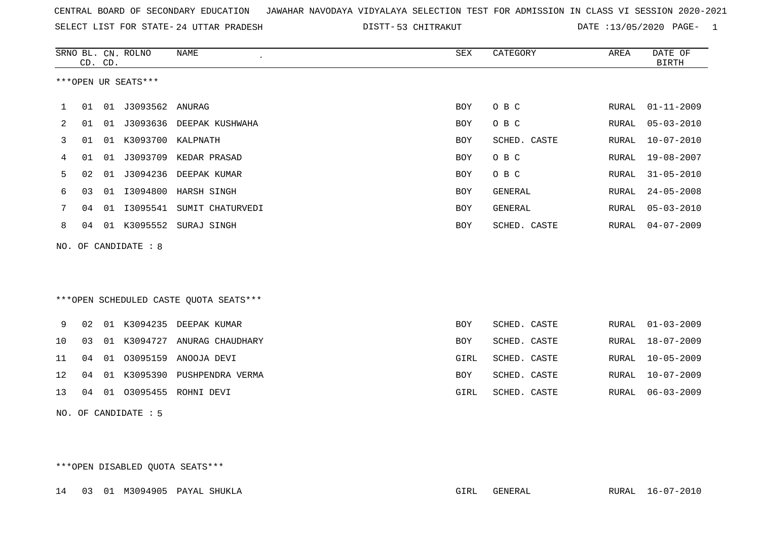SELECT LIST FOR STATE- DISTT- 24 UTTAR PRADESH

53 CHITRAKUT DATE :13/05/2020 PAGE- 1

|                | CD. CD. |    | SRNO BL. CN. ROLNO       | <b>NAME</b>                            | SEX        | CATEGORY     | AREA  | DATE OF<br><b>BIRTH</b> |
|----------------|---------|----|--------------------------|----------------------------------------|------------|--------------|-------|-------------------------|
|                |         |    | ***OPEN UR SEATS***      |                                        |            |              |       |                         |
| 1              |         |    | 01  01  J3093562  ANURAG |                                        | BOY        | O B C        | RURAL | $01 - 11 - 2009$        |
| $\overline{2}$ | 01      | 01 |                          | J3093636 DEEPAK KUSHWAHA               | BOY        | O B C        | RURAL | $05 - 03 - 2010$        |
| 3              | 01      |    | 01 K3093700              | KALPNATH                               | <b>BOY</b> | SCHED. CASTE | RURAL | $10 - 07 - 2010$        |
| 4              | 01      | 01 | J3093709                 | KEDAR PRASAD                           | <b>BOY</b> | O B C        | RURAL | $19 - 08 - 2007$        |
| 5              | 02      | 01 | J3094236                 | DEEPAK KUMAR                           | <b>BOY</b> | O B C        | RURAL | $31 - 05 - 2010$        |
| 6              | 03      |    |                          | 01 I3094800 HARSH SINGH                | BOY        | GENERAL      | RURAL | $24 - 05 - 2008$        |
| 7              | 04      | 01 | I3095541                 | SUMIT CHATURVEDI                       | <b>BOY</b> | GENERAL      | RURAL | $05 - 03 - 2010$        |
| 8              | 04      |    | 01 K3095552              | SURAJ SINGH                            | <b>BOY</b> | SCHED. CASTE | RURAL | $04 - 07 - 2009$        |
|                |         |    | NO. OF CANDIDATE : 8     |                                        |            |              |       |                         |
|                |         |    |                          | ***OPEN SCHEDULED CASTE QUOTA SEATS*** |            |              |       |                         |
| 9              | 02      |    |                          | 01 K3094235 DEEPAK KUMAR               | <b>BOY</b> | SCHED. CASTE |       | RURAL 01-03-2009        |
| 10             | 03      |    |                          | 01 K3094727 ANURAG CHAUDHARY           | <b>BOY</b> | SCHED. CASTE | RURAL | $18 - 07 - 2009$        |
| 11             | 04      | 01 | 03095159                 | ANOOJA DEVI                            | GIRL       | SCHED. CASTE | RURAL | $10 - 05 - 2009$        |
| 12             | 04      | 01 | K3095390                 | PUSHPENDRA VERMA                       | <b>BOY</b> | SCHED. CASTE | RURAL | $10 - 07 - 2009$        |
| 13             | 04      | 01 | 03095455                 | ROHNI DEVI                             | GIRL       | SCHED. CASTE | RURAL | $06 - 03 - 2009$        |
|                |         |    | NO. OF CANDIDATE: 5      |                                        |            |              |       |                         |

\*\*\*OPEN DISABLED QUOTA SEATS\*\*\*

14 03 01 M3094905 PAYAL SHUKLA GIRL GENERAL RURAL 16-07-2010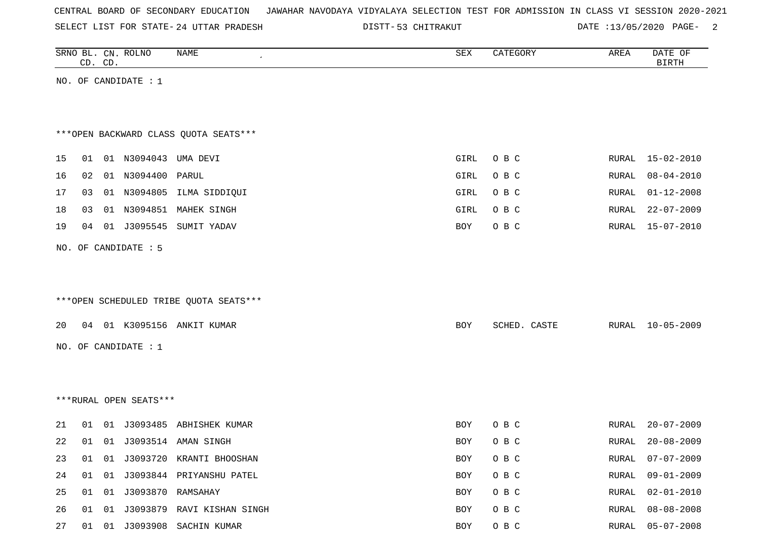SELECT LIST FOR STATE- DISTT- 24 UTTAR PRADESH

53 CHITRAKUT DATE :13/05/2020 PAGE- 2

|    |    | CD. CD. | SRNO BL. CN. ROLNO      | NAME                                   | ${\tt SEX}$ | CATEGORY     | AREA  | DATE OF<br><b>BIRTH</b> |
|----|----|---------|-------------------------|----------------------------------------|-------------|--------------|-------|-------------------------|
|    |    |         | NO. OF CANDIDATE : $1$  |                                        |             |              |       |                         |
|    |    |         |                         |                                        |             |              |       |                         |
|    |    |         |                         | *** OPEN BACKWARD CLASS QUOTA SEATS*** |             |              |       |                         |
|    |    |         |                         |                                        |             |              |       |                         |
| 15 |    |         | 01 01 N3094043 UMA DEVI |                                        | GIRL        | O B C        | RURAL | 15-02-2010              |
| 16 | 02 |         | 01 N3094400             | PARUL                                  | GIRL        | O B C        | RURAL | $08 - 04 - 2010$        |
| 17 | 03 |         |                         | 01 N3094805 ILMA SIDDIQUI              | GIRL        | O B C        | RURAL | $01 - 12 - 2008$        |
| 18 | 03 |         |                         | 01 N3094851 MAHEK SINGH                | GIRL        | O B C        | RURAL | $22 - 07 - 2009$        |
| 19 |    |         |                         | 04 01 J3095545 SUMIT YADAV             | BOY         | O B C        | RURAL | $15 - 07 - 2010$        |
|    |    |         | NO. OF CANDIDATE : 5    |                                        |             |              |       |                         |
|    |    |         |                         |                                        |             |              |       |                         |
|    |    |         |                         |                                        |             |              |       |                         |
|    |    |         |                         | ***OPEN SCHEDULED TRIBE QUOTA SEATS*** |             |              |       |                         |
| 20 |    |         |                         | 04 01 K3095156 ANKIT KUMAR             | BOY         | SCHED. CASTE | RURAL | $10 - 05 - 2009$        |
|    |    |         | NO. OF CANDIDATE : 1    |                                        |             |              |       |                         |
|    |    |         |                         |                                        |             |              |       |                         |
|    |    |         |                         |                                        |             |              |       |                         |
|    |    |         | ***RURAL OPEN SEATS***  |                                        |             |              |       |                         |
|    |    |         |                         |                                        |             |              |       |                         |
| 21 | 01 |         |                         | 01 J3093485 ABHISHEK KUMAR             | BOY         | O B C        | RURAL | $20 - 07 - 2009$        |
| 22 | 01 |         |                         | 01 J3093514 AMAN SINGH                 | BOY         | O B C        | RURAL | $20 - 08 - 2009$        |
| 23 |    |         |                         | 01 01 J3093720 KRANTI BHOOSHAN         | BOY         | O B C        | RURAL | $07 - 07 - 2009$        |
| 24 |    |         |                         | 01 01 J3093844 PRIYANSHU PATEL         | BOY         | O B C        | RURAL | $09 - 01 - 2009$        |
| 25 |    |         | 01 01 J3093870 RAMSAHAY |                                        | BOY         | O B C        | RURAL | $02 - 01 - 2010$        |
| 26 |    |         |                         | 01 01 J3093879 RAVI KISHAN SINGH       | BOY         | O B C        | RURAL | $08 - 08 - 2008$        |
| 27 |    |         |                         | 01 01 J3093908 SACHIN KUMAR            | BOY         | O B C        | RURAL | $05 - 07 - 2008$        |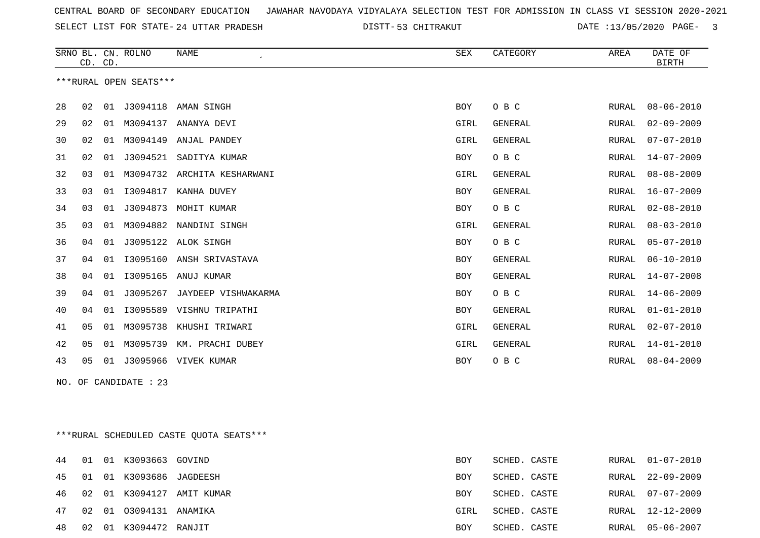SELECT LIST FOR STATE- DISTT- 24 UTTAR PRADESH

53 CHITRAKUT DATE :13/05/2020 PAGE- 3

|    | CD. CD. |    | SRNO BL. CN. ROLNO     | NAME<br>$\epsilon$  | SEX        | CATEGORY       | AREA         | DATE OF<br><b>BIRTH</b> |
|----|---------|----|------------------------|---------------------|------------|----------------|--------------|-------------------------|
|    |         |    | ***RURAL OPEN SEATS*** |                     |            |                |              |                         |
| 28 | 02 01   |    | J3094118               | AMAN SINGH          | BOY        | O B C          | RURAL        | $08 - 06 - 2010$        |
| 29 | 02      | 01 | M3094137               | ANANYA DEVI         | GIRL       | <b>GENERAL</b> | RURAL        | $02 - 09 - 2009$        |
| 30 | 02      | 01 | M3094149               | ANJAL PANDEY        | GIRL       | <b>GENERAL</b> | RURAL        | $07 - 07 - 2010$        |
| 31 | 02      | 01 | J3094521               | SADITYA KUMAR       | <b>BOY</b> | O B C          | <b>RURAL</b> | $14 - 07 - 2009$        |
| 32 | 03      | 01 | M3094732               | ARCHITA KESHARWANI  | GIRL       | <b>GENERAL</b> | <b>RURAL</b> | $08 - 08 - 2009$        |
| 33 | 03      | 01 | I3094817               | KANHA DUVEY         | BOY        | <b>GENERAL</b> | <b>RURAL</b> | $16 - 07 - 2009$        |
| 34 | 03      | 01 | J3094873               | MOHIT KUMAR         | <b>BOY</b> | O B C          | <b>RURAL</b> | $02 - 08 - 2010$        |
| 35 | 03      | 01 | M3094882               | NANDINI SINGH       | GIRL       | <b>GENERAL</b> | RURAL        | $08 - 03 - 2010$        |
| 36 | 04      | 01 | J3095122               | ALOK SINGH          | <b>BOY</b> | O B C          | RURAL        | $05 - 07 - 2010$        |
| 37 | 04      | 01 | I3095160               | ANSH SRIVASTAVA     | <b>BOY</b> | <b>GENERAL</b> | <b>RURAL</b> | $06 - 10 - 2010$        |
| 38 | 04      | 01 | I3095165               | ANUJ KUMAR          | <b>BOY</b> | <b>GENERAL</b> | <b>RURAL</b> | $14 - 07 - 2008$        |
| 39 | 04      | 01 | J3095267               | JAYDEEP VISHWAKARMA | <b>BOY</b> | O B C          | <b>RURAL</b> | $14 - 06 - 2009$        |
| 40 | 04      | 01 | I3095589               | VISHNU TRIPATHI     | BOY        | <b>GENERAL</b> | <b>RURAL</b> | $01 - 01 - 2010$        |
| 41 | 05      | 01 | M3095738               | KHUSHI TRIWARI      | GIRL       | <b>GENERAL</b> | <b>RURAL</b> | $02 - 07 - 2010$        |
| 42 | 05      | 01 | M3095739               | KM. PRACHI DUBEY    | GIRL       | <b>GENERAL</b> | <b>RURAL</b> | $14 - 01 - 2010$        |
| 43 | 05      | 01 | J3095966               | VIVEK KUMAR         | <b>BOY</b> | O B C          | RURAL        | $08 - 04 - 2009$        |

NO. OF CANDIDATE : 23

\*\*\*RURAL SCHEDULED CASTE QUOTA SEATS\*\*\*

|    |    | 44 01 01 K3093663 GOVIND   |                              | <b>BOY</b> | SCHED. CASTE | RURAL 01-07-2010 |
|----|----|----------------------------|------------------------------|------------|--------------|------------------|
|    |    | 45 01 01 K3093686 JAGDEESH |                              | <b>BOY</b> | SCHED. CASTE | RURAL 22-09-2009 |
|    |    |                            | 46 02 01 K3094127 AMIT KUMAR | BOY        | SCHED. CASTE | RURAL 07-07-2009 |
|    |    | 47 02 01 03094131 ANAMIKA  |                              | GIRL       | SCHED. CASTE | RURAL 12-12-2009 |
| 48 | 02 | 01 K3094472 RANJIT         |                              | BOY        | SCHED. CASTE | RURAL 05-06-2007 |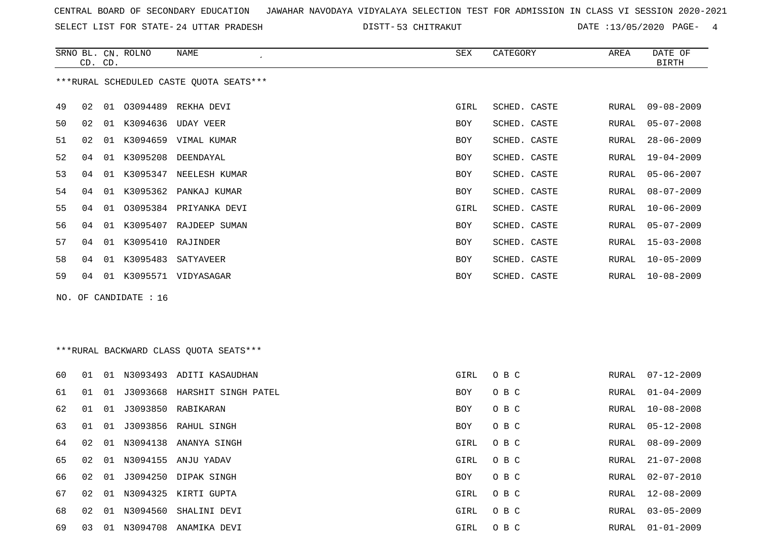SELECT LIST FOR STATE- DISTT- 24 UTTAR PRADESH

53 CHITRAKUT DATE :13/05/2020 PAGE- 4

|    | CD. CD. |    | SRNO BL. CN. ROLNO    | NAME                                    | <b>SEX</b> | CATEGORY     | AREA         | DATE OF<br><b>BIRTH</b> |
|----|---------|----|-----------------------|-----------------------------------------|------------|--------------|--------------|-------------------------|
|    |         |    |                       | ***RURAL SCHEDULED CASTE QUOTA SEATS*** |            |              |              |                         |
| 49 | 02      | 01 | 03094489              | REKHA DEVI                              | GIRL       | SCHED. CASTE | RURAL        | $09 - 08 - 2009$        |
| 50 | 02      |    |                       | 01 K3094636 UDAY VEER                   | BOY        | SCHED. CASTE | RURAL        | $05 - 07 - 2008$        |
| 51 | 02      |    |                       | 01 K3094659 VIMAL KUMAR                 | <b>BOY</b> | SCHED. CASTE | RURAL        | $28 - 06 - 2009$        |
| 52 | 04      |    | 01 K3095208           | DEENDAYAL                               | BOY        | SCHED. CASTE | RURAL        | $19 - 04 - 2009$        |
| 53 | 04      |    |                       | 01 K3095347 NEELESH KUMAR               | <b>BOY</b> | SCHED. CASTE | RURAL        | $05 - 06 - 2007$        |
| 54 | 04      |    |                       | 01 K3095362 PANKAJ KUMAR                | <b>BOY</b> | SCHED. CASTE | <b>RURAL</b> | $08 - 07 - 2009$        |
| 55 | 04      | 01 |                       | 03095384 PRIYANKA DEVI                  | GIRL       | SCHED. CASTE | RURAL        | $10 - 06 - 2009$        |
| 56 | 04      |    |                       | 01 K3095407 RAJDEEP SUMAN               | BOY        | SCHED. CASTE | RURAL        | $05 - 07 - 2009$        |
| 57 | 04      |    | 01 K3095410           | RAJINDER                                | <b>BOY</b> | SCHED. CASTE | RURAL        | $15 - 03 - 2008$        |
| 58 | 04      |    |                       | 01 K3095483 SATYAVEER                   | <b>BOY</b> | SCHED. CASTE | RURAL        | $10 - 05 - 2009$        |
| 59 | 04      |    |                       | 01 K3095571 VIDYASAGAR                  | <b>BOY</b> | SCHED. CASTE | RURAL        | $10 - 08 - 2009$        |
|    |         |    | NO. OF CANDIDATE : 16 |                                         |            |              |              |                         |
|    |         |    |                       | ***RURAL BACKWARD CLASS OUOTA SEATS***  |            |              |              |                         |
| 60 | 01      |    |                       | 01 N3093493 ADITI KASAUDHAN             | GIRL       | O B C        | RURAL        | $07 - 12 - 2009$        |
| 61 | 01      | 01 |                       | J3093668 HARSHIT SINGH PATEL            | <b>BOY</b> | O B C        | <b>RURAL</b> | $01 - 04 - 2009$        |
| 62 | 01      | 01 |                       | J3093850 RABIKARAN                      | <b>BOY</b> | O B C        | RURAL        | $10 - 08 - 2008$        |
| 63 | 01      | 01 |                       | J3093856 RAHUL SINGH                    | BOY        | O B C        | RURAL        | $05 - 12 - 2008$        |

67 02 01 N3094325 KIRTI GUPTA GIRL O B C

64 02 01 N3094138 ANANYA SINGH GIRL O B C

65 02 01 N3094155 ANJU YADAV GIRL O B C GIRL O B C

66 02 01 J3094250 DIPAK SINGH BOY O B C

68 02 01 N3094560 SHALINI DEVI GIRL O B C RURAL 03-05-2009

69 03 01 N3094708 ANAMIKA DEVI GIRL O B C RURAL 01-01-2009

|  | RURAL 08-09-2009       |
|--|------------------------|
|  | RURAL $21 - 07 - 2008$ |
|  | RURAL 02-07-2010       |
|  | RURAL 12-08-2009       |
|  |                        |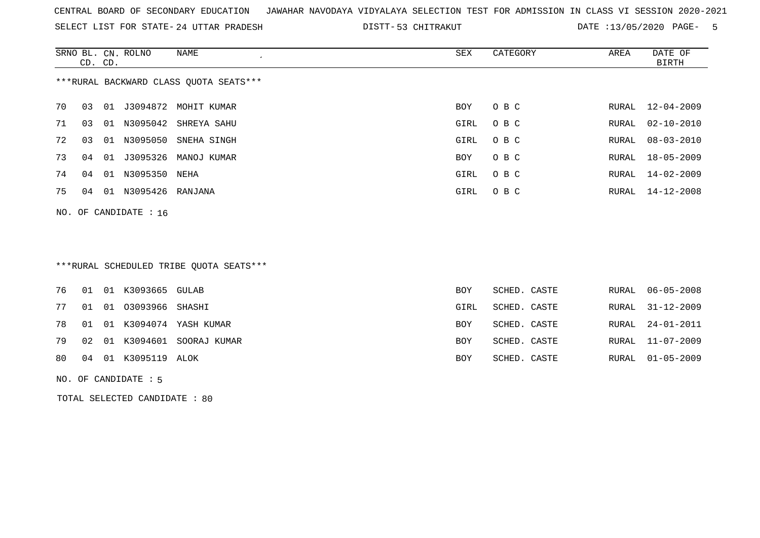SELECT LIST FOR STATE- DISTT- 24 UTTAR PRADESH

53 CHITRAKUT DATE :13/05/2020 PAGE- 5

|    | CD. CD. |    | SRNO BL. CN. ROLNO | NAME                                   | SEX        | CATEGORY | AREA  | DATE OF<br>BIRTH |
|----|---------|----|--------------------|----------------------------------------|------------|----------|-------|------------------|
|    |         |    |                    | ***RURAL BACKWARD CLASS OUOTA SEATS*** |            |          |       |                  |
| 70 | 03      | 01 |                    | J3094872 MOHIT KUMAR                   | BOY        | O B C    |       | RURAL 12-04-2009 |
| 71 | 03      | 01 |                    | N3095042 SHREYA SAHU                   | GIRL       | O B C    | RURAL | $02 - 10 - 2010$ |
| 72 | 03      | 01 | N3095050           | SNEHA SINGH                            | GIRL       | O B C    | RURAL | $08 - 03 - 2010$ |
| 73 | 04      | 01 | J3095326           | MANOJ KUMAR                            | <b>BOY</b> | O B C    | RURAL | 18-05-2009       |
| 74 | 04      | 01 | N3095350           | NEHA                                   | GIRL       | O B C    | RURAL | 14-02-2009       |
| 75 | 04      | 01 | N3095426 RANJANA   |                                        | GIRL       | O B C    | RURAL | 14-12-2008       |
|    |         |    |                    |                                        |            |          |       |                  |

NO. OF CANDIDATE : 16

# \*\*\*RURAL SCHEDULED TRIBE QUOTA SEATS\*\*\*

|  | 76 01 01 K3093665 GULAB    |                                | BOY  | SCHED. CASTE |  | RURAL 06-05-2008 |
|--|----------------------------|--------------------------------|------|--------------|--|------------------|
|  | 77 01 01 03093966 SHASHI   |                                | GIRL | SCHED. CASTE |  | RURAL 31-12-2009 |
|  |                            | 78 01 01 K3094074 YASH KUMAR   | BOY  | SCHED. CASTE |  | RURAL 24-01-2011 |
|  |                            | 79 02 01 K3094601 SOORAJ KUMAR | BOY  | SCHED. CASTE |  | RURAL 11-07-2009 |
|  | 80  04  01  K3095119  ALOK |                                | BOY  | SCHED. CASTE |  | RURAL 01-05-2009 |
|  |                            |                                |      |              |  |                  |

#### NO. OF CANDIDATE : 5

TOTAL SELECTED CANDIDATE : 80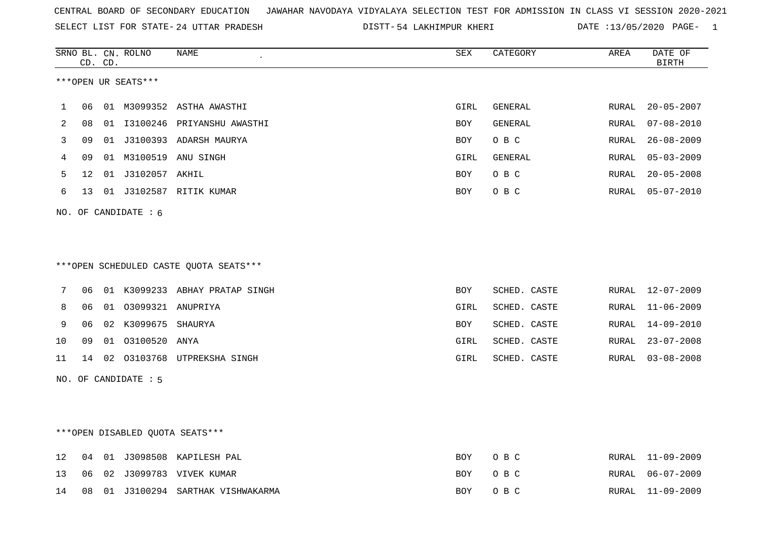SELECT LIST FOR STATE- DISTT- 24 UTTAR PRADESH

54 LAKHIMPUR KHERI DATE :13/05/2020 PAGE- 1

|    |    | CD. CD. | SRNO BL. CN. ROLNO              | NAME                                   | SEX        | CATEGORY     | AREA  | DATE OF<br><b>BIRTH</b> |
|----|----|---------|---------------------------------|----------------------------------------|------------|--------------|-------|-------------------------|
|    |    |         | ***OPEN UR SEATS***             |                                        |            |              |       |                         |
| 1  | 06 |         |                                 | 01 M3099352 ASTHA AWASTHI              | GIRL       | GENERAL      | RURAL | $20 - 05 - 2007$        |
| 2  | 08 |         |                                 | 01 I3100246 PRIYANSHU AWASTHI          | BOY        | GENERAL      | RURAL | $07 - 08 - 2010$        |
| 3  | 09 |         |                                 | 01 J3100393 ADARSH MAURYA              | BOY        | O B C        | RURAL | $26 - 08 - 2009$        |
| 4  | 09 |         |                                 | 01 M3100519 ANU SINGH                  | GIRL       | GENERAL      | RURAL | $05 - 03 - 2009$        |
| 5  | 12 |         | 01 J3102057 AKHIL               |                                        | <b>BOY</b> | O B C        | RURAL | $20 - 05 - 2008$        |
| 6  | 13 |         |                                 | 01 J3102587 RITIK KUMAR                | <b>BOY</b> | O B C        | RURAL | $05 - 07 - 2010$        |
|    |    |         | NO. OF CANDIDATE : 6            |                                        |            |              |       |                         |
|    |    |         |                                 |                                        |            |              |       |                         |
|    |    |         |                                 |                                        |            |              |       |                         |
|    |    |         |                                 | ***OPEN SCHEDULED CASTE QUOTA SEATS*** |            |              |       |                         |
| 7  | 06 |         |                                 | 01 K3099233 ABHAY PRATAP SINGH         | <b>BOY</b> | SCHED. CASTE | RURAL | 12-07-2009              |
| 8  | 06 |         | 01 03099321 ANUPRIYA            |                                        | GIRL       | SCHED. CASTE | RURAL | $11 - 06 - 2009$        |
| 9  | 06 |         | 02 K3099675 SHAURYA             |                                        | BOY        | SCHED. CASTE | RURAL | $14 - 09 - 2010$        |
| 10 | 09 |         | 01 03100520 ANYA                |                                        | GIRL       | SCHED. CASTE | RURAL | $23 - 07 - 2008$        |
| 11 |    |         |                                 | 14 02 03103768 UTPREKSHA SINGH         | GIRL       | SCHED. CASTE | RURAL | $03 - 08 - 2008$        |
|    |    |         | NO. OF CANDIDATE : 5            |                                        |            |              |       |                         |
|    |    |         |                                 |                                        |            |              |       |                         |
|    |    |         |                                 |                                        |            |              |       |                         |
|    |    |         | ***OPEN DISABLED QUOTA SEATS*** |                                        |            |              |       |                         |
| 12 | 04 |         |                                 | 01 J3098508 KAPILESH PAL               | <b>BOY</b> | O B C        | RURAL | $11 - 09 - 2009$        |
| 13 | 06 |         |                                 | 02 J3099783 VIVEK KUMAR                | <b>BOY</b> | O B C        | RURAL | $06 - 07 - 2009$        |
| 14 | 08 |         |                                 | 01 J3100294 SARTHAK VISHWAKARMA        | BOY        | O B C        | RURAL | $11 - 09 - 2009$        |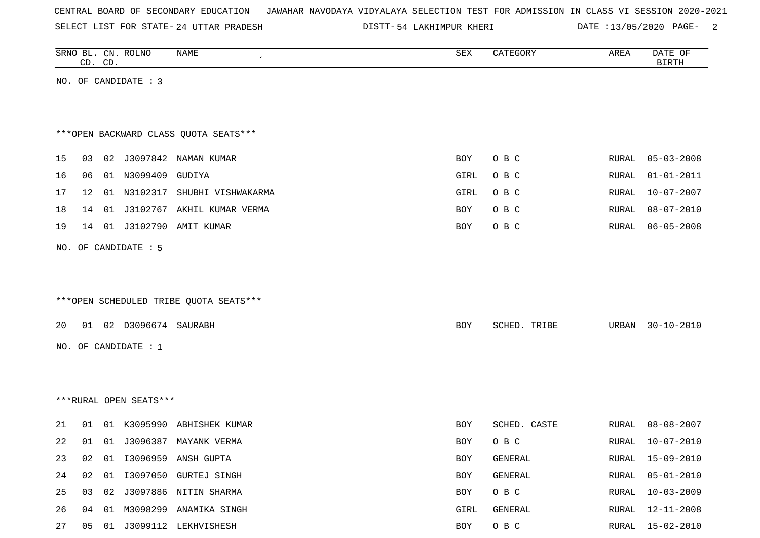SELECT LIST FOR STATE- DISTT- 24 UTTAR PRADESH

DISTT-54 LAKHIMPUR KHERI DATE :13/05/2020 PAGE- 2

|    | CD. CD. | SRNO BL. CN. ROLNO     | NAME                                   | ${\tt SEX}$ | CATEGORY     | AREA         | DATE OF<br><b>BIRTH</b> |
|----|---------|------------------------|----------------------------------------|-------------|--------------|--------------|-------------------------|
|    |         | NO. OF CANDIDATE : 3   |                                        |             |              |              |                         |
|    |         |                        |                                        |             |              |              |                         |
|    |         |                        |                                        |             |              |              |                         |
|    |         |                        | *** OPEN BACKWARD CLASS QUOTA SEATS*** |             |              |              |                         |
| 15 | 03      |                        | 02 J3097842 NAMAN KUMAR                | <b>BOY</b>  | O B C        | RURAL        | $05 - 03 - 2008$        |
| 16 | 06      | 01 N3099409 GUDIYA     |                                        | GIRL        | O B C        | RURAL        | $01 - 01 - 2011$        |
| 17 | 12      |                        | 01 N3102317 SHUBHI VISHWAKARMA         | GIRL        | O B C        | RURAL        | $10 - 07 - 2007$        |
| 18 | 14      |                        | 01 J3102767 AKHIL KUMAR VERMA          | BOY         | O B C        | <b>RURAL</b> | $08 - 07 - 2010$        |
| 19 | 14      |                        | 01 J3102790 AMIT KUMAR                 | BOY         | O B C        | RURAL        | $06 - 05 - 2008$        |
|    |         | NO. OF CANDIDATE : 5   |                                        |             |              |              |                         |
|    |         |                        |                                        |             |              |              |                         |
|    |         |                        |                                        |             |              |              |                         |
|    |         |                        | ***OPEN SCHEDULED TRIBE QUOTA SEATS*** |             |              |              |                         |
|    |         |                        |                                        |             |              |              |                         |
| 20 |         | 01 02 D3096674 SAURABH |                                        | <b>BOY</b>  | SCHED. TRIBE | URBAN        | $30 - 10 - 2010$        |
|    |         | NO. OF CANDIDATE : $1$ |                                        |             |              |              |                         |
|    |         |                        |                                        |             |              |              |                         |
|    |         |                        |                                        |             |              |              |                         |
|    |         | ***RURAL OPEN SEATS*** |                                        |             |              |              |                         |
| 21 | 01      |                        | 01 K3095990 ABHISHEK KUMAR             | BOY         | SCHED. CASTE | RURAL        | $08 - 08 - 2007$        |
| 22 | 01      |                        | 01 J3096387 MAYANK VERMA               | BOY         | O B C        | RURAL        | $10 - 07 - 2010$        |
| 23 | 02      |                        | 01 I3096959 ANSH GUPTA                 | BOY         | GENERAL      | RURAL        | 15-09-2010              |
| 24 | 02      |                        | 01 I3097050 GURTEJ SINGH               | <b>BOY</b>  | GENERAL      | RURAL        | $05 - 01 - 2010$        |
| 25 | 03      |                        | 02 J3097886 NITIN SHARMA               | BOY         | O B C        | RURAL        | $10 - 03 - 2009$        |
| 26 | 04      |                        | 01 M3098299 ANAMIKA SINGH              | GIRL        | GENERAL      | RURAL        | $12 - 11 - 2008$        |
| 27 | 05      |                        | 01 J3099112 LEKHVISHESH                | BOY         | $O$ B $C$    |              | RURAL 15-02-2010        |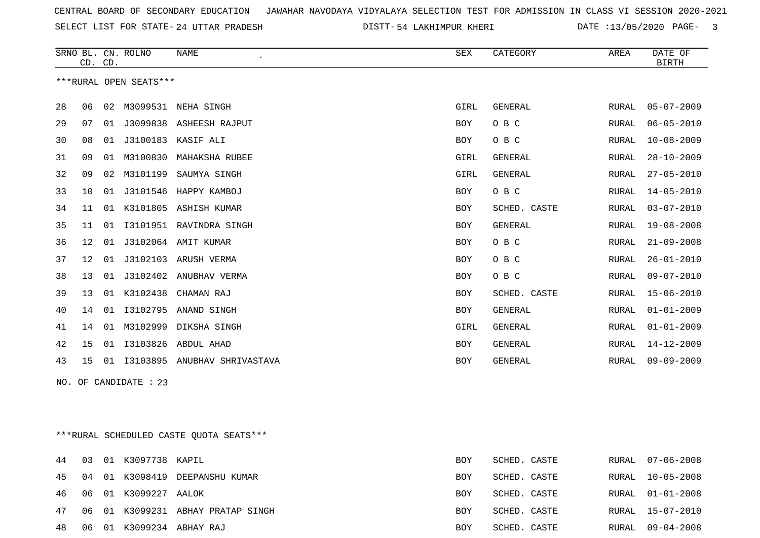SELECT LIST FOR STATE- DISTT- 24 UTTAR PRADESH

54 LAKHIMPUR KHERI DATE :13/05/2020 PAGE- 3

|    | CD. | CD. | SRNO BL. CN. ROLNO     | <b>NAME</b>                              | SEX        | CATEGORY     | AREA  | DATE OF<br><b>BIRTH</b> |
|----|-----|-----|------------------------|------------------------------------------|------------|--------------|-------|-------------------------|
|    |     |     | ***RURAL OPEN SEATS*** |                                          |            |              |       |                         |
|    |     |     |                        |                                          |            |              |       |                         |
| 28 | 06  | 02  |                        | M3099531 NEHA SINGH                      | GIRL       | GENERAL      | RURAL | $05 - 07 - 2009$        |
| 29 | 07  | 01  |                        | J3099838 ASHEESH RAJPUT                  | BOY        | O B C        | RURAL | $06 - 05 - 2010$        |
| 30 | 08  | 01  |                        | J3100183 KASIF ALI                       | BOY        | O B C        | RURAL | $10 - 08 - 2009$        |
| 31 | 09  | 01  | M3100830               | MAHAKSHA RUBEE                           | GIRL       | GENERAL      | RURAL | $28 - 10 - 2009$        |
| 32 | 09  | 02  | M3101199               | SAUMYA SINGH                             | GIRL       | GENERAL      | RURAL | $27 - 05 - 2010$        |
| 33 | 10  |     |                        | 01 J3101546 HAPPY KAMBOJ                 | BOY        | O B C        | RURAL | $14 - 05 - 2010$        |
| 34 | 11  |     |                        | 01 K3101805 ASHISH KUMAR                 | BOY        | SCHED. CASTE | RURAL | $03 - 07 - 2010$        |
| 35 | 11  |     |                        | 01 I3101951 RAVINDRA SINGH               | BOY        | GENERAL      | RURAL | $19 - 08 - 2008$        |
| 36 | 12  | 01  |                        | J3102064 AMIT KUMAR                      | BOY        | O B C        | RURAL | $21 - 09 - 2008$        |
| 37 | 12  | 01  |                        | J3102103 ARUSH VERMA                     | BOY        | O B C        | RURAL | $26 - 01 - 2010$        |
| 38 | 13  |     |                        | 01 J3102402 ANUBHAV VERMA                | BOY        | O B C        | RURAL | $09 - 07 - 2010$        |
| 39 | 13  |     | 01 K3102438            | CHAMAN RAJ                               | BOY        | SCHED. CASTE | RURAL | $15 - 06 - 2010$        |
| 40 | 14  |     |                        | 01 I3102795 ANAND SINGH                  | BOY        | GENERAL      | RURAL | $01 - 01 - 2009$        |
| 41 | 14  |     |                        | 01 M3102999 DIKSHA SINGH                 | GIRL       | GENERAL      | RURAL | $01 - 01 - 2009$        |
| 42 | 15  |     |                        | 01  13103826  ABDUL  AHAD                | BOY        | GENERAL      | RURAL | 14-12-2009              |
| 43 | 15  |     |                        | 01 I3103895 ANUBHAV SHRIVASTAVA          | BOY        | GENERAL      | RURAL | $09 - 09 - 2009$        |
|    |     |     | NO. OF CANDIDATE : 23  |                                          |            |              |       |                         |
|    |     |     |                        |                                          |            |              |       |                         |
|    |     |     |                        |                                          |            |              |       |                         |
|    |     |     |                        |                                          |            |              |       |                         |
|    |     |     |                        | *** RURAL SCHEDULED CASTE QUOTA SEATS*** |            |              |       |                         |
| 44 |     |     | 03 01 K3097738 KAPIL   |                                          | BOY        | SCHED. CASTE |       | RURAL 07-06-2008        |
| 45 |     |     |                        | 04 01 K3098419 DEEPANSHU KUMAR           | BOY        | SCHED. CASTE |       | RURAL 10-05-2008        |
| 46 |     |     | 06 01 K3099227 AALOK   |                                          | BOY        | SCHED. CASTE | RURAL | $01 - 01 - 2008$        |
| 47 |     |     |                        | 06 01 K3099231 ABHAY PRATAP SINGH        | <b>BOY</b> | SCHED. CASTE |       | RURAL 15-07-2010        |

06 01 K3099234 ABHAY RAJ BOY SCHED. CASTE RURAL 09-04-2008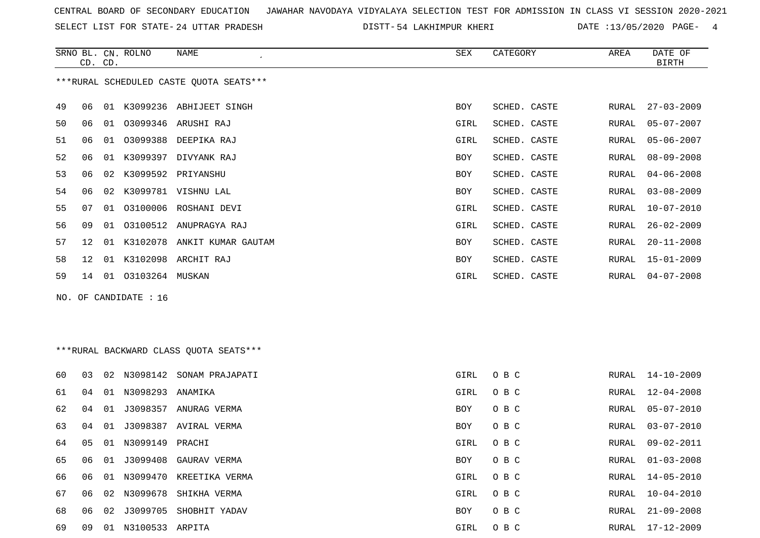SELECT LIST FOR STATE- DISTT- 24 UTTAR PRADESH

54 LAKHIMPUR KHERI DATE :13/05/2020 PAGE- 4

|                                         | CD. CD.         |    | SRNO BL. CN. ROLNO | NAME<br>$\epsilon$      | SEX        | CATEGORY     | AREA  | DATE OF<br><b>BIRTH</b> |
|-----------------------------------------|-----------------|----|--------------------|-------------------------|------------|--------------|-------|-------------------------|
| ***RURAL SCHEDULED CASTE QUOTA SEATS*** |                 |    |                    |                         |            |              |       |                         |
| 49                                      | 06              | 01 |                    | K3099236 ABHIJEET SINGH | BOY        | SCHED. CASTE | RURAL | $27 - 03 - 2009$        |
| 50                                      | 06              | 01 |                    | 03099346 ARUSHI RAJ     | GIRL       | SCHED. CASTE | RURAL | $05 - 07 - 2007$        |
| 51                                      | 06              | 01 | 03099388           | DEEPIKA RAJ             | GIRL       | SCHED. CASTE | RURAL | $05 - 06 - 2007$        |
| 52                                      | 06              | 01 | K3099397           | DIVYANK RAJ             | BOY        | SCHED. CASTE | RURAL | 08-09-2008              |
| 53                                      | 06              | 02 |                    | K3099592 PRIYANSHU      | <b>BOY</b> | SCHED. CASTE | RURAL | $04 - 06 - 2008$        |
| 54                                      | 06              | 02 | K3099781           | VISHNU LAL              | <b>BOY</b> | SCHED. CASTE | RURAL | $03 - 08 - 2009$        |
| 55                                      | 07              | 01 |                    | 03100006 ROSHANI DEVI   | GIRL       | SCHED. CASTE | RURAL | 10-07-2010              |
| 56                                      | 09              | 01 |                    | 03100512 ANUPRAGYA RAJ  | GIRL       | SCHED. CASTE | RURAL | $26 - 02 - 2009$        |
| 57                                      | 12              | 01 | K3102078           | ANKIT KUMAR GAUTAM      | <b>BOY</b> | SCHED. CASTE | RURAL | $20 - 11 - 2008$        |
| 58                                      | 12 <sup>°</sup> | 01 |                    | K3102098 ARCHIT RAJ     | BOY        | SCHED. CASTE | RURAL | 15-01-2009              |
| 59                                      | 14              | 01 | 03103264 MUSKAN    |                         | GIRL       | SCHED. CASTE | RURAL | $04 - 07 - 2008$        |
|                                         |                 |    |                    |                         |            |              |       |                         |

NO. OF CANDIDATE : 16

# \*\*\*RURAL BACKWARD CLASS QUOTA SEATS\*\*\*

| 60. | 03 | 02 <sub>o</sub> |          | N3098142 SONAM PRAJAPATI | GIRL | O B C | RURAL | 14-10-2009       |
|-----|----|-----------------|----------|--------------------------|------|-------|-------|------------------|
| 61  | 04 | 01              | N3098293 | ANAMIKA                  | GIRL | O B C | RURAL | $12 - 04 - 2008$ |
| 62  | 04 | 01              | J3098357 | ANURAG VERMA             | BOY  | O B C | RURAL | 05-07-2010       |
| 63  | 04 | 01              | J3098387 | AVIRAL VERMA             | BOY  | O B C | RURAL | $03 - 07 - 2010$ |
| 64  | 05 | 01              | N3099149 | PRACHI                   | GIRL | O B C | RURAL | 09-02-2011       |
| 65  | 06 | 01              |          | J3099408 GAURAV VERMA    | BOY  | O B C | RURAL | $01 - 03 - 2008$ |
| 66  | 06 | O 1             | N3099470 | KREETIKA VERMA           | GIRL | O B C | RURAL | $14 - 05 - 2010$ |
| 67  | 06 | 02              | N3099678 | SHIKHA VERMA             | GIRL | O B C | RURAL | $10 - 04 - 2010$ |
| 68  | 06 | 02              | J3099705 | SHOBHIT YADAV            | BOY  | O B C | RURAL | $21 - 09 - 2008$ |
| 69  | 09 | 01              | N3100533 | ARPITA                   | GIRL | O B C | RURAL | 17-12-2009       |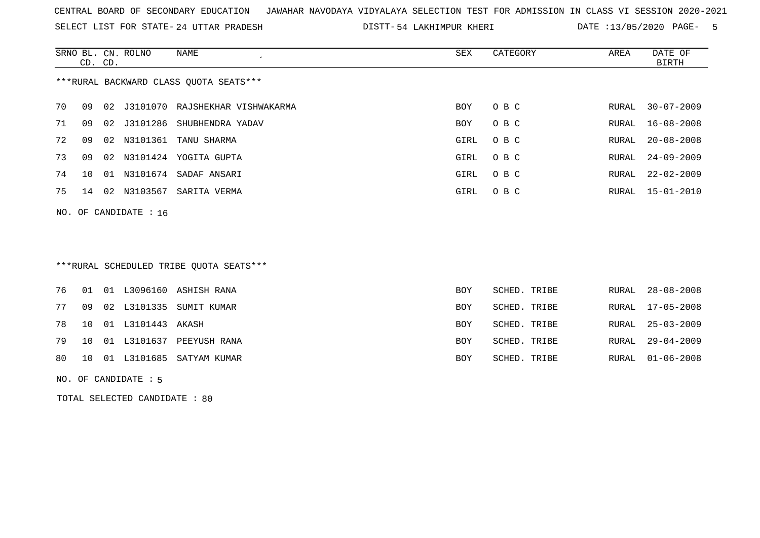SELECT LIST FOR STATE- DISTT- 24 UTTAR PRADESH

DISTT-54 LAKHIMPUR KHERI DATE :13/05/2020 PAGE- 5

|                                        | CD. CD.                 |    | SRNO BL. CN. ROLNO | NAME<br>$\cdot$        | SEX        | CATEGORY | AREA  | DATE OF<br>BIRTH |  |  |
|----------------------------------------|-------------------------|----|--------------------|------------------------|------------|----------|-------|------------------|--|--|
| ***RURAL BACKWARD CLASS OUOTA SEATS*** |                         |    |                    |                        |            |          |       |                  |  |  |
| 70                                     | 09                      | 02 | J3101070           | RAJSHEKHAR VISHWAKARMA | <b>BOY</b> | O B C    | RURAL | $30 - 07 - 2009$ |  |  |
| 71                                     | 09                      | 02 | J3101286           | SHUBHENDRA YADAV       | <b>BOY</b> | O B C    |       | RURAL 16-08-2008 |  |  |
| 72                                     | 09                      |    | 02 N3101361        | TANU SHARMA            | GIRL       | O B C    |       | RURAL 20-08-2008 |  |  |
| 73                                     | 09                      | 02 | N3101424           | YOGITA GUPTA           | GIRL       | O B C    | RURAL | $24 - 09 - 2009$ |  |  |
| 74                                     | 10 <sup>1</sup>         | 01 |                    | N3101674 SADAF ANSARI  | GIRL       | O B C    | RURAL | $22 - 02 - 2009$ |  |  |
| 75                                     | 14                      | 02 | N3103567           | SARITA VERMA           | GIRL       | O B C    |       | RURAL 15-01-2010 |  |  |
|                                        | NO. OF CANDIDATE : $16$ |    |                    |                        |            |          |       |                  |  |  |

# \*\*\*RURAL SCHEDULED TRIBE QUOTA SEATS\*\*\*

|  |                         | 76 01 01 L3096160 ASHISH RANA  | BOY        | SCHED. TRIBE | RURAL 28-08-2008 |
|--|-------------------------|--------------------------------|------------|--------------|------------------|
|  |                         | 77 09 02 L3101335 SUMIT KUMAR  | BOY        | SCHED. TRIBE | RURAL 17-05-2008 |
|  | 78 10 01 L3101443 AKASH |                                | BOY        | SCHED. TRIBE | RURAL 25-03-2009 |
|  |                         | 79 10 01 L3101637 PEEYUSH RANA | <b>BOY</b> | SCHED. TRIBE | RURAL 29-04-2009 |
|  |                         | 80 10 01 L3101685 SATYAM KUMAR | BOY        | SCHED. TRIBE | RURAL 01-06-2008 |

NO. OF CANDIDATE : 5

TOTAL SELECTED CANDIDATE : 80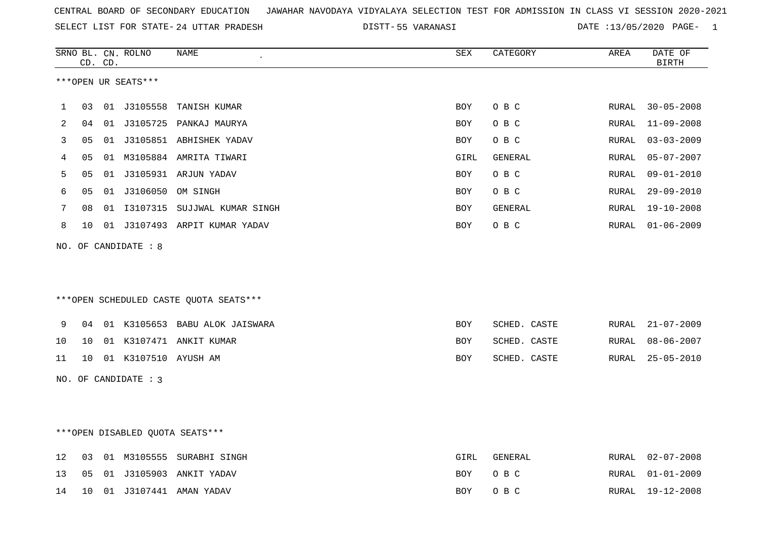|  |  |  |  | CENTRAL BOARD OF SECONDARY EDUCATION GJAWAHAR NAVODAYA VIDYALAYA SELECTION TEST FOR ADMISSION IN CLASS VI SESSION 2020-2021 |  |  |  |  |  |  |  |  |  |  |  |
|--|--|--|--|-----------------------------------------------------------------------------------------------------------------------------|--|--|--|--|--|--|--|--|--|--|--|
|--|--|--|--|-----------------------------------------------------------------------------------------------------------------------------|--|--|--|--|--|--|--|--|--|--|--|

SELECT LIST FOR STATE- DISTT- 24 UTTAR PRADESH 55 VARANASI DATE :13/05/2020 PAGE- 1

|    |                 | CD. CD. | SRNO BL. CN. ROLNO   | NAME                                   | SEX        | CATEGORY     | AREA  | DATE OF<br><b>BIRTH</b> |
|----|-----------------|---------|----------------------|----------------------------------------|------------|--------------|-------|-------------------------|
|    |                 |         | ***OPEN UR SEATS***  |                                        |            |              |       |                         |
| 1  | 03              |         |                      | 01 J3105558 TANISH KUMAR               | BOY        | O B C        | RURAL | $30 - 05 - 2008$        |
| 2  | 04              |         |                      | 01 J3105725 PANKAJ MAURYA              | <b>BOY</b> | O B C        | RURAL | $11 - 09 - 2008$        |
| 3  | 05              |         |                      | 01 J3105851 ABHISHEK YADAV             | BOY        | O B C        | RURAL | $03 - 03 - 2009$        |
| 4  | 05              |         |                      | 01 M3105884 AMRITA TIWARI              | GIRL       | GENERAL      | RURAL | $05 - 07 - 2007$        |
| 5  | 05              |         |                      | 01 J3105931 ARJUN YADAV                | BOY        | O B C        | RURAL | $09 - 01 - 2010$        |
| 6  | 05              |         | 01 J3106050          | OM SINGH                               | <b>BOY</b> | O B C        | RURAL | $29 - 09 - 2010$        |
| 7  | 08              |         |                      | 01 I3107315 SUJJWAL KUMAR SINGH        | <b>BOY</b> | GENERAL      | RURAL | $19 - 10 - 2008$        |
| 8  | 10              |         |                      | 01 J3107493 ARPIT KUMAR YADAV          | BOY        | O B C        | RURAL | $01 - 06 - 2009$        |
|    |                 |         | NO. OF CANDIDATE : 8 |                                        |            |              |       |                         |
|    |                 |         |                      |                                        |            |              |       |                         |
|    |                 |         |                      | ***OPEN SCHEDULED CASTE QUOTA SEATS*** |            |              |       |                         |
|    |                 |         |                      |                                        |            |              |       |                         |
| 9  | 04              |         |                      | 01 K3105653 BABU ALOK JAISWARA         | <b>BOY</b> | SCHED. CASTE | RURAL | $21 - 07 - 2009$        |
| 10 | 10 <sup>°</sup> |         |                      | 01 K3107471 ANKIT KUMAR                | <b>BOY</b> | SCHED. CASTE | RURAL | $08 - 06 - 2007$        |
| 11 | 10              |         | 01 K3107510 AYUSH AM |                                        | <b>BOY</b> | SCHED. CASTE | RURAL | $25 - 05 - 2010$        |
|    |                 |         | NO. OF CANDIDATE : 3 |                                        |            |              |       |                         |
|    |                 |         |                      |                                        |            |              |       |                         |
|    |                 |         |                      |                                        |            |              |       |                         |
|    |                 |         |                      | ***OPEN DISABLED QUOTA SEATS***        |            |              |       |                         |
| 12 |                 |         |                      | 03 01 M3105555 SURABHI SINGH           | GIRL       | GENERAL      |       | RURAL 02-07-2008        |

13 05 01 J3105903 ANKIT YADAV BOY O B C RURAL 01-01-2009

14 10 01 J3107441 AMAN YADAV BOY O B C RURAL 19-12-2008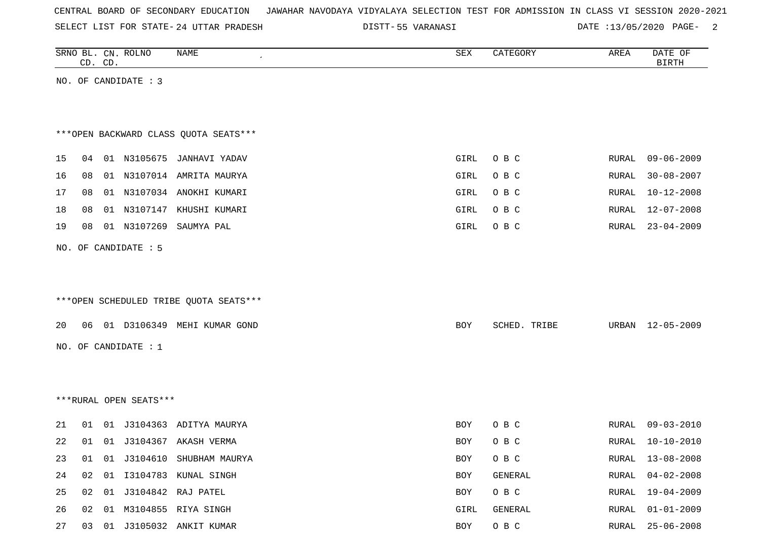|  |  | CENTRAL BOARD OF SECONDARY EDUCATION – JAWAHAR NAVODAYA VIDYALAYA SELECTION TEST FOR ADMISSION IN CLASS VI SESSION 2020-2021 |  |  |  |  |  |  |  |  |  |  |  |  |  |
|--|--|------------------------------------------------------------------------------------------------------------------------------|--|--|--|--|--|--|--|--|--|--|--|--|--|
|--|--|------------------------------------------------------------------------------------------------------------------------------|--|--|--|--|--|--|--|--|--|--|--|--|--|

SELECT LIST FOR STATE- DISTT- 24 UTTAR PRADESH

55 VARANASI DATE :13/05/2020 PAGE- 2

|    |    | CD. CD. | SRNO BL. CN. ROLNO     | NAME                                   | SEX  | CATEGORY     | AREA  | DATE OF<br><b>BIRTH</b> |
|----|----|---------|------------------------|----------------------------------------|------|--------------|-------|-------------------------|
|    |    |         | NO. OF CANDIDATE : 3   |                                        |      |              |       |                         |
|    |    |         |                        |                                        |      |              |       |                         |
|    |    |         |                        |                                        |      |              |       |                         |
|    |    |         |                        | *** OPEN BACKWARD CLASS QUOTA SEATS*** |      |              |       |                         |
| 15 | 04 |         |                        | 01 N3105675 JANHAVI YADAV              | GIRL | O B C        | RURAL | $09 - 06 - 2009$        |
| 16 | 08 |         |                        | 01 N3107014 AMRITA MAURYA              | GIRL | O B C        | RURAL | $30 - 08 - 2007$        |
| 17 | 08 |         |                        | 01 N3107034 ANOKHI KUMARI              | GIRL | O B C        | RURAL | $10 - 12 - 2008$        |
| 18 | 08 |         |                        | 01 N3107147 KHUSHI KUMARI              | GIRL | O B C        | RURAL | $12 - 07 - 2008$        |
| 19 | 08 |         | 01 N3107269            | SAUMYA PAL                             | GIRL | O B C        | RURAL | $23 - 04 - 2009$        |
|    |    |         | NO. OF CANDIDATE : 5   |                                        |      |              |       |                         |
|    |    |         |                        |                                        |      |              |       |                         |
|    |    |         |                        |                                        |      |              |       |                         |
|    |    |         |                        | ***OPEN SCHEDULED TRIBE QUOTA SEATS*** |      |              |       |                         |
| 20 |    |         |                        | 06  01  D3106349  MEHI  KUMAR  GOND    | BOY  | SCHED. TRIBE | URBAN | 12-05-2009              |
|    |    |         |                        |                                        |      |              |       |                         |
|    |    |         | NO. OF CANDIDATE : 1   |                                        |      |              |       |                         |
|    |    |         |                        |                                        |      |              |       |                         |
|    |    |         |                        |                                        |      |              |       |                         |
|    |    |         | ***RURAL OPEN SEATS*** |                                        |      |              |       |                         |
| 21 | 01 |         |                        | 01 J3104363 ADITYA MAURYA              | BOY  | O B C        | RURAL | $09 - 03 - 2010$        |
| 22 | 01 |         |                        | 01 J3104367 AKASH VERMA                | BOY  | O B C        | RURAL | $10 - 10 - 2010$        |
| 23 | 01 |         |                        | 01 J3104610 SHUBHAM MAURYA             | BOY  | O B C        | RURAL | $13 - 08 - 2008$        |
| 24 | 02 |         |                        | 01 I3104783 KUNAL SINGH                | BOY  | GENERAL      | RURAL | $04 - 02 - 2008$        |
| 25 | 02 |         |                        | 01 J3104842 RAJ PATEL                  | BOY  | O B C        | RURAL | $19 - 04 - 2009$        |
| 26 | 02 |         |                        | 01 M3104855 RIYA SINGH                 | GIRL | GENERAL      | RURAL | $01 - 01 - 2009$        |
| 27 |    |         |                        | 03 01 J3105032 ANKIT KUMAR             | BOY  | $O$ B $C$    | RURAL | $25 - 06 - 2008$        |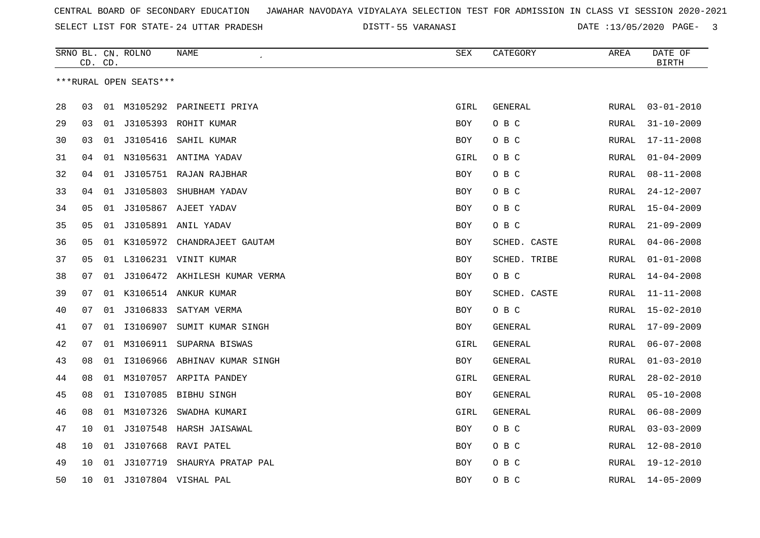SELECT LIST FOR STATE- DISTT- 24 UTTAR PRADESH

55 VARANASI DATE :13/05/2020 PAGE- 3

|    |    | CD. CD. | SRNO BL. CN. ROLNO     | NAME                           | <b>SEX</b> | CATEGORY     | AREA         | DATE OF<br><b>BIRTH</b> |
|----|----|---------|------------------------|--------------------------------|------------|--------------|--------------|-------------------------|
|    |    |         | ***RURAL OPEN SEATS*** |                                |            |              |              |                         |
|    |    |         |                        |                                |            |              |              |                         |
| 28 | 03 |         |                        | 01 M3105292 PARINEETI PRIYA    | GIRL       | GENERAL      | RURAL        | $03 - 01 - 2010$        |
| 29 | 03 | 01      |                        | J3105393 ROHIT KUMAR           | <b>BOY</b> | O B C        | <b>RURAL</b> | $31 - 10 - 2009$        |
| 30 | 03 | 01      | J3105416               | SAHIL KUMAR                    | BOY        | O B C        | RURAL        | $17 - 11 - 2008$        |
| 31 | 04 |         |                        | 01 N3105631 ANTIMA YADAV       | GIRL       | O B C        | RURAL        | $01 - 04 - 2009$        |
| 32 | 04 | 01      |                        | J3105751 RAJAN RAJBHAR         | <b>BOY</b> | O B C        | RURAL        | $08 - 11 - 2008$        |
| 33 | 04 | 01      | J3105803               | SHUBHAM YADAV                  | BOY        | O B C        | RURAL        | $24 - 12 - 2007$        |
| 34 | 05 | 01      |                        | J3105867 AJEET YADAV           | <b>BOY</b> | O B C        | RURAL        | $15 - 04 - 2009$        |
| 35 | 05 | 01      |                        | J3105891 ANIL YADAV            | BOY        | O B C        | RURAL        | $21 - 09 - 2009$        |
| 36 | 05 |         |                        | 01 K3105972 CHANDRAJEET GAUTAM | <b>BOY</b> | SCHED. CASTE | RURAL        | $04 - 06 - 2008$        |
| 37 | 05 | 01      |                        | L3106231 VINIT KUMAR           | BOY        | SCHED. TRIBE | RURAL        | $01 - 01 - 2008$        |
| 38 | 07 | 01      |                        | J3106472 AKHILESH KUMAR VERMA  | BOY        | O B C        | RURAL        | $14 - 04 - 2008$        |
| 39 | 07 | 01      |                        | K3106514 ANKUR KUMAR           | BOY        | SCHED. CASTE | RURAL        | $11 - 11 - 2008$        |
| 40 | 07 | 01      |                        | J3106833 SATYAM VERMA          | BOY        | O B C        | RURAL        | $15 - 02 - 2010$        |
| 41 | 07 | 01      | I3106907               | SUMIT KUMAR SINGH              | <b>BOY</b> | GENERAL      | <b>RURAL</b> | $17 - 09 - 2009$        |
| 42 | 07 | 01      | M3106911               | SUPARNA BISWAS                 | GIRL       | GENERAL      | RURAL        | $06 - 07 - 2008$        |
| 43 | 08 | 01      |                        | 13106966 ABHINAV KUMAR SINGH   | BOY        | GENERAL      | RURAL        | $01 - 03 - 2010$        |
| 44 | 08 |         |                        | 01 M3107057 ARPITA PANDEY      | GIRL       | GENERAL      | RURAL        | $28 - 02 - 2010$        |
| 45 | 08 |         |                        | 01 I3107085 BIBHU SINGH        | <b>BOY</b> | GENERAL      | <b>RURAL</b> | $05 - 10 - 2008$        |
| 46 | 08 |         | 01 M3107326            | SWADHA KUMARI                  | GIRL       | GENERAL      | RURAL        | $06 - 08 - 2009$        |
| 47 | 10 | 01      |                        | J3107548 HARSH JAISAWAL        | <b>BOY</b> | O B C        | RURAL        | $03 - 03 - 2009$        |
| 48 | 10 | 01      | J3107668               | RAVI PATEL                     | <b>BOY</b> | O B C        | RURAL        | $12 - 08 - 2010$        |
| 49 | 10 | 01      | J3107719               | SHAURYA PRATAP PAL             | <b>BOY</b> | O B C        | RURAL        | 19-12-2010              |
| 50 | 10 | 01      |                        | J3107804 VISHAL PAL            | <b>BOY</b> | O B C        | <b>RURAL</b> | $14 - 05 - 2009$        |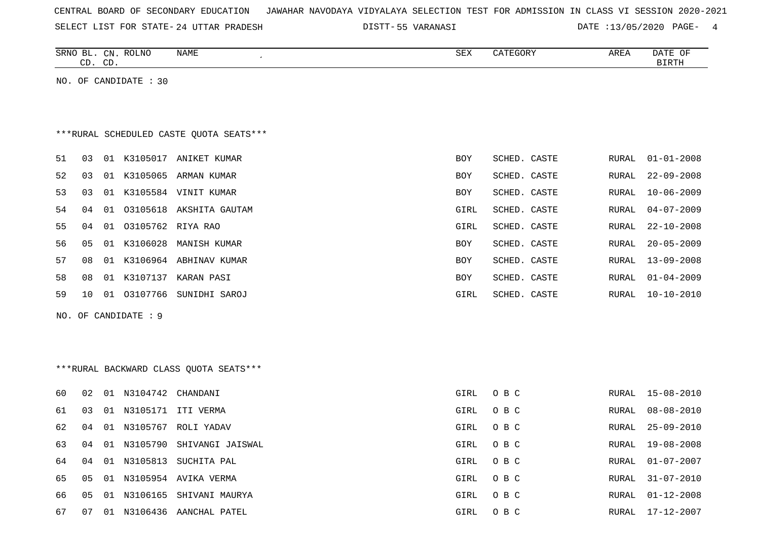| CENTRAL BOARD OF SECONDARY EDUCATION – JAWAHAR NAVODAYA VIDYALAYA SELECTION TEST FOR ADMISSION IN CLASS VI SESSION 2020-2021 |  |  |  |  |  |
|------------------------------------------------------------------------------------------------------------------------------|--|--|--|--|--|
|------------------------------------------------------------------------------------------------------------------------------|--|--|--|--|--|

SELECT LIST FOR STATE- DISTT- 24 UTTAR PRADESH 55 VARANASI DATE :13/05/2020 PAGE- 4

|    |    | CD. CD. | SRNO BL. CN. ROLNO    | NAME<br>$\epsilon$                      | SEX        | CATEGORY     | AREA         | DATE OF<br><b>BIRTH</b> |
|----|----|---------|-----------------------|-----------------------------------------|------------|--------------|--------------|-------------------------|
|    |    |         | NO. OF CANDIDATE : 30 |                                         |            |              |              |                         |
|    |    |         |                       |                                         |            |              |              |                         |
|    |    |         |                       |                                         |            |              |              |                         |
|    |    |         |                       | ***RURAL SCHEDULED CASTE QUOTA SEATS*** |            |              |              |                         |
| 51 | 03 |         |                       | 01 K3105017 ANIKET KUMAR                | BOY        | SCHED. CASTE | RURAL        | $01 - 01 - 2008$        |
| 52 | 03 |         |                       | 01 K3105065 ARMAN KUMAR                 | <b>BOY</b> | SCHED. CASTE | RURAL        | $22 - 09 - 2008$        |
| 53 | 03 |         |                       | 01 K3105584 VINIT KUMAR                 | <b>BOY</b> | SCHED. CASTE | RURAL        | $10 - 06 - 2009$        |
| 54 | 04 | 01      |                       | 03105618 AKSHITA GAUTAM                 | GIRL       | SCHED. CASTE | RURAL        | $04 - 07 - 2009$        |
| 55 | 04 | 01      |                       | 03105762 RIYA RAO                       | GIRL       | SCHED. CASTE | RURAL        | $22 - 10 - 2008$        |
| 56 | 05 |         |                       | 01 K3106028 MANISH KUMAR                | <b>BOY</b> | SCHED. CASTE | RURAL        | $20 - 05 - 2009$        |
| 57 | 08 |         |                       | 01 K3106964 ABHINAV KUMAR               | <b>BOY</b> | SCHED. CASTE | RURAL        | $13 - 09 - 2008$        |
| 58 | 08 |         |                       | 01 K3107137 KARAN PASI                  | BOY        | SCHED. CASTE | <b>RURAL</b> | $01 - 04 - 2009$        |
| 59 | 10 |         |                       | 01 03107766 SUNIDHI SAROJ               | GIRL       | SCHED. CASTE | RURAL        | $10 - 10 - 2010$        |
|    |    |         | NO. OF CANDIDATE : 9  |                                         |            |              |              |                         |
|    |    |         |                       |                                         |            |              |              |                         |
|    |    |         |                       |                                         |            |              |              |                         |
|    |    |         |                       | ***RURAL BACKWARD CLASS QUOTA SEATS***  |            |              |              |                         |
|    |    |         |                       |                                         |            |              |              |                         |
| 60 | 02 |         | 01 N3104742 CHANDANI  |                                         | GIRL       | O B C        | RURAL        | $15 - 08 - 2010$        |
| 61 | 03 |         |                       | 01 N3105171 ITI VERMA                   | GIRL       | O B C        | RURAL        | $08 - 08 - 2010$        |
| 62 | 04 |         |                       | 01 N3105767 ROLI YADAV                  | GIRL       | O B C        | <b>RURAL</b> | $25 - 09 - 2010$        |
| 63 | 04 |         | 01 N3105790           | SHIVANGI JAISWAL                        | GIRL       | O B C        | RURAL        | $19 - 08 - 2008$        |
| 64 | 04 |         | 01 N3105813           | SUCHITA PAL                             | GIRL       | O B C        | RURAL        | $01 - 07 - 2007$        |
| 65 | 05 |         |                       | 01 N3105954 AVIKA VERMA                 | GIRL       | O B C        | RURAL        | $31 - 07 - 2010$        |
| 66 | 05 | 01      |                       | N3106165 SHIVANI MAURYA                 | GIRL       | O B C        | RURAL        | $01 - 12 - 2008$        |
| 67 |    |         |                       | 07 01 N3106436 AANCHAL PATEL            | GTRL       | $O$ B $C$    |              | RURAL 17-12-2007        |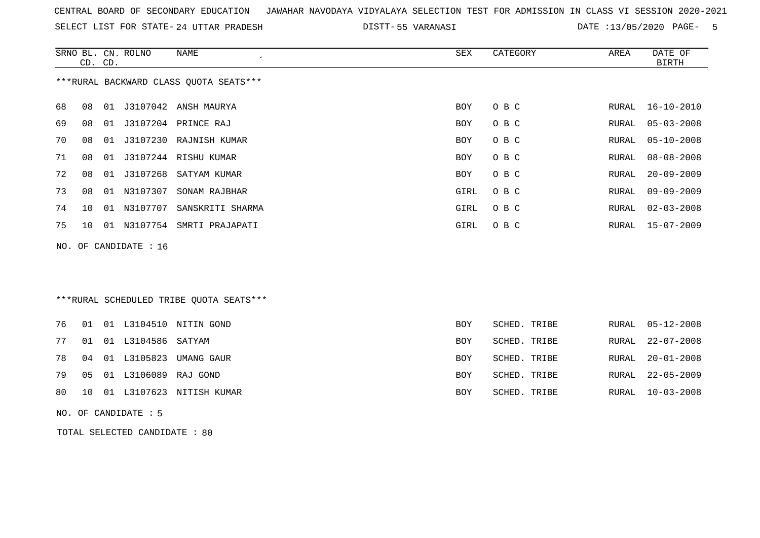SELECT LIST FOR STATE- DISTT- 24 UTTAR PRADESH

55 VARANASI DATE :13/05/2020 PAGE- 5

RURAL 10-03-2008

|     | CD. CD. |    | SRNO BL. CN. ROLNO   | <b>NAME</b>                             | SEX        | CATEGORY     | AREA         | DATE OF<br><b>BIRTH</b> |
|-----|---------|----|----------------------|-----------------------------------------|------------|--------------|--------------|-------------------------|
|     |         |    |                      | *** RURAL BACKWARD CLASS QUOTA SEATS*** |            |              |              |                         |
| 68  | 08      |    |                      | 01 J3107042 ANSH MAURYA                 | <b>BOY</b> | O B C        | RURAL        | $16 - 10 - 2010$        |
| 69  | 08      |    |                      | 01 J3107204 PRINCE RAJ                  | <b>BOY</b> | O B C        | RURAL        | $05 - 03 - 2008$        |
| 70  | 08      | 01 |                      | J3107230 RAJNISH KUMAR                  | <b>BOY</b> | O B C        | RURAL        | $05 - 10 - 2008$        |
| 71  | 08      | 01 |                      | J3107244 RISHU KUMAR                    | <b>BOY</b> | O B C        | RURAL        | $08 - 08 - 2008$        |
| 72  | 08      | 01 | J3107268             | SATYAM KUMAR                            | BOY        | O B C        | RURAL        | $20 - 09 - 2009$        |
| 73  | 08      | 01 | N3107307             | SONAM RAJBHAR                           | GIRL       | O B C        | <b>RURAL</b> | $09 - 09 - 2009$        |
| 74  | 10      | 01 | N3107707             | SANSKRITI SHARMA                        | GIRL       | O B C        | RURAL        | $02 - 03 - 2008$        |
| 75  | 10      |    |                      | 01 N3107754 SMRTI PRAJAPATI             | GIRL       | O B C        | RURAL        | $15 - 07 - 2009$        |
| NO. |         |    | OF CANDIDATE : 16    |                                         |            |              |              |                         |
|     |         |    |                      |                                         |            |              |              |                         |
|     |         |    |                      |                                         |            |              |              |                         |
|     |         |    |                      | ***RURAL SCHEDULED TRIBE OUOTA SEATS*** |            |              |              |                         |
| 76  | 01      |    | 01 L3104510          | NITIN GOND                              | <b>BOY</b> | SCHED. TRIBE | RURAL        | $05 - 12 - 2008$        |
| 77  | 01      | 01 | L3104586             | SATYAM                                  | <b>BOY</b> | SCHED. TRIBE | RURAL        | $22 - 07 - 2008$        |
| 78  | 04      | 01 | L3105823             | UMANG GAUR                              | <b>BOY</b> | SCHED. TRIBE | RURAL        | $20 - 01 - 2008$        |
| 79  | 05      |    | 01 L3106089 RAJ GOND |                                         | <b>BOY</b> | SCHED. TRIBE | RURAL        | $22 - 05 - 2009$        |

- 80 10 01 L3107623 NITISH KUMAR BOY SCHED. TRIBE
- NO. OF CANDIDATE : 5

TOTAL SELECTED CANDIDATE : 80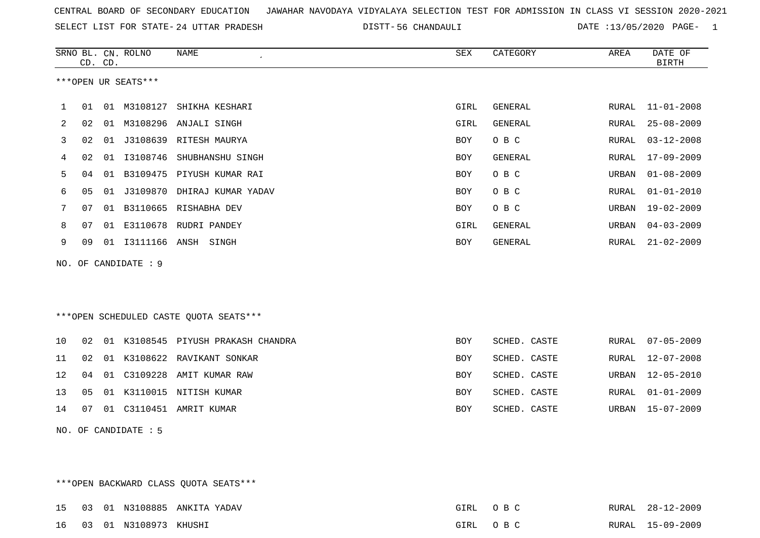SELECT LIST FOR STATE- DISTT- 24 UTTAR PRADESH

56 CHANDAULI DATE :13/05/2020 PAGE- 1

|    |         |    | SRNO BL. CN. ROLNO   | NAME                                   | <b>SEX</b> | CATEGORY     | AREA  | DATE OF          |
|----|---------|----|----------------------|----------------------------------------|------------|--------------|-------|------------------|
|    | CD. CD. |    |                      |                                        |            |              |       | <b>BIRTH</b>     |
|    |         |    | ***OPEN UR SEATS***  |                                        |            |              |       |                  |
|    |         |    |                      |                                        |            |              |       |                  |
| 1  | 01      |    | 01 M3108127          | SHIKHA KESHARI                         | GIRL       | GENERAL      | RURAL | $11 - 01 - 2008$ |
| 2  | 02      | 01 | M3108296             | ANJALI SINGH                           | GIRL       | GENERAL      | RURAL | $25 - 08 - 2009$ |
| 3  | 02      | 01 |                      | J3108639 RITESH MAURYA                 | BOY        | O B C        | RURAL | $03 - 12 - 2008$ |
| 4  | 02      | 01 |                      | I3108746 SHUBHANSHU SINGH              | BOY        | GENERAL      | RURAL | $17 - 09 - 2009$ |
| 5  | 04      | 01 | B3109475             | PIYUSH KUMAR RAI                       | <b>BOY</b> | O B C        | URBAN | $01 - 08 - 2009$ |
| 6  | 05      | 01 | J3109870             | DHIRAJ KUMAR YADAV                     | <b>BOY</b> | O B C        | RURAL | $01 - 01 - 2010$ |
| 7  | 07      | 01 |                      | B3110665 RISHABHA DEV                  | <b>BOY</b> | O B C        | URBAN | $19 - 02 - 2009$ |
| 8  | 07      | 01 | E3110678             | RUDRI PANDEY                           | GIRL       | GENERAL      | URBAN | $04 - 03 - 2009$ |
| 9  | 09      |    |                      | 01  13111166  ANSH  SINGH              | BOY        | GENERAL      | RURAL | $21 - 02 - 2009$ |
|    |         |    | NO. OF CANDIDATE : 9 |                                        |            |              |       |                  |
|    |         |    |                      |                                        |            |              |       |                  |
|    |         |    |                      |                                        |            |              |       |                  |
|    |         |    |                      | ***OPEN SCHEDULED CASTE QUOTA SEATS*** |            |              |       |                  |
|    |         |    |                      |                                        |            |              |       |                  |
| 10 | 02      |    |                      | 01 K3108545 PIYUSH PRAKASH CHANDRA     | <b>BOY</b> | SCHED. CASTE | RURAL | $07 - 05 - 2009$ |
| 11 | 02      | 01 | K3108622             | RAVIKANT SONKAR                        | BOY        | SCHED. CASTE | RURAL | $12 - 07 - 2008$ |
| 12 | 04      | 01 | C3109228             | AMIT KUMAR RAW                         | <b>BOY</b> | SCHED. CASTE | URBAN | $12 - 05 - 2010$ |
| 13 | 05      | 01 | K3110015             | NITISH KUMAR                           | <b>BOY</b> | SCHED. CASTE | RURAL | $01 - 01 - 2009$ |
| 14 | 07      |    |                      | 01 C3110451 AMRIT KUMAR                | <b>BOY</b> | SCHED. CASTE | URBAN | $15 - 07 - 2009$ |
|    |         |    | NO. OF CANDIDATE : 5 |                                        |            |              |       |                  |

\*\*\*OPEN BACKWARD CLASS QUOTA SEATS\*\*\* 15 03 01 N3108885 ANKITA YADAV GIRL O B C RURAL 28-12-2009RURAL 28-12-2009 16 03 01 N3108973 KHUSHI GIRL O B C RURAL 15-09-2009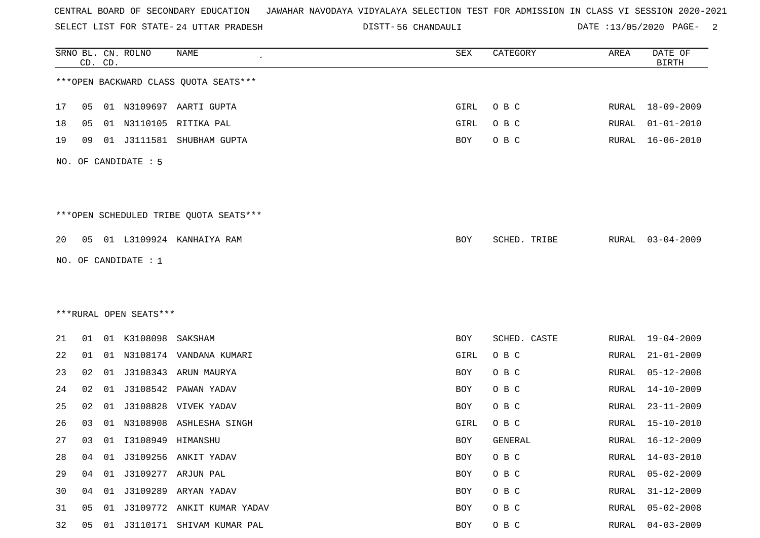SELECT LIST FOR STATE- DISTT- 24 UTTAR PRADESH

56 CHANDAULI DATE :13/05/2020 PAGE- 2

|    |    | CD. CD. | SRNO BL. CN. ROLNO     | <b>NAME</b>                            | SEX        | CATEGORY     | AREA          | DATE OF<br><b>BIRTH</b> |
|----|----|---------|------------------------|----------------------------------------|------------|--------------|---------------|-------------------------|
|    |    |         |                        | *** OPEN BACKWARD CLASS QUOTA SEATS*** |            |              |               |                         |
| 17 | 05 |         |                        | 01 N3109697 AARTI GUPTA                | GIRL       | O B C        |               | RURAL 18-09-2009        |
| 18 | 05 | 01      | N3110105               | RITIKA PAL                             | GIRL       | O B C        | RURAL         | $01 - 01 - 2010$        |
| 19 | 09 |         |                        | 01 J3111581 SHUBHAM GUPTA              | BOY        | O B C        | RURAL         | $16 - 06 - 2010$        |
|    |    |         | NO. OF CANDIDATE : 5   |                                        |            |              |               |                         |
|    |    |         |                        | ***OPEN SCHEDULED TRIBE QUOTA SEATS*** |            |              |               |                         |
| 20 | 05 |         |                        | 01 L3109924 KANHAIYA RAM               | BOY        | SCHED. TRIBE | RURAL         | $03 - 04 - 2009$        |
|    |    |         | NO. OF CANDIDATE : $1$ |                                        |            |              |               |                         |
|    |    |         |                        |                                        |            |              |               |                         |
|    |    |         |                        |                                        |            |              |               |                         |
|    |    |         | ***RURAL OPEN SEATS*** |                                        |            |              |               |                         |
| 21 | 01 |         | 01 K3108098            | SAKSHAM                                | BOY        | SCHED. CASTE | RURAL         | 19-04-2009              |
| 22 | 01 |         |                        | 01 N3108174 VANDANA KUMARI             | GIRL       | O B C        | RURAL         | $21 - 01 - 2009$        |
| 23 | 02 | 01      |                        | J3108343 ARUN MAURYA                   | BOY        | O B C        | RURAL         | $05 - 12 - 2008$        |
| 24 | 02 | 01      | J3108542               | PAWAN YADAV                            | BOY        | O B C        | RURAL         | $14 - 10 - 2009$        |
| 25 | 02 | 01      | J3108828               | VIVEK YADAV                            | <b>BOY</b> | O B C        | RURAL         | $23 - 11 - 2009$        |
| 26 | 03 | 01      | N3108908               | ASHLESHA SINGH                         | GIRL       | O B C        | RURAL         | $15 - 10 - 2010$        |
| 27 | 03 |         | 01  13108949  HIMANSHU |                                        | <b>BOY</b> | GENERAL      | RURAL         | 16-12-2009              |
| 28 | 04 | 01      |                        | J3109256 ANKIT YADAV                   | <b>BOY</b> | O B C        | <b>RURAL</b>  | $14 - 03 - 2010$        |
| 29 | 04 |         |                        | 01 J3109277 ARJUN PAL                  | BOY        | O B C        | RURAL         | $05 - 02 - 2009$        |
| 30 | 04 |         |                        | 01 J3109289 ARYAN YADAV                | BOY        | O B C        | RURAL         | $31 - 12 - 2009$        |
| 31 | 05 | 01      |                        | J3109772 ANKIT KUMAR YADAV             | BOY        | O B C        | <b>RURAL</b>  | $05 - 02 - 2008$        |
| 32 | 05 |         |                        | 01 J3110171 SHIVAM KUMAR PAL           | BOY        | O B C        | ${\tt RURAL}$ | $04 - 03 - 2009$        |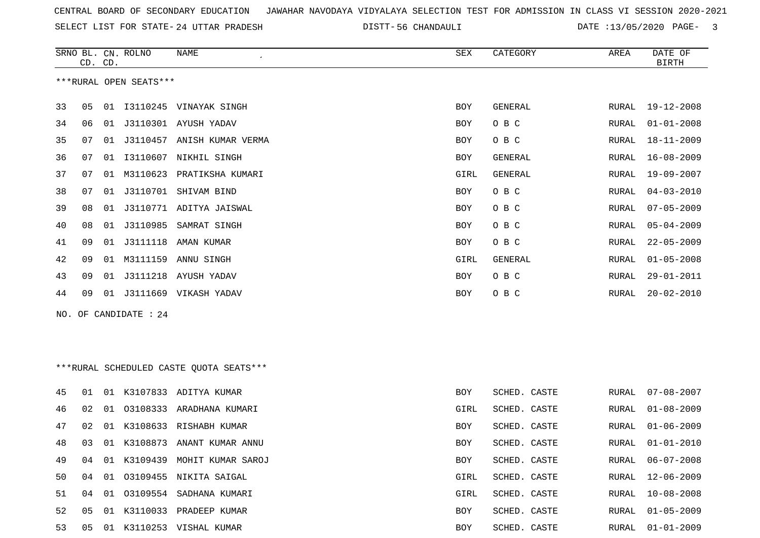SELECT LIST FOR STATE- DISTT- 24 UTTAR PRADESH

56 CHANDAULI DATE :13/05/2020 PAGE- 3

|     | CD. CD. |    | SRNO BL. CN. ROLNO     | NAME                                    | SEX        | CATEGORY       | AREA  | DATE OF<br><b>BIRTH</b> |
|-----|---------|----|------------------------|-----------------------------------------|------------|----------------|-------|-------------------------|
|     |         |    | ***RURAL OPEN SEATS*** |                                         |            |                |       |                         |
| 33  | 05      |    |                        | 01 I3110245 VINAYAK SINGH               | BOY        | GENERAL        | RURAL | 19-12-2008              |
| 34  | 06      |    |                        | 01 J3110301 AYUSH YADAV                 | BOY        | O B C          | RURAL | $01 - 01 - 2008$        |
| 35  | 07      | 01 |                        | J3110457 ANISH KUMAR VERMA              | BOY        | O B C          | RURAL | $18 - 11 - 2009$        |
| 36  | 07      | 01 |                        | I3110607 NIKHIL SINGH                   | BOY        | <b>GENERAL</b> | RURAL | $16 - 08 - 2009$        |
| 37  | 07      | 01 | M3110623               | PRATIKSHA KUMARI                        | GIRL       | <b>GENERAL</b> | RURAL | 19-09-2007              |
| 38  | 07      | 01 |                        | J3110701 SHIVAM BIND                    | BOY        | O B C          | RURAL | $04 - 03 - 2010$        |
| 39  | 08      | 01 |                        | J3110771 ADITYA JAISWAL                 | BOY        | O B C          | RURAL | $07 - 05 - 2009$        |
| 40  | 08      | 01 | J3110985               | SAMRAT SINGH                            | BOY        | O B C          | RURAL | $05 - 04 - 2009$        |
| 41  | 09      | 01 |                        | J3111118 AMAN KUMAR                     | BOY        | O B C          | RURAL | $22 - 05 - 2009$        |
| 42  | 09      | 01 | M3111159               | ANNU SINGH                              | GIRL       | <b>GENERAL</b> | RURAL | $01 - 05 - 2008$        |
| 43  | 09      | 01 |                        | J3111218 AYUSH YADAV                    | BOY        | O B C          | RURAL | $29 - 01 - 2011$        |
| 44  | 09      | 01 |                        | J3111669 VIKASH YADAV                   | BOY        | O B C          | RURAL | $20 - 02 - 2010$        |
| NO. |         |    | OF CANDIDATE : 24      |                                         |            |                |       |                         |
|     |         |    |                        |                                         |            |                |       |                         |
|     |         |    |                        |                                         |            |                |       |                         |
|     |         |    |                        | ***RURAL SCHEDULED CASTE QUOTA SEATS*** |            |                |       |                         |
| 45  | 01      |    |                        | 01 K3107833 ADITYA KUMAR                | BOY        | SCHED. CASTE   | RURAL | $07 - 08 - 2007$        |
| 46  | 02      | 01 | 03108333               | ARADHANA KUMARI                         | GIRL       | SCHED. CASTE   | RURAL | $01 - 08 - 2009$        |
| 47  | 02      | 01 |                        | K3108633 RISHABH KUMAR                  | BOY        | SCHED. CASTE   | RURAL | $01 - 06 - 2009$        |
| 48  | 03      |    |                        | 01 K3108873 ANANT KUMAR ANNU            | <b>BOY</b> | SCHED. CASTE   | RURAL | $01 - 01 - 2010$        |
| 49  | 04      |    |                        | 01 K3109439 MOHIT KUMAR SAROJ           | BOY        | SCHED. CASTE   | RURAL | $06 - 07 - 2008$        |
| 50  | 04      | 01 |                        | 03109455 NIKITA SAIGAL                  | GIRL       | SCHED. CASTE   | RURAL | $12 - 06 - 2009$        |
| 51  | 04      | 01 |                        | 03109554 SADHANA KUMARI                 | GIRL       | SCHED. CASTE   | RURAL | $10 - 08 - 2008$        |
| 52  | 05      | 01 |                        | K3110033 PRADEEP KUMAR                  | BOY        | SCHED. CASTE   | RURAL | $01 - 05 - 2009$        |
| 53  | 05      |    |                        | 01 K3110253 VISHAL KUMAR                | BOY        | SCHED. CASTE   | RURAL | $01 - 01 - 2009$        |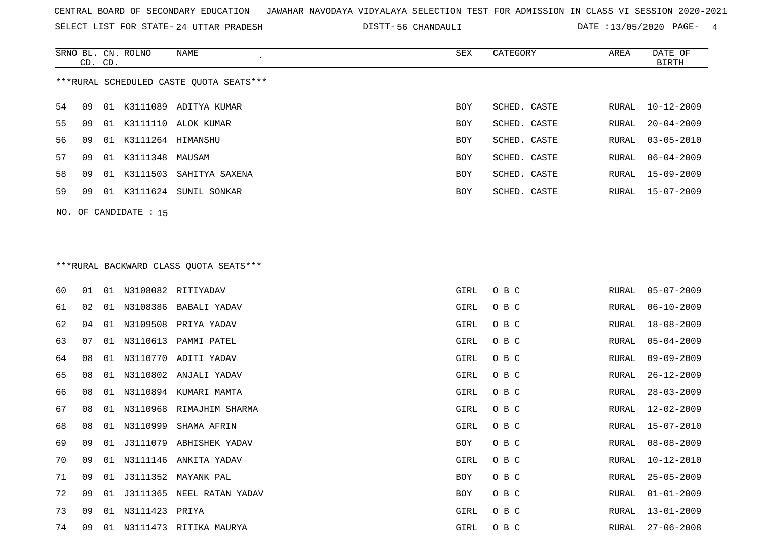SELECT LIST FOR STATE- DISTT- 24 UTTAR PRADESH

56 CHANDAULI DATE :13/05/2020 PAGE- 4

|                                         | CD. CD. |    | SRNO BL. CN. ROLNO | NAME                     | SEX        | CATEGORY     | AREA  | DATE OF<br>BIRTH |  |
|-----------------------------------------|---------|----|--------------------|--------------------------|------------|--------------|-------|------------------|--|
| ***RURAL SCHEDULED CASTE QUOTA SEATS*** |         |    |                    |                          |            |              |       |                  |  |
| 54                                      | 09      |    |                    | 01 K3111089 ADITYA KUMAR | BOY        | SCHED. CASTE | RURAL | $10 - 12 - 2009$ |  |
| 55                                      | 09      | 01 |                    | K3111110 ALOK KUMAR      | BOY        | SCHED. CASTE | RURAL | $20 - 04 - 2009$ |  |
| 56                                      | 09      | 01 | K3111264           | HIMANSHU                 | <b>BOY</b> | SCHED. CASTE |       | RURAL 03-05-2010 |  |
| 57                                      | 09      | 01 | K3111348 MAUSAM    |                          | <b>BOY</b> | SCHED. CASTE |       | RURAL 06-04-2009 |  |
| 58                                      | 09      | 01 | K3111503           | SAHITYA SAXENA           | BOY        | SCHED. CASTE |       | RURAL 15-09-2009 |  |
| 59                                      | 09      | 01 | K3111624           | SUNIL SONKAR             | <b>BOY</b> | SCHED. CASTE |       | RURAL 15-07-2009 |  |
|                                         |         |    |                    |                          |            |              |       |                  |  |

NO. OF CANDIDATE : 15

# \*\*\*RURAL BACKWARD CLASS QUOTA SEATS\*\*\*

| 60 | 01 | 01 |                   | N3108082 RITIYADAV          | GIRL | O B C | RURAL | $05 - 07 - 2009$ |
|----|----|----|-------------------|-----------------------------|------|-------|-------|------------------|
| 61 | 02 | 01 |                   | N3108386 BABALI YADAV       | GIRL | O B C | RURAL | $06 - 10 - 2009$ |
| 62 | 04 | 01 |                   | N3109508 PRIYA YADAV        | GIRL | O B C | RURAL | 18-08-2009       |
| 63 | 07 | 01 |                   | N3110613 PAMMI PATEL        | GIRL | O B C | RURAL | $05 - 04 - 2009$ |
| 64 | 08 | 01 |                   | N3110770 ADITI YADAV        | GIRL | O B C | RURAL | $09 - 09 - 2009$ |
| 65 | 08 | 01 |                   | N3110802 ANJALI YADAV       | GIRL | O B C | RURAL | $26 - 12 - 2009$ |
| 66 | 08 | 01 |                   | N3110894 KUMARI MAMTA       | GIRL | O B C | RURAL | $28 - 03 - 2009$ |
| 67 | 08 |    |                   | 01 N3110968 RIMAJHIM SHARMA | GIRL | O B C | RURAL | 12-02-2009       |
| 68 | 08 | 01 | N3110999          | SHAMA AFRIN                 | GIRL | O B C | RURAL | 15-07-2010       |
| 69 | 09 | 01 |                   | J3111079 ABHISHEK YADAV     | BOY  | O B C | RURAL | $08 - 08 - 2009$ |
| 70 | 09 | 01 |                   | N3111146 ANKITA YADAV       | GIRL | O B C | RURAL | $10 - 12 - 2010$ |
| 71 | 09 | 01 |                   | J3111352 MAYANK PAL         | BOY  | O B C | RURAL | $25 - 05 - 2009$ |
| 72 | 09 | 01 |                   | J3111365 NEEL RATAN YADAV   | BOY  | O B C | RURAL | $01 - 01 - 2009$ |
| 73 | 09 |    | 01 N3111423 PRIYA |                             | GIRL | O B C | RURAL | $13 - 01 - 2009$ |
| 74 | 09 | 01 |                   | N3111473 RITIKA MAURYA      | GIRL | O B C | RURAL | $27 - 06 - 2008$ |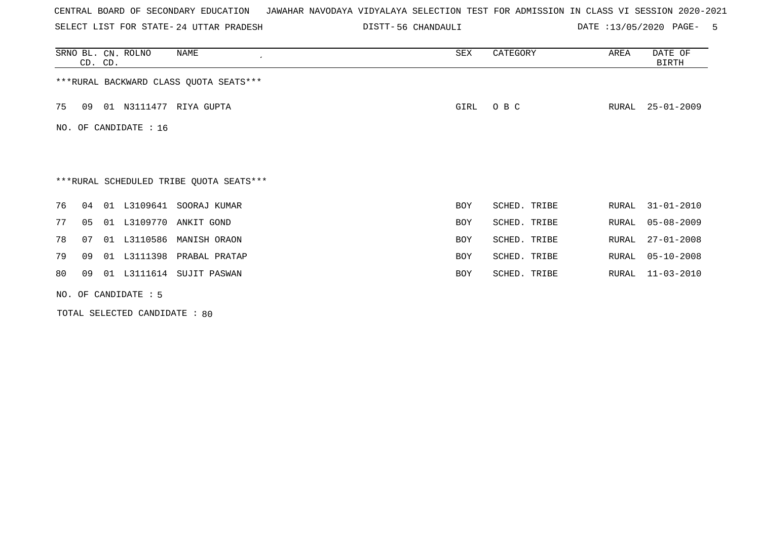SELECT LIST FOR STATE- DISTT- 24 UTTAR PRADESH

56 CHANDAULI DATE :13/05/2020 PAGE- 5

|    |    | CD. CD. | SRNO BL. CN. ROLNO     | NAME                                    | SEX  | CATEGORY     | AREA  | DATE OF<br>BIRTH |
|----|----|---------|------------------------|-----------------------------------------|------|--------------|-------|------------------|
|    |    |         |                        | *** RURAL BACKWARD CLASS QUOTA SEATS*** |      |              |       |                  |
| 75 | 09 |         |                        | 01 N3111477 RIYA GUPTA                  | GIRL | O B C        | RURAL | $25 - 01 - 2009$ |
|    |    |         | NO. OF CANDIDATE : 16  |                                         |      |              |       |                  |
|    |    |         |                        |                                         |      |              |       |                  |
|    |    |         |                        | ***RURAL SCHEDULED TRIBE QUOTA SEATS*** |      |              |       |                  |
| 76 | 04 | 01      | L3109641               | SOORAJ KUMAR                            | BOY  | SCHED. TRIBE | RURAL | $31 - 01 - 2010$ |
| 77 | 05 | 01      |                        | L3109770 ANKIT GOND                     | BOY  | SCHED. TRIBE | RURAL | $05 - 08 - 2009$ |
| 78 | 07 | 01      | L3110586               | MANISH ORAON                            | BOY  | SCHED. TRIBE | RURAL | $27 - 01 - 2008$ |
| 79 | 09 | 01      |                        | L3111398 PRABAL PRATAP                  | BOY  | SCHED. TRIBE | RURAL | $05 - 10 - 2008$ |
| 80 | 09 |         |                        | 01 L3111614 SUJIT PASWAN                | BOY  | SCHED. TRIBE | RURAL | $11 - 03 - 2010$ |
|    |    |         | NO. OF CANDIDATE $: 5$ |                                         |      |              |       |                  |

TOTAL SELECTED CANDIDATE : 80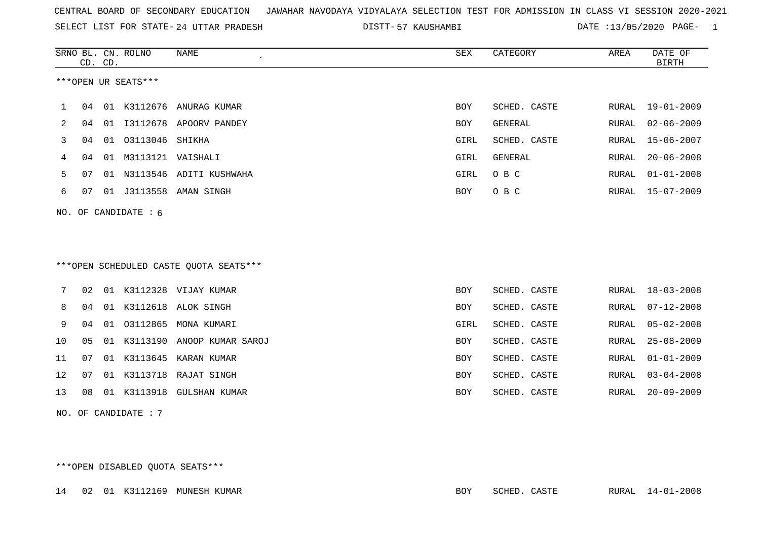SELECT LIST FOR STATE- DISTT- 24 UTTAR PRADESH

57 KAUSHAMBI DATE :13/05/2020 PAGE- 1

|    |    | CD. CD. | SRNO BL. CN. ROLNO     | NAME                                   | SEX        | CATEGORY     | AREA  | DATE OF<br><b>BIRTH</b> |
|----|----|---------|------------------------|----------------------------------------|------------|--------------|-------|-------------------------|
|    |    |         | ***OPEN UR SEATS***    |                                        |            |              |       |                         |
| 1  | 04 |         |                        | 01 K3112676 ANURAG KUMAR               | BOY        | SCHED. CASTE | RURAL | 19-01-2009              |
| 2  | 04 | 01      |                        | I3112678 APOORV PANDEY                 | BOY        | GENERAL      | RURAL | $02 - 06 - 2009$        |
| 3  | 04 |         | 01 03113046 SHIKHA     |                                        | GIRL       | SCHED. CASTE | RURAL | $15 - 06 - 2007$        |
| 4  | 04 |         | 01 M3113121 VAISHALI   |                                        | GIRL       | GENERAL      | RURAL | $20 - 06 - 2008$        |
| 5  | 07 |         |                        | 01 N3113546 ADITI KUSHWAHA             | GIRL       | O B C        | RURAL | $01 - 01 - 2008$        |
| 6  | 07 |         |                        | 01 J3113558 AMAN SINGH                 | BOY        | O B C        | RURAL | $15 - 07 - 2009$        |
|    |    |         | NO. OF CANDIDATE : 6   |                                        |            |              |       |                         |
|    |    |         |                        | ***OPEN SCHEDULED CASTE QUOTA SEATS*** |            |              |       |                         |
| 7  | 02 |         |                        | 01 K3112328 VIJAY KUMAR                | <b>BOY</b> | SCHED. CASTE | RURAL | 18-03-2008              |
| 8  | 04 |         |                        | 01 K3112618 ALOK SINGH                 | BOY        | SCHED. CASTE | RURAL | $07 - 12 - 2008$        |
| 9  | 04 |         |                        | 01 03112865 MONA KUMARI                | GIRL       | SCHED. CASTE | RURAL | $05 - 02 - 2008$        |
| 10 | 05 |         |                        | 01 K3113190 ANOOP KUMAR SAROJ          | BOY        | SCHED. CASTE | RURAL | $25 - 08 - 2009$        |
| 11 | 07 |         |                        | 01 K3113645 KARAN KUMAR                | BOY        | SCHED. CASTE | RURAL | $01 - 01 - 2009$        |
| 12 | 07 |         |                        | 01 K3113718 RAJAT SINGH                | BOY        | SCHED. CASTE | RURAL | $03 - 04 - 2008$        |
| 13 | 08 |         |                        | 01 K3113918 GULSHAN KUMAR              | <b>BOY</b> | SCHED. CASTE | RURAL | $20 - 09 - 2009$        |
|    |    |         | NO. OF CANDIDATE : $7$ |                                        |            |              |       |                         |
|    |    |         |                        | ***OPEN DISABLED QUOTA SEATS***        |            |              |       |                         |

|  |  |  |  | 14 02 01 K3112169 MUNESH KUMAR |  | BOY SCHED. CASTE | RURAL 14-01-2008 |
|--|--|--|--|--------------------------------|--|------------------|------------------|
|--|--|--|--|--------------------------------|--|------------------|------------------|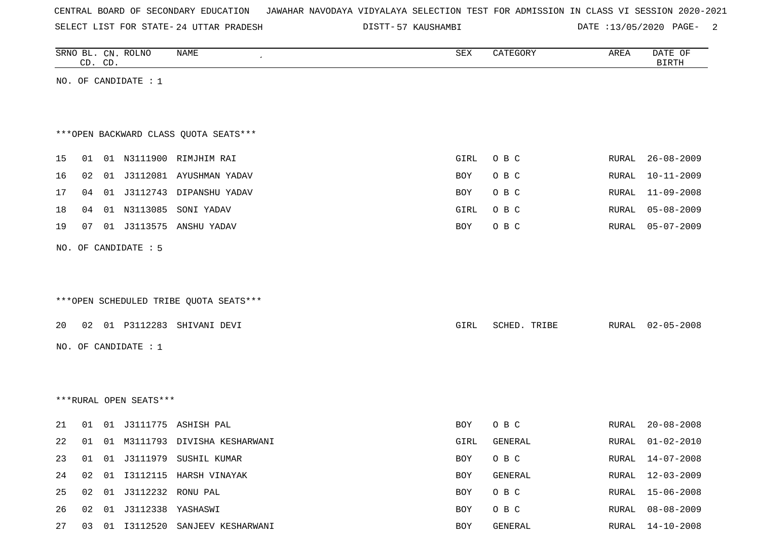| CENTRAL BOARD OF SECONDARY EDUCATION – JAWAHAR NAVODAYA VIDYALAYA SELECTION TEST FOR ADMISSION IN CLASS VI SESSION 2020-2021 |  |  |  |  |
|------------------------------------------------------------------------------------------------------------------------------|--|--|--|--|
|------------------------------------------------------------------------------------------------------------------------------|--|--|--|--|

SELECT LIST FOR STATE-24 UTTAR PRADESH DISTT-57 KAUSHAMBI DATE :13/05/2020 PAGE- 2

|    |    | CD. CD. | SRNO BL. CN. ROLNO          | NAME<br>$\cdot$                        | SEX  | CATEGORY     | AREA  | DATE OF<br><b>BIRTH</b> |
|----|----|---------|-----------------------------|----------------------------------------|------|--------------|-------|-------------------------|
|    |    |         | NO. OF CANDIDATE : $1$      |                                        |      |              |       |                         |
|    |    |         |                             |                                        |      |              |       |                         |
|    |    |         |                             |                                        |      |              |       |                         |
|    |    |         |                             | *** OPEN BACKWARD CLASS QUOTA SEATS*** |      |              |       |                         |
| 15 | 01 |         |                             | 01 N3111900 RIMJHIM RAI                | GIRL | O B C        | RURAL | $26 - 08 - 2009$        |
| 16 | 02 |         |                             | 01 J3112081 AYUSHMAN YADAV             | BOY  | O B C        | RURAL | $10 - 11 - 2009$        |
| 17 | 04 |         |                             | 01 J3112743 DIPANSHU YADAV             | BOY  | O B C        | RURAL | $11 - 09 - 2008$        |
| 18 | 04 |         |                             | 01 N3113085 SONI YADAV                 | GIRL | O B C        | RURAL | $05 - 08 - 2009$        |
| 19 | 07 |         |                             | 01 J3113575 ANSHU YADAV                | BOY  | O B C        | RURAL | $05 - 07 - 2009$        |
|    |    |         | NO. OF CANDIDATE : 5        |                                        |      |              |       |                         |
|    |    |         |                             |                                        |      |              |       |                         |
|    |    |         |                             |                                        |      |              |       |                         |
|    |    |         |                             | ***OPEN SCHEDULED TRIBE QUOTA SEATS*** |      |              |       |                         |
| 20 |    |         |                             | 02 01 P3112283 SHIVANI DEVI            | GIRL | SCHED. TRIBE | RURAL | $02 - 05 - 2008$        |
|    |    |         | NO. OF CANDIDATE : 1        |                                        |      |              |       |                         |
|    |    |         |                             |                                        |      |              |       |                         |
|    |    |         |                             |                                        |      |              |       |                         |
|    |    |         | ***RURAL OPEN SEATS***      |                                        |      |              |       |                         |
|    |    |         |                             |                                        |      |              |       |                         |
| 21 | 01 |         |                             | 01 J3111775 ASHISH PAL                 | BOY  | O B C        | RURAL | $20 - 08 - 2008$        |
| 22 | 01 |         |                             | 01 M3111793 DIVISHA KESHARWANI         | GIRL | GENERAL      | RURAL | $01 - 02 - 2010$        |
| 23 |    |         |                             | 01 01 J3111979 SUSHIL KUMAR            | BOY  | O B C        |       | RURAL 14-07-2008        |
| 24 |    |         |                             | 02 01 I3112115 HARSH VINAYAK           | BOY  | GENERAL      | RURAL | 12-03-2009              |
| 25 |    |         | 02  01  J3112232  RONU  PAL |                                        | BOY  | O B C        | RURAL | $15 - 06 - 2008$        |
| 26 |    |         | 02  01  J3112338  YASHASWI  |                                        | BOY  | O B C        | RURAL | $08 - 08 - 2009$        |
| 27 |    |         |                             | 03 01 I3112520 SANJEEV KESHARWANI      | BOY  | GENERAL      |       | RURAL 14-10-2008        |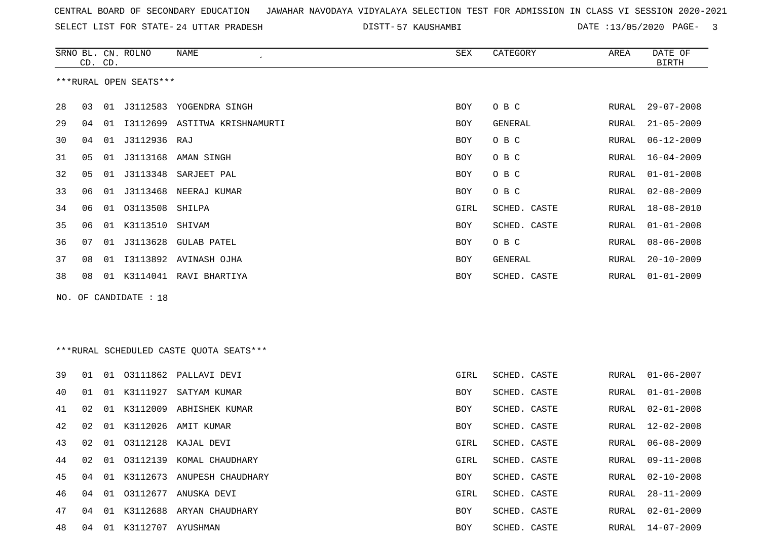SELECT LIST FOR STATE- DISTT- 24 UTTAR PRADESH

57 KAUSHAMBI DATE :13/05/2020 PAGE- 3

|    | CD. CD. |    | SRNO BL. CN. ROLNO     | NAME                                    | <b>SEX</b> | CATEGORY     | AREA          | DATE OF<br><b>BIRTH</b> |
|----|---------|----|------------------------|-----------------------------------------|------------|--------------|---------------|-------------------------|
|    |         |    | ***RURAL OPEN SEATS*** |                                         |            |              |               |                         |
| 28 | 03      |    |                        | 01 J3112583 YOGENDRA SINGH              | <b>BOY</b> | O B C        | RURAL         | $29 - 07 - 2008$        |
| 29 | 04      |    |                        | 01 I3112699 ASTITWA KRISHNAMURTI        | BOY        | GENERAL      | RURAL         | $21 - 05 - 2009$        |
| 30 | 04      |    | 01 J3112936 RAJ        |                                         | BOY        | O B C        | RURAL         | $06 - 12 - 2009$        |
| 31 | 05      | 01 |                        | J3113168 AMAN SINGH                     | BOY        | O B C        | ${\tt RURAL}$ | $16 - 04 - 2009$        |
| 32 | 05      | 01 | J3113348               | SARJEET PAL                             | <b>BOY</b> | O B C        | <b>RURAL</b>  | $01 - 01 - 2008$        |
| 33 | 06      |    |                        | 01 J3113468 NEERAJ KUMAR                | <b>BOY</b> | O B C        | RURAL         | $02 - 08 - 2009$        |
| 34 | 06      | 01 | 03113508               | SHILPA                                  | GIRL       | SCHED. CASTE | RURAL         | $18 - 08 - 2010$        |
| 35 | 06      |    | 01 K3113510            | SHIVAM                                  | BOY        | SCHED. CASTE | RURAL         | $01 - 01 - 2008$        |
| 36 | 07      |    |                        | 01 J3113628 GULAB PATEL                 | <b>BOY</b> | O B C        | RURAL         | $08 - 06 - 2008$        |
| 37 | 08      | 01 |                        | I3113892 AVINASH OJHA                   | <b>BOY</b> | GENERAL      | <b>RURAL</b>  | $20 - 10 - 2009$        |
| 38 | 08      |    |                        | 01 K3114041 RAVI BHARTIYA               | BOY        | SCHED. CASTE | RURAL         | $01 - 01 - 2009$        |
|    |         |    | NO. OF CANDIDATE : 18  |                                         |            |              |               |                         |
|    |         |    |                        |                                         |            |              |               |                         |
|    |         |    |                        |                                         |            |              |               |                         |
|    |         |    |                        | ***RURAL SCHEDULED CASTE OUOTA SEATS*** |            |              |               |                         |
| 39 | 01      |    |                        | 01 03111862 PALLAVI DEVI                | GIRL       | SCHED. CASTE | RURAL         | $01 - 06 - 2007$        |
| 40 | 01      |    |                        | 01 K3111927 SATYAM KUMAR                | <b>BOY</b> | SCHED. CASTE | RURAL         | $01 - 01 - 2008$        |
| 41 | 02      |    | 01 K3112009            | ABHISHEK KUMAR                          | <b>BOY</b> | SCHED. CASTE | RURAL         | $02 - 01 - 2008$        |
| 42 | 02      |    |                        | 01 K3112026 AMIT KUMAR                  | BOY        | SCHED. CASTE | RURAL         | $12 - 02 - 2008$        |
| 43 | 02      |    |                        | 01 03112128 KAJAL DEVI                  | GIRL       | SCHED. CASTE | RURAL         | $06 - 08 - 2009$        |
| 44 | 02      | 01 | 03112139               | KOMAL CHAUDHARY                         | GIRL       | SCHED. CASTE | RURAL         | $09 - 11 - 2008$        |
| 45 | 04      |    |                        | 01 K3112673 ANUPESH CHAUDHARY           | <b>BOY</b> | SCHED. CASTE | RURAL         | $02 - 10 - 2008$        |
| 46 | 04      | 01 |                        | 03112677 ANUSKA DEVI                    | GIRL       | SCHED. CASTE | <b>RURAL</b>  | $28 - 11 - 2009$        |
| 47 | 04      |    |                        | 01 K3112688 ARYAN CHAUDHARY             | <b>BOY</b> | SCHED. CASTE | RURAL         | $02 - 01 - 2009$        |

04 01 K3112707 AYUSHMAN BOY SCHED. CASTE RURAL 14-07-2009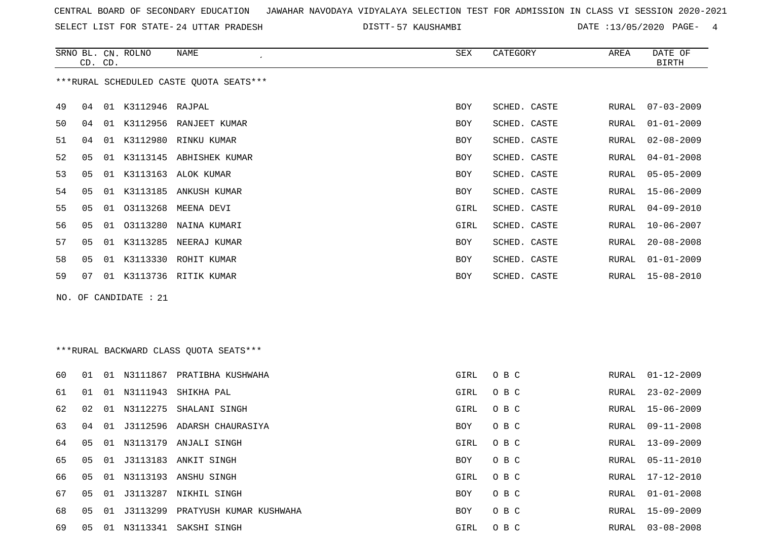SRNO BL. CN. ROLNO NAME SEX CATEGORY AREA DATE OF

SELECT LIST FOR STATE- DISTT- 24 UTTAR PRADESH

DISTT-57 KAUSHAMBI DATE :13/05/2020 PAGE- 4

|    | CD. CD. |    |                       |                                         |            |              |       | <b>BIRTH</b>     |
|----|---------|----|-----------------------|-----------------------------------------|------------|--------------|-------|------------------|
|    |         |    |                       | ***RURAL SCHEDULED CASTE QUOTA SEATS*** |            |              |       |                  |
| 49 | 04      |    | 01 K3112946 RAJPAL    |                                         | BOY        | SCHED. CASTE | RURAL | $07 - 03 - 2009$ |
| 50 | 04      | 01 |                       | K3112956 RANJEET KUMAR                  | BOY        | SCHED. CASTE | RURAL | $01 - 01 - 2009$ |
| 51 | 04      | 01 |                       | K3112980 RINKU KUMAR                    | BOY        | SCHED. CASTE | RURAL | $02 - 08 - 2009$ |
| 52 | 05      | 01 |                       | K3113145 ABHISHEK KUMAR                 | BOY        | SCHED. CASTE | RURAL | $04 - 01 - 2008$ |
| 53 | 05      | 01 |                       | K3113163 ALOK KUMAR                     | BOY        | SCHED. CASTE | RURAL | $05 - 05 - 2009$ |
| 54 | 05      | 01 | K3113185              | ANKUSH KUMAR                            | BOY        | SCHED. CASTE | RURAL | $15 - 06 - 2009$ |
| 55 | 05      | 01 | 03113268              | MEENA DEVI                              | GIRL       | SCHED. CASTE | RURAL | $04 - 09 - 2010$ |
| 56 | 05      | 01 | 03113280              | NAINA KUMARI                            | GIRL       | SCHED. CASTE | RURAL | $10 - 06 - 2007$ |
| 57 | 05      | 01 |                       | K3113285 NEERAJ KUMAR                   | BOY        | SCHED. CASTE | RURAL | $20 - 08 - 2008$ |
| 58 | 05      | 01 |                       | K3113330 ROHIT KUMAR                    | BOY        | SCHED. CASTE | RURAL | $01 - 01 - 2009$ |
| 59 | 07      |    |                       | 01 K3113736 RITIK KUMAR                 | BOY        | SCHED. CASTE | RURAL | $15 - 08 - 2010$ |
|    |         |    | NO. OF CANDIDATE : 21 |                                         |            |              |       |                  |
|    |         |    |                       |                                         |            |              |       |                  |
|    |         |    |                       |                                         |            |              |       |                  |
|    |         |    |                       | ***RURAL BACKWARD CLASS QUOTA SEATS***  |            |              |       |                  |
| 60 | 01      |    |                       | 01 N3111867 PRATIBHA KUSHWAHA           | GIRL       | O B C        | RURAL | $01 - 12 - 2009$ |
| 61 | 01      | 01 | N3111943              | SHIKHA PAL                              | GIRL       | O B C        | RURAL | $23 - 02 - 2009$ |
| 62 | 02      | 01 | N3112275              | SHALANI SINGH                           | GIRL       | O B C        | RURAL | $15 - 06 - 2009$ |
| 63 | 04      | 01 | J3112596              | ADARSH CHAURASIYA                       | BOY        | O B C        | RURAL | $09 - 11 - 2008$ |
| 64 | 05      | 01 |                       | N3113179 ANJALI SINGH                   | GIRL       | O B C        | RURAL | $13 - 09 - 2009$ |
| 65 | 05      | 01 |                       | J3113183 ANKIT SINGH                    | <b>BOY</b> | O B C        | RURAL | $05 - 11 - 2010$ |
| 66 | 05      |    |                       | 01 N3113193 ANSHU SINGH                 | GIRL       | O B C        | RURAL | 17-12-2010       |
| 67 | 05      |    |                       | 01 J3113287 NIKHIL SINGH                | BOY        | O B C        | RURAL | $01 - 01 - 2008$ |
| 68 | 05      | 01 |                       | J3113299 PRATYUSH KUMAR KUSHWAHA        | BOY        | O B C        | RURAL | $15 - 09 - 2009$ |
| 69 | 05      |    |                       | 01 N3113341 SAKSHI SINGH                | GIRL       | O B C        | RURAL | $03 - 08 - 2008$ |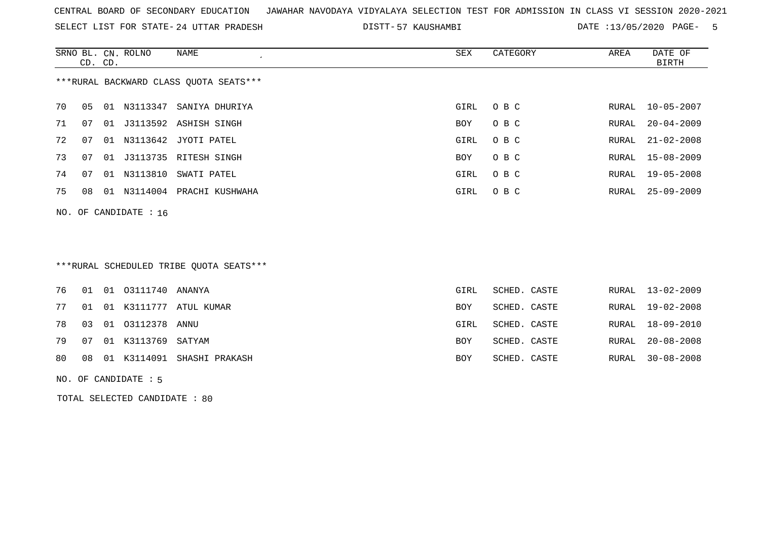SELECT LIST FOR STATE- DISTT- 24 UTTAR PRADESH

DISTT-57 KAUSHAMBI DATE :13/05/2020 PAGE- 5

|    | CD. CD. |    | SRNO BL. CN. ROLNO      | NAME                                   | SEX        | CATEGORY | AREA  | DATE OF<br>BIRTH |
|----|---------|----|-------------------------|----------------------------------------|------------|----------|-------|------------------|
|    |         |    |                         | ***RURAL BACKWARD CLASS OUOTA SEATS*** |            |          |       |                  |
| 70 | 05      | 01 | N3113347                | SANIYA DHURIYA                         | GIRL       | O B C    | RURAL | 10-05-2007       |
| 71 | 07      |    |                         | 01 J3113592 ASHISH SINGH               | <b>BOY</b> | O B C    | RURAL | $20 - 04 - 2009$ |
| 72 | 07      | 01 |                         | N3113642 JYOTI PATEL                   | GIRL       | O B C    | RURAL | $21 - 02 - 2008$ |
| 73 | 07      |    |                         | 01 J3113735 RITESH SINGH               | BOY        | O B C    |       | RURAL 15-08-2009 |
| 74 | 07      |    |                         | 01 N3113810 SWATI PATEL                | GIRL       | O B C    | RURAL | 19-05-2008       |
| 75 | 08      | 01 | N3114004                | PRACHI KUSHWAHA                        | GIRL       | O B C    | RURAL | $25 - 09 - 2009$ |
|    |         |    | NO. OF CANDIDATE : $16$ |                                        |            |          |       |                  |

# \*\*\*RURAL SCHEDULED TRIBE QUOTA SEATS\*\*\*

|  | 79   07   01   K3113769   SATYAM | 80 08 01 K3114091 SHASHI PRAKASH | BOY<br>BOY | SCHED. CASTE<br>SCHED. CASTE |  | RURAL 20-08-2008<br>RURAL 30-08-2008 |
|--|----------------------------------|----------------------------------|------------|------------------------------|--|--------------------------------------|
|  |                                  |                                  |            |                              |  |                                      |
|  | 78  03  01  03112378  ANNU       |                                  | GIRL       | SCHED. CASTE                 |  | RURAL 18-09-2010                     |
|  |                                  | 77 01 01 K3111777 ATUL KUMAR     | BOY        | SCHED. CASTE                 |  | RURAL 19-02-2008                     |
|  | 76  01  01  03111740  ANANYA     |                                  | GIRL       | SCHED. CASTE                 |  | RURAL 13-02-2009                     |

#### NO. OF CANDIDATE : 5

TOTAL SELECTED CANDIDATE : 80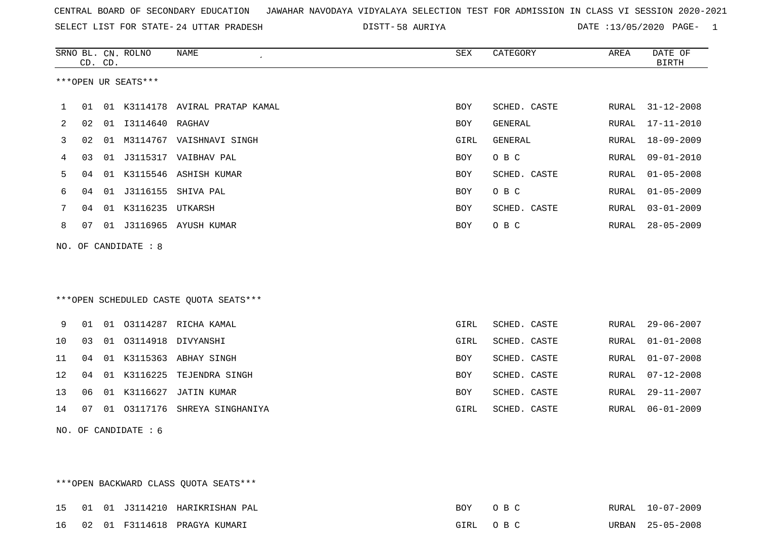SELECT LIST FOR STATE- DISTT- 24 UTTAR PRADESH

\*\*\*OPEN BACKWARD CLASS QUOTA SEATS\*\*\*

58 AURIYA DATE :13/05/2020 PAGE- 1

|              |    | CD. CD. | SRNO BL. CN. ROLNO     | NAME<br>$\epsilon$                      | SEX         | CATEGORY     | AREA  | DATE OF<br><b>BIRTH</b> |
|--------------|----|---------|------------------------|-----------------------------------------|-------------|--------------|-------|-------------------------|
|              |    |         | ***OPEN UR SEATS***    |                                         |             |              |       |                         |
| $\mathbf{1}$ |    |         |                        | 01 01 K3114178 AVIRAL PRATAP KAMAL      | BOY         | SCHED. CASTE | RURAL | $31 - 12 - 2008$        |
| 2            | 02 |         | 01  13114640  RAGHAV   |                                         | BOY         | GENERAL      | RURAL | $17 - 11 - 2010$        |
| 3            | 02 |         |                        | 01 M3114767 VAISHNAVI SINGH             | GIRL        | GENERAL      | RURAL | $18 - 09 - 2009$        |
| 4            | 03 |         |                        | 01 J3115317 VAIBHAV PAL                 | BOY         | O B C        | RURAL | $09 - 01 - 2010$        |
| 5            | 04 |         |                        | 01 K3115546 ASHISH KUMAR                | <b>BOY</b>  | SCHED. CASTE | RURAL | $01 - 05 - 2008$        |
| 6            | 04 | 01      |                        | J3116155 SHIVA PAL                      | <b>BOY</b>  | O B C        | RURAL | $01 - 05 - 2009$        |
| 7            | 04 |         | 01 K3116235 UTKARSH    |                                         | BOY         | SCHED. CASTE | RURAL | $03 - 01 - 2009$        |
| 8            | 07 |         |                        | 01 J3116965 AYUSH KUMAR                 | BOY         | O B C        | RURAL | $28 - 05 - 2009$        |
|              |    |         | NO. OF CANDIDATE : $8$ |                                         |             |              |       |                         |
|              |    |         |                        |                                         |             |              |       |                         |
|              |    |         |                        |                                         |             |              |       |                         |
|              |    |         |                        | *** OPEN SCHEDULED CASTE QUOTA SEATS*** |             |              |       |                         |
| 9            | 01 |         |                        | 01 03114287 RICHA KAMAL                 | <b>GIRL</b> | SCHED. CASTE | RURAL | $29 - 06 - 2007$        |
| 10           | 03 |         |                        | 01 03114918 DIVYANSHI                   | GIRL        | SCHED. CASTE | RURAL | $01 - 01 - 2008$        |
| 11           | 04 |         |                        | 01 K3115363 ABHAY SINGH                 | BOY         | SCHED. CASTE | RURAL | $01 - 07 - 2008$        |
| 12           | 04 |         |                        | 01 K3116225 TEJENDRA SINGH              | BOY         | SCHED. CASTE | RURAL | $07 - 12 - 2008$        |
| 13           | 06 |         |                        | 01 K3116627 JATIN KUMAR                 | BOY         | SCHED. CASTE | RURAL | 29-11-2007              |
| 14           | 07 |         |                        | 01 03117176 SHREYA SINGHANIYA           | GIRL        | SCHED. CASTE | RURAL | $06 - 01 - 2009$        |
|              |    |         | NO. OF CANDIDATE $: 6$ |                                         |             |              |       |                         |
|              |    |         |                        |                                         |             |              |       |                         |
|              |    |         |                        |                                         |             |              |       |                         |

15 01 01 J3114210 HARIKRISHAN PAL BOY O B C RURAL 10-07-2009 16 02 01 F3114618 PRAGYA KUMARI GIRL O B C URBAN 25-05-2008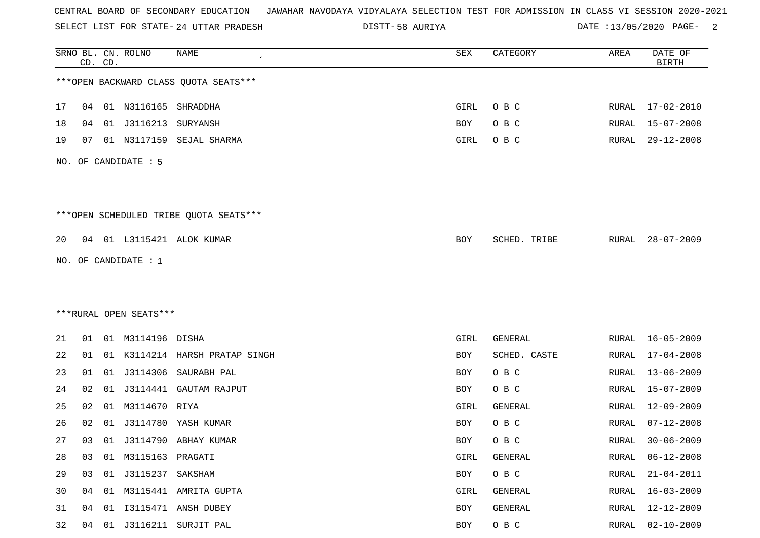SELECT LIST FOR STATE- DISTT- 24 UTTAR PRADESH

58 AURIYA DATE :13/05/2020 PAGE- 2

|    |                      | CD. CD. | SRNO BL. CN. ROLNO     | <b>NAME</b>                            | SEX        | CATEGORY     | AREA          | DATE OF<br><b>BIRTH</b> |  |  |  |
|----|----------------------|---------|------------------------|----------------------------------------|------------|--------------|---------------|-------------------------|--|--|--|
|    |                      |         |                        | *** OPEN BACKWARD CLASS QUOTA SEATS*** |            |              |               |                         |  |  |  |
| 17 | 04                   |         | 01 N3116165 SHRADDHA   |                                        | GIRL       | O B C        |               | RURAL 17-02-2010        |  |  |  |
| 18 | 04                   |         | 01 J3116213            | SURYANSH                               | <b>BOY</b> | O B C        | RURAL         | $15 - 07 - 2008$        |  |  |  |
| 19 | 07                   |         |                        | 01 N3117159 SEJAL SHARMA               | GIRL       | O B C        | RURAL         | $29 - 12 - 2008$        |  |  |  |
|    | NO. OF CANDIDATE : 5 |         |                        |                                        |            |              |               |                         |  |  |  |
|    |                      |         |                        | ***OPEN SCHEDULED TRIBE QUOTA SEATS*** |            |              |               |                         |  |  |  |
| 20 |                      |         |                        | 04 01 L3115421 ALOK KUMAR              | BOY        | SCHED. TRIBE | RURAL         | $28 - 07 - 2009$        |  |  |  |
|    |                      |         | NO. OF CANDIDATE : 1   |                                        |            |              |               |                         |  |  |  |
|    |                      |         |                        |                                        |            |              |               |                         |  |  |  |
|    |                      |         |                        |                                        |            |              |               |                         |  |  |  |
|    |                      |         | ***RURAL OPEN SEATS*** |                                        |            |              |               |                         |  |  |  |
| 21 | 01                   |         | 01 M3114196 DISHA      |                                        | GIRL       | GENERAL      | RURAL         | 16-05-2009              |  |  |  |
| 22 | 01                   |         |                        | 01 K3114214 HARSH PRATAP SINGH         | BOY        | SCHED. CASTE | RURAL         | $17 - 04 - 2008$        |  |  |  |
| 23 | 01                   |         | 01 J3114306            | SAURABH PAL                            | BOY        | O B C        | RURAL         | $13 - 06 - 2009$        |  |  |  |
| 24 | 02                   | 01      | J3114441               | GAUTAM RAJPUT                          | BOY        | O B C        | RURAL         | $15 - 07 - 2009$        |  |  |  |
| 25 | 02                   |         | 01 M3114670 RIYA       |                                        | GIRL       | GENERAL      | RURAL         | $12 - 09 - 2009$        |  |  |  |
| 26 | 02                   | 01      | J3114780               | YASH KUMAR                             | BOY        | O B C        | RURAL         | $07 - 12 - 2008$        |  |  |  |
| 27 | 03                   |         |                        | 01 J3114790 ABHAY KUMAR                | <b>BOY</b> | O B C        | RURAL         | $30 - 06 - 2009$        |  |  |  |
| 28 | 03                   | 01      | M3115163 PRAGATI       |                                        | GIRL       | GENERAL      | <b>RURAL</b>  | $06 - 12 - 2008$        |  |  |  |
| 29 | 03                   |         |                        |                                        | BOY        | $O$ B $C$    | <b>RURAL</b>  | $21 - 04 - 2011$        |  |  |  |
| 30 | 04                   |         |                        | 01 M3115441 AMRITA GUPTA               | GIRL       | GENERAL      | RURAL         | $16 - 03 - 2009$        |  |  |  |
| 31 | 04                   | 01      |                        | I3115471 ANSH DUBEY                    | BOY        | GENERAL      | ${\tt RURAL}$ | $12 - 12 - 2009$        |  |  |  |
| 32 | 04                   |         |                        | 01 J3116211 SURJIT PAL                 | BOY        | $O$ B $C$    | RURAL         | $02 - 10 - 2009$        |  |  |  |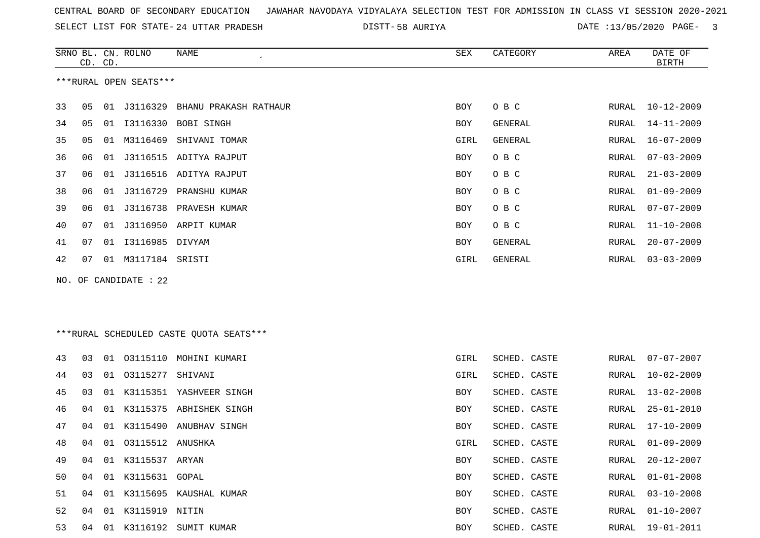SELECT LIST FOR STATE- DISTT- 24 UTTAR PRADESH

58 AURIYA DATE :13/05/2020 PAGE- 3

|                        |    | CD. CD. | SRNO BL. CN. ROLNO | NAME                   | SEX        | CATEGORY       | AREA  | DATE OF<br><b>BIRTH</b> |  |  |
|------------------------|----|---------|--------------------|------------------------|------------|----------------|-------|-------------------------|--|--|
| ***RURAL OPEN SEATS*** |    |         |                    |                        |            |                |       |                         |  |  |
| 33                     | 05 | 01      | J3116329           | BHANU PRAKASH RATHAUR  | BOY        | O B C          | RURAL | 10-12-2009              |  |  |
| 34                     | 05 | 01      | I3116330           | BOBI SINGH             | BOY        | GENERAL        | RURAL | 14-11-2009              |  |  |
| 35                     | 05 | 01      | M3116469           | SHIVANI TOMAR          | GIRL       | <b>GENERAL</b> | RURAL | $16 - 07 - 2009$        |  |  |
| 36                     | 06 | 01      |                    | J3116515 ADITYA RAJPUT | BOY        | O B C          | RURAL | $07 - 03 - 2009$        |  |  |
| 37                     | 06 | 01      | J3116516           | ADITYA RAJPUT          | <b>BOY</b> | O B C          | RURAL | $21 - 03 - 2009$        |  |  |
| 38                     | 06 | 01      | J3116729           | PRANSHU KUMAR          | BOY        | O B C          | RURAL | $01 - 09 - 2009$        |  |  |
| 39                     | 06 | 01      | J3116738           | PRAVESH KUMAR          | <b>BOY</b> | O B C          | RURAL | $07 - 07 - 2009$        |  |  |
| 40                     | 07 | 01      |                    | J3116950 ARPIT KUMAR   | <b>BOY</b> | O B C          | RURAL | $11 - 10 - 2008$        |  |  |
| 41                     | 07 | 01      | I3116985           | DIVYAM                 | <b>BOY</b> | GENERAL        | RURAL | $20 - 07 - 2009$        |  |  |
| 42                     | 07 | 01      | M3117184           | SRISTI                 | GIRL       | GENERAL        | RURAL | $03 - 03 - 2009$        |  |  |
|                        |    |         |                    |                        |            |                |       |                         |  |  |

NO. OF CANDIDATE : 22

\*\*\*RURAL SCHEDULED CASTE QUOTA SEATS\*\*\*

| 43 | 03 |    |                     | 01 03115110 MOHINI KUMARI  | GIRL | SCHED. CASTE | RURAL | $07 - 07 - 2007$ |
|----|----|----|---------------------|----------------------------|------|--------------|-------|------------------|
| 44 | 03 |    | 01 03115277 SHIVANI |                            | GIRL | SCHED. CASTE | RURAL | $10 - 02 - 2009$ |
| 45 | 03 |    |                     | 01 K3115351 YASHVEER SINGH | BOY  | SCHED. CASTE | RURAL | 13-02-2008       |
| 46 | 04 |    |                     | 01 K3115375 ABHISHEK SINGH | BOY  | SCHED. CASTE | RURAL | 25-01-2010       |
| 47 | 04 |    |                     | 01 K3115490 ANUBHAV SINGH  | BOY  | SCHED. CASTE |       | RURAL 17-10-2009 |
| 48 | 04 |    | 01 03115512 ANUSHKA |                            | GIRL | SCHED. CASTE | RURAL | $01 - 09 - 2009$ |
| 49 | 04 |    | 01 K3115537 ARYAN   |                            | BOY  | SCHED. CASTE | RURAL | 20-12-2007       |
| 50 | 04 |    | 01 K3115631 GOPAL   |                            | BOY  | SCHED. CASTE | RURAL | $01 - 01 - 2008$ |
| 51 | 04 |    |                     | 01 K3115695 KAUSHAL KUMAR  | BOY  | SCHED. CASTE | RURAL | 03-10-2008       |
| 52 | 04 |    | 01 K3115919 NITIN   |                            | BOY  | SCHED. CASTE | RURAL | 01-10-2007       |
| 53 | 04 | 01 |                     | K3116192 SUMIT KUMAR       | BOY  | SCHED. CASTE | RURAL | $19 - 01 - 2011$ |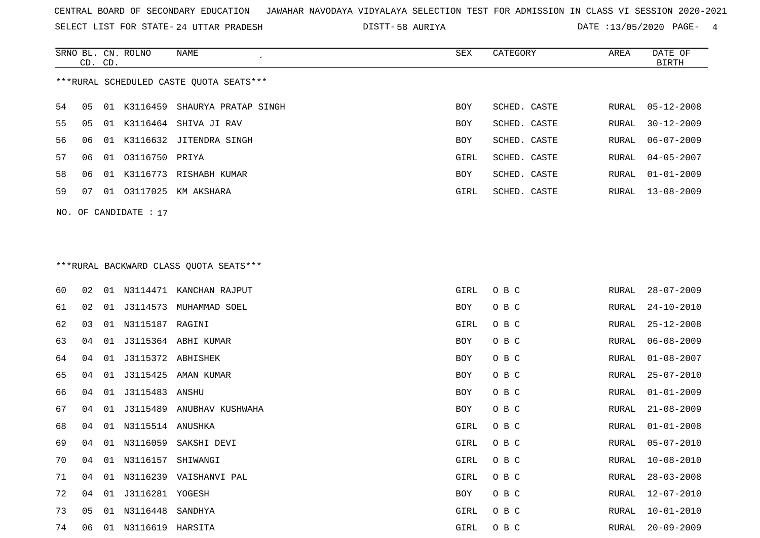SELECT LIST FOR STATE- DISTT- 24 UTTAR PRADESH

58 AURIYA DATE :13/05/2020 PAGE- 4

|                                         | CD. CD. |  | SRNO BL. CN. ROLNO | NAME                             | SEX        | CATEGORY     | AREA  | DATE OF<br>BIRTH |  |  |
|-----------------------------------------|---------|--|--------------------|----------------------------------|------------|--------------|-------|------------------|--|--|
| ***RURAL SCHEDULED CASTE OUOTA SEATS*** |         |  |                    |                                  |            |              |       |                  |  |  |
| 54                                      | 05      |  |                    | 01 K3116459 SHAURYA PRATAP SINGH | BOY        | SCHED. CASTE | RURAL | 05-12-2008       |  |  |
| 55                                      | 05      |  |                    | 01 K3116464 SHIVA JI RAV         | BOY        | SCHED. CASTE | RURAL | $30 - 12 - 2009$ |  |  |
| 56                                      | 06      |  |                    | 01 K3116632 JITENDRA SINGH       | <b>BOY</b> | SCHED. CASTE | RURAL | 06-07-2009       |  |  |
| 57                                      | 06      |  | 01 03116750 PRIYA  |                                  | GIRL       | SCHED. CASTE | RURAL | $04 - 05 - 2007$ |  |  |
| 58                                      | 06      |  |                    | 01 K3116773 RISHABH KUMAR        | BOY        | SCHED. CASTE | RURAL | $01 - 01 - 2009$ |  |  |
| 59                                      | 07      |  |                    | 01 03117025 KM AKSHARA           | GIRL       | SCHED. CASTE | RURAL | 13-08-2009       |  |  |
| NO. OF CANDIDATE : $17$                 |         |  |                    |                                  |            |              |       |                  |  |  |

### \*\*\*RURAL BACKWARD CLASS QUOTA SEATS\*\*\*

| 60 | 02 | 01 |                     | N3114471 KANCHAN RAJPUT   | GIRL       | O B C | RURAL | $28 - 07 - 2009$ |
|----|----|----|---------------------|---------------------------|------------|-------|-------|------------------|
| 61 | 02 | 01 | J3114573            | MUHAMMAD SOEL             | <b>BOY</b> | O B C | RURAL | $24 - 10 - 2010$ |
| 62 | 03 | 01 | N3115187 RAGINI     |                           | GIRL       | O B C | RURAL | $25 - 12 - 2008$ |
| 63 | 04 | 01 |                     | J3115364 ABHI KUMAR       | BOY        | O B C | RURAL | $06 - 08 - 2009$ |
| 64 | 04 | 01 | J3115372 ABHISHEK   |                           | <b>BOY</b> | O B C | RURAL | $01 - 08 - 2007$ |
| 65 | 04 | 01 |                     | J3115425 AMAN KUMAR       | BOY        | O B C | RURAL | $25 - 07 - 2010$ |
| 66 | 04 | 01 | J3115483 ANSHU      |                           | <b>BOY</b> | O B C | RURAL | $01 - 01 - 2009$ |
| 67 | 04 | 01 |                     | J3115489 ANUBHAV KUSHWAHA | BOY        | O B C | RURAL | $21 - 08 - 2009$ |
| 68 | 04 | 01 | N3115514 ANUSHKA    |                           | GIRL       | O B C | RURAL | $01 - 01 - 2008$ |
| 69 | 04 |    |                     | 01 N3116059 SAKSHI DEVI   | GIRL       | O B C | RURAL | $05 - 07 - 2010$ |
| 70 | 04 | 01 | N3116157            | SHIWANGI                  | GIRL       | O B C | RURAL | $10 - 08 - 2010$ |
| 71 | 04 | 01 |                     | N3116239 VAISHANVI PAL    | GIRL       | O B C | RURAL | $28 - 03 - 2008$ |
| 72 | 04 | 01 | J3116281 YOGESH     |                           | BOY        | O B C | RURAL | $12 - 07 - 2010$ |
| 73 | 05 | 01 | N3116448            | SANDHYA                   | GIRL       | O B C | RURAL | $10 - 01 - 2010$ |
| 74 | 06 |    | 01 N3116619 HARSITA |                           | GIRL       | O B C | RURAL | $20 - 09 - 2009$ |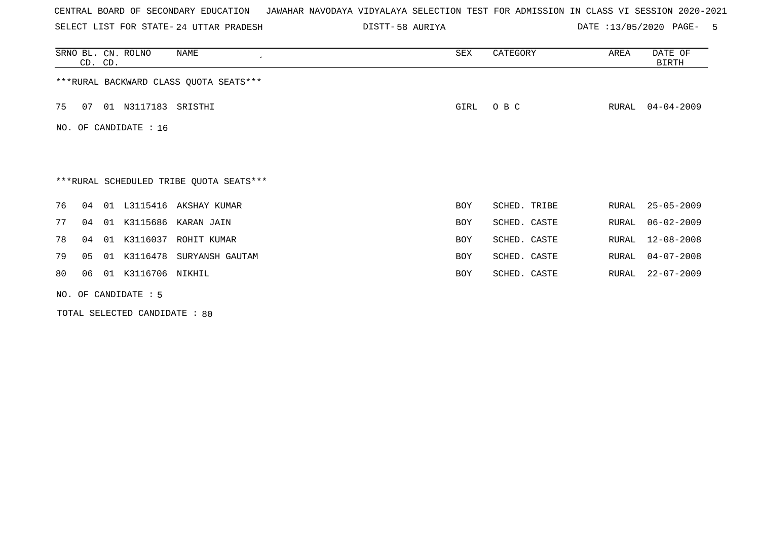SELECT LIST FOR STATE- DISTT- 24 UTTAR PRADESH

58 AURIYA DATE :13/05/2020 PAGE- 5

|                                         | CD. CD.                                 |    | SRNO BL. CN. ROLNO    | NAME<br>$\cdot$             | ${\tt SEX}$ | CATEGORY     | AREA  | DATE OF<br>BIRTH |  |  |  |  |
|-----------------------------------------|-----------------------------------------|----|-----------------------|-----------------------------|-------------|--------------|-------|------------------|--|--|--|--|
|                                         | *** RURAL BACKWARD CLASS QUOTA SEATS*** |    |                       |                             |             |              |       |                  |  |  |  |  |
| 75                                      | 07                                      |    | 01 N3117183 SRISTHI   |                             | GIRL        | O B C        | RURAL | $04 - 04 - 2009$ |  |  |  |  |
|                                         |                                         |    | NO. OF CANDIDATE : 16 |                             |             |              |       |                  |  |  |  |  |
|                                         |                                         |    |                       |                             |             |              |       |                  |  |  |  |  |
| ***RURAL SCHEDULED TRIBE QUOTA SEATS*** |                                         |    |                       |                             |             |              |       |                  |  |  |  |  |
| 76                                      | 04                                      |    |                       | 01 L3115416 AKSHAY KUMAR    | <b>BOY</b>  | SCHED. TRIBE | RURAL | $25 - 05 - 2009$ |  |  |  |  |
| 77                                      | 04                                      |    |                       | 01 K3115686 KARAN JAIN      | BOY         | SCHED. CASTE | RURAL | $06 - 02 - 2009$ |  |  |  |  |
| 78                                      | 04                                      | 01 | K3116037              | ROHIT KUMAR                 | <b>BOY</b>  | SCHED. CASTE | RURAL | $12 - 08 - 2008$ |  |  |  |  |
| 79                                      | 05                                      |    |                       | 01 K3116478 SURYANSH GAUTAM | BOY         | SCHED. CASTE | RURAL | $04 - 07 - 2008$ |  |  |  |  |
| 80                                      | 06                                      |    | 01 K3116706 NIKHIL    |                             | <b>BOY</b>  | SCHED. CASTE | RURAL | $22 - 07 - 2009$ |  |  |  |  |
| NO. OF CANDIDATE : 5                    |                                         |    |                       |                             |             |              |       |                  |  |  |  |  |

TOTAL SELECTED CANDIDATE : 80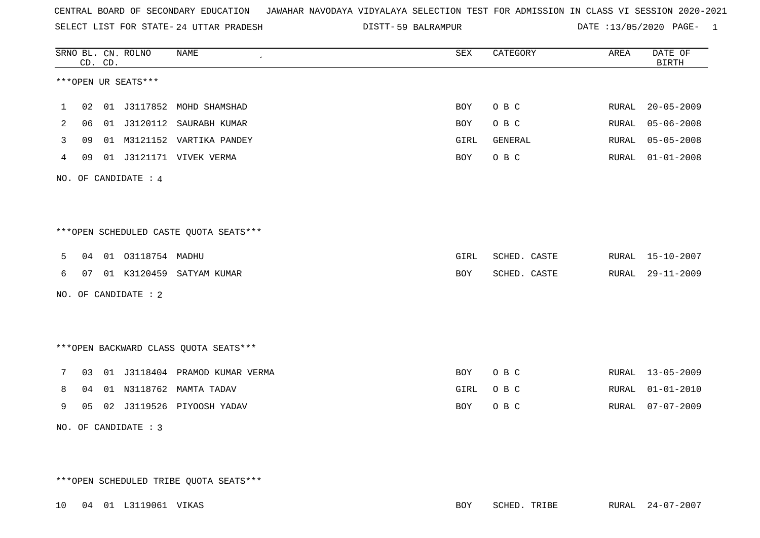SELECT LIST FOR STATE- DISTT- 24 UTTAR PRADESH

59 BALRAMPUR DATE :13/05/2020 PAGE- 1

|                                        |                      | CD. CD. | SRNO BL. CN. ROLNO   | <b>NAME</b>                            | ${\tt SEX}$ | CATEGORY     | AREA  | DATE OF<br><b>BIRTH</b> |  |  |
|----------------------------------------|----------------------|---------|----------------------|----------------------------------------|-------------|--------------|-------|-------------------------|--|--|
|                                        |                      |         | ***OPEN UR SEATS***  |                                        |             |              |       |                         |  |  |
| 1                                      | 02                   |         |                      | 01 J3117852 MOHD SHAMSHAD              | <b>BOY</b>  | O B C        | RURAL | $20 - 05 - 2009$        |  |  |
| 2                                      | 06                   |         | 01 J3120112          | SAURABH KUMAR                          | BOY         | O B C        | RURAL | $05 - 06 - 2008$        |  |  |
| 3                                      | 09                   |         |                      | 01 M3121152 VARTIKA PANDEY             | GIRL        | GENERAL      | RURAL | $05 - 05 - 2008$        |  |  |
| 4                                      | 09                   |         |                      | 01 J3121171 VIVEK VERMA                | <b>BOY</b>  | O B C        | RURAL | $01 - 01 - 2008$        |  |  |
|                                        |                      |         | NO. OF CANDIDATE : 4 |                                        |             |              |       |                         |  |  |
|                                        |                      |         |                      |                                        |             |              |       |                         |  |  |
|                                        |                      |         |                      |                                        |             |              |       |                         |  |  |
|                                        |                      |         |                      | ***OPEN SCHEDULED CASTE QUOTA SEATS*** |             |              |       |                         |  |  |
| 5                                      |                      |         | 04 01 03118754 MADHU |                                        | GIRL        | SCHED. CASTE |       | RURAL 15-10-2007        |  |  |
| 6                                      | 07                   |         |                      | 01 K3120459 SATYAM KUMAR               | <b>BOY</b>  | SCHED. CASTE | RURAL | $29 - 11 - 2009$        |  |  |
|                                        |                      |         | NO. OF CANDIDATE : 2 |                                        |             |              |       |                         |  |  |
|                                        |                      |         |                      |                                        |             |              |       |                         |  |  |
|                                        |                      |         |                      |                                        |             |              |       |                         |  |  |
| *** OPEN BACKWARD CLASS QUOTA SEATS*** |                      |         |                      |                                        |             |              |       |                         |  |  |
| 7                                      | 03                   |         |                      | 01 J3118404 PRAMOD KUMAR VERMA         | <b>BOY</b>  | O B C        |       | RURAL 13-05-2009        |  |  |
| 8                                      | 04                   |         |                      | 01 N3118762 MAMTA TADAV                | GIRL        | O B C        | RURAL | $01 - 01 - 2010$        |  |  |
| 9                                      |                      |         |                      | 05 02 J3119526 PIYOOSH YADAV           | <b>BOY</b>  | O B C        | RURAL | $07 - 07 - 2009$        |  |  |
|                                        | NO. OF CANDIDATE : 3 |         |                      |                                        |             |              |       |                         |  |  |

\*\*\*OPEN SCHEDULED TRIBE QUOTA SEATS\*\*\*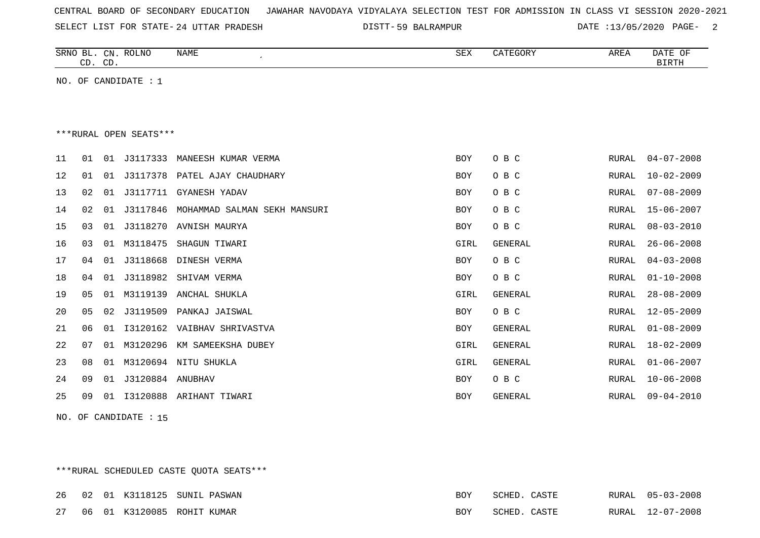| CENTRAL BOARD OF SECONDARY EDUCATION – JAWAHAR NAVODAYA VIDYALAYA SELECTION TEST FOR ADMISSION IN CLASS VI SESSION 2020-2021 |  |
|------------------------------------------------------------------------------------------------------------------------------|--|
|------------------------------------------------------------------------------------------------------------------------------|--|

SELECT LIST FOR STATE- 24 UTTAR PRADESH

24 UTTAR PRADESH 59 BALRAMPUR DATE :13/05/2020 PAGE- 2

|    | CD. CD.                |    | SRNO BL. CN. ROLNO     | NAME                         | SEX        | CATEGORY       | AREA         | DATE OF<br><b>BIRTH</b> |  |  |
|----|------------------------|----|------------------------|------------------------------|------------|----------------|--------------|-------------------------|--|--|
|    |                        |    | NO. OF CANDIDATE : $1$ |                              |            |                |              |                         |  |  |
|    |                        |    |                        |                              |            |                |              |                         |  |  |
|    |                        |    |                        |                              |            |                |              |                         |  |  |
|    | ***RURAL OPEN SEATS*** |    |                        |                              |            |                |              |                         |  |  |
| 11 | 01                     | 01 | J3117333               | MANEESH KUMAR VERMA          | <b>BOY</b> | O B C          | RURAL        | $04 - 07 - 2008$        |  |  |
| 12 | 01                     | 01 | J3117378               | PATEL AJAY CHAUDHARY         | <b>BOY</b> | O B C          | RURAL        | $10 - 02 - 2009$        |  |  |
| 13 | 02                     | 01 | J3117711               | GYANESH YADAV                | <b>BOY</b> | O B C          | RURAL        | $07 - 08 - 2009$        |  |  |
| 14 | 02                     | 01 | J3117846               | MOHAMMAD SALMAN SEKH MANSURI | <b>BOY</b> | O B C          | RURAL        | $15 - 06 - 2007$        |  |  |
| 15 | 03                     | 01 | J3118270               | AVNISH MAURYA                | <b>BOY</b> | O B C          | <b>RURAL</b> | $08 - 03 - 2010$        |  |  |
| 16 | 03                     | 01 | M3118475               | SHAGUN TIWARI                | GIRL       | GENERAL        | RURAL        | $26 - 06 - 2008$        |  |  |
| 17 | 04                     | 01 | J3118668               | DINESH VERMA                 | BOY        | O B C          | RURAL        | $04 - 03 - 2008$        |  |  |
| 18 | 04                     | 01 | J3118982               | SHIVAM VERMA                 | BOY        | O B C          | RURAL        | $01 - 10 - 2008$        |  |  |
| 19 | 05                     | 01 | M3119139               | ANCHAL SHUKLA                | GIRL       | GENERAL        | RURAL        | $28 - 08 - 2009$        |  |  |
| 20 | 05                     | 02 | J3119509               | PANKAJ JAISWAL               | BOY        | O B C          | RURAL        | $12 - 05 - 2009$        |  |  |
| 21 | 06                     | 01 | I3120162               | VAIBHAV SHRIVASTVA           | <b>BOY</b> | <b>GENERAL</b> | RURAL        | $01 - 08 - 2009$        |  |  |
| 22 | 07                     | 01 | M3120296               | KM SAMEEKSHA DUBEY           | GIRL       | <b>GENERAL</b> | RURAL        | $18 - 02 - 2009$        |  |  |
| 23 | 08                     | 01 | M3120694               | NITU SHUKLA                  | GIRL       | GENERAL        | RURAL        | $01 - 06 - 2007$        |  |  |
| 24 | 09                     | 01 | J3120884               | ANUBHAV                      | BOY        | O B C          | RURAL        | $10 - 06 - 2008$        |  |  |
| 25 | 09                     | 01 | I3120888               | ARIHANT TIWARI               | <b>BOY</b> | GENERAL        | RURAL        | $09 - 04 - 2010$        |  |  |

NO. OF CANDIDATE : 15

\*\*\*RURAL SCHEDULED CASTE QUOTA SEATS\*\*\*

|  |  | 26 02 01 K3118125 SUNIL PASWAN |     | SCHED. CASTE |  | RURAL 05-03-2008 |
|--|--|--------------------------------|-----|--------------|--|------------------|
|  |  | 27 06 01 K3120085 ROHIT KUMAR  | BOY | SCHED. CASTE |  | RURAL 12-07-2008 |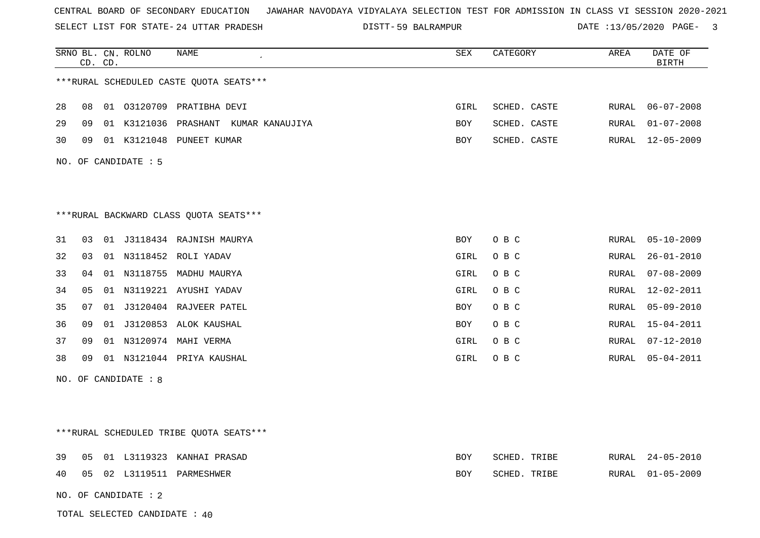SELECT LIST FOR STATE- DISTT- 24 UTTAR PRADESH

59 BALRAMPUR DATE :13/05/2020 PAGE- 3

|    | CD. | CD. | SRNO BL. CN. ROLNO   | NAME                                     | SEX        | CATEGORY     | AREA  | DATE OF<br><b>BIRTH</b> |
|----|-----|-----|----------------------|------------------------------------------|------------|--------------|-------|-------------------------|
|    |     |     |                      | *** RURAL SCHEDULED CASTE QUOTA SEATS*** |            |              |       |                         |
| 28 | 08  |     |                      | 01 03120709 PRATIBHA DEVI                | GIRL       | SCHED. CASTE | RURAL | $06 - 07 - 2008$        |
| 29 | 09  |     |                      | 01 K3121036 PRASHANT KUMAR KANAUJIYA     | BOY        | SCHED. CASTE | RURAL | $01 - 07 - 2008$        |
| 30 | 09  |     |                      | 01 K3121048 PUNEET KUMAR                 | BOY        | SCHED. CASTE | RURAL | $12 - 05 - 2009$        |
|    |     |     | NO. OF CANDIDATE : 5 |                                          |            |              |       |                         |
|    |     |     |                      |                                          |            |              |       |                         |
|    |     |     |                      |                                          |            |              |       |                         |
|    |     |     |                      | *** RURAL BACKWARD CLASS QUOTA SEATS***  |            |              |       |                         |
| 31 | 03  |     |                      | 01 J3118434 RAJNISH MAURYA               | BOY        | O B C        | RURAL | $05 - 10 - 2009$        |
| 32 | 03  |     |                      | 01 N3118452 ROLI YADAV                   | GIRL       | O B C        | RURAL | $26 - 01 - 2010$        |
| 33 | 04  |     |                      | 01 N3118755 MADHU MAURYA                 | GIRL       | O B C        | RURAL | $07 - 08 - 2009$        |
| 34 | 05  | 01  |                      | N3119221 AYUSHI YADAV                    | GIRL       | O B C        | RURAL | 12-02-2011              |
| 35 | 07  | 01  |                      | J3120404 RAJVEER PATEL                   | <b>BOY</b> | O B C        | RURAL | $05 - 09 - 2010$        |
| 36 | 09  |     |                      | 01 J3120853 ALOK KAUSHAL                 | <b>BOY</b> | O B C        | RURAL | $15 - 04 - 2011$        |
| 37 | 09  |     |                      | 01 N3120974 MAHI VERMA                   | GIRL       | O B C        | RURAL | $07 - 12 - 2010$        |
| 38 | 09  |     |                      | 01 N3121044 PRIYA KAUSHAL                | GIRL       | O B C        | RURAL | $05 - 04 - 2011$        |
|    |     |     | NO. OF CANDIDATE : 8 |                                          |            |              |       |                         |
|    |     |     |                      |                                          |            |              |       |                         |
|    |     |     |                      |                                          |            |              |       |                         |
|    |     |     |                      | ***RURAL SCHEDULED TRIBE QUOTA SEATS***  |            |              |       |                         |
| 39 | 05  |     |                      | 01 L3119323 KANHAI PRASAD                | <b>BOY</b> | SCHED. TRIBE | RURAL | $24 - 05 - 2010$        |
| 40 | 05  |     |                      | 02 L3119511 PARMESHWER                   | BOY        | SCHED. TRIBE | RURAL | $01 - 05 - 2009$        |
|    |     |     | NO. OF CANDIDATE : 2 |                                          |            |              |       |                         |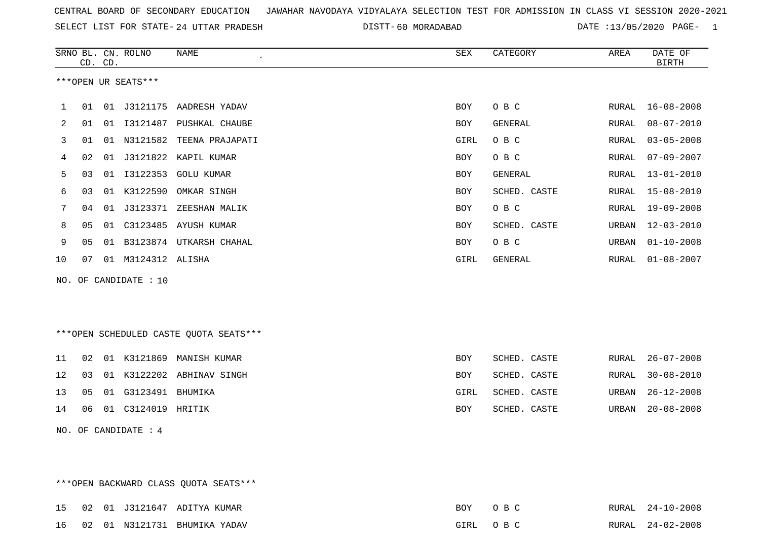SELECT LIST FOR STATE- DISTT- 24 UTTAR PRADESH

60 MORADABAD DATE :13/05/2020 PAGE- 1

|              |    | CD. CD. | SRNO BL. CN. ROLNO    | NAME<br>$\epsilon$          | SEX        | CATEGORY     | AREA  | DATE OF<br><b>BIRTH</b> |
|--------------|----|---------|-----------------------|-----------------------------|------------|--------------|-------|-------------------------|
|              |    |         | ***OPEN UR SEATS***   |                             |            |              |       |                         |
| $\mathbf{1}$ | 01 |         |                       | 01 J3121175 AADRESH YADAV   | <b>BOY</b> | O B C        | RURAL | $16 - 08 - 2008$        |
| 2            | 01 |         |                       | 01 I3121487 PUSHKAL CHAUBE  | <b>BOY</b> | GENERAL      | RURAL | $08 - 07 - 2010$        |
| 3            | 01 |         |                       | 01 N3121582 TEENA PRAJAPATI | GIRL       | O B C        | RURAL | $03 - 05 - 2008$        |
| 4            | 02 | 01      |                       | J3121822 KAPIL KUMAR        | BOY        | O B C        | RURAL | $07 - 09 - 2007$        |
| 5            | 03 | 01      | I3122353              | GOLU KUMAR                  | <b>BOY</b> | GENERAL      | RURAL | $13 - 01 - 2010$        |
| 6            | 03 | 01      | K3122590              | OMKAR SINGH                 | <b>BOY</b> | SCHED. CASTE | RURAL | 15-08-2010              |
| 7            | 04 | 01      | J3123371              | ZEESHAN MALIK               | <b>BOY</b> | O B C        | RURAL | $19 - 09 - 2008$        |
| 8            | 05 | 01      | C3123485              | AYUSH KUMAR                 | <b>BOY</b> | SCHED. CASTE | URBAN | $12 - 03 - 2010$        |
| 9            | 05 | 01      |                       | B3123874 UTKARSH CHAHAL     | BOY        | O B C        | URBAN | $01 - 10 - 2008$        |
| 10           | 07 |         | 01 M3124312 ALISHA    |                             | GIRL       | GENERAL      | RURAL | $01 - 08 - 2007$        |
|              |    |         | NO. OF CANDIDATE : 10 |                             |            |              |       |                         |

\*\*\*OPEN SCHEDULED CASTE QUOTA SEATS\*\*\*

|  |                           | 11 02 01 K3121869 MANISH KUMAR  | BOY        | SCHED. CASTE |  | RURAL 26-07-2008 |
|--|---------------------------|---------------------------------|------------|--------------|--|------------------|
|  |                           | 12 03 01 K3122202 ABHINAV SINGH | BOY        | SCHED. CASTE |  | RURAL 30-08-2010 |
|  | 13 05 01 G3123491 BHUMIKA |                                 | GIRL       | SCHED. CASTE |  | URBAN 26-12-2008 |
|  | 14 06 01 C3124019 HRITIK  |                                 | <b>BOY</b> | SCHED. CASTE |  | URBAN 20-08-2008 |

NO. OF CANDIDATE : 4

\*\*\*OPEN BACKWARD CLASS QUOTA SEATS\*\*\* 15 02 01 J3121647 ADITYA KUMAR BOY O B C RURAL 24-10-2008 16 02 01 N3121731 BHUMIKA YADAV GIRL O B C RURAL 24-02-2008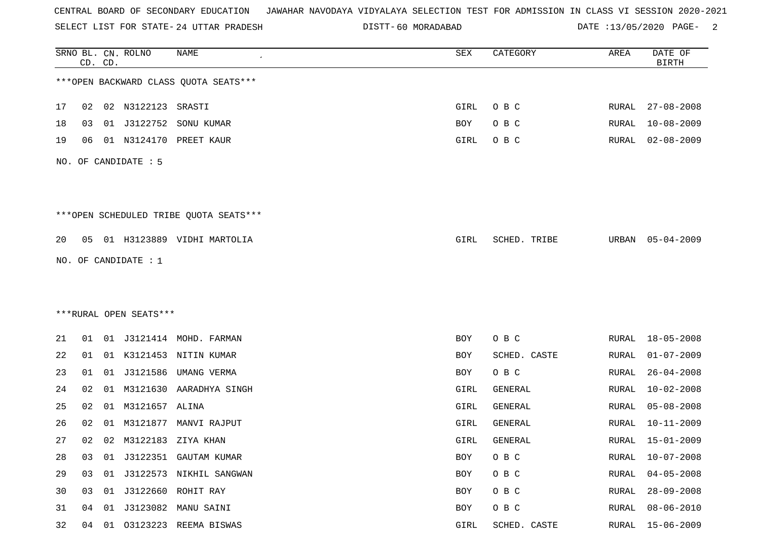SELECT LIST FOR STATE- DISTT- 24 UTTAR PRADESH

60 MORADABAD DATE :13/05/2020 PAGE- 2

|    |    | CD. CD. | SRNO BL. CN. ROLNO     | NAME                                   | SEX  | CATEGORY     | AREA         | DATE OF<br><b>BIRTH</b> |
|----|----|---------|------------------------|----------------------------------------|------|--------------|--------------|-------------------------|
|    |    |         |                        | *** OPEN BACKWARD CLASS QUOTA SEATS*** |      |              |              |                         |
| 17 | 02 |         | 02 N3122123 SRASTI     |                                        | GIRL | O B C        | RURAL        | $27 - 08 - 2008$        |
| 18 | 03 |         | 01 J3122752            | SONU KUMAR                             | BOY  | O B C        | RURAL        | $10 - 08 - 2009$        |
| 19 | 06 |         | 01 N3124170            | PREET KAUR                             | GIRL | O B C        | RURAL        | $02 - 08 - 2009$        |
|    |    |         | NO. OF CANDIDATE : 5   |                                        |      |              |              |                         |
|    |    |         |                        | ***OPEN SCHEDULED TRIBE QUOTA SEATS*** |      |              |              |                         |
| 20 |    |         |                        | 05 01 H3123889 VIDHI MARTOLIA          | GIRL | SCHED. TRIBE | URBAN        | 05-04-2009              |
|    |    |         | NO. OF CANDIDATE : $1$ |                                        |      |              |              |                         |
|    |    |         |                        |                                        |      |              |              |                         |
|    |    |         |                        |                                        |      |              |              |                         |
|    |    |         | ***RURAL OPEN SEATS*** |                                        |      |              |              |                         |
| 21 | 01 |         |                        | 01 J3121414 MOHD. FARMAN               | BOY  | O B C        | RURAL        | $18 - 05 - 2008$        |
| 22 | 01 |         |                        | 01 K3121453 NITIN KUMAR                | BOY  | SCHED. CASTE | RURAL        | $01 - 07 - 2009$        |
| 23 | 01 |         | 01 J3121586            | UMANG VERMA                            | BOY  | O B C        | RURAL        | $26 - 04 - 2008$        |
| 24 | 02 | 01      |                        | M3121630 AARADHYA SINGH                | GIRL | GENERAL      | RURAL        | $10 - 02 - 2008$        |
| 25 | 02 |         | 01 M3121657 ALINA      |                                        | GIRL | GENERAL      | RURAL        | $05 - 08 - 2008$        |
| 26 | 02 | 01      | M3121877               | MANVI RAJPUT                           | GIRL | GENERAL      | RURAL        | $10 - 11 - 2009$        |
| 27 |    |         |                        | 02 02 M3122183 ZIYA KHAN               | GIRL | GENERAL      | RURAL        | 15-01-2009              |
| 28 | 03 |         |                        | 01 J3122351 GAUTAM KUMAR               | BOY  | O B C        | <b>RURAL</b> | $10 - 07 - 2008$        |
| 29 | 03 |         |                        | 01 J3122573 NIKHIL SANGWAN             | BOY  | O B C        | RURAL        | $04 - 05 - 2008$        |
| 30 | 03 |         |                        | 01 J3122660 ROHIT RAY                  | BOY  | O B C        | RURAL        | $28 - 09 - 2008$        |
| 31 | 04 | 01      | J3123082               | MANU SAINI                             | BOY  | O B C        | RURAL        | $08 - 06 - 2010$        |
| 32 | 04 |         |                        | 01 03123223 REEMA BISWAS               | GIRL | SCHED. CASTE | RURAL        | 15-06-2009              |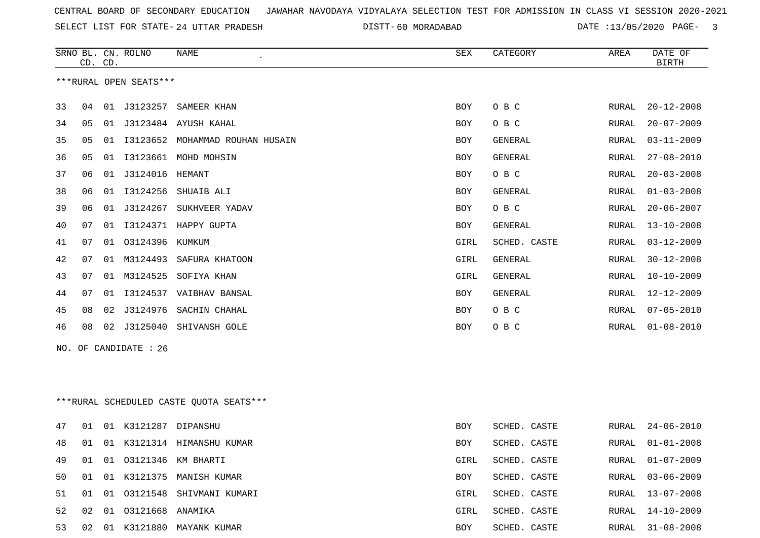SELECT LIST FOR STATE- DISTT- 24 UTTAR PRADESH

60 MORADABAD DATE :13/05/2020 PAGE- 3

|    | CD. CD. | SRNO BL. CN. ROLNO     | NAME                                    | SEX        | CATEGORY     | AREA          | DATE OF<br><b>BIRTH</b> |
|----|---------|------------------------|-----------------------------------------|------------|--------------|---------------|-------------------------|
|    |         | ***RURAL OPEN SEATS*** |                                         |            |              |               |                         |
| 33 | 04      | 01 J3123257            | SAMEER KHAN                             | <b>BOY</b> | O B C        | RURAL         | $20 - 12 - 2008$        |
| 34 | 05      |                        | 01 J3123484 AYUSH KAHAL                 | <b>BOY</b> | O B C        | RURAL         | $20 - 07 - 2009$        |
| 35 | 05      |                        | 01 I3123652 MOHAMMAD ROUHAN HUSAIN      | BOY        | GENERAL      | RURAL         | $03 - 11 - 2009$        |
| 36 | 05      |                        | 01 I3123661 MOHD MOHSIN                 | <b>BOY</b> | GENERAL      | RURAL         | $27 - 08 - 2010$        |
| 37 | 06      |                        |                                         | <b>BOY</b> | O B C        | ${\tt RURAL}$ | $20 - 03 - 2008$        |
| 38 | 06      |                        | 01 I3124256 SHUAIB ALI                  | <b>BOY</b> | GENERAL      | RURAL         | $01 - 03 - 2008$        |
| 39 | 06      |                        | 01 J3124267 SUKHVEER YADAV              | <b>BOY</b> | O B C        | RURAL         | $20 - 06 - 2007$        |
| 40 | 07      |                        | 01 I3124371 HAPPY GUPTA                 | BOY        | GENERAL      | ${\tt RURAL}$ | $13 - 10 - 2008$        |
| 41 | 07      | 01 03124396 KUMKUM     |                                         | GIRL       | SCHED. CASTE | RURAL         | $03 - 12 - 2009$        |
| 42 | 07      |                        | 01 M3124493 SAFURA KHATOON              | GIRL       | GENERAL      | RURAL         | $30 - 12 - 2008$        |
| 43 | 07      |                        | 01 M3124525 SOFIYA KHAN                 | GIRL       | GENERAL      | RURAL         | $10 - 10 - 2009$        |
| 44 | 07      |                        | 01 I3124537 VAIBHAV BANSAL              | BOY        | GENERAL      | RURAL         | 12-12-2009              |
| 45 | 08      |                        | 02 J3124976 SACHIN CHAHAL               | BOY        | O B C        | RURAL         | $07 - 05 - 2010$        |
| 46 | 08      |                        | 02 J3125040 SHIVANSH GOLE               | <b>BOY</b> | O B C        | RURAL         | $01 - 08 - 2010$        |
|    |         | NO. OF CANDIDATE : 26  |                                         |            |              |               |                         |
|    |         |                        | ***RURAL SCHEDULED CASTE QUOTA SEATS*** |            |              |               |                         |
|    |         |                        |                                         |            |              |               |                         |
| 47 | 01      | 01 K3121287 DIPANSHU   |                                         | <b>BOY</b> | SCHED. CASTE | RURAL         | $24 - 06 - 2010$        |
| 48 | 01      |                        | 01 K3121314 HIMANSHU KUMAR              | BOY        | SCHED. CASTE | RURAL         | $01 - 01 - 2008$        |
| 49 | 01      |                        | 01 03121346 KM BHARTI                   | GIRL       | SCHED. CASTE | RURAL         | $01 - 07 - 2009$        |
| 50 | 01      |                        | 01 K3121375 MANISH KUMAR                | BOY        | SCHED. CASTE | RURAL         | $03 - 06 - 2009$        |

|  |                           | 51 01 01 03121548 SHIVMANI KUMARI | GIRL | SCHED. CASTE | RURAL 13-07-2008 |
|--|---------------------------|-----------------------------------|------|--------------|------------------|
|  | 52 02 01 03121668 ANAMIKA |                                   | GIRL | SCHED. CASTE | RURAL 14-10-2009 |
|  |                           | 53 02 01 K3121880 MAYANK KUMAR    | BOY  | SCHED. CASTE | RURAL 31-08-2008 |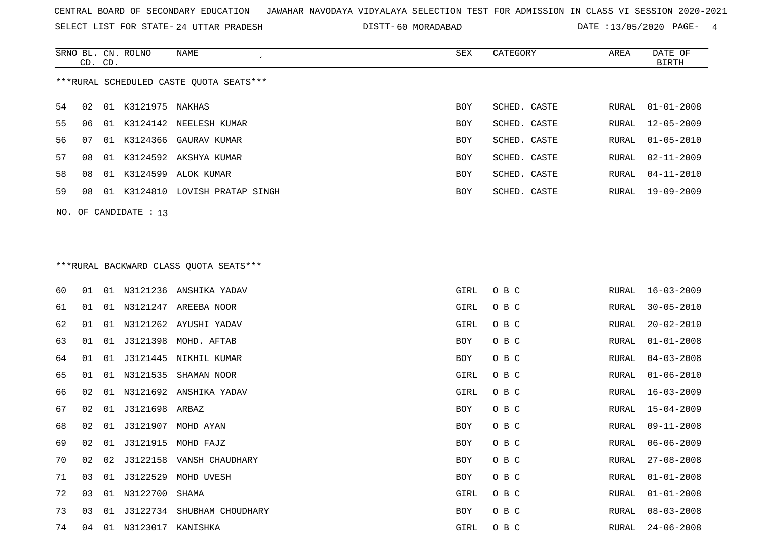SELECT LIST FOR STATE- DISTT- 24 UTTAR PRADESH

60 MORADABAD DATE :13/05/2020 PAGE- 4

|                                         | CD. CD. |       | SRNO BL. CN. ROLNO | NAME                  | SEX        | CATEGORY     | AREA  | DATE OF<br>BIRTH |  |  |
|-----------------------------------------|---------|-------|--------------------|-----------------------|------------|--------------|-------|------------------|--|--|
| ***RURAL SCHEDULED CASTE OUOTA SEATS*** |         |       |                    |                       |            |              |       |                  |  |  |
| 54                                      | 02      | 01    | K3121975           | NAKHAS                | <b>BOY</b> | SCHED. CASTE | RURAL | $01 - 01 - 2008$ |  |  |
| 55                                      | 06      | . O 1 | K3124142           | NEELESH KUMAR         | <b>BOY</b> | SCHED, CASTE | RURAL | $12 - 05 - 2009$ |  |  |
| 56.                                     | 07      | O 1   |                    | K3124366 GAURAV KUMAR | <b>BOY</b> | SCHED. CASTE |       | RURAL 01-05-2010 |  |  |
| 57                                      | 0.8     | -01   |                    | K3124592 AKSHYA KUMAR | <b>BOY</b> | SCHED. CASTE |       | RURAL 02-11-2009 |  |  |
| 58                                      | 08      | 01    | K3124599           | ALOK KUMAR            | <b>BOY</b> | SCHED. CASTE |       | RURAL 04-11-2010 |  |  |
| 59                                      | 08      | -01   | K3124810           | LOVISH PRATAP SINGH   | <b>BOY</b> | SCHED. CASTE | RURAL | $19 - 09 - 2009$ |  |  |
|                                         |         |       |                    |                       |            |              |       |                  |  |  |

NO. OF CANDIDATE : 13

# \*\*\*RURAL BACKWARD CLASS QUOTA SEATS\*\*\*

| 60 | 01 |    |                | 01 N3121236 ANSHIKA YADAV  | GIRL | O B C | RURAL | 16-03-2009       |
|----|----|----|----------------|----------------------------|------|-------|-------|------------------|
| 61 | 01 |    |                | 01 N3121247 AREEBA NOOR    | GIRL | O B C | RURAL | $30 - 05 - 2010$ |
| 62 | 01 |    |                | 01 N3121262 AYUSHI YADAV   | GIRL | O B C | RURAL | $20 - 02 - 2010$ |
| 63 | 01 | 01 |                | J3121398 MOHD. AFTAB       | BOY  | O B C | RURAL | $01 - 01 - 2008$ |
| 64 | 01 | 01 |                | J3121445 NIKHIL KUMAR      | BOY  | O B C | RURAL | $04 - 03 - 2008$ |
| 65 | 01 | 01 | N3121535       | SHAMAN NOOR                | GIRL | O B C | RURAL | $01 - 06 - 2010$ |
| 66 | 02 |    |                | 01 N3121692 ANSHIKA YADAV  | GIRL | O B C | RURAL | $16 - 03 - 2009$ |
| 67 | 02 | 01 | J3121698 ARBAZ |                            | BOY  | O B C | RURAL | $15 - 04 - 2009$ |
| 68 | 02 | 01 | J3121907       | MOHD AYAN                  | BOY  | O B C | RURAL | $09 - 11 - 2008$ |
| 69 | 02 | 01 |                | J3121915 MOHD FAJZ         | BOY  | O B C | RURAL | $06 - 06 - 2009$ |
| 70 | 02 | 02 |                | J3122158 VANSH CHAUDHARY   | BOY  | O B C | RURAL | $27 - 08 - 2008$ |
| 71 | 03 | 01 |                | J3122529 MOHD UVESH        | BOY  | O B C | RURAL | $01 - 01 - 2008$ |
| 72 | 03 |    | 01 N3122700    | SHAMA                      | GIRL | O B C | RURAL | $01 - 01 - 2008$ |
| 73 | 03 | 01 |                | J3122734 SHUBHAM CHOUDHARY | BOY  | O B C | RURAL | $08 - 03 - 2008$ |
| 74 | 04 |    | 01 N3123017    | KANISHKA                   | GIRL | O B C | RURAL | $24 - 06 - 2008$ |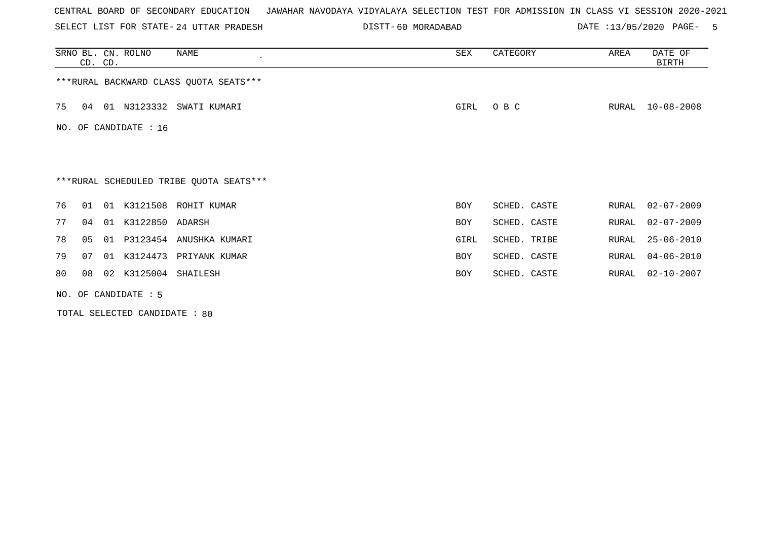SELECT LIST FOR STATE- DISTT- 24 UTTAR PRADESH

60 MORADABAD DATE :13/05/2020 PAGE- 5

|    | CD. CD. |    | SRNO BL. CN. ROLNO    | NAME                                    | SEX        | CATEGORY     | AREA  | DATE OF<br>BIRTH |
|----|---------|----|-----------------------|-----------------------------------------|------------|--------------|-------|------------------|
|    |         |    |                       | *** RURAL BACKWARD CLASS QUOTA SEATS*** |            |              |       |                  |
| 75 | 04      |    |                       | 01 N3123332 SWATI KUMARI                | GIRL       | O B C        | RURAL | $10 - 08 - 2008$ |
|    |         |    | NO. OF CANDIDATE : 16 |                                         |            |              |       |                  |
|    |         |    |                       |                                         |            |              |       |                  |
|    |         |    |                       | ***RURAL SCHEDULED TRIBE QUOTA SEATS*** |            |              |       |                  |
| 76 | 01      | 01 |                       | K3121508 ROHIT KUMAR                    | BOY        | SCHED. CASTE | RURAL | $02 - 07 - 2009$ |
| 77 | 04      | 01 | K3122850 ADARSH       |                                         | BOY        | SCHED. CASTE | RURAL | $02 - 07 - 2009$ |
| 78 | 05      | 01 |                       | P3123454 ANUSHKA KUMARI                 | GIRL       | SCHED. TRIBE | RURAL | $25 - 06 - 2010$ |
| 79 | 07      | 01 |                       | K3124473 PRIYANK KUMAR                  | BOY        | SCHED. CASTE | RURAL | $04 - 06 - 2010$ |
| 80 | 08      | 02 | K3125004 SHAILESH     |                                         | <b>BOY</b> | SCHED. CASTE | RURAL | $02 - 10 - 2007$ |
|    |         |    | NO. OF CANDIDATE : 5  |                                         |            |              |       |                  |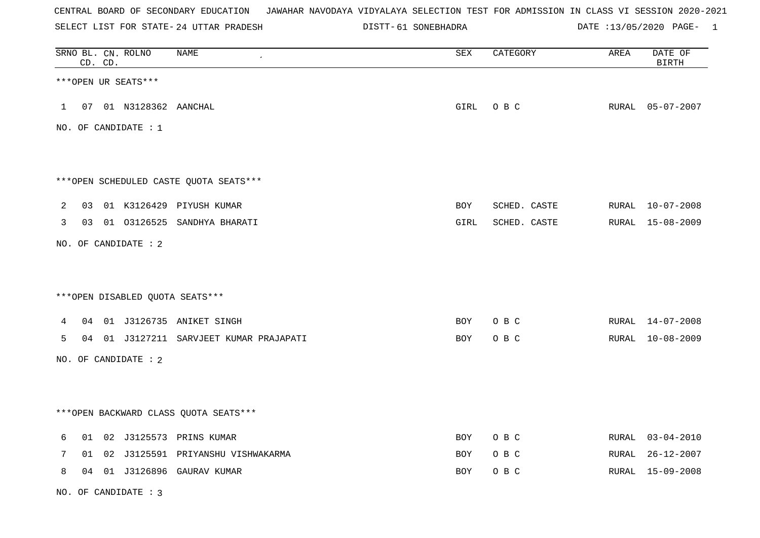SELECT LIST FOR STATE- DISTT- 24 UTTAR PRADESH

61 SONEBHADRA DATE :13/05/2020 PAGE- 1

|   |    | CD. CD. | SRNO BL. CN. ROLNO   | <b>NAME</b>                            | ${\tt SEX}$ | CATEGORY     | AREA  | DATE OF<br><b>BIRTH</b> |
|---|----|---------|----------------------|----------------------------------------|-------------|--------------|-------|-------------------------|
|   |    |         | ***OPEN UR SEATS***  |                                        |             |              |       |                         |
| 1 | 07 |         | 01 N3128362 AANCHAL  |                                        | GIRL        | O B C        |       | RURAL 05-07-2007        |
|   |    |         | NO. OF CANDIDATE : 1 |                                        |             |              |       |                         |
|   |    |         |                      |                                        |             |              |       |                         |
|   |    |         |                      | ***OPEN SCHEDULED CASTE QUOTA SEATS*** |             |              |       |                         |
| 2 | 03 |         |                      | 01 K3126429 PIYUSH KUMAR               | BOY         | SCHED. CASTE |       | RURAL 10-07-2008        |
| 3 |    |         |                      | 03 01 03126525 SANDHYA BHARATI         | GIRL        | SCHED. CASTE |       | RURAL 15-08-2009        |
|   |    |         | NO. OF CANDIDATE : 2 |                                        |             |              |       |                         |
|   |    |         |                      |                                        |             |              |       |                         |
|   |    |         |                      | ***OPEN DISABLED QUOTA SEATS***        |             |              |       |                         |
| 4 | 04 |         |                      | 01 J3126735 ANIKET SINGH               | <b>BOY</b>  | O B C        |       | RURAL 14-07-2008        |
| 5 | 04 |         |                      | 01 J3127211 SARVJEET KUMAR PRAJAPATI   | BOY         | O B C        |       | RURAL 10-08-2009        |
|   |    |         | NO. OF CANDIDATE : 2 |                                        |             |              |       |                         |
|   |    |         |                      |                                        |             |              |       |                         |
|   |    |         |                      | *** OPEN BACKWARD CLASS QUOTA SEATS*** |             |              |       |                         |
| 6 | 01 |         |                      | 02 J3125573 PRINS KUMAR                | BOY         | O B C        |       | RURAL 03-04-2010        |
| 7 | 01 | 02      |                      | J3125591 PRIYANSHU VISHWAKARMA         | BOY         | O B C        | RURAL | $26 - 12 - 2007$        |
| 8 |    |         |                      | 04 01 J3126896 GAURAV KUMAR            | BOY         | O B C        |       | RURAL 15-09-2008        |

NO. OF CANDIDATE : 3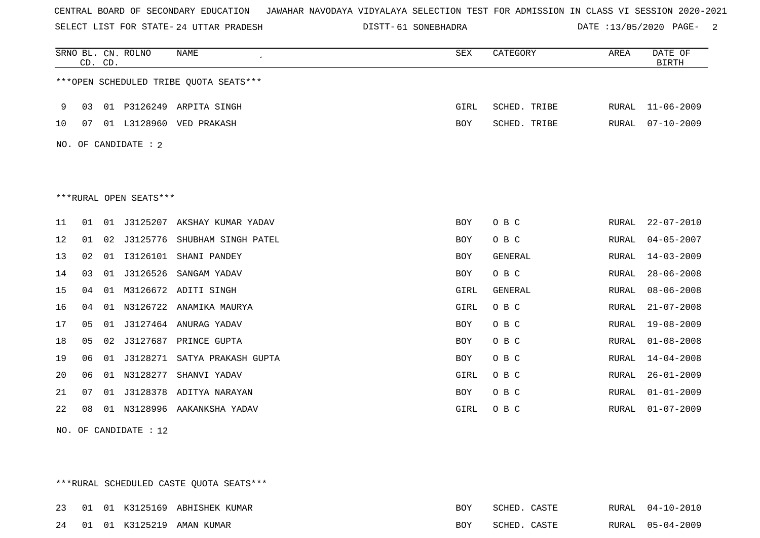SELECT LIST FOR STATE- DISTT- 24 UTTAR PRADESH

61 SONEBHADRA DATE :13/05/2020 PAGE- 2

|    |    | CD. CD. | SRNO BL. CN. ROLNO     | <b>NAME</b>                            | SEX        | CATEGORY     | AREA         | DATE OF<br><b>BIRTH</b> |
|----|----|---------|------------------------|----------------------------------------|------------|--------------|--------------|-------------------------|
|    |    |         |                        | ***OPEN SCHEDULED TRIBE QUOTA SEATS*** |            |              |              |                         |
| 9  | 03 |         |                        | 01 P3126249 ARPITA SINGH               | GIRL       | SCHED. TRIBE | RURAL        | $11 - 06 - 2009$        |
| 10 | 07 |         |                        | 01 L3128960 VED PRAKASH                | BOY        | SCHED. TRIBE | RURAL        | $07 - 10 - 2009$        |
|    |    |         | NO. OF CANDIDATE : 2   |                                        |            |              |              |                         |
|    |    |         |                        |                                        |            |              |              |                         |
|    |    |         |                        |                                        |            |              |              |                         |
|    |    |         | ***RURAL OPEN SEATS*** |                                        |            |              |              |                         |
| 11 | 01 | 01      |                        | J3125207 AKSHAY KUMAR YADAV            | BOY        | O B C        | RURAL        | $22 - 07 - 2010$        |
| 12 | 01 |         | 02 J3125776            | SHUBHAM SINGH PATEL                    | BOY        | O B C        | RURAL        | $04 - 05 - 2007$        |
| 13 | 02 | 01      | I3126101               | SHANI PANDEY                           | BOY        | GENERAL      | RURAL        | $14 - 03 - 2009$        |
| 14 | 03 |         | 01 J3126526            | SANGAM YADAV                           | <b>BOY</b> | O B C        | RURAL        | $28 - 06 - 2008$        |
| 15 | 04 |         |                        | 01 M3126672 ADITI SINGH                | GIRL       | GENERAL      | RURAL        | $08 - 06 - 2008$        |
| 16 | 04 |         |                        | 01 N3126722 ANAMIKA MAURYA             | GIRL       | O B C        | <b>RURAL</b> | $21 - 07 - 2008$        |
| 17 | 05 |         |                        | 01 J3127464 ANURAG YADAV               | BOY        | O B C        | RURAL        | $19 - 08 - 2009$        |
| 18 | 05 | 02      | J3127687               | PRINCE GUPTA                           | <b>BOY</b> | O B C        | RURAL        | $01 - 08 - 2008$        |
| 19 | 06 | 01      | J3128271               | SATYA PRAKASH GUPTA                    | BOY        | O B C        | RURAL        | $14 - 04 - 2008$        |
| 20 | 06 |         | 01 N3128277            | SHANVI YADAV                           | GIRL       | O B C        | RURAL        | $26 - 01 - 2009$        |
| 21 | 07 | 01      |                        | J3128378 ADITYA NARAYAN                | <b>BOY</b> | O B C        | RURAL        | $01 - 01 - 2009$        |
| 22 | 08 |         |                        | 01 N3128996 AAKANKSHA YADAV            | GIRL       | O B C        | RURAL        | $01 - 07 - 2009$        |
|    |    |         |                        |                                        |            |              |              |                         |

NO. OF CANDIDATE : 12

\*\*\*RURAL SCHEDULED CASTE QUOTA SEATS\*\*\*

|  |  | 23 01 01 K3125169 ABHISHEK KUMAR | BOY. | SCHED. CASTE | RURAL 04-10-2010 |
|--|--|----------------------------------|------|--------------|------------------|
|  |  | 24 01 01 K3125219 AMAN KUMAR     | BOY  | SCHED. CASTE | RURAL 05-04-2009 |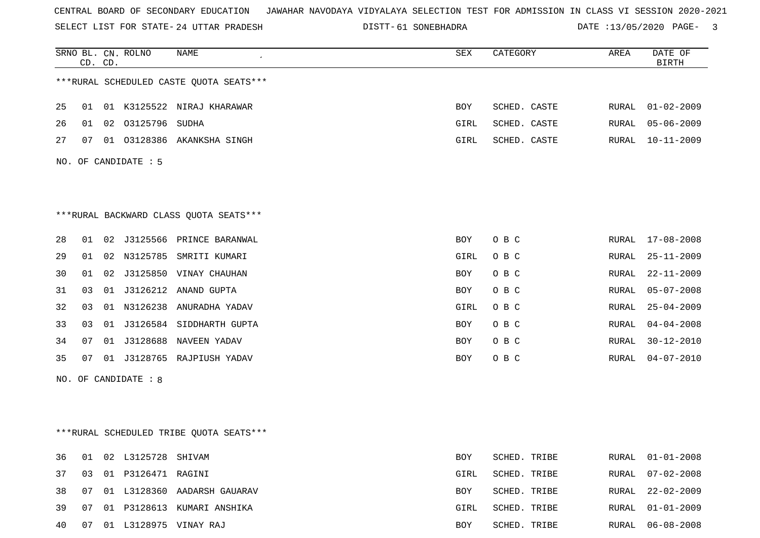SELECT LIST FOR STATE- DISTT- 24 UTTAR PRADESH

61 SONEBHADRA DATE :13/05/2020 PAGE- 3

|    |    | CD. CD. | SRNO BL. CN. ROLNO   | NAME                                    | SEX  | CATEGORY     | AREA  | DATE OF<br><b>BIRTH</b> |
|----|----|---------|----------------------|-----------------------------------------|------|--------------|-------|-------------------------|
|    |    |         |                      | ***RURAL SCHEDULED CASTE QUOTA SEATS*** |      |              |       |                         |
| 25 | 01 |         |                      | 01 K3125522 NIRAJ KHARAWAR              | BOY  | SCHED. CASTE | RURAL | $01 - 02 - 2009$        |
| 26 | 01 |         | 02 03125796 SUDHA    |                                         | GIRL | SCHED. CASTE | RURAL | $05 - 06 - 2009$        |
| 27 | 07 |         |                      | 01 03128386 AKANKSHA SINGH              | GIRL | SCHED. CASTE | RURAL | $10 - 11 - 2009$        |
|    |    |         | NO. OF CANDIDATE : 5 |                                         |      |              |       |                         |
|    |    |         |                      |                                         |      |              |       |                         |
|    |    |         |                      | *** RURAL BACKWARD CLASS QUOTA SEATS*** |      |              |       |                         |
| 28 |    |         |                      | 01 02 J3125566 PRINCE BARANWAL          | BOY  | O B C        | RURAL | $17 - 08 - 2008$        |
| 29 | 01 |         |                      | 02 N3125785 SMRITI KUMARI               | GIRL | O B C        | RURAL | $25 - 11 - 2009$        |
| 30 | 01 |         |                      | 02 J3125850 VINAY CHAUHAN               | BOY  | O B C        | RURAL | $22 - 11 - 2009$        |
| 31 | 03 |         |                      | 01 J3126212 ANAND GUPTA                 | BOY  | O B C        | RURAL | $05 - 07 - 2008$        |
| 32 | 03 |         |                      | 01 N3126238 ANURADHA YADAV              | GIRL | O B C        | RURAL | $25 - 04 - 2009$        |
| 33 | 03 |         |                      | 01 J3126584 SIDDHARTH GUPTA             | BOY  | O B C        | RURAL | $04 - 04 - 2008$        |
| 34 | 07 |         |                      | 01 J3128688 NAVEEN YADAV                | BOY  | O B C        | RURAL | $30 - 12 - 2010$        |
| 35 | 07 |         |                      | 01 J3128765 RAJPIUSH YADAV              | BOY  | O B C        | RURAL | $04 - 07 - 2010$        |
|    |    |         | NO. OF CANDIDATE : 8 |                                         |      |              |       |                         |
|    |    |         |                      | ***RURAL SCHEDULED TRIBE QUOTA SEATS*** |      |              |       |                         |
| 36 | 01 |         | 02 L3125728 SHIVAM   |                                         | BOY  | SCHED. TRIBE | RURAL | $01 - 01 - 2008$        |
| 37 | 03 |         |                      |                                         | GIRL | SCHED. TRIBE | RURAL | $07 - 02 - 2008$        |
| 38 | 07 |         |                      | 01 L3128360 AADARSH GAUARAV             | BOY  | SCHED. TRIBE | RURAL | $22 - 02 - 2009$        |
| 39 | 07 |         |                      | 01 P3128613 KUMARI ANSHIKA              | GIRL | SCHED. TRIBE | RURAL | $01 - 01 - 2009$        |
| 40 | 07 |         |                      | 01 L3128975 VINAY RAJ                   | BOY  | SCHED. TRIBE | RURAL | $06 - 08 - 2008$        |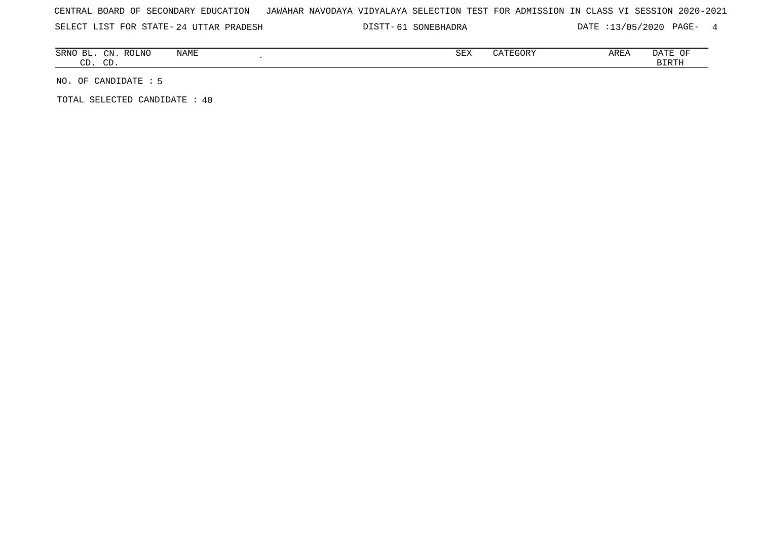SELECT LIST FOR STATE- DISTT- 24 UTTAR PRADESH

61 SONEBHADRA DATE :13/05/2020 PAGE- 4

| ВL<br><b>SRNO</b> | $\bigcap_{\mathbb{R}^n}$<br>◡⊥୳<br>$\sim$ | NAME<br><b>ROLNC</b> | $\alpha$ msz<br>つロマ | CATEGORY | AREA | DATE<br>ΟF   |
|-------------------|-------------------------------------------|----------------------|---------------------|----------|------|--------------|
| $\sim$<br>، ب     | $\sim$ $\sim$<br>◡                        |                      |                     |          |      | <b>BIRTH</b> |

NO. OF CANDIDATE : 5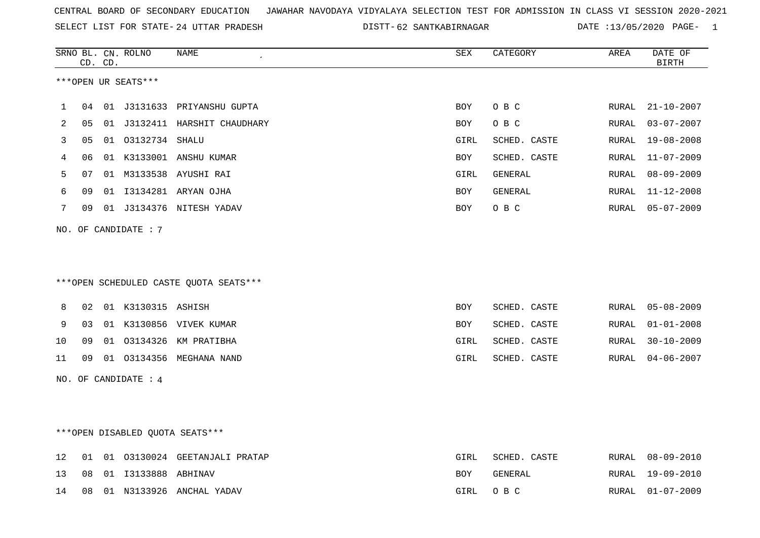SELECT LIST FOR STATE- DISTT- 24 UTTAR PRADESH

62 SANTKABIRNAGAR DATE :13/05/2020 PAGE- 1

|                |    | CD. CD. | SRNO BL. CN. ROLNO              | <b>NAME</b>                            | <b>SEX</b>  | CATEGORY       | AREA  | DATE OF<br><b>BIRTH</b> |
|----------------|----|---------|---------------------------------|----------------------------------------|-------------|----------------|-------|-------------------------|
|                |    |         | ***OPEN UR SEATS***             |                                        |             |                |       |                         |
| 1              | 04 |         |                                 | 01 J3131633 PRIYANSHU GUPTA            | <b>BOY</b>  | O B C          | RURAL | $21 - 10 - 2007$        |
| $\overline{2}$ | 05 |         |                                 | 01 J3132411 HARSHIT CHAUDHARY          | <b>BOY</b>  | O B C          | RURAL | $03 - 07 - 2007$        |
| 3              | 05 |         | 01 03132734 SHALU               |                                        | GIRL        | SCHED. CASTE   | RURAL | $19 - 08 - 2008$        |
| 4              | 06 |         |                                 | 01 K3133001 ANSHU KUMAR                | BOY         | SCHED. CASTE   | RURAL | $11 - 07 - 2009$        |
| 5              | 07 |         |                                 | 01 M3133538 AYUSHI RAI                 | GIRL        | GENERAL        | RURAL | $08 - 09 - 2009$        |
| 6              | 09 |         |                                 | 01 I3134281 ARYAN OJHA                 | BOY         | GENERAL        | RURAL | $11 - 12 - 2008$        |
| 7              | 09 |         |                                 | 01 J3134376 NITESH YADAV               | BOY         | O B C          | RURAL | $05 - 07 - 2009$        |
|                |    |         | NO. OF CANDIDATE : 7            |                                        |             |                |       |                         |
|                |    |         |                                 |                                        |             |                |       |                         |
|                |    |         |                                 |                                        |             |                |       |                         |
|                |    |         |                                 | ***OPEN SCHEDULED CASTE QUOTA SEATS*** |             |                |       |                         |
| 8              | 02 |         | 01 K3130315 ASHISH              |                                        | <b>BOY</b>  | SCHED. CASTE   | RURAL | $05 - 08 - 2009$        |
| 9              | 03 |         |                                 | 01 K3130856 VIVEK KUMAR                | BOY         | SCHED. CASTE   | RURAL | $01 - 01 - 2008$        |
| 10             | 09 |         |                                 | 01 03134326 KM PRATIBHA                | GIRL        | SCHED. CASTE   | RURAL | $30 - 10 - 2009$        |
| 11             | 09 |         |                                 | 01 03134356 MEGHANA NAND               | GIRL        | SCHED. CASTE   | RURAL | $04 - 06 - 2007$        |
|                |    |         |                                 |                                        |             |                |       |                         |
|                |    |         | NO. OF CANDIDATE : $4$          |                                        |             |                |       |                         |
|                |    |         |                                 |                                        |             |                |       |                         |
|                |    |         | ***OPEN DISABLED QUOTA SEATS*** |                                        |             |                |       |                         |
|                |    |         |                                 |                                        |             |                |       |                         |
| 12             | 01 |         |                                 | 01 03130024 GEETANJALI PRATAP          | <b>GIRL</b> | SCHED. CASTE   | RURAL | $08 - 09 - 2010$        |
| 13             | 08 |         | 01  13133888  ABHINAV           |                                        | BOY         | <b>GENERAL</b> | RURAL | $19 - 09 - 2010$        |
| 14             | 08 |         |                                 | 01 N3133926 ANCHAL YADAV               | GIRL        | O B C          | RURAL | $01 - 07 - 2009$        |
|                |    |         |                                 |                                        |             |                |       |                         |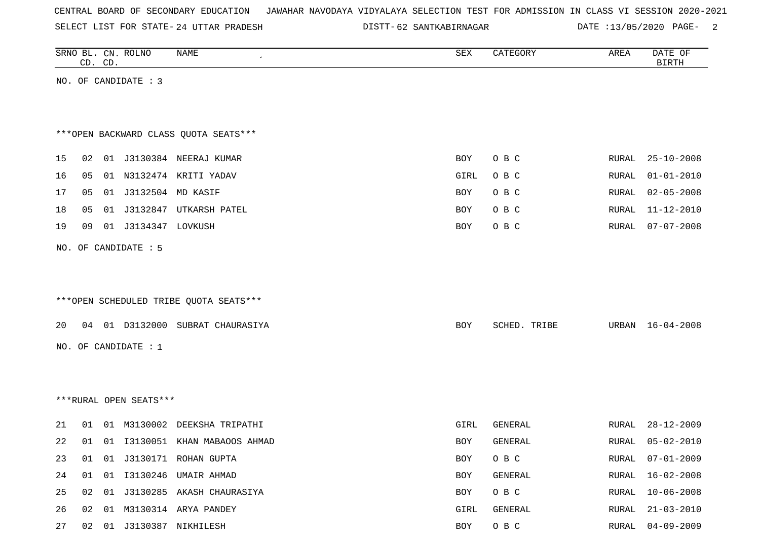SELECT LIST FOR STATE- DISTT- 24 UTTAR PRADESH

62 SANTKABIRNAGAR DATE :13/05/2020 PAGE- 2

|    |    | CD. CD. | SRNO BL. CN. ROLNO     | NAME                                   | ${\tt SEX}$ | CATEGORY     | AREA  | DATE OF<br><b>BIRTH</b> |
|----|----|---------|------------------------|----------------------------------------|-------------|--------------|-------|-------------------------|
|    |    |         | NO. OF CANDIDATE : 3   |                                        |             |              |       |                         |
|    |    |         |                        |                                        |             |              |       |                         |
|    |    |         |                        |                                        |             |              |       |                         |
|    |    |         |                        | *** OPEN BACKWARD CLASS QUOTA SEATS*** |             |              |       |                         |
| 15 |    |         |                        | 02 01 J3130384 NEERAJ KUMAR            | BOY         | O B C        | RURAL | $25 - 10 - 2008$        |
| 16 | 05 |         |                        | 01 N3132474 KRITI YADAV                | GIRL        | O B C        | RURAL | $01 - 01 - 2010$        |
| 17 | 05 |         | 01 J3132504 MD KASIF   |                                        | <b>BOY</b>  | O B C        | RURAL | $02 - 05 - 2008$        |
| 18 | 05 |         |                        | 01 J3132847 UTKARSH PATEL              | BOY         | O B C        | RURAL | $11 - 12 - 2010$        |
| 19 | 09 |         | 01 J3134347 LOVKUSH    |                                        | BOY         | O B C        | RURAL | $07 - 07 - 2008$        |
|    |    |         | NO. OF CANDIDATE : 5   |                                        |             |              |       |                         |
|    |    |         |                        |                                        |             |              |       |                         |
|    |    |         |                        |                                        |             |              |       |                         |
|    |    |         |                        | ***OPEN SCHEDULED TRIBE QUOTA SEATS*** |             |              |       |                         |
| 20 |    |         |                        | 04 01 D3132000 SUBRAT CHAURASIYA       | <b>BOY</b>  | SCHED. TRIBE |       | URBAN 16-04-2008        |
|    |    |         | NO. OF CANDIDATE : $1$ |                                        |             |              |       |                         |
|    |    |         |                        |                                        |             |              |       |                         |
|    |    |         |                        |                                        |             |              |       |                         |
|    |    |         | ***RURAL OPEN SEATS*** |                                        |             |              |       |                         |
|    |    |         |                        |                                        |             |              |       |                         |
| 21 | 01 |         |                        | 01 M3130002 DEEKSHA TRIPATHI           | GIRL        | GENERAL      | RURAL | $28 - 12 - 2009$        |
| 22 | 01 |         |                        | 01 I3130051 KHAN MABAOOS AHMAD         | <b>BOY</b>  | GENERAL      | RURAL | $05 - 02 - 2010$        |
| 23 |    |         |                        | 01 01 J3130171 ROHAN GUPTA             | BOY         | O B C        | RURAL | 07-01-2009              |
| 24 |    |         |                        | 01 01 I3130246 UMAIR AHMAD             | BOY         | GENERAL      | RURAL | $16 - 02 - 2008$        |
| 25 |    |         |                        | 02 01 J3130285 AKASH CHAURASIYA        | BOY         | O B C        | RURAL | $10 - 06 - 2008$        |
| 26 |    |         |                        | 02  01  M3130314  ARYA  PANDEY         | GIRL        | GENERAL      | RURAL | $21 - 03 - 2010$        |
| 27 |    |         |                        | 02 01 J3130387 NIKHILESH               | BOY         | O B C        | RURAL | $04 - 09 - 2009$        |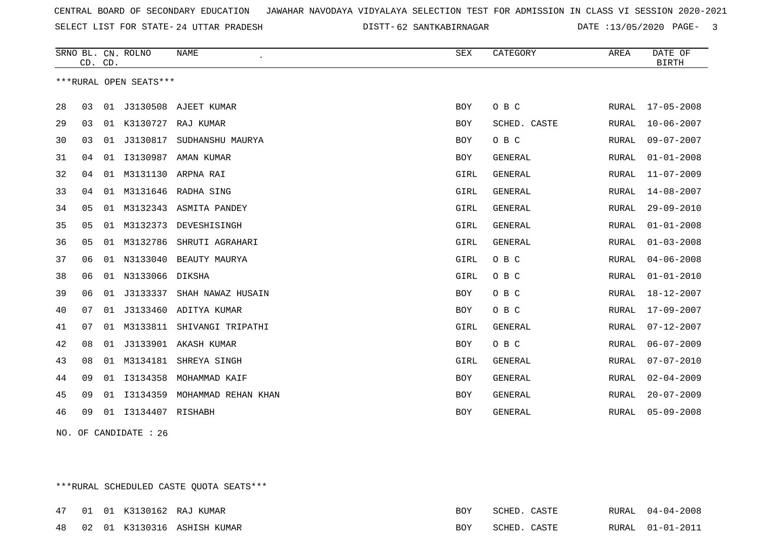SELECT LIST FOR STATE- DISTT- 24 UTTAR PRADESH

62 SANTKABIRNAGAR DATE :13/05/2020 PAGE- 3

|    | CD. CD. |    | SRNO BL. CN. ROLNO     | <b>NAME</b>           | <b>SEX</b> | CATEGORY       | AREA         | DATE OF<br><b>BIRTH</b> |
|----|---------|----|------------------------|-----------------------|------------|----------------|--------------|-------------------------|
|    |         |    | ***RURAL OPEN SEATS*** |                       |            |                |              |                         |
| 28 | 03      | 01 |                        | J3130508 AJEET KUMAR  | BOY        | O B C          | RURAL        | 17-05-2008              |
| 29 | 03      |    |                        | 01 K3130727 RAJ KUMAR | <b>BOY</b> | SCHED. CASTE   | RURAL        | $10 - 06 - 2007$        |
| 30 | 03      | 01 | J3130817               | SUDHANSHU MAURYA      | <b>BOY</b> | O B C          | RURAL        | $09 - 07 - 2007$        |
| 31 | 04      | 01 | I3130987               | AMAN KUMAR            | <b>BOY</b> | <b>GENERAL</b> | RURAL        | $01 - 01 - 2008$        |
| 32 | 04      | 01 | M3131130               | ARPNA RAI             | GIRL       | <b>GENERAL</b> | RURAL        | $11 - 07 - 2009$        |
| 33 | 04      | 01 | M3131646               | RADHA SING            | GIRL       | GENERAL        | RURAL        | $14 - 08 - 2007$        |
| 34 | 05      | 01 | M3132343               | ASMITA PANDEY         | GIRL       | GENERAL        | <b>RURAL</b> | $29 - 09 - 2010$        |
| 35 | 05      | 01 | M3132373               | DEVESHISINGH          | GIRL       | GENERAL        | RURAL        | $01 - 01 - 2008$        |
| 36 | 05      | 01 | M3132786               | SHRUTI AGRAHARI       | GIRL       | GENERAL        | RURAL        | $01 - 03 - 2008$        |
| 37 | 06      | 01 | N3133040               | BEAUTY MAURYA         | GIRL       | O B C          | RURAL        | $04 - 06 - 2008$        |
| 38 | 06      | 01 | N3133066               | DIKSHA                | GIRL       | O B C          | RURAL        | $01 - 01 - 2010$        |
| 39 | 06      | 01 | J3133337               | SHAH NAWAZ HUSAIN     | BOY        | O B C          | RURAL        | $18 - 12 - 2007$        |
| 40 | 07      | 01 | J3133460               | ADITYA KUMAR          | BOY        | O B C          | RURAL        | $17 - 09 - 2007$        |
| 41 | 07      | 01 | M3133811               | SHIVANGI TRIPATHI     | GIRL       | <b>GENERAL</b> | RURAL        | $07 - 12 - 2007$        |
| 42 | 08      | 01 |                        | J3133901 AKASH KUMAR  | BOY        | O B C          | RURAL        | $06 - 07 - 2009$        |
| 43 | 08      | 01 |                        | M3134181 SHREYA SINGH | GIRL       | <b>GENERAL</b> | RURAL        | $07 - 07 - 2010$        |
| 44 | 09      | 01 | I3134358               | MOHAMMAD KAIF         | BOY        | GENERAL        | RURAL        | $02 - 04 - 2009$        |
| 45 | 09      | 01 | I3134359               | MOHAMMAD REHAN KHAN   | BOY        | GENERAL        | RURAL        | $20 - 07 - 2009$        |
| 46 | 09      | 01 | I3134407 RISHABH       |                       | BOY        | GENERAL        | RURAL        | $05 - 09 - 2008$        |

NO. OF CANDIDATE : 26

\*\*\*RURAL SCHEDULED CASTE QUOTA SEATS\*\*\*

|  |  | 47 01 01 K3130162 RAJ KUMAR    | <b>BOY</b> | SCHED. | CASTE | RURAL 04-04-2008 |
|--|--|--------------------------------|------------|--------|-------|------------------|
|  |  | 48 02 01 K3130316 ASHISH KUMAR | <b>BOY</b> | SCHED. | CASTE | RURAL 01-01-2011 |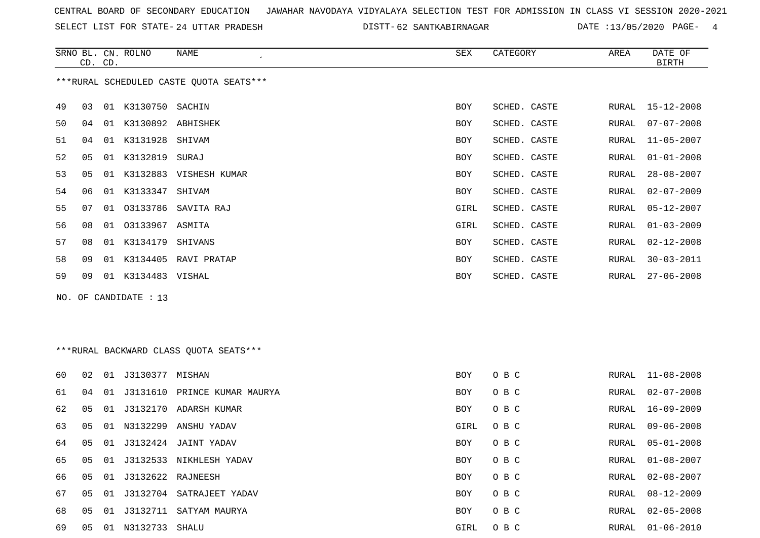SELECT LIST FOR STATE- DISTT- 24 UTTAR PRADESH

62 SANTKABIRNAGAR DATE :13/05/2020 PAGE- 4

|    | CD. CD. | SRNO BL. CN. ROLNO    | <b>NAME</b>                             | SEX        | CATEGORY     | AREA  | DATE OF<br><b>BIRTH</b> |
|----|---------|-----------------------|-----------------------------------------|------------|--------------|-------|-------------------------|
|    |         |                       | ***RURAL SCHEDULED CASTE QUOTA SEATS*** |            |              |       |                         |
| 49 | 03      | 01 K3130750 SACHIN    |                                         | BOY        | SCHED. CASTE |       | RURAL 15-12-2008        |
| 50 | 04      | 01 K3130892 ABHISHEK  |                                         | <b>BOY</b> | SCHED. CASTE | RURAL | $07 - 07 - 2008$        |
| 51 | 04      | 01 K3131928 SHIVAM    |                                         | <b>BOY</b> | SCHED. CASTE | RURAL | $11 - 05 - 2007$        |
| 52 | 05      | 01 K3132819 SURAJ     |                                         | <b>BOY</b> | SCHED. CASTE | RURAL | $01 - 01 - 2008$        |
| 53 | 05      |                       | 01 K3132883 VISHESH KUMAR               | <b>BOY</b> | SCHED. CASTE | RURAL | $28 - 08 - 2007$        |
| 54 | 06      | 01 K3133347           | SHIVAM                                  | BOY        | SCHED. CASTE | RURAL | $02 - 07 - 2009$        |
| 55 | 07      |                       | 01 03133786 SAVITA RAJ                  | GIRL       | SCHED. CASTE | RURAL | $05 - 12 - 2007$        |
| 56 | 08      | 01 03133967 ASMITA    |                                         | GIRL       | SCHED. CASTE | RURAL | $01 - 03 - 2009$        |
| 57 | 08      | 01 K3134179 SHIVANS   |                                         | BOY        | SCHED. CASTE | RURAL | $02 - 12 - 2008$        |
| 58 | 09      |                       | 01 K3134405 RAVI PRATAP                 | BOY        | SCHED. CASTE | RURAL | $30 - 03 - 2011$        |
| 59 | 09      | 01 K3134483 VISHAL    |                                         | BOY        | SCHED. CASTE | RURAL | $27 - 06 - 2008$        |
|    |         | NO. OF CANDIDATE : 13 |                                         |            |              |       |                         |
|    |         |                       | ***RURAL BACKWARD CLASS OUOTA SEATS***  |            |              |       |                         |
| 60 |         | 02 01 J3130377 MISHAN |                                         | BOY        | O B C        | RURAL | $11 - 08 - 2008$        |
| 61 | 04      |                       | 01 J3131610 PRINCE KUMAR MAURYA         | BOY.       | O B C        | RURAL | $02 - 07 - 2008$        |

| 60 | 02       |    | 01 J3130377 MISHAN   |                                 | BOY  | O B C | RURAL | 11-08-2008       |
|----|----------|----|----------------------|---------------------------------|------|-------|-------|------------------|
| 61 | 04       |    |                      | 01 J3131610 PRINCE KUMAR MAURYA | BOY  | O B C | RURAL | 02-07-2008       |
|    | 62<br>05 |    |                      | 01 J3132170 ADARSH KUMAR        | BOY  | O B C | RURAL | 16-09-2009       |
| 63 | 05       |    |                      | 01 N3132299 ANSHU YADAV         | GIRL | O B C | RURAL | 09-06-2008       |
| 64 | 05       |    |                      | 01 J3132424 JAINT YADAV         | BOY  | O B C | RURAL | 05-01-2008       |
| 65 | 05       |    |                      | 01 J3132533 NIKHLESH YADAV      | BOY  | O B C | RURAL | $01 - 08 - 2007$ |
| 66 | 05       |    | 01 J3132622 RAJNEESH |                                 | BOY  | O B C | RURAL | 02-08-2007       |
| 67 | 05       |    | 01 J3132704          | SATRAJEET YADAV                 | BOY  | O B C | RURAL | $08 - 12 - 2009$ |
| 68 | 05       |    | 01 J3132711          | SATYAM MAURYA                   | BOY  | O B C | RURAL | $02 - 05 - 2008$ |
| 69 | 05       | 01 | N3132733             | SHALU                           | GIRL | O B C | RURAL | $01 - 06 - 2010$ |
|    |          |    |                      |                                 |      |       |       |                  |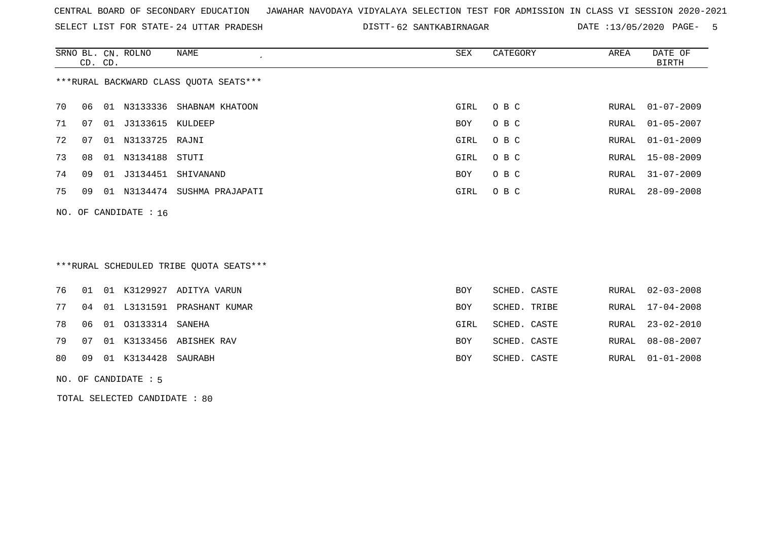SELECT LIST FOR STATE- DISTT- 24 UTTAR PRADESH

62 SANTKABIRNAGAR DATE :13/05/2020 PAGE- 5

|                                        | CD. CD.                 |    | SRNO BL. CN. ROLNO  | NAME                     | SEX  | CATEGORY | AREA  | DATE OF<br>BIRTH |  |  |
|----------------------------------------|-------------------------|----|---------------------|--------------------------|------|----------|-------|------------------|--|--|
| ***RURAL BACKWARD CLASS QUOTA SEATS*** |                         |    |                     |                          |      |          |       |                  |  |  |
| 70                                     | 06                      | 01 |                     | N3133336 SHABNAM KHATOON | GIRL | O B C    | RURAL | $01 - 07 - 2009$ |  |  |
| 71                                     | 07                      |    | 01 J3133615 KULDEEP |                          | BOY  | O B C    | RURAL | $01 - 05 - 2007$ |  |  |
| 72                                     | 07                      | 01 | N3133725 RAJNI      |                          | GIRL | O B C    | RURAL | $01 - 01 - 2009$ |  |  |
| 73                                     | 08                      |    | 01 N3134188 STUTI   |                          | GIRL | O B C    |       | RURAL 15-08-2009 |  |  |
| 74                                     | 09                      | 01 | J3134451            | SHIVANAND                | BOY  | O B C    | RURAL | $31 - 07 - 2009$ |  |  |
| 75                                     | 09                      | 01 | N3134474            | SUSHMA PRAJAPATI         | GIRL | O B C    | RURAL | $28 - 09 - 2008$ |  |  |
|                                        | NO. OF CANDIDATE : $16$ |    |                     |                          |      |          |       |                  |  |  |

# \*\*\*RURAL SCHEDULED TRIBE QUOTA SEATS\*\*\*

|  |                           | 76 01 01 K3129927 ADITYA VARUN   | BOY        | SCHED. CASTE |  | RURAL 02-03-2008 |
|--|---------------------------|----------------------------------|------------|--------------|--|------------------|
|  |                           | 77 04 01 L3131591 PRASHANT KUMAR | <b>BOY</b> | SCHED. TRIBE |  | RURAL 17-04-2008 |
|  | 78 06 01 03133314 SANEHA  |                                  | GIRL       | SCHED. CASTE |  | RURAL 23-02-2010 |
|  |                           | 79 07 01 K3133456 ABISHEK RAV    | BOY        | SCHED. CASTE |  | RURAL 08-08-2007 |
|  | 80 09 01 K3134428 SAURABH |                                  | BOY        | SCHED. CASTE |  | RURAL 01-01-2008 |
|  |                           |                                  |            |              |  |                  |

#### NO. OF CANDIDATE : 5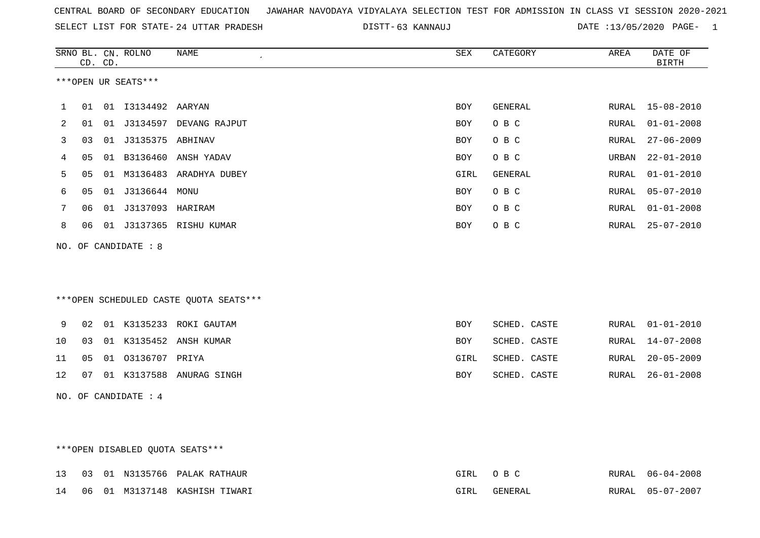|  |  |  |  |  | CENTRAL BOARD OF SECONDARY EDUCATION GJAWAHAR NAVODAYA VIDYALAYA SELECTION TEST FOR ADMISSION IN CLASS VI SESSION 2020-2021 |  |  |  |  |  |  |  |  |  |  |  |  |
|--|--|--|--|--|-----------------------------------------------------------------------------------------------------------------------------|--|--|--|--|--|--|--|--|--|--|--|--|
|--|--|--|--|--|-----------------------------------------------------------------------------------------------------------------------------|--|--|--|--|--|--|--|--|--|--|--|--|

SELECT LIST FOR STATE- DISTT- 24 UTTAR PRADESH 63 KANNAUJ DATE :13/05/2020 PAGE- 1

|    |    | CD. CD. | SRNO BL. CN. ROLNO   | <b>NAME</b>                            | SEX        | CATEGORY     | AREA         | DATE OF<br><b>BIRTH</b> |
|----|----|---------|----------------------|----------------------------------------|------------|--------------|--------------|-------------------------|
|    |    |         | ***OPEN UR SEATS***  |                                        |            |              |              |                         |
| 1  | 01 |         |                      |                                        | <b>BOY</b> | GENERAL      | RURAL        | $15 - 08 - 2010$        |
| 2  | 01 | 01      |                      | J3134597 DEVANG RAJPUT                 | <b>BOY</b> | O B C        | <b>RURAL</b> | $01 - 01 - 2008$        |
| 3  | 03 | 01      | J3135375 ABHINAV     |                                        | BOY        | O B C        | RURAL        | $27 - 06 - 2009$        |
| 4  | 05 |         |                      | 01 B3136460 ANSH YADAV                 | BOY        | O B C        | URBAN        | $22 - 01 - 2010$        |
| 5  | 05 |         |                      | 01 M3136483 ARADHYA DUBEY              | GIRL       | GENERAL      | RURAL        | $01 - 01 - 2010$        |
| 6  | 05 |         |                      |                                        | <b>BOY</b> | O B C        | <b>RURAL</b> | $05 - 07 - 2010$        |
| 7  | 06 |         |                      |                                        | <b>BOY</b> | O B C        | RURAL        | $01 - 01 - 2008$        |
| 8  | 06 |         |                      | 01 J3137365 RISHU KUMAR                | <b>BOY</b> | O B C        | RURAL        | $25 - 07 - 2010$        |
|    |    |         | NO. OF CANDIDATE : 8 |                                        |            |              |              |                         |
|    |    |         |                      | ***OPEN SCHEDULED CASTE QUOTA SEATS*** |            |              |              |                         |
| 9  | 02 |         |                      | 01 K3135233 ROKI GAUTAM                | BOY        | SCHED. CASTE | RURAL        | $01 - 01 - 2010$        |
| 10 | 03 |         |                      | 01 K3135452 ANSH KUMAR                 | <b>BOY</b> | SCHED. CASTE | RURAL        | $14 - 07 - 2008$        |
| 11 | 05 | 01      | 03136707 PRIYA       |                                        | GIRL       | SCHED. CASTE | RURAL        | $20 - 05 - 2009$        |
| 12 | 07 |         |                      | 01 K3137588 ANURAG SINGH               | <b>BOY</b> | SCHED. CASTE | RURAL        | $26 - 01 - 2008$        |
|    |    |         | NO. OF CANDIDATE : 4 |                                        |            |              |              |                         |

## \*\*\*OPEN DISABLED QUOTA SEATS\*\*\*

|  |  | 13 03 01 N3135766 PALAK RATHAUR  |      | GIRL OBC | RURAL 06-04-2008 |
|--|--|----------------------------------|------|----------|------------------|
|  |  | 14 06 01 M3137148 KASHISH TIWARI | GIRL | GENERAL  | RURAL 05-07-2007 |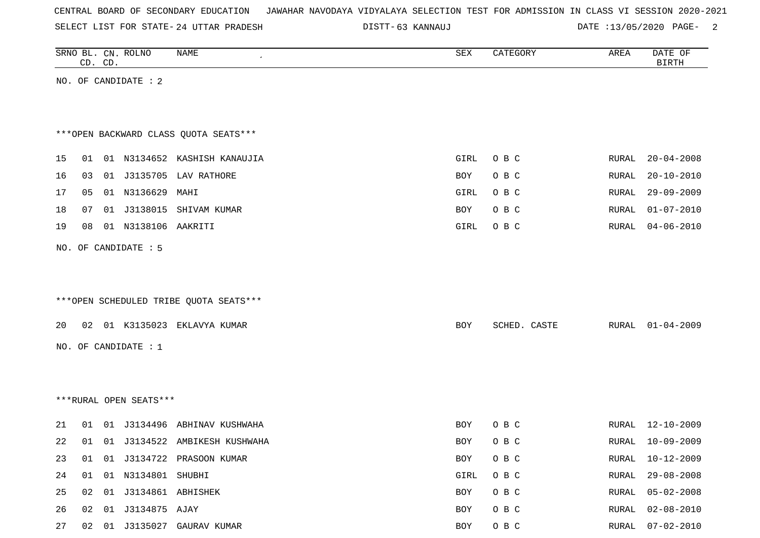| CENTRAL BOARD OF SECONDARY EDUCATION – JAWAHAR NAVODAYA VIDYALAYA SELECTION TEST FOR ADMISSION IN CLASS VI SESSION 2020-2021 |  |  |  |  |
|------------------------------------------------------------------------------------------------------------------------------|--|--|--|--|
|------------------------------------------------------------------------------------------------------------------------------|--|--|--|--|

SELECT LIST FOR STATE- DISTT- 24 UTTAR PRADESH

DISTT-63 KANNAUJ 2008 2012 13/05/2020 PAGE- 2

|    |    | CD. CD. | SRNO BL. CN. ROLNO       | NAME                                   | SEX        | CATEGORY     | AREA         | DATE OF<br><b>BIRTH</b> |
|----|----|---------|--------------------------|----------------------------------------|------------|--------------|--------------|-------------------------|
|    |    |         | NO. OF CANDIDATE : 2     |                                        |            |              |              |                         |
|    |    |         |                          |                                        |            |              |              |                         |
|    |    |         |                          |                                        |            |              |              |                         |
|    |    |         |                          | *** OPEN BACKWARD CLASS QUOTA SEATS*** |            |              |              |                         |
| 15 | 01 |         |                          | 01 N3134652 KASHISH KANAUJIA           | GIRL       | O B C        | RURAL        | $20 - 04 - 2008$        |
| 16 | 03 |         |                          | 01 J3135705 LAV RATHORE                | BOY        | O B C        | RURAL        | $20 - 10 - 2010$        |
| 17 | 05 |         | 01 N3136629 MAHI         |                                        | GIRL       | O B C        | RURAL        | $29 - 09 - 2009$        |
| 18 | 07 |         |                          | 01 J3138015 SHIVAM KUMAR               | BOY        | O B C        | RURAL        | $01 - 07 - 2010$        |
| 19 | 08 |         | 01 N3138106 AAKRITI      |                                        | GIRL       | O B C        | RURAL        | $04 - 06 - 2010$        |
|    |    |         | NO. OF CANDIDATE : 5     |                                        |            |              |              |                         |
|    |    |         |                          |                                        |            |              |              |                         |
|    |    |         |                          |                                        |            |              |              |                         |
|    |    |         |                          | ***OPEN SCHEDULED TRIBE QUOTA SEATS*** |            |              |              |                         |
| 20 |    |         |                          | 02 01 K3135023 EKLAVYA KUMAR           | BOY        | SCHED. CASTE | RURAL        | $01 - 04 - 2009$        |
|    |    |         |                          |                                        |            |              |              |                         |
|    |    |         | NO. OF CANDIDATE : 1     |                                        |            |              |              |                         |
|    |    |         |                          |                                        |            |              |              |                         |
|    |    |         |                          |                                        |            |              |              |                         |
|    |    |         | ***RURAL OPEN SEATS***   |                                        |            |              |              |                         |
| 21 | 01 |         |                          | 01 J3134496 ABHINAV KUSHWAHA           | <b>BOY</b> | O B C        | RURAL        | $12 - 10 - 2009$        |
| 22 | 01 |         |                          | 01 J3134522 AMBIKESH KUSHWAHA          | BOY        | O B C        | RURAL        | $10 - 09 - 2009$        |
| 23 |    |         |                          | 01  01  J3134722  PRASOON KUMAR        | BOY        | O B C        |              | RURAL 10-12-2009        |
| 24 |    |         | 01  01  N3134801  SHUBHI |                                        | GIRL       | O B C        | RURAL        | $29 - 08 - 2008$        |
| 25 |    |         | 02 01 J3134861 ABHISHEK  |                                        | BOY        | O B C        | <b>RURAL</b> | $05 - 02 - 2008$        |
| 26 |    |         | 02  01  J3134875  AJAY   |                                        | BOY        | O B C        | RURAL        | $02 - 08 - 2010$        |
| 27 |    |         |                          | 02 01 J3135027 GAURAV KUMAR            | BOY        | $O$ B $C$    | RURAL        | $07 - 02 - 2010$        |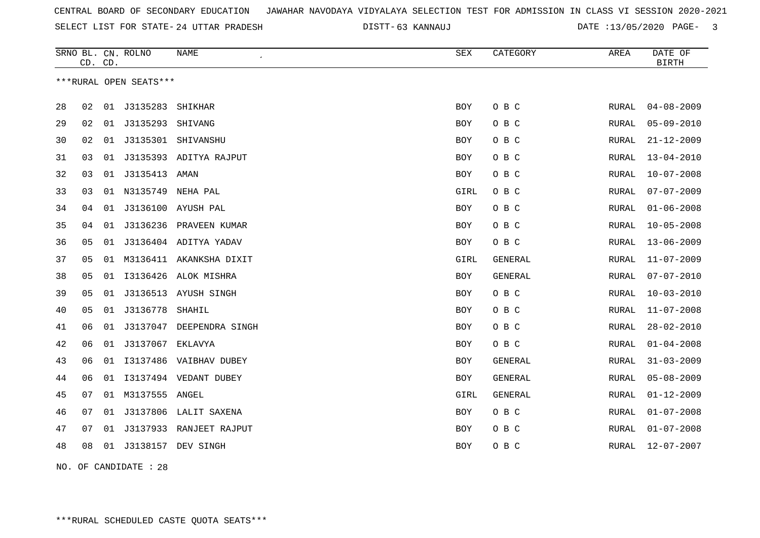SELECT LIST FOR STATE- DISTT- 24 UTTAR PRADESH

63 KANNAUJ DATE :13/05/2020 PAGE- 3

|    | CD. CD. |    | SRNO BL. CN. ROLNO     | NAME<br>$\pmb{\cdot}$   | SEX        | CATEGORY       | AREA         | DATE OF<br><b>BIRTH</b> |
|----|---------|----|------------------------|-------------------------|------------|----------------|--------------|-------------------------|
|    |         |    | ***RURAL OPEN SEATS*** |                         |            |                |              |                         |
| 28 | 02      | 01 | J3135283               | SHIKHAR                 | <b>BOY</b> | O B C          | RURAL        | $04 - 08 - 2009$        |
| 29 | 02      | 01 | J3135293               | SHIVANG                 | BOY        | O B C          | RURAL        | $05 - 09 - 2010$        |
| 30 | 02      | 01 |                        | J3135301 SHIVANSHU      | <b>BOY</b> | O B C          | RURAL        | $21 - 12 - 2009$        |
| 31 | 03      | 01 |                        | J3135393 ADITYA RAJPUT  | BOY        | O B C          | RURAL        | $13 - 04 - 2010$        |
| 32 | 03      | 01 | J3135413 AMAN          |                         | <b>BOY</b> | O B C          | RURAL        | $10 - 07 - 2008$        |
| 33 | 03      |    | 01 N3135749            | NEHA PAL                | GIRL       | O B C          | RURAL        | $07 - 07 - 2009$        |
| 34 | 04      | 01 |                        | J3136100 AYUSH PAL      | BOY        | O B C          | RURAL        | $01 - 06 - 2008$        |
| 35 | 04      | 01 |                        | J3136236 PRAVEEN KUMAR  | <b>BOY</b> | O B C          | RURAL        | $10 - 05 - 2008$        |
| 36 | 05      | 01 |                        | J3136404 ADITYA YADAV   | BOY        | O B C          | RURAL        | $13 - 06 - 2009$        |
| 37 | 05      | 01 |                        | M3136411 AKANKSHA DIXIT | GIRL       | <b>GENERAL</b> | RURAL        | $11 - 07 - 2009$        |
| 38 | 05      | 01 |                        | I3136426 ALOK MISHRA    | <b>BOY</b> | <b>GENERAL</b> | RURAL        | $07 - 07 - 2010$        |
| 39 | 05      | 01 |                        | J3136513 AYUSH SINGH    | <b>BOY</b> | O B C          | RURAL        | $10 - 03 - 2010$        |
| 40 | 05      | 01 | J3136778               | SHAHIL                  | <b>BOY</b> | O B C          | RURAL        | $11 - 07 - 2008$        |
| 41 | 06      | 01 | J3137047               | DEEPENDRA SINGH         | <b>BOY</b> | O B C          | RURAL        | $28 - 02 - 2010$        |
| 42 | 06      | 01 | J3137067               | EKLAVYA                 | <b>BOY</b> | O B C          | RURAL        | $01 - 04 - 2008$        |
| 43 | 06      | 01 |                        | I3137486 VAIBHAV DUBEY  | <b>BOY</b> | <b>GENERAL</b> | <b>RURAL</b> | $31 - 03 - 2009$        |
| 44 | 06      | 01 |                        | I3137494 VEDANT DUBEY   | <b>BOY</b> | <b>GENERAL</b> | RURAL        | $05 - 08 - 2009$        |
| 45 | 07      | 01 | M3137555 ANGEL         |                         | GIRL       | GENERAL        | RURAL        | $01 - 12 - 2009$        |
| 46 | 07      | 01 |                        | J3137806 LALIT SAXENA   | BOY        | O B C          | RURAL        | $01 - 07 - 2008$        |
| 47 | 07      | 01 | J3137933               | RANJEET RAJPUT          | BOY        | O B C          | RURAL        | $01 - 07 - 2008$        |
| 48 | 08      |    | 01 J3138157            | DEV SINGH               | <b>BOY</b> | O B C          | RURAL        | $12 - 07 - 2007$        |

NO. OF CANDIDATE : 28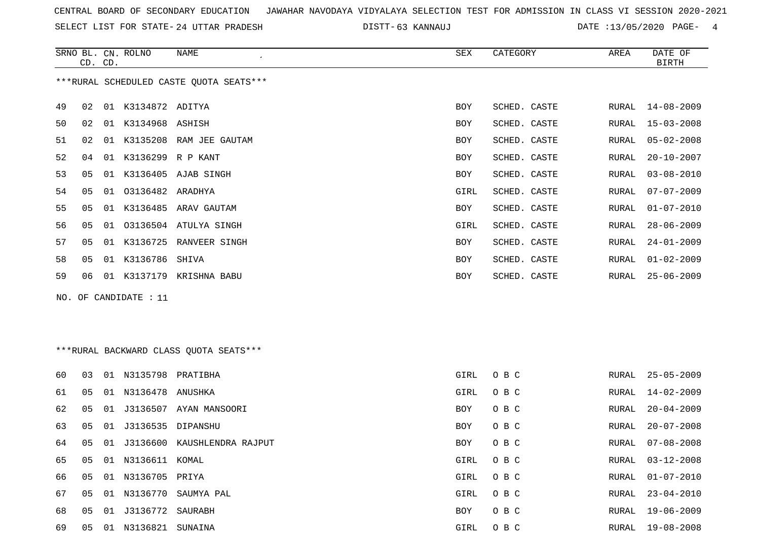SELECT LIST FOR STATE- DISTT- 24 UTTAR PRADESH

63 KANNAUJ DATE :13/05/2020 PAGE- 4

|    |    | CD. CD. | SRNO BL. CN. ROLNO    | <b>NAME</b>                             | SEX        | CATEGORY     | AREA  | DATE OF<br><b>BIRTH</b> |
|----|----|---------|-----------------------|-----------------------------------------|------------|--------------|-------|-------------------------|
|    |    |         |                       | ***RURAL SCHEDULED CASTE OUOTA SEATS*** |            |              |       |                         |
| 49 | 02 |         | 01 K3134872 ADITYA    |                                         | <b>BOY</b> | SCHED. CASTE | RURAL | $14 - 08 - 2009$        |
| 50 | 02 | 01      | K3134968 ASHISH       |                                         | BOY        | SCHED. CASTE | RURAL | $15 - 03 - 2008$        |
| 51 | 02 | 01      |                       | K3135208 RAM JEE GAUTAM                 | <b>BOY</b> | SCHED. CASTE | RURAL | $05 - 02 - 2008$        |
| 52 | 04 | 01      | K3136299 R P KANT     |                                         | <b>BOY</b> | SCHED. CASTE | RURAL | $20 - 10 - 2007$        |
| 53 | 05 | 01      |                       | K3136405 AJAB SINGH                     | <b>BOY</b> | SCHED. CASTE | RURAL | $03 - 08 - 2010$        |
| 54 | 05 | 01      | 03136482 ARADHYA      |                                         | GIRL       | SCHED. CASTE | RURAL | $07 - 07 - 2009$        |
| 55 | 05 |         |                       | 01 K3136485 ARAV GAUTAM                 | BOY        | SCHED. CASTE | RURAL | $01 - 07 - 2010$        |
| 56 | 05 |         |                       | 01 03136504 ATULYA SINGH                | GIRL       | SCHED. CASTE | RURAL | $28 - 06 - 2009$        |
| 57 | 05 |         |                       | 01 K3136725 RANVEER SINGH               | <b>BOY</b> | SCHED. CASTE | RURAL | $24 - 01 - 2009$        |
| 58 | 05 |         | 01 K3136786 SHIVA     |                                         | <b>BOY</b> | SCHED. CASTE | RURAL | $01 - 02 - 2009$        |
| 59 | 06 |         |                       | 01 K3137179 KRISHNA BABU                | <b>BOY</b> | SCHED. CASTE | RURAL | $25 - 06 - 2009$        |
|    |    |         | NO. OF CANDIDATE : 11 |                                         |            |              |       |                         |
|    |    |         |                       |                                         |            |              |       |                         |
|    |    |         |                       |                                         |            |              |       |                         |
|    |    |         |                       | ***RURAL RACKWARD CLASS OUOTA SEATS***  |            |              |       |                         |

|  | ***RURAL BACKWARD CLASS QUOTA SEATS*** |  |  |  |
|--|----------------------------------------|--|--|--|
|--|----------------------------------------|--|--|--|

| 60 | 0 <sub>3</sub> | 01 | N3135798             | PRATIBHA                    | GIRL       | O B C | RURAL | 25-05-2009       |
|----|----------------|----|----------------------|-----------------------------|------------|-------|-------|------------------|
| 61 | 05             | 01 | N3136478 ANUSHKA     |                             | GIRL       | O B C | RURAL | 14-02-2009       |
| 62 | 05             |    |                      | 01 J3136507 AYAN MANSOORI   | <b>BOY</b> | O B C | RURAL | 20-04-2009       |
| 63 | 05             |    | 01 J3136535 DIPANSHU |                             | BOY        | O B C | RURAL | 20-07-2008       |
| 64 | 05             | 01 |                      | J3136600 KAUSHLENDRA RAJPUT | <b>BOY</b> | O B C | RURAL | 07-08-2008       |
| 65 | 05             | 01 | N3136611 KOMAL       |                             | GIRL       | O B C | RURAL | 03-12-2008       |
| 66 | 05             |    | 01 N3136705 PRIYA    |                             | GIRL       | O B C | RURAL | 01-07-2010       |
| 67 | 05             | 01 | N3136770             | SAUMYA PAL                  | GIRL       | O B C | RURAL | $23 - 04 - 2010$ |
| 68 | 05             | 01 | J3136772             | SAURABH                     | <b>BOY</b> | O B C | RURAL | 19-06-2009       |
| 69 | 05             | 01 | N3136821             | SUNAINA                     | GIRL       | O B C | RURAL | 19-08-2008       |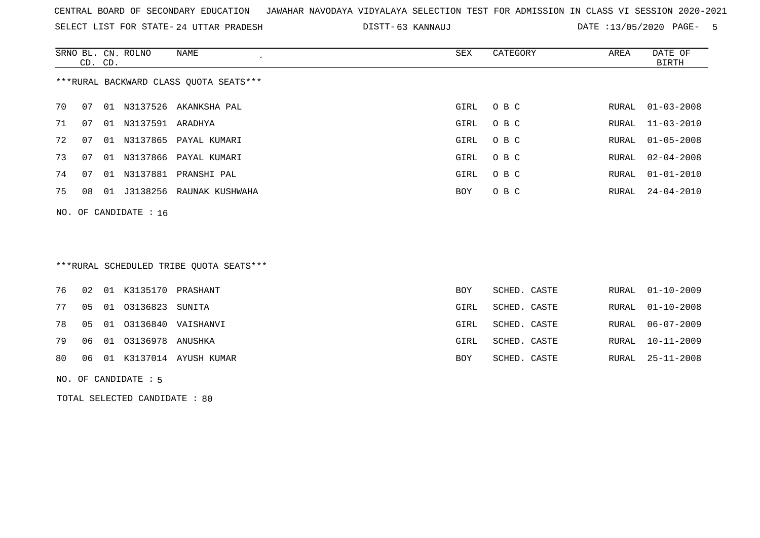SELECT LIST FOR STATE- DISTT- 24 UTTAR PRADESH

63 KANNAUJ DATE :13/05/2020 PAGE- 5

|    | CD. CD. |    | SRNO BL. CN. ROLNO      | NAME                                   | SEX  | CATEGORY | AREA  | DATE OF<br>BIRTH |
|----|---------|----|-------------------------|----------------------------------------|------|----------|-------|------------------|
|    |         |    |                         | ***RURAL BACKWARD CLASS QUOTA SEATS*** |      |          |       |                  |
| 70 | 07      | 01 |                         | N3137526 AKANKSHA PAL                  | GIRL | O B C    | RURAL | $01 - 03 - 2008$ |
| 71 | 07      | 01 | N3137591 ARADHYA        |                                        | GIRL | O B C    | RURAL | $11 - 03 - 2010$ |
| 72 | 07      |    |                         | 01 N3137865 PAYAL KUMARI               | GIRL | O B C    | RURAL | $01 - 05 - 2008$ |
| 73 | 07      | 01 |                         | N3137866 PAYAL KUMARI                  | GIRL | O B C    | RURAL | $02 - 04 - 2008$ |
| 74 | 07      | 01 | N3137881                | PRANSHI PAL                            | GIRL | O B C    | RURAL | $01 - 01 - 2010$ |
| 75 | 08      | 01 |                         | J3138256 RAUNAK KUSHWAHA               | BOY  | O B C    |       | RURAL 24-04-2010 |
|    |         |    | NO. OF CANDIDATE : $16$ |                                        |      |          |       |                  |

## \*\*\*RURAL SCHEDULED TRIBE QUOTA SEATS\*\*\*

| RURAL 01-10-2008 |
|------------------|
|                  |
| RURAL 06-07-2009 |
| RURAL 10-11-2009 |
| RURAL 25-11-2008 |
|                  |

#### NO. OF CANDIDATE : 5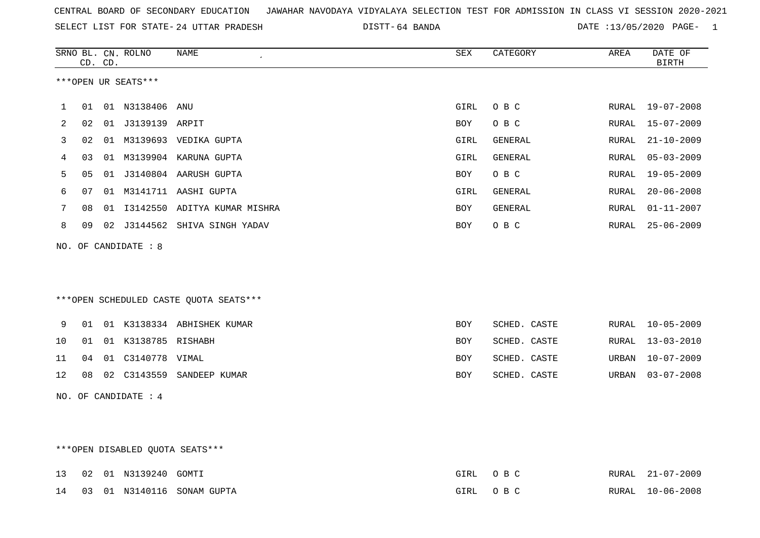|  |  |  |  | CENTRAL BOARD OF SECONDARY EDUCATION – JAWAHAR NAVODAYA VIDYALAYA SELECTION TEST FOR ADMISSION IN CLASS VI SESSION 2020-2021 |  |  |  |  |  |  |  |  |  |  |  |  |  |  |
|--|--|--|--|------------------------------------------------------------------------------------------------------------------------------|--|--|--|--|--|--|--|--|--|--|--|--|--|--|
|--|--|--|--|------------------------------------------------------------------------------------------------------------------------------|--|--|--|--|--|--|--|--|--|--|--|--|--|--|

SELECT LIST FOR STATE- DISTT- 24 UTTAR PRADESH 64 BANDA DATE :13/05/2020 PAGE- 1

|    | CD. CD. | SRNO BL. CN. ROLNO    | <b>NAME</b>                            | SEX        | CATEGORY       | AREA  | DATE OF<br><b>BIRTH</b> |
|----|---------|-----------------------|----------------------------------------|------------|----------------|-------|-------------------------|
|    |         | ***OPEN UR SEATS***   |                                        |            |                |       |                         |
| 1  |         | 01  01  N3138406  ANU |                                        | GIRL       | O B C          |       | RURAL 19-07-2008        |
| 2  | 02      |                       |                                        | BOY        | O B C          | RURAL | $15 - 07 - 2009$        |
| 3  | 02      |                       | 01 M3139693 VEDIKA GUPTA               | GIRL       | GENERAL        | RURAL | $21 - 10 - 2009$        |
| 4  | 03      |                       | 01 M3139904 KARUNA GUPTA               | GIRL       | <b>GENERAL</b> | RURAL | $05 - 03 - 2009$        |
| 5  | 05      |                       | 01 J3140804 AARUSH GUPTA               | BOY        | O B C          | RURAL | $19 - 05 - 2009$        |
| 6  | 07      |                       | 01 M3141711 AASHI GUPTA                | GIRL       | <b>GENERAL</b> | RURAL | $20 - 06 - 2008$        |
| 7  | 08      |                       | 01 I3142550 ADITYA KUMAR MISHRA        | BOY        | <b>GENERAL</b> | RURAL | $01 - 11 - 2007$        |
| 8  | 09      |                       | 02 J3144562 SHIVA SINGH YADAV          | BOY        | O B C          | RURAL | $25 - 06 - 2009$        |
|    |         | NO. OF CANDIDATE : 8  |                                        |            |                |       |                         |
|    |         |                       | ***OPEN SCHEDULED CASTE QUOTA SEATS*** |            |                |       |                         |
| 9  |         |                       | 01 01 K3138334 ABHISHEK KUMAR          | <b>BOY</b> | SCHED. CASTE   | RURAL | $10 - 05 - 2009$        |
| 10 | 01      | 01 K3138785 RISHABH   |                                        | <b>BOY</b> | SCHED. CASTE   | RURAL | $13 - 03 - 2010$        |
| 11 | 04      | 01 C3140778 VIMAL     |                                        | BOY        | SCHED. CASTE   | URBAN | $10 - 07 - 2009$        |
| 12 |         |                       | 08 02 C3143559 SANDEEP KUMAR           | BOY        | SCHED. CASTE   | URBAN | $03 - 07 - 2008$        |
|    |         | NO. OF CANDIDATE : 4  |                                        |            |                |       |                         |

## \*\*\*OPEN DISABLED QUOTA SEATS\*\*\*

|  | 13  02  01  N3139240  GOMTI |                               | GIRL OBC |  | RURAL 21-07-2009 |
|--|-----------------------------|-------------------------------|----------|--|------------------|
|  |                             | 14 03 01 N3140116 SONAM GUPTA | GIRL OBC |  | RURAL 10-06-2008 |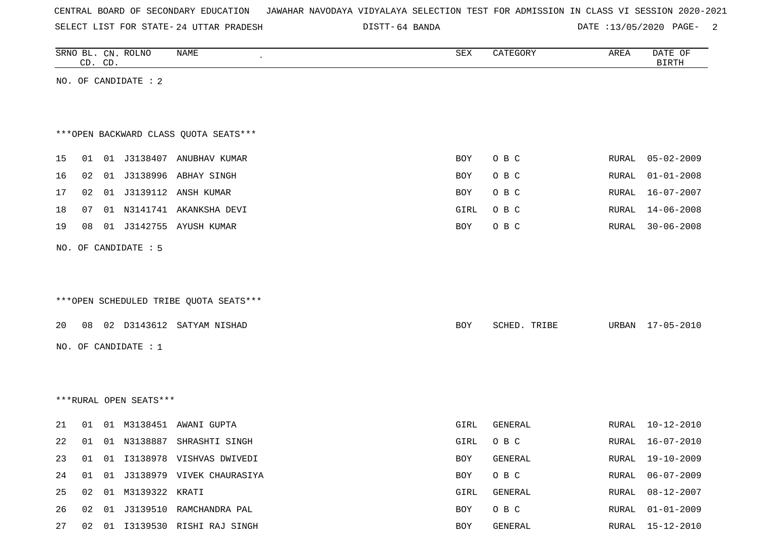| CENTRAL BOARD OF SECONDARY EDUCATION – JAWAHAR NAVODAYA VIDYALAYA SELECTION TEST FOR ADMISSION IN CLASS VI SESSION 2020-2021 |  |  |  |  |
|------------------------------------------------------------------------------------------------------------------------------|--|--|--|--|
|------------------------------------------------------------------------------------------------------------------------------|--|--|--|--|

SELECT LIST FOR STATE- DISTT- 24 UTTAR PRADESH

DISTT-64 BANDA **DATE** :13/05/2020 PAGE- 2

|    |    | CD. CD. | SRNO BL. CN. ROLNO     | NAME                                   | SEX  | CATEGORY     | AREA  | DATE OF<br><b>BIRTH</b> |
|----|----|---------|------------------------|----------------------------------------|------|--------------|-------|-------------------------|
|    |    |         | NO. OF CANDIDATE : 2   |                                        |      |              |       |                         |
|    |    |         |                        |                                        |      |              |       |                         |
|    |    |         |                        |                                        |      |              |       |                         |
|    |    |         |                        | *** OPEN BACKWARD CLASS QUOTA SEATS*** |      |              |       |                         |
| 15 | 01 |         |                        | 01 J3138407 ANUBHAV KUMAR              | BOY  | O B C        | RURAL | $05 - 02 - 2009$        |
| 16 | 02 |         |                        | 01 J3138996 ABHAY SINGH                | BOY  | O B C        | RURAL | $01 - 01 - 2008$        |
| 17 | 02 |         |                        | 01 J3139112 ANSH KUMAR                 | BOY  | O B C        | RURAL | 16-07-2007              |
| 18 | 07 |         |                        | 01 N3141741 AKANKSHA DEVI              | GIRL | O B C        | RURAL | $14 - 06 - 2008$        |
| 19 | 08 |         |                        | 01 J3142755 AYUSH KUMAR                | BOY  | O B C        | RURAL | $30 - 06 - 2008$        |
|    |    |         | NO. OF CANDIDATE : 5   |                                        |      |              |       |                         |
|    |    |         |                        |                                        |      |              |       |                         |
|    |    |         |                        |                                        |      |              |       |                         |
|    |    |         |                        | ***OPEN SCHEDULED TRIBE QUOTA SEATS*** |      |              |       |                         |
|    |    |         |                        |                                        |      |              |       |                         |
| 20 | 08 |         |                        | 02 D3143612 SATYAM NISHAD              | BOY  | SCHED. TRIBE | URBAN | 17-05-2010              |
|    |    |         | NO. OF CANDIDATE : $1$ |                                        |      |              |       |                         |
|    |    |         |                        |                                        |      |              |       |                         |
|    |    |         |                        |                                        |      |              |       |                         |
|    |    |         | ***RURAL OPEN SEATS*** |                                        |      |              |       |                         |
| 21 | 01 |         |                        | 01 M3138451 AWANI GUPTA                | GIRL | GENERAL      | RURAL | $10 - 12 - 2010$        |
| 22 |    |         |                        | 01 01 N3138887 SHRASHTI SINGH          | GIRL | O B C        | RURAL | 16-07-2010              |
| 23 |    |         |                        | 01  01  13138978  VISHVAS  DWIVEDI     | BOY  | GENERAL      | RURAL | 19-10-2009              |
| 24 | 01 |         |                        | 01 J3138979 VIVEK CHAURASIYA           | BOY  | O B C        | RURAL | $06 - 07 - 2009$        |
| 25 |    |         | 02 01 M3139322 KRATI   |                                        | GIRL | GENERAL      | RURAL | $08 - 12 - 2007$        |
| 26 | 02 |         |                        | 01 J3139510 RAMCHANDRA PAL             | BOY  | O B C        | RURAL | $01 - 01 - 2009$        |
| 27 |    |         |                        | 02 01 I3139530 RISHI RAJ SINGH         | BOY  | GENERAL      |       | RURAL 15-12-2010        |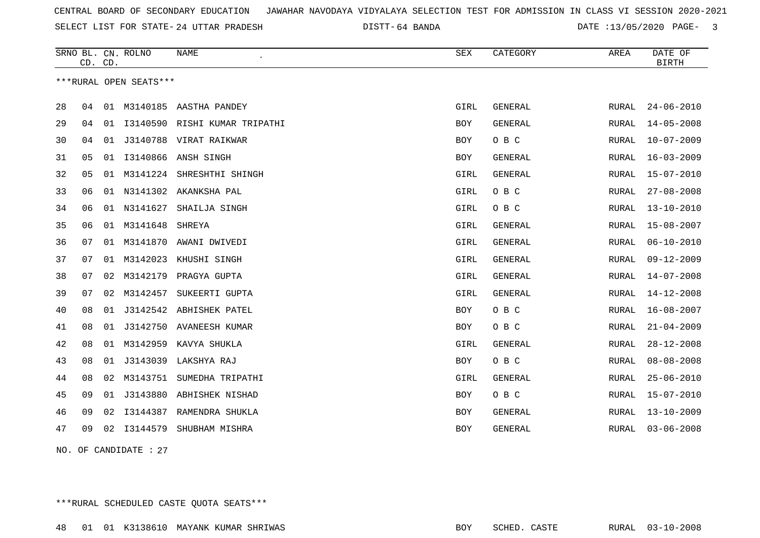SELECT LIST FOR STATE- DISTT- 24 UTTAR PRADESH

64 BANDA DATE :13/05/2020 PAGE- 3

|    | CD. CD. |    | SRNO BL. CN. ROLNO     | <b>NAME</b>                   | <b>SEX</b> | CATEGORY       | AREA  | DATE OF<br><b>BIRTH</b> |
|----|---------|----|------------------------|-------------------------------|------------|----------------|-------|-------------------------|
|    |         |    | ***RURAL OPEN SEATS*** |                               |            |                |       |                         |
| 28 | 04      |    |                        | 01 M3140185 AASTHA PANDEY     | GIRL       | GENERAL        | RURAL | $24 - 06 - 2010$        |
| 29 | 04      | 01 |                        | 13140590 RISHI KUMAR TRIPATHI | BOY        | <b>GENERAL</b> | RURAL | $14 - 05 - 2008$        |
| 30 | 04      |    |                        | 01 J3140788 VIRAT RAIKWAR     | BOY        | O B C          | RURAL | $10 - 07 - 2009$        |
| 31 | 05      | 01 |                        | I3140866 ANSH SINGH           | BOY        | GENERAL        | RURAL | $16 - 03 - 2009$        |
| 32 | 05      | 01 | M3141224               | SHRESHTHI SHINGH              | GIRL       | GENERAL        | RURAL | $15 - 07 - 2010$        |
| 33 | 06      |    |                        | 01 N3141302 AKANKSHA PAL      | GIRL       | O B C          | RURAL | $27 - 08 - 2008$        |
| 34 | 06      | 01 | N3141627               | SHAILJA SINGH                 | GIRL       | O B C          | RURAL | $13 - 10 - 2010$        |
| 35 | 06      |    | 01 M3141648            | SHREYA                        | GIRL       | <b>GENERAL</b> | RURAL | $15 - 08 - 2007$        |
| 36 | 07      | 01 |                        | M3141870 AWANI DWIVEDI        | GIRL       | <b>GENERAL</b> | RURAL | $06 - 10 - 2010$        |
| 37 | 07      | 01 | M3142023               | KHUSHI SINGH                  | GIRL       | GENERAL        | RURAL | $09 - 12 - 2009$        |
| 38 | 07      | 02 |                        | M3142179 PRAGYA GUPTA         | GIRL       | <b>GENERAL</b> | RURAL | $14 - 07 - 2008$        |
| 39 | 07      | 02 | M3142457               | SUKEERTI GUPTA                | GIRL       | GENERAL        | RURAL | $14 - 12 - 2008$        |
| 40 | 08      | 01 | J3142542               | ABHISHEK PATEL                | BOY        | O B C          | RURAL | $16 - 08 - 2007$        |
| 41 | 08      | 01 |                        | J3142750 AVANEESH KUMAR       | BOY        | O B C          | RURAL | $21 - 04 - 2009$        |
| 42 | 08      | 01 | M3142959               | KAVYA SHUKLA                  | GIRL       | GENERAL        | RURAL | $28 - 12 - 2008$        |
| 43 | 08      | 01 | J3143039               | LAKSHYA RAJ                   | BOY        | O B C          | RURAL | $08 - 08 - 2008$        |
| 44 | 08      | 02 | M3143751               | SUMEDHA TRIPATHI              | GIRL       | GENERAL        | RURAL | $25 - 06 - 2010$        |
| 45 | 09      | 01 | J3143880               | ABHISHEK NISHAD               | BOY        | O B C          | RURAL | $15 - 07 - 2010$        |
| 46 | 09      | 02 | I3144387               | RAMENDRA SHUKLA               | BOY        | GENERAL        | RURAL | $13 - 10 - 2009$        |
| 47 | 09      |    | 02 13144579            | SHUBHAM MISHRA                | <b>BOY</b> | <b>GENERAL</b> | RURAL | $03 - 06 - 2008$        |
|    |         |    |                        |                               |            |                |       |                         |

NO. OF CANDIDATE : 27

\*\*\*RURAL SCHEDULED CASTE QUOTA SEATS\*\*\*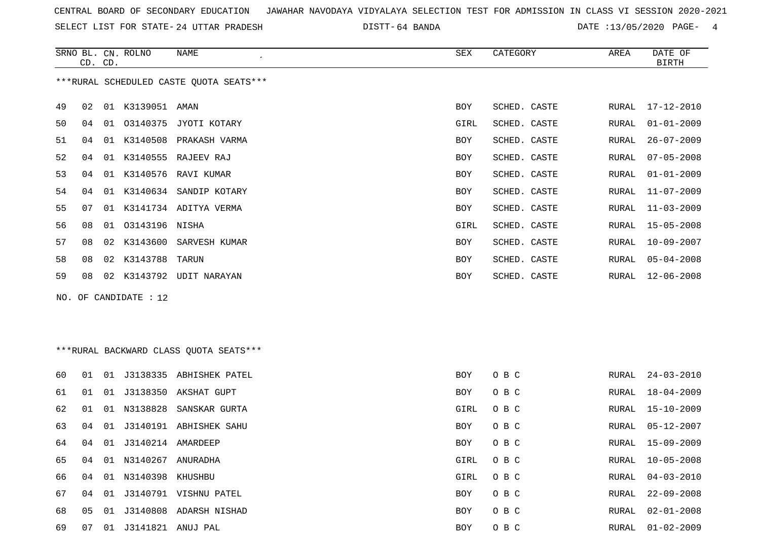SELECT LIST FOR STATE- DISTT- 24 UTTAR PRADESH

64 BANDA DATE :13/05/2020 PAGE- 4

|    | CD. CD. |    | SRNO BL. CN. ROLNO    | <b>NAME</b><br>$\mathcal{L}_{\mathcal{L}}$                                                                                                                                                                                                                                                                                                                                                                                                                  | SEX        | CATEGORY     | AREA  | DATE OF<br><b>BIRTH</b> |
|----|---------|----|-----------------------|-------------------------------------------------------------------------------------------------------------------------------------------------------------------------------------------------------------------------------------------------------------------------------------------------------------------------------------------------------------------------------------------------------------------------------------------------------------|------------|--------------|-------|-------------------------|
|    |         |    |                       | ***RURAL SCHEDULED CASTE OUOTA SEATS***                                                                                                                                                                                                                                                                                                                                                                                                                     |            |              |       |                         |
| 49 | 02      |    | 01 K3139051 AMAN      |                                                                                                                                                                                                                                                                                                                                                                                                                                                             | <b>BOY</b> | SCHED. CASTE | RURAL | 17-12-2010              |
| 50 | 04      | 01 |                       | 03140375 JYOTI KOTARY                                                                                                                                                                                                                                                                                                                                                                                                                                       | GIRL       | SCHED. CASTE | RURAL | $01 - 01 - 2009$        |
| 51 | 04      | 01 | K3140508              | PRAKASH VARMA                                                                                                                                                                                                                                                                                                                                                                                                                                               | BOY        | SCHED. CASTE | RURAL | $26 - 07 - 2009$        |
| 52 | 04      |    |                       | 01 K3140555 RAJEEV RAJ                                                                                                                                                                                                                                                                                                                                                                                                                                      | BOY        | SCHED. CASTE | RURAL | $07 - 05 - 2008$        |
| 53 | 04      |    |                       | 01 K3140576 RAVI KUMAR                                                                                                                                                                                                                                                                                                                                                                                                                                      | BOY        | SCHED. CASTE | RURAL | $01 - 01 - 2009$        |
| 54 | 04      |    |                       | 01 K3140634 SANDIP KOTARY                                                                                                                                                                                                                                                                                                                                                                                                                                   | <b>BOY</b> | SCHED. CASTE | RURAL | $11 - 07 - 2009$        |
| 55 | 07      |    |                       | 01 K3141734 ADITYA VERMA                                                                                                                                                                                                                                                                                                                                                                                                                                    | BOY        | SCHED. CASTE | RURAL | $11 - 03 - 2009$        |
| 56 | 08      | 01 | 03143196 NISHA        |                                                                                                                                                                                                                                                                                                                                                                                                                                                             | GIRL       | SCHED. CASTE | RURAL | $15 - 05 - 2008$        |
| 57 | 08      |    | 02 K3143600           | SARVESH KUMAR                                                                                                                                                                                                                                                                                                                                                                                                                                               | BOY        | SCHED. CASTE | RURAL | $10 - 09 - 2007$        |
| 58 | 08      |    | 02 K3143788           | TARUN                                                                                                                                                                                                                                                                                                                                                                                                                                                       | <b>BOY</b> | SCHED. CASTE | RURAL | $05 - 04 - 2008$        |
| 59 | 08      |    |                       | 02 K3143792 UDIT NARAYAN                                                                                                                                                                                                                                                                                                                                                                                                                                    | BOY        | SCHED. CASTE | RURAL | $12 - 06 - 2008$        |
|    |         |    | NO. OF CANDIDATE : 12 |                                                                                                                                                                                                                                                                                                                                                                                                                                                             |            |              |       |                         |
|    |         |    |                       |                                                                                                                                                                                                                                                                                                                                                                                                                                                             |            |              |       |                         |
|    |         |    |                       |                                                                                                                                                                                                                                                                                                                                                                                                                                                             |            |              |       |                         |
|    |         |    |                       | $\lambda$ , $\lambda$ , $\lambda$ , $\lambda$ , $\lambda$ , $\lambda$ , $\lambda$ , $\lambda$ , $\lambda$ , $\lambda$ , $\lambda$ , $\lambda$ , $\lambda$ , $\lambda$ , $\lambda$ , $\lambda$ , $\lambda$ , $\lambda$ , $\lambda$ , $\lambda$ , $\lambda$ , $\lambda$ , $\lambda$ , $\lambda$ , $\lambda$ , $\lambda$ , $\lambda$ , $\lambda$ , $\lambda$ , $\lambda$ , $\lambda$ , $\lambda$ , $\lambda$ , $\lambda$ , $\lambda$ , $\lambda$ , $\lambda$ , |            |              |       |                         |

| ***RURAL BACKWARD CLASS QUOTA SEATS*** |  |  |
|----------------------------------------|--|--|
|                                        |  |  |

| 60 | O 1 | 01 |                      | J3138335 ABHISHEK PATEL   | <b>BOY</b> | O B C | RURAL | 24-03-2010       |
|----|-----|----|----------------------|---------------------------|------------|-------|-------|------------------|
| 61 | 01  |    |                      | 01 J3138350 AKSHAT GUPT   | BOY        | O B C | RURAL | 18-04-2009       |
| 62 | 01  |    |                      | 01 N3138828 SANSKAR GURTA | GIRL       | O B C | RURAL | 15-10-2009       |
| 63 | 04  |    |                      | 01 J3140191 ABHISHEK SAHU | <b>BOY</b> | O B C | RURAL | 05-12-2007       |
| 64 | 04  |    |                      |                           | <b>BOY</b> | O B C | RURAL | 15-09-2009       |
| 65 | 04  |    | 01 N3140267          | ANURADHA                  | GIRL       | O B C | RURAL | $10 - 05 - 2008$ |
| 66 | 04  |    | 01 N3140398 KHUSHBU  |                           | GIRL       | O B C | RURAL | 04-03-2010       |
| 67 | 04  |    |                      | 01 J3140791 VISHNU PATEL  | <b>BOY</b> | O B C | RURAL | $22 - 09 - 2008$ |
| 68 | 05  | 01 | J3140808             | ADARSH NISHAD             | BOY        | O B C | RURAL | $02 - 01 - 2008$ |
| 69 | 07  |    | 01 J3141821 ANUJ PAL |                           | <b>BOY</b> | O B C | RURAL | $01 - 02 - 2009$ |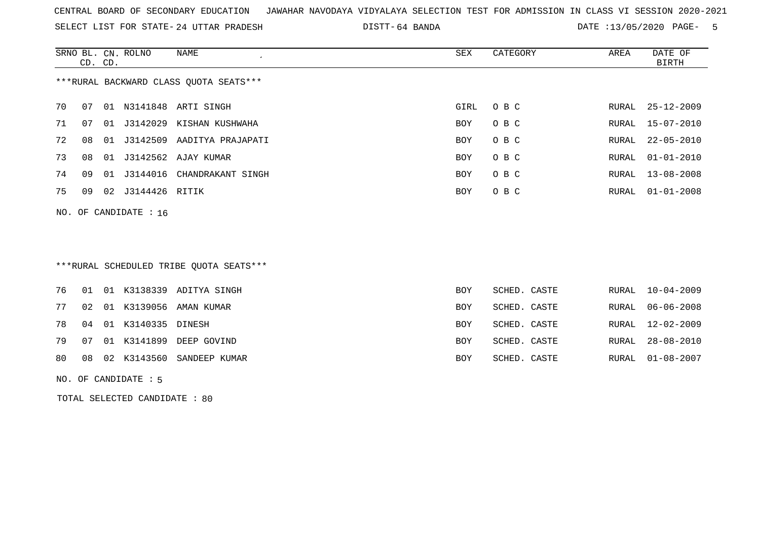SELECT LIST FOR STATE- DISTT- 24 UTTAR PRADESH

64 BANDA DATE :13/05/2020 PAGE- 5

|    | CD. CD. |    | SRNO BL. CN. ROLNO      | NAME                                   | SEX  | CATEGORY | AREA | DATE OF<br>BIRTH       |
|----|---------|----|-------------------------|----------------------------------------|------|----------|------|------------------------|
|    |         |    |                         | ***RURAL BACKWARD CLASS OUOTA SEATS*** |      |          |      |                        |
| 70 | 07      | 01 |                         | N3141848 ARTI SINGH                    | GIRL | O B C    |      | RURAL 25-12-2009       |
| 71 | 07      | 01 | J3142029                | KISHAN KUSHWAHA                        | BOY  | O B C    |      | RURAL 15-07-2010       |
| 72 | 08      | 01 | J3142509                | AADITYA PRAJAPATI                      | BOY  | O B C    |      | RURAL 22-05-2010       |
| 73 | 08      | 01 |                         | J3142562 AJAY KUMAR                    | BOY  | O B C    |      | RURAL 01-01-2010       |
| 74 | 09      | 01 | J3144016                | CHANDRAKANT SINGH                      | BOY  | O B C    |      | RURAL 13-08-2008       |
| 75 | 09      | 02 | J3144426 RITIK          |                                        | BOY  | O B C    |      | RURAL $01 - 01 - 2008$ |
|    |         |    | NO. OF CANDIDATE : $16$ |                                        |      |          |      |                        |

## \*\*\*RURAL SCHEDULED TRIBE QUOTA SEATS\*\*\*

|  |                          | 76 01 01 K3138339 ADITYA SINGH  | BOY        | SCHED. CASTE | RURAL 10-04-2009 |
|--|--------------------------|---------------------------------|------------|--------------|------------------|
|  |                          | 77 02 01 K3139056 AMAN KUMAR    | BOY        | SCHED. CASTE | RURAL 06-06-2008 |
|  | 78 04 01 K3140335 DINESH |                                 | <b>BOY</b> | SCHED. CASTE | RURAL 12-02-2009 |
|  |                          | 79 07 01 K3141899 DEEP GOVIND   | BOY        | SCHED. CASTE | RURAL 28-08-2010 |
|  |                          | 80 08 02 K3143560 SANDEEP KUMAR | BOY        | SCHED. CASTE | RURAL 01-08-2007 |

NO. OF CANDIDATE : 5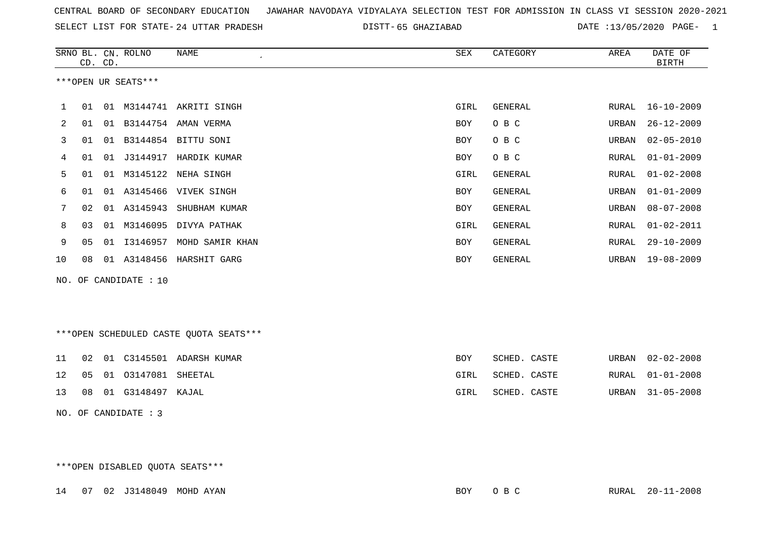| CENTRAL BOARD OF SECONDARY EDUCATION GUNAHAR NAVODAYA VIDYALAYA SELECTION TEST FOR ADMISSION IN CLASS VI SESSION 2020-2021 |  |  |  |
|----------------------------------------------------------------------------------------------------------------------------|--|--|--|
|----------------------------------------------------------------------------------------------------------------------------|--|--|--|

SELECT LIST FOR STATE- 24 UTTAR PRADESH

24 UTTAR PRADESH 65 GHAZIABAD DATE :13/05/2020 PAGE- 1

|                |    | CD. CD. | SRNO BL. CN. ROLNO    | NAME                                   | SEX        | CATEGORY       | AREA  | DATE OF<br><b>BIRTH</b> |
|----------------|----|---------|-----------------------|----------------------------------------|------------|----------------|-------|-------------------------|
|                |    |         | ***OPEN UR SEATS***   |                                        |            |                |       |                         |
| 1              | 01 |         |                       | 01 M3144741 AKRITI SINGH               | GIRL       | GENERAL        | RURAL | $16 - 10 - 2009$        |
| $\overline{2}$ | 01 |         |                       | 01 B3144754 AMAN VERMA                 | BOY        | O B C          | URBAN | $26 - 12 - 2009$        |
| 3              | 01 |         |                       | 01 B3144854 BITTU SONI                 | BOY        | O B C          | URBAN | $02 - 05 - 2010$        |
| 4              | 01 |         | 01 J3144917           | HARDIK KUMAR                           | BOY        | O B C          | RURAL | $01 - 01 - 2009$        |
| 5              | 01 |         |                       | 01 M3145122 NEHA SINGH                 | GIRL       | <b>GENERAL</b> | RURAL | $01 - 02 - 2008$        |
| 6              | 01 |         |                       | 01 A3145466 VIVEK SINGH                | <b>BOY</b> | <b>GENERAL</b> | URBAN | $01 - 01 - 2009$        |
| 7              | 02 |         | 01 A3145943           | SHUBHAM KUMAR                          | <b>BOY</b> | <b>GENERAL</b> | URBAN | $08 - 07 - 2008$        |
| 8              | 03 | 01      | M3146095              | DIVYA PATHAK                           | GIRL       | GENERAL        | RURAL | $01 - 02 - 2011$        |
| 9              | 05 |         | 01 13146957           | MOHD SAMIR KHAN                        | BOY        | GENERAL        | RURAL | $29 - 10 - 2009$        |
| 10             | 08 |         |                       | 01 A3148456 HARSHIT GARG               | BOY        | <b>GENERAL</b> | URBAN | $19 - 08 - 2009$        |
|                |    |         | NO. OF CANDIDATE : 10 |                                        |            |                |       |                         |
|                |    |         |                       | ***OPEN SCHEDULED CASTE QUOTA SEATS*** |            |                |       |                         |
| 11             |    |         |                       | 02 01 C3145501 ADARSH KUMAR            | BOY        | SCHED. CASTE   | URBAN | $02 - 02 - 2008$        |

|  | 12  05  01  03147081  SHEETAL | GIRL | SCHED. CASTE |  | RURAL 01-01-2008 |
|--|-------------------------------|------|--------------|--|------------------|
|  | 13 08 01 G3148497 KAJAL       | GIRL | SCHED. CASTE |  | URBAN 31-05-2008 |

NO. OF CANDIDATE : 3

\*\*\*OPEN DISABLED QUOTA SEATS\*\*\*

14 07 02 J3148049 MOHD AYAN BOY O B C RURAL 20-11-2008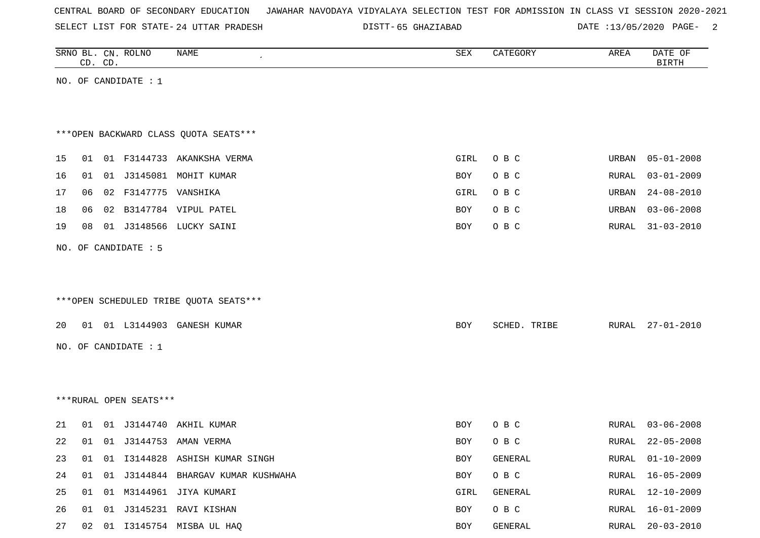|  |  |  |  | CENTRAL BOARD OF SECONDARY EDUCATION – JAWAHAR NAVODAYA VIDYALAYA SELECTION TEST FOR ADMISSION IN CLASS VI SESSION 2020-2021 |  |  |  |  |  |  |  |  |  |  |  |  |
|--|--|--|--|------------------------------------------------------------------------------------------------------------------------------|--|--|--|--|--|--|--|--|--|--|--|--|
|--|--|--|--|------------------------------------------------------------------------------------------------------------------------------|--|--|--|--|--|--|--|--|--|--|--|--|

SELECT LIST FOR STATE- DISTT- 24 UTTAR PRADESH

65 GHAZIABAD DATE :13/05/2020 PAGE- 2

| SRNO BL. CN. ROLNO | CD. CD. |                        | NAME<br>$\pmb{\cdot}$                   | SEX        | CATEGORY     | AREA  | DATE OF<br><b>BIRTH</b> |
|--------------------|---------|------------------------|-----------------------------------------|------------|--------------|-------|-------------------------|
|                    |         | NO. OF CANDIDATE $: 1$ |                                         |            |              |       |                         |
|                    |         |                        |                                         |            |              |       |                         |
|                    |         |                        |                                         |            |              |       |                         |
|                    |         |                        | *** OPEN BACKWARD CLASS QUOTA SEATS***  |            |              |       |                         |
| 15<br>01           |         |                        | 01 F3144733 AKANKSHA VERMA              | GIRL       | O B C        | URBAN | $05 - 01 - 2008$        |
| 16<br>01           |         |                        | 01 J3145081 MOHIT KUMAR                 | BOY        | O B C        | RURAL | $03 - 01 - 2009$        |
| 17<br>06           |         | 02 F3147775 VANSHIKA   |                                         | GIRL       | O B C        | URBAN | $24 - 08 - 2010$        |
| 18<br>06           |         |                        | 02 B3147784 VIPUL PATEL                 | BOY        | O B C        | URBAN | $03 - 06 - 2008$        |
| 19<br>08           |         |                        | 01 J3148566 LUCKY SAINI                 | BOY        | O B C        | RURAL | $31 - 03 - 2010$        |
|                    |         | NO. OF CANDIDATE : 5   |                                         |            |              |       |                         |
|                    |         |                        |                                         |            |              |       |                         |
|                    |         |                        |                                         |            |              |       |                         |
|                    |         |                        | *** OPEN SCHEDULED TRIBE QUOTA SEATS*** |            |              |       |                         |
|                    |         |                        |                                         |            |              |       |                         |
| 20                 |         |                        | 01 01 L3144903 GANESH KUMAR             | <b>BOY</b> | SCHED. TRIBE | RURAL | $27 - 01 - 2010$        |
|                    |         | NO. OF CANDIDATE : $1$ |                                         |            |              |       |                         |
|                    |         |                        |                                         |            |              |       |                         |
|                    |         |                        |                                         |            |              |       |                         |
|                    |         | ***RURAL OPEN SEATS*** |                                         |            |              |       |                         |
| 21<br>01           |         | 01 J3144740            | AKHIL KUMAR                             | <b>BOY</b> | O B C        | RURAL | $03 - 06 - 2008$        |
| 22<br>01           |         | 01 J3144753            | AMAN VERMA                              | BOY        | O B C        | RURAL | $22 - 05 - 2008$        |
| 23                 |         |                        | 01 01 I3144828 ASHISH KUMAR SINGH       | BOY        | GENERAL      |       | RURAL 01-10-2009        |
| 24                 |         |                        | 01 01 J3144844 BHARGAV KUMAR KUSHWAHA   | BOY        | O B C        | RURAL | 16-05-2009              |
| 25                 |         |                        | 01 01 M3144961 JIYA KUMARI              | GIRL       | GENERAL      | RURAL | 12-10-2009              |
| 26                 |         |                        | 01  01  J3145231  RAVI KISHAN           | BOY        | O B C        | RURAL | $16 - 01 - 2009$        |
| 27                 |         |                        | 02 01 I3145754 MISBA UL HAQ             | BOY        | GENERAL      | RURAL | $20 - 03 - 2010$        |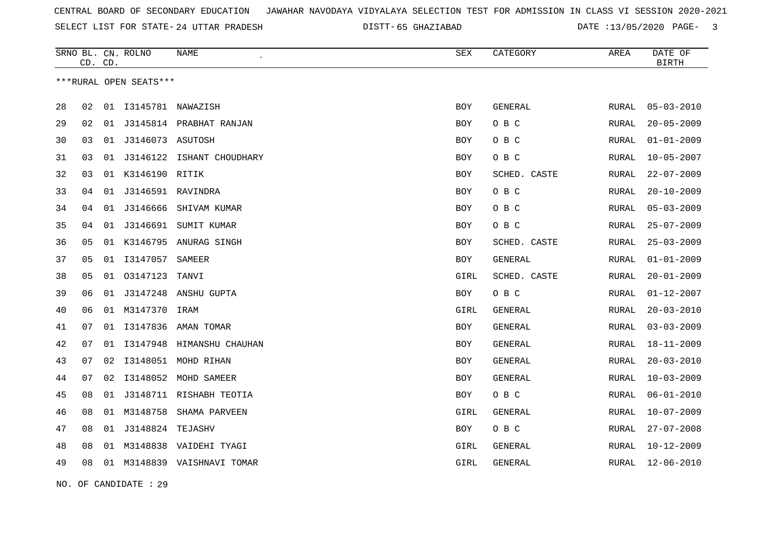SELECT LIST FOR STATE- DISTT- 24 UTTAR PRADESH

65 GHAZIABAD DATE :13/05/2020 PAGE- 3

|    | CD. | CD. | SRNO BL. CN. ROLNO     | <b>NAME</b>              | ${\tt SEX}$ | CATEGORY       | AREA         | DATE OF<br><b>BIRTH</b> |
|----|-----|-----|------------------------|--------------------------|-------------|----------------|--------------|-------------------------|
|    |     |     | ***RURAL OPEN SEATS*** |                          |             |                |              |                         |
| 28 | 02  | 01  |                        | I3145781 NAWAZISH        | <b>BOY</b>  | <b>GENERAL</b> | <b>RURAL</b> | $05 - 03 - 2010$        |
| 29 | 02  | 01  |                        | J3145814 PRABHAT RANJAN  | <b>BOY</b>  | O B C          | RURAL        | $20 - 05 - 2009$        |
| 30 | 03  | 01  | J3146073 ASUTOSH       |                          | BOY         | O B C          | RURAL        | $01 - 01 - 2009$        |
| 31 | 03  | 01  | J3146122               | ISHANT CHOUDHARY         | <b>BOY</b>  | O B C          | RURAL        | $10 - 05 - 2007$        |
| 32 | 03  |     | 01 K3146190 RITIK      |                          | BOY         | SCHED. CASTE   | RURAL        | $22 - 07 - 2009$        |
| 33 | 04  | 01  |                        | J3146591 RAVINDRA        | BOY         | O B C          | RURAL        | $20 - 10 - 2009$        |
| 34 | 04  | 01  | J3146666               | SHIVAM KUMAR             | <b>BOY</b>  | O B C          | RURAL        | $05 - 03 - 2009$        |
| 35 | 04  | 01  | J3146691               | SUMIT KUMAR              | <b>BOY</b>  | O B C          | <b>RURAL</b> | $25 - 07 - 2009$        |
| 36 | 05  | 01  | K3146795               | ANURAG SINGH             | BOY         | SCHED. CASTE   | RURAL        | $25 - 03 - 2009$        |
| 37 | 05  | 01  | I3147057               | SAMEER                   | BOY         | GENERAL        | RURAL        | $01 - 01 - 2009$        |
| 38 | 05  | 01  | 03147123               | TANVI                    | GIRL        | SCHED. CASTE   | RURAL        | $20 - 01 - 2009$        |
| 39 | 06  | 01  | J3147248               | ANSHU GUPTA              | BOY         | O B C          | <b>RURAL</b> | $01 - 12 - 2007$        |
| 40 | 06  | 01  | M3147370               | IRAM                     | GIRL        | GENERAL        | RURAL        | $20 - 03 - 2010$        |
| 41 | 07  | 01  | I3147836               | AMAN TOMAR               | BOY         | GENERAL        | RURAL        | $03 - 03 - 2009$        |
| 42 | 07  | 01  | I3147948               | HIMANSHU CHAUHAN         | <b>BOY</b>  | GENERAL        | RURAL        | $18 - 11 - 2009$        |
| 43 | 07  | 02  | I3148051               | MOHD RIHAN               | <b>BOY</b>  | <b>GENERAL</b> | <b>RURAL</b> | $20 - 03 - 2010$        |
| 44 | 07  | 02  | I3148052               | MOHD SAMEER              | <b>BOY</b>  | GENERAL        | RURAL        | $10 - 03 - 2009$        |
| 45 | 08  | 01  | J3148711               | RISHABH TEOTIA           | BOY         | O B C          | <b>RURAL</b> | $06 - 01 - 2010$        |
| 46 | 08  | 01  | M3148758               | SHAMA PARVEEN            | GIRL        | GENERAL        | <b>RURAL</b> | $10 - 07 - 2009$        |
| 47 | 08  | 01  | J3148824               | TEJASHV                  | <b>BOY</b>  | O B C          | RURAL        | $27 - 07 - 2008$        |
| 48 | 08  | 01  | M3148838               | VAIDEHI TYAGI            | GIRL        | GENERAL        | RURAL        | $10 - 12 - 2009$        |
| 49 | 08  | 01  |                        | M3148839 VAISHNAVI TOMAR | GIRL        | GENERAL        | <b>RURAL</b> | $12 - 06 - 2010$        |

NO. OF CANDIDATE : 29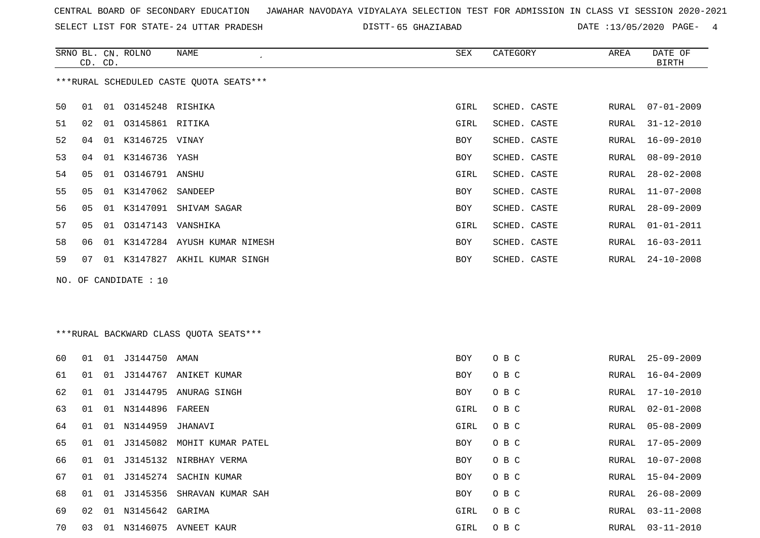SELECT LIST FOR STATE- DISTT- 24 UTTAR PRADESH

65 GHAZIABAD DATE :13/05/2020 PAGE- 4

|    | CD. CD. |    | SRNO BL. CN. ROLNO    | NAME                                    | SEX        | CATEGORY     | AREA  | DATE OF<br>BIRTH |
|----|---------|----|-----------------------|-----------------------------------------|------------|--------------|-------|------------------|
|    |         |    |                       | ***RURAL SCHEDULED CASTE OUOTA SEATS*** |            |              |       |                  |
| 50 | 01      |    | 01 03145248 RISHIKA   |                                         | GIRL       | SCHED. CASTE | RURAL | $07 - 01 - 2009$ |
| 51 | 02      |    | 01 03145861 RITIKA    |                                         | GIRL       | SCHED. CASTE | RURAL | 31-12-2010       |
| 52 | 04      | 01 | K3146725 VINAY        |                                         | <b>BOY</b> | SCHED. CASTE | RURAL | 16-09-2010       |
| 53 | 04      | 01 | K3146736 YASH         |                                         | <b>BOY</b> | SCHED. CASTE | RURAL | $08 - 09 - 2010$ |
| 54 | 05      |    | 01  03146791  ANSHU   |                                         | GIRL       | SCHED. CASTE | RURAL | $28 - 02 - 2008$ |
| 55 | 05      |    | 01 K3147062 SANDEEP   |                                         | BOY        | SCHED. CASTE | RURAL | $11 - 07 - 2008$ |
| 56 | 05      | 01 |                       | K3147091 SHIVAM SAGAR                   | <b>BOY</b> | SCHED. CASTE | RURAL | $28 - 09 - 2009$ |
| 57 | 05      | 01 | 03147143 VANSHIKA     |                                         | GIRL       | SCHED. CASTE | RURAL | $01 - 01 - 2011$ |
| 58 | 06      | 01 |                       | K3147284 AYUSH KUMAR NIMESH             | BOY        | SCHED. CASTE | RURAL | $16 - 03 - 2011$ |
| 59 | 07      | 01 |                       | K3147827 AKHIL KUMAR SINGH              | <b>BOY</b> | SCHED. CASTE | RURAL | $24 - 10 - 2008$ |
|    |         |    | NO. OF CANDIDATE : 10 |                                         |            |              |       |                  |

## \*\*\*RURAL BACKWARD CLASS QUOTA SEATS\*\*\*

| 60 | 01 | 01 | J3144750           | AMAN                      | BOY        | O B C | RURAL | $25 - 09 - 2009$ |
|----|----|----|--------------------|---------------------------|------------|-------|-------|------------------|
| 61 | 01 |    |                    | 01 J3144767 ANIKET KUMAR  | BOY        | O B C | RURAL | 16-04-2009       |
| 62 | 01 |    |                    | 01 J3144795 ANURAG SINGH  | <b>BOY</b> | O B C | RURAL | 17-10-2010       |
| 63 | 01 |    | 01 N3144896 FAREEN |                           | GIRL       | O B C | RURAL | $02 - 01 - 2008$ |
| 64 | 01 |    | 01 N3144959        | JHANAVI                   | GIRL       | O B C | RURAL | 05-08-2009       |
| 65 | 01 |    | 01 J3145082        | MOHIT KUMAR PATEL         | <b>BOY</b> | O B C | RURAL | 17-05-2009       |
| 66 | 01 |    |                    | 01 J3145132 NIRBHAY VERMA | BOY        | O B C | RURAL | $10 - 07 - 2008$ |
| 67 | 01 |    |                    | 01 J3145274 SACHIN KUMAR  | BOY        | O B C | RURAL | 15-04-2009       |
| 68 | 01 |    | 01 J3145356        | SHRAVAN KUMAR SAH         | BOY        | O B C | RURAL | $26 - 08 - 2009$ |
| 69 | 02 | 01 | N3145642 GARIMA    |                           | GIRL       | O B C | RURAL | $03 - 11 - 2008$ |
| 70 | 03 | 01 |                    | N3146075 AVNEET KAUR      | GIRL       | O B C | RURAL | 03-11-2010       |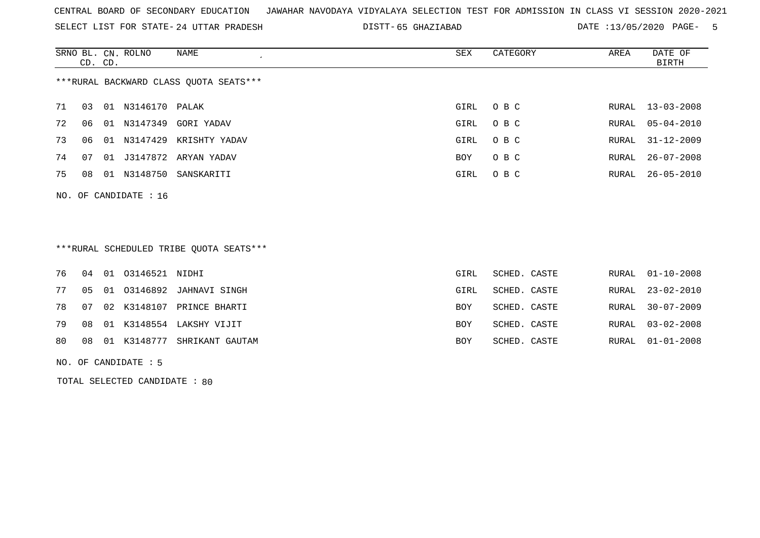SELECT LIST FOR STATE- DISTT- 24 UTTAR PRADESH

65 GHAZIABAD DATE :13/05/2020 PAGE- 5

|    | CD. CD. |    | SRNO BL. CN. ROLNO      | NAME                                   | SEX  | CATEGORY | AREA | DATE OF<br>BIRTH |
|----|---------|----|-------------------------|----------------------------------------|------|----------|------|------------------|
|    |         |    |                         | ***RURAL BACKWARD CLASS QUOTA SEATS*** |      |          |      |                  |
| 71 | 03      | 01 | N3146170 PALAK          |                                        | GIRL | O B C    |      | RURAL 13-03-2008 |
| 72 | 06      | 01 | N3147349                | GORI YADAV                             | GIRL | O B C    |      | RURAL 05-04-2010 |
| 73 | 06      | 01 | N3147429                | KRISHTY YADAV                          | GIRL | O B C    |      | RURAL 31-12-2009 |
| 74 | 07      | 01 |                         | J3147872 ARYAN YADAV                   | BOY  | O B C    |      | RURAL 26-07-2008 |
| 75 | 08      | 01 | N3148750                | SANSKARITI                             | GIRL | O B C    |      | RURAL 26-05-2010 |
|    |         |    | NO. OF CANDIDATE : $16$ |                                        |      |          |      |                  |

## \*\*\*RURAL SCHEDULED TRIBE QUOTA SEATS\*\*\*

|  | 76 04 01 03146521 NIDHI |                                   | GIRL       | SCHED. CASTE |  | RURAL 01-10-2008 |
|--|-------------------------|-----------------------------------|------------|--------------|--|------------------|
|  |                         | 77 05 01 03146892 JAHNAVI SINGH   | GIRL       | SCHED. CASTE |  | RURAL 23-02-2010 |
|  |                         | 78 07 02 K3148107 PRINCE BHARTI   | <b>BOY</b> | SCHED. CASTE |  | RURAL 30-07-2009 |
|  |                         | 79 08 01 K3148554 LAKSHY VIJIT    | <b>BOY</b> | SCHED. CASTE |  | RURAL 03-02-2008 |
|  |                         | 80 08 01 K3148777 SHRIKANT GAUTAM | <b>BOY</b> | SCHED. CASTE |  | RURAL 01-01-2008 |

NO. OF CANDIDATE : 5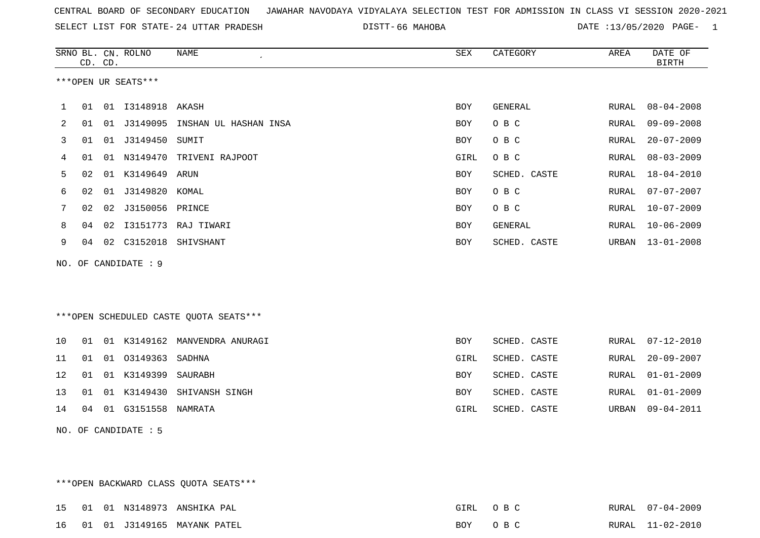SELECT LIST FOR STATE- DISTT- 24 UTTAR PRADESH

66 MAHOBA DATE :13/05/2020 PAGE- 1

|     |    | CD. CD. | SRNO BL. CN. ROLNO  | <b>NAME</b>                            | ${\tt SEX}$ | CATEGORY     | AREA         | DATE OF<br><b>BIRTH</b> |
|-----|----|---------|---------------------|----------------------------------------|-------------|--------------|--------------|-------------------------|
|     |    |         | ***OPEN UR SEATS*** |                                        |             |              |              |                         |
| 1   | 01 |         | 01  13148918  AKASH |                                        | <b>BOY</b>  | GENERAL      | RURAL        | $08 - 04 - 2008$        |
| 2   | 01 | 01      | J3149095            | INSHAN UL HASHAN INSA                  | <b>BOY</b>  | O B C        | RURAL        | $09 - 09 - 2008$        |
| 3   | 01 |         | 01 J3149450         | SUMIT                                  | <b>BOY</b>  | O B C        | RURAL        | $20 - 07 - 2009$        |
| 4   | 01 |         | 01 N3149470         | TRIVENI RAJPOOT                        | GIRL        | O B C        | RURAL        | $08 - 03 - 2009$        |
| 5   | 02 | 01      | K3149649            | ARUN                                   | <b>BOY</b>  | SCHED. CASTE | RURAL        | $18 - 04 - 2010$        |
| 6   | 02 |         | 01 J3149820 KOMAL   |                                        | <b>BOY</b>  | O B C        | RURAL        | $07 - 07 - 2007$        |
| 7   | 02 | 02      | J3150056            | PRINCE                                 | <b>BOY</b>  | O B C        | RURAL        | $10 - 07 - 2009$        |
| 8   | 04 | 02      | I3151773            | RAJ TIWARI                             | BOY         | GENERAL      | <b>RURAL</b> | $10 - 06 - 2009$        |
| 9   | 04 |         | 02 C3152018         | SHIVSHANT                              | BOY         | SCHED. CASTE | URBAN        | $13 - 01 - 2008$        |
| NO. |    |         | OF CANDIDATE : 9    |                                        |             |              |              |                         |
|     |    |         |                     |                                        |             |              |              |                         |
|     |    |         |                     |                                        |             |              |              |                         |
|     |    |         |                     | ***OPEN SCHEDULED CASTE QUOTA SEATS*** |             |              |              |                         |
| 10  | 01 |         |                     | 01 K3149162 MANVENDRA ANURAGI          | <b>BOY</b>  | SCHED. CASTE | RURAL        | $07 - 12 - 2010$        |
| 11  | 01 |         | 01 03149363         | SADHNA                                 | GIRL        | SCHED. CASTE | RURAL        | $20 - 09 - 2007$        |
| 12  | 01 |         | 01 K3149399         | SAURABH                                | <b>BOY</b>  | SCHED. CASTE | <b>RURAL</b> | $01 - 01 - 2009$        |
| 13  | 01 | 01      | K3149430            | SHIVANSH SINGH                         | BOY         | SCHED. CASTE | <b>RURAL</b> | $01 - 01 - 2009$        |
| 14  | 04 |         | 01 G3151558         | NAMRATA                                | GIRL        | SCHED. CASTE | URBAN        | $09 - 04 - 2011$        |
|     |    |         |                     |                                        |             |              |              |                         |
| NO. |    |         | OF CANDIDATE : 5    |                                        |             |              |              |                         |

\*\*\*OPEN BACKWARD CLASS QUOTA SEATS\*\*\*

|  | 15 01 01 N3148973 | ANSHIKA PAL                    | GIRL       | O R C | RURAL | $07 - 04 - 2009$ |
|--|-------------------|--------------------------------|------------|-------|-------|------------------|
|  |                   | 16 01 01 J3149165 MAYANK PATEL | <b>BOY</b> |       |       | RURAL 11-02-2010 |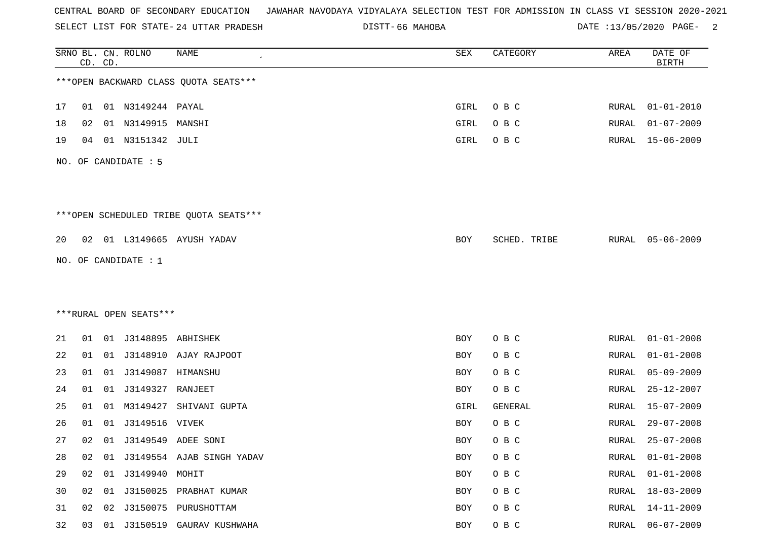SELECT LIST FOR STATE- DISTT- 24 UTTAR PRADESH

DISTT-66 MAHOBA 2 DATE :13/05/2020 PAGE- 2

|    |    | CD. CD. | SRNO BL. CN. ROLNO     | <b>NAME</b>                            | ${\tt SEX}$ | CATEGORY     | AREA         | DATE OF<br><b>BIRTH</b> |
|----|----|---------|------------------------|----------------------------------------|-------------|--------------|--------------|-------------------------|
|    |    |         |                        | *** OPEN BACKWARD CLASS QUOTA SEATS*** |             |              |              |                         |
| 17 | 01 |         | 01 N3149244 PAYAL      |                                        | <b>GIRL</b> | O B C        | RURAL        | $01 - 01 - 2010$        |
| 18 | 02 |         | 01 N3149915            | MANSHI                                 | GIRL        | O B C        | RURAL        | $01 - 07 - 2009$        |
| 19 | 04 |         | 01 N3151342 JULI       |                                        | GIRL        | O B C        | RURAL        | 15-06-2009              |
|    |    |         | NO. OF CANDIDATE : 5   |                                        |             |              |              |                         |
|    |    |         |                        | ***OPEN SCHEDULED TRIBE QUOTA SEATS*** |             |              |              |                         |
| 20 |    |         |                        | 02 01 L3149665 AYUSH YADAV             | BOY         | SCHED. TRIBE | RURAL        | $05 - 06 - 2009$        |
|    |    |         | NO. OF CANDIDATE : $1$ |                                        |             |              |              |                         |
|    |    |         |                        |                                        |             |              |              |                         |
|    |    |         |                        |                                        |             |              |              |                         |
|    |    |         | ***RURAL OPEN SEATS*** |                                        |             |              |              |                         |
| 21 | 01 |         | 01 J3148895 ABHISHEK   |                                        | BOY         | O B C        | RURAL        | $01 - 01 - 2008$        |
| 22 | 01 |         |                        | 01 J3148910 AJAY RAJPOOT               | BOY         | O B C        | RURAL        | $01 - 01 - 2008$        |
| 23 | 01 |         |                        |                                        | BOY         | O B C        | RURAL        | $05 - 09 - 2009$        |
| 24 | 01 |         | 01 J3149327            | RANJEET                                | BOY         | O B C        | <b>RURAL</b> | $25 - 12 - 2007$        |
| 25 | 01 |         |                        | 01 M3149427 SHIVANI GUPTA              | GIRL        | GENERAL      | RURAL        | 15-07-2009              |
| 26 | 01 | 01      | J3149516 VIVEK         |                                        | BOY         | O B C        | RURAL        | $29 - 07 - 2008$        |
| 27 | 02 |         |                        | 01 J3149549 ADEE SONI                  | BOY         | O B C        | RURAL        | $25 - 07 - 2008$        |
| 28 | 02 |         |                        | 01 J3149554 AJAB SINGH YADAV           | BOY         | O B C        | RURAL        | $01 - 01 - 2008$        |
| 29 | 02 |         | 01 J3149940 MOHIT      |                                        | BOY         | O B C        | RURAL        | $01 - 01 - 2008$        |
| 30 | 02 |         |                        | 01 J3150025 PRABHAT KUMAR              | BOY         | O B C        | RURAL        | $18 - 03 - 2009$        |
| 31 | 02 |         |                        | 02 J3150075 PURUSHOTTAM                | BOY         | O B C        | RURAL        | $14 - 11 - 2009$        |
| 32 |    |         |                        | 03 01 J3150519 GAURAV KUSHWAHA         | <b>BOY</b>  | O B C        |              | RURAL 06-07-2009        |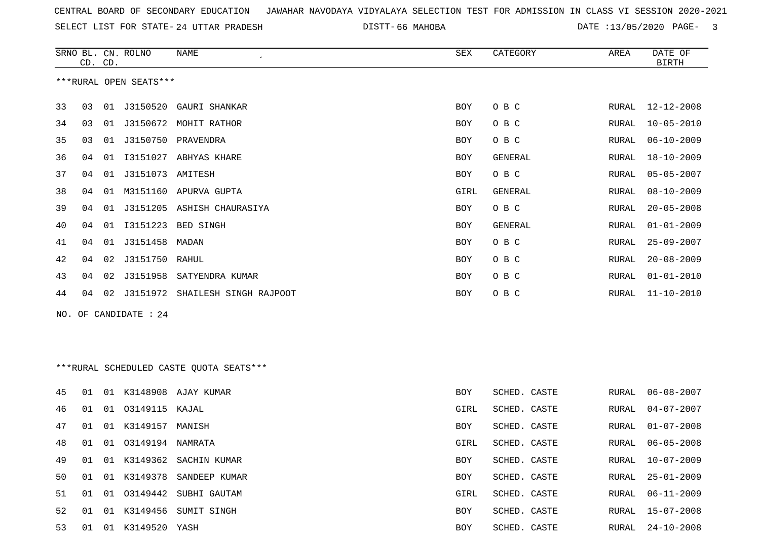SELECT LIST FOR STATE- DISTT- 24 UTTAR PRADESH

SRNO BL. CN.

ROLNO NAME SEX CATEGORY AREA DATE OF

66 MAHOBA DATE :13/05/2020 PAGE- 3

| ***RURAL OPEN SEATS***<br>33<br>J3150520 GAURI SHANKAR<br>O B C<br>RURAL<br>12-12-2008<br>03<br>01<br><b>BOY</b><br>34<br>J3150672 MOHIT RATHOR<br>O B C<br>$10 - 05 - 2010$<br>03<br>01<br>BOY<br>RURAL<br>35<br>03<br>J3150750 PRAVENDRA<br>O B C<br>$06 - 10 - 2009$<br>01<br>BOY<br>RURAL<br>36<br>I3151027 ABHYAS KHARE<br><b>GENERAL</b><br>$18 - 10 - 2009$<br>04<br>01<br>BOY<br>RURAL<br>O B C<br>37<br>J3151073 AMITESH<br>$05 - 05 - 2007$<br>04<br>01<br>BOY<br>RURAL<br>38<br>M3151160 APURVA GUPTA<br>GENERAL<br>$08 - 10 - 2009$<br>04<br>01<br>GIRL<br>RURAL<br>39<br>J3151205<br>ASHISH CHAURASIYA<br>O B C<br>$20 - 05 - 2008$<br>04<br>01<br>BOY<br>RURAL<br>13151223 BED SINGH<br>40<br>$01 - 01 - 2009$<br>04<br>01<br>BOY<br>GENERAL<br>RURAL<br>J3151458<br>41<br>04<br>01<br>MADAN<br>O B C<br>$25 - 09 - 2007$<br>BOY<br>RURAL<br>J3151750 RAHUL<br>42<br>O B C<br>$20 - 08 - 2009$<br>04<br>02<br>RURAL<br>BOY<br>43<br>02<br>J3151958<br>SATYENDRA KUMAR<br>O B C<br>$01 - 01 - 2010$<br>04<br>BOY<br>RURAL<br>44<br>02 J3151972 SHAILESH SINGH RAJPOOT<br>O B C<br>$11 - 10 - 2010$<br>04<br>BOY<br>RURAL<br>NO. OF CANDIDATE : 24<br>***RURAL SCHEDULED CASTE QUOTA SEATS***<br>01 K3148908 AJAY KUMAR<br>SCHED. CASTE<br>$06 - 08 - 2007$<br>45<br>01<br><b>BOY</b><br>RURAL<br>46<br>01 03149115 KAJAL<br>SCHED. CASTE<br>$04 - 07 - 2007$<br>01<br>GIRL<br>RURAL<br>47<br>01<br>K3149157 MANISH<br>SCHED. CASTE<br>$01 - 07 - 2008$<br>01<br>BOY<br>RURAL<br>48<br>03149194 NAMRATA<br>SCHED. CASTE<br>$06 - 05 - 2008$<br>01<br>01<br>GIRL<br>RURAL<br>49<br>01 K3149362 SACHIN KUMAR<br>$10 - 07 - 2009$<br>01<br>BOY<br>SCHED. CASTE<br>RURAL<br>50<br>01<br>01 K3149378 SANDEEP KUMAR<br>BOY<br>SCHED. CASTE<br>RURAL<br>$25 - 01 - 2009$<br>51<br>03149442 SUBHI GAUTAM<br>GIRL<br>$06 - 11 - 2009$<br>01<br>01<br>SCHED. CASTE<br>RURAL<br>52<br>K3149456 SUMIT SINGH<br>01<br>BOY<br>SCHED. CASTE<br>$15 - 07 - 2008$<br>01<br>RURAL<br>53<br>01 K3149520 YASH<br>SCHED. CASTE<br>$24 - 10 - 2008$<br>01<br>BOY<br>RURAL |  | CD. CD. |  |  |  |  |  |  | <b>BIRTH</b> |
|-----------------------------------------------------------------------------------------------------------------------------------------------------------------------------------------------------------------------------------------------------------------------------------------------------------------------------------------------------------------------------------------------------------------------------------------------------------------------------------------------------------------------------------------------------------------------------------------------------------------------------------------------------------------------------------------------------------------------------------------------------------------------------------------------------------------------------------------------------------------------------------------------------------------------------------------------------------------------------------------------------------------------------------------------------------------------------------------------------------------------------------------------------------------------------------------------------------------------------------------------------------------------------------------------------------------------------------------------------------------------------------------------------------------------------------------------------------------------------------------------------------------------------------------------------------------------------------------------------------------------------------------------------------------------------------------------------------------------------------------------------------------------------------------------------------------------------------------------------------------------------------------------------------------------------------------------------------------------------------------------------------------------------------------------------------------|--|---------|--|--|--|--|--|--|--------------|
|                                                                                                                                                                                                                                                                                                                                                                                                                                                                                                                                                                                                                                                                                                                                                                                                                                                                                                                                                                                                                                                                                                                                                                                                                                                                                                                                                                                                                                                                                                                                                                                                                                                                                                                                                                                                                                                                                                                                                                                                                                                                 |  |         |  |  |  |  |  |  |              |
|                                                                                                                                                                                                                                                                                                                                                                                                                                                                                                                                                                                                                                                                                                                                                                                                                                                                                                                                                                                                                                                                                                                                                                                                                                                                                                                                                                                                                                                                                                                                                                                                                                                                                                                                                                                                                                                                                                                                                                                                                                                                 |  |         |  |  |  |  |  |  |              |
|                                                                                                                                                                                                                                                                                                                                                                                                                                                                                                                                                                                                                                                                                                                                                                                                                                                                                                                                                                                                                                                                                                                                                                                                                                                                                                                                                                                                                                                                                                                                                                                                                                                                                                                                                                                                                                                                                                                                                                                                                                                                 |  |         |  |  |  |  |  |  |              |
|                                                                                                                                                                                                                                                                                                                                                                                                                                                                                                                                                                                                                                                                                                                                                                                                                                                                                                                                                                                                                                                                                                                                                                                                                                                                                                                                                                                                                                                                                                                                                                                                                                                                                                                                                                                                                                                                                                                                                                                                                                                                 |  |         |  |  |  |  |  |  |              |
|                                                                                                                                                                                                                                                                                                                                                                                                                                                                                                                                                                                                                                                                                                                                                                                                                                                                                                                                                                                                                                                                                                                                                                                                                                                                                                                                                                                                                                                                                                                                                                                                                                                                                                                                                                                                                                                                                                                                                                                                                                                                 |  |         |  |  |  |  |  |  |              |
|                                                                                                                                                                                                                                                                                                                                                                                                                                                                                                                                                                                                                                                                                                                                                                                                                                                                                                                                                                                                                                                                                                                                                                                                                                                                                                                                                                                                                                                                                                                                                                                                                                                                                                                                                                                                                                                                                                                                                                                                                                                                 |  |         |  |  |  |  |  |  |              |
|                                                                                                                                                                                                                                                                                                                                                                                                                                                                                                                                                                                                                                                                                                                                                                                                                                                                                                                                                                                                                                                                                                                                                                                                                                                                                                                                                                                                                                                                                                                                                                                                                                                                                                                                                                                                                                                                                                                                                                                                                                                                 |  |         |  |  |  |  |  |  |              |
|                                                                                                                                                                                                                                                                                                                                                                                                                                                                                                                                                                                                                                                                                                                                                                                                                                                                                                                                                                                                                                                                                                                                                                                                                                                                                                                                                                                                                                                                                                                                                                                                                                                                                                                                                                                                                                                                                                                                                                                                                                                                 |  |         |  |  |  |  |  |  |              |
|                                                                                                                                                                                                                                                                                                                                                                                                                                                                                                                                                                                                                                                                                                                                                                                                                                                                                                                                                                                                                                                                                                                                                                                                                                                                                                                                                                                                                                                                                                                                                                                                                                                                                                                                                                                                                                                                                                                                                                                                                                                                 |  |         |  |  |  |  |  |  |              |
|                                                                                                                                                                                                                                                                                                                                                                                                                                                                                                                                                                                                                                                                                                                                                                                                                                                                                                                                                                                                                                                                                                                                                                                                                                                                                                                                                                                                                                                                                                                                                                                                                                                                                                                                                                                                                                                                                                                                                                                                                                                                 |  |         |  |  |  |  |  |  |              |
|                                                                                                                                                                                                                                                                                                                                                                                                                                                                                                                                                                                                                                                                                                                                                                                                                                                                                                                                                                                                                                                                                                                                                                                                                                                                                                                                                                                                                                                                                                                                                                                                                                                                                                                                                                                                                                                                                                                                                                                                                                                                 |  |         |  |  |  |  |  |  |              |
|                                                                                                                                                                                                                                                                                                                                                                                                                                                                                                                                                                                                                                                                                                                                                                                                                                                                                                                                                                                                                                                                                                                                                                                                                                                                                                                                                                                                                                                                                                                                                                                                                                                                                                                                                                                                                                                                                                                                                                                                                                                                 |  |         |  |  |  |  |  |  |              |
|                                                                                                                                                                                                                                                                                                                                                                                                                                                                                                                                                                                                                                                                                                                                                                                                                                                                                                                                                                                                                                                                                                                                                                                                                                                                                                                                                                                                                                                                                                                                                                                                                                                                                                                                                                                                                                                                                                                                                                                                                                                                 |  |         |  |  |  |  |  |  |              |
|                                                                                                                                                                                                                                                                                                                                                                                                                                                                                                                                                                                                                                                                                                                                                                                                                                                                                                                                                                                                                                                                                                                                                                                                                                                                                                                                                                                                                                                                                                                                                                                                                                                                                                                                                                                                                                                                                                                                                                                                                                                                 |  |         |  |  |  |  |  |  |              |
|                                                                                                                                                                                                                                                                                                                                                                                                                                                                                                                                                                                                                                                                                                                                                                                                                                                                                                                                                                                                                                                                                                                                                                                                                                                                                                                                                                                                                                                                                                                                                                                                                                                                                                                                                                                                                                                                                                                                                                                                                                                                 |  |         |  |  |  |  |  |  |              |
|                                                                                                                                                                                                                                                                                                                                                                                                                                                                                                                                                                                                                                                                                                                                                                                                                                                                                                                                                                                                                                                                                                                                                                                                                                                                                                                                                                                                                                                                                                                                                                                                                                                                                                                                                                                                                                                                                                                                                                                                                                                                 |  |         |  |  |  |  |  |  |              |
|                                                                                                                                                                                                                                                                                                                                                                                                                                                                                                                                                                                                                                                                                                                                                                                                                                                                                                                                                                                                                                                                                                                                                                                                                                                                                                                                                                                                                                                                                                                                                                                                                                                                                                                                                                                                                                                                                                                                                                                                                                                                 |  |         |  |  |  |  |  |  |              |
|                                                                                                                                                                                                                                                                                                                                                                                                                                                                                                                                                                                                                                                                                                                                                                                                                                                                                                                                                                                                                                                                                                                                                                                                                                                                                                                                                                                                                                                                                                                                                                                                                                                                                                                                                                                                                                                                                                                                                                                                                                                                 |  |         |  |  |  |  |  |  |              |
|                                                                                                                                                                                                                                                                                                                                                                                                                                                                                                                                                                                                                                                                                                                                                                                                                                                                                                                                                                                                                                                                                                                                                                                                                                                                                                                                                                                                                                                                                                                                                                                                                                                                                                                                                                                                                                                                                                                                                                                                                                                                 |  |         |  |  |  |  |  |  |              |
|                                                                                                                                                                                                                                                                                                                                                                                                                                                                                                                                                                                                                                                                                                                                                                                                                                                                                                                                                                                                                                                                                                                                                                                                                                                                                                                                                                                                                                                                                                                                                                                                                                                                                                                                                                                                                                                                                                                                                                                                                                                                 |  |         |  |  |  |  |  |  |              |
|                                                                                                                                                                                                                                                                                                                                                                                                                                                                                                                                                                                                                                                                                                                                                                                                                                                                                                                                                                                                                                                                                                                                                                                                                                                                                                                                                                                                                                                                                                                                                                                                                                                                                                                                                                                                                                                                                                                                                                                                                                                                 |  |         |  |  |  |  |  |  |              |
|                                                                                                                                                                                                                                                                                                                                                                                                                                                                                                                                                                                                                                                                                                                                                                                                                                                                                                                                                                                                                                                                                                                                                                                                                                                                                                                                                                                                                                                                                                                                                                                                                                                                                                                                                                                                                                                                                                                                                                                                                                                                 |  |         |  |  |  |  |  |  |              |
|                                                                                                                                                                                                                                                                                                                                                                                                                                                                                                                                                                                                                                                                                                                                                                                                                                                                                                                                                                                                                                                                                                                                                                                                                                                                                                                                                                                                                                                                                                                                                                                                                                                                                                                                                                                                                                                                                                                                                                                                                                                                 |  |         |  |  |  |  |  |  |              |
|                                                                                                                                                                                                                                                                                                                                                                                                                                                                                                                                                                                                                                                                                                                                                                                                                                                                                                                                                                                                                                                                                                                                                                                                                                                                                                                                                                                                                                                                                                                                                                                                                                                                                                                                                                                                                                                                                                                                                                                                                                                                 |  |         |  |  |  |  |  |  |              |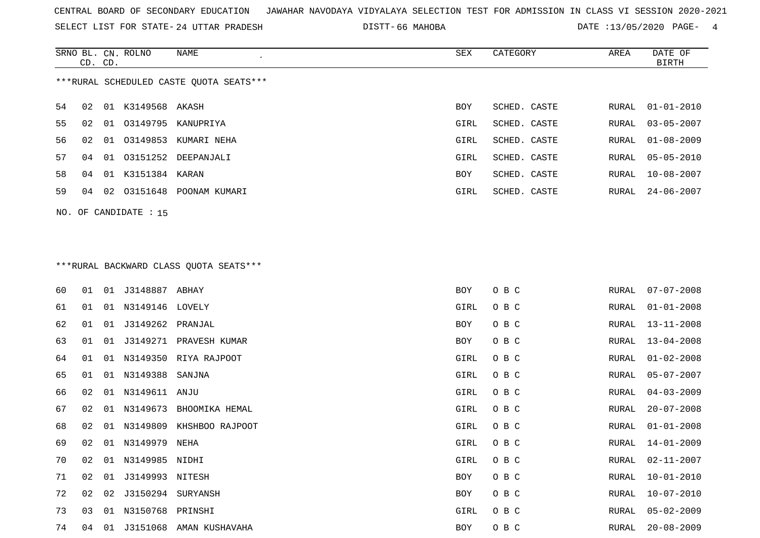SELECT LIST FOR STATE- DISTT- 24 UTTAR PRADESH

66 MAHOBA DATE :13/05/2020 PAGE- 4

|     | CD. CD.                                 |  | SRNO BL. CN. ROLNO      | NAME                      | SEX        | CATEGORY     | AREA  | DATE OF<br><b>BIRTH</b> |
|-----|-----------------------------------------|--|-------------------------|---------------------------|------------|--------------|-------|-------------------------|
|     | ***RURAL SCHEDULED CASTE OUOTA SEATS*** |  |                         |                           |            |              |       |                         |
| 54  | 02                                      |  | 01 K3149568 AKASH       |                           | BOY        | SCHED. CASTE | RURAL | $01 - 01 - 2010$        |
| 55  | 02                                      |  |                         | 01 03149795 KANUPRIYA     | GIRL       | SCHED. CASTE | RURAL | $03 - 05 - 2007$        |
| 56. | 02                                      |  | 01 03149853             | KUMARI NEHA               | GIRL       | SCHED. CASTE | RURAL | $01 - 08 - 2009$        |
| 57  | 04                                      |  |                         | 01 03151252 DEEPANJALI    | GIRL       | SCHED. CASTE | RURAL | $05 - 05 - 2010$        |
| 58  | 04                                      |  | 01 K3151384 KARAN       |                           | <b>BOY</b> | SCHED. CASTE | RURAL | 10-08-2007              |
| 59  | 04                                      |  |                         | 02 03151648 POONAM KUMARI | GIRL       | SCHED. CASTE |       | RURAL 24-06-2007        |
|     |                                         |  | NO. OF CANDIDATE : $15$ |                           |            |              |       |                         |

# \*\*\*RURAL BACKWARD CLASS QUOTA SEATS\*\*\*

| 60 | 01 | 01 | J3148887 ABHAY   |                         | BOY  | O B C | RURAL | $07 - 07 - 2008$ |
|----|----|----|------------------|-------------------------|------|-------|-------|------------------|
| 61 | 01 | 01 | N3149146 LOVELY  |                         | GIRL | O B C | RURAL | $01 - 01 - 2008$ |
| 62 | 01 | 01 | J3149262 PRANJAL |                         | BOY  | O B C | RURAL | $13 - 11 - 2008$ |
| 63 | 01 | 01 |                  | J3149271 PRAVESH KUMAR  | BOY  | O B C | RURAL | $13 - 04 - 2008$ |
| 64 | 01 | 01 | N3149350         | RIYA RAJPOOT            | GIRL | O B C | RURAL | $01 - 02 - 2008$ |
| 65 | 01 | 01 | N3149388         | SANJNA                  | GIRL | O B C | RURAL | $05 - 07 - 2007$ |
| 66 | 02 | 01 | N3149611         | ANJU                    | GIRL | O B C | RURAL | $04 - 03 - 2009$ |
| 67 | 02 | 01 | N3149673         | BHOOMIKA HEMAL          | GIRL | O B C | RURAL | $20 - 07 - 2008$ |
| 68 | 02 | 01 | N3149809         | KHSHBOO RAJPOOT         | GIRL | O B C | RURAL | $01 - 01 - 2008$ |
| 69 | 02 | 01 | N3149979 NEHA    |                         | GIRL | O B C | RURAL | $14 - 01 - 2009$ |
| 70 | 02 | 01 | N3149985 NIDHI   |                         | GIRL | O B C | RURAL | $02 - 11 - 2007$ |
| 71 | 02 | 01 | J3149993 NITESH  |                         | BOY  | O B C | RURAL | $10 - 01 - 2010$ |
| 72 | 02 | 02 | J3150294         | SURYANSH                | BOY  | O B C | RURAL | $10 - 07 - 2010$ |
| 73 | 03 | 01 | N3150768 PRINSHI |                         | GIRL | O B C | RURAL | $05 - 02 - 2009$ |
| 74 | 04 | 01 |                  | J3151068 AMAN KUSHAVAHA | BOY  | O B C | RURAL | $20 - 08 - 2009$ |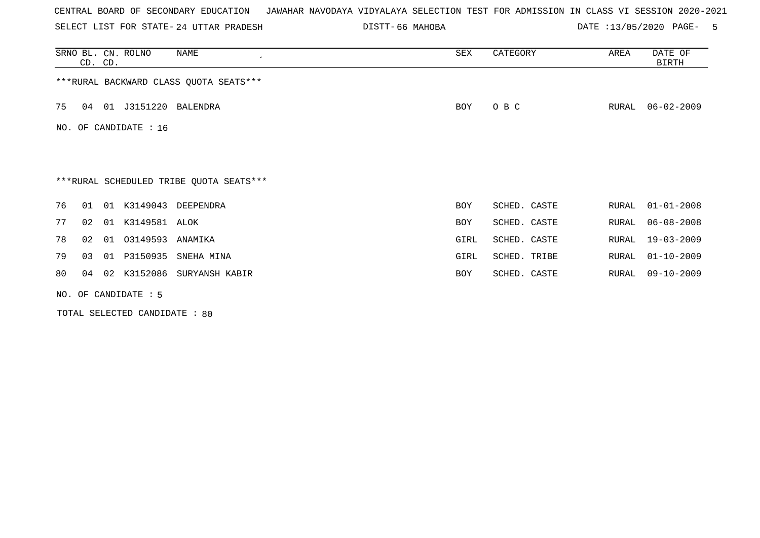SELECT LIST FOR STATE- DISTT- 24 UTTAR PRADESH

66 MAHOBA DATE :13/05/2020 PAGE- 5

|                                         | CD. CD. |    | SRNO BL. CN. ROLNO      | NAME                       | SEX        | CATEGORY     | AREA  | DATE OF<br>BIRTH |  |
|-----------------------------------------|---------|----|-------------------------|----------------------------|------------|--------------|-------|------------------|--|
| *** RURAL BACKWARD CLASS QUOTA SEATS*** |         |    |                         |                            |            |              |       |                  |  |
| 75                                      | 04      |    | 01 J3151220             | BALENDRA                   | <b>BOY</b> | O B C        | RURAL | $06 - 02 - 2009$ |  |
|                                         |         |    | NO. OF CANDIDATE : $16$ |                            |            |              |       |                  |  |
|                                         |         |    |                         |                            |            |              |       |                  |  |
| ***RURAL SCHEDULED TRIBE QUOTA SEATS*** |         |    |                         |                            |            |              |       |                  |  |
| 76                                      | 01      |    |                         | 01 K3149043 DEEPENDRA      | <b>BOY</b> | SCHED. CASTE | RURAL | $01 - 01 - 2008$ |  |
| 77                                      | 02      |    | 01 K3149581 ALOK        |                            | BOY        | SCHED. CASTE | RURAL | $06 - 08 - 2008$ |  |
| 78                                      | 02      |    | 01 03149593             | ANAMIKA                    | GIRL       | SCHED. CASTE | RURAL | 19-03-2009       |  |
| 79                                      | 03      | 01 | P3150935                | SNEHA MINA                 | GIRL       | SCHED. TRIBE | RURAL | $01 - 10 - 2009$ |  |
| 80                                      | 04      |    |                         | 02 K3152086 SURYANSH KABIR | BOY        | SCHED. CASTE | RURAL | 09-10-2009       |  |
|                                         |         |    | NO. OF CANDIDATE $: 5$  |                            |            |              |       |                  |  |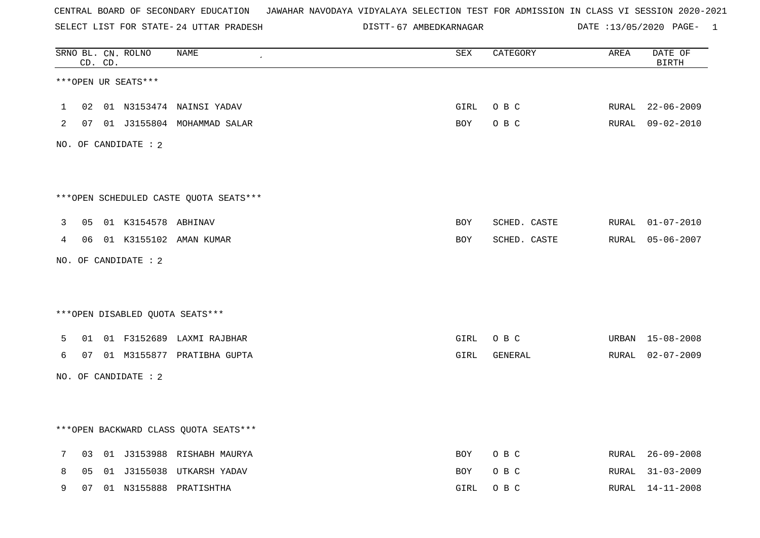SELECT LIST FOR STATE- DISTT- 24 UTTAR PRADESH

67 AMBEDKARNAGAR DATE :13/05/2020 PAGE- 1

|   |                | CD. CD. | SRNO BL. CN. ROLNO   | <b>NAME</b>                            | <b>SEX</b> | CATEGORY     | AREA  | DATE OF<br><b>BIRTH</b> |
|---|----------------|---------|----------------------|----------------------------------------|------------|--------------|-------|-------------------------|
|   |                |         | ***OPEN UR SEATS***  |                                        |            |              |       |                         |
| 1 | 02             |         |                      | 01 N3153474 NAINSI YADAV               | GIRL       | O B C        | RURAL | $22 - 06 - 2009$        |
| 2 |                |         |                      | 07 01 J3155804 MOHAMMAD SALAR          | <b>BOY</b> | O B C        |       | RURAL 09-02-2010        |
|   |                |         | NO. OF CANDIDATE : 2 |                                        |            |              |       |                         |
|   |                |         |                      |                                        |            |              |       |                         |
|   |                |         |                      | ***OPEN SCHEDULED CASTE QUOTA SEATS*** |            |              |       |                         |
| 3 | 05             |         | 01 K3154578 ABHINAV  |                                        | <b>BOY</b> | SCHED. CASTE | RURAL | $01 - 07 - 2010$        |
| 4 | 06             |         |                      | 01 K3155102 AMAN KUMAR                 | BOY        | SCHED. CASTE | RURAL | $05 - 06 - 2007$        |
|   |                |         | NO. OF CANDIDATE : 2 |                                        |            |              |       |                         |
|   |                |         |                      |                                        |            |              |       |                         |
|   |                |         |                      | ***OPEN DISABLED QUOTA SEATS***        |            |              |       |                         |
| 5 | 01             |         |                      | 01 F3152689 LAXMI RAJBHAR              | GIRL       | O B C        |       | URBAN 15-08-2008        |
| 6 | 07             |         |                      | 01 M3155877 PRATIBHA GUPTA             | GIRL       | GENERAL      | RURAL | $02 - 07 - 2009$        |
|   |                |         | NO. OF CANDIDATE : 2 |                                        |            |              |       |                         |
|   |                |         |                      |                                        |            |              |       |                         |
|   |                |         |                      | *** OPEN BACKWARD CLASS QUOTA SEATS*** |            |              |       |                         |
| 7 | 03             |         |                      | 01 J3153988 RISHABH MAURYA             | BOY        | O B C        |       | RURAL 26-09-2008        |
| 8 | 0 <sub>5</sub> |         |                      | 01 J3155038 UTKARSH YADAV              | BOY        | O B C        | RURAL | $31 - 03 - 2009$        |
| 9 | 07             |         |                      | 01 N3155888 PRATISHTHA                 | GIRL       | O B C        | RURAL | $14 - 11 - 2008$        |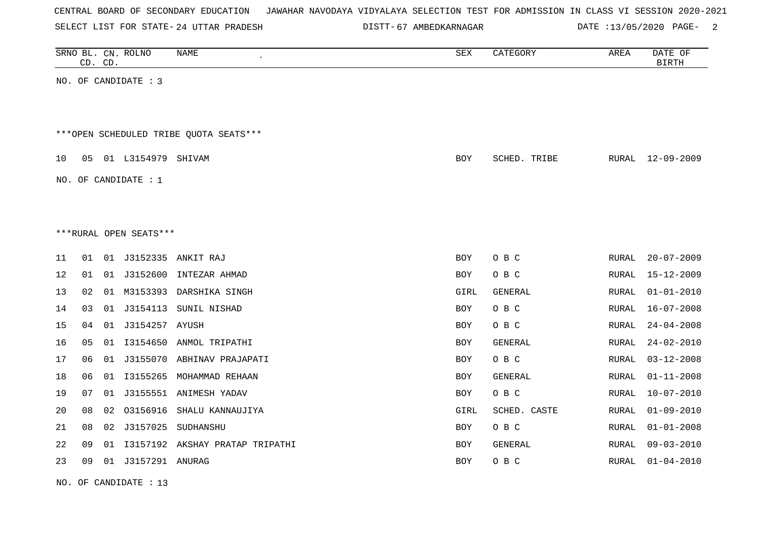| CENTRAL BOARD OF SECONDARY EDUCATION – JAWAHAR NAVODAYA VIDYALAYA SELECTION TEST FOR ADMISSION IN CLASS VI SESSION 2020-2021 |  |
|------------------------------------------------------------------------------------------------------------------------------|--|
|------------------------------------------------------------------------------------------------------------------------------|--|

24 UTTAR PRADESH 67 AMBEDKARNAGAR DATE :13/05/2020 PAGE- 2

|    | CD. CD. |    | SRNO BL. CN. ROLNO     | NAME                                    | SEX        | CATEGORY     | AREA         | DATE OF<br><b>BIRTH</b> |
|----|---------|----|------------------------|-----------------------------------------|------------|--------------|--------------|-------------------------|
|    |         |    | NO. OF CANDIDATE : 3   |                                         |            |              |              |                         |
|    |         |    |                        |                                         |            |              |              |                         |
|    |         |    |                        |                                         |            |              |              |                         |
|    |         |    |                        | *** OPEN SCHEDULED TRIBE QUOTA SEATS*** |            |              |              |                         |
| 10 | 05      |    | 01 L3154979 SHIVAM     |                                         | BOY        | SCHED. TRIBE | RURAL        | $12 - 09 - 2009$        |
|    |         |    | NO. OF CANDIDATE : $1$ |                                         |            |              |              |                         |
|    |         |    |                        |                                         |            |              |              |                         |
|    |         |    |                        |                                         |            |              |              |                         |
|    |         |    | ***RURAL OPEN SEATS*** |                                         |            |              |              |                         |
| 11 | 01      |    |                        | 01 J3152335 ANKIT RAJ                   | BOY        | O B C        | <b>RURAL</b> | $20 - 07 - 2009$        |
| 12 | 01      | 01 | J3152600               | INTEZAR AHMAD                           | BOY        | O B C        | RURAL        | $15 - 12 - 2009$        |
| 13 | 02      | 01 | M3153393               | DARSHIKA SINGH                          | GIRL       | GENERAL      | RURAL        | $01 - 01 - 2010$        |
| 14 | 03      | 01 | J3154113               | SUNIL NISHAD                            | BOY        | O B C        | RURAL        | $16 - 07 - 2008$        |
| 15 | 04      | 01 | J3154257 AYUSH         |                                         | BOY        | O B C        | RURAL        | $24 - 04 - 2008$        |
| 16 | 05      | 01 | I3154650               | ANMOL TRIPATHI                          | <b>BOY</b> | GENERAL      | RURAL        | $24 - 02 - 2010$        |
| 17 | 06      | 01 | J3155070               | ABHINAV PRAJAPATI                       | <b>BOY</b> | O B C        | RURAL        | $03 - 12 - 2008$        |
| 18 | 06      | 01 | I3155265               | MOHAMMAD REHAAN                         | <b>BOY</b> | GENERAL      | RURAL        | $01 - 11 - 2008$        |
| 19 | 07      | 01 |                        | J3155551 ANIMESH YADAV                  | <b>BOY</b> | O B C        | RURAL        | $10 - 07 - 2010$        |
| 20 | 08      | 02 | 03156916               | SHALU KANNAUJIYA                        | GIRL       | SCHED. CASTE | RURAL        | $01 - 09 - 2010$        |
| 21 | 08      | 02 |                        | J3157025 SUDHANSHU                      | <b>BOY</b> | O B C        | RURAL        | $01 - 01 - 2008$        |
| 22 | 09      | 01 |                        | I3157192 AKSHAY PRATAP TRIPATHI         | <b>BOY</b> | GENERAL      | RURAL        | $09 - 03 - 2010$        |
| 23 | 09      | 01 | J3157291 ANURAG        |                                         | BOY        | O B C        | RURAL        | $01 - 04 - 2010$        |

NO. OF CANDIDATE : 13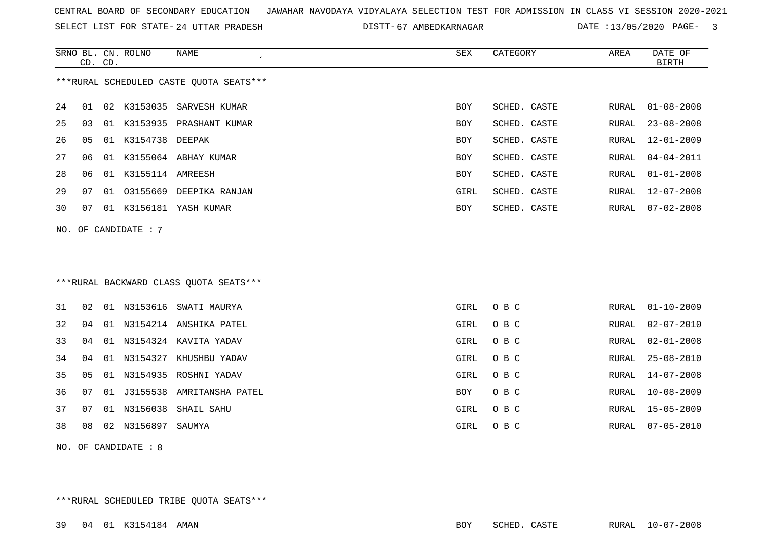SELECT LIST FOR STATE- DISTT- 24 UTTAR PRADESH

67 AMBEDKARNAGAR DATE :13/05/2020 PAGE- 3

|     |    | CD. CD. | SRNO BL. CN. ROLNO   | <b>NAME</b><br>$\epsilon$               | <b>SEX</b> | CATEGORY     | AREA  | DATE OF<br><b>BIRTH</b> |
|-----|----|---------|----------------------|-----------------------------------------|------------|--------------|-------|-------------------------|
|     |    |         |                      | ***RURAL SCHEDULED CASTE OUOTA SEATS*** |            |              |       |                         |
| 24  | 01 | 02      | K3153035             | SARVESH KUMAR                           | <b>BOY</b> | SCHED. CASTE | RURAL | $01 - 08 - 2008$        |
| 25  | 03 |         |                      | 01 K3153935 PRASHANT KUMAR              | BOY        | SCHED. CASTE | RURAL | $23 - 08 - 2008$        |
| 26  | 05 |         | 01 K3154738 DEEPAK   |                                         | BOY        | SCHED. CASTE | RURAL | $12 - 01 - 2009$        |
| 27  | 06 |         |                      | 01 K3155064 ABHAY KUMAR                 | <b>BOY</b> | SCHED. CASTE | RURAL | $04 - 04 - 2011$        |
| 28  | 06 |         | 01 K3155114 AMREESH  |                                         | <b>BOY</b> | SCHED. CASTE | RURAL | $01 - 01 - 2008$        |
| 29  | 07 |         |                      | 01 03155669 DEEPIKA RANJAN              | GIRL       | SCHED. CASTE | RURAL | $12 - 07 - 2008$        |
| 30  | 07 |         |                      | 01 K3156181 YASH KUMAR                  | BOY        | SCHED. CASTE | RURAL | $07 - 02 - 2008$        |
|     |    |         | NO. OF CANDIDATE : 7 |                                         |            |              |       |                         |
|     |    |         |                      |                                         |            |              |       |                         |
|     |    |         |                      |                                         |            |              |       |                         |
|     |    |         |                      | *** RURAL BACKWARD CLASS QUOTA SEATS*** |            |              |       |                         |
|     |    |         |                      |                                         |            |              |       |                         |
| 31  | 02 |         |                      | 01 N3153616 SWATI MAURYA                | GIRL       | O B C        | RURAL | $01 - 10 - 2009$        |
| 32  | 04 |         |                      | 01 N3154214 ANSHIKA PATEL               | GIRL       | O B C        | RURAL | $02 - 07 - 2010$        |
| 33  | 04 |         |                      | 01 N3154324 KAVITA YADAV                | GIRL       | O B C        | RURAL | $02 - 01 - 2008$        |
| 34  | 04 |         |                      | 01 N3154327 KHUSHBU YADAV               | GIRL       | O B C        | RURAL | $25 - 08 - 2010$        |
| 35  | 05 |         |                      | 01 N3154935 ROSHNI YADAV                | GIRL       | O B C        | RURAL | $14 - 07 - 2008$        |
| 36  | 07 | 01      |                      | J3155538 AMRITANSHA PATEL               | BOY        | O B C        | RURAL | $10 - 08 - 2009$        |
| 37  | 07 |         | 01 N3156038          | SHAIL SAHU                              | GIRL       | O B C        | RURAL | $15 - 05 - 2009$        |
| 38  | 08 |         | 02 N3156897          | SAUMYA                                  | GIRL       | O B C        | RURAL | $07 - 05 - 2010$        |
| NO. |    |         | OF CANDIDATE : 8     |                                         |            |              |       |                         |
|     |    |         |                      |                                         |            |              |       |                         |
|     |    |         |                      |                                         |            |              |       |                         |

\*\*\*RURAL SCHEDULED TRIBE QUOTA SEATS\*\*\*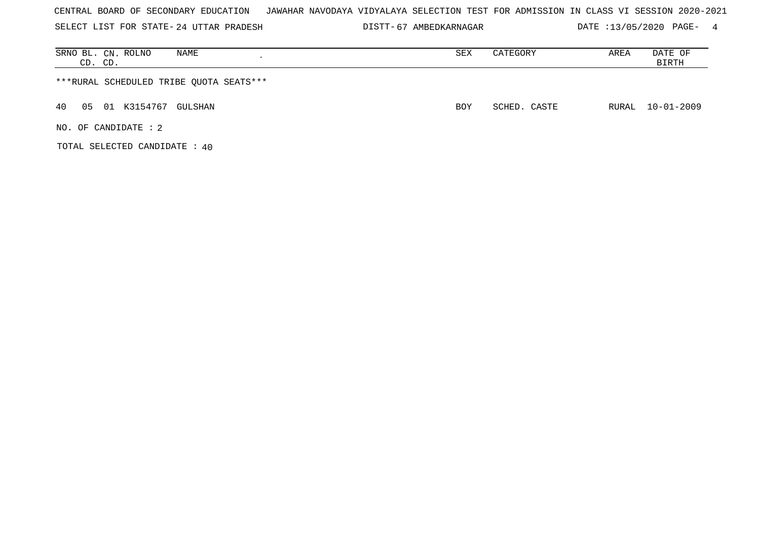SELECT LIST FOR STATE- DISTT- 24 UTTAR PRADESH

67 AMBEDKARNAGAR DATE :13/05/2020 PAGE- 4

| NAME<br>SRNO BL. CN. ROLNO<br>CD. CD.   | SEX | CATEGORY     | AREA | DATE OF<br>BIRTH |
|-----------------------------------------|-----|--------------|------|------------------|
| ***RURAL SCHEDULED TRIBE QUOTA SEATS*** |     |              |      |                  |
| 40<br>01 K3154767 GULSHAN<br>05         | BOY | SCHED. CASTE |      | RURAL 10-01-2009 |
| NO. OF CANDIDATE : 2                    |     |              |      |                  |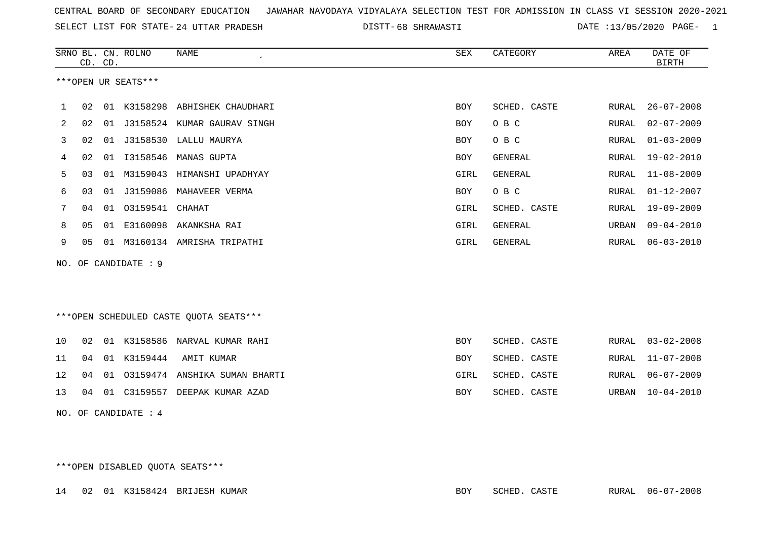SELECT LIST FOR STATE- DISTT- 24 UTTAR PRADESH

68 SHRAWASTI DATE :13/05/2020 PAGE- 1

|    | CD. CD.              |    | SRNO BL. CN. ROLNO   | <b>NAME</b>                            | <b>SEX</b> | CATEGORY       | AREA          | DATE OF<br><b>BIRTH</b> |  |  |
|----|----------------------|----|----------------------|----------------------------------------|------------|----------------|---------------|-------------------------|--|--|
|    |                      |    | ***OPEN UR SEATS***  |                                        |            |                |               |                         |  |  |
| 1  |                      |    |                      | 02 01 K3158298 ABHISHEK CHAUDHARI      | <b>BOY</b> | SCHED. CASTE   | RURAL         | $26 - 07 - 2008$        |  |  |
| 2  | 02                   |    |                      | 01 J3158524 KUMAR GAURAV SINGH         | <b>BOY</b> | O B C          | RURAL         | $02 - 07 - 2009$        |  |  |
| 3  | 02                   |    |                      | 01 J3158530 LALLU MAURYA               | <b>BOY</b> | O B C          | RURAL         | $01 - 03 - 2009$        |  |  |
| 4  | 02                   | 01 | I3158546             | MANAS GUPTA                            | <b>BOY</b> | <b>GENERAL</b> | RURAL         | $19 - 02 - 2010$        |  |  |
| 5  | 03                   | 01 |                      | M3159043 HIMANSHI UPADHYAY             | GIRL       | <b>GENERAL</b> | RURAL         | $11 - 08 - 2009$        |  |  |
| 6  | 03                   |    |                      | 01 J3159086 MAHAVEER VERMA             | <b>BOY</b> | O B C          | ${\tt RURAL}$ | $01 - 12 - 2007$        |  |  |
| 7  | 04                   |    | 01 03159541          | CHAHAT                                 | GIRL       | SCHED. CASTE   | RURAL         | $19 - 09 - 2009$        |  |  |
| 8  | 05                   | 01 | E3160098             | AKANKSHA RAI                           | GIRL       | <b>GENERAL</b> | URBAN         | $09 - 04 - 2010$        |  |  |
| 9  | 05                   |    |                      | 01 M3160134 AMRISHA TRIPATHI           | GIRL       | GENERAL        | RURAL         | $06 - 03 - 2010$        |  |  |
|    |                      |    | NO. OF CANDIDATE : 9 |                                        |            |                |               |                         |  |  |
|    |                      |    |                      |                                        |            |                |               |                         |  |  |
|    |                      |    |                      |                                        |            |                |               |                         |  |  |
|    |                      |    |                      | ***OPEN SCHEDULED CASTE QUOTA SEATS*** |            |                |               |                         |  |  |
| 10 | 02                   |    |                      | 01 K3158586 NARVAL KUMAR RAHI          | <b>BOY</b> | SCHED. CASTE   | RURAL         | $03 - 02 - 2008$        |  |  |
| 11 | 04                   |    | 01 K3159444          | AMIT KUMAR                             | <b>BOY</b> | SCHED. CASTE   | RURAL         | $11 - 07 - 2008$        |  |  |
| 12 | 04                   | 01 | 03159474             | ANSHIKA SUMAN BHARTI                   | GIRL       | SCHED. CASTE   | RURAL         | $06 - 07 - 2009$        |  |  |
| 13 | 04                   |    |                      | 01 C3159557 DEEPAK KUMAR AZAD          | <b>BOY</b> | SCHED. CASTE   | URBAN         | $10 - 04 - 2010$        |  |  |
|    | NO. OF CANDIDATE : 4 |    |                      |                                        |            |                |               |                         |  |  |

\*\*\*OPEN DISABLED QUOTA SEATS\*\*\*

|  |  |  |  | 14 02 01 K3158424 BRIJESH KUMAR | BOY | SCHED. CASTE | RURAL 06-07-2008 |
|--|--|--|--|---------------------------------|-----|--------------|------------------|
|--|--|--|--|---------------------------------|-----|--------------|------------------|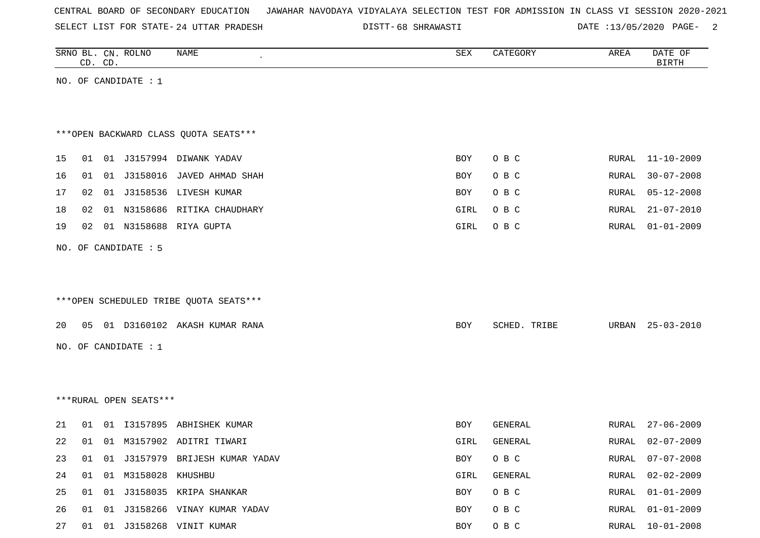|  |  | CENTRAL BOARD OF SECONDARY EDUCATION – JAWAHAR NAVODAYA VIDYALAYA SELECTION TEST FOR ADMISSION IN CLASS VI SESSION 2020-2021 |  |  |  |  |  |  |  |
|--|--|------------------------------------------------------------------------------------------------------------------------------|--|--|--|--|--|--|--|
|  |  |                                                                                                                              |  |  |  |  |  |  |  |

24 UTTAR PRADESH 68 SHRAWASTI DATE :13/05/2020 PAGE- 2

|    |    | CD. CD. | SRNO BL. CN. ROLNO     | NAME                                    | ${\tt SEX}$ | CATEGORY     | AREA         | DATE OF<br><b>BIRTH</b> |
|----|----|---------|------------------------|-----------------------------------------|-------------|--------------|--------------|-------------------------|
|    |    |         | NO. OF CANDIDATE : $1$ |                                         |             |              |              |                         |
|    |    |         |                        |                                         |             |              |              |                         |
|    |    |         |                        |                                         |             |              |              |                         |
|    |    |         |                        | *** OPEN BACKWARD CLASS QUOTA SEATS***  |             |              |              |                         |
| 15 |    |         |                        | 01 01 J3157994 DIWANK YADAV             | <b>BOY</b>  | O B C        | RURAL        | 11-10-2009              |
| 16 | 01 |         |                        | 01 J3158016 JAVED AHMAD SHAH            | BOY         | O B C        | RURAL        | $30 - 07 - 2008$        |
| 17 | 02 |         |                        | 01 J3158536 LIVESH KUMAR                | <b>BOY</b>  | O B C        | RURAL        | $05 - 12 - 2008$        |
| 18 | 02 |         |                        | 01 N3158686 RITIKA CHAUDHARY            | GIRL        | O B C        | RURAL        | $21 - 07 - 2010$        |
| 19 | 02 |         |                        | 01 N3158688 RIYA GUPTA                  | GIRL        | O B C        | RURAL        | $01 - 01 - 2009$        |
|    |    |         | NO. OF CANDIDATE : 5   |                                         |             |              |              |                         |
|    |    |         |                        |                                         |             |              |              |                         |
|    |    |         |                        |                                         |             |              |              |                         |
|    |    |         |                        | *** OPEN SCHEDULED TRIBE QUOTA SEATS*** |             |              |              |                         |
| 20 |    |         |                        | 05 01 D3160102 AKASH KUMAR RANA         | BOY         | SCHED. TRIBE | URBAN        | 25-03-2010              |
|    |    |         | NO. OF CANDIDATE : 1   |                                         |             |              |              |                         |
|    |    |         |                        |                                         |             |              |              |                         |
|    |    |         |                        |                                         |             |              |              |                         |
|    |    |         | ***RURAL OPEN SEATS*** |                                         |             |              |              |                         |
|    |    |         |                        |                                         |             |              |              |                         |
| 21 |    |         |                        | 01 01 I3157895 ABHISHEK KUMAR           | BOY         | GENERAL      | RURAL        | $27 - 06 - 2009$        |
| 22 | 01 |         |                        | 01 M3157902 ADITRI TIWARI               | GIRL        | GENERAL      | <b>RURAL</b> | $02 - 07 - 2009$        |
| 23 |    |         |                        | 01 01 J3157979 BRIJESH KUMAR YADAV      | BOY         | O B C        | RURAL        | $07 - 07 - 2008$        |
| 24 |    |         | 01 01 M3158028 KHUSHBU |                                         | GIRL        | GENERAL      | RURAL        | $02 - 02 - 2009$        |
| 25 |    |         |                        | 01 01 J3158035 KRIPA SHANKAR            | BOY         | O B C        | RURAL        | $01 - 01 - 2009$        |
| 26 |    |         |                        | 01 01 J3158266 VINAY KUMAR YADAV        | BOY         | O B C        | RURAL        | $01 - 01 - 2009$        |
| 27 |    |         |                        | 01 01 J3158268 VINIT KUMAR              | <b>BOY</b>  | O B C        | RURAL        | $10 - 01 - 2008$        |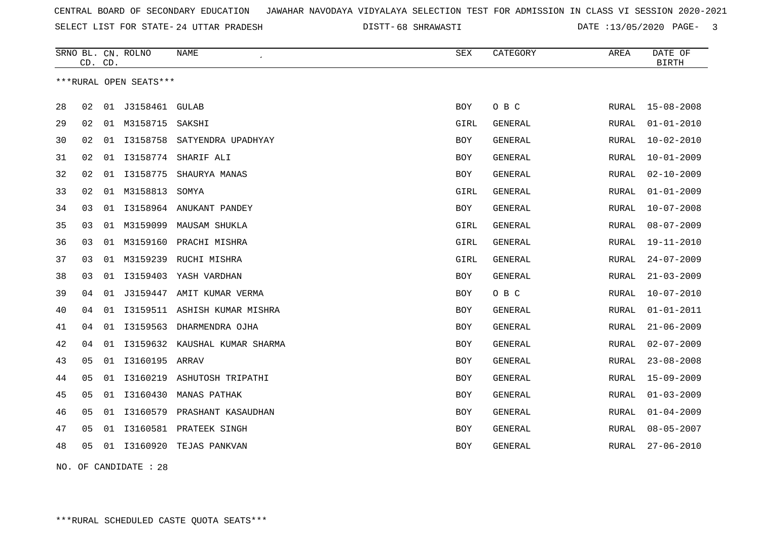SELECT LIST FOR STATE- DISTT- 24 UTTAR PRADESH

68 SHRAWASTI DATE :13/05/2020 PAGE- 3

|    | CD. CD. |    | SRNO BL. CN. ROLNO     | <b>NAME</b>                   | <b>SEX</b> | CATEGORY       | AREA         | DATE OF<br><b>BIRTH</b> |
|----|---------|----|------------------------|-------------------------------|------------|----------------|--------------|-------------------------|
|    |         |    | ***RURAL OPEN SEATS*** |                               |            |                |              |                         |
| 28 | 02      | 01 | J3158461               | <b>GULAB</b>                  | BOY        | O B C          | RURAL        | $15 - 08 - 2008$        |
| 29 | 02      | 01 | M3158715               | SAKSHI                        | GIRL       | GENERAL        | RURAL        | $01 - 01 - 2010$        |
| 30 | 02      | 01 |                        | 13158758 SATYENDRA UPADHYAY   | <b>BOY</b> | <b>GENERAL</b> | <b>RURAL</b> | $10 - 02 - 2010$        |
| 31 | 02      | 01 | I3158774               | SHARIF ALI                    | <b>BOY</b> | <b>GENERAL</b> | RURAL        | $10 - 01 - 2009$        |
| 32 | 02      | 01 | I3158775               | SHAURYA MANAS                 | BOY        | GENERAL        | RURAL        | $02 - 10 - 2009$        |
| 33 | 02      |    | 01 M3158813            | SOMYA                         | GIRL       | <b>GENERAL</b> | RURAL        | $01 - 01 - 2009$        |
| 34 | 03      |    |                        | 01 I3158964 ANUKANT PANDEY    | <b>BOY</b> | <b>GENERAL</b> | RURAL        | $10 - 07 - 2008$        |
| 35 | 03      |    | 01 M3159099            | MAUSAM SHUKLA                 | GIRL       | <b>GENERAL</b> | <b>RURAL</b> | $08 - 07 - 2009$        |
| 36 | 03      |    |                        | 01 M3159160 PRACHI MISHRA     | GIRL       | GENERAL        | <b>RURAL</b> | 19-11-2010              |
| 37 | 03      | 01 | M3159239               | RUCHI MISHRA                  | GIRL       | GENERAL        | RURAL        | $24 - 07 - 2009$        |
| 38 | 03      | 01 | I3159403               | YASH VARDHAN                  | <b>BOY</b> | <b>GENERAL</b> | RURAL        | $21 - 03 - 2009$        |
| 39 | 04      | 01 | J3159447               | AMIT KUMAR VERMA              | <b>BOY</b> | O B C          | RURAL        | $10 - 07 - 2010$        |
| 40 | 04      | 01 |                        | I3159511 ASHISH KUMAR MISHRA  | <b>BOY</b> | <b>GENERAL</b> | RURAL        | $01 - 01 - 2011$        |
| 41 | 04      | 01 | I3159563               | DHARMENDRA OJHA               | BOY        | GENERAL        | RURAL        | $21 - 06 - 2009$        |
| 42 | 04      | 01 |                        | I3159632 KAUSHAL KUMAR SHARMA | BOY        | GENERAL        | RURAL        | $02 - 07 - 2009$        |
| 43 | 05      | 01 | 13160195 ARRAV         |                               | <b>BOY</b> | GENERAL        | <b>RURAL</b> | $23 - 08 - 2008$        |
| 44 | 05      | 01 | I3160219               | ASHUTOSH TRIPATHI             | BOY        | GENERAL        | RURAL        | $15 - 09 - 2009$        |
| 45 | 05      |    |                        | 01 I3160430 MANAS PATHAK      | <b>BOY</b> | <b>GENERAL</b> | RURAL        | $01 - 03 - 2009$        |
| 46 | 05      | 01 | I3160579               | PRASHANT KASAUDHAN            | <b>BOY</b> | <b>GENERAL</b> | <b>RURAL</b> | $01 - 04 - 2009$        |
| 47 | 05      |    |                        | 01 I3160581 PRATEEK SINGH     | BOY        | <b>GENERAL</b> | RURAL        | $08 - 05 - 2007$        |
| 48 | 05      |    |                        | 01 I3160920 TEJAS PANKVAN     | BOY        | GENERAL        | RURAL        | $27 - 06 - 2010$        |
|    |         |    |                        |                               |            |                |              |                         |

NO. OF CANDIDATE : 28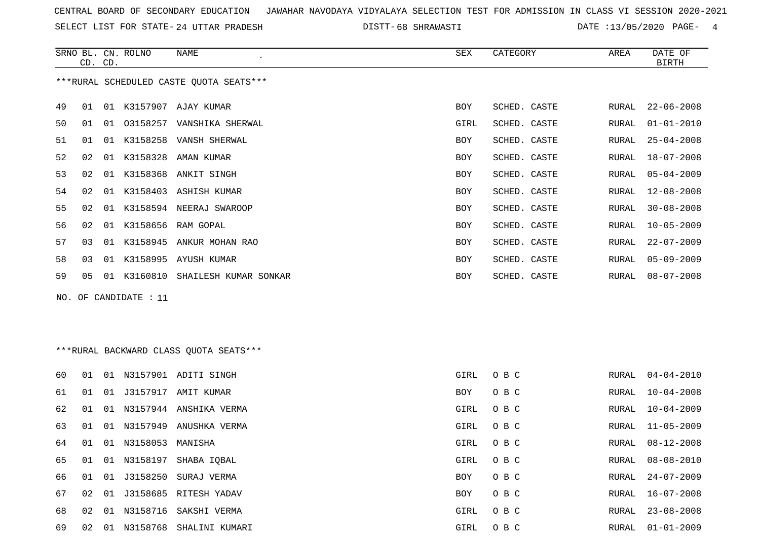SELECT LIST FOR STATE- DISTT- 24 UTTAR PRADESH

68 SHRAWASTI DATE :13/05/2020 PAGE- 4

|    | CD. CD. |    | SRNO BL. CN. ROLNO    | NAME                                    | <b>SEX</b> | CATEGORY     | AREA  | DATE OF<br><b>BIRTH</b> |
|----|---------|----|-----------------------|-----------------------------------------|------------|--------------|-------|-------------------------|
|    |         |    |                       | ***RURAL SCHEDULED CASTE QUOTA SEATS*** |            |              |       |                         |
|    |         |    |                       |                                         |            |              |       |                         |
| 49 | 01      |    |                       | 01 K3157907 AJAY KUMAR                  | <b>BOY</b> | SCHED. CASTE | RURAL | $22 - 06 - 2008$        |
| 50 | 01      |    |                       | 01 03158257 VANSHIKA SHERWAL            | GIRL       | SCHED. CASTE | RURAL | $01 - 01 - 2010$        |
| 51 | 01      |    |                       | 01 K3158258 VANSH SHERWAL               | BOY        | SCHED. CASTE | RURAL | $25 - 04 - 2008$        |
| 52 | 02      | 01 | K3158328              | AMAN KUMAR                              | BOY        | SCHED. CASTE | RURAL | $18 - 07 - 2008$        |
| 53 | 02      |    | 01 K3158368           | ANKIT SINGH                             | BOY        | SCHED. CASTE | RURAL | $05 - 04 - 2009$        |
| 54 | 02      |    |                       | 01 K3158403 ASHISH KUMAR                | BOY        | SCHED. CASTE | RURAL | $12 - 08 - 2008$        |
| 55 | 02      |    |                       | 01 K3158594 NEERAJ SWAROOP              | BOY        | SCHED. CASTE | RURAL | $30 - 08 - 2008$        |
| 56 | 02      | 01 |                       | K3158656 RAM GOPAL                      | BOY        | SCHED. CASTE | RURAL | $10 - 05 - 2009$        |
| 57 | 03      |    |                       | 01 K3158945 ANKUR MOHAN RAO             | BOY        | SCHED. CASTE | RURAL | $22 - 07 - 2009$        |
| 58 | 03      |    |                       | 01 K3158995 AYUSH KUMAR                 | BOY        | SCHED. CASTE | RURAL | $05 - 09 - 2009$        |
| 59 | 05      |    |                       | 01 K3160810 SHAILESH KUMAR SONKAR       | BOY        | SCHED. CASTE | RURAL | $08 - 07 - 2008$        |
|    |         |    | NO. OF CANDIDATE : 11 |                                         |            |              |       |                         |
|    |         |    |                       |                                         |            |              |       |                         |
|    |         |    |                       |                                         |            |              |       |                         |
|    |         |    |                       | ***RURAL BACKWARD CLASS QUOTA SEATS***  |            |              |       |                         |
| 60 | 01      |    |                       | 01 N3157901 ADITI SINGH                 | GIRL       | O B C        | RURAL | $04 - 04 - 2010$        |
| 61 | 01      | 01 |                       | J3157917 AMIT KUMAR                     | BOY        | O B C        | RURAL | $10 - 04 - 2008$        |
| 62 | 01      |    |                       | 01 N3157944 ANSHIKA VERMA               | GIRL       | O B C        | RURAL | $10 - 04 - 2009$        |
| 63 | 01      | 01 |                       | N3157949 ANUSHKA VERMA                  | GIRL       | O B C        | RURAL | $11 - 05 - 2009$        |
| 64 | 01      |    | 01 N3158053 MANISHA   |                                         | GIRL       | O B C        | RURAL | $08 - 12 - 2008$        |
| 65 | 01      |    |                       | 01 N3158197 SHABA IQBAL                 | GIRL       | O B C        | RURAL | $08 - 08 - 2010$        |
| 66 | 01      | 01 | J3158250              | SURAJ VERMA                             | BOY        | O B C        | RURAL | $24 - 07 - 2009$        |
| 67 | 02      |    |                       | 01 J3158685 RITESH YADAV                | BOY        | O B C        | RURAL | 16-07-2008              |
|    |         |    |                       |                                         |            |              |       |                         |

 02 01 N3158716 SAKSHI VERMA GIRL O B C RURAL 23-08-2008 02 01 N3158768 SHALINI KUMARI GIRL O B C RURAL 01-01-2009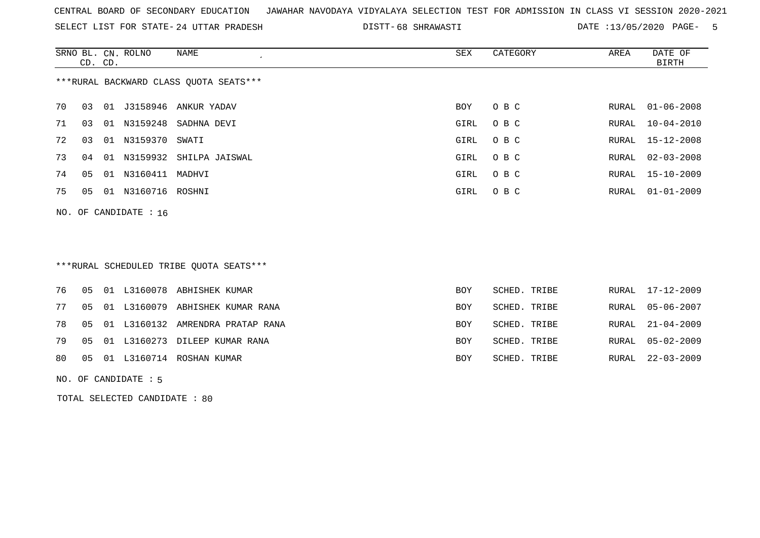SELECT LIST FOR STATE- DISTT- 24 UTTAR PRADESH

68 SHRAWASTI DATE :13/05/2020 PAGE- 5

|    | CD. CD.                 |    | SRNO BL. CN. ROLNO | NAME                                   | SEX  | CATEGORY | AREA  | DATE OF<br>BIRTH |  |  |  |
|----|-------------------------|----|--------------------|----------------------------------------|------|----------|-------|------------------|--|--|--|
|    |                         |    |                    | ***RURAL BACKWARD CLASS QUOTA SEATS*** |      |          |       |                  |  |  |  |
| 70 | 03                      |    |                    | 01 J3158946 ANKUR YADAV                | BOY  | O B C    | RURAL | $01 - 06 - 2008$ |  |  |  |
| 71 | 03                      | 01 |                    | N3159248 SADHNA DEVI                   | GIRL | O B C    | RURAL | $10 - 04 - 2010$ |  |  |  |
| 72 | 03                      | 01 | N3159370 SWATI     |                                        | GIRL | O B C    |       | RURAL 15-12-2008 |  |  |  |
| 73 | 04                      | 01 |                    | N3159932 SHILPA JAISWAL                | GIRL | O B C    |       | RURAL 02-03-2008 |  |  |  |
| 74 | 05                      | 01 | N3160411           | MADHVI                                 | GIRL | O B C    | RURAL | 15-10-2009       |  |  |  |
| 75 | 05                      |    | 01 N3160716 ROSHNI |                                        | GIRL | O B C    | RURAL | $01 - 01 - 2009$ |  |  |  |
|    | NO. OF CANDIDATE : $16$ |    |                    |                                        |      |          |       |                  |  |  |  |

## \*\*\*RURAL SCHEDULED TRIBE QUOTA SEATS\*\*\*

|  |  | 80 05 01 L3160714 ROSHAN KUMAR         | <b>BOY</b> | SCHED. TRIBE | RURAL 22-03-2009 |
|--|--|----------------------------------------|------------|--------------|------------------|
|  |  | 79 05 01 L3160273 DILEEP KUMAR RANA    | <b>BOY</b> | SCHED. TRIBE | RURAL 05-02-2009 |
|  |  | 78 05 01 L3160132 AMRENDRA PRATAP RANA | <b>BOY</b> | SCHED. TRIBE | RURAL 21-04-2009 |
|  |  | 77 05 01 L3160079 ABHISHEK KUMAR RANA  | <b>BOY</b> | SCHED. TRIBE | RURAL 05-06-2007 |
|  |  | 76 05 01 L3160078 ABHISHEK KUMAR       | BOY        | SCHED. TRIBE | RURAL 17-12-2009 |

#### NO. OF CANDIDATE : 5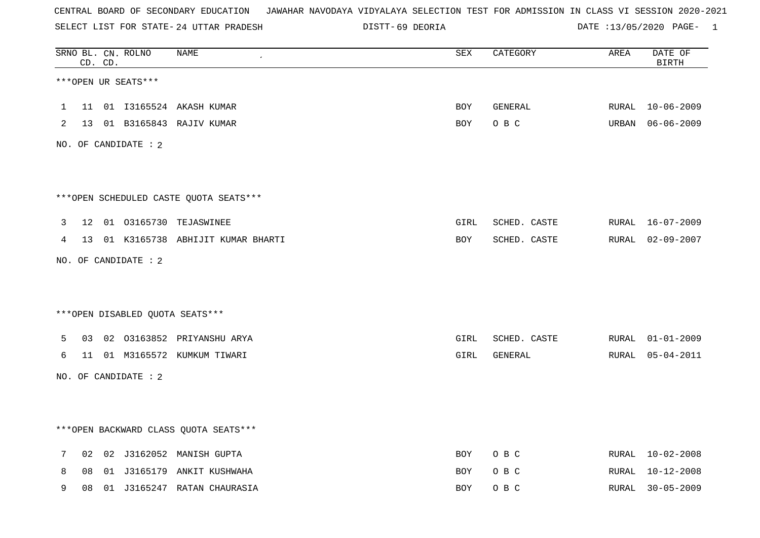SELECT LIST FOR STATE- DISTT- 24 UTTAR PRADESH

69 DEORIA DATE :13/05/2020 PAGE- 1

|   |    | CD. CD. | SRNO BL. CN. ROLNO   | <b>NAME</b>                             | SEX        | CATEGORY     | AREA  | DATE OF<br><b>BIRTH</b> |
|---|----|---------|----------------------|-----------------------------------------|------------|--------------|-------|-------------------------|
|   |    |         | ***OPEN UR SEATS***  |                                         |            |              |       |                         |
| 1 | 11 |         |                      | 01 I3165524 AKASH KUMAR                 | BOY        | GENERAL      | RURAL | 10-06-2009              |
| 2 | 13 |         |                      | 01 B3165843 RAJIV KUMAR                 | BOY        | O B C        |       | URBAN 06-06-2009        |
|   |    |         | NO. OF CANDIDATE : 2 |                                         |            |              |       |                         |
|   |    |         |                      |                                         |            |              |       |                         |
|   |    |         |                      | *** OPEN SCHEDULED CASTE QUOTA SEATS*** |            |              |       |                         |
| 3 | 12 |         |                      | 01 03165730 TEJASWINEE                  | GIRL       | SCHED. CASTE |       | RURAL 16-07-2009        |
| 4 |    |         |                      | 13 01 K3165738 ABHIJIT KUMAR BHARTI     | BOY        | SCHED. CASTE |       | RURAL 02-09-2007        |
|   |    |         | NO. OF CANDIDATE : 2 |                                         |            |              |       |                         |
|   |    |         |                      |                                         |            |              |       |                         |
|   |    |         |                      | *** OPEN DISABLED QUOTA SEATS***        |            |              |       |                         |
| 5 | 03 |         |                      | 02 03163852 PRIYANSHU ARYA              | GIRL       | SCHED. CASTE |       | RURAL 01-01-2009        |
| 6 | 11 |         |                      | 01 M3165572 KUMKUM TIWARI               | GIRL       | GENERAL      | RURAL | $05 - 04 - 2011$        |
|   |    |         | NO. OF CANDIDATE : 2 |                                         |            |              |       |                         |
|   |    |         |                      |                                         |            |              |       |                         |
|   |    |         |                      | *** OPEN BACKWARD CLASS QUOTA SEATS *** |            |              |       |                         |
| 7 | 02 |         |                      | 02 J3162052 MANISH GUPTA                | <b>BOY</b> | O B C        | RURAL | $10 - 02 - 2008$        |
| 8 | 08 |         |                      | 01 J3165179 ANKIT KUSHWAHA              | <b>BOY</b> | O B C        | RURAL | 10-12-2008              |
| 9 | 08 |         |                      | 01 J3165247 RATAN CHAURASIA             | <b>BOY</b> | O B C        | RURAL | $30 - 05 - 2009$        |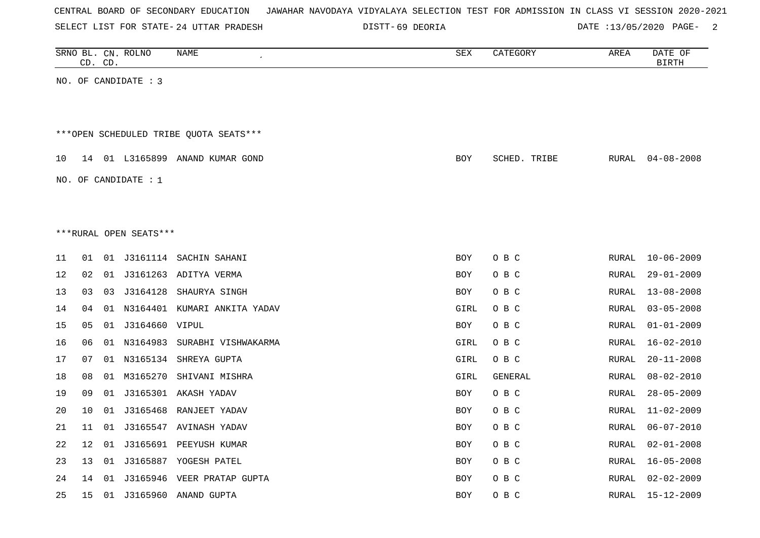|  |  | CENTRAL BOARD OF SECONDARY EDUCATION – JAWAHAR NAVODAYA VIDYALAYA SELECTION TEST FOR ADMISSION IN CLASS VI SESSION 2020-2021 |  |  |  |  |  |  |  |
|--|--|------------------------------------------------------------------------------------------------------------------------------|--|--|--|--|--|--|--|
|  |  |                                                                                                                              |  |  |  |  |  |  |  |

24 UTTAR PRADESH 69 DEORIA DATE :13/05/2020 PAGE- 2

|    |    | CD. CD. | SRNO BL. CN. ROLNO     | NAME                                   | SEX        | CATEGORY     | AREA  | DATE OF<br><b>BIRTH</b> |
|----|----|---------|------------------------|----------------------------------------|------------|--------------|-------|-------------------------|
|    |    |         | NO. OF CANDIDATE : 3   |                                        |            |              |       |                         |
|    |    |         |                        |                                        |            |              |       |                         |
|    |    |         |                        | ***OPEN SCHEDULED TRIBE QUOTA SEATS*** |            |              |       |                         |
| 10 |    |         |                        | 14 01 L3165899 ANAND KUMAR GOND        | BOY        | SCHED. TRIBE | RURAL | $04 - 08 - 2008$        |
|    |    |         | NO. OF CANDIDATE : $1$ |                                        |            |              |       |                         |
|    |    |         |                        |                                        |            |              |       |                         |
|    |    |         |                        |                                        |            |              |       |                         |
|    |    |         | ***RURAL OPEN SEATS*** |                                        |            |              |       |                         |
| 11 | 01 |         |                        | 01 J3161114 SACHIN SAHANI              | <b>BOY</b> | O B C        | RURAL | $10 - 06 - 2009$        |
| 12 | 02 |         |                        | 01 J3161263 ADITYA VERMA               | <b>BOY</b> | O B C        | RURAL | $29 - 01 - 2009$        |
| 13 | 03 | 03      |                        | J3164128 SHAURYA SINGH                 | <b>BOY</b> | O B C        | RURAL | $13 - 08 - 2008$        |
| 14 | 04 |         |                        | 01 N3164401 KUMARI ANKITA YADAV        | GIRL       | O B C        | RURAL | $03 - 05 - 2008$        |
| 15 | 05 |         | 01 J3164660 VIPUL      |                                        | <b>BOY</b> | O B C        | RURAL | $01 - 01 - 2009$        |
| 16 | 06 |         |                        | 01 N3164983 SURABHI VISHWAKARMA        | GIRL       | O B C        | RURAL | $16 - 02 - 2010$        |
| 17 | 07 |         |                        | 01 N3165134 SHREYA GUPTA               | GIRL       | O B C        | RURAL | $20 - 11 - 2008$        |
| 18 | 08 |         | 01 M3165270            | SHIVANI MISHRA                         | GIRL       | GENERAL      | RURAL | $08 - 02 - 2010$        |
| 19 | 09 |         |                        | 01 J3165301 AKASH YADAV                | <b>BOY</b> | O B C        | RURAL | $28 - 05 - 2009$        |
| 20 | 10 |         |                        | 01 J3165468 RANJEET YADAV              | <b>BOY</b> | O B C        | RURAL | $11 - 02 - 2009$        |
| 21 | 11 |         |                        | 01 J3165547 AVINASH YADAV              | <b>BOY</b> | O B C        | RURAL | $06 - 07 - 2010$        |
| 22 | 12 |         |                        | 01 J3165691 PEEYUSH KUMAR              | BOY        | O B C        | RURAL | $02 - 01 - 2008$        |
| 23 | 13 |         |                        | 01 J3165887 YOGESH PATEL               | <b>BOY</b> | O B C        | RURAL | $16 - 05 - 2008$        |
| 24 | 14 | 01      |                        | J3165946 VEER PRATAP GUPTA             | BOY        | O B C        | RURAL | $02 - 02 - 2009$        |
| 25 | 15 |         |                        | 01 J3165960 ANAND GUPTA                | BOY        | O B C        | RURAL | $15 - 12 - 2009$        |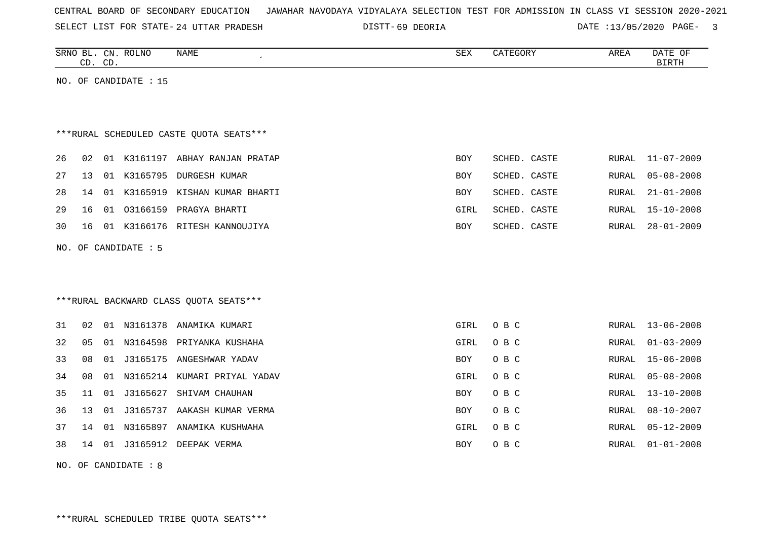| CENTRAL BOARD OF SECONDARY EDUCATION – JAWAHAR NAVODAYA VIDYALAYA SELECTION TEST FOR ADMISSION IN CLASS VI SESSION 2020-2021 |  |  |  |  |
|------------------------------------------------------------------------------------------------------------------------------|--|--|--|--|
|------------------------------------------------------------------------------------------------------------------------------|--|--|--|--|

SELECT LIST FOR STATE- DISTT- 24 UTTAR PRADESH 69 DEORIA DATE :13/05/2020 PAGE- 3

|    | CD. CD. |    | SRNO BL. CN. ROLNO    | <b>NAME</b>                              | ${\tt SEX}$ | CATEGORY     | AREA  | DATE OF<br><b>BIRTH</b> |
|----|---------|----|-----------------------|------------------------------------------|-------------|--------------|-------|-------------------------|
|    |         |    | NO. OF CANDIDATE : 15 |                                          |             |              |       |                         |
|    |         |    |                       |                                          |             |              |       |                         |
|    |         |    |                       |                                          |             |              |       |                         |
|    |         |    |                       | *** RURAL SCHEDULED CASTE QUOTA SEATS*** |             |              |       |                         |
| 26 | 02      |    |                       | 01 K3161197 ABHAY RANJAN PRATAP          | <b>BOY</b>  | SCHED. CASTE | RURAL | $11 - 07 - 2009$        |
| 27 | 13      |    |                       | 01 K3165795 DURGESH KUMAR                | BOY         | SCHED. CASTE | RURAL | $05 - 08 - 2008$        |
| 28 | 14      |    |                       | 01 K3165919 KISHAN KUMAR BHARTI          | BOY         | SCHED. CASTE | RURAL | $21 - 01 - 2008$        |
| 29 | 16      | 01 |                       | 03166159 PRAGYA BHARTI                   | GIRL        | SCHED. CASTE | RURAL | $15 - 10 - 2008$        |
| 30 | 16      |    |                       | 01 K3166176 RITESH KANNOUJIYA            | BOY         | SCHED. CASTE | RURAL | $28 - 01 - 2009$        |
|    |         |    | NO. OF CANDIDATE : 5  |                                          |             |              |       |                         |
|    |         |    |                       |                                          |             |              |       |                         |
|    |         |    |                       |                                          |             |              |       |                         |
|    |         |    |                       | *** RURAL BACKWARD CLASS QUOTA SEATS***  |             |              |       |                         |
| 31 |         |    |                       | 01 N3161378 ANAMIKA KUMARI               | <b>GIRL</b> |              |       | $13 - 06 - 2008$        |
|    | 02      |    |                       |                                          |             | O B C        | RURAL |                         |
| 32 | 05      |    |                       | 01 N3164598 PRIYANKA KUSHAHA             | GIRL        | O B C        | RURAL | $01 - 03 - 2009$        |
| 33 | 08      |    |                       | 01 J3165175 ANGESHWAR YADAV              | BOY         | O B C        | RURAL | $15 - 06 - 2008$        |
| 34 | 08      |    |                       | 01 N3165214 KUMARI PRIYAL YADAV          | GIRL        | O B C        | RURAL | $05 - 08 - 2008$        |
| 35 | 11      |    | 01 J3165627           | SHIVAM CHAUHAN                           | <b>BOY</b>  | O B C        | RURAL | $13 - 10 - 2008$        |
| 36 | 13      |    |                       | 01 J3165737 AAKASH KUMAR VERMA           | <b>BOY</b>  | O B C        | RURAL | $08 - 10 - 2007$        |
| 37 | 14      |    |                       | 01 N3165897 ANAMIKA KUSHWAHA             | GIRL        | O B C        | RURAL | $05 - 12 - 2009$        |
| 38 | 14      |    |                       | 01 J3165912 DEEPAK VERMA                 | <b>BOY</b>  | O B C        | RURAL | $01 - 01 - 2008$        |

NO. OF CANDIDATE : 8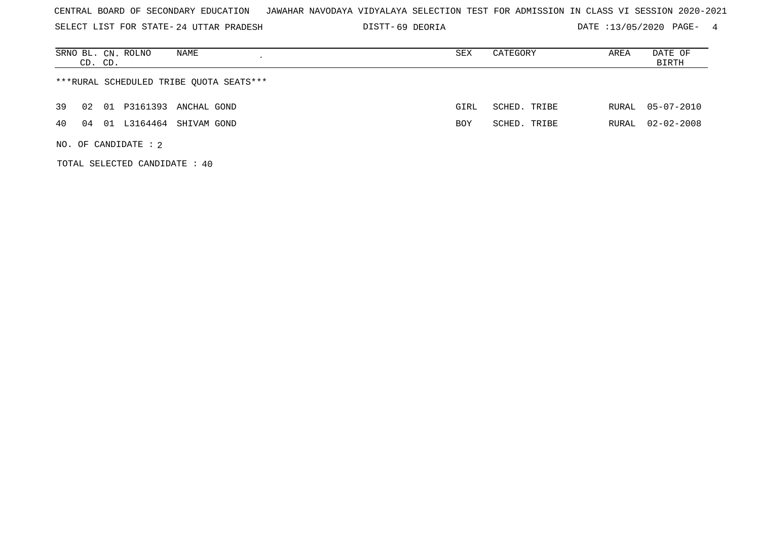SELECT LIST FOR STATE- DISTT- 24 UTTAR PRADESH

69 DEORIA DATE :13/05/2020 PAGE- 4

| NAME<br>SRNO BL. CN. ROLNO<br>CD. CD.   | SEX  | CATEGORY     | AREA  | DATE OF<br>BIRTH |
|-----------------------------------------|------|--------------|-------|------------------|
| ***RURAL SCHEDULED TRIBE QUOTA SEATS*** |      |              |       |                  |
| 01 P3161393 ANCHAL GOND<br>39<br>02     | GIRL | SCHED. TRIBE |       | RURAL 05-07-2010 |
| L3164464 SHIVAM GOND<br>4 O<br>01<br>04 | BOY  | SCHED, TRIBE | RURAL | $02 - 02 - 2008$ |
| NO. OF CANDIDATE : $2$                  |      |              |       |                  |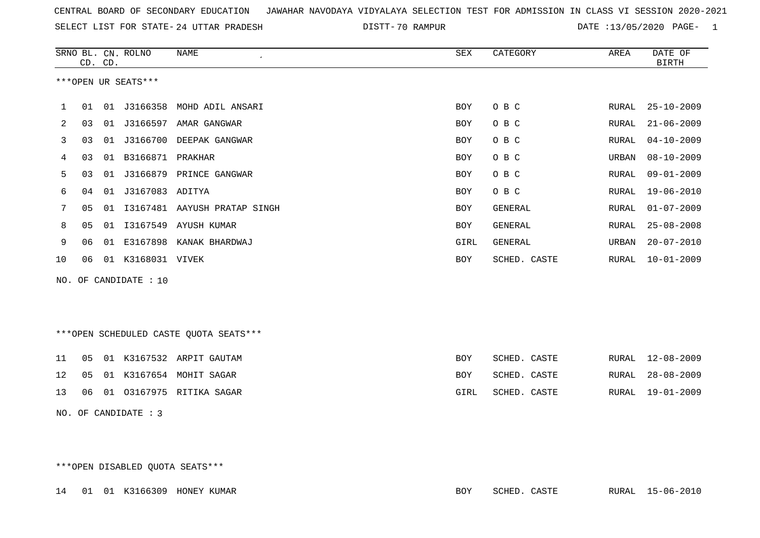| CENTRAL BOARD OF SECONDARY EDUCATION – JAWAHAR NAVODAYA VIDYALAYA SELECTION TEST FOR ADMISSION IN CLASS VI SESSION 2020-2021 |  |  |
|------------------------------------------------------------------------------------------------------------------------------|--|--|
|                                                                                                                              |  |  |

70 RAMPUR DATE :13/05/2020 PAGE- 1

|              |    | CD. CD. | SRNO BL. CN. ROLNO    | NAME                         | SEX        | CATEGORY     | AREA  | DATE OF<br>BIRTH |
|--------------|----|---------|-----------------------|------------------------------|------------|--------------|-------|------------------|
|              |    |         | ***OPEN UR SEATS***   |                              |            |              |       |                  |
| $\mathbf{1}$ | 01 | 01      | J3166358              | MOHD ADIL ANSARI             | <b>BOY</b> | O B C        | RURAL | $25 - 10 - 2009$ |
| 2            | 03 | 01      | J3166597              | AMAR GANGWAR                 | BOY        | O B C        | RURAL | $21 - 06 - 2009$ |
| 3            | 03 | 01      | J3166700              | DEEPAK GANGWAR               | BOY        | O B C        | RURAL | $04 - 10 - 2009$ |
| 4            | 03 | 01      | B3166871 PRAKHAR      |                              | BOY        | O B C        | URBAN | $08 - 10 - 2009$ |
| 5            | 03 | 01      |                       | J3166879 PRINCE GANGWAR      | BOY        | O B C        | RURAL | $09 - 01 - 2009$ |
| 6            | 04 | 01      | J3167083 ADITYA       |                              | BOY        | O B C        | RURAL | 19-06-2010       |
| 7            | 05 | 01      |                       | I3167481 AAYUSH PRATAP SINGH | BOY        | GENERAL      | RURAL | $01 - 07 - 2009$ |
| 8            | 05 | 01      | I3167549              | AYUSH KUMAR                  | <b>BOY</b> | GENERAL      | RURAL | $25 - 08 - 2008$ |
| 9            | 06 | 01      | E3167898              | KANAK BHARDWAJ               | GIRL       | GENERAL      | URBAN | $20 - 07 - 2010$ |
| 10           | 06 | 01      | K3168031 VIVEK        |                              | BOY        | SCHED. CASTE | RURAL | $10 - 01 - 2009$ |
|              |    |         | NO. OF CANDIDATE : 10 |                              |            |              |       |                  |

\*\*\*OPEN SCHEDULED CASTE QUOTA SEATS\*\*\*

|  |  | 11  05  01  K3167532  ARPIT GAUTAM    | BOY. | SCHED. CASTE |  | RURAL 12-08-2009 |
|--|--|---------------------------------------|------|--------------|--|------------------|
|  |  | 12   05   01   K3167654   MOHIT SAGAR | BOY  | SCHED. CASTE |  | RURAL 28-08-2009 |
|  |  | 13 06 01 03167975 RITIKA SAGAR        | GIRL | SCHED. CASTE |  | RURAL 19-01-2009 |

NO. OF CANDIDATE : 3

\*\*\*OPEN DISABLED QUOTA SEATS\*\*\*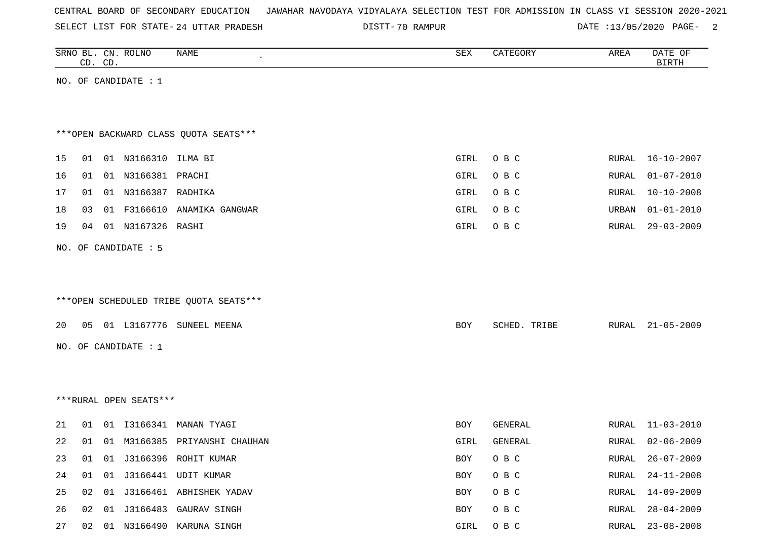| CENTRAL BOARD OF SECONDARY EDUCATION – JAWAHAR NAVODAYA VIDYALAYA SELECTION TEST FOR ADMISSION IN CLASS VI SESSION 2020-2021 |  |  |  |  |
|------------------------------------------------------------------------------------------------------------------------------|--|--|--|--|
|------------------------------------------------------------------------------------------------------------------------------|--|--|--|--|

DISTT-70 RAMPUR 2000 PAGE- 2

| SRNO BL. CN. ROLNO | CD. CD. |                        | NAME                                    | SEX        | CATEGORY     | AREA  | DATE OF<br><b>BIRTH</b> |
|--------------------|---------|------------------------|-----------------------------------------|------------|--------------|-------|-------------------------|
|                    |         | NO. OF CANDIDATE : $1$ |                                         |            |              |       |                         |
|                    |         |                        |                                         |            |              |       |                         |
|                    |         |                        | *** OPEN BACKWARD CLASS QUOTA SEATS***  |            |              |       |                         |
| 15                 |         | 01 01 N3166310 ILMA BI |                                         | GIRL       | O B C        |       | RURAL 16-10-2007        |
| 16<br>01           |         | 01 N3166381 PRACHI     |                                         | GIRL       | O B C        | RURAL | $01 - 07 - 2010$        |
| 17<br>01           |         | 01 N3166387 RADHIKA    |                                         | GIRL       | O B C        | RURAL | $10 - 10 - 2008$        |
| 18<br>03           |         |                        | 01 F3166610 ANAMIKA GANGWAR             | GIRL       | O B C        | URBAN | $01 - 01 - 2010$        |
| 19<br>04           |         | 01 N3167326 RASHI      |                                         | GIRL       | O B C        | RURAL | $29 - 03 - 2009$        |
|                    |         | NO. OF CANDIDATE : 5   |                                         |            |              |       |                         |
|                    |         |                        |                                         |            |              |       |                         |
|                    |         |                        |                                         |            |              |       |                         |
|                    |         |                        | *** OPEN SCHEDULED TRIBE QUOTA SEATS*** |            |              |       |                         |
| 20                 |         |                        | 05 01 L3167776 SUNEEL MEENA             | BOY        | SCHED. TRIBE | RURAL | 21-05-2009              |
|                    |         | NO. OF CANDIDATE : 1   |                                         |            |              |       |                         |
|                    |         |                        |                                         |            |              |       |                         |
|                    |         |                        |                                         |            |              |       |                         |
|                    |         | ***RURAL OPEN SEATS*** |                                         |            |              |       |                         |
| 21<br>01           |         |                        | 01 I3166341 MANAN TYAGI                 | <b>BOY</b> | GENERAL      | RURAL | 11-03-2010              |
| 22<br>01           |         |                        | 01 M3166385 PRIYANSHI CHAUHAN           | GIRL       | GENERAL      | RURAL | $02 - 06 - 2009$        |
| 23                 |         |                        | 01 01 J3166396 ROHIT KUMAR              | BOY        | O B C        | RURAL | $26 - 07 - 2009$        |
| 24                 |         |                        | 01 01 J3166441 UDIT KUMAR               | BOY        | O B C        | RURAL | $24 - 11 - 2008$        |
| 25<br>02           |         |                        | 01 J3166461 ABHISHEK YADAV              | BOY        | O B C        | RURAL | 14-09-2009              |
| 26                 |         |                        | 02 01 J3166483 GAURAV SINGH             | BOY        | O B C        | RURAL | $28 - 04 - 2009$        |
| 27                 |         |                        | 02 01 N3166490 KARUNA SINGH             | GIRL       | O B C        | RURAL | $23 - 08 - 2008$        |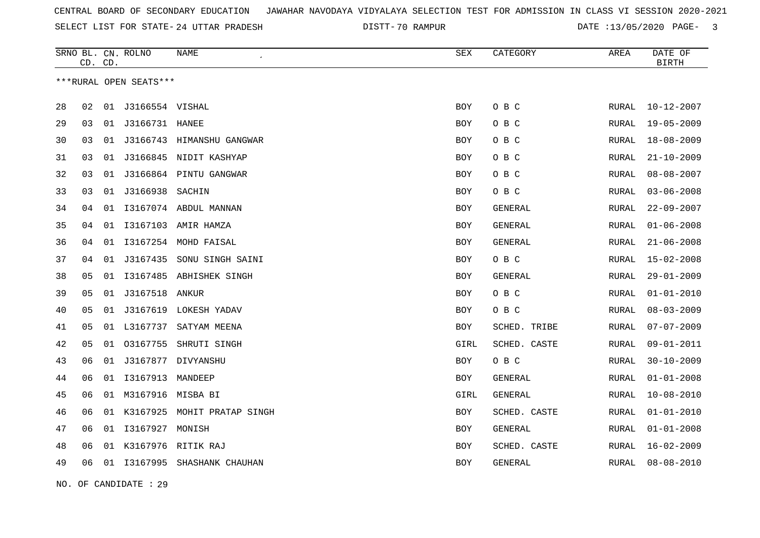70 RAMPUR DATE :13/05/2020 PAGE- 3

|    | CD. CD. |    | SRNO BL. CN. ROLNO     | <b>NAME</b>                  | <b>SEX</b> | CATEGORY     | AREA         | DATE OF<br><b>BIRTH</b> |
|----|---------|----|------------------------|------------------------------|------------|--------------|--------------|-------------------------|
|    |         |    | ***RURAL OPEN SEATS*** |                              |            |              |              |                         |
| 28 | 02      |    | 01 J3166554 VISHAL     |                              | BOY        | O B C        | RURAL        | $10 - 12 - 2007$        |
| 29 | 03      | 01 | J3166731 HANEE         |                              | <b>BOY</b> | O B C        | <b>RURAL</b> | $19 - 05 - 2009$        |
| 30 | 03      | 01 | J3166743               | HIMANSHU GANGWAR             | BOY        | O B C        | RURAL        | $18 - 08 - 2009$        |
| 31 | 03      | 01 |                        | J3166845 NIDIT KASHYAP       | BOY        | O B C        | RURAL        | $21 - 10 - 2009$        |
| 32 | 03      | 01 |                        | J3166864 PINTU GANGWAR       | <b>BOY</b> | O B C        | RURAL        | $08 - 08 - 2007$        |
| 33 | 03      | 01 | J3166938 SACHIN        |                              | <b>BOY</b> | O B C        | <b>RURAL</b> | $03 - 06 - 2008$        |
| 34 | 04      |    |                        | 01 I3167074 ABDUL MANNAN     | BOY        | GENERAL      | RURAL        | $22 - 09 - 2007$        |
| 35 | 04      |    |                        | 01 I3167103 AMIR HAMZA       | <b>BOY</b> | GENERAL      | RURAL        | $01 - 06 - 2008$        |
| 36 | 04      | 01 |                        | I3167254 MOHD FAISAL         | BOY        | GENERAL      | RURAL        | $21 - 06 - 2008$        |
| 37 | 04      |    |                        | 01 J3167435 SONU SINGH SAINI | BOY        | O B C        | RURAL        | 15-02-2008              |
| 38 | 05      | 01 | I3167485               | ABHISHEK SINGH               | <b>BOY</b> | GENERAL      | RURAL        | $29 - 01 - 2009$        |
| 39 | 05      |    | 01 J3167518            | ANKUR                        | BOY        | O B C        | <b>RURAL</b> | $01 - 01 - 2010$        |
| 40 | 05      |    | 01 J3167619            | LOKESH YADAV                 | BOY        | O B C        | RURAL        | $08 - 03 - 2009$        |
| 41 | 05      |    |                        | 01 L3167737 SATYAM MEENA     | <b>BOY</b> | SCHED. TRIBE | <b>RURAL</b> | $07 - 07 - 2009$        |
| 42 | 05      |    | 01 03167755            | SHRUTI SINGH                 | GIRL       | SCHED. CASTE | RURAL        | $09 - 01 - 2011$        |
| 43 | 06      |    |                        | 01 J3167877 DIVYANSHU        | BOY        | O B C        | RURAL        | $30 - 10 - 2009$        |
| 44 | 06      | 01 | I3167913               | MANDEEP                      | BOY        | GENERAL      | <b>RURAL</b> | $01 - 01 - 2008$        |
| 45 | 06      | 01 | M3167916               | MISBA BI                     | GIRL       | GENERAL      | RURAL        | $10 - 08 - 2010$        |
| 46 | 06      | 01 | K3167925               | MOHIT PRATAP SINGH           | BOY        | SCHED. CASTE | <b>RURAL</b> | $01 - 01 - 2010$        |
| 47 | 06      | 01 | I3167927 MONISH        |                              | <b>BOY</b> | GENERAL      | <b>RURAL</b> | $01 - 01 - 2008$        |
| 48 | 06      | 01 | K3167976               | RITIK RAJ                    | BOY        | SCHED. CASTE | RURAL        | $16 - 02 - 2009$        |
| 49 | 06      |    |                        | 01 I3167995 SHASHANK CHAUHAN | <b>BOY</b> | GENERAL      | <b>RURAL</b> | $08 - 08 - 2010$        |

NO. OF CANDIDATE : 29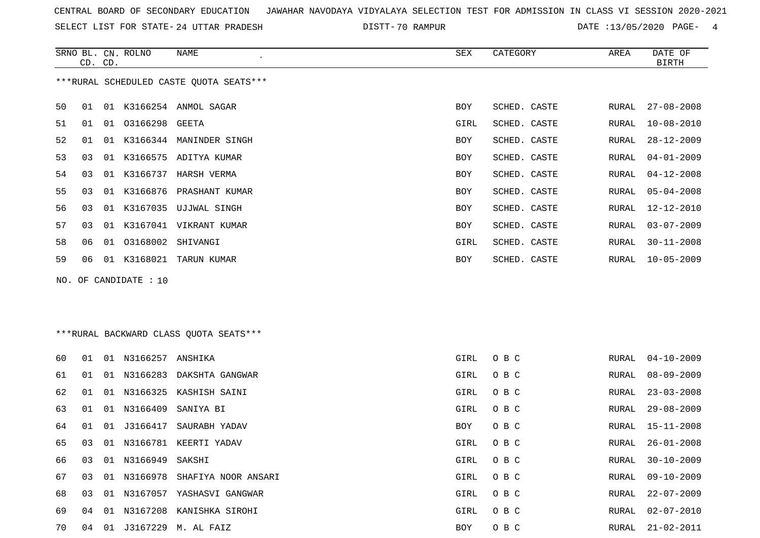SELECT LIST FOR STATE- DISTT- 24 UTTAR PRADESH

DISTT-70 RAMPUR 2008 2010 2021 2022 DATE :13/05/2020 PAGE-

|    | CD. CD.                                 |    | SRNO BL. CN. ROLNO     | NAME                       | SEX        | CATEGORY     | AREA  | DATE OF<br><b>BIRTH</b> |  |
|----|-----------------------------------------|----|------------------------|----------------------------|------------|--------------|-------|-------------------------|--|
|    | ***RURAL SCHEDULED CASTE QUOTA SEATS*** |    |                        |                            |            |              |       |                         |  |
| 50 | 01                                      | 01 |                        | K3166254 ANMOL SAGAR       | BOY        | SCHED. CASTE | RURAL | $27 - 08 - 2008$        |  |
| 51 | 01                                      |    | 01 03166298 GEETA      |                            | GIRL       | SCHED. CASTE | RURAL | $10 - 08 - 2010$        |  |
| 52 | 01                                      | 01 |                        | K3166344 MANINDER SINGH    | BOY        | SCHED. CASTE | RURAL | $28 - 12 - 2009$        |  |
| 53 | 03                                      | 01 |                        | K3166575 ADITYA KUMAR      | BOY        | SCHED. CASTE | RURAL | $04 - 01 - 2009$        |  |
| 54 | 03                                      | 01 |                        | K3166737 HARSH VERMA       | BOY        | SCHED. CASTE | RURAL | $04 - 12 - 2008$        |  |
| 55 | 03                                      |    |                        | 01 K3166876 PRASHANT KUMAR | BOY        | SCHED. CASTE | RURAL | $05 - 04 - 2008$        |  |
| 56 | 03                                      | 01 |                        | K3167035 UJJWAL SINGH      | BOY        | SCHED. CASTE | RURAL | $12 - 12 - 2010$        |  |
| 57 | 03                                      | 01 |                        | K3167041 VIKRANT KUMAR     | <b>BOY</b> | SCHED. CASTE | RURAL | $03 - 07 - 2009$        |  |
| 58 | 06                                      |    | 01  03168002  SHIVANGI |                            | GIRL       | SCHED. CASTE | RURAL | $30 - 11 - 2008$        |  |
| 59 | 06                                      |    |                        | 01 K3168021 TARUN KUMAR    | BOY        | SCHED. CASTE | RURAL | $10 - 05 - 2009$        |  |
|    |                                         |    | NO. OF CANDIDATE : 10  |                            |            |              |       |                         |  |

## \*\*\*RURAL BACKWARD CLASS QUOTA SEATS\*\*\*

| 60 | 01 | 01 N3166257 ANSHIKA |                                 | GIRL | O B C |       | RURAL 04-10-2009 |
|----|----|---------------------|---------------------------------|------|-------|-------|------------------|
| 61 | 01 |                     | 01 N3166283 DAKSHTA GANGWAR     | GIRL | O B C |       | RURAL 08-09-2009 |
| 62 | 01 |                     | 01 N3166325 KASHISH SAINI       | GIRL | O B C |       | RURAL 23-03-2008 |
| 63 | 01 |                     | 01 N3166409 SANIYA BI           | GIRL | O B C | RURAL | 29-08-2009       |
| 64 | 01 |                     | 01 J3166417 SAURABH YADAV       | BOY  | O B C |       | RURAL 15-11-2008 |
| 65 | 03 |                     | 01 N3166781 KEERTI YADAV        | GIRL | O B C | RURAL | 26-01-2008       |
| 66 | 03 | 01 N3166949 SAKSHI  |                                 | GIRL | O B C | RURAL | 30-10-2009       |
| 67 | 03 |                     | 01 N3166978 SHAFIYA NOOR ANSARI | GIRL | O B C | RURAL | 09-10-2009       |
| 68 | 03 |                     | 01 N3167057 YASHASVI GANGWAR    | GIRL | O B C | RURAL | 22-07-2009       |
| 69 | 04 |                     | 01 N3167208 KANISHKA SIROHI     | GIRL | O B C | RURAL | 02-07-2010       |
| 70 | 04 |                     | 01 J3167229 M. AL FAIZ          | BOY  | O B C | RURAL | 21-02-2011       |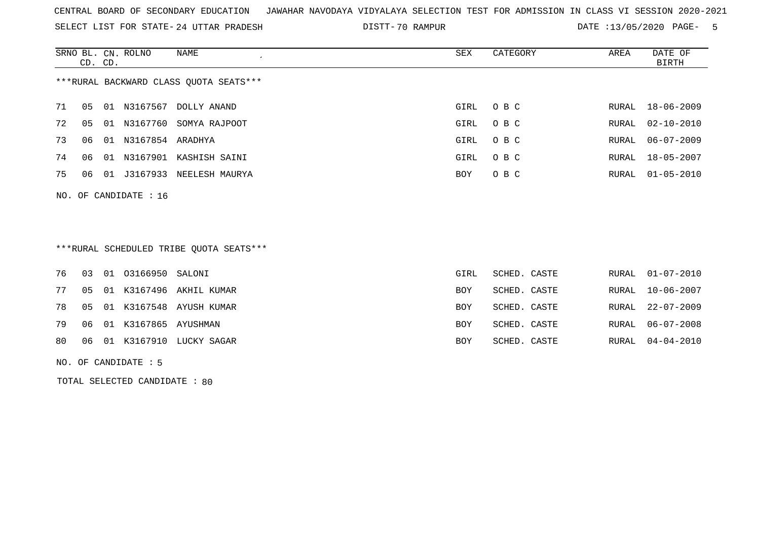SELECT LIST FOR STATE- DISTT- 24 UTTAR PRADESH

70 RAMPUR DATE :13/05/2020 PAGE- 5

|                                        | CD. CD. |    | SRNO BL. CN. ROLNO | NAME           | SEX  | CATEGORY | AREA  | DATE OF<br>BIRTH |
|----------------------------------------|---------|----|--------------------|----------------|------|----------|-------|------------------|
| ***RURAL BACKWARD CLASS QUOTA SEATS*** |         |    |                    |                |      |          |       |                  |
| 71                                     | 05      | 01 | N3167567           | DOLLY ANAND    | GIRL | O B C    | RURAL | 18-06-2009       |
| 72                                     | 05      | 01 | N3167760           | SOMYA RAJPOOT  | GIRL | O B C    | RURAL | 02-10-2010       |
| 73                                     | 06      | 01 | N3167854 ARADHYA   |                | GIRL | O B C    | RURAL | $06 - 07 - 2009$ |
| 74                                     | 06      | 01 | N3167901           | KASHISH SAINI  | GIRL | O B C    | RURAL | 18-05-2007       |
| 75                                     | 06      | 01 | J3167933           | NEELESH MAURYA | BOY  | O B C    | RURAL | $01 - 05 - 2010$ |
|                                        |         |    |                    |                |      |          |       |                  |

## \*\*\*RURAL SCHEDULED TRIBE QUOTA SEATS\*\*\*

|  | 76  03  01  03166950  SALONI |                               | GIRL | SCHED. CASTE |  | RURAL 01-07-2010 |
|--|------------------------------|-------------------------------|------|--------------|--|------------------|
|  |                              | 77 05 01 K3167496 AKHIL KUMAR | BOY  | SCHED. CASTE |  | RURAL 10-06-2007 |
|  |                              | 78 05 01 K3167548 AYUSH KUMAR | BOY  | SCHED. CASTE |  | RURAL 22-07-2009 |
|  | 79 06 01 K3167865 AYUSHMAN   |                               | BOY  | SCHED. CASTE |  | RURAL 06-07-2008 |
|  |                              | 80 06 01 K3167910 LUCKY SAGAR | BOY  | SCHED. CASTE |  | RURAL 04-04-2010 |

NO. OF CANDIDATE : 5

NO. OF CANDIDATE : 16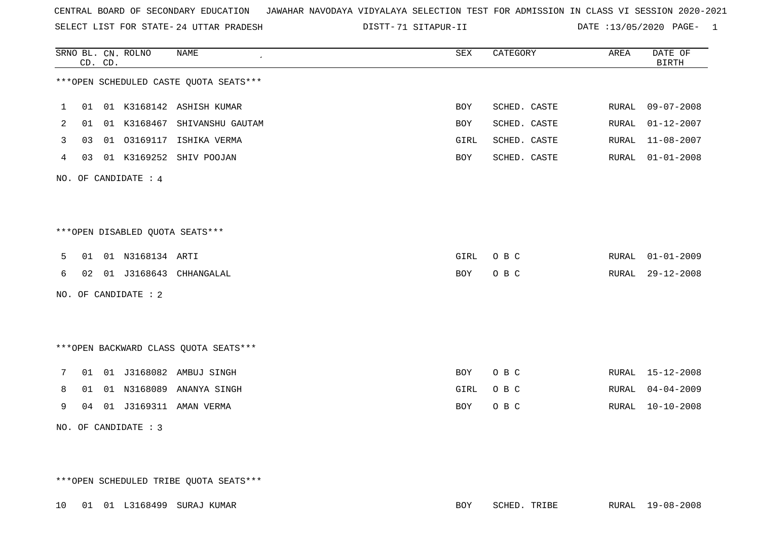SELECT LIST FOR STATE- DISTT- 24 UTTAR PRADESH

71 SITAPUR-II DATE :13/05/2020 PAGE- 1

|   |    | CD. CD. | SRNO BL. CN. ROLNO              | $\ensuremath{\mathsf{NAME}}$            | ${\tt SEX}$ | CATEGORY     | AREA  | DATE OF<br><b>BIRTH</b> |
|---|----|---------|---------------------------------|-----------------------------------------|-------------|--------------|-------|-------------------------|
|   |    |         |                                 | ***OPEN SCHEDULED CASTE QUOTA SEATS***  |             |              |       |                         |
| 1 | 01 |         |                                 | 01 K3168142 ASHISH KUMAR                | <b>BOY</b>  | SCHED. CASTE | RURAL | $09 - 07 - 2008$        |
| 2 | 01 |         |                                 | 01 K3168467 SHIVANSHU GAUTAM            | BOY         | SCHED. CASTE | RURAL | $01 - 12 - 2007$        |
| 3 | 03 |         |                                 | 01 03169117 ISHIKA VERMA                | GIRL        | SCHED. CASTE | RURAL | $11 - 08 - 2007$        |
| 4 | 03 |         |                                 | 01 K3169252 SHIV POOJAN                 | BOY         | SCHED. CASTE | RURAL | $01 - 01 - 2008$        |
|   |    |         | NO. OF CANDIDATE : 4            |                                         |             |              |       |                         |
|   |    |         |                                 |                                         |             |              |       |                         |
|   |    |         | ***OPEN DISABLED QUOTA SEATS*** |                                         |             |              |       |                         |
| 5 | 01 |         | 01 N3168134 ARTI                |                                         | GIRL        | O B C        | RURAL | $01 - 01 - 2009$        |
| 6 |    |         |                                 | 02 01 J3168643 CHHANGALAL               | BOY         | O B C        | RURAL | $29 - 12 - 2008$        |
|   |    |         | NO. OF CANDIDATE : 2            |                                         |             |              |       |                         |
|   |    |         |                                 |                                         |             |              |       |                         |
|   |    |         |                                 | *** OPEN BACKWARD CLASS QUOTA SEATS *** |             |              |       |                         |
| 7 |    |         |                                 | 01 01 J3168082 AMBUJ SINGH              | BOY         | O B C        |       | RURAL 15-12-2008        |
| 8 | 01 |         |                                 | 01 N3168089 ANANYA SINGH                | GIRL        | O B C        | RURAL | $04 - 04 - 2009$        |
| 9 |    |         |                                 | 04 01 J3169311 AMAN VERMA               | BOY         | O B C        | RURAL | $10 - 10 - 2008$        |
|   |    |         | NO. OF CANDIDATE : 3            |                                         |             |              |       |                         |

\*\*\*OPEN SCHEDULED TRIBE QUOTA SEATS\*\*\*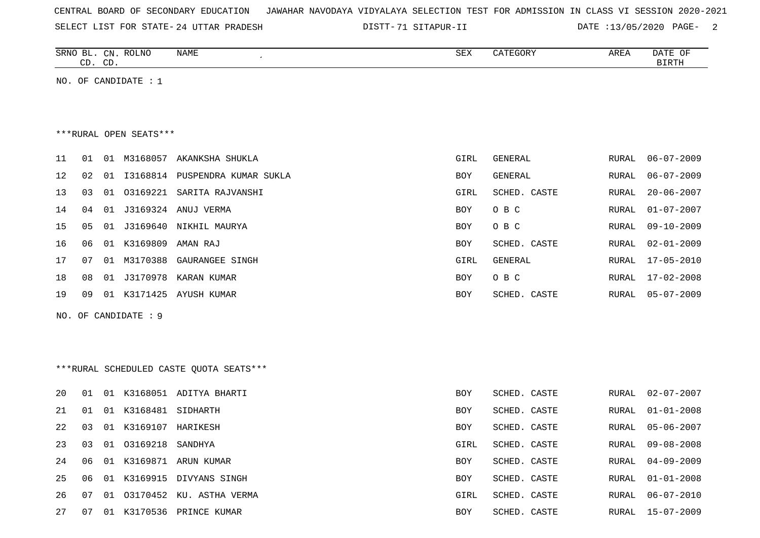| CENTRAL BOARD OF SECONDARY EDUCATION – JAWAHAR NAVODAYA VIDYALAYA SELECTION TEST FOR ADMISSION IN CLASS VI SESSION 2020-2021 |  |  |  |  |  |  |
|------------------------------------------------------------------------------------------------------------------------------|--|--|--|--|--|--|
|------------------------------------------------------------------------------------------------------------------------------|--|--|--|--|--|--|

SELECT LIST FOR STATE- DISTT- 24 UTTAR PRADESH 71 SITAPUR-II DATE :13/05/2020 PAGE- 2

|    | SRNO BL. CN. ROLNO<br>CD. CD. |                        | NAME                                    | SEX  | CATEGORY       | AREA         | DATE OF<br><b>BIRTH</b> |
|----|-------------------------------|------------------------|-----------------------------------------|------|----------------|--------------|-------------------------|
|    |                               | NO. OF CANDIDATE : $1$ |                                         |      |                |              |                         |
|    |                               |                        |                                         |      |                |              |                         |
|    |                               |                        |                                         |      |                |              |                         |
|    |                               | ***RURAL OPEN SEATS*** |                                         |      |                |              |                         |
| 11 | 01                            |                        | 01 M3168057 AKANKSHA SHUKLA             | GIRL | GENERAL        | RURAL        | $06 - 07 - 2009$        |
| 12 | 02<br>01                      |                        | I3168814 PUSPENDRA KUMAR SUKLA          | BOY  | GENERAL        | RURAL        | $06 - 07 - 2009$        |
| 13 | 03<br>01                      |                        | 03169221 SARITA RAJVANSHI               | GIRL | SCHED. CASTE   | RURAL        | $20 - 06 - 2007$        |
| 14 | 04<br>01                      |                        | J3169324 ANUJ VERMA                     | BOY  | O B C          | RURAL        | $01 - 07 - 2007$        |
| 15 | 05<br>01                      | J3169640               | NIKHIL MAURYA                           | BOY  | O B C          | <b>RURAL</b> | $09 - 10 - 2009$        |
| 16 | 06                            | 01 K3169809            | AMAN RAJ                                | BOY  | SCHED. CASTE   | RURAL        | $02 - 01 - 2009$        |
| 17 | 07<br>01                      | M3170388               | GAURANGEE SINGH                         | GIRL | <b>GENERAL</b> | RURAL        | $17 - 05 - 2010$        |
| 18 | 08<br>01                      | J3170978               | KARAN KUMAR                             | BOY  | O B C          | RURAL        | $17 - 02 - 2008$        |
| 19 | 09                            | 01 K3171425            | AYUSH KUMAR                             | BOY  | SCHED. CASTE   | RURAL        | $05 - 07 - 2009$        |
|    |                               | NO. OF CANDIDATE : 9   |                                         |      |                |              |                         |
|    |                               |                        |                                         |      |                |              |                         |
|    |                               |                        |                                         |      |                |              |                         |
|    |                               |                        | ***RURAL SCHEDULED CASTE QUOTA SEATS*** |      |                |              |                         |
|    |                               |                        |                                         |      |                |              |                         |
| 20 | 01                            |                        | 01 K3168051 ADITYA BHARTI               | BOY  | SCHED. CASTE   | RURAL        | $02 - 07 - 2007$        |
| 21 | 01<br>01                      | K3168481               | SIDHARTH                                | BOY  | SCHED. CASTE   | RURAL        | $01 - 01 - 2008$        |
| 22 | 03                            | 01 K3169107 HARIKESH   |                                         | BOY  | SCHED. CASTE   | RURAL        | $05 - 06 - 2007$        |
| 23 | 03                            | 01 03169218 SANDHYA    |                                         | GIRL | SCHED. CASTE   | RURAL        | $09 - 08 - 2008$        |
| 24 |                               |                        | 06 01 K3169871 ARUN KUMAR               | BOY  | SCHED. CASTE   |              | RURAL 04-09-2009        |
| 25 |                               |                        | 06 01 K3169915 DIVYANS SINGH            | BOY  | SCHED. CASTE   |              | RURAL 01-01-2008        |
| 26 |                               |                        | 07 01 03170452 KU. ASTHA VERMA          | GIRL | SCHED. CASTE   |              | RURAL 06-07-2010        |
| 27 |                               |                        | 07 01 K3170536 PRINCE KUMAR             | BOY  | SCHED. CASTE   |              | RURAL 15-07-2009        |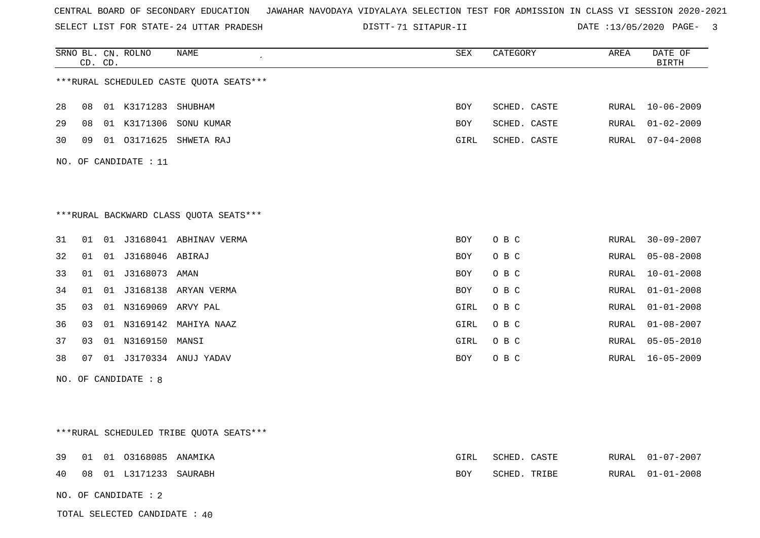SELECT LIST FOR STATE- DISTT- 24 UTTAR PRADESH

71 SITAPUR-II DATE :13/05/2020 PAGE- 3

|    |    | CD. CD. | SRNO BL. CN. ROLNO      | NAME                                     | SEX        | CATEGORY     | AREA  | DATE OF<br><b>BIRTH</b> |
|----|----|---------|-------------------------|------------------------------------------|------------|--------------|-------|-------------------------|
|    |    |         |                         | *** RURAL SCHEDULED CASTE QUOTA SEATS*** |            |              |       |                         |
| 28 | 08 |         | 01 K3171283 SHUBHAM     |                                          | BOY        | SCHED. CASTE | RURAL | $10 - 06 - 2009$        |
| 29 | 08 |         |                         | 01 K3171306 SONU KUMAR                   | BOY        | SCHED. CASTE | RURAL | $01 - 02 - 2009$        |
| 30 | 09 |         |                         | 01 03171625 SHWETA RAJ                   | GIRL       | SCHED. CASTE | RURAL | $07 - 04 - 2008$        |
|    |    |         | NO. OF CANDIDATE : $11$ |                                          |            |              |       |                         |
|    |    |         |                         |                                          |            |              |       |                         |
|    |    |         |                         |                                          |            |              |       |                         |
|    |    |         |                         | ***RURAL BACKWARD CLASS QUOTA SEATS***   |            |              |       |                         |
| 31 | 01 |         |                         | 01 J3168041 ABHINAV VERMA                | BOY        | O B C        | RURAL | $30 - 09 - 2007$        |
| 32 | 01 |         | 01 J3168046 ABIRAJ      |                                          | <b>BOY</b> | O B C        | RURAL | $05 - 08 - 2008$        |
| 33 | 01 |         | 01 J3168073 AMAN        |                                          | <b>BOY</b> | O B C        | RURAL | $10 - 01 - 2008$        |
| 34 | 01 |         |                         | 01 J3168138 ARYAN VERMA                  | <b>BOY</b> | O B C        | RURAL | $01 - 01 - 2008$        |
| 35 | 03 |         | 01 N3169069 ARVY PAL    |                                          | GIRL       | O B C        | RURAL | $01 - 01 - 2008$        |
| 36 | 03 |         |                         | 01 N3169142 MAHIYA NAAZ                  | GIRL       | O B C        | RURAL | $01 - 08 - 2007$        |
| 37 | 03 |         | 01 N3169150 MANSI       |                                          | GIRL       | O B C        | RURAL | $05 - 05 - 2010$        |
| 38 | 07 |         |                         | 01 J3170334 ANUJ YADAV                   | BOY        | O B C        | RURAL | $16 - 05 - 2009$        |
|    |    |         | NO. OF CANDIDATE : 8    |                                          |            |              |       |                         |
|    |    |         |                         |                                          |            |              |       |                         |
|    |    |         |                         |                                          |            |              |       |                         |
|    |    |         |                         | ***RURAL SCHEDULED TRIBE QUOTA SEATS***  |            |              |       |                         |
| 39 | 01 |         | 01 03168085 ANAMIKA     |                                          | GIRL       | SCHED. CASTE | RURAL | $01 - 07 - 2007$        |
| 40 | 08 |         | 01 L3171233 SAURABH     |                                          | BOY        | SCHED. TRIBE | RURAL | $01 - 01 - 2008$        |
|    |    |         | NO. OF CANDIDATE : 2    |                                          |            |              |       |                         |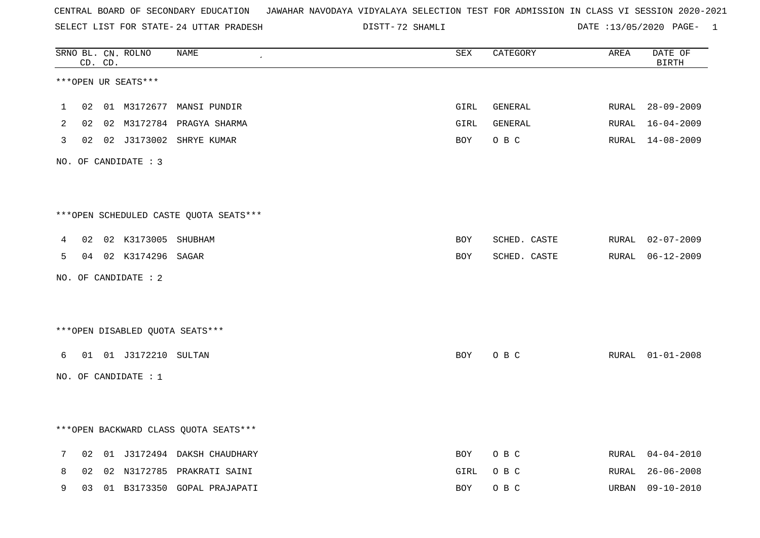SELECT LIST FOR STATE- DISTT- 24 UTTAR PRADESH

72 SHAMLI DATE :13/05/2020 PAGE- 1

|   |    | CD. CD. | SRNO BL. CN. ROLNO       | NAME                                   | SEX        | CATEGORY     | AREA  | DATE OF<br><b>BIRTH</b> |
|---|----|---------|--------------------------|----------------------------------------|------------|--------------|-------|-------------------------|
|   |    |         | ***OPEN UR SEATS***      |                                        |            |              |       |                         |
| 1 | 02 |         |                          | 01 M3172677 MANSI PUNDIR               | GIRL       | GENERAL      | RURAL | $28 - 09 - 2009$        |
| 2 |    |         |                          | 02 02 M3172784 PRAGYA SHARMA           | GIRL       | GENERAL      |       | RURAL 16-04-2009        |
| 3 |    |         |                          | 02 02 J3173002 SHRYE KUMAR             | BOY        | O B C        |       | RURAL 14-08-2009        |
|   |    |         | NO. OF CANDIDATE : 3     |                                        |            |              |       |                         |
|   |    |         |                          |                                        |            |              |       |                         |
|   |    |         |                          | ***OPEN SCHEDULED CASTE QUOTA SEATS*** |            |              |       |                         |
| 4 |    |         | 02 02 K3173005 SHUBHAM   |                                        | <b>BOY</b> | SCHED. CASTE | RURAL | $02 - 07 - 2009$        |
| 5 |    |         | 04 02 K3174296 SAGAR     |                                        | BOY        | SCHED. CASTE |       | RURAL 06-12-2009        |
|   |    |         | NO. OF CANDIDATE : $2$   |                                        |            |              |       |                         |
|   |    |         |                          |                                        |            |              |       |                         |
|   |    |         |                          | *** OPEN DISABLED QUOTA SEATS***       |            |              |       |                         |
| 6 |    |         | 01  01  J3172210  SULTAN |                                        | BOY        | O B C        |       | RURAL 01-01-2008        |
|   |    |         | NO. OF CANDIDATE : 1     |                                        |            |              |       |                         |
|   |    |         |                          |                                        |            |              |       |                         |
|   |    |         |                          | *** OPEN BACKWARD CLASS QUOTA SEATS*** |            |              |       |                         |
| 7 | 02 |         |                          | 01 J3172494 DAKSH CHAUDHARY            | BOY        | O B C        | RURAL | $04 - 04 - 2010$        |
| 8 | 02 |         |                          | 02 N3172785 PRAKRATI SAINI             | GIRL       | O B C        | RURAL | $26 - 06 - 2008$        |
| 9 | 03 |         |                          | 01 B3173350 GOPAL PRAJAPATI            | BOY        | O B C        | URBAN | $09 - 10 - 2010$        |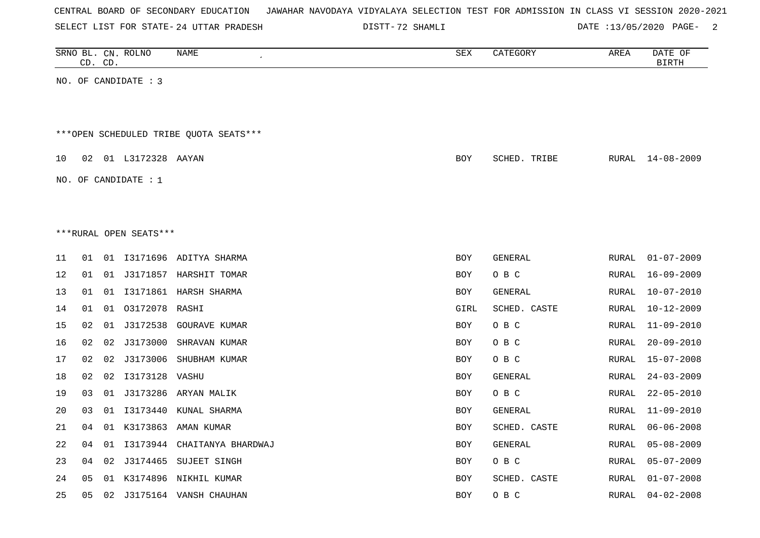| CENTRAL BOARD OF SECONDARY EDUCATION – JAWAHAR NAVODAYA VIDYALAYA SELECTION TEST FOR ADMISSION IN CLASS VI SESSION 2020-2021 |  |  |  |  |
|------------------------------------------------------------------------------------------------------------------------------|--|--|--|--|
|------------------------------------------------------------------------------------------------------------------------------|--|--|--|--|

72 SHAMLI DATE :13/05/2020 PAGE- 2

|    |    | CD. CD. | SRNO BL. CN. ROLNO     | NAME                                    | SEX        | CATEGORY       | AREA  | DATE OF<br><b>BIRTH</b> |
|----|----|---------|------------------------|-----------------------------------------|------------|----------------|-------|-------------------------|
|    |    |         | NO. OF CANDIDATE : 3   |                                         |            |                |       |                         |
|    |    |         |                        |                                         |            |                |       |                         |
|    |    |         |                        | *** OPEN SCHEDULED TRIBE QUOTA SEATS*** |            |                |       |                         |
| 10 | 02 |         | 01 L3172328 AAYAN      |                                         | <b>BOY</b> | SCHED. TRIBE   | RURAL | 14-08-2009              |
|    |    |         | NO. OF CANDIDATE : $1$ |                                         |            |                |       |                         |
|    |    |         |                        |                                         |            |                |       |                         |
|    |    |         | ***RURAL OPEN SEATS*** |                                         |            |                |       |                         |
|    |    |         |                        |                                         |            |                |       |                         |
| 11 | 01 |         |                        | 01 I3171696 ADITYA SHARMA               | <b>BOY</b> | <b>GENERAL</b> | RURAL | $01 - 07 - 2009$        |
| 12 | 01 |         |                        | 01 J3171857 HARSHIT TOMAR               | <b>BOY</b> | O B C          | RURAL | $16 - 09 - 2009$        |
| 13 | 01 | 01      |                        | I3171861 HARSH SHARMA                   | <b>BOY</b> | GENERAL        | RURAL | $10 - 07 - 2010$        |
| 14 | 01 |         | 01 03172078 RASHI      |                                         | GIRL       | SCHED. CASTE   | RURAL | $10 - 12 - 2009$        |
| 15 | 02 | 01      |                        | J3172538 GOURAVE KUMAR                  | <b>BOY</b> | O B C          | RURAL | $11 - 09 - 2010$        |
| 16 | 02 | 02      | J3173000               | SHRAVAN KUMAR                           | <b>BOY</b> | O B C          | RURAL | $20 - 09 - 2010$        |
| 17 | 02 | 02      |                        | J3173006 SHUBHAM KUMAR                  | <b>BOY</b> | O B C          | RURAL | $15 - 07 - 2008$        |
| 18 | 02 |         | 02 I3173128 VASHU      |                                         | <b>BOY</b> | GENERAL        | RURAL | $24 - 03 - 2009$        |
| 19 | 03 | 01      |                        | J3173286 ARYAN MALIK                    | <b>BOY</b> | O B C          | RURAL | $22 - 05 - 2010$        |
| 20 | 03 | 01      |                        | I3173440 KUNAL SHARMA                   | <b>BOY</b> | GENERAL        | RURAL | $11 - 09 - 2010$        |
| 21 | 04 |         |                        | 01 K3173863 AMAN KUMAR                  | <b>BOY</b> | SCHED. CASTE   | RURAL | $06 - 06 - 2008$        |
| 22 | 04 | 01      |                        | I3173944 CHAITANYA BHARDWAJ             | <b>BOY</b> | <b>GENERAL</b> | RURAL | $05 - 08 - 2009$        |
| 23 | 04 | 02      |                        | J3174465 SUJEET SINGH                   | <b>BOY</b> | O B C          | RURAL | $05 - 07 - 2009$        |
| 24 | 05 | 01      |                        | K3174896 NIKHIL KUMAR                   | <b>BOY</b> | SCHED. CASTE   | RURAL | $01 - 07 - 2008$        |
| 25 | 05 | 02      |                        | J3175164 VANSH CHAUHAN                  | <b>BOY</b> | O B C          | RURAL | $04 - 02 - 2008$        |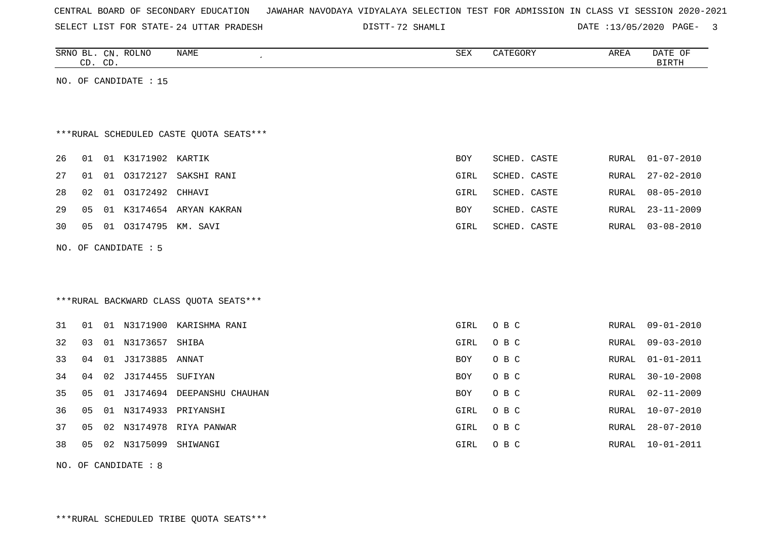| CENTRAL BOARD OF SECONDARY EDUCATION – JAWAHAR NAVODAYA VIDYALAYA SELECTION TEST FOR ADMISSION IN CLASS VI SESSION 2020-2021 |  |  |  |  |
|------------------------------------------------------------------------------------------------------------------------------|--|--|--|--|
|------------------------------------------------------------------------------------------------------------------------------|--|--|--|--|

72 SHAMLI DATE :13/05/2020 PAGE- 3

| SRNO<br>BL   | <b>ROLNO</b><br>$CN$ . | NAME | SEX | CATEGORY | AREA | namp<br>OF<br>DAIL |
|--------------|------------------------|------|-----|----------|------|--------------------|
| $\cap$<br>ىت | $\cap$<br>. پ          |      |     |          |      | <b>BIRTH</b>       |
|              |                        |      |     |          |      |                    |

NO. OF CANDIDATE : 15

# \*\*\*RURAL SCHEDULED CASTE QUOTA SEATS\*\*\*

| 26 01 01 K3171902 KARTIK<br>SCHED. CASTE<br><b>BOY</b> |              | RURAL 01-07-2010 |
|--------------------------------------------------------|--------------|------------------|
| 27 01 01 03172127 SAKSHI RANI<br>GIRL                  | SCHED. CASTE | RURAL 27-02-2010 |
| 28 02 01 03172492 CHHAVI<br>GIRL                       | SCHED. CASTE | RURAL 08-05-2010 |
| 29 05 01 K3174654 ARYAN KAKRAN<br><b>BOY</b>           | SCHED. CASTE | RURAL 23-11-2009 |
| 30  05  01  03174795  KM. SAVI<br>GIRL                 | SCHED. CASTE | RURAL 03-08-2010 |

NO. OF CANDIDATE : 5

# \*\*\*RURAL BACKWARD CLASS QUOTA SEATS\*\*\*

| 31 | 01 | -01   | N3171900 | KARISHMA RANI     | GIRL       | O B C | RURAL | 09-01-2010       |
|----|----|-------|----------|-------------------|------------|-------|-------|------------------|
| 32 | 03 | 01    | N3173657 | SHIBA             | GIRL       | O B C | RURAL | 09-03-2010       |
| 33 | 04 | 01    | J3173885 | ANNAT             | <b>BOY</b> | O B C | RURAL | 01-01-2011       |
| 34 | 04 | 02    | J3174455 | SUFIYAN           | <b>BOY</b> | O B C | RURAL | 30-10-2008       |
| 35 | 05 | . O 1 | J3174694 | DEEPANSHU CHAUHAN | <b>BOY</b> | O B C | RURAL | $02 - 11 - 2009$ |
| 36 | 05 | 01    | N3174933 | PRIYANSHI         | GIRL       | O B C | RURAL | $10 - 07 - 2010$ |
| 37 | 05 | 02    | N3174978 | RIYA PANWAR       | GIRL       | O B C | RURAL | 28-07-2010       |
| 38 | 05 | 02    | N3175099 | SHIWANGI          | GIRL       | O B C | RURAL | 10-01-2011       |

NO. OF CANDIDATE : 8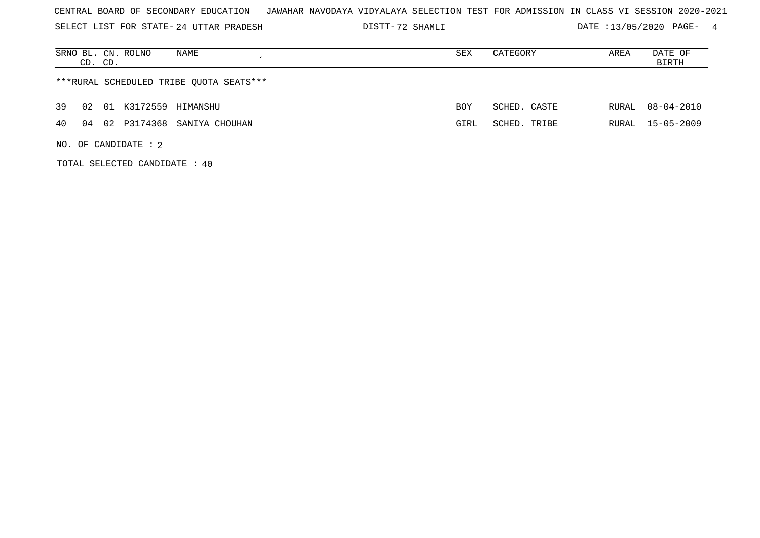SELECT LIST FOR STATE- DISTT- 24 UTTAR PRADESH

72 SHAMLI DATE :13/05/2020 PAGE- 4

| SRNO BL. CN. ROLNO<br>NAME<br>CD. CD.     | SEX  | CATEGORY     | AREA  | DATE OF<br>BIRTH |
|-------------------------------------------|------|--------------|-------|------------------|
| ***RURAL SCHEDULED TRIBE OUOTA SEATS***   |      |              |       |                  |
| 39<br>01 K3172559 HIMANSHU<br>02          | BOY  | SCHED. CASTE | RURAL | 08-04-2010       |
| P3174368 SANIYA CHOUHAN<br>40<br>02<br>04 | GIRL | SCHED. TRIBE | RURAL | 15-05-2009       |
| NO. OF CANDIDATE : $2$                    |      |              |       |                  |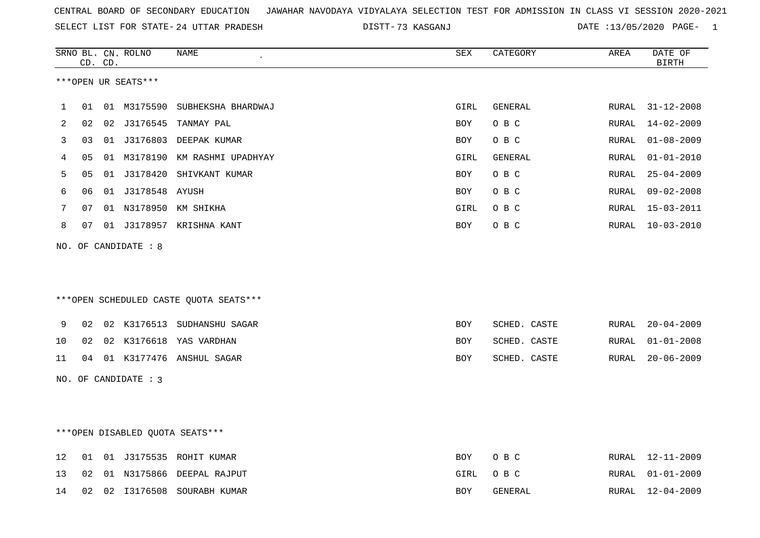|  |  |  |  | CENTRAL BOARD OF SECONDARY EDUCATION GJAWAHAR NAVODAYA VIDYALAYA SELECTION TEST FOR ADMISSION IN CLASS VI SESSION 2020-2021 |  |  |  |  |  |  |  |  |  |  |  |
|--|--|--|--|-----------------------------------------------------------------------------------------------------------------------------|--|--|--|--|--|--|--|--|--|--|--|
|--|--|--|--|-----------------------------------------------------------------------------------------------------------------------------|--|--|--|--|--|--|--|--|--|--|--|

SELECT LIST FOR STATE- DISTT- 24 UTTAR PRADESH 73 KASGANJ DATE :13/05/2020 PAGE- 1

|    |    | CD. CD. | SRNO BL. CN. ROLNO   | NAME                                   | SEX        | CATEGORY       | AREA  | DATE OF<br><b>BIRTH</b> |
|----|----|---------|----------------------|----------------------------------------|------------|----------------|-------|-------------------------|
|    |    |         | ***OPEN UR SEATS***  |                                        |            |                |       |                         |
|    |    |         |                      |                                        |            |                |       |                         |
| 1  | 01 |         | 01 M3175590          | SUBHEKSHA BHARDWAJ                     | GIRL       | GENERAL        | RURAL | $31 - 12 - 2008$        |
| 2  | 02 | 02      |                      | J3176545 TANMAY PAL                    | BOY        | O B C          | RURAL | $14 - 02 - 2009$        |
| 3  | 03 | 01      |                      | J3176803 DEEPAK KUMAR                  | BOY        | O B C          | RURAL | $01 - 08 - 2009$        |
| 4  | 05 |         |                      | 01 M3178190 KM RASHMI UPADHYAY         | GIRL       | <b>GENERAL</b> | RURAL | $01 - 01 - 2010$        |
| 5  | 05 |         |                      | 01 J3178420 SHIVKANT KUMAR             | <b>BOY</b> | O B C          | RURAL | $25 - 04 - 2009$        |
| 6  | 06 | 01      | J3178548 AYUSH       |                                        | BOY        | O B C          | RURAL | $09 - 02 - 2008$        |
| 7  | 07 |         |                      | 01 N3178950 KM SHIKHA                  | GIRL       | O B C          | RURAL | 15-03-2011              |
| 8  | 07 |         |                      | 01 J3178957 KRISHNA KANT               | BOY        | O B C          | RURAL | $10 - 03 - 2010$        |
|    |    |         | NO. OF CANDIDATE : 8 |                                        |            |                |       |                         |
|    |    |         |                      |                                        |            |                |       |                         |
|    |    |         |                      |                                        |            |                |       |                         |
|    |    |         |                      | ***OPEN SCHEDULED CASTE OUOTA SEATS*** |            |                |       |                         |
|    |    |         |                      |                                        |            |                |       |                         |
| 9  | 02 |         |                      | 02 K3176513 SUDHANSHU SAGAR            | BOY        | SCHED. CASTE   | RURAL | $20 - 04 - 2009$        |
| 10 | 02 |         |                      | 02 K3176618 YAS VARDHAN                | BOY        | SCHED. CASTE   | RURAL | $01 - 01 - 2008$        |
| 11 | 04 |         |                      | 01 K3177476 ANSHUL SAGAR               | BOY        | SCHED. CASTE   | RURAL | $20 - 06 - 2009$        |
|    |    |         | NO. OF CANDIDATE : 3 |                                        |            |                |       |                         |
|    |    |         |                      |                                        |            |                |       |                         |
|    |    |         |                      |                                        |            |                |       |                         |
|    |    |         |                      | ***OPEN DISABLED QUOTA SEATS***        |            |                |       |                         |
|    |    |         |                      |                                        |            |                |       |                         |
| 12 | 01 |         |                      | 01 J3175535 ROHIT KUMAR                | BOY        | O B C          | RURAL | $12 - 11 - 2009$        |
| 13 | 02 | 01      |                      | N3175866 DEEPAL RAJPUT                 | GIRL       | O B C          | RURAL | $01 - 01 - 2009$        |
| 14 | 02 | 02      |                      | I3176508 SOURABH KUMAR                 | <b>BOY</b> | GENERAL        | RURAL | $12 - 04 - 2009$        |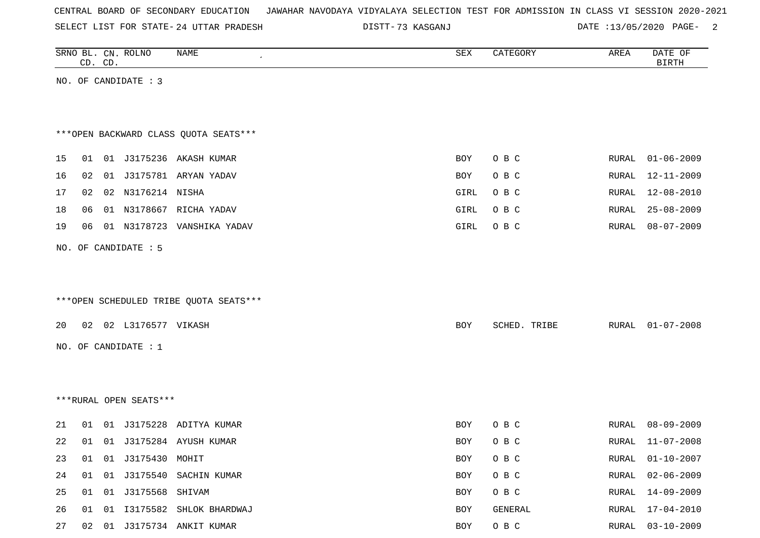|  |  | CENTRAL BOARD OF SECONDARY EDUCATION – JAWAHAR NAVODAYA VIDYALAYA SELECTION TEST FOR ADMISSION IN CLASS VI SESSION 2020-2021 |  |  |  |  |  |  |  |  |  |  |  |  |  |
|--|--|------------------------------------------------------------------------------------------------------------------------------|--|--|--|--|--|--|--|--|--|--|--|--|--|
|--|--|------------------------------------------------------------------------------------------------------------------------------|--|--|--|--|--|--|--|--|--|--|--|--|--|

73 KASGANJ DATE :13/05/2020 PAGE- 2

| SRNO BL. CN. ROLNO | CD. CD. |                        | NAME                                   | ${\tt SEX}$ | CATEGORY     | AREA  | DATE OF<br><b>BIRTH</b> |
|--------------------|---------|------------------------|----------------------------------------|-------------|--------------|-------|-------------------------|
|                    |         | NO. OF CANDIDATE : 3   |                                        |             |              |       |                         |
|                    |         |                        |                                        |             |              |       |                         |
|                    |         |                        |                                        |             |              |       |                         |
|                    |         |                        | *** OPEN BACKWARD CLASS QUOTA SEATS*** |             |              |       |                         |
| 15                 | 01      |                        | 01 J3175236 AKASH KUMAR                | BOY         | O B C        | RURAL | $01 - 06 - 2009$        |
| 16                 | 02      |                        | 01 J3175781 ARYAN YADAV                | BOY         | O B C        | RURAL | 12-11-2009              |
| 17                 | 02      | 02 N3176214 NISHA      |                                        | GIRL        | O B C        | RURAL | 12-08-2010              |
| 18                 | 06      |                        | 01 N3178667 RICHA YADAV                | GIRL        | O B C        | RURAL | $25 - 08 - 2009$        |
| 19                 | 06      |                        | 01 N3178723 VANSHIKA YADAV             | GIRL        | O B C        | RURAL | $08 - 07 - 2009$        |
|                    |         |                        |                                        |             |              |       |                         |
|                    |         | NO. OF CANDIDATE : 5   |                                        |             |              |       |                         |
|                    |         |                        |                                        |             |              |       |                         |
|                    |         |                        |                                        |             |              |       |                         |
|                    |         |                        | ***OPEN SCHEDULED TRIBE QUOTA SEATS*** |             |              |       |                         |
| 20                 |         | 02 02 L3176577 VIKASH  |                                        | <b>BOY</b>  | SCHED. TRIBE | RURAL | $01 - 07 - 2008$        |
|                    |         |                        |                                        |             |              |       |                         |
|                    |         | NO. OF CANDIDATE : 1   |                                        |             |              |       |                         |
|                    |         |                        |                                        |             |              |       |                         |
|                    |         |                        |                                        |             |              |       |                         |
|                    |         | ***RURAL OPEN SEATS*** |                                        |             |              |       |                         |
| 21                 | 01      |                        | 01 J3175228 ADITYA KUMAR               | BOY         | O B C        | RURAL | 08-09-2009              |
| 22                 | 01      |                        | 01 J3175284 AYUSH KUMAR                | BOY         | O B C        | RURAL | $11 - 07 - 2008$        |
| 23                 | 01      | 01 J3175430 MOHIT      |                                        | <b>BOY</b>  | O B C        | RURAL | $01 - 10 - 2007$        |
| 24                 | 01      |                        | 01 J3175540 SACHIN KUMAR               | BOY         | O B C        | RURAL | $02 - 06 - 2009$        |
| 25                 | 01      | 01 J3175568 SHIVAM     |                                        | BOY         | O B C        | RURAL | $14 - 09 - 2009$        |
| 26                 | 01      |                        | 01 I3175582 SHLOK BHARDWAJ             | BOY         | GENERAL      | RURAL | $17 - 04 - 2010$        |
| 27                 |         |                        | 02 01 J3175734 ANKIT KUMAR             | BOY         | $O$ B $C$    |       | RURAL 03-10-2009        |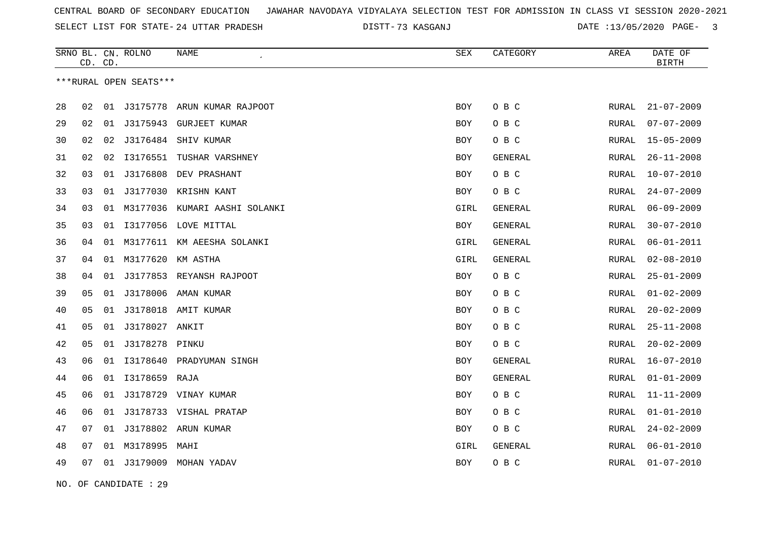73 KASGANJ DATE :13/05/2020 PAGE- 3

|    | CD. | CD. | SRNO BL. CN. ROLNO     | <b>NAME</b>                 | <b>SEX</b> | CATEGORY | AREA  | DATE OF<br><b>BIRTH</b> |
|----|-----|-----|------------------------|-----------------------------|------------|----------|-------|-------------------------|
|    |     |     | ***RURAL OPEN SEATS*** |                             |            |          |       |                         |
| 28 | 02  | 01  | J3175778               | ARUN KUMAR RAJPOOT          | <b>BOY</b> | O B C    | RURAL | $21 - 07 - 2009$        |
| 29 | 02  |     | 01 J3175943            | GURJEET KUMAR               | BOY        | O B C    | RURAL | $07 - 07 - 2009$        |
| 30 | 02  | 02  | J3176484               | SHIV KUMAR                  | BOY        | O B C    | RURAL | $15 - 05 - 2009$        |
| 31 | 02  | 02  | I3176551               | TUSHAR VARSHNEY             | BOY        | GENERAL  | RURAL | $26 - 11 - 2008$        |
| 32 | 03  | 01  | J3176808               | DEV PRASHANT                | BOY        | O B C    | RURAL | $10 - 07 - 2010$        |
| 33 | 03  |     |                        | 01 J3177030 KRISHN KANT     | <b>BOY</b> | O B C    | RURAL | $24 - 07 - 2009$        |
| 34 | 03  | 01  | M3177036               | KUMARI AASHI SOLANKI        | GIRL       | GENERAL  | RURAL | $06 - 09 - 2009$        |
| 35 | 03  |     |                        | 01 I3177056 LOVE MITTAL     | BOY        | GENERAL  | RURAL | $30 - 07 - 2010$        |
| 36 | 04  | 01  |                        | M3177611 KM AEESHA SOLANKI  | GIRL       | GENERAL  | RURAL | $06 - 01 - 2011$        |
| 37 | 04  |     | 01 M3177620 KM ASTHA   |                             | GIRL       | GENERAL  | RURAL | $02 - 08 - 2010$        |
| 38 | 04  | 01  |                        | J3177853 REYANSH RAJPOOT    | <b>BOY</b> | O B C    | RURAL | $25 - 01 - 2009$        |
| 39 | 05  |     |                        | 01 J3178006 AMAN KUMAR      | BOY        | O B C    | RURAL | $01 - 02 - 2009$        |
| 40 | 05  |     |                        | 01 J3178018 AMIT KUMAR      | <b>BOY</b> | O B C    | RURAL | $20 - 02 - 2009$        |
| 41 | 05  |     | 01 J3178027 ANKIT      |                             | BOY        | O B C    | RURAL | $25 - 11 - 2008$        |
| 42 | 05  |     | 01 J3178278 PINKU      |                             | BOY        | O B C    | RURAL | $20 - 02 - 2009$        |
| 43 | 06  |     |                        | 01 I3178640 PRADYUMAN SINGH | <b>BOY</b> | GENERAL  | RURAL | 16-07-2010              |
| 44 | 06  |     | 01 I3178659 RAJA       |                             | BOY        | GENERAL  | RURAL | $01 - 01 - 2009$        |
| 45 | 06  |     |                        | 01 J3178729 VINAY KUMAR     | <b>BOY</b> | O B C    | RURAL | $11 - 11 - 2009$        |
| 46 | 06  | 01  |                        | J3178733 VISHAL PRATAP      | BOY        | O B C    | RURAL | $01 - 01 - 2010$        |
| 47 | 07  | 01  |                        | J3178802 ARUN KUMAR         | <b>BOY</b> | O B C    | RURAL | $24 - 02 - 2009$        |
| 48 | 07  | 01  | M3178995 MAHI          |                             | GIRL       | GENERAL  | RURAL | $06 - 01 - 2010$        |
| 49 | 07  |     |                        | 01 J3179009 MOHAN YADAV     | BOY        | O B C    | RURAL | $01 - 07 - 2010$        |

NO. OF CANDIDATE : 29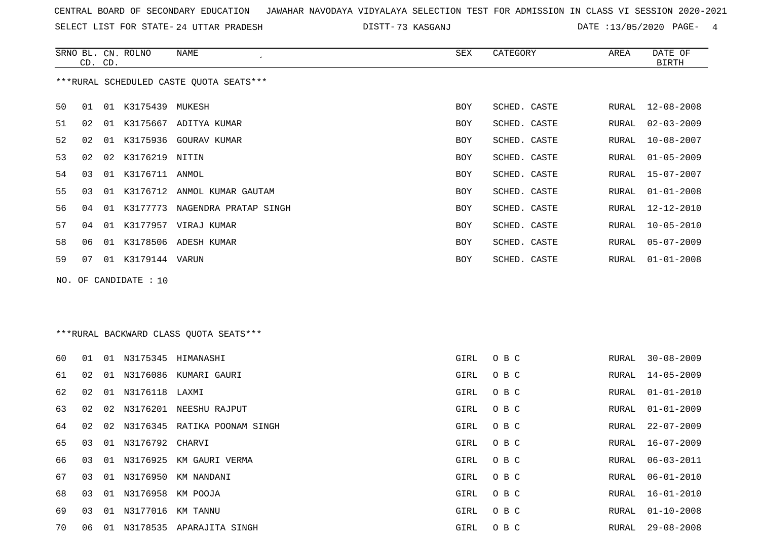SELECT LIST FOR STATE- DISTT- 24 UTTAR PRADESH

73 KASGANJ DATE :13/05/2020 PAGE- 4

|                                         | CD. CD. |    | SRNO BL. CN. ROLNO | NAME<br>$\cdot$       | SEX        | CATEGORY     | AREA  | DATE OF<br><b>BIRTH</b> |  |
|-----------------------------------------|---------|----|--------------------|-----------------------|------------|--------------|-------|-------------------------|--|
| ***RURAL SCHEDULED CASTE OUOTA SEATS*** |         |    |                    |                       |            |              |       |                         |  |
| 50                                      | 01      | 01 | K3175439           | MUKESH                | <b>BOY</b> | SCHED. CASTE | RURAL | $12 - 08 - 2008$        |  |
| 51                                      | 02      | 01 |                    | K3175667 ADITYA KUMAR | BOY        | SCHED. CASTE | RURAL | $02 - 03 - 2009$        |  |
| 52                                      | 02      | 01 |                    | K3175936 GOURAV KUMAR | BOY        | SCHED. CASTE | RURAL | $10 - 08 - 2007$        |  |
| 53                                      | 02      | 02 | K3176219 NITIN     |                       | <b>BOY</b> | SCHED. CASTE | RURAL | $01 - 05 - 2009$        |  |
| 54                                      | 03      | 01 | K3176711           | ANMOL                 | <b>BOY</b> | SCHED. CASTE | RURAL | $15 - 07 - 2007$        |  |
| 55                                      | 03      | 01 | K3176712           | ANMOL KUMAR GAUTAM    | BOY        | SCHED. CASTE | RURAL | $01 - 01 - 2008$        |  |
| 56                                      | 04      | 01 | K3177773           | NAGENDRA PRATAP SINGH | BOY        | SCHED. CASTE | RURAL | 12-12-2010              |  |
| 57                                      | 04      | 01 |                    | K3177957 VIRAJ KUMAR  | <b>BOY</b> | SCHED. CASTE | RURAL | $10 - 05 - 2010$        |  |
| 58                                      | 06      | 01 | K3178506           | ADESH KUMAR           | <b>BOY</b> | SCHED. CASTE | RURAL | $05 - 07 - 2009$        |  |
| 59                                      | 07      | 01 | K3179144 VARUN     |                       | <b>BOY</b> | SCHED. CASTE | RURAL | $01 - 01 - 2008$        |  |

NO. OF CANDIDATE : 10

\*\*\*RURAL BACKWARD CLASS QUOTA SEATS\*\*\*

| 60 | O 1 |    |                      | 01 N3175345 HIMANASHI           | GIRL | O B C | RURAL | $30 - 08 - 2009$ |
|----|-----|----|----------------------|---------------------------------|------|-------|-------|------------------|
| 61 | 02  |    |                      | 01 N3176086 KUMARI GAURI        | GIRL | O B C |       | RURAL 14-05-2009 |
| 62 | 02  |    | 01 N3176118 LAXMI    |                                 | GIRL | O B C |       | RURAL 01-01-2010 |
| 63 | 02  |    |                      | 02 N3176201 NEESHU RAJPUT       | GIRL | O B C | RURAL | 01-01-2009       |
| 64 | 02  |    |                      | 02 N3176345 RATIKA POONAM SINGH | GIRL | O B C | RURAL | 22-07-2009       |
| 65 | 03  |    | 01 N3176792 CHARVI   |                                 | GIRL | O B C | RURAL | 16-07-2009       |
| 66 | 03  |    |                      | 01 N3176925 KM GAURI VERMA      | GIRL | O B C | RURAL | 06-03-2011       |
| 67 | 03  |    |                      | 01 N3176950 KM NANDANI          | GIRL | O B C | RURAL | 06-01-2010       |
| 68 | 03  |    | 01 N3176958 KM POOJA |                                 | GIRL | O B C | RURAL | 16-01-2010       |
| 69 | 03  |    | 01 N3177016 KM TANNU |                                 | GIRL | O B C | RURAL | $01 - 10 - 2008$ |
| 70 | 06  | 01 |                      | N3178535 APARAJITA SINGH        | GIRL | O B C | RURAL | $29 - 08 - 2008$ |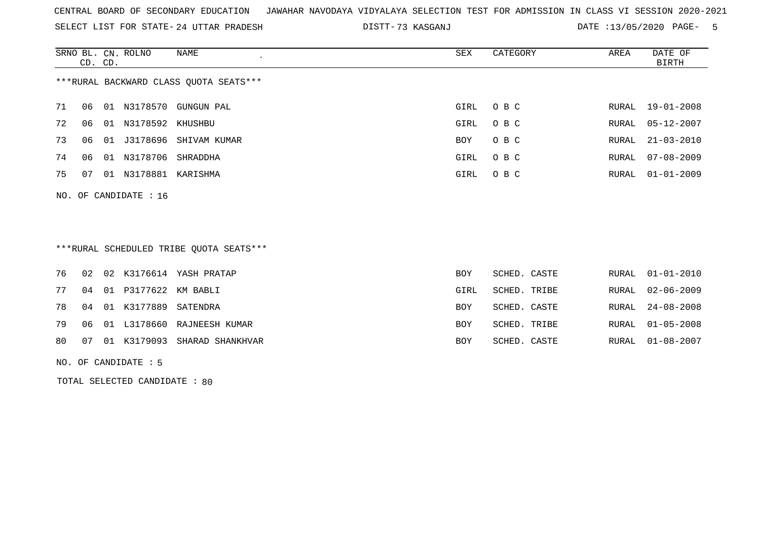SELECT LIST FOR STATE- DISTT- 24 UTTAR PRADESH

73 KASGANJ DATE :13/05/2020 PAGE- 5

|                                        | CD. CD.                 |    | SRNO BL. CN. ROLNO | NAME                | SEX  | CATEGORY | AREA  | DATE OF<br>BIRTH |  |  |  |  |
|----------------------------------------|-------------------------|----|--------------------|---------------------|------|----------|-------|------------------|--|--|--|--|
| ***RURAL BACKWARD CLASS OUOTA SEATS*** |                         |    |                    |                     |      |          |       |                  |  |  |  |  |
| 71                                     | 06                      | 01 |                    | N3178570 GUNGUN PAL | GIRL | $O$ B C  |       | RURAL 19-01-2008 |  |  |  |  |
| 72                                     | 06                      | 01 | N3178592 KHUSHBU   |                     | GIRL | O B C    | RURAL | $05 - 12 - 2007$ |  |  |  |  |
| 73                                     | 06                      | 01 | J3178696           | SHIVAM KUMAR        | BOY  | O B C    |       | RURAL 21-03-2010 |  |  |  |  |
| 74                                     | 06                      | 01 | N3178706           | SHRADDHA            | GIRL | O B C    | RURAL | $07 - 08 - 2009$ |  |  |  |  |
| 75                                     | 07                      | 01 | N3178881           | KARISHMA            | GIRL | O B C    | RURAL | $01 - 01 - 2009$ |  |  |  |  |
|                                        | NO. OF CANDIDATE : $16$ |    |                    |                     |      |          |       |                  |  |  |  |  |

## \*\*\*RURAL SCHEDULED TRIBE QUOTA SEATS\*\*\*

|  |                            | 76 02 02 K3176614 YASH PRATAP      | BOY        | SCHED. CASTE |  | RURAL 01-01-2010 |
|--|----------------------------|------------------------------------|------------|--------------|--|------------------|
|  | 77 04 01 P3177622 KM BABLI |                                    | GIRL       | SCHED. TRIBE |  | RURAL 02-06-2009 |
|  | 78 04 01 K3177889 SATENDRA |                                    | BOY        | SCHED. CASTE |  | RURAL 24-08-2008 |
|  |                            | 79 06 01 L3178660 RAJNEESH KUMAR   | <b>BOY</b> | SCHED. TRIBE |  | RURAL 01-05-2008 |
|  |                            | 80 07 01 K3179093 SHARAD SHANKHVAR | <b>BOY</b> | SCHED. CASTE |  | RURAL 01-08-2007 |
|  |                            |                                    |            |              |  |                  |

NO. OF CANDIDATE : 5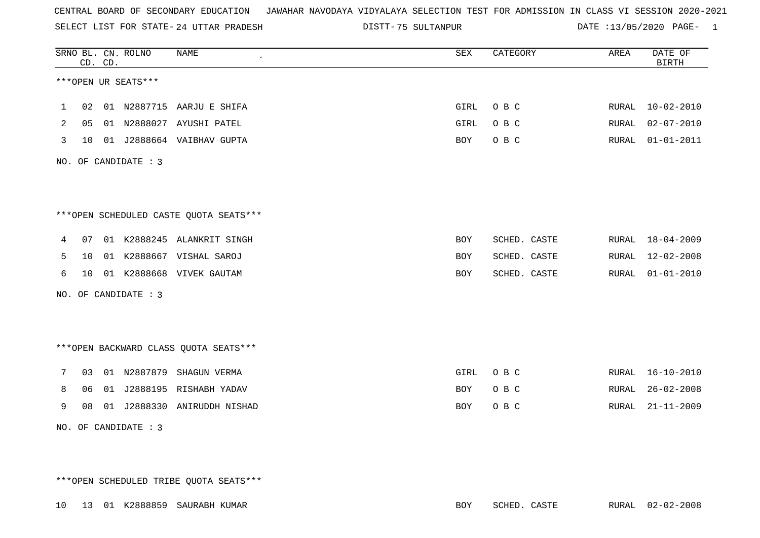SELECT LIST FOR STATE- DISTT- 24 UTTAR PRADESH

75 SULTANPUR DATE :13/05/2020 PAGE- 1

|              |                                        | CD. CD. |  | SRNO BL. CN. ROLNO   | <b>NAME</b>                            | SEX        | CATEGORY     | AREA  | DATE OF<br><b>BIRTH</b> |  |
|--------------|----------------------------------------|---------|--|----------------------|----------------------------------------|------------|--------------|-------|-------------------------|--|
|              |                                        |         |  | ***OPEN UR SEATS***  |                                        |            |              |       |                         |  |
| $\mathbf{1}$ |                                        | 02      |  |                      | 01 N2887715 AARJU E SHIFA              | GIRL       | O B C        | RURAL | $10 - 02 - 2010$        |  |
| 2            | 05                                     |         |  |                      | 01 N2888027 AYUSHI PATEL               | GIRL       | O B C        | RURAL | $02 - 07 - 2010$        |  |
| 3            | 10                                     |         |  |                      | 01 J2888664 VAIBHAV GUPTA              | <b>BOY</b> | O B C        | RURAL | $01 - 01 - 2011$        |  |
|              | NO. OF CANDIDATE : 3                   |         |  |                      |                                        |            |              |       |                         |  |
|              |                                        |         |  |                      |                                        |            |              |       |                         |  |
|              | ***OPEN SCHEDULED CASTE QUOTA SEATS*** |         |  |                      |                                        |            |              |       |                         |  |
| 4            | 07                                     |         |  |                      | 01 K2888245 ALANKRIT SINGH             | BOY        | SCHED. CASTE | RURAL | 18-04-2009              |  |
| 5            | 10                                     |         |  |                      | 01 K2888667 VISHAL SAROJ               | <b>BOY</b> | SCHED. CASTE | RURAL | $12 - 02 - 2008$        |  |
| 6            |                                        |         |  |                      | 10 01 K2888668 VIVEK GAUTAM            | BOY        | SCHED. CASTE | RURAL | $01 - 01 - 2010$        |  |
|              |                                        |         |  | NO. OF CANDIDATE : 3 |                                        |            |              |       |                         |  |
|              |                                        |         |  |                      |                                        |            |              |       |                         |  |
|              |                                        |         |  |                      | *** OPEN BACKWARD CLASS QUOTA SEATS*** |            |              |       |                         |  |
| 7            | 03                                     |         |  |                      | 01 N2887879 SHAGUN VERMA               | GIRL       | O B C        | RURAL | $16 - 10 - 2010$        |  |
| 8            | 06                                     |         |  |                      | 01 J2888195 RISHABH YADAV              | <b>BOY</b> | O B C        | RURAL | $26 - 02 - 2008$        |  |
| 9            | 08                                     |         |  |                      | 01 J2888330 ANIRUDDH NISHAD            | BOY        | O B C        | RURAL | $21 - 11 - 2009$        |  |
|              |                                        |         |  | NO. OF CANDIDATE : 3 |                                        |            |              |       |                         |  |

\*\*\*OPEN SCHEDULED TRIBE QUOTA SEATS\*\*\*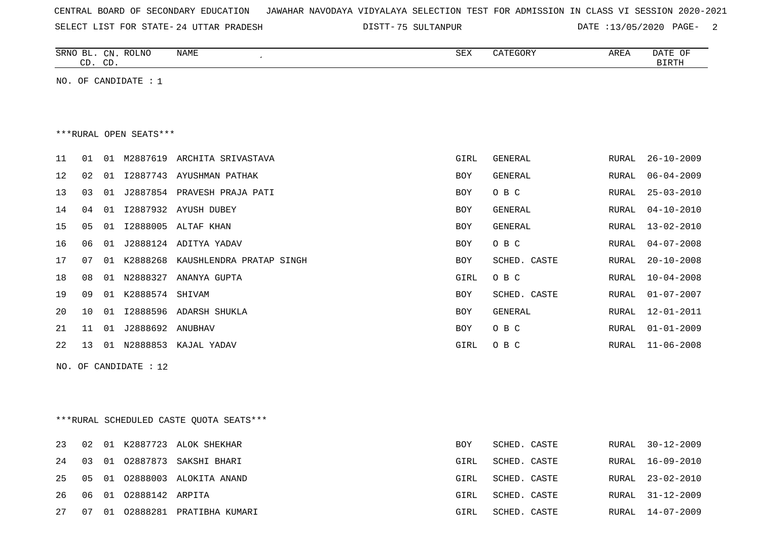| CENTRAL BOARD OF SECONDARY EDUCATION – JAWAHAR NAVODAYA VIDYALAYA SELECTION TEST FOR ADMISSION IN CLASS VI SESSION 2020-2021 |  |  |  |  |
|------------------------------------------------------------------------------------------------------------------------------|--|--|--|--|
|------------------------------------------------------------------------------------------------------------------------------|--|--|--|--|

SELECT LIST FOR STATE- DISTT- 24 UTTAR PRADESH 75 SULTANPUR DATE :13/05/2020 PAGE- 2

|                        |    | CD. CD. | SRNO BL. CN. ROLNO | <b>NAME</b>              | <b>SEX</b> | CATEGORY       | AREA         | DATE OF<br><b>BIRTH</b> |  |  |  |
|------------------------|----|---------|--------------------|--------------------------|------------|----------------|--------------|-------------------------|--|--|--|
| NO.                    | OF |         | CANDIDATE : 1      |                          |            |                |              |                         |  |  |  |
|                        |    |         |                    |                          |            |                |              |                         |  |  |  |
|                        |    |         |                    |                          |            |                |              |                         |  |  |  |
| ***RURAL OPEN SEATS*** |    |         |                    |                          |            |                |              |                         |  |  |  |
| 11                     | 01 | 01      | M2887619           | ARCHITA SRIVASTAVA       | GIRL       | <b>GENERAL</b> | <b>RURAL</b> | $26 - 10 - 2009$        |  |  |  |
| 12                     | 02 | 01      | I2887743           | AYUSHMAN PATHAK          | <b>BOY</b> | <b>GENERAL</b> | RURAL        | $06 - 04 - 2009$        |  |  |  |
| 13                     | 03 | 01      | J2887854           | PRAVESH PRAJA PATI       | <b>BOY</b> | O B C          | <b>RURAL</b> | $25 - 03 - 2010$        |  |  |  |
| 14                     | 04 | 01      | I2887932           | <b>AYUSH DUBEY</b>       | <b>BOY</b> | <b>GENERAL</b> | <b>RURAL</b> | $04 - 10 - 2010$        |  |  |  |
| 15                     | 05 | 01      | I2888005           | ALTAF KHAN               | <b>BOY</b> | <b>GENERAL</b> | <b>RURAL</b> | $13 - 02 - 2010$        |  |  |  |
| 16                     | 06 | 01      | J2888124           | ADITYA YADAV             | <b>BOY</b> | O B C          | <b>RURAL</b> | $04 - 07 - 2008$        |  |  |  |
| 17                     | 07 | 01      | K2888268           | KAUSHLENDRA PRATAP SINGH | <b>BOY</b> | SCHED. CASTE   | <b>RURAL</b> | $20 - 10 - 2008$        |  |  |  |
| 18                     | 08 | 01      | N2888327           | ANANYA GUPTA             | GIRL       | O B C          | <b>RURAL</b> | $10 - 04 - 2008$        |  |  |  |
| 19                     | 09 | 01      | K2888574           | SHIVAM                   | <b>BOY</b> | SCHED. CASTE   | <b>RURAL</b> | $01 - 07 - 2007$        |  |  |  |
| 20                     | 10 | 01      | I2888596           | ADARSH SHUKLA            | <b>BOY</b> | <b>GENERAL</b> | <b>RURAL</b> | $12 - 01 - 2011$        |  |  |  |
| 21                     | 11 | 01      | J2888692           | ANUBHAV                  | <b>BOY</b> | O B C          | <b>RURAL</b> | $01 - 01 - 2009$        |  |  |  |
| 22                     | 13 | 01      | N2888853           | KAJAL YADAV              | GIRL       | O B C          | <b>RURAL</b> | $11 - 06 - 2008$        |  |  |  |
|                        |    |         |                    |                          |            |                |              |                         |  |  |  |

NO. OF CANDIDATE : 12

\*\*\*RURAL SCHEDULED CASTE QUOTA SEATS\*\*\*

| 23    | 02 |    |                          | 01 K2887723 ALOK SHEKHAR        | <b>BOY</b> | SCHED. CASTE | RURAL 30-12-2009 |
|-------|----|----|--------------------------|---------------------------------|------------|--------------|------------------|
| 24 03 |    |    |                          | 01 02887873 SAKSHI BHARI        | GIRL       | SCHED. CASTE | RURAL 16-09-2010 |
|       |    |    |                          | 25 05 01 02888003 ALOKITA ANAND | GIRL       | SCHED. CASTE | RURAL 23-02-2010 |
|       |    |    | 26 06 01 02888142 ARPITA |                                 | GIRL       | SCHED. CASTE | RURAL 31-12-2009 |
| 27    | 07 | 01 |                          | 02888281 PRATIBHA KUMARI        | GIRL       | SCHED. CASTE | RURAL 14-07-2009 |